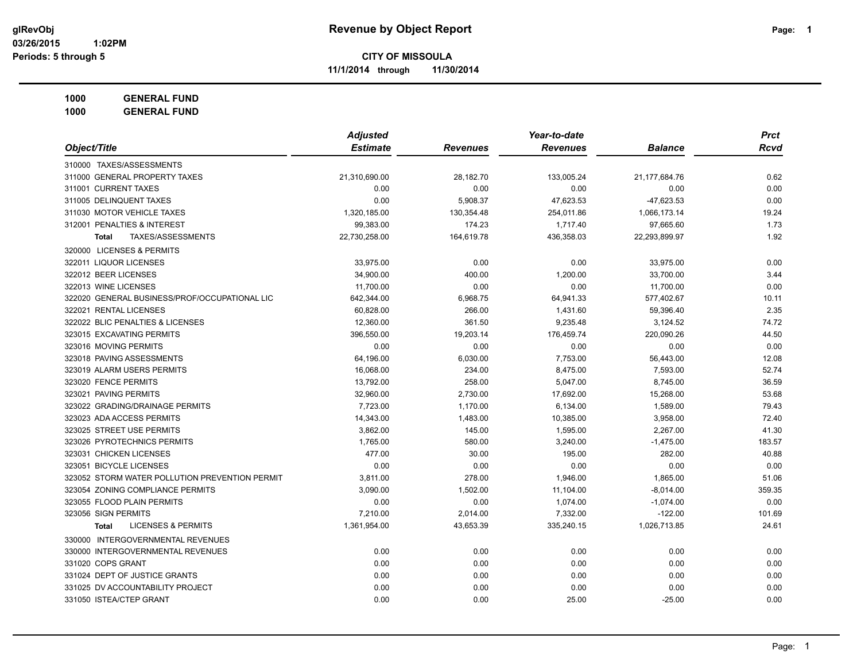**11/1/2014 through 11/30/2014**

**1000 GENERAL FUND**

|                                                | <b>Adjusted</b> |                 | Year-to-date    |                | <b>Prct</b> |
|------------------------------------------------|-----------------|-----------------|-----------------|----------------|-------------|
| Object/Title                                   | <b>Estimate</b> | <b>Revenues</b> | <b>Revenues</b> | <b>Balance</b> | <b>Rcvd</b> |
| 310000 TAXES/ASSESSMENTS                       |                 |                 |                 |                |             |
| 311000 GENERAL PROPERTY TAXES                  | 21,310,690.00   | 28,182.70       | 133,005.24      | 21,177,684.76  | 0.62        |
| 311001 CURRENT TAXES                           | 0.00            | 0.00            | 0.00            | 0.00           | 0.00        |
| 311005 DELINQUENT TAXES                        | 0.00            | 5,908.37        | 47,623.53       | -47,623.53     | 0.00        |
| 311030 MOTOR VEHICLE TAXES                     | 1,320,185.00    | 130,354.48      | 254,011.86      | 1,066,173.14   | 19.24       |
| 312001 PENALTIES & INTEREST                    | 99,383.00       | 174.23          | 1,717.40        | 97,665.60      | 1.73        |
| TAXES/ASSESSMENTS<br><b>Total</b>              | 22,730,258.00   | 164,619.78      | 436,358.03      | 22,293,899.97  | 1.92        |
| 320000 LICENSES & PERMITS                      |                 |                 |                 |                |             |
| 322011 LIQUOR LICENSES                         | 33,975.00       | 0.00            | 0.00            | 33,975.00      | 0.00        |
| 322012 BEER LICENSES                           | 34,900.00       | 400.00          | 1,200.00        | 33,700.00      | 3.44        |
| 322013 WINE LICENSES                           | 11,700.00       | 0.00            | 0.00            | 11,700.00      | 0.00        |
| 322020 GENERAL BUSINESS/PROF/OCCUPATIONAL LIC  | 642,344.00      | 6,968.75        | 64,941.33       | 577,402.67     | 10.11       |
| 322021 RENTAL LICENSES                         | 60,828.00       | 266.00          | 1,431.60        | 59,396.40      | 2.35        |
| 322022 BLIC PENALTIES & LICENSES               | 12,360.00       | 361.50          | 9,235.48        | 3,124.52       | 74.72       |
| 323015 EXCAVATING PERMITS                      | 396,550.00      | 19,203.14       | 176,459.74      | 220,090.26     | 44.50       |
| 323016 MOVING PERMITS                          | 0.00            | 0.00            | 0.00            | 0.00           | 0.00        |
| 323018 PAVING ASSESSMENTS                      | 64,196.00       | 6,030.00        | 7,753.00        | 56,443.00      | 12.08       |
| 323019 ALARM USERS PERMITS                     | 16,068.00       | 234.00          | 8,475.00        | 7,593.00       | 52.74       |
| 323020 FENCE PERMITS                           | 13,792.00       | 258.00          | 5,047.00        | 8,745.00       | 36.59       |
| 323021 PAVING PERMITS                          | 32,960.00       | 2,730.00        | 17,692.00       | 15,268.00      | 53.68       |
| 323022 GRADING/DRAINAGE PERMITS                | 7,723.00        | 1,170.00        | 6,134.00        | 1,589.00       | 79.43       |
| 323023 ADA ACCESS PERMITS                      | 14,343.00       | 1,483.00        | 10,385.00       | 3,958.00       | 72.40       |
| 323025 STREET USE PERMITS                      | 3,862.00        | 145.00          | 1,595.00        | 2,267.00       | 41.30       |
| 323026 PYROTECHNICS PERMITS                    | 1,765.00        | 580.00          | 3,240.00        | $-1,475.00$    | 183.57      |
| 323031 CHICKEN LICENSES                        | 477.00          | 30.00           | 195.00          | 282.00         | 40.88       |
| 323051 BICYCLE LICENSES                        | 0.00            | 0.00            | 0.00            | 0.00           | 0.00        |
| 323052 STORM WATER POLLUTION PREVENTION PERMIT | 3,811.00        | 278.00          | 1,946.00        | 1,865.00       | 51.06       |
| 323054 ZONING COMPLIANCE PERMITS               | 3,090.00        | 1,502.00        | 11,104.00       | $-8,014.00$    | 359.35      |
| 323055 FLOOD PLAIN PERMITS                     | 0.00            | 0.00            | 1,074.00        | $-1,074.00$    | 0.00        |
| 323056 SIGN PERMITS                            | 7,210.00        | 2,014.00        | 7,332.00        | $-122.00$      | 101.69      |
| <b>LICENSES &amp; PERMITS</b><br><b>Total</b>  | 1,361,954.00    | 43,653.39       | 335,240.15      | 1,026,713.85   | 24.61       |
| 330000 INTERGOVERNMENTAL REVENUES              |                 |                 |                 |                |             |
| 330000 INTERGOVERNMENTAL REVENUES              | 0.00            | 0.00            | 0.00            | 0.00           | 0.00        |
| 331020 COPS GRANT                              | 0.00            | 0.00            | 0.00            | 0.00           | 0.00        |
| 331024 DEPT OF JUSTICE GRANTS                  | 0.00            | 0.00            | 0.00            | 0.00           | 0.00        |
| 331025 DV ACCOUNTABILITY PROJECT               | 0.00            | 0.00            | 0.00            | 0.00           | 0.00        |
| 331050 ISTEA/CTEP GRANT                        | 0.00            | 0.00            | 25.00           | $-25.00$       | 0.00        |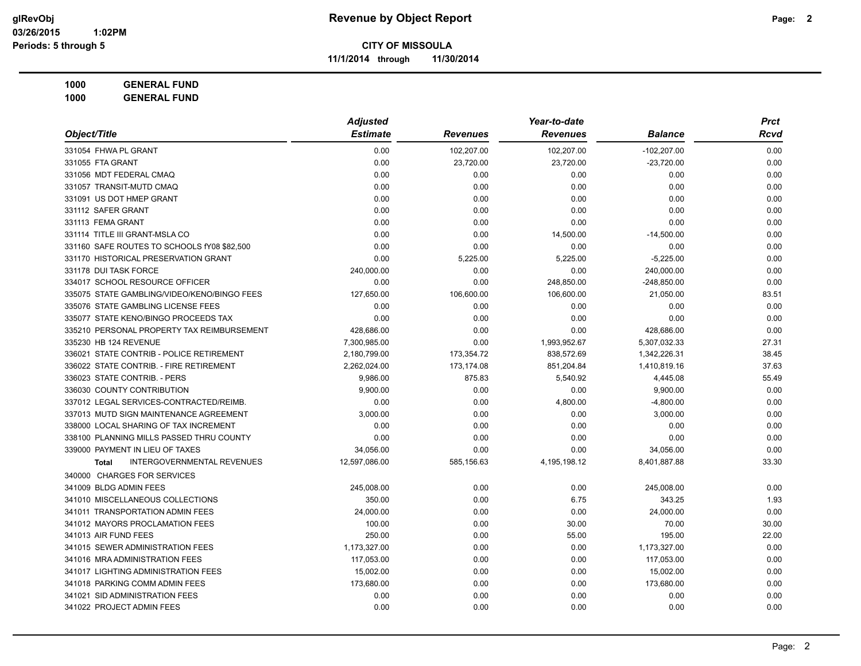**11/1/2014 through 11/30/2014**

|                                                   | <b>Adjusted</b> |                 | Year-to-date    |                | <b>Prct</b> |
|---------------------------------------------------|-----------------|-----------------|-----------------|----------------|-------------|
| Object/Title                                      | <b>Estimate</b> | <b>Revenues</b> | <b>Revenues</b> | <b>Balance</b> | Rcvd        |
| 331054 FHWA PL GRANT                              | 0.00            | 102,207.00      | 102,207.00      | $-102,207.00$  | 0.00        |
| 331055 FTA GRANT                                  | 0.00            | 23,720.00       | 23,720.00       | $-23,720.00$   | 0.00        |
| 331056 MDT FEDERAL CMAQ                           | 0.00            | 0.00            | 0.00            | 0.00           | 0.00        |
| 331057 TRANSIT-MUTD CMAQ                          | 0.00            | 0.00            | 0.00            | 0.00           | 0.00        |
| 331091 US DOT HMEP GRANT                          | 0.00            | 0.00            | 0.00            | 0.00           | 0.00        |
| 331112 SAFER GRANT                                | 0.00            | 0.00            | 0.00            | 0.00           | 0.00        |
| 331113 FEMA GRANT                                 | 0.00            | 0.00            | 0.00            | 0.00           | 0.00        |
| 331114 TITLE III GRANT-MSLA CO                    | 0.00            | 0.00            | 14,500.00       | $-14,500.00$   | 0.00        |
| 331160 SAFE ROUTES TO SCHOOLS fY08 \$82,500       | 0.00            | 0.00            | 0.00            | 0.00           | 0.00        |
| 331170 HISTORICAL PRESERVATION GRANT              | 0.00            | 5,225.00        | 5,225.00        | $-5,225.00$    | 0.00        |
| 331178 DUI TASK FORCE                             | 240,000.00      | 0.00            | 0.00            | 240,000.00     | 0.00        |
| 334017 SCHOOL RESOURCE OFFICER                    | 0.00            | 0.00            | 248,850.00      | $-248,850.00$  | 0.00        |
| 335075 STATE GAMBLING/VIDEO/KENO/BINGO FEES       | 127,650.00      | 106,600.00      | 106,600.00      | 21,050.00      | 83.51       |
| 335076 STATE GAMBLING LICENSE FEES                | 0.00            | 0.00            | 0.00            | 0.00           | 0.00        |
| 335077 STATE KENO/BINGO PROCEEDS TAX              | 0.00            | 0.00            | 0.00            | 0.00           | 0.00        |
| 335210 PERSONAL PROPERTY TAX REIMBURSEMENT        | 428,686.00      | 0.00            | 0.00            | 428,686.00     | 0.00        |
| 335230 HB 124 REVENUE                             | 7,300,985.00    | 0.00            | 1,993,952.67    | 5,307,032.33   | 27.31       |
| 336021 STATE CONTRIB - POLICE RETIREMENT          | 2,180,799.00    | 173,354.72      | 838,572.69      | 1,342,226.31   | 38.45       |
| 336022 STATE CONTRIB. - FIRE RETIREMENT           | 2,262,024.00    | 173,174.08      | 851,204.84      | 1,410,819.16   | 37.63       |
| 336023 STATE CONTRIB. - PERS                      | 9.986.00        | 875.83          | 5,540.92        | 4,445.08       | 55.49       |
| 336030 COUNTY CONTRIBUTION                        | 9,900.00        | 0.00            | 0.00            | 9,900.00       | 0.00        |
| 337012 LEGAL SERVICES-CONTRACTED/REIMB            | 0.00            | 0.00            | 4,800.00        | $-4,800.00$    | 0.00        |
| 337013 MUTD SIGN MAINTENANCE AGREEMENT            | 3,000.00        | 0.00            | 0.00            | 3,000.00       | 0.00        |
| 338000 LOCAL SHARING OF TAX INCREMENT             | 0.00            | 0.00            | 0.00            | 0.00           | 0.00        |
| 338100 PLANNING MILLS PASSED THRU COUNTY          | 0.00            | 0.00            | 0.00            | 0.00           | 0.00        |
| 339000 PAYMENT IN LIEU OF TAXES                   | 34,056.00       | 0.00            | 0.00            | 34,056.00      | 0.00        |
| <b>INTERGOVERNMENTAL REVENUES</b><br><b>Total</b> | 12,597,086.00   | 585,156.63      | 4,195,198.12    | 8,401,887.88   | 33.30       |
| 340000 CHARGES FOR SERVICES                       |                 |                 |                 |                |             |
| 341009 BLDG ADMIN FEES                            | 245,008.00      | 0.00            | 0.00            | 245,008.00     | 0.00        |
| 341010 MISCELLANEOUS COLLECTIONS                  | 350.00          | 0.00            | 6.75            | 343.25         | 1.93        |
| 341011 TRANSPORTATION ADMIN FEES                  | 24,000.00       | 0.00            | 0.00            | 24,000.00      | 0.00        |
| 341012 MAYORS PROCLAMATION FEES                   | 100.00          | 0.00            | 30.00           | 70.00          | 30.00       |
| 341013 AIR FUND FEES                              | 250.00          | 0.00            | 55.00           | 195.00         | 22.00       |
| 341015 SEWER ADMINISTRATION FEES                  | 1,173,327.00    | 0.00            | 0.00            | 1,173,327.00   | 0.00        |
| 341016 MRA ADMINISTRATION FEES                    | 117,053.00      | 0.00            | 0.00            | 117,053.00     | 0.00        |
| 341017 LIGHTING ADMINISTRATION FEES               | 15,002.00       | 0.00            | 0.00            | 15,002.00      | 0.00        |
| 341018 PARKING COMM ADMIN FEES                    | 173,680.00      | 0.00            | 0.00            | 173,680.00     | 0.00        |
| 341021 SID ADMINISTRATION FEES                    | 0.00            | 0.00            | 0.00            | 0.00           | 0.00        |
| 341022 PROJECT ADMIN FEES                         | 0.00            | 0.00            | 0.00            | 0.00           | 0.00        |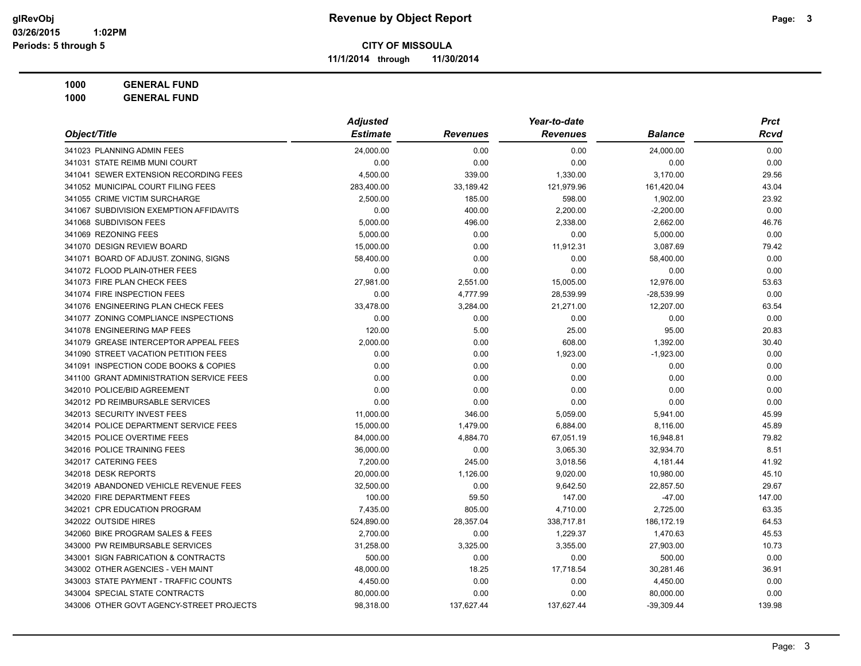**11/1/2014 through 11/30/2014**

|                                          | <b>Adjusted</b> |                 | Year-to-date    |                | <b>Prct</b> |
|------------------------------------------|-----------------|-----------------|-----------------|----------------|-------------|
| Object/Title                             | <b>Estimate</b> | <b>Revenues</b> | <b>Revenues</b> | <b>Balance</b> | <b>Rcvd</b> |
| 341023 PLANNING ADMIN FEES               | 24,000.00       | 0.00            | 0.00            | 24,000.00      | 0.00        |
| 341031 STATE REIMB MUNI COURT            | 0.00            | 0.00            | 0.00            | 0.00           | 0.00        |
| 341041 SEWER EXTENSION RECORDING FEES    | 4,500.00        | 339.00          | 1,330.00        | 3,170.00       | 29.56       |
| 341052 MUNICIPAL COURT FILING FEES       | 283,400.00      | 33,189.42       | 121,979.96      | 161,420.04     | 43.04       |
| 341055 CRIME VICTIM SURCHARGE            | 2,500.00        | 185.00          | 598.00          | 1,902.00       | 23.92       |
| 341067 SUBDIVISION EXEMPTION AFFIDAVITS  | 0.00            | 400.00          | 2,200.00        | $-2,200.00$    | 0.00        |
| 341068 SUBDIVISON FEES                   | 5,000.00        | 496.00          | 2,338.00        | 2,662.00       | 46.76       |
| 341069 REZONING FEES                     | 5,000.00        | 0.00            | 0.00            | 5,000.00       | 0.00        |
| 341070 DESIGN REVIEW BOARD               | 15,000.00       | 0.00            | 11,912.31       | 3,087.69       | 79.42       |
| 341071 BOARD OF ADJUST. ZONING, SIGNS    | 58,400.00       | 0.00            | 0.00            | 58,400.00      | 0.00        |
| 341072 FLOOD PLAIN-0THER FEES            | 0.00            | 0.00            | 0.00            | 0.00           | 0.00        |
| 341073 FIRE PLAN CHECK FEES              | 27,981.00       | 2,551.00        | 15,005.00       | 12,976.00      | 53.63       |
| 341074 FIRE INSPECTION FEES              | 0.00            | 4,777.99        | 28,539.99       | -28,539.99     | 0.00        |
| 341076 ENGINEERING PLAN CHECK FEES       | 33,478.00       | 3,284.00        | 21,271.00       | 12,207.00      | 63.54       |
| 341077 ZONING COMPLIANCE INSPECTIONS     | 0.00            | 0.00            | 0.00            | 0.00           | 0.00        |
| 341078 ENGINEERING MAP FEES              | 120.00          | 5.00            | 25.00           | 95.00          | 20.83       |
| 341079 GREASE INTERCEPTOR APPEAL FEES    | 2,000.00        | 0.00            | 608.00          | 1,392.00       | 30.40       |
| 341090 STREET VACATION PETITION FEES     | 0.00            | 0.00            | 1,923.00        | $-1,923.00$    | 0.00        |
| 341091 INSPECTION CODE BOOKS & COPIES    | 0.00            | 0.00            | 0.00            | 0.00           | 0.00        |
| 341100 GRANT ADMINISTRATION SERVICE FEES | 0.00            | 0.00            | 0.00            | 0.00           | 0.00        |
| 342010 POLICE/BID AGREEMENT              | 0.00            | 0.00            | 0.00            | 0.00           | 0.00        |
| 342012 PD REIMBURSABLE SERVICES          | 0.00            | 0.00            | 0.00            | 0.00           | 0.00        |
| 342013 SECURITY INVEST FEES              | 11,000.00       | 346.00          | 5,059.00        | 5,941.00       | 45.99       |
| 342014 POLICE DEPARTMENT SERVICE FEES    | 15,000.00       | 1,479.00        | 6,884.00        | 8,116.00       | 45.89       |
| 342015 POLICE OVERTIME FEES              | 84,000.00       | 4,884.70        | 67,051.19       | 16,948.81      | 79.82       |
| 342016 POLICE TRAINING FEES              | 36,000.00       | 0.00            | 3,065.30        | 32,934.70      | 8.51        |
| 342017 CATERING FEES                     | 7,200.00        | 245.00          | 3,018.56        | 4,181.44       | 41.92       |
| 342018 DESK REPORTS                      | 20,000.00       | 1,126.00        | 9,020.00        | 10,980.00      | 45.10       |
| 342019 ABANDONED VEHICLE REVENUE FEES    | 32,500.00       | 0.00            | 9,642.50        | 22,857.50      | 29.67       |
| 342020 FIRE DEPARTMENT FEES              | 100.00          | 59.50           | 147.00          | $-47.00$       | 147.00      |
| 342021 CPR EDUCATION PROGRAM             | 7,435.00        | 805.00          | 4,710.00        | 2,725.00       | 63.35       |
| 342022 OUTSIDE HIRES                     | 524,890.00      | 28,357.04       | 338,717.81      | 186,172.19     | 64.53       |
| 342060 BIKE PROGRAM SALES & FEES         | 2,700.00        | 0.00            | 1,229.37        | 1,470.63       | 45.53       |
| 343000 PW REIMBURSABLE SERVICES          | 31,258.00       | 3,325.00        | 3,355.00        | 27,903.00      | 10.73       |
| 343001 SIGN FABRICATION & CONTRACTS      | 500.00          | 0.00            | 0.00            | 500.00         | 0.00        |
| 343002 OTHER AGENCIES - VEH MAINT        | 48,000.00       | 18.25           | 17,718.54       | 30,281.46      | 36.91       |
| 343003 STATE PAYMENT - TRAFFIC COUNTS    | 4,450.00        | 0.00            | 0.00            | 4,450.00       | 0.00        |
| 343004 SPECIAL STATE CONTRACTS           | 80,000.00       | 0.00            | 0.00            | 80,000.00      | 0.00        |
| 343006 OTHER GOVT AGENCY-STREET PROJECTS | 98,318.00       | 137,627.44      | 137,627.44      | $-39,309.44$   | 139.98      |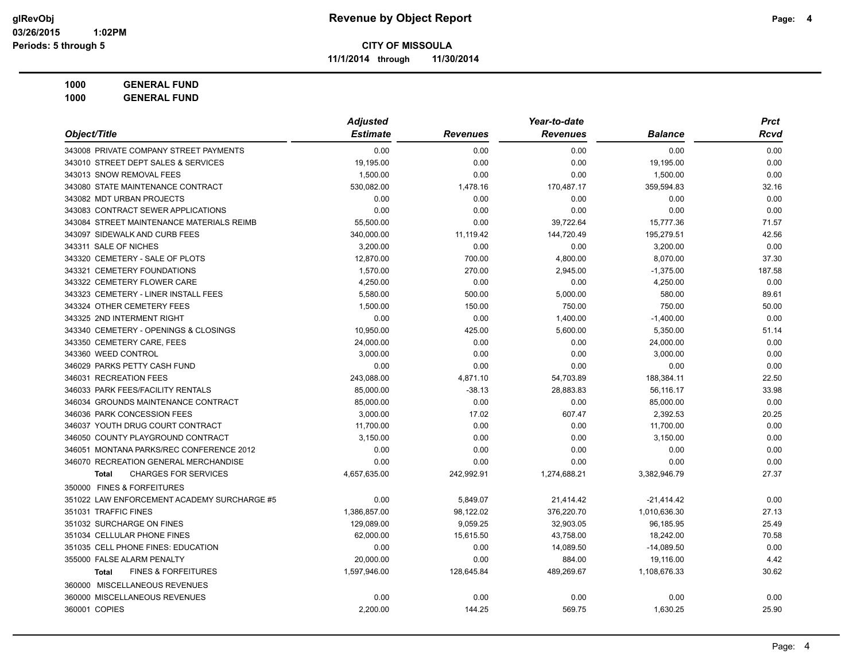**11/1/2014 through 11/30/2014**

|                                                | <b>Adjusted</b> |                 | Year-to-date    |                | <b>Prct</b> |
|------------------------------------------------|-----------------|-----------------|-----------------|----------------|-------------|
| Object/Title                                   | <b>Estimate</b> | <b>Revenues</b> | <b>Revenues</b> | <b>Balance</b> | Rcvd        |
| 343008 PRIVATE COMPANY STREET PAYMENTS         | 0.00            | 0.00            | 0.00            | 0.00           | 0.00        |
| 343010 STREET DEPT SALES & SERVICES            | 19,195.00       | 0.00            | 0.00            | 19,195.00      | 0.00        |
| 343013 SNOW REMOVAL FEES                       | 1,500.00        | 0.00            | 0.00            | 1,500.00       | 0.00        |
| 343080 STATE MAINTENANCE CONTRACT              | 530,082.00      | 1,478.16        | 170,487.17      | 359,594.83     | 32.16       |
| 343082 MDT URBAN PROJECTS                      | 0.00            | 0.00            | 0.00            | 0.00           | 0.00        |
| 343083 CONTRACT SEWER APPLICATIONS             | 0.00            | 0.00            | 0.00            | 0.00           | 0.00        |
| 343084 STREET MAINTENANCE MATERIALS REIMB      | 55,500.00       | 0.00            | 39,722.64       | 15,777.36      | 71.57       |
| 343097 SIDEWALK AND CURB FEES                  | 340,000.00      | 11,119.42       | 144,720.49      | 195,279.51     | 42.56       |
| 343311 SALE OF NICHES                          | 3,200.00        | 0.00            | 0.00            | 3,200.00       | 0.00        |
| 343320 CEMETERY - SALE OF PLOTS                | 12,870.00       | 700.00          | 4,800.00        | 8,070.00       | 37.30       |
| 343321 CEMETERY FOUNDATIONS                    | 1,570.00        | 270.00          | 2,945.00        | $-1,375.00$    | 187.58      |
| 343322 CEMETERY FLOWER CARE                    | 4,250.00        | 0.00            | 0.00            | 4,250.00       | 0.00        |
| 343323 CEMETERY - LINER INSTALL FEES           | 5,580.00        | 500.00          | 5,000.00        | 580.00         | 89.61       |
| 343324 OTHER CEMETERY FEES                     | 1,500.00        | 150.00          | 750.00          | 750.00         | 50.00       |
| 343325 2ND INTERMENT RIGHT                     | 0.00            | 0.00            | 1,400.00        | $-1,400.00$    | 0.00        |
| 343340 CEMETERY - OPENINGS & CLOSINGS          | 10,950.00       | 425.00          | 5,600.00        | 5,350.00       | 51.14       |
| 343350 CEMETERY CARE, FEES                     | 24,000.00       | 0.00            | 0.00            | 24,000.00      | 0.00        |
| 343360 WEED CONTROL                            | 3,000.00        | 0.00            | 0.00            | 3,000.00       | 0.00        |
| 346029 PARKS PETTY CASH FUND                   | 0.00            | 0.00            | 0.00            | 0.00           | 0.00        |
| 346031 RECREATION FEES                         | 243,088.00      | 4,871.10        | 54,703.89       | 188,384.11     | 22.50       |
| 346033 PARK FEES/FACILITY RENTALS              | 85,000.00       | $-38.13$        | 28,883.83       | 56,116.17      | 33.98       |
| 346034 GROUNDS MAINTENANCE CONTRACT            | 85,000.00       | 0.00            | 0.00            | 85,000.00      | 0.00        |
| 346036 PARK CONCESSION FEES                    | 3,000.00        | 17.02           | 607.47          | 2,392.53       | 20.25       |
| 346037 YOUTH DRUG COURT CONTRACT               | 11,700.00       | 0.00            | 0.00            | 11,700.00      | 0.00        |
| 346050 COUNTY PLAYGROUND CONTRACT              | 3,150.00        | 0.00            | 0.00            | 3,150.00       | 0.00        |
| 346051 MONTANA PARKS/REC CONFERENCE 2012       | 0.00            | 0.00            | 0.00            | 0.00           | 0.00        |
| 346070 RECREATION GENERAL MERCHANDISE          | 0.00            | 0.00            | 0.00            | 0.00           | 0.00        |
| <b>CHARGES FOR SERVICES</b><br><b>Total</b>    | 4,657,635.00    | 242,992.91      | 1,274,688.21    | 3,382,946.79   | 27.37       |
| 350000 FINES & FORFEITURES                     |                 |                 |                 |                |             |
| 351022 LAW ENFORCEMENT ACADEMY SURCHARGE #5    | 0.00            | 5,849.07        | 21,414.42       | $-21,414.42$   | 0.00        |
| 351031 TRAFFIC FINES                           | 1,386,857.00    | 98,122.02       | 376,220.70      | 1,010,636.30   | 27.13       |
| 351032 SURCHARGE ON FINES                      | 129,089.00      | 9,059.25        | 32,903.05       | 96,185.95      | 25.49       |
| 351034 CELLULAR PHONE FINES                    | 62,000.00       | 15,615.50       | 43,758.00       | 18,242.00      | 70.58       |
| 351035 CELL PHONE FINES: EDUCATION             | 0.00            | 0.00            | 14,089.50       | $-14,089.50$   | 0.00        |
| 355000 FALSE ALARM PENALTY                     | 20,000.00       | 0.00            | 884.00          | 19,116.00      | 4.42        |
| <b>FINES &amp; FORFEITURES</b><br><b>Total</b> | 1,597,946.00    | 128,645.84      | 489,269.67      | 1,108,676.33   | 30.62       |
| 360000 MISCELLANEOUS REVENUES                  |                 |                 |                 |                |             |
| 360000 MISCELLANEOUS REVENUES                  | 0.00            | 0.00            | 0.00            | 0.00           | 0.00        |
| 360001 COPIES                                  | 2,200.00        | 144.25          | 569.75          | 1,630.25       | 25.90       |
|                                                |                 |                 |                 |                |             |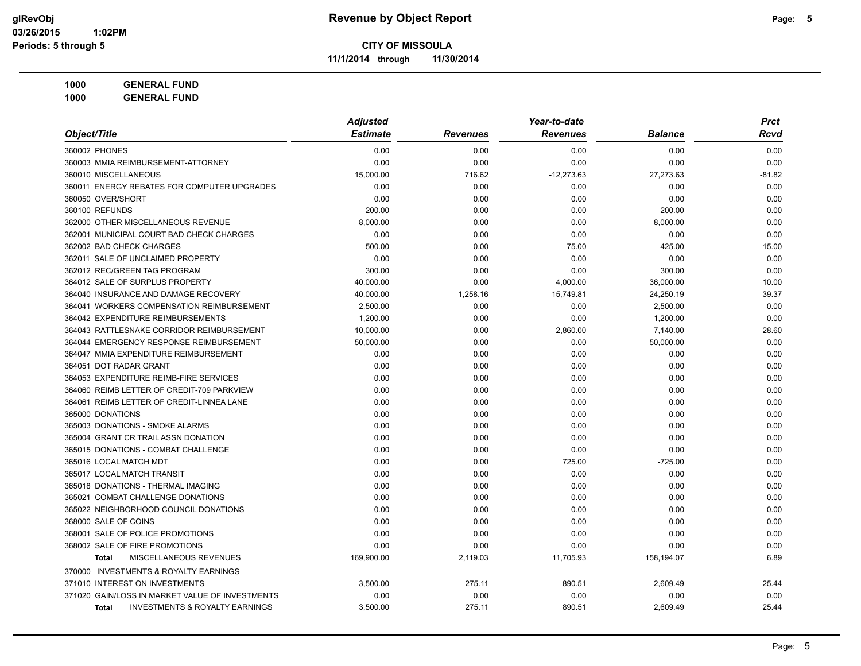**11/1/2014 through 11/30/2014**

| 1000 | <b>GENERAL FUND</b> |
|------|---------------------|
|------|---------------------|

|                                                           | <b>Adjusted</b> |                 | Year-to-date    |                | <b>Prct</b> |
|-----------------------------------------------------------|-----------------|-----------------|-----------------|----------------|-------------|
| Object/Title                                              | <b>Estimate</b> | <b>Revenues</b> | <b>Revenues</b> | <b>Balance</b> | Rcvd        |
| 360002 PHONES                                             | 0.00            | 0.00            | 0.00            | 0.00           | 0.00        |
| 360003 MMIA REIMBURSEMENT-ATTORNEY                        | 0.00            | 0.00            | 0.00            | 0.00           | 0.00        |
| 360010 MISCELLANEOUS                                      | 15,000.00       | 716.62          | $-12,273.63$    | 27,273.63      | $-81.82$    |
| 360011 ENERGY REBATES FOR COMPUTER UPGRADES               | 0.00            | 0.00            | 0.00            | 0.00           | 0.00        |
| 360050 OVER/SHORT                                         | 0.00            | 0.00            | 0.00            | 0.00           | 0.00        |
| 360100 REFUNDS                                            | 200.00          | 0.00            | 0.00            | 200.00         | 0.00        |
| 362000 OTHER MISCELLANEOUS REVENUE                        | 8,000.00        | 0.00            | 0.00            | 8,000.00       | 0.00        |
| 362001 MUNICIPAL COURT BAD CHECK CHARGES                  | 0.00            | 0.00            | 0.00            | 0.00           | 0.00        |
| 362002 BAD CHECK CHARGES                                  | 500.00          | 0.00            | 75.00           | 425.00         | 15.00       |
| 362011 SALE OF UNCLAIMED PROPERTY                         | 0.00            | 0.00            | 0.00            | 0.00           | 0.00        |
| 362012 REC/GREEN TAG PROGRAM                              | 300.00          | 0.00            | 0.00            | 300.00         | 0.00        |
| 364012 SALE OF SURPLUS PROPERTY                           | 40.000.00       | 0.00            | 4,000.00        | 36,000.00      | 10.00       |
| 364040 INSURANCE AND DAMAGE RECOVERY                      | 40,000.00       | 1,258.16        | 15,749.81       | 24,250.19      | 39.37       |
| 364041 WORKERS COMPENSATION REIMBURSEMENT                 | 2,500.00        | 0.00            | 0.00            | 2,500.00       | 0.00        |
| 364042 EXPENDITURE REIMBURSEMENTS                         | 1,200.00        | 0.00            | 0.00            | 1,200.00       | 0.00        |
| 364043 RATTLESNAKE CORRIDOR REIMBURSEMENT                 | 10,000.00       | 0.00            | 2,860.00        | 7,140.00       | 28.60       |
| 364044 EMERGENCY RESPONSE REIMBURSEMENT                   | 50,000.00       | 0.00            | 0.00            | 50,000.00      | 0.00        |
| 364047 MMIA EXPENDITURE REIMBURSEMENT                     | 0.00            | 0.00            | 0.00            | 0.00           | 0.00        |
| 364051 DOT RADAR GRANT                                    | 0.00            | 0.00            | 0.00            | 0.00           | 0.00        |
| 364053 EXPENDITURE REIMB-FIRE SERVICES                    | 0.00            | 0.00            | 0.00            | 0.00           | 0.00        |
| 364060 REIMB LETTER OF CREDIT-709 PARKVIEW                | 0.00            | 0.00            | 0.00            | 0.00           | 0.00        |
| 364061 REIMB LETTER OF CREDIT-LINNEA LANE                 | 0.00            | 0.00            | 0.00            | 0.00           | 0.00        |
| 365000 DONATIONS                                          | 0.00            | 0.00            | 0.00            | 0.00           | 0.00        |
| 365003 DONATIONS - SMOKE ALARMS                           | 0.00            | 0.00            | 0.00            | 0.00           | 0.00        |
| 365004 GRANT CR TRAIL ASSN DONATION                       | 0.00            | 0.00            | 0.00            | 0.00           | 0.00        |
| 365015 DONATIONS - COMBAT CHALLENGE                       | 0.00            | 0.00            | 0.00            | 0.00           | 0.00        |
| 365016 LOCAL MATCH MDT                                    | 0.00            | 0.00            | 725.00          | $-725.00$      | 0.00        |
| 365017 LOCAL MATCH TRANSIT                                | 0.00            | 0.00            | 0.00            | 0.00           | 0.00        |
| 365018 DONATIONS - THERMAL IMAGING                        | 0.00            | 0.00            | 0.00            | 0.00           | 0.00        |
| 365021 COMBAT CHALLENGE DONATIONS                         | 0.00            | 0.00            | 0.00            | 0.00           | 0.00        |
| 365022 NEIGHBORHOOD COUNCIL DONATIONS                     | 0.00            | 0.00            | 0.00            | 0.00           | 0.00        |
| 368000 SALE OF COINS                                      | 0.00            | 0.00            | 0.00            | 0.00           | 0.00        |
| 368001 SALE OF POLICE PROMOTIONS                          | 0.00            | 0.00            | 0.00            | 0.00           | 0.00        |
| 368002 SALE OF FIRE PROMOTIONS                            | 0.00            | 0.00            | 0.00            | 0.00           | 0.00        |
| MISCELLANEOUS REVENUES<br><b>Total</b>                    | 169,900.00      | 2,119.03        | 11,705.93       | 158,194.07     | 6.89        |
| 370000 INVESTMENTS & ROYALTY EARNINGS                     |                 |                 |                 |                |             |
| 371010 INTEREST ON INVESTMENTS                            | 3,500.00        | 275.11          | 890.51          | 2,609.49       | 25.44       |
| 371020 GAIN/LOSS IN MARKET VALUE OF INVESTMENTS           | 0.00            | 0.00            | 0.00            | 0.00           | 0.00        |
| <b>INVESTMENTS &amp; ROYALTY EARNINGS</b><br><b>Total</b> | 3,500.00        | 275.11          | 890.51          | 2,609.49       | 25.44       |
|                                                           |                 |                 |                 |                |             |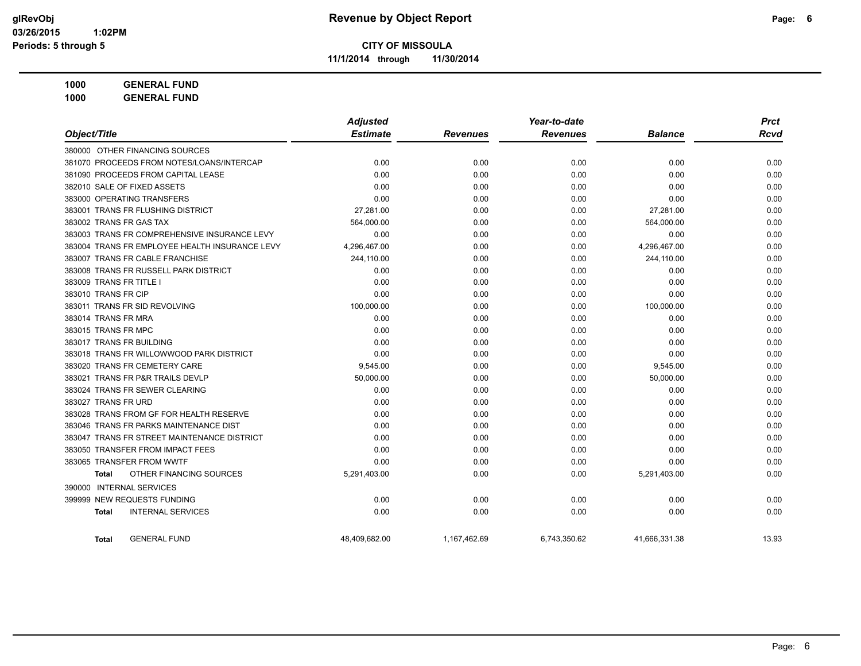**11/1/2014 through 11/30/2014**

|                                                | <b>Adjusted</b> |                 | Year-to-date    |                | <b>Prct</b> |
|------------------------------------------------|-----------------|-----------------|-----------------|----------------|-------------|
| Object/Title                                   | <b>Estimate</b> | <b>Revenues</b> | <b>Revenues</b> | <b>Balance</b> | <b>Rcvd</b> |
| 380000 OTHER FINANCING SOURCES                 |                 |                 |                 |                |             |
| 381070 PROCEEDS FROM NOTES/LOANS/INTERCAP      | 0.00            | 0.00            | 0.00            | 0.00           | 0.00        |
| 381090 PROCEEDS FROM CAPITAL LEASE             | 0.00            | 0.00            | 0.00            | 0.00           | 0.00        |
| 382010 SALE OF FIXED ASSETS                    | 0.00            | 0.00            | 0.00            | 0.00           | 0.00        |
| 383000 OPERATING TRANSFERS                     | 0.00            | 0.00            | 0.00            | 0.00           | 0.00        |
| 383001 TRANS FR FLUSHING DISTRICT              | 27,281.00       | 0.00            | 0.00            | 27,281.00      | 0.00        |
| 383002 TRANS FR GAS TAX                        | 564,000.00      | 0.00            | 0.00            | 564,000.00     | 0.00        |
| 383003 TRANS FR COMPREHENSIVE INSURANCE LEVY   | 0.00            | 0.00            | 0.00            | 0.00           | 0.00        |
| 383004 TRANS FR EMPLOYEE HEALTH INSURANCE LEVY | 4,296,467.00    | 0.00            | 0.00            | 4,296,467.00   | 0.00        |
| 383007 TRANS FR CABLE FRANCHISE                | 244,110.00      | 0.00            | 0.00            | 244,110.00     | 0.00        |
| 383008 TRANS FR RUSSELL PARK DISTRICT          | 0.00            | 0.00            | 0.00            | 0.00           | 0.00        |
| 383009 TRANS FR TITLE I                        | 0.00            | 0.00            | 0.00            | 0.00           | 0.00        |
| 383010 TRANS FR CIP                            | 0.00            | 0.00            | 0.00            | 0.00           | 0.00        |
| 383011 TRANS FR SID REVOLVING                  | 100,000.00      | 0.00            | 0.00            | 100,000.00     | 0.00        |
| 383014 TRANS FR MRA                            | 0.00            | 0.00            | 0.00            | 0.00           | 0.00        |
| 383015 TRANS FR MPC                            | 0.00            | 0.00            | 0.00            | 0.00           | 0.00        |
| 383017 TRANS FR BUILDING                       | 0.00            | 0.00            | 0.00            | 0.00           | 0.00        |
| 383018 TRANS FR WILLOWWOOD PARK DISTRICT       | 0.00            | 0.00            | 0.00            | 0.00           | 0.00        |
| 383020 TRANS FR CEMETERY CARE                  | 9,545.00        | 0.00            | 0.00            | 9,545.00       | 0.00        |
| 383021 TRANS FR P&R TRAILS DEVLP               | 50,000.00       | 0.00            | 0.00            | 50,000.00      | 0.00        |
| 383024 TRANS FR SEWER CLEARING                 | 0.00            | 0.00            | 0.00            | 0.00           | 0.00        |
| 383027 TRANS FR URD                            | 0.00            | 0.00            | 0.00            | 0.00           | 0.00        |
| 383028 TRANS FROM GF FOR HEALTH RESERVE        | 0.00            | 0.00            | 0.00            | 0.00           | 0.00        |
| 383046 TRANS FR PARKS MAINTENANCE DIST         | 0.00            | 0.00            | 0.00            | 0.00           | 0.00        |
| 383047 TRANS FR STREET MAINTENANCE DISTRICT    | 0.00            | 0.00            | 0.00            | 0.00           | 0.00        |
| 383050 TRANSFER FROM IMPACT FEES               | 0.00            | 0.00            | 0.00            | 0.00           | 0.00        |
| 383065 TRANSFER FROM WWTF                      | 0.00            | 0.00            | 0.00            | 0.00           | 0.00        |
| OTHER FINANCING SOURCES<br><b>Total</b>        | 5,291,403.00    | 0.00            | 0.00            | 5,291,403.00   | 0.00        |
| 390000 INTERNAL SERVICES                       |                 |                 |                 |                |             |
| 399999 NEW REQUESTS FUNDING                    | 0.00            | 0.00            | 0.00            | 0.00           | 0.00        |
| <b>INTERNAL SERVICES</b><br>Total              | 0.00            | 0.00            | 0.00            | 0.00           | 0.00        |
| <b>GENERAL FUND</b><br><b>Total</b>            | 48.409.682.00   | 1,167,462.69    | 6,743,350.62    | 41.666.331.38  | 13.93       |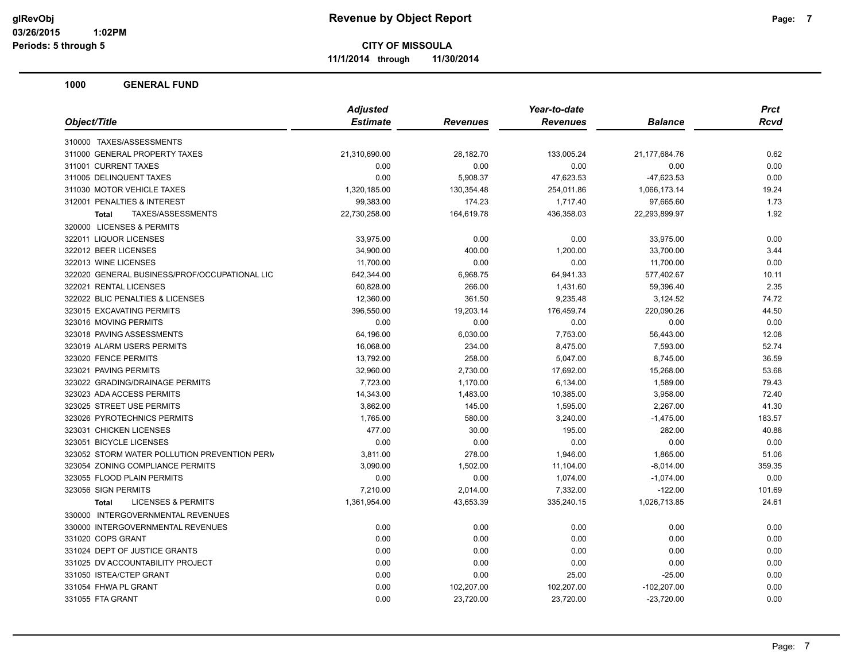**11/1/2014 through 11/30/2014**

|                                               | <b>Adjusted</b> | Year-to-date    |                 |                | <b>Prct</b> |
|-----------------------------------------------|-----------------|-----------------|-----------------|----------------|-------------|
| Object/Title                                  | <b>Estimate</b> | <b>Revenues</b> | <b>Revenues</b> | <b>Balance</b> | <b>Rcvd</b> |
| 310000 TAXES/ASSESSMENTS                      |                 |                 |                 |                |             |
| 311000 GENERAL PROPERTY TAXES                 | 21,310,690.00   | 28,182.70       | 133,005.24      | 21,177,684.76  | 0.62        |
| 311001 CURRENT TAXES                          | 0.00            | 0.00            | 0.00            | 0.00           | 0.00        |
| 311005 DELINQUENT TAXES                       | 0.00            | 5,908.37        | 47,623.53       | -47,623.53     | 0.00        |
| 311030 MOTOR VEHICLE TAXES                    | 1,320,185.00    | 130,354.48      | 254,011.86      | 1,066,173.14   | 19.24       |
| 312001 PENALTIES & INTEREST                   | 99,383.00       | 174.23          | 1,717.40        | 97,665.60      | 1.73        |
| TAXES/ASSESSMENTS<br><b>Total</b>             | 22,730,258.00   | 164,619.78      | 436,358.03      | 22,293,899.97  | 1.92        |
| 320000 LICENSES & PERMITS                     |                 |                 |                 |                |             |
| 322011 LIQUOR LICENSES                        | 33,975.00       | 0.00            | 0.00            | 33,975.00      | 0.00        |
| 322012 BEER LICENSES                          | 34,900.00       | 400.00          | 1,200.00        | 33,700.00      | 3.44        |
| 322013 WINE LICENSES                          | 11,700.00       | 0.00            | 0.00            | 11,700.00      | 0.00        |
| 322020 GENERAL BUSINESS/PROF/OCCUPATIONAL LIC | 642,344.00      | 6,968.75        | 64,941.33       | 577,402.67     | 10.11       |
| 322021 RENTAL LICENSES                        | 60,828.00       | 266.00          | 1,431.60        | 59,396.40      | 2.35        |
| 322022 BLIC PENALTIES & LICENSES              | 12,360.00       | 361.50          | 9,235.48        | 3,124.52       | 74.72       |
| 323015 EXCAVATING PERMITS                     | 396,550.00      | 19,203.14       | 176,459.74      | 220,090.26     | 44.50       |
| 323016 MOVING PERMITS                         | 0.00            | 0.00            | 0.00            | 0.00           | 0.00        |
| 323018 PAVING ASSESSMENTS                     | 64,196.00       | 6,030.00        | 7,753.00        | 56,443.00      | 12.08       |
| 323019 ALARM USERS PERMITS                    | 16,068.00       | 234.00          | 8,475.00        | 7,593.00       | 52.74       |
| 323020 FENCE PERMITS                          | 13,792.00       | 258.00          | 5,047.00        | 8,745.00       | 36.59       |
| 323021 PAVING PERMITS                         | 32,960.00       | 2,730.00        | 17,692.00       | 15,268.00      | 53.68       |
| 323022 GRADING/DRAINAGE PERMITS               | 7,723.00        | 1,170.00        | 6,134.00        | 1,589.00       | 79.43       |
| 323023 ADA ACCESS PERMITS                     | 14,343.00       | 1,483.00        | 10,385.00       | 3,958.00       | 72.40       |
| 323025 STREET USE PERMITS                     | 3,862.00        | 145.00          | 1,595.00        | 2,267.00       | 41.30       |
| 323026 PYROTECHNICS PERMITS                   | 1,765.00        | 580.00          | 3,240.00        | $-1,475.00$    | 183.57      |
| 323031 CHICKEN LICENSES                       | 477.00          | 30.00           | 195.00          | 282.00         | 40.88       |
| 323051 BICYCLE LICENSES                       | 0.00            | 0.00            | 0.00            | 0.00           | 0.00        |
| 323052 STORM WATER POLLUTION PREVENTION PERM  | 3,811.00        | 278.00          | 1,946.00        | 1,865.00       | 51.06       |
| 323054 ZONING COMPLIANCE PERMITS              | 3,090.00        | 1,502.00        | 11,104.00       | $-8,014.00$    | 359.35      |
| 323055 FLOOD PLAIN PERMITS                    | 0.00            | 0.00            | 1,074.00        | $-1,074.00$    | 0.00        |
| 323056 SIGN PERMITS                           | 7,210.00        | 2,014.00        | 7,332.00        | $-122.00$      | 101.69      |
| <b>LICENSES &amp; PERMITS</b><br><b>Total</b> | 1,361,954.00    | 43,653.39       | 335,240.15      | 1,026,713.85   | 24.61       |
| 330000 INTERGOVERNMENTAL REVENUES             |                 |                 |                 |                |             |
| 330000 INTERGOVERNMENTAL REVENUES             | 0.00            | 0.00            | 0.00            | 0.00           | 0.00        |
| 331020 COPS GRANT                             | 0.00            | 0.00            | 0.00            | 0.00           | 0.00        |
| 331024 DEPT OF JUSTICE GRANTS                 | 0.00            | 0.00            | 0.00            | 0.00           | 0.00        |
| 331025 DV ACCOUNTABILITY PROJECT              | 0.00            | 0.00            | 0.00            | 0.00           | 0.00        |
| 331050 ISTEA/CTEP GRANT                       | 0.00            | 0.00            | 25.00           | $-25.00$       | 0.00        |
| 331054 FHWA PL GRANT                          | 0.00            | 102,207.00      | 102,207.00      | $-102,207.00$  | 0.00        |
| 331055 FTA GRANT                              | 0.00            | 23,720.00       | 23,720.00       | $-23,720.00$   | 0.00        |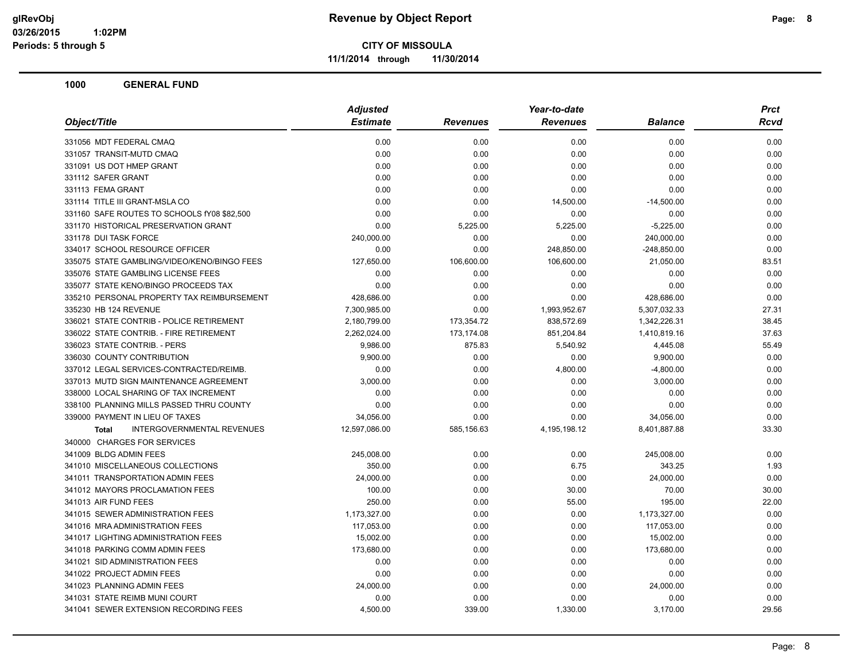**11/1/2014 through 11/30/2014**

|                                                   | <b>Adjusted</b> |                 | Year-to-date    |                | <b>Prct</b> |
|---------------------------------------------------|-----------------|-----------------|-----------------|----------------|-------------|
| Object/Title                                      | <b>Estimate</b> | <b>Revenues</b> | <b>Revenues</b> | <b>Balance</b> | Rcvd        |
| 331056 MDT FEDERAL CMAQ                           | 0.00            | 0.00            | 0.00            | 0.00           | 0.00        |
| 331057 TRANSIT-MUTD CMAQ                          | 0.00            | 0.00            | 0.00            | 0.00           | 0.00        |
| 331091 US DOT HMEP GRANT                          | 0.00            | 0.00            | 0.00            | 0.00           | 0.00        |
| 331112 SAFER GRANT                                | 0.00            | 0.00            | 0.00            | 0.00           | 0.00        |
| 331113 FEMA GRANT                                 | 0.00            | 0.00            | 0.00            | 0.00           | 0.00        |
| 331114 TITLE III GRANT-MSLA CO                    | 0.00            | 0.00            | 14,500.00       | $-14,500.00$   | 0.00        |
| 331160 SAFE ROUTES TO SCHOOLS fY08 \$82,500       | 0.00            | 0.00            | 0.00            | 0.00           | 0.00        |
| 331170 HISTORICAL PRESERVATION GRANT              | 0.00            | 5,225.00        | 5,225.00        | $-5,225.00$    | 0.00        |
| 331178 DUI TASK FORCE                             | 240,000.00      | 0.00            | 0.00            | 240,000.00     | 0.00        |
| 334017 SCHOOL RESOURCE OFFICER                    | 0.00            | 0.00            | 248,850.00      | $-248,850.00$  | 0.00        |
| 335075 STATE GAMBLING/VIDEO/KENO/BINGO FEES       | 127,650.00      | 106,600.00      | 106,600.00      | 21,050.00      | 83.51       |
| 335076 STATE GAMBLING LICENSE FEES                | 0.00            | 0.00            | 0.00            | 0.00           | 0.00        |
| 335077 STATE KENO/BINGO PROCEEDS TAX              | 0.00            | 0.00            | 0.00            | 0.00           | 0.00        |
| 335210 PERSONAL PROPERTY TAX REIMBURSEMENT        | 428,686.00      | 0.00            | 0.00            | 428,686.00     | 0.00        |
| 335230 HB 124 REVENUE                             | 7,300,985.00    | 0.00            | 1,993,952.67    | 5,307,032.33   | 27.31       |
| 336021 STATE CONTRIB - POLICE RETIREMENT          | 2,180,799.00    | 173,354.72      | 838,572.69      | 1,342,226.31   | 38.45       |
| 336022 STATE CONTRIB. - FIRE RETIREMENT           | 2,262,024.00    | 173,174.08      | 851,204.84      | 1,410,819.16   | 37.63       |
| 336023 STATE CONTRIB. - PERS                      | 9,986.00        | 875.83          | 5,540.92        | 4,445.08       | 55.49       |
| 336030 COUNTY CONTRIBUTION                        | 9,900.00        | 0.00            | 0.00            | 9,900.00       | 0.00        |
| 337012 LEGAL SERVICES-CONTRACTED/REIMB            | 0.00            | 0.00            | 4,800.00        | $-4,800.00$    | 0.00        |
| 337013 MUTD SIGN MAINTENANCE AGREEMENT            | 3,000.00        | 0.00            | 0.00            | 3,000.00       | 0.00        |
| 338000 LOCAL SHARING OF TAX INCREMENT             | 0.00            | 0.00            | 0.00            | 0.00           | 0.00        |
| 338100 PLANNING MILLS PASSED THRU COUNTY          | 0.00            | 0.00            | 0.00            | 0.00           | 0.00        |
| 339000 PAYMENT IN LIEU OF TAXES                   | 34,056.00       | 0.00            | 0.00            | 34,056.00      | 0.00        |
| <b>INTERGOVERNMENTAL REVENUES</b><br><b>Total</b> | 12,597,086.00   | 585,156.63      | 4,195,198.12    | 8,401,887.88   | 33.30       |
| 340000 CHARGES FOR SERVICES                       |                 |                 |                 |                |             |
| 341009 BLDG ADMIN FEES                            | 245,008.00      | 0.00            | 0.00            | 245,008.00     | 0.00        |
| 341010 MISCELLANEOUS COLLECTIONS                  | 350.00          | 0.00            | 6.75            | 343.25         | 1.93        |
| 341011 TRANSPORTATION ADMIN FEES                  | 24,000.00       | 0.00            | 0.00            | 24,000.00      | 0.00        |
| 341012 MAYORS PROCLAMATION FEES                   | 100.00          | 0.00            | 30.00           | 70.00          | 30.00       |
| 341013 AIR FUND FEES                              | 250.00          | 0.00            | 55.00           | 195.00         | 22.00       |
| 341015 SEWER ADMINISTRATION FEES                  | 1,173,327.00    | 0.00            | 0.00            | 1,173,327.00   | 0.00        |
| 341016 MRA ADMINISTRATION FEES                    | 117,053.00      | 0.00            | 0.00            | 117,053.00     | 0.00        |
| 341017 LIGHTING ADMINISTRATION FEES               | 15,002.00       | 0.00            | 0.00            | 15,002.00      | 0.00        |
| 341018 PARKING COMM ADMIN FEES                    | 173,680.00      | 0.00            | 0.00            | 173,680.00     | 0.00        |
| 341021 SID ADMINISTRATION FEES                    | 0.00            | 0.00            | 0.00            | 0.00           | 0.00        |
| 341022 PROJECT ADMIN FEES                         | 0.00            | 0.00            | 0.00            | 0.00           | 0.00        |
| 341023 PLANNING ADMIN FEES                        | 24,000.00       | 0.00            | 0.00            | 24,000.00      | 0.00        |
| 341031 STATE REIMB MUNI COURT                     | 0.00            | 0.00            | 0.00            | 0.00           | 0.00        |
| 341041 SEWER EXTENSION RECORDING FEES             | 4,500.00        | 339.00          | 1,330.00        | 3,170.00       | 29.56       |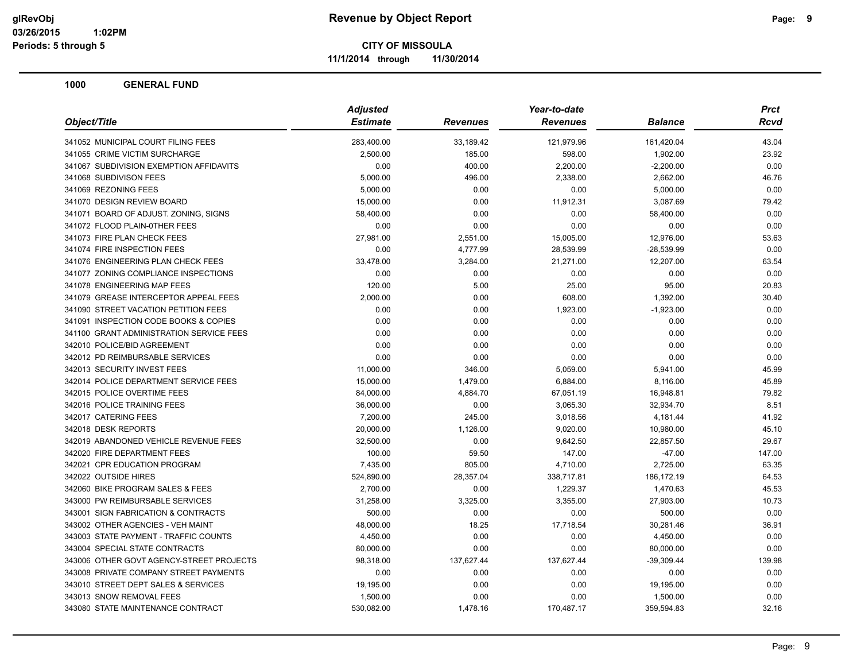# **glRevObj Revenue by Object Report Page: 9**

**CITY OF MISSOULA**

**11/1/2014 through 11/30/2014**

|                                          | <b>Adjusted</b> |                 | Year-to-date    |                | <b>Prct</b> |
|------------------------------------------|-----------------|-----------------|-----------------|----------------|-------------|
| Object/Title                             | <b>Estimate</b> | <b>Revenues</b> | <b>Revenues</b> | <b>Balance</b> | Rcvd        |
| 341052 MUNICIPAL COURT FILING FEES       | 283,400.00      | 33,189.42       | 121,979.96      | 161,420.04     | 43.04       |
| 341055 CRIME VICTIM SURCHARGE            | 2,500.00        | 185.00          | 598.00          | 1,902.00       | 23.92       |
| 341067 SUBDIVISION EXEMPTION AFFIDAVITS  | 0.00            | 400.00          | 2,200.00        | $-2,200.00$    | 0.00        |
| 341068 SUBDIVISON FEES                   | 5,000.00        | 496.00          | 2,338.00        | 2,662.00       | 46.76       |
| 341069 REZONING FEES                     | 5,000.00        | 0.00            | 0.00            | 5,000.00       | 0.00        |
| 341070 DESIGN REVIEW BOARD               | 15,000.00       | 0.00            | 11,912.31       | 3,087.69       | 79.42       |
| 341071 BOARD OF ADJUST. ZONING, SIGNS    | 58,400.00       | 0.00            | 0.00            | 58,400.00      | 0.00        |
| 341072 FLOOD PLAIN-0THER FEES            | 0.00            | 0.00            | 0.00            | 0.00           | 0.00        |
| 341073 FIRE PLAN CHECK FEES              | 27,981.00       | 2,551.00        | 15,005.00       | 12,976.00      | 53.63       |
| 341074 FIRE INSPECTION FEES              | 0.00            | 4,777.99        | 28,539.99       | $-28,539.99$   | 0.00        |
| 341076 ENGINEERING PLAN CHECK FEES       | 33,478.00       | 3,284.00        | 21,271.00       | 12,207.00      | 63.54       |
| 341077 ZONING COMPLIANCE INSPECTIONS     | 0.00            | 0.00            | 0.00            | 0.00           | 0.00        |
| 341078 ENGINEERING MAP FEES              | 120.00          | 5.00            | 25.00           | 95.00          | 20.83       |
| 341079 GREASE INTERCEPTOR APPEAL FEES    | 2,000.00        | 0.00            | 608.00          | 1,392.00       | 30.40       |
| 341090 STREET VACATION PETITION FEES     | 0.00            | 0.00            | 1,923.00        | $-1,923.00$    | 0.00        |
| 341091 INSPECTION CODE BOOKS & COPIES    | 0.00            | 0.00            | 0.00            | 0.00           | 0.00        |
| 341100 GRANT ADMINISTRATION SERVICE FEES | 0.00            | 0.00            | 0.00            | 0.00           | 0.00        |
| 342010 POLICE/BID AGREEMENT              | 0.00            | 0.00            | 0.00            | 0.00           | 0.00        |
| 342012 PD REIMBURSABLE SERVICES          | 0.00            | 0.00            | 0.00            | 0.00           | 0.00        |
| 342013 SECURITY INVEST FEES              | 11,000.00       | 346.00          | 5,059.00        | 5,941.00       | 45.99       |
| 342014 POLICE DEPARTMENT SERVICE FEES    | 15,000.00       | 1,479.00        | 6,884.00        | 8,116.00       | 45.89       |
| 342015 POLICE OVERTIME FEES              | 84,000.00       | 4,884.70        | 67,051.19       | 16,948.81      | 79.82       |
| 342016 POLICE TRAINING FEES              | 36,000.00       | 0.00            | 3,065.30        | 32,934.70      | 8.51        |
| 342017 CATERING FEES                     | 7,200.00        | 245.00          | 3,018.56        | 4,181.44       | 41.92       |
| 342018 DESK REPORTS                      | 20,000.00       | 1,126.00        | 9,020.00        | 10,980.00      | 45.10       |
| 342019 ABANDONED VEHICLE REVENUE FEES    | 32,500.00       | 0.00            | 9,642.50        | 22,857.50      | 29.67       |
| 342020 FIRE DEPARTMENT FEES              | 100.00          | 59.50           | 147.00          | $-47.00$       | 147.00      |
| 342021 CPR EDUCATION PROGRAM             | 7,435.00        | 805.00          | 4,710.00        | 2,725.00       | 63.35       |
| 342022 OUTSIDE HIRES                     | 524,890.00      | 28,357.04       | 338,717.81      | 186,172.19     | 64.53       |
| 342060 BIKE PROGRAM SALES & FEES         | 2,700.00        | 0.00            | 1,229.37        | 1,470.63       | 45.53       |
| 343000 PW REIMBURSABLE SERVICES          | 31,258.00       | 3,325.00        | 3,355.00        | 27,903.00      | 10.73       |
| 343001 SIGN FABRICATION & CONTRACTS      | 500.00          | 0.00            | 0.00            | 500.00         | 0.00        |
| 343002 OTHER AGENCIES - VEH MAINT        | 48,000.00       | 18.25           | 17,718.54       | 30,281.46      | 36.91       |
| 343003 STATE PAYMENT - TRAFFIC COUNTS    | 4,450.00        | 0.00            | 0.00            | 4,450.00       | 0.00        |
| 343004 SPECIAL STATE CONTRACTS           | 80,000.00       | 0.00            | 0.00            | 80,000.00      | 0.00        |
| 343006 OTHER GOVT AGENCY-STREET PROJECTS | 98,318.00       | 137,627.44      | 137,627.44      | $-39,309.44$   | 139.98      |
| 343008 PRIVATE COMPANY STREET PAYMENTS   | 0.00            | 0.00            | 0.00            | 0.00           | 0.00        |
| 343010 STREET DEPT SALES & SERVICES      | 19,195.00       | 0.00            | 0.00            | 19,195.00      | 0.00        |
| 343013 SNOW REMOVAL FEES                 | 1,500.00        | 0.00            | 0.00            | 1,500.00       | 0.00        |
| 343080 STATE MAINTENANCE CONTRACT        | 530,082.00      | 1,478.16        | 170,487.17      | 359,594.83     | 32.16       |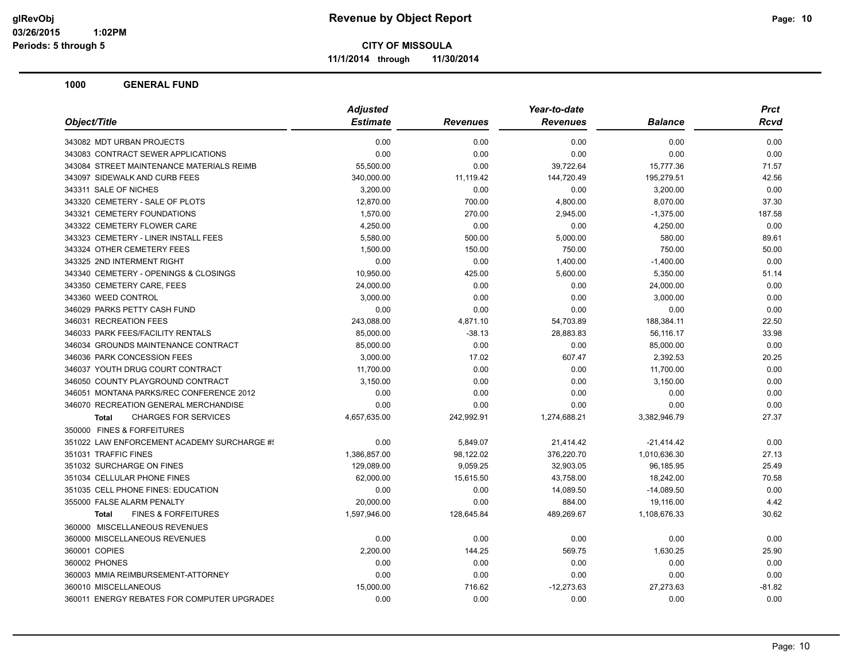**11/1/2014 through 11/30/2014**

|                                                | <b>Adjusted</b> |                 | Year-to-date    |                | <b>Prct</b> |
|------------------------------------------------|-----------------|-----------------|-----------------|----------------|-------------|
| Object/Title                                   | <b>Estimate</b> | <b>Revenues</b> | <b>Revenues</b> | <b>Balance</b> | Rcvd        |
| 343082 MDT URBAN PROJECTS                      | 0.00            | 0.00            | 0.00            | 0.00           | 0.00        |
| 343083 CONTRACT SEWER APPLICATIONS             | 0.00            | 0.00            | 0.00            | 0.00           | 0.00        |
| 343084 STREET MAINTENANCE MATERIALS REIMB      | 55,500.00       | 0.00            | 39,722.64       | 15,777.36      | 71.57       |
| 343097 SIDEWALK AND CURB FEES                  | 340,000.00      | 11,119.42       | 144,720.49      | 195,279.51     | 42.56       |
| 343311 SALE OF NICHES                          | 3,200.00        | 0.00            | 0.00            | 3,200.00       | 0.00        |
| 343320 CEMETERY - SALE OF PLOTS                | 12,870.00       | 700.00          | 4,800.00        | 8,070.00       | 37.30       |
| 343321 CEMETERY FOUNDATIONS                    | 1,570.00        | 270.00          | 2,945.00        | $-1,375.00$    | 187.58      |
| 343322 CEMETERY FLOWER CARE                    | 4,250.00        | 0.00            | 0.00            | 4,250.00       | 0.00        |
| 343323 CEMETERY - LINER INSTALL FEES           | 5,580.00        | 500.00          | 5,000.00        | 580.00         | 89.61       |
| 343324 OTHER CEMETERY FEES                     | 1,500.00        | 150.00          | 750.00          | 750.00         | 50.00       |
| 343325 2ND INTERMENT RIGHT                     | 0.00            | 0.00            | 1,400.00        | $-1,400.00$    | 0.00        |
| 343340 CEMETERY - OPENINGS & CLOSINGS          | 10,950.00       | 425.00          | 5,600.00        | 5,350.00       | 51.14       |
| 343350 CEMETERY CARE, FEES                     | 24,000.00       | 0.00            | 0.00            | 24,000.00      | 0.00        |
| 343360 WEED CONTROL                            | 3,000.00        | 0.00            | 0.00            | 3,000.00       | 0.00        |
| 346029 PARKS PETTY CASH FUND                   | 0.00            | 0.00            | 0.00            | 0.00           | 0.00        |
| 346031 RECREATION FEES                         | 243.088.00      | 4,871.10        | 54,703.89       | 188,384.11     | 22.50       |
| 346033 PARK FEES/FACILITY RENTALS              | 85,000.00       | $-38.13$        | 28,883.83       | 56.116.17      | 33.98       |
| 346034 GROUNDS MAINTENANCE CONTRACT            | 85,000.00       | 0.00            | 0.00            | 85,000.00      | 0.00        |
| 346036 PARK CONCESSION FEES                    | 3,000.00        | 17.02           | 607.47          | 2,392.53       | 20.25       |
| 346037 YOUTH DRUG COURT CONTRACT               | 11,700.00       | 0.00            | 0.00            | 11,700.00      | 0.00        |
| 346050 COUNTY PLAYGROUND CONTRACT              | 3,150.00        | 0.00            | 0.00            | 3,150.00       | 0.00        |
| 346051 MONTANA PARKS/REC CONFERENCE 2012       | 0.00            | 0.00            | 0.00            | 0.00           | 0.00        |
| 346070 RECREATION GENERAL MERCHANDISE          | 0.00            | 0.00            | 0.00            | 0.00           | 0.00        |
| <b>CHARGES FOR SERVICES</b><br><b>Total</b>    | 4,657,635.00    | 242,992.91      | 1,274,688.21    | 3,382,946.79   | 27.37       |
| 350000 FINES & FORFEITURES                     |                 |                 |                 |                |             |
| 351022 LAW ENFORCEMENT ACADEMY SURCHARGE #!    | 0.00            | 5,849.07        | 21,414.42       | $-21,414.42$   | 0.00        |
| 351031 TRAFFIC FINES                           | 1,386,857.00    | 98,122.02       | 376,220.70      | 1,010,636.30   | 27.13       |
| 351032 SURCHARGE ON FINES                      | 129,089.00      | 9,059.25        | 32,903.05       | 96,185.95      | 25.49       |
| 351034 CELLULAR PHONE FINES                    | 62,000.00       | 15,615.50       | 43,758.00       | 18,242.00      | 70.58       |
| 351035 CELL PHONE FINES: EDUCATION             | 0.00            | 0.00            | 14,089.50       | $-14,089.50$   | 0.00        |
| 355000 FALSE ALARM PENALTY                     | 20,000.00       | 0.00            | 884.00          | 19,116.00      | 4.42        |
| <b>FINES &amp; FORFEITURES</b><br><b>Total</b> | 1,597,946.00    | 128,645.84      | 489,269.67      | 1,108,676.33   | 30.62       |
| 360000 MISCELLANEOUS REVENUES                  |                 |                 |                 |                |             |
| 360000 MISCELLANEOUS REVENUES                  | 0.00            | 0.00            | 0.00            | 0.00           | 0.00        |
| 360001 COPIES                                  | 2,200.00        | 144.25          | 569.75          | 1,630.25       | 25.90       |
| 360002 PHONES                                  | 0.00            | 0.00            | 0.00            | 0.00           | 0.00        |
| 360003 MMIA REIMBURSEMENT-ATTORNEY             | 0.00            | 0.00            | 0.00            | 0.00           | 0.00        |
| 360010 MISCELLANEOUS                           | 15,000.00       | 716.62          | $-12,273.63$    | 27,273.63      | $-81.82$    |
| 360011 ENERGY REBATES FOR COMPUTER UPGRADES    | 0.00            | 0.00            | 0.00            | 0.00           | 0.00        |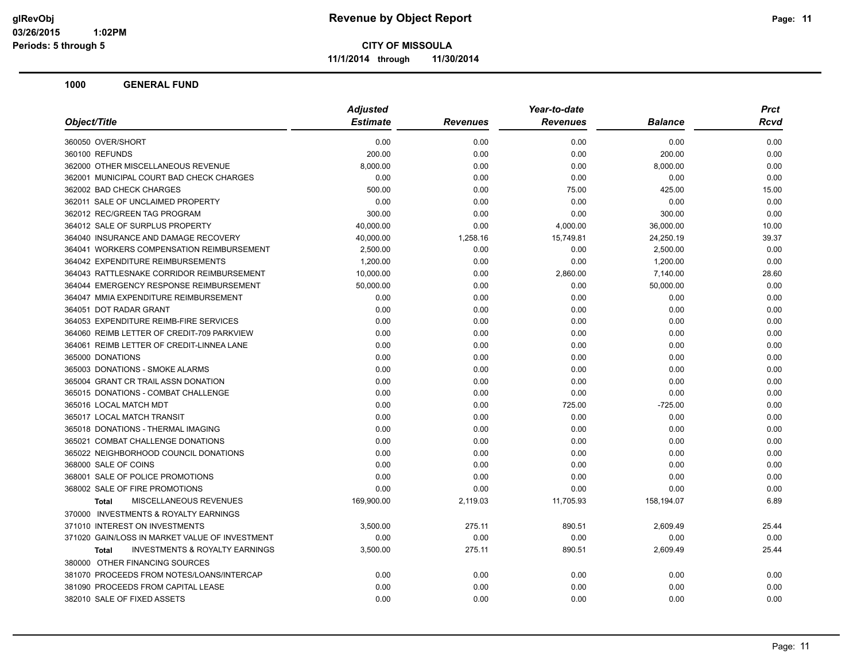**11/1/2014 through 11/30/2014**

|                                                           | <b>Adjusted</b> |                 | Year-to-date    |                | <b>Prct</b> |
|-----------------------------------------------------------|-----------------|-----------------|-----------------|----------------|-------------|
| Object/Title                                              | <b>Estimate</b> | <b>Revenues</b> | <b>Revenues</b> | <b>Balance</b> | Rcvd        |
| 360050 OVER/SHORT                                         | 0.00            | 0.00            | 0.00            | 0.00           | 0.00        |
| 360100 REFUNDS                                            | 200.00          | 0.00            | 0.00            | 200.00         | 0.00        |
| 362000 OTHER MISCELLANEOUS REVENUE                        | 8,000.00        | 0.00            | 0.00            | 8,000.00       | 0.00        |
| 362001 MUNICIPAL COURT BAD CHECK CHARGES                  | 0.00            | 0.00            | 0.00            | 0.00           | 0.00        |
| 362002 BAD CHECK CHARGES                                  | 500.00          | 0.00            | 75.00           | 425.00         | 15.00       |
| 362011 SALE OF UNCLAIMED PROPERTY                         | 0.00            | 0.00            | 0.00            | 0.00           | 0.00        |
| 362012 REC/GREEN TAG PROGRAM                              | 300.00          | 0.00            | 0.00            | 300.00         | 0.00        |
| 364012 SALE OF SURPLUS PROPERTY                           | 40,000.00       | 0.00            | 4,000.00        | 36,000.00      | 10.00       |
| 364040 INSURANCE AND DAMAGE RECOVERY                      | 40,000.00       | 1,258.16        | 15,749.81       | 24,250.19      | 39.37       |
| 364041 WORKERS COMPENSATION REIMBURSEMENT                 | 2,500.00        | 0.00            | 0.00            | 2,500.00       | 0.00        |
| 364042 EXPENDITURE REIMBURSEMENTS                         | 1,200.00        | 0.00            | 0.00            | 1,200.00       | 0.00        |
| 364043 RATTLESNAKE CORRIDOR REIMBURSEMENT                 | 10,000.00       | 0.00            | 2,860.00        | 7,140.00       | 28.60       |
| 364044 EMERGENCY RESPONSE REIMBURSEMENT                   | 50,000.00       | 0.00            | 0.00            | 50,000.00      | 0.00        |
| 364047 MMIA EXPENDITURE REIMBURSEMENT                     | 0.00            | 0.00            | 0.00            | 0.00           | 0.00        |
| 364051 DOT RADAR GRANT                                    | 0.00            | 0.00            | 0.00            | 0.00           | 0.00        |
| 364053 EXPENDITURE REIMB-FIRE SERVICES                    | 0.00            | 0.00            | 0.00            | 0.00           | 0.00        |
| 364060 REIMB LETTER OF CREDIT-709 PARKVIEW                | 0.00            | 0.00            | 0.00            | 0.00           | 0.00        |
| 364061 REIMB LETTER OF CREDIT-LINNEA LANE                 | 0.00            | 0.00            | 0.00            | 0.00           | 0.00        |
| 365000 DONATIONS                                          | 0.00            | 0.00            | 0.00            | 0.00           | 0.00        |
| 365003 DONATIONS - SMOKE ALARMS                           | 0.00            | 0.00            | 0.00            | 0.00           | 0.00        |
| 365004 GRANT CR TRAIL ASSN DONATION                       | 0.00            | 0.00            | 0.00            | 0.00           | 0.00        |
| 365015 DONATIONS - COMBAT CHALLENGE                       | 0.00            | 0.00            | 0.00            | 0.00           | 0.00        |
| 365016 LOCAL MATCH MDT                                    | 0.00            | 0.00            | 725.00          | $-725.00$      | 0.00        |
| 365017 LOCAL MATCH TRANSIT                                | 0.00            | 0.00            | 0.00            | 0.00           | 0.00        |
| 365018 DONATIONS - THERMAL IMAGING                        | 0.00            | 0.00            | 0.00            | 0.00           | 0.00        |
| 365021 COMBAT CHALLENGE DONATIONS                         | 0.00            | 0.00            | 0.00            | 0.00           | 0.00        |
| 365022 NEIGHBORHOOD COUNCIL DONATIONS                     | 0.00            | 0.00            | 0.00            | 0.00           | 0.00        |
| 368000 SALE OF COINS                                      | 0.00            | 0.00            | 0.00            | 0.00           | 0.00        |
| 368001 SALE OF POLICE PROMOTIONS                          | 0.00            | 0.00            | 0.00            | 0.00           | 0.00        |
| 368002 SALE OF FIRE PROMOTIONS                            | 0.00            | 0.00            | 0.00            | 0.00           | 0.00        |
| MISCELLANEOUS REVENUES<br><b>Total</b>                    | 169,900.00      | 2,119.03        | 11,705.93       | 158,194.07     | 6.89        |
| 370000 INVESTMENTS & ROYALTY EARNINGS                     |                 |                 |                 |                |             |
| 371010 INTEREST ON INVESTMENTS                            | 3,500.00        | 275.11          | 890.51          | 2,609.49       | 25.44       |
| 371020 GAIN/LOSS IN MARKET VALUE OF INVESTMENT            | 0.00            | 0.00            | 0.00            | 0.00           | 0.00        |
| <b>INVESTMENTS &amp; ROYALTY EARNINGS</b><br><b>Total</b> | 3,500.00        | 275.11          | 890.51          | 2,609.49       | 25.44       |
| 380000 OTHER FINANCING SOURCES                            |                 |                 |                 |                |             |
| 381070 PROCEEDS FROM NOTES/LOANS/INTERCAP                 | 0.00            | 0.00            | 0.00            | 0.00           | 0.00        |
| 381090 PROCEEDS FROM CAPITAL LEASE                        | 0.00            | 0.00            | 0.00            | 0.00           | 0.00        |
| 382010 SALE OF FIXED ASSETS                               | 0.00            | 0.00            | 0.00            | 0.00           | 0.00        |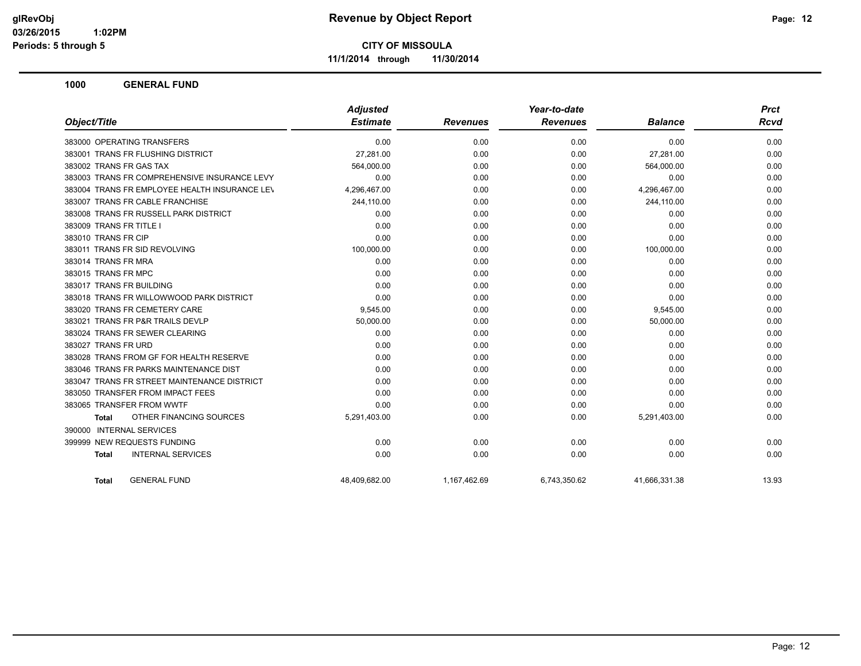**11/1/2014 through 11/30/2014**

|                                               | <b>Adjusted</b> |                 | Year-to-date    |                | <b>Prct</b> |
|-----------------------------------------------|-----------------|-----------------|-----------------|----------------|-------------|
| Object/Title                                  | <b>Estimate</b> | <b>Revenues</b> | <b>Revenues</b> | <b>Balance</b> | <b>Rcvd</b> |
| 383000 OPERATING TRANSFERS                    | 0.00            | 0.00            | 0.00            | 0.00           | 0.00        |
| 383001 TRANS FR FLUSHING DISTRICT             | 27,281.00       | 0.00            | 0.00            | 27,281.00      | 0.00        |
| 383002 TRANS FR GAS TAX                       | 564,000.00      | 0.00            | 0.00            | 564,000.00     | 0.00        |
| 383003 TRANS FR COMPREHENSIVE INSURANCE LEVY  | 0.00            | 0.00            | 0.00            | 0.00           | 0.00        |
| 383004 TRANS FR EMPLOYEE HEALTH INSURANCE LEV | 4,296,467.00    | 0.00            | 0.00            | 4,296,467.00   | 0.00        |
| 383007 TRANS FR CABLE FRANCHISE               | 244,110.00      | 0.00            | 0.00            | 244,110.00     | 0.00        |
| 383008 TRANS FR RUSSELL PARK DISTRICT         | 0.00            | 0.00            | 0.00            | 0.00           | 0.00        |
| 383009 TRANS FR TITLE I                       | 0.00            | 0.00            | 0.00            | 0.00           | 0.00        |
| 383010 TRANS FR CIP                           | 0.00            | 0.00            | 0.00            | 0.00           | 0.00        |
| 383011 TRANS FR SID REVOLVING                 | 100,000.00      | 0.00            | 0.00            | 100,000.00     | 0.00        |
| 383014 TRANS FR MRA                           | 0.00            | 0.00            | 0.00            | 0.00           | 0.00        |
| 383015 TRANS FR MPC                           | 0.00            | 0.00            | 0.00            | 0.00           | 0.00        |
| 383017 TRANS FR BUILDING                      | 0.00            | 0.00            | 0.00            | 0.00           | 0.00        |
| 383018 TRANS FR WILLOWWOOD PARK DISTRICT      | 0.00            | 0.00            | 0.00            | 0.00           | 0.00        |
| 383020 TRANS FR CEMETERY CARE                 | 9,545.00        | 0.00            | 0.00            | 9,545.00       | 0.00        |
| 383021 TRANS FR P&R TRAILS DEVLP              | 50,000.00       | 0.00            | 0.00            | 50,000.00      | 0.00        |
| 383024 TRANS FR SEWER CLEARING                | 0.00            | 0.00            | 0.00            | 0.00           | 0.00        |
| 383027 TRANS FR URD                           | 0.00            | 0.00            | 0.00            | 0.00           | 0.00        |
| 383028 TRANS FROM GF FOR HEALTH RESERVE       | 0.00            | 0.00            | 0.00            | 0.00           | 0.00        |
| 383046 TRANS FR PARKS MAINTENANCE DIST        | 0.00            | 0.00            | 0.00            | 0.00           | 0.00        |
| 383047 TRANS FR STREET MAINTENANCE DISTRICT   | 0.00            | 0.00            | 0.00            | 0.00           | 0.00        |
| 383050 TRANSFER FROM IMPACT FEES              | 0.00            | 0.00            | 0.00            | 0.00           | 0.00        |
| 383065 TRANSFER FROM WWTF                     | 0.00            | 0.00            | 0.00            | 0.00           | 0.00        |
| OTHER FINANCING SOURCES<br><b>Total</b>       | 5,291,403.00    | 0.00            | 0.00            | 5,291,403.00   | 0.00        |
| 390000 INTERNAL SERVICES                      |                 |                 |                 |                |             |
| 399999 NEW REQUESTS FUNDING                   | 0.00            | 0.00            | 0.00            | 0.00           | 0.00        |
| <b>INTERNAL SERVICES</b><br><b>Total</b>      | 0.00            | 0.00            | 0.00            | 0.00           | 0.00        |
| <b>GENERAL FUND</b><br><b>Total</b>           | 48,409,682.00   | 1,167,462.69    | 6,743,350.62    | 41,666,331.38  | 13.93       |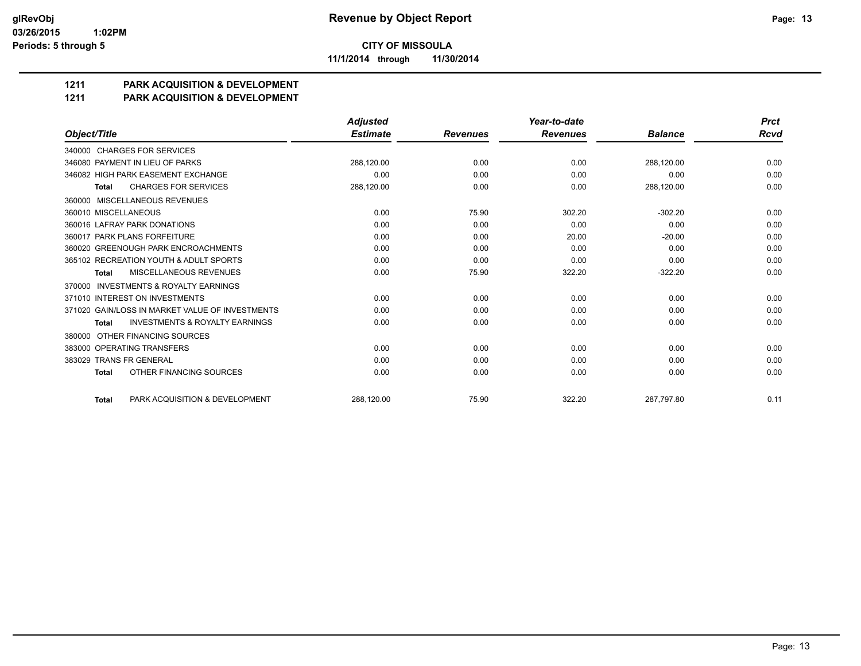**11/1/2014 through 11/30/2014**

# **1211 PARK ACQUISITION & DEVELOPMENT**

#### **1211 PARK ACQUISITION & DEVELOPMENT**

|                                                           | <b>Adjusted</b> |                 | Year-to-date    |                | <b>Prct</b> |
|-----------------------------------------------------------|-----------------|-----------------|-----------------|----------------|-------------|
| Object/Title                                              | <b>Estimate</b> | <b>Revenues</b> | <b>Revenues</b> | <b>Balance</b> | Rcvd        |
| 340000 CHARGES FOR SERVICES                               |                 |                 |                 |                |             |
| 346080 PAYMENT IN LIEU OF PARKS                           | 288,120.00      | 0.00            | 0.00            | 288,120.00     | 0.00        |
| 346082 HIGH PARK EASEMENT EXCHANGE                        | 0.00            | 0.00            | 0.00            | 0.00           | 0.00        |
| <b>CHARGES FOR SERVICES</b><br>Total                      | 288,120.00      | 0.00            | 0.00            | 288,120.00     | 0.00        |
| MISCELLANEOUS REVENUES<br>360000                          |                 |                 |                 |                |             |
| 360010 MISCELLANEOUS                                      | 0.00            | 75.90           | 302.20          | $-302.20$      | 0.00        |
| 360016 LAFRAY PARK DONATIONS                              | 0.00            | 0.00            | 0.00            | 0.00           | 0.00        |
| 360017 PARK PLANS FORFEITURE                              | 0.00            | 0.00            | 20.00           | $-20.00$       | 0.00        |
| 360020 GREENOUGH PARK ENCROACHMENTS                       | 0.00            | 0.00            | 0.00            | 0.00           | 0.00        |
| 365102 RECREATION YOUTH & ADULT SPORTS                    | 0.00            | 0.00            | 0.00            | 0.00           | 0.00        |
| MISCELLANEOUS REVENUES<br>Total                           | 0.00            | 75.90           | 322.20          | $-322.20$      | 0.00        |
| <b>INVESTMENTS &amp; ROYALTY EARNINGS</b><br>370000       |                 |                 |                 |                |             |
| 371010 INTEREST ON INVESTMENTS                            | 0.00            | 0.00            | 0.00            | 0.00           | 0.00        |
| 371020 GAIN/LOSS IN MARKET VALUE OF INVESTMENTS           | 0.00            | 0.00            | 0.00            | 0.00           | 0.00        |
| <b>INVESTMENTS &amp; ROYALTY EARNINGS</b><br><b>Total</b> | 0.00            | 0.00            | 0.00            | 0.00           | 0.00        |
| OTHER FINANCING SOURCES<br>380000                         |                 |                 |                 |                |             |
| 383000 OPERATING TRANSFERS                                | 0.00            | 0.00            | 0.00            | 0.00           | 0.00        |
| 383029 TRANS FR GENERAL                                   | 0.00            | 0.00            | 0.00            | 0.00           | 0.00        |
| OTHER FINANCING SOURCES<br><b>Total</b>                   | 0.00            | 0.00            | 0.00            | 0.00           | 0.00        |
| PARK ACQUISITION & DEVELOPMENT<br><b>Total</b>            | 288.120.00      | 75.90           | 322.20          | 287.797.80     | 0.11        |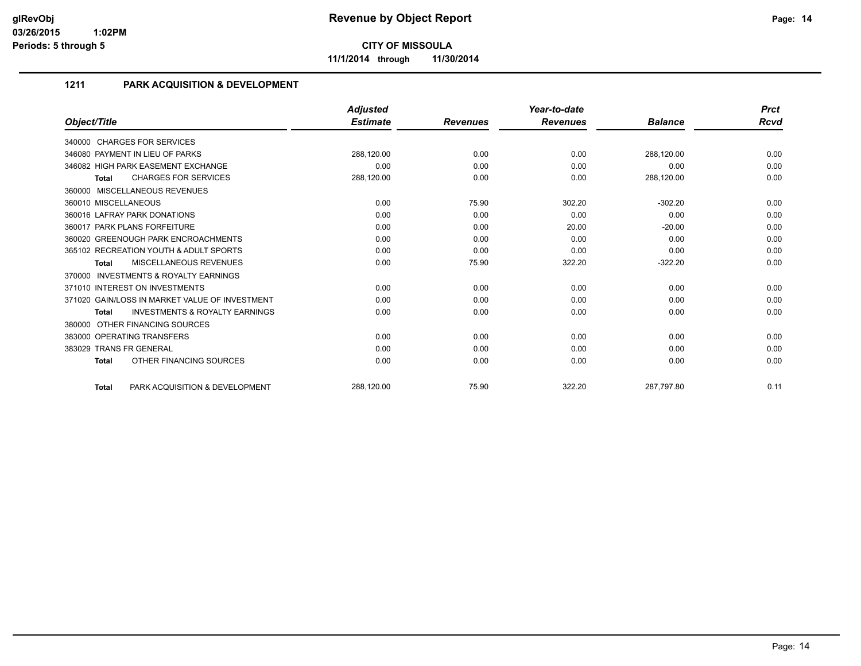**11/1/2014 through 11/30/2014**

# **1211 PARK ACQUISITION & DEVELOPMENT**

|                                                     | <b>Adjusted</b> |                 | Year-to-date    |                | <b>Prct</b> |
|-----------------------------------------------------|-----------------|-----------------|-----------------|----------------|-------------|
| Object/Title                                        | <b>Estimate</b> | <b>Revenues</b> | <b>Revenues</b> | <b>Balance</b> | Rcvd        |
| 340000 CHARGES FOR SERVICES                         |                 |                 |                 |                |             |
| 346080 PAYMENT IN LIEU OF PARKS                     | 288,120.00      | 0.00            | 0.00            | 288,120.00     | 0.00        |
| 346082 HIGH PARK EASEMENT EXCHANGE                  | 0.00            | 0.00            | 0.00            | 0.00           | 0.00        |
| <b>CHARGES FOR SERVICES</b><br>Total                | 288,120.00      | 0.00            | 0.00            | 288,120.00     | 0.00        |
| 360000 MISCELLANEOUS REVENUES                       |                 |                 |                 |                |             |
| 360010 MISCELLANEOUS                                | 0.00            | 75.90           | 302.20          | $-302.20$      | 0.00        |
| 360016 LAFRAY PARK DONATIONS                        | 0.00            | 0.00            | 0.00            | 0.00           | 0.00        |
| 360017 PARK PLANS FORFEITURE                        | 0.00            | 0.00            | 20.00           | $-20.00$       | 0.00        |
| 360020 GREENOUGH PARK ENCROACHMENTS                 | 0.00            | 0.00            | 0.00            | 0.00           | 0.00        |
| 365102 RECREATION YOUTH & ADULT SPORTS              | 0.00            | 0.00            | 0.00            | 0.00           | 0.00        |
| MISCELLANEOUS REVENUES<br><b>Total</b>              | 0.00            | 75.90           | 322.20          | $-322.20$      | 0.00        |
| <b>INVESTMENTS &amp; ROYALTY EARNINGS</b><br>370000 |                 |                 |                 |                |             |
| 371010 INTEREST ON INVESTMENTS                      | 0.00            | 0.00            | 0.00            | 0.00           | 0.00        |
| 371020 GAIN/LOSS IN MARKET VALUE OF INVESTMENT      | 0.00            | 0.00            | 0.00            | 0.00           | 0.00        |
| <b>INVESTMENTS &amp; ROYALTY EARNINGS</b><br>Total  | 0.00            | 0.00            | 0.00            | 0.00           | 0.00        |
| 380000 OTHER FINANCING SOURCES                      |                 |                 |                 |                |             |
| 383000 OPERATING TRANSFERS                          | 0.00            | 0.00            | 0.00            | 0.00           | 0.00        |
| 383029 TRANS FR GENERAL                             | 0.00            | 0.00            | 0.00            | 0.00           | 0.00        |
| OTHER FINANCING SOURCES<br><b>Total</b>             | 0.00            | 0.00            | 0.00            | 0.00           | 0.00        |
| PARK ACQUISITION & DEVELOPMENT<br>Total             | 288,120.00      | 75.90           | 322.20          | 287,797.80     | 0.11        |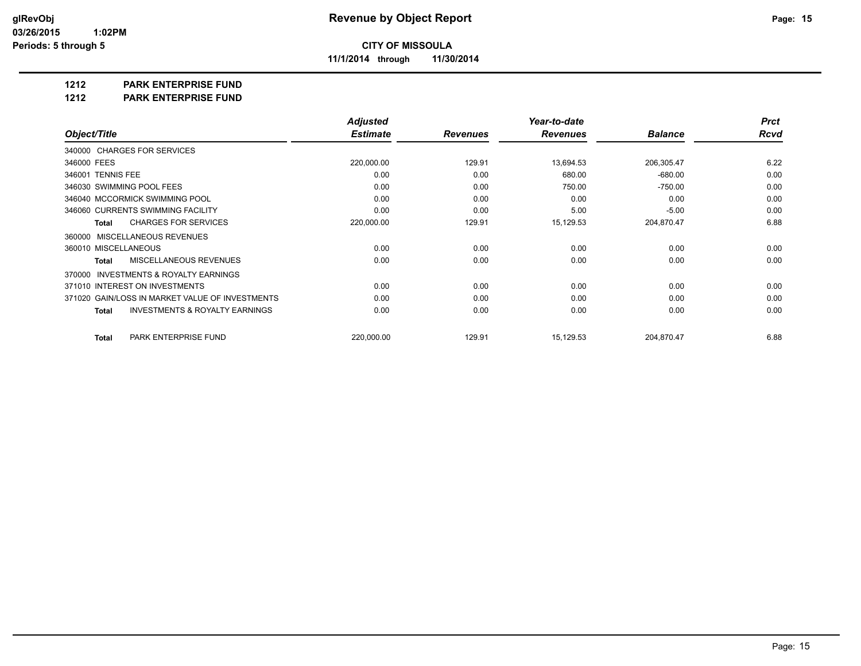**11/1/2014 through 11/30/2014**

**1212 PARK ENTERPRISE FUND**

**1212 PARK ENTERPRISE FUND**

|                                                           | <b>Adjusted</b> |                 | Year-to-date    |                | <b>Prct</b> |
|-----------------------------------------------------------|-----------------|-----------------|-----------------|----------------|-------------|
| Object/Title                                              | <b>Estimate</b> | <b>Revenues</b> | <b>Revenues</b> | <b>Balance</b> | Rcvd        |
| 340000 CHARGES FOR SERVICES                               |                 |                 |                 |                |             |
| 346000 FEES                                               | 220,000.00      | 129.91          | 13,694.53       | 206,305.47     | 6.22        |
| 346001 TENNIS FEE                                         | 0.00            | 0.00            | 680.00          | $-680.00$      | 0.00        |
| 346030 SWIMMING POOL FEES                                 | 0.00            | 0.00            | 750.00          | $-750.00$      | 0.00        |
| 346040 MCCORMICK SWIMMING POOL                            | 0.00            | 0.00            | 0.00            | 0.00           | 0.00        |
| 346060 CURRENTS SWIMMING FACILITY                         | 0.00            | 0.00            | 5.00            | $-5.00$        | 0.00        |
| <b>CHARGES FOR SERVICES</b><br><b>Total</b>               | 220,000.00      | 129.91          | 15,129.53       | 204,870.47     | 6.88        |
| MISCELLANEOUS REVENUES<br>360000                          |                 |                 |                 |                |             |
| 360010 MISCELLANEOUS                                      | 0.00            | 0.00            | 0.00            | 0.00           | 0.00        |
| <b>MISCELLANEOUS REVENUES</b><br><b>Total</b>             | 0.00            | 0.00            | 0.00            | 0.00           | 0.00        |
| INVESTMENTS & ROYALTY EARNINGS<br>370000                  |                 |                 |                 |                |             |
| 371010 INTEREST ON INVESTMENTS                            | 0.00            | 0.00            | 0.00            | 0.00           | 0.00        |
| 371020 GAIN/LOSS IN MARKET VALUE OF INVESTMENTS           | 0.00            | 0.00            | 0.00            | 0.00           | 0.00        |
| <b>INVESTMENTS &amp; ROYALTY EARNINGS</b><br><b>Total</b> | 0.00            | 0.00            | 0.00            | 0.00           | 0.00        |
| PARK ENTERPRISE FUND<br><b>Total</b>                      | 220,000.00      | 129.91          | 15,129.53       | 204,870.47     | 6.88        |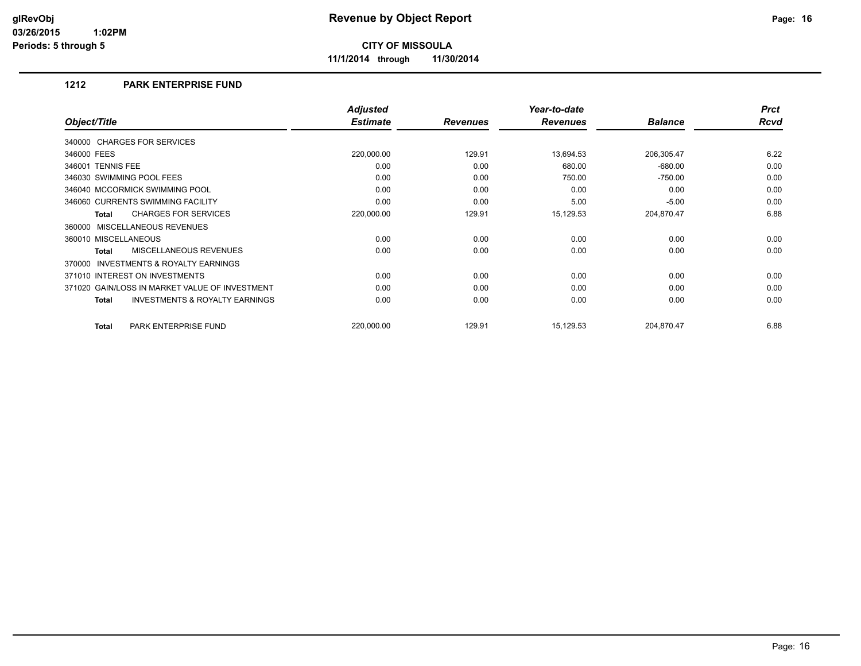**11/1/2014 through 11/30/2014**

### **1212 PARK ENTERPRISE FUND**

|                                                    | <b>Adjusted</b> |                 | Year-to-date    |                | <b>Prct</b> |
|----------------------------------------------------|-----------------|-----------------|-----------------|----------------|-------------|
| Object/Title                                       | <b>Estimate</b> | <b>Revenues</b> | <b>Revenues</b> | <b>Balance</b> | Rcvd        |
| 340000 CHARGES FOR SERVICES                        |                 |                 |                 |                |             |
| 346000 FEES                                        | 220,000.00      | 129.91          | 13,694.53       | 206,305.47     | 6.22        |
| 346001 TENNIS FEE                                  | 0.00            | 0.00            | 680.00          | $-680.00$      | 0.00        |
| 346030 SWIMMING POOL FEES                          | 0.00            | 0.00            | 750.00          | $-750.00$      | 0.00        |
| 346040 MCCORMICK SWIMMING POOL                     | 0.00            | 0.00            | 0.00            | 0.00           | 0.00        |
| 346060 CURRENTS SWIMMING FACILITY                  | 0.00            | 0.00            | 5.00            | $-5.00$        | 0.00        |
| <b>CHARGES FOR SERVICES</b><br>Total               | 220,000.00      | 129.91          | 15,129.53       | 204,870.47     | 6.88        |
| 360000 MISCELLANEOUS REVENUES                      |                 |                 |                 |                |             |
| 360010 MISCELLANEOUS                               | 0.00            | 0.00            | 0.00            | 0.00           | 0.00        |
| MISCELLANEOUS REVENUES<br><b>Total</b>             | 0.00            | 0.00            | 0.00            | 0.00           | 0.00        |
| INVESTMENTS & ROYALTY EARNINGS<br>370000           |                 |                 |                 |                |             |
| 371010 INTEREST ON INVESTMENTS                     | 0.00            | 0.00            | 0.00            | 0.00           | 0.00        |
| 371020 GAIN/LOSS IN MARKET VALUE OF INVESTMENT     | 0.00            | 0.00            | 0.00            | 0.00           | 0.00        |
| <b>INVESTMENTS &amp; ROYALTY EARNINGS</b><br>Total | 0.00            | 0.00            | 0.00            | 0.00           | 0.00        |
| PARK ENTERPRISE FUND<br>Total                      | 220,000.00      | 129.91          | 15,129.53       | 204,870.47     | 6.88        |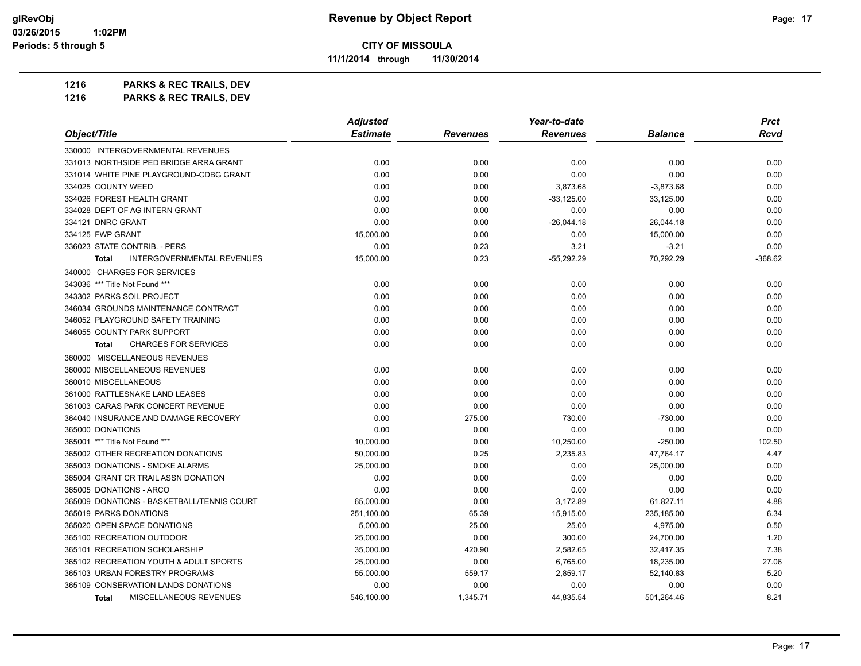**11/1/2014 through 11/30/2014**

|  | 1216 | <b>PARKS &amp; REC TRAILS, DEV</b> |
|--|------|------------------------------------|
|--|------|------------------------------------|

|                                                   | <b>Adjusted</b> |                 | Year-to-date    |                | <b>Prct</b> |
|---------------------------------------------------|-----------------|-----------------|-----------------|----------------|-------------|
| Object/Title                                      | <b>Estimate</b> | <b>Revenues</b> | <b>Revenues</b> | <b>Balance</b> | Rcvd        |
| 330000 INTERGOVERNMENTAL REVENUES                 |                 |                 |                 |                |             |
| 331013 NORTHSIDE PED BRIDGE ARRA GRANT            | 0.00            | 0.00            | 0.00            | 0.00           | 0.00        |
| 331014 WHITE PINE PLAYGROUND-CDBG GRANT           | 0.00            | 0.00            | 0.00            | 0.00           | 0.00        |
| 334025 COUNTY WEED                                | 0.00            | 0.00            | 3,873.68        | $-3,873.68$    | 0.00        |
| 334026 FOREST HEALTH GRANT                        | 0.00            | 0.00            | $-33,125.00$    | 33,125.00      | 0.00        |
| 334028 DEPT OF AG INTERN GRANT                    | 0.00            | 0.00            | 0.00            | 0.00           | 0.00        |
| 334121 DNRC GRANT                                 | 0.00            | 0.00            | $-26,044.18$    | 26,044.18      | 0.00        |
| 334125 FWP GRANT                                  | 15,000.00       | 0.00            | 0.00            | 15,000.00      | 0.00        |
| 336023 STATE CONTRIB. - PERS                      | 0.00            | 0.23            | 3.21            | $-3.21$        | 0.00        |
| <b>INTERGOVERNMENTAL REVENUES</b><br><b>Total</b> | 15,000.00       | 0.23            | $-55,292.29$    | 70,292.29      | $-368.62$   |
| 340000 CHARGES FOR SERVICES                       |                 |                 |                 |                |             |
| 343036 *** Title Not Found ***                    | 0.00            | 0.00            | 0.00            | 0.00           | 0.00        |
| 343302 PARKS SOIL PROJECT                         | 0.00            | 0.00            | 0.00            | 0.00           | 0.00        |
| 346034 GROUNDS MAINTENANCE CONTRACT               | 0.00            | 0.00            | 0.00            | 0.00           | 0.00        |
| 346052 PLAYGROUND SAFETY TRAINING                 | 0.00            | 0.00            | 0.00            | 0.00           | 0.00        |
| 346055 COUNTY PARK SUPPORT                        | 0.00            | 0.00            | 0.00            | 0.00           | 0.00        |
| <b>CHARGES FOR SERVICES</b><br><b>Total</b>       | 0.00            | 0.00            | 0.00            | 0.00           | 0.00        |
| 360000 MISCELLANEOUS REVENUES                     |                 |                 |                 |                |             |
| 360000 MISCELLANEOUS REVENUES                     | 0.00            | 0.00            | 0.00            | 0.00           | 0.00        |
| 360010 MISCELLANEOUS                              | 0.00            | 0.00            | 0.00            | 0.00           | 0.00        |
| 361000 RATTLESNAKE LAND LEASES                    | 0.00            | 0.00            | 0.00            | 0.00           | 0.00        |
| 361003 CARAS PARK CONCERT REVENUE                 | 0.00            | 0.00            | 0.00            | 0.00           | 0.00        |
| 364040 INSURANCE AND DAMAGE RECOVERY              | 0.00            | 275.00          | 730.00          | $-730.00$      | 0.00        |
| 365000 DONATIONS                                  | 0.00            | 0.00            | 0.00            | 0.00           | 0.00        |
| 365001 *** Title Not Found ***                    | 10,000.00       | 0.00            | 10,250.00       | $-250.00$      | 102.50      |
| 365002 OTHER RECREATION DONATIONS                 | 50,000.00       | 0.25            | 2,235.83        | 47,764.17      | 4.47        |
| 365003 DONATIONS - SMOKE ALARMS                   | 25,000.00       | 0.00            | 0.00            | 25,000.00      | 0.00        |
| 365004 GRANT CR TRAIL ASSN DONATION               | 0.00            | 0.00            | 0.00            | 0.00           | 0.00        |
| 365005 DONATIONS - ARCO                           | 0.00            | 0.00            | 0.00            | 0.00           | 0.00        |
| 365009 DONATIONS - BASKETBALL/TENNIS COURT        | 65,000.00       | 0.00            | 3,172.89        | 61,827.11      | 4.88        |
| 365019 PARKS DONATIONS                            | 251,100.00      | 65.39           | 15,915.00       | 235,185.00     | 6.34        |
| 365020 OPEN SPACE DONATIONS                       | 5,000.00        | 25.00           | 25.00           | 4,975.00       | 0.50        |
| 365100 RECREATION OUTDOOR                         | 25,000.00       | 0.00            | 300.00          | 24,700.00      | 1.20        |
| 365101 RECREATION SCHOLARSHIP                     | 35,000.00       | 420.90          | 2,582.65        | 32,417.35      | 7.38        |
| 365102 RECREATION YOUTH & ADULT SPORTS            | 25,000.00       | 0.00            | 6,765.00        | 18,235.00      | 27.06       |
| 365103 URBAN FORESTRY PROGRAMS                    | 55,000.00       | 559.17          | 2,859.17        | 52,140.83      | 5.20        |
| 365109 CONSERVATION LANDS DONATIONS               | 0.00            | 0.00            | 0.00            | 0.00           | 0.00        |
| MISCELLANEOUS REVENUES<br><b>Total</b>            | 546,100.00      | 1,345.71        | 44,835.54       | 501,264.46     | 8.21        |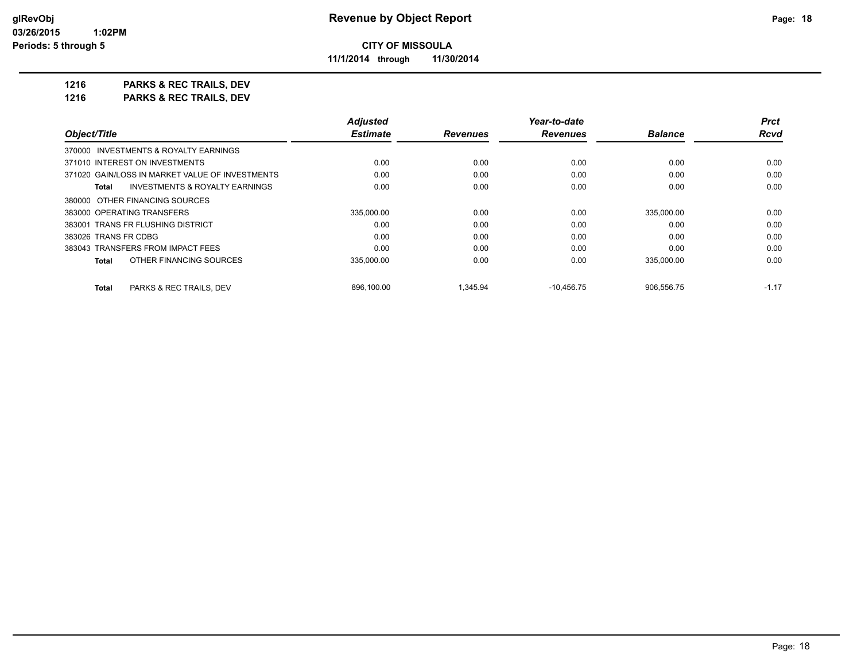**11/1/2014 through 11/30/2014**

**1216 PARKS & REC TRAILS, DEV**

|                                                    | <b>Adiusted</b> |                 | Year-to-date    |                | <b>Prct</b> |
|----------------------------------------------------|-----------------|-----------------|-----------------|----------------|-------------|
| Object/Title                                       | <b>Estimate</b> | <b>Revenues</b> | <b>Revenues</b> | <b>Balance</b> | Rcvd        |
| 370000 INVESTMENTS & ROYALTY EARNINGS              |                 |                 |                 |                |             |
| 371010 INTEREST ON INVESTMENTS                     | 0.00            | 0.00            | 0.00            | 0.00           | 0.00        |
| 371020 GAIN/LOSS IN MARKET VALUE OF INVESTMENTS    | 0.00            | 0.00            | 0.00            | 0.00           | 0.00        |
| <b>INVESTMENTS &amp; ROYALTY EARNINGS</b><br>Total | 0.00            | 0.00            | 0.00            | 0.00           | 0.00        |
| 380000 OTHER FINANCING SOURCES                     |                 |                 |                 |                |             |
| 383000 OPERATING TRANSFERS                         | 335,000.00      | 0.00            | 0.00            | 335,000.00     | 0.00        |
| 383001 TRANS FR FLUSHING DISTRICT                  | 0.00            | 0.00            | 0.00            | 0.00           | 0.00        |
| 383026 TRANS FR CDBG                               | 0.00            | 0.00            | 0.00            | 0.00           | 0.00        |
| 383043 TRANSFERS FROM IMPACT FEES                  | 0.00            | 0.00            | 0.00            | 0.00           | 0.00        |
| OTHER FINANCING SOURCES<br>Total                   | 335,000.00      | 0.00            | 0.00            | 335,000.00     | 0.00        |
| PARKS & REC TRAILS, DEV<br>Total                   | 896.100.00      | 1.345.94        | $-10.456.75$    | 906.556.75     | $-1.17$     |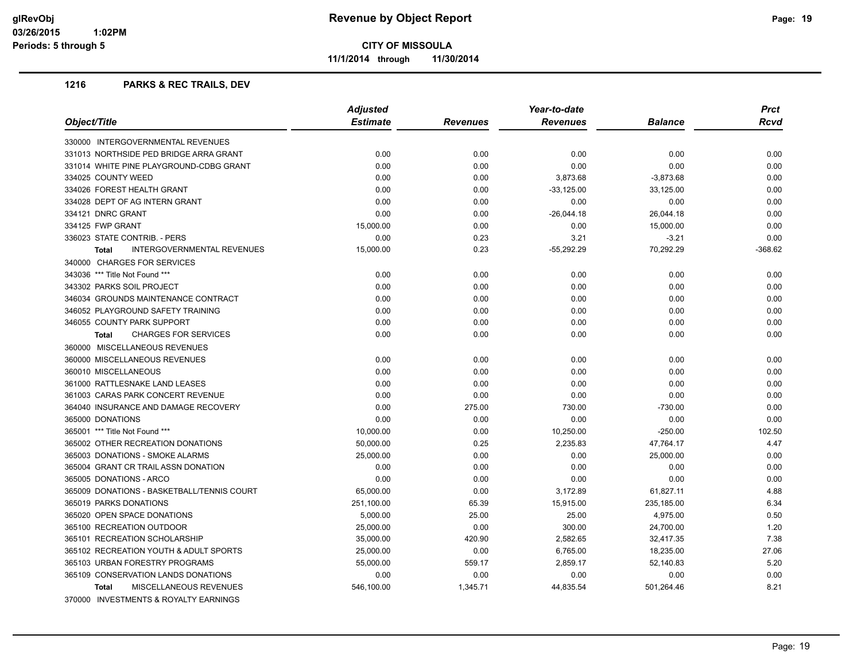**11/1/2014 through 11/30/2014**

|                                                   | <b>Adjusted</b> |                 | Year-to-date    | <b>Prct</b>    |             |
|---------------------------------------------------|-----------------|-----------------|-----------------|----------------|-------------|
| Object/Title                                      | <b>Estimate</b> | <b>Revenues</b> | <b>Revenues</b> | <b>Balance</b> | <b>Rcvd</b> |
| 330000 INTERGOVERNMENTAL REVENUES                 |                 |                 |                 |                |             |
| 331013 NORTHSIDE PED BRIDGE ARRA GRANT            | 0.00            | 0.00            | 0.00            | 0.00           | 0.00        |
| 331014 WHITE PINE PLAYGROUND-CDBG GRANT           | 0.00            | 0.00            | 0.00            | 0.00           | 0.00        |
| 334025 COUNTY WEED                                | 0.00            | 0.00            | 3,873.68        | $-3,873.68$    | 0.00        |
| 334026 FOREST HEALTH GRANT                        | 0.00            | 0.00            | $-33,125.00$    | 33,125.00      | 0.00        |
| 334028 DEPT OF AG INTERN GRANT                    | 0.00            | 0.00            | 0.00            | 0.00           | 0.00        |
| 334121 DNRC GRANT                                 | 0.00            | 0.00            | $-26,044.18$    | 26,044.18      | 0.00        |
| 334125 FWP GRANT                                  | 15,000.00       | 0.00            | 0.00            | 15,000.00      | 0.00        |
| 336023 STATE CONTRIB. - PERS                      | 0.00            | 0.23            | 3.21            | $-3.21$        | 0.00        |
| <b>INTERGOVERNMENTAL REVENUES</b><br><b>Total</b> | 15,000.00       | 0.23            | $-55,292.29$    | 70,292.29      | $-368.62$   |
| 340000 CHARGES FOR SERVICES                       |                 |                 |                 |                |             |
| 343036 *** Title Not Found ***                    | 0.00            | 0.00            | 0.00            | 0.00           | 0.00        |
| 343302 PARKS SOIL PROJECT                         | 0.00            | 0.00            | 0.00            | 0.00           | 0.00        |
| 346034 GROUNDS MAINTENANCE CONTRACT               | 0.00            | 0.00            | 0.00            | 0.00           | 0.00        |
| 346052 PLAYGROUND SAFETY TRAINING                 | 0.00            | 0.00            | 0.00            | 0.00           | 0.00        |
| 346055 COUNTY PARK SUPPORT                        | 0.00            | 0.00            | 0.00            | 0.00           | 0.00        |
| <b>CHARGES FOR SERVICES</b><br><b>Total</b>       | 0.00            | 0.00            | 0.00            | 0.00           | 0.00        |
| 360000 MISCELLANEOUS REVENUES                     |                 |                 |                 |                |             |
| 360000 MISCELLANEOUS REVENUES                     | 0.00            | 0.00            | 0.00            | 0.00           | 0.00        |
| 360010 MISCELLANEOUS                              | 0.00            | 0.00            | 0.00            | 0.00           | 0.00        |
| 361000 RATTLESNAKE LAND LEASES                    | 0.00            | 0.00            | 0.00            | 0.00           | 0.00        |
| 361003 CARAS PARK CONCERT REVENUE                 | 0.00            | 0.00            | 0.00            | 0.00           | 0.00        |
| 364040 INSURANCE AND DAMAGE RECOVERY              | 0.00            | 275.00          | 730.00          | $-730.00$      | 0.00        |
| 365000 DONATIONS                                  | 0.00            | 0.00            | 0.00            | 0.00           | 0.00        |
| 365001 *** Title Not Found ***                    | 10,000.00       | 0.00            | 10,250.00       | $-250.00$      | 102.50      |
| 365002 OTHER RECREATION DONATIONS                 | 50,000.00       | 0.25            | 2,235.83        | 47,764.17      | 4.47        |
| 365003 DONATIONS - SMOKE ALARMS                   | 25,000.00       | 0.00            | 0.00            | 25,000.00      | 0.00        |
| 365004 GRANT CR TRAIL ASSN DONATION               | 0.00            | 0.00            | 0.00            | 0.00           | 0.00        |
| 365005 DONATIONS - ARCO                           | 0.00            | 0.00            | 0.00            | 0.00           | 0.00        |
| 365009 DONATIONS - BASKETBALL/TENNIS COURT        | 65,000.00       | 0.00            | 3,172.89        | 61,827.11      | 4.88        |
| 365019 PARKS DONATIONS                            | 251,100.00      | 65.39           | 15,915.00       | 235,185.00     | 6.34        |
| 365020 OPEN SPACE DONATIONS                       | 5,000.00        | 25.00           | 25.00           | 4,975.00       | 0.50        |
| 365100 RECREATION OUTDOOR                         | 25,000.00       | 0.00            | 300.00          | 24,700.00      | 1.20        |
| 365101 RECREATION SCHOLARSHIP                     | 35,000.00       | 420.90          | 2,582.65        | 32,417.35      | 7.38        |
| 365102 RECREATION YOUTH & ADULT SPORTS            | 25,000.00       | 0.00            | 6,765.00        | 18,235.00      | 27.06       |
| 365103 URBAN FORESTRY PROGRAMS                    | 55,000.00       | 559.17          | 2,859.17        | 52,140.83      | 5.20        |
| 365109 CONSERVATION LANDS DONATIONS               | 0.00            | 0.00            | 0.00            | 0.00           | 0.00        |
| MISCELLANEOUS REVENUES<br><b>Total</b>            | 546,100.00      | 1,345.71        | 44,835.54       | 501,264.46     | 8.21        |
| 370000 INVESTMENTS & ROYALTY EARNINGS             |                 |                 |                 |                |             |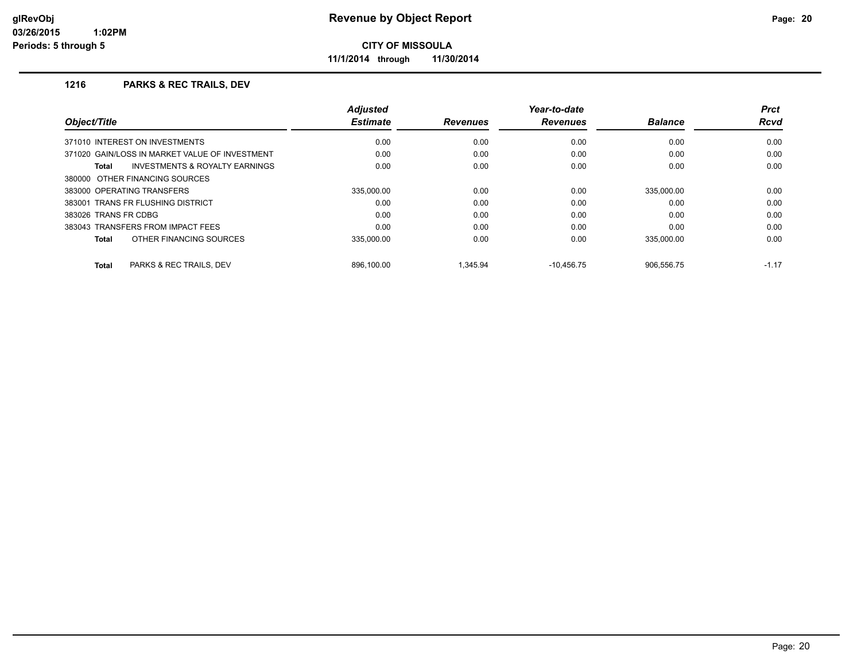**11/1/2014 through 11/30/2014**

|                                                | <b>Adjusted</b> |                 | Year-to-date    |                | <b>Prct</b> |
|------------------------------------------------|-----------------|-----------------|-----------------|----------------|-------------|
| Object/Title                                   | <b>Estimate</b> | <b>Revenues</b> | <b>Revenues</b> | <b>Balance</b> | <b>Rcvd</b> |
| 371010 INTEREST ON INVESTMENTS                 | 0.00            | 0.00            | 0.00            | 0.00           | 0.00        |
| 371020 GAIN/LOSS IN MARKET VALUE OF INVESTMENT | 0.00            | 0.00            | 0.00            | 0.00           | 0.00        |
| INVESTMENTS & ROYALTY EARNINGS<br>Total        | 0.00            | 0.00            | 0.00            | 0.00           | 0.00        |
| 380000 OTHER FINANCING SOURCES                 |                 |                 |                 |                |             |
| 383000 OPERATING TRANSFERS                     | 335.000.00      | 0.00            | 0.00            | 335.000.00     | 0.00        |
| 383001 TRANS FR FLUSHING DISTRICT              | 0.00            | 0.00            | 0.00            | 0.00           | 0.00        |
| 383026 TRANS FR CDBG                           | 0.00            | 0.00            | 0.00            | 0.00           | 0.00        |
| 383043 TRANSFERS FROM IMPACT FEES              | 0.00            | 0.00            | 0.00            | 0.00           | 0.00        |
| OTHER FINANCING SOURCES<br>Total               | 335.000.00      | 0.00            | 0.00            | 335.000.00     | 0.00        |
| <b>PARKS &amp; REC TRAILS, DEV</b><br>Total    | 896.100.00      | 1.345.94        | $-10.456.75$    | 906.556.75     | $-1.17$     |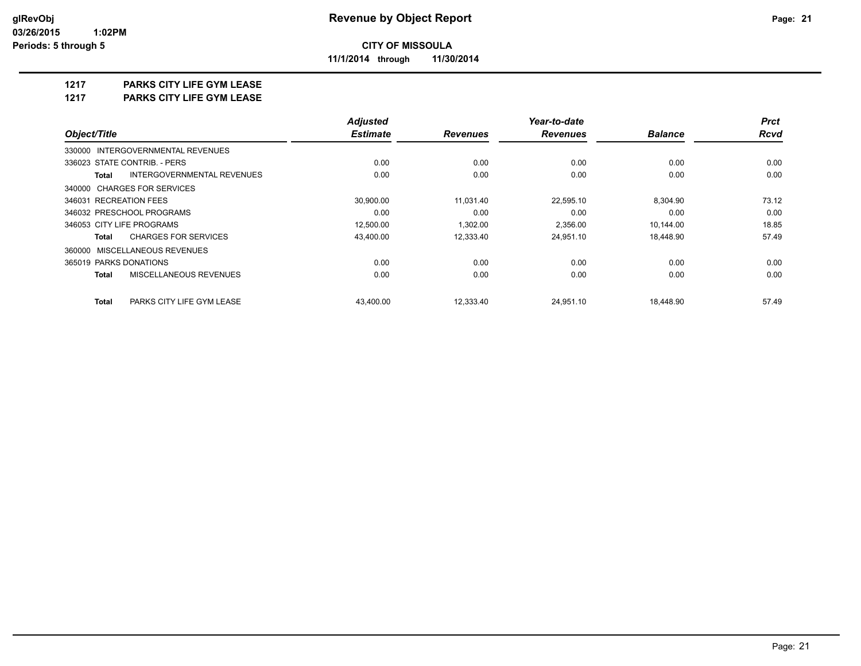**11/1/2014 through 11/30/2014**

### **1217 PARKS CITY LIFE GYM LEASE**

**1217 PARKS CITY LIFE GYM LEASE**

|                                            | <b>Adjusted</b> |                 | Year-to-date    |                | <b>Prct</b> |
|--------------------------------------------|-----------------|-----------------|-----------------|----------------|-------------|
| Object/Title                               | <b>Estimate</b> | <b>Revenues</b> | <b>Revenues</b> | <b>Balance</b> | <b>Rcvd</b> |
| 330000 INTERGOVERNMENTAL REVENUES          |                 |                 |                 |                |             |
| 336023 STATE CONTRIB. - PERS               | 0.00            | 0.00            | 0.00            | 0.00           | 0.00        |
| INTERGOVERNMENTAL REVENUES<br><b>Total</b> | 0.00            | 0.00            | 0.00            | 0.00           | 0.00        |
| 340000 CHARGES FOR SERVICES                |                 |                 |                 |                |             |
| 346031 RECREATION FEES                     | 30,900.00       | 11,031.40       | 22,595.10       | 8,304.90       | 73.12       |
| 346032 PRESCHOOL PROGRAMS                  | 0.00            | 0.00            | 0.00            | 0.00           | 0.00        |
| 346053 CITY LIFE PROGRAMS                  | 12,500.00       | 1,302.00        | 2,356.00        | 10,144.00      | 18.85       |
| <b>CHARGES FOR SERVICES</b><br>Total       | 43,400.00       | 12,333.40       | 24,951.10       | 18,448.90      | 57.49       |
| 360000 MISCELLANEOUS REVENUES              |                 |                 |                 |                |             |
| 365019 PARKS DONATIONS                     | 0.00            | 0.00            | 0.00            | 0.00           | 0.00        |
| MISCELLANEOUS REVENUES<br><b>Total</b>     | 0.00            | 0.00            | 0.00            | 0.00           | 0.00        |
| <b>Total</b><br>PARKS CITY LIFE GYM LEASE  | 43.400.00       | 12,333.40       | 24.951.10       | 18.448.90      | 57.49       |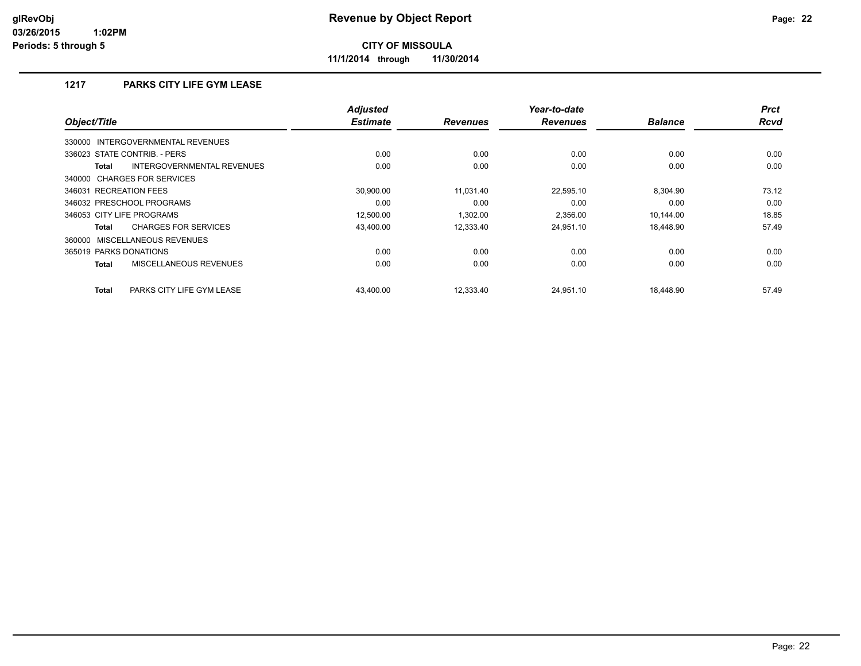**11/1/2014 through 11/30/2014**

# **1217 PARKS CITY LIFE GYM LEASE**

| Object/Title                                  | <b>Adjusted</b><br><b>Estimate</b> | <b>Revenues</b> | Year-to-date<br><b>Revenues</b> | <b>Balance</b> | <b>Prct</b><br><b>Rcvd</b> |
|-----------------------------------------------|------------------------------------|-----------------|---------------------------------|----------------|----------------------------|
| 330000 INTERGOVERNMENTAL REVENUES             |                                    |                 |                                 |                |                            |
| 336023 STATE CONTRIB. - PERS                  | 0.00                               | 0.00            | 0.00                            | 0.00           | 0.00                       |
| INTERGOVERNMENTAL REVENUES<br><b>Total</b>    | 0.00                               | 0.00            | 0.00                            | 0.00           | 0.00                       |
| 340000 CHARGES FOR SERVICES                   |                                    |                 |                                 |                |                            |
| 346031 RECREATION FEES                        | 30,900.00                          | 11.031.40       | 22,595.10                       | 8,304.90       | 73.12                      |
| 346032 PRESCHOOL PROGRAMS                     | 0.00                               | 0.00            | 0.00                            | 0.00           | 0.00                       |
| 346053 CITY LIFE PROGRAMS                     | 12,500.00                          | 1,302.00        | 2,356.00                        | 10.144.00      | 18.85                      |
| <b>CHARGES FOR SERVICES</b><br><b>Total</b>   | 43,400.00                          | 12,333.40       | 24,951.10                       | 18,448.90      | 57.49                      |
| 360000 MISCELLANEOUS REVENUES                 |                                    |                 |                                 |                |                            |
| 365019 PARKS DONATIONS                        | 0.00                               | 0.00            | 0.00                            | 0.00           | 0.00                       |
| <b>MISCELLANEOUS REVENUES</b><br><b>Total</b> | 0.00                               | 0.00            | 0.00                            | 0.00           | 0.00                       |
| PARKS CITY LIFE GYM LEASE<br><b>Total</b>     | 43,400.00                          | 12,333.40       | 24,951.10                       | 18,448.90      | 57.49                      |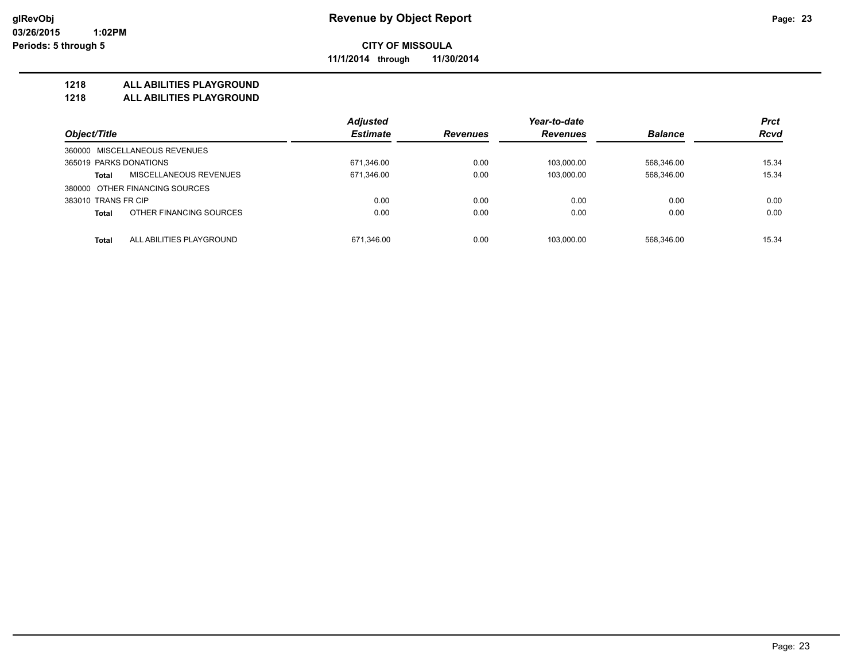**11/1/2014 through 11/30/2014**

### **1218 ALL ABILITIES PLAYGROUND**

#### **1218 ALL ABILITIES PLAYGROUND**

|                                |                          | <b>Adjusted</b> |                 | Year-to-date    |                | <b>Prct</b> |
|--------------------------------|--------------------------|-----------------|-----------------|-----------------|----------------|-------------|
| Object/Title                   |                          | <b>Estimate</b> | <b>Revenues</b> | <b>Revenues</b> | <b>Balance</b> | <b>Rcvd</b> |
| 360000 MISCELLANEOUS REVENUES  |                          |                 |                 |                 |                |             |
| 365019 PARKS DONATIONS         |                          | 671,346.00      | 0.00            | 103.000.00      | 568,346.00     | 15.34       |
| <b>Total</b>                   | MISCELLANEOUS REVENUES   | 671,346.00      | 0.00            | 103.000.00      | 568,346.00     | 15.34       |
| 380000 OTHER FINANCING SOURCES |                          |                 |                 |                 |                |             |
| 383010 TRANS FR CIP            |                          | 0.00            | 0.00            | 0.00            | 0.00           | 0.00        |
| <b>Total</b>                   | OTHER FINANCING SOURCES  | 0.00            | 0.00            | 0.00            | 0.00           | 0.00        |
| <b>Total</b>                   | ALL ABILITIES PLAYGROUND | 671.346.00      | 0.00            | 103.000.00      | 568.346.00     | 15.34       |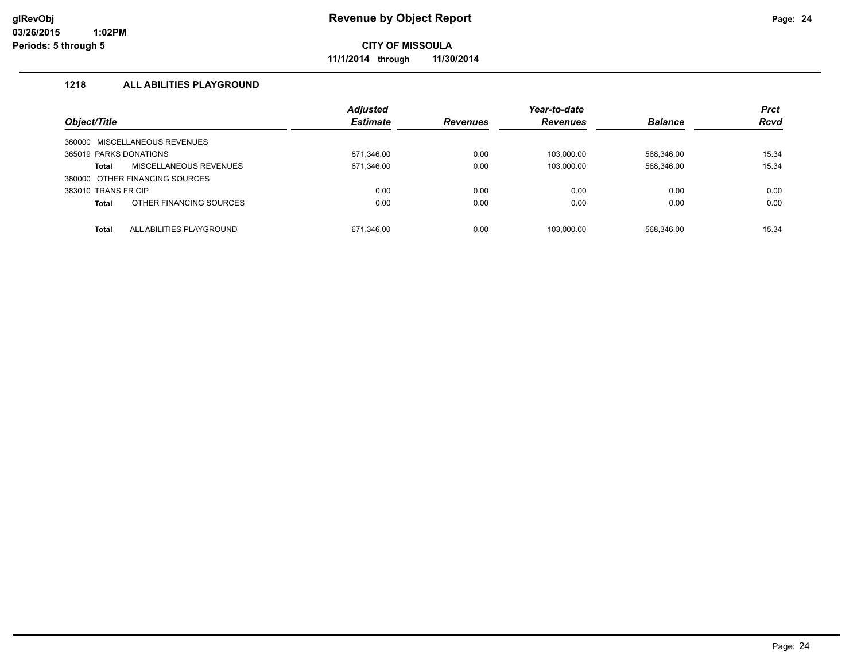**11/1/2014 through 11/30/2014**

# **1218 ALL ABILITIES PLAYGROUND**

|                        |                                | <b>Adjusted</b> |                 | Year-to-date    |                | <b>Prct</b> |
|------------------------|--------------------------------|-----------------|-----------------|-----------------|----------------|-------------|
| Object/Title           |                                | <b>Estimate</b> | <b>Revenues</b> | <b>Revenues</b> | <b>Balance</b> | <b>Rcvd</b> |
| 360000                 | MISCELLANEOUS REVENUES         |                 |                 |                 |                |             |
| 365019 PARKS DONATIONS |                                | 671,346.00      | 0.00            | 103.000.00      | 568,346.00     | 15.34       |
| Total                  | <b>MISCELLANEOUS REVENUES</b>  | 671,346.00      | 0.00            | 103,000.00      | 568,346.00     | 15.34       |
|                        | 380000 OTHER FINANCING SOURCES |                 |                 |                 |                |             |
| 383010 TRANS FR CIP    |                                | 0.00            | 0.00            | 0.00            | 0.00           | 0.00        |
| <b>Total</b>           | OTHER FINANCING SOURCES        | 0.00            | 0.00            | 0.00            | 0.00           | 0.00        |
| Total                  | ALL ABILITIES PLAYGROUND       | 671.346.00      | 0.00            | 103.000.00      | 568.346.00     | 15.34       |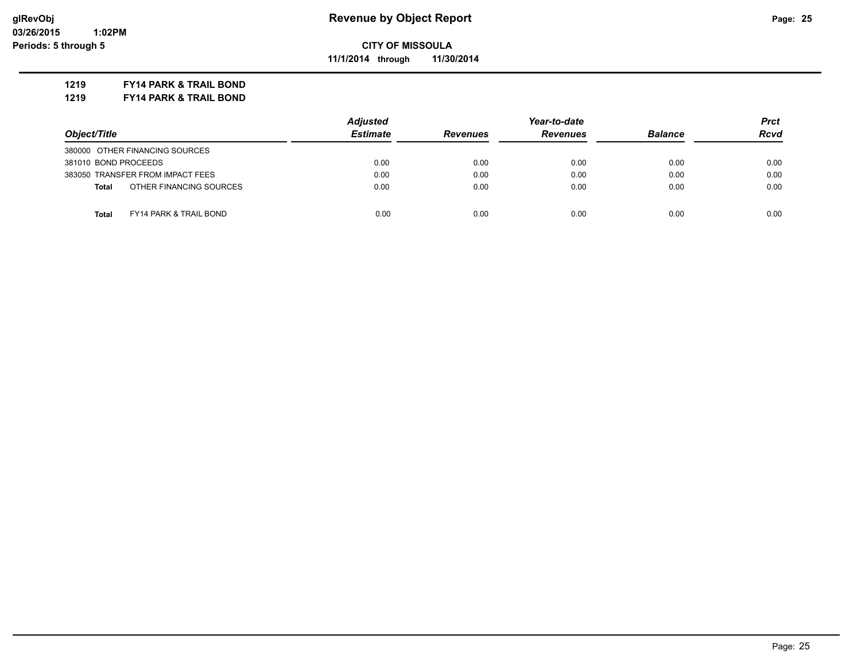**11/1/2014 through 11/30/2014**

### **1219 FY14 PARK & TRAIL BOND**

**1219 FY14 PARK & TRAIL BOND**

|                                         | <b>Adjusted</b> |                 | Year-to-date    |                | Prct |
|-----------------------------------------|-----------------|-----------------|-----------------|----------------|------|
| Object/Title                            | <b>Estimate</b> | <b>Revenues</b> | <b>Revenues</b> | <b>Balance</b> | Rcvd |
| 380000 OTHER FINANCING SOURCES          |                 |                 |                 |                |      |
| 381010 BOND PROCEEDS                    | 0.00            | 0.00            | 0.00            | 0.00           | 0.00 |
| 383050 TRANSFER FROM IMPACT FEES        | 0.00            | 0.00            | 0.00            | 0.00           | 0.00 |
| OTHER FINANCING SOURCES<br><b>Total</b> | 0.00            | 0.00            | 0.00            | 0.00           | 0.00 |
| <b>Total</b><br>FY14 PARK & TRAIL BOND  | 0.00            | 0.00            | 0.00            | 0.00           | 0.00 |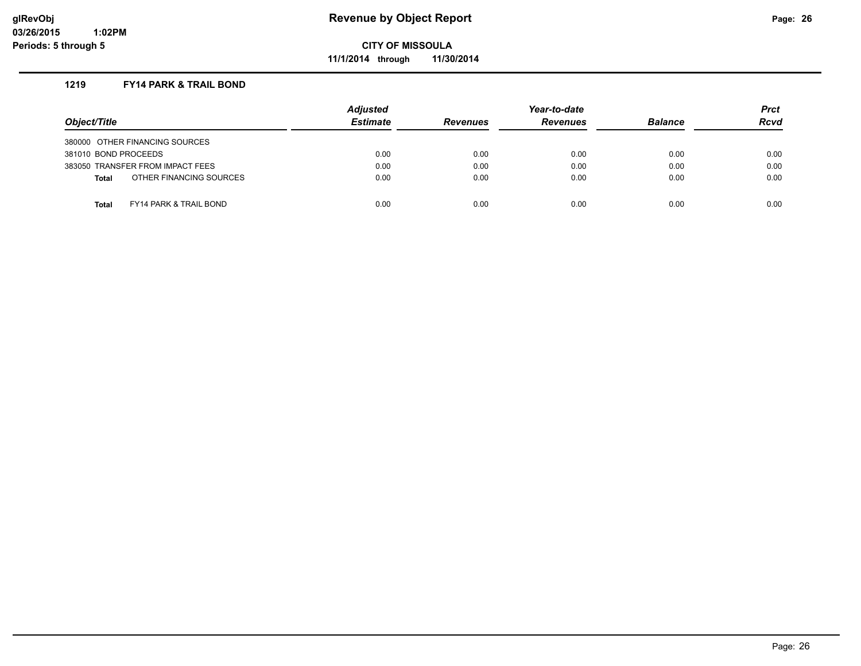**11/1/2014 through 11/30/2014**

### **1219 FY14 PARK & TRAIL BOND**

| Object/Title         |                                  | <b>Adjusted</b><br><b>Estimate</b> | <b>Revenues</b> | Year-to-date<br><b>Revenues</b> | <b>Balance</b> | <b>Prct</b><br><b>Rcvd</b> |
|----------------------|----------------------------------|------------------------------------|-----------------|---------------------------------|----------------|----------------------------|
|                      | 380000 OTHER FINANCING SOURCES   |                                    |                 |                                 |                |                            |
| 381010 BOND PROCEEDS |                                  | 0.00                               | 0.00            | 0.00                            | 0.00           | 0.00                       |
|                      | 383050 TRANSFER FROM IMPACT FEES | 0.00                               | 0.00            | 0.00                            | 0.00           | 0.00                       |
| <b>Total</b>         | OTHER FINANCING SOURCES          | 0.00                               | 0.00            | 0.00                            | 0.00           | 0.00                       |
|                      |                                  |                                    |                 |                                 |                |                            |
| <b>Total</b>         | FY14 PARK & TRAIL BOND           | 0.00                               | 0.00            | 0.00                            | 0.00           | 0.00                       |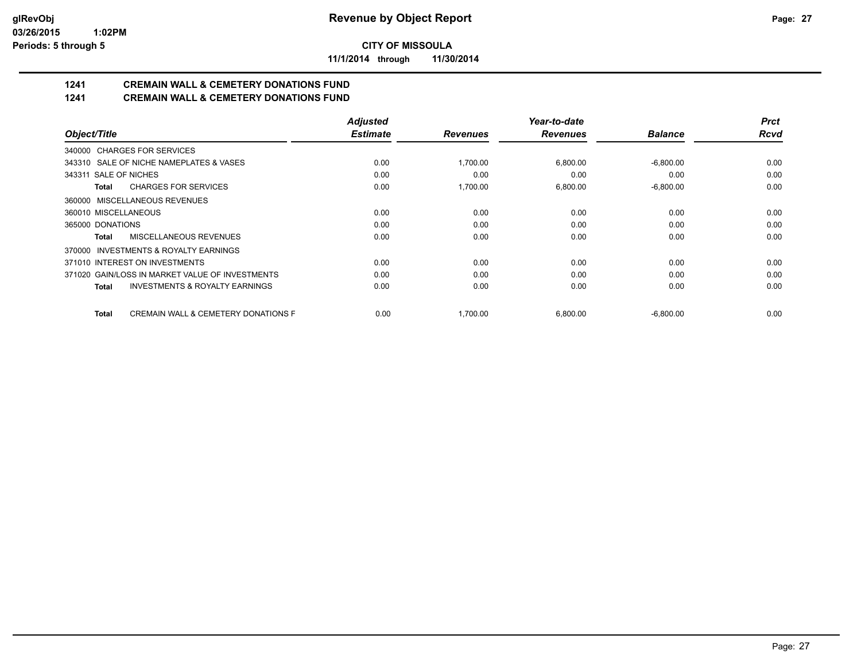**11/1/2014 through 11/30/2014**

# **1241 CREMAIN WALL & CEMETERY DONATIONS FUND**

# **1241 CREMAIN WALL & CEMETERY DONATIONS FUND**

|                                                                | <b>Adjusted</b> |                 | Year-to-date    |                | <b>Prct</b> |
|----------------------------------------------------------------|-----------------|-----------------|-----------------|----------------|-------------|
| Object/Title                                                   | <b>Estimate</b> | <b>Revenues</b> | <b>Revenues</b> | <b>Balance</b> | <b>Rcvd</b> |
| <b>CHARGES FOR SERVICES</b><br>340000                          |                 |                 |                 |                |             |
| 343310 SALE OF NICHE NAMEPLATES & VASES                        | 0.00            | 1,700.00        | 6,800.00        | $-6,800.00$    | 0.00        |
| 343311 SALE OF NICHES                                          | 0.00            | 0.00            | 0.00            | 0.00           | 0.00        |
| <b>CHARGES FOR SERVICES</b><br>Total                           | 0.00            | 1,700.00        | 6,800.00        | $-6,800.00$    | 0.00        |
| MISCELLANEOUS REVENUES<br>360000                               |                 |                 |                 |                |             |
| 360010 MISCELLANEOUS                                           | 0.00            | 0.00            | 0.00            | 0.00           | 0.00        |
| 365000 DONATIONS                                               | 0.00            | 0.00            | 0.00            | 0.00           | 0.00        |
| MISCELLANEOUS REVENUES<br><b>Total</b>                         | 0.00            | 0.00            | 0.00            | 0.00           | 0.00        |
| <b>INVESTMENTS &amp; ROYALTY EARNINGS</b><br>370000            |                 |                 |                 |                |             |
| 371010 INTEREST ON INVESTMENTS                                 | 0.00            | 0.00            | 0.00            | 0.00           | 0.00        |
| 371020 GAIN/LOSS IN MARKET VALUE OF INVESTMENTS                | 0.00            | 0.00            | 0.00            | 0.00           | 0.00        |
| <b>INVESTMENTS &amp; ROYALTY EARNINGS</b><br>Total             | 0.00            | 0.00            | 0.00            | 0.00           | 0.00        |
| <b>CREMAIN WALL &amp; CEMETERY DONATIONS F</b><br><b>Total</b> | 0.00            | 1.700.00        | 6,800.00        | $-6,800.00$    | 0.00        |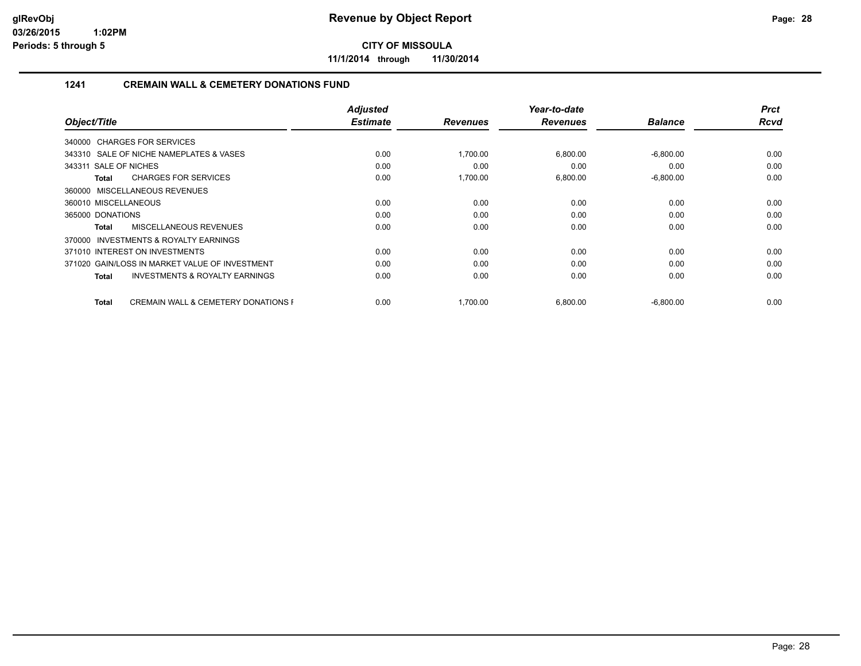**11/1/2014 through 11/30/2014**

### **1241 CREMAIN WALL & CEMETERY DONATIONS FUND**

|                                                         | <b>Adjusted</b> |                 | Year-to-date    |                | <b>Prct</b> |
|---------------------------------------------------------|-----------------|-----------------|-----------------|----------------|-------------|
| Object/Title                                            | <b>Estimate</b> | <b>Revenues</b> | <b>Revenues</b> | <b>Balance</b> | <b>Rcvd</b> |
| 340000 CHARGES FOR SERVICES                             |                 |                 |                 |                |             |
| 343310 SALE OF NICHE NAMEPLATES & VASES                 | 0.00            | 1,700.00        | 6,800.00        | $-6,800.00$    | 0.00        |
| 343311 SALE OF NICHES                                   | 0.00            | 0.00            | 0.00            | 0.00           | 0.00        |
| <b>CHARGES FOR SERVICES</b><br>Total                    | 0.00            | 1,700.00        | 6,800.00        | $-6,800.00$    | 0.00        |
| 360000 MISCELLANEOUS REVENUES                           |                 |                 |                 |                |             |
| 360010 MISCELLANEOUS                                    | 0.00            | 0.00            | 0.00            | 0.00           | 0.00        |
| 365000 DONATIONS                                        | 0.00            | 0.00            | 0.00            | 0.00           | 0.00        |
| MISCELLANEOUS REVENUES<br>Total                         | 0.00            | 0.00            | 0.00            | 0.00           | 0.00        |
| INVESTMENTS & ROYALTY EARNINGS<br>370000                |                 |                 |                 |                |             |
| 371010 INTEREST ON INVESTMENTS                          | 0.00            | 0.00            | 0.00            | 0.00           | 0.00        |
| 371020 GAIN/LOSS IN MARKET VALUE OF INVESTMENT          | 0.00            | 0.00            | 0.00            | 0.00           | 0.00        |
| <b>INVESTMENTS &amp; ROYALTY EARNINGS</b><br>Total      | 0.00            | 0.00            | 0.00            | 0.00           | 0.00        |
| <b>CREMAIN WALL &amp; CEMETERY DONATIONS F</b><br>Total | 0.00            | 1,700.00        | 6,800.00        | $-6,800.00$    | 0.00        |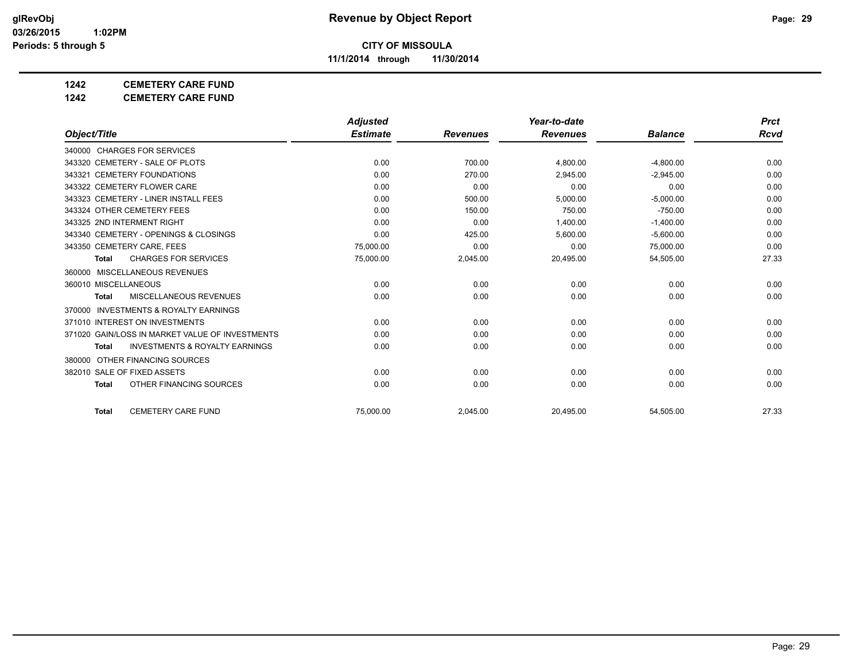**11/1/2014 through 11/30/2014**

# **1242 CEMETERY CARE FUND**

**1242 CEMETERY CARE FUND**

|                                                     | <b>Adjusted</b> |                 | Year-to-date    |                | <b>Prct</b> |
|-----------------------------------------------------|-----------------|-----------------|-----------------|----------------|-------------|
| Object/Title                                        | <b>Estimate</b> | <b>Revenues</b> | <b>Revenues</b> | <b>Balance</b> | Rcvd        |
| 340000 CHARGES FOR SERVICES                         |                 |                 |                 |                |             |
| 343320 CEMETERY - SALE OF PLOTS                     | 0.00            | 700.00          | 4,800.00        | $-4,800.00$    | 0.00        |
| 343321 CEMETERY FOUNDATIONS                         | 0.00            | 270.00          | 2,945.00        | $-2.945.00$    | 0.00        |
| 343322 CEMETERY FLOWER CARE                         | 0.00            | 0.00            | 0.00            | 0.00           | 0.00        |
| 343323 CEMETERY - LINER INSTALL FEES                | 0.00            | 500.00          | 5,000.00        | $-5,000.00$    | 0.00        |
| 343324 OTHER CEMETERY FEES                          | 0.00            | 150.00          | 750.00          | $-750.00$      | 0.00        |
| 343325 2ND INTERMENT RIGHT                          | 0.00            | 0.00            | 1.400.00        | $-1,400.00$    | 0.00        |
| 343340 CEMETERY - OPENINGS & CLOSINGS               | 0.00            | 425.00          | 5,600.00        | $-5,600.00$    | 0.00        |
| 343350 CEMETERY CARE, FEES                          | 75,000.00       | 0.00            | 0.00            | 75,000.00      | 0.00        |
| <b>CHARGES FOR SERVICES</b><br><b>Total</b>         | 75,000.00       | 2,045.00        | 20,495.00       | 54,505.00      | 27.33       |
| MISCELLANEOUS REVENUES<br>360000                    |                 |                 |                 |                |             |
| 360010 MISCELLANEOUS                                | 0.00            | 0.00            | 0.00            | 0.00           | 0.00        |
| MISCELLANEOUS REVENUES<br><b>Total</b>              | 0.00            | 0.00            | 0.00            | 0.00           | 0.00        |
| <b>INVESTMENTS &amp; ROYALTY EARNINGS</b><br>370000 |                 |                 |                 |                |             |
| 371010 INTEREST ON INVESTMENTS                      | 0.00            | 0.00            | 0.00            | 0.00           | 0.00        |
| 371020 GAIN/LOSS IN MARKET VALUE OF INVESTMENTS     | 0.00            | 0.00            | 0.00            | 0.00           | 0.00        |
| <b>INVESTMENTS &amp; ROYALTY EARNINGS</b><br>Total  | 0.00            | 0.00            | 0.00            | 0.00           | 0.00        |
| 380000 OTHER FINANCING SOURCES                      |                 |                 |                 |                |             |
| 382010 SALE OF FIXED ASSETS                         | 0.00            | 0.00            | 0.00            | 0.00           | 0.00        |
| OTHER FINANCING SOURCES<br><b>Total</b>             | 0.00            | 0.00            | 0.00            | 0.00           | 0.00        |
| <b>CEMETERY CARE FUND</b><br><b>Total</b>           | 75.000.00       | 2,045.00        | 20,495.00       | 54,505.00      | 27.33       |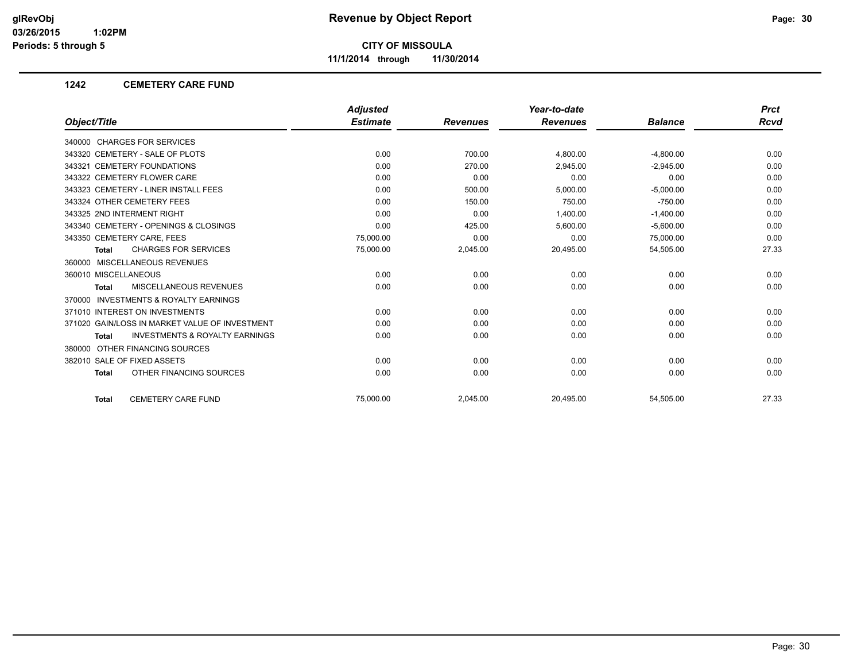**11/1/2014 through 11/30/2014**

### **1242 CEMETERY CARE FUND**

|                                                           | <b>Adjusted</b> |                 | Year-to-date    |                | <b>Prct</b> |
|-----------------------------------------------------------|-----------------|-----------------|-----------------|----------------|-------------|
| Object/Title                                              | <b>Estimate</b> | <b>Revenues</b> | <b>Revenues</b> | <b>Balance</b> | Rcvd        |
| 340000 CHARGES FOR SERVICES                               |                 |                 |                 |                |             |
| 343320 CEMETERY - SALE OF PLOTS                           | 0.00            | 700.00          | 4.800.00        | $-4,800.00$    | 0.00        |
| 343321 CEMETERY FOUNDATIONS                               | 0.00            | 270.00          | 2,945.00        | $-2,945.00$    | 0.00        |
| 343322 CEMETERY FLOWER CARE                               | 0.00            | 0.00            | 0.00            | 0.00           | 0.00        |
| 343323 CEMETERY - LINER INSTALL FEES                      | 0.00            | 500.00          | 5,000.00        | $-5,000.00$    | 0.00        |
| 343324 OTHER CEMETERY FEES                                | 0.00            | 150.00          | 750.00          | $-750.00$      | 0.00        |
| 343325 2ND INTERMENT RIGHT                                | 0.00            | 0.00            | 1,400.00        | $-1,400.00$    | 0.00        |
| 343340 CEMETERY - OPENINGS & CLOSINGS                     | 0.00            | 425.00          | 5,600.00        | $-5,600.00$    | 0.00        |
| 343350 CEMETERY CARE, FEES                                | 75,000.00       | 0.00            | 0.00            | 75,000.00      | 0.00        |
| <b>CHARGES FOR SERVICES</b><br><b>Total</b>               | 75,000.00       | 2,045.00        | 20,495.00       | 54,505.00      | 27.33       |
| 360000 MISCELLANEOUS REVENUES                             |                 |                 |                 |                |             |
| 360010 MISCELLANEOUS                                      | 0.00            | 0.00            | 0.00            | 0.00           | 0.00        |
| <b>MISCELLANEOUS REVENUES</b><br><b>Total</b>             | 0.00            | 0.00            | 0.00            | 0.00           | 0.00        |
| <b>INVESTMENTS &amp; ROYALTY EARNINGS</b><br>370000       |                 |                 |                 |                |             |
| 371010 INTEREST ON INVESTMENTS                            | 0.00            | 0.00            | 0.00            | 0.00           | 0.00        |
| 371020 GAIN/LOSS IN MARKET VALUE OF INVESTMENT            | 0.00            | 0.00            | 0.00            | 0.00           | 0.00        |
| <b>INVESTMENTS &amp; ROYALTY EARNINGS</b><br><b>Total</b> | 0.00            | 0.00            | 0.00            | 0.00           | 0.00        |
| 380000 OTHER FINANCING SOURCES                            |                 |                 |                 |                |             |
| 382010 SALE OF FIXED ASSETS                               | 0.00            | 0.00            | 0.00            | 0.00           | 0.00        |
| OTHER FINANCING SOURCES<br><b>Total</b>                   | 0.00            | 0.00            | 0.00            | 0.00           | 0.00        |
| <b>CEMETERY CARE FUND</b><br><b>Total</b>                 | 75.000.00       | 2,045.00        | 20,495.00       | 54,505.00      | 27.33       |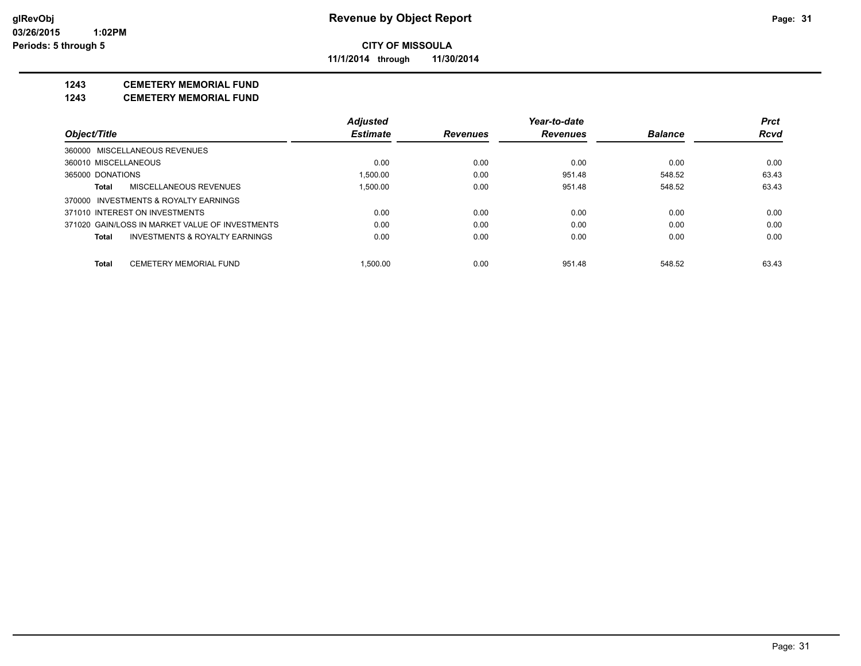**11/1/2014 through 11/30/2014**

# **1243 CEMETERY MEMORIAL FUND**

**1243 CEMETERY MEMORIAL FUND**

|                                                    | <b>Adjusted</b> |                 | Year-to-date    |                | <b>Prct</b> |
|----------------------------------------------------|-----------------|-----------------|-----------------|----------------|-------------|
| Object/Title                                       | <b>Estimate</b> | <b>Revenues</b> | <b>Revenues</b> | <b>Balance</b> | <b>Rcvd</b> |
| 360000 MISCELLANEOUS REVENUES                      |                 |                 |                 |                |             |
| 360010 MISCELLANEOUS                               | 0.00            | 0.00            | 0.00            | 0.00           | 0.00        |
| 365000 DONATIONS                                   | 1.500.00        | 0.00            | 951.48          | 548.52         | 63.43       |
| MISCELLANEOUS REVENUES<br>Total                    | 1.500.00        | 0.00            | 951.48          | 548.52         | 63.43       |
| 370000 INVESTMENTS & ROYALTY EARNINGS              |                 |                 |                 |                |             |
| 371010 INTEREST ON INVESTMENTS                     | 0.00            | 0.00            | 0.00            | 0.00           | 0.00        |
| 371020 GAIN/LOSS IN MARKET VALUE OF INVESTMENTS    | 0.00            | 0.00            | 0.00            | 0.00           | 0.00        |
| <b>INVESTMENTS &amp; ROYALTY EARNINGS</b><br>Total | 0.00            | 0.00            | 0.00            | 0.00           | 0.00        |
| <b>CEMETERY MEMORIAL FUND</b><br>Total             | 1.500.00        | 0.00            | 951.48          | 548.52         | 63.43       |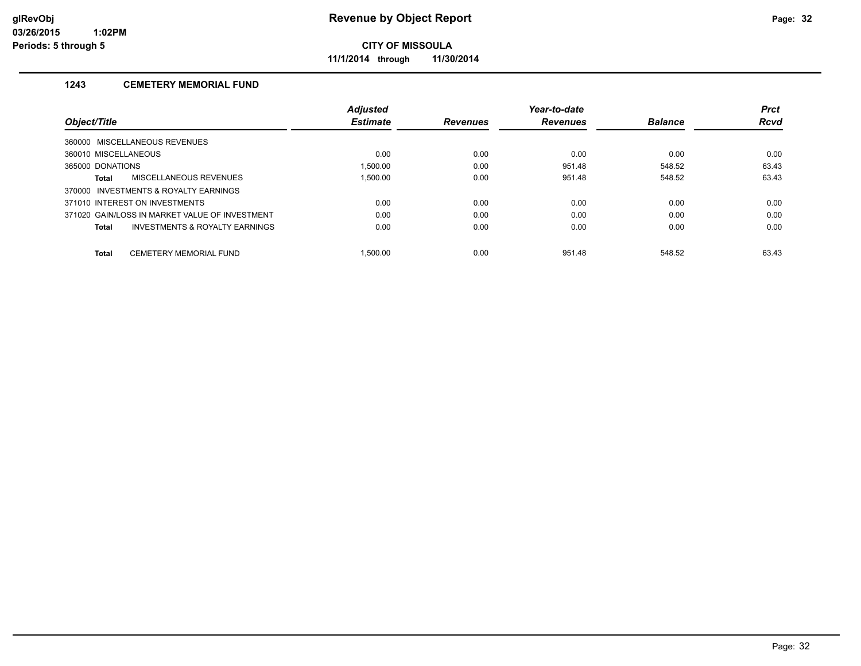**11/1/2014 through 11/30/2014**

# **1243 CEMETERY MEMORIAL FUND**

|                                                           | <b>Adjusted</b> |                 | Year-to-date    |                | <b>Prct</b> |
|-----------------------------------------------------------|-----------------|-----------------|-----------------|----------------|-------------|
| Object/Title                                              | <b>Estimate</b> | <b>Revenues</b> | <b>Revenues</b> | <b>Balance</b> | <b>Rcvd</b> |
| 360000 MISCELLANEOUS REVENUES                             |                 |                 |                 |                |             |
| 360010 MISCELLANEOUS                                      | 0.00            | 0.00            | 0.00            | 0.00           | 0.00        |
| 365000 DONATIONS                                          | 1.500.00        | 0.00            | 951.48          | 548.52         | 63.43       |
| MISCELLANEOUS REVENUES<br><b>Total</b>                    | 1.500.00        | 0.00            | 951.48          | 548.52         | 63.43       |
| 370000 INVESTMENTS & ROYALTY EARNINGS                     |                 |                 |                 |                |             |
| 371010 INTEREST ON INVESTMENTS                            | 0.00            | 0.00            | 0.00            | 0.00           | 0.00        |
| 371020 GAIN/LOSS IN MARKET VALUE OF INVESTMENT            | 0.00            | 0.00            | 0.00            | 0.00           | 0.00        |
| <b>INVESTMENTS &amp; ROYALTY EARNINGS</b><br><b>Total</b> | 0.00            | 0.00            | 0.00            | 0.00           | 0.00        |
| CEMETERY MEMORIAL FUND<br><b>Total</b>                    | 1.500.00        | 0.00            | 951.48          | 548.52         | 63.43       |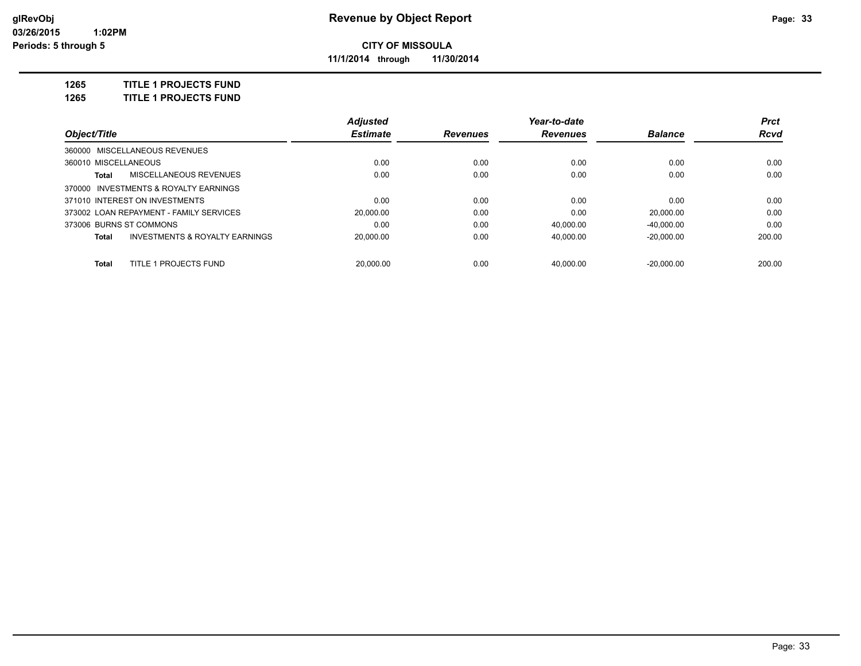**11/1/2014 through 11/30/2014**

**1265 TITLE 1 PROJECTS FUND**

**1265 TITLE 1 PROJECTS FUND**

|                                                    | <b>Adjusted</b> |                 | Year-to-date    |                | <b>Prct</b> |
|----------------------------------------------------|-----------------|-----------------|-----------------|----------------|-------------|
| Object/Title                                       | <b>Estimate</b> | <b>Revenues</b> | <b>Revenues</b> | <b>Balance</b> | Rcvd        |
| 360000 MISCELLANEOUS REVENUES                      |                 |                 |                 |                |             |
| 360010 MISCELLANEOUS                               | 0.00            | 0.00            | 0.00            | 0.00           | 0.00        |
| MISCELLANEOUS REVENUES<br>Total                    | 0.00            | 0.00            | 0.00            | 0.00           | 0.00        |
| 370000 INVESTMENTS & ROYALTY EARNINGS              |                 |                 |                 |                |             |
| 371010 INTEREST ON INVESTMENTS                     | 0.00            | 0.00            | 0.00            | 0.00           | 0.00        |
| 373002 LOAN REPAYMENT - FAMILY SERVICES            | 20,000.00       | 0.00            | 0.00            | 20.000.00      | 0.00        |
| 373006 BURNS ST COMMONS                            | 0.00            | 0.00            | 40.000.00       | $-40.000.00$   | 0.00        |
| <b>INVESTMENTS &amp; ROYALTY EARNINGS</b><br>Total | 20,000.00       | 0.00            | 40.000.00       | $-20.000.00$   | 200.00      |
| TITLE 1 PROJECTS FUND<br>Total                     | 20.000.00       | 0.00            | 40.000.00       | $-20.000.00$   | 200.00      |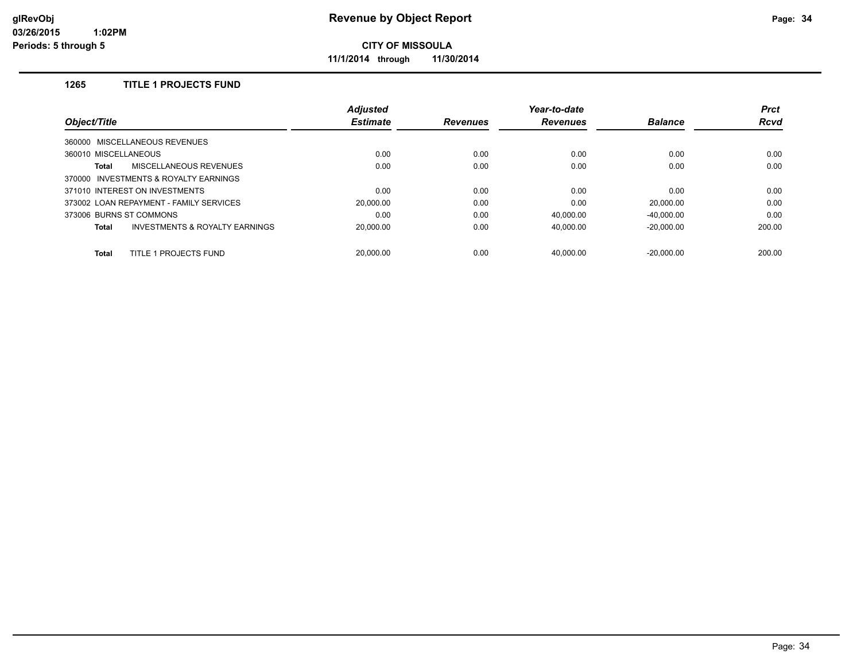**11/1/2014 through 11/30/2014**

# **1265 TITLE 1 PROJECTS FUND**

|                                                | <b>Adjusted</b> |                 | Year-to-date    |                | <b>Prct</b> |
|------------------------------------------------|-----------------|-----------------|-----------------|----------------|-------------|
| Object/Title                                   | <b>Estimate</b> | <b>Revenues</b> | <b>Revenues</b> | <b>Balance</b> | <b>Rcvd</b> |
| 360000 MISCELLANEOUS REVENUES                  |                 |                 |                 |                |             |
| 360010 MISCELLANEOUS                           | 0.00            | 0.00            | 0.00            | 0.00           | 0.00        |
| <b>MISCELLANEOUS REVENUES</b><br><b>Total</b>  | 0.00            | 0.00            | 0.00            | 0.00           | 0.00        |
| 370000 INVESTMENTS & ROYALTY EARNINGS          |                 |                 |                 |                |             |
| 371010 INTEREST ON INVESTMENTS                 | 0.00            | 0.00            | 0.00            | 0.00           | 0.00        |
| 373002 LOAN REPAYMENT - FAMILY SERVICES        | 20.000.00       | 0.00            | 0.00            | 20.000.00      | 0.00        |
| 373006 BURNS ST COMMONS                        | 0.00            | 0.00            | 40.000.00       | $-40.000.00$   | 0.00        |
| INVESTMENTS & ROYALTY EARNINGS<br><b>Total</b> | 20.000.00       | 0.00            | 40,000.00       | $-20,000.00$   | 200.00      |
| <b>TITLE 1 PROJECTS FUND</b><br><b>Total</b>   | 20.000.00       | 0.00            | 40.000.00       | $-20.000.00$   | 200.00      |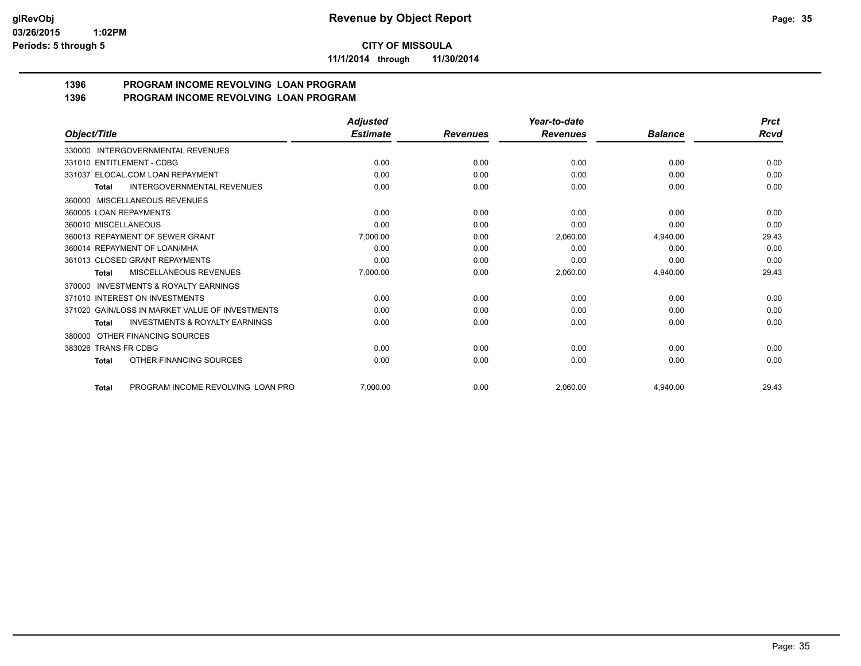**11/1/2014 through 11/30/2014**

#### **1396 PROGRAM INCOME REVOLVING LOAN PROGRAM 1396 PROGRAM INCOME REVOLVING LOAN PROGRAM**

| Object/Title                                              | <b>Adjusted</b> |                 | Year-to-date<br><b>Revenues</b> | <b>Balance</b> | <b>Prct</b><br>Rcvd |
|-----------------------------------------------------------|-----------------|-----------------|---------------------------------|----------------|---------------------|
|                                                           | <b>Estimate</b> | <b>Revenues</b> |                                 |                |                     |
| 330000 INTERGOVERNMENTAL REVENUES                         |                 |                 |                                 |                |                     |
| 331010 ENTITLEMENT - CDBG                                 | 0.00            | 0.00            | 0.00                            | 0.00           | 0.00                |
| 331037 ELOCAL.COM LOAN REPAYMENT                          | 0.00            | 0.00            | 0.00                            | 0.00           | 0.00                |
| <b>INTERGOVERNMENTAL REVENUES</b><br><b>Total</b>         | 0.00            | 0.00            | 0.00                            | 0.00           | 0.00                |
| MISCELLANEOUS REVENUES<br>360000                          |                 |                 |                                 |                |                     |
| 360005 LOAN REPAYMENTS                                    | 0.00            | 0.00            | 0.00                            | 0.00           | 0.00                |
| 360010 MISCELLANEOUS                                      | 0.00            | 0.00            | 0.00                            | 0.00           | 0.00                |
| 360013 REPAYMENT OF SEWER GRANT                           | 7,000.00        | 0.00            | 2,060.00                        | 4,940.00       | 29.43               |
| 360014 REPAYMENT OF LOAN/MHA                              | 0.00            | 0.00            | 0.00                            | 0.00           | 0.00                |
| 361013 CLOSED GRANT REPAYMENTS                            | 0.00            | 0.00            | 0.00                            | 0.00           | 0.00                |
| MISCELLANEOUS REVENUES<br><b>Total</b>                    | 7,000.00        | 0.00            | 2,060.00                        | 4,940.00       | 29.43               |
| <b>INVESTMENTS &amp; ROYALTY EARNINGS</b><br>370000       |                 |                 |                                 |                |                     |
| 371010 INTEREST ON INVESTMENTS                            | 0.00            | 0.00            | 0.00                            | 0.00           | 0.00                |
| 371020 GAIN/LOSS IN MARKET VALUE OF INVESTMENTS           | 0.00            | 0.00            | 0.00                            | 0.00           | 0.00                |
| <b>INVESTMENTS &amp; ROYALTY EARNINGS</b><br><b>Total</b> | 0.00            | 0.00            | 0.00                            | 0.00           | 0.00                |
| OTHER FINANCING SOURCES<br>380000                         |                 |                 |                                 |                |                     |
| <b>TRANS FR CDBG</b><br>383026                            | 0.00            | 0.00            | 0.00                            | 0.00           | 0.00                |
| OTHER FINANCING SOURCES<br><b>Total</b>                   | 0.00            | 0.00            | 0.00                            | 0.00           | 0.00                |
| PROGRAM INCOME REVOLVING LOAN PRO<br><b>Total</b>         | 7,000.00        | 0.00            | 2,060.00                        | 4,940.00       | 29.43               |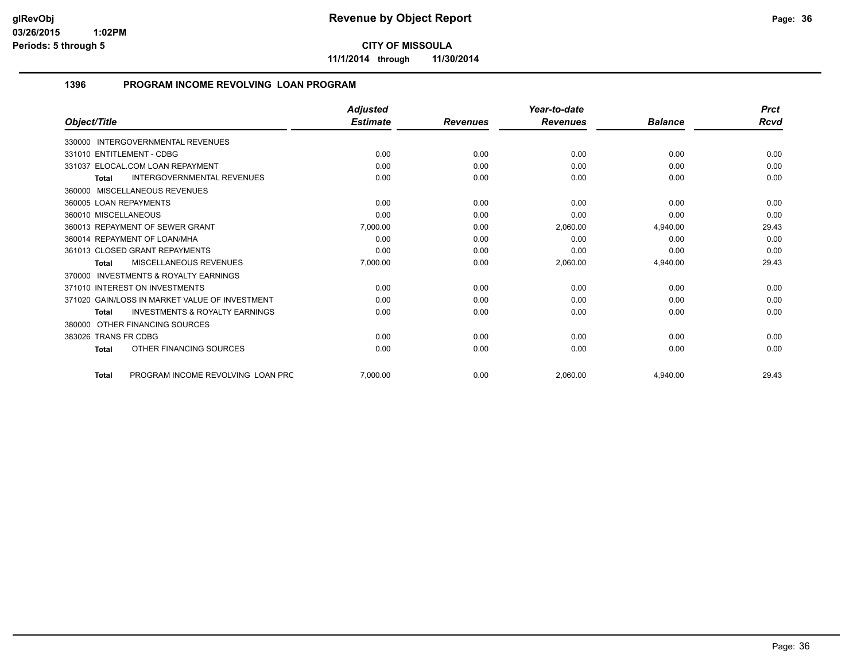**11/1/2014 through 11/30/2014**

# **1396 PROGRAM INCOME REVOLVING LOAN PROGRAM**

|                                                           | <b>Adjusted</b> |                 | Year-to-date<br><b>Revenues</b> | <b>Balance</b> | <b>Prct</b><br>Rcvd |
|-----------------------------------------------------------|-----------------|-----------------|---------------------------------|----------------|---------------------|
| Object/Title                                              | <b>Estimate</b> | <b>Revenues</b> |                                 |                |                     |
| 330000 INTERGOVERNMENTAL REVENUES                         |                 |                 |                                 |                |                     |
| 331010 ENTITLEMENT - CDBG                                 | 0.00            | 0.00            | 0.00                            | 0.00           | 0.00                |
| 331037 ELOCAL.COM LOAN REPAYMENT                          | 0.00            | 0.00            | 0.00                            | 0.00           | 0.00                |
| <b>INTERGOVERNMENTAL REVENUES</b><br><b>Total</b>         | 0.00            | 0.00            | 0.00                            | 0.00           | 0.00                |
| 360000 MISCELLANEOUS REVENUES                             |                 |                 |                                 |                |                     |
| 360005 LOAN REPAYMENTS                                    | 0.00            | 0.00            | 0.00                            | 0.00           | 0.00                |
| 360010 MISCELLANEOUS                                      | 0.00            | 0.00            | 0.00                            | 0.00           | 0.00                |
| 360013 REPAYMENT OF SEWER GRANT                           | 7,000.00        | 0.00            | 2,060.00                        | 4,940.00       | 29.43               |
| 360014 REPAYMENT OF LOAN/MHA                              | 0.00            | 0.00            | 0.00                            | 0.00           | 0.00                |
| 361013 CLOSED GRANT REPAYMENTS                            | 0.00            | 0.00            | 0.00                            | 0.00           | 0.00                |
| MISCELLANEOUS REVENUES<br><b>Total</b>                    | 7,000.00        | 0.00            | 2,060.00                        | 4,940.00       | 29.43               |
| <b>INVESTMENTS &amp; ROYALTY EARNINGS</b><br>370000       |                 |                 |                                 |                |                     |
| 371010 INTEREST ON INVESTMENTS                            | 0.00            | 0.00            | 0.00                            | 0.00           | 0.00                |
| 371020 GAIN/LOSS IN MARKET VALUE OF INVESTMENT            | 0.00            | 0.00            | 0.00                            | 0.00           | 0.00                |
| <b>INVESTMENTS &amp; ROYALTY EARNINGS</b><br><b>Total</b> | 0.00            | 0.00            | 0.00                            | 0.00           | 0.00                |
| OTHER FINANCING SOURCES<br>380000                         |                 |                 |                                 |                |                     |
| 383026 TRANS FR CDBG                                      | 0.00            | 0.00            | 0.00                            | 0.00           | 0.00                |
| OTHER FINANCING SOURCES<br>Total                          | 0.00            | 0.00            | 0.00                            | 0.00           | 0.00                |
| PROGRAM INCOME REVOLVING LOAN PRC<br><b>Total</b>         | 7.000.00        | 0.00            | 2,060.00                        | 4,940.00       | 29.43               |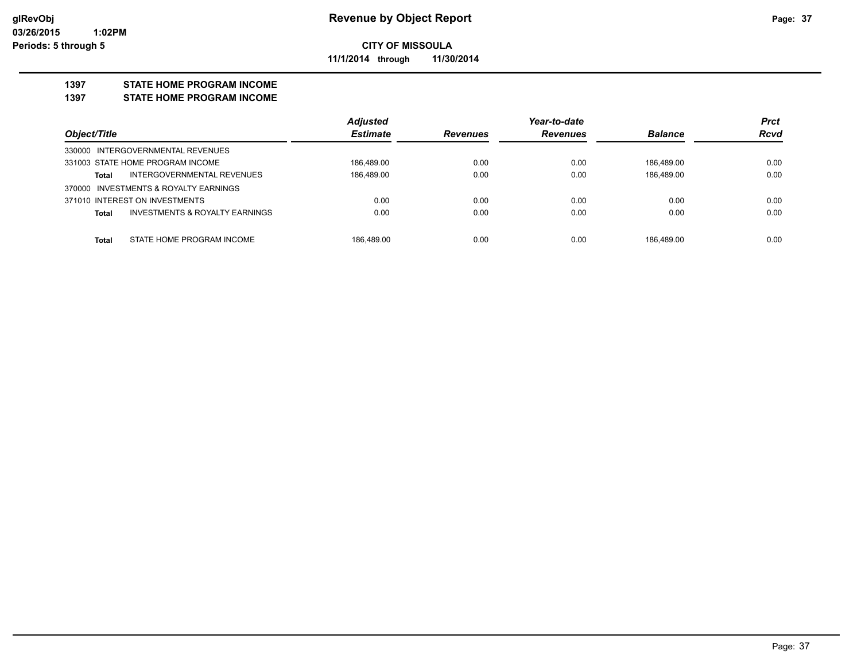**11/1/2014 through 11/30/2014**

#### **1397 STATE HOME PROGRAM INCOME**

**1397 STATE HOME PROGRAM INCOME**

|                                                           | <b>Adjusted</b> |                 | Year-to-date    |                | <b>Prct</b> |
|-----------------------------------------------------------|-----------------|-----------------|-----------------|----------------|-------------|
| Object/Title                                              | <b>Estimate</b> | <b>Revenues</b> | <b>Revenues</b> | <b>Balance</b> | <b>Rcvd</b> |
| 330000 INTERGOVERNMENTAL REVENUES                         |                 |                 |                 |                |             |
| 331003 STATE HOME PROGRAM INCOME                          | 186.489.00      | 0.00            | 0.00            | 186.489.00     | 0.00        |
| INTERGOVERNMENTAL REVENUES<br><b>Total</b>                | 186.489.00      | 0.00            | 0.00            | 186.489.00     | 0.00        |
| 370000 INVESTMENTS & ROYALTY EARNINGS                     |                 |                 |                 |                |             |
| 371010 INTEREST ON INVESTMENTS                            | 0.00            | 0.00            | 0.00            | 0.00           | 0.00        |
| <b>INVESTMENTS &amp; ROYALTY EARNINGS</b><br><b>Total</b> | 0.00            | 0.00            | 0.00            | 0.00           | 0.00        |
|                                                           |                 |                 |                 |                |             |
| STATE HOME PROGRAM INCOME<br><b>Total</b>                 | 186.489.00      | 0.00            | 0.00            | 186.489.00     | 0.00        |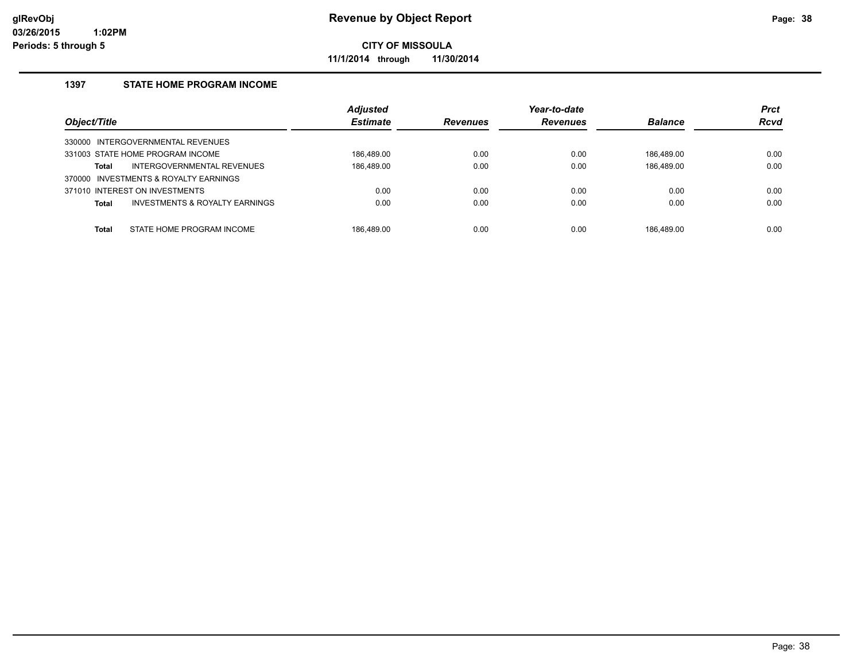**11/1/2014 through 11/30/2014**

## **1397 STATE HOME PROGRAM INCOME**

|              |                                       | <b>Adjusted</b> |                 | Year-to-date    |                | <b>Prct</b> |
|--------------|---------------------------------------|-----------------|-----------------|-----------------|----------------|-------------|
| Object/Title |                                       | <b>Estimate</b> | <b>Revenues</b> | <b>Revenues</b> | <b>Balance</b> | <b>Rcvd</b> |
|              | 330000 INTERGOVERNMENTAL REVENUES     |                 |                 |                 |                |             |
|              | 331003 STATE HOME PROGRAM INCOME      | 186.489.00      | 0.00            | 0.00            | 186.489.00     | 0.00        |
| Total        | INTERGOVERNMENTAL REVENUES            | 186,489.00      | 0.00            | 0.00            | 186,489.00     | 0.00        |
|              | 370000 INVESTMENTS & ROYALTY EARNINGS |                 |                 |                 |                |             |
|              | 371010 INTEREST ON INVESTMENTS        | 0.00            | 0.00            | 0.00            | 0.00           | 0.00        |
| <b>Total</b> | INVESTMENTS & ROYALTY EARNINGS        | 0.00            | 0.00            | 0.00            | 0.00           | 0.00        |
|              |                                       |                 |                 |                 |                |             |
| <b>Total</b> | STATE HOME PROGRAM INCOME             | 186.489.00      | 0.00            | 0.00            | 186.489.00     | 0.00        |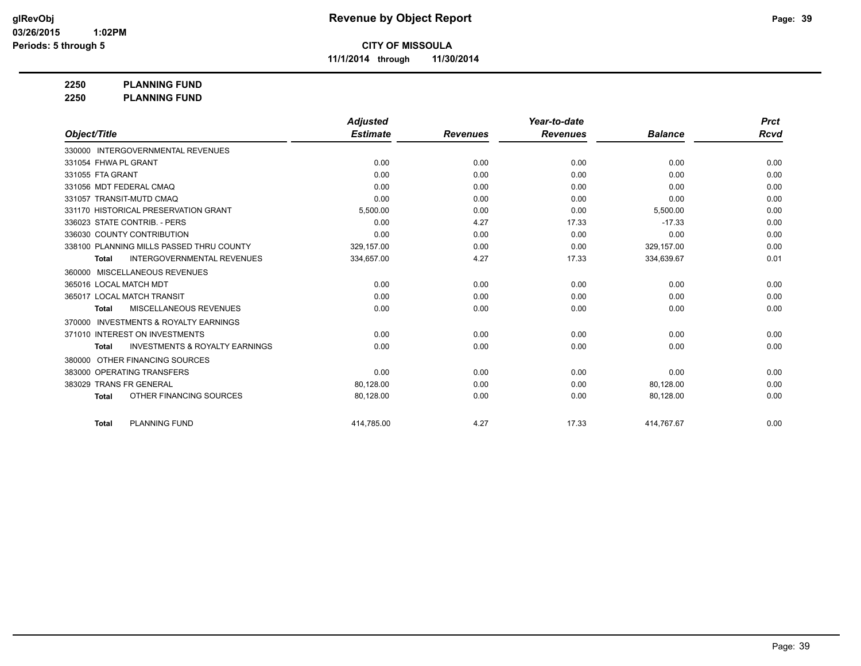**11/1/2014 through 11/30/2014**

**2250 PLANNING FUND**

**2250 PLANNING FUND**

|                                                           | <b>Adjusted</b> |                 | Year-to-date    |                | <b>Prct</b> |
|-----------------------------------------------------------|-----------------|-----------------|-----------------|----------------|-------------|
| Object/Title                                              | <b>Estimate</b> | <b>Revenues</b> | <b>Revenues</b> | <b>Balance</b> | Rcvd        |
| 330000 INTERGOVERNMENTAL REVENUES                         |                 |                 |                 |                |             |
| 331054 FHWA PL GRANT                                      | 0.00            | 0.00            | 0.00            | 0.00           | 0.00        |
| 331055 FTA GRANT                                          | 0.00            | 0.00            | 0.00            | 0.00           | 0.00        |
| 331056 MDT FEDERAL CMAQ                                   | 0.00            | 0.00            | 0.00            | 0.00           | 0.00        |
| 331057 TRANSIT-MUTD CMAQ                                  | 0.00            | 0.00            | 0.00            | 0.00           | 0.00        |
| 331170 HISTORICAL PRESERVATION GRANT                      | 5,500.00        | 0.00            | 0.00            | 5,500.00       | 0.00        |
| 336023 STATE CONTRIB. - PERS                              | 0.00            | 4.27            | 17.33           | $-17.33$       | 0.00        |
| 336030 COUNTY CONTRIBUTION                                | 0.00            | 0.00            | 0.00            | 0.00           | 0.00        |
| 338100 PLANNING MILLS PASSED THRU COUNTY                  | 329,157.00      | 0.00            | 0.00            | 329,157.00     | 0.00        |
| <b>INTERGOVERNMENTAL REVENUES</b><br><b>Total</b>         | 334,657.00      | 4.27            | 17.33           | 334,639.67     | 0.01        |
| MISCELLANEOUS REVENUES<br>360000                          |                 |                 |                 |                |             |
| 365016 LOCAL MATCH MDT                                    | 0.00            | 0.00            | 0.00            | 0.00           | 0.00        |
| 365017 LOCAL MATCH TRANSIT                                | 0.00            | 0.00            | 0.00            | 0.00           | 0.00        |
| MISCELLANEOUS REVENUES<br><b>Total</b>                    | 0.00            | 0.00            | 0.00            | 0.00           | 0.00        |
| <b>INVESTMENTS &amp; ROYALTY EARNINGS</b><br>370000       |                 |                 |                 |                |             |
| 371010 INTEREST ON INVESTMENTS                            | 0.00            | 0.00            | 0.00            | 0.00           | 0.00        |
| <b>INVESTMENTS &amp; ROYALTY EARNINGS</b><br><b>Total</b> | 0.00            | 0.00            | 0.00            | 0.00           | 0.00        |
| OTHER FINANCING SOURCES<br>380000                         |                 |                 |                 |                |             |
| 383000 OPERATING TRANSFERS                                | 0.00            | 0.00            | 0.00            | 0.00           | 0.00        |
| 383029 TRANS FR GENERAL                                   | 80,128.00       | 0.00            | 0.00            | 80,128.00      | 0.00        |
| OTHER FINANCING SOURCES<br><b>Total</b>                   | 80,128.00       | 0.00            | 0.00            | 80,128.00      | 0.00        |
| <b>PLANNING FUND</b><br><b>Total</b>                      | 414.785.00      | 4.27            | 17.33           | 414.767.67     | 0.00        |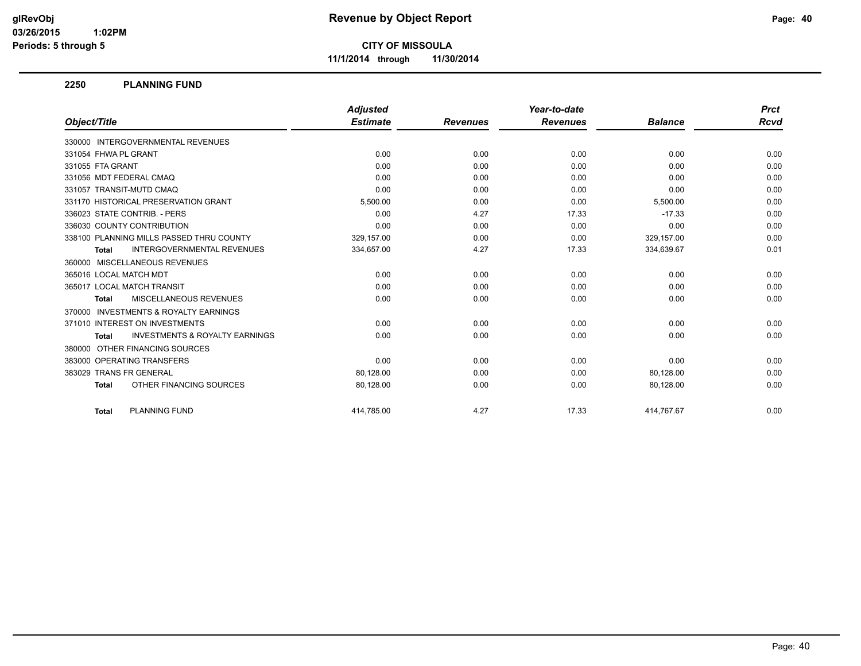**11/1/2014 through 11/30/2014**

#### **2250 PLANNING FUND**

|                                                           | <b>Adjusted</b> |                 | Year-to-date    |                | <b>Prct</b> |
|-----------------------------------------------------------|-----------------|-----------------|-----------------|----------------|-------------|
| Object/Title                                              | <b>Estimate</b> | <b>Revenues</b> | <b>Revenues</b> | <b>Balance</b> | Rcvd        |
| 330000 INTERGOVERNMENTAL REVENUES                         |                 |                 |                 |                |             |
| 331054 FHWA PL GRANT                                      | 0.00            | 0.00            | 0.00            | 0.00           | 0.00        |
| 331055 FTA GRANT                                          | 0.00            | 0.00            | 0.00            | 0.00           | 0.00        |
| 331056 MDT FEDERAL CMAQ                                   | 0.00            | 0.00            | 0.00            | 0.00           | 0.00        |
| 331057 TRANSIT-MUTD CMAQ                                  | 0.00            | 0.00            | 0.00            | 0.00           | 0.00        |
| 331170 HISTORICAL PRESERVATION GRANT                      | 5,500.00        | 0.00            | 0.00            | 5,500.00       | 0.00        |
| 336023 STATE CONTRIB. - PERS                              | 0.00            | 4.27            | 17.33           | $-17.33$       | 0.00        |
| 336030 COUNTY CONTRIBUTION                                | 0.00            | 0.00            | 0.00            | 0.00           | 0.00        |
| 338100 PLANNING MILLS PASSED THRU COUNTY                  | 329,157.00      | 0.00            | 0.00            | 329,157.00     | 0.00        |
| <b>INTERGOVERNMENTAL REVENUES</b><br><b>Total</b>         | 334,657.00      | 4.27            | 17.33           | 334,639.67     | 0.01        |
| 360000 MISCELLANEOUS REVENUES                             |                 |                 |                 |                |             |
| 365016 LOCAL MATCH MDT                                    | 0.00            | 0.00            | 0.00            | 0.00           | 0.00        |
| 365017 LOCAL MATCH TRANSIT                                | 0.00            | 0.00            | 0.00            | 0.00           | 0.00        |
| MISCELLANEOUS REVENUES<br><b>Total</b>                    | 0.00            | 0.00            | 0.00            | 0.00           | 0.00        |
| 370000 INVESTMENTS & ROYALTY EARNINGS                     |                 |                 |                 |                |             |
| 371010 INTEREST ON INVESTMENTS                            | 0.00            | 0.00            | 0.00            | 0.00           | 0.00        |
| <b>INVESTMENTS &amp; ROYALTY EARNINGS</b><br><b>Total</b> | 0.00            | 0.00            | 0.00            | 0.00           | 0.00        |
| 380000 OTHER FINANCING SOURCES                            |                 |                 |                 |                |             |
| 383000 OPERATING TRANSFERS                                | 0.00            | 0.00            | 0.00            | 0.00           | 0.00        |
| 383029 TRANS FR GENERAL                                   | 80.128.00       | 0.00            | 0.00            | 80,128.00      | 0.00        |
| OTHER FINANCING SOURCES<br><b>Total</b>                   | 80,128.00       | 0.00            | 0.00            | 80,128.00      | 0.00        |
| <b>PLANNING FUND</b><br><b>Total</b>                      | 414.785.00      | 4.27            | 17.33           | 414.767.67     | 0.00        |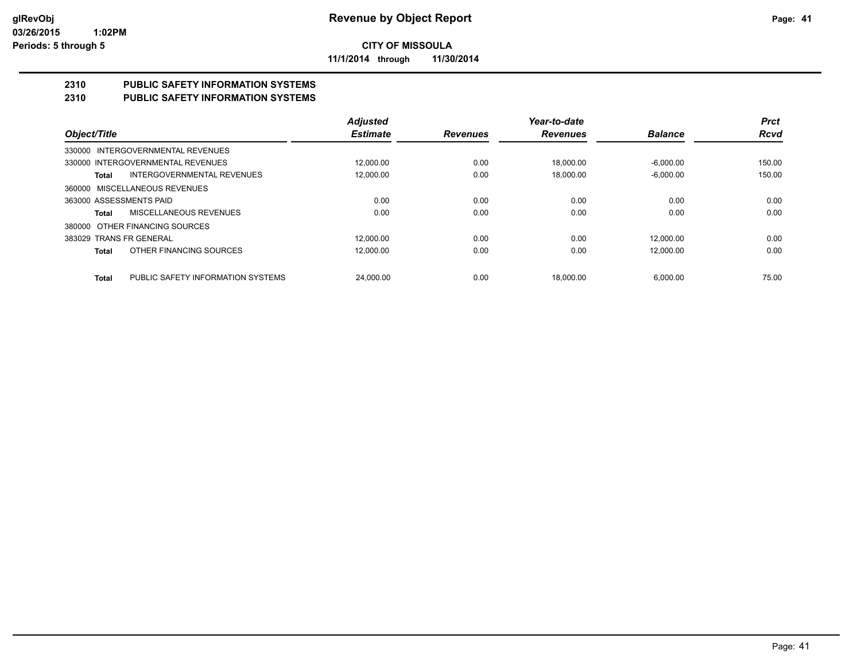**11/1/2014 through 11/30/2014**

#### **2310 PUBLIC SAFETY INFORMATION SYSTEMS 2310 PUBLIC SAFETY INFORMATION SYSTEMS**

|                                   |                                   | <b>Adjusted</b> |                 | Year-to-date    |                | <b>Prct</b> |
|-----------------------------------|-----------------------------------|-----------------|-----------------|-----------------|----------------|-------------|
| Object/Title                      |                                   | <b>Estimate</b> | <b>Revenues</b> | <b>Revenues</b> | <b>Balance</b> | <b>Rcvd</b> |
| 330000 INTERGOVERNMENTAL REVENUES |                                   |                 |                 |                 |                |             |
| 330000 INTERGOVERNMENTAL REVENUES |                                   | 12.000.00       | 0.00            | 18.000.00       | $-6.000.00$    | 150.00      |
| <b>Total</b>                      | <b>INTERGOVERNMENTAL REVENUES</b> | 12,000.00       | 0.00            | 18,000.00       | $-6,000.00$    | 150.00      |
| 360000 MISCELLANEOUS REVENUES     |                                   |                 |                 |                 |                |             |
| 363000 ASSESSMENTS PAID           |                                   | 0.00            | 0.00            | 0.00            | 0.00           | 0.00        |
| <b>Total</b>                      | MISCELLANEOUS REVENUES            | 0.00            | 0.00            | 0.00            | 0.00           | 0.00        |
| OTHER FINANCING SOURCES<br>380000 |                                   |                 |                 |                 |                |             |
| 383029 TRANS FR GENERAL           |                                   | 12.000.00       | 0.00            | 0.00            | 12.000.00      | 0.00        |
| <b>Total</b>                      | OTHER FINANCING SOURCES           | 12.000.00       | 0.00            | 0.00            | 12.000.00      | 0.00        |
| Total                             | PUBLIC SAFETY INFORMATION SYSTEMS | 24.000.00       | 0.00            | 18.000.00       | 6.000.00       | 75.00       |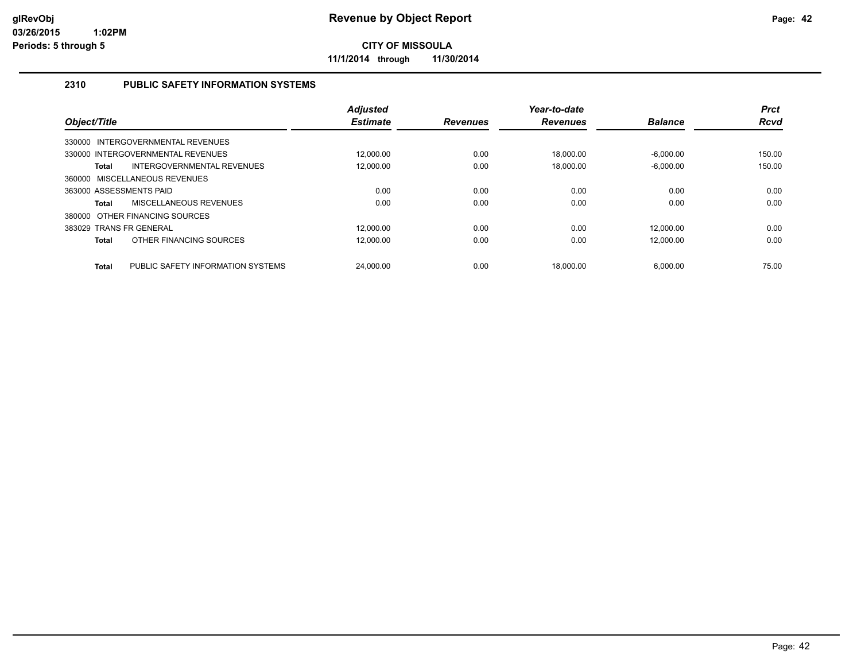**11/1/2014 through 11/30/2014**

## **2310 PUBLIC SAFETY INFORMATION SYSTEMS**

| Object/Title            |                                   | <b>Adjusted</b><br><b>Estimate</b> | <b>Revenues</b> | Year-to-date<br><b>Revenues</b> | <b>Balance</b> | <b>Prct</b><br><b>Rcvd</b> |
|-------------------------|-----------------------------------|------------------------------------|-----------------|---------------------------------|----------------|----------------------------|
|                         | 330000 INTERGOVERNMENTAL REVENUES |                                    |                 |                                 |                |                            |
|                         | 330000 INTERGOVERNMENTAL REVENUES | 12.000.00                          | 0.00            | 18.000.00                       | $-6.000.00$    | 150.00                     |
| Total                   | <b>INTERGOVERNMENTAL REVENUES</b> | 12.000.00                          | 0.00            | 18.000.00                       | $-6.000.00$    | 150.00                     |
|                         | 360000 MISCELLANEOUS REVENUES     |                                    |                 |                                 |                |                            |
| 363000 ASSESSMENTS PAID |                                   | 0.00                               | 0.00            | 0.00                            | 0.00           | 0.00                       |
| <b>Total</b>            | MISCELLANEOUS REVENUES            | 0.00                               | 0.00            | 0.00                            | 0.00           | 0.00                       |
|                         | 380000 OTHER FINANCING SOURCES    |                                    |                 |                                 |                |                            |
| 383029 TRANS FR GENERAL |                                   | 12.000.00                          | 0.00            | 0.00                            | 12.000.00      | 0.00                       |
| <b>Total</b>            | OTHER FINANCING SOURCES           | 12.000.00                          | 0.00            | 0.00                            | 12,000.00      | 0.00                       |
| <b>Total</b>            | PUBLIC SAFETY INFORMATION SYSTEMS | 24.000.00                          | 0.00            | 18.000.00                       | 6.000.00       | 75.00                      |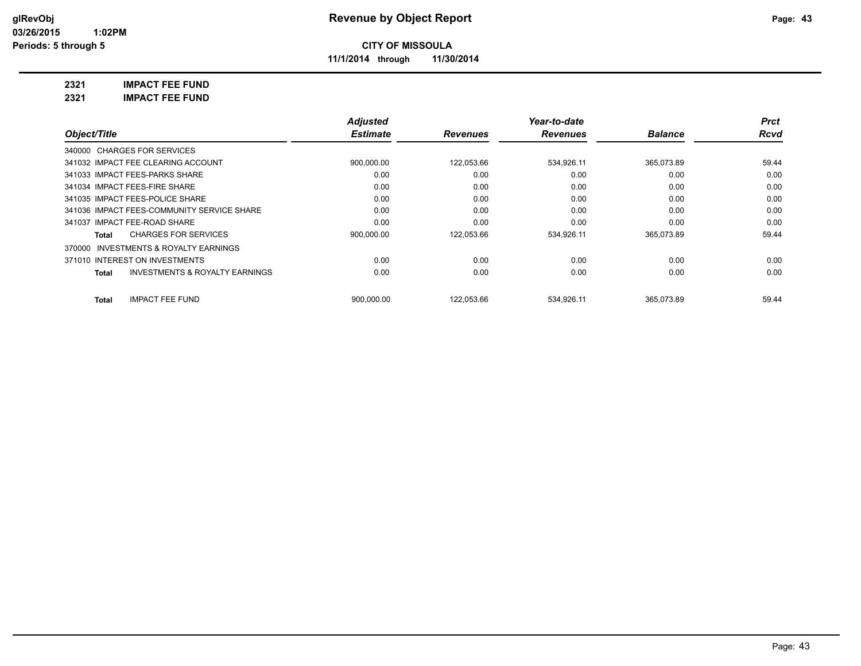**11/1/2014 through 11/30/2014**

**2321 IMPACT FEE FUND**

| <b>IMPACT FEE FUND</b><br>2321 |  |
|--------------------------------|--|
|--------------------------------|--|

|                                                           | <b>Adjusted</b> |                 | Year-to-date    |                | <b>Prct</b> |
|-----------------------------------------------------------|-----------------|-----------------|-----------------|----------------|-------------|
| Object/Title                                              | <b>Estimate</b> | <b>Revenues</b> | <b>Revenues</b> | <b>Balance</b> | Rcvd        |
| 340000 CHARGES FOR SERVICES                               |                 |                 |                 |                |             |
| 341032 IMPACT FEE CLEARING ACCOUNT                        | 900,000.00      | 122.053.66      | 534,926.11      | 365.073.89     | 59.44       |
| 341033 IMPACT FEES-PARKS SHARE                            | 0.00            | 0.00            | 0.00            | 0.00           | 0.00        |
| 341034 IMPACT FEES-FIRE SHARE                             | 0.00            | 0.00            | 0.00            | 0.00           | 0.00        |
| 341035 IMPACT FEES-POLICE SHARE                           | 0.00            | 0.00            | 0.00            | 0.00           | 0.00        |
| 341036 IMPACT FEES-COMMUNITY SERVICE SHARE                | 0.00            | 0.00            | 0.00            | 0.00           | 0.00        |
| 341037 IMPACT FEE-ROAD SHARE                              | 0.00            | 0.00            | 0.00            | 0.00           | 0.00        |
| <b>CHARGES FOR SERVICES</b><br>Total                      | 900,000.00      | 122,053.66      | 534,926.11      | 365,073.89     | 59.44       |
| INVESTMENTS & ROYALTY EARNINGS<br>370000                  |                 |                 |                 |                |             |
| 371010 INTEREST ON INVESTMENTS                            | 0.00            | 0.00            | 0.00            | 0.00           | 0.00        |
| <b>INVESTMENTS &amp; ROYALTY EARNINGS</b><br><b>Total</b> | 0.00            | 0.00            | 0.00            | 0.00           | 0.00        |
| <b>IMPACT FEE FUND</b><br><b>Total</b>                    | 900.000.00      | 122.053.66      | 534.926.11      | 365.073.89     | 59.44       |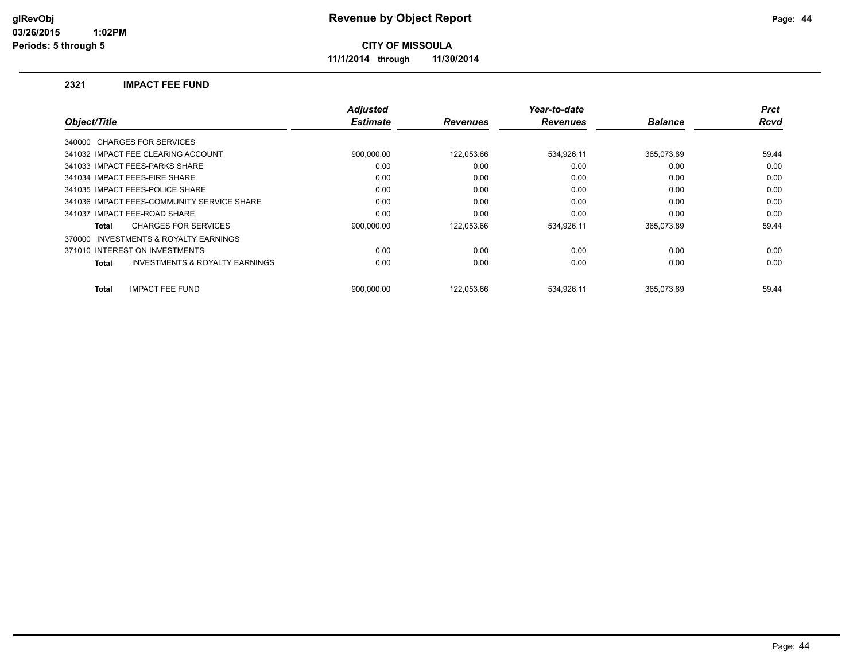**11/1/2014 through 11/30/2014**

#### **2321 IMPACT FEE FUND**

|                                                     | <b>Adjusted</b> |                 | Year-to-date    |                | <b>Prct</b> |
|-----------------------------------------------------|-----------------|-----------------|-----------------|----------------|-------------|
| Object/Title                                        | <b>Estimate</b> | <b>Revenues</b> | <b>Revenues</b> | <b>Balance</b> | <b>Rcvd</b> |
| 340000 CHARGES FOR SERVICES                         |                 |                 |                 |                |             |
| 341032 IMPACT FEE CLEARING ACCOUNT                  | 900,000.00      | 122,053.66      | 534,926.11      | 365,073.89     | 59.44       |
| 341033 IMPACT FEES-PARKS SHARE                      | 0.00            | 0.00            | 0.00            | 0.00           | 0.00        |
| 341034 IMPACT FEES-FIRE SHARE                       | 0.00            | 0.00            | 0.00            | 0.00           | 0.00        |
| 341035 IMPACT FEES-POLICE SHARE                     | 0.00            | 0.00            | 0.00            | 0.00           | 0.00        |
| 341036 IMPACT FEES-COMMUNITY SERVICE SHARE          | 0.00            | 0.00            | 0.00            | 0.00           | 0.00        |
| 341037 IMPACT FEE-ROAD SHARE                        | 0.00            | 0.00            | 0.00            | 0.00           | 0.00        |
| <b>CHARGES FOR SERVICES</b><br>Total                | 900.000.00      | 122.053.66      | 534,926.11      | 365.073.89     | 59.44       |
| <b>INVESTMENTS &amp; ROYALTY EARNINGS</b><br>370000 |                 |                 |                 |                |             |
| 371010 INTEREST ON INVESTMENTS                      | 0.00            | 0.00            | 0.00            | 0.00           | 0.00        |
| <b>INVESTMENTS &amp; ROYALTY EARNINGS</b><br>Total  | 0.00            | 0.00            | 0.00            | 0.00           | 0.00        |
| <b>IMPACT FEE FUND</b><br><b>Total</b>              | 900.000.00      | 122.053.66      | 534.926.11      | 365.073.89     | 59.44       |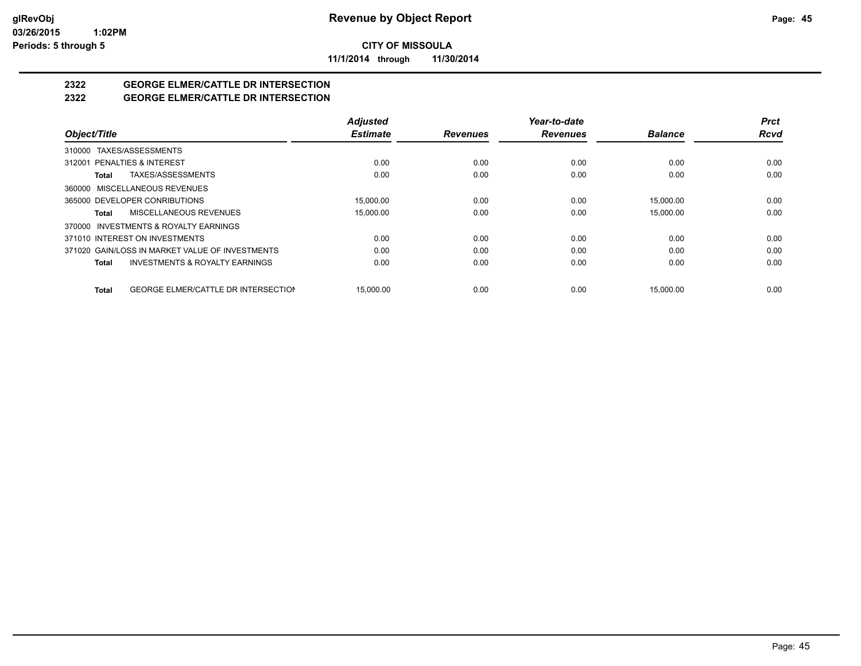**11/1/2014 through 11/30/2014**

# **2322 GEORGE ELMER/CATTLE DR INTERSECTION**

## **2322 GEORGE ELMER/CATTLE DR INTERSECTION**

|                                                           | <b>Adjusted</b> |                 | Year-to-date    |                | <b>Prct</b> |
|-----------------------------------------------------------|-----------------|-----------------|-----------------|----------------|-------------|
| Object/Title                                              | <b>Estimate</b> | <b>Revenues</b> | <b>Revenues</b> | <b>Balance</b> | <b>Rcvd</b> |
| 310000 TAXES/ASSESSMENTS                                  |                 |                 |                 |                |             |
| 312001 PENALTIES & INTEREST                               | 0.00            | 0.00            | 0.00            | 0.00           | 0.00        |
| TAXES/ASSESSMENTS<br><b>Total</b>                         | 0.00            | 0.00            | 0.00            | 0.00           | 0.00        |
| 360000 MISCELLANEOUS REVENUES                             |                 |                 |                 |                |             |
| 365000 DEVELOPER CONRIBUTIONS                             | 15.000.00       | 0.00            | 0.00            | 15.000.00      | 0.00        |
| MISCELLANEOUS REVENUES<br>Total                           | 15,000.00       | 0.00            | 0.00            | 15,000.00      | 0.00        |
| 370000 INVESTMENTS & ROYALTY EARNINGS                     |                 |                 |                 |                |             |
| 371010 INTEREST ON INVESTMENTS                            | 0.00            | 0.00            | 0.00            | 0.00           | 0.00        |
| 371020 GAIN/LOSS IN MARKET VALUE OF INVESTMENTS           | 0.00            | 0.00            | 0.00            | 0.00           | 0.00        |
| <b>INVESTMENTS &amp; ROYALTY EARNINGS</b><br><b>Total</b> | 0.00            | 0.00            | 0.00            | 0.00           | 0.00        |
| <b>GEORGE ELMER/CATTLE DR INTERSECTION</b><br>Total       | 15.000.00       | 0.00            | 0.00            | 15.000.00      | 0.00        |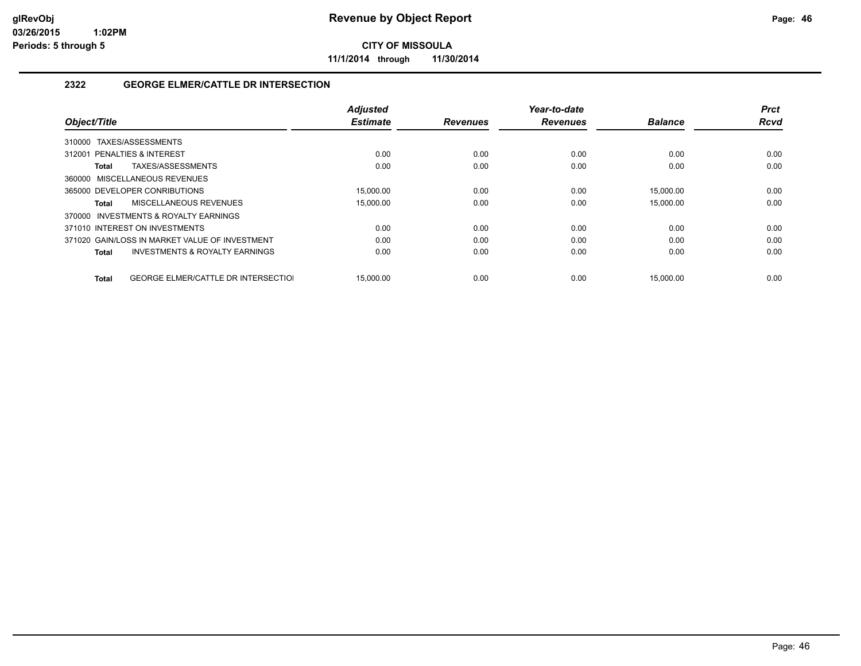**11/1/2014 through 11/30/2014**

## **2322 GEORGE ELMER/CATTLE DR INTERSECTION**

|                                                |                                            | <b>Adjusted</b><br><b>Estimate</b> |                 | Year-to-date    |                | <b>Prct</b><br><b>Rcvd</b> |
|------------------------------------------------|--------------------------------------------|------------------------------------|-----------------|-----------------|----------------|----------------------------|
| Object/Title                                   |                                            |                                    | <b>Revenues</b> | <b>Revenues</b> | <b>Balance</b> |                            |
| TAXES/ASSESSMENTS<br>310000                    |                                            |                                    |                 |                 |                |                            |
| 312001 PENALTIES & INTEREST                    |                                            | 0.00                               | 0.00            | 0.00            | 0.00           | 0.00                       |
| Total                                          | TAXES/ASSESSMENTS                          | 0.00                               | 0.00            | 0.00            | 0.00           | 0.00                       |
| 360000 MISCELLANEOUS REVENUES                  |                                            |                                    |                 |                 |                |                            |
| 365000 DEVELOPER CONRIBUTIONS                  |                                            | 15,000.00                          | 0.00            | 0.00            | 15.000.00      | 0.00                       |
| Total                                          | MISCELLANEOUS REVENUES                     | 15,000.00                          | 0.00            | 0.00            | 15,000.00      | 0.00                       |
| 370000 INVESTMENTS & ROYALTY EARNINGS          |                                            |                                    |                 |                 |                |                            |
| 371010 INTEREST ON INVESTMENTS                 |                                            | 0.00                               | 0.00            | 0.00            | 0.00           | 0.00                       |
| 371020 GAIN/LOSS IN MARKET VALUE OF INVESTMENT |                                            | 0.00                               | 0.00            | 0.00            | 0.00           | 0.00                       |
| Total                                          | <b>INVESTMENTS &amp; ROYALTY EARNINGS</b>  | 0.00                               | 0.00            | 0.00            | 0.00           | 0.00                       |
|                                                |                                            |                                    |                 |                 |                |                            |
| Total                                          | <b>GEORGE ELMER/CATTLE DR INTERSECTIOL</b> | 15.000.00                          | 0.00            | 0.00            | 15.000.00      | 0.00                       |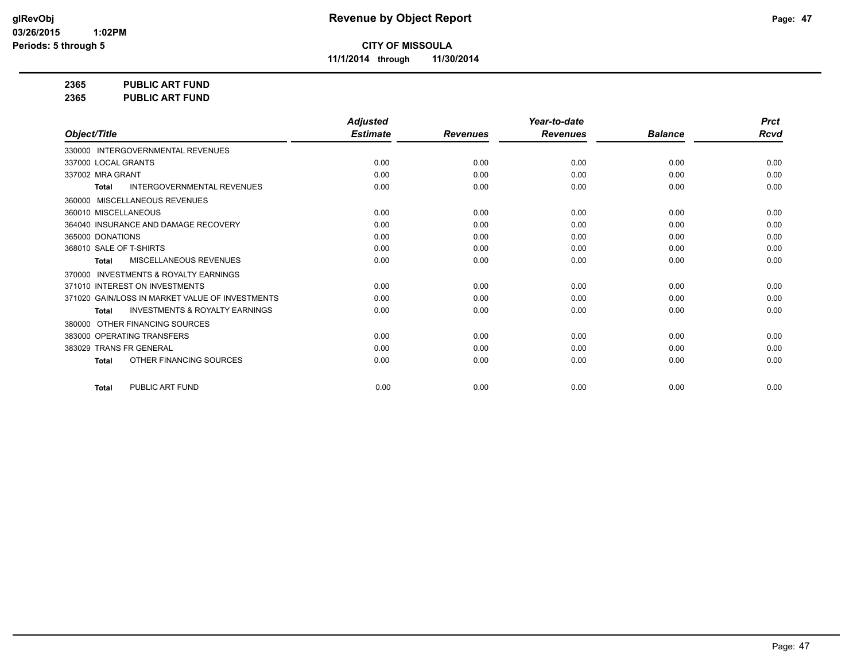**11/1/2014 through 11/30/2014**

**2365 PUBLIC ART FUND**

**2365 PUBLIC ART FUND**

|                                                           | <b>Adjusted</b> |                 | Year-to-date    |                | <b>Prct</b> |
|-----------------------------------------------------------|-----------------|-----------------|-----------------|----------------|-------------|
| Object/Title                                              | <b>Estimate</b> | <b>Revenues</b> | <b>Revenues</b> | <b>Balance</b> | <b>Rcvd</b> |
| 330000 INTERGOVERNMENTAL REVENUES                         |                 |                 |                 |                |             |
| 337000 LOCAL GRANTS                                       | 0.00            | 0.00            | 0.00            | 0.00           | 0.00        |
| 337002 MRA GRANT                                          | 0.00            | 0.00            | 0.00            | 0.00           | 0.00        |
| <b>INTERGOVERNMENTAL REVENUES</b><br><b>Total</b>         | 0.00            | 0.00            | 0.00            | 0.00           | 0.00        |
| MISCELLANEOUS REVENUES<br>360000                          |                 |                 |                 |                |             |
| 360010 MISCELLANEOUS                                      | 0.00            | 0.00            | 0.00            | 0.00           | 0.00        |
| 364040 INSURANCE AND DAMAGE RECOVERY                      | 0.00            | 0.00            | 0.00            | 0.00           | 0.00        |
| 365000 DONATIONS                                          | 0.00            | 0.00            | 0.00            | 0.00           | 0.00        |
| 368010 SALE OF T-SHIRTS                                   | 0.00            | 0.00            | 0.00            | 0.00           | 0.00        |
| <b>MISCELLANEOUS REVENUES</b><br><b>Total</b>             | 0.00            | 0.00            | 0.00            | 0.00           | 0.00        |
| <b>INVESTMENTS &amp; ROYALTY EARNINGS</b><br>370000       |                 |                 |                 |                |             |
| 371010 INTEREST ON INVESTMENTS                            | 0.00            | 0.00            | 0.00            | 0.00           | 0.00        |
| 371020 GAIN/LOSS IN MARKET VALUE OF INVESTMENTS           | 0.00            | 0.00            | 0.00            | 0.00           | 0.00        |
| <b>INVESTMENTS &amp; ROYALTY EARNINGS</b><br><b>Total</b> | 0.00            | 0.00            | 0.00            | 0.00           | 0.00        |
| OTHER FINANCING SOURCES<br>380000                         |                 |                 |                 |                |             |
| 383000 OPERATING TRANSFERS                                | 0.00            | 0.00            | 0.00            | 0.00           | 0.00        |
| 383029 TRANS FR GENERAL                                   | 0.00            | 0.00            | 0.00            | 0.00           | 0.00        |
| OTHER FINANCING SOURCES<br><b>Total</b>                   | 0.00            | 0.00            | 0.00            | 0.00           | 0.00        |
| PUBLIC ART FUND<br><b>Total</b>                           | 0.00            | 0.00            | 0.00            | 0.00           | 0.00        |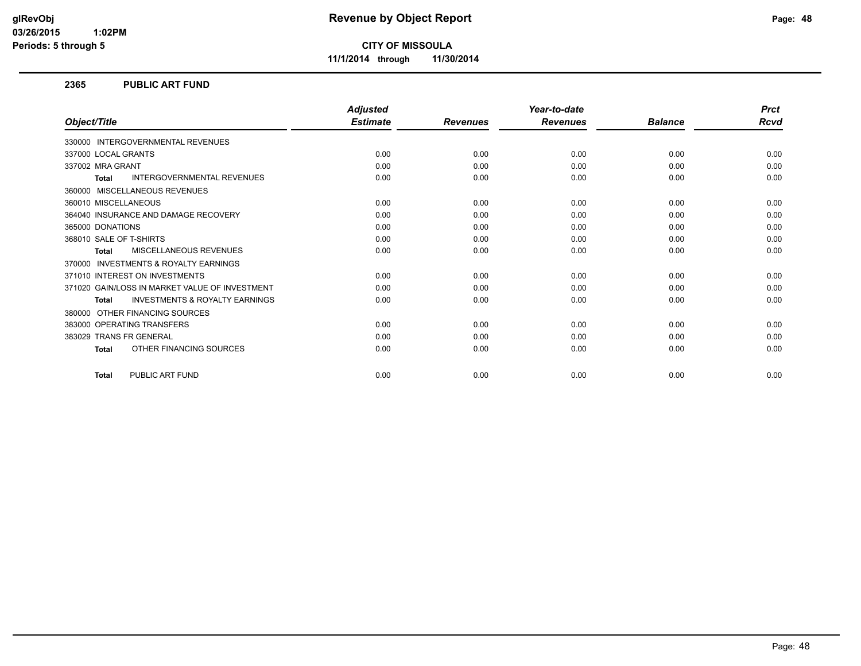**11/1/2014 through 11/30/2014**

#### **2365 PUBLIC ART FUND**

|                                                           | <b>Adjusted</b> |                 | Year-to-date    |                | <b>Prct</b> |
|-----------------------------------------------------------|-----------------|-----------------|-----------------|----------------|-------------|
| Object/Title                                              | <b>Estimate</b> | <b>Revenues</b> | <b>Revenues</b> | <b>Balance</b> | Rcvd        |
| 330000 INTERGOVERNMENTAL REVENUES                         |                 |                 |                 |                |             |
| 337000 LOCAL GRANTS                                       | 0.00            | 0.00            | 0.00            | 0.00           | 0.00        |
| 337002 MRA GRANT                                          | 0.00            | 0.00            | 0.00            | 0.00           | 0.00        |
| <b>INTERGOVERNMENTAL REVENUES</b><br><b>Total</b>         | 0.00            | 0.00            | 0.00            | 0.00           | 0.00        |
| MISCELLANEOUS REVENUES<br>360000                          |                 |                 |                 |                |             |
| 360010 MISCELLANEOUS                                      | 0.00            | 0.00            | 0.00            | 0.00           | 0.00        |
| 364040 INSURANCE AND DAMAGE RECOVERY                      | 0.00            | 0.00            | 0.00            | 0.00           | 0.00        |
| 365000 DONATIONS                                          | 0.00            | 0.00            | 0.00            | 0.00           | 0.00        |
| 368010 SALE OF T-SHIRTS                                   | 0.00            | 0.00            | 0.00            | 0.00           | 0.00        |
| <b>MISCELLANEOUS REVENUES</b><br><b>Total</b>             | 0.00            | 0.00            | 0.00            | 0.00           | 0.00        |
| <b>INVESTMENTS &amp; ROYALTY EARNINGS</b><br>370000       |                 |                 |                 |                |             |
| 371010 INTEREST ON INVESTMENTS                            | 0.00            | 0.00            | 0.00            | 0.00           | 0.00        |
| 371020 GAIN/LOSS IN MARKET VALUE OF INVESTMENT            | 0.00            | 0.00            | 0.00            | 0.00           | 0.00        |
| <b>INVESTMENTS &amp; ROYALTY EARNINGS</b><br><b>Total</b> | 0.00            | 0.00            | 0.00            | 0.00           | 0.00        |
| OTHER FINANCING SOURCES<br>380000                         |                 |                 |                 |                |             |
| 383000 OPERATING TRANSFERS                                | 0.00            | 0.00            | 0.00            | 0.00           | 0.00        |
| 383029 TRANS FR GENERAL                                   | 0.00            | 0.00            | 0.00            | 0.00           | 0.00        |
| OTHER FINANCING SOURCES<br><b>Total</b>                   | 0.00            | 0.00            | 0.00            | 0.00           | 0.00        |
| PUBLIC ART FUND<br><b>Total</b>                           | 0.00            | 0.00            | 0.00            | 0.00           | 0.00        |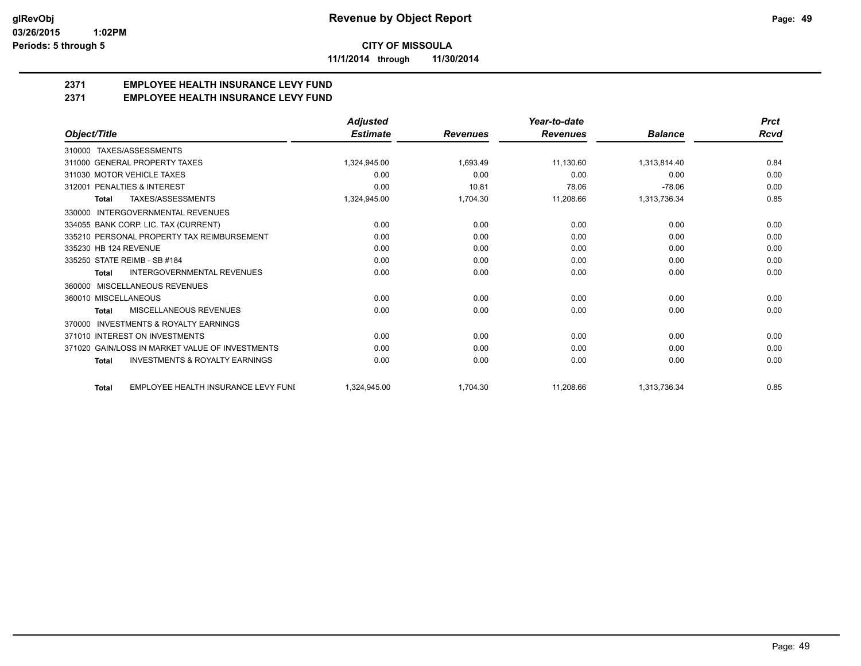**11/1/2014 through 11/30/2014**

## **2371 EMPLOYEE HEALTH INSURANCE LEVY FUND**

**2371 EMPLOYEE HEALTH INSURANCE LEVY FUND**

|                                                    | <b>Adjusted</b> |                 | Year-to-date    |                | <b>Prct</b> |
|----------------------------------------------------|-----------------|-----------------|-----------------|----------------|-------------|
| Object/Title                                       | <b>Estimate</b> | <b>Revenues</b> | <b>Revenues</b> | <b>Balance</b> | <b>Rcvd</b> |
| 310000 TAXES/ASSESSMENTS                           |                 |                 |                 |                |             |
| 311000 GENERAL PROPERTY TAXES                      | 1.324.945.00    | 1,693.49        | 11,130.60       | 1,313,814.40   | 0.84        |
| 311030 MOTOR VEHICLE TAXES                         | 0.00            | 0.00            | 0.00            | 0.00           | 0.00        |
| 312001 PENALTIES & INTEREST                        | 0.00            | 10.81           | 78.06           | $-78.06$       | 0.00        |
| <b>TAXES/ASSESSMENTS</b><br>Total                  | 1,324,945.00    | 1,704.30        | 11,208.66       | 1,313,736.34   | 0.85        |
| <b>INTERGOVERNMENTAL REVENUES</b><br>330000        |                 |                 |                 |                |             |
| 334055 BANK CORP. LIC. TAX (CURRENT)               | 0.00            | 0.00            | 0.00            | 0.00           | 0.00        |
| 335210 PERSONAL PROPERTY TAX REIMBURSEMENT         | 0.00            | 0.00            | 0.00            | 0.00           | 0.00        |
| 335230 HB 124 REVENUE                              | 0.00            | 0.00            | 0.00            | 0.00           | 0.00        |
| 335250 STATE REIMB - SB #184                       | 0.00            | 0.00            | 0.00            | 0.00           | 0.00        |
| <b>INTERGOVERNMENTAL REVENUES</b><br>Total         | 0.00            | 0.00            | 0.00            | 0.00           | 0.00        |
| 360000 MISCELLANEOUS REVENUES                      |                 |                 |                 |                |             |
| 360010 MISCELLANEOUS                               | 0.00            | 0.00            | 0.00            | 0.00           | 0.00        |
| <b>MISCELLANEOUS REVENUES</b><br>Total             | 0.00            | 0.00            | 0.00            | 0.00           | 0.00        |
| INVESTMENTS & ROYALTY EARNINGS<br>370000           |                 |                 |                 |                |             |
| 371010 INTEREST ON INVESTMENTS                     | 0.00            | 0.00            | 0.00            | 0.00           | 0.00        |
| 371020 GAIN/LOSS IN MARKET VALUE OF INVESTMENTS    | 0.00            | 0.00            | 0.00            | 0.00           | 0.00        |
| <b>INVESTMENTS &amp; ROYALTY EARNINGS</b><br>Total | 0.00            | 0.00            | 0.00            | 0.00           | 0.00        |
| EMPLOYEE HEALTH INSURANCE LEVY FUNI<br>Total       | 1,324,945.00    | 1,704.30        | 11,208.66       | 1,313,736.34   | 0.85        |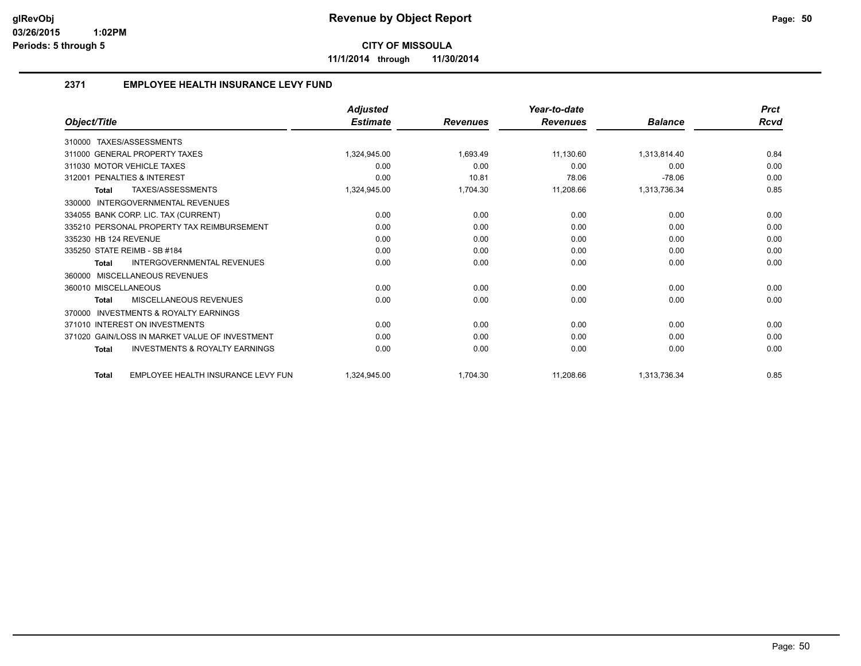**11/1/2014 through 11/30/2014**

## **2371 EMPLOYEE HEALTH INSURANCE LEVY FUND**

|                                                    | <b>Adjusted</b> |                 | Year-to-date    |                | <b>Prct</b> |
|----------------------------------------------------|-----------------|-----------------|-----------------|----------------|-------------|
| Object/Title                                       | <b>Estimate</b> | <b>Revenues</b> | <b>Revenues</b> | <b>Balance</b> | <b>Rcvd</b> |
| <b>TAXES/ASSESSMENTS</b><br>310000                 |                 |                 |                 |                |             |
| 311000 GENERAL PROPERTY TAXES                      | 1.324.945.00    | 1,693.49        | 11,130.60       | 1,313,814.40   | 0.84        |
| 311030 MOTOR VEHICLE TAXES                         | 0.00            | 0.00            | 0.00            | 0.00           | 0.00        |
| 312001 PENALTIES & INTEREST                        | 0.00            | 10.81           | 78.06           | $-78.06$       | 0.00        |
| TAXES/ASSESSMENTS<br><b>Total</b>                  | 1,324,945.00    | 1,704.30        | 11,208.66       | 1,313,736.34   | 0.85        |
| <b>INTERGOVERNMENTAL REVENUES</b><br>330000        |                 |                 |                 |                |             |
| 334055 BANK CORP. LIC. TAX (CURRENT)               | 0.00            | 0.00            | 0.00            | 0.00           | 0.00        |
| 335210 PERSONAL PROPERTY TAX REIMBURSEMENT         | 0.00            | 0.00            | 0.00            | 0.00           | 0.00        |
| 335230 HB 124 REVENUE                              | 0.00            | 0.00            | 0.00            | 0.00           | 0.00        |
| 335250 STATE REIMB - SB #184                       | 0.00            | 0.00            | 0.00            | 0.00           | 0.00        |
| <b>INTERGOVERNMENTAL REVENUES</b><br><b>Total</b>  | 0.00            | 0.00            | 0.00            | 0.00           | 0.00        |
| MISCELLANEOUS REVENUES<br>360000                   |                 |                 |                 |                |             |
| 360010 MISCELLANEOUS                               | 0.00            | 0.00            | 0.00            | 0.00           | 0.00        |
| MISCELLANEOUS REVENUES<br><b>Total</b>             | 0.00            | 0.00            | 0.00            | 0.00           | 0.00        |
| INVESTMENTS & ROYALTY EARNINGS<br>370000           |                 |                 |                 |                |             |
| 371010 INTEREST ON INVESTMENTS                     | 0.00            | 0.00            | 0.00            | 0.00           | 0.00        |
| 371020 GAIN/LOSS IN MARKET VALUE OF INVESTMENT     | 0.00            | 0.00            | 0.00            | 0.00           | 0.00        |
| <b>INVESTMENTS &amp; ROYALTY EARNINGS</b><br>Total | 0.00            | 0.00            | 0.00            | 0.00           | 0.00        |
| EMPLOYEE HEALTH INSURANCE LEVY FUN<br><b>Total</b> | 1,324,945.00    | 1.704.30        | 11,208.66       | 1,313,736.34   | 0.85        |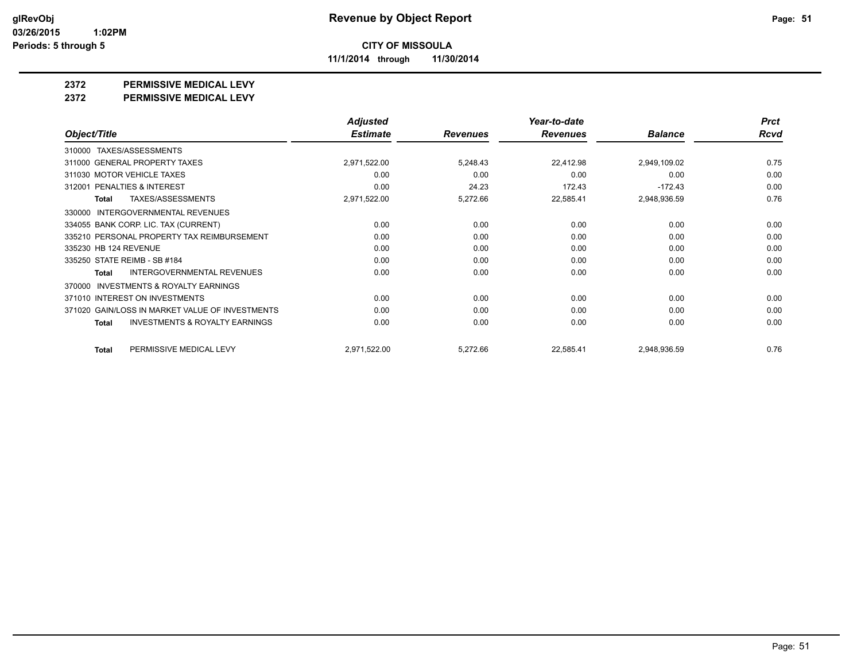**11/1/2014 through 11/30/2014**

**2372 PERMISSIVE MEDICAL LEVY**

**2372 PERMISSIVE MEDICAL LEVY**

|                                                     | <b>Adjusted</b> |                 | Year-to-date    |                | <b>Prct</b> |
|-----------------------------------------------------|-----------------|-----------------|-----------------|----------------|-------------|
| Object/Title                                        | <b>Estimate</b> | <b>Revenues</b> | <b>Revenues</b> | <b>Balance</b> | <b>Rcvd</b> |
| TAXES/ASSESSMENTS<br>310000                         |                 |                 |                 |                |             |
| 311000 GENERAL PROPERTY TAXES                       | 2,971,522.00    | 5,248.43        | 22,412.98       | 2,949,109.02   | 0.75        |
| 311030 MOTOR VEHICLE TAXES                          | 0.00            | 0.00            | 0.00            | 0.00           | 0.00        |
| 312001 PENALTIES & INTEREST                         | 0.00            | 24.23           | 172.43          | $-172.43$      | 0.00        |
| <b>TAXES/ASSESSMENTS</b><br>Total                   | 2,971,522.00    | 5,272.66        | 22,585.41       | 2,948,936.59   | 0.76        |
| INTERGOVERNMENTAL REVENUES<br>330000                |                 |                 |                 |                |             |
| 334055 BANK CORP. LIC. TAX (CURRENT)                | 0.00            | 0.00            | 0.00            | 0.00           | 0.00        |
| 335210 PERSONAL PROPERTY TAX REIMBURSEMENT          | 0.00            | 0.00            | 0.00            | 0.00           | 0.00        |
| 335230 HB 124 REVENUE                               | 0.00            | 0.00            | 0.00            | 0.00           | 0.00        |
| 335250 STATE REIMB - SB #184                        | 0.00            | 0.00            | 0.00            | 0.00           | 0.00        |
| <b>INTERGOVERNMENTAL REVENUES</b><br>Total          | 0.00            | 0.00            | 0.00            | 0.00           | 0.00        |
| <b>INVESTMENTS &amp; ROYALTY EARNINGS</b><br>370000 |                 |                 |                 |                |             |
| 371010 INTEREST ON INVESTMENTS                      | 0.00            | 0.00            | 0.00            | 0.00           | 0.00        |
| 371020 GAIN/LOSS IN MARKET VALUE OF INVESTMENTS     | 0.00            | 0.00            | 0.00            | 0.00           | 0.00        |
| <b>INVESTMENTS &amp; ROYALTY EARNINGS</b><br>Total  | 0.00            | 0.00            | 0.00            | 0.00           | 0.00        |
| PERMISSIVE MEDICAL LEVY<br>Total                    | 2,971,522.00    | 5,272.66        | 22,585.41       | 2,948,936.59   | 0.76        |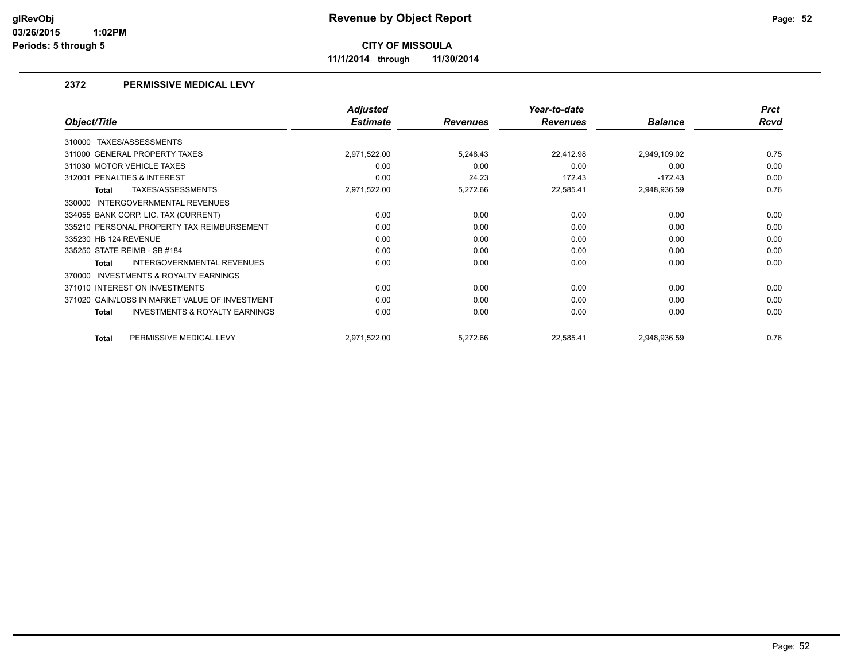**11/1/2014 through 11/30/2014**

## **2372 PERMISSIVE MEDICAL LEVY**

|                                                           | <b>Adjusted</b> |                 | Year-to-date    |                | <b>Prct</b> |
|-----------------------------------------------------------|-----------------|-----------------|-----------------|----------------|-------------|
| Object/Title                                              | <b>Estimate</b> | <b>Revenues</b> | <b>Revenues</b> | <b>Balance</b> | <b>Rcvd</b> |
| 310000 TAXES/ASSESSMENTS                                  |                 |                 |                 |                |             |
| 311000 GENERAL PROPERTY TAXES                             | 2,971,522.00    | 5,248.43        | 22,412.98       | 2,949,109.02   | 0.75        |
| 311030 MOTOR VEHICLE TAXES                                | 0.00            | 0.00            | 0.00            | 0.00           | 0.00        |
| 312001 PENALTIES & INTEREST                               | 0.00            | 24.23           | 172.43          | $-172.43$      | 0.00        |
| <b>TAXES/ASSESSMENTS</b><br>Total                         | 2,971,522.00    | 5,272.66        | 22,585.41       | 2,948,936.59   | 0.76        |
| INTERGOVERNMENTAL REVENUES<br>330000                      |                 |                 |                 |                |             |
| 334055 BANK CORP. LIC. TAX (CURRENT)                      | 0.00            | 0.00            | 0.00            | 0.00           | 0.00        |
| 335210 PERSONAL PROPERTY TAX REIMBURSEMENT                | 0.00            | 0.00            | 0.00            | 0.00           | 0.00        |
| 335230 HB 124 REVENUE                                     | 0.00            | 0.00            | 0.00            | 0.00           | 0.00        |
| 335250 STATE REIMB - SB #184                              | 0.00            | 0.00            | 0.00            | 0.00           | 0.00        |
| <b>INTERGOVERNMENTAL REVENUES</b><br>Total                | 0.00            | 0.00            | 0.00            | 0.00           | 0.00        |
| <b>INVESTMENTS &amp; ROYALTY EARNINGS</b><br>370000       |                 |                 |                 |                |             |
| 371010 INTEREST ON INVESTMENTS                            | 0.00            | 0.00            | 0.00            | 0.00           | 0.00        |
| 371020 GAIN/LOSS IN MARKET VALUE OF INVESTMENT            | 0.00            | 0.00            | 0.00            | 0.00           | 0.00        |
| <b>INVESTMENTS &amp; ROYALTY EARNINGS</b><br><b>Total</b> | 0.00            | 0.00            | 0.00            | 0.00           | 0.00        |
| PERMISSIVE MEDICAL LEVY<br><b>Total</b>                   | 2,971,522.00    | 5,272.66        | 22,585.41       | 2,948,936.59   | 0.76        |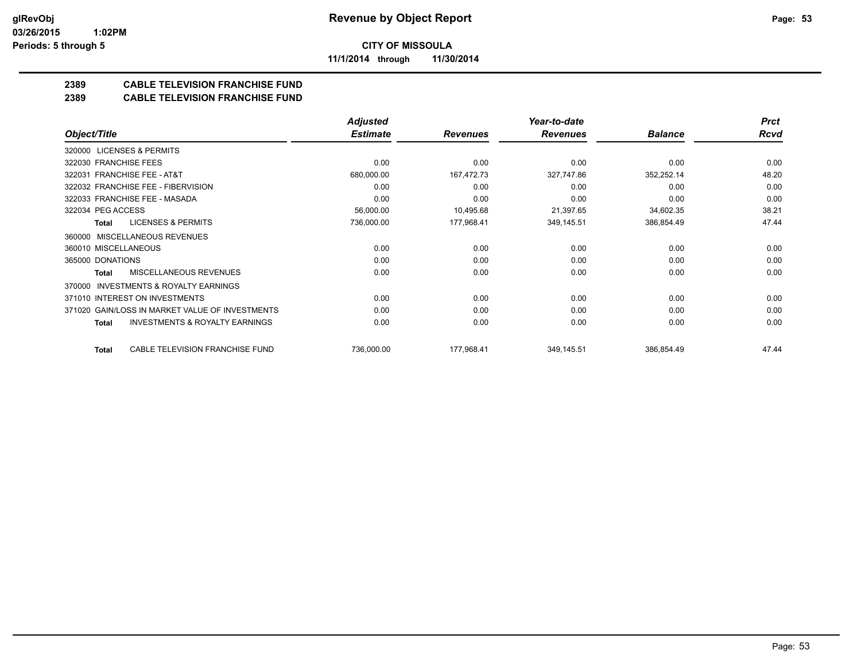**11/1/2014 through 11/30/2014**

## **2389 CABLE TELEVISION FRANCHISE FUND**

#### **2389 CABLE TELEVISION FRANCHISE FUND**

|                                                           | <b>Adjusted</b> |                 | Year-to-date    |                | <b>Prct</b> |
|-----------------------------------------------------------|-----------------|-----------------|-----------------|----------------|-------------|
| Object/Title                                              | <b>Estimate</b> | <b>Revenues</b> | <b>Revenues</b> | <b>Balance</b> | Rcvd        |
| <b>LICENSES &amp; PERMITS</b><br>320000                   |                 |                 |                 |                |             |
| 322030 FRANCHISE FEES                                     | 0.00            | 0.00            | 0.00            | 0.00           | 0.00        |
| 322031 FRANCHISE FEE - AT&T                               | 680,000.00      | 167,472.73      | 327,747.86      | 352,252.14     | 48.20       |
| 322032 FRANCHISE FEE - FIBERVISION                        | 0.00            | 0.00            | 0.00            | 0.00           | 0.00        |
| 322033 FRANCHISE FEE - MASADA                             | 0.00            | 0.00            | 0.00            | 0.00           | 0.00        |
| 322034 PEG ACCESS                                         | 56,000.00       | 10,495.68       | 21,397.65       | 34,602.35      | 38.21       |
| <b>LICENSES &amp; PERMITS</b><br><b>Total</b>             | 736,000.00      | 177,968.41      | 349,145.51      | 386,854.49     | 47.44       |
| <b>MISCELLANEOUS REVENUES</b><br>360000                   |                 |                 |                 |                |             |
| 360010 MISCELLANEOUS                                      | 0.00            | 0.00            | 0.00            | 0.00           | 0.00        |
| 365000 DONATIONS                                          | 0.00            | 0.00            | 0.00            | 0.00           | 0.00        |
| MISCELLANEOUS REVENUES<br><b>Total</b>                    | 0.00            | 0.00            | 0.00            | 0.00           | 0.00        |
| <b>INVESTMENTS &amp; ROYALTY EARNINGS</b><br>370000       |                 |                 |                 |                |             |
| 371010 INTEREST ON INVESTMENTS                            | 0.00            | 0.00            | 0.00            | 0.00           | 0.00        |
| <b>GAIN/LOSS IN MARKET VALUE OF INVESTMENTS</b><br>371020 | 0.00            | 0.00            | 0.00            | 0.00           | 0.00        |
| <b>INVESTMENTS &amp; ROYALTY EARNINGS</b><br><b>Total</b> | 0.00            | 0.00            | 0.00            | 0.00           | 0.00        |
| <b>CABLE TELEVISION FRANCHISE FUND</b><br>Total           | 736,000.00      | 177,968.41      | 349,145.51      | 386,854.49     | 47.44       |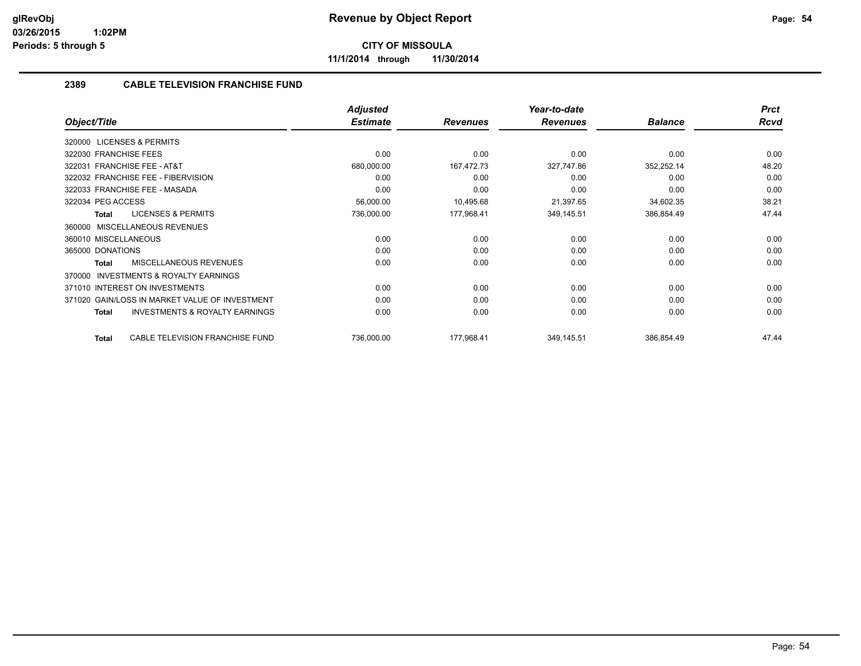**11/1/2014 through 11/30/2014**

## **2389 CABLE TELEVISION FRANCHISE FUND**

|                                                           | <b>Adjusted</b> |                 | Year-to-date    |                | <b>Prct</b> |
|-----------------------------------------------------------|-----------------|-----------------|-----------------|----------------|-------------|
| Object/Title                                              | <b>Estimate</b> | <b>Revenues</b> | <b>Revenues</b> | <b>Balance</b> | <b>Rcvd</b> |
| <b>LICENSES &amp; PERMITS</b><br>320000                   |                 |                 |                 |                |             |
| 322030 FRANCHISE FEES                                     | 0.00            | 0.00            | 0.00            | 0.00           | 0.00        |
| 322031 FRANCHISE FEE - AT&T                               | 680,000.00      | 167,472.73      | 327,747.86      | 352,252.14     | 48.20       |
| 322032 FRANCHISE FEE - FIBERVISION                        | 0.00            | 0.00            | 0.00            | 0.00           | 0.00        |
| 322033 FRANCHISE FEE - MASADA                             | 0.00            | 0.00            | 0.00            | 0.00           | 0.00        |
| 322034 PEG ACCESS                                         | 56,000.00       | 10,495.68       | 21,397.65       | 34,602.35      | 38.21       |
| <b>LICENSES &amp; PERMITS</b><br><b>Total</b>             | 736,000.00      | 177,968.41      | 349,145.51      | 386,854.49     | 47.44       |
| MISCELLANEOUS REVENUES<br>360000                          |                 |                 |                 |                |             |
| 360010 MISCELLANEOUS                                      | 0.00            | 0.00            | 0.00            | 0.00           | 0.00        |
| 365000 DONATIONS                                          | 0.00            | 0.00            | 0.00            | 0.00           | 0.00        |
| <b>MISCELLANEOUS REVENUES</b><br>Total                    | 0.00            | 0.00            | 0.00            | 0.00           | 0.00        |
| <b>INVESTMENTS &amp; ROYALTY EARNINGS</b><br>370000       |                 |                 |                 |                |             |
| 371010 INTEREST ON INVESTMENTS                            | 0.00            | 0.00            | 0.00            | 0.00           | 0.00        |
| 371020 GAIN/LOSS IN MARKET VALUE OF INVESTMENT            | 0.00            | 0.00            | 0.00            | 0.00           | 0.00        |
| <b>INVESTMENTS &amp; ROYALTY EARNINGS</b><br><b>Total</b> | 0.00            | 0.00            | 0.00            | 0.00           | 0.00        |
| CABLE TELEVISION FRANCHISE FUND<br><b>Total</b>           | 736,000.00      | 177,968.41      | 349,145.51      | 386,854.49     | 47.44       |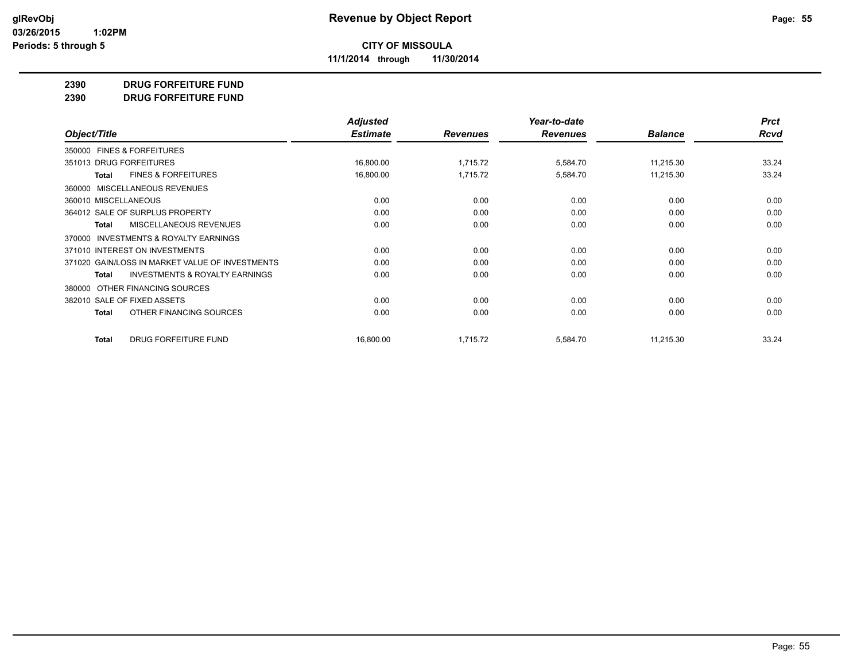**11/1/2014 through 11/30/2014**

#### **2390 DRUG FORFEITURE FUND**

**2390 DRUG FORFEITURE FUND**

|                                                    | <b>Adjusted</b> |                 | Year-to-date    |                | <b>Prct</b> |
|----------------------------------------------------|-----------------|-----------------|-----------------|----------------|-------------|
| Object/Title                                       | <b>Estimate</b> | <b>Revenues</b> | <b>Revenues</b> | <b>Balance</b> | <b>Rcvd</b> |
| 350000 FINES & FORFEITURES                         |                 |                 |                 |                |             |
| 351013 DRUG FORFEITURES                            | 16,800.00       | 1,715.72        | 5,584.70        | 11,215.30      | 33.24       |
| <b>FINES &amp; FORFEITURES</b><br>Total            | 16,800.00       | 1,715.72        | 5,584.70        | 11,215.30      | 33.24       |
| 360000 MISCELLANEOUS REVENUES                      |                 |                 |                 |                |             |
| 360010 MISCELLANEOUS                               | 0.00            | 0.00            | 0.00            | 0.00           | 0.00        |
| 364012 SALE OF SURPLUS PROPERTY                    | 0.00            | 0.00            | 0.00            | 0.00           | 0.00        |
| <b>MISCELLANEOUS REVENUES</b><br>Total             | 0.00            | 0.00            | 0.00            | 0.00           | 0.00        |
| 370000 INVESTMENTS & ROYALTY EARNINGS              |                 |                 |                 |                |             |
| 371010 INTEREST ON INVESTMENTS                     | 0.00            | 0.00            | 0.00            | 0.00           | 0.00        |
| 371020 GAIN/LOSS IN MARKET VALUE OF INVESTMENTS    | 0.00            | 0.00            | 0.00            | 0.00           | 0.00        |
| <b>INVESTMENTS &amp; ROYALTY EARNINGS</b><br>Total | 0.00            | 0.00            | 0.00            | 0.00           | 0.00        |
| OTHER FINANCING SOURCES<br>380000                  |                 |                 |                 |                |             |
| 382010 SALE OF FIXED ASSETS                        | 0.00            | 0.00            | 0.00            | 0.00           | 0.00        |
| OTHER FINANCING SOURCES<br>Total                   | 0.00            | 0.00            | 0.00            | 0.00           | 0.00        |
| <b>DRUG FORFEITURE FUND</b><br><b>Total</b>        | 16,800.00       | 1,715.72        | 5,584.70        | 11,215.30      | 33.24       |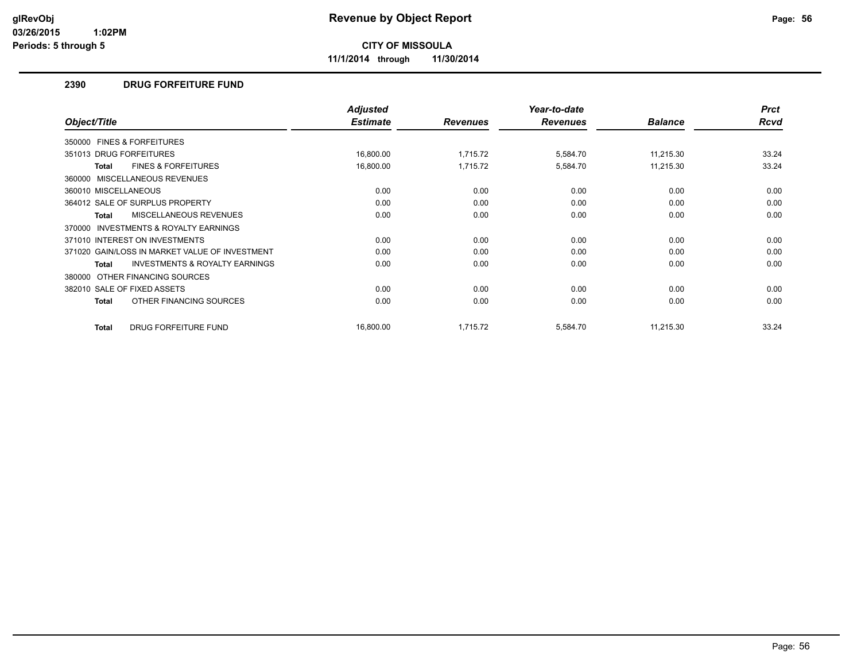**11/1/2014 through 11/30/2014**

### **2390 DRUG FORFEITURE FUND**

|                                                           | <b>Adjusted</b> |                 | Year-to-date    |                | <b>Prct</b> |
|-----------------------------------------------------------|-----------------|-----------------|-----------------|----------------|-------------|
| Object/Title                                              | <b>Estimate</b> | <b>Revenues</b> | <b>Revenues</b> | <b>Balance</b> | <b>Rcvd</b> |
| 350000 FINES & FORFEITURES                                |                 |                 |                 |                |             |
| 351013 DRUG FORFEITURES                                   | 16,800.00       | 1,715.72        | 5,584.70        | 11,215.30      | 33.24       |
| <b>FINES &amp; FORFEITURES</b><br><b>Total</b>            | 16,800.00       | 1,715.72        | 5,584.70        | 11,215.30      | 33.24       |
| 360000 MISCELLANEOUS REVENUES                             |                 |                 |                 |                |             |
| 360010 MISCELLANEOUS                                      | 0.00            | 0.00            | 0.00            | 0.00           | 0.00        |
| 364012 SALE OF SURPLUS PROPERTY                           | 0.00            | 0.00            | 0.00            | 0.00           | 0.00        |
| <b>MISCELLANEOUS REVENUES</b><br>Total                    | 0.00            | 0.00            | 0.00            | 0.00           | 0.00        |
| <b>INVESTMENTS &amp; ROYALTY EARNINGS</b><br>370000       |                 |                 |                 |                |             |
| 371010 INTEREST ON INVESTMENTS                            | 0.00            | 0.00            | 0.00            | 0.00           | 0.00        |
| 371020 GAIN/LOSS IN MARKET VALUE OF INVESTMENT            | 0.00            | 0.00            | 0.00            | 0.00           | 0.00        |
| <b>INVESTMENTS &amp; ROYALTY EARNINGS</b><br><b>Total</b> | 0.00            | 0.00            | 0.00            | 0.00           | 0.00        |
| OTHER FINANCING SOURCES<br>380000                         |                 |                 |                 |                |             |
| 382010 SALE OF FIXED ASSETS                               | 0.00            | 0.00            | 0.00            | 0.00           | 0.00        |
| OTHER FINANCING SOURCES<br>Total                          | 0.00            | 0.00            | 0.00            | 0.00           | 0.00        |
| DRUG FORFEITURE FUND<br><b>Total</b>                      | 16,800.00       | 1,715.72        | 5,584.70        | 11,215.30      | 33.24       |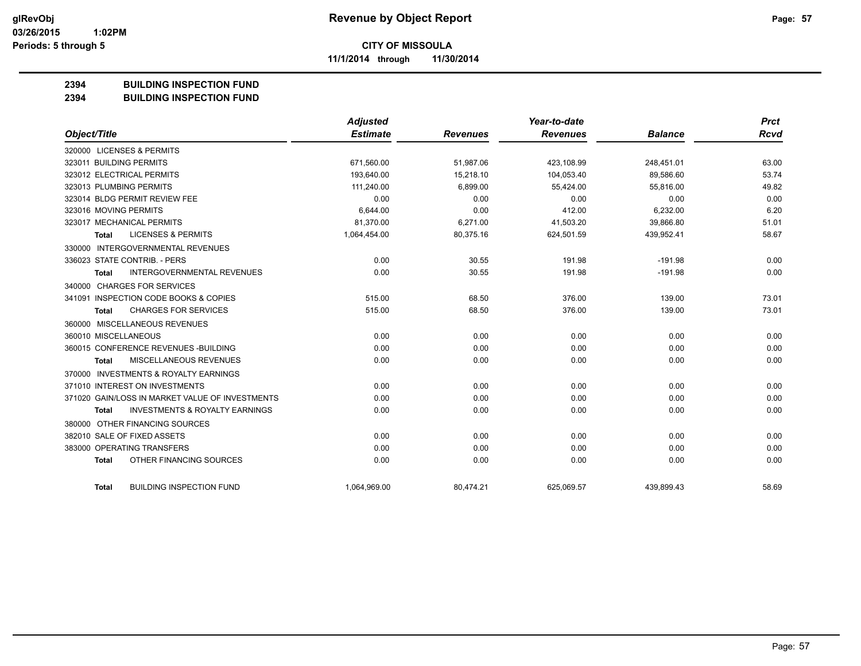**11/1/2014 through 11/30/2014**

## **2394 BUILDING INSPECTION FUND**

#### **2394 BUILDING INSPECTION FUND**

|                                                           | <b>Adjusted</b> |                 | Year-to-date    |                | <b>Prct</b> |
|-----------------------------------------------------------|-----------------|-----------------|-----------------|----------------|-------------|
| Object/Title                                              | <b>Estimate</b> | <b>Revenues</b> | <b>Revenues</b> | <b>Balance</b> | Rcvd        |
| 320000 LICENSES & PERMITS                                 |                 |                 |                 |                |             |
| 323011 BUILDING PERMITS                                   | 671,560.00      | 51,987.06       | 423,108.99      | 248,451.01     | 63.00       |
| 323012 ELECTRICAL PERMITS                                 | 193,640.00      | 15,218.10       | 104,053.40      | 89,586.60      | 53.74       |
| 323013 PLUMBING PERMITS                                   | 111,240.00      | 6,899.00        | 55,424.00       | 55,816.00      | 49.82       |
| 323014 BLDG PERMIT REVIEW FEE                             | 0.00            | 0.00            | 0.00            | 0.00           | 0.00        |
| 323016 MOVING PERMITS                                     | 6,644.00        | 0.00            | 412.00          | 6,232.00       | 6.20        |
| 323017 MECHANICAL PERMITS                                 | 81,370.00       | 6,271.00        | 41,503.20       | 39,866.80      | 51.01       |
| <b>LICENSES &amp; PERMITS</b><br>Total                    | 1,064,454.00    | 80,375.16       | 624,501.59      | 439,952.41     | 58.67       |
| 330000 INTERGOVERNMENTAL REVENUES                         |                 |                 |                 |                |             |
| 336023 STATE CONTRIB. - PERS                              | 0.00            | 30.55           | 191.98          | $-191.98$      | 0.00        |
| <b>INTERGOVERNMENTAL REVENUES</b><br><b>Total</b>         | 0.00            | 30.55           | 191.98          | $-191.98$      | 0.00        |
| 340000 CHARGES FOR SERVICES                               |                 |                 |                 |                |             |
| 341091 INSPECTION CODE BOOKS & COPIES                     | 515.00          | 68.50           | 376.00          | 139.00         | 73.01       |
| <b>CHARGES FOR SERVICES</b><br>Total                      | 515.00          | 68.50           | 376.00          | 139.00         | 73.01       |
| 360000 MISCELLANEOUS REVENUES                             |                 |                 |                 |                |             |
| 360010 MISCELLANEOUS                                      | 0.00            | 0.00            | 0.00            | 0.00           | 0.00        |
| 360015 CONFERENCE REVENUES - BUILDING                     | 0.00            | 0.00            | 0.00            | 0.00           | 0.00        |
| MISCELLANEOUS REVENUES<br><b>Total</b>                    | 0.00            | 0.00            | 0.00            | 0.00           | 0.00        |
| 370000 INVESTMENTS & ROYALTY EARNINGS                     |                 |                 |                 |                |             |
| 371010 INTEREST ON INVESTMENTS                            | 0.00            | 0.00            | 0.00            | 0.00           | 0.00        |
| 371020 GAIN/LOSS IN MARKET VALUE OF INVESTMENTS           | 0.00            | 0.00            | 0.00            | 0.00           | 0.00        |
| <b>INVESTMENTS &amp; ROYALTY EARNINGS</b><br><b>Total</b> | 0.00            | 0.00            | 0.00            | 0.00           | 0.00        |
| 380000 OTHER FINANCING SOURCES                            |                 |                 |                 |                |             |
| 382010 SALE OF FIXED ASSETS                               | 0.00            | 0.00            | 0.00            | 0.00           | 0.00        |
| 383000 OPERATING TRANSFERS                                | 0.00            | 0.00            | 0.00            | 0.00           | 0.00        |
| OTHER FINANCING SOURCES<br><b>Total</b>                   | 0.00            | 0.00            | 0.00            | 0.00           | 0.00        |
| <b>BUILDING INSPECTION FUND</b><br><b>Total</b>           | 1,064,969.00    | 80,474.21       | 625,069.57      | 439,899.43     | 58.69       |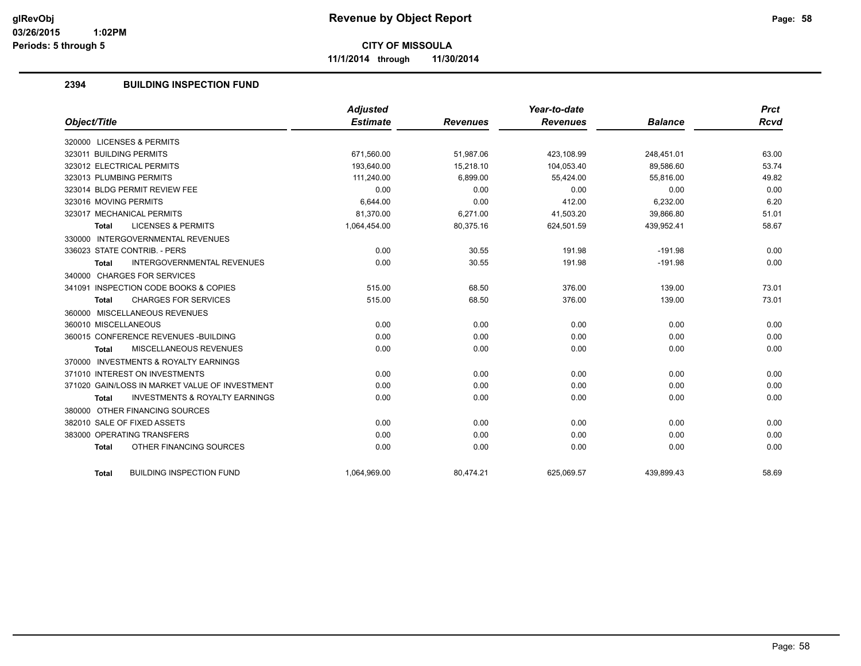**11/1/2014 through 11/30/2014**

## **2394 BUILDING INSPECTION FUND**

|                                                           | Adjusted        |                 | Year-to-date    |                | <b>Prct</b> |
|-----------------------------------------------------------|-----------------|-----------------|-----------------|----------------|-------------|
| Object/Title                                              | <b>Estimate</b> | <b>Revenues</b> | <b>Revenues</b> | <b>Balance</b> | <b>Rcvd</b> |
| 320000 LICENSES & PERMITS                                 |                 |                 |                 |                |             |
| 323011 BUILDING PERMITS                                   | 671,560.00      | 51,987.06       | 423,108.99      | 248,451.01     | 63.00       |
| 323012 ELECTRICAL PERMITS                                 | 193,640.00      | 15,218.10       | 104,053.40      | 89,586.60      | 53.74       |
| 323013 PLUMBING PERMITS                                   | 111.240.00      | 6,899.00        | 55,424.00       | 55,816.00      | 49.82       |
| 323014 BLDG PERMIT REVIEW FEE                             | 0.00            | 0.00            | 0.00            | 0.00           | 0.00        |
| 323016 MOVING PERMITS                                     | 6,644.00        | 0.00            | 412.00          | 6,232.00       | 6.20        |
| 323017 MECHANICAL PERMITS                                 | 81,370.00       | 6,271.00        | 41,503.20       | 39,866.80      | 51.01       |
| <b>LICENSES &amp; PERMITS</b><br><b>Total</b>             | 1,064,454.00    | 80,375.16       | 624,501.59      | 439,952.41     | 58.67       |
| 330000 INTERGOVERNMENTAL REVENUES                         |                 |                 |                 |                |             |
| 336023 STATE CONTRIB. - PERS                              | 0.00            | 30.55           | 191.98          | $-191.98$      | 0.00        |
| <b>INTERGOVERNMENTAL REVENUES</b><br><b>Total</b>         | 0.00            | 30.55           | 191.98          | $-191.98$      | 0.00        |
| 340000 CHARGES FOR SERVICES                               |                 |                 |                 |                |             |
| 341091 INSPECTION CODE BOOKS & COPIES                     | 515.00          | 68.50           | 376.00          | 139.00         | 73.01       |
| <b>CHARGES FOR SERVICES</b><br><b>Total</b>               | 515.00          | 68.50           | 376.00          | 139.00         | 73.01       |
| 360000 MISCELLANEOUS REVENUES                             |                 |                 |                 |                |             |
| 360010 MISCELLANEOUS                                      | 0.00            | 0.00            | 0.00            | 0.00           | 0.00        |
| 360015 CONFERENCE REVENUES - BUILDING                     | 0.00            | 0.00            | 0.00            | 0.00           | 0.00        |
| MISCELLANEOUS REVENUES<br>Total                           | 0.00            | 0.00            | 0.00            | 0.00           | 0.00        |
| 370000 INVESTMENTS & ROYALTY EARNINGS                     |                 |                 |                 |                |             |
| 371010 INTEREST ON INVESTMENTS                            | 0.00            | 0.00            | 0.00            | 0.00           | 0.00        |
| 371020 GAIN/LOSS IN MARKET VALUE OF INVESTMENT            | 0.00            | 0.00            | 0.00            | 0.00           | 0.00        |
| <b>INVESTMENTS &amp; ROYALTY EARNINGS</b><br><b>Total</b> | 0.00            | 0.00            | 0.00            | 0.00           | 0.00        |
| 380000 OTHER FINANCING SOURCES                            |                 |                 |                 |                |             |
| 382010 SALE OF FIXED ASSETS                               | 0.00            | 0.00            | 0.00            | 0.00           | 0.00        |
| 383000 OPERATING TRANSFERS                                | 0.00            | 0.00            | 0.00            | 0.00           | 0.00        |
| OTHER FINANCING SOURCES<br><b>Total</b>                   | 0.00            | 0.00            | 0.00            | 0.00           | 0.00        |
| <b>BUILDING INSPECTION FUND</b><br>Total                  | 1,064,969.00    | 80,474.21       | 625,069.57      | 439,899.43     | 58.69       |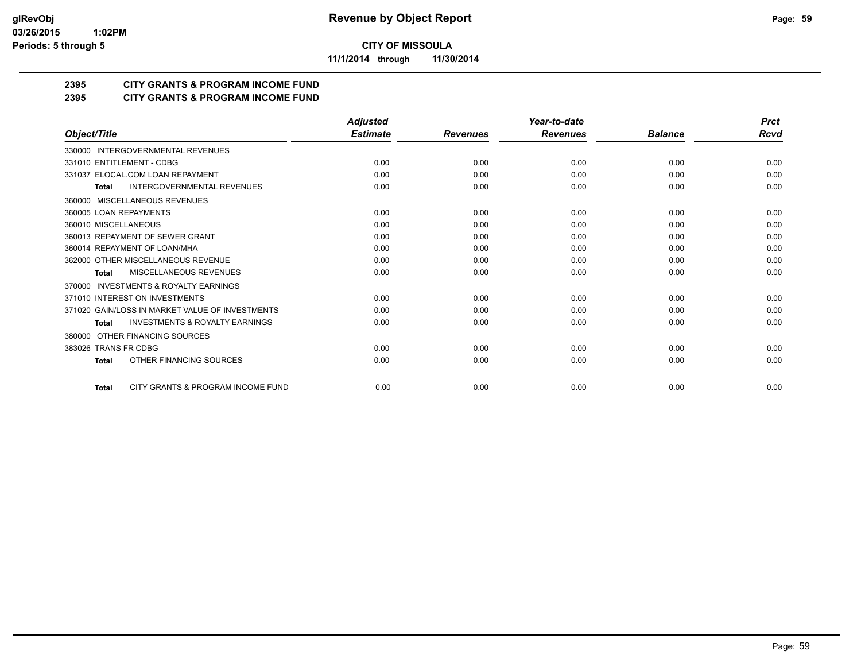**11/1/2014 through 11/30/2014**

## **2395 CITY GRANTS & PROGRAM INCOME FUND**

## **2395 CITY GRANTS & PROGRAM INCOME FUND**

|                                                           | <b>Adjusted</b> |                 | Year-to-date    |                | <b>Prct</b> |
|-----------------------------------------------------------|-----------------|-----------------|-----------------|----------------|-------------|
| Object/Title                                              | <b>Estimate</b> | <b>Revenues</b> | <b>Revenues</b> | <b>Balance</b> | Rcvd        |
| 330000 INTERGOVERNMENTAL REVENUES                         |                 |                 |                 |                |             |
| 331010 ENTITLEMENT - CDBG                                 | 0.00            | 0.00            | 0.00            | 0.00           | 0.00        |
| 331037 ELOCAL.COM LOAN REPAYMENT                          | 0.00            | 0.00            | 0.00            | 0.00           | 0.00        |
| <b>INTERGOVERNMENTAL REVENUES</b><br><b>Total</b>         | 0.00            | 0.00            | 0.00            | 0.00           | 0.00        |
| 360000 MISCELLANEOUS REVENUES                             |                 |                 |                 |                |             |
| 360005 LOAN REPAYMENTS                                    | 0.00            | 0.00            | 0.00            | 0.00           | 0.00        |
| 360010 MISCELLANEOUS                                      | 0.00            | 0.00            | 0.00            | 0.00           | 0.00        |
| 360013 REPAYMENT OF SEWER GRANT                           | 0.00            | 0.00            | 0.00            | 0.00           | 0.00        |
| 360014 REPAYMENT OF LOAN/MHA                              | 0.00            | 0.00            | 0.00            | 0.00           | 0.00        |
| 362000 OTHER MISCELLANEOUS REVENUE                        | 0.00            | 0.00            | 0.00            | 0.00           | 0.00        |
| MISCELLANEOUS REVENUES<br><b>Total</b>                    | 0.00            | 0.00            | 0.00            | 0.00           | 0.00        |
| INVESTMENTS & ROYALTY EARNINGS<br>370000                  |                 |                 |                 |                |             |
| 371010 INTEREST ON INVESTMENTS                            | 0.00            | 0.00            | 0.00            | 0.00           | 0.00        |
| 371020 GAIN/LOSS IN MARKET VALUE OF INVESTMENTS           | 0.00            | 0.00            | 0.00            | 0.00           | 0.00        |
| <b>INVESTMENTS &amp; ROYALTY EARNINGS</b><br><b>Total</b> | 0.00            | 0.00            | 0.00            | 0.00           | 0.00        |
| OTHER FINANCING SOURCES<br>380000                         |                 |                 |                 |                |             |
| 383026 TRANS FR CDBG                                      | 0.00            | 0.00            | 0.00            | 0.00           | 0.00        |
| OTHER FINANCING SOURCES<br><b>Total</b>                   | 0.00            | 0.00            | 0.00            | 0.00           | 0.00        |
| CITY GRANTS & PROGRAM INCOME FUND<br><b>Total</b>         | 0.00            | 0.00            | 0.00            | 0.00           | 0.00        |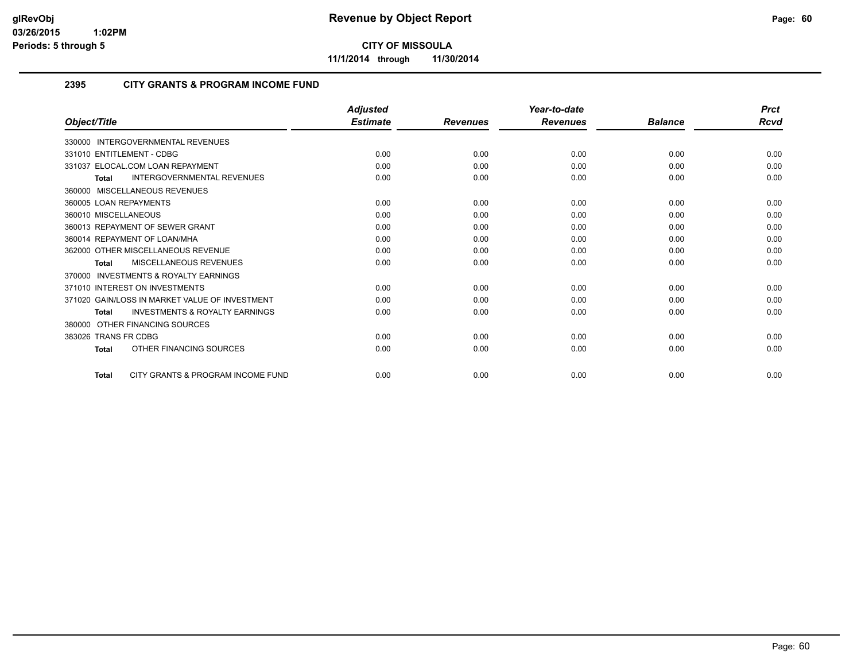**11/1/2014 through 11/30/2014**

## **2395 CITY GRANTS & PROGRAM INCOME FUND**

|                                                           | <b>Adjusted</b> |                 | Year-to-date    |                | <b>Prct</b> |
|-----------------------------------------------------------|-----------------|-----------------|-----------------|----------------|-------------|
| Object/Title                                              | <b>Estimate</b> | <b>Revenues</b> | <b>Revenues</b> | <b>Balance</b> | <b>Rcvd</b> |
| 330000 INTERGOVERNMENTAL REVENUES                         |                 |                 |                 |                |             |
| 331010 ENTITLEMENT - CDBG                                 | 0.00            | 0.00            | 0.00            | 0.00           | 0.00        |
| 331037 ELOCAL.COM LOAN REPAYMENT                          | 0.00            | 0.00            | 0.00            | 0.00           | 0.00        |
| <b>INTERGOVERNMENTAL REVENUES</b><br><b>Total</b>         | 0.00            | 0.00            | 0.00            | 0.00           | 0.00        |
| 360000 MISCELLANEOUS REVENUES                             |                 |                 |                 |                |             |
| 360005 LOAN REPAYMENTS                                    | 0.00            | 0.00            | 0.00            | 0.00           | 0.00        |
| 360010 MISCELLANEOUS                                      | 0.00            | 0.00            | 0.00            | 0.00           | 0.00        |
| 360013 REPAYMENT OF SEWER GRANT                           | 0.00            | 0.00            | 0.00            | 0.00           | 0.00        |
| 360014 REPAYMENT OF LOAN/MHA                              | 0.00            | 0.00            | 0.00            | 0.00           | 0.00        |
| 362000 OTHER MISCELLANEOUS REVENUE                        | 0.00            | 0.00            | 0.00            | 0.00           | 0.00        |
| MISCELLANEOUS REVENUES<br><b>Total</b>                    | 0.00            | 0.00            | 0.00            | 0.00           | 0.00        |
| <b>INVESTMENTS &amp; ROYALTY EARNINGS</b><br>370000       |                 |                 |                 |                |             |
| 371010 INTEREST ON INVESTMENTS                            | 0.00            | 0.00            | 0.00            | 0.00           | 0.00        |
| 371020 GAIN/LOSS IN MARKET VALUE OF INVESTMENT            | 0.00            | 0.00            | 0.00            | 0.00           | 0.00        |
| <b>INVESTMENTS &amp; ROYALTY EARNINGS</b><br><b>Total</b> | 0.00            | 0.00            | 0.00            | 0.00           | 0.00        |
| OTHER FINANCING SOURCES<br>380000                         |                 |                 |                 |                |             |
| 383026 TRANS FR CDBG                                      | 0.00            | 0.00            | 0.00            | 0.00           | 0.00        |
| OTHER FINANCING SOURCES<br><b>Total</b>                   | 0.00            | 0.00            | 0.00            | 0.00           | 0.00        |
| CITY GRANTS & PROGRAM INCOME FUND<br>Total                | 0.00            | 0.00            | 0.00            | 0.00           | 0.00        |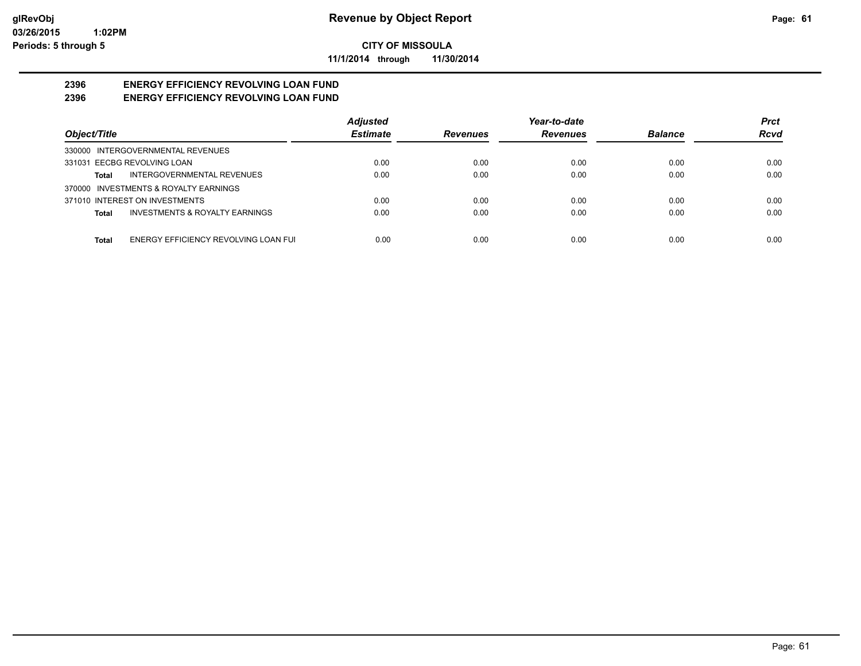**11/1/2014 through 11/30/2014**

#### **2396 ENERGY EFFICIENCY REVOLVING LOAN FUND 2396 ENERGY EFFICIENCY REVOLVING LOAN FUND**

|                                                      | <b>Adjusted</b> |                 | Year-to-date    |                | <b>Prct</b> |
|------------------------------------------------------|-----------------|-----------------|-----------------|----------------|-------------|
| Object/Title                                         | <b>Estimate</b> | <b>Revenues</b> | <b>Revenues</b> | <b>Balance</b> | <b>Rcvd</b> |
| 330000 INTERGOVERNMENTAL REVENUES                    |                 |                 |                 |                |             |
| 331031 EECBG REVOLVING LOAN                          | 0.00            | 0.00            | 0.00            | 0.00           | 0.00        |
| INTERGOVERNMENTAL REVENUES<br>Total                  | 0.00            | 0.00            | 0.00            | 0.00           | 0.00        |
| 370000 INVESTMENTS & ROYALTY EARNINGS                |                 |                 |                 |                |             |
| 371010 INTEREST ON INVESTMENTS                       | 0.00            | 0.00            | 0.00            | 0.00           | 0.00        |
| <b>INVESTMENTS &amp; ROYALTY EARNINGS</b><br>Total   | 0.00            | 0.00            | 0.00            | 0.00           | 0.00        |
| ENERGY EFFICIENCY REVOLVING LOAN FUI<br><b>Total</b> | 0.00            | 0.00            | 0.00            | 0.00           | 0.00        |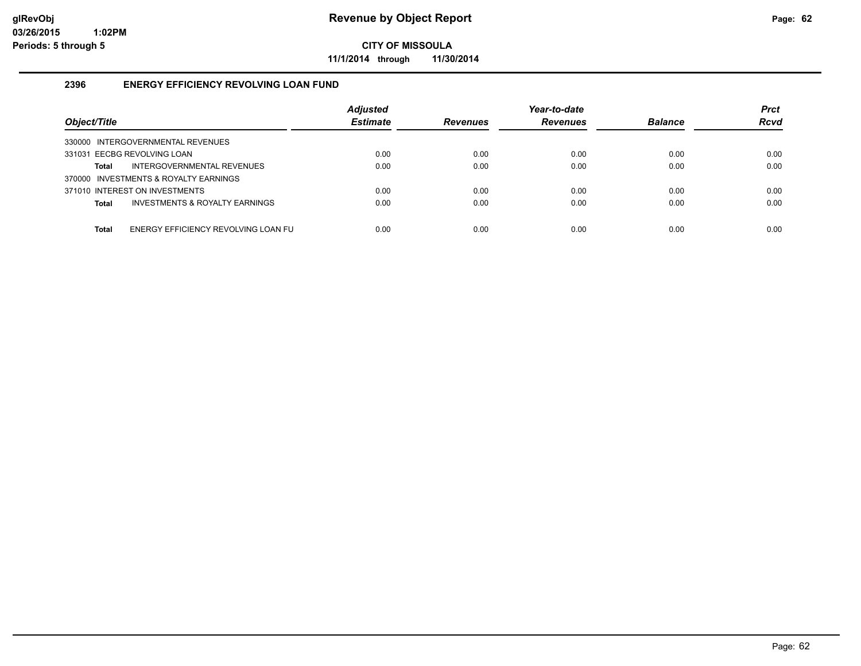**11/1/2014 through 11/30/2014**

## **2396 ENERGY EFFICIENCY REVOLVING LOAN FUND**

| Object/Title                                   | <b>Adjusted</b><br><b>Estimate</b> | <b>Revenues</b> | Year-to-date<br><b>Revenues</b> | <b>Balance</b> | <b>Prct</b><br><b>Rcvd</b> |
|------------------------------------------------|------------------------------------|-----------------|---------------------------------|----------------|----------------------------|
| 330000 INTERGOVERNMENTAL REVENUES              |                                    |                 |                                 |                |                            |
| 331031 EECBG REVOLVING LOAN                    | 0.00                               | 0.00            | 0.00                            | 0.00           | 0.00                       |
| INTERGOVERNMENTAL REVENUES<br>Total            | 0.00                               | 0.00            | 0.00                            | 0.00           | 0.00                       |
| 370000 INVESTMENTS & ROYALTY EARNINGS          |                                    |                 |                                 |                |                            |
| 371010 INTEREST ON INVESTMENTS                 | 0.00                               | 0.00            | 0.00                            | 0.00           | 0.00                       |
| INVESTMENTS & ROYALTY EARNINGS<br><b>Total</b> | 0.00                               | 0.00            | 0.00                            | 0.00           | 0.00                       |
|                                                |                                    |                 |                                 |                |                            |
| ENERGY EFFICIENCY REVOLVING LOAN FU<br>Total   | 0.00                               | 0.00            | 0.00                            | 0.00           | 0.00                       |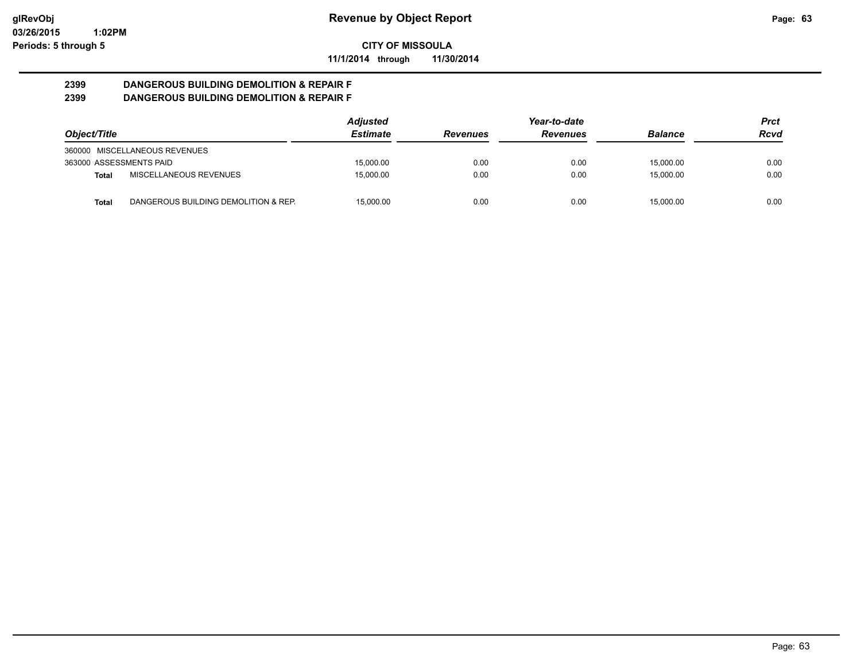**11/1/2014 through 11/30/2014**

#### **2399 DANGEROUS BUILDING DEMOLITION & REPAIR F 2399 DANGEROUS BUILDING DEMOLITION & REPAIR F**

| Object/Title            |                                      | <b>Adjusted</b> |                 | Year-to-date    |                |      |
|-------------------------|--------------------------------------|-----------------|-----------------|-----------------|----------------|------|
|                         |                                      | <b>Estimate</b> | <b>Revenues</b> | <b>Revenues</b> | <b>Balance</b> | Rcvd |
|                         | 360000 MISCELLANEOUS REVENUES        |                 |                 |                 |                |      |
| 363000 ASSESSMENTS PAID |                                      | 15.000.00       | 0.00            | 0.00            | 15.000.00      | 0.00 |
| Total                   | MISCELLANEOUS REVENUES               | 15.000.00       | 0.00            | 0.00            | 15.000.00      | 0.00 |
| Total                   | DANGEROUS BUILDING DEMOLITION & REP. | 15.000.00       | 0.00            | 0.00            | 15.000.00      | 0.00 |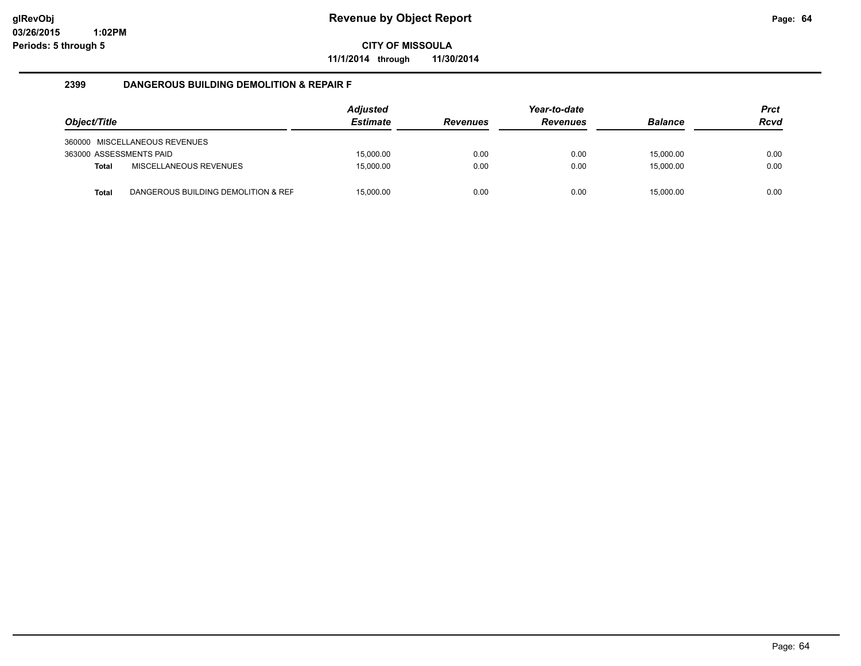**11/1/2014 through 11/30/2014**

### **2399 DANGEROUS BUILDING DEMOLITION & REPAIR F**

| Object/Title            |                                     | <b>Adjusted</b><br><b>Estimate</b> | <b>Revenues</b> | Year-to-date<br><b>Revenues</b> | <b>Balance</b> | <b>Prct</b><br><b>Rcvd</b> |
|-------------------------|-------------------------------------|------------------------------------|-----------------|---------------------------------|----------------|----------------------------|
|                         |                                     |                                    |                 |                                 |                |                            |
|                         | 360000 MISCELLANEOUS REVENUES       |                                    |                 |                                 |                |                            |
| 363000 ASSESSMENTS PAID |                                     | 15.000.00                          | 0.00            | 0.00                            | 15.000.00      | 0.00                       |
| <b>Total</b>            | MISCELLANEOUS REVENUES              | 15.000.00                          | 0.00            | 0.00                            | 15.000.00      | 0.00                       |
| <b>Total</b>            | DANGEROUS BUILDING DEMOLITION & REF | 15.000.00                          | 0.00            | 0.00                            | 15.000.00      | 0.00                       |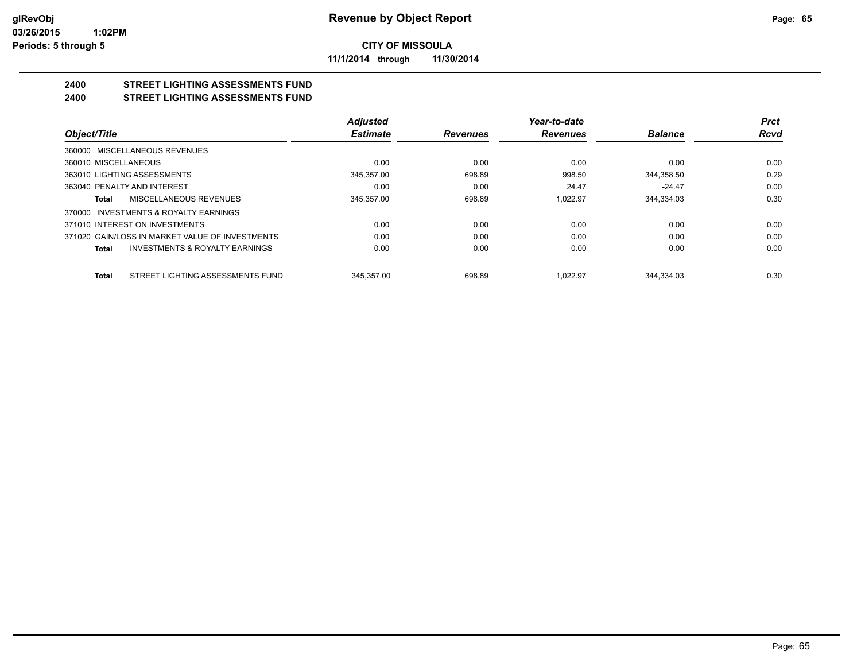**11/1/2014 through 11/30/2014**

#### **2400 STREET LIGHTING ASSESSMENTS FUND 2400 STREET LIGHTING ASSESSMENTS FUND**

|                                                    | <b>Adjusted</b> |                 | Year-to-date    |                | <b>Prct</b> |
|----------------------------------------------------|-----------------|-----------------|-----------------|----------------|-------------|
| Object/Title                                       | <b>Estimate</b> | <b>Revenues</b> | <b>Revenues</b> | <b>Balance</b> | <b>Rcvd</b> |
| 360000 MISCELLANEOUS REVENUES                      |                 |                 |                 |                |             |
| 360010 MISCELLANEOUS                               | 0.00            | 0.00            | 0.00            | 0.00           | 0.00        |
| 363010 LIGHTING ASSESSMENTS                        | 345.357.00      | 698.89          | 998.50          | 344.358.50     | 0.29        |
| 363040 PENALTY AND INTEREST                        | 0.00            | 0.00            | 24.47           | $-24.47$       | 0.00        |
| MISCELLANEOUS REVENUES<br>Total                    | 345.357.00      | 698.89          | 1.022.97        | 344.334.03     | 0.30        |
| 370000 INVESTMENTS & ROYALTY EARNINGS              |                 |                 |                 |                |             |
| 371010 INTEREST ON INVESTMENTS                     | 0.00            | 0.00            | 0.00            | 0.00           | 0.00        |
| 371020 GAIN/LOSS IN MARKET VALUE OF INVESTMENTS    | 0.00            | 0.00            | 0.00            | 0.00           | 0.00        |
| <b>INVESTMENTS &amp; ROYALTY EARNINGS</b><br>Total | 0.00            | 0.00            | 0.00            | 0.00           | 0.00        |
| STREET LIGHTING ASSESSMENTS FUND<br>Total          | 345.357.00      | 698.89          | 1.022.97        | 344.334.03     | 0.30        |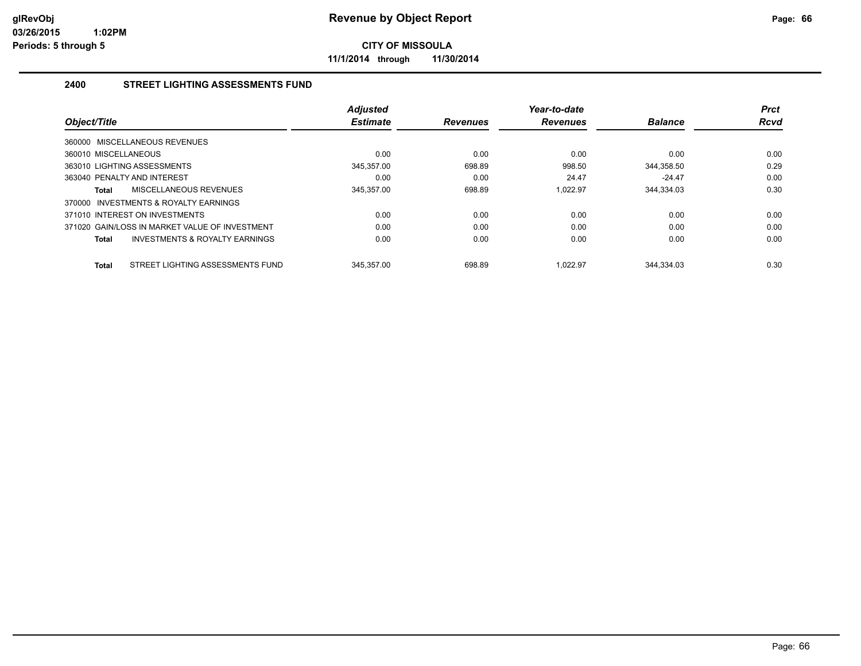**11/1/2014 through 11/30/2014**

## **2400 STREET LIGHTING ASSESSMENTS FUND**

| Object/Title                                       | <b>Adjusted</b><br><b>Estimate</b> | <b>Revenues</b> | Year-to-date<br><b>Revenues</b> | <b>Balance</b> | <b>Prct</b><br><b>Rcvd</b> |
|----------------------------------------------------|------------------------------------|-----------------|---------------------------------|----------------|----------------------------|
| 360000 MISCELLANEOUS REVENUES                      |                                    |                 |                                 |                |                            |
| 360010 MISCELLANEOUS                               | 0.00                               | 0.00            | 0.00                            | 0.00           | 0.00                       |
| 363010 LIGHTING ASSESSMENTS                        | 345.357.00                         | 698.89          | 998.50                          | 344.358.50     | 0.29                       |
| 363040 PENALTY AND INTEREST                        | 0.00                               | 0.00            | 24.47                           | $-24.47$       | 0.00                       |
| MISCELLANEOUS REVENUES<br>Total                    | 345.357.00                         | 698.89          | 1.022.97                        | 344.334.03     | 0.30                       |
| 370000 INVESTMENTS & ROYALTY EARNINGS              |                                    |                 |                                 |                |                            |
| 371010 INTEREST ON INVESTMENTS                     | 0.00                               | 0.00            | 0.00                            | 0.00           | 0.00                       |
| 371020 GAIN/LOSS IN MARKET VALUE OF INVESTMENT     | 0.00                               | 0.00            | 0.00                            | 0.00           | 0.00                       |
| <b>INVESTMENTS &amp; ROYALTY EARNINGS</b><br>Total | 0.00                               | 0.00            | 0.00                            | 0.00           | 0.00                       |
| STREET LIGHTING ASSESSMENTS FUND<br><b>Total</b>   | 345.357.00                         | 698.89          | 1.022.97                        | 344.334.03     | 0.30                       |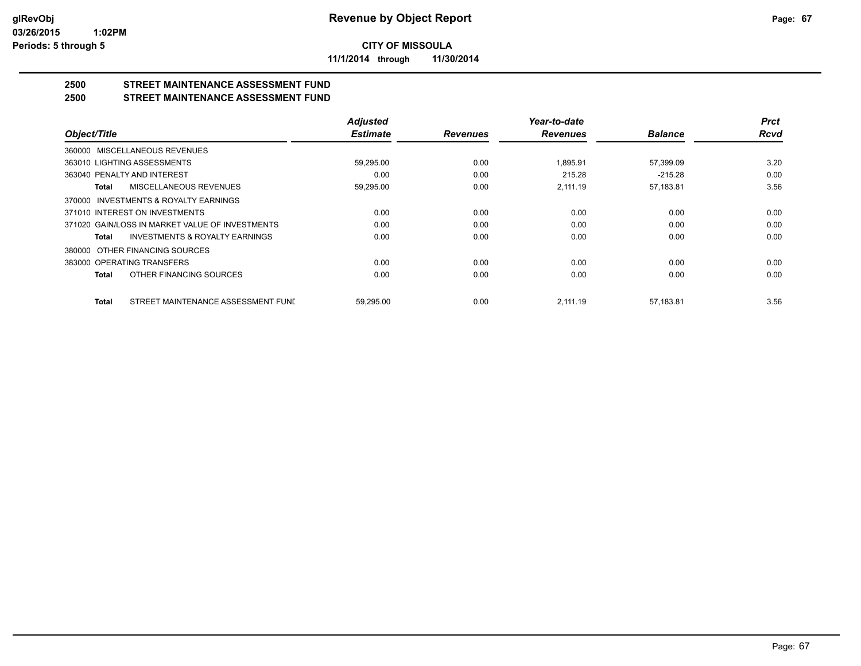**11/1/2014 through 11/30/2014**

## **2500 STREET MAINTENANCE ASSESSMENT FUND**

## **2500 STREET MAINTENANCE ASSESSMENT FUND**

|                                                           | <b>Adjusted</b> |                 | Year-to-date    |                | <b>Prct</b> |
|-----------------------------------------------------------|-----------------|-----------------|-----------------|----------------|-------------|
| Object/Title                                              | <b>Estimate</b> | <b>Revenues</b> | <b>Revenues</b> | <b>Balance</b> | <b>Rcvd</b> |
| 360000 MISCELLANEOUS REVENUES                             |                 |                 |                 |                |             |
| 363010 LIGHTING ASSESSMENTS                               | 59,295.00       | 0.00            | 1,895.91        | 57,399.09      | 3.20        |
| 363040 PENALTY AND INTEREST                               | 0.00            | 0.00            | 215.28          | $-215.28$      | 0.00        |
| <b>MISCELLANEOUS REVENUES</b><br><b>Total</b>             | 59,295.00       | 0.00            | 2,111.19        | 57,183.81      | 3.56        |
| 370000 INVESTMENTS & ROYALTY EARNINGS                     |                 |                 |                 |                |             |
| 371010 INTEREST ON INVESTMENTS                            | 0.00            | 0.00            | 0.00            | 0.00           | 0.00        |
| 371020 GAIN/LOSS IN MARKET VALUE OF INVESTMENTS           | 0.00            | 0.00            | 0.00            | 0.00           | 0.00        |
| <b>INVESTMENTS &amp; ROYALTY EARNINGS</b><br><b>Total</b> | 0.00            | 0.00            | 0.00            | 0.00           | 0.00        |
| OTHER FINANCING SOURCES<br>380000                         |                 |                 |                 |                |             |
| 383000 OPERATING TRANSFERS                                | 0.00            | 0.00            | 0.00            | 0.00           | 0.00        |
| OTHER FINANCING SOURCES<br><b>Total</b>                   | 0.00            | 0.00            | 0.00            | 0.00           | 0.00        |
| STREET MAINTENANCE ASSESSMENT FUNI<br><b>Total</b>        | 59.295.00       | 0.00            | 2.111.19        | 57.183.81      | 3.56        |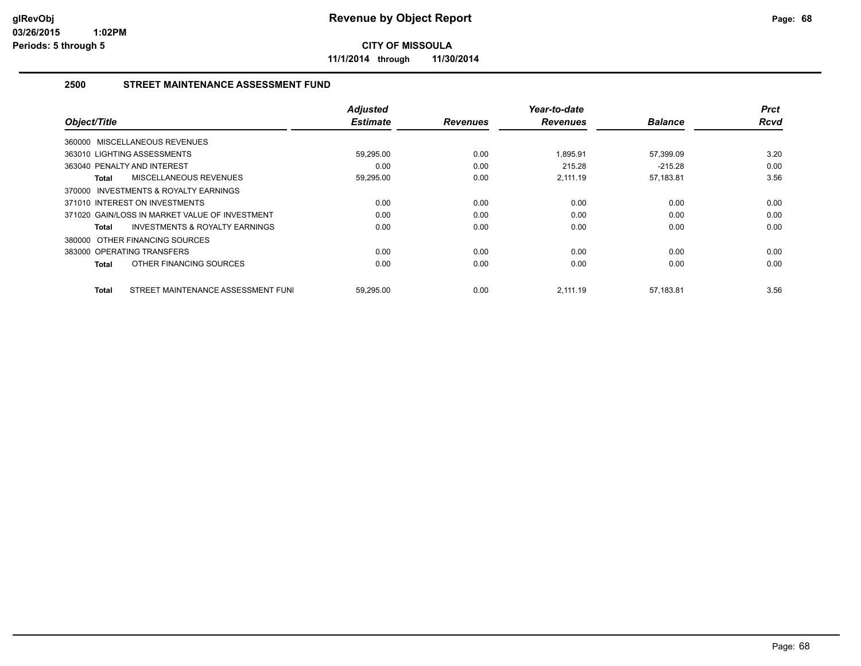**11/1/2014 through 11/30/2014**

## **2500 STREET MAINTENANCE ASSESSMENT FUND**

| Object/Title                                        | <b>Adjusted</b><br><b>Estimate</b> | <b>Revenues</b> | Year-to-date<br><b>Revenues</b> | <b>Balance</b> | <b>Prct</b><br><b>Rcvd</b> |
|-----------------------------------------------------|------------------------------------|-----------------|---------------------------------|----------------|----------------------------|
| 360000 MISCELLANEOUS REVENUES                       |                                    |                 |                                 |                |                            |
| 363010 LIGHTING ASSESSMENTS                         | 59,295.00                          | 0.00            | 1.895.91                        | 57,399.09      | 3.20                       |
| 363040 PENALTY AND INTEREST                         | 0.00                               | 0.00            | 215.28                          | $-215.28$      | 0.00                       |
| MISCELLANEOUS REVENUES<br>Total                     | 59,295.00                          | 0.00            | 2.111.19                        | 57,183.81      | 3.56                       |
| <b>INVESTMENTS &amp; ROYALTY EARNINGS</b><br>370000 |                                    |                 |                                 |                |                            |
| 371010 INTEREST ON INVESTMENTS                      | 0.00                               | 0.00            | 0.00                            | 0.00           | 0.00                       |
| 371020 GAIN/LOSS IN MARKET VALUE OF INVESTMENT      | 0.00                               | 0.00            | 0.00                            | 0.00           | 0.00                       |
| <b>INVESTMENTS &amp; ROYALTY EARNINGS</b><br>Total  | 0.00                               | 0.00            | 0.00                            | 0.00           | 0.00                       |
| 380000 OTHER FINANCING SOURCES                      |                                    |                 |                                 |                |                            |
| 383000 OPERATING TRANSFERS                          | 0.00                               | 0.00            | 0.00                            | 0.00           | 0.00                       |
| OTHER FINANCING SOURCES<br>Total                    | 0.00                               | 0.00            | 0.00                            | 0.00           | 0.00                       |
|                                                     |                                    |                 |                                 |                |                            |
| STREET MAINTENANCE ASSESSMENT FUNI<br>Total         | 59,295.00                          | 0.00            | 2,111.19                        | 57,183.81      | 3.56                       |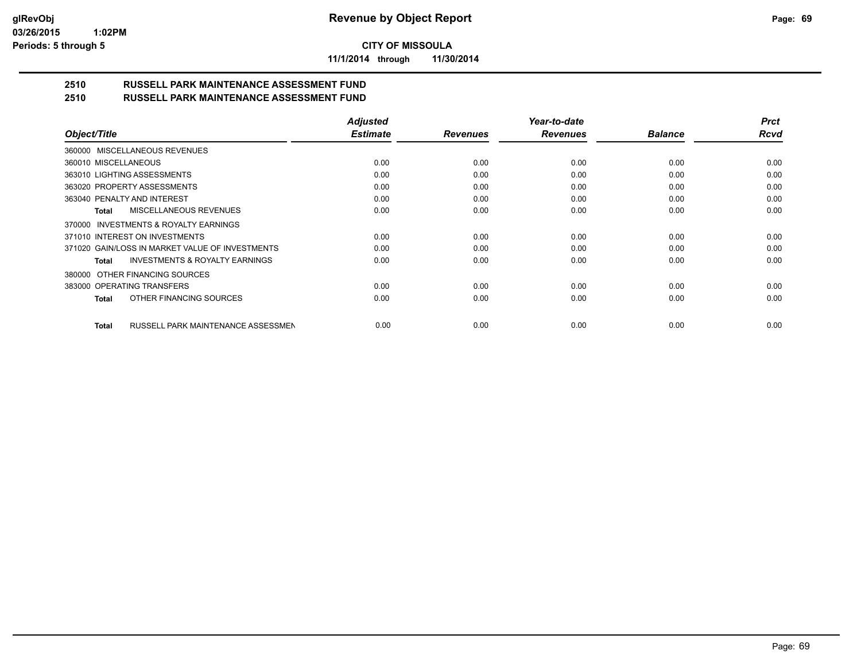**11/1/2014 through 11/30/2014**

# **2510 RUSSELL PARK MAINTENANCE ASSESSMENT FUND**

| 2510 | <b>RUSSELL PARK MAINTENANCE ASSESSMENT FUND</b> |  |
|------|-------------------------------------------------|--|
|      |                                                 |  |

|                                                     |                                    | <b>Adjusted</b> |                 | Year-to-date    |                | <b>Prct</b> |
|-----------------------------------------------------|------------------------------------|-----------------|-----------------|-----------------|----------------|-------------|
| Object/Title                                        |                                    | <b>Estimate</b> | <b>Revenues</b> | <b>Revenues</b> | <b>Balance</b> | <b>Rcvd</b> |
| 360000 MISCELLANEOUS REVENUES                       |                                    |                 |                 |                 |                |             |
| 360010 MISCELLANEOUS                                |                                    | 0.00            | 0.00            | 0.00            | 0.00           | 0.00        |
| 363010 LIGHTING ASSESSMENTS                         |                                    | 0.00            | 0.00            | 0.00            | 0.00           | 0.00        |
| 363020 PROPERTY ASSESSMENTS                         |                                    | 0.00            | 0.00            | 0.00            | 0.00           | 0.00        |
| 363040 PENALTY AND INTEREST                         |                                    | 0.00            | 0.00            | 0.00            | 0.00           | 0.00        |
| MISCELLANEOUS REVENUES<br>Total                     |                                    | 0.00            | 0.00            | 0.00            | 0.00           | 0.00        |
| <b>INVESTMENTS &amp; ROYALTY EARNINGS</b><br>370000 |                                    |                 |                 |                 |                |             |
| 371010 INTEREST ON INVESTMENTS                      |                                    | 0.00            | 0.00            | 0.00            | 0.00           | 0.00        |
| 371020 GAIN/LOSS IN MARKET VALUE OF INVESTMENTS     |                                    | 0.00            | 0.00            | 0.00            | 0.00           | 0.00        |
| <b>INVESTMENTS &amp; ROYALTY EARNINGS</b><br>Total  |                                    | 0.00            | 0.00            | 0.00            | 0.00           | 0.00        |
| OTHER FINANCING SOURCES<br>380000                   |                                    |                 |                 |                 |                |             |
| 383000 OPERATING TRANSFERS                          |                                    | 0.00            | 0.00            | 0.00            | 0.00           | 0.00        |
| OTHER FINANCING SOURCES<br>Total                    |                                    | 0.00            | 0.00            | 0.00            | 0.00           | 0.00        |
| Total                                               | RUSSELL PARK MAINTENANCE ASSESSMEN | 0.00            | 0.00            | 0.00            | 0.00           | 0.00        |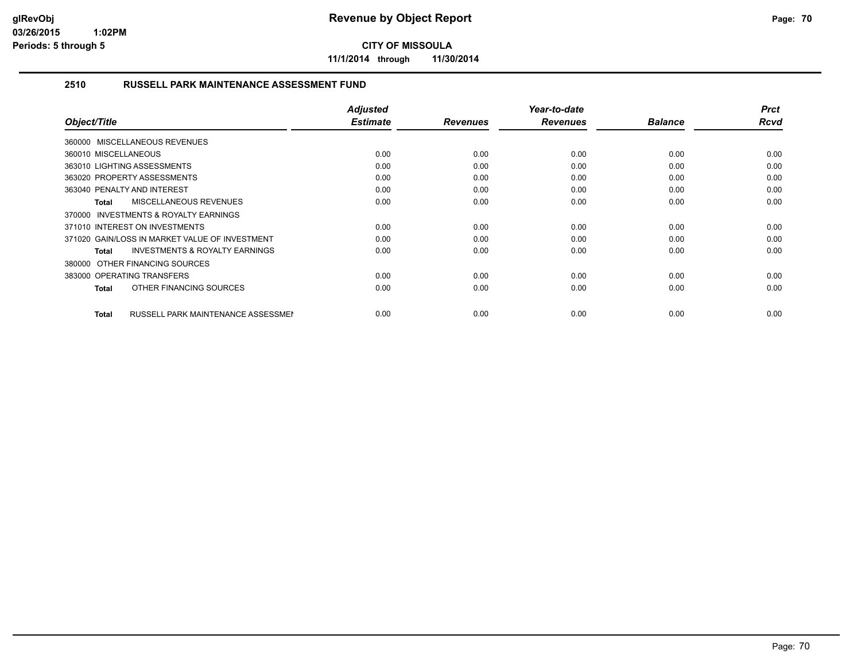**11/1/2014 through 11/30/2014**

## **2510 RUSSELL PARK MAINTENANCE ASSESSMENT FUND**

| Object/Title                                              | Adjusted<br><b>Estimate</b> | <b>Revenues</b> | Year-to-date<br><b>Revenues</b> | <b>Balance</b> | <b>Prct</b><br><b>Rcvd</b> |
|-----------------------------------------------------------|-----------------------------|-----------------|---------------------------------|----------------|----------------------------|
| 360000 MISCELLANEOUS REVENUES                             |                             |                 |                                 |                |                            |
| 360010 MISCELLANEOUS                                      | 0.00                        | 0.00            | 0.00                            | 0.00           | 0.00                       |
| 363010 LIGHTING ASSESSMENTS                               | 0.00                        | 0.00            | 0.00                            | 0.00           | 0.00                       |
| 363020 PROPERTY ASSESSMENTS                               | 0.00                        | 0.00            | 0.00                            | 0.00           | 0.00                       |
| 363040 PENALTY AND INTEREST                               | 0.00                        | 0.00            | 0.00                            | 0.00           | 0.00                       |
| <b>MISCELLANEOUS REVENUES</b><br>Total                    | 0.00                        | 0.00            | 0.00                            | 0.00           | 0.00                       |
| <b>INVESTMENTS &amp; ROYALTY EARNINGS</b><br>370000       |                             |                 |                                 |                |                            |
| 371010 INTEREST ON INVESTMENTS                            | 0.00                        | 0.00            | 0.00                            | 0.00           | 0.00                       |
| 371020 GAIN/LOSS IN MARKET VALUE OF INVESTMENT            | 0.00                        | 0.00            | 0.00                            | 0.00           | 0.00                       |
| <b>INVESTMENTS &amp; ROYALTY EARNINGS</b><br><b>Total</b> | 0.00                        | 0.00            | 0.00                            | 0.00           | 0.00                       |
| 380000 OTHER FINANCING SOURCES                            |                             |                 |                                 |                |                            |
| 383000 OPERATING TRANSFERS                                | 0.00                        | 0.00            | 0.00                            | 0.00           | 0.00                       |
| OTHER FINANCING SOURCES<br><b>Total</b>                   | 0.00                        | 0.00            | 0.00                            | 0.00           | 0.00                       |
| <b>RUSSELL PARK MAINTENANCE ASSESSMEN</b><br><b>Total</b> | 0.00                        | 0.00            | 0.00                            | 0.00           | 0.00                       |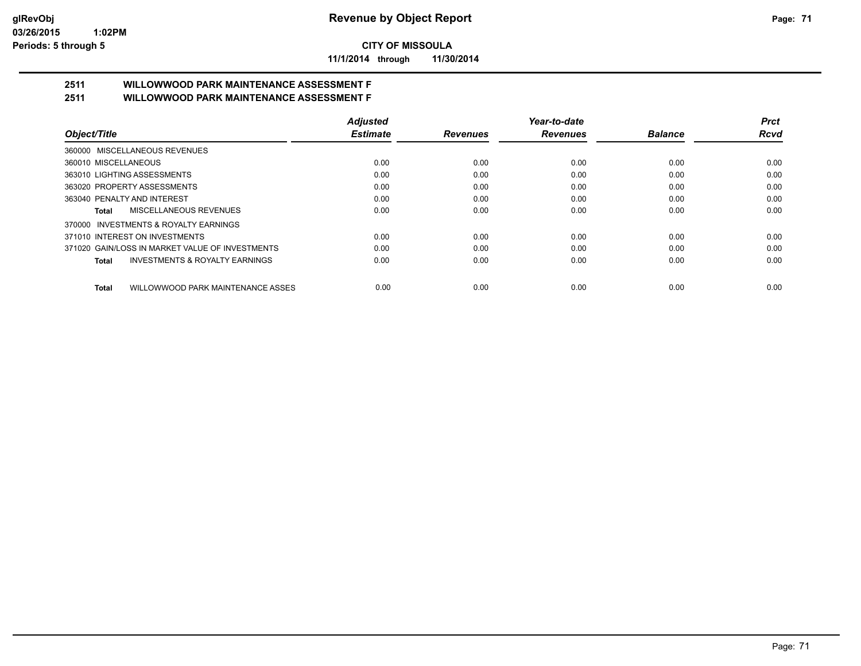**11/1/2014 through 11/30/2014**

# **2511 WILLOWWOOD PARK MAINTENANCE ASSESSMENT F**

| 2511 | <b>WILLOWWOOD PARK MAINTENANCE ASSESSMENT F</b> |  |
|------|-------------------------------------------------|--|
|      |                                                 |  |

|                                                           | <b>Adjusted</b> |                 | Year-to-date    |                | <b>Prct</b> |
|-----------------------------------------------------------|-----------------|-----------------|-----------------|----------------|-------------|
| Object/Title                                              | <b>Estimate</b> | <b>Revenues</b> | <b>Revenues</b> | <b>Balance</b> | <b>Rcvd</b> |
| 360000 MISCELLANEOUS REVENUES                             |                 |                 |                 |                |             |
| 360010 MISCELLANEOUS                                      | 0.00            | 0.00            | 0.00            | 0.00           | 0.00        |
| 363010 LIGHTING ASSESSMENTS                               | 0.00            | 0.00            | 0.00            | 0.00           | 0.00        |
| 363020 PROPERTY ASSESSMENTS                               | 0.00            | 0.00            | 0.00            | 0.00           | 0.00        |
| 363040 PENALTY AND INTEREST                               | 0.00            | 0.00            | 0.00            | 0.00           | 0.00        |
| <b>MISCELLANEOUS REVENUES</b><br>Total                    | 0.00            | 0.00            | 0.00            | 0.00           | 0.00        |
| 370000 INVESTMENTS & ROYALTY EARNINGS                     |                 |                 |                 |                |             |
| 371010 INTEREST ON INVESTMENTS                            | 0.00            | 0.00            | 0.00            | 0.00           | 0.00        |
| 371020 GAIN/LOSS IN MARKET VALUE OF INVESTMENTS           | 0.00            | 0.00            | 0.00            | 0.00           | 0.00        |
| <b>INVESTMENTS &amp; ROYALTY EARNINGS</b><br><b>Total</b> | 0.00            | 0.00            | 0.00            | 0.00           | 0.00        |
| WILLOWWOOD PARK MAINTENANCE ASSES<br><b>Total</b>         | 0.00            | 0.00            | 0.00            | 0.00           | 0.00        |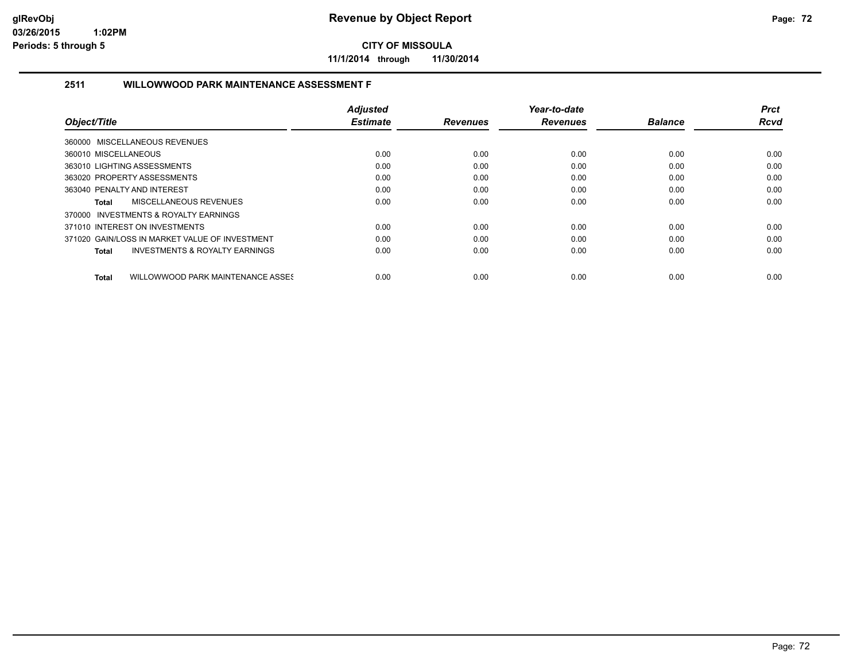**11/1/2014 through 11/30/2014**

### **2511 WILLOWWOOD PARK MAINTENANCE ASSESSMENT F**

|                                                    | <b>Adjusted</b> |                 | Year-to-date    |                | Prct        |
|----------------------------------------------------|-----------------|-----------------|-----------------|----------------|-------------|
| Object/Title                                       | <b>Estimate</b> | <b>Revenues</b> | <b>Revenues</b> | <b>Balance</b> | <b>Rcvd</b> |
| 360000 MISCELLANEOUS REVENUES                      |                 |                 |                 |                |             |
| 360010 MISCELLANEOUS                               | 0.00            | 0.00            | 0.00            | 0.00           | 0.00        |
| 363010 LIGHTING ASSESSMENTS                        | 0.00            | 0.00            | 0.00            | 0.00           | 0.00        |
| 363020 PROPERTY ASSESSMENTS                        | 0.00            | 0.00            | 0.00            | 0.00           | 0.00        |
| 363040 PENALTY AND INTEREST                        | 0.00            | 0.00            | 0.00            | 0.00           | 0.00        |
| MISCELLANEOUS REVENUES<br>Total                    | 0.00            | 0.00            | 0.00            | 0.00           | 0.00        |
| 370000 INVESTMENTS & ROYALTY EARNINGS              |                 |                 |                 |                |             |
| 371010 INTEREST ON INVESTMENTS                     | 0.00            | 0.00            | 0.00            | 0.00           | 0.00        |
| 371020 GAIN/LOSS IN MARKET VALUE OF INVESTMENT     | 0.00            | 0.00            | 0.00            | 0.00           | 0.00        |
| <b>INVESTMENTS &amp; ROYALTY EARNINGS</b><br>Total | 0.00            | 0.00            | 0.00            | 0.00           | 0.00        |
|                                                    |                 |                 |                 |                |             |
| WILLOWWOOD PARK MAINTENANCE ASSES<br>Total         | 0.00            | 0.00            | 0.00            | 0.00           | 0.00        |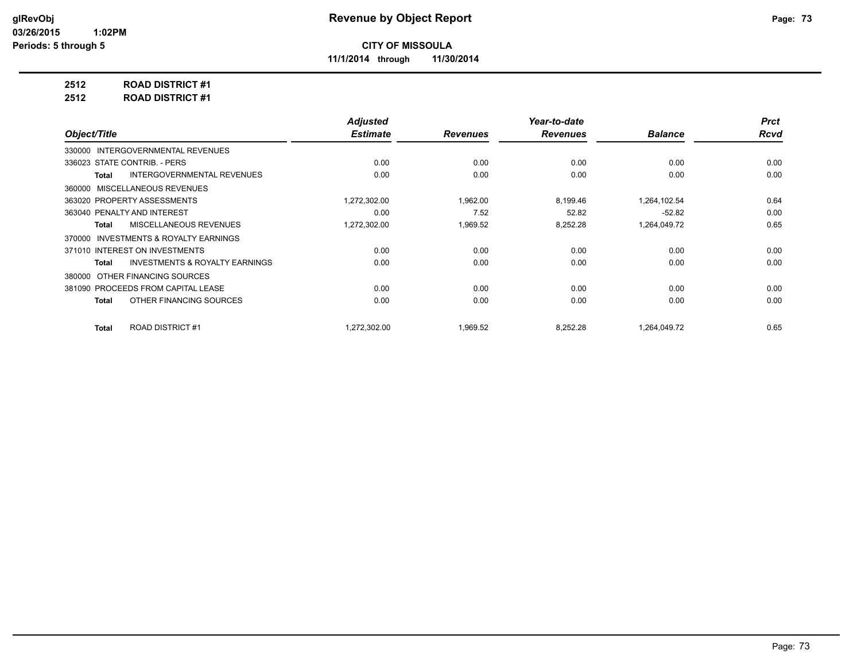**11/1/2014 through 11/30/2014**

# **2512 ROAD DISTRICT #1**

**2512 ROAD DISTRICT #1**

|                                                    | <b>Adjusted</b> |                 | Year-to-date    |                | <b>Prct</b> |
|----------------------------------------------------|-----------------|-----------------|-----------------|----------------|-------------|
| Object/Title                                       | <b>Estimate</b> | <b>Revenues</b> | <b>Revenues</b> | <b>Balance</b> | <b>Rcvd</b> |
| INTERGOVERNMENTAL REVENUES<br>330000               |                 |                 |                 |                |             |
| 336023 STATE CONTRIB. - PERS                       | 0.00            | 0.00            | 0.00            | 0.00           | 0.00        |
| <b>INTERGOVERNMENTAL REVENUES</b><br>Total         | 0.00            | 0.00            | 0.00            | 0.00           | 0.00        |
| 360000 MISCELLANEOUS REVENUES                      |                 |                 |                 |                |             |
| 363020 PROPERTY ASSESSMENTS                        | 1,272,302.00    | 1,962.00        | 8,199.46        | 1,264,102.54   | 0.64        |
| 363040 PENALTY AND INTEREST                        | 0.00            | 7.52            | 52.82           | $-52.82$       | 0.00        |
| <b>MISCELLANEOUS REVENUES</b><br>Total             | 1,272,302.00    | 1,969.52        | 8,252.28        | 1,264,049.72   | 0.65        |
| INVESTMENTS & ROYALTY EARNINGS<br>370000           |                 |                 |                 |                |             |
| 371010 INTEREST ON INVESTMENTS                     | 0.00            | 0.00            | 0.00            | 0.00           | 0.00        |
| <b>INVESTMENTS &amp; ROYALTY EARNINGS</b><br>Total | 0.00            | 0.00            | 0.00            | 0.00           | 0.00        |
| 380000 OTHER FINANCING SOURCES                     |                 |                 |                 |                |             |
| 381090 PROCEEDS FROM CAPITAL LEASE                 | 0.00            | 0.00            | 0.00            | 0.00           | 0.00        |
| OTHER FINANCING SOURCES<br>Total                   | 0.00            | 0.00            | 0.00            | 0.00           | 0.00        |
| <b>ROAD DISTRICT #1</b><br><b>Total</b>            | 1,272,302.00    | 1,969.52        | 8,252.28        | 1,264,049.72   | 0.65        |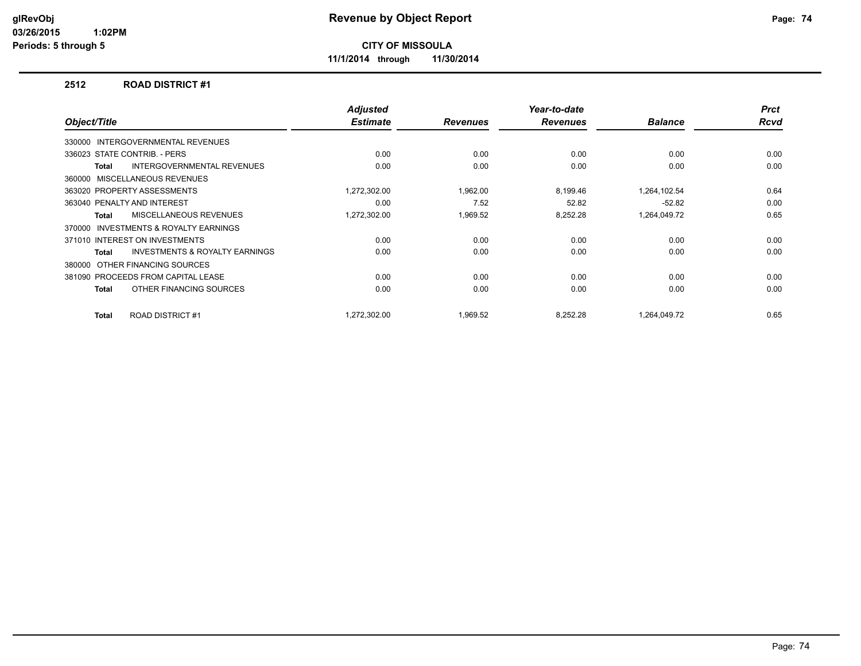**11/1/2014 through 11/30/2014**

#### **2512 ROAD DISTRICT #1**

|                                    |                                           | <b>Adjusted</b><br><b>Estimate</b> |                 | Year-to-date<br><b>Revenues</b> | <b>Balance</b> | <b>Prct</b><br><b>Rcvd</b> |
|------------------------------------|-------------------------------------------|------------------------------------|-----------------|---------------------------------|----------------|----------------------------|
| Object/Title                       |                                           |                                    | <b>Revenues</b> |                                 |                |                            |
| 330000 INTERGOVERNMENTAL REVENUES  |                                           |                                    |                 |                                 |                |                            |
| 336023 STATE CONTRIB. - PERS       |                                           | 0.00                               | 0.00            | 0.00                            | 0.00           | 0.00                       |
| Total                              | <b>INTERGOVERNMENTAL REVENUES</b>         | 0.00                               | 0.00            | 0.00                            | 0.00           | 0.00                       |
| 360000 MISCELLANEOUS REVENUES      |                                           |                                    |                 |                                 |                |                            |
| 363020 PROPERTY ASSESSMENTS        |                                           | 1,272,302.00                       | 1,962.00        | 8,199.46                        | 1,264,102.54   | 0.64                       |
| 363040 PENALTY AND INTEREST        |                                           | 0.00                               | 7.52            | 52.82                           | $-52.82$       | 0.00                       |
| <b>Total</b>                       | MISCELLANEOUS REVENUES                    | 1,272,302.00                       | 1,969.52        | 8,252.28                        | 1,264,049.72   | 0.65                       |
| 370000                             | <b>INVESTMENTS &amp; ROYALTY EARNINGS</b> |                                    |                 |                                 |                |                            |
| 371010 INTEREST ON INVESTMENTS     |                                           | 0.00                               | 0.00            | 0.00                            | 0.00           | 0.00                       |
| Total                              | <b>INVESTMENTS &amp; ROYALTY EARNINGS</b> | 0.00                               | 0.00            | 0.00                            | 0.00           | 0.00                       |
| 380000 OTHER FINANCING SOURCES     |                                           |                                    |                 |                                 |                |                            |
| 381090 PROCEEDS FROM CAPITAL LEASE |                                           | 0.00                               | 0.00            | 0.00                            | 0.00           | 0.00                       |
| Total                              | OTHER FINANCING SOURCES                   | 0.00                               | 0.00            | 0.00                            | 0.00           | 0.00                       |
| Total                              | <b>ROAD DISTRICT #1</b>                   | 1.272.302.00                       | 1.969.52        | 8.252.28                        | 1.264.049.72   | 0.65                       |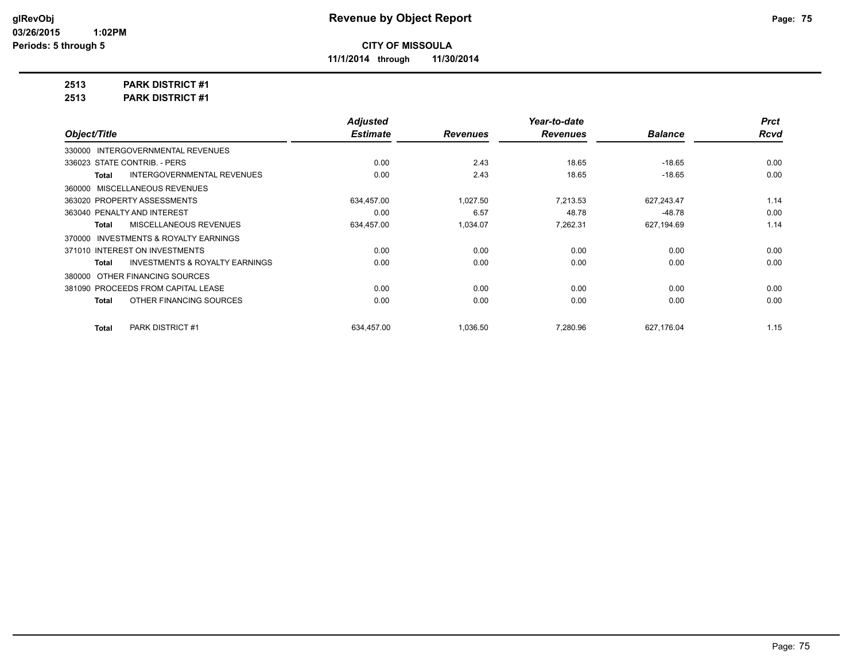**11/1/2014 through 11/30/2014**

**2513 PARK DISTRICT #1**

**2513 PARK DISTRICT #1**

| <b>Rcvd</b> |
|-------------|
|             |
|             |
| 0.00        |
| 0.00        |
|             |
| 1.14        |
| 0.00        |
| 1.14        |
|             |
| 0.00        |
| 0.00        |
|             |
| 0.00        |
| 0.00        |
| 1.15        |
|             |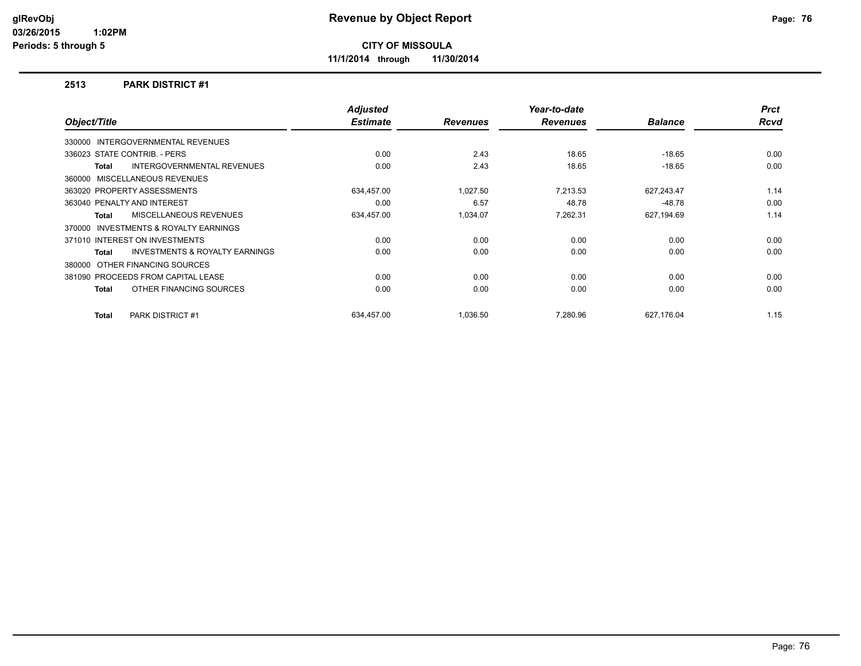**11/1/2014 through 11/30/2014**

#### **2513 PARK DISTRICT #1**

| Object/Title                                       | <b>Adjusted</b><br><b>Estimate</b> | <b>Revenues</b> | Year-to-date<br><b>Revenues</b> | <b>Balance</b> | <b>Prct</b><br><b>Rcvd</b> |
|----------------------------------------------------|------------------------------------|-----------------|---------------------------------|----------------|----------------------------|
|                                                    |                                    |                 |                                 |                |                            |
| 330000 INTERGOVERNMENTAL REVENUES                  |                                    |                 |                                 |                |                            |
| 336023 STATE CONTRIB. - PERS                       | 0.00                               | 2.43            | 18.65                           | $-18.65$       | 0.00                       |
| <b>INTERGOVERNMENTAL REVENUES</b><br>Total         | 0.00                               | 2.43            | 18.65                           | $-18.65$       | 0.00                       |
| 360000 MISCELLANEOUS REVENUES                      |                                    |                 |                                 |                |                            |
| 363020 PROPERTY ASSESSMENTS                        | 634,457.00                         | 1,027.50        | 7,213.53                        | 627,243.47     | 1.14                       |
| 363040 PENALTY AND INTEREST                        | 0.00                               | 6.57            | 48.78                           | $-48.78$       | 0.00                       |
| <b>MISCELLANEOUS REVENUES</b><br><b>Total</b>      | 634,457.00                         | 1,034.07        | 7,262.31                        | 627,194.69     | 1.14                       |
| 370000 INVESTMENTS & ROYALTY EARNINGS              |                                    |                 |                                 |                |                            |
| 371010 INTEREST ON INVESTMENTS                     | 0.00                               | 0.00            | 0.00                            | 0.00           | 0.00                       |
| <b>INVESTMENTS &amp; ROYALTY EARNINGS</b><br>Total | 0.00                               | 0.00            | 0.00                            | 0.00           | 0.00                       |
| 380000 OTHER FINANCING SOURCES                     |                                    |                 |                                 |                |                            |
| 381090 PROCEEDS FROM CAPITAL LEASE                 | 0.00                               | 0.00            | 0.00                            | 0.00           | 0.00                       |
| OTHER FINANCING SOURCES<br><b>Total</b>            | 0.00                               | 0.00            | 0.00                            | 0.00           | 0.00                       |
|                                                    |                                    |                 |                                 |                |                            |
| <b>PARK DISTRICT #1</b><br>Total                   | 634.457.00                         | 1,036.50        | 7,280.96                        | 627.176.04     | 1.15                       |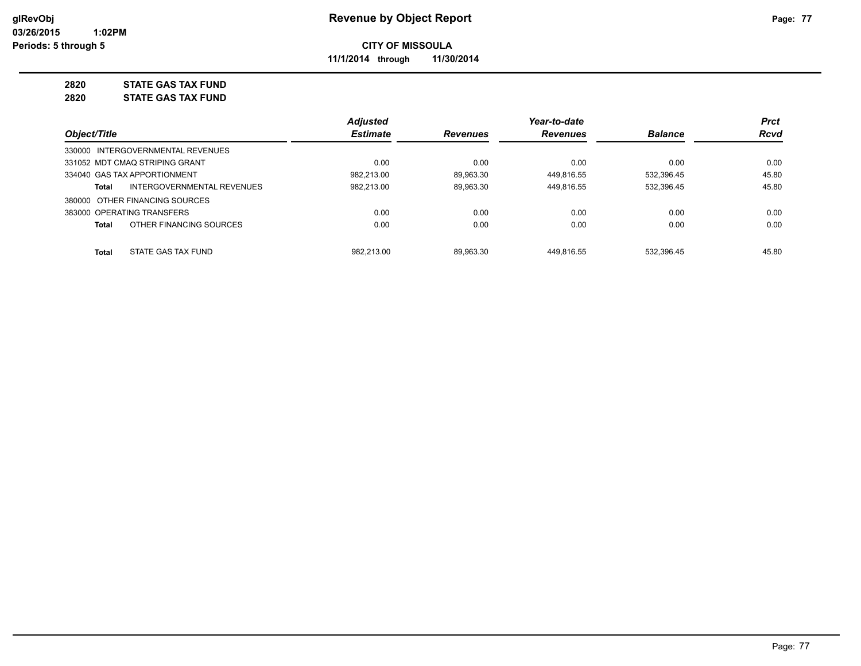**11/1/2014 through 11/30/2014**

# **2820 STATE GAS TAX FUND**

**2820 STATE GAS TAX FUND**

|                                            | <b>Adjusted</b> |                 | Year-to-date    |                | <b>Prct</b> |
|--------------------------------------------|-----------------|-----------------|-----------------|----------------|-------------|
| Object/Title                               | <b>Estimate</b> | <b>Revenues</b> | <b>Revenues</b> | <b>Balance</b> | <b>Rcvd</b> |
| 330000 INTERGOVERNMENTAL REVENUES          |                 |                 |                 |                |             |
| 331052 MDT CMAQ STRIPING GRANT             | 0.00            | 0.00            | 0.00            | 0.00           | 0.00        |
| 334040 GAS TAX APPORTIONMENT               | 982.213.00      | 89.963.30       | 449.816.55      | 532.396.45     | 45.80       |
| INTERGOVERNMENTAL REVENUES<br><b>Total</b> | 982,213.00      | 89.963.30       | 449,816.55      | 532,396.45     | 45.80       |
| 380000 OTHER FINANCING SOURCES             |                 |                 |                 |                |             |
| 383000 OPERATING TRANSFERS                 | 0.00            | 0.00            | 0.00            | 0.00           | 0.00        |
| OTHER FINANCING SOURCES<br><b>Total</b>    | 0.00            | 0.00            | 0.00            | 0.00           | 0.00        |
| STATE GAS TAX FUND<br><b>Total</b>         | 982.213.00      | 89.963.30       | 449.816.55      | 532.396.45     | 45.80       |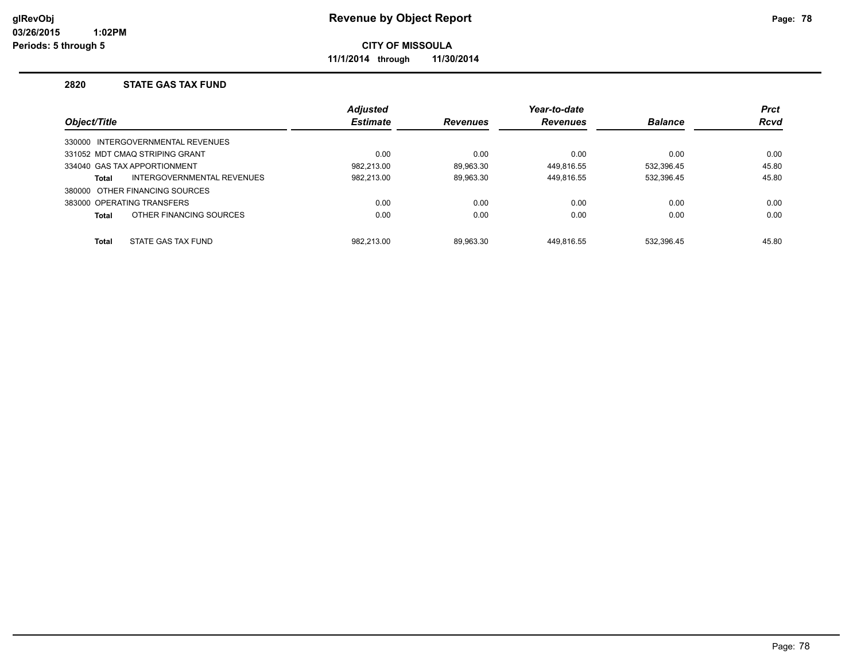**11/1/2014 through 11/30/2014**

#### **2820 STATE GAS TAX FUND**

|              |                                   | <b>Adjusted</b> |                 | Year-to-date    |                | <b>Prct</b> |
|--------------|-----------------------------------|-----------------|-----------------|-----------------|----------------|-------------|
| Object/Title |                                   | <b>Estimate</b> | <b>Revenues</b> | <b>Revenues</b> | <b>Balance</b> | <b>Rcvd</b> |
|              | 330000 INTERGOVERNMENTAL REVENUES |                 |                 |                 |                |             |
|              | 331052 MDT CMAQ STRIPING GRANT    | 0.00            | 0.00            | 0.00            | 0.00           | 0.00        |
|              | 334040 GAS TAX APPORTIONMENT      | 982.213.00      | 89.963.30       | 449.816.55      | 532.396.45     | 45.80       |
| Total        | INTERGOVERNMENTAL REVENUES        | 982.213.00      | 89,963.30       | 449,816.55      | 532,396.45     | 45.80       |
|              | 380000 OTHER FINANCING SOURCES    |                 |                 |                 |                |             |
|              | 383000 OPERATING TRANSFERS        | 0.00            | 0.00            | 0.00            | 0.00           | 0.00        |
| <b>Total</b> | OTHER FINANCING SOURCES           | 0.00            | 0.00            | 0.00            | 0.00           | 0.00        |
| <b>Total</b> | STATE GAS TAX FUND                | 982.213.00      | 89.963.30       | 449.816.55      | 532.396.45     | 45.80       |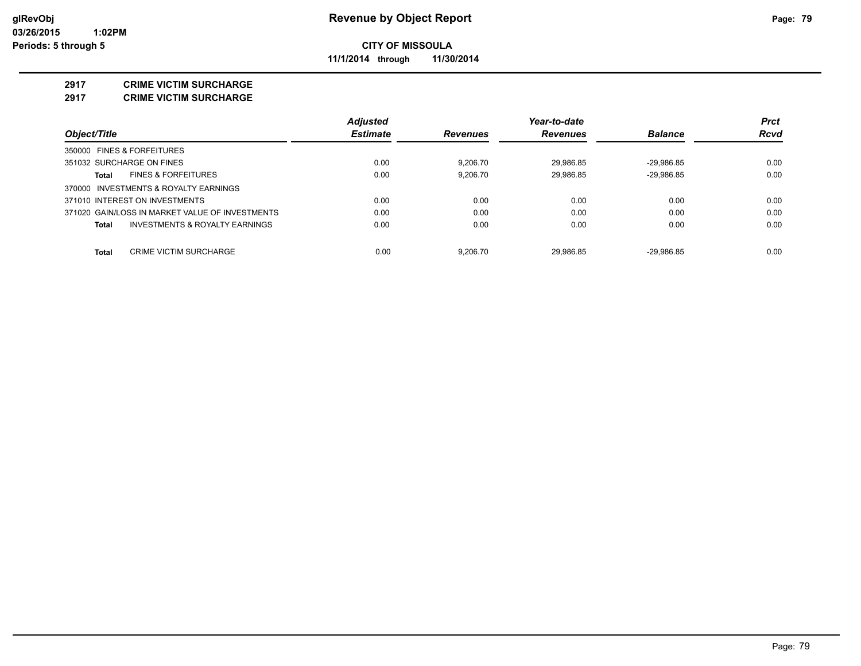**11/1/2014 through 11/30/2014**

#### **2917 CRIME VICTIM SURCHARGE**

**2917 CRIME VICTIM SURCHARGE**

|                                                           | <b>Adjusted</b> | Year-to-date    |                 |                | <b>Prct</b> |
|-----------------------------------------------------------|-----------------|-----------------|-----------------|----------------|-------------|
| Object/Title                                              | <b>Estimate</b> | <b>Revenues</b> | <b>Revenues</b> | <b>Balance</b> | Rcvd        |
| 350000 FINES & FORFEITURES                                |                 |                 |                 |                |             |
| 351032 SURCHARGE ON FINES                                 | 0.00            | 9.206.70        | 29.986.85       | -29.986.85     | 0.00        |
| <b>FINES &amp; FORFEITURES</b><br>Total                   | 0.00            | 9,206.70        | 29,986.85       | $-29.986.85$   | 0.00        |
| 370000 INVESTMENTS & ROYALTY EARNINGS                     |                 |                 |                 |                |             |
| 371010 INTEREST ON INVESTMENTS                            | 0.00            | 0.00            | 0.00            | 0.00           | 0.00        |
| 371020 GAIN/LOSS IN MARKET VALUE OF INVESTMENTS           | 0.00            | 0.00            | 0.00            | 0.00           | 0.00        |
| <b>INVESTMENTS &amp; ROYALTY EARNINGS</b><br><b>Total</b> | 0.00            | 0.00            | 0.00            | 0.00           | 0.00        |
| Total<br><b>CRIME VICTIM SURCHARGE</b>                    | 0.00            | 9.206.70        | 29.986.85       | $-29.986.85$   | 0.00        |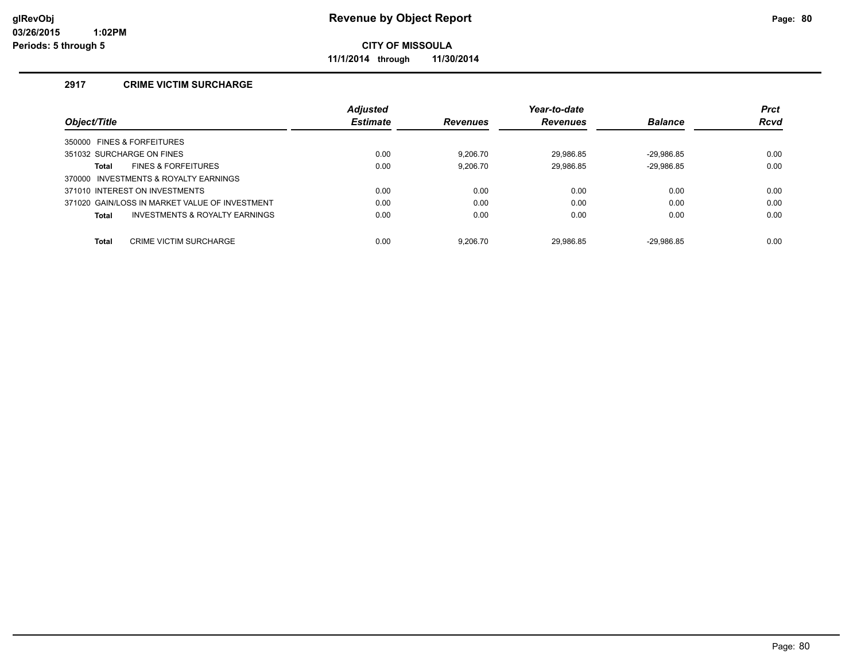**11/1/2014 through 11/30/2014**

## **2917 CRIME VICTIM SURCHARGE**

|                                                | <b>Adjusted</b> |                 | Year-to-date    |                | <b>Prct</b> |
|------------------------------------------------|-----------------|-----------------|-----------------|----------------|-------------|
| Object/Title                                   | <b>Estimate</b> | <b>Revenues</b> | <b>Revenues</b> | <b>Balance</b> | <b>Rcvd</b> |
| 350000 FINES & FORFEITURES                     |                 |                 |                 |                |             |
| 351032 SURCHARGE ON FINES                      | 0.00            | 9.206.70        | 29.986.85       | $-29.986.85$   | 0.00        |
| <b>FINES &amp; FORFEITURES</b><br><b>Total</b> | 0.00            | 9.206.70        | 29,986.85       | $-29,986.85$   | 0.00        |
| 370000 INVESTMENTS & ROYALTY EARNINGS          |                 |                 |                 |                |             |
| 371010 INTEREST ON INVESTMENTS                 | 0.00            | 0.00            | 0.00            | 0.00           | 0.00        |
| 371020 GAIN/LOSS IN MARKET VALUE OF INVESTMENT | 0.00            | 0.00            | 0.00            | 0.00           | 0.00        |
| INVESTMENTS & ROYALTY EARNINGS<br><b>Total</b> | 0.00            | 0.00            | 0.00            | 0.00           | 0.00        |
|                                                |                 |                 |                 |                |             |
| CRIME VICTIM SURCHARGE<br><b>Total</b>         | 0.00            | 9.206.70        | 29.986.85       | $-29.986.85$   | 0.00        |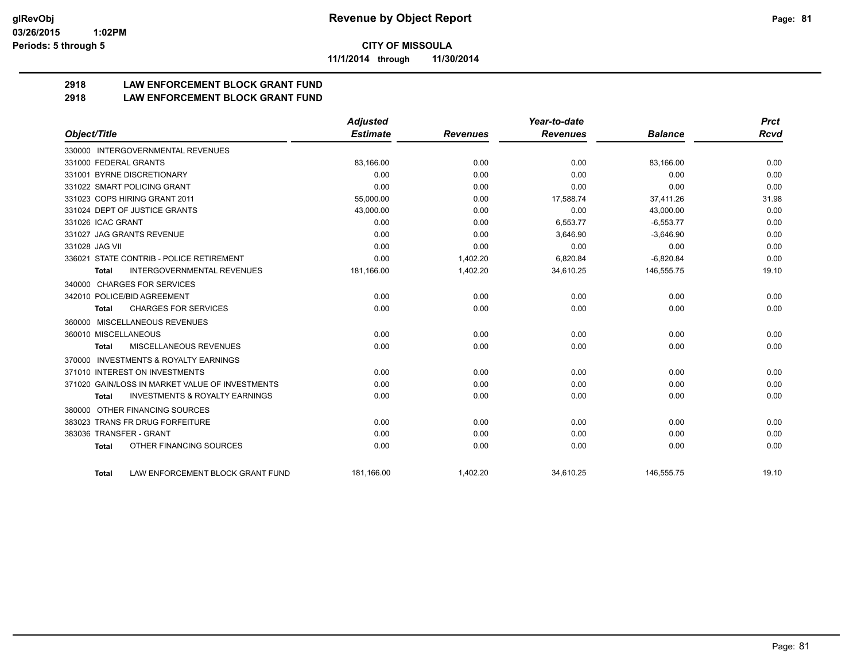**11/1/2014 through 11/30/2014**

# **2918 LAW ENFORCEMENT BLOCK GRANT FUND**

**2918 LAW ENFORCEMENT BLOCK GRANT FUND**

|                         |                                                 | <b>Adjusted</b> |                 | Year-to-date    |                | <b>Prct</b> |
|-------------------------|-------------------------------------------------|-----------------|-----------------|-----------------|----------------|-------------|
| Object/Title            |                                                 | <b>Estimate</b> | <b>Revenues</b> | <b>Revenues</b> | <b>Balance</b> | Rcvd        |
|                         | 330000 INTERGOVERNMENTAL REVENUES               |                 |                 |                 |                |             |
| 331000 FEDERAL GRANTS   |                                                 | 83,166.00       | 0.00            | 0.00            | 83,166.00      | 0.00        |
|                         | 331001 BYRNE DISCRETIONARY                      | 0.00            | 0.00            | 0.00            | 0.00           | 0.00        |
|                         | 331022 SMART POLICING GRANT                     | 0.00            | 0.00            | 0.00            | 0.00           | 0.00        |
|                         | 331023 COPS HIRING GRANT 2011                   | 55,000.00       | 0.00            | 17.588.74       | 37,411.26      | 31.98       |
|                         | 331024 DEPT OF JUSTICE GRANTS                   | 43,000.00       | 0.00            | 0.00            | 43,000.00      | 0.00        |
| 331026 ICAC GRANT       |                                                 | 0.00            | 0.00            | 6,553.77        | $-6,553.77$    | 0.00        |
|                         | 331027 JAG GRANTS REVENUE                       | 0.00            | 0.00            | 3.646.90        | $-3,646.90$    | 0.00        |
| 331028 JAG VII          |                                                 | 0.00            | 0.00            | 0.00            | 0.00           | 0.00        |
|                         | 336021 STATE CONTRIB - POLICE RETIREMENT        | 0.00            | 1,402.20        | 6,820.84        | $-6,820.84$    | 0.00        |
| <b>Total</b>            | <b>INTERGOVERNMENTAL REVENUES</b>               | 181,166.00      | 1,402.20        | 34,610.25       | 146,555.75     | 19.10       |
|                         | 340000 CHARGES FOR SERVICES                     |                 |                 |                 |                |             |
|                         | 342010 POLICE/BID AGREEMENT                     | 0.00            | 0.00            | 0.00            | 0.00           | 0.00        |
| <b>Total</b>            | <b>CHARGES FOR SERVICES</b>                     | 0.00            | 0.00            | 0.00            | 0.00           | 0.00        |
|                         | 360000 MISCELLANEOUS REVENUES                   |                 |                 |                 |                |             |
| 360010 MISCELLANEOUS    |                                                 | 0.00            | 0.00            | 0.00            | 0.00           | 0.00        |
| <b>Total</b>            | MISCELLANEOUS REVENUES                          | 0.00            | 0.00            | 0.00            | 0.00           | 0.00        |
| 370000                  | <b>INVESTMENTS &amp; ROYALTY EARNINGS</b>       |                 |                 |                 |                |             |
|                         | 371010 INTEREST ON INVESTMENTS                  | 0.00            | 0.00            | 0.00            | 0.00           | 0.00        |
|                         | 371020 GAIN/LOSS IN MARKET VALUE OF INVESTMENTS | 0.00            | 0.00            | 0.00            | 0.00           | 0.00        |
| <b>Total</b>            | <b>INVESTMENTS &amp; ROYALTY EARNINGS</b>       | 0.00            | 0.00            | 0.00            | 0.00           | 0.00        |
| 380000                  | OTHER FINANCING SOURCES                         |                 |                 |                 |                |             |
|                         | 383023 TRANS FR DRUG FORFEITURE                 | 0.00            | 0.00            | 0.00            | 0.00           | 0.00        |
| 383036 TRANSFER - GRANT |                                                 | 0.00            | 0.00            | 0.00            | 0.00           | 0.00        |
| <b>Total</b>            | OTHER FINANCING SOURCES                         | 0.00            | 0.00            | 0.00            | 0.00           | 0.00        |
| <b>Total</b>            | LAW ENFORCEMENT BLOCK GRANT FUND                | 181,166.00      | 1,402.20        | 34,610.25       | 146,555.75     | 19.10       |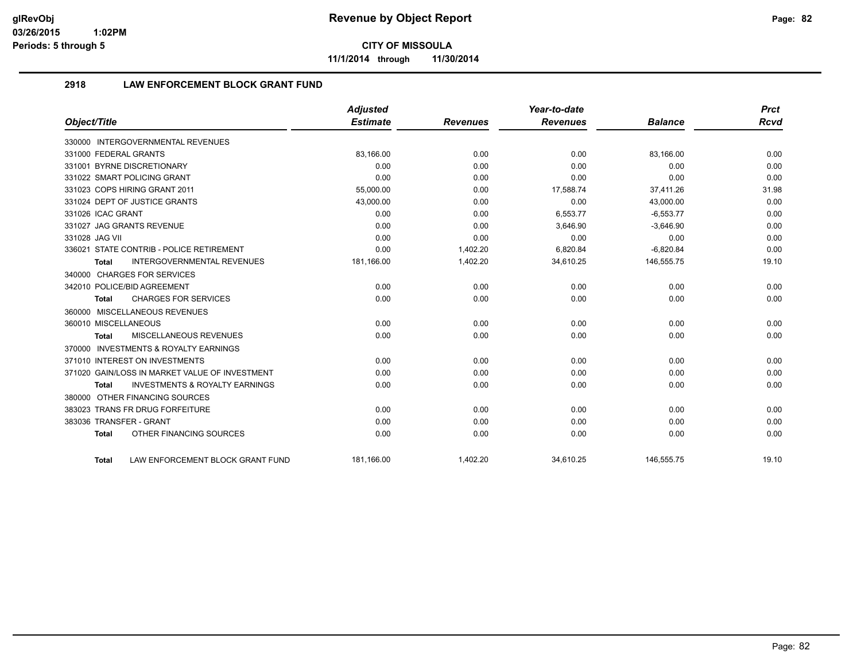**11/1/2014 through 11/30/2014**

# **2918 LAW ENFORCEMENT BLOCK GRANT FUND**

|                                                           | <b>Adjusted</b> |                 | Year-to-date    |                | <b>Prct</b> |
|-----------------------------------------------------------|-----------------|-----------------|-----------------|----------------|-------------|
| Object/Title                                              | <b>Estimate</b> | <b>Revenues</b> | <b>Revenues</b> | <b>Balance</b> | <b>Rcvd</b> |
| 330000 INTERGOVERNMENTAL REVENUES                         |                 |                 |                 |                |             |
| 331000 FEDERAL GRANTS                                     | 83.166.00       | 0.00            | 0.00            | 83,166.00      | 0.00        |
| 331001 BYRNE DISCRETIONARY                                | 0.00            | 0.00            | 0.00            | 0.00           | 0.00        |
| 331022 SMART POLICING GRANT                               | 0.00            | 0.00            | 0.00            | 0.00           | 0.00        |
| 331023 COPS HIRING GRANT 2011                             | 55,000.00       | 0.00            | 17,588.74       | 37,411.26      | 31.98       |
| 331024 DEPT OF JUSTICE GRANTS                             | 43,000.00       | 0.00            | 0.00            | 43,000.00      | 0.00        |
| 331026 ICAC GRANT                                         | 0.00            | 0.00            | 6,553.77        | $-6,553.77$    | 0.00        |
| 331027 JAG GRANTS REVENUE                                 | 0.00            | 0.00            | 3.646.90        | $-3,646.90$    | 0.00        |
| 331028 JAG VII                                            | 0.00            | 0.00            | 0.00            | 0.00           | 0.00        |
| 336021 STATE CONTRIB - POLICE RETIREMENT                  | 0.00            | 1,402.20        | 6,820.84        | $-6,820.84$    | 0.00        |
| <b>INTERGOVERNMENTAL REVENUES</b><br>Total                | 181,166.00      | 1,402.20        | 34,610.25       | 146,555.75     | 19.10       |
| 340000 CHARGES FOR SERVICES                               |                 |                 |                 |                |             |
| 342010 POLICE/BID AGREEMENT                               | 0.00            | 0.00            | 0.00            | 0.00           | 0.00        |
| <b>CHARGES FOR SERVICES</b><br><b>Total</b>               | 0.00            | 0.00            | 0.00            | 0.00           | 0.00        |
| 360000 MISCELLANEOUS REVENUES                             |                 |                 |                 |                |             |
| 360010 MISCELLANEOUS                                      | 0.00            | 0.00            | 0.00            | 0.00           | 0.00        |
| MISCELLANEOUS REVENUES<br><b>Total</b>                    | 0.00            | 0.00            | 0.00            | 0.00           | 0.00        |
| 370000 INVESTMENTS & ROYALTY EARNINGS                     |                 |                 |                 |                |             |
| 371010 INTEREST ON INVESTMENTS                            | 0.00            | 0.00            | 0.00            | 0.00           | 0.00        |
| 371020 GAIN/LOSS IN MARKET VALUE OF INVESTMENT            | 0.00            | 0.00            | 0.00            | 0.00           | 0.00        |
| <b>INVESTMENTS &amp; ROYALTY EARNINGS</b><br><b>Total</b> | 0.00            | 0.00            | 0.00            | 0.00           | 0.00        |
| 380000 OTHER FINANCING SOURCES                            |                 |                 |                 |                |             |
| 383023 TRANS FR DRUG FORFEITURE                           | 0.00            | 0.00            | 0.00            | 0.00           | 0.00        |
| 383036 TRANSFER - GRANT                                   | 0.00            | 0.00            | 0.00            | 0.00           | 0.00        |
| OTHER FINANCING SOURCES<br><b>Total</b>                   | 0.00            | 0.00            | 0.00            | 0.00           | 0.00        |
| LAW ENFORCEMENT BLOCK GRANT FUND<br>Total                 | 181.166.00      | 1.402.20        | 34.610.25       | 146.555.75     | 19.10       |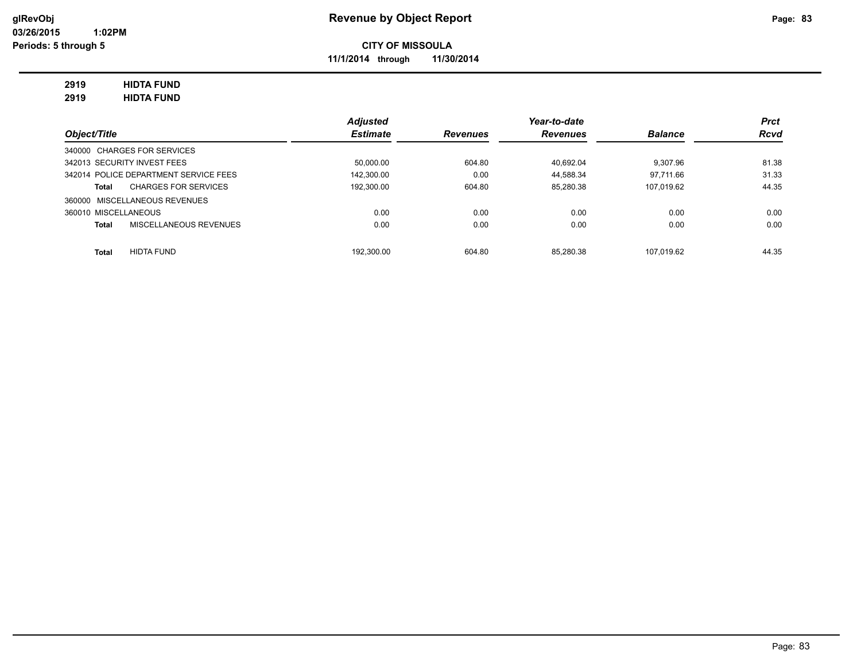**11/1/2014 through 11/30/2014**

# **2919 HIDTA FUND**

**2919 HIDTA FUND**

|                                        | <b>Adjusted</b> |                 | Year-to-date    |                | <b>Prct</b> |
|----------------------------------------|-----------------|-----------------|-----------------|----------------|-------------|
| Object/Title                           | <b>Estimate</b> | <b>Revenues</b> | <b>Revenues</b> | <b>Balance</b> | <b>Rcvd</b> |
| 340000 CHARGES FOR SERVICES            |                 |                 |                 |                |             |
| 342013 SECURITY INVEST FEES            | 50.000.00       | 604.80          | 40.692.04       | 9.307.96       | 81.38       |
| 342014 POLICE DEPARTMENT SERVICE FEES  | 142.300.00      | 0.00            | 44.588.34       | 97.711.66      | 31.33       |
| <b>CHARGES FOR SERVICES</b><br>Total   | 192.300.00      | 604.80          | 85.280.38       | 107.019.62     | 44.35       |
| 360000 MISCELLANEOUS REVENUES          |                 |                 |                 |                |             |
| 360010 MISCELLANEOUS                   | 0.00            | 0.00            | 0.00            | 0.00           | 0.00        |
| MISCELLANEOUS REVENUES<br><b>Total</b> | 0.00            | 0.00            | 0.00            | 0.00           | 0.00        |
| <b>HIDTA FUND</b><br><b>Total</b>      | 192.300.00      | 604.80          | 85.280.38       | 107.019.62     | 44.35       |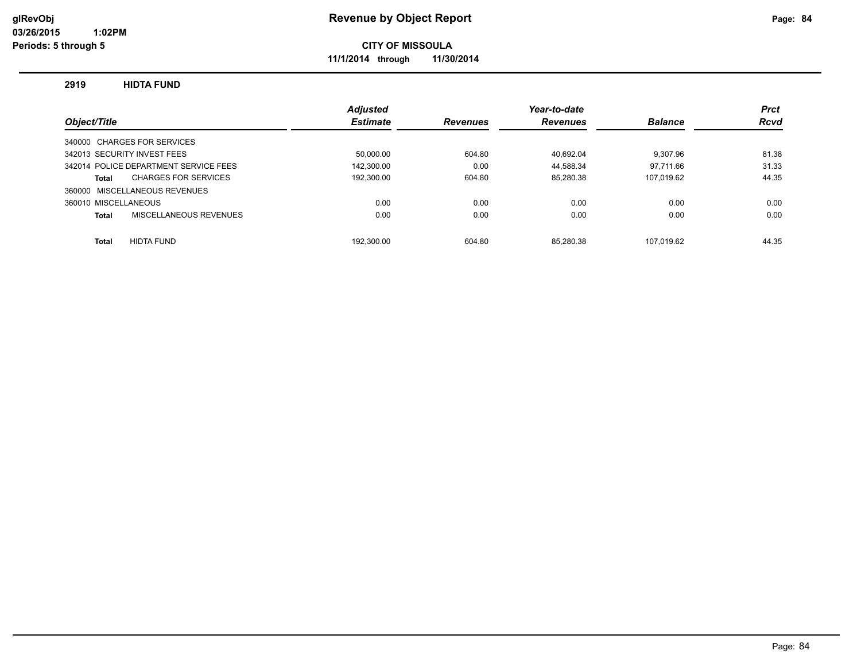**11/1/2014 through 11/30/2014**

#### **2919 HIDTA FUND**

|                                       |                             | <b>Adjusted</b> |                 | Year-to-date    |                | Prct        |
|---------------------------------------|-----------------------------|-----------------|-----------------|-----------------|----------------|-------------|
| Object/Title                          |                             | <b>Estimate</b> | <b>Revenues</b> | <b>Revenues</b> | <b>Balance</b> | <b>Rcvd</b> |
| 340000 CHARGES FOR SERVICES           |                             |                 |                 |                 |                |             |
| 342013 SECURITY INVEST FEES           |                             | 50.000.00       | 604.80          | 40.692.04       | 9.307.96       | 81.38       |
| 342014 POLICE DEPARTMENT SERVICE FEES |                             | 142.300.00      | 0.00            | 44.588.34       | 97.711.66      | 31.33       |
| <b>Total</b>                          | <b>CHARGES FOR SERVICES</b> | 192,300.00      | 604.80          | 85,280.38       | 107.019.62     | 44.35       |
| 360000 MISCELLANEOUS REVENUES         |                             |                 |                 |                 |                |             |
| 360010 MISCELLANEOUS                  |                             | 0.00            | 0.00            | 0.00            | 0.00           | 0.00        |
| <b>Total</b>                          | MISCELLANEOUS REVENUES      | 0.00            | 0.00            | 0.00            | 0.00           | 0.00        |
| <b>Total</b><br><b>HIDTA FUND</b>     |                             | 192.300.00      | 604.80          | 85.280.38       | 107.019.62     | 44.35       |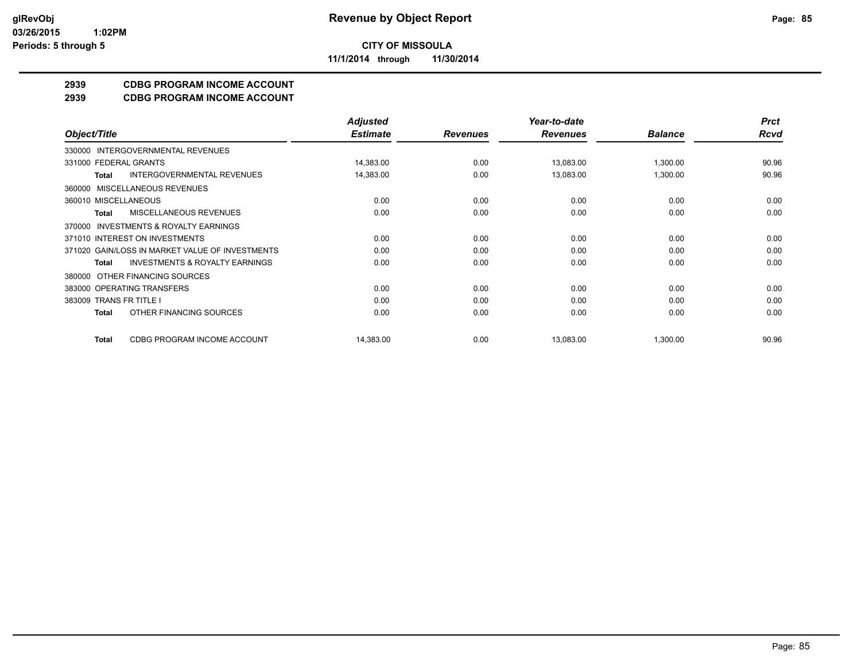**11/1/2014 through 11/30/2014**

# **2939 CDBG PROGRAM INCOME ACCOUNT**

**2939 CDBG PROGRAM INCOME ACCOUNT**

|                                                           | <b>Adjusted</b> |                 | Year-to-date    |                | <b>Prct</b> |
|-----------------------------------------------------------|-----------------|-----------------|-----------------|----------------|-------------|
| Object/Title                                              | <b>Estimate</b> | <b>Revenues</b> | <b>Revenues</b> | <b>Balance</b> | <b>Rcvd</b> |
| INTERGOVERNMENTAL REVENUES<br>330000                      |                 |                 |                 |                |             |
| 331000 FEDERAL GRANTS                                     | 14,383.00       | 0.00            | 13,083.00       | 1,300.00       | 90.96       |
| <b>INTERGOVERNMENTAL REVENUES</b><br><b>Total</b>         | 14,383.00       | 0.00            | 13,083.00       | 1,300.00       | 90.96       |
| MISCELLANEOUS REVENUES<br>360000                          |                 |                 |                 |                |             |
| 360010 MISCELLANEOUS                                      | 0.00            | 0.00            | 0.00            | 0.00           | 0.00        |
| <b>MISCELLANEOUS REVENUES</b><br>Total                    | 0.00            | 0.00            | 0.00            | 0.00           | 0.00        |
| <b>INVESTMENTS &amp; ROYALTY EARNINGS</b><br>370000       |                 |                 |                 |                |             |
| 371010 INTEREST ON INVESTMENTS                            | 0.00            | 0.00            | 0.00            | 0.00           | 0.00        |
| 371020 GAIN/LOSS IN MARKET VALUE OF INVESTMENTS           | 0.00            | 0.00            | 0.00            | 0.00           | 0.00        |
| <b>INVESTMENTS &amp; ROYALTY EARNINGS</b><br><b>Total</b> | 0.00            | 0.00            | 0.00            | 0.00           | 0.00        |
| OTHER FINANCING SOURCES<br>380000                         |                 |                 |                 |                |             |
| 383000 OPERATING TRANSFERS                                | 0.00            | 0.00            | 0.00            | 0.00           | 0.00        |
| 383009 TRANS FR TITLE I                                   | 0.00            | 0.00            | 0.00            | 0.00           | 0.00        |
| OTHER FINANCING SOURCES<br><b>Total</b>                   | 0.00            | 0.00            | 0.00            | 0.00           | 0.00        |
| CDBG PROGRAM INCOME ACCOUNT<br><b>Total</b>               | 14,383.00       | 0.00            | 13,083.00       | 1,300.00       | 90.96       |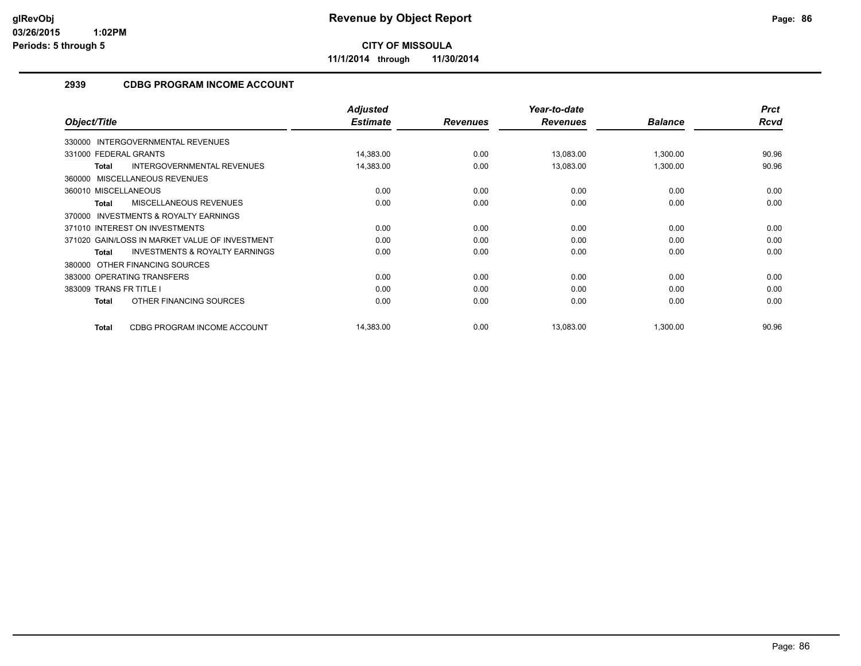**11/1/2014 through 11/30/2014**

# **2939 CDBG PROGRAM INCOME ACCOUNT**

| Object/Title                                              | <b>Adjusted</b><br><b>Estimate</b> |                 | Year-to-date    | <b>Balance</b> | <b>Prct</b><br><b>Rcvd</b> |
|-----------------------------------------------------------|------------------------------------|-----------------|-----------------|----------------|----------------------------|
|                                                           |                                    | <b>Revenues</b> | <b>Revenues</b> |                |                            |
| 330000 INTERGOVERNMENTAL REVENUES                         |                                    |                 |                 |                |                            |
| 331000 FEDERAL GRANTS                                     | 14,383.00                          | 0.00            | 13,083.00       | 1,300.00       | 90.96                      |
| <b>INTERGOVERNMENTAL REVENUES</b><br><b>Total</b>         | 14,383.00                          | 0.00            | 13,083.00       | 1,300.00       | 90.96                      |
| 360000 MISCELLANEOUS REVENUES                             |                                    |                 |                 |                |                            |
| 360010 MISCELLANEOUS                                      | 0.00                               | 0.00            | 0.00            | 0.00           | 0.00                       |
| MISCELLANEOUS REVENUES<br><b>Total</b>                    | 0.00                               | 0.00            | 0.00            | 0.00           | 0.00                       |
| <b>INVESTMENTS &amp; ROYALTY EARNINGS</b><br>370000       |                                    |                 |                 |                |                            |
| 371010 INTEREST ON INVESTMENTS                            | 0.00                               | 0.00            | 0.00            | 0.00           | 0.00                       |
| 371020 GAIN/LOSS IN MARKET VALUE OF INVESTMENT            | 0.00                               | 0.00            | 0.00            | 0.00           | 0.00                       |
| <b>INVESTMENTS &amp; ROYALTY EARNINGS</b><br><b>Total</b> | 0.00                               | 0.00            | 0.00            | 0.00           | 0.00                       |
| OTHER FINANCING SOURCES<br>380000                         |                                    |                 |                 |                |                            |
| 383000 OPERATING TRANSFERS                                | 0.00                               | 0.00            | 0.00            | 0.00           | 0.00                       |
| 383009 TRANS FR TITLE I                                   | 0.00                               | 0.00            | 0.00            | 0.00           | 0.00                       |
| OTHER FINANCING SOURCES<br><b>Total</b>                   | 0.00                               | 0.00            | 0.00            | 0.00           | 0.00                       |
| CDBG PROGRAM INCOME ACCOUNT<br><b>Total</b>               | 14,383.00                          | 0.00            | 13,083.00       | 1,300.00       | 90.96                      |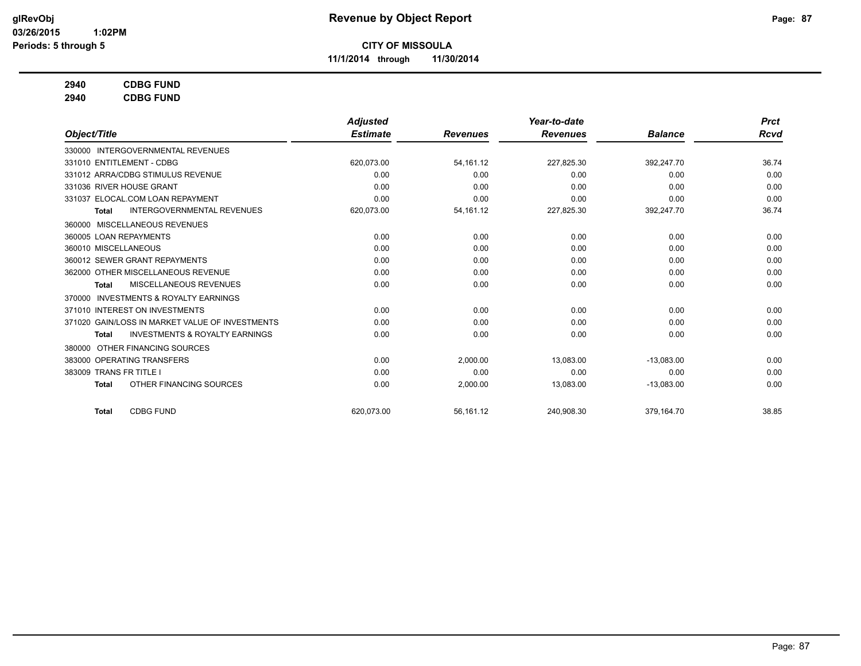**11/1/2014 through 11/30/2014**

## **2940 CDBG FUND**

**2940 CDBG FUND**

|                                                           | <b>Adjusted</b> |                 | Year-to-date    |                | <b>Prct</b> |
|-----------------------------------------------------------|-----------------|-----------------|-----------------|----------------|-------------|
| Object/Title                                              | <b>Estimate</b> | <b>Revenues</b> | <b>Revenues</b> | <b>Balance</b> | Rcvd        |
| 330000 INTERGOVERNMENTAL REVENUES                         |                 |                 |                 |                |             |
| 331010 ENTITLEMENT - CDBG                                 | 620,073.00      | 54,161.12       | 227,825.30      | 392,247.70     | 36.74       |
| 331012 ARRA/CDBG STIMULUS REVENUE                         | 0.00            | 0.00            | 0.00            | 0.00           | 0.00        |
| 331036 RIVER HOUSE GRANT                                  | 0.00            | 0.00            | 0.00            | 0.00           | 0.00        |
| 331037 ELOCAL.COM LOAN REPAYMENT                          | 0.00            | 0.00            | 0.00            | 0.00           | 0.00        |
| <b>INTERGOVERNMENTAL REVENUES</b><br><b>Total</b>         | 620,073.00      | 54, 161. 12     | 227,825.30      | 392,247.70     | 36.74       |
| 360000 MISCELLANEOUS REVENUES                             |                 |                 |                 |                |             |
| 360005 LOAN REPAYMENTS                                    | 0.00            | 0.00            | 0.00            | 0.00           | 0.00        |
| 360010 MISCELLANEOUS                                      | 0.00            | 0.00            | 0.00            | 0.00           | 0.00        |
| 360012 SEWER GRANT REPAYMENTS                             | 0.00            | 0.00            | 0.00            | 0.00           | 0.00        |
| 362000 OTHER MISCELLANEOUS REVENUE                        | 0.00            | 0.00            | 0.00            | 0.00           | 0.00        |
| <b>MISCELLANEOUS REVENUES</b><br><b>Total</b>             | 0.00            | 0.00            | 0.00            | 0.00           | 0.00        |
| <b>INVESTMENTS &amp; ROYALTY EARNINGS</b><br>370000       |                 |                 |                 |                |             |
| 371010 INTEREST ON INVESTMENTS                            | 0.00            | 0.00            | 0.00            | 0.00           | 0.00        |
| 371020 GAIN/LOSS IN MARKET VALUE OF INVESTMENTS           | 0.00            | 0.00            | 0.00            | 0.00           | 0.00        |
| <b>INVESTMENTS &amp; ROYALTY EARNINGS</b><br><b>Total</b> | 0.00            | 0.00            | 0.00            | 0.00           | 0.00        |
| OTHER FINANCING SOURCES<br>380000                         |                 |                 |                 |                |             |
| 383000 OPERATING TRANSFERS                                | 0.00            | 2,000.00        | 13,083.00       | $-13,083.00$   | 0.00        |
| 383009 TRANS FR TITLE I                                   | 0.00            | 0.00            | 0.00            | 0.00           | 0.00        |
| OTHER FINANCING SOURCES<br><b>Total</b>                   | 0.00            | 2,000.00        | 13,083.00       | $-13,083.00$   | 0.00        |
| <b>CDBG FUND</b><br><b>Total</b>                          | 620.073.00      | 56,161.12       | 240.908.30      | 379.164.70     | 38.85       |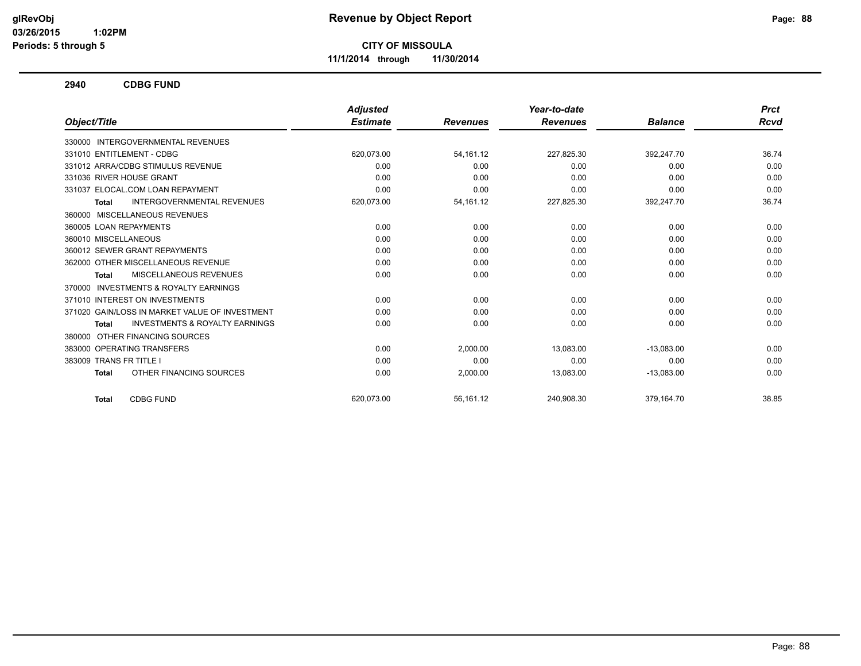**11/1/2014 through 11/30/2014**

**2940 CDBG FUND**

|                                                     | <b>Adjusted</b> |                 | Year-to-date    |                | <b>Prct</b> |
|-----------------------------------------------------|-----------------|-----------------|-----------------|----------------|-------------|
| Object/Title                                        | <b>Estimate</b> | <b>Revenues</b> | <b>Revenues</b> | <b>Balance</b> | Rcvd        |
| INTERGOVERNMENTAL REVENUES<br>330000                |                 |                 |                 |                |             |
| 331010 ENTITLEMENT - CDBG                           | 620,073.00      | 54,161.12       | 227,825.30      | 392,247.70     | 36.74       |
| 331012 ARRA/CDBG STIMULUS REVENUE                   | 0.00            | 0.00            | 0.00            | 0.00           | 0.00        |
| 331036 RIVER HOUSE GRANT                            | 0.00            | 0.00            | 0.00            | 0.00           | 0.00        |
| 331037 ELOCAL.COM LOAN REPAYMENT                    | 0.00            | 0.00            | 0.00            | 0.00           | 0.00        |
| <b>INTERGOVERNMENTAL REVENUES</b><br><b>Total</b>   | 620,073.00      | 54,161.12       | 227,825.30      | 392,247.70     | 36.74       |
| MISCELLANEOUS REVENUES<br>360000                    |                 |                 |                 |                |             |
| 360005 LOAN REPAYMENTS                              | 0.00            | 0.00            | 0.00            | 0.00           | 0.00        |
| 360010 MISCELLANEOUS                                | 0.00            | 0.00            | 0.00            | 0.00           | 0.00        |
| 360012 SEWER GRANT REPAYMENTS                       | 0.00            | 0.00            | 0.00            | 0.00           | 0.00        |
| 362000 OTHER MISCELLANEOUS REVENUE                  | 0.00            | 0.00            | 0.00            | 0.00           | 0.00        |
| MISCELLANEOUS REVENUES<br>Total                     | 0.00            | 0.00            | 0.00            | 0.00           | 0.00        |
| <b>INVESTMENTS &amp; ROYALTY EARNINGS</b><br>370000 |                 |                 |                 |                |             |
| 371010 INTEREST ON INVESTMENTS                      | 0.00            | 0.00            | 0.00            | 0.00           | 0.00        |
| 371020 GAIN/LOSS IN MARKET VALUE OF INVESTMENT      | 0.00            | 0.00            | 0.00            | 0.00           | 0.00        |
| <b>INVESTMENTS &amp; ROYALTY EARNINGS</b><br>Total  | 0.00            | 0.00            | 0.00            | 0.00           | 0.00        |
| OTHER FINANCING SOURCES<br>380000                   |                 |                 |                 |                |             |
| 383000 OPERATING TRANSFERS                          | 0.00            | 2.000.00        | 13.083.00       | $-13,083.00$   | 0.00        |
| 383009 TRANS FR TITLE I                             | 0.00            | 0.00            | 0.00            | 0.00           | 0.00        |
| OTHER FINANCING SOURCES<br><b>Total</b>             | 0.00            | 2,000.00        | 13,083.00       | $-13,083.00$   | 0.00        |
| <b>CDBG FUND</b><br><b>Total</b>                    | 620.073.00      | 56,161.12       | 240,908.30      | 379,164.70     | 38.85       |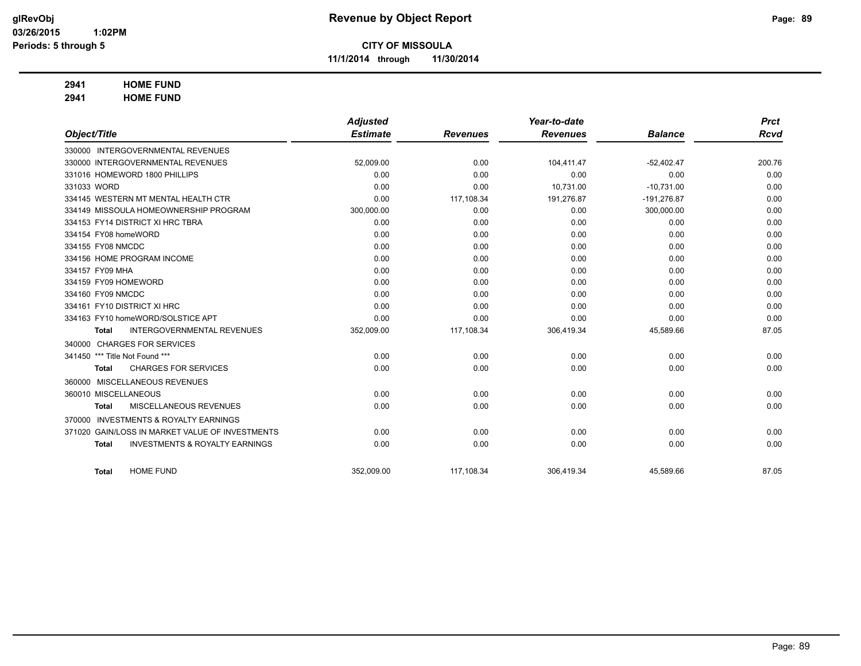**11/1/2014 through 11/30/2014**

## **2941 HOME FUND**

**2941 HOME FUND**

|                      |                                                 | <b>Adjusted</b> |                 | Year-to-date    |                | <b>Prct</b> |
|----------------------|-------------------------------------------------|-----------------|-----------------|-----------------|----------------|-------------|
| Object/Title         |                                                 | <b>Estimate</b> | <b>Revenues</b> | <b>Revenues</b> | <b>Balance</b> | <b>Rcvd</b> |
|                      | 330000 INTERGOVERNMENTAL REVENUES               |                 |                 |                 |                |             |
|                      | 330000 INTERGOVERNMENTAL REVENUES               | 52,009.00       | 0.00            | 104.411.47      | $-52,402.47$   | 200.76      |
|                      | 331016 HOMEWORD 1800 PHILLIPS                   | 0.00            | 0.00            | 0.00            | 0.00           | 0.00        |
| 331033 WORD          |                                                 | 0.00            | 0.00            | 10.731.00       | $-10,731.00$   | 0.00        |
|                      | 334145 WESTERN MT MENTAL HEALTH CTR             | 0.00            | 117,108.34      | 191,276.87      | $-191,276.87$  | 0.00        |
|                      | 334149 MISSOULA HOMEOWNERSHIP PROGRAM           | 300,000.00      | 0.00            | 0.00            | 300,000.00     | 0.00        |
|                      | 334153 FY14 DISTRICT XI HRC TBRA                | 0.00            | 0.00            | 0.00            | 0.00           | 0.00        |
| 334154 FY08 homeWORD |                                                 | 0.00            | 0.00            | 0.00            | 0.00           | 0.00        |
| 334155 FY08 NMCDC    |                                                 | 0.00            | 0.00            | 0.00            | 0.00           | 0.00        |
|                      | 334156 HOME PROGRAM INCOME                      | 0.00            | 0.00            | 0.00            | 0.00           | 0.00        |
| 334157 FY09 MHA      |                                                 | 0.00            | 0.00            | 0.00            | 0.00           | 0.00        |
| 334159 FY09 HOMEWORD |                                                 | 0.00            | 0.00            | 0.00            | 0.00           | 0.00        |
| 334160 FY09 NMCDC    |                                                 | 0.00            | 0.00            | 0.00            | 0.00           | 0.00        |
|                      | 334161 FY10 DISTRICT XI HRC                     | 0.00            | 0.00            | 0.00            | 0.00           | 0.00        |
|                      | 334163 FY10 homeWORD/SOLSTICE APT               | 0.00            | 0.00            | 0.00            | 0.00           | 0.00        |
| <b>Total</b>         | <b>INTERGOVERNMENTAL REVENUES</b>               | 352,009.00      | 117,108.34      | 306,419.34      | 45,589.66      | 87.05       |
|                      | 340000 CHARGES FOR SERVICES                     |                 |                 |                 |                |             |
| 341450               | *** Title Not Found ***                         | 0.00            | 0.00            | 0.00            | 0.00           | 0.00        |
| <b>Total</b>         | <b>CHARGES FOR SERVICES</b>                     | 0.00            | 0.00            | 0.00            | 0.00           | 0.00        |
|                      | 360000 MISCELLANEOUS REVENUES                   |                 |                 |                 |                |             |
| 360010 MISCELLANEOUS |                                                 | 0.00            | 0.00            | 0.00            | 0.00           | 0.00        |
| <b>Total</b>         | MISCELLANEOUS REVENUES                          | 0.00            | 0.00            | 0.00            | 0.00           | 0.00        |
| 370000               | <b>INVESTMENTS &amp; ROYALTY EARNINGS</b>       |                 |                 |                 |                |             |
|                      | 371020 GAIN/LOSS IN MARKET VALUE OF INVESTMENTS | 0.00            | 0.00            | 0.00            | 0.00           | 0.00        |
| <b>Total</b>         | <b>INVESTMENTS &amp; ROYALTY EARNINGS</b>       | 0.00            | 0.00            | 0.00            | 0.00           | 0.00        |
|                      |                                                 |                 |                 |                 |                |             |
| <b>Total</b>         | <b>HOME FUND</b>                                | 352,009.00      | 117,108.34      | 306,419.34      | 45,589.66      | 87.05       |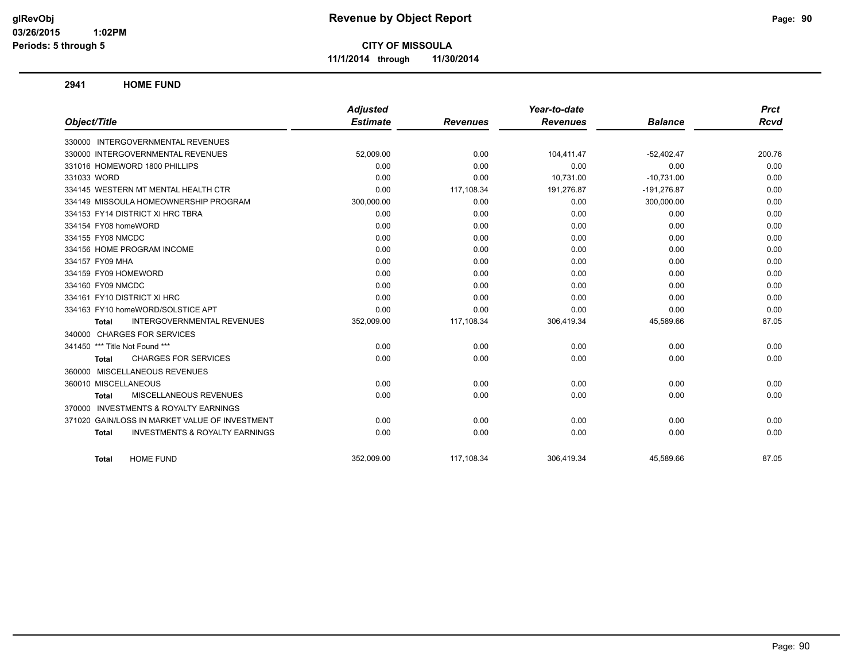**11/1/2014 through 11/30/2014**

#### **2941 HOME FUND**

|                                                           | <b>Adjusted</b> |                 | Year-to-date    |                | <b>Prct</b> |
|-----------------------------------------------------------|-----------------|-----------------|-----------------|----------------|-------------|
| Object/Title                                              | <b>Estimate</b> | <b>Revenues</b> | <b>Revenues</b> | <b>Balance</b> | <b>Rcvd</b> |
| 330000 INTERGOVERNMENTAL REVENUES                         |                 |                 |                 |                |             |
| 330000 INTERGOVERNMENTAL REVENUES                         | 52,009.00       | 0.00            | 104.411.47      | $-52,402.47$   | 200.76      |
| 331016 HOMEWORD 1800 PHILLIPS                             | 0.00            | 0.00            | 0.00            | 0.00           | 0.00        |
| 331033 WORD                                               | 0.00            | 0.00            | 10,731.00       | $-10,731.00$   | 0.00        |
| 334145 WESTERN MT MENTAL HEALTH CTR                       | 0.00            | 117,108.34      | 191,276.87      | $-191,276.87$  | 0.00        |
| 334149 MISSOULA HOMEOWNERSHIP PROGRAM                     | 300,000.00      | 0.00            | 0.00            | 300,000.00     | 0.00        |
| 334153 FY14 DISTRICT XI HRC TBRA                          | 0.00            | 0.00            | 0.00            | 0.00           | 0.00        |
| 334154 FY08 homeWORD                                      | 0.00            | 0.00            | 0.00            | 0.00           | 0.00        |
| 334155 FY08 NMCDC                                         | 0.00            | 0.00            | 0.00            | 0.00           | 0.00        |
| 334156 HOME PROGRAM INCOME                                | 0.00            | 0.00            | 0.00            | 0.00           | 0.00        |
| 334157 FY09 MHA                                           | 0.00            | 0.00            | 0.00            | 0.00           | 0.00        |
| 334159 FY09 HOMEWORD                                      | 0.00            | 0.00            | 0.00            | 0.00           | 0.00        |
| 334160 FY09 NMCDC                                         | 0.00            | 0.00            | 0.00            | 0.00           | 0.00        |
| 334161 FY10 DISTRICT XI HRC                               | 0.00            | 0.00            | 0.00            | 0.00           | 0.00        |
| 334163 FY10 homeWORD/SOLSTICE APT                         | 0.00            | 0.00            | 0.00            | 0.00           | 0.00        |
| <b>INTERGOVERNMENTAL REVENUES</b><br><b>Total</b>         | 352,009.00      | 117,108.34      | 306,419.34      | 45,589.66      | 87.05       |
| 340000 CHARGES FOR SERVICES                               |                 |                 |                 |                |             |
| 341450 *** Title Not Found ***                            | 0.00            | 0.00            | 0.00            | 0.00           | 0.00        |
| <b>CHARGES FOR SERVICES</b><br>Total                      | 0.00            | 0.00            | 0.00            | 0.00           | 0.00        |
| 360000 MISCELLANEOUS REVENUES                             |                 |                 |                 |                |             |
| 360010 MISCELLANEOUS                                      | 0.00            | 0.00            | 0.00            | 0.00           | 0.00        |
| MISCELLANEOUS REVENUES<br><b>Total</b>                    | 0.00            | 0.00            | 0.00            | 0.00           | 0.00        |
| 370000 INVESTMENTS & ROYALTY EARNINGS                     |                 |                 |                 |                |             |
| 371020 GAIN/LOSS IN MARKET VALUE OF INVESTMENT            | 0.00            | 0.00            | 0.00            | 0.00           | 0.00        |
| <b>INVESTMENTS &amp; ROYALTY EARNINGS</b><br><b>Total</b> | 0.00            | 0.00            | 0.00            | 0.00           | 0.00        |
| <b>HOME FUND</b><br>Total                                 | 352,009.00      | 117,108.34      | 306,419.34      | 45,589.66      | 87.05       |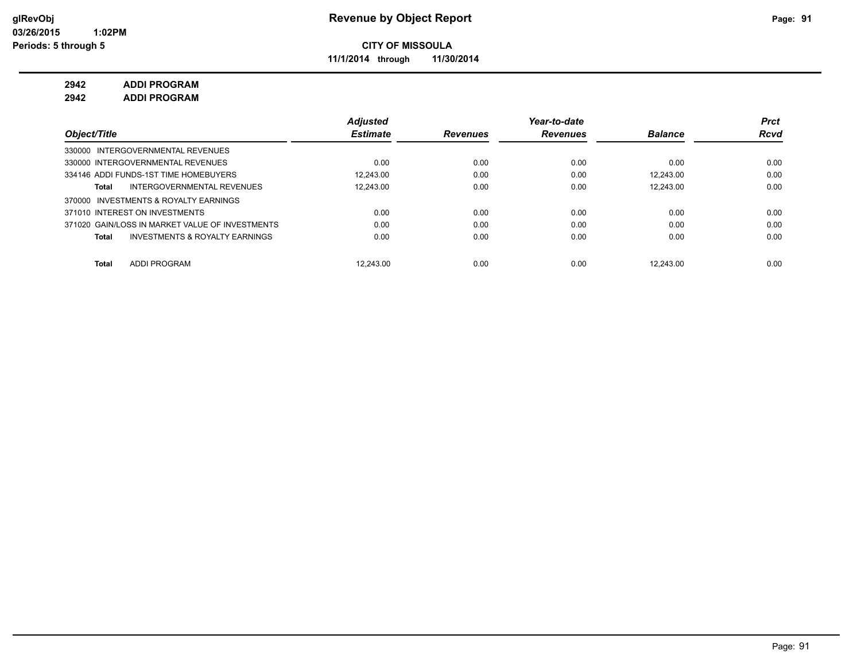**11/1/2014 through 11/30/2014**

# **2942 ADDI PROGRAM**

**2942 ADDI PROGRAM**

|                                                 | <b>Adjusted</b> |                 | Year-to-date    |                | <b>Prct</b> |
|-------------------------------------------------|-----------------|-----------------|-----------------|----------------|-------------|
| Object/Title                                    | <b>Estimate</b> | <b>Revenues</b> | <b>Revenues</b> | <b>Balance</b> | Rcvd        |
| 330000 INTERGOVERNMENTAL REVENUES               |                 |                 |                 |                |             |
| 330000 INTERGOVERNMENTAL REVENUES               | 0.00            | 0.00            | 0.00            | 0.00           | 0.00        |
| 334146 ADDI FUNDS-1ST TIME HOMEBUYERS           | 12.243.00       | 0.00            | 0.00            | 12.243.00      | 0.00        |
| INTERGOVERNMENTAL REVENUES<br>Total             | 12.243.00       | 0.00            | 0.00            | 12.243.00      | 0.00        |
| INVESTMENTS & ROYALTY EARNINGS<br>370000        |                 |                 |                 |                |             |
| 371010 INTEREST ON INVESTMENTS                  | 0.00            | 0.00            | 0.00            | 0.00           | 0.00        |
| 371020 GAIN/LOSS IN MARKET VALUE OF INVESTMENTS | 0.00            | 0.00            | 0.00            | 0.00           | 0.00        |
| INVESTMENTS & ROYALTY EARNINGS<br>Total         | 0.00            | 0.00            | 0.00            | 0.00           | 0.00        |
| <b>ADDI PROGRAM</b><br>Total                    | 12.243.00       | 0.00            | 0.00            | 12.243.00      | 0.00        |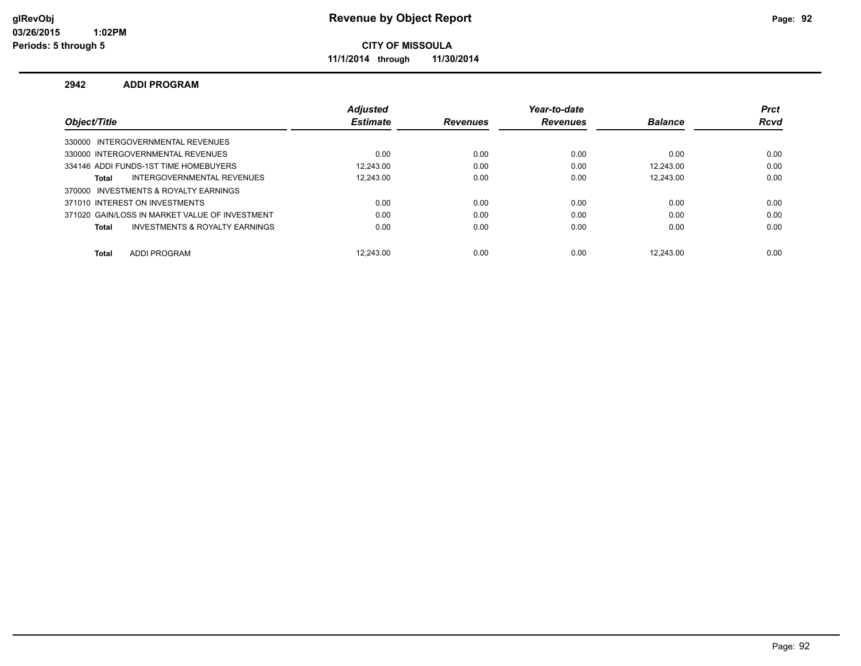# **glRevObj Revenue by Object Report Page: 92**

**CITY OF MISSOULA**

**11/1/2014 through 11/30/2014**

#### **2942 ADDI PROGRAM**

|                                                | <b>Adiusted</b> |                 | Year-to-date    |                | <b>Prct</b> |
|------------------------------------------------|-----------------|-----------------|-----------------|----------------|-------------|
| Object/Title                                   | <b>Estimate</b> | <b>Revenues</b> | <b>Revenues</b> | <b>Balance</b> | <b>Rcvd</b> |
| 330000 INTERGOVERNMENTAL REVENUES              |                 |                 |                 |                |             |
| 330000 INTERGOVERNMENTAL REVENUES              | 0.00            | 0.00            | 0.00            | 0.00           | 0.00        |
| 334146 ADDI FUNDS-1ST TIME HOMEBUYERS          | 12.243.00       | 0.00            | 0.00            | 12.243.00      | 0.00        |
| INTERGOVERNMENTAL REVENUES<br>Total            | 12.243.00       | 0.00            | 0.00            | 12.243.00      | 0.00        |
| 370000 INVESTMENTS & ROYALTY EARNINGS          |                 |                 |                 |                |             |
| 371010 INTEREST ON INVESTMENTS                 | 0.00            | 0.00            | 0.00            | 0.00           | 0.00        |
| 371020 GAIN/LOSS IN MARKET VALUE OF INVESTMENT | 0.00            | 0.00            | 0.00            | 0.00           | 0.00        |
| INVESTMENTS & ROYALTY EARNINGS<br>Total        | 0.00            | 0.00            | 0.00            | 0.00           | 0.00        |
|                                                |                 |                 |                 |                |             |
| <b>ADDI PROGRAM</b><br><b>Total</b>            | 12.243.00       | 0.00            | 0.00            | 12.243.00      | 0.00        |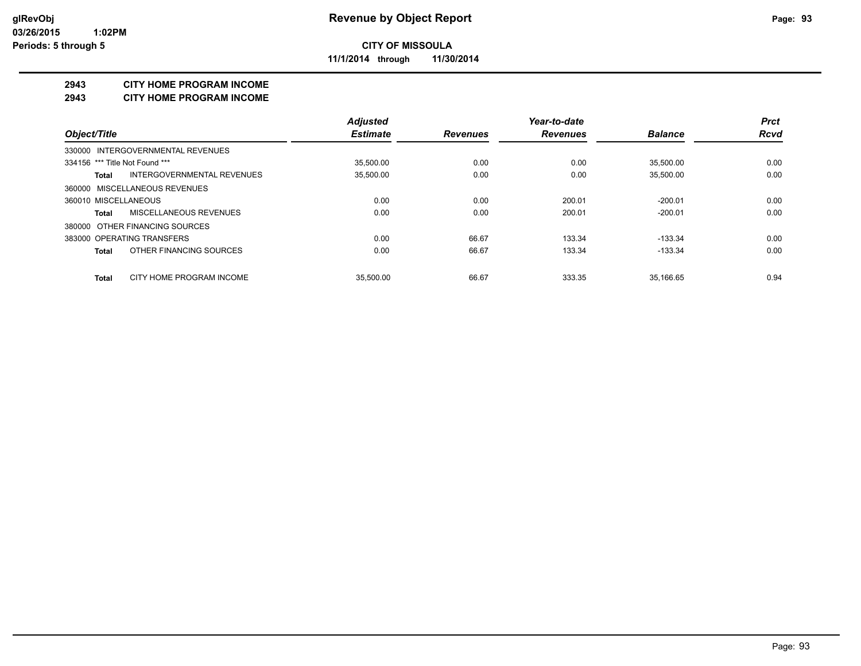**11/1/2014 through 11/30/2014**

#### **2943 CITY HOME PROGRAM INCOME**

#### **2943 CITY HOME PROGRAM INCOME**

|                                     | <b>Adjusted</b> |                 | Year-to-date    |                | <b>Prct</b> |
|-------------------------------------|-----------------|-----------------|-----------------|----------------|-------------|
| Object/Title                        | <b>Estimate</b> | <b>Revenues</b> | <b>Revenues</b> | <b>Balance</b> | <b>Rcvd</b> |
| 330000 INTERGOVERNMENTAL REVENUES   |                 |                 |                 |                |             |
| 334156 *** Title Not Found ***      | 35,500.00       | 0.00            | 0.00            | 35,500.00      | 0.00        |
| INTERGOVERNMENTAL REVENUES<br>Total | 35,500.00       | 0.00            | 0.00            | 35,500.00      | 0.00        |
| 360000 MISCELLANEOUS REVENUES       |                 |                 |                 |                |             |
| 360010 MISCELLANEOUS                | 0.00            | 0.00            | 200.01          | $-200.01$      | 0.00        |
| MISCELLANEOUS REVENUES<br>Total     | 0.00            | 0.00            | 200.01          | $-200.01$      | 0.00        |
| 380000 OTHER FINANCING SOURCES      |                 |                 |                 |                |             |
| 383000 OPERATING TRANSFERS          | 0.00            | 66.67           | 133.34          | $-133.34$      | 0.00        |
| OTHER FINANCING SOURCES<br>Total    | 0.00            | 66.67           | 133.34          | $-133.34$      | 0.00        |
| CITY HOME PROGRAM INCOME<br>Total   | 35.500.00       | 66.67           | 333.35          | 35.166.65      | 0.94        |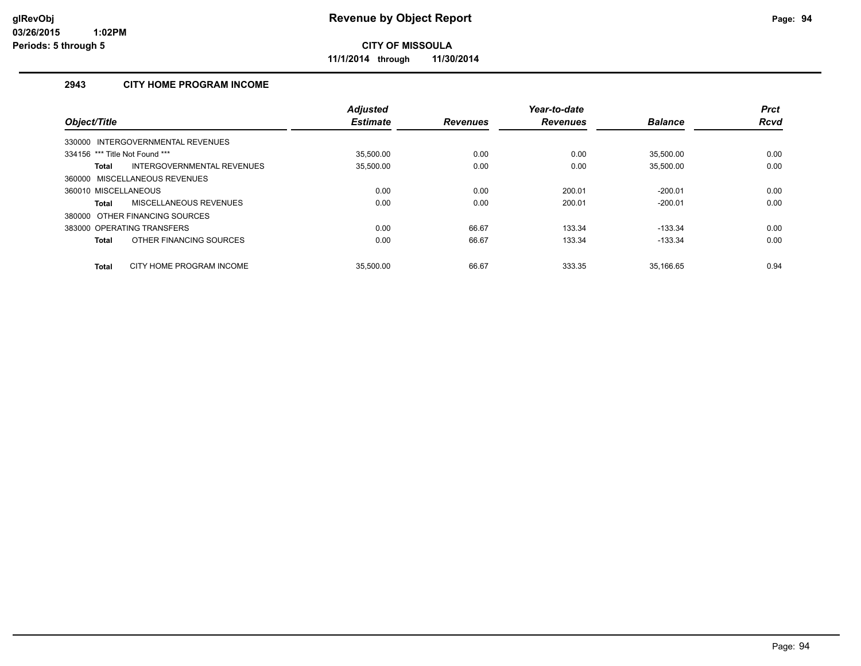**11/1/2014 through 11/30/2014**

## **2943 CITY HOME PROGRAM INCOME**

| Object/Title                   |                                   | <b>Adjusted</b><br><b>Estimate</b> | <b>Revenues</b> | Year-to-date<br><b>Revenues</b> | <b>Balance</b> | <b>Prct</b><br><b>Rcvd</b> |
|--------------------------------|-----------------------------------|------------------------------------|-----------------|---------------------------------|----------------|----------------------------|
|                                | 330000 INTERGOVERNMENTAL REVENUES |                                    |                 |                                 |                |                            |
| 334156 *** Title Not Found *** |                                   | 35.500.00                          | 0.00            | 0.00                            | 35.500.00      | 0.00                       |
| <b>Total</b>                   | INTERGOVERNMENTAL REVENUES        | 35,500.00                          | 0.00            | 0.00                            | 35.500.00      | 0.00                       |
|                                | 360000 MISCELLANEOUS REVENUES     |                                    |                 |                                 |                |                            |
| 360010 MISCELLANEOUS           |                                   | 0.00                               | 0.00            | 200.01                          | $-200.01$      | 0.00                       |
| <b>Total</b>                   | MISCELLANEOUS REVENUES            | 0.00                               | 0.00            | 200.01                          | $-200.01$      | 0.00                       |
|                                | 380000 OTHER FINANCING SOURCES    |                                    |                 |                                 |                |                            |
|                                | 383000 OPERATING TRANSFERS        | 0.00                               | 66.67           | 133.34                          | $-133.34$      | 0.00                       |
| <b>Total</b>                   | OTHER FINANCING SOURCES           | 0.00                               | 66.67           | 133.34                          | $-133.34$      | 0.00                       |
| <b>Total</b>                   | CITY HOME PROGRAM INCOME          | 35.500.00                          | 66.67           | 333.35                          | 35.166.65      | 0.94                       |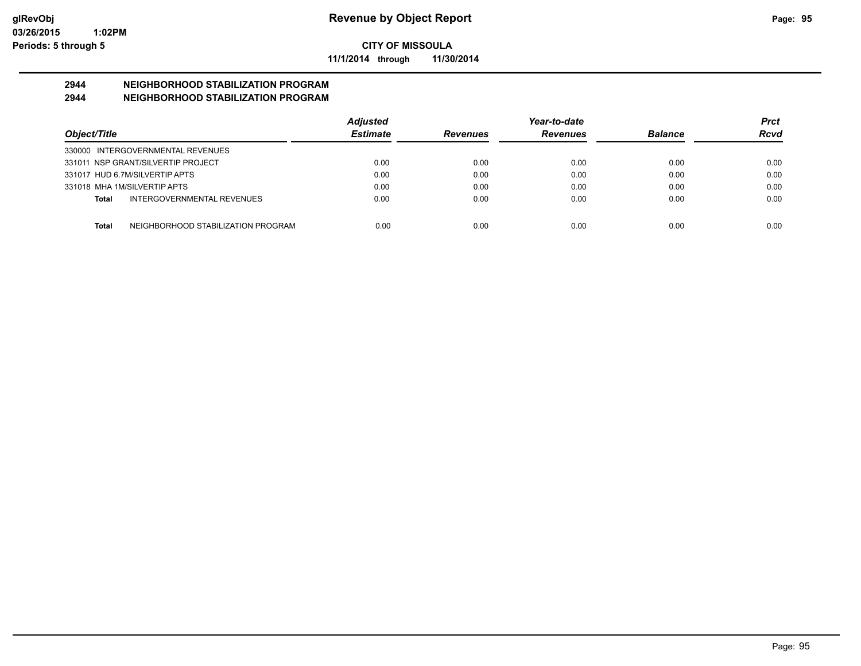**11/1/2014 through 11/30/2014**

# **2944 NEIGHBORHOOD STABILIZATION PROGRAM**

# **2944 NEIGHBORHOOD STABILIZATION PROGRAM**

|                                                    | <b>Adjusted</b> |                 | Year-to-date    |                | Prct |
|----------------------------------------------------|-----------------|-----------------|-----------------|----------------|------|
| Object/Title                                       | <b>Estimate</b> | <b>Revenues</b> | <b>Revenues</b> | <b>Balance</b> | Rcvd |
| 330000 INTERGOVERNMENTAL REVENUES                  |                 |                 |                 |                |      |
| 331011 NSP GRANT/SILVERTIP PROJECT                 | 0.00            | 0.00            | 0.00            | 0.00           | 0.00 |
| 331017 HUD 6.7M/SILVERTIP APTS                     | 0.00            | 0.00            | 0.00            | 0.00           | 0.00 |
| 331018 MHA 1M/SILVERTIP APTS                       | 0.00            | 0.00            | 0.00            | 0.00           | 0.00 |
| INTERGOVERNMENTAL REVENUES<br>Total                | 0.00            | 0.00            | 0.00            | 0.00           | 0.00 |
|                                                    |                 |                 |                 |                |      |
| NEIGHBORHOOD STABILIZATION PROGRAM<br><b>Total</b> | 0.00            | 0.00            | 0.00            | 0.00           | 0.00 |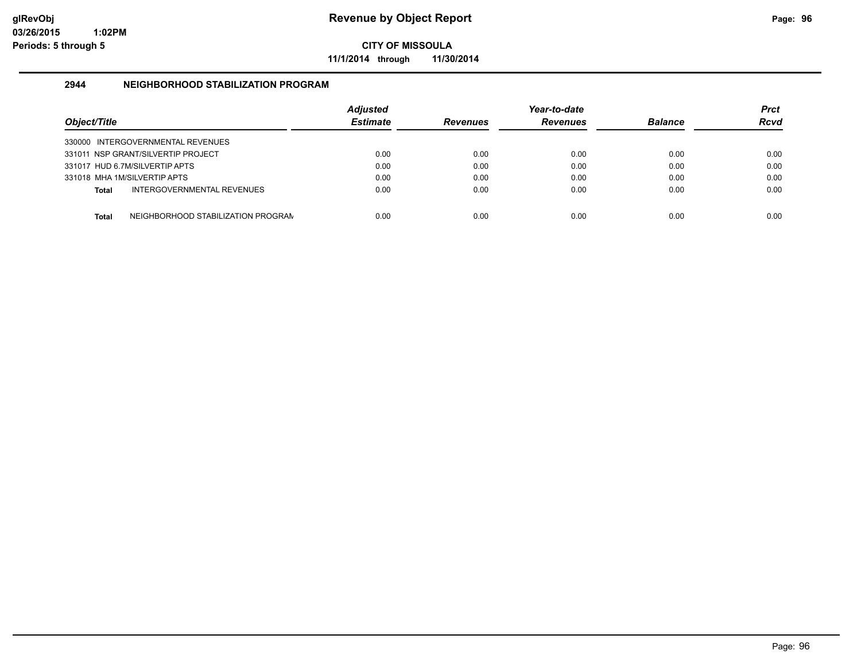**11/1/2014 through 11/30/2014**

#### **2944 NEIGHBORHOOD STABILIZATION PROGRAM**

| Object/Title |                                    | <b>Adjusted</b><br><b>Estimate</b> | <b>Revenues</b> | Year-to-date<br><b>Revenues</b> | <b>Balance</b> | Prct<br><b>Rcvd</b> |
|--------------|------------------------------------|------------------------------------|-----------------|---------------------------------|----------------|---------------------|
|              | 330000 INTERGOVERNMENTAL REVENUES  |                                    |                 |                                 |                |                     |
|              | 331011 NSP GRANT/SILVERTIP PROJECT | 0.00                               | 0.00            | 0.00                            | 0.00           | 0.00                |
|              | 331017 HUD 6.7M/SILVERTIP APTS     | 0.00                               | 0.00            | 0.00                            | 0.00           | 0.00                |
|              | 331018 MHA 1M/SILVERTIP APTS       | 0.00                               | 0.00            | 0.00                            | 0.00           | 0.00                |
| Total        | INTERGOVERNMENTAL REVENUES         | 0.00                               | 0.00            | 0.00                            | 0.00           | 0.00                |
| Total        | NEIGHBORHOOD STABILIZATION PROGRAN | 0.00                               | 0.00            | 0.00                            | 0.00           | 0.00                |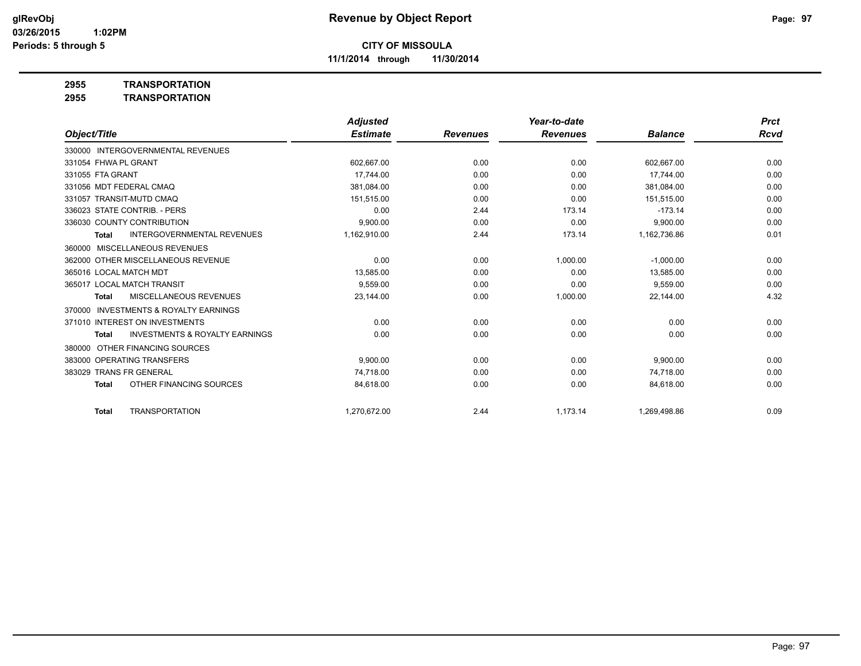**11/1/2014 through 11/30/2014**

# **2955 TRANSPORTATION**

**2955 TRANSPORTATION**

|                                                           | <b>Adjusted</b> |                 | Year-to-date    |                | <b>Prct</b> |
|-----------------------------------------------------------|-----------------|-----------------|-----------------|----------------|-------------|
| Object/Title                                              | <b>Estimate</b> | <b>Revenues</b> | <b>Revenues</b> | <b>Balance</b> | Rcvd        |
| 330000 INTERGOVERNMENTAL REVENUES                         |                 |                 |                 |                |             |
| 331054 FHWA PL GRANT                                      | 602,667.00      | 0.00            | 0.00            | 602,667.00     | 0.00        |
| 331055 FTA GRANT                                          | 17.744.00       | 0.00            | 0.00            | 17.744.00      | 0.00        |
| 331056 MDT FEDERAL CMAQ                                   | 381,084.00      | 0.00            | 0.00            | 381,084.00     | 0.00        |
| 331057 TRANSIT-MUTD CMAQ                                  | 151,515.00      | 0.00            | 0.00            | 151,515.00     | 0.00        |
| 336023 STATE CONTRIB. - PERS                              | 0.00            | 2.44            | 173.14          | $-173.14$      | 0.00        |
| 336030 COUNTY CONTRIBUTION                                | 9,900.00        | 0.00            | 0.00            | 9,900.00       | 0.00        |
| <b>INTERGOVERNMENTAL REVENUES</b><br><b>Total</b>         | 1,162,910.00    | 2.44            | 173.14          | 1,162,736.86   | 0.01        |
| 360000 MISCELLANEOUS REVENUES                             |                 |                 |                 |                |             |
| 362000 OTHER MISCELLANEOUS REVENUE                        | 0.00            | 0.00            | 1,000.00        | $-1,000.00$    | 0.00        |
| 365016 LOCAL MATCH MDT                                    | 13,585.00       | 0.00            | 0.00            | 13,585.00      | 0.00        |
| 365017 LOCAL MATCH TRANSIT                                | 9.559.00        | 0.00            | 0.00            | 9,559.00       | 0.00        |
| <b>MISCELLANEOUS REVENUES</b><br><b>Total</b>             | 23,144.00       | 0.00            | 1,000.00        | 22,144.00      | 4.32        |
| INVESTMENTS & ROYALTY EARNINGS<br>370000                  |                 |                 |                 |                |             |
| 371010 INTEREST ON INVESTMENTS                            | 0.00            | 0.00            | 0.00            | 0.00           | 0.00        |
| <b>INVESTMENTS &amp; ROYALTY EARNINGS</b><br><b>Total</b> | 0.00            | 0.00            | 0.00            | 0.00           | 0.00        |
| OTHER FINANCING SOURCES<br>380000                         |                 |                 |                 |                |             |
| 383000 OPERATING TRANSFERS                                | 9.900.00        | 0.00            | 0.00            | 9,900.00       | 0.00        |
| 383029 TRANS FR GENERAL                                   | 74.718.00       | 0.00            | 0.00            | 74.718.00      | 0.00        |
| OTHER FINANCING SOURCES<br><b>Total</b>                   | 84,618.00       | 0.00            | 0.00            | 84,618.00      | 0.00        |
| <b>TRANSPORTATION</b><br><b>Total</b>                     | 1.270.672.00    | 2.44            | 1,173.14        | 1,269,498.86   | 0.09        |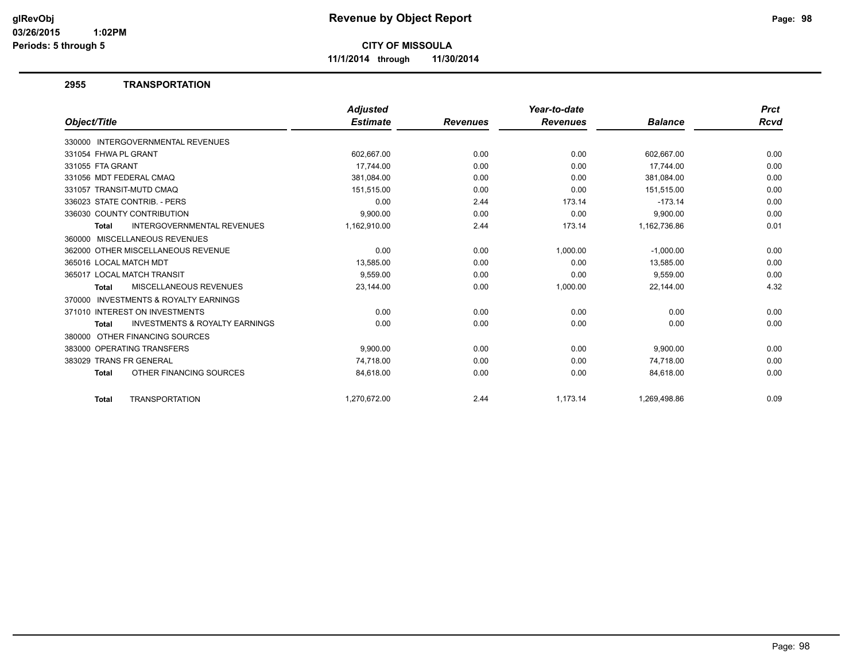**11/1/2014 through 11/30/2014**

#### **2955 TRANSPORTATION**

|                         |                                           | <b>Adjusted</b> |                 | Year-to-date    |                | <b>Prct</b> |
|-------------------------|-------------------------------------------|-----------------|-----------------|-----------------|----------------|-------------|
| Object/Title            |                                           | <b>Estimate</b> | <b>Revenues</b> | <b>Revenues</b> | <b>Balance</b> | Rcvd        |
|                         | 330000 INTERGOVERNMENTAL REVENUES         |                 |                 |                 |                |             |
| 331054 FHWA PL GRANT    |                                           | 602,667.00      | 0.00            | 0.00            | 602,667.00     | 0.00        |
| 331055 FTA GRANT        |                                           | 17.744.00       | 0.00            | 0.00            | 17.744.00      | 0.00        |
|                         | 331056 MDT FEDERAL CMAQ                   | 381,084.00      | 0.00            | 0.00            | 381,084.00     | 0.00        |
|                         | 331057 TRANSIT-MUTD CMAO                  | 151,515.00      | 0.00            | 0.00            | 151,515.00     | 0.00        |
|                         | 336023 STATE CONTRIB. - PERS              | 0.00            | 2.44            | 173.14          | $-173.14$      | 0.00        |
|                         | 336030 COUNTY CONTRIBUTION                | 9,900.00        | 0.00            | 0.00            | 9,900.00       | 0.00        |
| Total                   | <b>INTERGOVERNMENTAL REVENUES</b>         | 1,162,910.00    | 2.44            | 173.14          | 1,162,736.86   | 0.01        |
|                         | 360000 MISCELLANEOUS REVENUES             |                 |                 |                 |                |             |
|                         | 362000 OTHER MISCELLANEOUS REVENUE        | 0.00            | 0.00            | 1.000.00        | $-1,000.00$    | 0.00        |
| 365016 LOCAL MATCH MDT  |                                           | 13,585.00       | 0.00            | 0.00            | 13,585.00      | 0.00        |
|                         | 365017 LOCAL MATCH TRANSIT                | 9,559.00        | 0.00            | 0.00            | 9,559.00       | 0.00        |
| Total                   | <b>MISCELLANEOUS REVENUES</b>             | 23,144.00       | 0.00            | 1,000.00        | 22,144.00      | 4.32        |
|                         | 370000 INVESTMENTS & ROYALTY EARNINGS     |                 |                 |                 |                |             |
|                         | 371010 INTEREST ON INVESTMENTS            | 0.00            | 0.00            | 0.00            | 0.00           | 0.00        |
| <b>Total</b>            | <b>INVESTMENTS &amp; ROYALTY EARNINGS</b> | 0.00            | 0.00            | 0.00            | 0.00           | 0.00        |
|                         | 380000 OTHER FINANCING SOURCES            |                 |                 |                 |                |             |
|                         | 383000 OPERATING TRANSFERS                | 9,900.00        | 0.00            | 0.00            | 9,900.00       | 0.00        |
| 383029 TRANS FR GENERAL |                                           | 74,718.00       | 0.00            | 0.00            | 74.718.00      | 0.00        |
| Total                   | OTHER FINANCING SOURCES                   | 84,618.00       | 0.00            | 0.00            | 84,618.00      | 0.00        |
| <b>Total</b>            | <b>TRANSPORTATION</b>                     | 1.270.672.00    | 2.44            | 1,173.14        | 1,269,498.86   | 0.09        |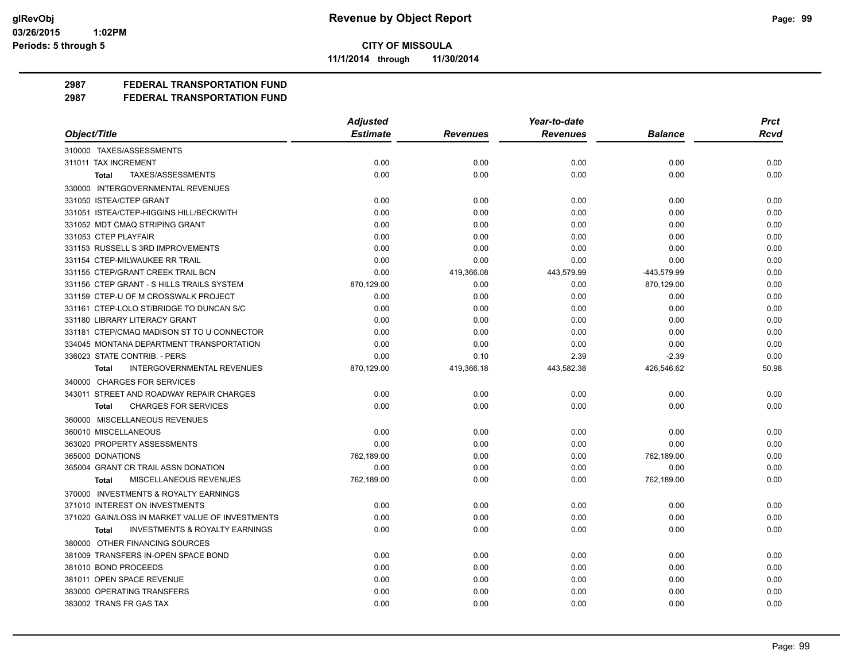**11/1/2014 through 11/30/2014**

**2987 FEDERAL TRANSPORTATION FUND**

|                                                           | <b>Adjusted</b> |                 | Year-to-date    |                | <b>Prct</b> |
|-----------------------------------------------------------|-----------------|-----------------|-----------------|----------------|-------------|
| Object/Title                                              | <b>Estimate</b> | <b>Revenues</b> | <b>Revenues</b> | <b>Balance</b> | <b>Rcvd</b> |
| 310000 TAXES/ASSESSMENTS                                  |                 |                 |                 |                |             |
| 311011 TAX INCREMENT                                      | 0.00            | 0.00            | 0.00            | 0.00           | 0.00        |
| TAXES/ASSESSMENTS<br>Total                                | 0.00            | 0.00            | 0.00            | 0.00           | 0.00        |
| 330000 INTERGOVERNMENTAL REVENUES                         |                 |                 |                 |                |             |
| 331050 ISTEA/CTEP GRANT                                   | 0.00            | 0.00            | 0.00            | 0.00           | 0.00        |
| 331051 ISTEA/CTEP-HIGGINS HILL/BECKWITH                   | 0.00            | 0.00            | 0.00            | 0.00           | 0.00        |
| 331052 MDT CMAQ STRIPING GRANT                            | 0.00            | 0.00            | 0.00            | 0.00           | 0.00        |
| 331053 CTEP PLAYFAIR                                      | 0.00            | 0.00            | 0.00            | 0.00           | 0.00        |
| 331153 RUSSELL S 3RD IMPROVEMENTS                         | 0.00            | 0.00            | 0.00            | 0.00           | 0.00        |
| 331154 CTEP-MILWAUKEE RR TRAIL                            | 0.00            | 0.00            | 0.00            | 0.00           | 0.00        |
| 331155 CTEP/GRANT CREEK TRAIL BCN                         | 0.00            | 419,366.08      | 443,579.99      | -443,579.99    | 0.00        |
| 331156 CTEP GRANT - S HILLS TRAILS SYSTEM                 | 870,129.00      | 0.00            | 0.00            | 870,129.00     | 0.00        |
| 331159 CTEP-U OF M CROSSWALK PROJECT                      | 0.00            | 0.00            | 0.00            | 0.00           | 0.00        |
| 331161 CTEP-LOLO ST/BRIDGE TO DUNCAN S/C                  | 0.00            | 0.00            | 0.00            | 0.00           | 0.00        |
| 331180 LIBRARY LITERACY GRANT                             | 0.00            | 0.00            | 0.00            | 0.00           | 0.00        |
| 331181 CTEP/CMAQ MADISON ST TO U CONNECTOR                | 0.00            | 0.00            | 0.00            | 0.00           | 0.00        |
| 334045 MONTANA DEPARTMENT TRANSPORTATION                  | 0.00            | 0.00            | 0.00            | 0.00           | 0.00        |
| 336023 STATE CONTRIB. - PERS                              | 0.00            | 0.10            | 2.39            | $-2.39$        | 0.00        |
| <b>INTERGOVERNMENTAL REVENUES</b><br><b>Total</b>         | 870,129.00      | 419,366.18      | 443,582.38      | 426,546.62     | 50.98       |
| 340000 CHARGES FOR SERVICES                               |                 |                 |                 |                |             |
| 343011 STREET AND ROADWAY REPAIR CHARGES                  | 0.00            | 0.00            | 0.00            | 0.00           | 0.00        |
| <b>CHARGES FOR SERVICES</b><br><b>Total</b>               | 0.00            | 0.00            | 0.00            | 0.00           | 0.00        |
| 360000 MISCELLANEOUS REVENUES                             |                 |                 |                 |                |             |
| 360010 MISCELLANEOUS                                      | 0.00            | 0.00            | 0.00            | 0.00           | 0.00        |
| 363020 PROPERTY ASSESSMENTS                               | 0.00            | 0.00            | 0.00            | 0.00           | 0.00        |
| 365000 DONATIONS                                          | 762,189.00      | 0.00            | 0.00            | 762,189.00     | 0.00        |
| 365004 GRANT CR TRAIL ASSN DONATION                       | 0.00            | 0.00            | 0.00            | 0.00           | 0.00        |
| MISCELLANEOUS REVENUES<br>Total                           | 762,189.00      | 0.00            | 0.00            | 762,189.00     | 0.00        |
| 370000 INVESTMENTS & ROYALTY EARNINGS                     |                 |                 |                 |                |             |
| 371010 INTEREST ON INVESTMENTS                            | 0.00            | 0.00            | 0.00            | 0.00           | 0.00        |
| 371020 GAIN/LOSS IN MARKET VALUE OF INVESTMENTS           | 0.00            | 0.00            | 0.00            | 0.00           | 0.00        |
| <b>INVESTMENTS &amp; ROYALTY EARNINGS</b><br><b>Total</b> | 0.00            | 0.00            | 0.00            | 0.00           | 0.00        |
| 380000 OTHER FINANCING SOURCES                            |                 |                 |                 |                |             |
| 381009 TRANSFERS IN-OPEN SPACE BOND                       | 0.00            | 0.00            | 0.00            | 0.00           | 0.00        |
| 381010 BOND PROCEEDS                                      | 0.00            | 0.00            | 0.00            | 0.00           | 0.00        |
| 381011 OPEN SPACE REVENUE                                 | 0.00            | 0.00            | 0.00            | 0.00           | 0.00        |
| 383000 OPERATING TRANSFERS                                | 0.00            | 0.00            | 0.00            | 0.00           | 0.00        |
| 383002 TRANS FR GAS TAX                                   | 0.00            | 0.00            | 0.00            | 0.00           | 0.00        |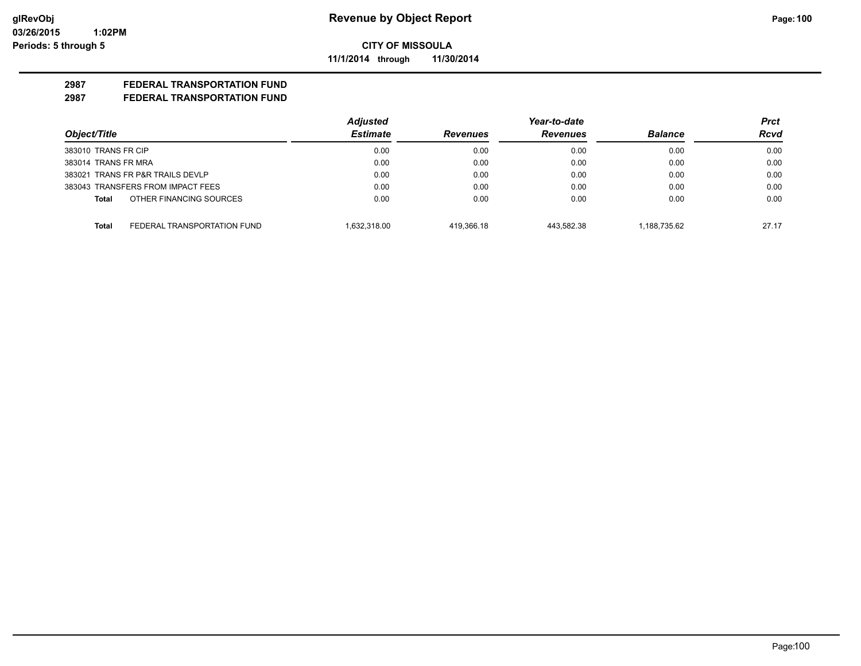**11/1/2014 through 11/30/2014**

# **2987 FEDERAL TRANSPORTATION FUND**

|                                      | <b>Adjusted</b> |                 | Year-to-date    |                | Prct  |
|--------------------------------------|-----------------|-----------------|-----------------|----------------|-------|
| Object/Title                         | <b>Estimate</b> | <b>Revenues</b> | <b>Revenues</b> | <b>Balance</b> | Rcvd  |
| 383010 TRANS FR CIP                  | 0.00            | 0.00            | 0.00            | 0.00           | 0.00  |
| 383014 TRANS FR MRA                  | 0.00            | 0.00            | 0.00            | 0.00           | 0.00  |
| 383021 TRANS FR P&R TRAILS DEVLP     | 0.00            | 0.00            | 0.00            | 0.00           | 0.00  |
| 383043 TRANSFERS FROM IMPACT FEES    | 0.00            | 0.00            | 0.00            | 0.00           | 0.00  |
| OTHER FINANCING SOURCES<br>Total     | 0.00            | 0.00            | 0.00            | 0.00           | 0.00  |
| FEDERAL TRANSPORTATION FUND<br>Total | 1.632.318.00    | 419.366.18      | 443.582.38      | 1.188.735.62   | 27.17 |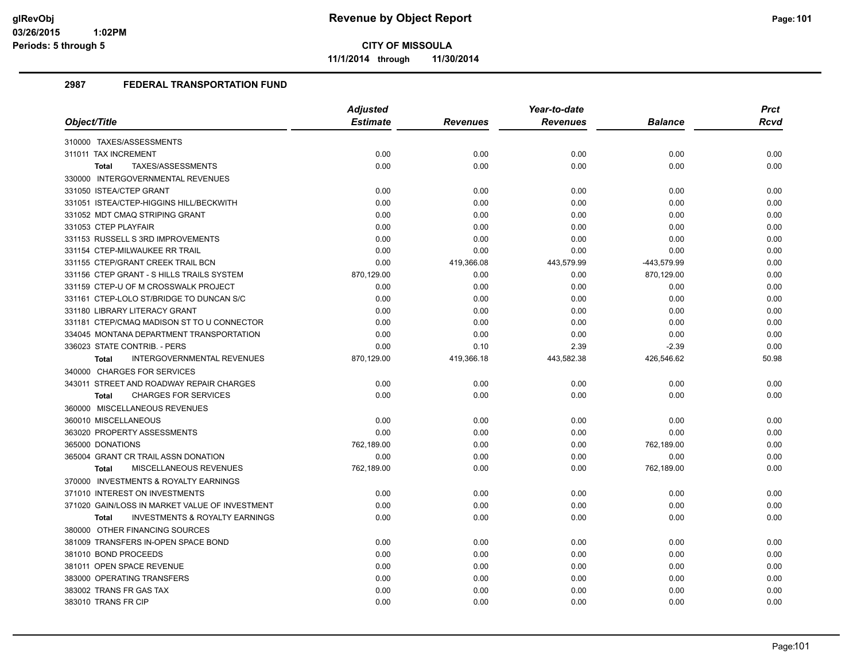**11/1/2014 through 11/30/2014**

|                                                           | <b>Adjusted</b> |                 | Year-to-date    |                | <b>Prct</b> |
|-----------------------------------------------------------|-----------------|-----------------|-----------------|----------------|-------------|
| Object/Title                                              | <b>Estimate</b> | <b>Revenues</b> | <b>Revenues</b> | <b>Balance</b> | Rcvd        |
| 310000 TAXES/ASSESSMENTS                                  |                 |                 |                 |                |             |
| 311011 TAX INCREMENT                                      | 0.00            | 0.00            | 0.00            | 0.00           | 0.00        |
| TAXES/ASSESSMENTS<br><b>Total</b>                         | 0.00            | 0.00            | 0.00            | 0.00           | 0.00        |
| 330000 INTERGOVERNMENTAL REVENUES                         |                 |                 |                 |                |             |
| 331050 ISTEA/CTEP GRANT                                   | 0.00            | 0.00            | 0.00            | 0.00           | 0.00        |
| 331051 ISTEA/CTEP-HIGGINS HILL/BECKWITH                   | 0.00            | 0.00            | 0.00            | 0.00           | 0.00        |
| 331052 MDT CMAQ STRIPING GRANT                            | 0.00            | 0.00            | 0.00            | 0.00           | 0.00        |
| 331053 CTEP PLAYFAIR                                      | 0.00            | 0.00            | 0.00            | 0.00           | 0.00        |
| 331153 RUSSELL S 3RD IMPROVEMENTS                         | 0.00            | 0.00            | 0.00            | 0.00           | 0.00        |
| 331154 CTEP-MILWAUKEE RR TRAIL                            | 0.00            | 0.00            | 0.00            | 0.00           | 0.00        |
| 331155 CTEP/GRANT CREEK TRAIL BCN                         | 0.00            | 419,366.08      | 443,579.99      | -443,579.99    | 0.00        |
| 331156 CTEP GRANT - S HILLS TRAILS SYSTEM                 | 870,129.00      | 0.00            | 0.00            | 870,129.00     | 0.00        |
| 331159 CTEP-U OF M CROSSWALK PROJECT                      | 0.00            | 0.00            | 0.00            | 0.00           | 0.00        |
| 331161 CTEP-LOLO ST/BRIDGE TO DUNCAN S/C                  | 0.00            | 0.00            | 0.00            | 0.00           | 0.00        |
| 331180 LIBRARY LITERACY GRANT                             | 0.00            | 0.00            | 0.00            | 0.00           | 0.00        |
| 331181 CTEP/CMAQ MADISON ST TO U CONNECTOR                | 0.00            | 0.00            | 0.00            | 0.00           | 0.00        |
| 334045 MONTANA DEPARTMENT TRANSPORTATION                  | 0.00            | 0.00            | 0.00            | 0.00           | 0.00        |
| 336023 STATE CONTRIB. - PERS                              | 0.00            | 0.10            | 2.39            | $-2.39$        | 0.00        |
| <b>INTERGOVERNMENTAL REVENUES</b><br><b>Total</b>         | 870,129.00      | 419,366.18      | 443,582.38      | 426,546.62     | 50.98       |
| 340000 CHARGES FOR SERVICES                               |                 |                 |                 |                |             |
| 343011 STREET AND ROADWAY REPAIR CHARGES                  | 0.00            | 0.00            | 0.00            | 0.00           | 0.00        |
| <b>CHARGES FOR SERVICES</b><br><b>Total</b>               | 0.00            | 0.00            | 0.00            | 0.00           | 0.00        |
| 360000 MISCELLANEOUS REVENUES                             |                 |                 |                 |                |             |
| 360010 MISCELLANEOUS                                      | 0.00            | 0.00            | 0.00            | 0.00           | 0.00        |
| 363020 PROPERTY ASSESSMENTS                               | 0.00            | 0.00            | 0.00            | 0.00           | 0.00        |
| 365000 DONATIONS                                          | 762,189.00      | 0.00            | 0.00            | 762,189.00     | 0.00        |
| 365004 GRANT CR TRAIL ASSN DONATION                       | 0.00            | 0.00            | 0.00            | 0.00           | 0.00        |
| MISCELLANEOUS REVENUES<br><b>Total</b>                    | 762,189.00      | 0.00            | 0.00            | 762,189.00     | 0.00        |
| 370000 INVESTMENTS & ROYALTY EARNINGS                     |                 |                 |                 |                |             |
| 371010 INTEREST ON INVESTMENTS                            | 0.00            | 0.00            | 0.00            | 0.00           | 0.00        |
| 371020 GAIN/LOSS IN MARKET VALUE OF INVESTMENT            | 0.00            | 0.00            | 0.00            | 0.00           | 0.00        |
| <b>INVESTMENTS &amp; ROYALTY EARNINGS</b><br><b>Total</b> | 0.00            | 0.00            | 0.00            | 0.00           | 0.00        |
| 380000 OTHER FINANCING SOURCES                            |                 |                 |                 |                |             |
| 381009 TRANSFERS IN-OPEN SPACE BOND                       | 0.00            | 0.00            | 0.00            | 0.00           | 0.00        |
| 381010 BOND PROCEEDS                                      | 0.00            | 0.00            | 0.00            | 0.00           | 0.00        |
| 381011 OPEN SPACE REVENUE                                 | 0.00            | 0.00            | 0.00            | 0.00           | 0.00        |
| 383000 OPERATING TRANSFERS                                | 0.00            | 0.00            | 0.00            | 0.00           | 0.00        |
| 383002 TRANS FR GAS TAX                                   | 0.00            | 0.00            | 0.00            | 0.00           | 0.00        |
| 383010 TRANS FR CIP                                       | 0.00            | 0.00            | 0.00            | 0.00           | 0.00        |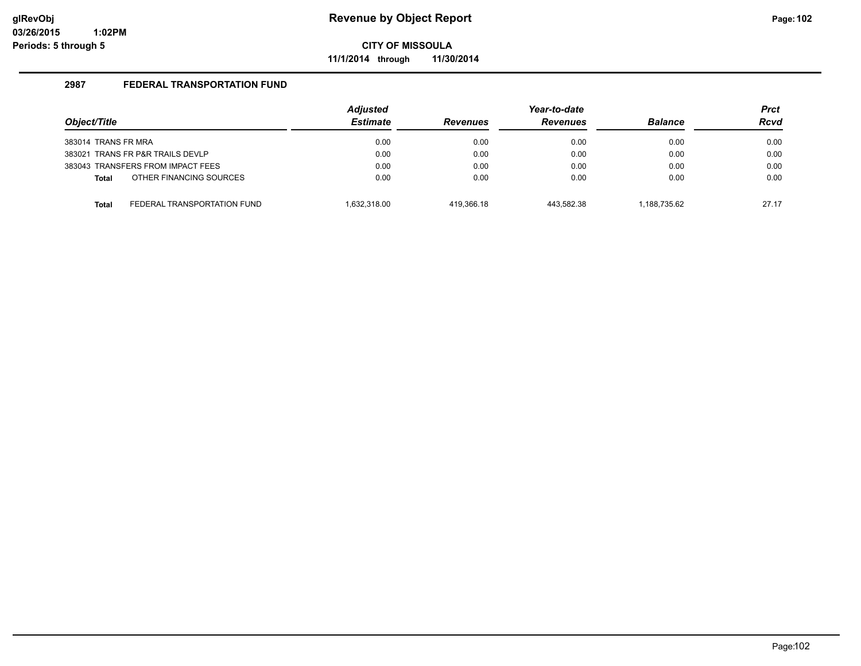**11/1/2014 through 11/30/2014**

|                     |                                   | <b>Adjusted</b> |                 | Year-to-date    |                | <b>Prct</b> |
|---------------------|-----------------------------------|-----------------|-----------------|-----------------|----------------|-------------|
| Object/Title        |                                   | <b>Estimate</b> | <b>Revenues</b> | <b>Revenues</b> | <b>Balance</b> | Rcvd        |
| 383014 TRANS FR MRA |                                   | 0.00            | 0.00            | 0.00            | 0.00           | 0.00        |
|                     | 383021 TRANS FR P&R TRAILS DEVLP  | 0.00            | 0.00            | 0.00            | 0.00           | 0.00        |
|                     | 383043 TRANSFERS FROM IMPACT FEES | 0.00            | 0.00            | 0.00            | 0.00           | 0.00        |
| <b>Total</b>        | OTHER FINANCING SOURCES           | 0.00            | 0.00            | 0.00            | 0.00           | 0.00        |
| <b>Total</b>        | FEDERAL TRANSPORTATION FUND       | 1,632,318.00    | 419.366.18      | 443.582.38      | 1.188.735.62   | 27.17       |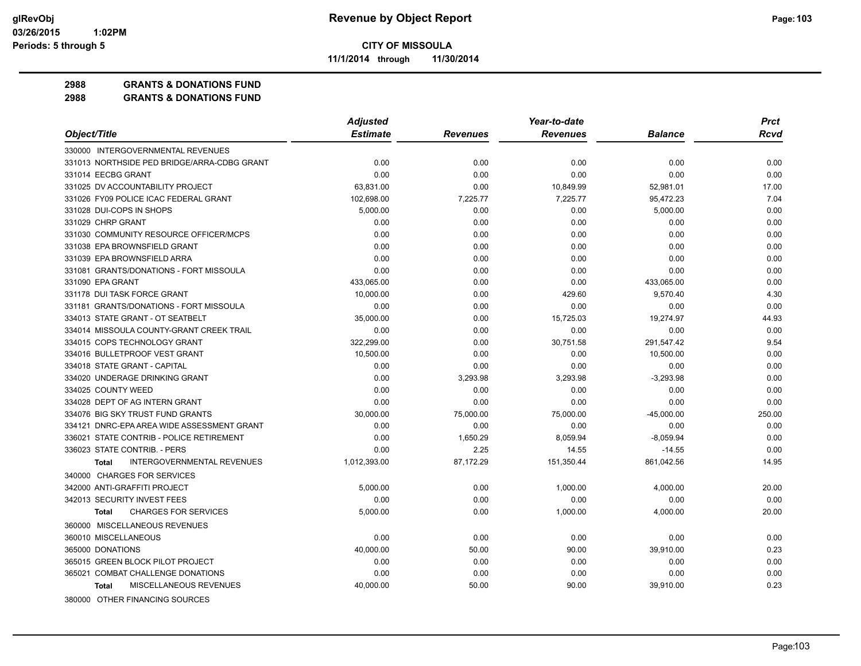**11/1/2014 through 11/30/2014**

**2988 GRANTS & DONATIONS FUND**

|                                                   | <b>Adjusted</b> |                 | Year-to-date    |                | <b>Prct</b> |
|---------------------------------------------------|-----------------|-----------------|-----------------|----------------|-------------|
| Object/Title                                      | <b>Estimate</b> | <b>Revenues</b> | <b>Revenues</b> | <b>Balance</b> | <b>Rcvd</b> |
| 330000 INTERGOVERNMENTAL REVENUES                 |                 |                 |                 |                |             |
| 331013 NORTHSIDE PED BRIDGE/ARRA-CDBG GRANT       | 0.00            | 0.00            | 0.00            | 0.00           | 0.00        |
| 331014 EECBG GRANT                                | 0.00            | 0.00            | 0.00            | 0.00           | 0.00        |
| 331025 DV ACCOUNTABILITY PROJECT                  | 63,831.00       | 0.00            | 10,849.99       | 52,981.01      | 17.00       |
| 331026 FY09 POLICE ICAC FEDERAL GRANT             | 102,698.00      | 7,225.77        | 7,225.77        | 95,472.23      | 7.04        |
| 331028 DUI-COPS IN SHOPS                          | 5,000.00        | 0.00            | 0.00            | 5,000.00       | 0.00        |
| 331029 CHRP GRANT                                 | 0.00            | 0.00            | 0.00            | 0.00           | 0.00        |
| 331030 COMMUNITY RESOURCE OFFICER/MCPS            | 0.00            | 0.00            | 0.00            | 0.00           | 0.00        |
| 331038 EPA BROWNSFIELD GRANT                      | 0.00            | 0.00            | 0.00            | 0.00           | 0.00        |
| 331039 EPA BROWNSFIELD ARRA                       | 0.00            | 0.00            | 0.00            | 0.00           | 0.00        |
| 331081 GRANTS/DONATIONS - FORT MISSOULA           | 0.00            | 0.00            | 0.00            | 0.00           | 0.00        |
| 331090 EPA GRANT                                  | 433,065.00      | 0.00            | 0.00            | 433,065.00     | 0.00        |
| 331178 DUI TASK FORCE GRANT                       | 10,000.00       | 0.00            | 429.60          | 9,570.40       | 4.30        |
| 331181 GRANTS/DONATIONS - FORT MISSOULA           | 0.00            | 0.00            | 0.00            | 0.00           | 0.00        |
| 334013 STATE GRANT - OT SEATBELT                  | 35,000.00       | 0.00            | 15,725.03       | 19,274.97      | 44.93       |
| 334014 MISSOULA COUNTY-GRANT CREEK TRAIL          | 0.00            | 0.00            | 0.00            | 0.00           | 0.00        |
| 334015 COPS TECHNOLOGY GRANT                      | 322,299.00      | 0.00            | 30,751.58       | 291,547.42     | 9.54        |
| 334016 BULLETPROOF VEST GRANT                     | 10,500.00       | 0.00            | 0.00            | 10,500.00      | 0.00        |
| 334018 STATE GRANT - CAPITAL                      | 0.00            | 0.00            | 0.00            | 0.00           | 0.00        |
| 334020 UNDERAGE DRINKING GRANT                    | 0.00            | 3,293.98        | 3,293.98        | $-3,293.98$    | 0.00        |
| 334025 COUNTY WEED                                | 0.00            | 0.00            | 0.00            | 0.00           | 0.00        |
| 334028 DEPT OF AG INTERN GRANT                    | 0.00            | 0.00            | 0.00            | 0.00           | 0.00        |
| 334076 BIG SKY TRUST FUND GRANTS                  | 30,000.00       | 75,000.00       | 75,000.00       | $-45,000.00$   | 250.00      |
| 334121 DNRC-EPA AREA WIDE ASSESSMENT GRANT        | 0.00            | 0.00            | 0.00            | 0.00           | 0.00        |
| 336021 STATE CONTRIB - POLICE RETIREMENT          | 0.00            | 1,650.29        | 8,059.94        | $-8,059.94$    | 0.00        |
| 336023 STATE CONTRIB. - PERS                      | 0.00            | 2.25            | 14.55           | $-14.55$       | 0.00        |
| <b>INTERGOVERNMENTAL REVENUES</b><br><b>Total</b> | 1,012,393.00    | 87,172.29       | 151,350.44      | 861,042.56     | 14.95       |
| 340000 CHARGES FOR SERVICES                       |                 |                 |                 |                |             |
| 342000 ANTI-GRAFFITI PROJECT                      | 5.000.00        | 0.00            | 1,000.00        | 4,000.00       | 20.00       |
| 342013 SECURITY INVEST FEES                       | 0.00            | 0.00            | 0.00            | 0.00           | 0.00        |
| <b>CHARGES FOR SERVICES</b><br>Total              | 5.000.00        | 0.00            | 1,000.00        | 4,000.00       | 20.00       |
| 360000 MISCELLANEOUS REVENUES                     |                 |                 |                 |                |             |
| 360010 MISCELLANEOUS                              | 0.00            | 0.00            | 0.00            | 0.00           | 0.00        |
| 365000 DONATIONS                                  | 40,000.00       | 50.00           | 90.00           | 39,910.00      | 0.23        |
| 365015 GREEN BLOCK PILOT PROJECT                  | 0.00            | 0.00            | 0.00            | 0.00           | 0.00        |
| 365021 COMBAT CHALLENGE DONATIONS                 | 0.00            | 0.00            | 0.00            | 0.00           | 0.00        |
| MISCELLANEOUS REVENUES<br><b>Total</b>            | 40,000.00       | 50.00           | 90.00           | 39,910.00      | 0.23        |
| 380000 OTHER FINANCING SOURCES                    |                 |                 |                 |                |             |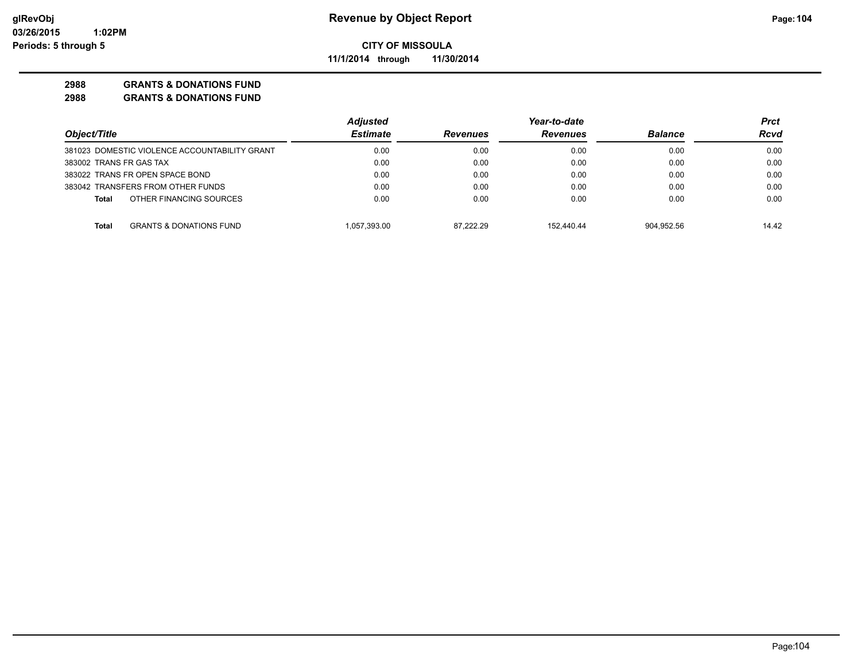**11/1/2014 through 11/30/2014**

#### **2988 GRANTS & DONATIONS FUND**

|                                               | <b>Adjusted</b> |                 | Year-to-date    |                | Prct  |
|-----------------------------------------------|-----------------|-----------------|-----------------|----------------|-------|
| Object/Title                                  | <b>Estimate</b> | <b>Revenues</b> | <b>Revenues</b> | <b>Balance</b> | Rcvd  |
| 381023 DOMESTIC VIOLENCE ACCOUNTABILITY GRANT | 0.00            | 0.00            | 0.00            | 0.00           | 0.00  |
| 383002 TRANS FR GAS TAX                       | 0.00            | 0.00            | 0.00            | 0.00           | 0.00  |
| 383022 TRANS FR OPEN SPACE BOND               | 0.00            | 0.00            | 0.00            | 0.00           | 0.00  |
| 383042 TRANSFERS FROM OTHER FUNDS             | 0.00            | 0.00            | 0.00            | 0.00           | 0.00  |
| OTHER FINANCING SOURCES<br>Total              | 0.00            | 0.00            | 0.00            | 0.00           | 0.00  |
| <b>GRANTS &amp; DONATIONS FUND</b><br>Total   | 1.057.393.00    | 87.222.29       | 152.440.44      | 904.952.56     | 14.42 |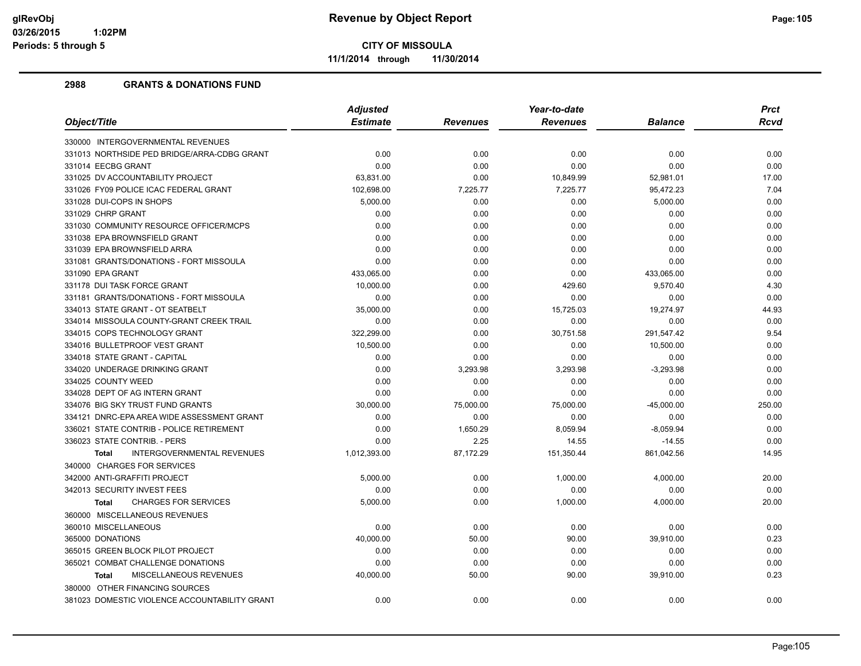**11/1/2014 through 11/30/2014**

|                                                   | <b>Adjusted</b> |                 | Year-to-date    |                | <b>Prct</b> |
|---------------------------------------------------|-----------------|-----------------|-----------------|----------------|-------------|
| Object/Title                                      | <b>Estimate</b> | <b>Revenues</b> | <b>Revenues</b> | <b>Balance</b> | Rcvd        |
| 330000 INTERGOVERNMENTAL REVENUES                 |                 |                 |                 |                |             |
| 331013 NORTHSIDE PED BRIDGE/ARRA-CDBG GRANT       | 0.00            | 0.00            | 0.00            | 0.00           | 0.00        |
| 331014 EECBG GRANT                                | 0.00            | 0.00            | 0.00            | 0.00           | 0.00        |
| 331025 DV ACCOUNTABILITY PROJECT                  | 63,831.00       | 0.00            | 10,849.99       | 52,981.01      | 17.00       |
| 331026 FY09 POLICE ICAC FEDERAL GRANT             | 102,698.00      | 7,225.77        | 7,225.77        | 95,472.23      | 7.04        |
| 331028 DUI-COPS IN SHOPS                          | 5,000.00        | 0.00            | 0.00            | 5,000.00       | 0.00        |
| 331029 CHRP GRANT                                 | 0.00            | 0.00            | 0.00            | 0.00           | 0.00        |
| 331030 COMMUNITY RESOURCE OFFICER/MCPS            | 0.00            | 0.00            | 0.00            | 0.00           | 0.00        |
| 331038 EPA BROWNSFIELD GRANT                      | 0.00            | 0.00            | 0.00            | 0.00           | 0.00        |
| 331039 EPA BROWNSFIELD ARRA                       | 0.00            | 0.00            | 0.00            | 0.00           | 0.00        |
| 331081 GRANTS/DONATIONS - FORT MISSOULA           | 0.00            | 0.00            | 0.00            | 0.00           | 0.00        |
| 331090 EPA GRANT                                  | 433,065.00      | 0.00            | 0.00            | 433,065.00     | 0.00        |
| 331178 DUI TASK FORCE GRANT                       | 10,000.00       | 0.00            | 429.60          | 9,570.40       | 4.30        |
| 331181 GRANTS/DONATIONS - FORT MISSOULA           | 0.00            | 0.00            | 0.00            | 0.00           | 0.00        |
| 334013 STATE GRANT - OT SEATBELT                  | 35,000.00       | 0.00            | 15,725.03       | 19,274.97      | 44.93       |
| 334014 MISSOULA COUNTY-GRANT CREEK TRAIL          | 0.00            | 0.00            | 0.00            | 0.00           | 0.00        |
| 334015 COPS TECHNOLOGY GRANT                      | 322,299.00      | 0.00            | 30,751.58       | 291,547.42     | 9.54        |
| 334016 BULLETPROOF VEST GRANT                     | 10,500.00       | 0.00            | 0.00            | 10,500.00      | 0.00        |
| 334018 STATE GRANT - CAPITAL                      | 0.00            | 0.00            | 0.00            | 0.00           | 0.00        |
| 334020 UNDERAGE DRINKING GRANT                    | 0.00            | 3,293.98        | 3,293.98        | $-3,293.98$    | 0.00        |
| 334025 COUNTY WEED                                | 0.00            | 0.00            | 0.00            | 0.00           | 0.00        |
| 334028 DEPT OF AG INTERN GRANT                    | 0.00            | 0.00            | 0.00            | 0.00           | 0.00        |
| 334076 BIG SKY TRUST FUND GRANTS                  | 30,000.00       | 75,000.00       | 75,000.00       | $-45,000.00$   | 250.00      |
| 334121 DNRC-EPA AREA WIDE ASSESSMENT GRANT        | 0.00            | 0.00            | 0.00            | 0.00           | 0.00        |
| 336021 STATE CONTRIB - POLICE RETIREMENT          | 0.00            | 1,650.29        | 8,059.94        | $-8,059.94$    | 0.00        |
| 336023 STATE CONTRIB. - PERS                      | 0.00            | 2.25            | 14.55           | $-14.55$       | 0.00        |
| <b>INTERGOVERNMENTAL REVENUES</b><br><b>Total</b> | 1,012,393.00    | 87,172.29       | 151,350.44      | 861,042.56     | 14.95       |
| 340000 CHARGES FOR SERVICES                       |                 |                 |                 |                |             |
| 342000 ANTI-GRAFFITI PROJECT                      | 5,000.00        | 0.00            | 1,000.00        | 4,000.00       | 20.00       |
| 342013 SECURITY INVEST FEES                       | 0.00            | 0.00            | 0.00            | 0.00           | 0.00        |
| <b>CHARGES FOR SERVICES</b><br><b>Total</b>       | 5,000.00        | 0.00            | 1,000.00        | 4,000.00       | 20.00       |
| 360000 MISCELLANEOUS REVENUES                     |                 |                 |                 |                |             |
| 360010 MISCELLANEOUS                              | 0.00            | 0.00            | 0.00            | 0.00           | 0.00        |
| 365000 DONATIONS                                  | 40,000.00       | 50.00           | 90.00           | 39,910.00      | 0.23        |
| 365015 GREEN BLOCK PILOT PROJECT                  | 0.00            | 0.00            | 0.00            | 0.00           | 0.00        |
| 365021 COMBAT CHALLENGE DONATIONS                 | 0.00            | 0.00            | 0.00            | 0.00           | 0.00        |
| MISCELLANEOUS REVENUES<br><b>Total</b>            | 40,000.00       | 50.00           | 90.00           | 39,910.00      | 0.23        |
| 380000 OTHER FINANCING SOURCES                    |                 |                 |                 |                |             |
| 381023 DOMESTIC VIOLENCE ACCOUNTABILITY GRANT     | 0.00            | 0.00            | 0.00            | 0.00           | 0.00        |
|                                                   |                 |                 |                 |                |             |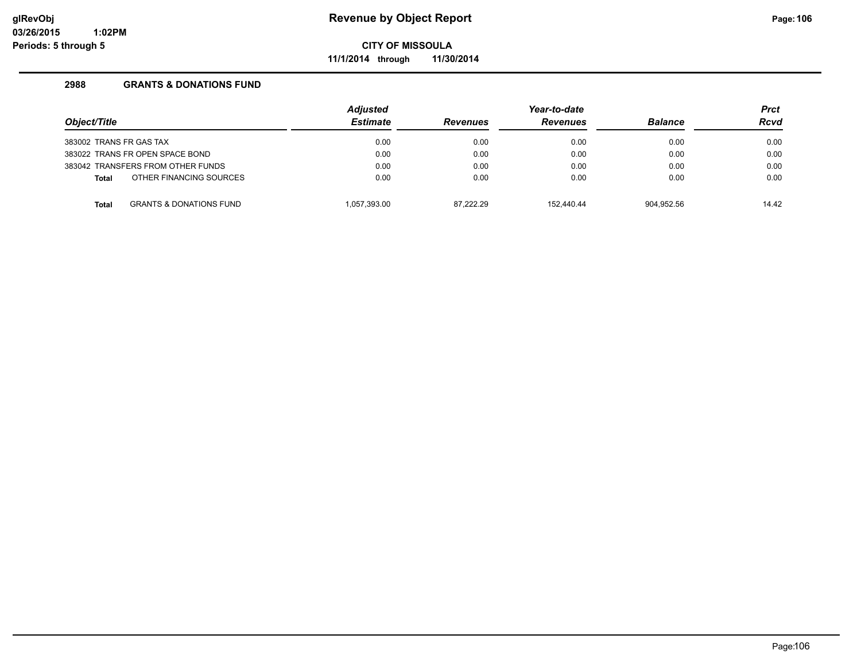**11/1/2014 through 11/30/2014**

|                                                    |  | <b>Adjusted</b> | Year-to-date    |                 |                | <b>Prct</b> |
|----------------------------------------------------|--|-----------------|-----------------|-----------------|----------------|-------------|
| Object/Title                                       |  | <b>Estimate</b> | <b>Revenues</b> | <b>Revenues</b> | <b>Balance</b> | <b>Rcvd</b> |
| 383002 TRANS FR GAS TAX                            |  | 0.00            | 0.00            | 0.00            | 0.00           | 0.00        |
| 383022 TRANS FR OPEN SPACE BOND                    |  | 0.00            | 0.00            | 0.00            | 0.00           | 0.00        |
| 383042 TRANSFERS FROM OTHER FUNDS                  |  | 0.00            | 0.00            | 0.00            | 0.00           | 0.00        |
| OTHER FINANCING SOURCES<br><b>Total</b>            |  | 0.00            | 0.00            | 0.00            | 0.00           | 0.00        |
| <b>GRANTS &amp; DONATIONS FUND</b><br><b>Total</b> |  | 1.057.393.00    | 87.222.29       | 152.440.44      | 904.952.56     | 14.42       |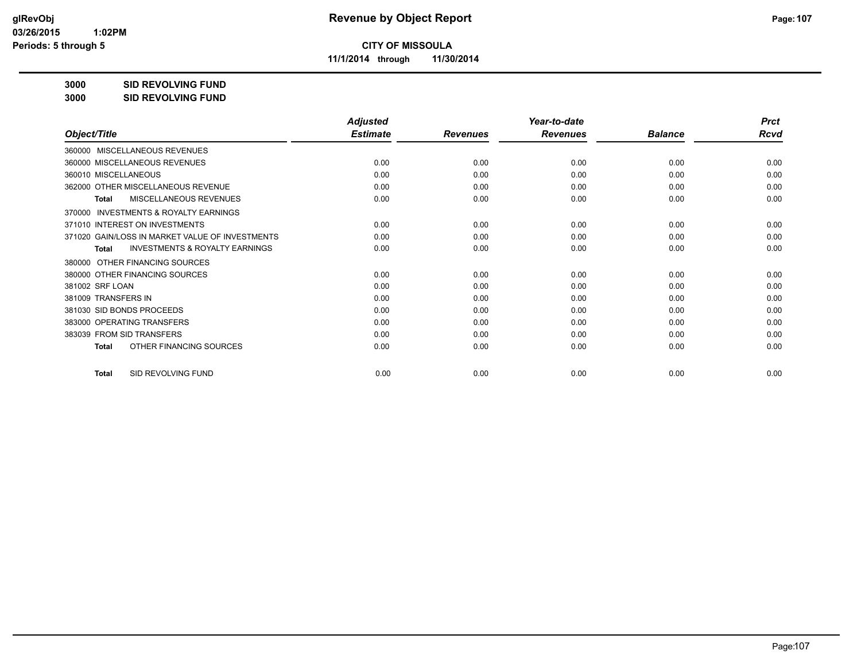**11/1/2014 through 11/30/2014**

**3000 SID REVOLVING FUND**

|                                                    | <b>Adjusted</b> |                 | Year-to-date    |                | <b>Prct</b> |
|----------------------------------------------------|-----------------|-----------------|-----------------|----------------|-------------|
| Object/Title                                       | <b>Estimate</b> | <b>Revenues</b> | <b>Revenues</b> | <b>Balance</b> | Rcvd        |
| 360000 MISCELLANEOUS REVENUES                      |                 |                 |                 |                |             |
| 360000 MISCELLANEOUS REVENUES                      | 0.00            | 0.00            | 0.00            | 0.00           | 0.00        |
| 360010 MISCELLANEOUS                               | 0.00            | 0.00            | 0.00            | 0.00           | 0.00        |
| 362000 OTHER MISCELLANEOUS REVENUE                 | 0.00            | 0.00            | 0.00            | 0.00           | 0.00        |
| MISCELLANEOUS REVENUES<br>Total                    | 0.00            | 0.00            | 0.00            | 0.00           | 0.00        |
| INVESTMENTS & ROYALTY EARNINGS<br>370000           |                 |                 |                 |                |             |
| 371010 INTEREST ON INVESTMENTS                     | 0.00            | 0.00            | 0.00            | 0.00           | 0.00        |
| 371020 GAIN/LOSS IN MARKET VALUE OF INVESTMENTS    | 0.00            | 0.00            | 0.00            | 0.00           | 0.00        |
| <b>INVESTMENTS &amp; ROYALTY EARNINGS</b><br>Total | 0.00            | 0.00            | 0.00            | 0.00           | 0.00        |
| 380000 OTHER FINANCING SOURCES                     |                 |                 |                 |                |             |
| 380000 OTHER FINANCING SOURCES                     | 0.00            | 0.00            | 0.00            | 0.00           | 0.00        |
| 381002 SRF LOAN                                    | 0.00            | 0.00            | 0.00            | 0.00           | 0.00        |
| 381009 TRANSFERS IN                                | 0.00            | 0.00            | 0.00            | 0.00           | 0.00        |
| 381030 SID BONDS PROCEEDS                          | 0.00            | 0.00            | 0.00            | 0.00           | 0.00        |
| 383000 OPERATING TRANSFERS                         | 0.00            | 0.00            | 0.00            | 0.00           | 0.00        |
| 383039 FROM SID TRANSFERS                          | 0.00            | 0.00            | 0.00            | 0.00           | 0.00        |
| OTHER FINANCING SOURCES<br>Total                   | 0.00            | 0.00            | 0.00            | 0.00           | 0.00        |
| SID REVOLVING FUND<br>Total                        | 0.00            | 0.00            | 0.00            | 0.00           | 0.00        |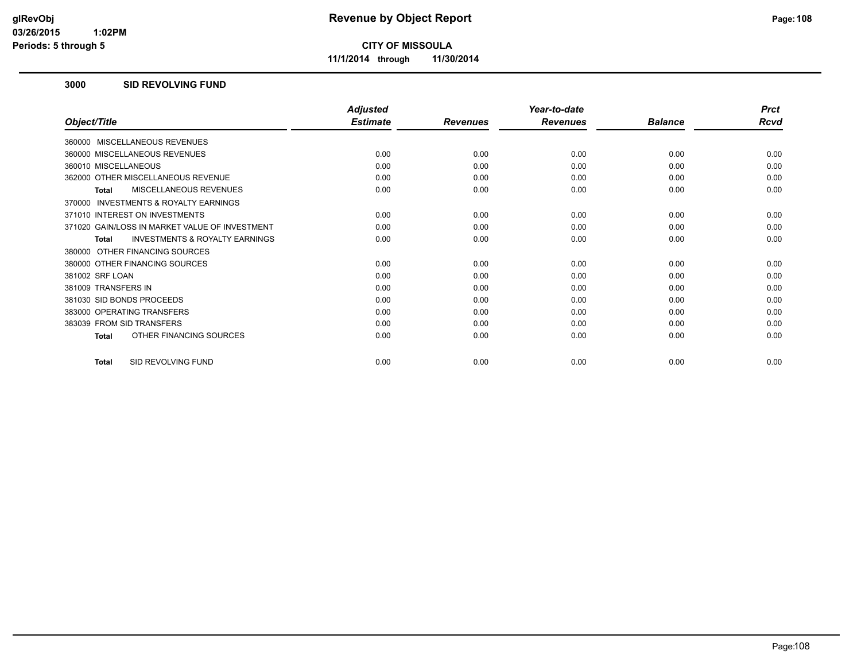**11/1/2014 through 11/30/2014**

#### **3000 SID REVOLVING FUND**

|                                                           | <b>Adjusted</b> |                 | Year-to-date    |                | <b>Prct</b> |
|-----------------------------------------------------------|-----------------|-----------------|-----------------|----------------|-------------|
| Object/Title                                              | <b>Estimate</b> | <b>Revenues</b> | <b>Revenues</b> | <b>Balance</b> | Rcvd        |
| 360000 MISCELLANEOUS REVENUES                             |                 |                 |                 |                |             |
| 360000 MISCELLANEOUS REVENUES                             | 0.00            | 0.00            | 0.00            | 0.00           | 0.00        |
| 360010 MISCELLANEOUS                                      | 0.00            | 0.00            | 0.00            | 0.00           | 0.00        |
| 362000 OTHER MISCELLANEOUS REVENUE                        | 0.00            | 0.00            | 0.00            | 0.00           | 0.00        |
| <b>MISCELLANEOUS REVENUES</b><br><b>Total</b>             | 0.00            | 0.00            | 0.00            | 0.00           | 0.00        |
| <b>INVESTMENTS &amp; ROYALTY EARNINGS</b><br>370000       |                 |                 |                 |                |             |
| 371010 INTEREST ON INVESTMENTS                            | 0.00            | 0.00            | 0.00            | 0.00           | 0.00        |
| 371020 GAIN/LOSS IN MARKET VALUE OF INVESTMENT            | 0.00            | 0.00            | 0.00            | 0.00           | 0.00        |
| <b>INVESTMENTS &amp; ROYALTY EARNINGS</b><br><b>Total</b> | 0.00            | 0.00            | 0.00            | 0.00           | 0.00        |
| 380000 OTHER FINANCING SOURCES                            |                 |                 |                 |                |             |
| 380000 OTHER FINANCING SOURCES                            | 0.00            | 0.00            | 0.00            | 0.00           | 0.00        |
| 381002 SRF LOAN                                           | 0.00            | 0.00            | 0.00            | 0.00           | 0.00        |
| 381009 TRANSFERS IN                                       | 0.00            | 0.00            | 0.00            | 0.00           | 0.00        |
| 381030 SID BONDS PROCEEDS                                 | 0.00            | 0.00            | 0.00            | 0.00           | 0.00        |
| 383000 OPERATING TRANSFERS                                | 0.00            | 0.00            | 0.00            | 0.00           | 0.00        |
| 383039 FROM SID TRANSFERS                                 | 0.00            | 0.00            | 0.00            | 0.00           | 0.00        |
| OTHER FINANCING SOURCES<br><b>Total</b>                   | 0.00            | 0.00            | 0.00            | 0.00           | 0.00        |
| SID REVOLVING FUND<br><b>Total</b>                        | 0.00            | 0.00            | 0.00            | 0.00           | 0.00        |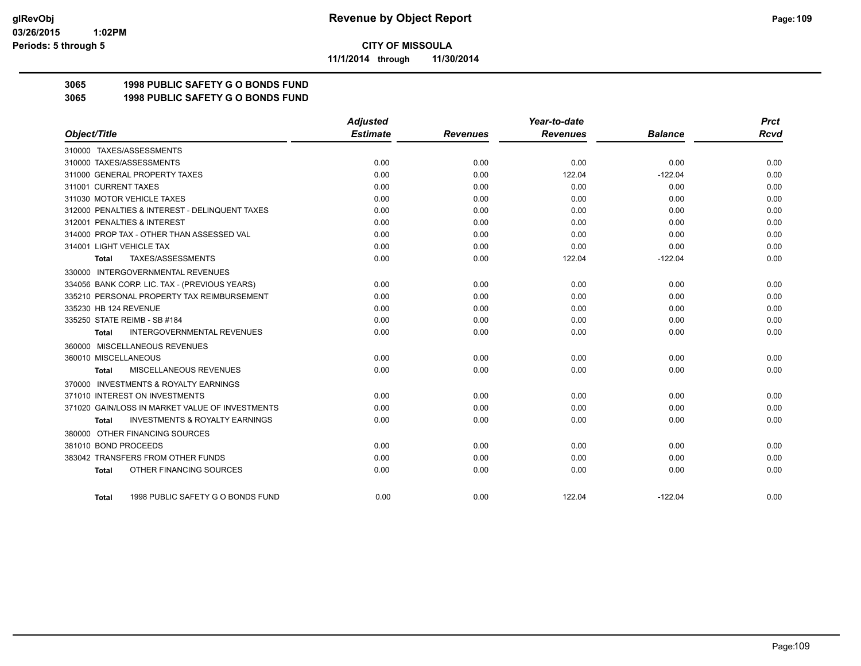**11/1/2014 through 11/30/2014**

# **3065 1998 PUBLIC SAFETY G O BONDS FUND**

**3065 1998 PUBLIC SAFETY G O BONDS FUND**

|                                                     | <b>Adjusted</b> |                 | Year-to-date    |                | <b>Prct</b> |
|-----------------------------------------------------|-----------------|-----------------|-----------------|----------------|-------------|
| Object/Title                                        | <b>Estimate</b> | <b>Revenues</b> | <b>Revenues</b> | <b>Balance</b> | <b>Rcvd</b> |
| 310000 TAXES/ASSESSMENTS                            |                 |                 |                 |                |             |
| 310000 TAXES/ASSESSMENTS                            | 0.00            | 0.00            | 0.00            | 0.00           | 0.00        |
| 311000 GENERAL PROPERTY TAXES                       | 0.00            | 0.00            | 122.04          | $-122.04$      | 0.00        |
| 311001 CURRENT TAXES                                | 0.00            | 0.00            | 0.00            | 0.00           | 0.00        |
| 311030 MOTOR VEHICLE TAXES                          | 0.00            | 0.00            | 0.00            | 0.00           | 0.00        |
| 312000 PENALTIES & INTEREST - DELINQUENT TAXES      | 0.00            | 0.00            | 0.00            | 0.00           | 0.00        |
| 312001 PENALTIES & INTEREST                         | 0.00            | 0.00            | 0.00            | 0.00           | 0.00        |
| 314000 PROP TAX - OTHER THAN ASSESSED VAL           | 0.00            | 0.00            | 0.00            | 0.00           | 0.00        |
| 314001 LIGHT VEHICLE TAX                            | 0.00            | 0.00            | 0.00            | 0.00           | 0.00        |
| TAXES/ASSESSMENTS<br>Total                          | 0.00            | 0.00            | 122.04          | $-122.04$      | 0.00        |
| 330000 INTERGOVERNMENTAL REVENUES                   |                 |                 |                 |                |             |
| 334056 BANK CORP. LIC. TAX - (PREVIOUS YEARS)       | 0.00            | 0.00            | 0.00            | 0.00           | 0.00        |
| 335210 PERSONAL PROPERTY TAX REIMBURSEMENT          | 0.00            | 0.00            | 0.00            | 0.00           | 0.00        |
| 335230 HB 124 REVENUE                               | 0.00            | 0.00            | 0.00            | 0.00           | 0.00        |
| 335250 STATE REIMB - SB #184                        | 0.00            | 0.00            | 0.00            | 0.00           | 0.00        |
| <b>INTERGOVERNMENTAL REVENUES</b><br><b>Total</b>   | 0.00            | 0.00            | 0.00            | 0.00           | 0.00        |
| 360000 MISCELLANEOUS REVENUES                       |                 |                 |                 |                |             |
| 360010 MISCELLANEOUS                                | 0.00            | 0.00            | 0.00            | 0.00           | 0.00        |
| <b>MISCELLANEOUS REVENUES</b><br>Total              | 0.00            | 0.00            | 0.00            | 0.00           | 0.00        |
| <b>INVESTMENTS &amp; ROYALTY EARNINGS</b><br>370000 |                 |                 |                 |                |             |
| 371010 INTEREST ON INVESTMENTS                      | 0.00            | 0.00            | 0.00            | 0.00           | 0.00        |
| 371020 GAIN/LOSS IN MARKET VALUE OF INVESTMENTS     | 0.00            | 0.00            | 0.00            | 0.00           | 0.00        |
| <b>INVESTMENTS &amp; ROYALTY EARNINGS</b><br>Total  | 0.00            | 0.00            | 0.00            | 0.00           | 0.00        |
| 380000 OTHER FINANCING SOURCES                      |                 |                 |                 |                |             |
| 381010 BOND PROCEEDS                                | 0.00            | 0.00            | 0.00            | 0.00           | 0.00        |
| 383042 TRANSFERS FROM OTHER FUNDS                   | 0.00            | 0.00            | 0.00            | 0.00           | 0.00        |
| OTHER FINANCING SOURCES<br><b>Total</b>             | 0.00            | 0.00            | 0.00            | 0.00           | 0.00        |
|                                                     |                 |                 |                 |                |             |
| 1998 PUBLIC SAFETY G O BONDS FUND<br>Total          | 0.00            | 0.00            | 122.04          | $-122.04$      | 0.00        |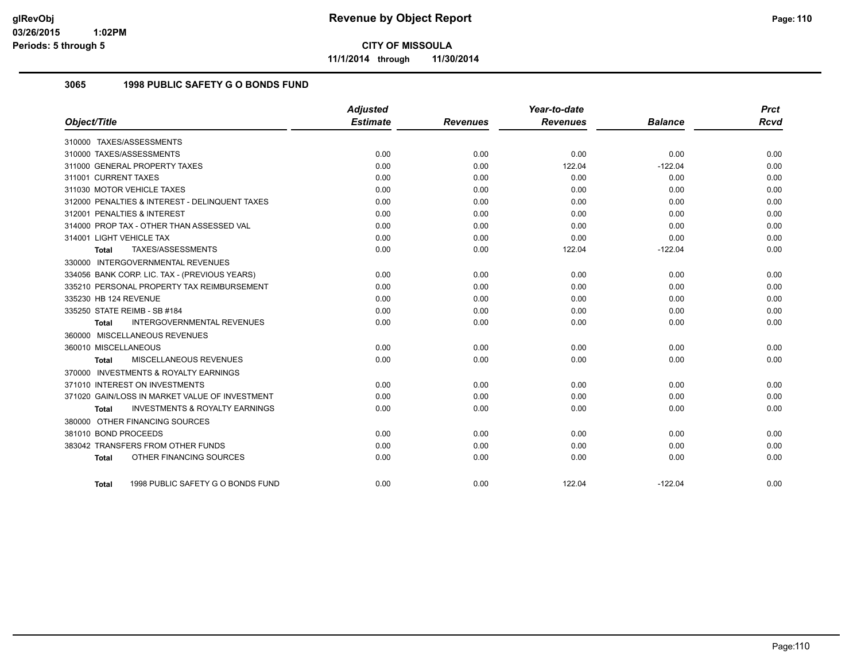**11/1/2014 through 11/30/2014**

### **3065 1998 PUBLIC SAFETY G O BONDS FUND**

|                                                    | <b>Adjusted</b> |                 | Year-to-date    |                | <b>Prct</b> |
|----------------------------------------------------|-----------------|-----------------|-----------------|----------------|-------------|
| Object/Title                                       | <b>Estimate</b> | <b>Revenues</b> | <b>Revenues</b> | <b>Balance</b> | <b>Rcvd</b> |
| 310000 TAXES/ASSESSMENTS                           |                 |                 |                 |                |             |
| 310000 TAXES/ASSESSMENTS                           | 0.00            | 0.00            | 0.00            | 0.00           | 0.00        |
| 311000 GENERAL PROPERTY TAXES                      | 0.00            | 0.00            | 122.04          | $-122.04$      | 0.00        |
| 311001 CURRENT TAXES                               | 0.00            | 0.00            | 0.00            | 0.00           | 0.00        |
| 311030 MOTOR VEHICLE TAXES                         | 0.00            | 0.00            | 0.00            | 0.00           | 0.00        |
| 312000 PENALTIES & INTEREST - DELINQUENT TAXES     | 0.00            | 0.00            | 0.00            | 0.00           | 0.00        |
| 312001 PENALTIES & INTEREST                        | 0.00            | 0.00            | 0.00            | 0.00           | 0.00        |
| 314000 PROP TAX - OTHER THAN ASSESSED VAL          | 0.00            | 0.00            | 0.00            | 0.00           | 0.00        |
| 314001 LIGHT VEHICLE TAX                           | 0.00            | 0.00            | 0.00            | 0.00           | 0.00        |
| TAXES/ASSESSMENTS<br>Total                         | 0.00            | 0.00            | 122.04          | $-122.04$      | 0.00        |
| 330000 INTERGOVERNMENTAL REVENUES                  |                 |                 |                 |                |             |
| 334056 BANK CORP. LIC. TAX - (PREVIOUS YEARS)      | 0.00            | 0.00            | 0.00            | 0.00           | 0.00        |
| 335210 PERSONAL PROPERTY TAX REIMBURSEMENT         | 0.00            | 0.00            | 0.00            | 0.00           | 0.00        |
| 335230 HB 124 REVENUE                              | 0.00            | 0.00            | 0.00            | 0.00           | 0.00        |
| 335250 STATE REIMB - SB #184                       | 0.00            | 0.00            | 0.00            | 0.00           | 0.00        |
| INTERGOVERNMENTAL REVENUES<br><b>Total</b>         | 0.00            | 0.00            | 0.00            | 0.00           | 0.00        |
| 360000 MISCELLANEOUS REVENUES                      |                 |                 |                 |                |             |
| 360010 MISCELLANEOUS                               | 0.00            | 0.00            | 0.00            | 0.00           | 0.00        |
| <b>MISCELLANEOUS REVENUES</b><br><b>Total</b>      | 0.00            | 0.00            | 0.00            | 0.00           | 0.00        |
| 370000 INVESTMENTS & ROYALTY EARNINGS              |                 |                 |                 |                |             |
| 371010 INTEREST ON INVESTMENTS                     | 0.00            | 0.00            | 0.00            | 0.00           | 0.00        |
| 371020 GAIN/LOSS IN MARKET VALUE OF INVESTMENT     | 0.00            | 0.00            | 0.00            | 0.00           | 0.00        |
| <b>INVESTMENTS &amp; ROYALTY EARNINGS</b><br>Total | 0.00            | 0.00            | 0.00            | 0.00           | 0.00        |
| 380000 OTHER FINANCING SOURCES                     |                 |                 |                 |                |             |
| 381010 BOND PROCEEDS                               | 0.00            | 0.00            | 0.00            | 0.00           | 0.00        |
| 383042 TRANSFERS FROM OTHER FUNDS                  | 0.00            | 0.00            | 0.00            | 0.00           | 0.00        |
| OTHER FINANCING SOURCES<br>Total                   | 0.00            | 0.00            | 0.00            | 0.00           | 0.00        |
| 1998 PUBLIC SAFETY G O BONDS FUND<br>Total         | 0.00            | 0.00            | 122.04          | $-122.04$      | 0.00        |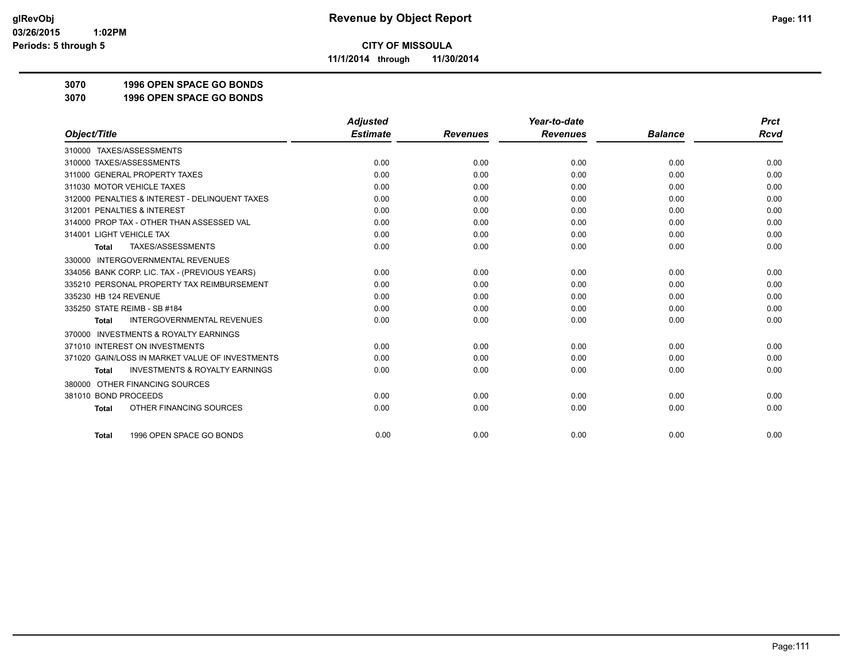**11/1/2014 through 11/30/2014**

**3070 1996 OPEN SPACE GO BONDS**

**3070 1996 OPEN SPACE GO BONDS**

|                                                           | <b>Adjusted</b> |                 | Year-to-date    |                | <b>Prct</b> |
|-----------------------------------------------------------|-----------------|-----------------|-----------------|----------------|-------------|
| Object/Title                                              | <b>Estimate</b> | <b>Revenues</b> | <b>Revenues</b> | <b>Balance</b> | <b>Rcvd</b> |
| 310000 TAXES/ASSESSMENTS                                  |                 |                 |                 |                |             |
| 310000 TAXES/ASSESSMENTS                                  | 0.00            | 0.00            | 0.00            | 0.00           | 0.00        |
| 311000 GENERAL PROPERTY TAXES                             | 0.00            | 0.00            | 0.00            | 0.00           | 0.00        |
| 311030 MOTOR VEHICLE TAXES                                | 0.00            | 0.00            | 0.00            | 0.00           | 0.00        |
| 312000 PENALTIES & INTEREST - DELINQUENT TAXES            | 0.00            | 0.00            | 0.00            | 0.00           | 0.00        |
| 312001 PENALTIES & INTEREST                               | 0.00            | 0.00            | 0.00            | 0.00           | 0.00        |
| 314000 PROP TAX - OTHER THAN ASSESSED VAL                 | 0.00            | 0.00            | 0.00            | 0.00           | 0.00        |
| 314001 LIGHT VEHICLE TAX                                  | 0.00            | 0.00            | 0.00            | 0.00           | 0.00        |
| TAXES/ASSESSMENTS<br><b>Total</b>                         | 0.00            | 0.00            | 0.00            | 0.00           | 0.00        |
| 330000 INTERGOVERNMENTAL REVENUES                         |                 |                 |                 |                |             |
| 334056 BANK CORP. LIC. TAX - (PREVIOUS YEARS)             | 0.00            | 0.00            | 0.00            | 0.00           | 0.00        |
| 335210 PERSONAL PROPERTY TAX REIMBURSEMENT                | 0.00            | 0.00            | 0.00            | 0.00           | 0.00        |
| 335230 HB 124 REVENUE                                     | 0.00            | 0.00            | 0.00            | 0.00           | 0.00        |
| 335250 STATE REIMB - SB #184                              | 0.00            | 0.00            | 0.00            | 0.00           | 0.00        |
| <b>INTERGOVERNMENTAL REVENUES</b><br><b>Total</b>         | 0.00            | 0.00            | 0.00            | 0.00           | 0.00        |
| <b>INVESTMENTS &amp; ROYALTY EARNINGS</b><br>370000       |                 |                 |                 |                |             |
| 371010 INTEREST ON INVESTMENTS                            | 0.00            | 0.00            | 0.00            | 0.00           | 0.00        |
| 371020 GAIN/LOSS IN MARKET VALUE OF INVESTMENTS           | 0.00            | 0.00            | 0.00            | 0.00           | 0.00        |
| <b>INVESTMENTS &amp; ROYALTY EARNINGS</b><br><b>Total</b> | 0.00            | 0.00            | 0.00            | 0.00           | 0.00        |
| OTHER FINANCING SOURCES<br>380000                         |                 |                 |                 |                |             |
| 381010 BOND PROCEEDS                                      | 0.00            | 0.00            | 0.00            | 0.00           | 0.00        |
| OTHER FINANCING SOURCES<br><b>Total</b>                   | 0.00            | 0.00            | 0.00            | 0.00           | 0.00        |
| 1996 OPEN SPACE GO BONDS<br><b>Total</b>                  | 0.00            | 0.00            | 0.00            | 0.00           | 0.00        |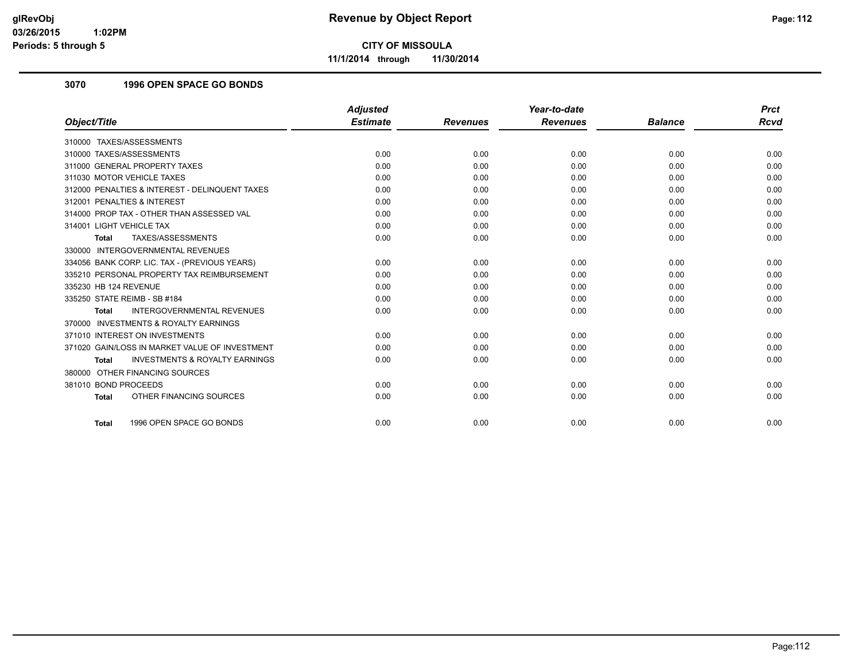**11/1/2014 through 11/30/2014**

#### **3070 1996 OPEN SPACE GO BONDS**

|                                                           | <b>Adjusted</b> |                 | Year-to-date    |                | <b>Prct</b> |
|-----------------------------------------------------------|-----------------|-----------------|-----------------|----------------|-------------|
| Object/Title                                              | <b>Estimate</b> | <b>Revenues</b> | <b>Revenues</b> | <b>Balance</b> | <b>Rcvd</b> |
| 310000 TAXES/ASSESSMENTS                                  |                 |                 |                 |                |             |
| 310000 TAXES/ASSESSMENTS                                  | 0.00            | 0.00            | 0.00            | 0.00           | 0.00        |
| 311000 GENERAL PROPERTY TAXES                             | 0.00            | 0.00            | 0.00            | 0.00           | 0.00        |
| 311030 MOTOR VEHICLE TAXES                                | 0.00            | 0.00            | 0.00            | 0.00           | 0.00        |
| 312000 PENALTIES & INTEREST - DELINQUENT TAXES            | 0.00            | 0.00            | 0.00            | 0.00           | 0.00        |
| 312001 PENALTIES & INTEREST                               | 0.00            | 0.00            | 0.00            | 0.00           | 0.00        |
| 314000 PROP TAX - OTHER THAN ASSESSED VAL                 | 0.00            | 0.00            | 0.00            | 0.00           | 0.00        |
| 314001 LIGHT VEHICLE TAX                                  | 0.00            | 0.00            | 0.00            | 0.00           | 0.00        |
| TAXES/ASSESSMENTS<br><b>Total</b>                         | 0.00            | 0.00            | 0.00            | 0.00           | 0.00        |
| 330000 INTERGOVERNMENTAL REVENUES                         |                 |                 |                 |                |             |
| 334056 BANK CORP. LIC. TAX - (PREVIOUS YEARS)             | 0.00            | 0.00            | 0.00            | 0.00           | 0.00        |
| 335210 PERSONAL PROPERTY TAX REIMBURSEMENT                | 0.00            | 0.00            | 0.00            | 0.00           | 0.00        |
| 335230 HB 124 REVENUE                                     | 0.00            | 0.00            | 0.00            | 0.00           | 0.00        |
| 335250 STATE REIMB - SB #184                              | 0.00            | 0.00            | 0.00            | 0.00           | 0.00        |
| <b>INTERGOVERNMENTAL REVENUES</b><br><b>Total</b>         | 0.00            | 0.00            | 0.00            | 0.00           | 0.00        |
| <b>INVESTMENTS &amp; ROYALTY EARNINGS</b><br>370000       |                 |                 |                 |                |             |
| 371010 INTEREST ON INVESTMENTS                            | 0.00            | 0.00            | 0.00            | 0.00           | 0.00        |
| 371020 GAIN/LOSS IN MARKET VALUE OF INVESTMENT            | 0.00            | 0.00            | 0.00            | 0.00           | 0.00        |
| <b>INVESTMENTS &amp; ROYALTY EARNINGS</b><br><b>Total</b> | 0.00            | 0.00            | 0.00            | 0.00           | 0.00        |
| 380000 OTHER FINANCING SOURCES                            |                 |                 |                 |                |             |
| 381010 BOND PROCEEDS                                      | 0.00            | 0.00            | 0.00            | 0.00           | 0.00        |
| OTHER FINANCING SOURCES<br><b>Total</b>                   | 0.00            | 0.00            | 0.00            | 0.00           | 0.00        |
| 1996 OPEN SPACE GO BONDS<br><b>Total</b>                  | 0.00            | 0.00            | 0.00            | 0.00           | 0.00        |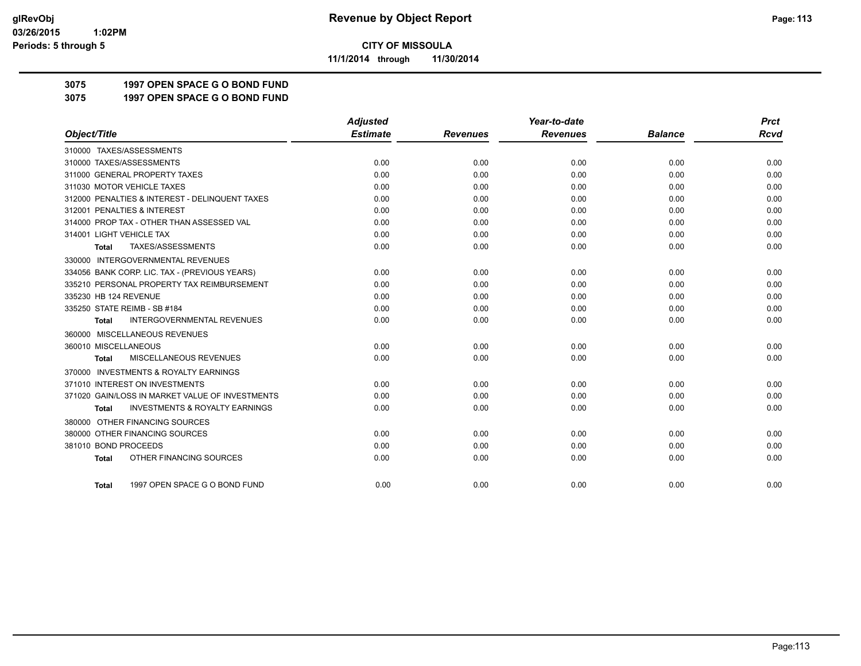**11/1/2014 through 11/30/2014**

## **3075 1997 OPEN SPACE G O BOND FUND**

**3075 1997 OPEN SPACE G O BOND FUND**

|                                                           | <b>Adjusted</b> |                 | Year-to-date    |                | <b>Prct</b> |
|-----------------------------------------------------------|-----------------|-----------------|-----------------|----------------|-------------|
| Object/Title                                              | <b>Estimate</b> | <b>Revenues</b> | <b>Revenues</b> | <b>Balance</b> | <b>Rcvd</b> |
| 310000 TAXES/ASSESSMENTS                                  |                 |                 |                 |                |             |
| 310000 TAXES/ASSESSMENTS                                  | 0.00            | 0.00            | 0.00            | 0.00           | 0.00        |
| 311000 GENERAL PROPERTY TAXES                             | 0.00            | 0.00            | 0.00            | 0.00           | 0.00        |
| 311030 MOTOR VEHICLE TAXES                                | 0.00            | 0.00            | 0.00            | 0.00           | 0.00        |
| 312000 PENALTIES & INTEREST - DELINQUENT TAXES            | 0.00            | 0.00            | 0.00            | 0.00           | 0.00        |
| 312001 PENALTIES & INTEREST                               | 0.00            | 0.00            | 0.00            | 0.00           | 0.00        |
| 314000 PROP TAX - OTHER THAN ASSESSED VAL                 | 0.00            | 0.00            | 0.00            | 0.00           | 0.00        |
| 314001 LIGHT VEHICLE TAX                                  | 0.00            | 0.00            | 0.00            | 0.00           | 0.00        |
| TAXES/ASSESSMENTS<br>Total                                | 0.00            | 0.00            | 0.00            | 0.00           | 0.00        |
| 330000 INTERGOVERNMENTAL REVENUES                         |                 |                 |                 |                |             |
| 334056 BANK CORP. LIC. TAX - (PREVIOUS YEARS)             | 0.00            | 0.00            | 0.00            | 0.00           | 0.00        |
| 335210 PERSONAL PROPERTY TAX REIMBURSEMENT                | 0.00            | 0.00            | 0.00            | 0.00           | 0.00        |
| 335230 HB 124 REVENUE                                     | 0.00            | 0.00            | 0.00            | 0.00           | 0.00        |
| 335250 STATE REIMB - SB #184                              | 0.00            | 0.00            | 0.00            | 0.00           | 0.00        |
| <b>INTERGOVERNMENTAL REVENUES</b><br><b>Total</b>         | 0.00            | 0.00            | 0.00            | 0.00           | 0.00        |
| 360000 MISCELLANEOUS REVENUES                             |                 |                 |                 |                |             |
| 360010 MISCELLANEOUS                                      | 0.00            | 0.00            | 0.00            | 0.00           | 0.00        |
| MISCELLANEOUS REVENUES<br><b>Total</b>                    | 0.00            | 0.00            | 0.00            | 0.00           | 0.00        |
| 370000 INVESTMENTS & ROYALTY EARNINGS                     |                 |                 |                 |                |             |
| 371010 INTEREST ON INVESTMENTS                            | 0.00            | 0.00            | 0.00            | 0.00           | 0.00        |
| 371020 GAIN/LOSS IN MARKET VALUE OF INVESTMENTS           | 0.00            | 0.00            | 0.00            | 0.00           | 0.00        |
| <b>INVESTMENTS &amp; ROYALTY EARNINGS</b><br><b>Total</b> | 0.00            | 0.00            | 0.00            | 0.00           | 0.00        |
| 380000 OTHER FINANCING SOURCES                            |                 |                 |                 |                |             |
| 380000 OTHER FINANCING SOURCES                            | 0.00            | 0.00            | 0.00            | 0.00           | 0.00        |
| 381010 BOND PROCEEDS                                      | 0.00            | 0.00            | 0.00            | 0.00           | 0.00        |
| OTHER FINANCING SOURCES<br><b>Total</b>                   | 0.00            | 0.00            | 0.00            | 0.00           | 0.00        |
|                                                           |                 |                 |                 |                |             |
| 1997 OPEN SPACE G O BOND FUND<br><b>Total</b>             | 0.00            | 0.00            | 0.00            | 0.00           | 0.00        |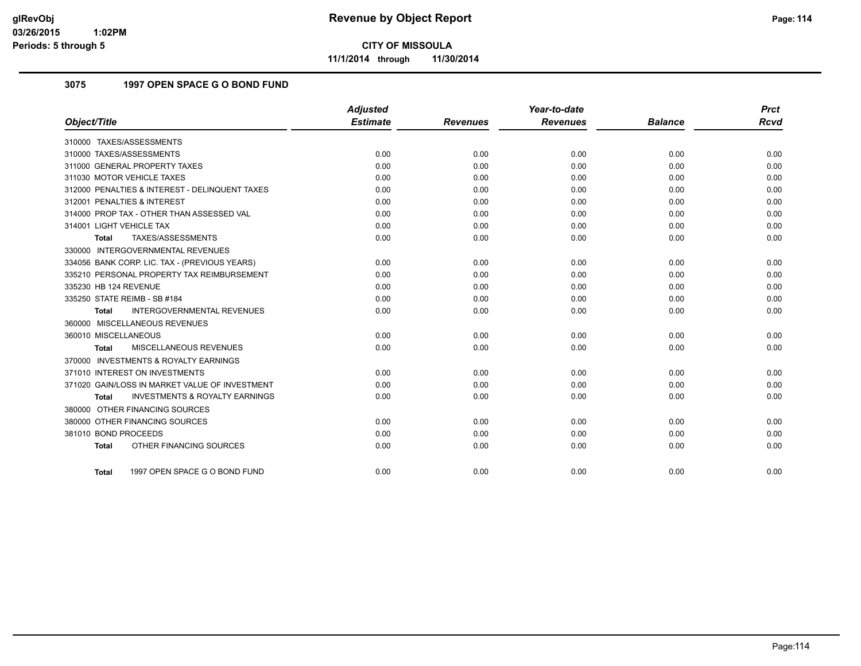**11/1/2014 through 11/30/2014**

### **3075 1997 OPEN SPACE G O BOND FUND**

|                                                    | <b>Adjusted</b> |                 | Year-to-date    |                | <b>Prct</b> |
|----------------------------------------------------|-----------------|-----------------|-----------------|----------------|-------------|
| Object/Title                                       | <b>Estimate</b> | <b>Revenues</b> | <b>Revenues</b> | <b>Balance</b> | <b>Rcvd</b> |
| 310000 TAXES/ASSESSMENTS                           |                 |                 |                 |                |             |
| 310000 TAXES/ASSESSMENTS                           | 0.00            | 0.00            | 0.00            | 0.00           | 0.00        |
| 311000 GENERAL PROPERTY TAXES                      | 0.00            | 0.00            | 0.00            | 0.00           | 0.00        |
| 311030 MOTOR VEHICLE TAXES                         | 0.00            | 0.00            | 0.00            | 0.00           | 0.00        |
| 312000 PENALTIES & INTEREST - DELINQUENT TAXES     | 0.00            | 0.00            | 0.00            | 0.00           | 0.00        |
| 312001 PENALTIES & INTEREST                        | 0.00            | 0.00            | 0.00            | 0.00           | 0.00        |
| 314000 PROP TAX - OTHER THAN ASSESSED VAL          | 0.00            | 0.00            | 0.00            | 0.00           | 0.00        |
| 314001 LIGHT VEHICLE TAX                           | 0.00            | 0.00            | 0.00            | 0.00           | 0.00        |
| TAXES/ASSESSMENTS<br><b>Total</b>                  | 0.00            | 0.00            | 0.00            | 0.00           | 0.00        |
| 330000 INTERGOVERNMENTAL REVENUES                  |                 |                 |                 |                |             |
| 334056 BANK CORP. LIC. TAX - (PREVIOUS YEARS)      | 0.00            | 0.00            | 0.00            | 0.00           | 0.00        |
| 335210 PERSONAL PROPERTY TAX REIMBURSEMENT         | 0.00            | 0.00            | 0.00            | 0.00           | 0.00        |
| 335230 HB 124 REVENUE                              | 0.00            | 0.00            | 0.00            | 0.00           | 0.00        |
| 335250 STATE REIMB - SB #184                       | 0.00            | 0.00            | 0.00            | 0.00           | 0.00        |
| <b>INTERGOVERNMENTAL REVENUES</b><br><b>Total</b>  | 0.00            | 0.00            | 0.00            | 0.00           | 0.00        |
| 360000 MISCELLANEOUS REVENUES                      |                 |                 |                 |                |             |
| 360010 MISCELLANEOUS                               | 0.00            | 0.00            | 0.00            | 0.00           | 0.00        |
| MISCELLANEOUS REVENUES<br>Total                    | 0.00            | 0.00            | 0.00            | 0.00           | 0.00        |
| 370000 INVESTMENTS & ROYALTY EARNINGS              |                 |                 |                 |                |             |
| 371010 INTEREST ON INVESTMENTS                     | 0.00            | 0.00            | 0.00            | 0.00           | 0.00        |
| 371020 GAIN/LOSS IN MARKET VALUE OF INVESTMENT     | 0.00            | 0.00            | 0.00            | 0.00           | 0.00        |
| <b>INVESTMENTS &amp; ROYALTY EARNINGS</b><br>Total | 0.00            | 0.00            | 0.00            | 0.00           | 0.00        |
| 380000 OTHER FINANCING SOURCES                     |                 |                 |                 |                |             |
| 380000 OTHER FINANCING SOURCES                     | 0.00            | 0.00            | 0.00            | 0.00           | 0.00        |
| 381010 BOND PROCEEDS                               | 0.00            | 0.00            | 0.00            | 0.00           | 0.00        |
| OTHER FINANCING SOURCES<br><b>Total</b>            | 0.00            | 0.00            | 0.00            | 0.00           | 0.00        |
|                                                    |                 |                 |                 |                |             |
| 1997 OPEN SPACE G O BOND FUND<br>Total             | 0.00            | 0.00            | 0.00            | 0.00           | 0.00        |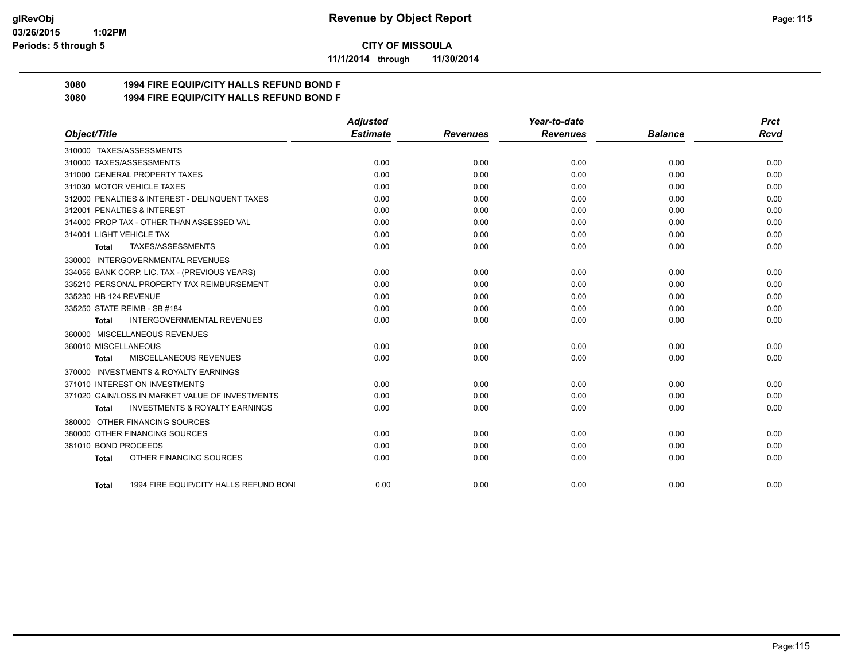**11/1/2014 through 11/30/2014**

## **3080 1994 FIRE EQUIP/CITY HALLS REFUND BOND F**

**3080 1994 FIRE EQUIP/CITY HALLS REFUND BOND F**

|                                                           | <b>Adjusted</b> |                 | Year-to-date    |                | <b>Prct</b> |
|-----------------------------------------------------------|-----------------|-----------------|-----------------|----------------|-------------|
| Object/Title                                              | <b>Estimate</b> | <b>Revenues</b> | <b>Revenues</b> | <b>Balance</b> | Rcvd        |
| 310000 TAXES/ASSESSMENTS                                  |                 |                 |                 |                |             |
| 310000 TAXES/ASSESSMENTS                                  | 0.00            | 0.00            | 0.00            | 0.00           | 0.00        |
| 311000 GENERAL PROPERTY TAXES                             | 0.00            | 0.00            | 0.00            | 0.00           | 0.00        |
| 311030 MOTOR VEHICLE TAXES                                | 0.00            | 0.00            | 0.00            | 0.00           | 0.00        |
| 312000 PENALTIES & INTEREST - DELINQUENT TAXES            | 0.00            | 0.00            | 0.00            | 0.00           | 0.00        |
| 312001 PENALTIES & INTEREST                               | 0.00            | 0.00            | 0.00            | 0.00           | 0.00        |
| 314000 PROP TAX - OTHER THAN ASSESSED VAL                 | 0.00            | 0.00            | 0.00            | 0.00           | 0.00        |
| 314001 LIGHT VEHICLE TAX                                  | 0.00            | 0.00            | 0.00            | 0.00           | 0.00        |
| TAXES/ASSESSMENTS<br><b>Total</b>                         | 0.00            | 0.00            | 0.00            | 0.00           | 0.00        |
| 330000 INTERGOVERNMENTAL REVENUES                         |                 |                 |                 |                |             |
| 334056 BANK CORP. LIC. TAX - (PREVIOUS YEARS)             | 0.00            | 0.00            | 0.00            | 0.00           | 0.00        |
| 335210 PERSONAL PROPERTY TAX REIMBURSEMENT                | 0.00            | 0.00            | 0.00            | 0.00           | 0.00        |
| 335230 HB 124 REVENUE                                     | 0.00            | 0.00            | 0.00            | 0.00           | 0.00        |
| 335250 STATE REIMB - SB #184                              | 0.00            | 0.00            | 0.00            | 0.00           | 0.00        |
| <b>INTERGOVERNMENTAL REVENUES</b><br>Total                | 0.00            | 0.00            | 0.00            | 0.00           | 0.00        |
| 360000 MISCELLANEOUS REVENUES                             |                 |                 |                 |                |             |
| 360010 MISCELLANEOUS                                      | 0.00            | 0.00            | 0.00            | 0.00           | 0.00        |
| MISCELLANEOUS REVENUES<br><b>Total</b>                    | 0.00            | 0.00            | 0.00            | 0.00           | 0.00        |
| 370000 INVESTMENTS & ROYALTY EARNINGS                     |                 |                 |                 |                |             |
| 371010 INTEREST ON INVESTMENTS                            | 0.00            | 0.00            | 0.00            | 0.00           | 0.00        |
| 371020 GAIN/LOSS IN MARKET VALUE OF INVESTMENTS           | 0.00            | 0.00            | 0.00            | 0.00           | 0.00        |
| <b>INVESTMENTS &amp; ROYALTY EARNINGS</b><br><b>Total</b> | 0.00            | 0.00            | 0.00            | 0.00           | 0.00        |
| 380000 OTHER FINANCING SOURCES                            |                 |                 |                 |                |             |
| 380000 OTHER FINANCING SOURCES                            | 0.00            | 0.00            | 0.00            | 0.00           | 0.00        |
| 381010 BOND PROCEEDS                                      | 0.00            | 0.00            | 0.00            | 0.00           | 0.00        |
| OTHER FINANCING SOURCES<br><b>Total</b>                   | 0.00            | 0.00            | 0.00            | 0.00           | 0.00        |
| 1994 FIRE EQUIP/CITY HALLS REFUND BONI<br>Total           | 0.00            | 0.00            | 0.00            | 0.00           | 0.00        |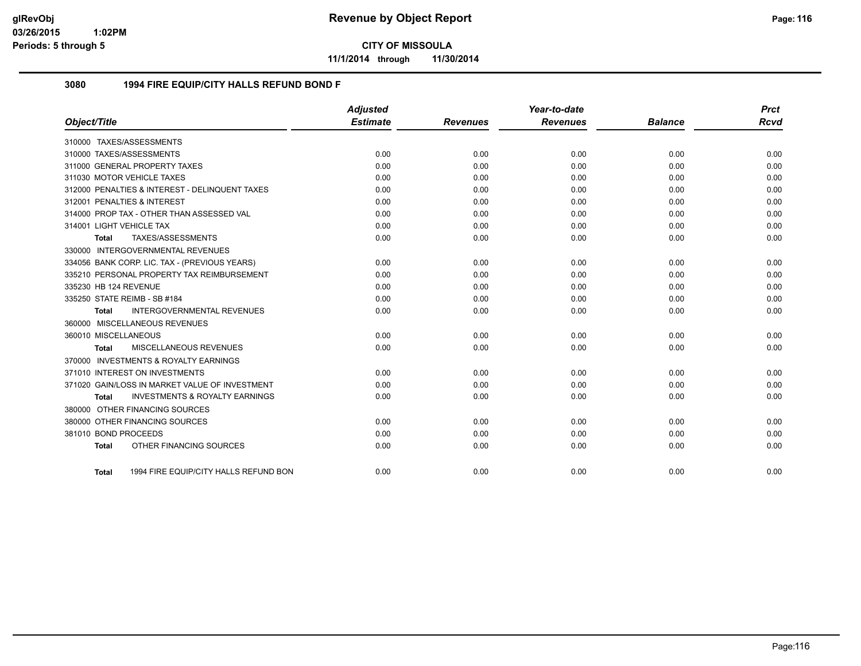**11/1/2014 through 11/30/2014**

#### **3080 1994 FIRE EQUIP/CITY HALLS REFUND BOND F**

|                          |                                                | <b>Adjusted</b> |                 | Year-to-date    |                | <b>Prct</b> |
|--------------------------|------------------------------------------------|-----------------|-----------------|-----------------|----------------|-------------|
| Object/Title             |                                                | <b>Estimate</b> | <b>Revenues</b> | <b>Revenues</b> | <b>Balance</b> | <b>Rcvd</b> |
|                          | 310000 TAXES/ASSESSMENTS                       |                 |                 |                 |                |             |
|                          | 310000 TAXES/ASSESSMENTS                       | 0.00            | 0.00            | 0.00            | 0.00           | 0.00        |
|                          | 311000 GENERAL PROPERTY TAXES                  | 0.00            | 0.00            | 0.00            | 0.00           | 0.00        |
|                          | 311030 MOTOR VEHICLE TAXES                     | 0.00            | 0.00            | 0.00            | 0.00           | 0.00        |
|                          | 312000 PENALTIES & INTEREST - DELINQUENT TAXES | 0.00            | 0.00            | 0.00            | 0.00           | 0.00        |
|                          | 312001 PENALTIES & INTEREST                    | 0.00            | 0.00            | 0.00            | 0.00           | 0.00        |
|                          | 314000 PROP TAX - OTHER THAN ASSESSED VAL      | 0.00            | 0.00            | 0.00            | 0.00           | 0.00        |
| 314001 LIGHT VEHICLE TAX |                                                | 0.00            | 0.00            | 0.00            | 0.00           | 0.00        |
| <b>Total</b>             | TAXES/ASSESSMENTS                              | 0.00            | 0.00            | 0.00            | 0.00           | 0.00        |
|                          | 330000 INTERGOVERNMENTAL REVENUES              |                 |                 |                 |                |             |
|                          | 334056 BANK CORP. LIC. TAX - (PREVIOUS YEARS)  | 0.00            | 0.00            | 0.00            | 0.00           | 0.00        |
|                          | 335210 PERSONAL PROPERTY TAX REIMBURSEMENT     | 0.00            | 0.00            | 0.00            | 0.00           | 0.00        |
| 335230 HB 124 REVENUE    |                                                | 0.00            | 0.00            | 0.00            | 0.00           | 0.00        |
|                          | 335250 STATE REIMB - SB #184                   | 0.00            | 0.00            | 0.00            | 0.00           | 0.00        |
| <b>Total</b>             | <b>INTERGOVERNMENTAL REVENUES</b>              | 0.00            | 0.00            | 0.00            | 0.00           | 0.00        |
|                          | 360000 MISCELLANEOUS REVENUES                  |                 |                 |                 |                |             |
| 360010 MISCELLANEOUS     |                                                | 0.00            | 0.00            | 0.00            | 0.00           | 0.00        |
| Total                    | MISCELLANEOUS REVENUES                         | 0.00            | 0.00            | 0.00            | 0.00           | 0.00        |
|                          | 370000 INVESTMENTS & ROYALTY EARNINGS          |                 |                 |                 |                |             |
|                          | 371010 INTEREST ON INVESTMENTS                 | 0.00            | 0.00            | 0.00            | 0.00           | 0.00        |
|                          | 371020 GAIN/LOSS IN MARKET VALUE OF INVESTMENT | 0.00            | 0.00            | 0.00            | 0.00           | 0.00        |
| Total                    | <b>INVESTMENTS &amp; ROYALTY EARNINGS</b>      | 0.00            | 0.00            | 0.00            | 0.00           | 0.00        |
|                          | 380000 OTHER FINANCING SOURCES                 |                 |                 |                 |                |             |
|                          | 380000 OTHER FINANCING SOURCES                 | 0.00            | 0.00            | 0.00            | 0.00           | 0.00        |
| 381010 BOND PROCEEDS     |                                                | 0.00            | 0.00            | 0.00            | 0.00           | 0.00        |
| <b>Total</b>             | OTHER FINANCING SOURCES                        | 0.00            | 0.00            | 0.00            | 0.00           | 0.00        |
|                          |                                                |                 |                 |                 |                |             |
| Total                    | 1994 FIRE EQUIP/CITY HALLS REFUND BON          | 0.00            | 0.00            | 0.00            | 0.00           | 0.00        |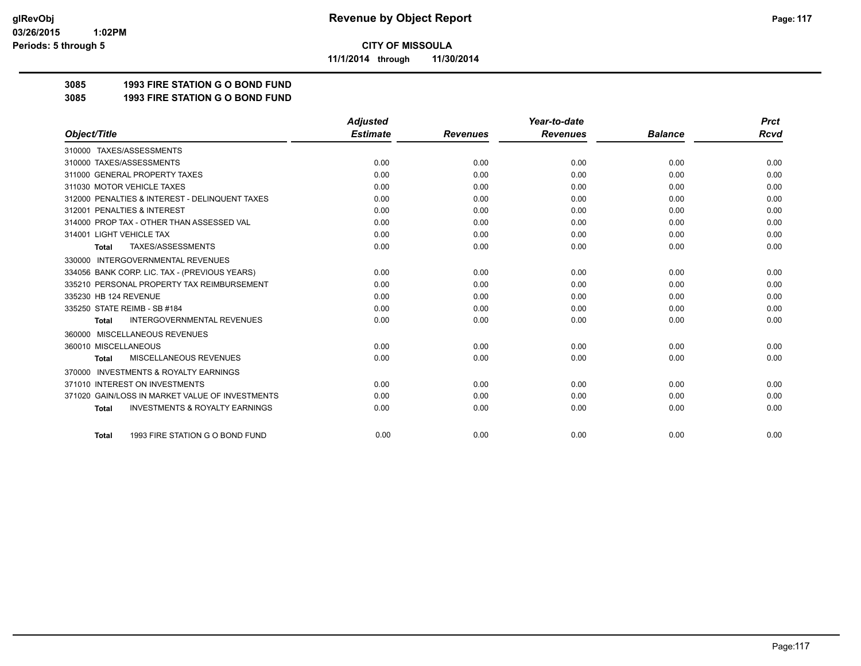**11/1/2014 through 11/30/2014**

## **3085 1993 FIRE STATION G O BOND FUND**

**3085 1993 FIRE STATION G O BOND FUND**

|                                                           | <b>Adjusted</b> |                 | Year-to-date    |                | <b>Prct</b> |
|-----------------------------------------------------------|-----------------|-----------------|-----------------|----------------|-------------|
| Object/Title                                              | <b>Estimate</b> | <b>Revenues</b> | <b>Revenues</b> | <b>Balance</b> | <b>Rcvd</b> |
| 310000 TAXES/ASSESSMENTS                                  |                 |                 |                 |                |             |
| 310000 TAXES/ASSESSMENTS                                  | 0.00            | 0.00            | 0.00            | 0.00           | 0.00        |
| 311000 GENERAL PROPERTY TAXES                             | 0.00            | 0.00            | 0.00            | 0.00           | 0.00        |
| 311030 MOTOR VEHICLE TAXES                                | 0.00            | 0.00            | 0.00            | 0.00           | 0.00        |
| 312000 PENALTIES & INTEREST - DELINQUENT TAXES            | 0.00            | 0.00            | 0.00            | 0.00           | 0.00        |
| 312001 PENALTIES & INTEREST                               | 0.00            | 0.00            | 0.00            | 0.00           | 0.00        |
| 314000 PROP TAX - OTHER THAN ASSESSED VAL                 | 0.00            | 0.00            | 0.00            | 0.00           | 0.00        |
| 314001 LIGHT VEHICLE TAX                                  | 0.00            | 0.00            | 0.00            | 0.00           | 0.00        |
| TAXES/ASSESSMENTS<br><b>Total</b>                         | 0.00            | 0.00            | 0.00            | 0.00           | 0.00        |
| <b>INTERGOVERNMENTAL REVENUES</b><br>330000               |                 |                 |                 |                |             |
| 334056 BANK CORP. LIC. TAX - (PREVIOUS YEARS)             | 0.00            | 0.00            | 0.00            | 0.00           | 0.00        |
| 335210 PERSONAL PROPERTY TAX REIMBURSEMENT                | 0.00            | 0.00            | 0.00            | 0.00           | 0.00        |
| 335230 HB 124 REVENUE                                     | 0.00            | 0.00            | 0.00            | 0.00           | 0.00        |
| 335250 STATE REIMB - SB #184                              | 0.00            | 0.00            | 0.00            | 0.00           | 0.00        |
| <b>INTERGOVERNMENTAL REVENUES</b><br><b>Total</b>         | 0.00            | 0.00            | 0.00            | 0.00           | 0.00        |
| MISCELLANEOUS REVENUES<br>360000                          |                 |                 |                 |                |             |
| 360010 MISCELLANEOUS                                      | 0.00            | 0.00            | 0.00            | 0.00           | 0.00        |
| MISCELLANEOUS REVENUES<br><b>Total</b>                    | 0.00            | 0.00            | 0.00            | 0.00           | 0.00        |
| <b>INVESTMENTS &amp; ROYALTY EARNINGS</b><br>370000       |                 |                 |                 |                |             |
| 371010 INTEREST ON INVESTMENTS                            | 0.00            | 0.00            | 0.00            | 0.00           | 0.00        |
| 371020 GAIN/LOSS IN MARKET VALUE OF INVESTMENTS           | 0.00            | 0.00            | 0.00            | 0.00           | 0.00        |
| <b>INVESTMENTS &amp; ROYALTY EARNINGS</b><br><b>Total</b> | 0.00            | 0.00            | 0.00            | 0.00           | 0.00        |
| 1993 FIRE STATION G O BOND FUND<br><b>Total</b>           | 0.00            | 0.00            | 0.00            | 0.00           | 0.00        |
|                                                           |                 |                 |                 |                |             |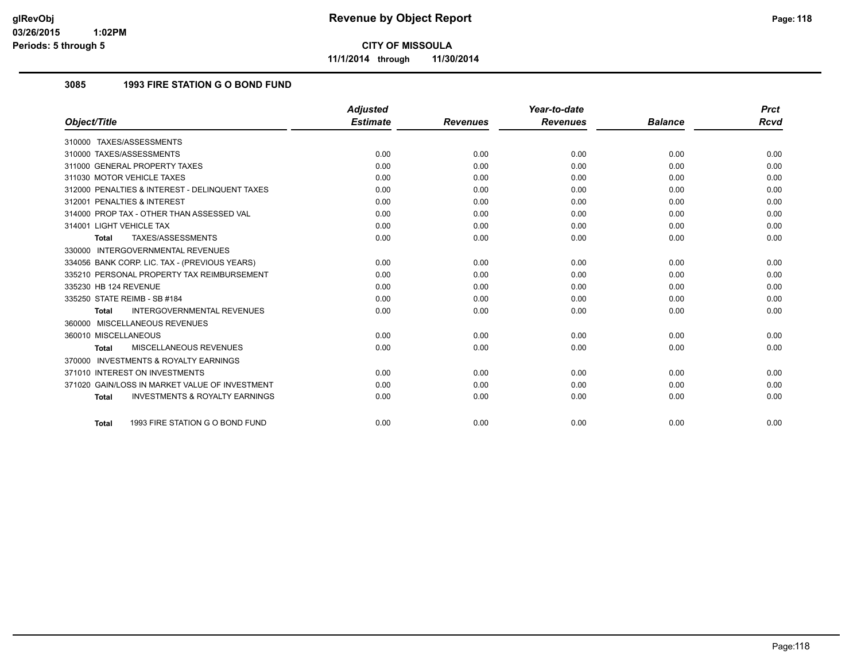**11/1/2014 through 11/30/2014**

### **3085 1993 FIRE STATION G O BOND FUND**

|                                                           | <b>Adjusted</b> |                 | Year-to-date    |                | <b>Prct</b> |
|-----------------------------------------------------------|-----------------|-----------------|-----------------|----------------|-------------|
| Object/Title                                              | <b>Estimate</b> | <b>Revenues</b> | <b>Revenues</b> | <b>Balance</b> | Rcvd        |
| 310000 TAXES/ASSESSMENTS                                  |                 |                 |                 |                |             |
| 310000 TAXES/ASSESSMENTS                                  | 0.00            | 0.00            | 0.00            | 0.00           | 0.00        |
| 311000 GENERAL PROPERTY TAXES                             | 0.00            | 0.00            | 0.00            | 0.00           | 0.00        |
| 311030 MOTOR VEHICLE TAXES                                | 0.00            | 0.00            | 0.00            | 0.00           | 0.00        |
| 312000 PENALTIES & INTEREST - DELINQUENT TAXES            | 0.00            | 0.00            | 0.00            | 0.00           | 0.00        |
| 312001 PENALTIES & INTEREST                               | 0.00            | 0.00            | 0.00            | 0.00           | 0.00        |
| 314000 PROP TAX - OTHER THAN ASSESSED VAL                 | 0.00            | 0.00            | 0.00            | 0.00           | 0.00        |
| 314001 LIGHT VEHICLE TAX                                  | 0.00            | 0.00            | 0.00            | 0.00           | 0.00        |
| TAXES/ASSESSMENTS<br><b>Total</b>                         | 0.00            | 0.00            | 0.00            | 0.00           | 0.00        |
| 330000 INTERGOVERNMENTAL REVENUES                         |                 |                 |                 |                |             |
| 334056 BANK CORP. LIC. TAX - (PREVIOUS YEARS)             | 0.00            | 0.00            | 0.00            | 0.00           | 0.00        |
| 335210 PERSONAL PROPERTY TAX REIMBURSEMENT                | 0.00            | 0.00            | 0.00            | 0.00           | 0.00        |
| 335230 HB 124 REVENUE                                     | 0.00            | 0.00            | 0.00            | 0.00           | 0.00        |
| 335250 STATE REIMB - SB #184                              | 0.00            | 0.00            | 0.00            | 0.00           | 0.00        |
| <b>INTERGOVERNMENTAL REVENUES</b><br><b>Total</b>         | 0.00            | 0.00            | 0.00            | 0.00           | 0.00        |
| 360000 MISCELLANEOUS REVENUES                             |                 |                 |                 |                |             |
| 360010 MISCELLANEOUS                                      | 0.00            | 0.00            | 0.00            | 0.00           | 0.00        |
| MISCELLANEOUS REVENUES<br><b>Total</b>                    | 0.00            | 0.00            | 0.00            | 0.00           | 0.00        |
| 370000 INVESTMENTS & ROYALTY EARNINGS                     |                 |                 |                 |                |             |
| 371010 INTEREST ON INVESTMENTS                            | 0.00            | 0.00            | 0.00            | 0.00           | 0.00        |
| 371020 GAIN/LOSS IN MARKET VALUE OF INVESTMENT            | 0.00            | 0.00            | 0.00            | 0.00           | 0.00        |
| <b>INVESTMENTS &amp; ROYALTY EARNINGS</b><br><b>Total</b> | 0.00            | 0.00            | 0.00            | 0.00           | 0.00        |
| 1993 FIRE STATION G O BOND FUND<br><b>Total</b>           | 0.00            | 0.00            | 0.00            | 0.00           | 0.00        |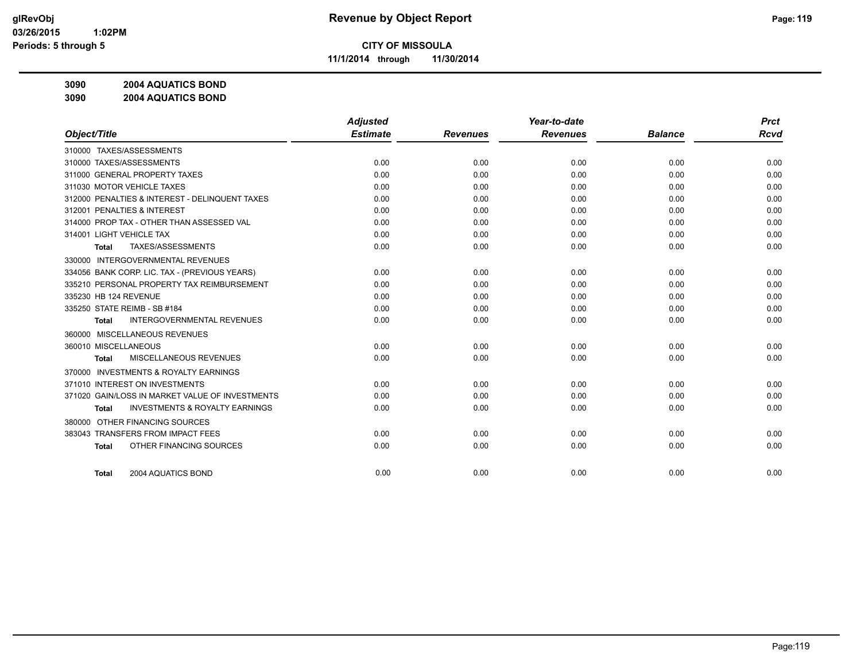**11/1/2014 through 11/30/2014**

**3090 2004 AQUATICS BOND**

**3090 2004 AQUATICS BOND**

|                                                           | <b>Adjusted</b> |                 | Year-to-date    |                | <b>Prct</b> |
|-----------------------------------------------------------|-----------------|-----------------|-----------------|----------------|-------------|
| Object/Title                                              | <b>Estimate</b> | <b>Revenues</b> | <b>Revenues</b> | <b>Balance</b> | <b>Rcvd</b> |
| 310000 TAXES/ASSESSMENTS                                  |                 |                 |                 |                |             |
| 310000 TAXES/ASSESSMENTS                                  | 0.00            | 0.00            | 0.00            | 0.00           | 0.00        |
| 311000 GENERAL PROPERTY TAXES                             | 0.00            | 0.00            | 0.00            | 0.00           | 0.00        |
| 311030 MOTOR VEHICLE TAXES                                | 0.00            | 0.00            | 0.00            | 0.00           | 0.00        |
| 312000 PENALTIES & INTEREST - DELINQUENT TAXES            | 0.00            | 0.00            | 0.00            | 0.00           | 0.00        |
| 312001 PENALTIES & INTEREST                               | 0.00            | 0.00            | 0.00            | 0.00           | 0.00        |
| 314000 PROP TAX - OTHER THAN ASSESSED VAL                 | 0.00            | 0.00            | 0.00            | 0.00           | 0.00        |
| 314001 LIGHT VEHICLE TAX                                  | 0.00            | 0.00            | 0.00            | 0.00           | 0.00        |
| TAXES/ASSESSMENTS<br><b>Total</b>                         | 0.00            | 0.00            | 0.00            | 0.00           | 0.00        |
| 330000 INTERGOVERNMENTAL REVENUES                         |                 |                 |                 |                |             |
| 334056 BANK CORP. LIC. TAX - (PREVIOUS YEARS)             | 0.00            | 0.00            | 0.00            | 0.00           | 0.00        |
| 335210 PERSONAL PROPERTY TAX REIMBURSEMENT                | 0.00            | 0.00            | 0.00            | 0.00           | 0.00        |
| 335230 HB 124 REVENUE                                     | 0.00            | 0.00            | 0.00            | 0.00           | 0.00        |
| 335250 STATE REIMB - SB #184                              | 0.00            | 0.00            | 0.00            | 0.00           | 0.00        |
| <b>INTERGOVERNMENTAL REVENUES</b><br><b>Total</b>         | 0.00            | 0.00            | 0.00            | 0.00           | 0.00        |
| 360000 MISCELLANEOUS REVENUES                             |                 |                 |                 |                |             |
| 360010 MISCELLANEOUS                                      | 0.00            | 0.00            | 0.00            | 0.00           | 0.00        |
| <b>MISCELLANEOUS REVENUES</b><br>Total                    | 0.00            | 0.00            | 0.00            | 0.00           | 0.00        |
| <b>INVESTMENTS &amp; ROYALTY EARNINGS</b><br>370000       |                 |                 |                 |                |             |
| 371010 INTEREST ON INVESTMENTS                            | 0.00            | 0.00            | 0.00            | 0.00           | 0.00        |
| 371020 GAIN/LOSS IN MARKET VALUE OF INVESTMENTS           | 0.00            | 0.00            | 0.00            | 0.00           | 0.00        |
| <b>INVESTMENTS &amp; ROYALTY EARNINGS</b><br><b>Total</b> | 0.00            | 0.00            | 0.00            | 0.00           | 0.00        |
| OTHER FINANCING SOURCES<br>380000                         |                 |                 |                 |                |             |
| 383043 TRANSFERS FROM IMPACT FEES                         | 0.00            | 0.00            | 0.00            | 0.00           | 0.00        |
| OTHER FINANCING SOURCES<br><b>Total</b>                   | 0.00            | 0.00            | 0.00            | 0.00           | 0.00        |
|                                                           |                 |                 |                 |                |             |
| 2004 AQUATICS BOND<br><b>Total</b>                        | 0.00            | 0.00            | 0.00            | 0.00           | 0.00        |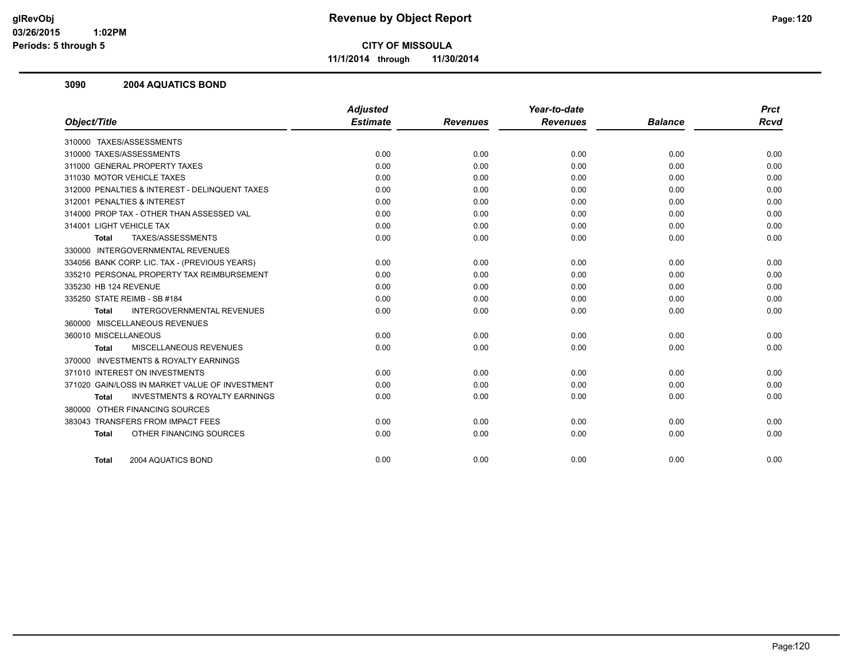**11/1/2014 through 11/30/2014**

#### **3090 2004 AQUATICS BOND**

|                                                    | <b>Adjusted</b> |                 | Year-to-date    |                | Prct        |
|----------------------------------------------------|-----------------|-----------------|-----------------|----------------|-------------|
| Object/Title                                       | <b>Estimate</b> | <b>Revenues</b> | <b>Revenues</b> | <b>Balance</b> | <b>Rcvd</b> |
| 310000 TAXES/ASSESSMENTS                           |                 |                 |                 |                |             |
| 310000 TAXES/ASSESSMENTS                           | 0.00            | 0.00            | 0.00            | 0.00           | 0.00        |
| 311000 GENERAL PROPERTY TAXES                      | 0.00            | 0.00            | 0.00            | 0.00           | 0.00        |
| 311030 MOTOR VEHICLE TAXES                         | 0.00            | 0.00            | 0.00            | 0.00           | 0.00        |
| 312000 PENALTIES & INTEREST - DELINQUENT TAXES     | 0.00            | 0.00            | 0.00            | 0.00           | 0.00        |
| 312001 PENALTIES & INTEREST                        | 0.00            | 0.00            | 0.00            | 0.00           | 0.00        |
| 314000 PROP TAX - OTHER THAN ASSESSED VAL          | 0.00            | 0.00            | 0.00            | 0.00           | 0.00        |
| 314001 LIGHT VEHICLE TAX                           | 0.00            | 0.00            | 0.00            | 0.00           | 0.00        |
| TAXES/ASSESSMENTS<br><b>Total</b>                  | 0.00            | 0.00            | 0.00            | 0.00           | 0.00        |
| 330000 INTERGOVERNMENTAL REVENUES                  |                 |                 |                 |                |             |
| 334056 BANK CORP. LIC. TAX - (PREVIOUS YEARS)      | 0.00            | 0.00            | 0.00            | 0.00           | 0.00        |
| 335210 PERSONAL PROPERTY TAX REIMBURSEMENT         | 0.00            | 0.00            | 0.00            | 0.00           | 0.00        |
| 335230 HB 124 REVENUE                              | 0.00            | 0.00            | 0.00            | 0.00           | 0.00        |
| 335250 STATE REIMB - SB #184                       | 0.00            | 0.00            | 0.00            | 0.00           | 0.00        |
| <b>INTERGOVERNMENTAL REVENUES</b><br><b>Total</b>  | 0.00            | 0.00            | 0.00            | 0.00           | 0.00        |
| 360000 MISCELLANEOUS REVENUES                      |                 |                 |                 |                |             |
| 360010 MISCELLANEOUS                               | 0.00            | 0.00            | 0.00            | 0.00           | 0.00        |
| MISCELLANEOUS REVENUES<br>Total                    | 0.00            | 0.00            | 0.00            | 0.00           | 0.00        |
| 370000 INVESTMENTS & ROYALTY EARNINGS              |                 |                 |                 |                |             |
| 371010 INTEREST ON INVESTMENTS                     | 0.00            | 0.00            | 0.00            | 0.00           | 0.00        |
| 371020 GAIN/LOSS IN MARKET VALUE OF INVESTMENT     | 0.00            | 0.00            | 0.00            | 0.00           | 0.00        |
| <b>INVESTMENTS &amp; ROYALTY EARNINGS</b><br>Total | 0.00            | 0.00            | 0.00            | 0.00           | 0.00        |
| 380000 OTHER FINANCING SOURCES                     |                 |                 |                 |                |             |
| 383043 TRANSFERS FROM IMPACT FEES                  | 0.00            | 0.00            | 0.00            | 0.00           | 0.00        |
| OTHER FINANCING SOURCES<br><b>Total</b>            | 0.00            | 0.00            | 0.00            | 0.00           | 0.00        |
| 2004 AQUATICS BOND<br>Total                        | 0.00            | 0.00            | 0.00            | 0.00           | 0.00        |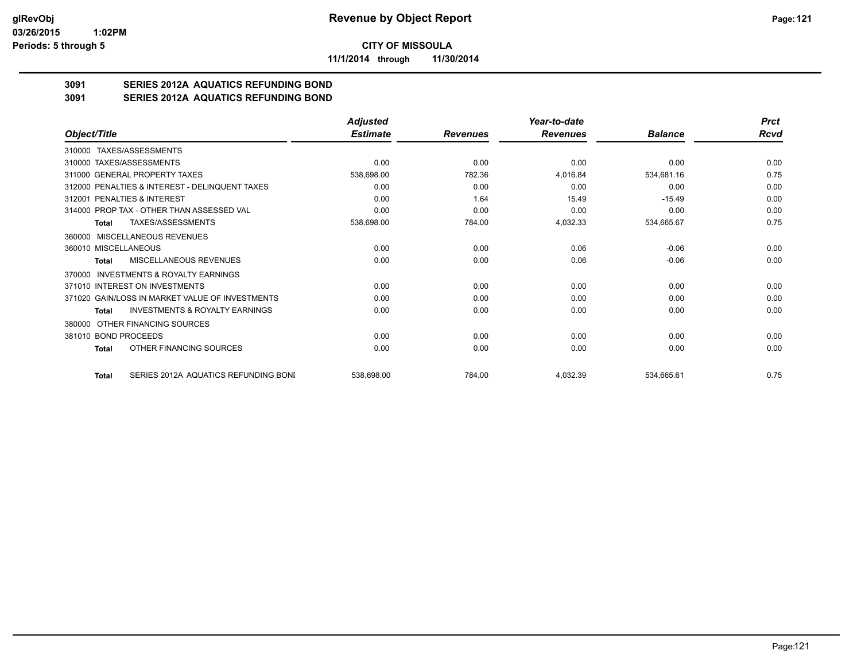**11/1/2014 through 11/30/2014**

# **3091 SERIES 2012A AQUATICS REFUNDING BOND**

**3091 SERIES 2012A AQUATICS REFUNDING BOND**

|                                                           | <b>Adjusted</b> |                 | Year-to-date    |                | <b>Prct</b> |
|-----------------------------------------------------------|-----------------|-----------------|-----------------|----------------|-------------|
| Object/Title                                              | <b>Estimate</b> | <b>Revenues</b> | <b>Revenues</b> | <b>Balance</b> | Rcvd        |
| 310000 TAXES/ASSESSMENTS                                  |                 |                 |                 |                |             |
| 310000 TAXES/ASSESSMENTS                                  | 0.00            | 0.00            | 0.00            | 0.00           | 0.00        |
| 311000 GENERAL PROPERTY TAXES                             | 538,698.00      | 782.36          | 4,016.84        | 534,681.16     | 0.75        |
| 312000 PENALTIES & INTEREST - DELINQUENT TAXES            | 0.00            | 0.00            | 0.00            | 0.00           | 0.00        |
| 312001 PENALTIES & INTEREST                               | 0.00            | 1.64            | 15.49           | $-15.49$       | 0.00        |
| 314000 PROP TAX - OTHER THAN ASSESSED VAL                 | 0.00            | 0.00            | 0.00            | 0.00           | 0.00        |
| TAXES/ASSESSMENTS<br>Total                                | 538,698.00      | 784.00          | 4,032.33        | 534,665.67     | 0.75        |
| 360000 MISCELLANEOUS REVENUES                             |                 |                 |                 |                |             |
| 360010 MISCELLANEOUS                                      | 0.00            | 0.00            | 0.06            | $-0.06$        | 0.00        |
| MISCELLANEOUS REVENUES<br>Total                           | 0.00            | 0.00            | 0.06            | $-0.06$        | 0.00        |
| INVESTMENTS & ROYALTY EARNINGS<br>370000                  |                 |                 |                 |                |             |
| 371010 INTEREST ON INVESTMENTS                            | 0.00            | 0.00            | 0.00            | 0.00           | 0.00        |
| 371020 GAIN/LOSS IN MARKET VALUE OF INVESTMENTS           | 0.00            | 0.00            | 0.00            | 0.00           | 0.00        |
| <b>INVESTMENTS &amp; ROYALTY EARNINGS</b><br><b>Total</b> | 0.00            | 0.00            | 0.00            | 0.00           | 0.00        |
| OTHER FINANCING SOURCES<br>380000                         |                 |                 |                 |                |             |
| 381010 BOND PROCEEDS                                      | 0.00            | 0.00            | 0.00            | 0.00           | 0.00        |
| OTHER FINANCING SOURCES<br>Total                          | 0.00            | 0.00            | 0.00            | 0.00           | 0.00        |
| SERIES 2012A AQUATICS REFUNDING BONI<br>Total             | 538,698.00      | 784.00          | 4,032.39        | 534,665.61     | 0.75        |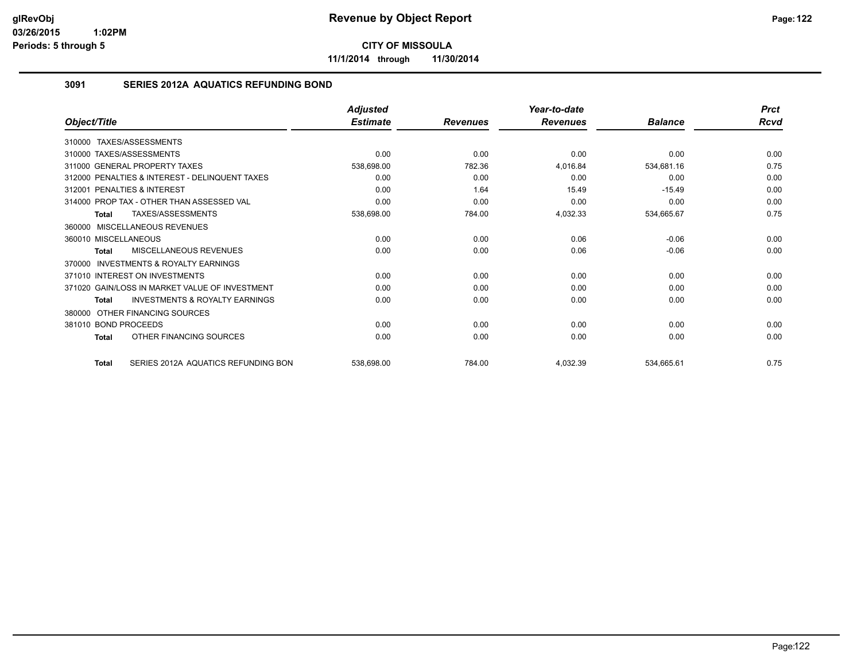**11/1/2014 through 11/30/2014**

#### **3091 SERIES 2012A AQUATICS REFUNDING BOND**

|                                                     | <b>Adjusted</b> |                 | Year-to-date    |                | <b>Prct</b> |
|-----------------------------------------------------|-----------------|-----------------|-----------------|----------------|-------------|
| Object/Title                                        | <b>Estimate</b> | <b>Revenues</b> | <b>Revenues</b> | <b>Balance</b> | Rcvd        |
| TAXES/ASSESSMENTS<br>310000                         |                 |                 |                 |                |             |
| 310000 TAXES/ASSESSMENTS                            | 0.00            | 0.00            | 0.00            | 0.00           | 0.00        |
| 311000 GENERAL PROPERTY TAXES                       | 538,698.00      | 782.36          | 4,016.84        | 534,681.16     | 0.75        |
| 312000 PENALTIES & INTEREST - DELINQUENT TAXES      | 0.00            | 0.00            | 0.00            | 0.00           | 0.00        |
| 312001 PENALTIES & INTEREST                         | 0.00            | 1.64            | 15.49           | $-15.49$       | 0.00        |
| 314000 PROP TAX - OTHER THAN ASSESSED VAL           | 0.00            | 0.00            | 0.00            | 0.00           | 0.00        |
| TAXES/ASSESSMENTS<br><b>Total</b>                   | 538,698.00      | 784.00          | 4,032.33        | 534,665.67     | 0.75        |
| MISCELLANEOUS REVENUES<br>360000                    |                 |                 |                 |                |             |
| 360010 MISCELLANEOUS                                | 0.00            | 0.00            | 0.06            | $-0.06$        | 0.00        |
| <b>MISCELLANEOUS REVENUES</b><br><b>Total</b>       | 0.00            | 0.00            | 0.06            | $-0.06$        | 0.00        |
| <b>INVESTMENTS &amp; ROYALTY EARNINGS</b><br>370000 |                 |                 |                 |                |             |
| 371010 INTEREST ON INVESTMENTS                      | 0.00            | 0.00            | 0.00            | 0.00           | 0.00        |
| 371020 GAIN/LOSS IN MARKET VALUE OF INVESTMENT      | 0.00            | 0.00            | 0.00            | 0.00           | 0.00        |
| INVESTMENTS & ROYALTY EARNINGS<br><b>Total</b>      | 0.00            | 0.00            | 0.00            | 0.00           | 0.00        |
| OTHER FINANCING SOURCES<br>380000                   |                 |                 |                 |                |             |
| 381010 BOND PROCEEDS                                | 0.00            | 0.00            | 0.00            | 0.00           | 0.00        |
| OTHER FINANCING SOURCES<br><b>Total</b>             | 0.00            | 0.00            | 0.00            | 0.00           | 0.00        |
| SERIES 2012A AQUATICS REFUNDING BON<br><b>Total</b> | 538,698.00      | 784.00          | 4,032.39        | 534,665.61     | 0.75        |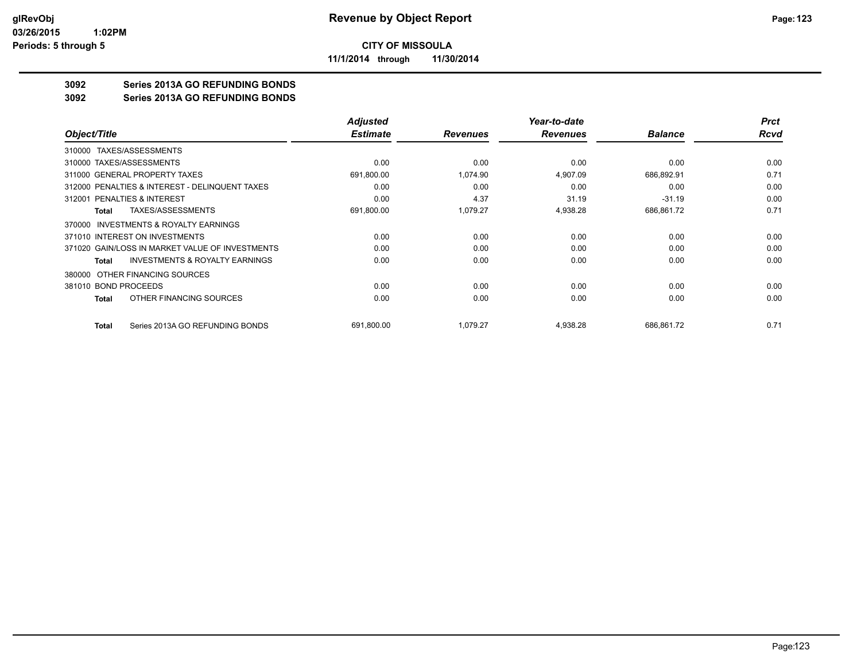**11/1/2014 through 11/30/2014**

## **3092 Series 2013A GO REFUNDING BONDS**

**3092 Series 2013A GO REFUNDING BONDS**

|                                                     | <b>Adjusted</b> |                 | Year-to-date    |                | <b>Prct</b> |
|-----------------------------------------------------|-----------------|-----------------|-----------------|----------------|-------------|
| Object/Title                                        | <b>Estimate</b> | <b>Revenues</b> | <b>Revenues</b> | <b>Balance</b> | Rcvd        |
| TAXES/ASSESSMENTS<br>310000                         |                 |                 |                 |                |             |
| 310000 TAXES/ASSESSMENTS                            | 0.00            | 0.00            | 0.00            | 0.00           | 0.00        |
| 311000 GENERAL PROPERTY TAXES                       | 691,800.00      | 1,074.90        | 4,907.09        | 686,892.91     | 0.71        |
| 312000 PENALTIES & INTEREST - DELINQUENT TAXES      | 0.00            | 0.00            | 0.00            | 0.00           | 0.00        |
| 312001 PENALTIES & INTEREST                         | 0.00            | 4.37            | 31.19           | $-31.19$       | 0.00        |
| <b>TAXES/ASSESSMENTS</b><br>Total                   | 691,800.00      | 1,079.27        | 4,938.28        | 686,861.72     | 0.71        |
| <b>INVESTMENTS &amp; ROYALTY EARNINGS</b><br>370000 |                 |                 |                 |                |             |
| 371010 INTEREST ON INVESTMENTS                      | 0.00            | 0.00            | 0.00            | 0.00           | 0.00        |
| 371020 GAIN/LOSS IN MARKET VALUE OF INVESTMENTS     | 0.00            | 0.00            | 0.00            | 0.00           | 0.00        |
| <b>INVESTMENTS &amp; ROYALTY EARNINGS</b><br>Total  | 0.00            | 0.00            | 0.00            | 0.00           | 0.00        |
| OTHER FINANCING SOURCES<br>380000                   |                 |                 |                 |                |             |
| 381010 BOND PROCEEDS                                | 0.00            | 0.00            | 0.00            | 0.00           | 0.00        |
| OTHER FINANCING SOURCES<br>Total                    | 0.00            | 0.00            | 0.00            | 0.00           | 0.00        |
| Series 2013A GO REFUNDING BONDS<br>Total            | 691,800.00      | 1,079.27        | 4,938.28        | 686.861.72     | 0.71        |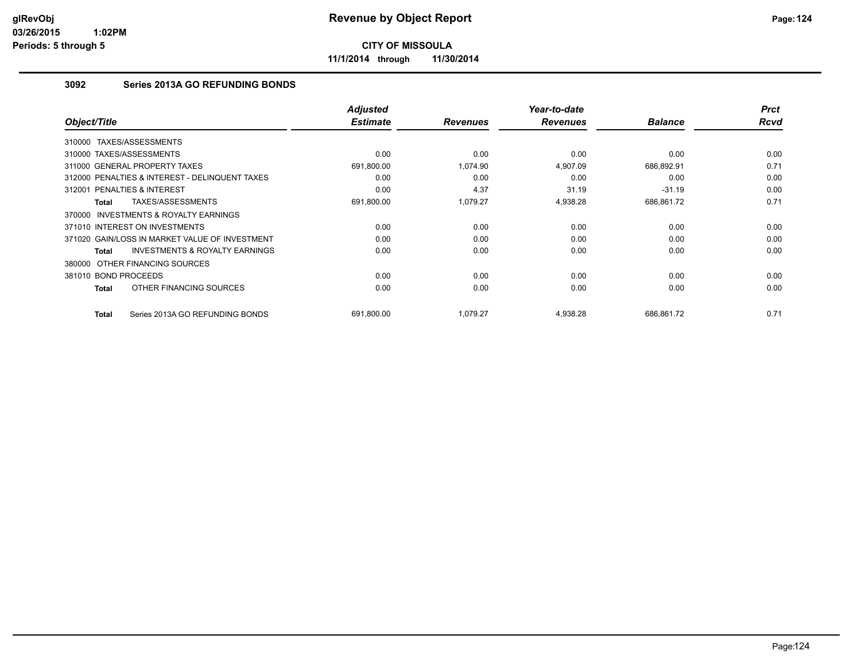**11/1/2014 through 11/30/2014**

### **3092 Series 2013A GO REFUNDING BONDS**

| Object/Title                                        | <b>Adjusted</b><br><b>Estimate</b> | <b>Revenues</b> | Year-to-date<br><b>Revenues</b> | <b>Balance</b> | <b>Prct</b><br><b>Rcvd</b> |
|-----------------------------------------------------|------------------------------------|-----------------|---------------------------------|----------------|----------------------------|
| TAXES/ASSESSMENTS<br>310000                         |                                    |                 |                                 |                |                            |
| 310000 TAXES/ASSESSMENTS                            | 0.00                               | 0.00            | 0.00                            | 0.00           | 0.00                       |
| 311000 GENERAL PROPERTY TAXES                       | 691,800.00                         | 1.074.90        | 4,907.09                        | 686,892.91     | 0.71                       |
| 312000 PENALTIES & INTEREST - DELINQUENT TAXES      | 0.00                               | 0.00            | 0.00                            | 0.00           | 0.00                       |
| 312001 PENALTIES & INTEREST                         | 0.00                               | 4.37            | 31.19                           | $-31.19$       | 0.00                       |
| TAXES/ASSESSMENTS<br>Total                          | 691,800.00                         | 1.079.27        | 4,938.28                        | 686,861.72     | 0.71                       |
| <b>INVESTMENTS &amp; ROYALTY EARNINGS</b><br>370000 |                                    |                 |                                 |                |                            |
| 371010 INTEREST ON INVESTMENTS                      | 0.00                               | 0.00            | 0.00                            | 0.00           | 0.00                       |
| 371020 GAIN/LOSS IN MARKET VALUE OF INVESTMENT      | 0.00                               | 0.00            | 0.00                            | 0.00           | 0.00                       |
| <b>INVESTMENTS &amp; ROYALTY EARNINGS</b><br>Total  | 0.00                               | 0.00            | 0.00                            | 0.00           | 0.00                       |
| 380000 OTHER FINANCING SOURCES                      |                                    |                 |                                 |                |                            |
| 381010 BOND PROCEEDS                                | 0.00                               | 0.00            | 0.00                            | 0.00           | 0.00                       |
| OTHER FINANCING SOURCES<br>Total                    | 0.00                               | 0.00            | 0.00                            | 0.00           | 0.00                       |
| Series 2013A GO REFUNDING BONDS<br>Total            | 691,800.00                         | 1,079.27        | 4,938.28                        | 686,861.72     | 0.71                       |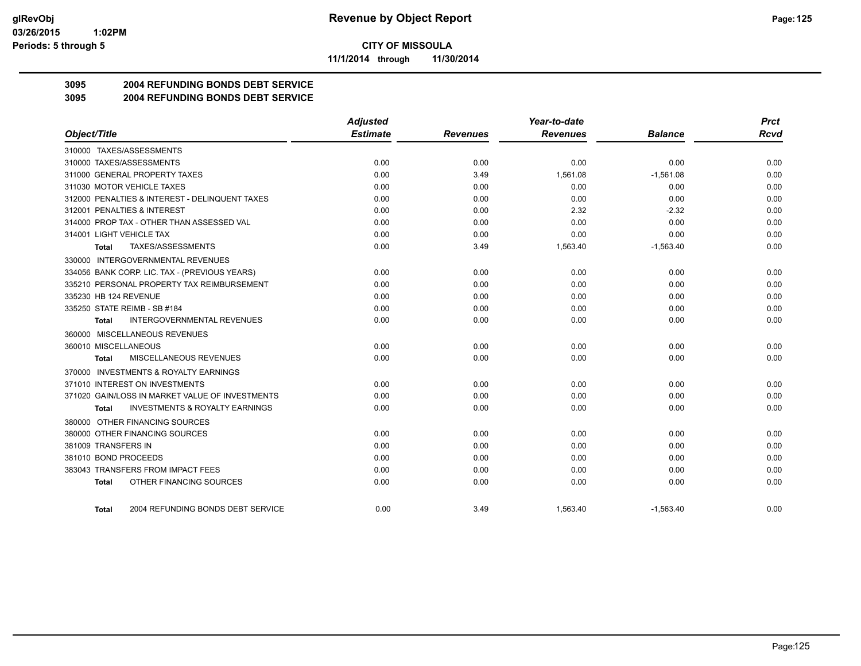**11/1/2014 through 11/30/2014**

# **3095 2004 REFUNDING BONDS DEBT SERVICE**

#### **3095 2004 REFUNDING BONDS DEBT SERVICE**

|                          |                                                 | <b>Adjusted</b> |                 | Year-to-date    |                | <b>Prct</b> |
|--------------------------|-------------------------------------------------|-----------------|-----------------|-----------------|----------------|-------------|
| Object/Title             |                                                 | <b>Estimate</b> | <b>Revenues</b> | <b>Revenues</b> | <b>Balance</b> | <b>Rcvd</b> |
|                          | 310000 TAXES/ASSESSMENTS                        |                 |                 |                 |                |             |
|                          | 310000 TAXES/ASSESSMENTS                        | 0.00            | 0.00            | 0.00            | 0.00           | 0.00        |
|                          | 311000 GENERAL PROPERTY TAXES                   | 0.00            | 3.49            | 1,561.08        | $-1,561.08$    | 0.00        |
|                          | 311030 MOTOR VEHICLE TAXES                      | 0.00            | 0.00            | 0.00            | 0.00           | 0.00        |
|                          | 312000 PENALTIES & INTEREST - DELINQUENT TAXES  | 0.00            | 0.00            | 0.00            | 0.00           | 0.00        |
|                          | 312001 PENALTIES & INTEREST                     | 0.00            | 0.00            | 2.32            | $-2.32$        | 0.00        |
|                          | 314000 PROP TAX - OTHER THAN ASSESSED VAL       | 0.00            | 0.00            | 0.00            | 0.00           | 0.00        |
| 314001 LIGHT VEHICLE TAX |                                                 | 0.00            | 0.00            | 0.00            | 0.00           | 0.00        |
| Total                    | TAXES/ASSESSMENTS                               | 0.00            | 3.49            | 1,563.40        | $-1,563.40$    | 0.00        |
|                          | 330000 INTERGOVERNMENTAL REVENUES               |                 |                 |                 |                |             |
|                          | 334056 BANK CORP. LIC. TAX - (PREVIOUS YEARS)   | 0.00            | 0.00            | 0.00            | 0.00           | 0.00        |
|                          | 335210 PERSONAL PROPERTY TAX REIMBURSEMENT      | 0.00            | 0.00            | 0.00            | 0.00           | 0.00        |
| 335230 HB 124 REVENUE    |                                                 | 0.00            | 0.00            | 0.00            | 0.00           | 0.00        |
|                          | 335250 STATE REIMB - SB #184                    | 0.00            | 0.00            | 0.00            | 0.00           | 0.00        |
| Total                    | <b>INTERGOVERNMENTAL REVENUES</b>               | 0.00            | 0.00            | 0.00            | 0.00           | 0.00        |
|                          | 360000 MISCELLANEOUS REVENUES                   |                 |                 |                 |                |             |
| 360010 MISCELLANEOUS     |                                                 | 0.00            | 0.00            | 0.00            | 0.00           | 0.00        |
| <b>Total</b>             | <b>MISCELLANEOUS REVENUES</b>                   | 0.00            | 0.00            | 0.00            | 0.00           | 0.00        |
|                          | 370000 INVESTMENTS & ROYALTY EARNINGS           |                 |                 |                 |                |             |
|                          | 371010 INTEREST ON INVESTMENTS                  | 0.00            | 0.00            | 0.00            | 0.00           | 0.00        |
|                          | 371020 GAIN/LOSS IN MARKET VALUE OF INVESTMENTS | 0.00            | 0.00            | 0.00            | 0.00           | 0.00        |
| Total                    | <b>INVESTMENTS &amp; ROYALTY EARNINGS</b>       | 0.00            | 0.00            | 0.00            | 0.00           | 0.00        |
|                          | 380000 OTHER FINANCING SOURCES                  |                 |                 |                 |                |             |
|                          | 380000 OTHER FINANCING SOURCES                  | 0.00            | 0.00            | 0.00            | 0.00           | 0.00        |
| 381009 TRANSFERS IN      |                                                 | 0.00            | 0.00            | 0.00            | 0.00           | 0.00        |
| 381010 BOND PROCEEDS     |                                                 | 0.00            | 0.00            | 0.00            | 0.00           | 0.00        |
|                          | 383043 TRANSFERS FROM IMPACT FEES               | 0.00            | 0.00            | 0.00            | 0.00           | 0.00        |
| Total                    | OTHER FINANCING SOURCES                         | 0.00            | 0.00            | 0.00            | 0.00           | 0.00        |
| Total                    | 2004 REFUNDING BONDS DEBT SERVICE               | 0.00            | 3.49            | 1,563.40        | $-1,563.40$    | 0.00        |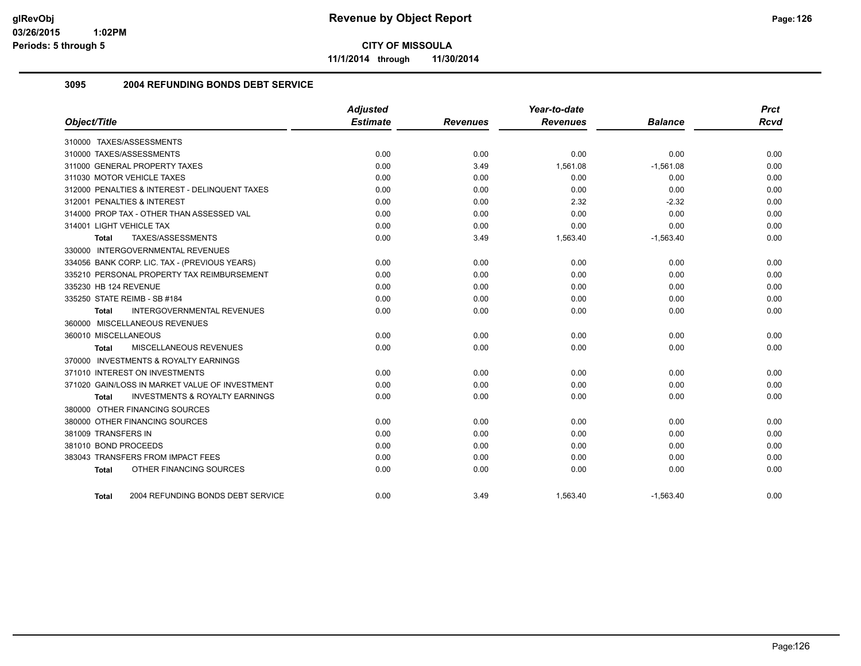**11/1/2014 through 11/30/2014**

#### **3095 2004 REFUNDING BONDS DEBT SERVICE**

| Object/Title                                              | <b>Adjusted</b><br><b>Estimate</b> | <b>Revenues</b> | Year-to-date<br><b>Revenues</b> | <b>Balance</b> | <b>Prct</b><br><b>Rcvd</b> |
|-----------------------------------------------------------|------------------------------------|-----------------|---------------------------------|----------------|----------------------------|
|                                                           |                                    |                 |                                 |                |                            |
| 310000 TAXES/ASSESSMENTS                                  |                                    |                 |                                 |                |                            |
| 310000 TAXES/ASSESSMENTS                                  | 0.00                               | 0.00            | 0.00                            | 0.00           | 0.00                       |
| 311000 GENERAL PROPERTY TAXES                             | 0.00                               | 3.49            | 1,561.08                        | $-1,561.08$    | 0.00                       |
| 311030 MOTOR VEHICLE TAXES                                | 0.00                               | 0.00            | 0.00                            | 0.00           | 0.00                       |
| 312000 PENALTIES & INTEREST - DELINQUENT TAXES            | 0.00                               | 0.00            | 0.00                            | 0.00           | 0.00                       |
| 312001 PENALTIES & INTEREST                               | 0.00                               | 0.00            | 2.32                            | $-2.32$        | 0.00                       |
| 314000 PROP TAX - OTHER THAN ASSESSED VAL                 | 0.00                               | 0.00            | 0.00                            | 0.00           | 0.00                       |
| 314001 LIGHT VEHICLE TAX                                  | 0.00                               | 0.00            | 0.00                            | 0.00           | 0.00                       |
| TAXES/ASSESSMENTS<br><b>Total</b>                         | 0.00                               | 3.49            | 1,563.40                        | $-1,563.40$    | 0.00                       |
| 330000 INTERGOVERNMENTAL REVENUES                         |                                    |                 |                                 |                |                            |
| 334056 BANK CORP. LIC. TAX - (PREVIOUS YEARS)             | 0.00                               | 0.00            | 0.00                            | 0.00           | 0.00                       |
| 335210 PERSONAL PROPERTY TAX REIMBURSEMENT                | 0.00                               | 0.00            | 0.00                            | 0.00           | 0.00                       |
| 335230 HB 124 REVENUE                                     | 0.00                               | 0.00            | 0.00                            | 0.00           | 0.00                       |
| 335250 STATE REIMB - SB #184                              | 0.00                               | 0.00            | 0.00                            | 0.00           | 0.00                       |
| <b>INTERGOVERNMENTAL REVENUES</b><br><b>Total</b>         | 0.00                               | 0.00            | 0.00                            | 0.00           | 0.00                       |
| 360000 MISCELLANEOUS REVENUES                             |                                    |                 |                                 |                |                            |
| 360010 MISCELLANEOUS                                      | 0.00                               | 0.00            | 0.00                            | 0.00           | 0.00                       |
| MISCELLANEOUS REVENUES<br><b>Total</b>                    | 0.00                               | 0.00            | 0.00                            | 0.00           | 0.00                       |
| 370000 INVESTMENTS & ROYALTY EARNINGS                     |                                    |                 |                                 |                |                            |
| 371010 INTEREST ON INVESTMENTS                            | 0.00                               | 0.00            | 0.00                            | 0.00           | 0.00                       |
| 371020 GAIN/LOSS IN MARKET VALUE OF INVESTMENT            | 0.00                               | 0.00            | 0.00                            | 0.00           | 0.00                       |
| <b>INVESTMENTS &amp; ROYALTY EARNINGS</b><br><b>Total</b> | 0.00                               | 0.00            | 0.00                            | 0.00           | 0.00                       |
| 380000 OTHER FINANCING SOURCES                            |                                    |                 |                                 |                |                            |
| 380000 OTHER FINANCING SOURCES                            | 0.00                               | 0.00            | 0.00                            | 0.00           | 0.00                       |
| 381009 TRANSFERS IN                                       | 0.00                               | 0.00            | 0.00                            | 0.00           | 0.00                       |
| 381010 BOND PROCEEDS                                      | 0.00                               | 0.00            | 0.00                            | 0.00           | 0.00                       |
| 383043 TRANSFERS FROM IMPACT FEES                         | 0.00                               | 0.00            | 0.00                            | 0.00           | 0.00                       |
| OTHER FINANCING SOURCES<br><b>Total</b>                   | 0.00                               | 0.00            | 0.00                            | 0.00           | 0.00                       |
|                                                           |                                    |                 |                                 |                |                            |
| 2004 REFUNDING BONDS DEBT SERVICE<br>Total                | 0.00                               | 3.49            | 1,563.40                        | $-1,563.40$    | 0.00                       |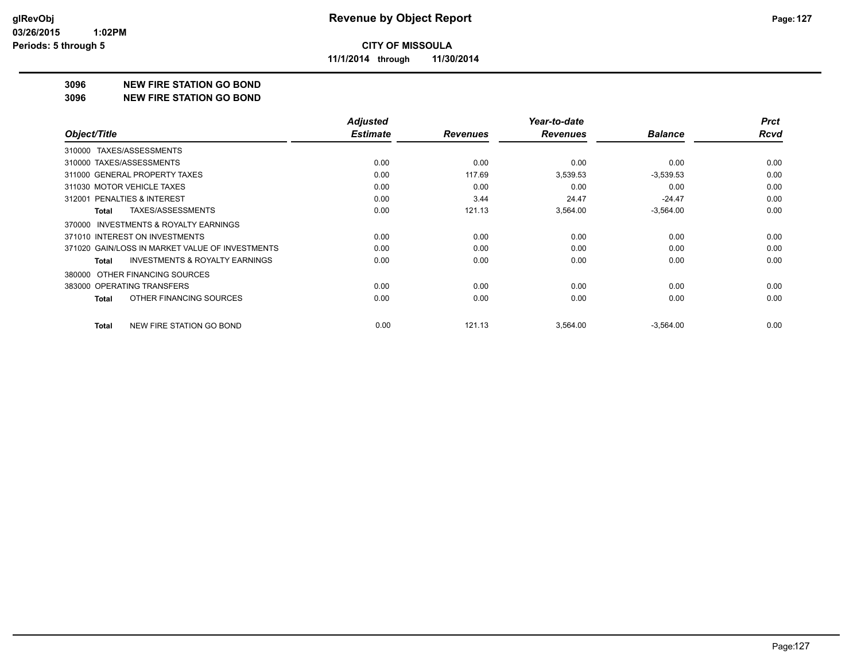**11/1/2014 through 11/30/2014**

#### **3096 NEW FIRE STATION GO BOND**

**3096 NEW FIRE STATION GO BOND**

|                                                    | <b>Adjusted</b> |                 | Year-to-date    |                | <b>Prct</b> |
|----------------------------------------------------|-----------------|-----------------|-----------------|----------------|-------------|
| Object/Title                                       | <b>Estimate</b> | <b>Revenues</b> | <b>Revenues</b> | <b>Balance</b> | <b>Rcvd</b> |
| TAXES/ASSESSMENTS<br>310000                        |                 |                 |                 |                |             |
| 310000 TAXES/ASSESSMENTS                           | 0.00            | 0.00            | 0.00            | 0.00           | 0.00        |
| 311000 GENERAL PROPERTY TAXES                      | 0.00            | 117.69          | 3,539.53        | $-3,539.53$    | 0.00        |
| 311030 MOTOR VEHICLE TAXES                         | 0.00            | 0.00            | 0.00            | 0.00           | 0.00        |
| 312001 PENALTIES & INTEREST                        | 0.00            | 3.44            | 24.47           | $-24.47$       | 0.00        |
| TAXES/ASSESSMENTS<br><b>Total</b>                  | 0.00            | 121.13          | 3,564.00        | $-3,564.00$    | 0.00        |
| 370000 INVESTMENTS & ROYALTY EARNINGS              |                 |                 |                 |                |             |
| 371010 INTEREST ON INVESTMENTS                     | 0.00            | 0.00            | 0.00            | 0.00           | 0.00        |
| 371020 GAIN/LOSS IN MARKET VALUE OF INVESTMENTS    | 0.00            | 0.00            | 0.00            | 0.00           | 0.00        |
| <b>INVESTMENTS &amp; ROYALTY EARNINGS</b><br>Total | 0.00            | 0.00            | 0.00            | 0.00           | 0.00        |
| OTHER FINANCING SOURCES<br>380000                  |                 |                 |                 |                |             |
| 383000 OPERATING TRANSFERS                         | 0.00            | 0.00            | 0.00            | 0.00           | 0.00        |
| OTHER FINANCING SOURCES<br>Total                   | 0.00            | 0.00            | 0.00            | 0.00           | 0.00        |
| NEW FIRE STATION GO BOND<br><b>Total</b>           | 0.00            | 121.13          | 3,564.00        | $-3,564.00$    | 0.00        |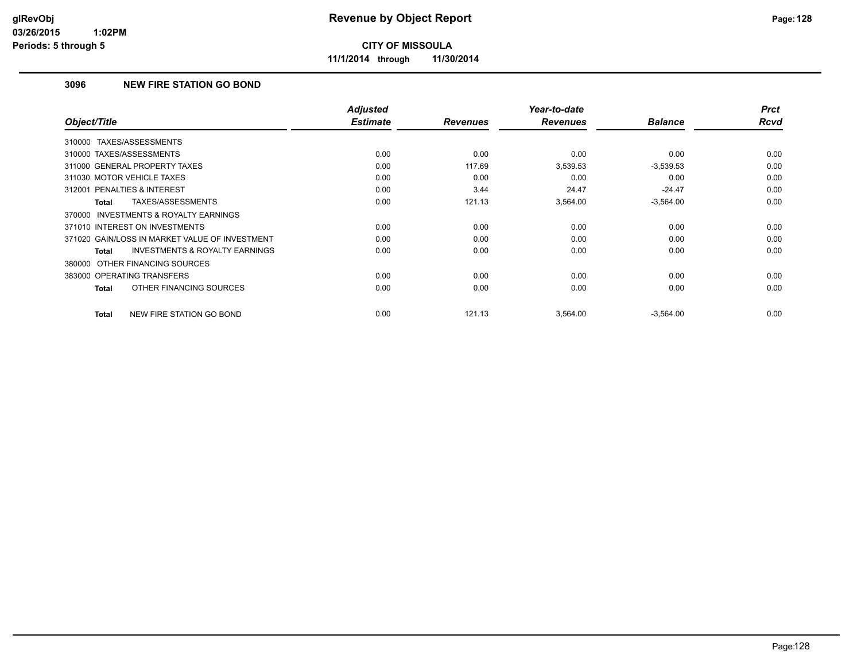**11/1/2014 through 11/30/2014**

### **3096 NEW FIRE STATION GO BOND**

| Object/Title                                       | <b>Adjusted</b><br><b>Estimate</b> | <b>Revenues</b> | Year-to-date<br><b>Revenues</b> | <b>Balance</b> | <b>Prct</b><br><b>Rcvd</b> |
|----------------------------------------------------|------------------------------------|-----------------|---------------------------------|----------------|----------------------------|
| 310000 TAXES/ASSESSMENTS                           |                                    |                 |                                 |                |                            |
| 310000 TAXES/ASSESSMENTS                           | 0.00                               | 0.00            | 0.00                            | 0.00           | 0.00                       |
| 311000 GENERAL PROPERTY TAXES                      | 0.00                               | 117.69          | 3,539.53                        | $-3,539.53$    | 0.00                       |
| 311030 MOTOR VEHICLE TAXES                         | 0.00                               | 0.00            | 0.00                            | 0.00           | 0.00                       |
| PENALTIES & INTEREST<br>312001                     | 0.00                               | 3.44            | 24.47                           | $-24.47$       | 0.00                       |
| TAXES/ASSESSMENTS<br>Total                         | 0.00                               | 121.13          | 3,564.00                        | $-3,564.00$    | 0.00                       |
| 370000 INVESTMENTS & ROYALTY EARNINGS              |                                    |                 |                                 |                |                            |
| 371010 INTEREST ON INVESTMENTS                     | 0.00                               | 0.00            | 0.00                            | 0.00           | 0.00                       |
| 371020 GAIN/LOSS IN MARKET VALUE OF INVESTMENT     | 0.00                               | 0.00            | 0.00                            | 0.00           | 0.00                       |
| <b>INVESTMENTS &amp; ROYALTY EARNINGS</b><br>Total | 0.00                               | 0.00            | 0.00                            | 0.00           | 0.00                       |
| 380000 OTHER FINANCING SOURCES                     |                                    |                 |                                 |                |                            |
| 383000 OPERATING TRANSFERS                         | 0.00                               | 0.00            | 0.00                            | 0.00           | 0.00                       |
| OTHER FINANCING SOURCES<br>Total                   | 0.00                               | 0.00            | 0.00                            | 0.00           | 0.00                       |
|                                                    |                                    |                 |                                 |                |                            |
| NEW FIRE STATION GO BOND<br>Total                  | 0.00                               | 121.13          | 3,564.00                        | $-3,564.00$    | 0.00                       |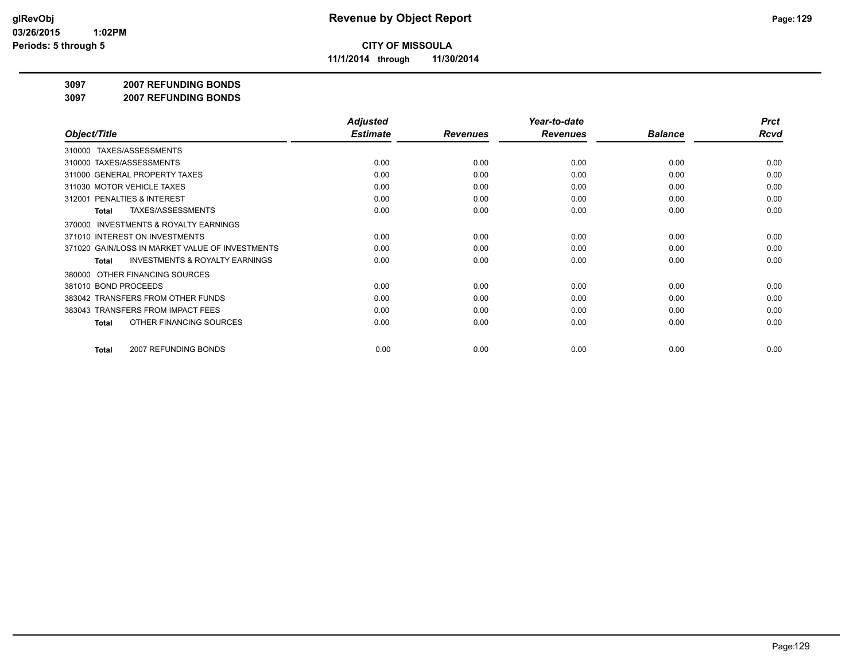**11/1/2014 through 11/30/2014**

#### **3097 2007 REFUNDING BONDS**

**3097 2007 REFUNDING BONDS**

|                                                     | <b>Adjusted</b> |                 | Year-to-date    |                | <b>Prct</b> |
|-----------------------------------------------------|-----------------|-----------------|-----------------|----------------|-------------|
| Object/Title                                        | <b>Estimate</b> | <b>Revenues</b> | <b>Revenues</b> | <b>Balance</b> | <b>Rcvd</b> |
| 310000 TAXES/ASSESSMENTS                            |                 |                 |                 |                |             |
| 310000 TAXES/ASSESSMENTS                            | 0.00            | 0.00            | 0.00            | 0.00           | 0.00        |
| 311000 GENERAL PROPERTY TAXES                       | 0.00            | 0.00            | 0.00            | 0.00           | 0.00        |
| 311030 MOTOR VEHICLE TAXES                          | 0.00            | 0.00            | 0.00            | 0.00           | 0.00        |
| 312001 PENALTIES & INTEREST                         | 0.00            | 0.00            | 0.00            | 0.00           | 0.00        |
| <b>TAXES/ASSESSMENTS</b><br><b>Total</b>            | 0.00            | 0.00            | 0.00            | 0.00           | 0.00        |
| <b>INVESTMENTS &amp; ROYALTY EARNINGS</b><br>370000 |                 |                 |                 |                |             |
| 371010 INTEREST ON INVESTMENTS                      | 0.00            | 0.00            | 0.00            | 0.00           | 0.00        |
| 371020 GAIN/LOSS IN MARKET VALUE OF INVESTMENTS     | 0.00            | 0.00            | 0.00            | 0.00           | 0.00        |
| <b>INVESTMENTS &amp; ROYALTY EARNINGS</b><br>Total  | 0.00            | 0.00            | 0.00            | 0.00           | 0.00        |
| OTHER FINANCING SOURCES<br>380000                   |                 |                 |                 |                |             |
| 381010 BOND PROCEEDS                                | 0.00            | 0.00            | 0.00            | 0.00           | 0.00        |
| 383042 TRANSFERS FROM OTHER FUNDS                   | 0.00            | 0.00            | 0.00            | 0.00           | 0.00        |
| 383043 TRANSFERS FROM IMPACT FEES                   | 0.00            | 0.00            | 0.00            | 0.00           | 0.00        |
| OTHER FINANCING SOURCES<br>Total                    | 0.00            | 0.00            | 0.00            | 0.00           | 0.00        |
| 2007 REFUNDING BONDS<br>Total                       | 0.00            | 0.00            | 0.00            | 0.00           | 0.00        |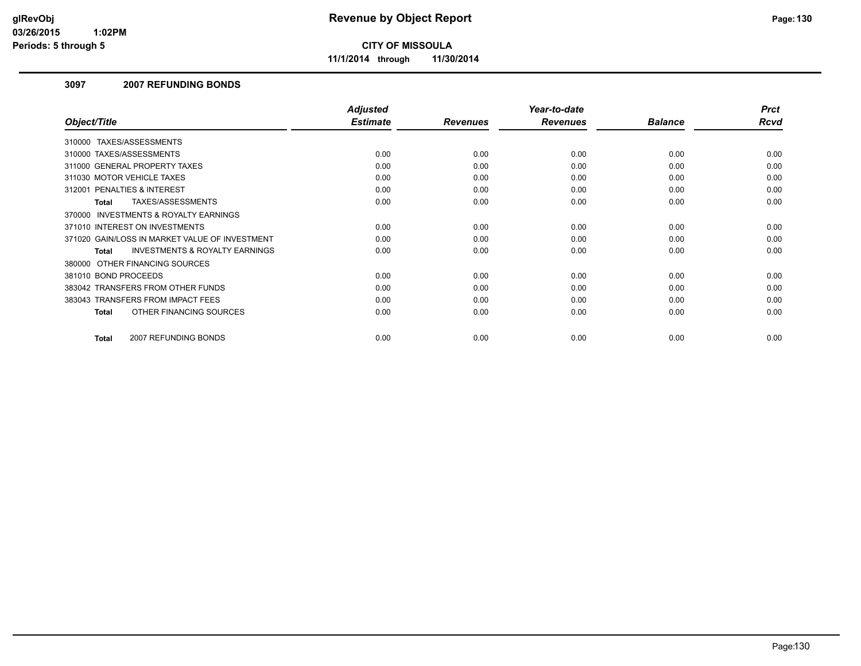**11/1/2014 through 11/30/2014**

#### **3097 2007 REFUNDING BONDS**

|                                                    | <b>Adjusted</b> |                 | Year-to-date    |                | <b>Prct</b> |
|----------------------------------------------------|-----------------|-----------------|-----------------|----------------|-------------|
| Object/Title                                       | <b>Estimate</b> | <b>Revenues</b> | <b>Revenues</b> | <b>Balance</b> | Rcvd        |
| 310000 TAXES/ASSESSMENTS                           |                 |                 |                 |                |             |
| 310000 TAXES/ASSESSMENTS                           | 0.00            | 0.00            | 0.00            | 0.00           | 0.00        |
| 311000 GENERAL PROPERTY TAXES                      | 0.00            | 0.00            | 0.00            | 0.00           | 0.00        |
| 311030 MOTOR VEHICLE TAXES                         | 0.00            | 0.00            | 0.00            | 0.00           | 0.00        |
| 312001 PENALTIES & INTEREST                        | 0.00            | 0.00            | 0.00            | 0.00           | 0.00        |
| TAXES/ASSESSMENTS<br><b>Total</b>                  | 0.00            | 0.00            | 0.00            | 0.00           | 0.00        |
| 370000 INVESTMENTS & ROYALTY EARNINGS              |                 |                 |                 |                |             |
| 371010 INTEREST ON INVESTMENTS                     | 0.00            | 0.00            | 0.00            | 0.00           | 0.00        |
| 371020 GAIN/LOSS IN MARKET VALUE OF INVESTMENT     | 0.00            | 0.00            | 0.00            | 0.00           | 0.00        |
| <b>INVESTMENTS &amp; ROYALTY EARNINGS</b><br>Total | 0.00            | 0.00            | 0.00            | 0.00           | 0.00        |
| 380000 OTHER FINANCING SOURCES                     |                 |                 |                 |                |             |
| 381010 BOND PROCEEDS                               | 0.00            | 0.00            | 0.00            | 0.00           | 0.00        |
| 383042 TRANSFERS FROM OTHER FUNDS                  | 0.00            | 0.00            | 0.00            | 0.00           | 0.00        |
| 383043 TRANSFERS FROM IMPACT FEES                  | 0.00            | 0.00            | 0.00            | 0.00           | 0.00        |
| OTHER FINANCING SOURCES<br>Total                   | 0.00            | 0.00            | 0.00            | 0.00           | 0.00        |
|                                                    |                 |                 |                 |                |             |
| 2007 REFUNDING BONDS<br>Total                      | 0.00            | 0.00            | 0.00            | 0.00           | 0.00        |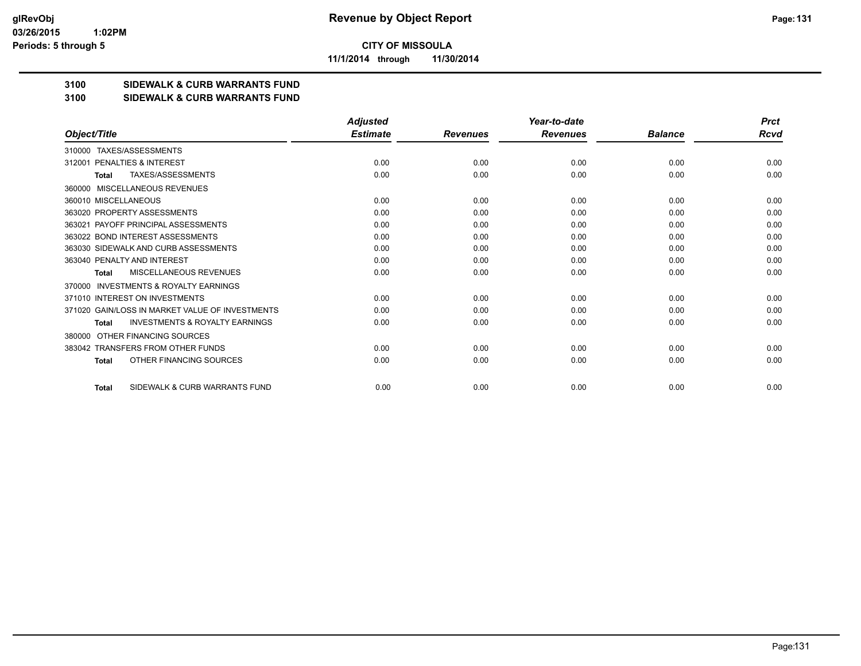**11/1/2014 through 11/30/2014**

### **3100 SIDEWALK & CURB WARRANTS FUND**

#### **3100 SIDEWALK & CURB WARRANTS FUND**

|                                                           | <b>Adjusted</b> |                 | Year-to-date    |                | <b>Prct</b> |
|-----------------------------------------------------------|-----------------|-----------------|-----------------|----------------|-------------|
| Object/Title                                              | <b>Estimate</b> | <b>Revenues</b> | <b>Revenues</b> | <b>Balance</b> | <b>Rcvd</b> |
| TAXES/ASSESSMENTS<br>310000                               |                 |                 |                 |                |             |
| PENALTIES & INTEREST<br>312001                            | 0.00            | 0.00            | 0.00            | 0.00           | 0.00        |
| TAXES/ASSESSMENTS<br><b>Total</b>                         | 0.00            | 0.00            | 0.00            | 0.00           | 0.00        |
| MISCELLANEOUS REVENUES<br>360000                          |                 |                 |                 |                |             |
| 360010 MISCELLANEOUS                                      | 0.00            | 0.00            | 0.00            | 0.00           | 0.00        |
| 363020 PROPERTY ASSESSMENTS                               | 0.00            | 0.00            | 0.00            | 0.00           | 0.00        |
| 363021 PAYOFF PRINCIPAL ASSESSMENTS                       | 0.00            | 0.00            | 0.00            | 0.00           | 0.00        |
| 363022 BOND INTEREST ASSESSMENTS                          | 0.00            | 0.00            | 0.00            | 0.00           | 0.00        |
| 363030 SIDEWALK AND CURB ASSESSMENTS                      | 0.00            | 0.00            | 0.00            | 0.00           | 0.00        |
| 363040 PENALTY AND INTEREST                               | 0.00            | 0.00            | 0.00            | 0.00           | 0.00        |
| MISCELLANEOUS REVENUES<br><b>Total</b>                    | 0.00            | 0.00            | 0.00            | 0.00           | 0.00        |
| <b>INVESTMENTS &amp; ROYALTY EARNINGS</b><br>370000       |                 |                 |                 |                |             |
| 371010 INTEREST ON INVESTMENTS                            | 0.00            | 0.00            | 0.00            | 0.00           | 0.00        |
| 371020 GAIN/LOSS IN MARKET VALUE OF INVESTMENTS           | 0.00            | 0.00            | 0.00            | 0.00           | 0.00        |
| <b>INVESTMENTS &amp; ROYALTY EARNINGS</b><br><b>Total</b> | 0.00            | 0.00            | 0.00            | 0.00           | 0.00        |
| OTHER FINANCING SOURCES<br>380000                         |                 |                 |                 |                |             |
| 383042 TRANSFERS FROM OTHER FUNDS                         | 0.00            | 0.00            | 0.00            | 0.00           | 0.00        |
| OTHER FINANCING SOURCES<br><b>Total</b>                   | 0.00            | 0.00            | 0.00            | 0.00           | 0.00        |
| SIDEWALK & CURB WARRANTS FUND<br><b>Total</b>             | 0.00            | 0.00            | 0.00            | 0.00           | 0.00        |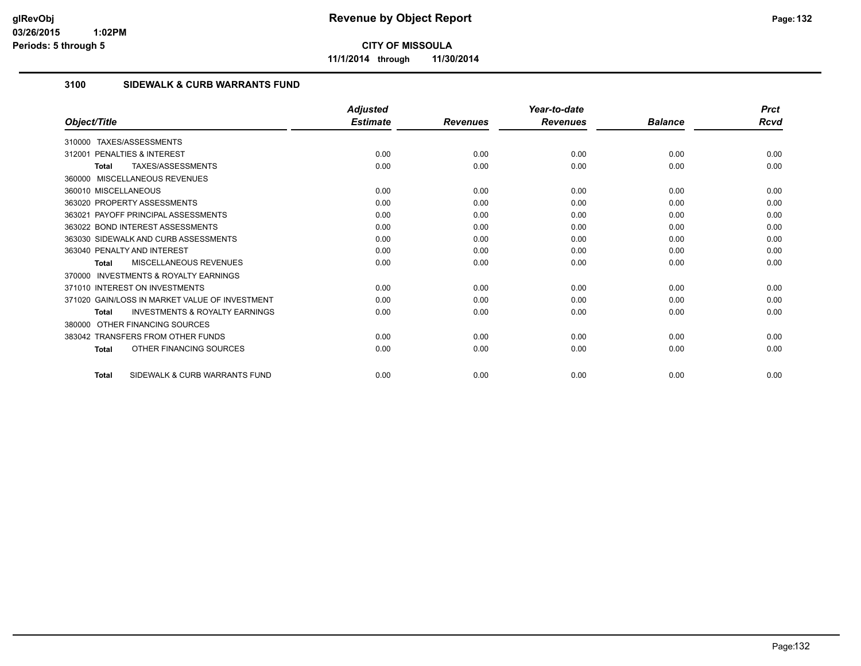**11/1/2014 through 11/30/2014**

### **3100 SIDEWALK & CURB WARRANTS FUND**

|                                                     | <b>Adjusted</b> |                 | Year-to-date    |                | <b>Prct</b> |
|-----------------------------------------------------|-----------------|-----------------|-----------------|----------------|-------------|
| Object/Title                                        | <b>Estimate</b> | <b>Revenues</b> | <b>Revenues</b> | <b>Balance</b> | Rcvd        |
| TAXES/ASSESSMENTS<br>310000                         |                 |                 |                 |                |             |
| PENALTIES & INTEREST<br>312001                      | 0.00            | 0.00            | 0.00            | 0.00           | 0.00        |
| TAXES/ASSESSMENTS<br>Total                          | 0.00            | 0.00            | 0.00            | 0.00           | 0.00        |
| 360000 MISCELLANEOUS REVENUES                       |                 |                 |                 |                |             |
| 360010 MISCELLANEOUS                                | 0.00            | 0.00            | 0.00            | 0.00           | 0.00        |
| 363020 PROPERTY ASSESSMENTS                         | 0.00            | 0.00            | 0.00            | 0.00           | 0.00        |
| 363021 PAYOFF PRINCIPAL ASSESSMENTS                 | 0.00            | 0.00            | 0.00            | 0.00           | 0.00        |
| 363022 BOND INTEREST ASSESSMENTS                    | 0.00            | 0.00            | 0.00            | 0.00           | 0.00        |
| 363030 SIDEWALK AND CURB ASSESSMENTS                | 0.00            | 0.00            | 0.00            | 0.00           | 0.00        |
| 363040 PENALTY AND INTEREST                         | 0.00            | 0.00            | 0.00            | 0.00           | 0.00        |
| MISCELLANEOUS REVENUES<br>Total                     | 0.00            | 0.00            | 0.00            | 0.00           | 0.00        |
| <b>INVESTMENTS &amp; ROYALTY EARNINGS</b><br>370000 |                 |                 |                 |                |             |
| 371010 INTEREST ON INVESTMENTS                      | 0.00            | 0.00            | 0.00            | 0.00           | 0.00        |
| 371020 GAIN/LOSS IN MARKET VALUE OF INVESTMENT      | 0.00            | 0.00            | 0.00            | 0.00           | 0.00        |
| <b>INVESTMENTS &amp; ROYALTY EARNINGS</b><br>Total  | 0.00            | 0.00            | 0.00            | 0.00           | 0.00        |
| OTHER FINANCING SOURCES<br>380000                   |                 |                 |                 |                |             |
| 383042 TRANSFERS FROM OTHER FUNDS                   | 0.00            | 0.00            | 0.00            | 0.00           | 0.00        |
| OTHER FINANCING SOURCES<br><b>Total</b>             | 0.00            | 0.00            | 0.00            | 0.00           | 0.00        |
| SIDEWALK & CURB WARRANTS FUND<br><b>Total</b>       | 0.00            | 0.00            | 0.00            | 0.00           | 0.00        |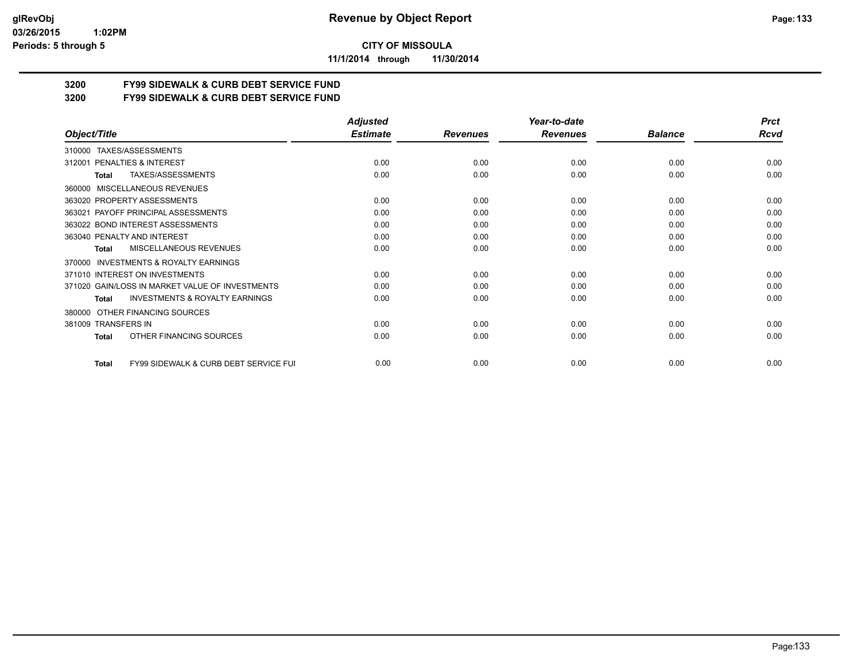**11/1/2014 through 11/30/2014**

# **3200 FY99 SIDEWALK & CURB DEBT SERVICE FUND**

**3200 FY99 SIDEWALK & CURB DEBT SERVICE FUND**

|                                                           | <b>Adjusted</b> |                 | Year-to-date    |                | <b>Prct</b> |
|-----------------------------------------------------------|-----------------|-----------------|-----------------|----------------|-------------|
| Object/Title                                              | <b>Estimate</b> | <b>Revenues</b> | <b>Revenues</b> | <b>Balance</b> | <b>Rcvd</b> |
| TAXES/ASSESSMENTS<br>310000                               |                 |                 |                 |                |             |
| PENALTIES & INTEREST<br>312001                            | 0.00            | 0.00            | 0.00            | 0.00           | 0.00        |
| TAXES/ASSESSMENTS<br>Total                                | 0.00            | 0.00            | 0.00            | 0.00           | 0.00        |
| MISCELLANEOUS REVENUES<br>360000                          |                 |                 |                 |                |             |
| 363020 PROPERTY ASSESSMENTS                               | 0.00            | 0.00            | 0.00            | 0.00           | 0.00        |
| PAYOFF PRINCIPAL ASSESSMENTS<br>363021                    | 0.00            | 0.00            | 0.00            | 0.00           | 0.00        |
| 363022 BOND INTEREST ASSESSMENTS                          | 0.00            | 0.00            | 0.00            | 0.00           | 0.00        |
| 363040 PENALTY AND INTEREST                               | 0.00            | 0.00            | 0.00            | 0.00           | 0.00        |
| MISCELLANEOUS REVENUES<br>Total                           | 0.00            | 0.00            | 0.00            | 0.00           | 0.00        |
| <b>INVESTMENTS &amp; ROYALTY EARNINGS</b><br>370000       |                 |                 |                 |                |             |
| 371010 INTEREST ON INVESTMENTS                            | 0.00            | 0.00            | 0.00            | 0.00           | 0.00        |
| 371020 GAIN/LOSS IN MARKET VALUE OF INVESTMENTS           | 0.00            | 0.00            | 0.00            | 0.00           | 0.00        |
| <b>INVESTMENTS &amp; ROYALTY EARNINGS</b><br><b>Total</b> | 0.00            | 0.00            | 0.00            | 0.00           | 0.00        |
| OTHER FINANCING SOURCES<br>380000                         |                 |                 |                 |                |             |
| 381009 TRANSFERS IN                                       | 0.00            | 0.00            | 0.00            | 0.00           | 0.00        |
| OTHER FINANCING SOURCES<br><b>Total</b>                   | 0.00            | 0.00            | 0.00            | 0.00           | 0.00        |
| FY99 SIDEWALK & CURB DEBT SERVICE FUI<br><b>Total</b>     | 0.00            | 0.00            | 0.00            | 0.00           | 0.00        |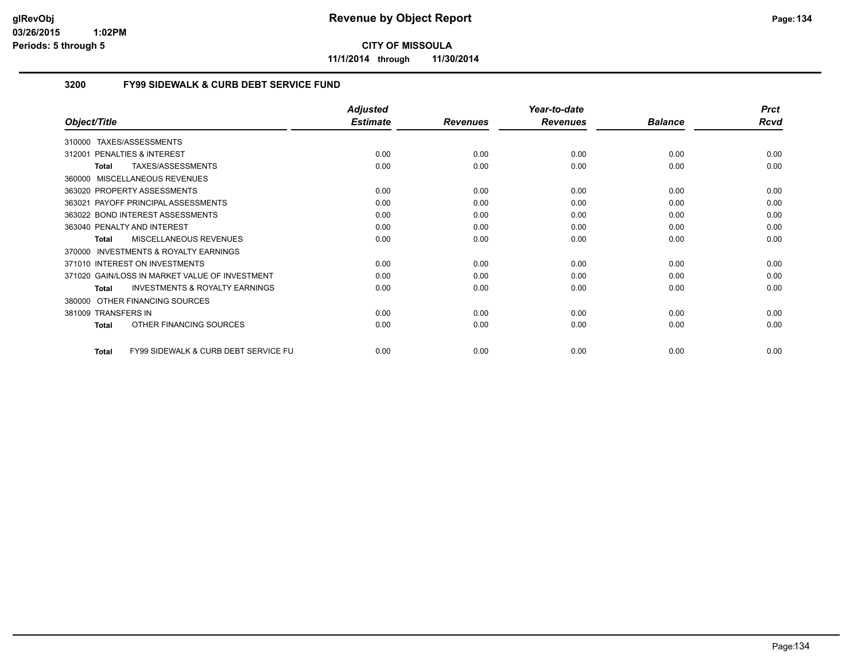**11/1/2014 through 11/30/2014**

### **3200 FY99 SIDEWALK & CURB DEBT SERVICE FUND**

|                                                                 | <b>Adjusted</b> |                 | Year-to-date    |                | <b>Prct</b> |
|-----------------------------------------------------------------|-----------------|-----------------|-----------------|----------------|-------------|
| Object/Title                                                    | <b>Estimate</b> | <b>Revenues</b> | <b>Revenues</b> | <b>Balance</b> | <b>Rcvd</b> |
| TAXES/ASSESSMENTS<br>310000                                     |                 |                 |                 |                |             |
| <b>PENALTIES &amp; INTEREST</b><br>312001                       | 0.00            | 0.00            | 0.00            | 0.00           | 0.00        |
| TAXES/ASSESSMENTS<br><b>Total</b>                               | 0.00            | 0.00            | 0.00            | 0.00           | 0.00        |
| <b>MISCELLANEOUS REVENUES</b><br>360000                         |                 |                 |                 |                |             |
| 363020 PROPERTY ASSESSMENTS                                     | 0.00            | 0.00            | 0.00            | 0.00           | 0.00        |
| 363021 PAYOFF PRINCIPAL ASSESSMENTS                             | 0.00            | 0.00            | 0.00            | 0.00           | 0.00        |
| 363022 BOND INTEREST ASSESSMENTS                                | 0.00            | 0.00            | 0.00            | 0.00           | 0.00        |
| 363040 PENALTY AND INTEREST                                     | 0.00            | 0.00            | 0.00            | 0.00           | 0.00        |
| MISCELLANEOUS REVENUES<br><b>Total</b>                          | 0.00            | 0.00            | 0.00            | 0.00           | 0.00        |
| INVESTMENTS & ROYALTY EARNINGS<br>370000                        |                 |                 |                 |                |             |
| 371010 INTEREST ON INVESTMENTS                                  | 0.00            | 0.00            | 0.00            | 0.00           | 0.00        |
| 371020 GAIN/LOSS IN MARKET VALUE OF INVESTMENT                  | 0.00            | 0.00            | 0.00            | 0.00           | 0.00        |
| <b>INVESTMENTS &amp; ROYALTY EARNINGS</b><br><b>Total</b>       | 0.00            | 0.00            | 0.00            | 0.00           | 0.00        |
| OTHER FINANCING SOURCES<br>380000                               |                 |                 |                 |                |             |
| 381009 TRANSFERS IN                                             | 0.00            | 0.00            | 0.00            | 0.00           | 0.00        |
| OTHER FINANCING SOURCES<br><b>Total</b>                         | 0.00            | 0.00            | 0.00            | 0.00           | 0.00        |
| <b>FY99 SIDEWALK &amp; CURB DEBT SERVICE FU</b><br><b>Total</b> | 0.00            | 0.00            | 0.00            | 0.00           | 0.00        |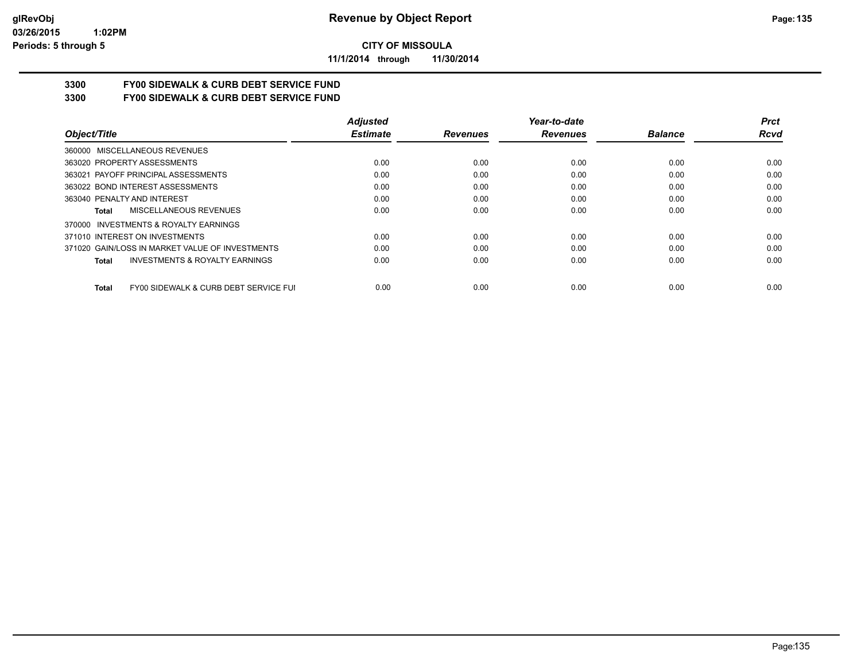**11/1/2014 through 11/30/2014**

# **3300 FY00 SIDEWALK & CURB DEBT SERVICE FUND**

**3300 FY00 SIDEWALK & CURB DEBT SERVICE FUND**

|                                                       | <b>Adjusted</b> |                 | Year-to-date    |                | <b>Prct</b> |
|-------------------------------------------------------|-----------------|-----------------|-----------------|----------------|-------------|
| Object/Title                                          | <b>Estimate</b> | <b>Revenues</b> | <b>Revenues</b> | <b>Balance</b> | <b>Rcvd</b> |
| 360000 MISCELLANEOUS REVENUES                         |                 |                 |                 |                |             |
| 363020 PROPERTY ASSESSMENTS                           | 0.00            | 0.00            | 0.00            | 0.00           | 0.00        |
| 363021 PAYOFF PRINCIPAL ASSESSMENTS                   | 0.00            | 0.00            | 0.00            | 0.00           | 0.00        |
| 363022 BOND INTEREST ASSESSMENTS                      | 0.00            | 0.00            | 0.00            | 0.00           | 0.00        |
| 363040 PENALTY AND INTEREST                           | 0.00            | 0.00            | 0.00            | 0.00           | 0.00        |
| MISCELLANEOUS REVENUES<br>Total                       | 0.00            | 0.00            | 0.00            | 0.00           | 0.00        |
| 370000 INVESTMENTS & ROYALTY EARNINGS                 |                 |                 |                 |                |             |
| 371010 INTEREST ON INVESTMENTS                        | 0.00            | 0.00            | 0.00            | 0.00           | 0.00        |
| 371020 GAIN/LOSS IN MARKET VALUE OF INVESTMENTS       | 0.00            | 0.00            | 0.00            | 0.00           | 0.00        |
| <b>INVESTMENTS &amp; ROYALTY EARNINGS</b><br>Total    | 0.00            | 0.00            | 0.00            | 0.00           | 0.00        |
| FY00 SIDEWALK & CURB DEBT SERVICE FUI<br><b>Total</b> | 0.00            | 0.00            | 0.00            | 0.00           | 0.00        |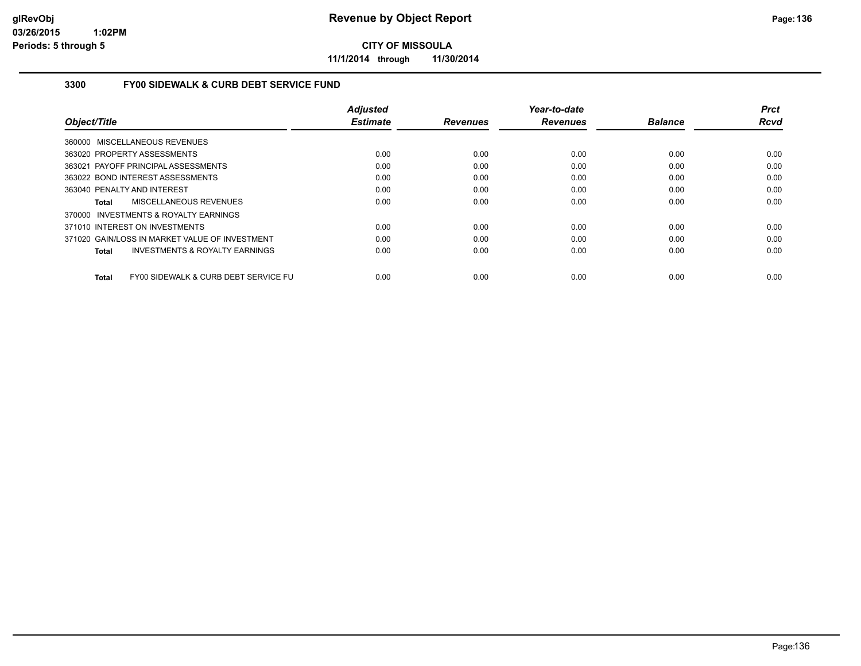**11/1/2014 through 11/30/2014**

### **3300 FY00 SIDEWALK & CURB DEBT SERVICE FUND**

|                                                      | <b>Adjusted</b> |                 | Year-to-date    |                | <b>Prct</b> |
|------------------------------------------------------|-----------------|-----------------|-----------------|----------------|-------------|
| Object/Title                                         | <b>Estimate</b> | <b>Revenues</b> | <b>Revenues</b> | <b>Balance</b> | <b>Rcvd</b> |
| 360000 MISCELLANEOUS REVENUES                        |                 |                 |                 |                |             |
| 363020 PROPERTY ASSESSMENTS                          | 0.00            | 0.00            | 0.00            | 0.00           | 0.00        |
| 363021 PAYOFF PRINCIPAL ASSESSMENTS                  | 0.00            | 0.00            | 0.00            | 0.00           | 0.00        |
| 363022 BOND INTEREST ASSESSMENTS                     | 0.00            | 0.00            | 0.00            | 0.00           | 0.00        |
| 363040 PENALTY AND INTEREST                          | 0.00            | 0.00            | 0.00            | 0.00           | 0.00        |
| MISCELLANEOUS REVENUES<br>Total                      | 0.00            | 0.00            | 0.00            | 0.00           | 0.00        |
| 370000 INVESTMENTS & ROYALTY EARNINGS                |                 |                 |                 |                |             |
| 371010 INTEREST ON INVESTMENTS                       | 0.00            | 0.00            | 0.00            | 0.00           | 0.00        |
| 371020 GAIN/LOSS IN MARKET VALUE OF INVESTMENT       | 0.00            | 0.00            | 0.00            | 0.00           | 0.00        |
| <b>INVESTMENTS &amp; ROYALTY EARNINGS</b><br>Total   | 0.00            | 0.00            | 0.00            | 0.00           | 0.00        |
| FY00 SIDEWALK & CURB DEBT SERVICE FU<br><b>Total</b> | 0.00            | 0.00            | 0.00            | 0.00           | 0.00        |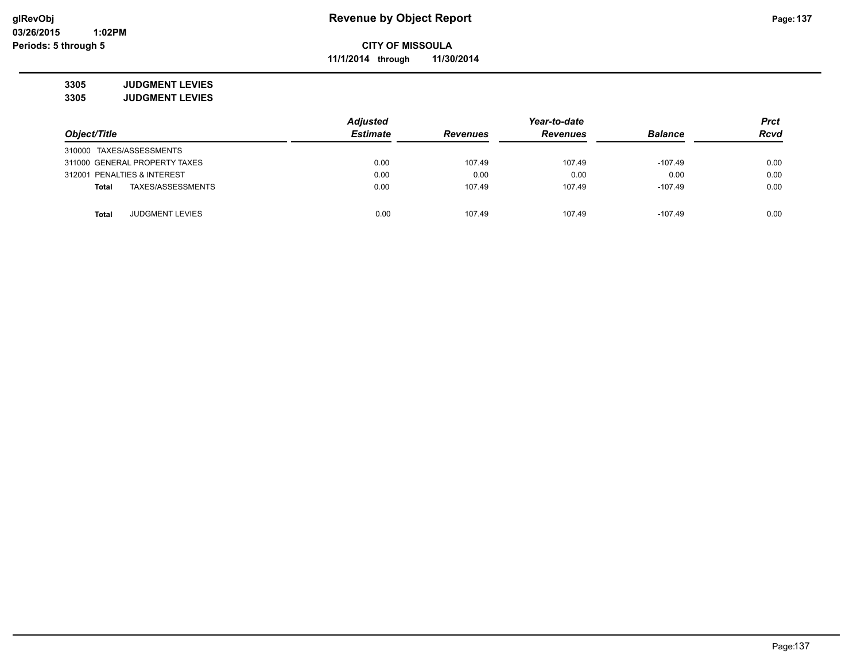**11/1/2014 through 11/30/2014**

**3305 JUDGMENT LEVIES 3305 JUDGMENT LEVIES**

|                                 | <b>Adjusted</b> |                 | Year-to-date    |                | <b>Prct</b> |
|---------------------------------|-----------------|-----------------|-----------------|----------------|-------------|
| Object/Title                    | <b>Estimate</b> | <b>Revenues</b> | <b>Revenues</b> | <b>Balance</b> | <b>Rcvd</b> |
| 310000 TAXES/ASSESSMENTS        |                 |                 |                 |                |             |
| 311000 GENERAL PROPERTY TAXES   | 0.00            | 107.49          | 107.49          | $-107.49$      | 0.00        |
| 312001 PENALTIES & INTEREST     | 0.00            | 0.00            | 0.00            | 0.00           | 0.00        |
| TAXES/ASSESSMENTS<br>Total      | 0.00            | 107.49          | 107.49          | $-107.49$      | 0.00        |
| <b>JUDGMENT LEVIES</b><br>Total | 0.00            | 107.49          | 107.49          | $-107.49$      | 0.00        |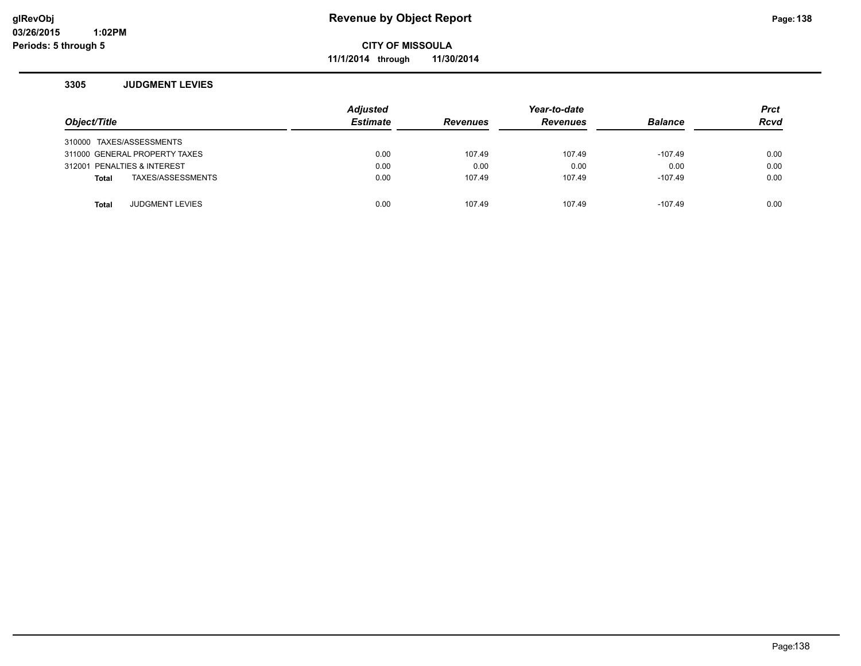## **glRevObj Revenue by Object Report Page:138**

**CITY OF MISSOULA**

**11/1/2014 through 11/30/2014**

#### **3305 JUDGMENT LEVIES**

| Object/Title                           | <b>Adjusted</b><br><b>Estimate</b> | <b>Revenues</b> | Year-to-date<br><b>Revenues</b> | <b>Balance</b> | <b>Prct</b><br><b>Rcvd</b> |
|----------------------------------------|------------------------------------|-----------------|---------------------------------|----------------|----------------------------|
| 310000 TAXES/ASSESSMENTS               |                                    |                 |                                 |                |                            |
| 311000 GENERAL PROPERTY TAXES          | 0.00                               | 107.49          | 107.49                          | $-107.49$      | 0.00                       |
| 312001 PENALTIES & INTEREST            | 0.00                               | 0.00            | 0.00                            | 0.00           | 0.00                       |
| TAXES/ASSESSMENTS<br>Total             | 0.00                               | 107.49          | 107.49                          | $-107.49$      | 0.00                       |
|                                        |                                    |                 |                                 |                |                            |
| <b>JUDGMENT LEVIES</b><br><b>Total</b> | 0.00                               | 107.49          | 107.49                          | $-107.49$      | 0.00                       |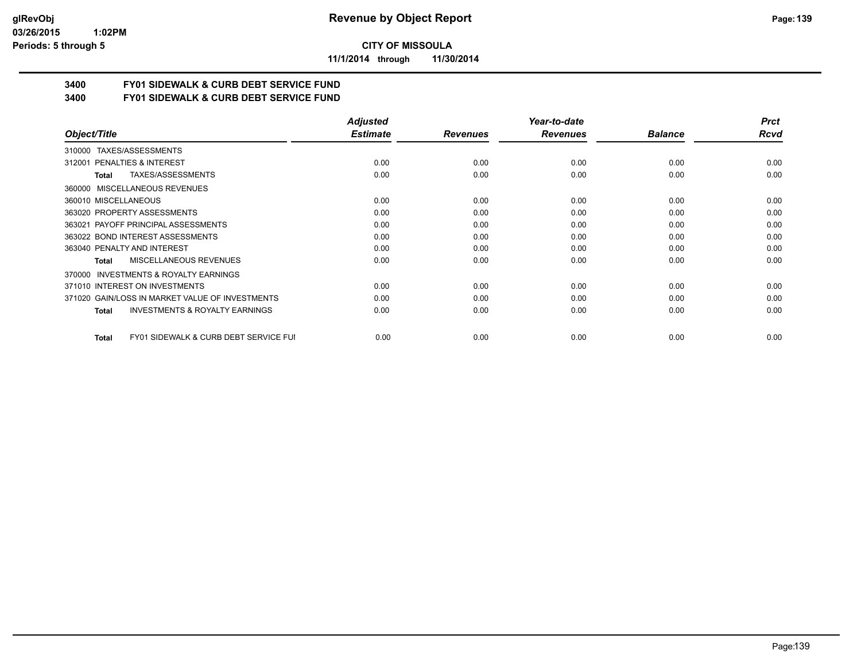**11/1/2014 through 11/30/2014**

# **3400 FY01 SIDEWALK & CURB DEBT SERVICE FUND**

**3400 FY01 SIDEWALK & CURB DEBT SERVICE FUND**

|                                                     | <b>Adjusted</b> |                 | Year-to-date    |                | <b>Prct</b> |
|-----------------------------------------------------|-----------------|-----------------|-----------------|----------------|-------------|
| Object/Title                                        | <b>Estimate</b> | <b>Revenues</b> | <b>Revenues</b> | <b>Balance</b> | Rcvd        |
| TAXES/ASSESSMENTS<br>310000                         |                 |                 |                 |                |             |
| 312001 PENALTIES & INTEREST                         | 0.00            | 0.00            | 0.00            | 0.00           | 0.00        |
| <b>TAXES/ASSESSMENTS</b><br>Total                   | 0.00            | 0.00            | 0.00            | 0.00           | 0.00        |
| MISCELLANEOUS REVENUES<br>360000                    |                 |                 |                 |                |             |
| 360010 MISCELLANEOUS                                | 0.00            | 0.00            | 0.00            | 0.00           | 0.00        |
| 363020 PROPERTY ASSESSMENTS                         | 0.00            | 0.00            | 0.00            | 0.00           | 0.00        |
| 363021 PAYOFF PRINCIPAL ASSESSMENTS                 | 0.00            | 0.00            | 0.00            | 0.00           | 0.00        |
| 363022 BOND INTEREST ASSESSMENTS                    | 0.00            | 0.00            | 0.00            | 0.00           | 0.00        |
| 363040 PENALTY AND INTEREST                         | 0.00            | 0.00            | 0.00            | 0.00           | 0.00        |
| MISCELLANEOUS REVENUES<br>Total                     | 0.00            | 0.00            | 0.00            | 0.00           | 0.00        |
| <b>INVESTMENTS &amp; ROYALTY EARNINGS</b><br>370000 |                 |                 |                 |                |             |
| 371010 INTEREST ON INVESTMENTS                      | 0.00            | 0.00            | 0.00            | 0.00           | 0.00        |
| 371020 GAIN/LOSS IN MARKET VALUE OF INVESTMENTS     | 0.00            | 0.00            | 0.00            | 0.00           | 0.00        |
| <b>INVESTMENTS &amp; ROYALTY EARNINGS</b><br>Total  | 0.00            | 0.00            | 0.00            | 0.00           | 0.00        |
| FY01 SIDEWALK & CURB DEBT SERVICE FUI<br>Total      | 0.00            | 0.00            | 0.00            | 0.00           | 0.00        |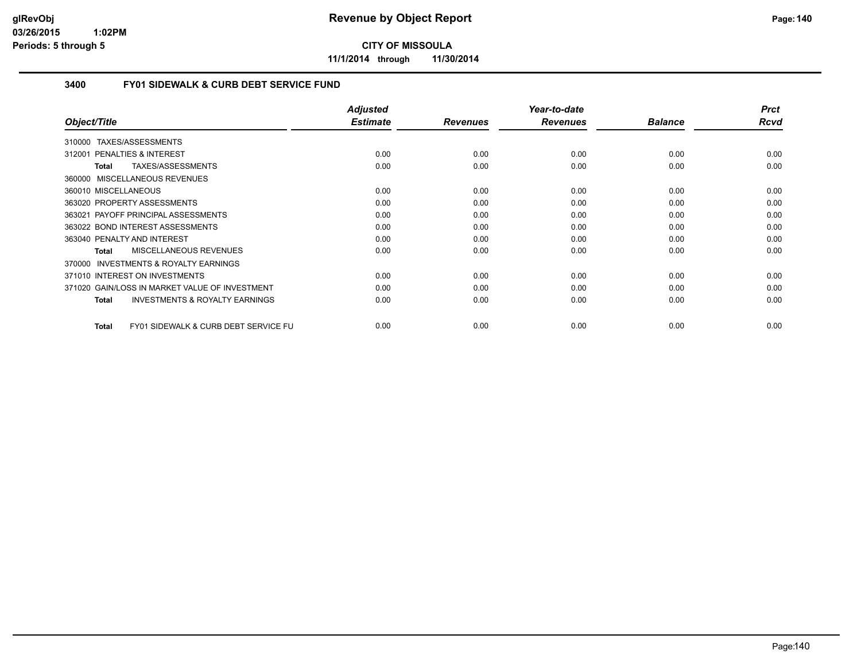**11/1/2014 through 11/30/2014**

#### **3400 FY01 SIDEWALK & CURB DEBT SERVICE FUND**

|                                                                 | <b>Adjusted</b> |                 | Year-to-date    |                | <b>Prct</b> |
|-----------------------------------------------------------------|-----------------|-----------------|-----------------|----------------|-------------|
| Object/Title                                                    | <b>Estimate</b> | <b>Revenues</b> | <b>Revenues</b> | <b>Balance</b> | Rcvd        |
| TAXES/ASSESSMENTS<br>310000                                     |                 |                 |                 |                |             |
| 312001 PENALTIES & INTEREST                                     | 0.00            | 0.00            | 0.00            | 0.00           | 0.00        |
| TAXES/ASSESSMENTS<br>Total                                      | 0.00            | 0.00            | 0.00            | 0.00           | 0.00        |
| MISCELLANEOUS REVENUES<br>360000                                |                 |                 |                 |                |             |
| 360010 MISCELLANEOUS                                            | 0.00            | 0.00            | 0.00            | 0.00           | 0.00        |
| 363020 PROPERTY ASSESSMENTS                                     | 0.00            | 0.00            | 0.00            | 0.00           | 0.00        |
| 363021 PAYOFF PRINCIPAL ASSESSMENTS                             | 0.00            | 0.00            | 0.00            | 0.00           | 0.00        |
| 363022 BOND INTEREST ASSESSMENTS                                | 0.00            | 0.00            | 0.00            | 0.00           | 0.00        |
| 363040 PENALTY AND INTEREST                                     | 0.00            | 0.00            | 0.00            | 0.00           | 0.00        |
| MISCELLANEOUS REVENUES<br><b>Total</b>                          | 0.00            | 0.00            | 0.00            | 0.00           | 0.00        |
| <b>INVESTMENTS &amp; ROYALTY EARNINGS</b><br>370000             |                 |                 |                 |                |             |
| 371010 INTEREST ON INVESTMENTS                                  | 0.00            | 0.00            | 0.00            | 0.00           | 0.00        |
| 371020 GAIN/LOSS IN MARKET VALUE OF INVESTMENT                  | 0.00            | 0.00            | 0.00            | 0.00           | 0.00        |
| <b>INVESTMENTS &amp; ROYALTY EARNINGS</b><br><b>Total</b>       | 0.00            | 0.00            | 0.00            | 0.00           | 0.00        |
| <b>FY01 SIDEWALK &amp; CURB DEBT SERVICE FU</b><br><b>Total</b> | 0.00            | 0.00            | 0.00            | 0.00           | 0.00        |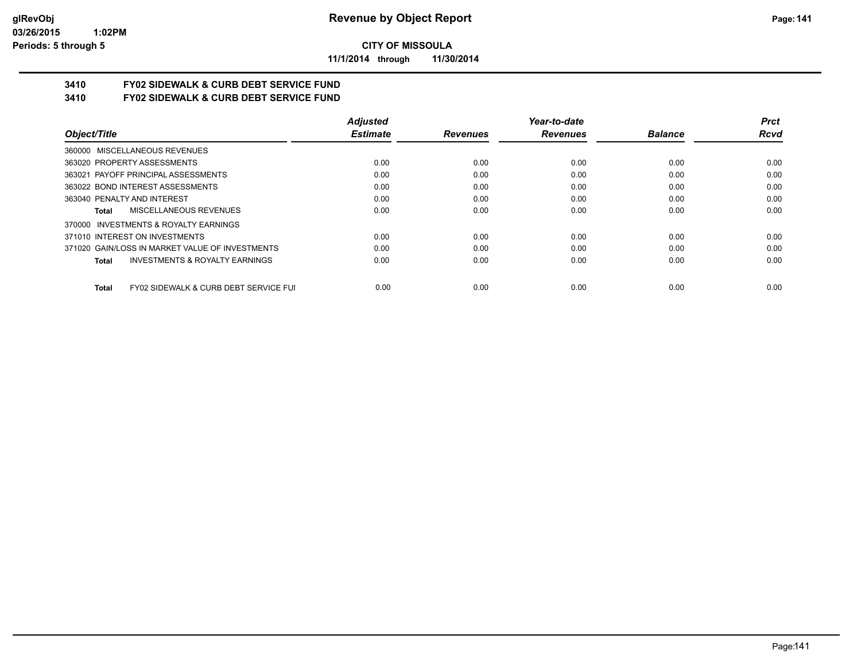**11/1/2014 through 11/30/2014**

# **3410 FY02 SIDEWALK & CURB DEBT SERVICE FUND**

**3410 FY02 SIDEWALK & CURB DEBT SERVICE FUND**

|                                                                  | <b>Adjusted</b> |                 | Year-to-date    |                | <b>Prct</b> |
|------------------------------------------------------------------|-----------------|-----------------|-----------------|----------------|-------------|
| Object/Title                                                     | <b>Estimate</b> | <b>Revenues</b> | <b>Revenues</b> | <b>Balance</b> | <b>Rcvd</b> |
| 360000 MISCELLANEOUS REVENUES                                    |                 |                 |                 |                |             |
| 363020 PROPERTY ASSESSMENTS                                      | 0.00            | 0.00            | 0.00            | 0.00           | 0.00        |
| 363021 PAYOFF PRINCIPAL ASSESSMENTS                              | 0.00            | 0.00            | 0.00            | 0.00           | 0.00        |
| 363022 BOND INTEREST ASSESSMENTS                                 | 0.00            | 0.00            | 0.00            | 0.00           | 0.00        |
| 363040 PENALTY AND INTEREST                                      | 0.00            | 0.00            | 0.00            | 0.00           | 0.00        |
| MISCELLANEOUS REVENUES<br>Total                                  | 0.00            | 0.00            | 0.00            | 0.00           | 0.00        |
| INVESTMENTS & ROYALTY EARNINGS<br>370000                         |                 |                 |                 |                |             |
| 371010 INTEREST ON INVESTMENTS                                   | 0.00            | 0.00            | 0.00            | 0.00           | 0.00        |
| 371020 GAIN/LOSS IN MARKET VALUE OF INVESTMENTS                  | 0.00            | 0.00            | 0.00            | 0.00           | 0.00        |
| <b>INVESTMENTS &amp; ROYALTY EARNINGS</b><br>Total               | 0.00            | 0.00            | 0.00            | 0.00           | 0.00        |
| <b>FY02 SIDEWALK &amp; CURB DEBT SERVICE FUI</b><br><b>Total</b> | 0.00            | 0.00            | 0.00            | 0.00           | 0.00        |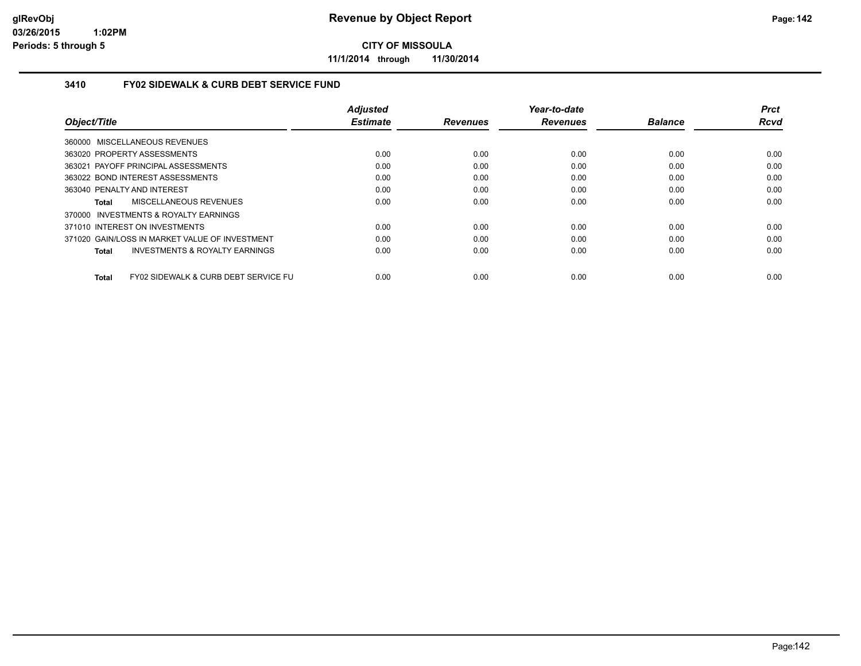**11/1/2014 through 11/30/2014**

### **3410 FY02 SIDEWALK & CURB DEBT SERVICE FUND**

|                                                           | <b>Adjusted</b> |                 | Year-to-date    |                | <b>Prct</b> |
|-----------------------------------------------------------|-----------------|-----------------|-----------------|----------------|-------------|
| Object/Title                                              | <b>Estimate</b> | <b>Revenues</b> | <b>Revenues</b> | <b>Balance</b> | <b>Rcvd</b> |
| MISCELLANEOUS REVENUES<br>360000                          |                 |                 |                 |                |             |
| 363020 PROPERTY ASSESSMENTS                               | 0.00            | 0.00            | 0.00            | 0.00           | 0.00        |
| 363021 PAYOFF PRINCIPAL ASSESSMENTS                       | 0.00            | 0.00            | 0.00            | 0.00           | 0.00        |
| 363022 BOND INTEREST ASSESSMENTS                          | 0.00            | 0.00            | 0.00            | 0.00           | 0.00        |
| 363040 PENALTY AND INTEREST                               | 0.00            | 0.00            | 0.00            | 0.00           | 0.00        |
| MISCELLANEOUS REVENUES<br>Total                           | 0.00            | 0.00            | 0.00            | 0.00           | 0.00        |
| INVESTMENTS & ROYALTY EARNINGS<br>370000                  |                 |                 |                 |                |             |
| 371010 INTEREST ON INVESTMENTS                            | 0.00            | 0.00            | 0.00            | 0.00           | 0.00        |
| 371020 GAIN/LOSS IN MARKET VALUE OF INVESTMENT            | 0.00            | 0.00            | 0.00            | 0.00           | 0.00        |
| <b>INVESTMENTS &amp; ROYALTY EARNINGS</b><br><b>Total</b> | 0.00            | 0.00            | 0.00            | 0.00           | 0.00        |
| FY02 SIDEWALK & CURB DEBT SERVICE FU<br><b>Total</b>      | 0.00            | 0.00            | 0.00            | 0.00           | 0.00        |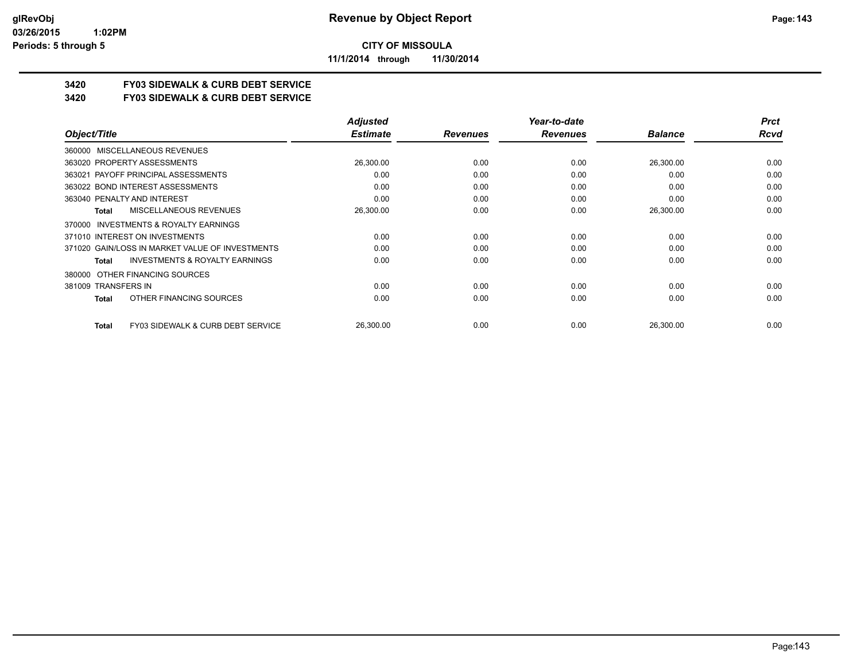**11/1/2014 through 11/30/2014**

# **3420 FY03 SIDEWALK & CURB DEBT SERVICE**

**3420 FY03 SIDEWALK & CURB DEBT SERVICE**

|                                                              | <b>Adjusted</b> |                 | Year-to-date    |                | <b>Prct</b> |
|--------------------------------------------------------------|-----------------|-----------------|-----------------|----------------|-------------|
| Object/Title                                                 | <b>Estimate</b> | <b>Revenues</b> | <b>Revenues</b> | <b>Balance</b> | Rcvd        |
| 360000 MISCELLANEOUS REVENUES                                |                 |                 |                 |                |             |
| 363020 PROPERTY ASSESSMENTS                                  | 26,300.00       | 0.00            | 0.00            | 26,300.00      | 0.00        |
| 363021 PAYOFF PRINCIPAL ASSESSMENTS                          | 0.00            | 0.00            | 0.00            | 0.00           | 0.00        |
| 363022 BOND INTEREST ASSESSMENTS                             | 0.00            | 0.00            | 0.00            | 0.00           | 0.00        |
| 363040 PENALTY AND INTEREST                                  | 0.00            | 0.00            | 0.00            | 0.00           | 0.00        |
| MISCELLANEOUS REVENUES<br>Total                              | 26,300.00       | 0.00            | 0.00            | 26,300.00      | 0.00        |
| INVESTMENTS & ROYALTY EARNINGS<br>370000                     |                 |                 |                 |                |             |
| 371010 INTEREST ON INVESTMENTS                               | 0.00            | 0.00            | 0.00            | 0.00           | 0.00        |
| 371020 GAIN/LOSS IN MARKET VALUE OF INVESTMENTS              | 0.00            | 0.00            | 0.00            | 0.00           | 0.00        |
| <b>INVESTMENTS &amp; ROYALTY EARNINGS</b><br>Total           | 0.00            | 0.00            | 0.00            | 0.00           | 0.00        |
| OTHER FINANCING SOURCES<br>380000                            |                 |                 |                 |                |             |
| 381009 TRANSFERS IN                                          | 0.00            | 0.00            | 0.00            | 0.00           | 0.00        |
| OTHER FINANCING SOURCES<br>Total                             | 0.00            | 0.00            | 0.00            | 0.00           | 0.00        |
| <b>FY03 SIDEWALK &amp; CURB DEBT SERVICE</b><br><b>Total</b> | 26,300.00       | 0.00            | 0.00            | 26,300.00      | 0.00        |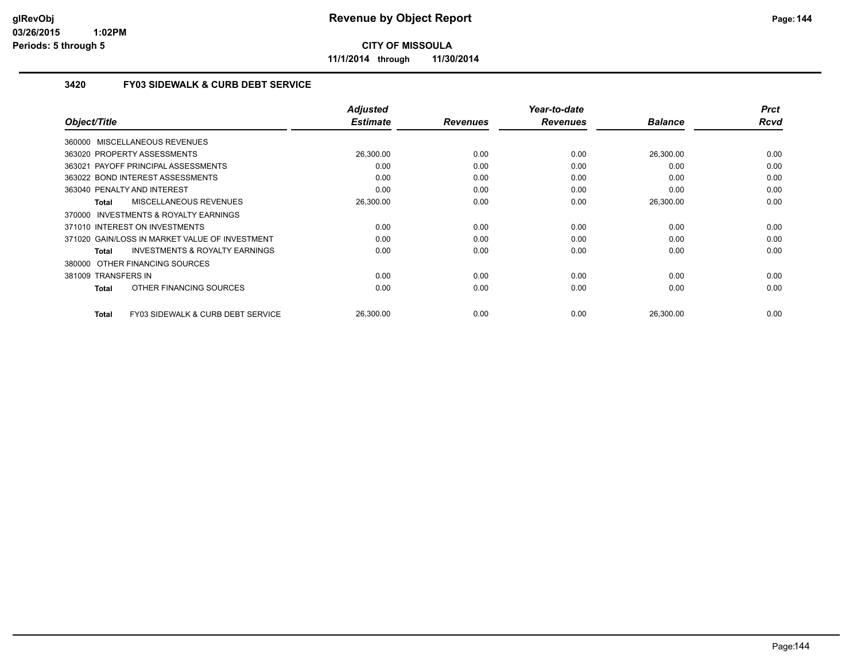**11/1/2014 through 11/30/2014**

### **3420 FY03 SIDEWALK & CURB DEBT SERVICE**

| Object/Title                                       | <b>Adjusted</b><br><b>Estimate</b> | <b>Revenues</b> | Year-to-date<br><b>Revenues</b> | <b>Balance</b> | <b>Prct</b><br>Rcvd |
|----------------------------------------------------|------------------------------------|-----------------|---------------------------------|----------------|---------------------|
| 360000 MISCELLANEOUS REVENUES                      |                                    |                 |                                 |                |                     |
| 363020 PROPERTY ASSESSMENTS                        | 26.300.00                          | 0.00            | 0.00                            | 26,300.00      | 0.00                |
| 363021 PAYOFF PRINCIPAL ASSESSMENTS                | 0.00                               | 0.00            | 0.00                            | 0.00           | 0.00                |
| 363022 BOND INTEREST ASSESSMENTS                   | 0.00                               | 0.00            | 0.00                            | 0.00           | 0.00                |
| 363040 PENALTY AND INTEREST                        | 0.00                               | 0.00            | 0.00                            | 0.00           | 0.00                |
| MISCELLANEOUS REVENUES<br>Total                    | 26,300.00                          | 0.00            | 0.00                            | 26,300.00      | 0.00                |
| 370000 INVESTMENTS & ROYALTY EARNINGS              |                                    |                 |                                 |                |                     |
| 371010 INTEREST ON INVESTMENTS                     | 0.00                               | 0.00            | 0.00                            | 0.00           | 0.00                |
| 371020 GAIN/LOSS IN MARKET VALUE OF INVESTMENT     | 0.00                               | 0.00            | 0.00                            | 0.00           | 0.00                |
| <b>INVESTMENTS &amp; ROYALTY EARNINGS</b><br>Total | 0.00                               | 0.00            | 0.00                            | 0.00           | 0.00                |
| 380000 OTHER FINANCING SOURCES                     |                                    |                 |                                 |                |                     |
| 381009 TRANSFERS IN                                | 0.00                               | 0.00            | 0.00                            | 0.00           | 0.00                |
| OTHER FINANCING SOURCES<br>Total                   | 0.00                               | 0.00            | 0.00                            | 0.00           | 0.00                |
|                                                    |                                    |                 |                                 |                |                     |
| FY03 SIDEWALK & CURB DEBT SERVICE<br>Total         | 26,300.00                          | 0.00            | 0.00                            | 26,300.00      | 0.00                |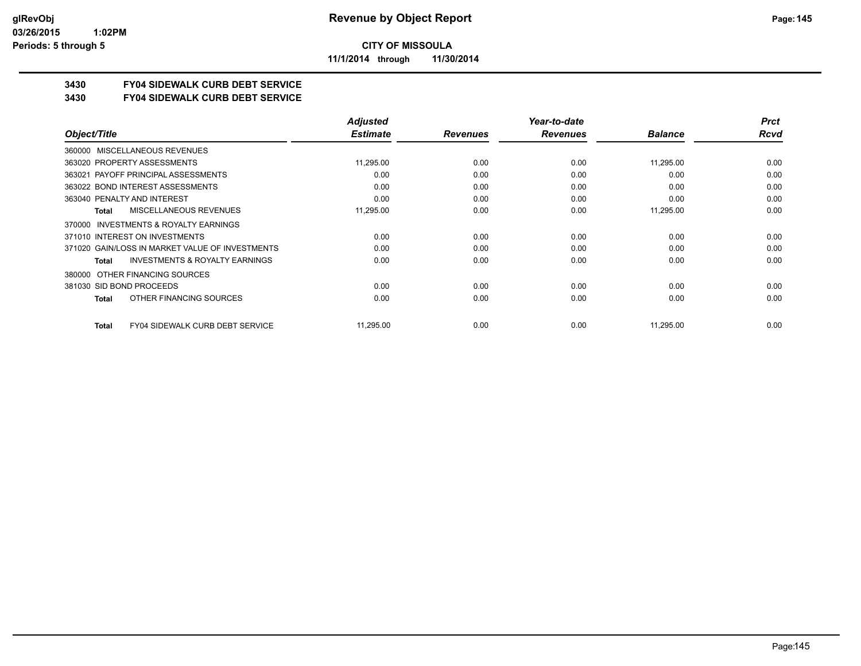**11/1/2014 through 11/30/2014**

# **3430 FY04 SIDEWALK CURB DEBT SERVICE**

#### **3430 FY04 SIDEWALK CURB DEBT SERVICE**

|                                                           | <b>Adjusted</b> |                 | Year-to-date    |                | <b>Prct</b> |
|-----------------------------------------------------------|-----------------|-----------------|-----------------|----------------|-------------|
| Object/Title                                              | <b>Estimate</b> | <b>Revenues</b> | <b>Revenues</b> | <b>Balance</b> | Rcvd        |
| MISCELLANEOUS REVENUES<br>360000                          |                 |                 |                 |                |             |
| 363020 PROPERTY ASSESSMENTS                               | 11,295.00       | 0.00            | 0.00            | 11,295.00      | 0.00        |
| 363021 PAYOFF PRINCIPAL ASSESSMENTS                       | 0.00            | 0.00            | 0.00            | 0.00           | 0.00        |
| 363022 BOND INTEREST ASSESSMENTS                          | 0.00            | 0.00            | 0.00            | 0.00           | 0.00        |
| 363040 PENALTY AND INTEREST                               | 0.00            | 0.00            | 0.00            | 0.00           | 0.00        |
| MISCELLANEOUS REVENUES<br><b>Total</b>                    | 11,295.00       | 0.00            | 0.00            | 11,295.00      | 0.00        |
| INVESTMENTS & ROYALTY EARNINGS<br>370000                  |                 |                 |                 |                |             |
| 371010 INTEREST ON INVESTMENTS                            | 0.00            | 0.00            | 0.00            | 0.00           | 0.00        |
| 371020 GAIN/LOSS IN MARKET VALUE OF INVESTMENTS           | 0.00            | 0.00            | 0.00            | 0.00           | 0.00        |
| <b>INVESTMENTS &amp; ROYALTY EARNINGS</b><br><b>Total</b> | 0.00            | 0.00            | 0.00            | 0.00           | 0.00        |
| OTHER FINANCING SOURCES<br>380000                         |                 |                 |                 |                |             |
| 381030 SID BOND PROCEEDS                                  | 0.00            | 0.00            | 0.00            | 0.00           | 0.00        |
| OTHER FINANCING SOURCES<br><b>Total</b>                   | 0.00            | 0.00            | 0.00            | 0.00           | 0.00        |
| <b>FY04 SIDEWALK CURB DEBT SERVICE</b><br><b>Total</b>    | 11,295.00       | 0.00            | 0.00            | 11,295.00      | 0.00        |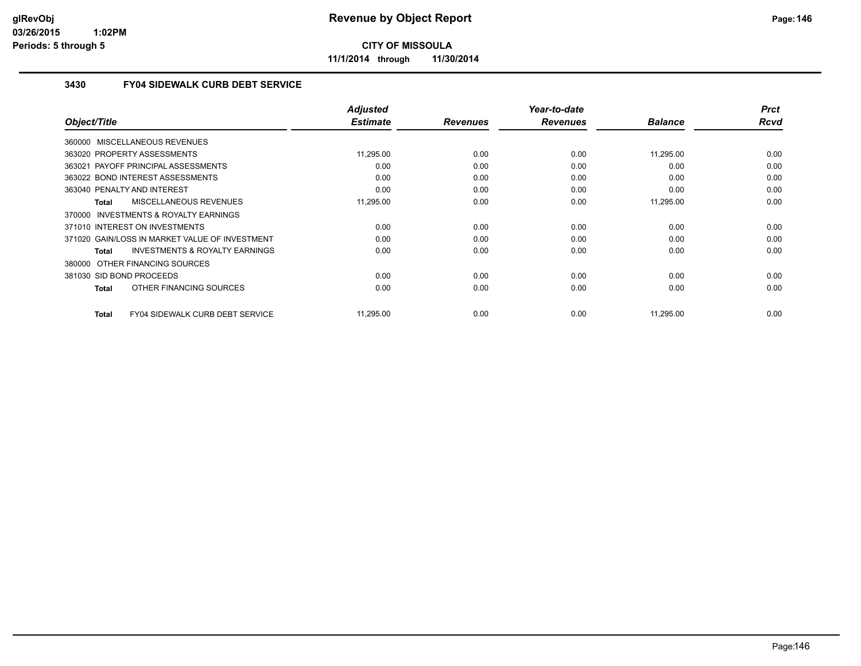**11/1/2014 through 11/30/2014**

### **3430 FY04 SIDEWALK CURB DEBT SERVICE**

| Object/Title                                        | <b>Adjusted</b><br><b>Estimate</b> | <b>Revenues</b> | Year-to-date<br><b>Revenues</b> | <b>Balance</b> | <b>Prct</b><br><b>Rcvd</b> |
|-----------------------------------------------------|------------------------------------|-----------------|---------------------------------|----------------|----------------------------|
|                                                     |                                    |                 |                                 |                |                            |
| 360000 MISCELLANEOUS REVENUES                       |                                    |                 |                                 |                |                            |
| 363020 PROPERTY ASSESSMENTS                         | 11,295.00                          | 0.00            | 0.00                            | 11,295.00      | 0.00                       |
| 363021 PAYOFF PRINCIPAL ASSESSMENTS                 | 0.00                               | 0.00            | 0.00                            | 0.00           | 0.00                       |
| 363022 BOND INTEREST ASSESSMENTS                    | 0.00                               | 0.00            | 0.00                            | 0.00           | 0.00                       |
| 363040 PENALTY AND INTEREST                         | 0.00                               | 0.00            | 0.00                            | 0.00           | 0.00                       |
| MISCELLANEOUS REVENUES<br>Total                     | 11,295.00                          | 0.00            | 0.00                            | 11,295.00      | 0.00                       |
| <b>INVESTMENTS &amp; ROYALTY EARNINGS</b><br>370000 |                                    |                 |                                 |                |                            |
| 371010 INTEREST ON INVESTMENTS                      | 0.00                               | 0.00            | 0.00                            | 0.00           | 0.00                       |
| 371020 GAIN/LOSS IN MARKET VALUE OF INVESTMENT      | 0.00                               | 0.00            | 0.00                            | 0.00           | 0.00                       |
| <b>INVESTMENTS &amp; ROYALTY EARNINGS</b><br>Total  | 0.00                               | 0.00            | 0.00                            | 0.00           | 0.00                       |
| 380000 OTHER FINANCING SOURCES                      |                                    |                 |                                 |                |                            |
| 381030 SID BOND PROCEEDS                            | 0.00                               | 0.00            | 0.00                            | 0.00           | 0.00                       |
| OTHER FINANCING SOURCES<br>Total                    | 0.00                               | 0.00            | 0.00                            | 0.00           | 0.00                       |
|                                                     |                                    |                 |                                 |                |                            |
| FY04 SIDEWALK CURB DEBT SERVICE<br>Total            | 11,295.00                          | 0.00            | 0.00                            | 11,295.00      | 0.00                       |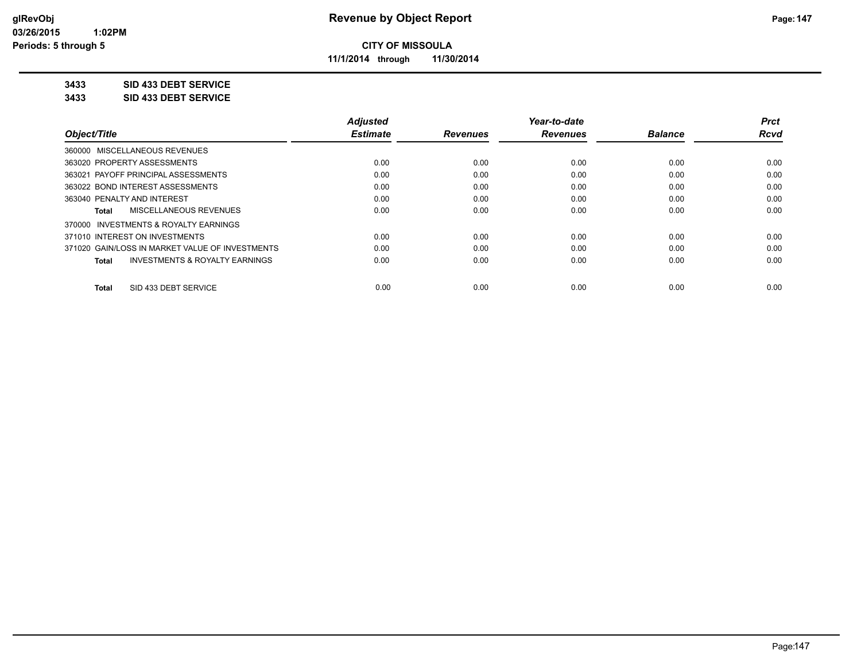**11/1/2014 through 11/30/2014**

### **3433 SID 433 DEBT SERVICE**

**3433 SID 433 DEBT SERVICE**

|                                                    | <b>Adjusted</b> |                 | Year-to-date    |                | <b>Prct</b> |
|----------------------------------------------------|-----------------|-----------------|-----------------|----------------|-------------|
| Object/Title                                       | <b>Estimate</b> | <b>Revenues</b> | <b>Revenues</b> | <b>Balance</b> | <b>Rcvd</b> |
| 360000 MISCELLANEOUS REVENUES                      |                 |                 |                 |                |             |
| 363020 PROPERTY ASSESSMENTS                        | 0.00            | 0.00            | 0.00            | 0.00           | 0.00        |
| 363021 PAYOFF PRINCIPAL ASSESSMENTS                | 0.00            | 0.00            | 0.00            | 0.00           | 0.00        |
| 363022 BOND INTEREST ASSESSMENTS                   | 0.00            | 0.00            | 0.00            | 0.00           | 0.00        |
| 363040 PENALTY AND INTEREST                        | 0.00            | 0.00            | 0.00            | 0.00           | 0.00        |
| MISCELLANEOUS REVENUES<br>Total                    | 0.00            | 0.00            | 0.00            | 0.00           | 0.00        |
| INVESTMENTS & ROYALTY EARNINGS<br>370000           |                 |                 |                 |                |             |
| 371010 INTEREST ON INVESTMENTS                     | 0.00            | 0.00            | 0.00            | 0.00           | 0.00        |
| 371020 GAIN/LOSS IN MARKET VALUE OF INVESTMENTS    | 0.00            | 0.00            | 0.00            | 0.00           | 0.00        |
| <b>INVESTMENTS &amp; ROYALTY EARNINGS</b><br>Total | 0.00            | 0.00            | 0.00            | 0.00           | 0.00        |
| SID 433 DEBT SERVICE<br><b>Total</b>               | 0.00            | 0.00            | 0.00            | 0.00           | 0.00        |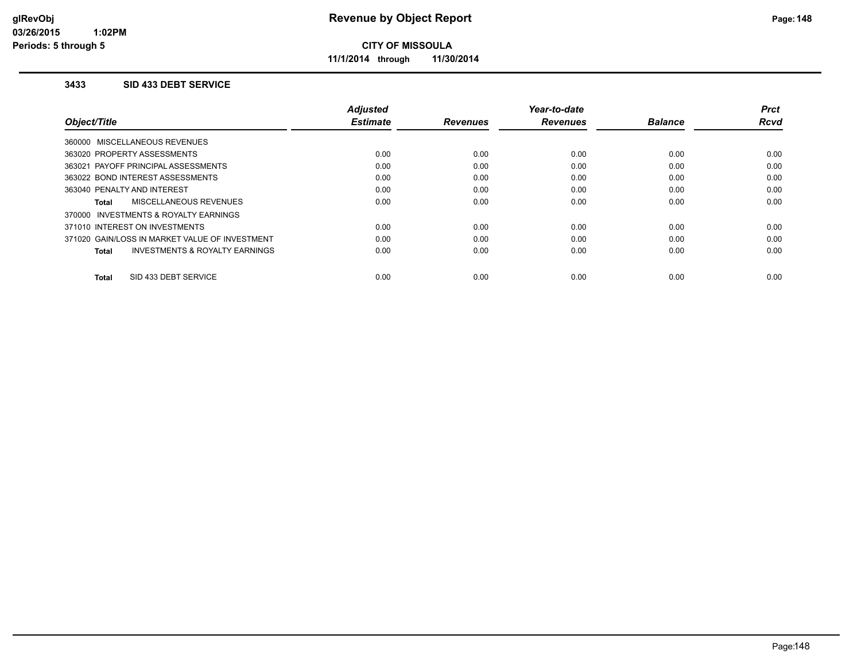**11/1/2014 through 11/30/2014**

#### **3433 SID 433 DEBT SERVICE**

|                                                    | <b>Adjusted</b> |                 | Year-to-date    |                | <b>Prct</b> |
|----------------------------------------------------|-----------------|-----------------|-----------------|----------------|-------------|
| Object/Title                                       | <b>Estimate</b> | <b>Revenues</b> | <b>Revenues</b> | <b>Balance</b> | <b>Rcvd</b> |
| 360000 MISCELLANEOUS REVENUES                      |                 |                 |                 |                |             |
| 363020 PROPERTY ASSESSMENTS                        | 0.00            | 0.00            | 0.00            | 0.00           | 0.00        |
| 363021 PAYOFF PRINCIPAL ASSESSMENTS                | 0.00            | 0.00            | 0.00            | 0.00           | 0.00        |
| 363022 BOND INTEREST ASSESSMENTS                   | 0.00            | 0.00            | 0.00            | 0.00           | 0.00        |
| 363040 PENALTY AND INTEREST                        | 0.00            | 0.00            | 0.00            | 0.00           | 0.00        |
| MISCELLANEOUS REVENUES<br>Total                    | 0.00            | 0.00            | 0.00            | 0.00           | 0.00        |
| 370000 INVESTMENTS & ROYALTY EARNINGS              |                 |                 |                 |                |             |
| 371010 INTEREST ON INVESTMENTS                     | 0.00            | 0.00            | 0.00            | 0.00           | 0.00        |
| 371020 GAIN/LOSS IN MARKET VALUE OF INVESTMENT     | 0.00            | 0.00            | 0.00            | 0.00           | 0.00        |
| <b>INVESTMENTS &amp; ROYALTY EARNINGS</b><br>Total | 0.00            | 0.00            | 0.00            | 0.00           | 0.00        |
|                                                    |                 |                 |                 |                |             |
| SID 433 DEBT SERVICE<br>Total                      | 0.00            | 0.00            | 0.00            | 0.00           | 0.00        |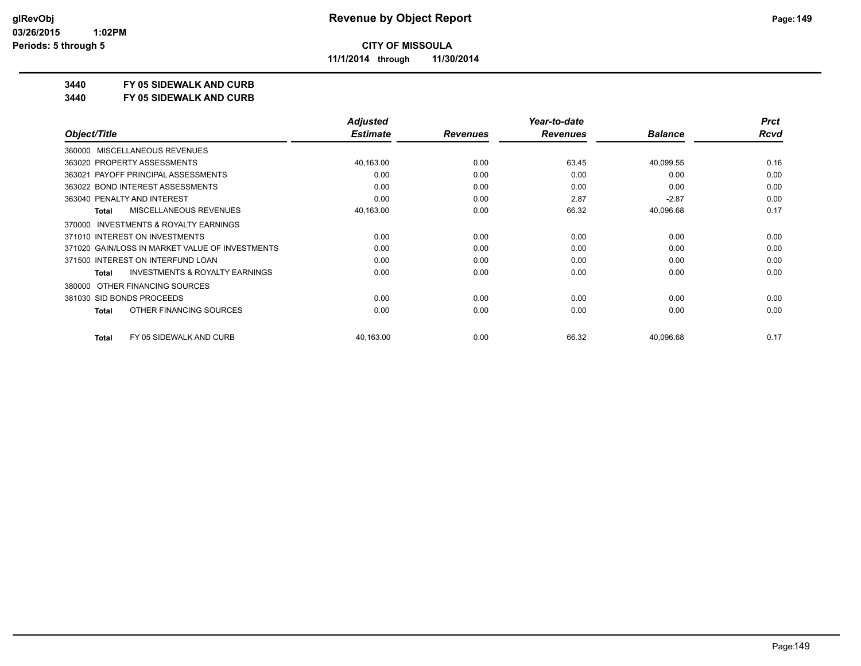**11/1/2014 through 11/30/2014**

### **3440 FY 05 SIDEWALK AND CURB**

**3440 FY 05 SIDEWALK AND CURB**

|                                                           | <b>Adjusted</b> |                 | Year-to-date    |                | <b>Prct</b> |
|-----------------------------------------------------------|-----------------|-----------------|-----------------|----------------|-------------|
| Object/Title                                              | <b>Estimate</b> | <b>Revenues</b> | <b>Revenues</b> | <b>Balance</b> | Rcvd        |
| 360000 MISCELLANEOUS REVENUES                             |                 |                 |                 |                |             |
| 363020 PROPERTY ASSESSMENTS                               | 40,163.00       | 0.00            | 63.45           | 40,099.55      | 0.16        |
| 363021 PAYOFF PRINCIPAL ASSESSMENTS                       | 0.00            | 0.00            | 0.00            | 0.00           | 0.00        |
| 363022 BOND INTEREST ASSESSMENTS                          | 0.00            | 0.00            | 0.00            | 0.00           | 0.00        |
| 363040 PENALTY AND INTEREST                               | 0.00            | 0.00            | 2.87            | $-2.87$        | 0.00        |
| MISCELLANEOUS REVENUES<br><b>Total</b>                    | 40,163.00       | 0.00            | 66.32           | 40,096.68      | 0.17        |
| INVESTMENTS & ROYALTY EARNINGS<br>370000                  |                 |                 |                 |                |             |
| 371010 INTEREST ON INVESTMENTS                            | 0.00            | 0.00            | 0.00            | 0.00           | 0.00        |
| 371020 GAIN/LOSS IN MARKET VALUE OF INVESTMENTS           | 0.00            | 0.00            | 0.00            | 0.00           | 0.00        |
| 371500 INTEREST ON INTERFUND LOAN                         | 0.00            | 0.00            | 0.00            | 0.00           | 0.00        |
| <b>INVESTMENTS &amp; ROYALTY EARNINGS</b><br><b>Total</b> | 0.00            | 0.00            | 0.00            | 0.00           | 0.00        |
| 380000 OTHER FINANCING SOURCES                            |                 |                 |                 |                |             |
| 381030 SID BONDS PROCEEDS                                 | 0.00            | 0.00            | 0.00            | 0.00           | 0.00        |
| OTHER FINANCING SOURCES<br><b>Total</b>                   | 0.00            | 0.00            | 0.00            | 0.00           | 0.00        |
| FY 05 SIDEWALK AND CURB<br><b>Total</b>                   | 40,163.00       | 0.00            | 66.32           | 40,096.68      | 0.17        |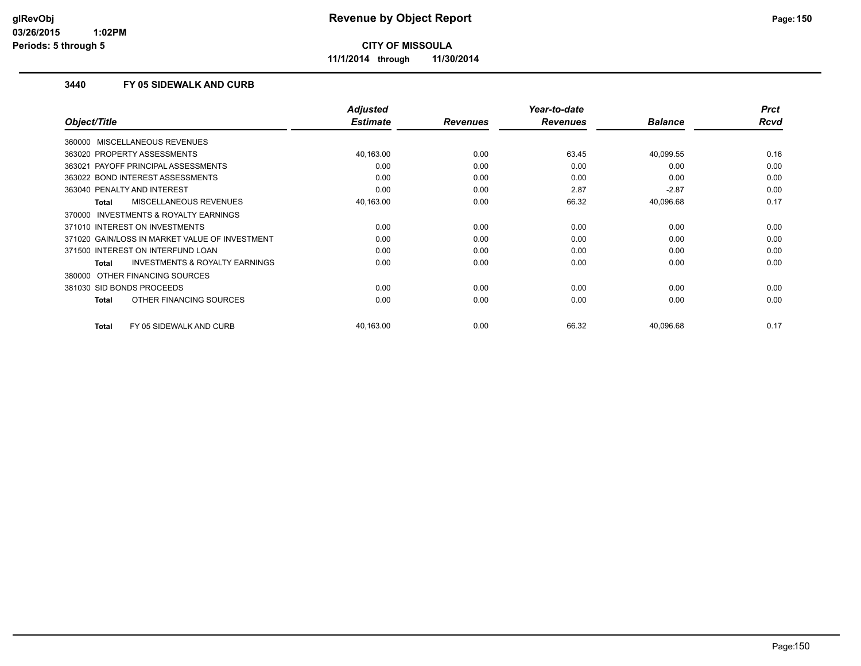**11/1/2014 through 11/30/2014**

#### **3440 FY 05 SIDEWALK AND CURB**

| <b>Adjusted</b> |                 | Year-to-date    |                | <b>Prct</b> |
|-----------------|-----------------|-----------------|----------------|-------------|
| <b>Estimate</b> | <b>Revenues</b> | <b>Revenues</b> | <b>Balance</b> | Rcvd        |
|                 |                 |                 |                |             |
| 40,163.00       | 0.00            | 63.45           | 40,099.55      | 0.16        |
| 0.00            | 0.00            | 0.00            | 0.00           | 0.00        |
| 0.00            | 0.00            | 0.00            | 0.00           | 0.00        |
| 0.00            | 0.00            | 2.87            | $-2.87$        | 0.00        |
| 40,163.00       | 0.00            | 66.32           | 40,096.68      | 0.17        |
|                 |                 |                 |                |             |
| 0.00            | 0.00            | 0.00            | 0.00           | 0.00        |
| 0.00            | 0.00            | 0.00            | 0.00           | 0.00        |
| 0.00            | 0.00            | 0.00            | 0.00           | 0.00        |
| 0.00            | 0.00            | 0.00            | 0.00           | 0.00        |
|                 |                 |                 |                |             |
| 0.00            | 0.00            | 0.00            | 0.00           | 0.00        |
| 0.00            | 0.00            | 0.00            | 0.00           | 0.00        |
|                 |                 |                 |                | 0.17        |
|                 | 40,163.00       | 0.00            | 66.32          | 40,096.68   |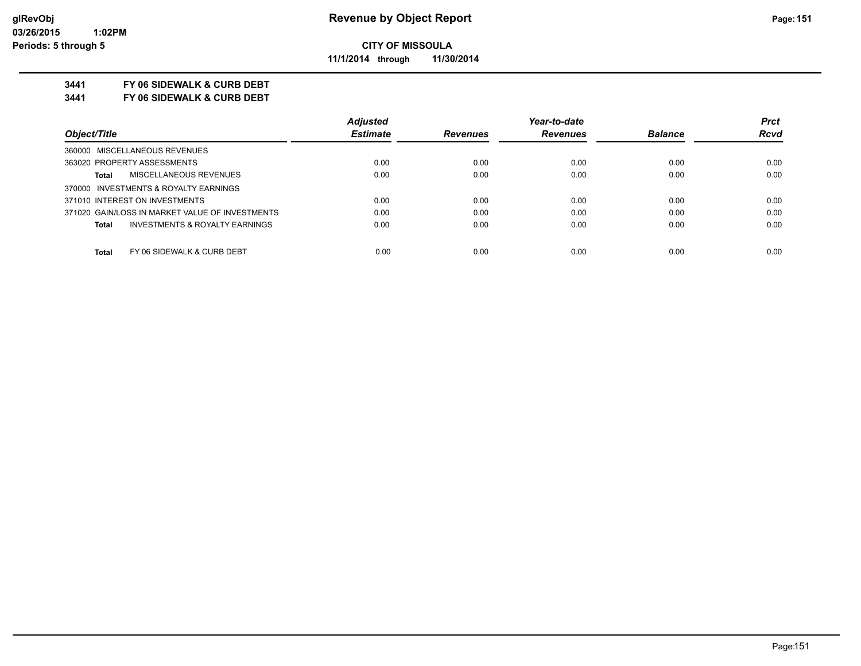**11/1/2014 through 11/30/2014**

### **3441 FY 06 SIDEWALK & CURB DEBT**

**3441 FY 06 SIDEWALK & CURB DEBT**

|                                                 | <b>Adjusted</b> |                 | Year-to-date    |                | <b>Prct</b> |
|-------------------------------------------------|-----------------|-----------------|-----------------|----------------|-------------|
| Object/Title                                    | <b>Estimate</b> | <b>Revenues</b> | <b>Revenues</b> | <b>Balance</b> | <b>Rcvd</b> |
| 360000 MISCELLANEOUS REVENUES                   |                 |                 |                 |                |             |
| 363020 PROPERTY ASSESSMENTS                     | 0.00            | 0.00            | 0.00            | 0.00           | 0.00        |
| MISCELLANEOUS REVENUES<br>Total                 | 0.00            | 0.00            | 0.00            | 0.00           | 0.00        |
| 370000 INVESTMENTS & ROYALTY EARNINGS           |                 |                 |                 |                |             |
| 371010 INTEREST ON INVESTMENTS                  | 0.00            | 0.00            | 0.00            | 0.00           | 0.00        |
| 371020 GAIN/LOSS IN MARKET VALUE OF INVESTMENTS | 0.00            | 0.00            | 0.00            | 0.00           | 0.00        |
| INVESTMENTS & ROYALTY EARNINGS<br>Total         | 0.00            | 0.00            | 0.00            | 0.00           | 0.00        |
| FY 06 SIDEWALK & CURB DEBT<br><b>Total</b>      | 0.00            | 0.00            | 0.00            | 0.00           | 0.00        |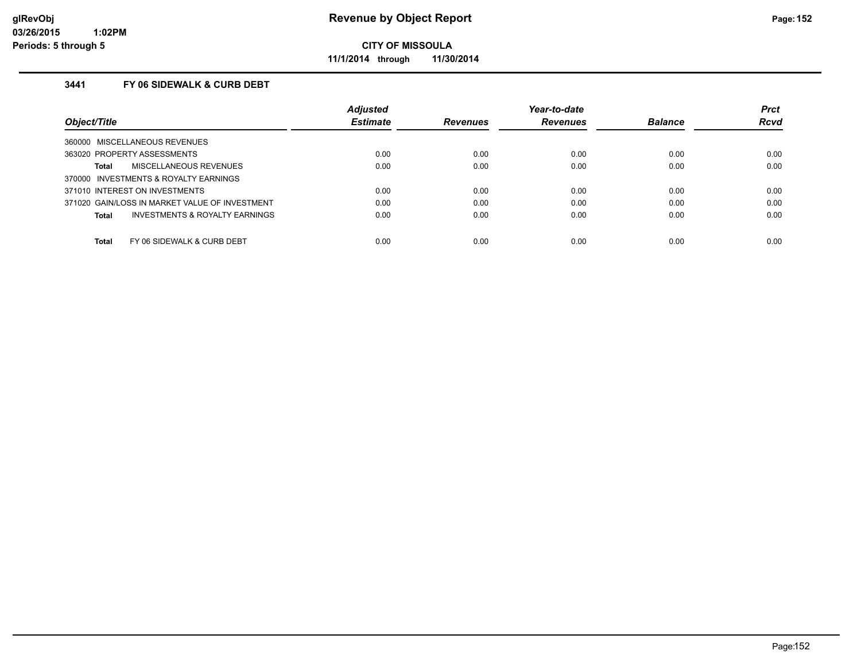**11/1/2014 through 11/30/2014**

### **3441 FY 06 SIDEWALK & CURB DEBT**

|                                                    | <b>Adjusted</b> |                 | Year-to-date    |                | <b>Prct</b> |
|----------------------------------------------------|-----------------|-----------------|-----------------|----------------|-------------|
| Object/Title                                       | <b>Estimate</b> | <b>Revenues</b> | <b>Revenues</b> | <b>Balance</b> | <b>Rcvd</b> |
| 360000 MISCELLANEOUS REVENUES                      |                 |                 |                 |                |             |
| 363020 PROPERTY ASSESSMENTS                        | 0.00            | 0.00            | 0.00            | 0.00           | 0.00        |
| <b>MISCELLANEOUS REVENUES</b><br>Total             | 0.00            | 0.00            | 0.00            | 0.00           | 0.00        |
| 370000 INVESTMENTS & ROYALTY EARNINGS              |                 |                 |                 |                |             |
| 371010 INTEREST ON INVESTMENTS                     | 0.00            | 0.00            | 0.00            | 0.00           | 0.00        |
| 371020 GAIN/LOSS IN MARKET VALUE OF INVESTMENT     | 0.00            | 0.00            | 0.00            | 0.00           | 0.00        |
| <b>INVESTMENTS &amp; ROYALTY EARNINGS</b><br>Total | 0.00            | 0.00            | 0.00            | 0.00           | 0.00        |
|                                                    |                 |                 |                 |                |             |
| Total<br>FY 06 SIDEWALK & CURB DEBT                | 0.00            | 0.00            | 0.00            | 0.00           | 0.00        |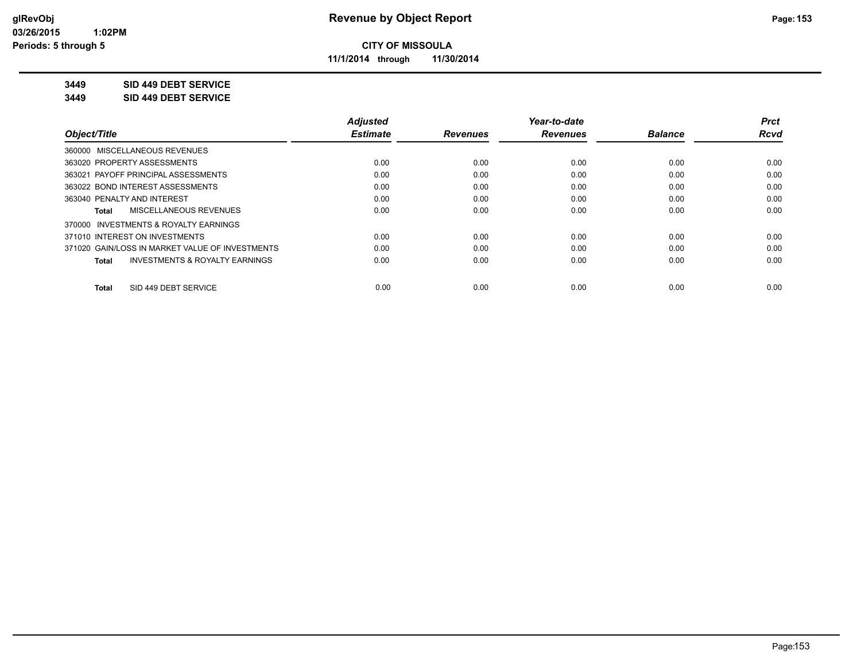**11/1/2014 through 11/30/2014**

### **3449 SID 449 DEBT SERVICE**

**3449 SID 449 DEBT SERVICE**

|                                                    | <b>Adjusted</b> |                 | Year-to-date    |                | <b>Prct</b> |
|----------------------------------------------------|-----------------|-----------------|-----------------|----------------|-------------|
| Object/Title                                       | <b>Estimate</b> | <b>Revenues</b> | <b>Revenues</b> | <b>Balance</b> | <b>Rcvd</b> |
| 360000 MISCELLANEOUS REVENUES                      |                 |                 |                 |                |             |
| 363020 PROPERTY ASSESSMENTS                        | 0.00            | 0.00            | 0.00            | 0.00           | 0.00        |
| 363021 PAYOFF PRINCIPAL ASSESSMENTS                | 0.00            | 0.00            | 0.00            | 0.00           | 0.00        |
| 363022 BOND INTEREST ASSESSMENTS                   | 0.00            | 0.00            | 0.00            | 0.00           | 0.00        |
| 363040 PENALTY AND INTEREST                        | 0.00            | 0.00            | 0.00            | 0.00           | 0.00        |
| MISCELLANEOUS REVENUES<br>Total                    | 0.00            | 0.00            | 0.00            | 0.00           | 0.00        |
| 370000 INVESTMENTS & ROYALTY EARNINGS              |                 |                 |                 |                |             |
| 371010 INTEREST ON INVESTMENTS                     | 0.00            | 0.00            | 0.00            | 0.00           | 0.00        |
| 371020 GAIN/LOSS IN MARKET VALUE OF INVESTMENTS    | 0.00            | 0.00            | 0.00            | 0.00           | 0.00        |
| <b>INVESTMENTS &amp; ROYALTY EARNINGS</b><br>Total | 0.00            | 0.00            | 0.00            | 0.00           | 0.00        |
| SID 449 DEBT SERVICE<br>Total                      | 0.00            | 0.00            | 0.00            | 0.00           | 0.00        |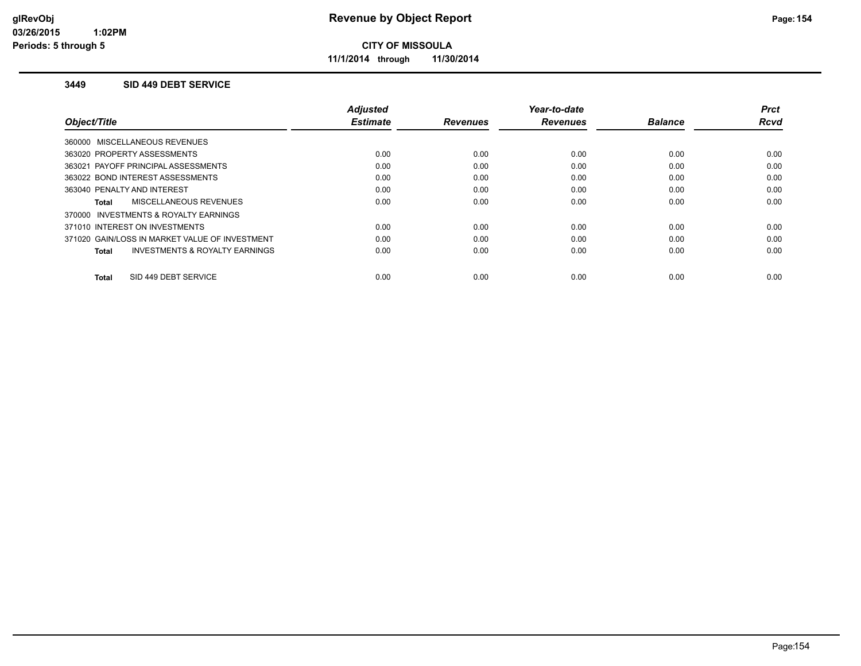**11/1/2014 through 11/30/2014**

#### **3449 SID 449 DEBT SERVICE**

|                                                    | <b>Adjusted</b> |                 | Year-to-date    |                | <b>Prct</b> |
|----------------------------------------------------|-----------------|-----------------|-----------------|----------------|-------------|
| Object/Title                                       | <b>Estimate</b> | <b>Revenues</b> | <b>Revenues</b> | <b>Balance</b> | <b>Rcvd</b> |
| 360000 MISCELLANEOUS REVENUES                      |                 |                 |                 |                |             |
| 363020 PROPERTY ASSESSMENTS                        | 0.00            | 0.00            | 0.00            | 0.00           | 0.00        |
| 363021 PAYOFF PRINCIPAL ASSESSMENTS                | 0.00            | 0.00            | 0.00            | 0.00           | 0.00        |
| 363022 BOND INTEREST ASSESSMENTS                   | 0.00            | 0.00            | 0.00            | 0.00           | 0.00        |
| 363040 PENALTY AND INTEREST                        | 0.00            | 0.00            | 0.00            | 0.00           | 0.00        |
| MISCELLANEOUS REVENUES<br>Total                    | 0.00            | 0.00            | 0.00            | 0.00           | 0.00        |
| 370000 INVESTMENTS & ROYALTY EARNINGS              |                 |                 |                 |                |             |
| 371010 INTEREST ON INVESTMENTS                     | 0.00            | 0.00            | 0.00            | 0.00           | 0.00        |
| 371020 GAIN/LOSS IN MARKET VALUE OF INVESTMENT     | 0.00            | 0.00            | 0.00            | 0.00           | 0.00        |
| <b>INVESTMENTS &amp; ROYALTY EARNINGS</b><br>Total | 0.00            | 0.00            | 0.00            | 0.00           | 0.00        |
|                                                    |                 |                 |                 |                |             |
| SID 449 DEBT SERVICE<br>Total                      | 0.00            | 0.00            | 0.00            | 0.00           | 0.00        |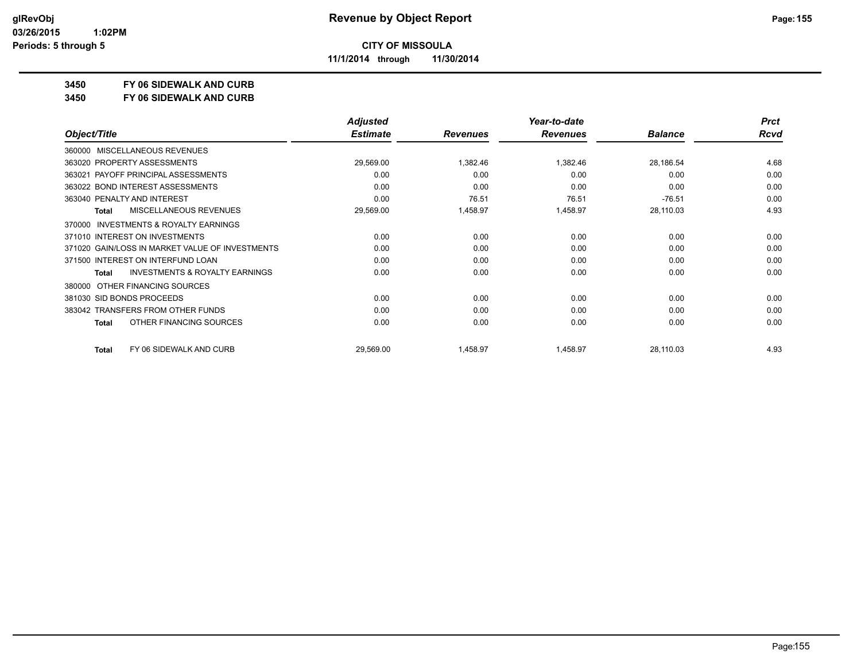**11/1/2014 through 11/30/2014**

#### **3450 FY 06 SIDEWALK AND CURB**

**3450 FY 06 SIDEWALK AND CURB**

|                                                     | <b>Adjusted</b> |                 | Year-to-date    |                | <b>Prct</b> |
|-----------------------------------------------------|-----------------|-----------------|-----------------|----------------|-------------|
| Object/Title                                        | <b>Estimate</b> | <b>Revenues</b> | <b>Revenues</b> | <b>Balance</b> | <b>Rcvd</b> |
| MISCELLANEOUS REVENUES<br>360000                    |                 |                 |                 |                |             |
| 363020 PROPERTY ASSESSMENTS                         | 29,569.00       | 1,382.46        | 1,382.46        | 28,186.54      | 4.68        |
| 363021 PAYOFF PRINCIPAL ASSESSMENTS                 | 0.00            | 0.00            | 0.00            | 0.00           | 0.00        |
| 363022 BOND INTEREST ASSESSMENTS                    | 0.00            | 0.00            | 0.00            | 0.00           | 0.00        |
| 363040 PENALTY AND INTEREST                         | 0.00            | 76.51           | 76.51           | $-76.51$       | 0.00        |
| MISCELLANEOUS REVENUES<br>Total                     | 29,569.00       | 1,458.97        | 1,458.97        | 28,110.03      | 4.93        |
| <b>INVESTMENTS &amp; ROYALTY EARNINGS</b><br>370000 |                 |                 |                 |                |             |
| 371010 INTEREST ON INVESTMENTS                      | 0.00            | 0.00            | 0.00            | 0.00           | 0.00        |
| 371020 GAIN/LOSS IN MARKET VALUE OF INVESTMENTS     | 0.00            | 0.00            | 0.00            | 0.00           | 0.00        |
| 371500 INTEREST ON INTERFUND LOAN                   | 0.00            | 0.00            | 0.00            | 0.00           | 0.00        |
| <b>INVESTMENTS &amp; ROYALTY EARNINGS</b><br>Total  | 0.00            | 0.00            | 0.00            | 0.00           | 0.00        |
| OTHER FINANCING SOURCES<br>380000                   |                 |                 |                 |                |             |
| 381030 SID BONDS PROCEEDS                           | 0.00            | 0.00            | 0.00            | 0.00           | 0.00        |
| 383042 TRANSFERS FROM OTHER FUNDS                   | 0.00            | 0.00            | 0.00            | 0.00           | 0.00        |
| OTHER FINANCING SOURCES<br>Total                    | 0.00            | 0.00            | 0.00            | 0.00           | 0.00        |
| FY 06 SIDEWALK AND CURB<br><b>Total</b>             | 29,569.00       | 1,458.97        | 1,458.97        | 28,110.03      | 4.93        |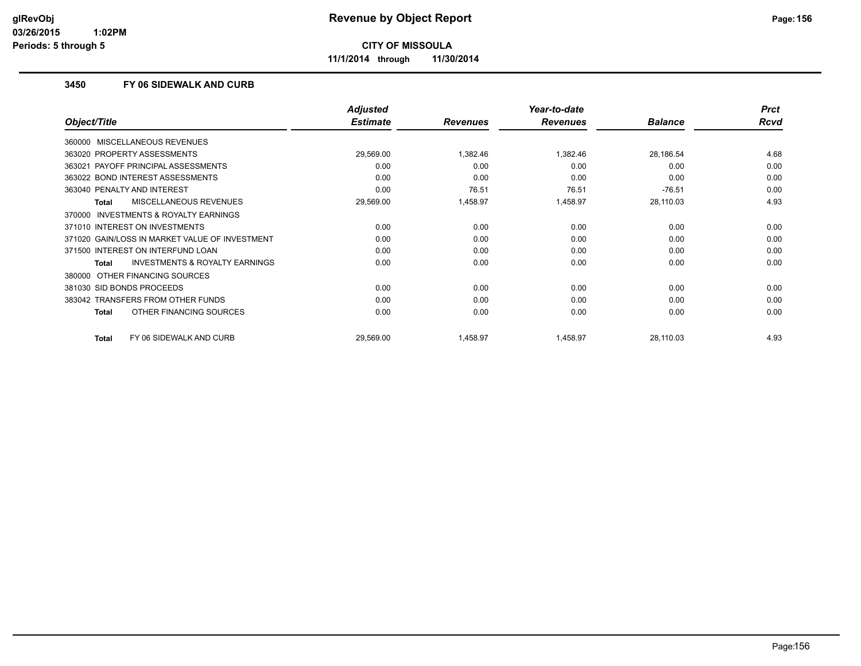**11/1/2014 through 11/30/2014**

#### **3450 FY 06 SIDEWALK AND CURB**

|                                                           | <b>Adjusted</b> |                 | Year-to-date    |                | <b>Prct</b> |
|-----------------------------------------------------------|-----------------|-----------------|-----------------|----------------|-------------|
| Object/Title                                              | <b>Estimate</b> | <b>Revenues</b> | <b>Revenues</b> | <b>Balance</b> | Rcvd        |
| MISCELLANEOUS REVENUES<br>360000                          |                 |                 |                 |                |             |
| 363020 PROPERTY ASSESSMENTS                               | 29,569.00       | 1,382.46        | 1,382.46        | 28,186.54      | 4.68        |
| 363021 PAYOFF PRINCIPAL ASSESSMENTS                       | 0.00            | 0.00            | 0.00            | 0.00           | 0.00        |
| 363022 BOND INTEREST ASSESSMENTS                          | 0.00            | 0.00            | 0.00            | 0.00           | 0.00        |
| 363040 PENALTY AND INTEREST                               | 0.00            | 76.51           | 76.51           | $-76.51$       | 0.00        |
| <b>MISCELLANEOUS REVENUES</b><br><b>Total</b>             | 29,569.00       | 1,458.97        | 1,458.97        | 28,110.03      | 4.93        |
| <b>INVESTMENTS &amp; ROYALTY EARNINGS</b><br>370000       |                 |                 |                 |                |             |
| 371010 INTEREST ON INVESTMENTS                            | 0.00            | 0.00            | 0.00            | 0.00           | 0.00        |
| 371020 GAIN/LOSS IN MARKET VALUE OF INVESTMENT            | 0.00            | 0.00            | 0.00            | 0.00           | 0.00        |
| 371500 INTEREST ON INTERFUND LOAN                         | 0.00            | 0.00            | 0.00            | 0.00           | 0.00        |
| <b>INVESTMENTS &amp; ROYALTY EARNINGS</b><br><b>Total</b> | 0.00            | 0.00            | 0.00            | 0.00           | 0.00        |
| OTHER FINANCING SOURCES<br>380000                         |                 |                 |                 |                |             |
| 381030 SID BONDS PROCEEDS                                 | 0.00            | 0.00            | 0.00            | 0.00           | 0.00        |
| 383042 TRANSFERS FROM OTHER FUNDS                         | 0.00            | 0.00            | 0.00            | 0.00           | 0.00        |
| OTHER FINANCING SOURCES<br><b>Total</b>                   | 0.00            | 0.00            | 0.00            | 0.00           | 0.00        |
| FY 06 SIDEWALK AND CURB<br><b>Total</b>                   | 29,569.00       | 1,458.97        | 1,458.97        | 28,110.03      | 4.93        |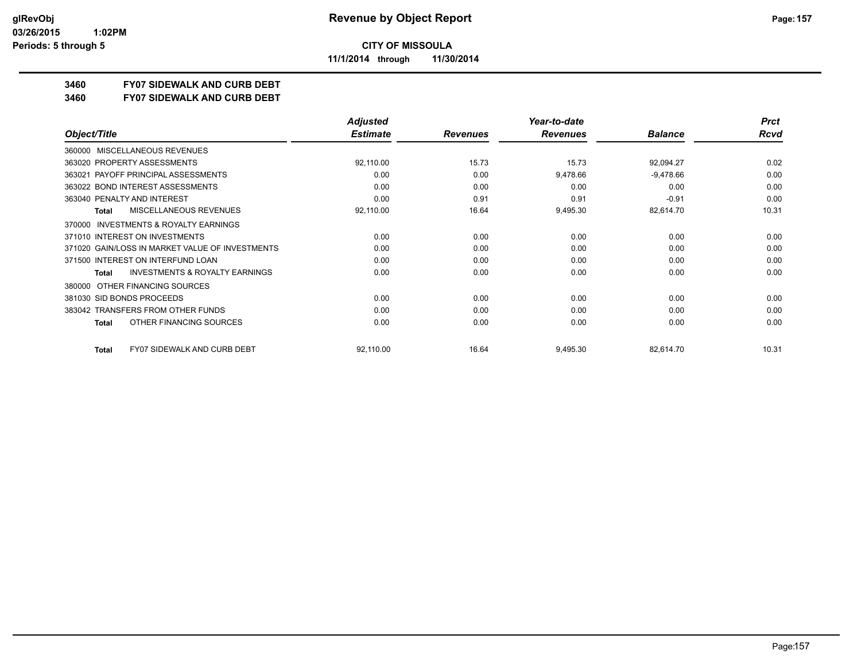**11/1/2014 through 11/30/2014**

# **3460 FY07 SIDEWALK AND CURB DEBT**

#### **3460 FY07 SIDEWALK AND CURB DEBT**

|                                                     | <b>Adjusted</b> |                 | Year-to-date    |                | <b>Prct</b> |
|-----------------------------------------------------|-----------------|-----------------|-----------------|----------------|-------------|
| Object/Title                                        | <b>Estimate</b> | <b>Revenues</b> | <b>Revenues</b> | <b>Balance</b> | <b>Rcvd</b> |
| <b>MISCELLANEOUS REVENUES</b><br>360000             |                 |                 |                 |                |             |
| 363020 PROPERTY ASSESSMENTS                         | 92,110.00       | 15.73           | 15.73           | 92,094.27      | 0.02        |
| 363021 PAYOFF PRINCIPAL ASSESSMENTS                 | 0.00            | 0.00            | 9,478.66        | $-9,478.66$    | 0.00        |
| 363022 BOND INTEREST ASSESSMENTS                    | 0.00            | 0.00            | 0.00            | 0.00           | 0.00        |
| 363040 PENALTY AND INTEREST                         | 0.00            | 0.91            | 0.91            | $-0.91$        | 0.00        |
| MISCELLANEOUS REVENUES<br>Total                     | 92,110.00       | 16.64           | 9,495.30        | 82,614.70      | 10.31       |
| <b>INVESTMENTS &amp; ROYALTY EARNINGS</b><br>370000 |                 |                 |                 |                |             |
| 371010 INTEREST ON INVESTMENTS                      | 0.00            | 0.00            | 0.00            | 0.00           | 0.00        |
| 371020 GAIN/LOSS IN MARKET VALUE OF INVESTMENTS     | 0.00            | 0.00            | 0.00            | 0.00           | 0.00        |
| 371500 INTEREST ON INTERFUND LOAN                   | 0.00            | 0.00            | 0.00            | 0.00           | 0.00        |
| <b>INVESTMENTS &amp; ROYALTY EARNINGS</b><br>Total  | 0.00            | 0.00            | 0.00            | 0.00           | 0.00        |
| OTHER FINANCING SOURCES<br>380000                   |                 |                 |                 |                |             |
| 381030 SID BONDS PROCEEDS                           | 0.00            | 0.00            | 0.00            | 0.00           | 0.00        |
| 383042 TRANSFERS FROM OTHER FUNDS                   | 0.00            | 0.00            | 0.00            | 0.00           | 0.00        |
| OTHER FINANCING SOURCES<br><b>Total</b>             | 0.00            | 0.00            | 0.00            | 0.00           | 0.00        |
| <b>FY07 SIDEWALK AND CURB DEBT</b><br>Total         | 92,110.00       | 16.64           | 9,495.30        | 82,614.70      | 10.31       |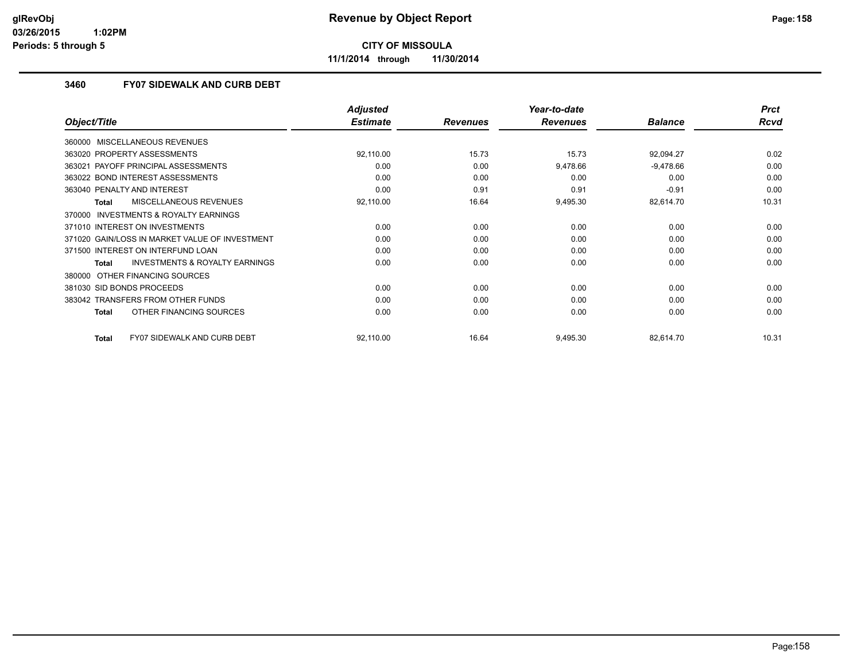**11/1/2014 through 11/30/2014**

### **3460 FY07 SIDEWALK AND CURB DEBT**

|                                                           | <b>Adjusted</b> |                 | Year-to-date    |                | <b>Prct</b> |
|-----------------------------------------------------------|-----------------|-----------------|-----------------|----------------|-------------|
| Object/Title                                              | <b>Estimate</b> | <b>Revenues</b> | <b>Revenues</b> | <b>Balance</b> | <b>Rcvd</b> |
| MISCELLANEOUS REVENUES<br>360000                          |                 |                 |                 |                |             |
| 363020 PROPERTY ASSESSMENTS                               | 92,110.00       | 15.73           | 15.73           | 92,094.27      | 0.02        |
| 363021 PAYOFF PRINCIPAL ASSESSMENTS                       | 0.00            | 0.00            | 9,478.66        | $-9,478.66$    | 0.00        |
| 363022 BOND INTEREST ASSESSMENTS                          | 0.00            | 0.00            | 0.00            | 0.00           | 0.00        |
| 363040 PENALTY AND INTEREST                               | 0.00            | 0.91            | 0.91            | $-0.91$        | 0.00        |
| <b>MISCELLANEOUS REVENUES</b><br><b>Total</b>             | 92,110.00       | 16.64           | 9,495.30        | 82,614.70      | 10.31       |
| <b>INVESTMENTS &amp; ROYALTY EARNINGS</b><br>370000       |                 |                 |                 |                |             |
| 371010 INTEREST ON INVESTMENTS                            | 0.00            | 0.00            | 0.00            | 0.00           | 0.00        |
| 371020 GAIN/LOSS IN MARKET VALUE OF INVESTMENT            | 0.00            | 0.00            | 0.00            | 0.00           | 0.00        |
| 371500 INTEREST ON INTERFUND LOAN                         | 0.00            | 0.00            | 0.00            | 0.00           | 0.00        |
| <b>INVESTMENTS &amp; ROYALTY EARNINGS</b><br><b>Total</b> | 0.00            | 0.00            | 0.00            | 0.00           | 0.00        |
| OTHER FINANCING SOURCES<br>380000                         |                 |                 |                 |                |             |
| 381030 SID BONDS PROCEEDS                                 | 0.00            | 0.00            | 0.00            | 0.00           | 0.00        |
| 383042 TRANSFERS FROM OTHER FUNDS                         | 0.00            | 0.00            | 0.00            | 0.00           | 0.00        |
| OTHER FINANCING SOURCES<br><b>Total</b>                   | 0.00            | 0.00            | 0.00            | 0.00           | 0.00        |
| <b>FY07 SIDEWALK AND CURB DEBT</b><br><b>Total</b>        | 92,110.00       | 16.64           | 9,495.30        | 82,614.70      | 10.31       |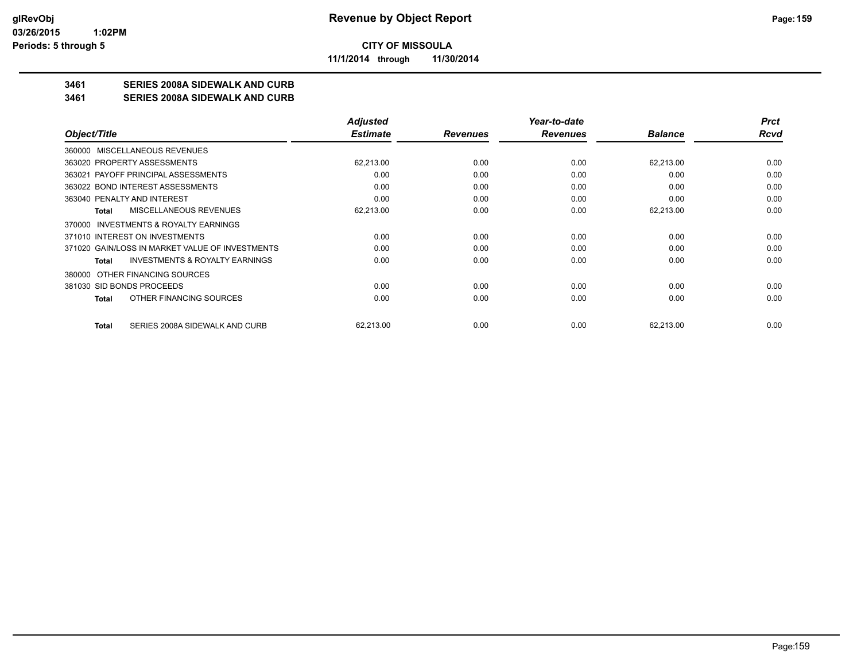**11/1/2014 through 11/30/2014**

### **3461 SERIES 2008A SIDEWALK AND CURB**

**3461 SERIES 2008A SIDEWALK AND CURB**

|                                                           | <b>Adjusted</b> |                 | Year-to-date    |                | <b>Prct</b> |
|-----------------------------------------------------------|-----------------|-----------------|-----------------|----------------|-------------|
| Object/Title                                              | <b>Estimate</b> | <b>Revenues</b> | <b>Revenues</b> | <b>Balance</b> | Rcvd        |
| 360000 MISCELLANEOUS REVENUES                             |                 |                 |                 |                |             |
| 363020 PROPERTY ASSESSMENTS                               | 62,213.00       | 0.00            | 0.00            | 62,213.00      | 0.00        |
| 363021 PAYOFF PRINCIPAL ASSESSMENTS                       | 0.00            | 0.00            | 0.00            | 0.00           | 0.00        |
| 363022 BOND INTEREST ASSESSMENTS                          | 0.00            | 0.00            | 0.00            | 0.00           | 0.00        |
| 363040 PENALTY AND INTEREST                               | 0.00            | 0.00            | 0.00            | 0.00           | 0.00        |
| MISCELLANEOUS REVENUES<br><b>Total</b>                    | 62,213.00       | 0.00            | 0.00            | 62,213.00      | 0.00        |
| INVESTMENTS & ROYALTY EARNINGS<br>370000                  |                 |                 |                 |                |             |
| 371010 INTEREST ON INVESTMENTS                            | 0.00            | 0.00            | 0.00            | 0.00           | 0.00        |
| 371020 GAIN/LOSS IN MARKET VALUE OF INVESTMENTS           | 0.00            | 0.00            | 0.00            | 0.00           | 0.00        |
| <b>INVESTMENTS &amp; ROYALTY EARNINGS</b><br><b>Total</b> | 0.00            | 0.00            | 0.00            | 0.00           | 0.00        |
| OTHER FINANCING SOURCES<br>380000                         |                 |                 |                 |                |             |
| 381030 SID BONDS PROCEEDS                                 | 0.00            | 0.00            | 0.00            | 0.00           | 0.00        |
| OTHER FINANCING SOURCES<br><b>Total</b>                   | 0.00            | 0.00            | 0.00            | 0.00           | 0.00        |
| SERIES 2008A SIDEWALK AND CURB<br><b>Total</b>            | 62,213.00       | 0.00            | 0.00            | 62,213.00      | 0.00        |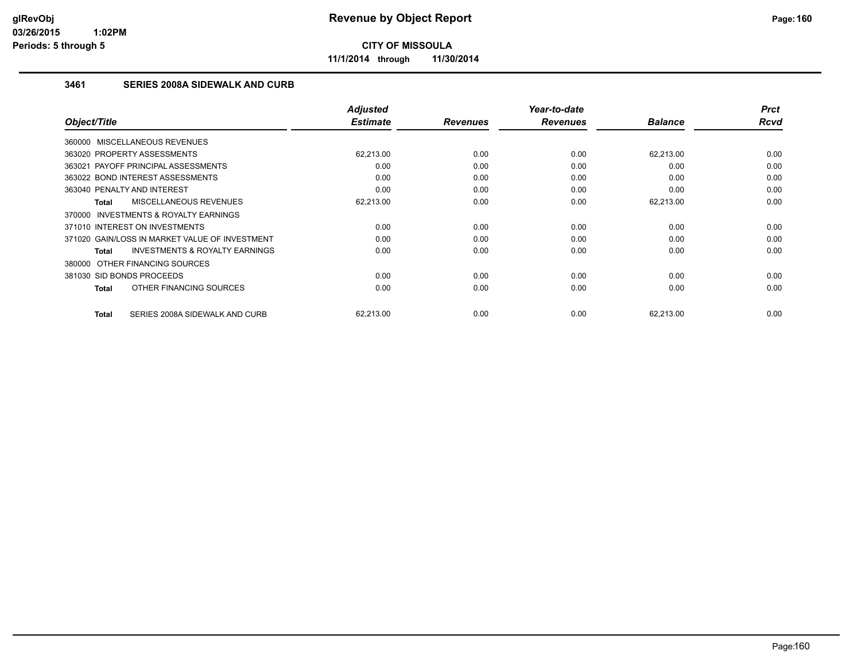**11/1/2014 through 11/30/2014**

### **3461 SERIES 2008A SIDEWALK AND CURB**

| Object/Title                                              | <b>Adjusted</b><br><b>Estimate</b> | <b>Revenues</b> | Year-to-date<br><b>Revenues</b> | <b>Balance</b> | <b>Prct</b><br>Rcvd |
|-----------------------------------------------------------|------------------------------------|-----------------|---------------------------------|----------------|---------------------|
| 360000 MISCELLANEOUS REVENUES                             |                                    |                 |                                 |                |                     |
|                                                           |                                    |                 |                                 |                |                     |
| 363020 PROPERTY ASSESSMENTS                               | 62.213.00                          | 0.00            | 0.00                            | 62,213.00      | 0.00                |
| 363021 PAYOFF PRINCIPAL ASSESSMENTS                       | 0.00                               | 0.00            | 0.00                            | 0.00           | 0.00                |
| 363022 BOND INTEREST ASSESSMENTS                          | 0.00                               | 0.00            | 0.00                            | 0.00           | 0.00                |
| 363040 PENALTY AND INTEREST                               | 0.00                               | 0.00            | 0.00                            | 0.00           | 0.00                |
| <b>MISCELLANEOUS REVENUES</b><br><b>Total</b>             | 62,213.00                          | 0.00            | 0.00                            | 62,213.00      | 0.00                |
| <b>INVESTMENTS &amp; ROYALTY EARNINGS</b><br>370000       |                                    |                 |                                 |                |                     |
| 371010 INTEREST ON INVESTMENTS                            | 0.00                               | 0.00            | 0.00                            | 0.00           | 0.00                |
| 371020 GAIN/LOSS IN MARKET VALUE OF INVESTMENT            | 0.00                               | 0.00            | 0.00                            | 0.00           | 0.00                |
| <b>INVESTMENTS &amp; ROYALTY EARNINGS</b><br><b>Total</b> | 0.00                               | 0.00            | 0.00                            | 0.00           | 0.00                |
| 380000 OTHER FINANCING SOURCES                            |                                    |                 |                                 |                |                     |
| 381030 SID BONDS PROCEEDS                                 | 0.00                               | 0.00            | 0.00                            | 0.00           | 0.00                |
| OTHER FINANCING SOURCES<br>Total                          | 0.00                               | 0.00            | 0.00                            | 0.00           | 0.00                |
| SERIES 2008A SIDEWALK AND CURB<br><b>Total</b>            | 62,213.00                          | 0.00            | 0.00                            | 62,213.00      | 0.00                |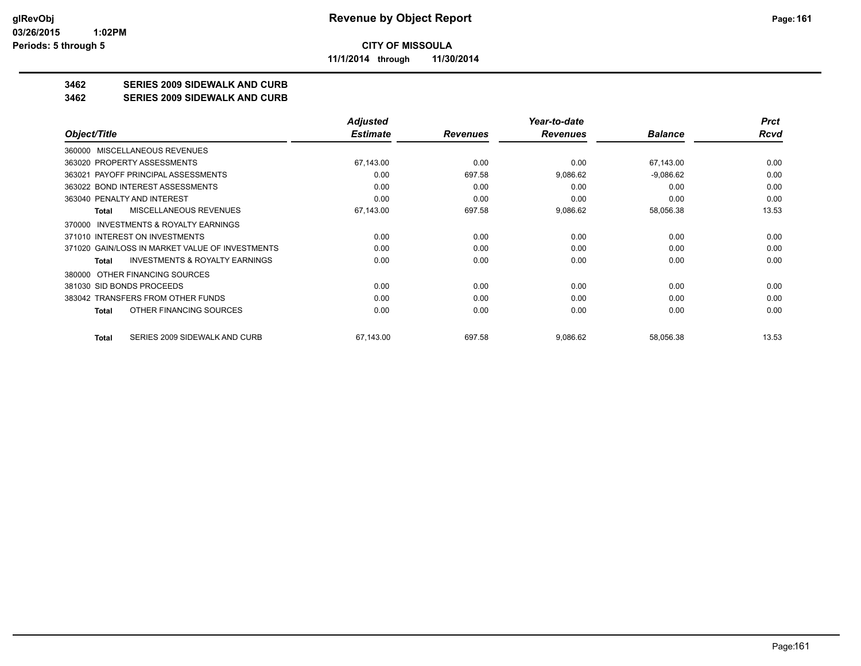**11/1/2014 through 11/30/2014**

# **3462 SERIES 2009 SIDEWALK AND CURB**

#### **3462 SERIES 2009 SIDEWALK AND CURB**

|                                                    | <b>Adjusted</b> |                 | Year-to-date    |                | <b>Prct</b> |
|----------------------------------------------------|-----------------|-----------------|-----------------|----------------|-------------|
| Object/Title                                       | <b>Estimate</b> | <b>Revenues</b> | <b>Revenues</b> | <b>Balance</b> | Rcvd        |
| MISCELLANEOUS REVENUES<br>360000                   |                 |                 |                 |                |             |
| 363020 PROPERTY ASSESSMENTS                        | 67,143.00       | 0.00            | 0.00            | 67,143.00      | 0.00        |
| 363021 PAYOFF PRINCIPAL ASSESSMENTS                | 0.00            | 697.58          | 9,086.62        | $-9,086.62$    | 0.00        |
| 363022 BOND INTEREST ASSESSMENTS                   | 0.00            | 0.00            | 0.00            | 0.00           | 0.00        |
| 363040 PENALTY AND INTEREST                        | 0.00            | 0.00            | 0.00            | 0.00           | 0.00        |
| MISCELLANEOUS REVENUES<br><b>Total</b>             | 67,143.00       | 697.58          | 9,086.62        | 58,056.38      | 13.53       |
| INVESTMENTS & ROYALTY EARNINGS<br>370000           |                 |                 |                 |                |             |
| 371010 INTEREST ON INVESTMENTS                     | 0.00            | 0.00            | 0.00            | 0.00           | 0.00        |
| 371020 GAIN/LOSS IN MARKET VALUE OF INVESTMENTS    | 0.00            | 0.00            | 0.00            | 0.00           | 0.00        |
| <b>INVESTMENTS &amp; ROYALTY EARNINGS</b><br>Total | 0.00            | 0.00            | 0.00            | 0.00           | 0.00        |
| OTHER FINANCING SOURCES<br>380000                  |                 |                 |                 |                |             |
| 381030 SID BONDS PROCEEDS                          | 0.00            | 0.00            | 0.00            | 0.00           | 0.00        |
| 383042 TRANSFERS FROM OTHER FUNDS                  | 0.00            | 0.00            | 0.00            | 0.00           | 0.00        |
| OTHER FINANCING SOURCES<br>Total                   | 0.00            | 0.00            | 0.00            | 0.00           | 0.00        |
| SERIES 2009 SIDEWALK AND CURB<br>Total             | 67,143.00       | 697.58          | 9,086.62        | 58,056.38      | 13.53       |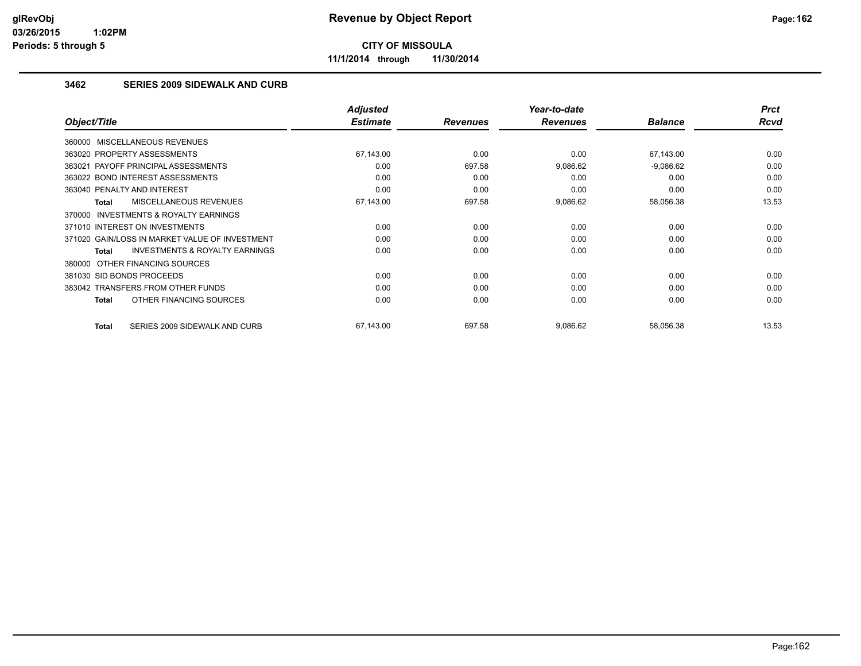**11/1/2014 through 11/30/2014**

### **3462 SERIES 2009 SIDEWALK AND CURB**

|                                                           | <b>Adjusted</b> |                 | Year-to-date    |                | <b>Prct</b> |
|-----------------------------------------------------------|-----------------|-----------------|-----------------|----------------|-------------|
| Object/Title                                              | <b>Estimate</b> | <b>Revenues</b> | <b>Revenues</b> | <b>Balance</b> | Rcvd        |
| 360000 MISCELLANEOUS REVENUES                             |                 |                 |                 |                |             |
| 363020 PROPERTY ASSESSMENTS                               | 67,143.00       | 0.00            | 0.00            | 67,143.00      | 0.00        |
| 363021 PAYOFF PRINCIPAL ASSESSMENTS                       | 0.00            | 697.58          | 9,086.62        | $-9,086.62$    | 0.00        |
| 363022 BOND INTEREST ASSESSMENTS                          | 0.00            | 0.00            | 0.00            | 0.00           | 0.00        |
| 363040 PENALTY AND INTEREST                               | 0.00            | 0.00            | 0.00            | 0.00           | 0.00        |
| MISCELLANEOUS REVENUES<br><b>Total</b>                    | 67,143.00       | 697.58          | 9,086.62        | 58,056.38      | 13.53       |
| <b>INVESTMENTS &amp; ROYALTY EARNINGS</b><br>370000       |                 |                 |                 |                |             |
| 371010 INTEREST ON INVESTMENTS                            | 0.00            | 0.00            | 0.00            | 0.00           | 0.00        |
| 371020 GAIN/LOSS IN MARKET VALUE OF INVESTMENT            | 0.00            | 0.00            | 0.00            | 0.00           | 0.00        |
| <b>INVESTMENTS &amp; ROYALTY EARNINGS</b><br><b>Total</b> | 0.00            | 0.00            | 0.00            | 0.00           | 0.00        |
| 380000 OTHER FINANCING SOURCES                            |                 |                 |                 |                |             |
| 381030 SID BONDS PROCEEDS                                 | 0.00            | 0.00            | 0.00            | 0.00           | 0.00        |
| 383042 TRANSFERS FROM OTHER FUNDS                         | 0.00            | 0.00            | 0.00            | 0.00           | 0.00        |
| OTHER FINANCING SOURCES<br>Total                          | 0.00            | 0.00            | 0.00            | 0.00           | 0.00        |
|                                                           |                 |                 |                 |                |             |
| SERIES 2009 SIDEWALK AND CURB<br>Total                    | 67,143.00       | 697.58          | 9,086.62        | 58,056.38      | 13.53       |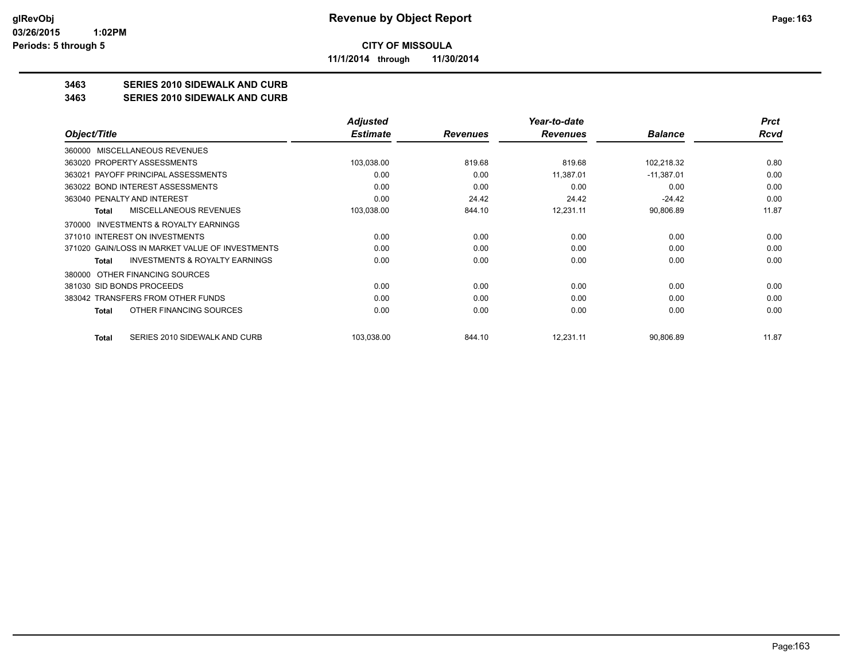**11/1/2014 through 11/30/2014**

### **3463 SERIES 2010 SIDEWALK AND CURB**

#### **3463 SERIES 2010 SIDEWALK AND CURB**

|                                                     | <b>Adjusted</b> |                 | Year-to-date    |                | <b>Prct</b> |
|-----------------------------------------------------|-----------------|-----------------|-----------------|----------------|-------------|
| Object/Title                                        | <b>Estimate</b> | <b>Revenues</b> | <b>Revenues</b> | <b>Balance</b> | Rcvd        |
| MISCELLANEOUS REVENUES<br>360000                    |                 |                 |                 |                |             |
| 363020 PROPERTY ASSESSMENTS                         | 103,038.00      | 819.68          | 819.68          | 102,218.32     | 0.80        |
| 363021 PAYOFF PRINCIPAL ASSESSMENTS                 | 0.00            | 0.00            | 11,387.01       | $-11,387.01$   | 0.00        |
| 363022 BOND INTEREST ASSESSMENTS                    | 0.00            | 0.00            | 0.00            | 0.00           | 0.00        |
| 363040 PENALTY AND INTEREST                         | 0.00            | 24.42           | 24.42           | $-24.42$       | 0.00        |
| MISCELLANEOUS REVENUES<br><b>Total</b>              | 103,038.00      | 844.10          | 12,231.11       | 90,806.89      | 11.87       |
| <b>INVESTMENTS &amp; ROYALTY EARNINGS</b><br>370000 |                 |                 |                 |                |             |
| 371010 INTEREST ON INVESTMENTS                      | 0.00            | 0.00            | 0.00            | 0.00           | 0.00        |
| 371020 GAIN/LOSS IN MARKET VALUE OF INVESTMENTS     | 0.00            | 0.00            | 0.00            | 0.00           | 0.00        |
| INVESTMENTS & ROYALTY EARNINGS<br>Total             | 0.00            | 0.00            | 0.00            | 0.00           | 0.00        |
| OTHER FINANCING SOURCES<br>380000                   |                 |                 |                 |                |             |
| 381030 SID BONDS PROCEEDS                           | 0.00            | 0.00            | 0.00            | 0.00           | 0.00        |
| 383042 TRANSFERS FROM OTHER FUNDS                   | 0.00            | 0.00            | 0.00            | 0.00           | 0.00        |
| OTHER FINANCING SOURCES<br>Total                    | 0.00            | 0.00            | 0.00            | 0.00           | 0.00        |
| SERIES 2010 SIDEWALK AND CURB<br>Total              | 103,038.00      | 844.10          | 12,231.11       | 90,806.89      | 11.87       |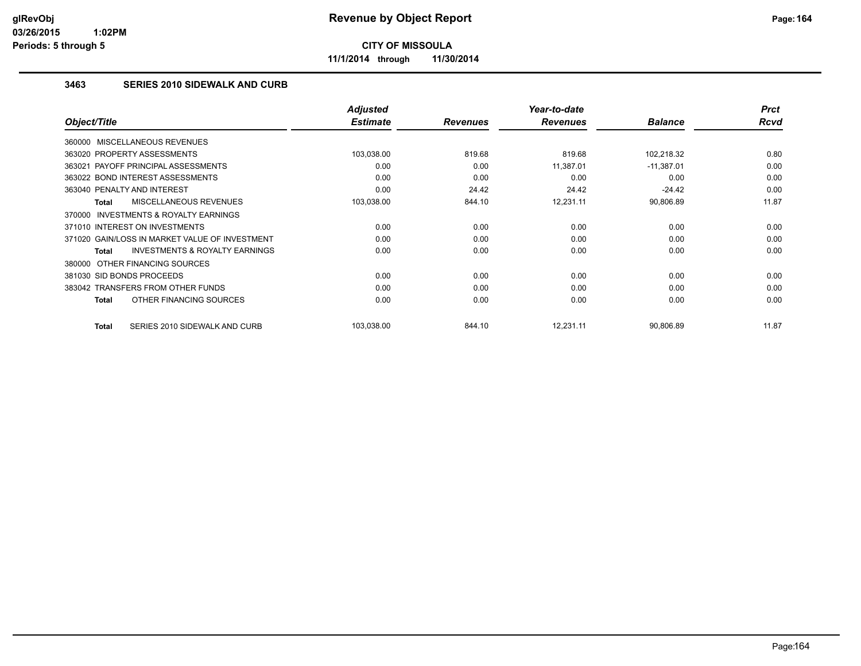**11/1/2014 through 11/30/2014**

### **3463 SERIES 2010 SIDEWALK AND CURB**

|                                                    | <b>Adjusted</b> |                 | Year-to-date    |                | <b>Prct</b> |
|----------------------------------------------------|-----------------|-----------------|-----------------|----------------|-------------|
| Object/Title                                       | <b>Estimate</b> | <b>Revenues</b> | <b>Revenues</b> | <b>Balance</b> | <b>Rcvd</b> |
| 360000 MISCELLANEOUS REVENUES                      |                 |                 |                 |                |             |
| 363020 PROPERTY ASSESSMENTS                        | 103,038.00      | 819.68          | 819.68          | 102,218.32     | 0.80        |
| 363021 PAYOFF PRINCIPAL ASSESSMENTS                | 0.00            | 0.00            | 11,387.01       | $-11,387.01$   | 0.00        |
| 363022 BOND INTEREST ASSESSMENTS                   | 0.00            | 0.00            | 0.00            | 0.00           | 0.00        |
| 363040 PENALTY AND INTEREST                        | 0.00            | 24.42           | 24.42           | $-24.42$       | 0.00        |
| MISCELLANEOUS REVENUES<br>Total                    | 103,038.00      | 844.10          | 12,231.11       | 90,806.89      | 11.87       |
| INVESTMENTS & ROYALTY EARNINGS<br>370000           |                 |                 |                 |                |             |
| 371010 INTEREST ON INVESTMENTS                     | 0.00            | 0.00            | 0.00            | 0.00           | 0.00        |
| 371020 GAIN/LOSS IN MARKET VALUE OF INVESTMENT     | 0.00            | 0.00            | 0.00            | 0.00           | 0.00        |
| <b>INVESTMENTS &amp; ROYALTY EARNINGS</b><br>Total | 0.00            | 0.00            | 0.00            | 0.00           | 0.00        |
| 380000 OTHER FINANCING SOURCES                     |                 |                 |                 |                |             |
| 381030 SID BONDS PROCEEDS                          | 0.00            | 0.00            | 0.00            | 0.00           | 0.00        |
| 383042 TRANSFERS FROM OTHER FUNDS                  | 0.00            | 0.00            | 0.00            | 0.00           | 0.00        |
| OTHER FINANCING SOURCES<br>Total                   | 0.00            | 0.00            | 0.00            | 0.00           | 0.00        |
| <b>Total</b><br>SERIES 2010 SIDEWALK AND CURB      | 103,038.00      | 844.10          | 12,231.11       | 90,806.89      | 11.87       |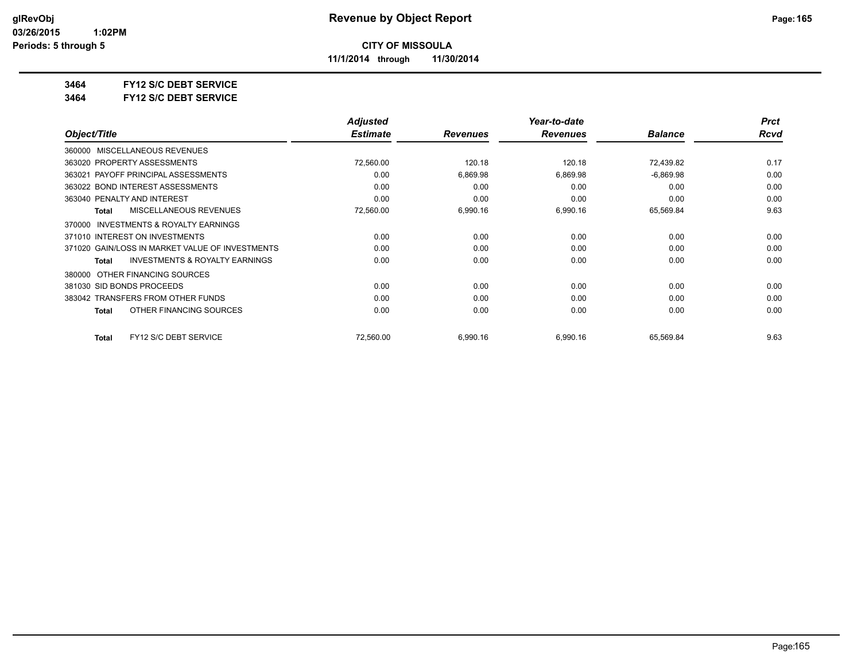**11/1/2014 through 11/30/2014**

**3464 FY12 S/C DEBT SERVICE**

**3464 FY12 S/C DEBT SERVICE**

|                                                    | <b>Adjusted</b> |                 | Year-to-date    |                | <b>Prct</b> |
|----------------------------------------------------|-----------------|-----------------|-----------------|----------------|-------------|
| Object/Title                                       | <b>Estimate</b> | <b>Revenues</b> | <b>Revenues</b> | <b>Balance</b> | Rcvd        |
| MISCELLANEOUS REVENUES<br>360000                   |                 |                 |                 |                |             |
| 363020 PROPERTY ASSESSMENTS                        | 72,560.00       | 120.18          | 120.18          | 72,439.82      | 0.17        |
| 363021 PAYOFF PRINCIPAL ASSESSMENTS                | 0.00            | 6,869.98        | 6,869.98        | $-6,869.98$    | 0.00        |
| 363022 BOND INTEREST ASSESSMENTS                   | 0.00            | 0.00            | 0.00            | 0.00           | 0.00        |
| 363040 PENALTY AND INTEREST                        | 0.00            | 0.00            | 0.00            | 0.00           | 0.00        |
| MISCELLANEOUS REVENUES<br>Total                    | 72,560.00       | 6,990.16        | 6,990.16        | 65,569.84      | 9.63        |
| INVESTMENTS & ROYALTY EARNINGS<br>370000           |                 |                 |                 |                |             |
| 371010 INTEREST ON INVESTMENTS                     | 0.00            | 0.00            | 0.00            | 0.00           | 0.00        |
| 371020 GAIN/LOSS IN MARKET VALUE OF INVESTMENTS    | 0.00            | 0.00            | 0.00            | 0.00           | 0.00        |
| <b>INVESTMENTS &amp; ROYALTY EARNINGS</b><br>Total | 0.00            | 0.00            | 0.00            | 0.00           | 0.00        |
| OTHER FINANCING SOURCES<br>380000                  |                 |                 |                 |                |             |
| 381030 SID BONDS PROCEEDS                          | 0.00            | 0.00            | 0.00            | 0.00           | 0.00        |
| 383042 TRANSFERS FROM OTHER FUNDS                  | 0.00            | 0.00            | 0.00            | 0.00           | 0.00        |
| OTHER FINANCING SOURCES<br>Total                   | 0.00            | 0.00            | 0.00            | 0.00           | 0.00        |
|                                                    |                 |                 |                 |                |             |
| FY12 S/C DEBT SERVICE<br><b>Total</b>              | 72,560.00       | 6,990.16        | 6,990.16        | 65,569.84      | 9.63        |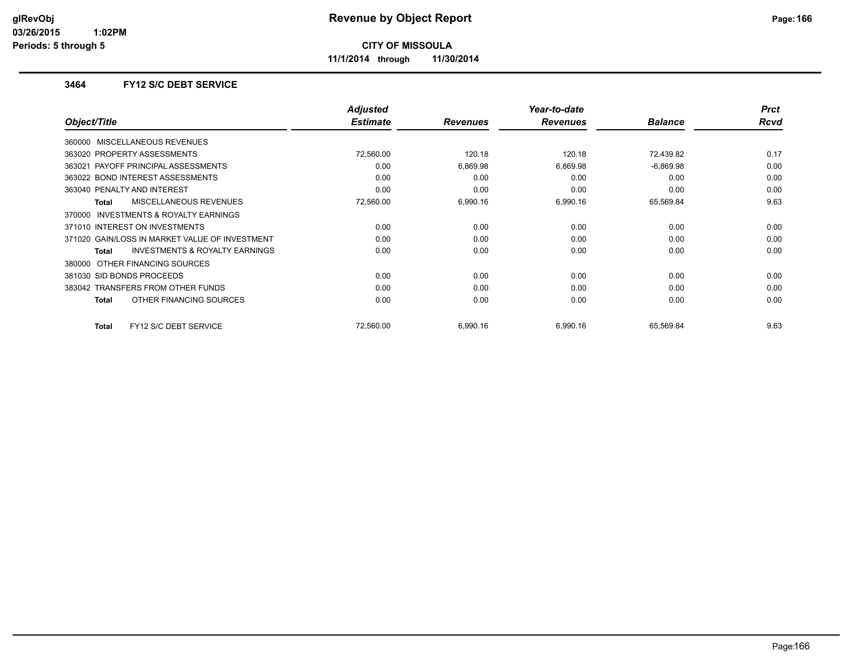**11/1/2014 through 11/30/2014**

#### **3464 FY12 S/C DEBT SERVICE**

|                                                           | <b>Adjusted</b> |                 | Year-to-date    |                | <b>Prct</b> |
|-----------------------------------------------------------|-----------------|-----------------|-----------------|----------------|-------------|
| Object/Title                                              | <b>Estimate</b> | <b>Revenues</b> | <b>Revenues</b> | <b>Balance</b> | Rcvd        |
| 360000 MISCELLANEOUS REVENUES                             |                 |                 |                 |                |             |
| 363020 PROPERTY ASSESSMENTS                               | 72,560.00       | 120.18          | 120.18          | 72,439.82      | 0.17        |
| 363021 PAYOFF PRINCIPAL ASSESSMENTS                       | 0.00            | 6,869.98        | 6,869.98        | $-6,869.98$    | 0.00        |
| 363022 BOND INTEREST ASSESSMENTS                          | 0.00            | 0.00            | 0.00            | 0.00           | 0.00        |
| 363040 PENALTY AND INTEREST                               | 0.00            | 0.00            | 0.00            | 0.00           | 0.00        |
| MISCELLANEOUS REVENUES<br>Total                           | 72,560.00       | 6,990.16        | 6,990.16        | 65,569.84      | 9.63        |
| <b>INVESTMENTS &amp; ROYALTY EARNINGS</b><br>370000       |                 |                 |                 |                |             |
| 371010 INTEREST ON INVESTMENTS                            | 0.00            | 0.00            | 0.00            | 0.00           | 0.00        |
| 371020 GAIN/LOSS IN MARKET VALUE OF INVESTMENT            | 0.00            | 0.00            | 0.00            | 0.00           | 0.00        |
| <b>INVESTMENTS &amp; ROYALTY EARNINGS</b><br><b>Total</b> | 0.00            | 0.00            | 0.00            | 0.00           | 0.00        |
| 380000 OTHER FINANCING SOURCES                            |                 |                 |                 |                |             |
| 381030 SID BONDS PROCEEDS                                 | 0.00            | 0.00            | 0.00            | 0.00           | 0.00        |
| 383042 TRANSFERS FROM OTHER FUNDS                         | 0.00            | 0.00            | 0.00            | 0.00           | 0.00        |
| OTHER FINANCING SOURCES<br>Total                          | 0.00            | 0.00            | 0.00            | 0.00           | 0.00        |
| FY12 S/C DEBT SERVICE<br>Total                            | 72,560.00       | 6,990.16        | 6,990.16        | 65,569.84      | 9.63        |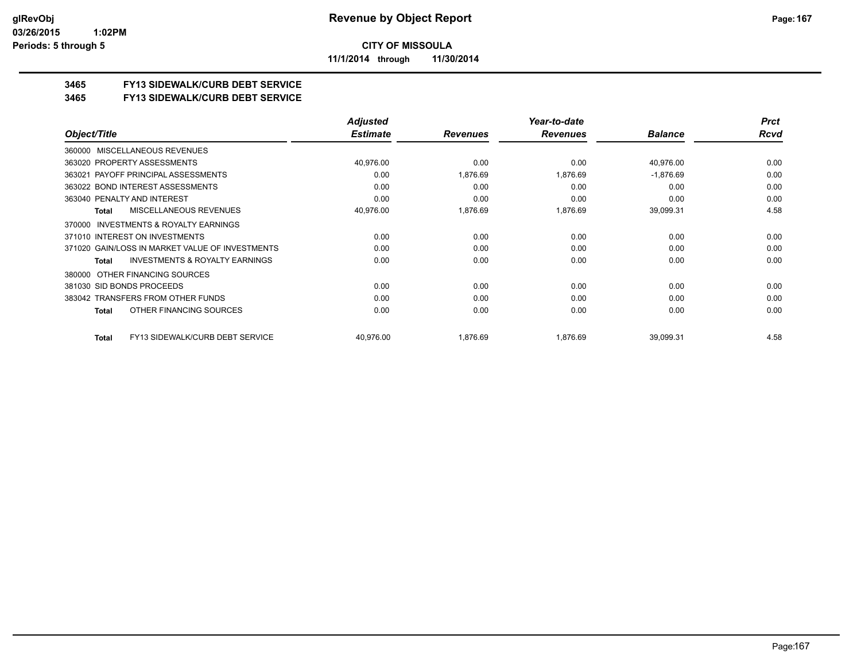**11/1/2014 through 11/30/2014**

### **3465 FY13 SIDEWALK/CURB DEBT SERVICE**

#### **3465 FY13 SIDEWALK/CURB DEBT SERVICE**

|                                                     | Adjusted        |                 | Year-to-date    |                | <b>Prct</b> |
|-----------------------------------------------------|-----------------|-----------------|-----------------|----------------|-------------|
| Object/Title                                        | <b>Estimate</b> | <b>Revenues</b> | <b>Revenues</b> | <b>Balance</b> | Rcvd        |
| 360000 MISCELLANEOUS REVENUES                       |                 |                 |                 |                |             |
| 363020 PROPERTY ASSESSMENTS                         | 40,976.00       | 0.00            | 0.00            | 40,976.00      | 0.00        |
| PAYOFF PRINCIPAL ASSESSMENTS<br>363021              | 0.00            | 1,876.69        | 1,876.69        | $-1,876.69$    | 0.00        |
| 363022 BOND INTEREST ASSESSMENTS                    | 0.00            | 0.00            | 0.00            | 0.00           | 0.00        |
| 363040 PENALTY AND INTEREST                         | 0.00            | 0.00            | 0.00            | 0.00           | 0.00        |
| <b>MISCELLANEOUS REVENUES</b><br>Total              | 40,976.00       | 1,876.69        | 1,876.69        | 39,099.31      | 4.58        |
| <b>INVESTMENTS &amp; ROYALTY EARNINGS</b><br>370000 |                 |                 |                 |                |             |
| 371010 INTEREST ON INVESTMENTS                      | 0.00            | 0.00            | 0.00            | 0.00           | 0.00        |
| 371020 GAIN/LOSS IN MARKET VALUE OF INVESTMENTS     | 0.00            | 0.00            | 0.00            | 0.00           | 0.00        |
| <b>INVESTMENTS &amp; ROYALTY EARNINGS</b><br>Total  | 0.00            | 0.00            | 0.00            | 0.00           | 0.00        |
| 380000 OTHER FINANCING SOURCES                      |                 |                 |                 |                |             |
| 381030 SID BONDS PROCEEDS                           | 0.00            | 0.00            | 0.00            | 0.00           | 0.00        |
| 383042 TRANSFERS FROM OTHER FUNDS                   | 0.00            | 0.00            | 0.00            | 0.00           | 0.00        |
| OTHER FINANCING SOURCES<br>Total                    | 0.00            | 0.00            | 0.00            | 0.00           | 0.00        |
| FY13 SIDEWALK/CURB DEBT SERVICE<br>Total            | 40,976.00       | 1,876.69        | 1,876.69        | 39,099.31      | 4.58        |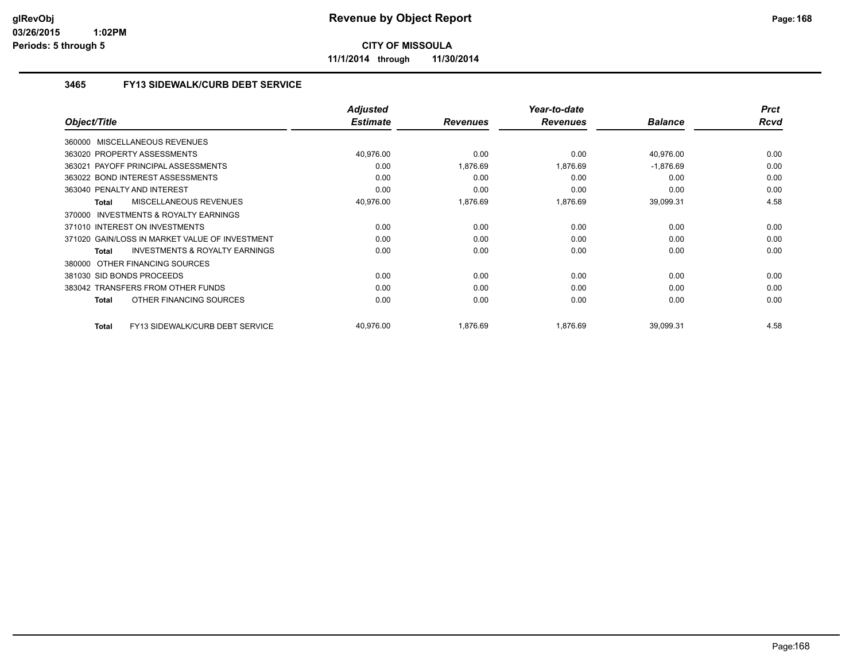**11/1/2014 through 11/30/2014**

### **3465 FY13 SIDEWALK/CURB DEBT SERVICE**

| <b>Adjusted</b> |                 | Year-to-date    |                | <b>Prct</b> |
|-----------------|-----------------|-----------------|----------------|-------------|
| <b>Estimate</b> | <b>Revenues</b> | <b>Revenues</b> | <b>Balance</b> | <b>Rcvd</b> |
|                 |                 |                 |                |             |
| 40,976.00       | 0.00            | 0.00            | 40,976.00      | 0.00        |
| 0.00            | 1,876.69        | 1.876.69        | $-1,876.69$    | 0.00        |
| 0.00            | 0.00            | 0.00            | 0.00           | 0.00        |
| 0.00            | 0.00            | 0.00            | 0.00           | 0.00        |
| 40,976.00       | 1,876.69        | 1,876.69        | 39,099.31      | 4.58        |
|                 |                 |                 |                |             |
| 0.00            | 0.00            | 0.00            | 0.00           | 0.00        |
| 0.00            | 0.00            | 0.00            | 0.00           | 0.00        |
| 0.00            | 0.00            | 0.00            | 0.00           | 0.00        |
|                 |                 |                 |                |             |
| 0.00            | 0.00            | 0.00            | 0.00           | 0.00        |
| 0.00            | 0.00            | 0.00            | 0.00           | 0.00        |
| 0.00            | 0.00            | 0.00            | 0.00           | 0.00        |
|                 |                 |                 |                | 4.58        |
|                 | 40,976.00       | 1,876.69        | 1,876.69       | 39,099.31   |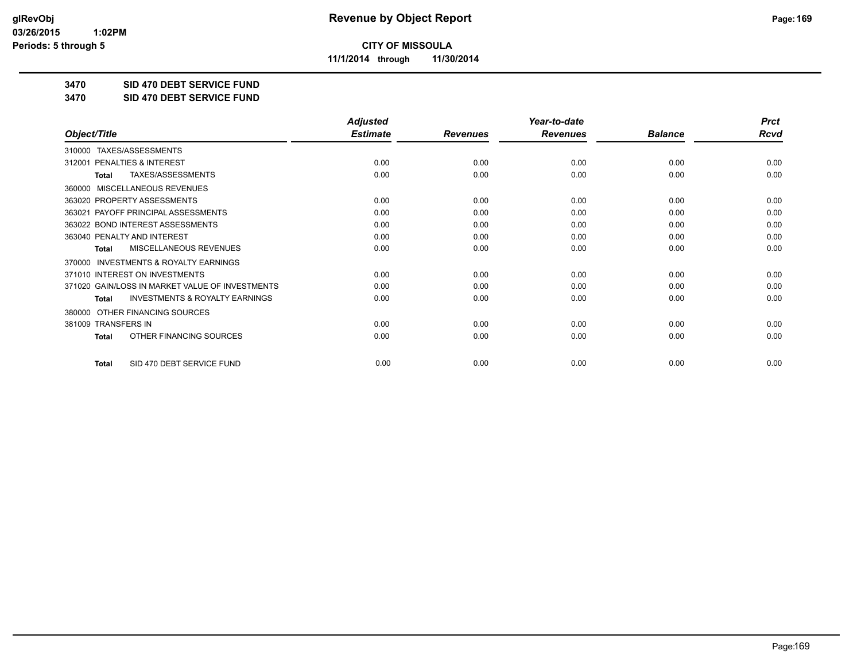**11/1/2014 through 11/30/2014**

**3470 SID 470 DEBT SERVICE FUND**

**3470 SID 470 DEBT SERVICE FUND**

| <b>Revenues</b> | <b>Revenues</b> | <b>Balance</b> | Rcvd |
|-----------------|-----------------|----------------|------|
|                 |                 |                |      |
|                 |                 |                |      |
| 0.00            | 0.00            | 0.00           | 0.00 |
| 0.00            | 0.00            | 0.00           | 0.00 |
|                 |                 |                |      |
| 0.00            | 0.00            | 0.00           | 0.00 |
| 0.00            | 0.00            | 0.00           | 0.00 |
| 0.00            | 0.00            | 0.00           | 0.00 |
| 0.00            | 0.00            | 0.00           | 0.00 |
| 0.00            | 0.00            | 0.00           | 0.00 |
|                 |                 |                |      |
| 0.00            | 0.00            | 0.00           | 0.00 |
| 0.00            | 0.00            | 0.00           | 0.00 |
| 0.00            | 0.00            | 0.00           | 0.00 |
|                 |                 |                |      |
| 0.00            | 0.00            | 0.00           | 0.00 |
| 0.00            | 0.00            | 0.00           | 0.00 |
|                 |                 |                | 0.00 |
|                 | 0.00            | 0.00           | 0.00 |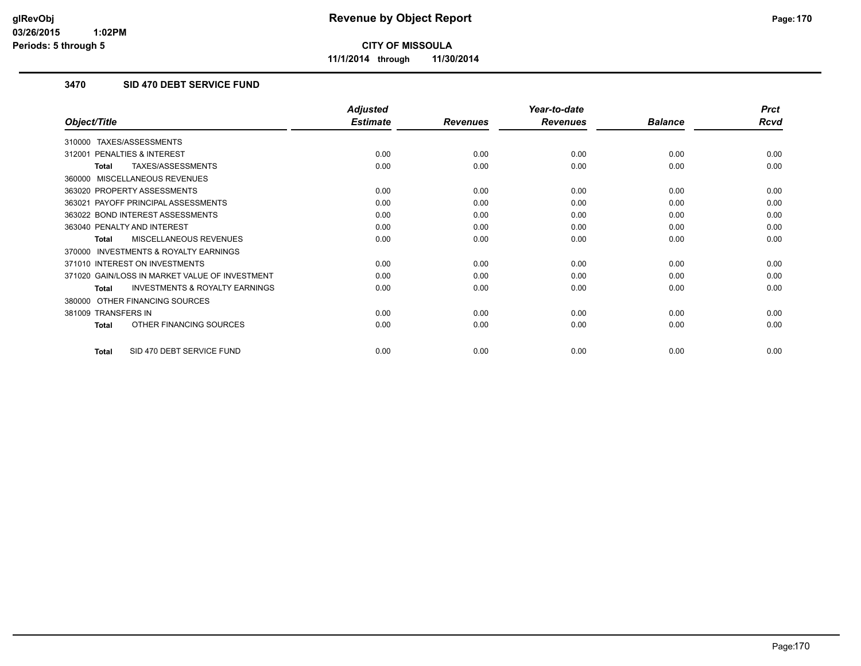**11/1/2014 through 11/30/2014**

### **3470 SID 470 DEBT SERVICE FUND**

|                                                           | <b>Adjusted</b> |                 | Year-to-date    |                | <b>Prct</b> |
|-----------------------------------------------------------|-----------------|-----------------|-----------------|----------------|-------------|
| Object/Title                                              | <b>Estimate</b> | <b>Revenues</b> | <b>Revenues</b> | <b>Balance</b> | <b>Rcvd</b> |
| TAXES/ASSESSMENTS<br>310000                               |                 |                 |                 |                |             |
| PENALTIES & INTEREST<br>312001                            | 0.00            | 0.00            | 0.00            | 0.00           | 0.00        |
| TAXES/ASSESSMENTS<br>Total                                | 0.00            | 0.00            | 0.00            | 0.00           | 0.00        |
| MISCELLANEOUS REVENUES<br>360000                          |                 |                 |                 |                |             |
| 363020 PROPERTY ASSESSMENTS                               | 0.00            | 0.00            | 0.00            | 0.00           | 0.00        |
| 363021 PAYOFF PRINCIPAL ASSESSMENTS                       | 0.00            | 0.00            | 0.00            | 0.00           | 0.00        |
| 363022 BOND INTEREST ASSESSMENTS                          | 0.00            | 0.00            | 0.00            | 0.00           | 0.00        |
| 363040 PENALTY AND INTEREST                               | 0.00            | 0.00            | 0.00            | 0.00           | 0.00        |
| <b>MISCELLANEOUS REVENUES</b><br><b>Total</b>             | 0.00            | 0.00            | 0.00            | 0.00           | 0.00        |
| <b>INVESTMENTS &amp; ROYALTY EARNINGS</b><br>370000       |                 |                 |                 |                |             |
| 371010 INTEREST ON INVESTMENTS                            | 0.00            | 0.00            | 0.00            | 0.00           | 0.00        |
| 371020 GAIN/LOSS IN MARKET VALUE OF INVESTMENT            | 0.00            | 0.00            | 0.00            | 0.00           | 0.00        |
| <b>INVESTMENTS &amp; ROYALTY EARNINGS</b><br><b>Total</b> | 0.00            | 0.00            | 0.00            | 0.00           | 0.00        |
| OTHER FINANCING SOURCES<br>380000                         |                 |                 |                 |                |             |
| 381009 TRANSFERS IN                                       | 0.00            | 0.00            | 0.00            | 0.00           | 0.00        |
| OTHER FINANCING SOURCES<br><b>Total</b>                   | 0.00            | 0.00            | 0.00            | 0.00           | 0.00        |
| SID 470 DEBT SERVICE FUND<br><b>Total</b>                 | 0.00            | 0.00            | 0.00            | 0.00           | 0.00        |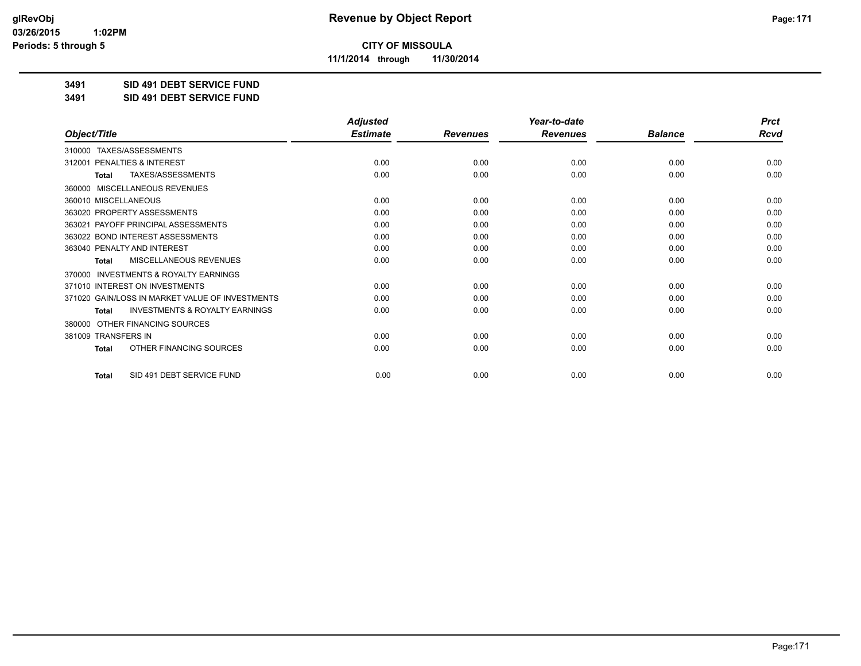**11/1/2014 through 11/30/2014**

**3491 SID 491 DEBT SERVICE FUND**

**3491 SID 491 DEBT SERVICE FUND**

|                                                     | <b>Adjusted</b> |                 | Year-to-date    |                | <b>Prct</b> |
|-----------------------------------------------------|-----------------|-----------------|-----------------|----------------|-------------|
| Object/Title                                        | <b>Estimate</b> | <b>Revenues</b> | <b>Revenues</b> | <b>Balance</b> | <b>Rcvd</b> |
| 310000 TAXES/ASSESSMENTS                            |                 |                 |                 |                |             |
| <b>PENALTIES &amp; INTEREST</b><br>312001           | 0.00            | 0.00            | 0.00            | 0.00           | 0.00        |
| TAXES/ASSESSMENTS<br><b>Total</b>                   | 0.00            | 0.00            | 0.00            | 0.00           | 0.00        |
| MISCELLANEOUS REVENUES<br>360000                    |                 |                 |                 |                |             |
| 360010 MISCELLANEOUS                                | 0.00            | 0.00            | 0.00            | 0.00           | 0.00        |
| 363020 PROPERTY ASSESSMENTS                         | 0.00            | 0.00            | 0.00            | 0.00           | 0.00        |
| 363021 PAYOFF PRINCIPAL ASSESSMENTS                 | 0.00            | 0.00            | 0.00            | 0.00           | 0.00        |
| 363022 BOND INTEREST ASSESSMENTS                    | 0.00            | 0.00            | 0.00            | 0.00           | 0.00        |
| 363040 PENALTY AND INTEREST                         | 0.00            | 0.00            | 0.00            | 0.00           | 0.00        |
| MISCELLANEOUS REVENUES<br><b>Total</b>              | 0.00            | 0.00            | 0.00            | 0.00           | 0.00        |
| <b>INVESTMENTS &amp; ROYALTY EARNINGS</b><br>370000 |                 |                 |                 |                |             |
| 371010 INTEREST ON INVESTMENTS                      | 0.00            | 0.00            | 0.00            | 0.00           | 0.00        |
| 371020 GAIN/LOSS IN MARKET VALUE OF INVESTMENTS     | 0.00            | 0.00            | 0.00            | 0.00           | 0.00        |
| <b>INVESTMENTS &amp; ROYALTY EARNINGS</b><br>Total  | 0.00            | 0.00            | 0.00            | 0.00           | 0.00        |
| OTHER FINANCING SOURCES<br>380000                   |                 |                 |                 |                |             |
| 381009 TRANSFERS IN                                 | 0.00            | 0.00            | 0.00            | 0.00           | 0.00        |
| OTHER FINANCING SOURCES<br>Total                    | 0.00            | 0.00            | 0.00            | 0.00           | 0.00        |
| SID 491 DEBT SERVICE FUND<br><b>Total</b>           | 0.00            | 0.00            | 0.00            | 0.00           | 0.00        |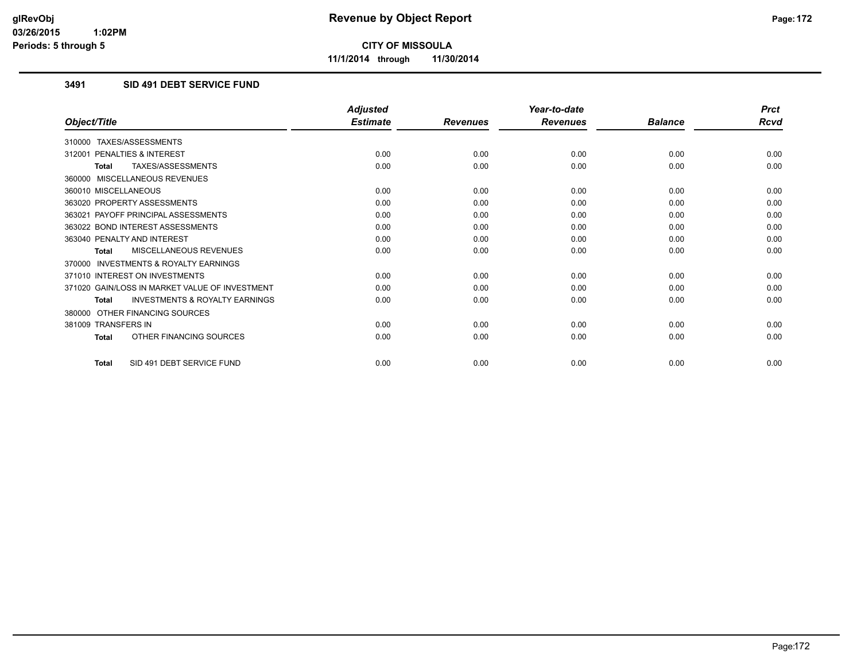**11/1/2014 through 11/30/2014**

### **3491 SID 491 DEBT SERVICE FUND**

|                                                    | <b>Adjusted</b> |                 | Year-to-date    |                | <b>Prct</b> |
|----------------------------------------------------|-----------------|-----------------|-----------------|----------------|-------------|
| Object/Title                                       | <b>Estimate</b> | <b>Revenues</b> | <b>Revenues</b> | <b>Balance</b> | Rcvd        |
| 310000 TAXES/ASSESSMENTS                           |                 |                 |                 |                |             |
| PENALTIES & INTEREST<br>312001                     | 0.00            | 0.00            | 0.00            | 0.00           | 0.00        |
| TAXES/ASSESSMENTS<br>Total                         | 0.00            | 0.00            | 0.00            | 0.00           | 0.00        |
| 360000 MISCELLANEOUS REVENUES                      |                 |                 |                 |                |             |
| 360010 MISCELLANEOUS                               | 0.00            | 0.00            | 0.00            | 0.00           | 0.00        |
| 363020 PROPERTY ASSESSMENTS                        | 0.00            | 0.00            | 0.00            | 0.00           | 0.00        |
| 363021 PAYOFF PRINCIPAL ASSESSMENTS                | 0.00            | 0.00            | 0.00            | 0.00           | 0.00        |
| 363022 BOND INTEREST ASSESSMENTS                   | 0.00            | 0.00            | 0.00            | 0.00           | 0.00        |
| 363040 PENALTY AND INTEREST                        | 0.00            | 0.00            | 0.00            | 0.00           | 0.00        |
| MISCELLANEOUS REVENUES<br>Total                    | 0.00            | 0.00            | 0.00            | 0.00           | 0.00        |
| 370000 INVESTMENTS & ROYALTY EARNINGS              |                 |                 |                 |                |             |
| 371010 INTEREST ON INVESTMENTS                     | 0.00            | 0.00            | 0.00            | 0.00           | 0.00        |
| 371020 GAIN/LOSS IN MARKET VALUE OF INVESTMENT     | 0.00            | 0.00            | 0.00            | 0.00           | 0.00        |
| <b>INVESTMENTS &amp; ROYALTY EARNINGS</b><br>Total | 0.00            | 0.00            | 0.00            | 0.00           | 0.00        |
| 380000 OTHER FINANCING SOURCES                     |                 |                 |                 |                |             |
| 381009 TRANSFERS IN                                | 0.00            | 0.00            | 0.00            | 0.00           | 0.00        |
| OTHER FINANCING SOURCES<br>Total                   | 0.00            | 0.00            | 0.00            | 0.00           | 0.00        |
| SID 491 DEBT SERVICE FUND<br><b>Total</b>          | 0.00            | 0.00            | 0.00            | 0.00           | 0.00        |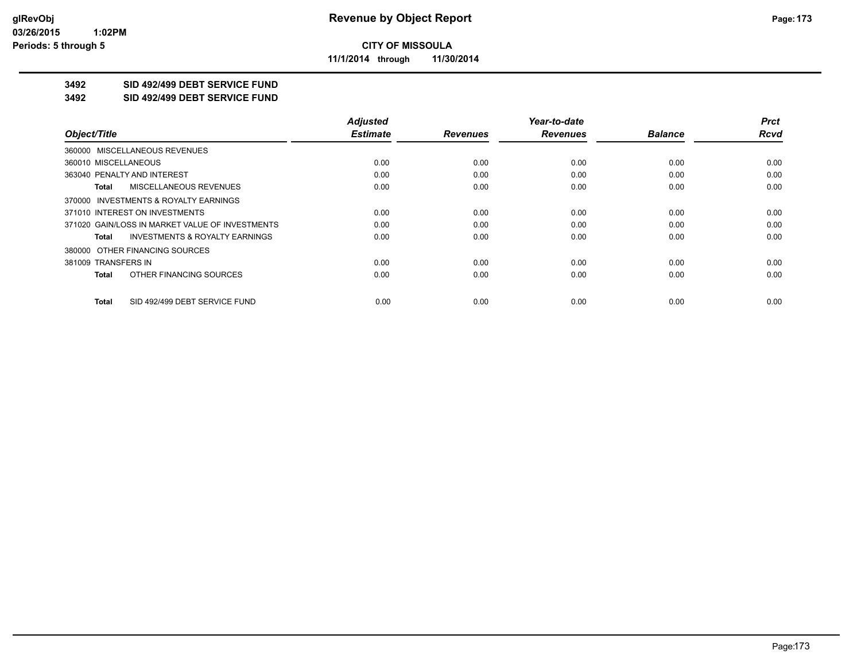**11/1/2014 through 11/30/2014**

## **3492 SID 492/499 DEBT SERVICE FUND**

**3492 SID 492/499 DEBT SERVICE FUND**

|                                                    | <b>Adjusted</b> |                 | Year-to-date    |                | <b>Prct</b> |
|----------------------------------------------------|-----------------|-----------------|-----------------|----------------|-------------|
| Object/Title                                       | <b>Estimate</b> | <b>Revenues</b> | <b>Revenues</b> | <b>Balance</b> | <b>Rcvd</b> |
| 360000 MISCELLANEOUS REVENUES                      |                 |                 |                 |                |             |
| 360010 MISCELLANEOUS                               | 0.00            | 0.00            | 0.00            | 0.00           | 0.00        |
| 363040 PENALTY AND INTEREST                        | 0.00            | 0.00            | 0.00            | 0.00           | 0.00        |
| <b>MISCELLANEOUS REVENUES</b><br>Total             | 0.00            | 0.00            | 0.00            | 0.00           | 0.00        |
| 370000 INVESTMENTS & ROYALTY EARNINGS              |                 |                 |                 |                |             |
| 371010 INTEREST ON INVESTMENTS                     | 0.00            | 0.00            | 0.00            | 0.00           | 0.00        |
| 371020 GAIN/LOSS IN MARKET VALUE OF INVESTMENTS    | 0.00            | 0.00            | 0.00            | 0.00           | 0.00        |
| <b>INVESTMENTS &amp; ROYALTY EARNINGS</b><br>Total | 0.00            | 0.00            | 0.00            | 0.00           | 0.00        |
| 380000 OTHER FINANCING SOURCES                     |                 |                 |                 |                |             |
| 381009 TRANSFERS IN                                | 0.00            | 0.00            | 0.00            | 0.00           | 0.00        |
| OTHER FINANCING SOURCES<br>Total                   | 0.00            | 0.00            | 0.00            | 0.00           | 0.00        |
| SID 492/499 DEBT SERVICE FUND<br>Total             | 0.00            | 0.00            | 0.00            | 0.00           | 0.00        |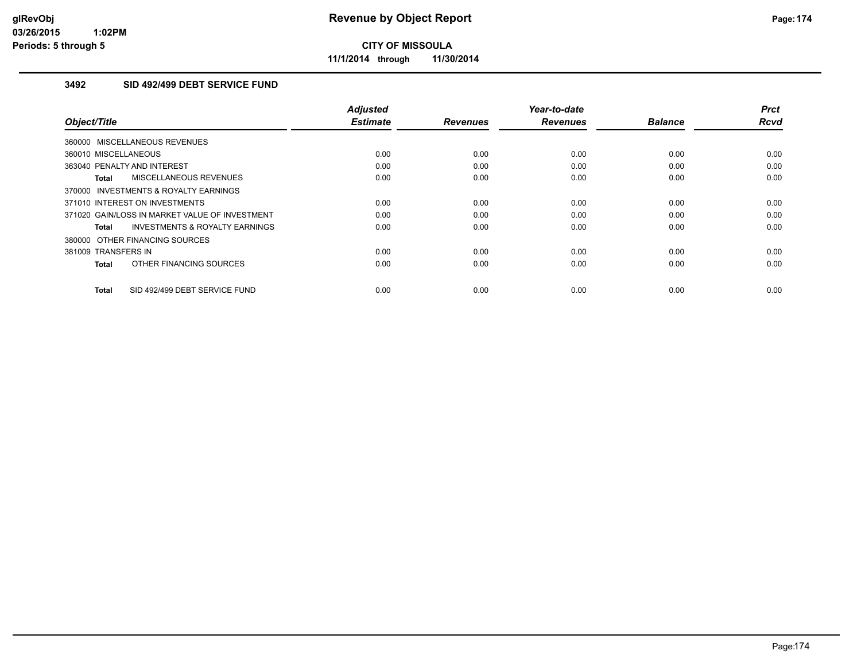**11/1/2014 through 11/30/2014**

### **3492 SID 492/499 DEBT SERVICE FUND**

| Object/Title                                       | <b>Adjusted</b><br><b>Estimate</b> | <b>Revenues</b> | Year-to-date<br><b>Revenues</b> | <b>Balance</b> | <b>Prct</b><br><b>Rcvd</b> |
|----------------------------------------------------|------------------------------------|-----------------|---------------------------------|----------------|----------------------------|
| 360000 MISCELLANEOUS REVENUES                      |                                    |                 |                                 |                |                            |
| 360010 MISCELLANEOUS                               | 0.00                               | 0.00            | 0.00                            | 0.00           | 0.00                       |
| 363040 PENALTY AND INTEREST                        | 0.00                               | 0.00            | 0.00                            | 0.00           | 0.00                       |
| MISCELLANEOUS REVENUES<br>Total                    | 0.00                               | 0.00            | 0.00                            | 0.00           | 0.00                       |
| 370000 INVESTMENTS & ROYALTY EARNINGS              |                                    |                 |                                 |                |                            |
| 371010 INTEREST ON INVESTMENTS                     | 0.00                               | 0.00            | 0.00                            | 0.00           | 0.00                       |
| 371020 GAIN/LOSS IN MARKET VALUE OF INVESTMENT     | 0.00                               | 0.00            | 0.00                            | 0.00           | 0.00                       |
| <b>INVESTMENTS &amp; ROYALTY EARNINGS</b><br>Total | 0.00                               | 0.00            | 0.00                            | 0.00           | 0.00                       |
| 380000 OTHER FINANCING SOURCES                     |                                    |                 |                                 |                |                            |
| 381009 TRANSFERS IN                                | 0.00                               | 0.00            | 0.00                            | 0.00           | 0.00                       |
| OTHER FINANCING SOURCES<br><b>Total</b>            | 0.00                               | 0.00            | 0.00                            | 0.00           | 0.00                       |
| SID 492/499 DEBT SERVICE FUND<br><b>Total</b>      | 0.00                               | 0.00            | 0.00                            | 0.00           | 0.00                       |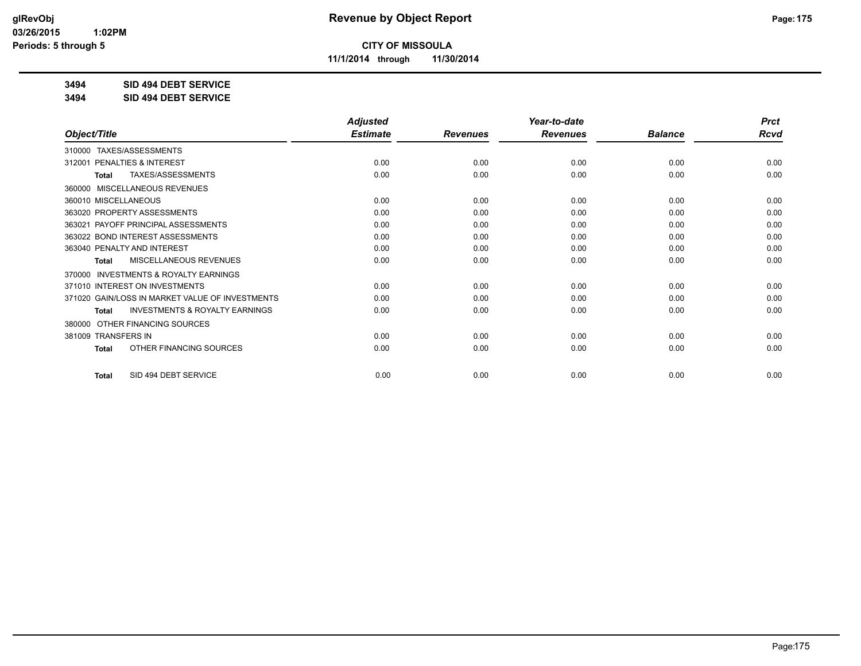**11/1/2014 through 11/30/2014**

**3494 SID 494 DEBT SERVICE**

**3494 SID 494 DEBT SERVICE**

|                                                           | <b>Adjusted</b> |                 | Year-to-date    |                | <b>Prct</b> |
|-----------------------------------------------------------|-----------------|-----------------|-----------------|----------------|-------------|
| Object/Title                                              | <b>Estimate</b> | <b>Revenues</b> | <b>Revenues</b> | <b>Balance</b> | <b>Rcvd</b> |
| TAXES/ASSESSMENTS<br>310000                               |                 |                 |                 |                |             |
| PENALTIES & INTEREST<br>312001                            | 0.00            | 0.00            | 0.00            | 0.00           | 0.00        |
| TAXES/ASSESSMENTS<br><b>Total</b>                         | 0.00            | 0.00            | 0.00            | 0.00           | 0.00        |
| MISCELLANEOUS REVENUES<br>360000                          |                 |                 |                 |                |             |
| 360010 MISCELLANEOUS                                      | 0.00            | 0.00            | 0.00            | 0.00           | 0.00        |
| 363020 PROPERTY ASSESSMENTS                               | 0.00            | 0.00            | 0.00            | 0.00           | 0.00        |
| 363021 PAYOFF PRINCIPAL ASSESSMENTS                       | 0.00            | 0.00            | 0.00            | 0.00           | 0.00        |
| 363022 BOND INTEREST ASSESSMENTS                          | 0.00            | 0.00            | 0.00            | 0.00           | 0.00        |
| 363040 PENALTY AND INTEREST                               | 0.00            | 0.00            | 0.00            | 0.00           | 0.00        |
| MISCELLANEOUS REVENUES<br>Total                           | 0.00            | 0.00            | 0.00            | 0.00           | 0.00        |
| <b>INVESTMENTS &amp; ROYALTY EARNINGS</b><br>370000       |                 |                 |                 |                |             |
| 371010 INTEREST ON INVESTMENTS                            | 0.00            | 0.00            | 0.00            | 0.00           | 0.00        |
| 371020 GAIN/LOSS IN MARKET VALUE OF INVESTMENTS           | 0.00            | 0.00            | 0.00            | 0.00           | 0.00        |
| <b>INVESTMENTS &amp; ROYALTY EARNINGS</b><br><b>Total</b> | 0.00            | 0.00            | 0.00            | 0.00           | 0.00        |
| OTHER FINANCING SOURCES<br>380000                         |                 |                 |                 |                |             |
| <b>TRANSFERS IN</b><br>381009                             | 0.00            | 0.00            | 0.00            | 0.00           | 0.00        |
| OTHER FINANCING SOURCES<br>Total                          | 0.00            | 0.00            | 0.00            | 0.00           | 0.00        |
| SID 494 DEBT SERVICE<br><b>Total</b>                      | 0.00            | 0.00            | 0.00            | 0.00           | 0.00        |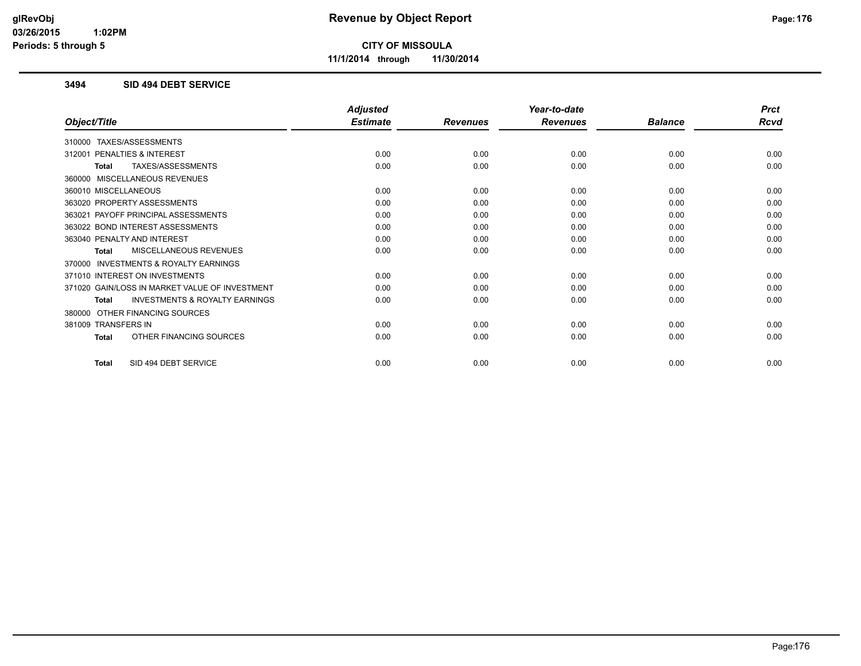**11/1/2014 through 11/30/2014**

#### **3494 SID 494 DEBT SERVICE**

|                                                           | <b>Adjusted</b> |                 | Year-to-date    |                | <b>Prct</b> |
|-----------------------------------------------------------|-----------------|-----------------|-----------------|----------------|-------------|
| Object/Title                                              | <b>Estimate</b> | <b>Revenues</b> | <b>Revenues</b> | <b>Balance</b> | <b>Rcvd</b> |
| 310000 TAXES/ASSESSMENTS                                  |                 |                 |                 |                |             |
| PENALTIES & INTEREST<br>312001                            | 0.00            | 0.00            | 0.00            | 0.00           | 0.00        |
| TAXES/ASSESSMENTS<br><b>Total</b>                         | 0.00            | 0.00            | 0.00            | 0.00           | 0.00        |
| 360000 MISCELLANEOUS REVENUES                             |                 |                 |                 |                |             |
| 360010 MISCELLANEOUS                                      | 0.00            | 0.00            | 0.00            | 0.00           | 0.00        |
| 363020 PROPERTY ASSESSMENTS                               | 0.00            | 0.00            | 0.00            | 0.00           | 0.00        |
| 363021 PAYOFF PRINCIPAL ASSESSMENTS                       | 0.00            | 0.00            | 0.00            | 0.00           | 0.00        |
| 363022 BOND INTEREST ASSESSMENTS                          | 0.00            | 0.00            | 0.00            | 0.00           | 0.00        |
| 363040 PENALTY AND INTEREST                               | 0.00            | 0.00            | 0.00            | 0.00           | 0.00        |
| MISCELLANEOUS REVENUES<br><b>Total</b>                    | 0.00            | 0.00            | 0.00            | 0.00           | 0.00        |
| 370000 INVESTMENTS & ROYALTY EARNINGS                     |                 |                 |                 |                |             |
| 371010 INTEREST ON INVESTMENTS                            | 0.00            | 0.00            | 0.00            | 0.00           | 0.00        |
| 371020 GAIN/LOSS IN MARKET VALUE OF INVESTMENT            | 0.00            | 0.00            | 0.00            | 0.00           | 0.00        |
| <b>INVESTMENTS &amp; ROYALTY EARNINGS</b><br><b>Total</b> | 0.00            | 0.00            | 0.00            | 0.00           | 0.00        |
| 380000 OTHER FINANCING SOURCES                            |                 |                 |                 |                |             |
| 381009 TRANSFERS IN                                       | 0.00            | 0.00            | 0.00            | 0.00           | 0.00        |
| OTHER FINANCING SOURCES<br><b>Total</b>                   | 0.00            | 0.00            | 0.00            | 0.00           | 0.00        |
| SID 494 DEBT SERVICE<br><b>Total</b>                      | 0.00            | 0.00            | 0.00            | 0.00           | 0.00        |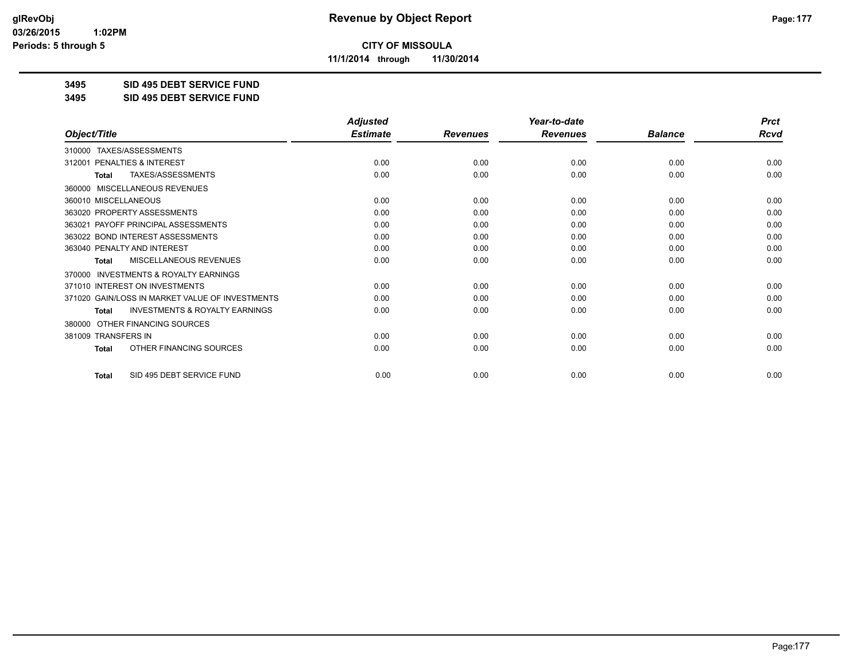**11/1/2014 through 11/30/2014**

**3495 SID 495 DEBT SERVICE FUND**

**3495 SID 495 DEBT SERVICE FUND**

|                                                     | <b>Adjusted</b> |                 | Year-to-date    |                | <b>Prct</b> |
|-----------------------------------------------------|-----------------|-----------------|-----------------|----------------|-------------|
| Object/Title                                        | <b>Estimate</b> | <b>Revenues</b> | <b>Revenues</b> | <b>Balance</b> | <b>Rcvd</b> |
| 310000 TAXES/ASSESSMENTS                            |                 |                 |                 |                |             |
| <b>PENALTIES &amp; INTEREST</b><br>312001           | 0.00            | 0.00            | 0.00            | 0.00           | 0.00        |
| TAXES/ASSESSMENTS<br><b>Total</b>                   | 0.00            | 0.00            | 0.00            | 0.00           | 0.00        |
| MISCELLANEOUS REVENUES<br>360000                    |                 |                 |                 |                |             |
| 360010 MISCELLANEOUS                                | 0.00            | 0.00            | 0.00            | 0.00           | 0.00        |
| 363020 PROPERTY ASSESSMENTS                         | 0.00            | 0.00            | 0.00            | 0.00           | 0.00        |
| 363021 PAYOFF PRINCIPAL ASSESSMENTS                 | 0.00            | 0.00            | 0.00            | 0.00           | 0.00        |
| 363022 BOND INTEREST ASSESSMENTS                    | 0.00            | 0.00            | 0.00            | 0.00           | 0.00        |
| 363040 PENALTY AND INTEREST                         | 0.00            | 0.00            | 0.00            | 0.00           | 0.00        |
| MISCELLANEOUS REVENUES<br><b>Total</b>              | 0.00            | 0.00            | 0.00            | 0.00           | 0.00        |
| <b>INVESTMENTS &amp; ROYALTY EARNINGS</b><br>370000 |                 |                 |                 |                |             |
| 371010 INTEREST ON INVESTMENTS                      | 0.00            | 0.00            | 0.00            | 0.00           | 0.00        |
| 371020 GAIN/LOSS IN MARKET VALUE OF INVESTMENTS     | 0.00            | 0.00            | 0.00            | 0.00           | 0.00        |
| <b>INVESTMENTS &amp; ROYALTY EARNINGS</b><br>Total  | 0.00            | 0.00            | 0.00            | 0.00           | 0.00        |
| OTHER FINANCING SOURCES<br>380000                   |                 |                 |                 |                |             |
| 381009 TRANSFERS IN                                 | 0.00            | 0.00            | 0.00            | 0.00           | 0.00        |
| OTHER FINANCING SOURCES<br>Total                    | 0.00            | 0.00            | 0.00            | 0.00           | 0.00        |
| SID 495 DEBT SERVICE FUND<br><b>Total</b>           | 0.00            | 0.00            | 0.00            | 0.00           | 0.00        |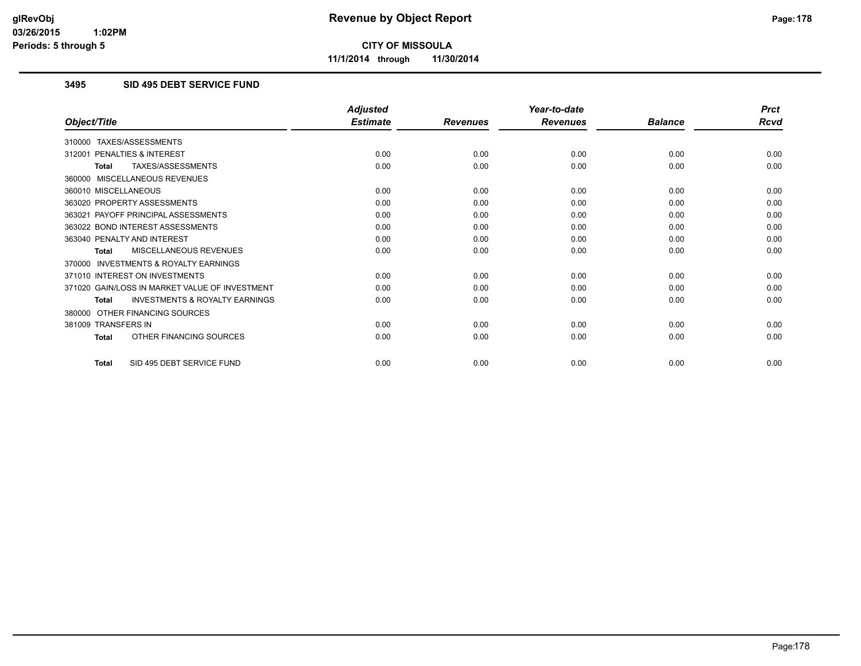**11/1/2014 through 11/30/2014**

#### **3495 SID 495 DEBT SERVICE FUND**

|                                                    | <b>Adjusted</b> |                 | Year-to-date    |                | <b>Prct</b> |
|----------------------------------------------------|-----------------|-----------------|-----------------|----------------|-------------|
| Object/Title                                       | <b>Estimate</b> | <b>Revenues</b> | <b>Revenues</b> | <b>Balance</b> | <b>Rcvd</b> |
| 310000 TAXES/ASSESSMENTS                           |                 |                 |                 |                |             |
| 312001 PENALTIES & INTEREST                        | 0.00            | 0.00            | 0.00            | 0.00           | 0.00        |
| TAXES/ASSESSMENTS<br>Total                         | 0.00            | 0.00            | 0.00            | 0.00           | 0.00        |
| 360000 MISCELLANEOUS REVENUES                      |                 |                 |                 |                |             |
| 360010 MISCELLANEOUS                               | 0.00            | 0.00            | 0.00            | 0.00           | 0.00        |
| 363020 PROPERTY ASSESSMENTS                        | 0.00            | 0.00            | 0.00            | 0.00           | 0.00        |
| 363021 PAYOFF PRINCIPAL ASSESSMENTS                | 0.00            | 0.00            | 0.00            | 0.00           | 0.00        |
| 363022 BOND INTEREST ASSESSMENTS                   | 0.00            | 0.00            | 0.00            | 0.00           | 0.00        |
| 363040 PENALTY AND INTEREST                        | 0.00            | 0.00            | 0.00            | 0.00           | 0.00        |
| MISCELLANEOUS REVENUES<br>Total                    | 0.00            | 0.00            | 0.00            | 0.00           | 0.00        |
| 370000 INVESTMENTS & ROYALTY EARNINGS              |                 |                 |                 |                |             |
| 371010 INTEREST ON INVESTMENTS                     | 0.00            | 0.00            | 0.00            | 0.00           | 0.00        |
| 371020 GAIN/LOSS IN MARKET VALUE OF INVESTMENT     | 0.00            | 0.00            | 0.00            | 0.00           | 0.00        |
| <b>INVESTMENTS &amp; ROYALTY EARNINGS</b><br>Total | 0.00            | 0.00            | 0.00            | 0.00           | 0.00        |
| 380000 OTHER FINANCING SOURCES                     |                 |                 |                 |                |             |
| 381009 TRANSFERS IN                                | 0.00            | 0.00            | 0.00            | 0.00           | 0.00        |
| OTHER FINANCING SOURCES<br><b>Total</b>            | 0.00            | 0.00            | 0.00            | 0.00           | 0.00        |
| SID 495 DEBT SERVICE FUND<br><b>Total</b>          | 0.00            | 0.00            | 0.00            | 0.00           | 0.00        |
|                                                    |                 |                 |                 |                |             |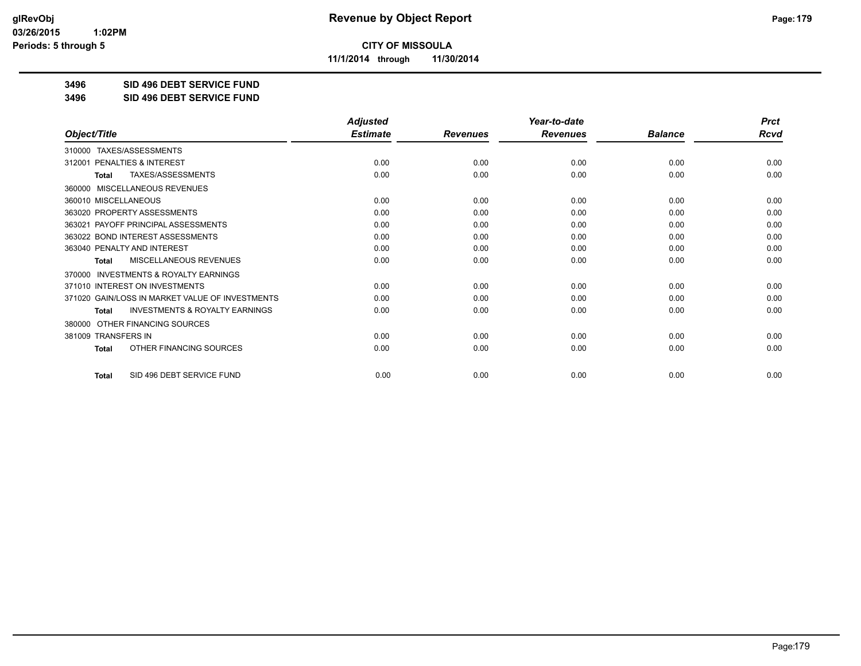**11/1/2014 through 11/30/2014**

**3496 SID 496 DEBT SERVICE FUND**

**3496 SID 496 DEBT SERVICE FUND**

|                                                           | <b>Adjusted</b> |                 | Year-to-date    |                | <b>Prct</b> |
|-----------------------------------------------------------|-----------------|-----------------|-----------------|----------------|-------------|
| Object/Title                                              | <b>Estimate</b> | <b>Revenues</b> | <b>Revenues</b> | <b>Balance</b> | <b>Rcvd</b> |
| 310000 TAXES/ASSESSMENTS                                  |                 |                 |                 |                |             |
| PENALTIES & INTEREST<br>312001                            | 0.00            | 0.00            | 0.00            | 0.00           | 0.00        |
| <b>TAXES/ASSESSMENTS</b><br><b>Total</b>                  | 0.00            | 0.00            | 0.00            | 0.00           | 0.00        |
| MISCELLANEOUS REVENUES<br>360000                          |                 |                 |                 |                |             |
| 360010 MISCELLANEOUS                                      | 0.00            | 0.00            | 0.00            | 0.00           | 0.00        |
| 363020 PROPERTY ASSESSMENTS                               | 0.00            | 0.00            | 0.00            | 0.00           | 0.00        |
| 363021 PAYOFF PRINCIPAL ASSESSMENTS                       | 0.00            | 0.00            | 0.00            | 0.00           | 0.00        |
| 363022 BOND INTEREST ASSESSMENTS                          | 0.00            | 0.00            | 0.00            | 0.00           | 0.00        |
| 363040 PENALTY AND INTEREST                               | 0.00            | 0.00            | 0.00            | 0.00           | 0.00        |
| MISCELLANEOUS REVENUES<br>Total                           | 0.00            | 0.00            | 0.00            | 0.00           | 0.00        |
| INVESTMENTS & ROYALTY EARNINGS<br>370000                  |                 |                 |                 |                |             |
| 371010 INTEREST ON INVESTMENTS                            | 0.00            | 0.00            | 0.00            | 0.00           | 0.00        |
| 371020 GAIN/LOSS IN MARKET VALUE OF INVESTMENTS           | 0.00            | 0.00            | 0.00            | 0.00           | 0.00        |
| <b>INVESTMENTS &amp; ROYALTY EARNINGS</b><br><b>Total</b> | 0.00            | 0.00            | 0.00            | 0.00           | 0.00        |
| OTHER FINANCING SOURCES<br>380000                         |                 |                 |                 |                |             |
| 381009 TRANSFERS IN                                       | 0.00            | 0.00            | 0.00            | 0.00           | 0.00        |
| OTHER FINANCING SOURCES<br><b>Total</b>                   | 0.00            | 0.00            | 0.00            | 0.00           | 0.00        |
| SID 496 DEBT SERVICE FUND<br><b>Total</b>                 | 0.00            | 0.00            | 0.00            | 0.00           | 0.00        |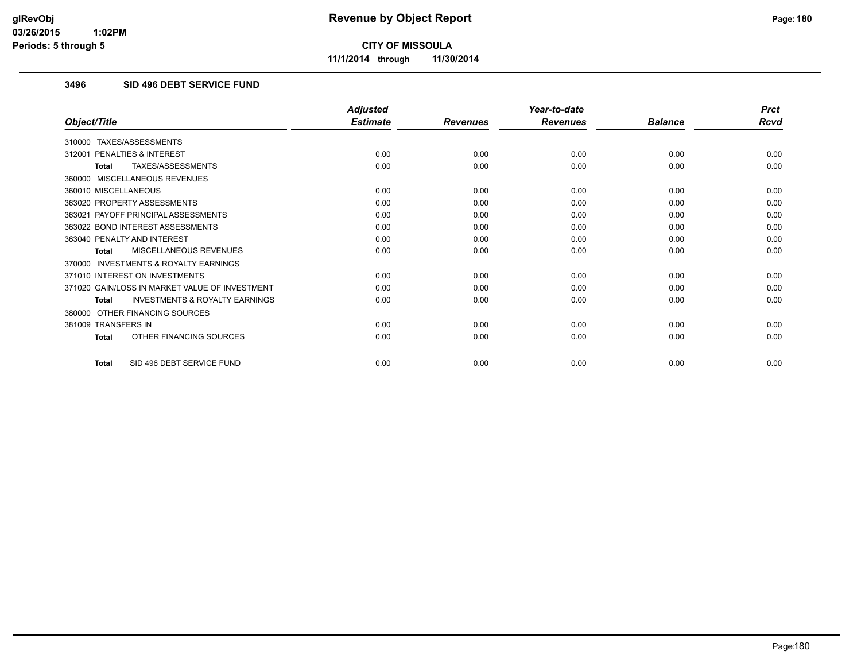**11/1/2014 through 11/30/2014**

#### **3496 SID 496 DEBT SERVICE FUND**

|                                                    | <b>Adjusted</b> |                 | Year-to-date    |                | <b>Prct</b> |
|----------------------------------------------------|-----------------|-----------------|-----------------|----------------|-------------|
| Object/Title                                       | <b>Estimate</b> | <b>Revenues</b> | <b>Revenues</b> | <b>Balance</b> | <b>Rcvd</b> |
| 310000 TAXES/ASSESSMENTS                           |                 |                 |                 |                |             |
| 312001 PENALTIES & INTEREST                        | 0.00            | 0.00            | 0.00            | 0.00           | 0.00        |
| TAXES/ASSESSMENTS<br>Total                         | 0.00            | 0.00            | 0.00            | 0.00           | 0.00        |
| 360000 MISCELLANEOUS REVENUES                      |                 |                 |                 |                |             |
| 360010 MISCELLANEOUS                               | 0.00            | 0.00            | 0.00            | 0.00           | 0.00        |
| 363020 PROPERTY ASSESSMENTS                        | 0.00            | 0.00            | 0.00            | 0.00           | 0.00        |
| 363021 PAYOFF PRINCIPAL ASSESSMENTS                | 0.00            | 0.00            | 0.00            | 0.00           | 0.00        |
| 363022 BOND INTEREST ASSESSMENTS                   | 0.00            | 0.00            | 0.00            | 0.00           | 0.00        |
| 363040 PENALTY AND INTEREST                        | 0.00            | 0.00            | 0.00            | 0.00           | 0.00        |
| MISCELLANEOUS REVENUES<br>Total                    | 0.00            | 0.00            | 0.00            | 0.00           | 0.00        |
| 370000 INVESTMENTS & ROYALTY EARNINGS              |                 |                 |                 |                |             |
| 371010 INTEREST ON INVESTMENTS                     | 0.00            | 0.00            | 0.00            | 0.00           | 0.00        |
| 371020 GAIN/LOSS IN MARKET VALUE OF INVESTMENT     | 0.00            | 0.00            | 0.00            | 0.00           | 0.00        |
| <b>INVESTMENTS &amp; ROYALTY EARNINGS</b><br>Total | 0.00            | 0.00            | 0.00            | 0.00           | 0.00        |
| 380000 OTHER FINANCING SOURCES                     |                 |                 |                 |                |             |
| 381009 TRANSFERS IN                                | 0.00            | 0.00            | 0.00            | 0.00           | 0.00        |
| OTHER FINANCING SOURCES<br><b>Total</b>            | 0.00            | 0.00            | 0.00            | 0.00           | 0.00        |
|                                                    |                 |                 |                 |                |             |
| SID 496 DEBT SERVICE FUND<br><b>Total</b>          | 0.00            | 0.00            | 0.00            | 0.00           | 0.00        |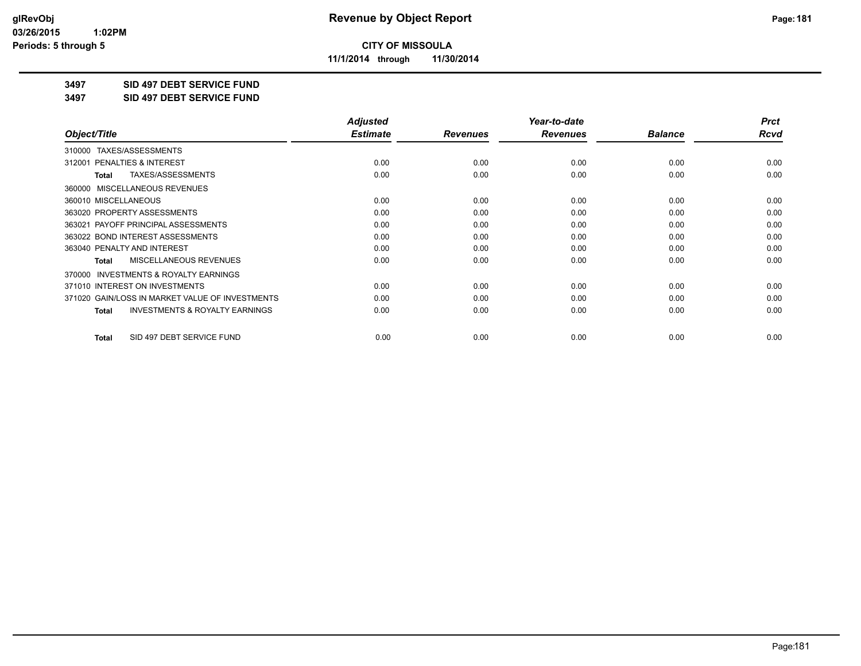**11/1/2014 through 11/30/2014**

**3497 SID 497 DEBT SERVICE FUND**

**3497 SID 497 DEBT SERVICE FUND**

|                                                           | <b>Adjusted</b> |                 | Year-to-date    |                | <b>Prct</b> |
|-----------------------------------------------------------|-----------------|-----------------|-----------------|----------------|-------------|
| Object/Title                                              | <b>Estimate</b> | <b>Revenues</b> | <b>Revenues</b> | <b>Balance</b> | Rcvd        |
| TAXES/ASSESSMENTS<br>310000                               |                 |                 |                 |                |             |
| 312001 PENALTIES & INTEREST                               | 0.00            | 0.00            | 0.00            | 0.00           | 0.00        |
| TAXES/ASSESSMENTS<br><b>Total</b>                         | 0.00            | 0.00            | 0.00            | 0.00           | 0.00        |
| MISCELLANEOUS REVENUES<br>360000                          |                 |                 |                 |                |             |
| 360010 MISCELLANEOUS                                      | 0.00            | 0.00            | 0.00            | 0.00           | 0.00        |
| 363020 PROPERTY ASSESSMENTS                               | 0.00            | 0.00            | 0.00            | 0.00           | 0.00        |
| 363021 PAYOFF PRINCIPAL ASSESSMENTS                       | 0.00            | 0.00            | 0.00            | 0.00           | 0.00        |
| 363022 BOND INTEREST ASSESSMENTS                          | 0.00            | 0.00            | 0.00            | 0.00           | 0.00        |
| 363040 PENALTY AND INTEREST                               | 0.00            | 0.00            | 0.00            | 0.00           | 0.00        |
| <b>MISCELLANEOUS REVENUES</b><br><b>Total</b>             | 0.00            | 0.00            | 0.00            | 0.00           | 0.00        |
| 370000 INVESTMENTS & ROYALTY EARNINGS                     |                 |                 |                 |                |             |
| 371010 INTEREST ON INVESTMENTS                            | 0.00            | 0.00            | 0.00            | 0.00           | 0.00        |
| 371020 GAIN/LOSS IN MARKET VALUE OF INVESTMENTS           | 0.00            | 0.00            | 0.00            | 0.00           | 0.00        |
| <b>INVESTMENTS &amp; ROYALTY EARNINGS</b><br><b>Total</b> | 0.00            | 0.00            | 0.00            | 0.00           | 0.00        |
| SID 497 DEBT SERVICE FUND<br><b>Total</b>                 | 0.00            | 0.00            | 0.00            | 0.00           | 0.00        |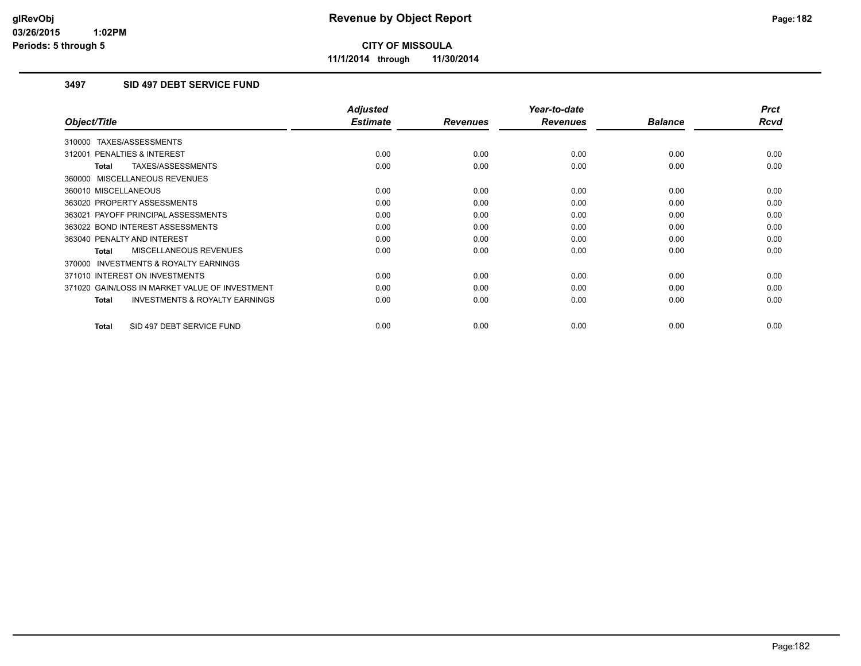**11/1/2014 through 11/30/2014**

## **3497 SID 497 DEBT SERVICE FUND**

|                                                           | <b>Adjusted</b> |                 | Year-to-date    |                | <b>Prct</b> |
|-----------------------------------------------------------|-----------------|-----------------|-----------------|----------------|-------------|
| Object/Title                                              | <b>Estimate</b> | <b>Revenues</b> | <b>Revenues</b> | <b>Balance</b> | <b>Rcvd</b> |
| 310000 TAXES/ASSESSMENTS                                  |                 |                 |                 |                |             |
| 312001 PENALTIES & INTEREST                               | 0.00            | 0.00            | 0.00            | 0.00           | 0.00        |
| <b>TAXES/ASSESSMENTS</b><br><b>Total</b>                  | 0.00            | 0.00            | 0.00            | 0.00           | 0.00        |
| 360000 MISCELLANEOUS REVENUES                             |                 |                 |                 |                |             |
| 360010 MISCELLANEOUS                                      | 0.00            | 0.00            | 0.00            | 0.00           | 0.00        |
| 363020 PROPERTY ASSESSMENTS                               | 0.00            | 0.00            | 0.00            | 0.00           | 0.00        |
| 363021 PAYOFF PRINCIPAL ASSESSMENTS                       | 0.00            | 0.00            | 0.00            | 0.00           | 0.00        |
| 363022 BOND INTEREST ASSESSMENTS                          | 0.00            | 0.00            | 0.00            | 0.00           | 0.00        |
| 363040 PENALTY AND INTEREST                               | 0.00            | 0.00            | 0.00            | 0.00           | 0.00        |
| <b>MISCELLANEOUS REVENUES</b><br><b>Total</b>             | 0.00            | 0.00            | 0.00            | 0.00           | 0.00        |
| <b>INVESTMENTS &amp; ROYALTY EARNINGS</b><br>370000       |                 |                 |                 |                |             |
| 371010 INTEREST ON INVESTMENTS                            | 0.00            | 0.00            | 0.00            | 0.00           | 0.00        |
| 371020 GAIN/LOSS IN MARKET VALUE OF INVESTMENT            | 0.00            | 0.00            | 0.00            | 0.00           | 0.00        |
| <b>INVESTMENTS &amp; ROYALTY EARNINGS</b><br><b>Total</b> | 0.00            | 0.00            | 0.00            | 0.00           | 0.00        |
| SID 497 DEBT SERVICE FUND<br><b>Total</b>                 | 0.00            | 0.00            | 0.00            | 0.00           | 0.00        |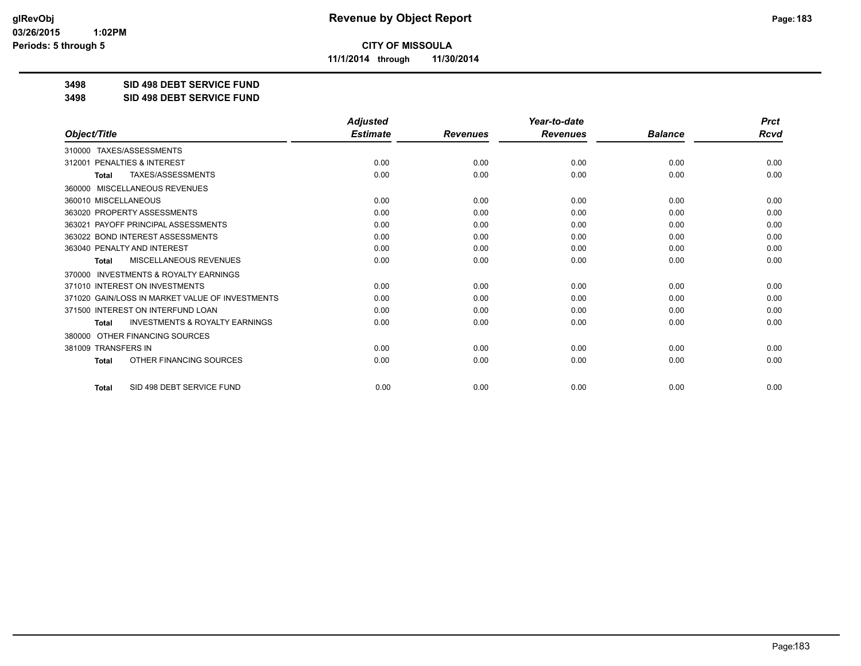**11/1/2014 through 11/30/2014**

**3498 SID 498 DEBT SERVICE FUND**

**3498 SID 498 DEBT SERVICE FUND**

|                                                           | <b>Adjusted</b> |                 | Year-to-date    | <b>Prct</b>    |      |
|-----------------------------------------------------------|-----------------|-----------------|-----------------|----------------|------|
| Object/Title                                              | <b>Estimate</b> | <b>Revenues</b> | <b>Revenues</b> | <b>Balance</b> | Rcvd |
| TAXES/ASSESSMENTS<br>310000                               |                 |                 |                 |                |      |
| 312001 PENALTIES & INTEREST                               | 0.00            | 0.00            | 0.00            | 0.00           | 0.00 |
| <b>TAXES/ASSESSMENTS</b><br><b>Total</b>                  | 0.00            | 0.00            | 0.00            | 0.00           | 0.00 |
| MISCELLANEOUS REVENUES<br>360000                          |                 |                 |                 |                |      |
| 360010 MISCELLANEOUS                                      | 0.00            | 0.00            | 0.00            | 0.00           | 0.00 |
| 363020 PROPERTY ASSESSMENTS                               | 0.00            | 0.00            | 0.00            | 0.00           | 0.00 |
| 363021 PAYOFF PRINCIPAL ASSESSMENTS                       | 0.00            | 0.00            | 0.00            | 0.00           | 0.00 |
| 363022 BOND INTEREST ASSESSMENTS                          | 0.00            | 0.00            | 0.00            | 0.00           | 0.00 |
| 363040 PENALTY AND INTEREST                               | 0.00            | 0.00            | 0.00            | 0.00           | 0.00 |
| MISCELLANEOUS REVENUES<br><b>Total</b>                    | 0.00            | 0.00            | 0.00            | 0.00           | 0.00 |
| 370000 INVESTMENTS & ROYALTY EARNINGS                     |                 |                 |                 |                |      |
| 371010 INTEREST ON INVESTMENTS                            | 0.00            | 0.00            | 0.00            | 0.00           | 0.00 |
| 371020 GAIN/LOSS IN MARKET VALUE OF INVESTMENTS           | 0.00            | 0.00            | 0.00            | 0.00           | 0.00 |
| 371500 INTEREST ON INTERFUND LOAN                         | 0.00            | 0.00            | 0.00            | 0.00           | 0.00 |
| <b>INVESTMENTS &amp; ROYALTY EARNINGS</b><br><b>Total</b> | 0.00            | 0.00            | 0.00            | 0.00           | 0.00 |
| OTHER FINANCING SOURCES<br>380000                         |                 |                 |                 |                |      |
| 381009 TRANSFERS IN                                       | 0.00            | 0.00            | 0.00            | 0.00           | 0.00 |
| OTHER FINANCING SOURCES<br><b>Total</b>                   | 0.00            | 0.00            | 0.00            | 0.00           | 0.00 |
| SID 498 DEBT SERVICE FUND<br><b>Total</b>                 | 0.00            | 0.00            | 0.00            | 0.00           | 0.00 |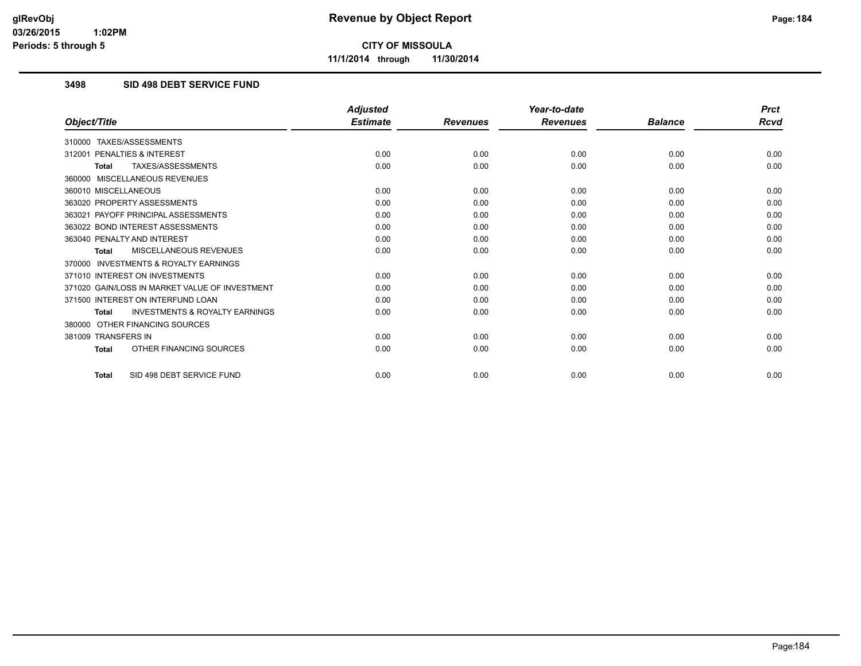**11/1/2014 through 11/30/2014**

### **3498 SID 498 DEBT SERVICE FUND**

|                                                    | <b>Adjusted</b> |                 | Year-to-date    |                | <b>Prct</b> |
|----------------------------------------------------|-----------------|-----------------|-----------------|----------------|-------------|
| Object/Title                                       | <b>Estimate</b> | <b>Revenues</b> | <b>Revenues</b> | <b>Balance</b> | Rcvd        |
| 310000 TAXES/ASSESSMENTS                           |                 |                 |                 |                |             |
| PENALTIES & INTEREST<br>312001                     | 0.00            | 0.00            | 0.00            | 0.00           | 0.00        |
| TAXES/ASSESSMENTS<br>Total                         | 0.00            | 0.00            | 0.00            | 0.00           | 0.00        |
| 360000 MISCELLANEOUS REVENUES                      |                 |                 |                 |                |             |
| 360010 MISCELLANEOUS                               | 0.00            | 0.00            | 0.00            | 0.00           | 0.00        |
| 363020 PROPERTY ASSESSMENTS                        | 0.00            | 0.00            | 0.00            | 0.00           | 0.00        |
| 363021 PAYOFF PRINCIPAL ASSESSMENTS                | 0.00            | 0.00            | 0.00            | 0.00           | 0.00        |
| 363022 BOND INTEREST ASSESSMENTS                   | 0.00            | 0.00            | 0.00            | 0.00           | 0.00        |
| 363040 PENALTY AND INTEREST                        | 0.00            | 0.00            | 0.00            | 0.00           | 0.00        |
| MISCELLANEOUS REVENUES<br><b>Total</b>             | 0.00            | 0.00            | 0.00            | 0.00           | 0.00        |
| 370000 INVESTMENTS & ROYALTY EARNINGS              |                 |                 |                 |                |             |
| 371010 INTEREST ON INVESTMENTS                     | 0.00            | 0.00            | 0.00            | 0.00           | 0.00        |
| 371020 GAIN/LOSS IN MARKET VALUE OF INVESTMENT     | 0.00            | 0.00            | 0.00            | 0.00           | 0.00        |
| 371500 INTEREST ON INTERFUND LOAN                  | 0.00            | 0.00            | 0.00            | 0.00           | 0.00        |
| <b>INVESTMENTS &amp; ROYALTY EARNINGS</b><br>Total | 0.00            | 0.00            | 0.00            | 0.00           | 0.00        |
| OTHER FINANCING SOURCES<br>380000                  |                 |                 |                 |                |             |
| 381009 TRANSFERS IN                                | 0.00            | 0.00            | 0.00            | 0.00           | 0.00        |
| OTHER FINANCING SOURCES<br><b>Total</b>            | 0.00            | 0.00            | 0.00            | 0.00           | 0.00        |
| SID 498 DEBT SERVICE FUND<br><b>Total</b>          | 0.00            | 0.00            | 0.00            | 0.00           | 0.00        |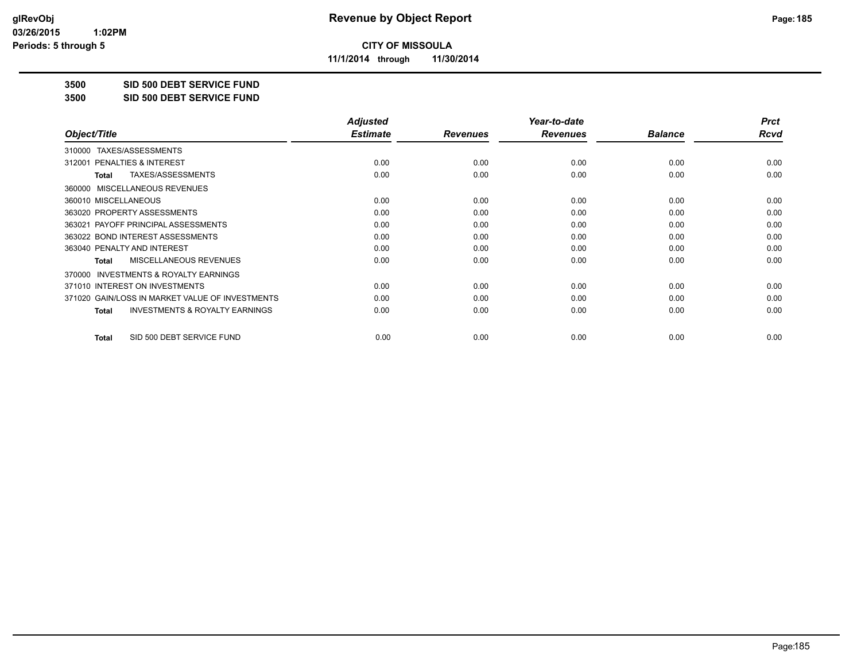**11/1/2014 through 11/30/2014**

**3500 SID 500 DEBT SERVICE FUND**

**3500 SID 500 DEBT SERVICE FUND**

|                                                           | <b>Adjusted</b> |                 | Year-to-date    |                | <b>Prct</b> |
|-----------------------------------------------------------|-----------------|-----------------|-----------------|----------------|-------------|
| Object/Title                                              | <b>Estimate</b> | <b>Revenues</b> | <b>Revenues</b> | <b>Balance</b> | Rcvd        |
| TAXES/ASSESSMENTS<br>310000                               |                 |                 |                 |                |             |
| 312001 PENALTIES & INTEREST                               | 0.00            | 0.00            | 0.00            | 0.00           | 0.00        |
| TAXES/ASSESSMENTS<br>Total                                | 0.00            | 0.00            | 0.00            | 0.00           | 0.00        |
| MISCELLANEOUS REVENUES<br>360000                          |                 |                 |                 |                |             |
| 360010 MISCELLANEOUS                                      | 0.00            | 0.00            | 0.00            | 0.00           | 0.00        |
| 363020 PROPERTY ASSESSMENTS                               | 0.00            | 0.00            | 0.00            | 0.00           | 0.00        |
| 363021 PAYOFF PRINCIPAL ASSESSMENTS                       | 0.00            | 0.00            | 0.00            | 0.00           | 0.00        |
| 363022 BOND INTEREST ASSESSMENTS                          | 0.00            | 0.00            | 0.00            | 0.00           | 0.00        |
| 363040 PENALTY AND INTEREST                               | 0.00            | 0.00            | 0.00            | 0.00           | 0.00        |
| MISCELLANEOUS REVENUES<br><b>Total</b>                    | 0.00            | 0.00            | 0.00            | 0.00           | 0.00        |
| <b>INVESTMENTS &amp; ROYALTY EARNINGS</b><br>370000       |                 |                 |                 |                |             |
| 371010 INTEREST ON INVESTMENTS                            | 0.00            | 0.00            | 0.00            | 0.00           | 0.00        |
| 371020 GAIN/LOSS IN MARKET VALUE OF INVESTMENTS           | 0.00            | 0.00            | 0.00            | 0.00           | 0.00        |
| <b>INVESTMENTS &amp; ROYALTY EARNINGS</b><br><b>Total</b> | 0.00            | 0.00            | 0.00            | 0.00           | 0.00        |
| SID 500 DEBT SERVICE FUND<br><b>Total</b>                 | 0.00            | 0.00            | 0.00            | 0.00           | 0.00        |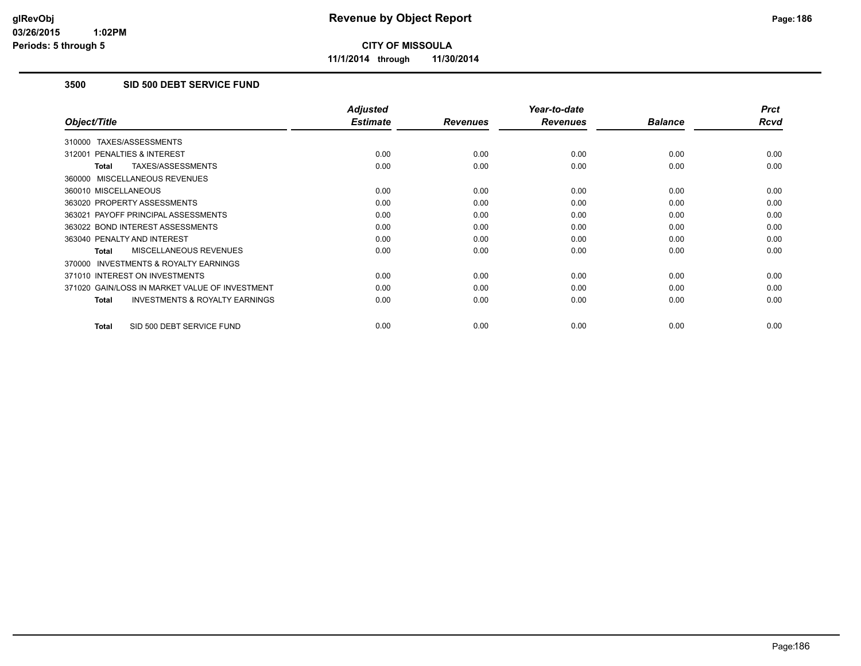**11/1/2014 through 11/30/2014**

# **3500 SID 500 DEBT SERVICE FUND**

|                                                           | <b>Adjusted</b> |                 | Year-to-date    |                | <b>Prct</b> |
|-----------------------------------------------------------|-----------------|-----------------|-----------------|----------------|-------------|
| Object/Title                                              | <b>Estimate</b> | <b>Revenues</b> | <b>Revenues</b> | <b>Balance</b> | <b>Rcvd</b> |
| 310000 TAXES/ASSESSMENTS                                  |                 |                 |                 |                |             |
| 312001 PENALTIES & INTEREST                               | 0.00            | 0.00            | 0.00            | 0.00           | 0.00        |
| TAXES/ASSESSMENTS<br>Total                                | 0.00            | 0.00            | 0.00            | 0.00           | 0.00        |
| 360000 MISCELLANEOUS REVENUES                             |                 |                 |                 |                |             |
| 360010 MISCELLANEOUS                                      | 0.00            | 0.00            | 0.00            | 0.00           | 0.00        |
| 363020 PROPERTY ASSESSMENTS                               | 0.00            | 0.00            | 0.00            | 0.00           | 0.00        |
| 363021 PAYOFF PRINCIPAL ASSESSMENTS                       | 0.00            | 0.00            | 0.00            | 0.00           | 0.00        |
| 363022 BOND INTEREST ASSESSMENTS                          | 0.00            | 0.00            | 0.00            | 0.00           | 0.00        |
| 363040 PENALTY AND INTEREST                               | 0.00            | 0.00            | 0.00            | 0.00           | 0.00        |
| MISCELLANEOUS REVENUES<br>Total                           | 0.00            | 0.00            | 0.00            | 0.00           | 0.00        |
| <b>INVESTMENTS &amp; ROYALTY EARNINGS</b><br>370000       |                 |                 |                 |                |             |
| 371010 INTEREST ON INVESTMENTS                            | 0.00            | 0.00            | 0.00            | 0.00           | 0.00        |
| 371020 GAIN/LOSS IN MARKET VALUE OF INVESTMENT            | 0.00            | 0.00            | 0.00            | 0.00           | 0.00        |
| <b>INVESTMENTS &amp; ROYALTY EARNINGS</b><br><b>Total</b> | 0.00            | 0.00            | 0.00            | 0.00           | 0.00        |
| SID 500 DEBT SERVICE FUND<br><b>Total</b>                 | 0.00            | 0.00            | 0.00            | 0.00           | 0.00        |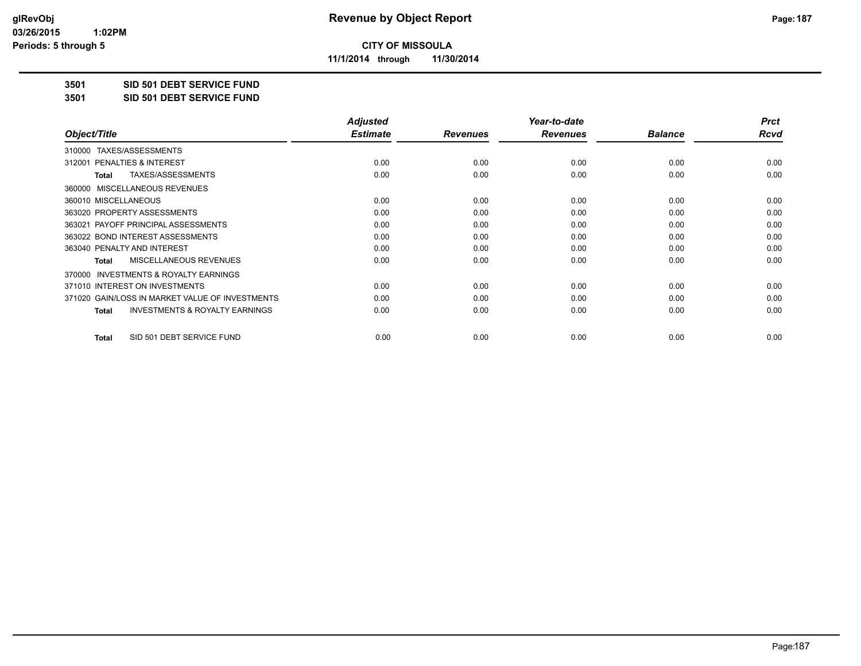**11/1/2014 through 11/30/2014**

**3501 SID 501 DEBT SERVICE FUND**

**3501 SID 501 DEBT SERVICE FUND**

|                                                           | <b>Adjusted</b> |                 | Year-to-date    |                | <b>Prct</b> |
|-----------------------------------------------------------|-----------------|-----------------|-----------------|----------------|-------------|
| Object/Title                                              | <b>Estimate</b> | <b>Revenues</b> | <b>Revenues</b> | <b>Balance</b> | Rcvd        |
| TAXES/ASSESSMENTS<br>310000                               |                 |                 |                 |                |             |
| 312001 PENALTIES & INTEREST                               | 0.00            | 0.00            | 0.00            | 0.00           | 0.00        |
| TAXES/ASSESSMENTS<br>Total                                | 0.00            | 0.00            | 0.00            | 0.00           | 0.00        |
| MISCELLANEOUS REVENUES<br>360000                          |                 |                 |                 |                |             |
| 360010 MISCELLANEOUS                                      | 0.00            | 0.00            | 0.00            | 0.00           | 0.00        |
| 363020 PROPERTY ASSESSMENTS                               | 0.00            | 0.00            | 0.00            | 0.00           | 0.00        |
| 363021 PAYOFF PRINCIPAL ASSESSMENTS                       | 0.00            | 0.00            | 0.00            | 0.00           | 0.00        |
| 363022 BOND INTEREST ASSESSMENTS                          | 0.00            | 0.00            | 0.00            | 0.00           | 0.00        |
| 363040 PENALTY AND INTEREST                               | 0.00            | 0.00            | 0.00            | 0.00           | 0.00        |
| MISCELLANEOUS REVENUES<br><b>Total</b>                    | 0.00            | 0.00            | 0.00            | 0.00           | 0.00        |
| <b>INVESTMENTS &amp; ROYALTY EARNINGS</b><br>370000       |                 |                 |                 |                |             |
| 371010 INTEREST ON INVESTMENTS                            | 0.00            | 0.00            | 0.00            | 0.00           | 0.00        |
| 371020 GAIN/LOSS IN MARKET VALUE OF INVESTMENTS           | 0.00            | 0.00            | 0.00            | 0.00           | 0.00        |
| <b>INVESTMENTS &amp; ROYALTY EARNINGS</b><br><b>Total</b> | 0.00            | 0.00            | 0.00            | 0.00           | 0.00        |
| SID 501 DEBT SERVICE FUND<br>Total                        | 0.00            | 0.00            | 0.00            | 0.00           | 0.00        |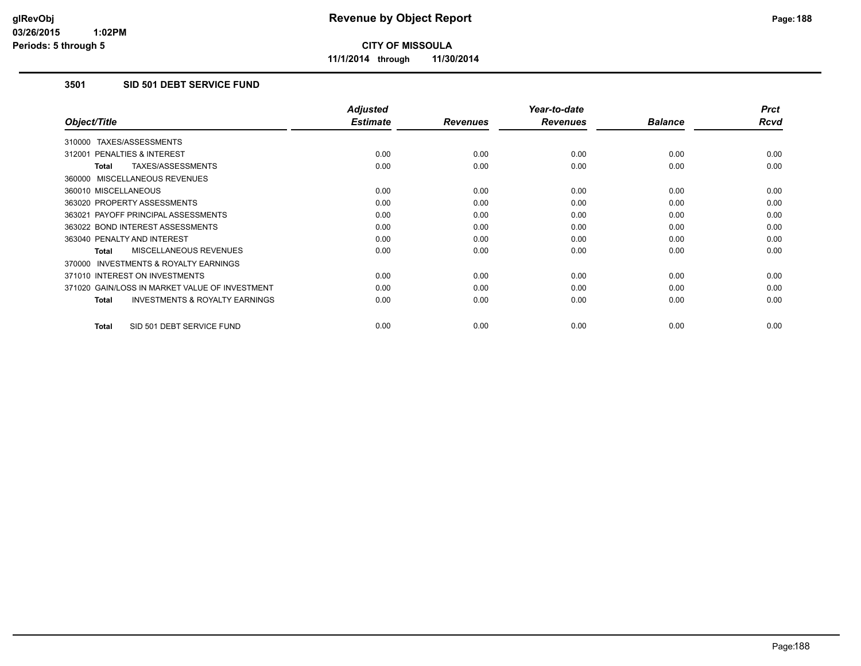**11/1/2014 through 11/30/2014**

# **3501 SID 501 DEBT SERVICE FUND**

|                                                           | <b>Adjusted</b> |                 | Year-to-date    |                | <b>Prct</b> |
|-----------------------------------------------------------|-----------------|-----------------|-----------------|----------------|-------------|
| Object/Title                                              | <b>Estimate</b> | <b>Revenues</b> | <b>Revenues</b> | <b>Balance</b> | <b>Rcvd</b> |
| 310000 TAXES/ASSESSMENTS                                  |                 |                 |                 |                |             |
| 312001 PENALTIES & INTEREST                               | 0.00            | 0.00            | 0.00            | 0.00           | 0.00        |
| <b>TAXES/ASSESSMENTS</b><br><b>Total</b>                  | 0.00            | 0.00            | 0.00            | 0.00           | 0.00        |
| 360000 MISCELLANEOUS REVENUES                             |                 |                 |                 |                |             |
| 360010 MISCELLANEOUS                                      | 0.00            | 0.00            | 0.00            | 0.00           | 0.00        |
| 363020 PROPERTY ASSESSMENTS                               | 0.00            | 0.00            | 0.00            | 0.00           | 0.00        |
| 363021 PAYOFF PRINCIPAL ASSESSMENTS                       | 0.00            | 0.00            | 0.00            | 0.00           | 0.00        |
| 363022 BOND INTEREST ASSESSMENTS                          | 0.00            | 0.00            | 0.00            | 0.00           | 0.00        |
| 363040 PENALTY AND INTEREST                               | 0.00            | 0.00            | 0.00            | 0.00           | 0.00        |
| <b>MISCELLANEOUS REVENUES</b><br><b>Total</b>             | 0.00            | 0.00            | 0.00            | 0.00           | 0.00        |
| <b>INVESTMENTS &amp; ROYALTY EARNINGS</b><br>370000       |                 |                 |                 |                |             |
| 371010 INTEREST ON INVESTMENTS                            | 0.00            | 0.00            | 0.00            | 0.00           | 0.00        |
| 371020 GAIN/LOSS IN MARKET VALUE OF INVESTMENT            | 0.00            | 0.00            | 0.00            | 0.00           | 0.00        |
| <b>INVESTMENTS &amp; ROYALTY EARNINGS</b><br><b>Total</b> | 0.00            | 0.00            | 0.00            | 0.00           | 0.00        |
| SID 501 DEBT SERVICE FUND<br><b>Total</b>                 | 0.00            | 0.00            | 0.00            | 0.00           | 0.00        |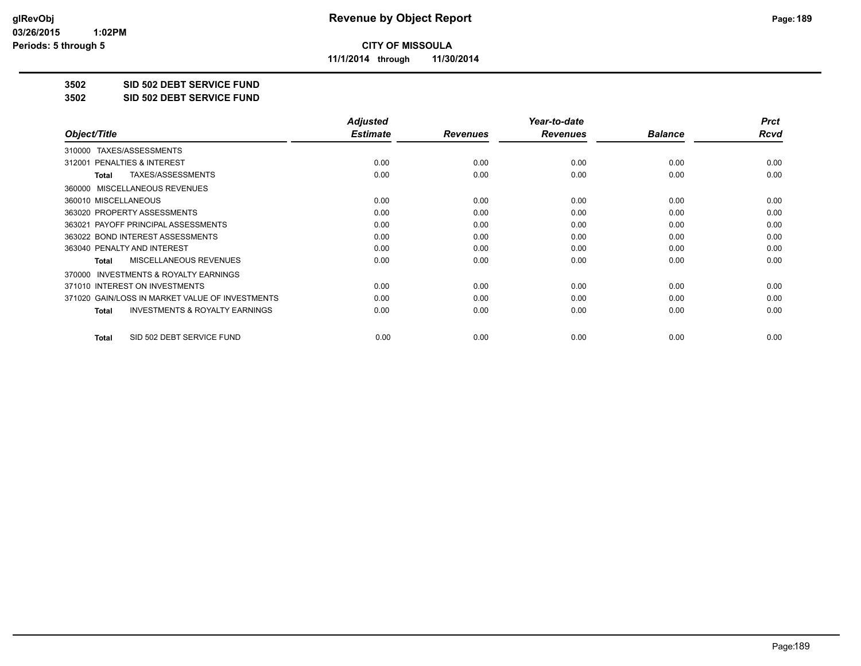**11/1/2014 through 11/30/2014**

## **3502 SID 502 DEBT SERVICE FUND**

**3502 SID 502 DEBT SERVICE FUND**

|                                                           | <b>Adjusted</b> |                 | Year-to-date    |                | <b>Prct</b> |
|-----------------------------------------------------------|-----------------|-----------------|-----------------|----------------|-------------|
| Object/Title                                              | <b>Estimate</b> | <b>Revenues</b> | <b>Revenues</b> | <b>Balance</b> | Rcvd        |
| TAXES/ASSESSMENTS<br>310000                               |                 |                 |                 |                |             |
| 312001 PENALTIES & INTEREST                               | 0.00            | 0.00            | 0.00            | 0.00           | 0.00        |
| TAXES/ASSESSMENTS<br><b>Total</b>                         | 0.00            | 0.00            | 0.00            | 0.00           | 0.00        |
| MISCELLANEOUS REVENUES<br>360000                          |                 |                 |                 |                |             |
| 360010 MISCELLANEOUS                                      | 0.00            | 0.00            | 0.00            | 0.00           | 0.00        |
| 363020 PROPERTY ASSESSMENTS                               | 0.00            | 0.00            | 0.00            | 0.00           | 0.00        |
| 363021 PAYOFF PRINCIPAL ASSESSMENTS                       | 0.00            | 0.00            | 0.00            | 0.00           | 0.00        |
| 363022 BOND INTEREST ASSESSMENTS                          | 0.00            | 0.00            | 0.00            | 0.00           | 0.00        |
| 363040 PENALTY AND INTEREST                               | 0.00            | 0.00            | 0.00            | 0.00           | 0.00        |
| MISCELLANEOUS REVENUES<br><b>Total</b>                    | 0.00            | 0.00            | 0.00            | 0.00           | 0.00        |
| <b>INVESTMENTS &amp; ROYALTY EARNINGS</b><br>370000       |                 |                 |                 |                |             |
| 371010 INTEREST ON INVESTMENTS                            | 0.00            | 0.00            | 0.00            | 0.00           | 0.00        |
| 371020 GAIN/LOSS IN MARKET VALUE OF INVESTMENTS           | 0.00            | 0.00            | 0.00            | 0.00           | 0.00        |
| <b>INVESTMENTS &amp; ROYALTY EARNINGS</b><br><b>Total</b> | 0.00            | 0.00            | 0.00            | 0.00           | 0.00        |
| SID 502 DEBT SERVICE FUND<br><b>Total</b>                 | 0.00            | 0.00            | 0.00            | 0.00           | 0.00        |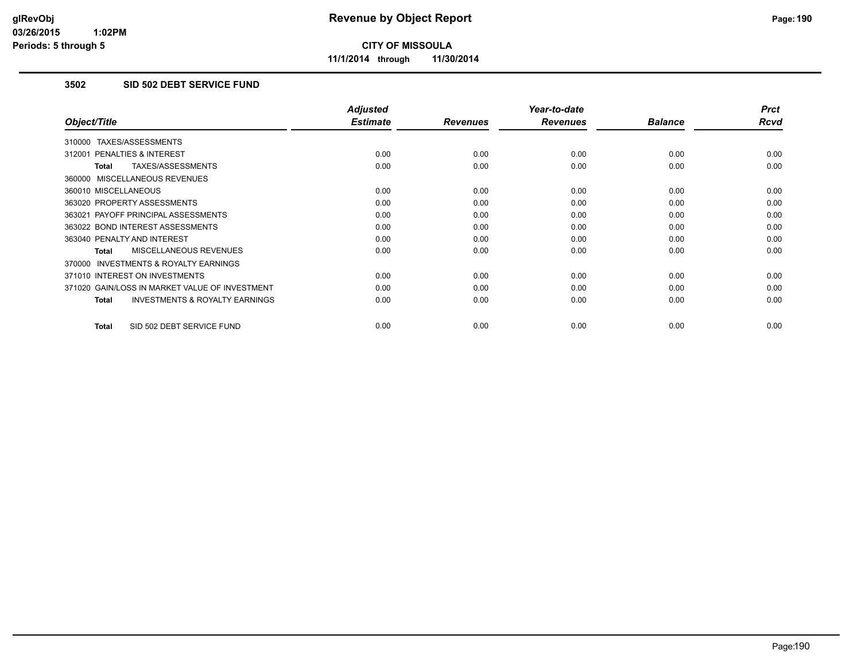**11/1/2014 through 11/30/2014**

## **3502 SID 502 DEBT SERVICE FUND**

|                                                           | <b>Adjusted</b> |                 | Year-to-date    |                | <b>Prct</b> |
|-----------------------------------------------------------|-----------------|-----------------|-----------------|----------------|-------------|
| Object/Title                                              | <b>Estimate</b> | <b>Revenues</b> | <b>Revenues</b> | <b>Balance</b> | <b>Rcvd</b> |
| 310000 TAXES/ASSESSMENTS                                  |                 |                 |                 |                |             |
| 312001 PENALTIES & INTEREST                               | 0.00            | 0.00            | 0.00            | 0.00           | 0.00        |
| <b>TAXES/ASSESSMENTS</b><br><b>Total</b>                  | 0.00            | 0.00            | 0.00            | 0.00           | 0.00        |
| 360000 MISCELLANEOUS REVENUES                             |                 |                 |                 |                |             |
| 360010 MISCELLANEOUS                                      | 0.00            | 0.00            | 0.00            | 0.00           | 0.00        |
| 363020 PROPERTY ASSESSMENTS                               | 0.00            | 0.00            | 0.00            | 0.00           | 0.00        |
| 363021 PAYOFF PRINCIPAL ASSESSMENTS                       | 0.00            | 0.00            | 0.00            | 0.00           | 0.00        |
| 363022 BOND INTEREST ASSESSMENTS                          | 0.00            | 0.00            | 0.00            | 0.00           | 0.00        |
| 363040 PENALTY AND INTEREST                               | 0.00            | 0.00            | 0.00            | 0.00           | 0.00        |
| <b>MISCELLANEOUS REVENUES</b><br><b>Total</b>             | 0.00            | 0.00            | 0.00            | 0.00           | 0.00        |
| <b>INVESTMENTS &amp; ROYALTY EARNINGS</b><br>370000       |                 |                 |                 |                |             |
| 371010 INTEREST ON INVESTMENTS                            | 0.00            | 0.00            | 0.00            | 0.00           | 0.00        |
| 371020 GAIN/LOSS IN MARKET VALUE OF INVESTMENT            | 0.00            | 0.00            | 0.00            | 0.00           | 0.00        |
| <b>INVESTMENTS &amp; ROYALTY EARNINGS</b><br><b>Total</b> | 0.00            | 0.00            | 0.00            | 0.00           | 0.00        |
| SID 502 DEBT SERVICE FUND<br><b>Total</b>                 | 0.00            | 0.00            | 0.00            | 0.00           | 0.00        |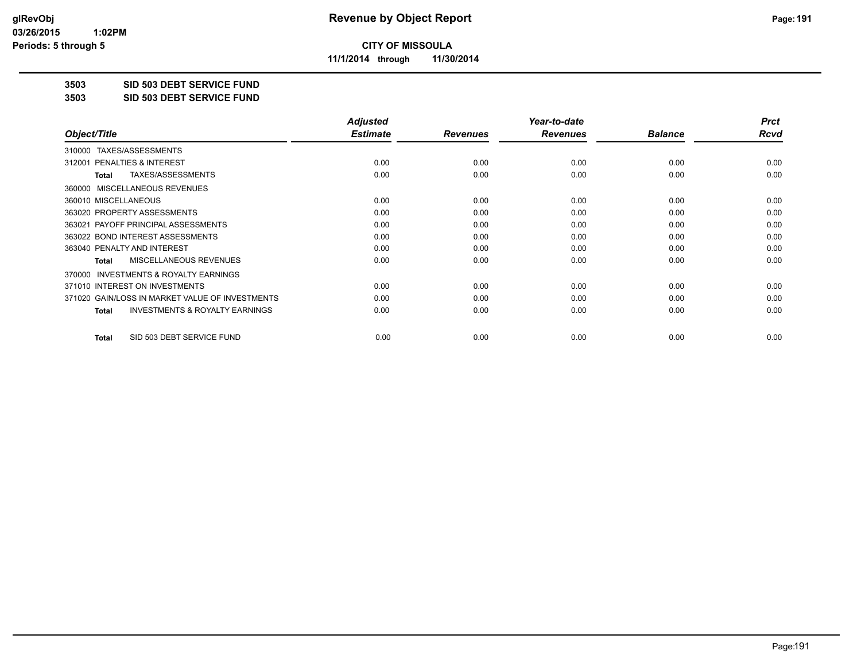**11/1/2014 through 11/30/2014**

**3503 SID 503 DEBT SERVICE FUND**

**3503 SID 503 DEBT SERVICE FUND**

|                                                           | <b>Adjusted</b> |                 | Year-to-date    |                | <b>Prct</b> |
|-----------------------------------------------------------|-----------------|-----------------|-----------------|----------------|-------------|
| Object/Title                                              | <b>Estimate</b> | <b>Revenues</b> | <b>Revenues</b> | <b>Balance</b> | Rcvd        |
| TAXES/ASSESSMENTS<br>310000                               |                 |                 |                 |                |             |
| <b>PENALTIES &amp; INTEREST</b><br>312001                 | 0.00            | 0.00            | 0.00            | 0.00           | 0.00        |
| TAXES/ASSESSMENTS<br><b>Total</b>                         | 0.00            | 0.00            | 0.00            | 0.00           | 0.00        |
| 360000 MISCELLANEOUS REVENUES                             |                 |                 |                 |                |             |
| 360010 MISCELLANEOUS                                      | 0.00            | 0.00            | 0.00            | 0.00           | 0.00        |
| 363020 PROPERTY ASSESSMENTS                               | 0.00            | 0.00            | 0.00            | 0.00           | 0.00        |
| 363021 PAYOFF PRINCIPAL ASSESSMENTS                       | 0.00            | 0.00            | 0.00            | 0.00           | 0.00        |
| 363022 BOND INTEREST ASSESSMENTS                          | 0.00            | 0.00            | 0.00            | 0.00           | 0.00        |
| 363040 PENALTY AND INTEREST                               | 0.00            | 0.00            | 0.00            | 0.00           | 0.00        |
| <b>MISCELLANEOUS REVENUES</b><br><b>Total</b>             | 0.00            | 0.00            | 0.00            | 0.00           | 0.00        |
| <b>INVESTMENTS &amp; ROYALTY EARNINGS</b><br>370000       |                 |                 |                 |                |             |
| 371010 INTEREST ON INVESTMENTS                            | 0.00            | 0.00            | 0.00            | 0.00           | 0.00        |
| 371020 GAIN/LOSS IN MARKET VALUE OF INVESTMENTS           | 0.00            | 0.00            | 0.00            | 0.00           | 0.00        |
| <b>INVESTMENTS &amp; ROYALTY EARNINGS</b><br><b>Total</b> | 0.00            | 0.00            | 0.00            | 0.00           | 0.00        |
| SID 503 DEBT SERVICE FUND<br><b>Total</b>                 | 0.00            | 0.00            | 0.00            | 0.00           | 0.00        |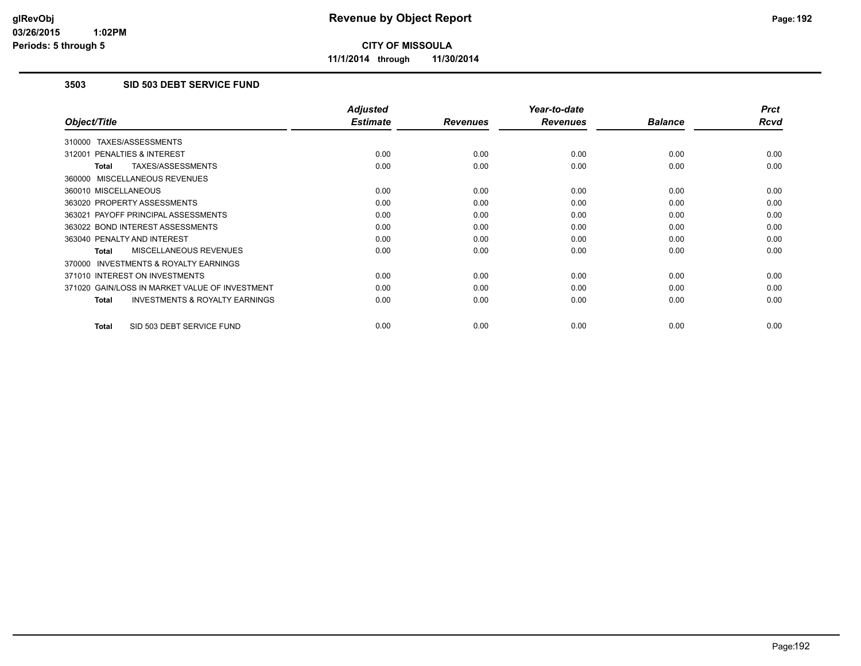**11/1/2014 through 11/30/2014**

# **3503 SID 503 DEBT SERVICE FUND**

|                                                           | <b>Adjusted</b> |                 | Year-to-date    |                | <b>Prct</b> |
|-----------------------------------------------------------|-----------------|-----------------|-----------------|----------------|-------------|
| Object/Title                                              | <b>Estimate</b> | <b>Revenues</b> | <b>Revenues</b> | <b>Balance</b> | <b>Rcvd</b> |
| 310000 TAXES/ASSESSMENTS                                  |                 |                 |                 |                |             |
| 312001 PENALTIES & INTEREST                               | 0.00            | 0.00            | 0.00            | 0.00           | 0.00        |
| <b>TAXES/ASSESSMENTS</b><br><b>Total</b>                  | 0.00            | 0.00            | 0.00            | 0.00           | 0.00        |
| 360000 MISCELLANEOUS REVENUES                             |                 |                 |                 |                |             |
| 360010 MISCELLANEOUS                                      | 0.00            | 0.00            | 0.00            | 0.00           | 0.00        |
| 363020 PROPERTY ASSESSMENTS                               | 0.00            | 0.00            | 0.00            | 0.00           | 0.00        |
| 363021 PAYOFF PRINCIPAL ASSESSMENTS                       | 0.00            | 0.00            | 0.00            | 0.00           | 0.00        |
| 363022 BOND INTEREST ASSESSMENTS                          | 0.00            | 0.00            | 0.00            | 0.00           | 0.00        |
| 363040 PENALTY AND INTEREST                               | 0.00            | 0.00            | 0.00            | 0.00           | 0.00        |
| <b>MISCELLANEOUS REVENUES</b><br><b>Total</b>             | 0.00            | 0.00            | 0.00            | 0.00           | 0.00        |
| <b>INVESTMENTS &amp; ROYALTY EARNINGS</b><br>370000       |                 |                 |                 |                |             |
| 371010 INTEREST ON INVESTMENTS                            | 0.00            | 0.00            | 0.00            | 0.00           | 0.00        |
| 371020 GAIN/LOSS IN MARKET VALUE OF INVESTMENT            | 0.00            | 0.00            | 0.00            | 0.00           | 0.00        |
| <b>INVESTMENTS &amp; ROYALTY EARNINGS</b><br><b>Total</b> | 0.00            | 0.00            | 0.00            | 0.00           | 0.00        |
| SID 503 DEBT SERVICE FUND<br><b>Total</b>                 | 0.00            | 0.00            | 0.00            | 0.00           | 0.00        |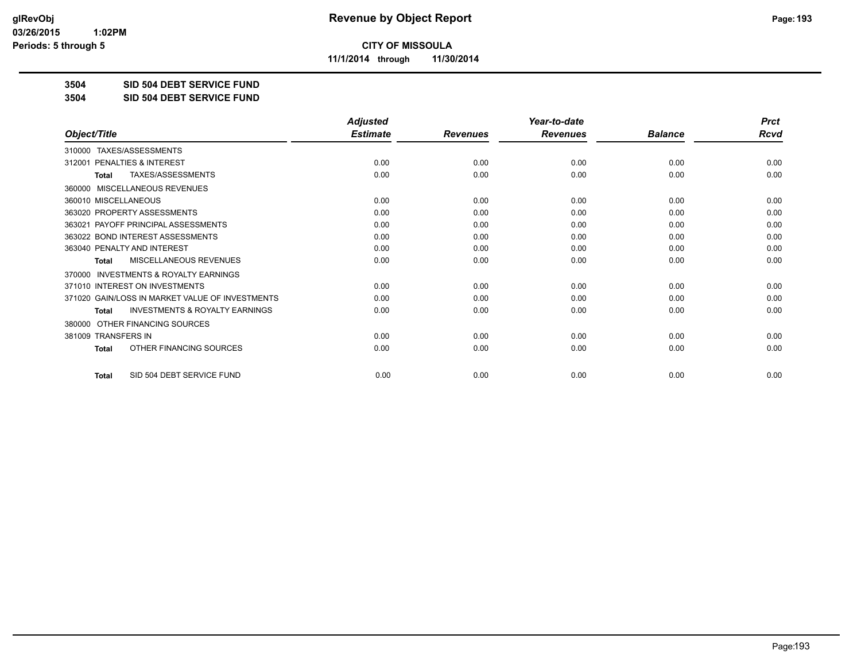**11/1/2014 through 11/30/2014**

**3504 SID 504 DEBT SERVICE FUND**

**3504 SID 504 DEBT SERVICE FUND**

|                                                     | <b>Adjusted</b> |                 | Year-to-date    |                | <b>Prct</b> |
|-----------------------------------------------------|-----------------|-----------------|-----------------|----------------|-------------|
| Object/Title                                        | <b>Estimate</b> | <b>Revenues</b> | <b>Revenues</b> | <b>Balance</b> | <b>Rcvd</b> |
| 310000 TAXES/ASSESSMENTS                            |                 |                 |                 |                |             |
| <b>PENALTIES &amp; INTEREST</b><br>312001           | 0.00            | 0.00            | 0.00            | 0.00           | 0.00        |
| TAXES/ASSESSMENTS<br><b>Total</b>                   | 0.00            | 0.00            | 0.00            | 0.00           | 0.00        |
| MISCELLANEOUS REVENUES<br>360000                    |                 |                 |                 |                |             |
| 360010 MISCELLANEOUS                                | 0.00            | 0.00            | 0.00            | 0.00           | 0.00        |
| 363020 PROPERTY ASSESSMENTS                         | 0.00            | 0.00            | 0.00            | 0.00           | 0.00        |
| 363021 PAYOFF PRINCIPAL ASSESSMENTS                 | 0.00            | 0.00            | 0.00            | 0.00           | 0.00        |
| 363022 BOND INTEREST ASSESSMENTS                    | 0.00            | 0.00            | 0.00            | 0.00           | 0.00        |
| 363040 PENALTY AND INTEREST                         | 0.00            | 0.00            | 0.00            | 0.00           | 0.00        |
| MISCELLANEOUS REVENUES<br><b>Total</b>              | 0.00            | 0.00            | 0.00            | 0.00           | 0.00        |
| <b>INVESTMENTS &amp; ROYALTY EARNINGS</b><br>370000 |                 |                 |                 |                |             |
| 371010 INTEREST ON INVESTMENTS                      | 0.00            | 0.00            | 0.00            | 0.00           | 0.00        |
| 371020 GAIN/LOSS IN MARKET VALUE OF INVESTMENTS     | 0.00            | 0.00            | 0.00            | 0.00           | 0.00        |
| <b>INVESTMENTS &amp; ROYALTY EARNINGS</b><br>Total  | 0.00            | 0.00            | 0.00            | 0.00           | 0.00        |
| OTHER FINANCING SOURCES<br>380000                   |                 |                 |                 |                |             |
| 381009 TRANSFERS IN                                 | 0.00            | 0.00            | 0.00            | 0.00           | 0.00        |
| OTHER FINANCING SOURCES<br>Total                    | 0.00            | 0.00            | 0.00            | 0.00           | 0.00        |
| SID 504 DEBT SERVICE FUND<br><b>Total</b>           | 0.00            | 0.00            | 0.00            | 0.00           | 0.00        |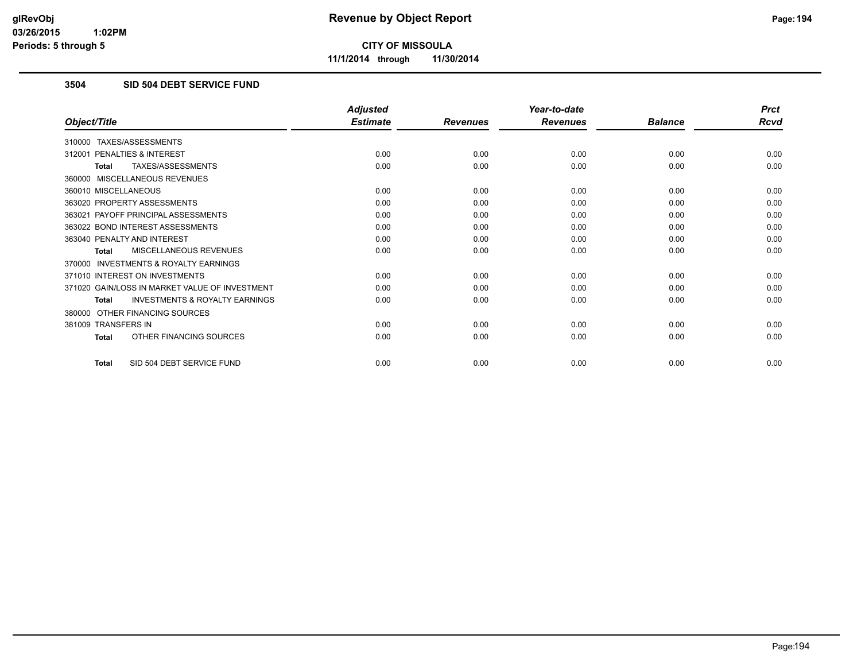**11/1/2014 through 11/30/2014**

## **3504 SID 504 DEBT SERVICE FUND**

|                                                    | <b>Adjusted</b> |                 | Year-to-date    |                | <b>Prct</b> |
|----------------------------------------------------|-----------------|-----------------|-----------------|----------------|-------------|
| Object/Title                                       | <b>Estimate</b> | <b>Revenues</b> | <b>Revenues</b> | <b>Balance</b> | <b>Rcvd</b> |
| 310000 TAXES/ASSESSMENTS                           |                 |                 |                 |                |             |
| 312001 PENALTIES & INTEREST                        | 0.00            | 0.00            | 0.00            | 0.00           | 0.00        |
| TAXES/ASSESSMENTS<br>Total                         | 0.00            | 0.00            | 0.00            | 0.00           | 0.00        |
| 360000 MISCELLANEOUS REVENUES                      |                 |                 |                 |                |             |
| 360010 MISCELLANEOUS                               | 0.00            | 0.00            | 0.00            | 0.00           | 0.00        |
| 363020 PROPERTY ASSESSMENTS                        | 0.00            | 0.00            | 0.00            | 0.00           | 0.00        |
| 363021 PAYOFF PRINCIPAL ASSESSMENTS                | 0.00            | 0.00            | 0.00            | 0.00           | 0.00        |
| 363022 BOND INTEREST ASSESSMENTS                   | 0.00            | 0.00            | 0.00            | 0.00           | 0.00        |
| 363040 PENALTY AND INTEREST                        | 0.00            | 0.00            | 0.00            | 0.00           | 0.00        |
| MISCELLANEOUS REVENUES<br>Total                    | 0.00            | 0.00            | 0.00            | 0.00           | 0.00        |
| 370000 INVESTMENTS & ROYALTY EARNINGS              |                 |                 |                 |                |             |
| 371010 INTEREST ON INVESTMENTS                     | 0.00            | 0.00            | 0.00            | 0.00           | 0.00        |
| 371020 GAIN/LOSS IN MARKET VALUE OF INVESTMENT     | 0.00            | 0.00            | 0.00            | 0.00           | 0.00        |
| <b>INVESTMENTS &amp; ROYALTY EARNINGS</b><br>Total | 0.00            | 0.00            | 0.00            | 0.00           | 0.00        |
| 380000 OTHER FINANCING SOURCES                     |                 |                 |                 |                |             |
| 381009 TRANSFERS IN                                | 0.00            | 0.00            | 0.00            | 0.00           | 0.00        |
| OTHER FINANCING SOURCES<br><b>Total</b>            | 0.00            | 0.00            | 0.00            | 0.00           | 0.00        |
| SID 504 DEBT SERVICE FUND<br><b>Total</b>          | 0.00            | 0.00            | 0.00            | 0.00           | 0.00        |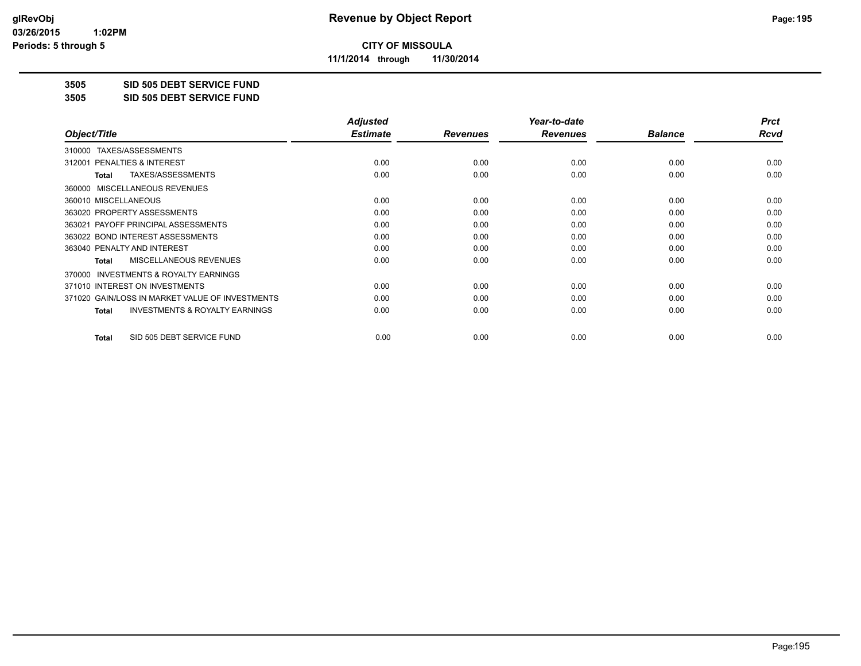**11/1/2014 through 11/30/2014**

**3505 SID 505 DEBT SERVICE FUND**

**3505 SID 505 DEBT SERVICE FUND**

|                                                           | <b>Adjusted</b> |                 | Year-to-date    |                | <b>Prct</b> |
|-----------------------------------------------------------|-----------------|-----------------|-----------------|----------------|-------------|
| Object/Title                                              | <b>Estimate</b> | <b>Revenues</b> | <b>Revenues</b> | <b>Balance</b> | Rcvd        |
| TAXES/ASSESSMENTS<br>310000                               |                 |                 |                 |                |             |
| <b>PENALTIES &amp; INTEREST</b><br>312001                 | 0.00            | 0.00            | 0.00            | 0.00           | 0.00        |
| TAXES/ASSESSMENTS<br><b>Total</b>                         | 0.00            | 0.00            | 0.00            | 0.00           | 0.00        |
| 360000 MISCELLANEOUS REVENUES                             |                 |                 |                 |                |             |
| 360010 MISCELLANEOUS                                      | 0.00            | 0.00            | 0.00            | 0.00           | 0.00        |
| 363020 PROPERTY ASSESSMENTS                               | 0.00            | 0.00            | 0.00            | 0.00           | 0.00        |
| 363021 PAYOFF PRINCIPAL ASSESSMENTS                       | 0.00            | 0.00            | 0.00            | 0.00           | 0.00        |
| 363022 BOND INTEREST ASSESSMENTS                          | 0.00            | 0.00            | 0.00            | 0.00           | 0.00        |
| 363040 PENALTY AND INTEREST                               | 0.00            | 0.00            | 0.00            | 0.00           | 0.00        |
| <b>MISCELLANEOUS REVENUES</b><br><b>Total</b>             | 0.00            | 0.00            | 0.00            | 0.00           | 0.00        |
| <b>INVESTMENTS &amp; ROYALTY EARNINGS</b><br>370000       |                 |                 |                 |                |             |
| 371010 INTEREST ON INVESTMENTS                            | 0.00            | 0.00            | 0.00            | 0.00           | 0.00        |
| 371020 GAIN/LOSS IN MARKET VALUE OF INVESTMENTS           | 0.00            | 0.00            | 0.00            | 0.00           | 0.00        |
| <b>INVESTMENTS &amp; ROYALTY EARNINGS</b><br><b>Total</b> | 0.00            | 0.00            | 0.00            | 0.00           | 0.00        |
| SID 505 DEBT SERVICE FUND<br><b>Total</b>                 | 0.00            | 0.00            | 0.00            | 0.00           | 0.00        |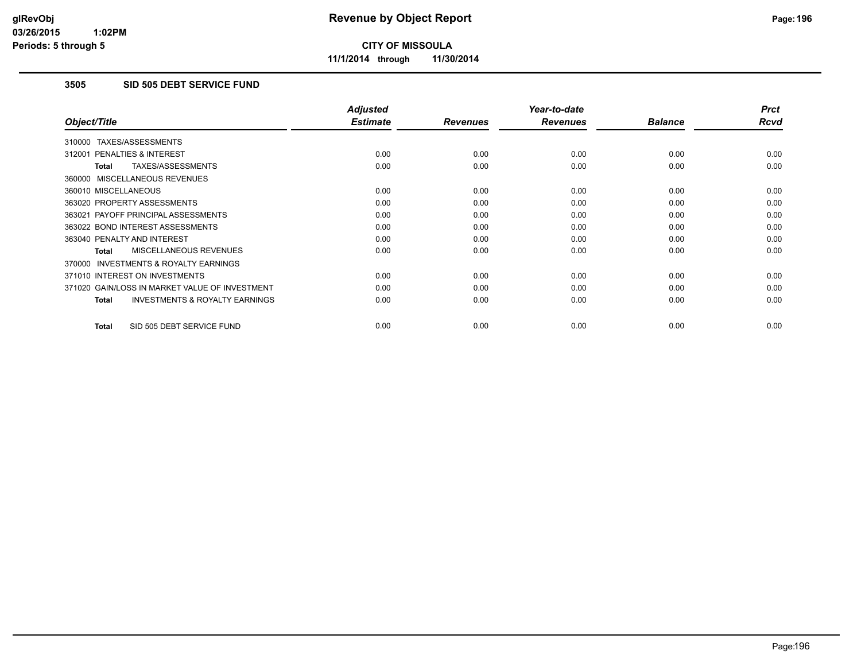**11/1/2014 through 11/30/2014**

# **3505 SID 505 DEBT SERVICE FUND**

|                                                           | <b>Adjusted</b> |                 | Year-to-date    |                | <b>Prct</b> |
|-----------------------------------------------------------|-----------------|-----------------|-----------------|----------------|-------------|
| Object/Title                                              | <b>Estimate</b> | <b>Revenues</b> | <b>Revenues</b> | <b>Balance</b> | <b>Rcvd</b> |
| 310000 TAXES/ASSESSMENTS                                  |                 |                 |                 |                |             |
| 312001 PENALTIES & INTEREST                               | 0.00            | 0.00            | 0.00            | 0.00           | 0.00        |
| TAXES/ASSESSMENTS<br><b>Total</b>                         | 0.00            | 0.00            | 0.00            | 0.00           | 0.00        |
| 360000 MISCELLANEOUS REVENUES                             |                 |                 |                 |                |             |
| 360010 MISCELLANEOUS                                      | 0.00            | 0.00            | 0.00            | 0.00           | 0.00        |
| 363020 PROPERTY ASSESSMENTS                               | 0.00            | 0.00            | 0.00            | 0.00           | 0.00        |
| 363021 PAYOFF PRINCIPAL ASSESSMENTS                       | 0.00            | 0.00            | 0.00            | 0.00           | 0.00        |
| 363022 BOND INTEREST ASSESSMENTS                          | 0.00            | 0.00            | 0.00            | 0.00           | 0.00        |
| 363040 PENALTY AND INTEREST                               | 0.00            | 0.00            | 0.00            | 0.00           | 0.00        |
| <b>MISCELLANEOUS REVENUES</b><br><b>Total</b>             | 0.00            | 0.00            | 0.00            | 0.00           | 0.00        |
| <b>INVESTMENTS &amp; ROYALTY EARNINGS</b><br>370000       |                 |                 |                 |                |             |
| 371010 INTEREST ON INVESTMENTS                            | 0.00            | 0.00            | 0.00            | 0.00           | 0.00        |
| 371020 GAIN/LOSS IN MARKET VALUE OF INVESTMENT            | 0.00            | 0.00            | 0.00            | 0.00           | 0.00        |
| <b>INVESTMENTS &amp; ROYALTY EARNINGS</b><br><b>Total</b> | 0.00            | 0.00            | 0.00            | 0.00           | 0.00        |
| SID 505 DEBT SERVICE FUND<br><b>Total</b>                 | 0.00            | 0.00            | 0.00            | 0.00           | 0.00        |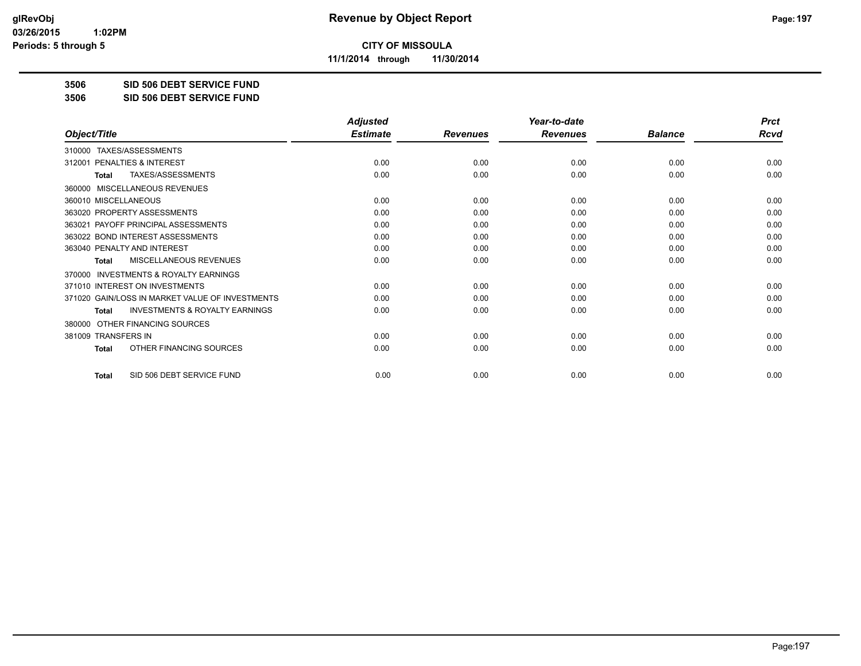**11/1/2014 through 11/30/2014**

**3506 SID 506 DEBT SERVICE FUND**

**3506 SID 506 DEBT SERVICE FUND**

|                                                           | <b>Adjusted</b> |                 | Year-to-date    |                | <b>Prct</b> |
|-----------------------------------------------------------|-----------------|-----------------|-----------------|----------------|-------------|
| Object/Title                                              | <b>Estimate</b> | <b>Revenues</b> | <b>Revenues</b> | <b>Balance</b> | Rcvd        |
| TAXES/ASSESSMENTS<br>310000                               |                 |                 |                 |                |             |
| PENALTIES & INTEREST<br>312001                            | 0.00            | 0.00            | 0.00            | 0.00           | 0.00        |
| TAXES/ASSESSMENTS<br><b>Total</b>                         | 0.00            | 0.00            | 0.00            | 0.00           | 0.00        |
| MISCELLANEOUS REVENUES<br>360000                          |                 |                 |                 |                |             |
| 360010 MISCELLANEOUS                                      | 0.00            | 0.00            | 0.00            | 0.00           | 0.00        |
| 363020 PROPERTY ASSESSMENTS                               | 0.00            | 0.00            | 0.00            | 0.00           | 0.00        |
| 363021 PAYOFF PRINCIPAL ASSESSMENTS                       | 0.00            | 0.00            | 0.00            | 0.00           | 0.00        |
| 363022 BOND INTEREST ASSESSMENTS                          | 0.00            | 0.00            | 0.00            | 0.00           | 0.00        |
| 363040 PENALTY AND INTEREST                               | 0.00            | 0.00            | 0.00            | 0.00           | 0.00        |
| <b>MISCELLANEOUS REVENUES</b><br><b>Total</b>             | 0.00            | 0.00            | 0.00            | 0.00           | 0.00        |
| <b>INVESTMENTS &amp; ROYALTY EARNINGS</b><br>370000       |                 |                 |                 |                |             |
| 371010 INTEREST ON INVESTMENTS                            | 0.00            | 0.00            | 0.00            | 0.00           | 0.00        |
| 371020 GAIN/LOSS IN MARKET VALUE OF INVESTMENTS           | 0.00            | 0.00            | 0.00            | 0.00           | 0.00        |
| <b>INVESTMENTS &amp; ROYALTY EARNINGS</b><br><b>Total</b> | 0.00            | 0.00            | 0.00            | 0.00           | 0.00        |
| OTHER FINANCING SOURCES<br>380000                         |                 |                 |                 |                |             |
| 381009 TRANSFERS IN                                       | 0.00            | 0.00            | 0.00            | 0.00           | 0.00        |
| OTHER FINANCING SOURCES<br><b>Total</b>                   | 0.00            | 0.00            | 0.00            | 0.00           | 0.00        |
| SID 506 DEBT SERVICE FUND<br><b>Total</b>                 | 0.00            | 0.00            | 0.00            | 0.00           | 0.00        |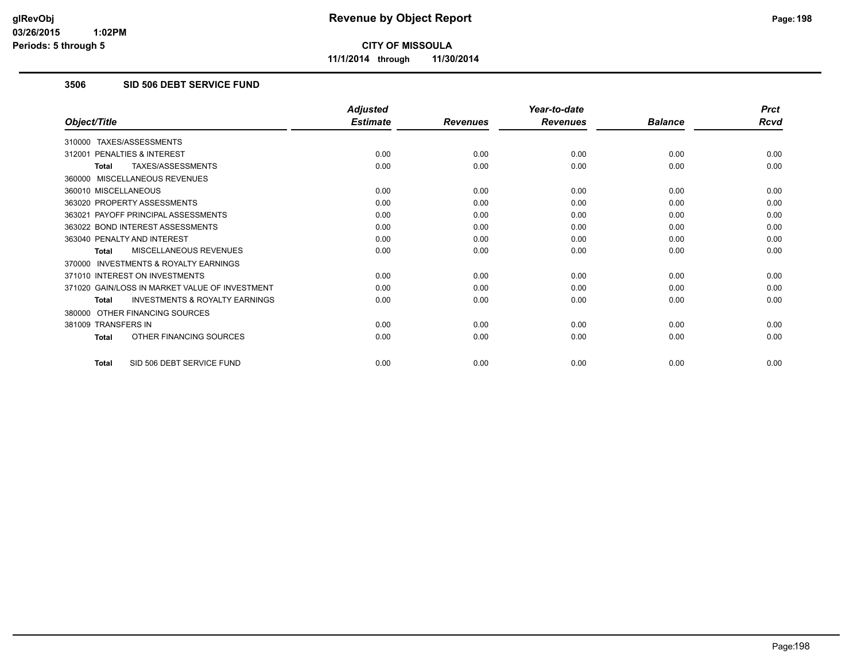**11/1/2014 through 11/30/2014**

## **3506 SID 506 DEBT SERVICE FUND**

|                                                           | <b>Adjusted</b> |                 | Year-to-date    |                | <b>Prct</b> |
|-----------------------------------------------------------|-----------------|-----------------|-----------------|----------------|-------------|
| Object/Title                                              | <b>Estimate</b> | <b>Revenues</b> | <b>Revenues</b> | <b>Balance</b> | <b>Rcvd</b> |
| 310000 TAXES/ASSESSMENTS                                  |                 |                 |                 |                |             |
| PENALTIES & INTEREST<br>312001                            | 0.00            | 0.00            | 0.00            | 0.00           | 0.00        |
| TAXES/ASSESSMENTS<br><b>Total</b>                         | 0.00            | 0.00            | 0.00            | 0.00           | 0.00        |
| 360000 MISCELLANEOUS REVENUES                             |                 |                 |                 |                |             |
| 360010 MISCELLANEOUS                                      | 0.00            | 0.00            | 0.00            | 0.00           | 0.00        |
| 363020 PROPERTY ASSESSMENTS                               | 0.00            | 0.00            | 0.00            | 0.00           | 0.00        |
| 363021 PAYOFF PRINCIPAL ASSESSMENTS                       | 0.00            | 0.00            | 0.00            | 0.00           | 0.00        |
| 363022 BOND INTEREST ASSESSMENTS                          | 0.00            | 0.00            | 0.00            | 0.00           | 0.00        |
| 363040 PENALTY AND INTEREST                               | 0.00            | 0.00            | 0.00            | 0.00           | 0.00        |
| MISCELLANEOUS REVENUES<br><b>Total</b>                    | 0.00            | 0.00            | 0.00            | 0.00           | 0.00        |
| <b>INVESTMENTS &amp; ROYALTY EARNINGS</b><br>370000       |                 |                 |                 |                |             |
| 371010 INTEREST ON INVESTMENTS                            | 0.00            | 0.00            | 0.00            | 0.00           | 0.00        |
| 371020 GAIN/LOSS IN MARKET VALUE OF INVESTMENT            | 0.00            | 0.00            | 0.00            | 0.00           | 0.00        |
| <b>INVESTMENTS &amp; ROYALTY EARNINGS</b><br><b>Total</b> | 0.00            | 0.00            | 0.00            | 0.00           | 0.00        |
| OTHER FINANCING SOURCES<br>380000                         |                 |                 |                 |                |             |
| 381009 TRANSFERS IN                                       | 0.00            | 0.00            | 0.00            | 0.00           | 0.00        |
| OTHER FINANCING SOURCES<br><b>Total</b>                   | 0.00            | 0.00            | 0.00            | 0.00           | 0.00        |
| SID 506 DEBT SERVICE FUND<br><b>Total</b>                 | 0.00            | 0.00            | 0.00            | 0.00           | 0.00        |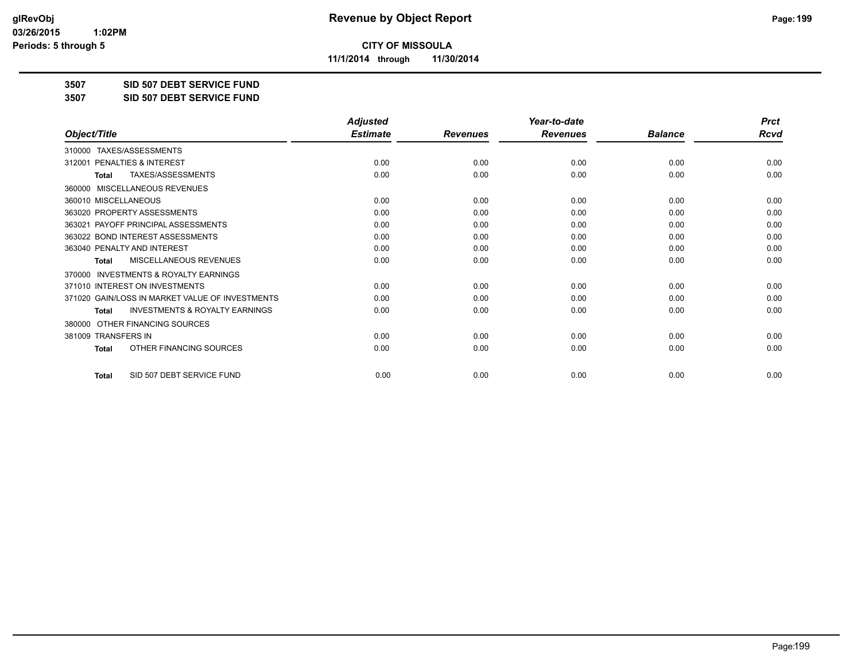**11/1/2014 through 11/30/2014**

**3507 SID 507 DEBT SERVICE FUND**

**3507 SID 507 DEBT SERVICE FUND**

|                                                           | <b>Adjusted</b> |                 | Year-to-date    |                | <b>Prct</b> |
|-----------------------------------------------------------|-----------------|-----------------|-----------------|----------------|-------------|
| Object/Title                                              | <b>Estimate</b> | <b>Revenues</b> | <b>Revenues</b> | <b>Balance</b> | <b>Rcvd</b> |
| TAXES/ASSESSMENTS<br>310000                               |                 |                 |                 |                |             |
| PENALTIES & INTEREST<br>312001                            | 0.00            | 0.00            | 0.00            | 0.00           | 0.00        |
| TAXES/ASSESSMENTS<br><b>Total</b>                         | 0.00            | 0.00            | 0.00            | 0.00           | 0.00        |
| MISCELLANEOUS REVENUES<br>360000                          |                 |                 |                 |                |             |
| 360010 MISCELLANEOUS                                      | 0.00            | 0.00            | 0.00            | 0.00           | 0.00        |
| 363020 PROPERTY ASSESSMENTS                               | 0.00            | 0.00            | 0.00            | 0.00           | 0.00        |
| 363021 PAYOFF PRINCIPAL ASSESSMENTS                       | 0.00            | 0.00            | 0.00            | 0.00           | 0.00        |
| 363022 BOND INTEREST ASSESSMENTS                          | 0.00            | 0.00            | 0.00            | 0.00           | 0.00        |
| 363040 PENALTY AND INTEREST                               | 0.00            | 0.00            | 0.00            | 0.00           | 0.00        |
| <b>MISCELLANEOUS REVENUES</b><br><b>Total</b>             | 0.00            | 0.00            | 0.00            | 0.00           | 0.00        |
| <b>INVESTMENTS &amp; ROYALTY EARNINGS</b><br>370000       |                 |                 |                 |                |             |
| 371010 INTEREST ON INVESTMENTS                            | 0.00            | 0.00            | 0.00            | 0.00           | 0.00        |
| 371020 GAIN/LOSS IN MARKET VALUE OF INVESTMENTS           | 0.00            | 0.00            | 0.00            | 0.00           | 0.00        |
| <b>INVESTMENTS &amp; ROYALTY EARNINGS</b><br><b>Total</b> | 0.00            | 0.00            | 0.00            | 0.00           | 0.00        |
| OTHER FINANCING SOURCES<br>380000                         |                 |                 |                 |                |             |
| 381009 TRANSFERS IN                                       | 0.00            | 0.00            | 0.00            | 0.00           | 0.00        |
| OTHER FINANCING SOURCES<br><b>Total</b>                   | 0.00            | 0.00            | 0.00            | 0.00           | 0.00        |
| SID 507 DEBT SERVICE FUND<br><b>Total</b>                 | 0.00            | 0.00            | 0.00            | 0.00           | 0.00        |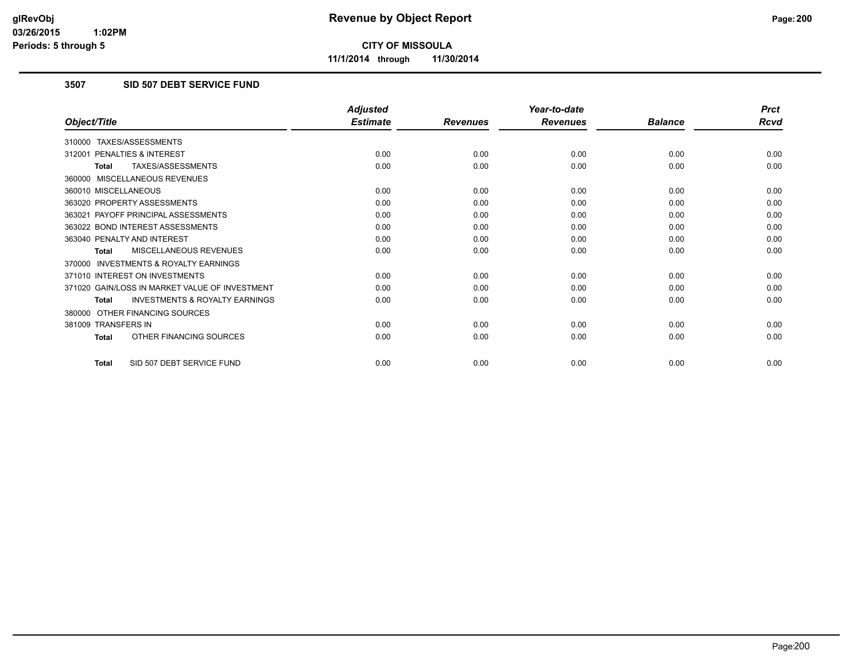**11/1/2014 through 11/30/2014**

# **3507 SID 507 DEBT SERVICE FUND**

|                                                           | <b>Adjusted</b> |                 | Year-to-date    |                | <b>Prct</b> |
|-----------------------------------------------------------|-----------------|-----------------|-----------------|----------------|-------------|
| Object/Title                                              | <b>Estimate</b> | <b>Revenues</b> | <b>Revenues</b> | <b>Balance</b> | <b>Rcvd</b> |
| 310000 TAXES/ASSESSMENTS                                  |                 |                 |                 |                |             |
| PENALTIES & INTEREST<br>312001                            | 0.00            | 0.00            | 0.00            | 0.00           | 0.00        |
| TAXES/ASSESSMENTS<br><b>Total</b>                         | 0.00            | 0.00            | 0.00            | 0.00           | 0.00        |
| 360000 MISCELLANEOUS REVENUES                             |                 |                 |                 |                |             |
| 360010 MISCELLANEOUS                                      | 0.00            | 0.00            | 0.00            | 0.00           | 0.00        |
| 363020 PROPERTY ASSESSMENTS                               | 0.00            | 0.00            | 0.00            | 0.00           | 0.00        |
| 363021 PAYOFF PRINCIPAL ASSESSMENTS                       | 0.00            | 0.00            | 0.00            | 0.00           | 0.00        |
| 363022 BOND INTEREST ASSESSMENTS                          | 0.00            | 0.00            | 0.00            | 0.00           | 0.00        |
| 363040 PENALTY AND INTEREST                               | 0.00            | 0.00            | 0.00            | 0.00           | 0.00        |
| MISCELLANEOUS REVENUES<br><b>Total</b>                    | 0.00            | 0.00            | 0.00            | 0.00           | 0.00        |
| <b>INVESTMENTS &amp; ROYALTY EARNINGS</b><br>370000       |                 |                 |                 |                |             |
| 371010 INTEREST ON INVESTMENTS                            | 0.00            | 0.00            | 0.00            | 0.00           | 0.00        |
| 371020 GAIN/LOSS IN MARKET VALUE OF INVESTMENT            | 0.00            | 0.00            | 0.00            | 0.00           | 0.00        |
| <b>INVESTMENTS &amp; ROYALTY EARNINGS</b><br><b>Total</b> | 0.00            | 0.00            | 0.00            | 0.00           | 0.00        |
| 380000 OTHER FINANCING SOURCES                            |                 |                 |                 |                |             |
| 381009 TRANSFERS IN                                       | 0.00            | 0.00            | 0.00            | 0.00           | 0.00        |
| OTHER FINANCING SOURCES<br><b>Total</b>                   | 0.00            | 0.00            | 0.00            | 0.00           | 0.00        |
| SID 507 DEBT SERVICE FUND<br><b>Total</b>                 | 0.00            | 0.00            | 0.00            | 0.00           | 0.00        |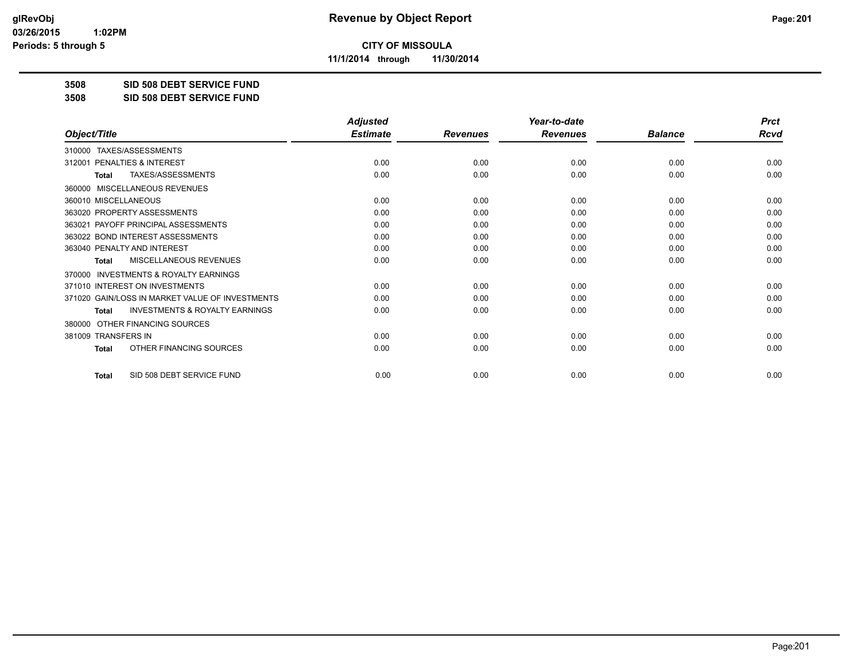**11/1/2014 through 11/30/2014**

**3508 SID 508 DEBT SERVICE FUND**

**3508 SID 508 DEBT SERVICE FUND**

|                                                           | <b>Adjusted</b> |                 | Year-to-date    |                | <b>Prct</b> |
|-----------------------------------------------------------|-----------------|-----------------|-----------------|----------------|-------------|
| Object/Title                                              | <b>Estimate</b> | <b>Revenues</b> | <b>Revenues</b> | <b>Balance</b> | <b>Rcvd</b> |
| TAXES/ASSESSMENTS<br>310000                               |                 |                 |                 |                |             |
| 312001 PENALTIES & INTEREST                               | 0.00            | 0.00            | 0.00            | 0.00           | 0.00        |
| TAXES/ASSESSMENTS<br><b>Total</b>                         | 0.00            | 0.00            | 0.00            | 0.00           | 0.00        |
| MISCELLANEOUS REVENUES<br>360000                          |                 |                 |                 |                |             |
| 360010 MISCELLANEOUS                                      | 0.00            | 0.00            | 0.00            | 0.00           | 0.00        |
| 363020 PROPERTY ASSESSMENTS                               | 0.00            | 0.00            | 0.00            | 0.00           | 0.00        |
| 363021 PAYOFF PRINCIPAL ASSESSMENTS                       | 0.00            | 0.00            | 0.00            | 0.00           | 0.00        |
| 363022 BOND INTEREST ASSESSMENTS                          | 0.00            | 0.00            | 0.00            | 0.00           | 0.00        |
| 363040 PENALTY AND INTEREST                               | 0.00            | 0.00            | 0.00            | 0.00           | 0.00        |
| <b>MISCELLANEOUS REVENUES</b><br><b>Total</b>             | 0.00            | 0.00            | 0.00            | 0.00           | 0.00        |
| <b>INVESTMENTS &amp; ROYALTY EARNINGS</b><br>370000       |                 |                 |                 |                |             |
| 371010 INTEREST ON INVESTMENTS                            | 0.00            | 0.00            | 0.00            | 0.00           | 0.00        |
| 371020 GAIN/LOSS IN MARKET VALUE OF INVESTMENTS           | 0.00            | 0.00            | 0.00            | 0.00           | 0.00        |
| <b>INVESTMENTS &amp; ROYALTY EARNINGS</b><br><b>Total</b> | 0.00            | 0.00            | 0.00            | 0.00           | 0.00        |
| OTHER FINANCING SOURCES<br>380000                         |                 |                 |                 |                |             |
| 381009 TRANSFERS IN                                       | 0.00            | 0.00            | 0.00            | 0.00           | 0.00        |
| OTHER FINANCING SOURCES<br><b>Total</b>                   | 0.00            | 0.00            | 0.00            | 0.00           | 0.00        |
| SID 508 DEBT SERVICE FUND<br><b>Total</b>                 | 0.00            | 0.00            | 0.00            | 0.00           | 0.00        |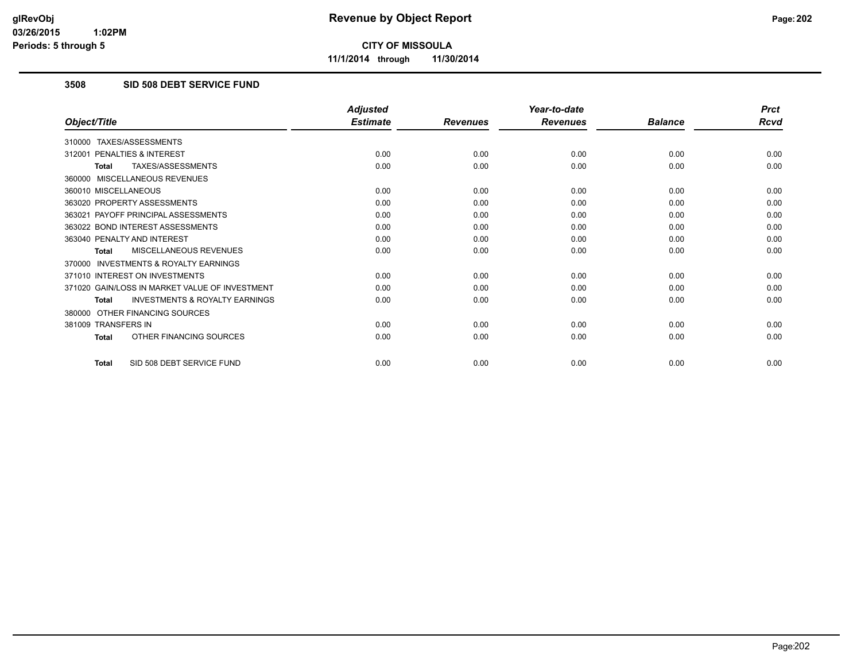**11/1/2014 through 11/30/2014**

## **3508 SID 508 DEBT SERVICE FUND**

|                                                           | <b>Adjusted</b> |                 | Year-to-date    |                | <b>Prct</b> |
|-----------------------------------------------------------|-----------------|-----------------|-----------------|----------------|-------------|
| Object/Title                                              | <b>Estimate</b> | <b>Revenues</b> | <b>Revenues</b> | <b>Balance</b> | <b>Rcvd</b> |
| 310000 TAXES/ASSESSMENTS                                  |                 |                 |                 |                |             |
| PENALTIES & INTEREST<br>312001                            | 0.00            | 0.00            | 0.00            | 0.00           | 0.00        |
| TAXES/ASSESSMENTS<br><b>Total</b>                         | 0.00            | 0.00            | 0.00            | 0.00           | 0.00        |
| 360000 MISCELLANEOUS REVENUES                             |                 |                 |                 |                |             |
| 360010 MISCELLANEOUS                                      | 0.00            | 0.00            | 0.00            | 0.00           | 0.00        |
| 363020 PROPERTY ASSESSMENTS                               | 0.00            | 0.00            | 0.00            | 0.00           | 0.00        |
| 363021 PAYOFF PRINCIPAL ASSESSMENTS                       | 0.00            | 0.00            | 0.00            | 0.00           | 0.00        |
| 363022 BOND INTEREST ASSESSMENTS                          | 0.00            | 0.00            | 0.00            | 0.00           | 0.00        |
| 363040 PENALTY AND INTEREST                               | 0.00            | 0.00            | 0.00            | 0.00           | 0.00        |
| MISCELLANEOUS REVENUES<br><b>Total</b>                    | 0.00            | 0.00            | 0.00            | 0.00           | 0.00        |
| <b>INVESTMENTS &amp; ROYALTY EARNINGS</b><br>370000       |                 |                 |                 |                |             |
| 371010 INTEREST ON INVESTMENTS                            | 0.00            | 0.00            | 0.00            | 0.00           | 0.00        |
| 371020 GAIN/LOSS IN MARKET VALUE OF INVESTMENT            | 0.00            | 0.00            | 0.00            | 0.00           | 0.00        |
| <b>INVESTMENTS &amp; ROYALTY EARNINGS</b><br><b>Total</b> | 0.00            | 0.00            | 0.00            | 0.00           | 0.00        |
| OTHER FINANCING SOURCES<br>380000                         |                 |                 |                 |                |             |
| 381009 TRANSFERS IN                                       | 0.00            | 0.00            | 0.00            | 0.00           | 0.00        |
| OTHER FINANCING SOURCES<br><b>Total</b>                   | 0.00            | 0.00            | 0.00            | 0.00           | 0.00        |
| SID 508 DEBT SERVICE FUND<br><b>Total</b>                 | 0.00            | 0.00            | 0.00            | 0.00           | 0.00        |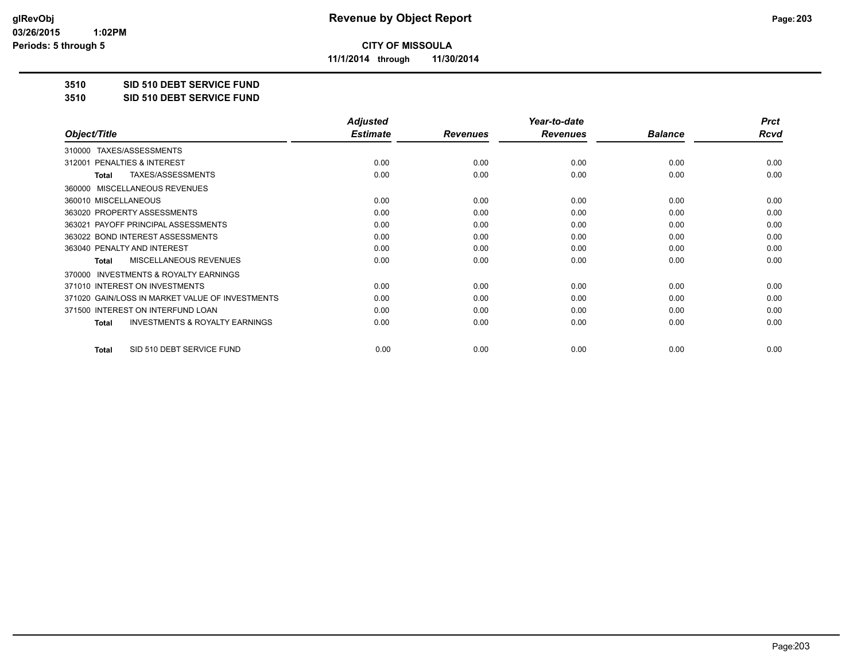**11/1/2014 through 11/30/2014**

**3510 SID 510 DEBT SERVICE FUND**

**3510 SID 510 DEBT SERVICE FUND**

|                                                           | <b>Adjusted</b> |                 | Year-to-date    |                | <b>Prct</b> |
|-----------------------------------------------------------|-----------------|-----------------|-----------------|----------------|-------------|
| Object/Title                                              | <b>Estimate</b> | <b>Revenues</b> | <b>Revenues</b> | <b>Balance</b> | <b>Rcvd</b> |
| TAXES/ASSESSMENTS<br>310000                               |                 |                 |                 |                |             |
| <b>PENALTIES &amp; INTEREST</b><br>312001                 | 0.00            | 0.00            | 0.00            | 0.00           | 0.00        |
| TAXES/ASSESSMENTS<br>Total                                | 0.00            | 0.00            | 0.00            | 0.00           | 0.00        |
| MISCELLANEOUS REVENUES<br>360000                          |                 |                 |                 |                |             |
| 360010 MISCELLANEOUS                                      | 0.00            | 0.00            | 0.00            | 0.00           | 0.00        |
| 363020 PROPERTY ASSESSMENTS                               | 0.00            | 0.00            | 0.00            | 0.00           | 0.00        |
| 363021 PAYOFF PRINCIPAL ASSESSMENTS                       | 0.00            | 0.00            | 0.00            | 0.00           | 0.00        |
| 363022 BOND INTEREST ASSESSMENTS                          | 0.00            | 0.00            | 0.00            | 0.00           | 0.00        |
| 363040 PENALTY AND INTEREST                               | 0.00            | 0.00            | 0.00            | 0.00           | 0.00        |
| <b>MISCELLANEOUS REVENUES</b><br><b>Total</b>             | 0.00            | 0.00            | 0.00            | 0.00           | 0.00        |
| <b>INVESTMENTS &amp; ROYALTY EARNINGS</b><br>370000       |                 |                 |                 |                |             |
| 371010 INTEREST ON INVESTMENTS                            | 0.00            | 0.00            | 0.00            | 0.00           | 0.00        |
| 371020 GAIN/LOSS IN MARKET VALUE OF INVESTMENTS           | 0.00            | 0.00            | 0.00            | 0.00           | 0.00        |
| 371500 INTEREST ON INTERFUND LOAN                         | 0.00            | 0.00            | 0.00            | 0.00           | 0.00        |
| <b>INVESTMENTS &amp; ROYALTY EARNINGS</b><br><b>Total</b> | 0.00            | 0.00            | 0.00            | 0.00           | 0.00        |
| SID 510 DEBT SERVICE FUND<br><b>Total</b>                 | 0.00            | 0.00            | 0.00            | 0.00           | 0.00        |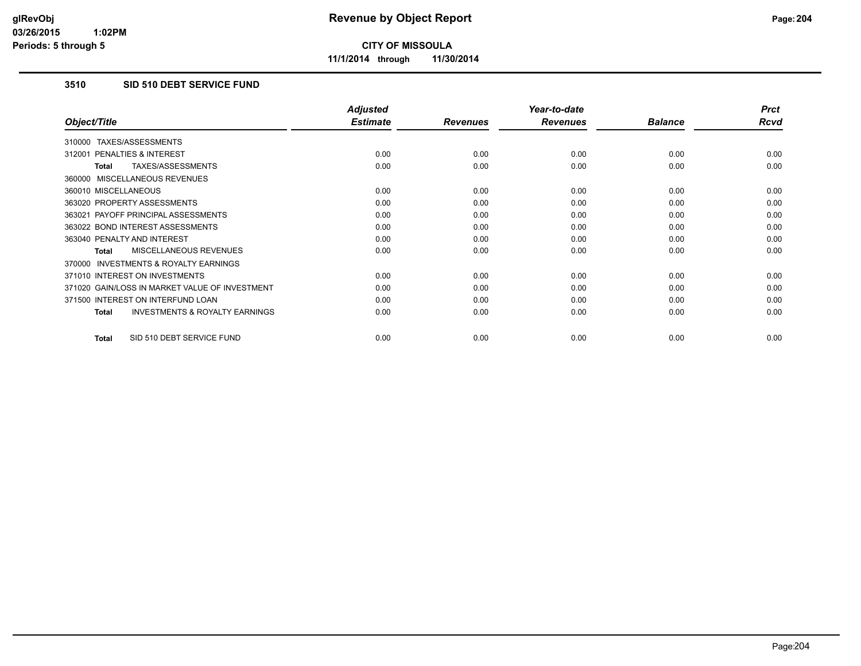**11/1/2014 through 11/30/2014**

# **3510 SID 510 DEBT SERVICE FUND**

|                                                           | <b>Adjusted</b> |                 | Year-to-date    |                | <b>Prct</b> |
|-----------------------------------------------------------|-----------------|-----------------|-----------------|----------------|-------------|
| Object/Title                                              | <b>Estimate</b> | <b>Revenues</b> | <b>Revenues</b> | <b>Balance</b> | Rcvd        |
| TAXES/ASSESSMENTS<br>310000                               |                 |                 |                 |                |             |
| PENALTIES & INTEREST<br>312001                            | 0.00            | 0.00            | 0.00            | 0.00           | 0.00        |
| TAXES/ASSESSMENTS<br><b>Total</b>                         | 0.00            | 0.00            | 0.00            | 0.00           | 0.00        |
| 360000 MISCELLANEOUS REVENUES                             |                 |                 |                 |                |             |
| 360010 MISCELLANEOUS                                      | 0.00            | 0.00            | 0.00            | 0.00           | 0.00        |
| 363020 PROPERTY ASSESSMENTS                               | 0.00            | 0.00            | 0.00            | 0.00           | 0.00        |
| 363021 PAYOFF PRINCIPAL ASSESSMENTS                       | 0.00            | 0.00            | 0.00            | 0.00           | 0.00        |
| 363022 BOND INTEREST ASSESSMENTS                          | 0.00            | 0.00            | 0.00            | 0.00           | 0.00        |
| 363040 PENALTY AND INTEREST                               | 0.00            | 0.00            | 0.00            | 0.00           | 0.00        |
| <b>MISCELLANEOUS REVENUES</b><br><b>Total</b>             | 0.00            | 0.00            | 0.00            | 0.00           | 0.00        |
| <b>INVESTMENTS &amp; ROYALTY EARNINGS</b><br>370000       |                 |                 |                 |                |             |
| 371010 INTEREST ON INVESTMENTS                            | 0.00            | 0.00            | 0.00            | 0.00           | 0.00        |
| 371020 GAIN/LOSS IN MARKET VALUE OF INVESTMENT            | 0.00            | 0.00            | 0.00            | 0.00           | 0.00        |
| 371500 INTEREST ON INTERFUND LOAN                         | 0.00            | 0.00            | 0.00            | 0.00           | 0.00        |
| <b>INVESTMENTS &amp; ROYALTY EARNINGS</b><br><b>Total</b> | 0.00            | 0.00            | 0.00            | 0.00           | 0.00        |
| SID 510 DEBT SERVICE FUND<br><b>Total</b>                 | 0.00            | 0.00            | 0.00            | 0.00           | 0.00        |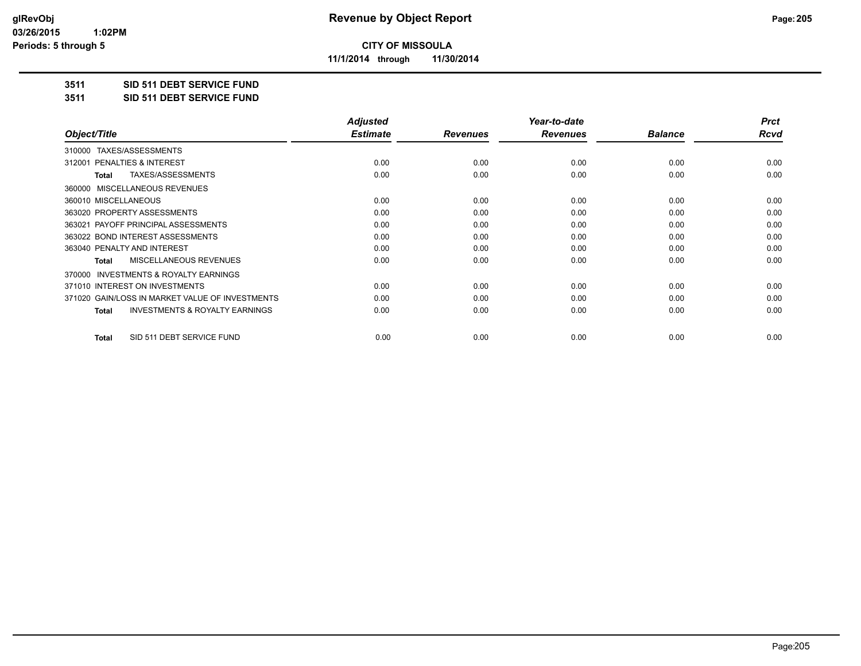**11/1/2014 through 11/30/2014**

**3511 SID 511 DEBT SERVICE FUND**

**3511 SID 511 DEBT SERVICE FUND**

|                                                           | <b>Adjusted</b> |                 | Year-to-date    |                | <b>Prct</b> |
|-----------------------------------------------------------|-----------------|-----------------|-----------------|----------------|-------------|
| Object/Title                                              | <b>Estimate</b> | <b>Revenues</b> | <b>Revenues</b> | <b>Balance</b> | <b>Rcvd</b> |
| TAXES/ASSESSMENTS<br>310000                               |                 |                 |                 |                |             |
| 312001 PENALTIES & INTEREST                               | 0.00            | 0.00            | 0.00            | 0.00           | 0.00        |
| TAXES/ASSESSMENTS<br>Total                                | 0.00            | 0.00            | 0.00            | 0.00           | 0.00        |
| MISCELLANEOUS REVENUES<br>360000                          |                 |                 |                 |                |             |
| 360010 MISCELLANEOUS                                      | 0.00            | 0.00            | 0.00            | 0.00           | 0.00        |
| 363020 PROPERTY ASSESSMENTS                               | 0.00            | 0.00            | 0.00            | 0.00           | 0.00        |
| 363021 PAYOFF PRINCIPAL ASSESSMENTS                       | 0.00            | 0.00            | 0.00            | 0.00           | 0.00        |
| 363022 BOND INTEREST ASSESSMENTS                          | 0.00            | 0.00            | 0.00            | 0.00           | 0.00        |
| 363040 PENALTY AND INTEREST                               | 0.00            | 0.00            | 0.00            | 0.00           | 0.00        |
| MISCELLANEOUS REVENUES<br><b>Total</b>                    | 0.00            | 0.00            | 0.00            | 0.00           | 0.00        |
| <b>INVESTMENTS &amp; ROYALTY EARNINGS</b><br>370000       |                 |                 |                 |                |             |
| 371010 INTEREST ON INVESTMENTS                            | 0.00            | 0.00            | 0.00            | 0.00           | 0.00        |
| 371020 GAIN/LOSS IN MARKET VALUE OF INVESTMENTS           | 0.00            | 0.00            | 0.00            | 0.00           | 0.00        |
| <b>INVESTMENTS &amp; ROYALTY EARNINGS</b><br><b>Total</b> | 0.00            | 0.00            | 0.00            | 0.00           | 0.00        |
| SID 511 DEBT SERVICE FUND<br><b>Total</b>                 | 0.00            | 0.00            | 0.00            | 0.00           | 0.00        |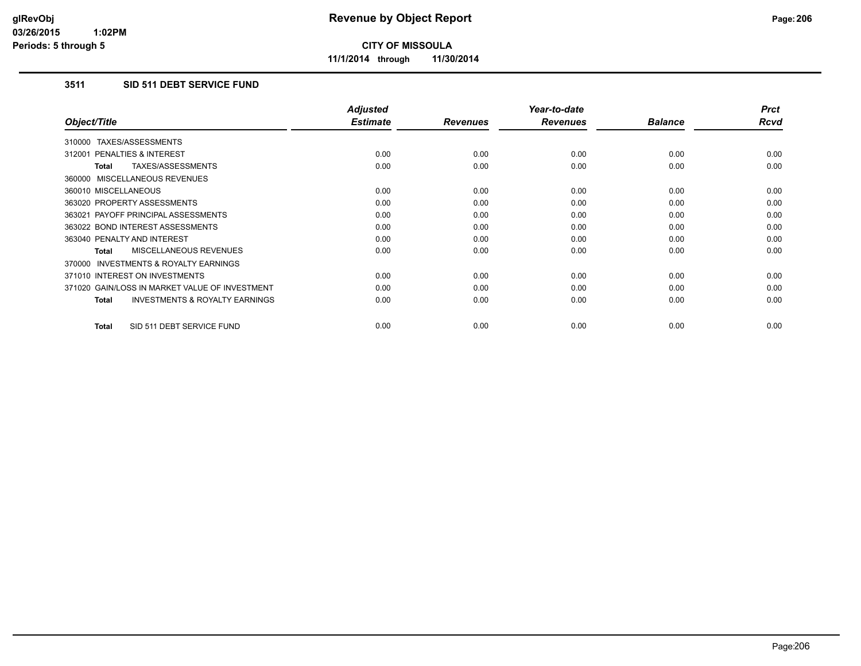**11/1/2014 through 11/30/2014**

# **3511 SID 511 DEBT SERVICE FUND**

|                                                           | <b>Adjusted</b> |                 | Year-to-date    |                | <b>Prct</b> |
|-----------------------------------------------------------|-----------------|-----------------|-----------------|----------------|-------------|
| Object/Title                                              | <b>Estimate</b> | <b>Revenues</b> | <b>Revenues</b> | <b>Balance</b> | <b>Rcvd</b> |
| 310000 TAXES/ASSESSMENTS                                  |                 |                 |                 |                |             |
| 312001 PENALTIES & INTEREST                               | 0.00            | 0.00            | 0.00            | 0.00           | 0.00        |
| TAXES/ASSESSMENTS<br><b>Total</b>                         | 0.00            | 0.00            | 0.00            | 0.00           | 0.00        |
| 360000 MISCELLANEOUS REVENUES                             |                 |                 |                 |                |             |
| 360010 MISCELLANEOUS                                      | 0.00            | 0.00            | 0.00            | 0.00           | 0.00        |
| 363020 PROPERTY ASSESSMENTS                               | 0.00            | 0.00            | 0.00            | 0.00           | 0.00        |
| 363021 PAYOFF PRINCIPAL ASSESSMENTS                       | 0.00            | 0.00            | 0.00            | 0.00           | 0.00        |
| 363022 BOND INTEREST ASSESSMENTS                          | 0.00            | 0.00            | 0.00            | 0.00           | 0.00        |
| 363040 PENALTY AND INTEREST                               | 0.00            | 0.00            | 0.00            | 0.00           | 0.00        |
| <b>MISCELLANEOUS REVENUES</b><br><b>Total</b>             | 0.00            | 0.00            | 0.00            | 0.00           | 0.00        |
| <b>INVESTMENTS &amp; ROYALTY EARNINGS</b><br>370000       |                 |                 |                 |                |             |
| 371010 INTEREST ON INVESTMENTS                            | 0.00            | 0.00            | 0.00            | 0.00           | 0.00        |
| 371020 GAIN/LOSS IN MARKET VALUE OF INVESTMENT            | 0.00            | 0.00            | 0.00            | 0.00           | 0.00        |
| <b>INVESTMENTS &amp; ROYALTY EARNINGS</b><br><b>Total</b> | 0.00            | 0.00            | 0.00            | 0.00           | 0.00        |
| SID 511 DEBT SERVICE FUND<br><b>Total</b>                 | 0.00            | 0.00            | 0.00            | 0.00           | 0.00        |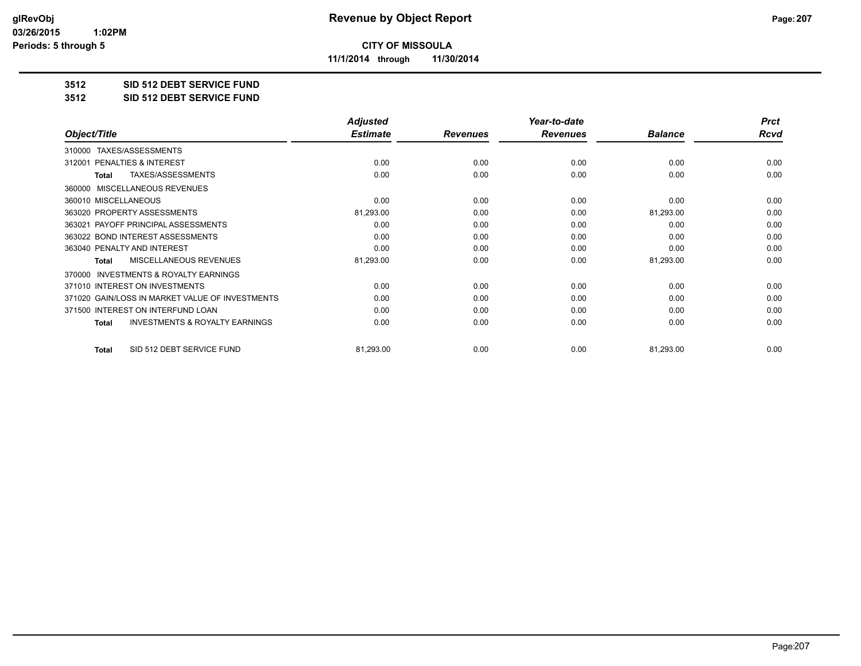**11/1/2014 through 11/30/2014**

#### **3512 SID 512 DEBT SERVICE FUND**

**3512 SID 512 DEBT SERVICE FUND**

|                                                           | <b>Adjusted</b> |                 | Year-to-date    |                | <b>Prct</b> |
|-----------------------------------------------------------|-----------------|-----------------|-----------------|----------------|-------------|
| Object/Title                                              | <b>Estimate</b> | <b>Revenues</b> | <b>Revenues</b> | <b>Balance</b> | <b>Rcvd</b> |
| TAXES/ASSESSMENTS<br>310000                               |                 |                 |                 |                |             |
| <b>PENALTIES &amp; INTEREST</b><br>312001                 | 0.00            | 0.00            | 0.00            | 0.00           | 0.00        |
| TAXES/ASSESSMENTS<br><b>Total</b>                         | 0.00            | 0.00            | 0.00            | 0.00           | 0.00        |
| MISCELLANEOUS REVENUES<br>360000                          |                 |                 |                 |                |             |
| 360010 MISCELLANEOUS                                      | 0.00            | 0.00            | 0.00            | 0.00           | 0.00        |
| 363020 PROPERTY ASSESSMENTS                               | 81,293.00       | 0.00            | 0.00            | 81,293.00      | 0.00        |
| 363021 PAYOFF PRINCIPAL ASSESSMENTS                       | 0.00            | 0.00            | 0.00            | 0.00           | 0.00        |
| 363022 BOND INTEREST ASSESSMENTS                          | 0.00            | 0.00            | 0.00            | 0.00           | 0.00        |
| 363040 PENALTY AND INTEREST                               | 0.00            | 0.00            | 0.00            | 0.00           | 0.00        |
| <b>MISCELLANEOUS REVENUES</b><br><b>Total</b>             | 81,293.00       | 0.00            | 0.00            | 81,293.00      | 0.00        |
| <b>INVESTMENTS &amp; ROYALTY EARNINGS</b><br>370000       |                 |                 |                 |                |             |
| 371010 INTEREST ON INVESTMENTS                            | 0.00            | 0.00            | 0.00            | 0.00           | 0.00        |
| 371020 GAIN/LOSS IN MARKET VALUE OF INVESTMENTS           | 0.00            | 0.00            | 0.00            | 0.00           | 0.00        |
| 371500 INTEREST ON INTERFUND LOAN                         | 0.00            | 0.00            | 0.00            | 0.00           | 0.00        |
| <b>INVESTMENTS &amp; ROYALTY EARNINGS</b><br><b>Total</b> | 0.00            | 0.00            | 0.00            | 0.00           | 0.00        |
| SID 512 DEBT SERVICE FUND<br><b>Total</b>                 | 81,293.00       | 0.00            | 0.00            | 81,293.00      | 0.00        |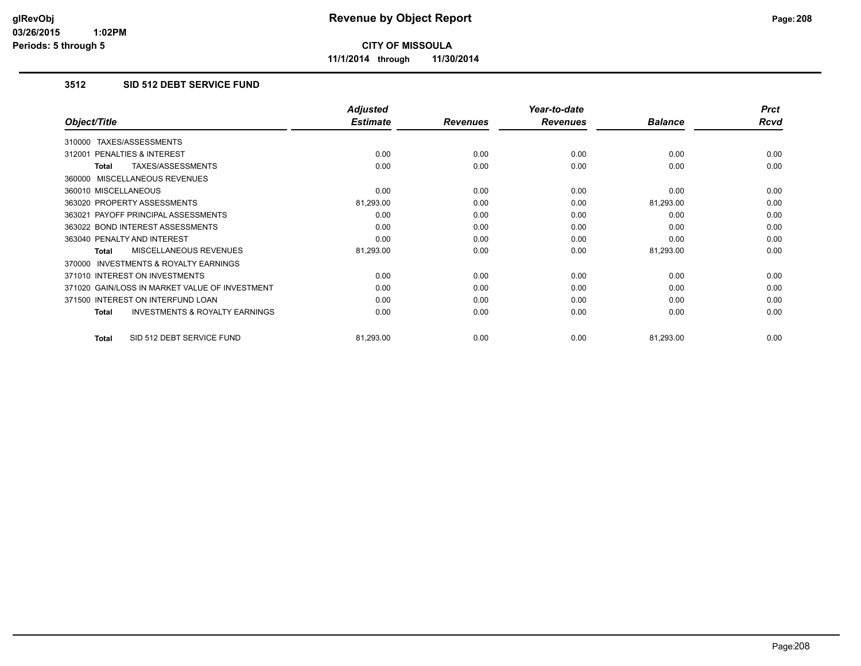**11/1/2014 through 11/30/2014**

# **3512 SID 512 DEBT SERVICE FUND**

|                                                           | <b>Adjusted</b> |                 | Year-to-date    |                | <b>Prct</b> |
|-----------------------------------------------------------|-----------------|-----------------|-----------------|----------------|-------------|
| Object/Title                                              | <b>Estimate</b> | <b>Revenues</b> | <b>Revenues</b> | <b>Balance</b> | <b>Rcvd</b> |
| TAXES/ASSESSMENTS<br>310000                               |                 |                 |                 |                |             |
| 312001 PENALTIES & INTEREST                               | 0.00            | 0.00            | 0.00            | 0.00           | 0.00        |
| TAXES/ASSESSMENTS<br>Total                                | 0.00            | 0.00            | 0.00            | 0.00           | 0.00        |
| 360000 MISCELLANEOUS REVENUES                             |                 |                 |                 |                |             |
| 360010 MISCELLANEOUS                                      | 0.00            | 0.00            | 0.00            | 0.00           | 0.00        |
| 363020 PROPERTY ASSESSMENTS                               | 81,293.00       | 0.00            | 0.00            | 81,293.00      | 0.00        |
| 363021 PAYOFF PRINCIPAL ASSESSMENTS                       | 0.00            | 0.00            | 0.00            | 0.00           | 0.00        |
| 363022 BOND INTEREST ASSESSMENTS                          | 0.00            | 0.00            | 0.00            | 0.00           | 0.00        |
| 363040 PENALTY AND INTEREST                               | 0.00            | 0.00            | 0.00            | 0.00           | 0.00        |
| MISCELLANEOUS REVENUES<br>Total                           | 81,293.00       | 0.00            | 0.00            | 81,293.00      | 0.00        |
| <b>INVESTMENTS &amp; ROYALTY EARNINGS</b><br>370000       |                 |                 |                 |                |             |
| 371010 INTEREST ON INVESTMENTS                            | 0.00            | 0.00            | 0.00            | 0.00           | 0.00        |
| 371020 GAIN/LOSS IN MARKET VALUE OF INVESTMENT            | 0.00            | 0.00            | 0.00            | 0.00           | 0.00        |
| 371500 INTEREST ON INTERFUND LOAN                         | 0.00            | 0.00            | 0.00            | 0.00           | 0.00        |
| <b>INVESTMENTS &amp; ROYALTY EARNINGS</b><br><b>Total</b> | 0.00            | 0.00            | 0.00            | 0.00           | 0.00        |
|                                                           |                 |                 |                 |                |             |
| SID 512 DEBT SERVICE FUND<br><b>Total</b>                 | 81,293.00       | 0.00            | 0.00            | 81,293.00      | 0.00        |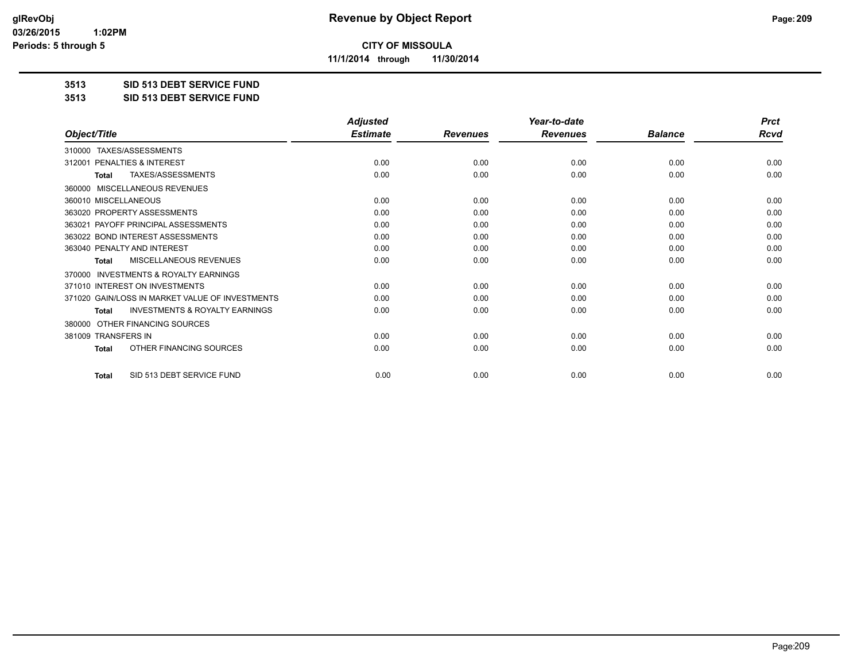**11/1/2014 through 11/30/2014**

#### **3513 SID 513 DEBT SERVICE FUND**

**3513 SID 513 DEBT SERVICE FUND**

|                                                           | <b>Adjusted</b> |                 | Year-to-date    |                | <b>Prct</b> |
|-----------------------------------------------------------|-----------------|-----------------|-----------------|----------------|-------------|
| Object/Title                                              | <b>Estimate</b> | <b>Revenues</b> | <b>Revenues</b> | <b>Balance</b> | <b>Rcvd</b> |
| TAXES/ASSESSMENTS<br>310000                               |                 |                 |                 |                |             |
| 312001 PENALTIES & INTEREST                               | 0.00            | 0.00            | 0.00            | 0.00           | 0.00        |
| TAXES/ASSESSMENTS<br><b>Total</b>                         | 0.00            | 0.00            | 0.00            | 0.00           | 0.00        |
| MISCELLANEOUS REVENUES<br>360000                          |                 |                 |                 |                |             |
| 360010 MISCELLANEOUS                                      | 0.00            | 0.00            | 0.00            | 0.00           | 0.00        |
| 363020 PROPERTY ASSESSMENTS                               | 0.00            | 0.00            | 0.00            | 0.00           | 0.00        |
| 363021 PAYOFF PRINCIPAL ASSESSMENTS                       | 0.00            | 0.00            | 0.00            | 0.00           | 0.00        |
| 363022 BOND INTEREST ASSESSMENTS                          | 0.00            | 0.00            | 0.00            | 0.00           | 0.00        |
| 363040 PENALTY AND INTEREST                               | 0.00            | 0.00            | 0.00            | 0.00           | 0.00        |
| <b>MISCELLANEOUS REVENUES</b><br><b>Total</b>             | 0.00            | 0.00            | 0.00            | 0.00           | 0.00        |
| <b>INVESTMENTS &amp; ROYALTY EARNINGS</b><br>370000       |                 |                 |                 |                |             |
| 371010 INTEREST ON INVESTMENTS                            | 0.00            | 0.00            | 0.00            | 0.00           | 0.00        |
| 371020 GAIN/LOSS IN MARKET VALUE OF INVESTMENTS           | 0.00            | 0.00            | 0.00            | 0.00           | 0.00        |
| <b>INVESTMENTS &amp; ROYALTY EARNINGS</b><br><b>Total</b> | 0.00            | 0.00            | 0.00            | 0.00           | 0.00        |
| OTHER FINANCING SOURCES<br>380000                         |                 |                 |                 |                |             |
| 381009 TRANSFERS IN                                       | 0.00            | 0.00            | 0.00            | 0.00           | 0.00        |
| OTHER FINANCING SOURCES<br>Total                          | 0.00            | 0.00            | 0.00            | 0.00           | 0.00        |
| SID 513 DEBT SERVICE FUND<br><b>Total</b>                 | 0.00            | 0.00            | 0.00            | 0.00           | 0.00        |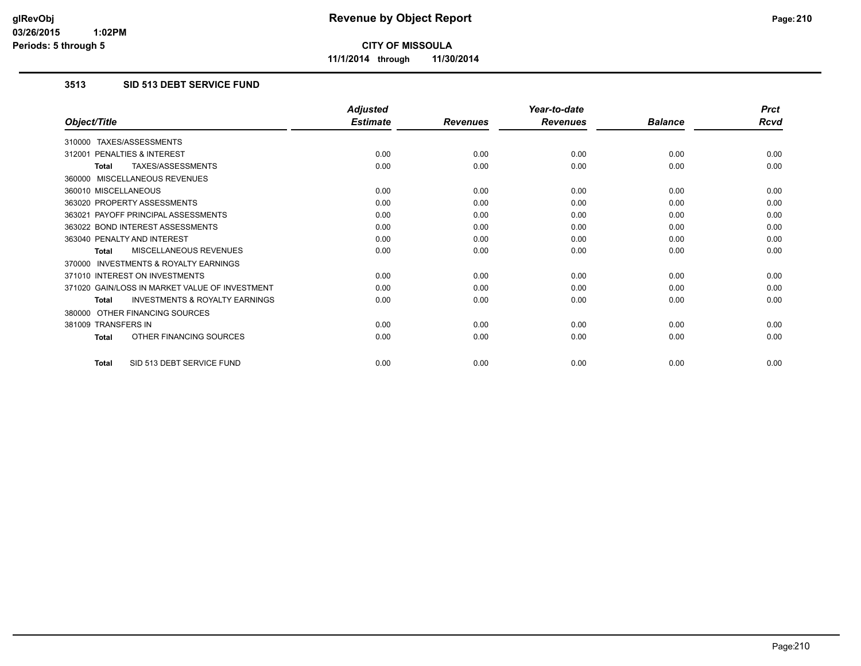**11/1/2014 through 11/30/2014**

# **3513 SID 513 DEBT SERVICE FUND**

|                                                           | <b>Adjusted</b> |                 | Year-to-date    |                | <b>Prct</b> |
|-----------------------------------------------------------|-----------------|-----------------|-----------------|----------------|-------------|
| Object/Title                                              | <b>Estimate</b> | <b>Revenues</b> | <b>Revenues</b> | <b>Balance</b> | <b>Rcvd</b> |
| TAXES/ASSESSMENTS<br>310000                               |                 |                 |                 |                |             |
| PENALTIES & INTEREST<br>312001                            | 0.00            | 0.00            | 0.00            | 0.00           | 0.00        |
| TAXES/ASSESSMENTS<br><b>Total</b>                         | 0.00            | 0.00            | 0.00            | 0.00           | 0.00        |
| MISCELLANEOUS REVENUES<br>360000                          |                 |                 |                 |                |             |
| 360010 MISCELLANEOUS                                      | 0.00            | 0.00            | 0.00            | 0.00           | 0.00        |
| 363020 PROPERTY ASSESSMENTS                               | 0.00            | 0.00            | 0.00            | 0.00           | 0.00        |
| 363021 PAYOFF PRINCIPAL ASSESSMENTS                       | 0.00            | 0.00            | 0.00            | 0.00           | 0.00        |
| 363022 BOND INTEREST ASSESSMENTS                          | 0.00            | 0.00            | 0.00            | 0.00           | 0.00        |
| 363040 PENALTY AND INTEREST                               | 0.00            | 0.00            | 0.00            | 0.00           | 0.00        |
| MISCELLANEOUS REVENUES<br><b>Total</b>                    | 0.00            | 0.00            | 0.00            | 0.00           | 0.00        |
| <b>INVESTMENTS &amp; ROYALTY EARNINGS</b><br>370000       |                 |                 |                 |                |             |
| 371010 INTEREST ON INVESTMENTS                            | 0.00            | 0.00            | 0.00            | 0.00           | 0.00        |
| 371020 GAIN/LOSS IN MARKET VALUE OF INVESTMENT            | 0.00            | 0.00            | 0.00            | 0.00           | 0.00        |
| <b>INVESTMENTS &amp; ROYALTY EARNINGS</b><br><b>Total</b> | 0.00            | 0.00            | 0.00            | 0.00           | 0.00        |
| OTHER FINANCING SOURCES<br>380000                         |                 |                 |                 |                |             |
| 381009 TRANSFERS IN                                       | 0.00            | 0.00            | 0.00            | 0.00           | 0.00        |
| OTHER FINANCING SOURCES<br><b>Total</b>                   | 0.00            | 0.00            | 0.00            | 0.00           | 0.00        |
| SID 513 DEBT SERVICE FUND<br><b>Total</b>                 | 0.00            | 0.00            | 0.00            | 0.00           | 0.00        |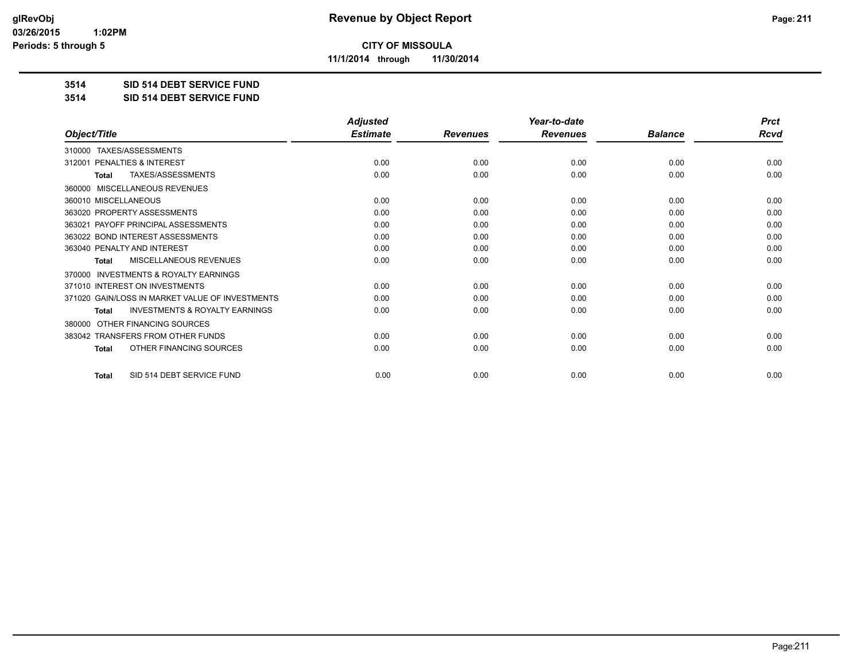**11/1/2014 through 11/30/2014**

**3514 SID 514 DEBT SERVICE FUND**

**3514 SID 514 DEBT SERVICE FUND**

|                                                     | <b>Adjusted</b> |                 | Year-to-date    |                | <b>Prct</b> |
|-----------------------------------------------------|-----------------|-----------------|-----------------|----------------|-------------|
| Object/Title                                        | <b>Estimate</b> | <b>Revenues</b> | <b>Revenues</b> | <b>Balance</b> | <b>Rcvd</b> |
| 310000 TAXES/ASSESSMENTS                            |                 |                 |                 |                |             |
| <b>PENALTIES &amp; INTEREST</b><br>312001           | 0.00            | 0.00            | 0.00            | 0.00           | 0.00        |
| TAXES/ASSESSMENTS<br><b>Total</b>                   | 0.00            | 0.00            | 0.00            | 0.00           | 0.00        |
| MISCELLANEOUS REVENUES<br>360000                    |                 |                 |                 |                |             |
| 360010 MISCELLANEOUS                                | 0.00            | 0.00            | 0.00            | 0.00           | 0.00        |
| 363020 PROPERTY ASSESSMENTS                         | 0.00            | 0.00            | 0.00            | 0.00           | 0.00        |
| 363021 PAYOFF PRINCIPAL ASSESSMENTS                 | 0.00            | 0.00            | 0.00            | 0.00           | 0.00        |
| 363022 BOND INTEREST ASSESSMENTS                    | 0.00            | 0.00            | 0.00            | 0.00           | 0.00        |
| 363040 PENALTY AND INTEREST                         | 0.00            | 0.00            | 0.00            | 0.00           | 0.00        |
| MISCELLANEOUS REVENUES<br><b>Total</b>              | 0.00            | 0.00            | 0.00            | 0.00           | 0.00        |
| <b>INVESTMENTS &amp; ROYALTY EARNINGS</b><br>370000 |                 |                 |                 |                |             |
| 371010 INTEREST ON INVESTMENTS                      | 0.00            | 0.00            | 0.00            | 0.00           | 0.00        |
| 371020 GAIN/LOSS IN MARKET VALUE OF INVESTMENTS     | 0.00            | 0.00            | 0.00            | 0.00           | 0.00        |
| <b>INVESTMENTS &amp; ROYALTY EARNINGS</b><br>Total  | 0.00            | 0.00            | 0.00            | 0.00           | 0.00        |
| OTHER FINANCING SOURCES<br>380000                   |                 |                 |                 |                |             |
| 383042 TRANSFERS FROM OTHER FUNDS                   | 0.00            | 0.00            | 0.00            | 0.00           | 0.00        |
| OTHER FINANCING SOURCES<br>Total                    | 0.00            | 0.00            | 0.00            | 0.00           | 0.00        |
| SID 514 DEBT SERVICE FUND<br><b>Total</b>           | 0.00            | 0.00            | 0.00            | 0.00           | 0.00        |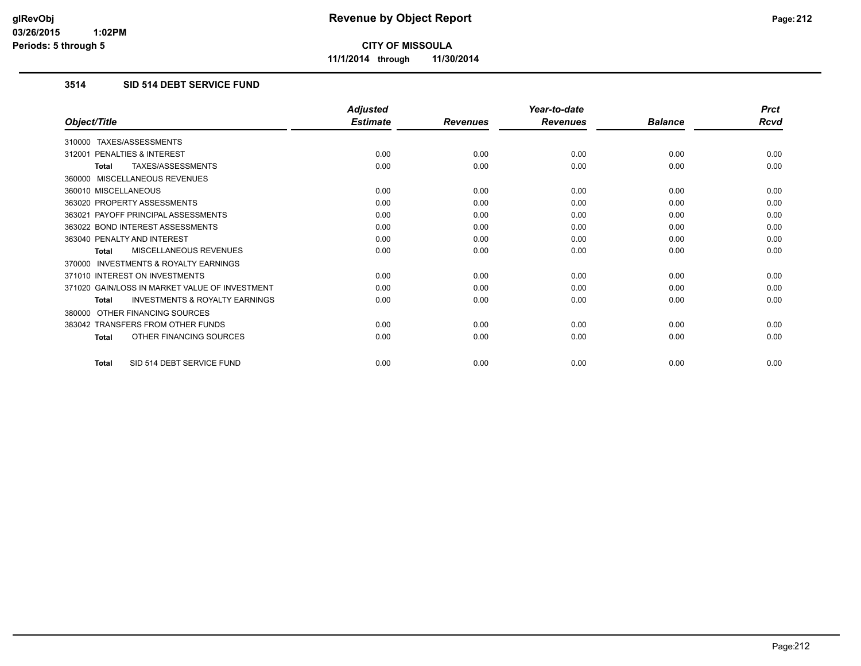**11/1/2014 through 11/30/2014**

# **3514 SID 514 DEBT SERVICE FUND**

| <b>Adjusted</b> |                 | Year-to-date    |                | <b>Prct</b> |
|-----------------|-----------------|-----------------|----------------|-------------|
| <b>Estimate</b> | <b>Revenues</b> | <b>Revenues</b> | <b>Balance</b> | <b>Rcvd</b> |
|                 |                 |                 |                |             |
| 0.00            | 0.00            | 0.00            | 0.00           | 0.00        |
| 0.00            | 0.00            | 0.00            | 0.00           | 0.00        |
|                 |                 |                 |                |             |
| 0.00            | 0.00            | 0.00            | 0.00           | 0.00        |
| 0.00            | 0.00            | 0.00            | 0.00           | 0.00        |
| 0.00            | 0.00            | 0.00            | 0.00           | 0.00        |
| 0.00            | 0.00            | 0.00            | 0.00           | 0.00        |
| 0.00            | 0.00            | 0.00            | 0.00           | 0.00        |
| 0.00            | 0.00            | 0.00            | 0.00           | 0.00        |
|                 |                 |                 |                |             |
| 0.00            | 0.00            | 0.00            | 0.00           | 0.00        |
| 0.00            | 0.00            | 0.00            | 0.00           | 0.00        |
| 0.00            | 0.00            | 0.00            | 0.00           | 0.00        |
|                 |                 |                 |                |             |
| 0.00            | 0.00            | 0.00            | 0.00           | 0.00        |
| 0.00            | 0.00            | 0.00            | 0.00           | 0.00        |
|                 |                 |                 |                | 0.00        |
|                 | 0.00            | 0.00            | 0.00           | 0.00        |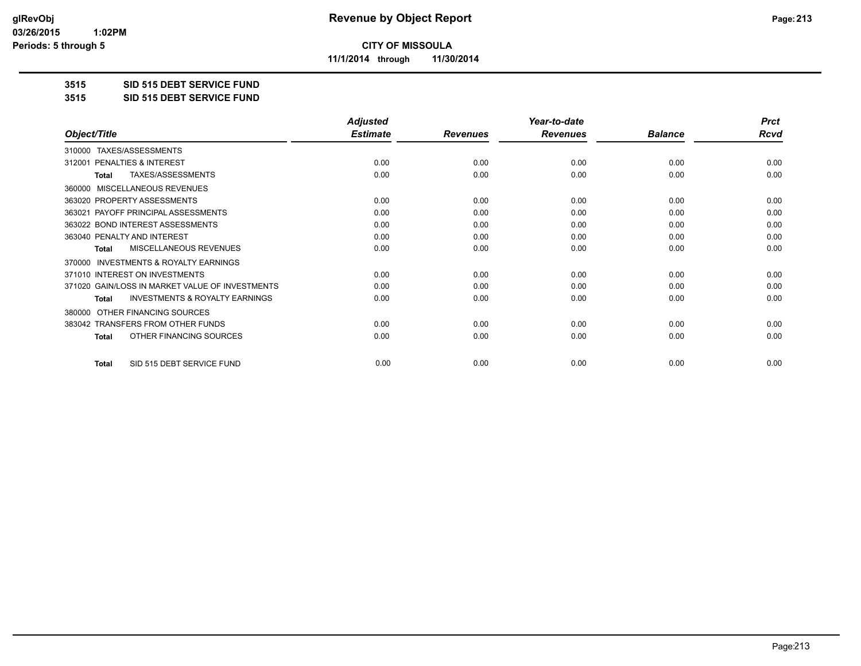**11/1/2014 through 11/30/2014**

**3515 SID 515 DEBT SERVICE FUND**

**3515 SID 515 DEBT SERVICE FUND**

|                                                     | <b>Adjusted</b> |                 | Year-to-date    |                |             |  |
|-----------------------------------------------------|-----------------|-----------------|-----------------|----------------|-------------|--|
| Object/Title                                        | <b>Estimate</b> | <b>Revenues</b> | <b>Revenues</b> | <b>Balance</b> | <b>Rcvd</b> |  |
| TAXES/ASSESSMENTS<br>310000                         |                 |                 |                 |                |             |  |
| PENALTIES & INTEREST<br>312001                      | 0.00            | 0.00            | 0.00            | 0.00           | 0.00        |  |
| TAXES/ASSESSMENTS<br>Total                          | 0.00            | 0.00            | 0.00            | 0.00           | 0.00        |  |
| MISCELLANEOUS REVENUES<br>360000                    |                 |                 |                 |                |             |  |
| 363020 PROPERTY ASSESSMENTS                         | 0.00            | 0.00            | 0.00            | 0.00           | 0.00        |  |
| PAYOFF PRINCIPAL ASSESSMENTS<br>363021              | 0.00            | 0.00            | 0.00            | 0.00           | 0.00        |  |
| 363022 BOND INTEREST ASSESSMENTS                    | 0.00            | 0.00            | 0.00            | 0.00           | 0.00        |  |
| 363040 PENALTY AND INTEREST                         | 0.00            | 0.00            | 0.00            | 0.00           | 0.00        |  |
| MISCELLANEOUS REVENUES<br>Total                     | 0.00            | 0.00            | 0.00            | 0.00           | 0.00        |  |
| <b>INVESTMENTS &amp; ROYALTY EARNINGS</b><br>370000 |                 |                 |                 |                |             |  |
| 371010 INTEREST ON INVESTMENTS                      | 0.00            | 0.00            | 0.00            | 0.00           | 0.00        |  |
| 371020 GAIN/LOSS IN MARKET VALUE OF INVESTMENTS     | 0.00            | 0.00            | 0.00            | 0.00           | 0.00        |  |
| <b>INVESTMENTS &amp; ROYALTY EARNINGS</b><br>Total  | 0.00            | 0.00            | 0.00            | 0.00           | 0.00        |  |
| OTHER FINANCING SOURCES<br>380000                   |                 |                 |                 |                |             |  |
| 383042 TRANSFERS FROM OTHER FUNDS                   | 0.00            | 0.00            | 0.00            | 0.00           | 0.00        |  |
| OTHER FINANCING SOURCES<br><b>Total</b>             | 0.00            | 0.00            | 0.00            | 0.00           | 0.00        |  |
| SID 515 DEBT SERVICE FUND<br><b>Total</b>           | 0.00            | 0.00            | 0.00            | 0.00           | 0.00        |  |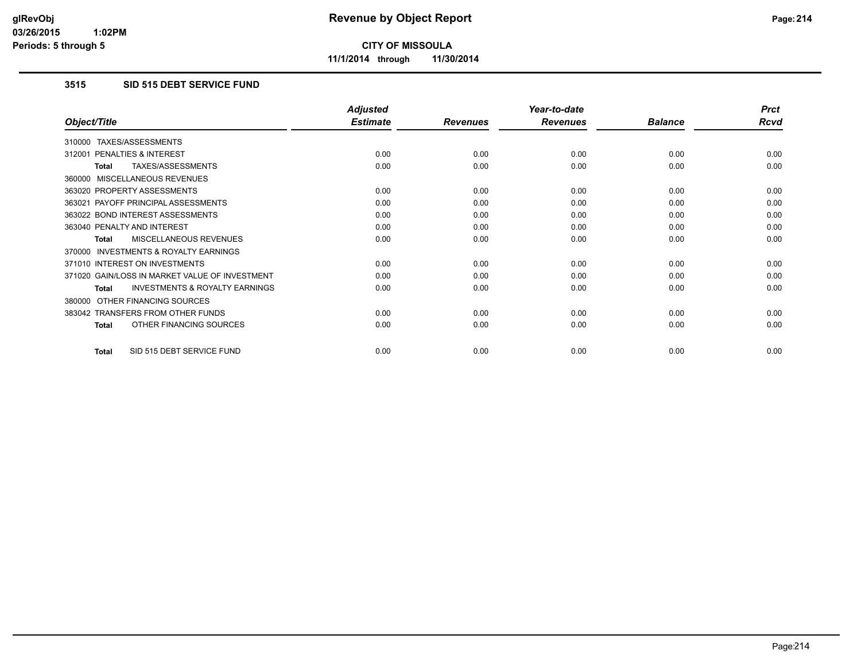**11/1/2014 through 11/30/2014**

# **3515 SID 515 DEBT SERVICE FUND**

|                                                           | <b>Adjusted</b> |                 | Year-to-date    |                | <b>Prct</b> |
|-----------------------------------------------------------|-----------------|-----------------|-----------------|----------------|-------------|
| Object/Title                                              | <b>Estimate</b> | <b>Revenues</b> | <b>Revenues</b> | <b>Balance</b> | <b>Rcvd</b> |
| TAXES/ASSESSMENTS<br>310000                               |                 |                 |                 |                |             |
| <b>PENALTIES &amp; INTEREST</b><br>312001                 | 0.00            | 0.00            | 0.00            | 0.00           | 0.00        |
| TAXES/ASSESSMENTS<br><b>Total</b>                         | 0.00            | 0.00            | 0.00            | 0.00           | 0.00        |
| MISCELLANEOUS REVENUES<br>360000                          |                 |                 |                 |                |             |
| 363020 PROPERTY ASSESSMENTS                               | 0.00            | 0.00            | 0.00            | 0.00           | 0.00        |
| 363021 PAYOFF PRINCIPAL ASSESSMENTS                       | 0.00            | 0.00            | 0.00            | 0.00           | 0.00        |
| 363022 BOND INTEREST ASSESSMENTS                          | 0.00            | 0.00            | 0.00            | 0.00           | 0.00        |
| 363040 PENALTY AND INTEREST                               | 0.00            | 0.00            | 0.00            | 0.00           | 0.00        |
| <b>MISCELLANEOUS REVENUES</b><br><b>Total</b>             | 0.00            | 0.00            | 0.00            | 0.00           | 0.00        |
| <b>INVESTMENTS &amp; ROYALTY EARNINGS</b><br>370000       |                 |                 |                 |                |             |
| 371010 INTEREST ON INVESTMENTS                            | 0.00            | 0.00            | 0.00            | 0.00           | 0.00        |
| 371020 GAIN/LOSS IN MARKET VALUE OF INVESTMENT            | 0.00            | 0.00            | 0.00            | 0.00           | 0.00        |
| <b>INVESTMENTS &amp; ROYALTY EARNINGS</b><br><b>Total</b> | 0.00            | 0.00            | 0.00            | 0.00           | 0.00        |
| OTHER FINANCING SOURCES<br>380000                         |                 |                 |                 |                |             |
| 383042 TRANSFERS FROM OTHER FUNDS                         | 0.00            | 0.00            | 0.00            | 0.00           | 0.00        |
| OTHER FINANCING SOURCES<br><b>Total</b>                   | 0.00            | 0.00            | 0.00            | 0.00           | 0.00        |
| SID 515 DEBT SERVICE FUND<br>Total                        | 0.00            | 0.00            | 0.00            | 0.00           | 0.00        |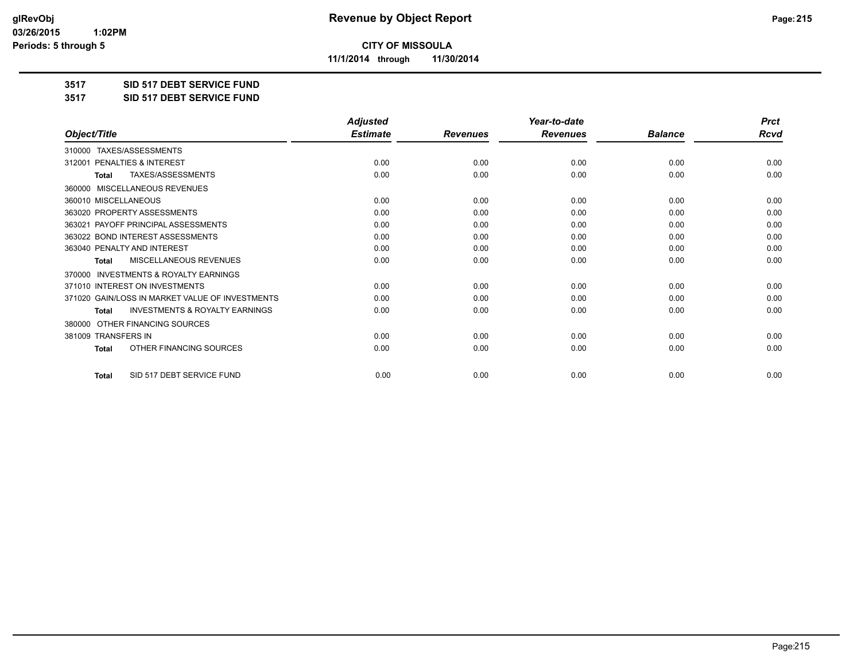**11/1/2014 through 11/30/2014**

**3517 SID 517 DEBT SERVICE FUND**

**3517 SID 517 DEBT SERVICE FUND**

|                                                           | <b>Adjusted</b> |                 | Year-to-date    |                | <b>Prct</b> |
|-----------------------------------------------------------|-----------------|-----------------|-----------------|----------------|-------------|
| Object/Title                                              | <b>Estimate</b> | <b>Revenues</b> | <b>Revenues</b> | <b>Balance</b> | <b>Rcvd</b> |
| TAXES/ASSESSMENTS<br>310000                               |                 |                 |                 |                |             |
| 312001 PENALTIES & INTEREST                               | 0.00            | 0.00            | 0.00            | 0.00           | 0.00        |
| TAXES/ASSESSMENTS<br><b>Total</b>                         | 0.00            | 0.00            | 0.00            | 0.00           | 0.00        |
| MISCELLANEOUS REVENUES<br>360000                          |                 |                 |                 |                |             |
| 360010 MISCELLANEOUS                                      | 0.00            | 0.00            | 0.00            | 0.00           | 0.00        |
| 363020 PROPERTY ASSESSMENTS                               | 0.00            | 0.00            | 0.00            | 0.00           | 0.00        |
| 363021 PAYOFF PRINCIPAL ASSESSMENTS                       | 0.00            | 0.00            | 0.00            | 0.00           | 0.00        |
| 363022 BOND INTEREST ASSESSMENTS                          | 0.00            | 0.00            | 0.00            | 0.00           | 0.00        |
| 363040 PENALTY AND INTEREST                               | 0.00            | 0.00            | 0.00            | 0.00           | 0.00        |
| <b>MISCELLANEOUS REVENUES</b><br><b>Total</b>             | 0.00            | 0.00            | 0.00            | 0.00           | 0.00        |
| <b>INVESTMENTS &amp; ROYALTY EARNINGS</b><br>370000       |                 |                 |                 |                |             |
| 371010 INTEREST ON INVESTMENTS                            | 0.00            | 0.00            | 0.00            | 0.00           | 0.00        |
| 371020 GAIN/LOSS IN MARKET VALUE OF INVESTMENTS           | 0.00            | 0.00            | 0.00            | 0.00           | 0.00        |
| <b>INVESTMENTS &amp; ROYALTY EARNINGS</b><br><b>Total</b> | 0.00            | 0.00            | 0.00            | 0.00           | 0.00        |
| OTHER FINANCING SOURCES<br>380000                         |                 |                 |                 |                |             |
| 381009 TRANSFERS IN                                       | 0.00            | 0.00            | 0.00            | 0.00           | 0.00        |
| OTHER FINANCING SOURCES<br>Total                          | 0.00            | 0.00            | 0.00            | 0.00           | 0.00        |
| SID 517 DEBT SERVICE FUND<br><b>Total</b>                 | 0.00            | 0.00            | 0.00            | 0.00           | 0.00        |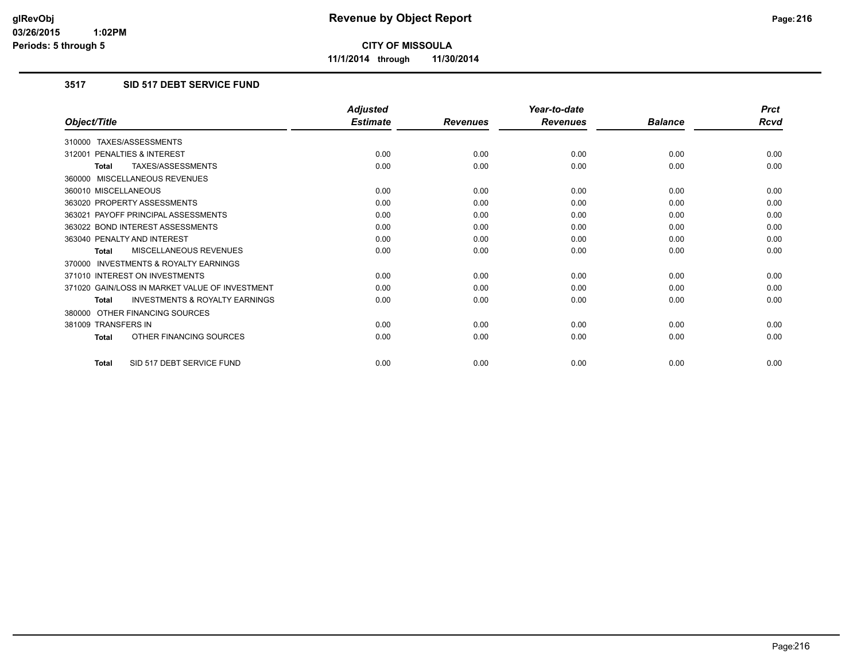**11/1/2014 through 11/30/2014**

# **3517 SID 517 DEBT SERVICE FUND**

|                                                           | <b>Adjusted</b> |                 | Year-to-date    |                | <b>Prct</b> |
|-----------------------------------------------------------|-----------------|-----------------|-----------------|----------------|-------------|
| Object/Title                                              | <b>Estimate</b> | <b>Revenues</b> | <b>Revenues</b> | <b>Balance</b> | <b>Rcvd</b> |
| 310000 TAXES/ASSESSMENTS                                  |                 |                 |                 |                |             |
| PENALTIES & INTEREST<br>312001                            | 0.00            | 0.00            | 0.00            | 0.00           | 0.00        |
| TAXES/ASSESSMENTS<br><b>Total</b>                         | 0.00            | 0.00            | 0.00            | 0.00           | 0.00        |
| 360000 MISCELLANEOUS REVENUES                             |                 |                 |                 |                |             |
| 360010 MISCELLANEOUS                                      | 0.00            | 0.00            | 0.00            | 0.00           | 0.00        |
| 363020 PROPERTY ASSESSMENTS                               | 0.00            | 0.00            | 0.00            | 0.00           | 0.00        |
| 363021 PAYOFF PRINCIPAL ASSESSMENTS                       | 0.00            | 0.00            | 0.00            | 0.00           | 0.00        |
| 363022 BOND INTEREST ASSESSMENTS                          | 0.00            | 0.00            | 0.00            | 0.00           | 0.00        |
| 363040 PENALTY AND INTEREST                               | 0.00            | 0.00            | 0.00            | 0.00           | 0.00        |
| MISCELLANEOUS REVENUES<br><b>Total</b>                    | 0.00            | 0.00            | 0.00            | 0.00           | 0.00        |
| <b>INVESTMENTS &amp; ROYALTY EARNINGS</b><br>370000       |                 |                 |                 |                |             |
| 371010 INTEREST ON INVESTMENTS                            | 0.00            | 0.00            | 0.00            | 0.00           | 0.00        |
| 371020 GAIN/LOSS IN MARKET VALUE OF INVESTMENT            | 0.00            | 0.00            | 0.00            | 0.00           | 0.00        |
| <b>INVESTMENTS &amp; ROYALTY EARNINGS</b><br><b>Total</b> | 0.00            | 0.00            | 0.00            | 0.00           | 0.00        |
| 380000 OTHER FINANCING SOURCES                            |                 |                 |                 |                |             |
| 381009 TRANSFERS IN                                       | 0.00            | 0.00            | 0.00            | 0.00           | 0.00        |
| OTHER FINANCING SOURCES<br><b>Total</b>                   | 0.00            | 0.00            | 0.00            | 0.00           | 0.00        |
| SID 517 DEBT SERVICE FUND<br><b>Total</b>                 | 0.00            | 0.00            | 0.00            | 0.00           | 0.00        |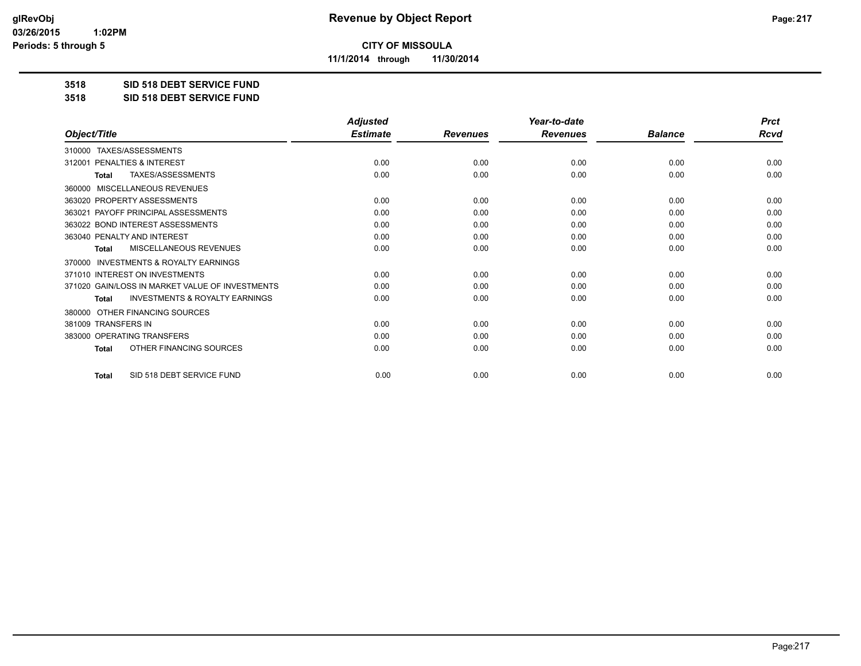**11/1/2014 through 11/30/2014**

**3518 SID 518 DEBT SERVICE FUND**

**3518 SID 518 DEBT SERVICE FUND**

|                                                     | <b>Adjusted</b> |                 | Year-to-date    |                | <b>Prct</b> |
|-----------------------------------------------------|-----------------|-----------------|-----------------|----------------|-------------|
| Object/Title                                        | <b>Estimate</b> | <b>Revenues</b> | <b>Revenues</b> | <b>Balance</b> | <b>Rcvd</b> |
| TAXES/ASSESSMENTS<br>310000                         |                 |                 |                 |                |             |
| PENALTIES & INTEREST<br>312001                      | 0.00            | 0.00            | 0.00            | 0.00           | 0.00        |
| TAXES/ASSESSMENTS<br><b>Total</b>                   | 0.00            | 0.00            | 0.00            | 0.00           | 0.00        |
| <b>MISCELLANEOUS REVENUES</b><br>360000             |                 |                 |                 |                |             |
| 363020 PROPERTY ASSESSMENTS                         | 0.00            | 0.00            | 0.00            | 0.00           | 0.00        |
| 363021 PAYOFF PRINCIPAL ASSESSMENTS                 | 0.00            | 0.00            | 0.00            | 0.00           | 0.00        |
| 363022 BOND INTEREST ASSESSMENTS                    | 0.00            | 0.00            | 0.00            | 0.00           | 0.00        |
| 363040 PENALTY AND INTEREST                         | 0.00            | 0.00            | 0.00            | 0.00           | 0.00        |
| <b>MISCELLANEOUS REVENUES</b><br><b>Total</b>       | 0.00            | 0.00            | 0.00            | 0.00           | 0.00        |
| <b>INVESTMENTS &amp; ROYALTY EARNINGS</b><br>370000 |                 |                 |                 |                |             |
| 371010 INTEREST ON INVESTMENTS                      | 0.00            | 0.00            | 0.00            | 0.00           | 0.00        |
| 371020 GAIN/LOSS IN MARKET VALUE OF INVESTMENTS     | 0.00            | 0.00            | 0.00            | 0.00           | 0.00        |
| <b>INVESTMENTS &amp; ROYALTY EARNINGS</b><br>Total  | 0.00            | 0.00            | 0.00            | 0.00           | 0.00        |
| OTHER FINANCING SOURCES<br>380000                   |                 |                 |                 |                |             |
| 381009 TRANSFERS IN                                 | 0.00            | 0.00            | 0.00            | 0.00           | 0.00        |
| 383000 OPERATING TRANSFERS                          | 0.00            | 0.00            | 0.00            | 0.00           | 0.00        |
| OTHER FINANCING SOURCES<br><b>Total</b>             | 0.00            | 0.00            | 0.00            | 0.00           | 0.00        |
| SID 518 DEBT SERVICE FUND<br><b>Total</b>           | 0.00            | 0.00            | 0.00            | 0.00           | 0.00        |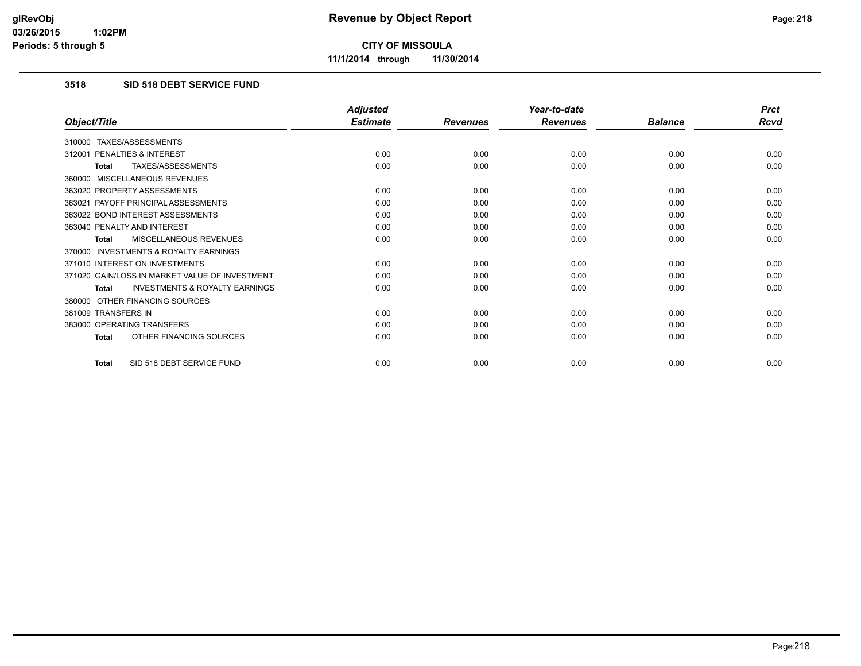**11/1/2014 through 11/30/2014**

### **3518 SID 518 DEBT SERVICE FUND**

|                                                           | <b>Adjusted</b> |                 | Year-to-date    |                | <b>Prct</b> |
|-----------------------------------------------------------|-----------------|-----------------|-----------------|----------------|-------------|
| Object/Title                                              | <b>Estimate</b> | <b>Revenues</b> | <b>Revenues</b> | <b>Balance</b> | <b>Rcvd</b> |
| 310000 TAXES/ASSESSMENTS                                  |                 |                 |                 |                |             |
| PENALTIES & INTEREST<br>312001                            | 0.00            | 0.00            | 0.00            | 0.00           | 0.00        |
| TAXES/ASSESSMENTS<br><b>Total</b>                         | 0.00            | 0.00            | 0.00            | 0.00           | 0.00        |
| 360000 MISCELLANEOUS REVENUES                             |                 |                 |                 |                |             |
| 363020 PROPERTY ASSESSMENTS                               | 0.00            | 0.00            | 0.00            | 0.00           | 0.00        |
| 363021 PAYOFF PRINCIPAL ASSESSMENTS                       | 0.00            | 0.00            | 0.00            | 0.00           | 0.00        |
| 363022 BOND INTEREST ASSESSMENTS                          | 0.00            | 0.00            | 0.00            | 0.00           | 0.00        |
| 363040 PENALTY AND INTEREST                               | 0.00            | 0.00            | 0.00            | 0.00           | 0.00        |
| MISCELLANEOUS REVENUES<br><b>Total</b>                    | 0.00            | 0.00            | 0.00            | 0.00           | 0.00        |
| <b>INVESTMENTS &amp; ROYALTY EARNINGS</b><br>370000       |                 |                 |                 |                |             |
| 371010 INTEREST ON INVESTMENTS                            | 0.00            | 0.00            | 0.00            | 0.00           | 0.00        |
| 371020 GAIN/LOSS IN MARKET VALUE OF INVESTMENT            | 0.00            | 0.00            | 0.00            | 0.00           | 0.00        |
| <b>INVESTMENTS &amp; ROYALTY EARNINGS</b><br><b>Total</b> | 0.00            | 0.00            | 0.00            | 0.00           | 0.00        |
| 380000 OTHER FINANCING SOURCES                            |                 |                 |                 |                |             |
| 381009 TRANSFERS IN                                       | 0.00            | 0.00            | 0.00            | 0.00           | 0.00        |
| 383000 OPERATING TRANSFERS                                | 0.00            | 0.00            | 0.00            | 0.00           | 0.00        |
| OTHER FINANCING SOURCES<br><b>Total</b>                   | 0.00            | 0.00            | 0.00            | 0.00           | 0.00        |
| SID 518 DEBT SERVICE FUND<br><b>Total</b>                 | 0.00            | 0.00            | 0.00            | 0.00           | 0.00        |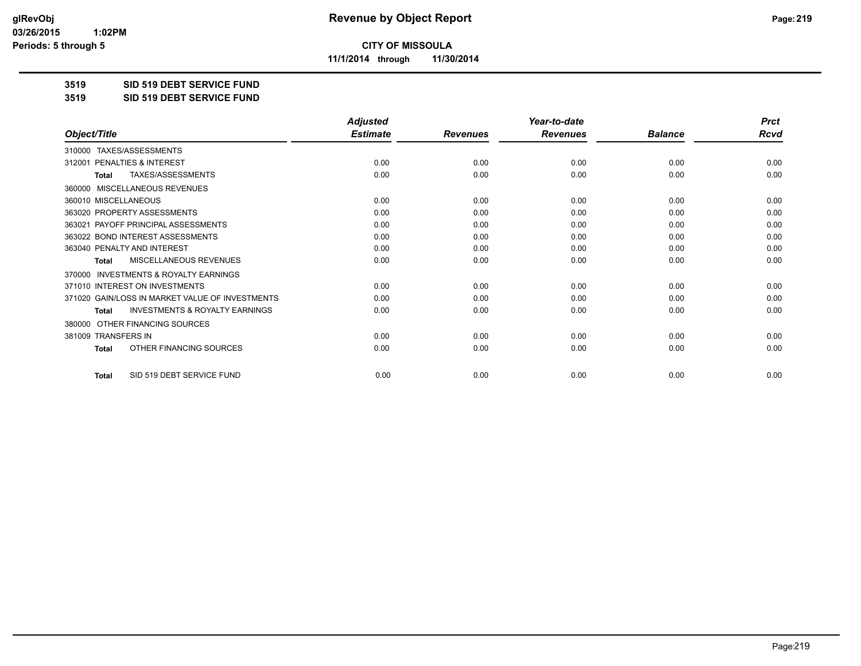**11/1/2014 through 11/30/2014**

**3519 SID 519 DEBT SERVICE FUND**

**3519 SID 519 DEBT SERVICE FUND**

|                                                     | <b>Adjusted</b> |                 | Year-to-date    |                | <b>Prct</b> |
|-----------------------------------------------------|-----------------|-----------------|-----------------|----------------|-------------|
| Object/Title                                        | <b>Estimate</b> | <b>Revenues</b> | <b>Revenues</b> | <b>Balance</b> | <b>Rcvd</b> |
| 310000 TAXES/ASSESSMENTS                            |                 |                 |                 |                |             |
| <b>PENALTIES &amp; INTEREST</b><br>312001           | 0.00            | 0.00            | 0.00            | 0.00           | 0.00        |
| TAXES/ASSESSMENTS<br><b>Total</b>                   | 0.00            | 0.00            | 0.00            | 0.00           | 0.00        |
| MISCELLANEOUS REVENUES<br>360000                    |                 |                 |                 |                |             |
| 360010 MISCELLANEOUS                                | 0.00            | 0.00            | 0.00            | 0.00           | 0.00        |
| 363020 PROPERTY ASSESSMENTS                         | 0.00            | 0.00            | 0.00            | 0.00           | 0.00        |
| 363021 PAYOFF PRINCIPAL ASSESSMENTS                 | 0.00            | 0.00            | 0.00            | 0.00           | 0.00        |
| 363022 BOND INTEREST ASSESSMENTS                    | 0.00            | 0.00            | 0.00            | 0.00           | 0.00        |
| 363040 PENALTY AND INTEREST                         | 0.00            | 0.00            | 0.00            | 0.00           | 0.00        |
| MISCELLANEOUS REVENUES<br><b>Total</b>              | 0.00            | 0.00            | 0.00            | 0.00           | 0.00        |
| <b>INVESTMENTS &amp; ROYALTY EARNINGS</b><br>370000 |                 |                 |                 |                |             |
| 371010 INTEREST ON INVESTMENTS                      | 0.00            | 0.00            | 0.00            | 0.00           | 0.00        |
| 371020 GAIN/LOSS IN MARKET VALUE OF INVESTMENTS     | 0.00            | 0.00            | 0.00            | 0.00           | 0.00        |
| <b>INVESTMENTS &amp; ROYALTY EARNINGS</b><br>Total  | 0.00            | 0.00            | 0.00            | 0.00           | 0.00        |
| OTHER FINANCING SOURCES<br>380000                   |                 |                 |                 |                |             |
| 381009 TRANSFERS IN                                 | 0.00            | 0.00            | 0.00            | 0.00           | 0.00        |
| OTHER FINANCING SOURCES<br>Total                    | 0.00            | 0.00            | 0.00            | 0.00           | 0.00        |
| SID 519 DEBT SERVICE FUND<br><b>Total</b>           | 0.00            | 0.00            | 0.00            | 0.00           | 0.00        |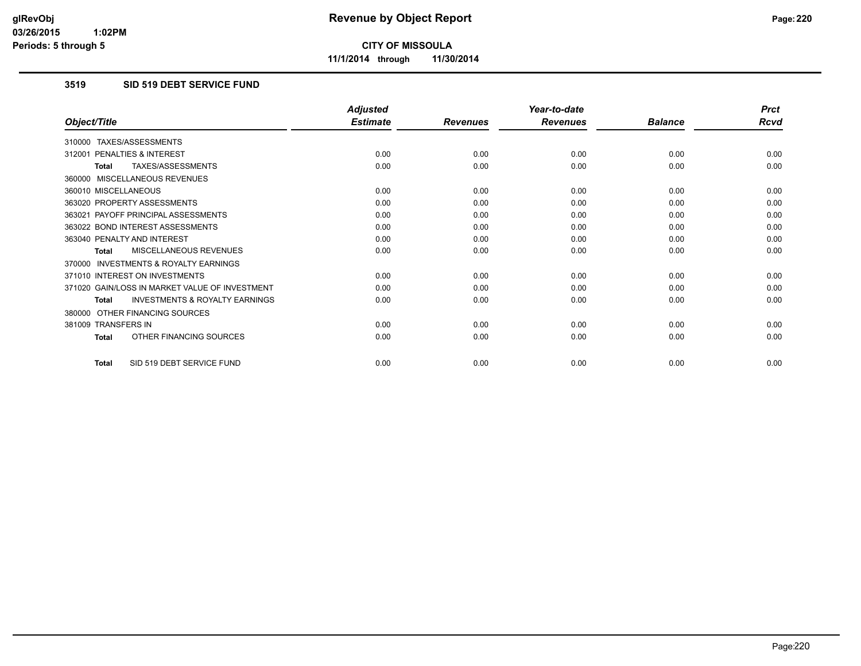**11/1/2014 through 11/30/2014**

### **3519 SID 519 DEBT SERVICE FUND**

|                                                           | <b>Adjusted</b> |                 | Year-to-date    |                | <b>Prct</b> |
|-----------------------------------------------------------|-----------------|-----------------|-----------------|----------------|-------------|
| Object/Title                                              | <b>Estimate</b> | <b>Revenues</b> | <b>Revenues</b> | <b>Balance</b> | <b>Rcvd</b> |
| 310000 TAXES/ASSESSMENTS                                  |                 |                 |                 |                |             |
| PENALTIES & INTEREST<br>312001                            | 0.00            | 0.00            | 0.00            | 0.00           | 0.00        |
| TAXES/ASSESSMENTS<br><b>Total</b>                         | 0.00            | 0.00            | 0.00            | 0.00           | 0.00        |
| 360000 MISCELLANEOUS REVENUES                             |                 |                 |                 |                |             |
| 360010 MISCELLANEOUS                                      | 0.00            | 0.00            | 0.00            | 0.00           | 0.00        |
| 363020 PROPERTY ASSESSMENTS                               | 0.00            | 0.00            | 0.00            | 0.00           | 0.00        |
| 363021 PAYOFF PRINCIPAL ASSESSMENTS                       | 0.00            | 0.00            | 0.00            | 0.00           | 0.00        |
| 363022 BOND INTEREST ASSESSMENTS                          | 0.00            | 0.00            | 0.00            | 0.00           | 0.00        |
| 363040 PENALTY AND INTEREST                               | 0.00            | 0.00            | 0.00            | 0.00           | 0.00        |
| MISCELLANEOUS REVENUES<br><b>Total</b>                    | 0.00            | 0.00            | 0.00            | 0.00           | 0.00        |
| <b>INVESTMENTS &amp; ROYALTY EARNINGS</b><br>370000       |                 |                 |                 |                |             |
| 371010 INTEREST ON INVESTMENTS                            | 0.00            | 0.00            | 0.00            | 0.00           | 0.00        |
| 371020 GAIN/LOSS IN MARKET VALUE OF INVESTMENT            | 0.00            | 0.00            | 0.00            | 0.00           | 0.00        |
| <b>INVESTMENTS &amp; ROYALTY EARNINGS</b><br><b>Total</b> | 0.00            | 0.00            | 0.00            | 0.00           | 0.00        |
| OTHER FINANCING SOURCES<br>380000                         |                 |                 |                 |                |             |
| 381009 TRANSFERS IN                                       | 0.00            | 0.00            | 0.00            | 0.00           | 0.00        |
| OTHER FINANCING SOURCES<br><b>Total</b>                   | 0.00            | 0.00            | 0.00            | 0.00           | 0.00        |
| SID 519 DEBT SERVICE FUND<br><b>Total</b>                 | 0.00            | 0.00            | 0.00            | 0.00           | 0.00        |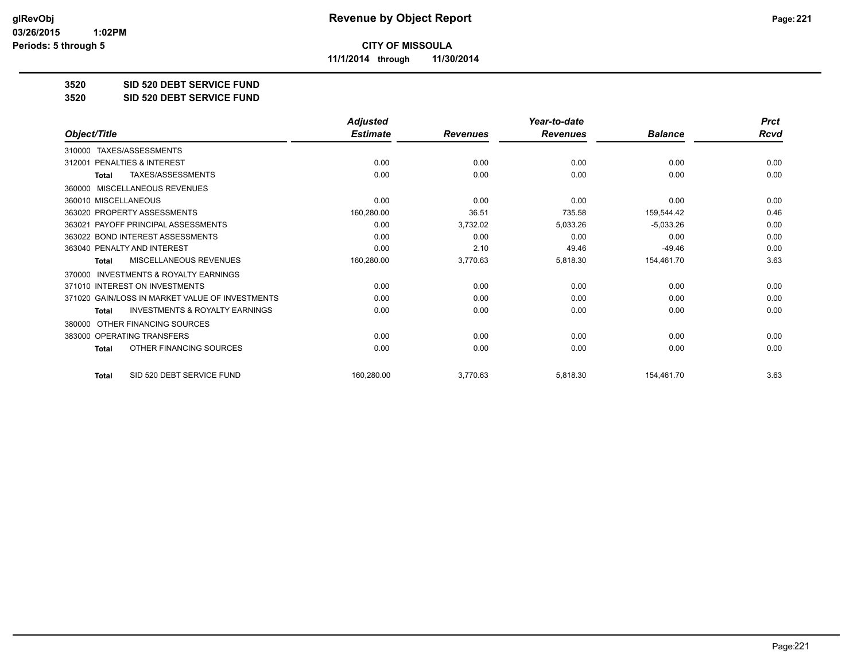**11/1/2014 through 11/30/2014**

**3520 SID 520 DEBT SERVICE FUND**

**3520 SID 520 DEBT SERVICE FUND**

|                                                           | <b>Adjusted</b> |                 | Year-to-date    |                | <b>Prct</b> |
|-----------------------------------------------------------|-----------------|-----------------|-----------------|----------------|-------------|
| Object/Title                                              | <b>Estimate</b> | <b>Revenues</b> | <b>Revenues</b> | <b>Balance</b> | <b>Rcvd</b> |
| TAXES/ASSESSMENTS<br>310000                               |                 |                 |                 |                |             |
| 312001 PENALTIES & INTEREST                               | 0.00            | 0.00            | 0.00            | 0.00           | 0.00        |
| <b>TAXES/ASSESSMENTS</b><br><b>Total</b>                  | 0.00            | 0.00            | 0.00            | 0.00           | 0.00        |
| MISCELLANEOUS REVENUES<br>360000                          |                 |                 |                 |                |             |
| 360010 MISCELLANEOUS                                      | 0.00            | 0.00            | 0.00            | 0.00           | 0.00        |
| 363020 PROPERTY ASSESSMENTS                               | 160,280.00      | 36.51           | 735.58          | 159,544.42     | 0.46        |
| 363021 PAYOFF PRINCIPAL ASSESSMENTS                       | 0.00            | 3,732.02        | 5,033.26        | $-5,033.26$    | 0.00        |
| 363022 BOND INTEREST ASSESSMENTS                          | 0.00            | 0.00            | 0.00            | 0.00           | 0.00        |
| 363040 PENALTY AND INTEREST                               | 0.00            | 2.10            | 49.46           | $-49.46$       | 0.00        |
| MISCELLANEOUS REVENUES<br><b>Total</b>                    | 160,280.00      | 3,770.63        | 5,818.30        | 154,461.70     | 3.63        |
| <b>INVESTMENTS &amp; ROYALTY EARNINGS</b><br>370000       |                 |                 |                 |                |             |
| 371010 INTEREST ON INVESTMENTS                            | 0.00            | 0.00            | 0.00            | 0.00           | 0.00        |
| 371020 GAIN/LOSS IN MARKET VALUE OF INVESTMENTS           | 0.00            | 0.00            | 0.00            | 0.00           | 0.00        |
| <b>INVESTMENTS &amp; ROYALTY EARNINGS</b><br><b>Total</b> | 0.00            | 0.00            | 0.00            | 0.00           | 0.00        |
| OTHER FINANCING SOURCES<br>380000                         |                 |                 |                 |                |             |
| 383000 OPERATING TRANSFERS                                | 0.00            | 0.00            | 0.00            | 0.00           | 0.00        |
| OTHER FINANCING SOURCES<br><b>Total</b>                   | 0.00            | 0.00            | 0.00            | 0.00           | 0.00        |
| SID 520 DEBT SERVICE FUND<br><b>Total</b>                 | 160,280.00      | 3,770.63        | 5,818.30        | 154,461.70     | 3.63        |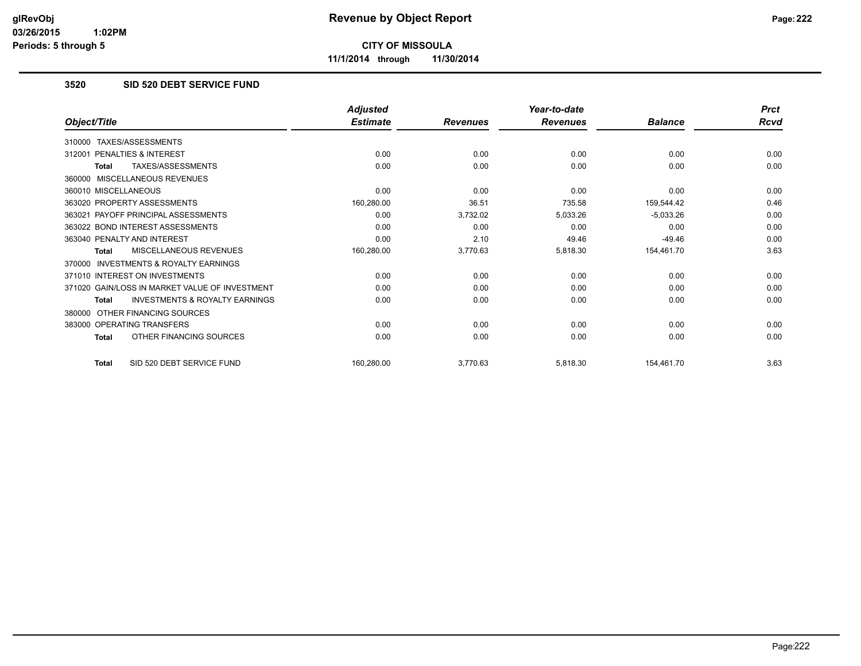**11/1/2014 through 11/30/2014**

### **3520 SID 520 DEBT SERVICE FUND**

|                                                           | <b>Adjusted</b> |                 | Year-to-date    |                | <b>Prct</b> |
|-----------------------------------------------------------|-----------------|-----------------|-----------------|----------------|-------------|
| Object/Title                                              | <b>Estimate</b> | <b>Revenues</b> | <b>Revenues</b> | <b>Balance</b> | <b>Rcvd</b> |
| TAXES/ASSESSMENTS<br>310000                               |                 |                 |                 |                |             |
| PENALTIES & INTEREST<br>312001                            | 0.00            | 0.00            | 0.00            | 0.00           | 0.00        |
| TAXES/ASSESSMENTS<br>Total                                | 0.00            | 0.00            | 0.00            | 0.00           | 0.00        |
| 360000 MISCELLANEOUS REVENUES                             |                 |                 |                 |                |             |
| 360010 MISCELLANEOUS                                      | 0.00            | 0.00            | 0.00            | 0.00           | 0.00        |
| 363020 PROPERTY ASSESSMENTS                               | 160,280.00      | 36.51           | 735.58          | 159,544.42     | 0.46        |
| 363021 PAYOFF PRINCIPAL ASSESSMENTS                       | 0.00            | 3,732.02        | 5,033.26        | $-5,033.26$    | 0.00        |
| 363022 BOND INTEREST ASSESSMENTS                          | 0.00            | 0.00            | 0.00            | 0.00           | 0.00        |
| 363040 PENALTY AND INTEREST                               | 0.00            | 2.10            | 49.46           | $-49.46$       | 0.00        |
| MISCELLANEOUS REVENUES<br>Total                           | 160,280.00      | 3,770.63        | 5,818.30        | 154,461.70     | 3.63        |
| <b>INVESTMENTS &amp; ROYALTY EARNINGS</b><br>370000       |                 |                 |                 |                |             |
| 371010 INTEREST ON INVESTMENTS                            | 0.00            | 0.00            | 0.00            | 0.00           | 0.00        |
| 371020 GAIN/LOSS IN MARKET VALUE OF INVESTMENT            | 0.00            | 0.00            | 0.00            | 0.00           | 0.00        |
| <b>INVESTMENTS &amp; ROYALTY EARNINGS</b><br><b>Total</b> | 0.00            | 0.00            | 0.00            | 0.00           | 0.00        |
| 380000 OTHER FINANCING SOURCES                            |                 |                 |                 |                |             |
| 383000 OPERATING TRANSFERS                                | 0.00            | 0.00            | 0.00            | 0.00           | 0.00        |
| OTHER FINANCING SOURCES<br>Total                          | 0.00            | 0.00            | 0.00            | 0.00           | 0.00        |
| SID 520 DEBT SERVICE FUND<br><b>Total</b>                 | 160,280.00      | 3,770.63        | 5,818.30        | 154,461.70     | 3.63        |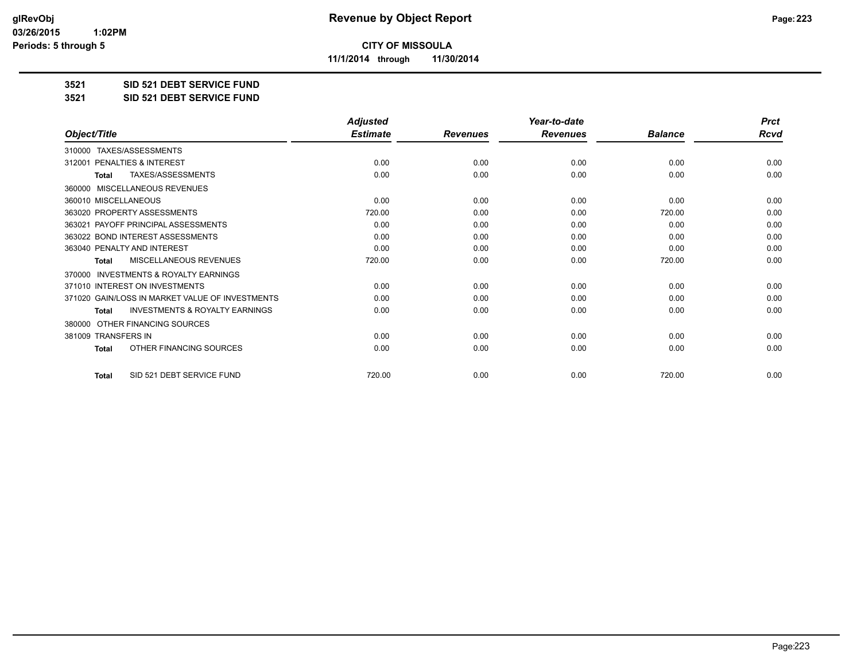**11/1/2014 through 11/30/2014**

**3521 SID 521 DEBT SERVICE FUND**

**3521 SID 521 DEBT SERVICE FUND**

|                                                           | <b>Adjusted</b> |                 | Year-to-date    |                | <b>Prct</b> |
|-----------------------------------------------------------|-----------------|-----------------|-----------------|----------------|-------------|
| Object/Title                                              | <b>Estimate</b> | <b>Revenues</b> | <b>Revenues</b> | <b>Balance</b> | <b>Rcvd</b> |
| TAXES/ASSESSMENTS<br>310000                               |                 |                 |                 |                |             |
| 312001 PENALTIES & INTEREST                               | 0.00            | 0.00            | 0.00            | 0.00           | 0.00        |
| TAXES/ASSESSMENTS<br><b>Total</b>                         | 0.00            | 0.00            | 0.00            | 0.00           | 0.00        |
| MISCELLANEOUS REVENUES<br>360000                          |                 |                 |                 |                |             |
| 360010 MISCELLANEOUS                                      | 0.00            | 0.00            | 0.00            | 0.00           | 0.00        |
| 363020 PROPERTY ASSESSMENTS                               | 720.00          | 0.00            | 0.00            | 720.00         | 0.00        |
| 363021 PAYOFF PRINCIPAL ASSESSMENTS                       | 0.00            | 0.00            | 0.00            | 0.00           | 0.00        |
| 363022 BOND INTEREST ASSESSMENTS                          | 0.00            | 0.00            | 0.00            | 0.00           | 0.00        |
| 363040 PENALTY AND INTEREST                               | 0.00            | 0.00            | 0.00            | 0.00           | 0.00        |
| <b>MISCELLANEOUS REVENUES</b><br><b>Total</b>             | 720.00          | 0.00            | 0.00            | 720.00         | 0.00        |
| <b>INVESTMENTS &amp; ROYALTY EARNINGS</b><br>370000       |                 |                 |                 |                |             |
| 371010 INTEREST ON INVESTMENTS                            | 0.00            | 0.00            | 0.00            | 0.00           | 0.00        |
| 371020 GAIN/LOSS IN MARKET VALUE OF INVESTMENTS           | 0.00            | 0.00            | 0.00            | 0.00           | 0.00        |
| <b>INVESTMENTS &amp; ROYALTY EARNINGS</b><br><b>Total</b> | 0.00            | 0.00            | 0.00            | 0.00           | 0.00        |
| OTHER FINANCING SOURCES<br>380000                         |                 |                 |                 |                |             |
| 381009 TRANSFERS IN                                       | 0.00            | 0.00            | 0.00            | 0.00           | 0.00        |
| OTHER FINANCING SOURCES<br><b>Total</b>                   | 0.00            | 0.00            | 0.00            | 0.00           | 0.00        |
| SID 521 DEBT SERVICE FUND<br><b>Total</b>                 | 720.00          | 0.00            | 0.00            | 720.00         | 0.00        |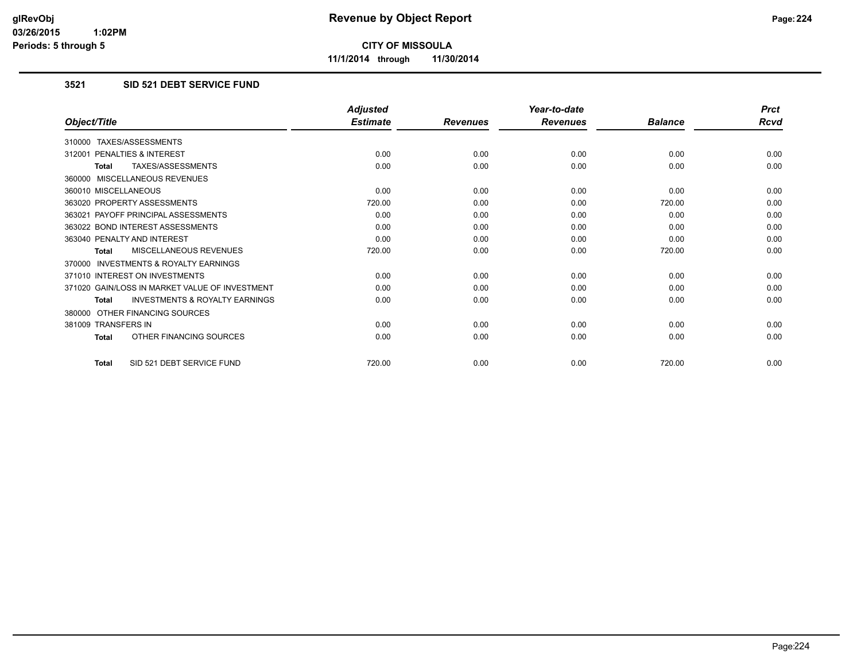**11/1/2014 through 11/30/2014**

### **3521 SID 521 DEBT SERVICE FUND**

|                                                           | <b>Adjusted</b> |                 | Year-to-date    |                | <b>Prct</b> |
|-----------------------------------------------------------|-----------------|-----------------|-----------------|----------------|-------------|
| Object/Title                                              | <b>Estimate</b> | <b>Revenues</b> | <b>Revenues</b> | <b>Balance</b> | Rcvd        |
| 310000 TAXES/ASSESSMENTS                                  |                 |                 |                 |                |             |
| 312001 PENALTIES & INTEREST                               | 0.00            | 0.00            | 0.00            | 0.00           | 0.00        |
| <b>TAXES/ASSESSMENTS</b><br><b>Total</b>                  | 0.00            | 0.00            | 0.00            | 0.00           | 0.00        |
| 360000 MISCELLANEOUS REVENUES                             |                 |                 |                 |                |             |
| 360010 MISCELLANEOUS                                      | 0.00            | 0.00            | 0.00            | 0.00           | 0.00        |
| 363020 PROPERTY ASSESSMENTS                               | 720.00          | 0.00            | 0.00            | 720.00         | 0.00        |
| 363021 PAYOFF PRINCIPAL ASSESSMENTS                       | 0.00            | 0.00            | 0.00            | 0.00           | 0.00        |
| 363022 BOND INTEREST ASSESSMENTS                          | 0.00            | 0.00            | 0.00            | 0.00           | 0.00        |
| 363040 PENALTY AND INTEREST                               | 0.00            | 0.00            | 0.00            | 0.00           | 0.00        |
| <b>MISCELLANEOUS REVENUES</b><br><b>Total</b>             | 720.00          | 0.00            | 0.00            | 720.00         | 0.00        |
| <b>INVESTMENTS &amp; ROYALTY EARNINGS</b><br>370000       |                 |                 |                 |                |             |
| 371010 INTEREST ON INVESTMENTS                            | 0.00            | 0.00            | 0.00            | 0.00           | 0.00        |
| 371020 GAIN/LOSS IN MARKET VALUE OF INVESTMENT            | 0.00            | 0.00            | 0.00            | 0.00           | 0.00        |
| <b>INVESTMENTS &amp; ROYALTY EARNINGS</b><br><b>Total</b> | 0.00            | 0.00            | 0.00            | 0.00           | 0.00        |
| 380000 OTHER FINANCING SOURCES                            |                 |                 |                 |                |             |
| 381009 TRANSFERS IN                                       | 0.00            | 0.00            | 0.00            | 0.00           | 0.00        |
| OTHER FINANCING SOURCES<br><b>Total</b>                   | 0.00            | 0.00            | 0.00            | 0.00           | 0.00        |
| SID 521 DEBT SERVICE FUND<br>Total                        | 720.00          | 0.00            | 0.00            | 720.00         | 0.00        |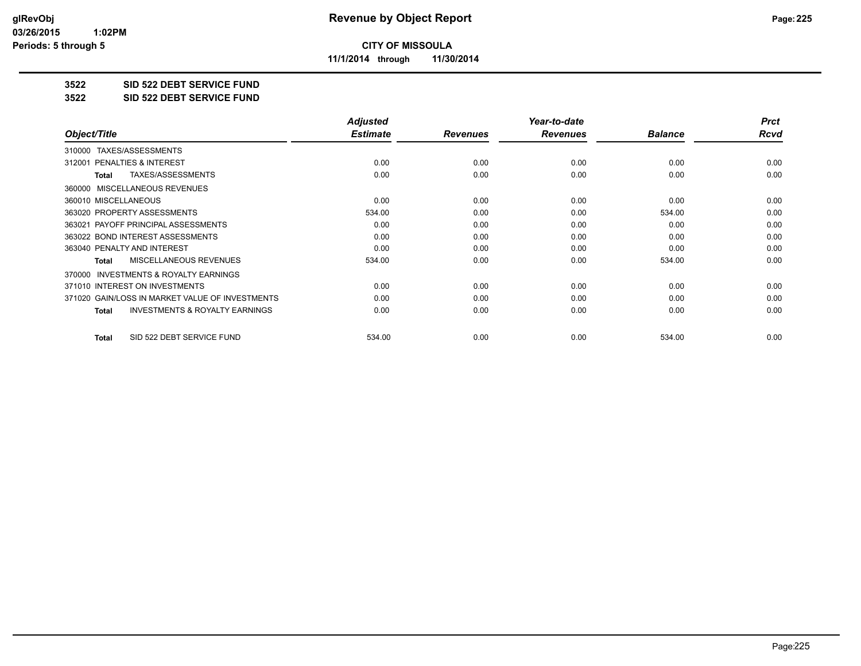**11/1/2014 through 11/30/2014**

**3522 SID 522 DEBT SERVICE FUND**

**3522 SID 522 DEBT SERVICE FUND**

|                                                    | <b>Adjusted</b> |                 | Year-to-date    |                | <b>Prct</b> |
|----------------------------------------------------|-----------------|-----------------|-----------------|----------------|-------------|
| Object/Title                                       | <b>Estimate</b> | <b>Revenues</b> | <b>Revenues</b> | <b>Balance</b> | Rcvd        |
| TAXES/ASSESSMENTS<br>310000                        |                 |                 |                 |                |             |
| PENALTIES & INTEREST<br>312001                     | 0.00            | 0.00            | 0.00            | 0.00           | 0.00        |
| TAXES/ASSESSMENTS<br>Total                         | 0.00            | 0.00            | 0.00            | 0.00           | 0.00        |
| 360000 MISCELLANEOUS REVENUES                      |                 |                 |                 |                |             |
| 360010 MISCELLANEOUS                               | 0.00            | 0.00            | 0.00            | 0.00           | 0.00        |
| 363020 PROPERTY ASSESSMENTS                        | 534.00          | 0.00            | 0.00            | 534.00         | 0.00        |
| 363021 PAYOFF PRINCIPAL ASSESSMENTS                | 0.00            | 0.00            | 0.00            | 0.00           | 0.00        |
| 363022 BOND INTEREST ASSESSMENTS                   | 0.00            | 0.00            | 0.00            | 0.00           | 0.00        |
| 363040 PENALTY AND INTEREST                        | 0.00            | 0.00            | 0.00            | 0.00           | 0.00        |
| MISCELLANEOUS REVENUES<br>Total                    | 534.00          | 0.00            | 0.00            | 534.00         | 0.00        |
| 370000 INVESTMENTS & ROYALTY EARNINGS              |                 |                 |                 |                |             |
| 371010 INTEREST ON INVESTMENTS                     | 0.00            | 0.00            | 0.00            | 0.00           | 0.00        |
| 371020 GAIN/LOSS IN MARKET VALUE OF INVESTMENTS    | 0.00            | 0.00            | 0.00            | 0.00           | 0.00        |
| <b>INVESTMENTS &amp; ROYALTY EARNINGS</b><br>Total | 0.00            | 0.00            | 0.00            | 0.00           | 0.00        |
| SID 522 DEBT SERVICE FUND<br>Total                 | 534.00          | 0.00            | 0.00            | 534.00         | 0.00        |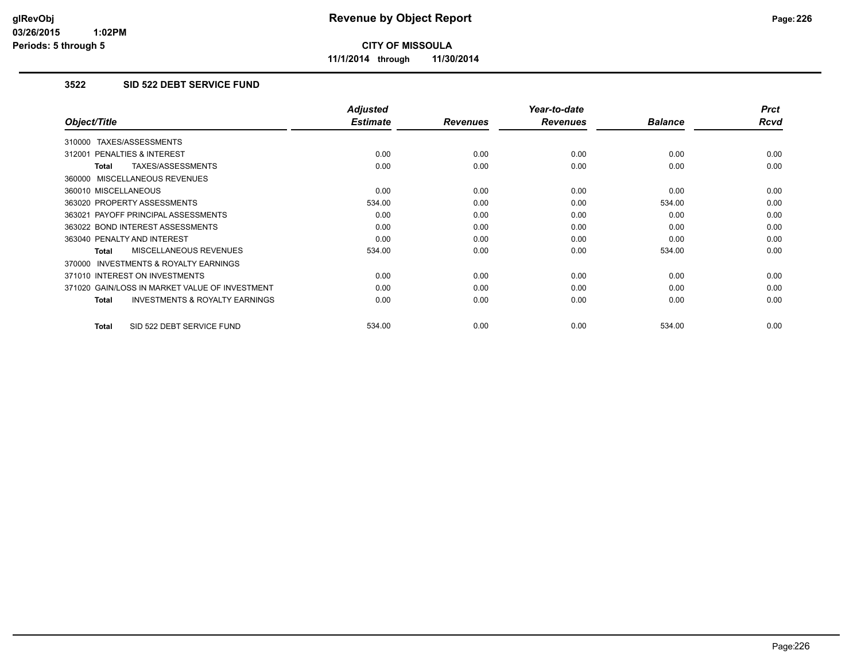**11/1/2014 through 11/30/2014**

#### **3522 SID 522 DEBT SERVICE FUND**

|                                                     | <b>Adjusted</b> |                 | Year-to-date    |                | <b>Prct</b> |
|-----------------------------------------------------|-----------------|-----------------|-----------------|----------------|-------------|
| Object/Title                                        | <b>Estimate</b> | <b>Revenues</b> | <b>Revenues</b> | <b>Balance</b> | <b>Rcvd</b> |
| 310000 TAXES/ASSESSMENTS                            |                 |                 |                 |                |             |
| 312001 PENALTIES & INTEREST                         | 0.00            | 0.00            | 0.00            | 0.00           | 0.00        |
| TAXES/ASSESSMENTS<br><b>Total</b>                   | 0.00            | 0.00            | 0.00            | 0.00           | 0.00        |
| 360000 MISCELLANEOUS REVENUES                       |                 |                 |                 |                |             |
| 360010 MISCELLANEOUS                                | 0.00            | 0.00            | 0.00            | 0.00           | 0.00        |
| 363020 PROPERTY ASSESSMENTS                         | 534.00          | 0.00            | 0.00            | 534.00         | 0.00        |
| 363021 PAYOFF PRINCIPAL ASSESSMENTS                 | 0.00            | 0.00            | 0.00            | 0.00           | 0.00        |
| 363022 BOND INTEREST ASSESSMENTS                    | 0.00            | 0.00            | 0.00            | 0.00           | 0.00        |
| 363040 PENALTY AND INTEREST                         | 0.00            | 0.00            | 0.00            | 0.00           | 0.00        |
| <b>MISCELLANEOUS REVENUES</b><br><b>Total</b>       | 534.00          | 0.00            | 0.00            | 534.00         | 0.00        |
| <b>INVESTMENTS &amp; ROYALTY EARNINGS</b><br>370000 |                 |                 |                 |                |             |
| 371010 INTEREST ON INVESTMENTS                      | 0.00            | 0.00            | 0.00            | 0.00           | 0.00        |
| 371020 GAIN/LOSS IN MARKET VALUE OF INVESTMENT      | 0.00            | 0.00            | 0.00            | 0.00           | 0.00        |
| <b>INVESTMENTS &amp; ROYALTY EARNINGS</b><br>Total  | 0.00            | 0.00            | 0.00            | 0.00           | 0.00        |
| SID 522 DEBT SERVICE FUND<br><b>Total</b>           | 534.00          | 0.00            | 0.00            | 534.00         | 0.00        |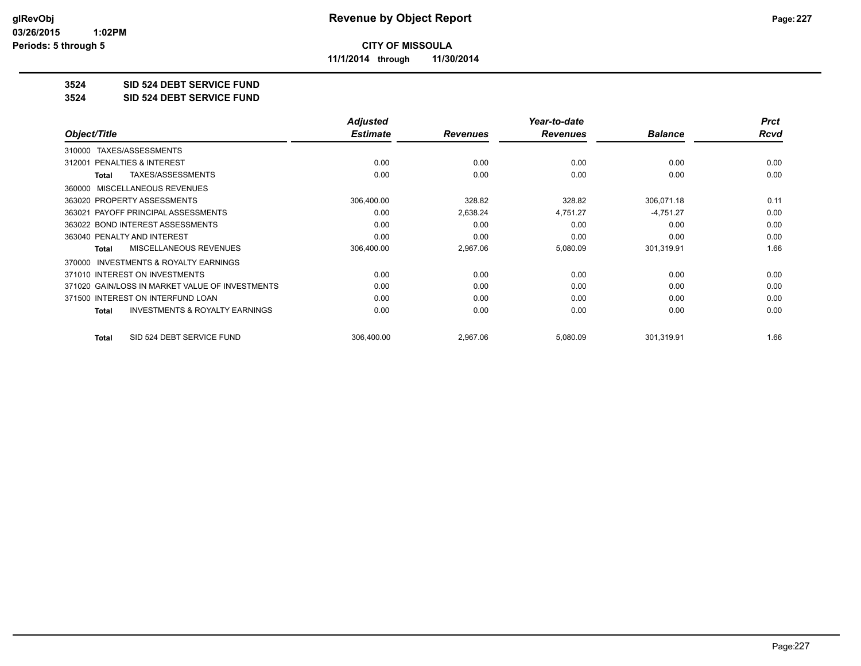**11/1/2014 through 11/30/2014**

#### **3524 SID 524 DEBT SERVICE FUND**

**3524 SID 524 DEBT SERVICE FUND**

|                                                     | <b>Adjusted</b> |                 | Year-to-date    |                | <b>Prct</b> |
|-----------------------------------------------------|-----------------|-----------------|-----------------|----------------|-------------|
| Object/Title                                        | <b>Estimate</b> | <b>Revenues</b> | <b>Revenues</b> | <b>Balance</b> | Rcvd        |
| TAXES/ASSESSMENTS<br>310000                         |                 |                 |                 |                |             |
| <b>PENALTIES &amp; INTEREST</b><br>312001           | 0.00            | 0.00            | 0.00            | 0.00           | 0.00        |
| TAXES/ASSESSMENTS<br>Total                          | 0.00            | 0.00            | 0.00            | 0.00           | 0.00        |
| 360000 MISCELLANEOUS REVENUES                       |                 |                 |                 |                |             |
| 363020 PROPERTY ASSESSMENTS                         | 306,400.00      | 328.82          | 328.82          | 306,071.18     | 0.11        |
| 363021 PAYOFF PRINCIPAL ASSESSMENTS                 | 0.00            | 2,638.24        | 4,751.27        | $-4,751.27$    | 0.00        |
| 363022 BOND INTEREST ASSESSMENTS                    | 0.00            | 0.00            | 0.00            | 0.00           | 0.00        |
| 363040 PENALTY AND INTEREST                         | 0.00            | 0.00            | 0.00            | 0.00           | 0.00        |
| <b>MISCELLANEOUS REVENUES</b><br>Total              | 306,400.00      | 2,967.06        | 5,080.09        | 301,319.91     | 1.66        |
| <b>INVESTMENTS &amp; ROYALTY EARNINGS</b><br>370000 |                 |                 |                 |                |             |
| 371010 INTEREST ON INVESTMENTS                      | 0.00            | 0.00            | 0.00            | 0.00           | 0.00        |
| 371020 GAIN/LOSS IN MARKET VALUE OF INVESTMENTS     | 0.00            | 0.00            | 0.00            | 0.00           | 0.00        |
| 371500 INTEREST ON INTERFUND LOAN                   | 0.00            | 0.00            | 0.00            | 0.00           | 0.00        |
| <b>INVESTMENTS &amp; ROYALTY EARNINGS</b><br>Total  | 0.00            | 0.00            | 0.00            | 0.00           | 0.00        |
| SID 524 DEBT SERVICE FUND<br><b>Total</b>           | 306,400.00      | 2,967.06        | 5,080.09        | 301,319.91     | 1.66        |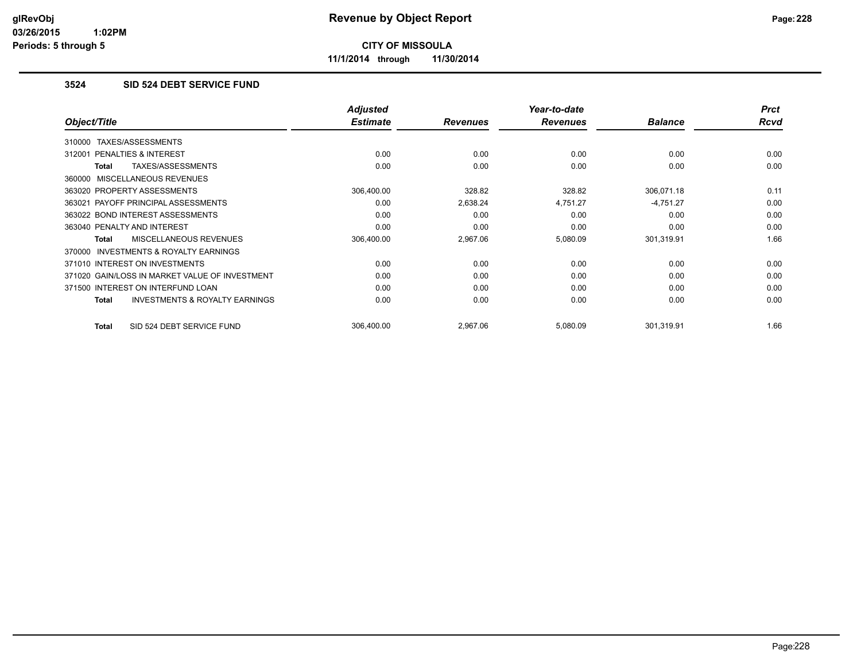**11/1/2014 through 11/30/2014**

### **3524 SID 524 DEBT SERVICE FUND**

|                                                     | <b>Adjusted</b> |                 | Year-to-date    |                | <b>Prct</b> |
|-----------------------------------------------------|-----------------|-----------------|-----------------|----------------|-------------|
| Object/Title                                        | <b>Estimate</b> | <b>Revenues</b> | <b>Revenues</b> | <b>Balance</b> | <b>Rcvd</b> |
| 310000 TAXES/ASSESSMENTS                            |                 |                 |                 |                |             |
| 312001 PENALTIES & INTEREST                         | 0.00            | 0.00            | 0.00            | 0.00           | 0.00        |
| TAXES/ASSESSMENTS<br>Total                          | 0.00            | 0.00            | 0.00            | 0.00           | 0.00        |
| 360000 MISCELLANEOUS REVENUES                       |                 |                 |                 |                |             |
| 363020 PROPERTY ASSESSMENTS                         | 306,400.00      | 328.82          | 328.82          | 306,071.18     | 0.11        |
| 363021 PAYOFF PRINCIPAL ASSESSMENTS                 | 0.00            | 2,638.24        | 4,751.27        | $-4,751.27$    | 0.00        |
| 363022 BOND INTEREST ASSESSMENTS                    | 0.00            | 0.00            | 0.00            | 0.00           | 0.00        |
| 363040 PENALTY AND INTEREST                         | 0.00            | 0.00            | 0.00            | 0.00           | 0.00        |
| MISCELLANEOUS REVENUES<br><b>Total</b>              | 306,400.00      | 2,967.06        | 5,080.09        | 301,319.91     | 1.66        |
| <b>INVESTMENTS &amp; ROYALTY EARNINGS</b><br>370000 |                 |                 |                 |                |             |
| 371010 INTEREST ON INVESTMENTS                      | 0.00            | 0.00            | 0.00            | 0.00           | 0.00        |
| 371020 GAIN/LOSS IN MARKET VALUE OF INVESTMENT      | 0.00            | 0.00            | 0.00            | 0.00           | 0.00        |
| 371500 INTEREST ON INTERFUND LOAN                   | 0.00            | 0.00            | 0.00            | 0.00           | 0.00        |
| <b>INVESTMENTS &amp; ROYALTY EARNINGS</b><br>Total  | 0.00            | 0.00            | 0.00            | 0.00           | 0.00        |
| SID 524 DEBT SERVICE FUND<br>Total                  | 306.400.00      | 2,967.06        | 5,080.09        | 301,319.91     | 1.66        |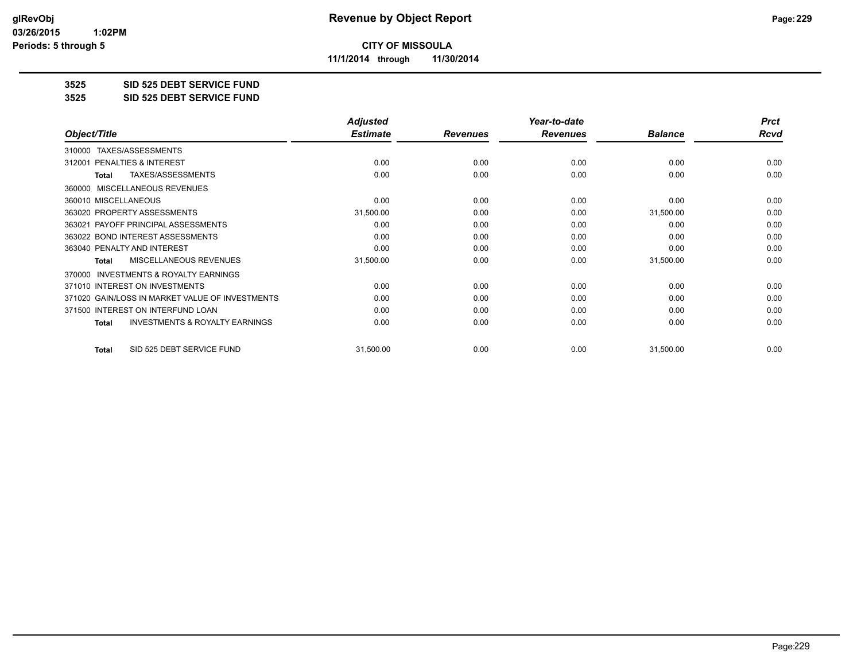**11/1/2014 through 11/30/2014**

**3525 SID 525 DEBT SERVICE FUND**

**3525 SID 525 DEBT SERVICE FUND**

|                                                    | <b>Adjusted</b> |                 | Year-to-date    |                | <b>Prct</b> |
|----------------------------------------------------|-----------------|-----------------|-----------------|----------------|-------------|
| Object/Title                                       | <b>Estimate</b> | <b>Revenues</b> | <b>Revenues</b> | <b>Balance</b> | <b>Rcvd</b> |
| TAXES/ASSESSMENTS<br>310000                        |                 |                 |                 |                |             |
| <b>PENALTIES &amp; INTEREST</b><br>312001          | 0.00            | 0.00            | 0.00            | 0.00           | 0.00        |
| TAXES/ASSESSMENTS<br><b>Total</b>                  | 0.00            | 0.00            | 0.00            | 0.00           | 0.00        |
| MISCELLANEOUS REVENUES<br>360000                   |                 |                 |                 |                |             |
| 360010 MISCELLANEOUS                               | 0.00            | 0.00            | 0.00            | 0.00           | 0.00        |
| 363020 PROPERTY ASSESSMENTS                        | 31,500.00       | 0.00            | 0.00            | 31,500.00      | 0.00        |
| 363021 PAYOFF PRINCIPAL ASSESSMENTS                | 0.00            | 0.00            | 0.00            | 0.00           | 0.00        |
| 363022 BOND INTEREST ASSESSMENTS                   | 0.00            | 0.00            | 0.00            | 0.00           | 0.00        |
| 363040 PENALTY AND INTEREST                        | 0.00            | 0.00            | 0.00            | 0.00           | 0.00        |
| <b>MISCELLANEOUS REVENUES</b><br>Total             | 31,500.00       | 0.00            | 0.00            | 31,500.00      | 0.00        |
| INVESTMENTS & ROYALTY EARNINGS<br>370000           |                 |                 |                 |                |             |
| 371010 INTEREST ON INVESTMENTS                     | 0.00            | 0.00            | 0.00            | 0.00           | 0.00        |
| 371020 GAIN/LOSS IN MARKET VALUE OF INVESTMENTS    | 0.00            | 0.00            | 0.00            | 0.00           | 0.00        |
| 371500 INTEREST ON INTERFUND LOAN                  | 0.00            | 0.00            | 0.00            | 0.00           | 0.00        |
| <b>INVESTMENTS &amp; ROYALTY EARNINGS</b><br>Total | 0.00            | 0.00            | 0.00            | 0.00           | 0.00        |
| SID 525 DEBT SERVICE FUND<br><b>Total</b>          | 31,500.00       | 0.00            | 0.00            | 31,500.00      | 0.00        |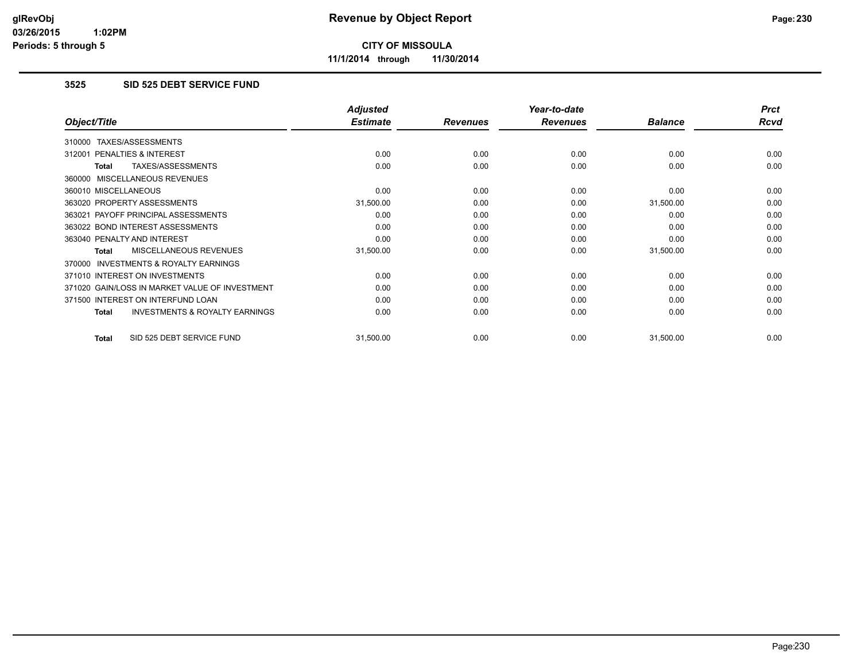**11/1/2014 through 11/30/2014**

### **3525 SID 525 DEBT SERVICE FUND**

|                                                    | <b>Adjusted</b> |                 | Year-to-date    |                | <b>Prct</b> |
|----------------------------------------------------|-----------------|-----------------|-----------------|----------------|-------------|
| Object/Title                                       | <b>Estimate</b> | <b>Revenues</b> | <b>Revenues</b> | <b>Balance</b> | <b>Rcvd</b> |
| TAXES/ASSESSMENTS<br>310000                        |                 |                 |                 |                |             |
| <b>PENALTIES &amp; INTEREST</b><br>312001          | 0.00            | 0.00            | 0.00            | 0.00           | 0.00        |
| TAXES/ASSESSMENTS<br>Total                         | 0.00            | 0.00            | 0.00            | 0.00           | 0.00        |
| 360000 MISCELLANEOUS REVENUES                      |                 |                 |                 |                |             |
| 360010 MISCELLANEOUS                               | 0.00            | 0.00            | 0.00            | 0.00           | 0.00        |
| 363020 PROPERTY ASSESSMENTS                        | 31,500.00       | 0.00            | 0.00            | 31,500.00      | 0.00        |
| 363021 PAYOFF PRINCIPAL ASSESSMENTS                | 0.00            | 0.00            | 0.00            | 0.00           | 0.00        |
| 363022 BOND INTEREST ASSESSMENTS                   | 0.00            | 0.00            | 0.00            | 0.00           | 0.00        |
| 363040 PENALTY AND INTEREST                        | 0.00            | 0.00            | 0.00            | 0.00           | 0.00        |
| MISCELLANEOUS REVENUES<br><b>Total</b>             | 31,500.00       | 0.00            | 0.00            | 31,500.00      | 0.00        |
| 370000 INVESTMENTS & ROYALTY EARNINGS              |                 |                 |                 |                |             |
| 371010 INTEREST ON INVESTMENTS                     | 0.00            | 0.00            | 0.00            | 0.00           | 0.00        |
| 371020 GAIN/LOSS IN MARKET VALUE OF INVESTMENT     | 0.00            | 0.00            | 0.00            | 0.00           | 0.00        |
| 371500 INTEREST ON INTERFUND LOAN                  | 0.00            | 0.00            | 0.00            | 0.00           | 0.00        |
| <b>INVESTMENTS &amp; ROYALTY EARNINGS</b><br>Total | 0.00            | 0.00            | 0.00            | 0.00           | 0.00        |
|                                                    |                 |                 |                 |                |             |
| SID 525 DEBT SERVICE FUND<br>Total                 | 31,500.00       | 0.00            | 0.00            | 31,500.00      | 0.00        |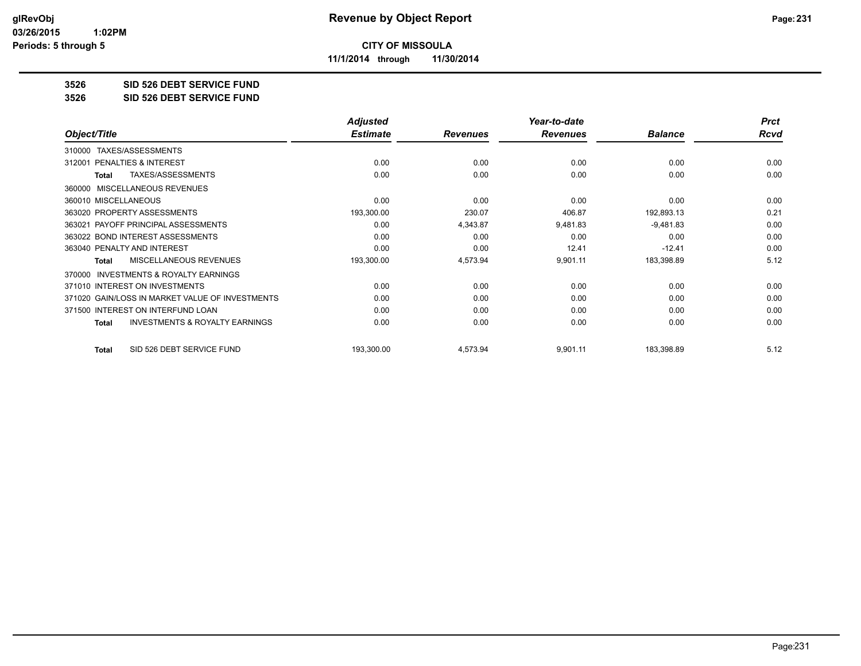**11/1/2014 through 11/30/2014**

**3526 SID 526 DEBT SERVICE FUND**

**3526 SID 526 DEBT SERVICE FUND**

|                                                           | <b>Adjusted</b> |                 | Year-to-date    |                | <b>Prct</b> |
|-----------------------------------------------------------|-----------------|-----------------|-----------------|----------------|-------------|
| Object/Title                                              | <b>Estimate</b> | <b>Revenues</b> | <b>Revenues</b> | <b>Balance</b> | <b>Rcvd</b> |
| TAXES/ASSESSMENTS<br>310000                               |                 |                 |                 |                |             |
| PENALTIES & INTEREST<br>312001                            | 0.00            | 0.00            | 0.00            | 0.00           | 0.00        |
| <b>TAXES/ASSESSMENTS</b><br>Total                         | 0.00            | 0.00            | 0.00            | 0.00           | 0.00        |
| MISCELLANEOUS REVENUES<br>360000                          |                 |                 |                 |                |             |
| 360010 MISCELLANEOUS                                      | 0.00            | 0.00            | 0.00            | 0.00           | 0.00        |
| 363020 PROPERTY ASSESSMENTS                               | 193,300.00      | 230.07          | 406.87          | 192,893.13     | 0.21        |
| 363021 PAYOFF PRINCIPAL ASSESSMENTS                       | 0.00            | 4,343.87        | 9,481.83        | $-9,481.83$    | 0.00        |
| 363022 BOND INTEREST ASSESSMENTS                          | 0.00            | 0.00            | 0.00            | 0.00           | 0.00        |
| 363040 PENALTY AND INTEREST                               | 0.00            | 0.00            | 12.41           | $-12.41$       | 0.00        |
| MISCELLANEOUS REVENUES<br>Total                           | 193,300.00      | 4,573.94        | 9,901.11        | 183,398.89     | 5.12        |
| <b>INVESTMENTS &amp; ROYALTY EARNINGS</b><br>370000       |                 |                 |                 |                |             |
| 371010 INTEREST ON INVESTMENTS                            | 0.00            | 0.00            | 0.00            | 0.00           | 0.00        |
| 371020 GAIN/LOSS IN MARKET VALUE OF INVESTMENTS           | 0.00            | 0.00            | 0.00            | 0.00           | 0.00        |
| 371500 INTEREST ON INTERFUND LOAN                         | 0.00            | 0.00            | 0.00            | 0.00           | 0.00        |
| <b>INVESTMENTS &amp; ROYALTY EARNINGS</b><br><b>Total</b> | 0.00            | 0.00            | 0.00            | 0.00           | 0.00        |
| SID 526 DEBT SERVICE FUND<br><b>Total</b>                 | 193,300.00      | 4,573.94        | 9,901.11        | 183,398.89     | 5.12        |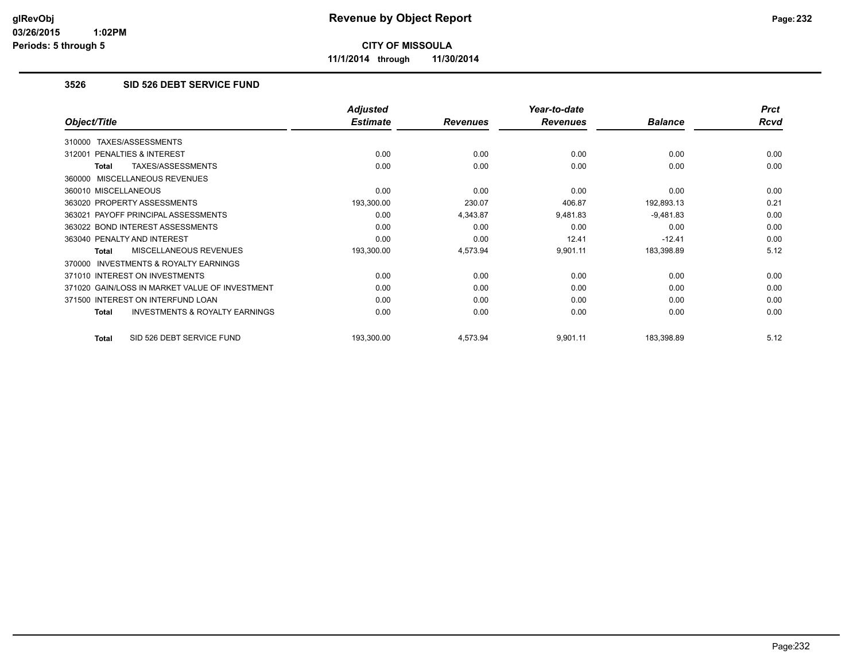**11/1/2014 through 11/30/2014**

### **3526 SID 526 DEBT SERVICE FUND**

| Object/Title                                              | <b>Adjusted</b><br><b>Estimate</b> | <b>Revenues</b> | Year-to-date<br><b>Revenues</b> | <b>Balance</b> | <b>Prct</b><br>Rcvd |
|-----------------------------------------------------------|------------------------------------|-----------------|---------------------------------|----------------|---------------------|
|                                                           |                                    |                 |                                 |                |                     |
| TAXES/ASSESSMENTS<br>310000                               |                                    |                 |                                 |                |                     |
| <b>PENALTIES &amp; INTEREST</b><br>312001                 | 0.00                               | 0.00            | 0.00                            | 0.00           | 0.00                |
| TAXES/ASSESSMENTS<br>Total                                | 0.00                               | 0.00            | 0.00                            | 0.00           | 0.00                |
| 360000 MISCELLANEOUS REVENUES                             |                                    |                 |                                 |                |                     |
| 360010 MISCELLANEOUS                                      | 0.00                               | 0.00            | 0.00                            | 0.00           | 0.00                |
| 363020 PROPERTY ASSESSMENTS                               | 193,300.00                         | 230.07          | 406.87                          | 192,893.13     | 0.21                |
| 363021 PAYOFF PRINCIPAL ASSESSMENTS                       | 0.00                               | 4,343.87        | 9,481.83                        | $-9,481.83$    | 0.00                |
| 363022 BOND INTEREST ASSESSMENTS                          | 0.00                               | 0.00            | 0.00                            | 0.00           | 0.00                |
| 363040 PENALTY AND INTEREST                               | 0.00                               | 0.00            | 12.41                           | $-12.41$       | 0.00                |
| <b>MISCELLANEOUS REVENUES</b><br><b>Total</b>             | 193,300.00                         | 4,573.94        | 9,901.11                        | 183,398.89     | 5.12                |
| <b>INVESTMENTS &amp; ROYALTY EARNINGS</b><br>370000       |                                    |                 |                                 |                |                     |
| 371010 INTEREST ON INVESTMENTS                            | 0.00                               | 0.00            | 0.00                            | 0.00           | 0.00                |
| 371020 GAIN/LOSS IN MARKET VALUE OF INVESTMENT            | 0.00                               | 0.00            | 0.00                            | 0.00           | 0.00                |
| 371500 INTEREST ON INTERFUND LOAN                         | 0.00                               | 0.00            | 0.00                            | 0.00           | 0.00                |
| <b>INVESTMENTS &amp; ROYALTY EARNINGS</b><br><b>Total</b> | 0.00                               | 0.00            | 0.00                            | 0.00           | 0.00                |
| SID 526 DEBT SERVICE FUND<br><b>Total</b>                 | 193,300.00                         | 4,573.94        | 9,901.11                        | 183,398.89     | 5.12                |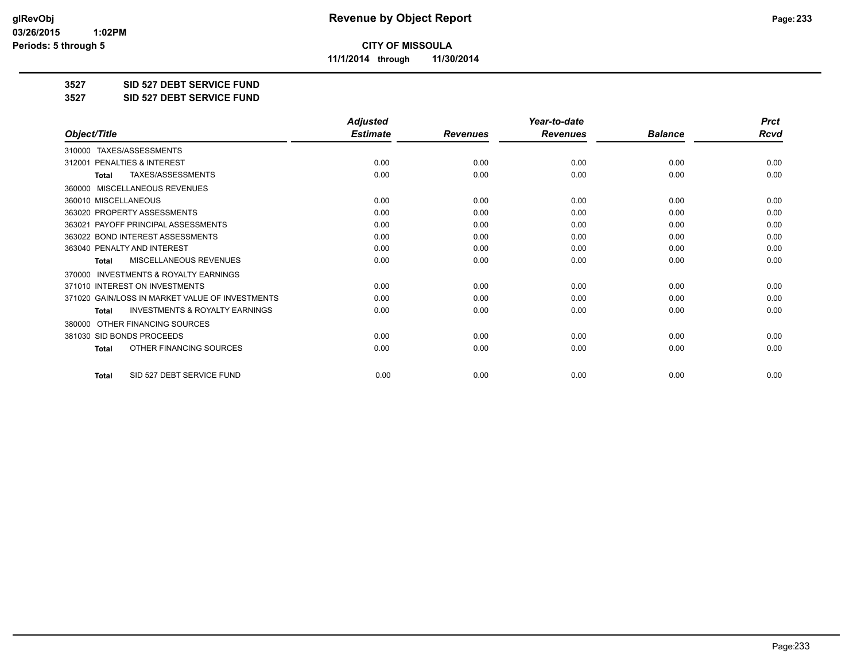**11/1/2014 through 11/30/2014**

**3527 SID 527 DEBT SERVICE FUND**

**3527 SID 527 DEBT SERVICE FUND**

|                                                           | <b>Adjusted</b> |                 | Year-to-date    |                | <b>Prct</b> |
|-----------------------------------------------------------|-----------------|-----------------|-----------------|----------------|-------------|
| Object/Title                                              | <b>Estimate</b> | <b>Revenues</b> | <b>Revenues</b> | <b>Balance</b> | <b>Rcvd</b> |
| TAXES/ASSESSMENTS<br>310000                               |                 |                 |                 |                |             |
| 312001 PENALTIES & INTEREST                               | 0.00            | 0.00            | 0.00            | 0.00           | 0.00        |
| TAXES/ASSESSMENTS<br><b>Total</b>                         | 0.00            | 0.00            | 0.00            | 0.00           | 0.00        |
| MISCELLANEOUS REVENUES<br>360000                          |                 |                 |                 |                |             |
| 360010 MISCELLANEOUS                                      | 0.00            | 0.00            | 0.00            | 0.00           | 0.00        |
| 363020 PROPERTY ASSESSMENTS                               | 0.00            | 0.00            | 0.00            | 0.00           | 0.00        |
| 363021 PAYOFF PRINCIPAL ASSESSMENTS                       | 0.00            | 0.00            | 0.00            | 0.00           | 0.00        |
| 363022 BOND INTEREST ASSESSMENTS                          | 0.00            | 0.00            | 0.00            | 0.00           | 0.00        |
| 363040 PENALTY AND INTEREST                               | 0.00            | 0.00            | 0.00            | 0.00           | 0.00        |
| <b>MISCELLANEOUS REVENUES</b><br><b>Total</b>             | 0.00            | 0.00            | 0.00            | 0.00           | 0.00        |
| <b>INVESTMENTS &amp; ROYALTY EARNINGS</b><br>370000       |                 |                 |                 |                |             |
| 371010 INTEREST ON INVESTMENTS                            | 0.00            | 0.00            | 0.00            | 0.00           | 0.00        |
| 371020 GAIN/LOSS IN MARKET VALUE OF INVESTMENTS           | 0.00            | 0.00            | 0.00            | 0.00           | 0.00        |
| <b>INVESTMENTS &amp; ROYALTY EARNINGS</b><br><b>Total</b> | 0.00            | 0.00            | 0.00            | 0.00           | 0.00        |
| OTHER FINANCING SOURCES<br>380000                         |                 |                 |                 |                |             |
| 381030 SID BONDS PROCEEDS                                 | 0.00            | 0.00            | 0.00            | 0.00           | 0.00        |
| OTHER FINANCING SOURCES<br>Total                          | 0.00            | 0.00            | 0.00            | 0.00           | 0.00        |
| SID 527 DEBT SERVICE FUND<br><b>Total</b>                 | 0.00            | 0.00            | 0.00            | 0.00           | 0.00        |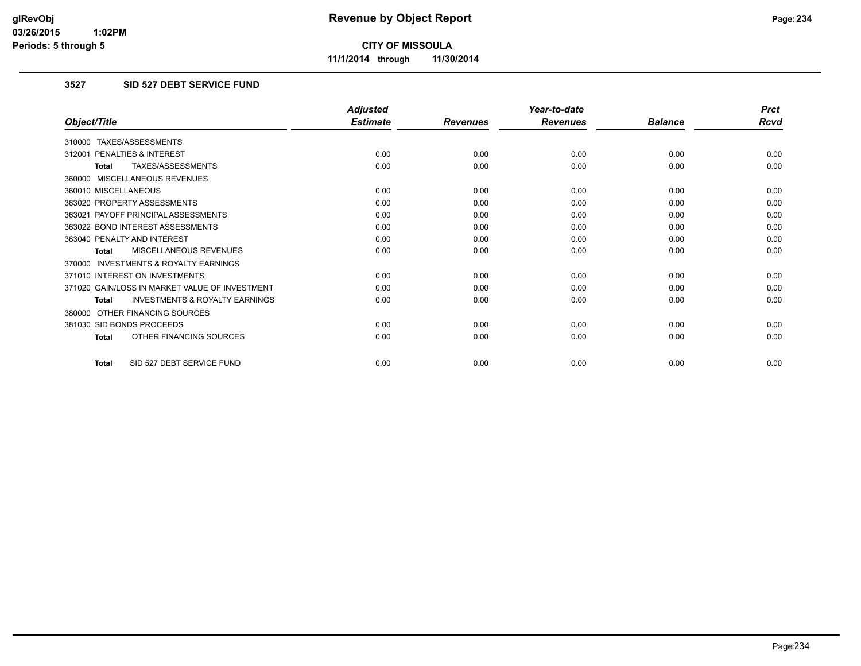**11/1/2014 through 11/30/2014**

### **3527 SID 527 DEBT SERVICE FUND**

|                                                           | <b>Adjusted</b> |                 | Year-to-date    |                | <b>Prct</b> |
|-----------------------------------------------------------|-----------------|-----------------|-----------------|----------------|-------------|
| Object/Title                                              | <b>Estimate</b> | <b>Revenues</b> | <b>Revenues</b> | <b>Balance</b> | <b>Rcvd</b> |
| 310000 TAXES/ASSESSMENTS                                  |                 |                 |                 |                |             |
| PENALTIES & INTEREST<br>312001                            | 0.00            | 0.00            | 0.00            | 0.00           | 0.00        |
| TAXES/ASSESSMENTS<br><b>Total</b>                         | 0.00            | 0.00            | 0.00            | 0.00           | 0.00        |
| 360000 MISCELLANEOUS REVENUES                             |                 |                 |                 |                |             |
| 360010 MISCELLANEOUS                                      | 0.00            | 0.00            | 0.00            | 0.00           | 0.00        |
| 363020 PROPERTY ASSESSMENTS                               | 0.00            | 0.00            | 0.00            | 0.00           | 0.00        |
| 363021 PAYOFF PRINCIPAL ASSESSMENTS                       | 0.00            | 0.00            | 0.00            | 0.00           | 0.00        |
| 363022 BOND INTEREST ASSESSMENTS                          | 0.00            | 0.00            | 0.00            | 0.00           | 0.00        |
| 363040 PENALTY AND INTEREST                               | 0.00            | 0.00            | 0.00            | 0.00           | 0.00        |
| MISCELLANEOUS REVENUES<br><b>Total</b>                    | 0.00            | 0.00            | 0.00            | 0.00           | 0.00        |
| <b>INVESTMENTS &amp; ROYALTY EARNINGS</b><br>370000       |                 |                 |                 |                |             |
| 371010 INTEREST ON INVESTMENTS                            | 0.00            | 0.00            | 0.00            | 0.00           | 0.00        |
| 371020 GAIN/LOSS IN MARKET VALUE OF INVESTMENT            | 0.00            | 0.00            | 0.00            | 0.00           | 0.00        |
| <b>INVESTMENTS &amp; ROYALTY EARNINGS</b><br><b>Total</b> | 0.00            | 0.00            | 0.00            | 0.00           | 0.00        |
| OTHER FINANCING SOURCES<br>380000                         |                 |                 |                 |                |             |
| 381030 SID BONDS PROCEEDS                                 | 0.00            | 0.00            | 0.00            | 0.00           | 0.00        |
| OTHER FINANCING SOURCES<br><b>Total</b>                   | 0.00            | 0.00            | 0.00            | 0.00           | 0.00        |
| SID 527 DEBT SERVICE FUND<br><b>Total</b>                 | 0.00            | 0.00            | 0.00            | 0.00           | 0.00        |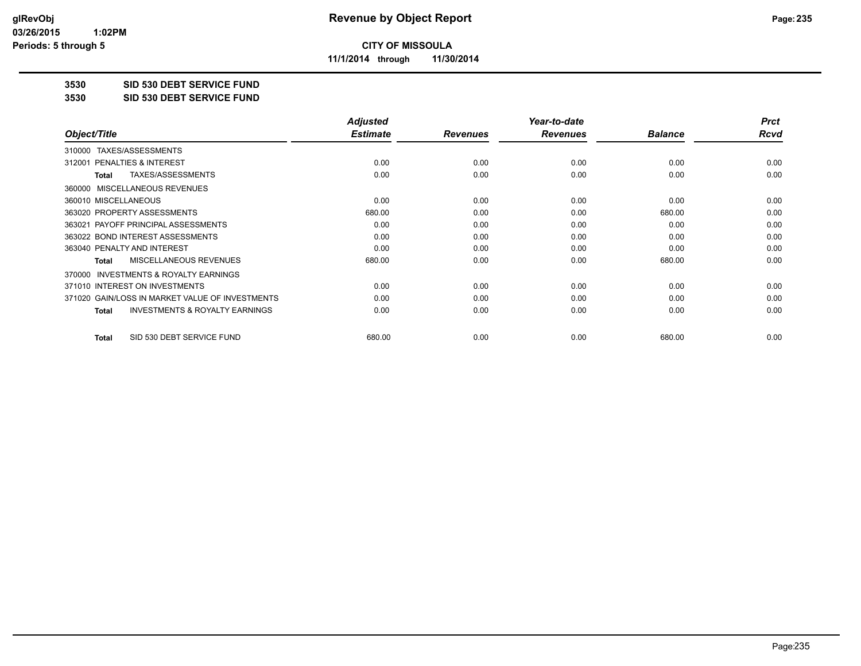**11/1/2014 through 11/30/2014**

**3530 SID 530 DEBT SERVICE FUND**

**3530 SID 530 DEBT SERVICE FUND**

|                                                    | <b>Adjusted</b> |                 | Year-to-date    |                | <b>Prct</b> |
|----------------------------------------------------|-----------------|-----------------|-----------------|----------------|-------------|
| Object/Title                                       | <b>Estimate</b> | <b>Revenues</b> | <b>Revenues</b> | <b>Balance</b> | Rcvd        |
| TAXES/ASSESSMENTS<br>310000                        |                 |                 |                 |                |             |
| PENALTIES & INTEREST<br>312001                     | 0.00            | 0.00            | 0.00            | 0.00           | 0.00        |
| TAXES/ASSESSMENTS<br>Total                         | 0.00            | 0.00            | 0.00            | 0.00           | 0.00        |
| 360000 MISCELLANEOUS REVENUES                      |                 |                 |                 |                |             |
| 360010 MISCELLANEOUS                               | 0.00            | 0.00            | 0.00            | 0.00           | 0.00        |
| 363020 PROPERTY ASSESSMENTS                        | 680.00          | 0.00            | 0.00            | 680.00         | 0.00        |
| 363021 PAYOFF PRINCIPAL ASSESSMENTS                | 0.00            | 0.00            | 0.00            | 0.00           | 0.00        |
| 363022 BOND INTEREST ASSESSMENTS                   | 0.00            | 0.00            | 0.00            | 0.00           | 0.00        |
| 363040 PENALTY AND INTEREST                        | 0.00            | 0.00            | 0.00            | 0.00           | 0.00        |
| MISCELLANEOUS REVENUES<br>Total                    | 680.00          | 0.00            | 0.00            | 680.00         | 0.00        |
| 370000 INVESTMENTS & ROYALTY EARNINGS              |                 |                 |                 |                |             |
| 371010 INTEREST ON INVESTMENTS                     | 0.00            | 0.00            | 0.00            | 0.00           | 0.00        |
| 371020 GAIN/LOSS IN MARKET VALUE OF INVESTMENTS    | 0.00            | 0.00            | 0.00            | 0.00           | 0.00        |
| <b>INVESTMENTS &amp; ROYALTY EARNINGS</b><br>Total | 0.00            | 0.00            | 0.00            | 0.00           | 0.00        |
| SID 530 DEBT SERVICE FUND<br>Total                 | 680.00          | 0.00            | 0.00            | 680.00         | 0.00        |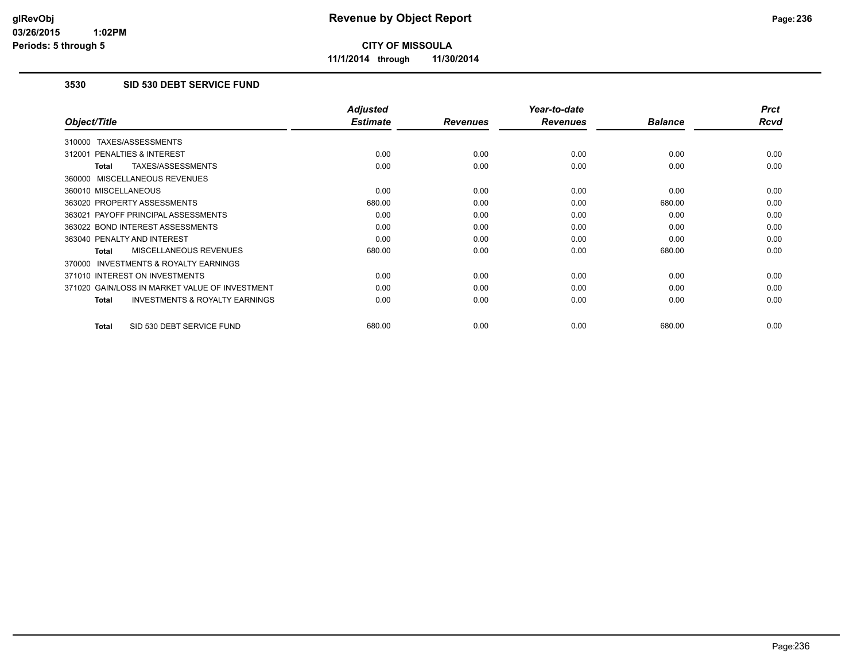**11/1/2014 through 11/30/2014**

### **3530 SID 530 DEBT SERVICE FUND**

|                                                           | <b>Adjusted</b> |                 | Year-to-date    |                | <b>Prct</b> |
|-----------------------------------------------------------|-----------------|-----------------|-----------------|----------------|-------------|
| Object/Title                                              | <b>Estimate</b> | <b>Revenues</b> | <b>Revenues</b> | <b>Balance</b> | <b>Rcvd</b> |
| 310000 TAXES/ASSESSMENTS                                  |                 |                 |                 |                |             |
| 312001 PENALTIES & INTEREST                               | 0.00            | 0.00            | 0.00            | 0.00           | 0.00        |
| TAXES/ASSESSMENTS<br><b>Total</b>                         | 0.00            | 0.00            | 0.00            | 0.00           | 0.00        |
| 360000 MISCELLANEOUS REVENUES                             |                 |                 |                 |                |             |
| 360010 MISCELLANEOUS                                      | 0.00            | 0.00            | 0.00            | 0.00           | 0.00        |
| 363020 PROPERTY ASSESSMENTS                               | 680.00          | 0.00            | 0.00            | 680.00         | 0.00        |
| 363021 PAYOFF PRINCIPAL ASSESSMENTS                       | 0.00            | 0.00            | 0.00            | 0.00           | 0.00        |
| 363022 BOND INTEREST ASSESSMENTS                          | 0.00            | 0.00            | 0.00            | 0.00           | 0.00        |
| 363040 PENALTY AND INTEREST                               | 0.00            | 0.00            | 0.00            | 0.00           | 0.00        |
| <b>MISCELLANEOUS REVENUES</b><br>Total                    | 680.00          | 0.00            | 0.00            | 680.00         | 0.00        |
| <b>INVESTMENTS &amp; ROYALTY EARNINGS</b><br>370000       |                 |                 |                 |                |             |
| 371010 INTEREST ON INVESTMENTS                            | 0.00            | 0.00            | 0.00            | 0.00           | 0.00        |
| 371020 GAIN/LOSS IN MARKET VALUE OF INVESTMENT            | 0.00            | 0.00            | 0.00            | 0.00           | 0.00        |
| <b>INVESTMENTS &amp; ROYALTY EARNINGS</b><br><b>Total</b> | 0.00            | 0.00            | 0.00            | 0.00           | 0.00        |
| SID 530 DEBT SERVICE FUND<br><b>Total</b>                 | 680.00          | 0.00            | 0.00            | 680.00         | 0.00        |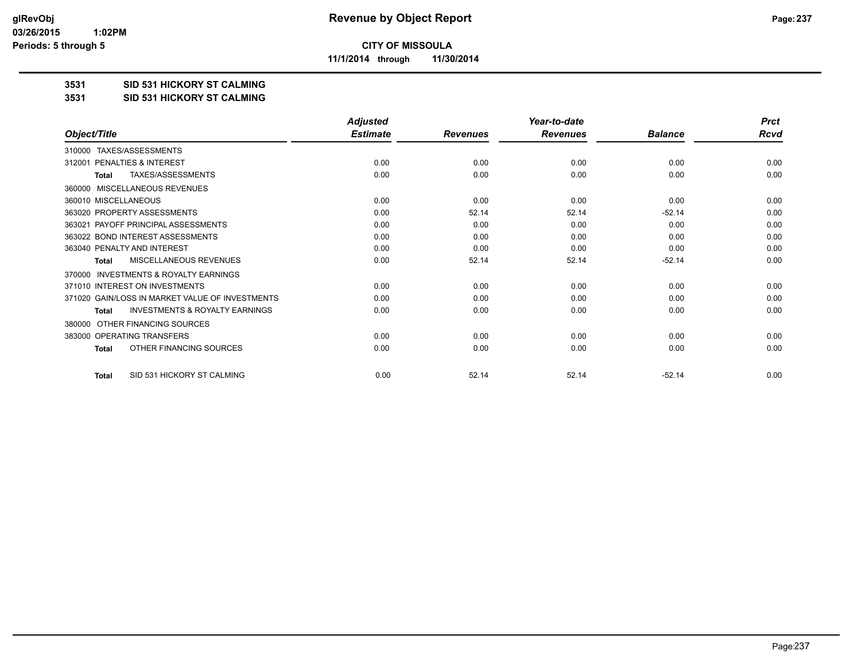**11/1/2014 through 11/30/2014**

#### **3531 SID 531 HICKORY ST CALMING**

#### **3531 SID 531 HICKORY ST CALMING**

|                                                           | <b>Adjusted</b> |                 | Year-to-date    |                | <b>Prct</b> |
|-----------------------------------------------------------|-----------------|-----------------|-----------------|----------------|-------------|
| Object/Title                                              | <b>Estimate</b> | <b>Revenues</b> | <b>Revenues</b> | <b>Balance</b> | Rcvd        |
| TAXES/ASSESSMENTS<br>310000                               |                 |                 |                 |                |             |
| PENALTIES & INTEREST<br>312001                            | 0.00            | 0.00            | 0.00            | 0.00           | 0.00        |
| <b>TAXES/ASSESSMENTS</b><br><b>Total</b>                  | 0.00            | 0.00            | 0.00            | 0.00           | 0.00        |
| <b>MISCELLANEOUS REVENUES</b><br>360000                   |                 |                 |                 |                |             |
| 360010 MISCELLANEOUS                                      | 0.00            | 0.00            | 0.00            | 0.00           | 0.00        |
| 363020 PROPERTY ASSESSMENTS                               | 0.00            | 52.14           | 52.14           | $-52.14$       | 0.00        |
| PAYOFF PRINCIPAL ASSESSMENTS<br>363021                    | 0.00            | 0.00            | 0.00            | 0.00           | 0.00        |
| 363022 BOND INTEREST ASSESSMENTS                          | 0.00            | 0.00            | 0.00            | 0.00           | 0.00        |
| 363040 PENALTY AND INTEREST                               | 0.00            | 0.00            | 0.00            | 0.00           | 0.00        |
| MISCELLANEOUS REVENUES<br>Total                           | 0.00            | 52.14           | 52.14           | $-52.14$       | 0.00        |
| <b>INVESTMENTS &amp; ROYALTY EARNINGS</b><br>370000       |                 |                 |                 |                |             |
| 371010 INTEREST ON INVESTMENTS                            | 0.00            | 0.00            | 0.00            | 0.00           | 0.00        |
| 371020 GAIN/LOSS IN MARKET VALUE OF INVESTMENTS           | 0.00            | 0.00            | 0.00            | 0.00           | 0.00        |
| <b>INVESTMENTS &amp; ROYALTY EARNINGS</b><br><b>Total</b> | 0.00            | 0.00            | 0.00            | 0.00           | 0.00        |
| OTHER FINANCING SOURCES<br>380000                         |                 |                 |                 |                |             |
| 383000 OPERATING TRANSFERS                                | 0.00            | 0.00            | 0.00            | 0.00           | 0.00        |
| OTHER FINANCING SOURCES<br><b>Total</b>                   | 0.00            | 0.00            | 0.00            | 0.00           | 0.00        |
| SID 531 HICKORY ST CALMING<br><b>Total</b>                | 0.00            | 52.14           | 52.14           | $-52.14$       | 0.00        |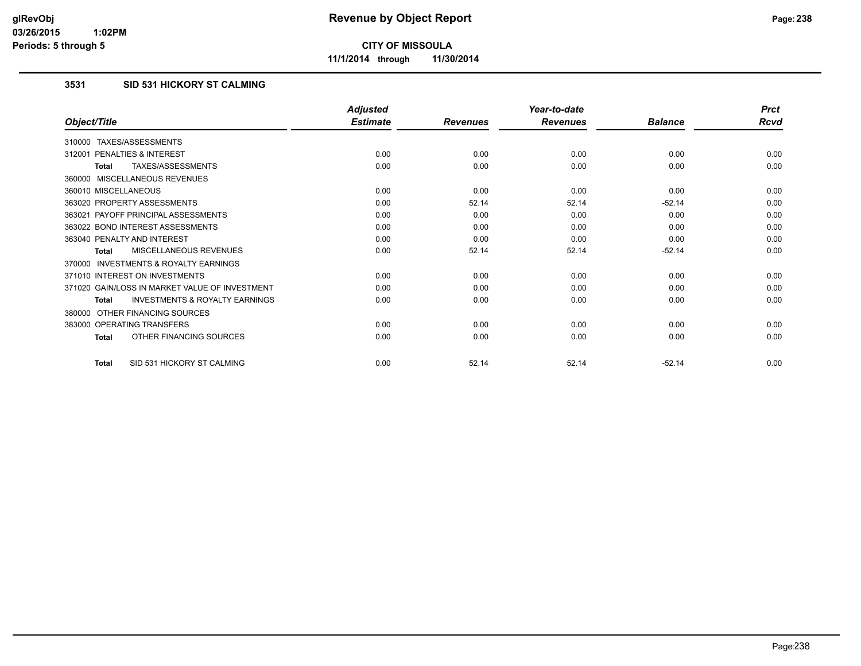**11/1/2014 through 11/30/2014**

### **3531 SID 531 HICKORY ST CALMING**

|                                                           | <b>Adjusted</b> |                 | Year-to-date    |                | <b>Prct</b> |
|-----------------------------------------------------------|-----------------|-----------------|-----------------|----------------|-------------|
| Object/Title                                              | <b>Estimate</b> | <b>Revenues</b> | <b>Revenues</b> | <b>Balance</b> | <b>Rcvd</b> |
| TAXES/ASSESSMENTS<br>310000                               |                 |                 |                 |                |             |
| PENALTIES & INTEREST<br>312001                            | 0.00            | 0.00            | 0.00            | 0.00           | 0.00        |
| TAXES/ASSESSMENTS<br><b>Total</b>                         | 0.00            | 0.00            | 0.00            | 0.00           | 0.00        |
| 360000 MISCELLANEOUS REVENUES                             |                 |                 |                 |                |             |
| 360010 MISCELLANEOUS                                      | 0.00            | 0.00            | 0.00            | 0.00           | 0.00        |
| 363020 PROPERTY ASSESSMENTS                               | 0.00            | 52.14           | 52.14           | $-52.14$       | 0.00        |
| 363021 PAYOFF PRINCIPAL ASSESSMENTS                       | 0.00            | 0.00            | 0.00            | 0.00           | 0.00        |
| 363022 BOND INTEREST ASSESSMENTS                          | 0.00            | 0.00            | 0.00            | 0.00           | 0.00        |
| 363040 PENALTY AND INTEREST                               | 0.00            | 0.00            | 0.00            | 0.00           | 0.00        |
| MISCELLANEOUS REVENUES<br><b>Total</b>                    | 0.00            | 52.14           | 52.14           | $-52.14$       | 0.00        |
| <b>INVESTMENTS &amp; ROYALTY EARNINGS</b><br>370000       |                 |                 |                 |                |             |
| 371010 INTEREST ON INVESTMENTS                            | 0.00            | 0.00            | 0.00            | 0.00           | 0.00        |
| 371020 GAIN/LOSS IN MARKET VALUE OF INVESTMENT            | 0.00            | 0.00            | 0.00            | 0.00           | 0.00        |
| <b>INVESTMENTS &amp; ROYALTY EARNINGS</b><br><b>Total</b> | 0.00            | 0.00            | 0.00            | 0.00           | 0.00        |
| OTHER FINANCING SOURCES<br>380000                         |                 |                 |                 |                |             |
| 383000 OPERATING TRANSFERS                                | 0.00            | 0.00            | 0.00            | 0.00           | 0.00        |
| OTHER FINANCING SOURCES<br><b>Total</b>                   | 0.00            | 0.00            | 0.00            | 0.00           | 0.00        |
| SID 531 HICKORY ST CALMING<br><b>Total</b>                | 0.00            | 52.14           | 52.14           | $-52.14$       | 0.00        |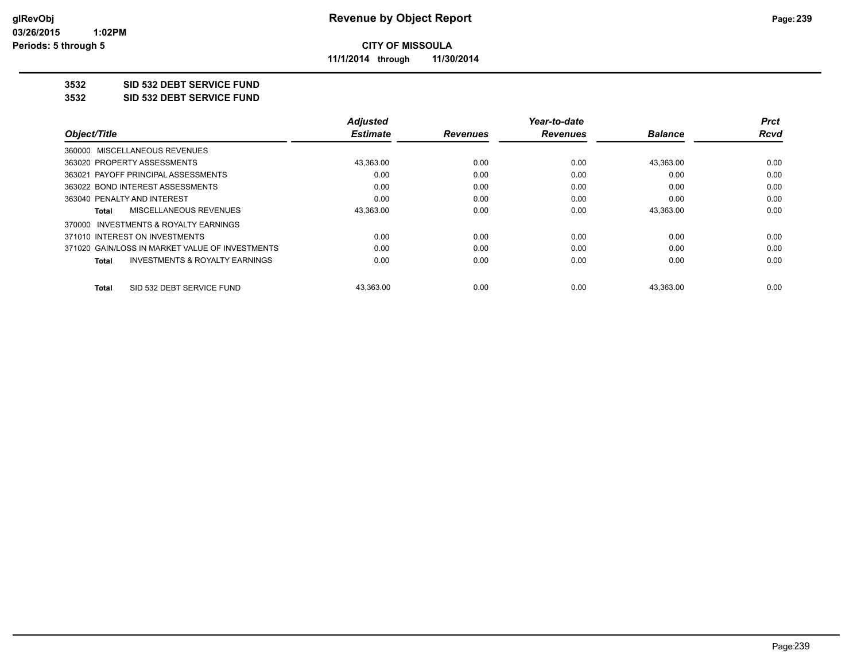**11/1/2014 through 11/30/2014**

### **3532 SID 532 DEBT SERVICE FUND**

**3532 SID 532 DEBT SERVICE FUND**

|                                                 | <b>Adjusted</b> |                 | Year-to-date    |                | Prct |
|-------------------------------------------------|-----------------|-----------------|-----------------|----------------|------|
| Object/Title                                    | <b>Estimate</b> | <b>Revenues</b> | <b>Revenues</b> | <b>Balance</b> | Rcvd |
| 360000 MISCELLANEOUS REVENUES                   |                 |                 |                 |                |      |
| 363020 PROPERTY ASSESSMENTS                     | 43,363.00       | 0.00            | 0.00            | 43,363.00      | 0.00 |
| 363021 PAYOFF PRINCIPAL ASSESSMENTS             | 0.00            | 0.00            | 0.00            | 0.00           | 0.00 |
| 363022 BOND INTEREST ASSESSMENTS                | 0.00            | 0.00            | 0.00            | 0.00           | 0.00 |
| 363040 PENALTY AND INTEREST                     | 0.00            | 0.00            | 0.00            | 0.00           | 0.00 |
| MISCELLANEOUS REVENUES<br>Total                 | 43,363.00       | 0.00            | 0.00            | 43.363.00      | 0.00 |
| 370000 INVESTMENTS & ROYALTY EARNINGS           |                 |                 |                 |                |      |
| 371010 INTEREST ON INVESTMENTS                  | 0.00            | 0.00            | 0.00            | 0.00           | 0.00 |
| 371020 GAIN/LOSS IN MARKET VALUE OF INVESTMENTS | 0.00            | 0.00            | 0.00            | 0.00           | 0.00 |
| INVESTMENTS & ROYALTY EARNINGS<br><b>Total</b>  | 0.00            | 0.00            | 0.00            | 0.00           | 0.00 |
| SID 532 DEBT SERVICE FUND<br>Total              | 43,363.00       | 0.00            | 0.00            | 43,363.00      | 0.00 |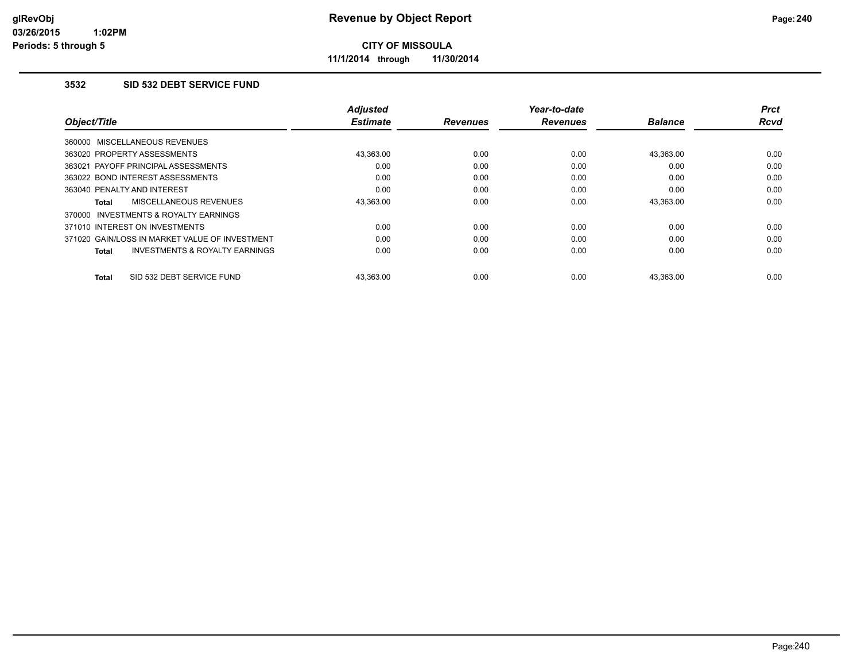**11/1/2014 through 11/30/2014**

#### **3532 SID 532 DEBT SERVICE FUND**

|                                                     | <b>Adjusted</b> |                 | Year-to-date    |                | Prct        |
|-----------------------------------------------------|-----------------|-----------------|-----------------|----------------|-------------|
| Object/Title                                        | <b>Estimate</b> | <b>Revenues</b> | <b>Revenues</b> | <b>Balance</b> | <b>Rcvd</b> |
| 360000 MISCELLANEOUS REVENUES                       |                 |                 |                 |                |             |
| 363020 PROPERTY ASSESSMENTS                         | 43.363.00       | 0.00            | 0.00            | 43.363.00      | 0.00        |
| 363021 PAYOFF PRINCIPAL ASSESSMENTS                 | 0.00            | 0.00            | 0.00            | 0.00           | 0.00        |
| 363022 BOND INTEREST ASSESSMENTS                    | 0.00            | 0.00            | 0.00            | 0.00           | 0.00        |
| 363040 PENALTY AND INTEREST                         | 0.00            | 0.00            | 0.00            | 0.00           | 0.00        |
| MISCELLANEOUS REVENUES<br>Total                     | 43,363.00       | 0.00            | 0.00            | 43,363.00      | 0.00        |
| <b>INVESTMENTS &amp; ROYALTY EARNINGS</b><br>370000 |                 |                 |                 |                |             |
| 371010 INTEREST ON INVESTMENTS                      | 0.00            | 0.00            | 0.00            | 0.00           | 0.00        |
| 371020 GAIN/LOSS IN MARKET VALUE OF INVESTMENT      | 0.00            | 0.00            | 0.00            | 0.00           | 0.00        |
| <b>INVESTMENTS &amp; ROYALTY EARNINGS</b><br>Total  | 0.00            | 0.00            | 0.00            | 0.00           | 0.00        |
| SID 532 DEBT SERVICE FUND<br>Total                  | 43.363.00       | 0.00            | 0.00            | 43.363.00      | 0.00        |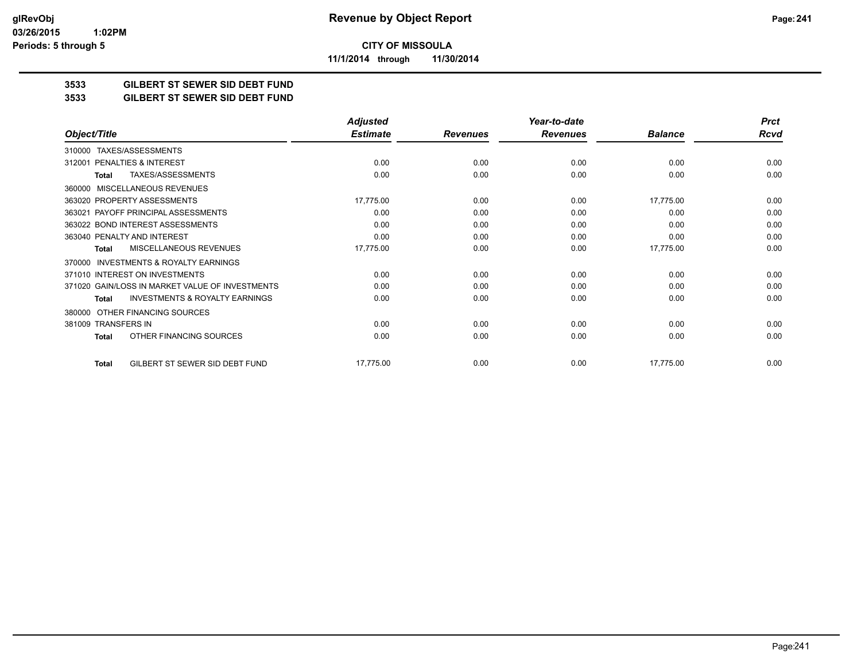**11/1/2014 through 11/30/2014**

#### **3533 GILBERT ST SEWER SID DEBT FUND**

#### **3533 GILBERT ST SEWER SID DEBT FUND**

|                                                           | <b>Adjusted</b> |                 | Year-to-date    |                | <b>Prct</b> |
|-----------------------------------------------------------|-----------------|-----------------|-----------------|----------------|-------------|
| Object/Title                                              | <b>Estimate</b> | <b>Revenues</b> | <b>Revenues</b> | <b>Balance</b> | <b>Rcvd</b> |
| TAXES/ASSESSMENTS<br>310000                               |                 |                 |                 |                |             |
| PENALTIES & INTEREST<br>312001                            | 0.00            | 0.00            | 0.00            | 0.00           | 0.00        |
| TAXES/ASSESSMENTS<br>Total                                | 0.00            | 0.00            | 0.00            | 0.00           | 0.00        |
| MISCELLANEOUS REVENUES<br>360000                          |                 |                 |                 |                |             |
| 363020 PROPERTY ASSESSMENTS                               | 17,775.00       | 0.00            | 0.00            | 17,775.00      | 0.00        |
| 363021 PAYOFF PRINCIPAL ASSESSMENTS                       | 0.00            | 0.00            | 0.00            | 0.00           | 0.00        |
| 363022 BOND INTEREST ASSESSMENTS                          | 0.00            | 0.00            | 0.00            | 0.00           | 0.00        |
| 363040 PENALTY AND INTEREST                               | 0.00            | 0.00            | 0.00            | 0.00           | 0.00        |
| MISCELLANEOUS REVENUES<br>Total                           | 17,775.00       | 0.00            | 0.00            | 17,775.00      | 0.00        |
| <b>INVESTMENTS &amp; ROYALTY EARNINGS</b><br>370000       |                 |                 |                 |                |             |
| 371010 INTEREST ON INVESTMENTS                            | 0.00            | 0.00            | 0.00            | 0.00           | 0.00        |
| 371020 GAIN/LOSS IN MARKET VALUE OF INVESTMENTS           | 0.00            | 0.00            | 0.00            | 0.00           | 0.00        |
| <b>INVESTMENTS &amp; ROYALTY EARNINGS</b><br><b>Total</b> | 0.00            | 0.00            | 0.00            | 0.00           | 0.00        |
| OTHER FINANCING SOURCES<br>380000                         |                 |                 |                 |                |             |
| 381009 TRANSFERS IN                                       | 0.00            | 0.00            | 0.00            | 0.00           | 0.00        |
| OTHER FINANCING SOURCES<br>Total                          | 0.00            | 0.00            | 0.00            | 0.00           | 0.00        |
| GILBERT ST SEWER SID DEBT FUND<br><b>Total</b>            | 17,775.00       | 0.00            | 0.00            | 17,775.00      | 0.00        |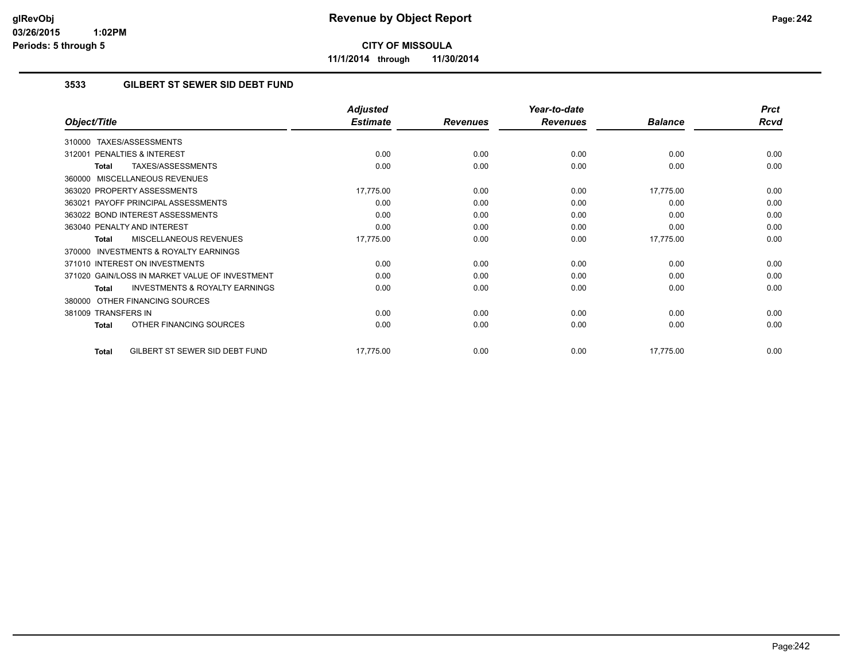**11/1/2014 through 11/30/2014**

### **3533 GILBERT ST SEWER SID DEBT FUND**

|                                                           | <b>Adjusted</b> |                 | Year-to-date    |                | <b>Prct</b> |
|-----------------------------------------------------------|-----------------|-----------------|-----------------|----------------|-------------|
| Object/Title                                              | <b>Estimate</b> | <b>Revenues</b> | <b>Revenues</b> | <b>Balance</b> | <b>Rcvd</b> |
| TAXES/ASSESSMENTS<br>310000                               |                 |                 |                 |                |             |
| 312001 PENALTIES & INTEREST                               | 0.00            | 0.00            | 0.00            | 0.00           | 0.00        |
| TAXES/ASSESSMENTS<br>Total                                | 0.00            | 0.00            | 0.00            | 0.00           | 0.00        |
| 360000 MISCELLANEOUS REVENUES                             |                 |                 |                 |                |             |
| 363020 PROPERTY ASSESSMENTS                               | 17,775.00       | 0.00            | 0.00            | 17,775.00      | 0.00        |
| 363021 PAYOFF PRINCIPAL ASSESSMENTS                       | 0.00            | 0.00            | 0.00            | 0.00           | 0.00        |
| 363022 BOND INTEREST ASSESSMENTS                          | 0.00            | 0.00            | 0.00            | 0.00           | 0.00        |
| 363040 PENALTY AND INTEREST                               | 0.00            | 0.00            | 0.00            | 0.00           | 0.00        |
| MISCELLANEOUS REVENUES<br><b>Total</b>                    | 17,775.00       | 0.00            | 0.00            | 17,775.00      | 0.00        |
| <b>INVESTMENTS &amp; ROYALTY EARNINGS</b><br>370000       |                 |                 |                 |                |             |
| 371010 INTEREST ON INVESTMENTS                            | 0.00            | 0.00            | 0.00            | 0.00           | 0.00        |
| 371020 GAIN/LOSS IN MARKET VALUE OF INVESTMENT            | 0.00            | 0.00            | 0.00            | 0.00           | 0.00        |
| <b>INVESTMENTS &amp; ROYALTY EARNINGS</b><br><b>Total</b> | 0.00            | 0.00            | 0.00            | 0.00           | 0.00        |
| 380000 OTHER FINANCING SOURCES                            |                 |                 |                 |                |             |
| 381009 TRANSFERS IN                                       | 0.00            | 0.00            | 0.00            | 0.00           | 0.00        |
| OTHER FINANCING SOURCES<br><b>Total</b>                   | 0.00            | 0.00            | 0.00            | 0.00           | 0.00        |
| GILBERT ST SEWER SID DEBT FUND<br>Total                   | 17,775.00       | 0.00            | 0.00            | 17,775.00      | 0.00        |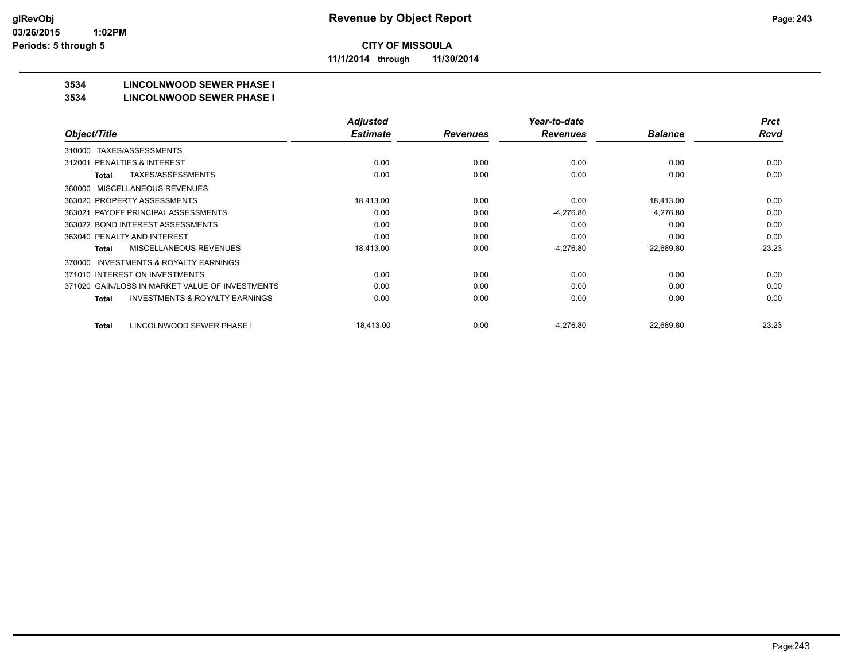**11/1/2014 through 11/30/2014**

## **3534 LINCOLNWOOD SEWER PHASE I**

#### **3534 LINCOLNWOOD SEWER PHASE I**

|                                                           | <b>Adjusted</b> |                 | Year-to-date    |                | <b>Prct</b> |
|-----------------------------------------------------------|-----------------|-----------------|-----------------|----------------|-------------|
| Object/Title                                              | <b>Estimate</b> | <b>Revenues</b> | <b>Revenues</b> | <b>Balance</b> | <b>Rcvd</b> |
| TAXES/ASSESSMENTS<br>310000                               |                 |                 |                 |                |             |
| PENALTIES & INTEREST<br>312001                            | 0.00            | 0.00            | 0.00            | 0.00           | 0.00        |
| TAXES/ASSESSMENTS<br><b>Total</b>                         | 0.00            | 0.00            | 0.00            | 0.00           | 0.00        |
| MISCELLANEOUS REVENUES<br>360000                          |                 |                 |                 |                |             |
| 363020 PROPERTY ASSESSMENTS                               | 18.413.00       | 0.00            | 0.00            | 18.413.00      | 0.00        |
| 363021 PAYOFF PRINCIPAL ASSESSMENTS                       | 0.00            | 0.00            | $-4,276.80$     | 4,276.80       | 0.00        |
| 363022 BOND INTEREST ASSESSMENTS                          | 0.00            | 0.00            | 0.00            | 0.00           | 0.00        |
| 363040 PENALTY AND INTEREST                               | 0.00            | 0.00            | 0.00            | 0.00           | 0.00        |
| <b>MISCELLANEOUS REVENUES</b><br><b>Total</b>             | 18,413.00       | 0.00            | $-4,276.80$     | 22,689.80      | $-23.23$    |
| <b>INVESTMENTS &amp; ROYALTY EARNINGS</b><br>370000       |                 |                 |                 |                |             |
| 371010 INTEREST ON INVESTMENTS                            | 0.00            | 0.00            | 0.00            | 0.00           | 0.00        |
| 371020 GAIN/LOSS IN MARKET VALUE OF INVESTMENTS           | 0.00            | 0.00            | 0.00            | 0.00           | 0.00        |
| <b>INVESTMENTS &amp; ROYALTY EARNINGS</b><br><b>Total</b> | 0.00            | 0.00            | 0.00            | 0.00           | 0.00        |
| LINCOLNWOOD SEWER PHASE I<br><b>Total</b>                 | 18,413.00       | 0.00            | $-4,276.80$     | 22,689.80      | $-23.23$    |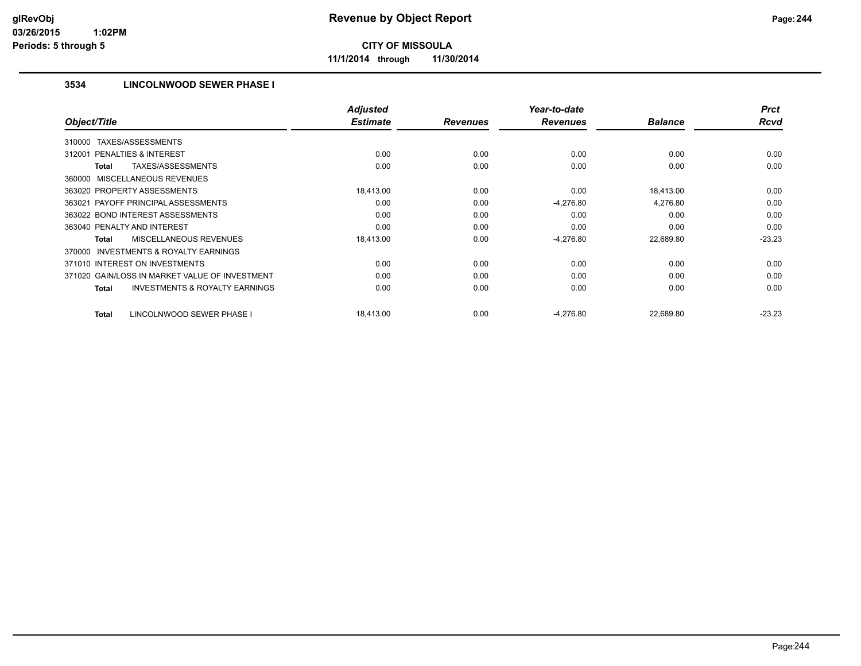**11/1/2014 through 11/30/2014**

### **3534 LINCOLNWOOD SEWER PHASE I**

|                                                    | <b>Adjusted</b> |                 | Year-to-date    |                | <b>Prct</b> |
|----------------------------------------------------|-----------------|-----------------|-----------------|----------------|-------------|
| Object/Title                                       | <b>Estimate</b> | <b>Revenues</b> | <b>Revenues</b> | <b>Balance</b> | <b>Rcvd</b> |
| TAXES/ASSESSMENTS<br>310000                        |                 |                 |                 |                |             |
| 312001 PENALTIES & INTEREST                        | 0.00            | 0.00            | 0.00            | 0.00           | 0.00        |
| TAXES/ASSESSMENTS<br>Total                         | 0.00            | 0.00            | 0.00            | 0.00           | 0.00        |
| 360000 MISCELLANEOUS REVENUES                      |                 |                 |                 |                |             |
| 363020 PROPERTY ASSESSMENTS                        | 18,413.00       | 0.00            | 0.00            | 18,413.00      | 0.00        |
| 363021 PAYOFF PRINCIPAL ASSESSMENTS                | 0.00            | 0.00            | $-4,276.80$     | 4,276.80       | 0.00        |
| 363022 BOND INTEREST ASSESSMENTS                   | 0.00            | 0.00            | 0.00            | 0.00           | 0.00        |
| 363040 PENALTY AND INTEREST                        | 0.00            | 0.00            | 0.00            | 0.00           | 0.00        |
| MISCELLANEOUS REVENUES<br>Total                    | 18,413.00       | 0.00            | $-4,276.80$     | 22,689.80      | $-23.23$    |
| 370000 INVESTMENTS & ROYALTY EARNINGS              |                 |                 |                 |                |             |
| 371010 INTEREST ON INVESTMENTS                     | 0.00            | 0.00            | 0.00            | 0.00           | 0.00        |
| 371020 GAIN/LOSS IN MARKET VALUE OF INVESTMENT     | 0.00            | 0.00            | 0.00            | 0.00           | 0.00        |
| <b>INVESTMENTS &amp; ROYALTY EARNINGS</b><br>Total | 0.00            | 0.00            | 0.00            | 0.00           | 0.00        |
| LINCOLNWOOD SEWER PHASE I<br>Total                 | 18,413.00       | 0.00            | $-4,276.80$     | 22,689.80      | $-23.23$    |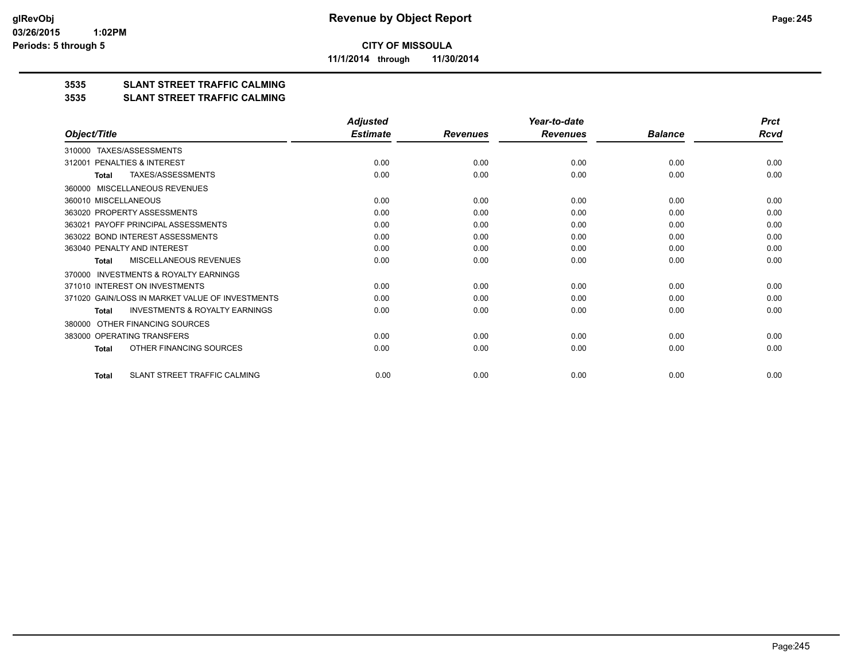**11/1/2014 through 11/30/2014**

### **3535 SLANT STREET TRAFFIC CALMING**

#### **3535 SLANT STREET TRAFFIC CALMING**

|                                                           | <b>Adjusted</b> |                 | Year-to-date    |                | <b>Prct</b> |
|-----------------------------------------------------------|-----------------|-----------------|-----------------|----------------|-------------|
| Object/Title                                              | <b>Estimate</b> | <b>Revenues</b> | <b>Revenues</b> | <b>Balance</b> | Rcvd        |
| TAXES/ASSESSMENTS<br>310000                               |                 |                 |                 |                |             |
| PENALTIES & INTEREST<br>312001                            | 0.00            | 0.00            | 0.00            | 0.00           | 0.00        |
| <b>TAXES/ASSESSMENTS</b><br><b>Total</b>                  | 0.00            | 0.00            | 0.00            | 0.00           | 0.00        |
| <b>MISCELLANEOUS REVENUES</b><br>360000                   |                 |                 |                 |                |             |
| 360010 MISCELLANEOUS                                      | 0.00            | 0.00            | 0.00            | 0.00           | 0.00        |
| 363020 PROPERTY ASSESSMENTS                               | 0.00            | 0.00            | 0.00            | 0.00           | 0.00        |
| 363021 PAYOFF PRINCIPAL ASSESSMENTS                       | 0.00            | 0.00            | 0.00            | 0.00           | 0.00        |
| 363022 BOND INTEREST ASSESSMENTS                          | 0.00            | 0.00            | 0.00            | 0.00           | 0.00        |
| 363040 PENALTY AND INTEREST                               | 0.00            | 0.00            | 0.00            | 0.00           | 0.00        |
| <b>MISCELLANEOUS REVENUES</b><br><b>Total</b>             | 0.00            | 0.00            | 0.00            | 0.00           | 0.00        |
| <b>INVESTMENTS &amp; ROYALTY EARNINGS</b><br>370000       |                 |                 |                 |                |             |
| 371010 INTEREST ON INVESTMENTS                            | 0.00            | 0.00            | 0.00            | 0.00           | 0.00        |
| 371020 GAIN/LOSS IN MARKET VALUE OF INVESTMENTS           | 0.00            | 0.00            | 0.00            | 0.00           | 0.00        |
| <b>INVESTMENTS &amp; ROYALTY EARNINGS</b><br><b>Total</b> | 0.00            | 0.00            | 0.00            | 0.00           | 0.00        |
| OTHER FINANCING SOURCES<br>380000                         |                 |                 |                 |                |             |
| 383000 OPERATING TRANSFERS                                | 0.00            | 0.00            | 0.00            | 0.00           | 0.00        |
| OTHER FINANCING SOURCES<br><b>Total</b>                   | 0.00            | 0.00            | 0.00            | 0.00           | 0.00        |
| SLANT STREET TRAFFIC CALMING<br><b>Total</b>              | 0.00            | 0.00            | 0.00            | 0.00           | 0.00        |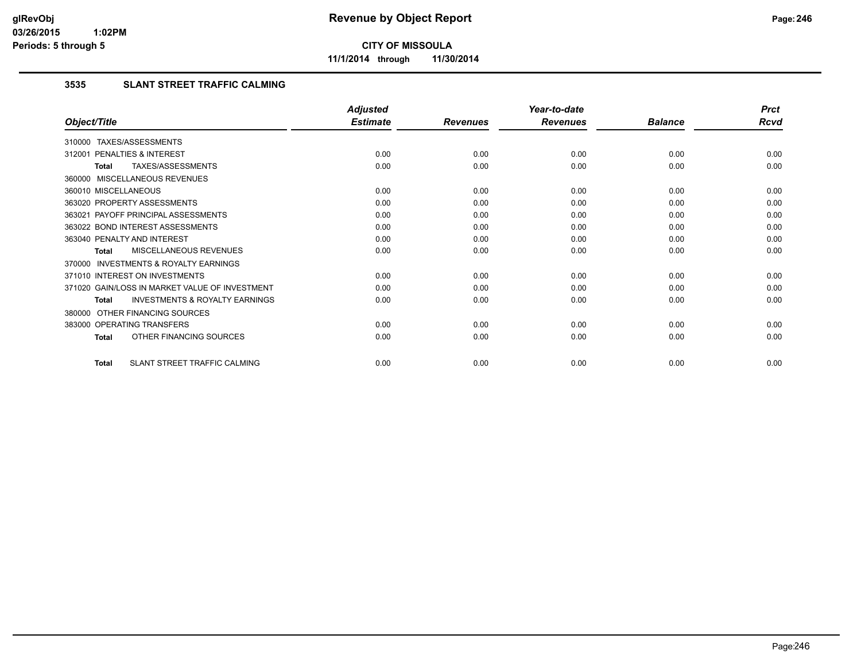**11/1/2014 through 11/30/2014**

### **3535 SLANT STREET TRAFFIC CALMING**

|                                                     | <b>Adjusted</b> |                 | Year-to-date    |                | <b>Prct</b> |
|-----------------------------------------------------|-----------------|-----------------|-----------------|----------------|-------------|
| Object/Title                                        | <b>Estimate</b> | <b>Revenues</b> | <b>Revenues</b> | <b>Balance</b> | Rcvd        |
| 310000 TAXES/ASSESSMENTS                            |                 |                 |                 |                |             |
| PENALTIES & INTEREST<br>312001                      | 0.00            | 0.00            | 0.00            | 0.00           | 0.00        |
| TAXES/ASSESSMENTS<br>Total                          | 0.00            | 0.00            | 0.00            | 0.00           | 0.00        |
| 360000 MISCELLANEOUS REVENUES                       |                 |                 |                 |                |             |
| 360010 MISCELLANEOUS                                | 0.00            | 0.00            | 0.00            | 0.00           | 0.00        |
| 363020 PROPERTY ASSESSMENTS                         | 0.00            | 0.00            | 0.00            | 0.00           | 0.00        |
| 363021 PAYOFF PRINCIPAL ASSESSMENTS                 | 0.00            | 0.00            | 0.00            | 0.00           | 0.00        |
| 363022 BOND INTEREST ASSESSMENTS                    | 0.00            | 0.00            | 0.00            | 0.00           | 0.00        |
| 363040 PENALTY AND INTEREST                         | 0.00            | 0.00            | 0.00            | 0.00           | 0.00        |
| MISCELLANEOUS REVENUES<br>Total                     | 0.00            | 0.00            | 0.00            | 0.00           | 0.00        |
| 370000 INVESTMENTS & ROYALTY EARNINGS               |                 |                 |                 |                |             |
| 371010 INTEREST ON INVESTMENTS                      | 0.00            | 0.00            | 0.00            | 0.00           | 0.00        |
| 371020 GAIN/LOSS IN MARKET VALUE OF INVESTMENT      | 0.00            | 0.00            | 0.00            | 0.00           | 0.00        |
| <b>INVESTMENTS &amp; ROYALTY EARNINGS</b><br>Total  | 0.00            | 0.00            | 0.00            | 0.00           | 0.00        |
| OTHER FINANCING SOURCES<br>380000                   |                 |                 |                 |                |             |
| 383000 OPERATING TRANSFERS                          | 0.00            | 0.00            | 0.00            | 0.00           | 0.00        |
| OTHER FINANCING SOURCES<br>Total                    | 0.00            | 0.00            | 0.00            | 0.00           | 0.00        |
|                                                     |                 |                 |                 |                |             |
| <b>SLANT STREET TRAFFIC CALMING</b><br><b>Total</b> | 0.00            | 0.00            | 0.00            | 0.00           | 0.00        |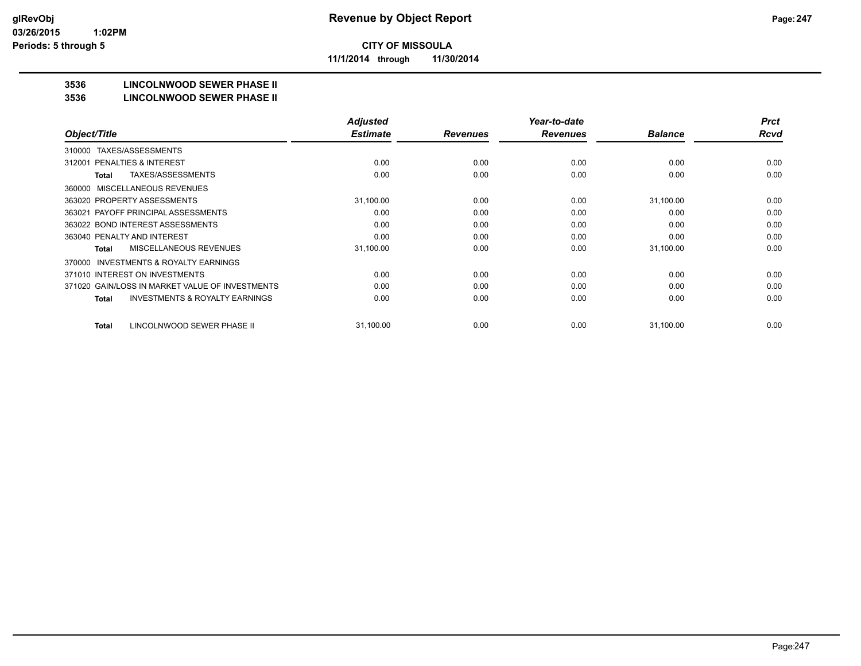**11/1/2014 through 11/30/2014**

### **3536 LINCOLNWOOD SEWER PHASE II**

#### **3536 LINCOLNWOOD SEWER PHASE II**

|                                                    | <b>Adjusted</b> |                 | Year-to-date    |                | <b>Prct</b> |
|----------------------------------------------------|-----------------|-----------------|-----------------|----------------|-------------|
| Object/Title                                       | <b>Estimate</b> | <b>Revenues</b> | <b>Revenues</b> | <b>Balance</b> | <b>Rcvd</b> |
| TAXES/ASSESSMENTS<br>310000                        |                 |                 |                 |                |             |
| PENALTIES & INTEREST<br>312001                     | 0.00            | 0.00            | 0.00            | 0.00           | 0.00        |
| TAXES/ASSESSMENTS<br>Total                         | 0.00            | 0.00            | 0.00            | 0.00           | 0.00        |
| MISCELLANEOUS REVENUES<br>360000                   |                 |                 |                 |                |             |
| 363020 PROPERTY ASSESSMENTS                        | 31,100.00       | 0.00            | 0.00            | 31,100.00      | 0.00        |
| 363021 PAYOFF PRINCIPAL ASSESSMENTS                | 0.00            | 0.00            | 0.00            | 0.00           | 0.00        |
| 363022 BOND INTEREST ASSESSMENTS                   | 0.00            | 0.00            | 0.00            | 0.00           | 0.00        |
| 363040 PENALTY AND INTEREST                        | 0.00            | 0.00            | 0.00            | 0.00           | 0.00        |
| MISCELLANEOUS REVENUES<br>Total                    | 31,100.00       | 0.00            | 0.00            | 31,100.00      | 0.00        |
| INVESTMENTS & ROYALTY EARNINGS<br>370000           |                 |                 |                 |                |             |
| 371010 INTEREST ON INVESTMENTS                     | 0.00            | 0.00            | 0.00            | 0.00           | 0.00        |
| 371020 GAIN/LOSS IN MARKET VALUE OF INVESTMENTS    | 0.00            | 0.00            | 0.00            | 0.00           | 0.00        |
| <b>INVESTMENTS &amp; ROYALTY EARNINGS</b><br>Total | 0.00            | 0.00            | 0.00            | 0.00           | 0.00        |
|                                                    |                 |                 |                 |                |             |
| LINCOLNWOOD SEWER PHASE II<br><b>Total</b>         | 31,100.00       | 0.00            | 0.00            | 31,100.00      | 0.00        |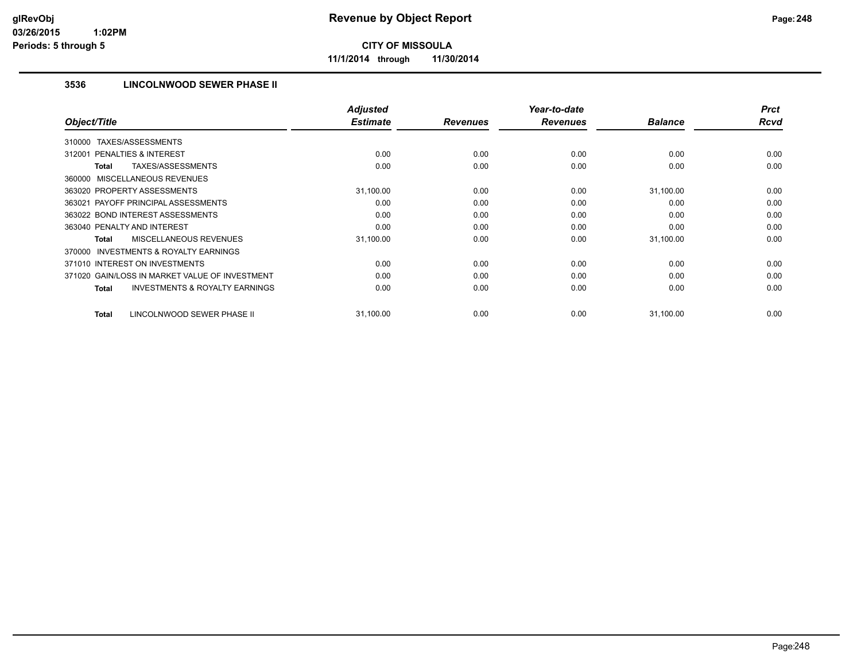**11/1/2014 through 11/30/2014**

### **3536 LINCOLNWOOD SEWER PHASE II**

|                                                           | <b>Adjusted</b> |                 | Year-to-date    |                | <b>Prct</b> |
|-----------------------------------------------------------|-----------------|-----------------|-----------------|----------------|-------------|
| Object/Title                                              | <b>Estimate</b> | <b>Revenues</b> | <b>Revenues</b> | <b>Balance</b> | <b>Rcvd</b> |
| TAXES/ASSESSMENTS<br>310000                               |                 |                 |                 |                |             |
| PENALTIES & INTEREST<br>312001                            | 0.00            | 0.00            | 0.00            | 0.00           | 0.00        |
| TAXES/ASSESSMENTS<br><b>Total</b>                         | 0.00            | 0.00            | 0.00            | 0.00           | 0.00        |
| 360000 MISCELLANEOUS REVENUES                             |                 |                 |                 |                |             |
| 363020 PROPERTY ASSESSMENTS                               | 31,100.00       | 0.00            | 0.00            | 31,100.00      | 0.00        |
| 363021 PAYOFF PRINCIPAL ASSESSMENTS                       | 0.00            | 0.00            | 0.00            | 0.00           | 0.00        |
| 363022 BOND INTEREST ASSESSMENTS                          | 0.00            | 0.00            | 0.00            | 0.00           | 0.00        |
| 363040 PENALTY AND INTEREST                               | 0.00            | 0.00            | 0.00            | 0.00           | 0.00        |
| <b>MISCELLANEOUS REVENUES</b><br>Total                    | 31,100.00       | 0.00            | 0.00            | 31,100.00      | 0.00        |
| <b>INVESTMENTS &amp; ROYALTY EARNINGS</b><br>370000       |                 |                 |                 |                |             |
| 371010 INTEREST ON INVESTMENTS                            | 0.00            | 0.00            | 0.00            | 0.00           | 0.00        |
| 371020 GAIN/LOSS IN MARKET VALUE OF INVESTMENT            | 0.00            | 0.00            | 0.00            | 0.00           | 0.00        |
| <b>INVESTMENTS &amp; ROYALTY EARNINGS</b><br><b>Total</b> | 0.00            | 0.00            | 0.00            | 0.00           | 0.00        |
| LINCOLNWOOD SEWER PHASE II<br><b>Total</b>                | 31,100.00       | 0.00            | 0.00            | 31,100.00      | 0.00        |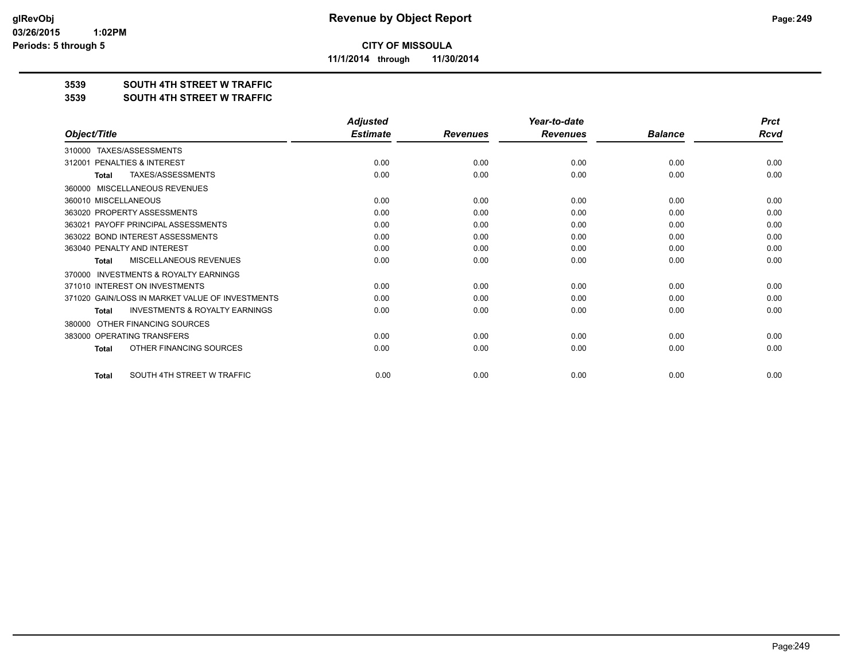**11/1/2014 through 11/30/2014**

#### **3539 SOUTH 4TH STREET W TRAFFIC**

#### **3539 SOUTH 4TH STREET W TRAFFIC**

|                                                           | <b>Adjusted</b> |                 | Year-to-date    |                | <b>Prct</b> |
|-----------------------------------------------------------|-----------------|-----------------|-----------------|----------------|-------------|
| Object/Title                                              | <b>Estimate</b> | <b>Revenues</b> | <b>Revenues</b> | <b>Balance</b> | <b>Rcvd</b> |
| TAXES/ASSESSMENTS<br>310000                               |                 |                 |                 |                |             |
| PENALTIES & INTEREST<br>312001                            | 0.00            | 0.00            | 0.00            | 0.00           | 0.00        |
| <b>TAXES/ASSESSMENTS</b><br><b>Total</b>                  | 0.00            | 0.00            | 0.00            | 0.00           | 0.00        |
| MISCELLANEOUS REVENUES<br>360000                          |                 |                 |                 |                |             |
| 360010 MISCELLANEOUS                                      | 0.00            | 0.00            | 0.00            | 0.00           | 0.00        |
| 363020 PROPERTY ASSESSMENTS                               | 0.00            | 0.00            | 0.00            | 0.00           | 0.00        |
| PAYOFF PRINCIPAL ASSESSMENTS<br>363021                    | 0.00            | 0.00            | 0.00            | 0.00           | 0.00        |
| 363022 BOND INTEREST ASSESSMENTS                          | 0.00            | 0.00            | 0.00            | 0.00           | 0.00        |
| 363040 PENALTY AND INTEREST                               | 0.00            | 0.00            | 0.00            | 0.00           | 0.00        |
| <b>MISCELLANEOUS REVENUES</b><br><b>Total</b>             | 0.00            | 0.00            | 0.00            | 0.00           | 0.00        |
| <b>INVESTMENTS &amp; ROYALTY EARNINGS</b><br>370000       |                 |                 |                 |                |             |
| 371010 INTEREST ON INVESTMENTS                            | 0.00            | 0.00            | 0.00            | 0.00           | 0.00        |
| 371020 GAIN/LOSS IN MARKET VALUE OF INVESTMENTS           | 0.00            | 0.00            | 0.00            | 0.00           | 0.00        |
| <b>INVESTMENTS &amp; ROYALTY EARNINGS</b><br><b>Total</b> | 0.00            | 0.00            | 0.00            | 0.00           | 0.00        |
| OTHER FINANCING SOURCES<br>380000                         |                 |                 |                 |                |             |
| 383000 OPERATING TRANSFERS                                | 0.00            | 0.00            | 0.00            | 0.00           | 0.00        |
| OTHER FINANCING SOURCES<br><b>Total</b>                   | 0.00            | 0.00            | 0.00            | 0.00           | 0.00        |
| SOUTH 4TH STREET W TRAFFIC<br><b>Total</b>                | 0.00            | 0.00            | 0.00            | 0.00           | 0.00        |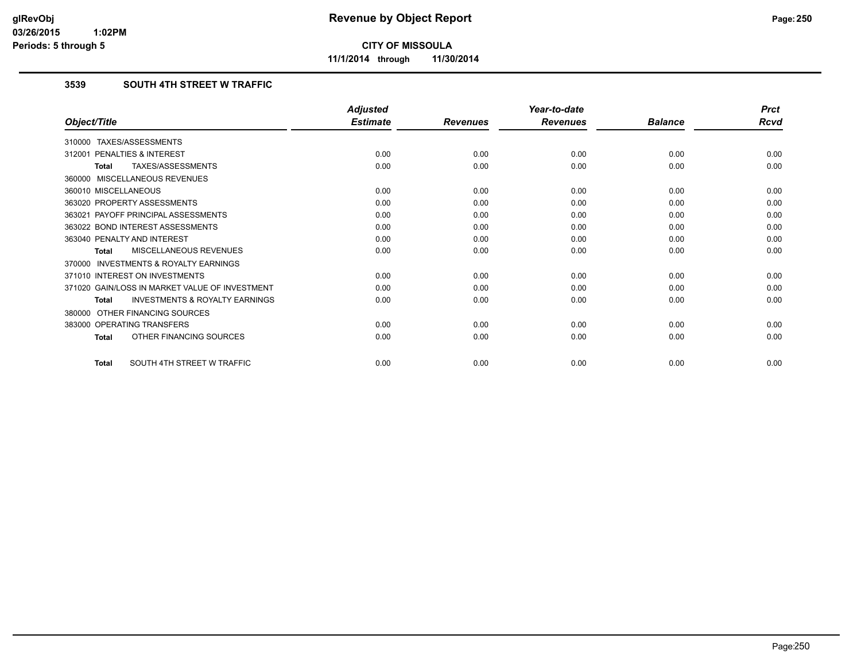**11/1/2014 through 11/30/2014**

### **3539 SOUTH 4TH STREET W TRAFFIC**

|                                                    | <b>Adjusted</b> |                 | Year-to-date    |                | <b>Prct</b> |
|----------------------------------------------------|-----------------|-----------------|-----------------|----------------|-------------|
| Object/Title                                       | <b>Estimate</b> | <b>Revenues</b> | <b>Revenues</b> | <b>Balance</b> | Rcvd        |
| 310000 TAXES/ASSESSMENTS                           |                 |                 |                 |                |             |
| PENALTIES & INTEREST<br>312001                     | 0.00            | 0.00            | 0.00            | 0.00           | 0.00        |
| TAXES/ASSESSMENTS<br>Total                         | 0.00            | 0.00            | 0.00            | 0.00           | 0.00        |
| 360000 MISCELLANEOUS REVENUES                      |                 |                 |                 |                |             |
| 360010 MISCELLANEOUS                               | 0.00            | 0.00            | 0.00            | 0.00           | 0.00        |
| 363020 PROPERTY ASSESSMENTS                        | 0.00            | 0.00            | 0.00            | 0.00           | 0.00        |
| 363021 PAYOFF PRINCIPAL ASSESSMENTS                | 0.00            | 0.00            | 0.00            | 0.00           | 0.00        |
| 363022 BOND INTEREST ASSESSMENTS                   | 0.00            | 0.00            | 0.00            | 0.00           | 0.00        |
| 363040 PENALTY AND INTEREST                        | 0.00            | 0.00            | 0.00            | 0.00           | 0.00        |
| MISCELLANEOUS REVENUES<br>Total                    | 0.00            | 0.00            | 0.00            | 0.00           | 0.00        |
| 370000 INVESTMENTS & ROYALTY EARNINGS              |                 |                 |                 |                |             |
| 371010 INTEREST ON INVESTMENTS                     | 0.00            | 0.00            | 0.00            | 0.00           | 0.00        |
| 371020 GAIN/LOSS IN MARKET VALUE OF INVESTMENT     | 0.00            | 0.00            | 0.00            | 0.00           | 0.00        |
| <b>INVESTMENTS &amp; ROYALTY EARNINGS</b><br>Total | 0.00            | 0.00            | 0.00            | 0.00           | 0.00        |
| 380000 OTHER FINANCING SOURCES                     |                 |                 |                 |                |             |
| 383000 OPERATING TRANSFERS                         | 0.00            | 0.00            | 0.00            | 0.00           | 0.00        |
| OTHER FINANCING SOURCES<br>Total                   | 0.00            | 0.00            | 0.00            | 0.00           | 0.00        |
| SOUTH 4TH STREET W TRAFFIC<br><b>Total</b>         | 0.00            | 0.00            | 0.00            | 0.00           | 0.00        |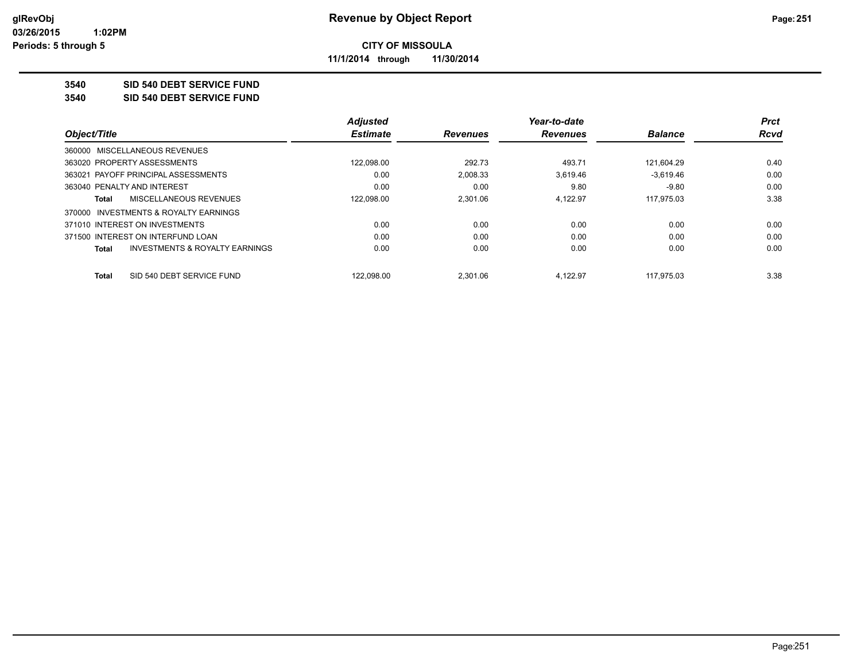**11/1/2014 through 11/30/2014**

#### **3540 SID 540 DEBT SERVICE FUND**

**3540 SID 540 DEBT SERVICE FUND**

|              |                                           | <b>Adjusted</b> |                 | Year-to-date    |                | <b>Prct</b> |
|--------------|-------------------------------------------|-----------------|-----------------|-----------------|----------------|-------------|
| Object/Title |                                           | <b>Estimate</b> | <b>Revenues</b> | <b>Revenues</b> | <b>Balance</b> | <b>Rcvd</b> |
|              | 360000 MISCELLANEOUS REVENUES             |                 |                 |                 |                |             |
|              | 363020 PROPERTY ASSESSMENTS               | 122.098.00      | 292.73          | 493.71          | 121.604.29     | 0.40        |
|              | 363021 PAYOFF PRINCIPAL ASSESSMENTS       | 0.00            | 2.008.33        | 3.619.46        | $-3.619.46$    | 0.00        |
|              | 363040 PENALTY AND INTEREST               | 0.00            | 0.00            | 9.80            | $-9.80$        | 0.00        |
| Total        | MISCELLANEOUS REVENUES                    | 122,098.00      | 2.301.06        | 4.122.97        | 117.975.03     | 3.38        |
|              | 370000 INVESTMENTS & ROYALTY EARNINGS     |                 |                 |                 |                |             |
|              | 371010 INTEREST ON INVESTMENTS            | 0.00            | 0.00            | 0.00            | 0.00           | 0.00        |
|              | 371500 INTEREST ON INTERFUND LOAN         | 0.00            | 0.00            | 0.00            | 0.00           | 0.00        |
| Total        | <b>INVESTMENTS &amp; ROYALTY EARNINGS</b> | 0.00            | 0.00            | 0.00            | 0.00           | 0.00        |
| <b>Total</b> | SID 540 DEBT SERVICE FUND                 | 122.098.00      | 2.301.06        | 4.122.97        | 117.975.03     | 3.38        |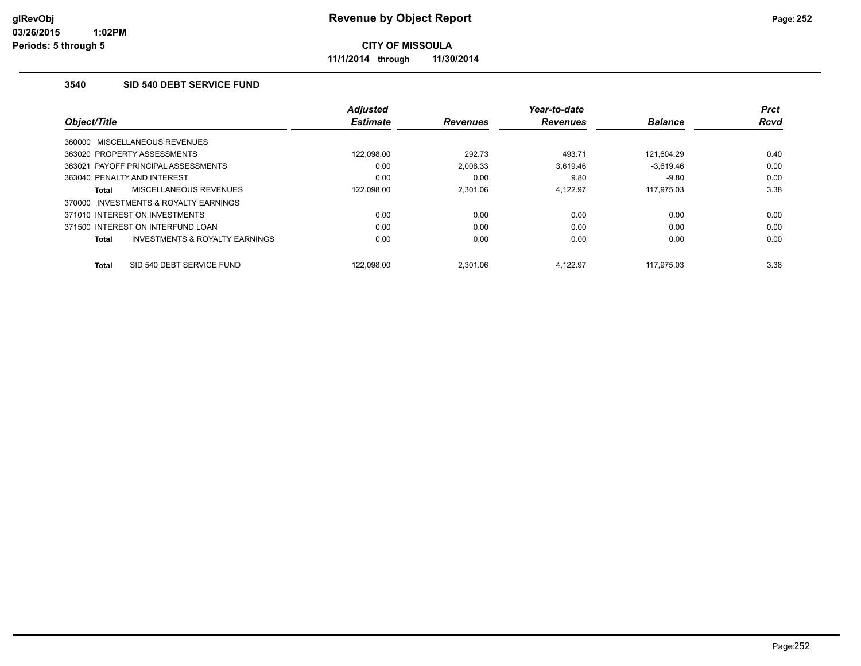**11/1/2014 through 11/30/2014**

#### **3540 SID 540 DEBT SERVICE FUND**

| Object/Title                                   | <b>Adjusted</b><br><b>Estimate</b> | <b>Revenues</b> | Year-to-date<br><b>Revenues</b> | <b>Balance</b> | <b>Prct</b><br><b>Rcvd</b> |
|------------------------------------------------|------------------------------------|-----------------|---------------------------------|----------------|----------------------------|
| 360000 MISCELLANEOUS REVENUES                  |                                    |                 |                                 |                |                            |
| 363020 PROPERTY ASSESSMENTS                    | 122.098.00                         | 292.73          | 493.71                          | 121.604.29     | 0.40                       |
| 363021 PAYOFF PRINCIPAL ASSESSMENTS            | 0.00                               | 2,008.33        | 3.619.46                        | $-3.619.46$    | 0.00                       |
| 363040 PENALTY AND INTEREST                    | 0.00                               | 0.00            | 9.80                            | $-9.80$        | 0.00                       |
| MISCELLANEOUS REVENUES<br>Total                | 122,098.00                         | 2.301.06        | 4,122.97                        | 117.975.03     | 3.38                       |
| INVESTMENTS & ROYALTY EARNINGS<br>370000       |                                    |                 |                                 |                |                            |
| 371010 INTEREST ON INVESTMENTS                 | 0.00                               | 0.00            | 0.00                            | 0.00           | 0.00                       |
| 371500 INTEREST ON INTERFUND LOAN              | 0.00                               | 0.00            | 0.00                            | 0.00           | 0.00                       |
| INVESTMENTS & ROYALTY EARNINGS<br><b>Total</b> | 0.00                               | 0.00            | 0.00                            | 0.00           | 0.00                       |
| SID 540 DEBT SERVICE FUND<br><b>Total</b>      | 122.098.00                         | 2.301.06        | 4.122.97                        | 117.975.03     | 3.38                       |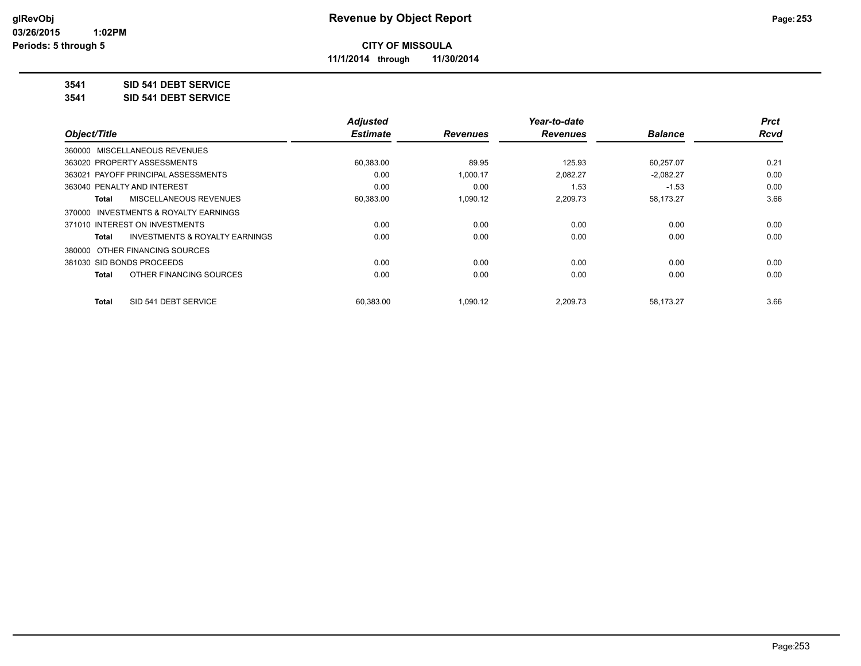**11/1/2014 through 11/30/2014**

## **3541 SID 541 DEBT SERVICE**

**3541 SID 541 DEBT SERVICE**

|                                         | <b>Adjusted</b> |                 | Year-to-date    |                | <b>Prct</b> |
|-----------------------------------------|-----------------|-----------------|-----------------|----------------|-------------|
| Object/Title                            | <b>Estimate</b> | <b>Revenues</b> | <b>Revenues</b> | <b>Balance</b> | <b>Rcvd</b> |
| 360000 MISCELLANEOUS REVENUES           |                 |                 |                 |                |             |
| 363020 PROPERTY ASSESSMENTS             | 60,383.00       | 89.95           | 125.93          | 60,257.07      | 0.21        |
| 363021 PAYOFF PRINCIPAL ASSESSMENTS     | 0.00            | 1.000.17        | 2,082.27        | $-2,082.27$    | 0.00        |
| 363040 PENALTY AND INTEREST             | 0.00            | 0.00            | 1.53            | $-1.53$        | 0.00        |
| MISCELLANEOUS REVENUES<br>Total         | 60,383.00       | 1,090.12        | 2,209.73        | 58,173.27      | 3.66        |
| 370000 INVESTMENTS & ROYALTY EARNINGS   |                 |                 |                 |                |             |
| 371010 INTEREST ON INVESTMENTS          | 0.00            | 0.00            | 0.00            | 0.00           | 0.00        |
| INVESTMENTS & ROYALTY EARNINGS<br>Total | 0.00            | 0.00            | 0.00            | 0.00           | 0.00        |
| 380000 OTHER FINANCING SOURCES          |                 |                 |                 |                |             |
| 381030 SID BONDS PROCEEDS               | 0.00            | 0.00            | 0.00            | 0.00           | 0.00        |
| OTHER FINANCING SOURCES<br>Total        | 0.00            | 0.00            | 0.00            | 0.00           | 0.00        |
| SID 541 DEBT SERVICE<br>Total           | 60.383.00       | 1.090.12        | 2.209.73        | 58,173.27      | 3.66        |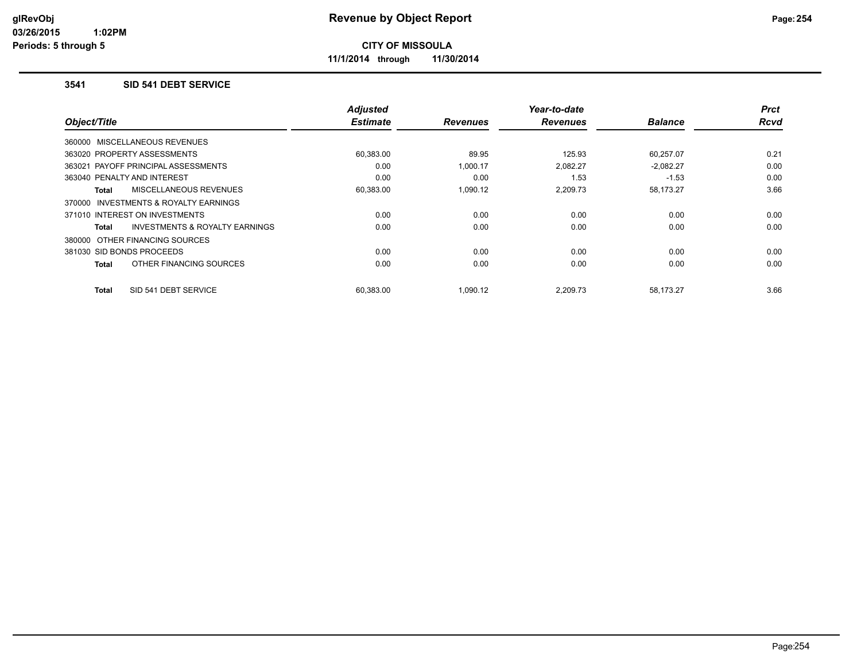**11/1/2014 through 11/30/2014**

#### **3541 SID 541 DEBT SERVICE**

| Object/Title                                       | <b>Adjusted</b><br><b>Estimate</b> | <b>Revenues</b> | Year-to-date<br><b>Revenues</b> | <b>Balance</b> | <b>Prct</b><br><b>Rcvd</b> |
|----------------------------------------------------|------------------------------------|-----------------|---------------------------------|----------------|----------------------------|
|                                                    |                                    |                 |                                 |                |                            |
| 360000 MISCELLANEOUS REVENUES                      |                                    |                 |                                 |                |                            |
| 363020 PROPERTY ASSESSMENTS                        | 60,383.00                          | 89.95           | 125.93                          | 60,257.07      | 0.21                       |
| 363021 PAYOFF PRINCIPAL ASSESSMENTS                | 0.00                               | 1,000.17        | 2,082.27                        | $-2,082.27$    | 0.00                       |
| 363040 PENALTY AND INTEREST                        | 0.00                               | 0.00            | 1.53                            | $-1.53$        | 0.00                       |
| <b>MISCELLANEOUS REVENUES</b><br>Total             | 60,383.00                          | 1,090.12        | 2.209.73                        | 58,173.27      | 3.66                       |
| INVESTMENTS & ROYALTY EARNINGS<br>370000           |                                    |                 |                                 |                |                            |
| 371010 INTEREST ON INVESTMENTS                     | 0.00                               | 0.00            | 0.00                            | 0.00           | 0.00                       |
| <b>INVESTMENTS &amp; ROYALTY EARNINGS</b><br>Total | 0.00                               | 0.00            | 0.00                            | 0.00           | 0.00                       |
| 380000 OTHER FINANCING SOURCES                     |                                    |                 |                                 |                |                            |
| 381030 SID BONDS PROCEEDS                          | 0.00                               | 0.00            | 0.00                            | 0.00           | 0.00                       |
| OTHER FINANCING SOURCES<br>Total                   | 0.00                               | 0.00            | 0.00                            | 0.00           | 0.00                       |
| SID 541 DEBT SERVICE<br>Total                      | 60,383.00                          | 1,090.12        | 2,209.73                        | 58,173.27      | 3.66                       |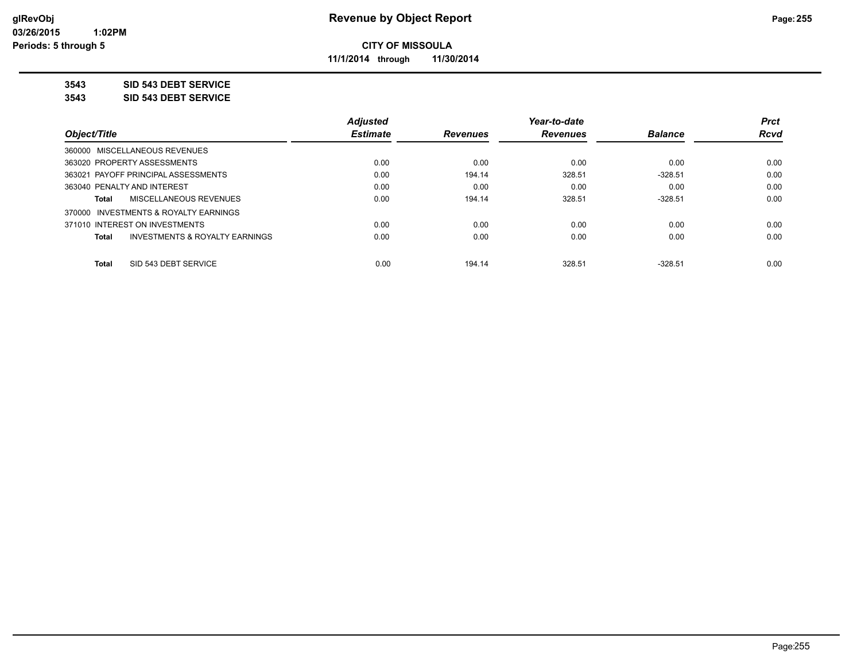**11/1/2014 through 11/30/2014**

**3543 SID 543 DEBT SERVICE**

**3543 SID 543 DEBT SERVICE**

|                                                    | <b>Adjusted</b> |                 | Year-to-date    |                | <b>Prct</b> |
|----------------------------------------------------|-----------------|-----------------|-----------------|----------------|-------------|
| Object/Title                                       | <b>Estimate</b> | <b>Revenues</b> | <b>Revenues</b> | <b>Balance</b> | <b>Rcvd</b> |
| 360000 MISCELLANEOUS REVENUES                      |                 |                 |                 |                |             |
| 363020 PROPERTY ASSESSMENTS                        | 0.00            | 0.00            | 0.00            | 0.00           | 0.00        |
| 363021 PAYOFF PRINCIPAL ASSESSMENTS                | 0.00            | 194.14          | 328.51          | $-328.51$      | 0.00        |
| 363040 PENALTY AND INTEREST                        | 0.00            | 0.00            | 0.00            | 0.00           | 0.00        |
| MISCELLANEOUS REVENUES<br>Total                    | 0.00            | 194.14          | 328.51          | $-328.51$      | 0.00        |
| 370000 INVESTMENTS & ROYALTY EARNINGS              |                 |                 |                 |                |             |
| 371010 INTEREST ON INVESTMENTS                     | 0.00            | 0.00            | 0.00            | 0.00           | 0.00        |
| <b>INVESTMENTS &amp; ROYALTY EARNINGS</b><br>Total | 0.00            | 0.00            | 0.00            | 0.00           | 0.00        |
| SID 543 DEBT SERVICE<br><b>Total</b>               | 0.00            | 194.14          | 328.51          | $-328.51$      | 0.00        |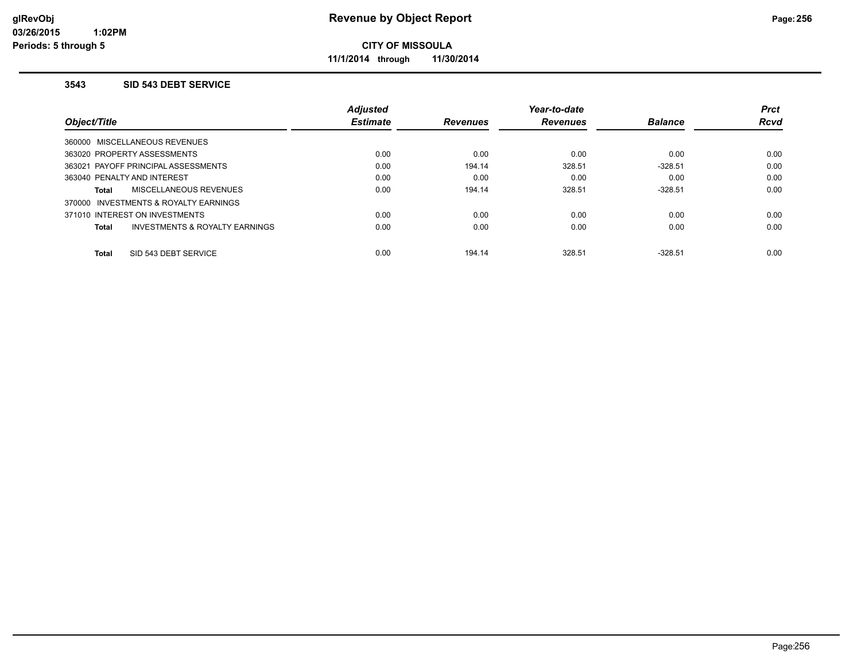**11/1/2014 through 11/30/2014**

#### **3543 SID 543 DEBT SERVICE**

|                                                    | <b>Adjusted</b> |                 | Year-to-date    |                | <b>Prct</b> |
|----------------------------------------------------|-----------------|-----------------|-----------------|----------------|-------------|
| Object/Title                                       | <b>Estimate</b> | <b>Revenues</b> | <b>Revenues</b> | <b>Balance</b> | <b>Rcvd</b> |
| 360000 MISCELLANEOUS REVENUES                      |                 |                 |                 |                |             |
| 363020 PROPERTY ASSESSMENTS                        | 0.00            | 0.00            | 0.00            | 0.00           | 0.00        |
| 363021 PAYOFF PRINCIPAL ASSESSMENTS                | 0.00            | 194.14          | 328.51          | $-328.51$      | 0.00        |
| 363040 PENALTY AND INTEREST                        | 0.00            | 0.00            | 0.00            | 0.00           | 0.00        |
| <b>MISCELLANEOUS REVENUES</b><br>Total             | 0.00            | 194.14          | 328.51          | $-328.51$      | 0.00        |
| 370000 INVESTMENTS & ROYALTY EARNINGS              |                 |                 |                 |                |             |
| 371010 INTEREST ON INVESTMENTS                     | 0.00            | 0.00            | 0.00            | 0.00           | 0.00        |
| <b>INVESTMENTS &amp; ROYALTY EARNINGS</b><br>Total | 0.00            | 0.00            | 0.00            | 0.00           | 0.00        |
| SID 543 DEBT SERVICE<br><b>Total</b>               | 0.00            | 194.14          | 328.51          | $-328.51$      | 0.00        |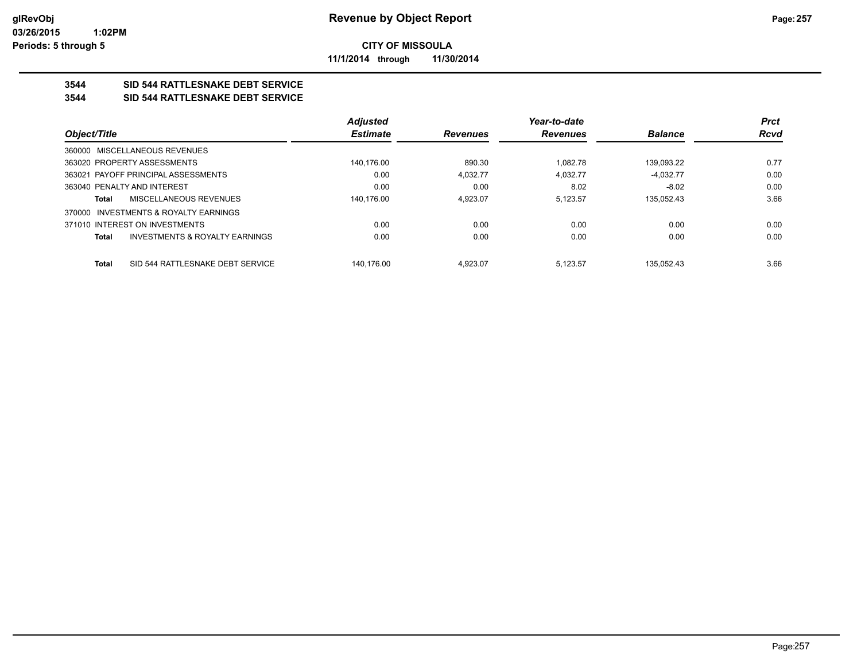**11/1/2014 through 11/30/2014**

# **3544 SID 544 RATTLESNAKE DEBT SERVICE**

#### **3544 SID 544 RATTLESNAKE DEBT SERVICE**

|                                                           | <b>Adjusted</b> |                 | Year-to-date    |                | <b>Prct</b> |
|-----------------------------------------------------------|-----------------|-----------------|-----------------|----------------|-------------|
| Object/Title                                              | <b>Estimate</b> | <b>Revenues</b> | <b>Revenues</b> | <b>Balance</b> | Rcvd        |
| 360000 MISCELLANEOUS REVENUES                             |                 |                 |                 |                |             |
| 363020 PROPERTY ASSESSMENTS                               | 140,176.00      | 890.30          | 1.082.78        | 139,093.22     | 0.77        |
| 363021 PAYOFF PRINCIPAL ASSESSMENTS                       | 0.00            | 4.032.77        | 4.032.77        | $-4.032.77$    | 0.00        |
| 363040 PENALTY AND INTEREST                               | 0.00            | 0.00            | 8.02            | $-8.02$        | 0.00        |
| MISCELLANEOUS REVENUES<br><b>Total</b>                    | 140.176.00      | 4.923.07        | 5.123.57        | 135.052.43     | 3.66        |
| 370000 INVESTMENTS & ROYALTY EARNINGS                     |                 |                 |                 |                |             |
| 371010 INTEREST ON INVESTMENTS                            | 0.00            | 0.00            | 0.00            | 0.00           | 0.00        |
| <b>INVESTMENTS &amp; ROYALTY EARNINGS</b><br><b>Total</b> | 0.00            | 0.00            | 0.00            | 0.00           | 0.00        |
| SID 544 RATTLESNAKE DEBT SERVICE<br><b>Total</b>          | 140.176.00      | 4.923.07        | 5.123.57        | 135.052.43     | 3.66        |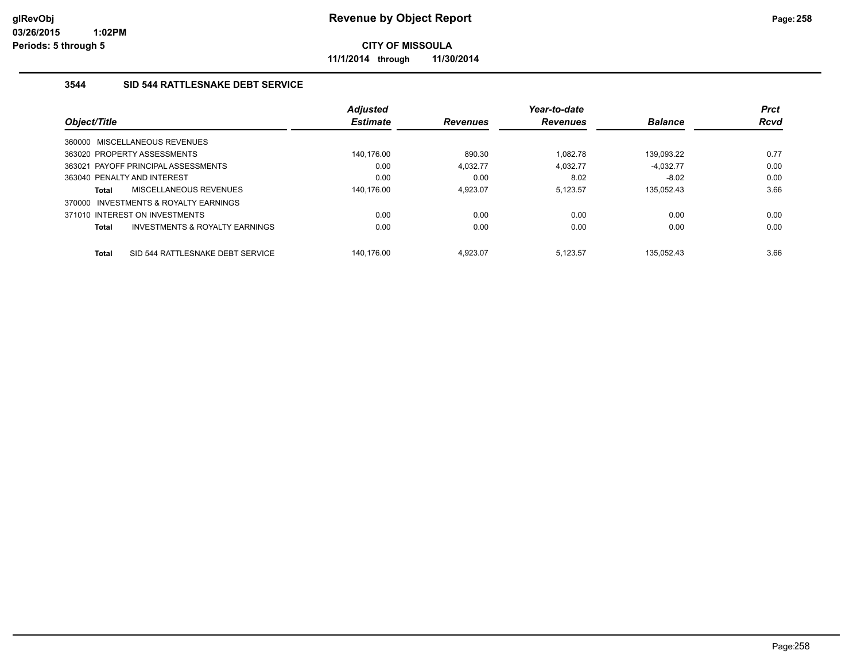**11/1/2014 through 11/30/2014**

## **3544 SID 544 RATTLESNAKE DEBT SERVICE**

|              |                                           | <b>Adjusted</b> |                 | Year-to-date    |                | <b>Prct</b> |
|--------------|-------------------------------------------|-----------------|-----------------|-----------------|----------------|-------------|
| Object/Title |                                           | <b>Estimate</b> | <b>Revenues</b> | <b>Revenues</b> | <b>Balance</b> | <b>Rcvd</b> |
|              | 360000 MISCELLANEOUS REVENUES             |                 |                 |                 |                |             |
|              | 363020 PROPERTY ASSESSMENTS               | 140.176.00      | 890.30          | 1.082.78        | 139,093.22     | 0.77        |
|              | 363021 PAYOFF PRINCIPAL ASSESSMENTS       | 0.00            | 4.032.77        | 4.032.77        | $-4.032.77$    | 0.00        |
|              | 363040 PENALTY AND INTEREST               | 0.00            | 0.00            | 8.02            | $-8.02$        | 0.00        |
| Total        | <b>MISCELLANEOUS REVENUES</b>             | 140.176.00      | 4.923.07        | 5.123.57        | 135.052.43     | 3.66        |
| 370000       | INVESTMENTS & ROYALTY EARNINGS            |                 |                 |                 |                |             |
|              | 371010 INTEREST ON INVESTMENTS            | 0.00            | 0.00            | 0.00            | 0.00           | 0.00        |
| Total        | <b>INVESTMENTS &amp; ROYALTY EARNINGS</b> | 0.00            | 0.00            | 0.00            | 0.00           | 0.00        |
| <b>Total</b> | SID 544 RATTLESNAKE DEBT SERVICE          | 140.176.00      | 4.923.07        | 5.123.57        | 135.052.43     | 3.66        |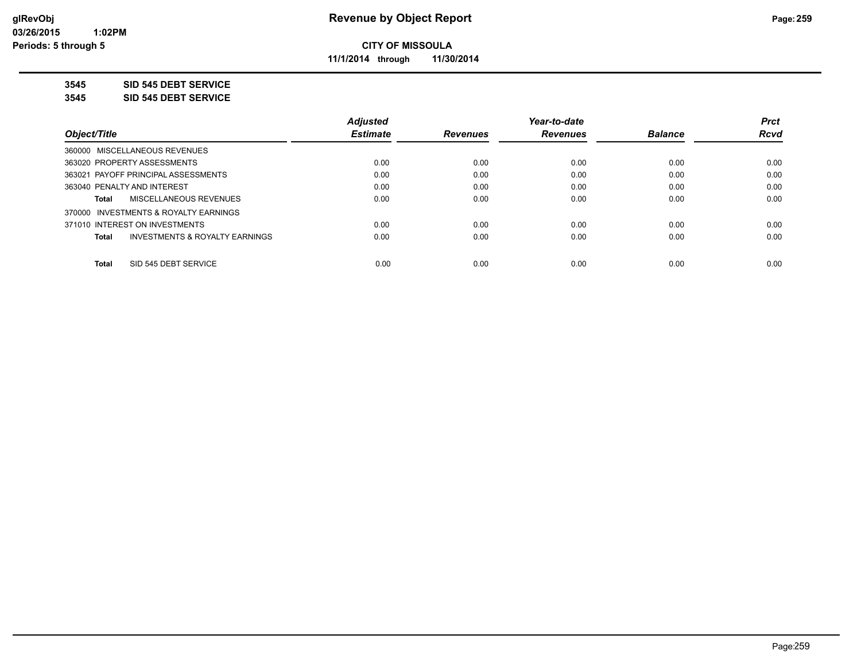**11/1/2014 through 11/30/2014**

#### **3545 SID 545 DEBT SERVICE**

**3545 SID 545 DEBT SERVICE**

|                                                    | <b>Adjusted</b> |                 | Year-to-date    |                | <b>Prct</b> |
|----------------------------------------------------|-----------------|-----------------|-----------------|----------------|-------------|
| Object/Title                                       | <b>Estimate</b> | <b>Revenues</b> | <b>Revenues</b> | <b>Balance</b> | <b>Rcvd</b> |
| 360000 MISCELLANEOUS REVENUES                      |                 |                 |                 |                |             |
| 363020 PROPERTY ASSESSMENTS                        | 0.00            | 0.00            | 0.00            | 0.00           | 0.00        |
| 363021 PAYOFF PRINCIPAL ASSESSMENTS                | 0.00            | 0.00            | 0.00            | 0.00           | 0.00        |
| 363040 PENALTY AND INTEREST                        | 0.00            | 0.00            | 0.00            | 0.00           | 0.00        |
| MISCELLANEOUS REVENUES<br>Total                    | 0.00            | 0.00            | 0.00            | 0.00           | 0.00        |
| 370000 INVESTMENTS & ROYALTY EARNINGS              |                 |                 |                 |                |             |
| 371010 INTEREST ON INVESTMENTS                     | 0.00            | 0.00            | 0.00            | 0.00           | 0.00        |
| <b>INVESTMENTS &amp; ROYALTY EARNINGS</b><br>Total | 0.00            | 0.00            | 0.00            | 0.00           | 0.00        |
| SID 545 DEBT SERVICE<br><b>Total</b>               | 0.00            | 0.00            | 0.00            | 0.00           | 0.00        |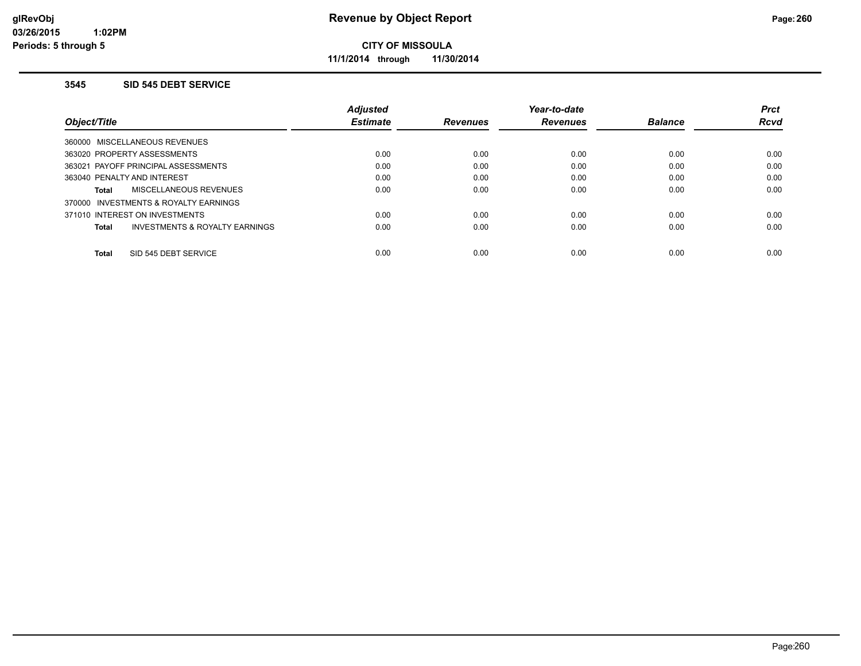**11/1/2014 through 11/30/2014**

#### **3545 SID 545 DEBT SERVICE**

|                                                | <b>Adiusted</b> |                 | Year-to-date    |                | <b>Prct</b> |
|------------------------------------------------|-----------------|-----------------|-----------------|----------------|-------------|
| Obiect/Title                                   | <b>Estimate</b> | <b>Revenues</b> | <b>Revenues</b> | <b>Balance</b> | <b>Rcvd</b> |
| 360000 MISCELLANEOUS REVENUES                  |                 |                 |                 |                |             |
| 363020 PROPERTY ASSESSMENTS                    | 0.00            | 0.00            | 0.00            | 0.00           | 0.00        |
| 363021 PAYOFF PRINCIPAL ASSESSMENTS            | 0.00            | 0.00            | 0.00            | 0.00           | 0.00        |
| 363040 PENALTY AND INTEREST                    | 0.00            | 0.00            | 0.00            | 0.00           | 0.00        |
| MISCELLANEOUS REVENUES<br><b>Total</b>         | 0.00            | 0.00            | 0.00            | 0.00           | 0.00        |
| 370000 INVESTMENTS & ROYALTY EARNINGS          |                 |                 |                 |                |             |
| 371010 INTEREST ON INVESTMENTS                 | 0.00            | 0.00            | 0.00            | 0.00           | 0.00        |
| INVESTMENTS & ROYALTY EARNINGS<br><b>Total</b> | 0.00            | 0.00            | 0.00            | 0.00           | 0.00        |
| SID 545 DEBT SERVICE<br><b>Total</b>           | 0.00            | 0.00            | 0.00            | 0.00           | 0.00        |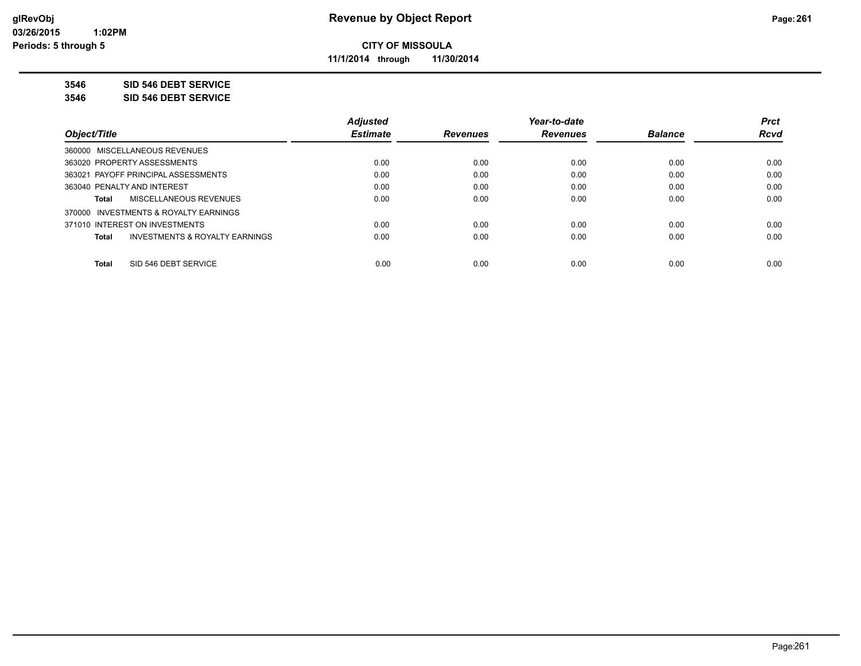**11/1/2014 through 11/30/2014**

#### **3546 SID 546 DEBT SERVICE**

**3546 SID 546 DEBT SERVICE**

|                                                    | <b>Adjusted</b> |                 | Year-to-date    |                | <b>Prct</b> |
|----------------------------------------------------|-----------------|-----------------|-----------------|----------------|-------------|
| Object/Title                                       | <b>Estimate</b> | <b>Revenues</b> | <b>Revenues</b> | <b>Balance</b> | <b>Rcvd</b> |
| 360000 MISCELLANEOUS REVENUES                      |                 |                 |                 |                |             |
| 363020 PROPERTY ASSESSMENTS                        | 0.00            | 0.00            | 0.00            | 0.00           | 0.00        |
| 363021 PAYOFF PRINCIPAL ASSESSMENTS                | 0.00            | 0.00            | 0.00            | 0.00           | 0.00        |
| 363040 PENALTY AND INTEREST                        | 0.00            | 0.00            | 0.00            | 0.00           | 0.00        |
| MISCELLANEOUS REVENUES<br>Total                    | 0.00            | 0.00            | 0.00            | 0.00           | 0.00        |
| 370000 INVESTMENTS & ROYALTY EARNINGS              |                 |                 |                 |                |             |
| 371010 INTEREST ON INVESTMENTS                     | 0.00            | 0.00            | 0.00            | 0.00           | 0.00        |
| <b>INVESTMENTS &amp; ROYALTY EARNINGS</b><br>Total | 0.00            | 0.00            | 0.00            | 0.00           | 0.00        |
| SID 546 DEBT SERVICE<br><b>Total</b>               | 0.00            | 0.00            | 0.00            | 0.00           | 0.00        |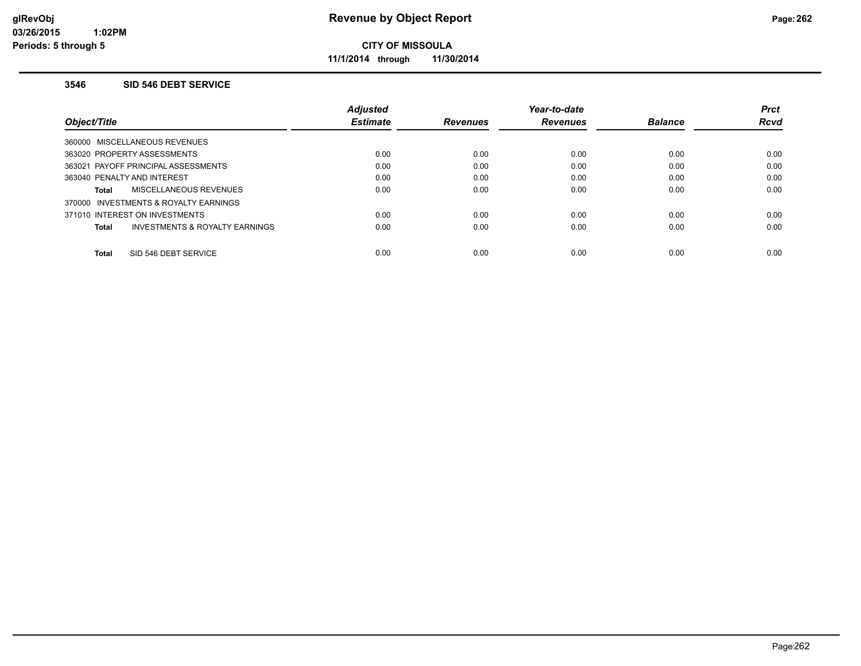**11/1/2014 through 11/30/2014**

#### **3546 SID 546 DEBT SERVICE**

|                                                | <b>Adiusted</b> |                 | Year-to-date    |                | <b>Prct</b> |
|------------------------------------------------|-----------------|-----------------|-----------------|----------------|-------------|
| Object/Title                                   | <b>Estimate</b> | <b>Revenues</b> | <b>Revenues</b> | <b>Balance</b> | <b>Rcvd</b> |
| 360000 MISCELLANEOUS REVENUES                  |                 |                 |                 |                |             |
| 363020 PROPERTY ASSESSMENTS                    | 0.00            | 0.00            | 0.00            | 0.00           | 0.00        |
| 363021 PAYOFF PRINCIPAL ASSESSMENTS            | 0.00            | 0.00            | 0.00            | 0.00           | 0.00        |
| 363040 PENALTY AND INTEREST                    | 0.00            | 0.00            | 0.00            | 0.00           | 0.00        |
| MISCELLANEOUS REVENUES<br><b>Total</b>         | 0.00            | 0.00            | 0.00            | 0.00           | 0.00        |
| 370000 INVESTMENTS & ROYALTY EARNINGS          |                 |                 |                 |                |             |
| 371010 INTEREST ON INVESTMENTS                 | 0.00            | 0.00            | 0.00            | 0.00           | 0.00        |
| INVESTMENTS & ROYALTY EARNINGS<br><b>Total</b> | 0.00            | 0.00            | 0.00            | 0.00           | 0.00        |
| SID 546 DEBT SERVICE<br><b>Total</b>           | 0.00            | 0.00            | 0.00            | 0.00           | 0.00        |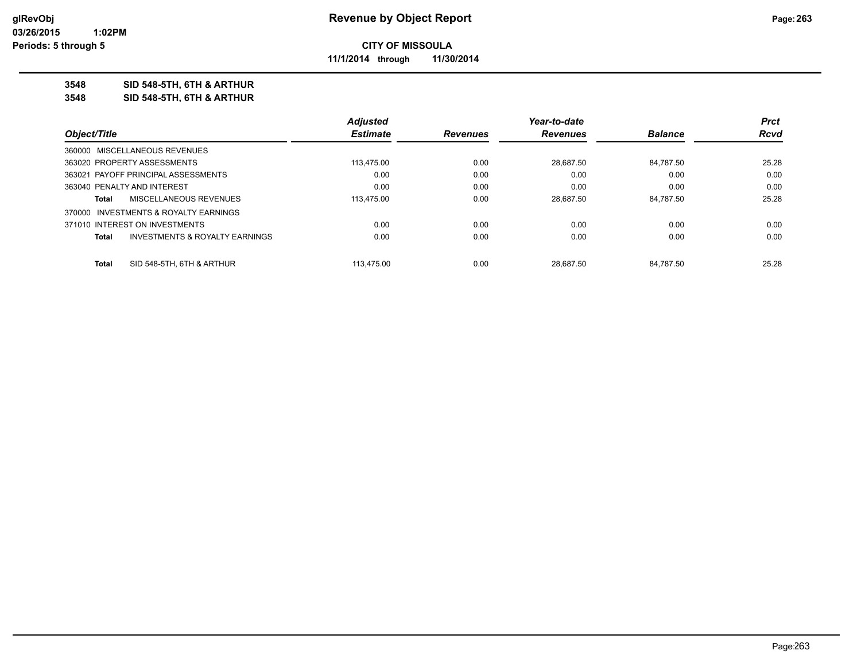**11/1/2014 through 11/30/2014**

#### **3548 SID 548-5TH, 6TH & ARTHUR**

**3548 SID 548-5TH, 6TH & ARTHUR**

|                                                    | <b>Adjusted</b> |                 | Year-to-date    |                | <b>Prct</b> |
|----------------------------------------------------|-----------------|-----------------|-----------------|----------------|-------------|
| Object/Title                                       | <b>Estimate</b> | <b>Revenues</b> | <b>Revenues</b> | <b>Balance</b> | <b>Rcvd</b> |
| 360000 MISCELLANEOUS REVENUES                      |                 |                 |                 |                |             |
| 363020 PROPERTY ASSESSMENTS                        | 113.475.00      | 0.00            | 28,687.50       | 84.787.50      | 25.28       |
| 363021 PAYOFF PRINCIPAL ASSESSMENTS                | 0.00            | 0.00            | 0.00            | 0.00           | 0.00        |
| 363040 PENALTY AND INTEREST                        | 0.00            | 0.00            | 0.00            | 0.00           | 0.00        |
| MISCELLANEOUS REVENUES<br>Total                    | 113.475.00      | 0.00            | 28.687.50       | 84.787.50      | 25.28       |
| 370000 INVESTMENTS & ROYALTY EARNINGS              |                 |                 |                 |                |             |
| 371010 INTEREST ON INVESTMENTS                     | 0.00            | 0.00            | 0.00            | 0.00           | 0.00        |
| <b>INVESTMENTS &amp; ROYALTY EARNINGS</b><br>Total | 0.00            | 0.00            | 0.00            | 0.00           | 0.00        |
|                                                    |                 |                 |                 |                |             |
| SID 548-5TH, 6TH & ARTHUR<br>Total                 | 113.475.00      | 0.00            | 28.687.50       | 84.787.50      | 25.28       |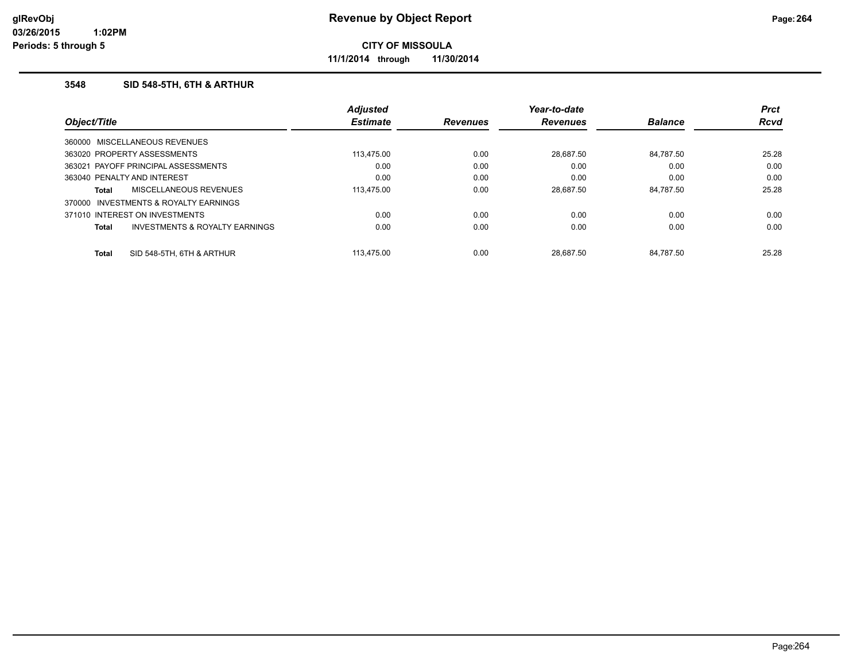**11/1/2014 through 11/30/2014**

## **3548 SID 548-5TH, 6TH & ARTHUR**

|              |                                           | <b>Adjusted</b> |                 | Year-to-date    |                | <b>Prct</b> |
|--------------|-------------------------------------------|-----------------|-----------------|-----------------|----------------|-------------|
| Object/Title |                                           | <b>Estimate</b> | <b>Revenues</b> | <b>Revenues</b> | <b>Balance</b> | <b>Rcvd</b> |
|              | 360000 MISCELLANEOUS REVENUES             |                 |                 |                 |                |             |
|              | 363020 PROPERTY ASSESSMENTS               | 113.475.00      | 0.00            | 28,687.50       | 84.787.50      | 25.28       |
|              | 363021 PAYOFF PRINCIPAL ASSESSMENTS       | 0.00            | 0.00            | 0.00            | 0.00           | 0.00        |
|              | 363040 PENALTY AND INTEREST               | 0.00            | 0.00            | 0.00            | 0.00           | 0.00        |
| <b>Total</b> | <b>MISCELLANEOUS REVENUES</b>             | 113.475.00      | 0.00            | 28.687.50       | 84.787.50      | 25.28       |
|              | 370000 INVESTMENTS & ROYALTY EARNINGS     |                 |                 |                 |                |             |
|              | 371010 INTEREST ON INVESTMENTS            | 0.00            | 0.00            | 0.00            | 0.00           | 0.00        |
| <b>Total</b> | <b>INVESTMENTS &amp; ROYALTY EARNINGS</b> | 0.00            | 0.00            | 0.00            | 0.00           | 0.00        |
| <b>Total</b> | SID 548-5TH, 6TH & ARTHUR                 | 113.475.00      | 0.00            | 28.687.50       | 84.787.50      | 25.28       |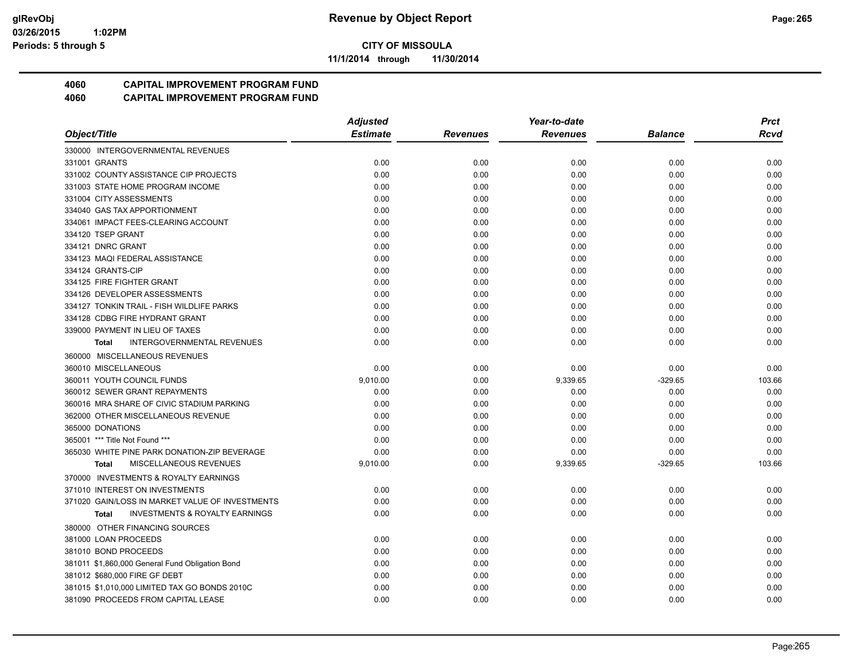**11/1/2014 through 11/30/2014**

# **4060 CAPITAL IMPROVEMENT PROGRAM FUND**

|                                                           | <b>Adjusted</b> |                 | Year-to-date    |                | <b>Prct</b> |
|-----------------------------------------------------------|-----------------|-----------------|-----------------|----------------|-------------|
| Object/Title                                              | <b>Estimate</b> | <b>Revenues</b> | <b>Revenues</b> | <b>Balance</b> | <b>Rcvd</b> |
| 330000 INTERGOVERNMENTAL REVENUES                         |                 |                 |                 |                |             |
| 331001 GRANTS                                             | 0.00            | 0.00            | 0.00            | 0.00           | 0.00        |
| 331002 COUNTY ASSISTANCE CIP PROJECTS                     | 0.00            | 0.00            | 0.00            | 0.00           | 0.00        |
| 331003 STATE HOME PROGRAM INCOME                          | 0.00            | 0.00            | 0.00            | 0.00           | 0.00        |
| 331004 CITY ASSESSMENTS                                   | 0.00            | 0.00            | 0.00            | 0.00           | 0.00        |
| 334040 GAS TAX APPORTIONMENT                              | 0.00            | 0.00            | 0.00            | 0.00           | 0.00        |
| 334061 IMPACT FEES-CLEARING ACCOUNT                       | 0.00            | 0.00            | 0.00            | 0.00           | 0.00        |
| 334120 TSEP GRANT                                         | 0.00            | 0.00            | 0.00            | 0.00           | 0.00        |
| 334121 DNRC GRANT                                         | 0.00            | 0.00            | 0.00            | 0.00           | 0.00        |
| 334123 MAQI FEDERAL ASSISTANCE                            | 0.00            | 0.00            | 0.00            | 0.00           | 0.00        |
| 334124 GRANTS-CIP                                         | 0.00            | 0.00            | 0.00            | 0.00           | 0.00        |
| 334125 FIRE FIGHTER GRANT                                 | 0.00            | 0.00            | 0.00            | 0.00           | 0.00        |
| 334126 DEVELOPER ASSESSMENTS                              | 0.00            | 0.00            | 0.00            | 0.00           | 0.00        |
| 334127 TONKIN TRAIL - FISH WILDLIFE PARKS                 | 0.00            | 0.00            | 0.00            | 0.00           | 0.00        |
| 334128 CDBG FIRE HYDRANT GRANT                            | 0.00            | 0.00            | 0.00            | 0.00           | 0.00        |
| 339000 PAYMENT IN LIEU OF TAXES                           | 0.00            | 0.00            | 0.00            | 0.00           | 0.00        |
| <b>INTERGOVERNMENTAL REVENUES</b><br><b>Total</b>         | 0.00            | 0.00            | 0.00            | 0.00           | 0.00        |
| 360000 MISCELLANEOUS REVENUES                             |                 |                 |                 |                |             |
| 360010 MISCELLANEOUS                                      | 0.00            | 0.00            | 0.00            | 0.00           | 0.00        |
| 360011 YOUTH COUNCIL FUNDS                                | 9,010.00        | 0.00            | 9,339.65        | $-329.65$      | 103.66      |
| 360012 SEWER GRANT REPAYMENTS                             | 0.00            | 0.00            | 0.00            | 0.00           | 0.00        |
| 360016 MRA SHARE OF CIVIC STADIUM PARKING                 | 0.00            | 0.00            | 0.00            | 0.00           | 0.00        |
| 362000 OTHER MISCELLANEOUS REVENUE                        | 0.00            | 0.00            | 0.00            | 0.00           | 0.00        |
| 365000 DONATIONS                                          | 0.00            | 0.00            | 0.00            | 0.00           | 0.00        |
| 365001 *** Title Not Found ***                            | 0.00            | 0.00            | 0.00            | 0.00           | 0.00        |
| 365030 WHITE PINE PARK DONATION-ZIP BEVERAGE              | 0.00            | 0.00            | 0.00            | 0.00           | 0.00        |
| MISCELLANEOUS REVENUES<br><b>Total</b>                    | 9,010.00        | 0.00            | 9,339.65        | $-329.65$      | 103.66      |
| 370000 INVESTMENTS & ROYALTY EARNINGS                     |                 |                 |                 |                |             |
| 371010 INTEREST ON INVESTMENTS                            | 0.00            | 0.00            | 0.00            | 0.00           | 0.00        |
| 371020 GAIN/LOSS IN MARKET VALUE OF INVESTMENTS           | 0.00            | 0.00            | 0.00            | 0.00           | 0.00        |
| <b>INVESTMENTS &amp; ROYALTY EARNINGS</b><br><b>Total</b> | 0.00            | 0.00            | 0.00            | 0.00           | 0.00        |
| 380000 OTHER FINANCING SOURCES                            |                 |                 |                 |                |             |
| 381000 LOAN PROCEEDS                                      | 0.00            | 0.00            | 0.00            | 0.00           | 0.00        |
| 381010 BOND PROCEEDS                                      | 0.00            | 0.00            | 0.00            | 0.00           | 0.00        |
| 381011 \$1,860,000 General Fund Obligation Bond           | 0.00            | 0.00            | 0.00            | 0.00           | 0.00        |
| 381012 \$680,000 FIRE GF DEBT                             | 0.00            | 0.00            | 0.00            | 0.00           | 0.00        |
| 381015 \$1,010,000 LIMITED TAX GO BONDS 2010C             | 0.00            | 0.00            | 0.00            | 0.00           | 0.00        |
| 381090 PROCEEDS FROM CAPITAL LEASE                        | 0.00            | 0.00            | 0.00            | 0.00           | 0.00        |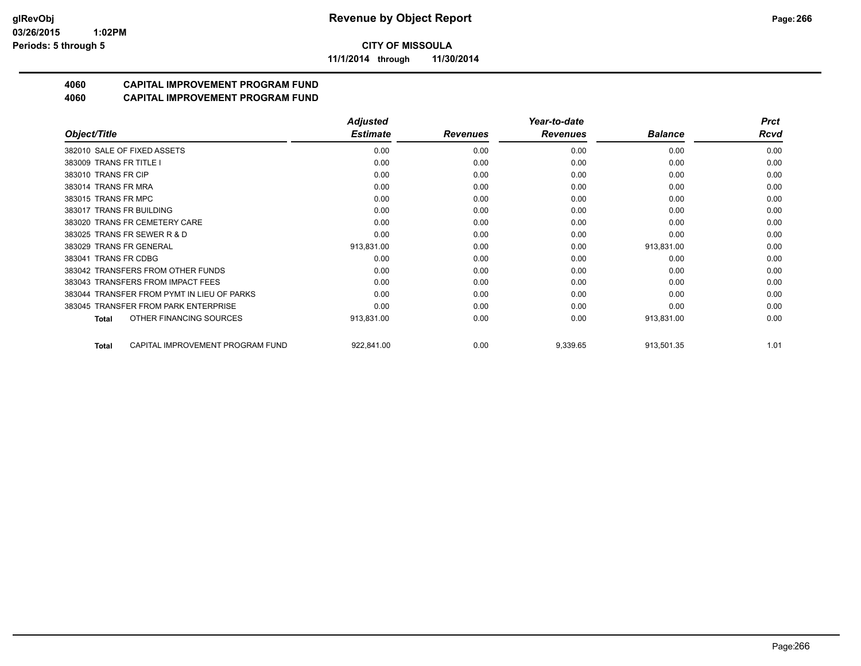**11/1/2014 through 11/30/2014**

# **4060 CAPITAL IMPROVEMENT PROGRAM FUND**

|                                            | <b>Adjusted</b> |                 | Year-to-date    |                | <b>Prct</b> |
|--------------------------------------------|-----------------|-----------------|-----------------|----------------|-------------|
| Object/Title                               | <b>Estimate</b> | <b>Revenues</b> | <b>Revenues</b> | <b>Balance</b> | <b>Rcvd</b> |
| 382010 SALE OF FIXED ASSETS                | 0.00            | 0.00            | 0.00            | 0.00           | 0.00        |
| 383009 TRANS FR TITLE I                    | 0.00            | 0.00            | 0.00            | 0.00           | 0.00        |
| 383010 TRANS FR CIP                        | 0.00            | 0.00            | 0.00            | 0.00           | 0.00        |
| 383014 TRANS FR MRA                        | 0.00            | 0.00            | 0.00            | 0.00           | 0.00        |
| 383015 TRANS FR MPC                        | 0.00            | 0.00            | 0.00            | 0.00           | 0.00        |
| 383017 TRANS FR BUILDING                   | 0.00            | 0.00            | 0.00            | 0.00           | 0.00        |
| 383020 TRANS FR CEMETERY CARE              | 0.00            | 0.00            | 0.00            | 0.00           | 0.00        |
| 383025 TRANS FR SEWER R & D                | 0.00            | 0.00            | 0.00            | 0.00           | 0.00        |
| 383029 TRANS FR GENERAL                    | 913,831.00      | 0.00            | 0.00            | 913,831.00     | 0.00        |
| 383041 TRANS FR CDBG                       | 0.00            | 0.00            | 0.00            | 0.00           | 0.00        |
| 383042 TRANSFERS FROM OTHER FUNDS          | 0.00            | 0.00            | 0.00            | 0.00           | 0.00        |
| 383043 TRANSFERS FROM IMPACT FEES          | 0.00            | 0.00            | 0.00            | 0.00           | 0.00        |
| 383044 TRANSFER FROM PYMT IN LIEU OF PARKS | 0.00            | 0.00            | 0.00            | 0.00           | 0.00        |
| 383045 TRANSFER FROM PARK ENTERPRISE       | 0.00            | 0.00            | 0.00            | 0.00           | 0.00        |
| OTHER FINANCING SOURCES<br>Total           | 913,831.00      | 0.00            | 0.00            | 913,831.00     | 0.00        |
| CAPITAL IMPROVEMENT PROGRAM FUND<br>Total  | 922,841.00      | 0.00            | 9,339.65        | 913,501.35     | 1.01        |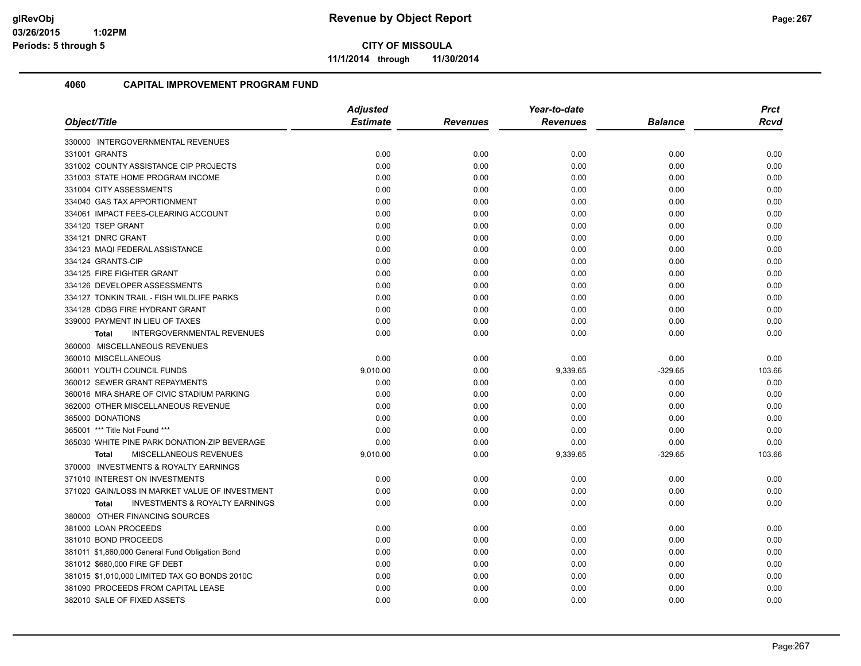**11/1/2014 through 11/30/2014**

|                                                           | <b>Adjusted</b> |                 | Year-to-date    |                | <b>Prct</b> |
|-----------------------------------------------------------|-----------------|-----------------|-----------------|----------------|-------------|
| Object/Title                                              | <b>Estimate</b> | <b>Revenues</b> | <b>Revenues</b> | <b>Balance</b> | <b>Rcvd</b> |
| 330000 INTERGOVERNMENTAL REVENUES                         |                 |                 |                 |                |             |
| 331001 GRANTS                                             | 0.00            | 0.00            | 0.00            | 0.00           | 0.00        |
| 331002 COUNTY ASSISTANCE CIP PROJECTS                     | 0.00            | 0.00            | 0.00            | 0.00           | 0.00        |
| 331003 STATE HOME PROGRAM INCOME                          | 0.00            | 0.00            | 0.00            | 0.00           | 0.00        |
| 331004 CITY ASSESSMENTS                                   | 0.00            | 0.00            | 0.00            | 0.00           | 0.00        |
| 334040 GAS TAX APPORTIONMENT                              | 0.00            | 0.00            | 0.00            | 0.00           | 0.00        |
| 334061 IMPACT FEES-CLEARING ACCOUNT                       | 0.00            | 0.00            | 0.00            | 0.00           | 0.00        |
| 334120 TSEP GRANT                                         | 0.00            | 0.00            | 0.00            | 0.00           | 0.00        |
| 334121 DNRC GRANT                                         | 0.00            | 0.00            | 0.00            | 0.00           | 0.00        |
| 334123 MAQI FEDERAL ASSISTANCE                            | 0.00            | 0.00            | 0.00            | 0.00           | 0.00        |
| 334124 GRANTS-CIP                                         | 0.00            | 0.00            | 0.00            | 0.00           | 0.00        |
| 334125 FIRE FIGHTER GRANT                                 | 0.00            | 0.00            | 0.00            | 0.00           | 0.00        |
| 334126 DEVELOPER ASSESSMENTS                              | 0.00            | 0.00            | 0.00            | 0.00           | 0.00        |
| 334127 TONKIN TRAIL - FISH WILDLIFE PARKS                 | 0.00            | 0.00            | 0.00            | 0.00           | 0.00        |
| 334128 CDBG FIRE HYDRANT GRANT                            | 0.00            | 0.00            | 0.00            | 0.00           | 0.00        |
| 339000 PAYMENT IN LIEU OF TAXES                           | 0.00            | 0.00            | 0.00            | 0.00           | 0.00        |
| <b>INTERGOVERNMENTAL REVENUES</b><br><b>Total</b>         | 0.00            | 0.00            | 0.00            | 0.00           | 0.00        |
| 360000 MISCELLANEOUS REVENUES                             |                 |                 |                 |                |             |
| 360010 MISCELLANEOUS                                      | 0.00            | 0.00            | 0.00            | 0.00           | 0.00        |
| 360011 YOUTH COUNCIL FUNDS                                | 9,010.00        | 0.00            | 9,339.65        | $-329.65$      | 103.66      |
| 360012 SEWER GRANT REPAYMENTS                             | 0.00            | 0.00            | 0.00            | 0.00           | 0.00        |
| 360016 MRA SHARE OF CIVIC STADIUM PARKING                 | 0.00            | 0.00            | 0.00            | 0.00           | 0.00        |
| 362000 OTHER MISCELLANEOUS REVENUE                        | 0.00            | 0.00            | 0.00            | 0.00           | 0.00        |
| 365000 DONATIONS                                          | 0.00            | 0.00            | 0.00            | 0.00           | 0.00        |
| 365001 *** Title Not Found ***                            | 0.00            | 0.00            | 0.00            | 0.00           | 0.00        |
| 365030 WHITE PINE PARK DONATION-ZIP BEVERAGE              | 0.00            | 0.00            | 0.00            | 0.00           | 0.00        |
| MISCELLANEOUS REVENUES<br><b>Total</b>                    | 9,010.00        | 0.00            | 9,339.65        | $-329.65$      | 103.66      |
| 370000 INVESTMENTS & ROYALTY EARNINGS                     |                 |                 |                 |                |             |
| 371010 INTEREST ON INVESTMENTS                            | 0.00            | 0.00            | 0.00            | 0.00           | 0.00        |
| 371020 GAIN/LOSS IN MARKET VALUE OF INVESTMENT            | 0.00            | 0.00            | 0.00            | 0.00           | 0.00        |
| <b>INVESTMENTS &amp; ROYALTY EARNINGS</b><br><b>Total</b> | 0.00            | 0.00            | 0.00            | 0.00           | 0.00        |
| 380000 OTHER FINANCING SOURCES                            |                 |                 |                 |                |             |
| 381000 LOAN PROCEEDS                                      | 0.00            | 0.00            | 0.00            | 0.00           | 0.00        |
| 381010 BOND PROCEEDS                                      | 0.00            | 0.00            | 0.00            | 0.00           | 0.00        |
| 381011 \$1,860,000 General Fund Obligation Bond           | 0.00            | 0.00            | 0.00            | 0.00           | 0.00        |
| 381012 \$680,000 FIRE GF DEBT                             | 0.00            | 0.00            | 0.00            | 0.00           | 0.00        |
| 381015 \$1,010,000 LIMITED TAX GO BONDS 2010C             | 0.00            | 0.00            | 0.00            | 0.00           | 0.00        |
| 381090 PROCEEDS FROM CAPITAL LEASE                        | 0.00            | 0.00            | 0.00            | 0.00           | 0.00        |
| 382010 SALE OF FIXED ASSETS                               | 0.00            | 0.00            | 0.00            | 0.00           | 0.00        |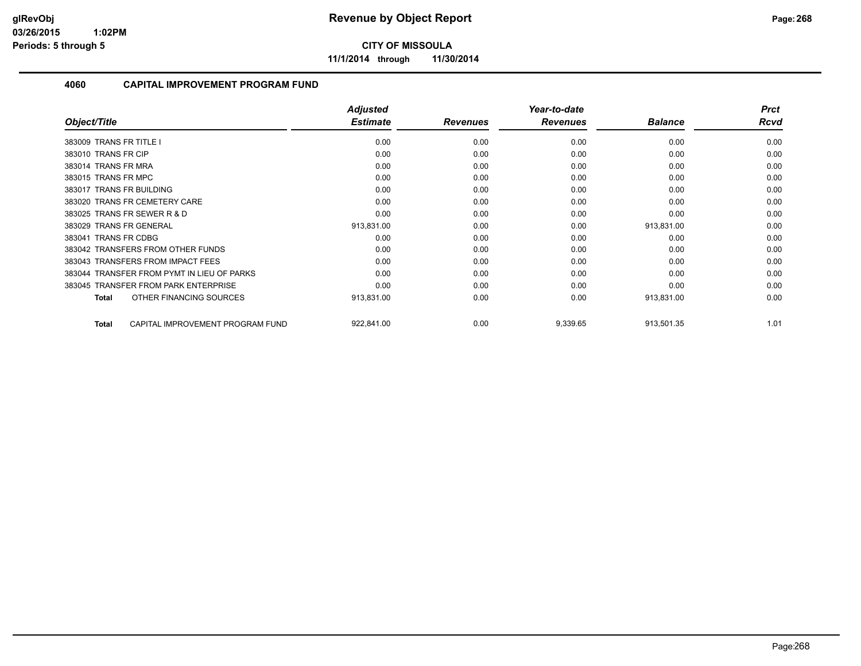**11/1/2014 through 11/30/2014**

| Object/Title                                     | <b>Adjusted</b><br><b>Estimate</b> | <b>Revenues</b> | Year-to-date<br><b>Revenues</b> | <b>Balance</b> | <b>Prct</b><br><b>Rcvd</b> |
|--------------------------------------------------|------------------------------------|-----------------|---------------------------------|----------------|----------------------------|
|                                                  |                                    |                 |                                 |                |                            |
| 383009 TRANS FR TITLE I                          | 0.00                               | 0.00            | 0.00                            | 0.00           | 0.00                       |
| 383010 TRANS FR CIP                              | 0.00                               | 0.00            | 0.00                            | 0.00           | 0.00                       |
| 383014 TRANS FR MRA                              | 0.00                               | 0.00            | 0.00                            | 0.00           | 0.00                       |
| 383015 TRANS FR MPC                              | 0.00                               | 0.00            | 0.00                            | 0.00           | 0.00                       |
| 383017 TRANS FR BUILDING                         | 0.00                               | 0.00            | 0.00                            | 0.00           | 0.00                       |
| 383020 TRANS FR CEMETERY CARE                    | 0.00                               | 0.00            | 0.00                            | 0.00           | 0.00                       |
| 383025 TRANS FR SEWER R & D                      | 0.00                               | 0.00            | 0.00                            | 0.00           | 0.00                       |
| 383029 TRANS FR GENERAL                          | 913,831.00                         | 0.00            | 0.00                            | 913,831.00     | 0.00                       |
| <b>TRANS FR CDBG</b><br>383041                   | 0.00                               | 0.00            | 0.00                            | 0.00           | 0.00                       |
| 383042 TRANSFERS FROM OTHER FUNDS                | 0.00                               | 0.00            | 0.00                            | 0.00           | 0.00                       |
| 383043 TRANSFERS FROM IMPACT FEES                | 0.00                               | 0.00            | 0.00                            | 0.00           | 0.00                       |
| 383044 TRANSFER FROM PYMT IN LIEU OF PARKS       | 0.00                               | 0.00            | 0.00                            | 0.00           | 0.00                       |
| 383045 TRANSFER FROM PARK ENTERPRISE             | 0.00                               | 0.00            | 0.00                            | 0.00           | 0.00                       |
| OTHER FINANCING SOURCES<br><b>Total</b>          | 913,831.00                         | 0.00            | 0.00                            | 913,831.00     | 0.00                       |
| CAPITAL IMPROVEMENT PROGRAM FUND<br><b>Total</b> | 922,841.00                         | 0.00            | 9,339.65                        | 913,501.35     | 1.01                       |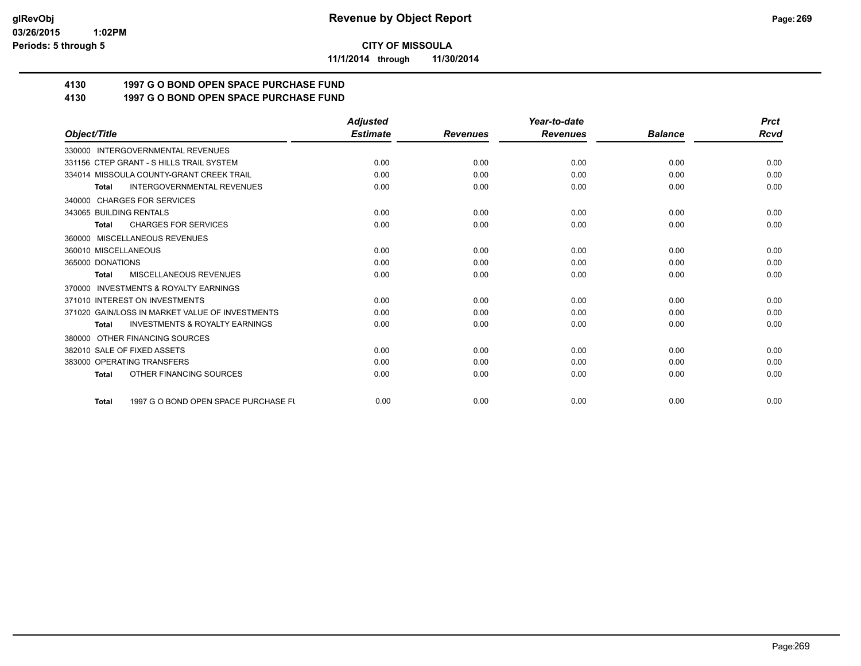**11/1/2014 through 11/30/2014**

# **4130 1997 G O BOND OPEN SPACE PURCHASE FUND**

## **4130 1997 G O BOND OPEN SPACE PURCHASE FUND**

|                                                           | <b>Adjusted</b> |                 | Year-to-date    |                | <b>Prct</b> |
|-----------------------------------------------------------|-----------------|-----------------|-----------------|----------------|-------------|
| Object/Title                                              | <b>Estimate</b> | <b>Revenues</b> | <b>Revenues</b> | <b>Balance</b> | <b>Rcvd</b> |
| 330000 INTERGOVERNMENTAL REVENUES                         |                 |                 |                 |                |             |
| 331156 CTEP GRANT - S HILLS TRAIL SYSTEM                  | 0.00            | 0.00            | 0.00            | 0.00           | 0.00        |
| 334014 MISSOULA COUNTY-GRANT CREEK TRAIL                  | 0.00            | 0.00            | 0.00            | 0.00           | 0.00        |
| <b>INTERGOVERNMENTAL REVENUES</b><br><b>Total</b>         | 0.00            | 0.00            | 0.00            | 0.00           | 0.00        |
| 340000 CHARGES FOR SERVICES                               |                 |                 |                 |                |             |
| 343065 BUILDING RENTALS                                   | 0.00            | 0.00            | 0.00            | 0.00           | 0.00        |
| <b>CHARGES FOR SERVICES</b><br>Total                      | 0.00            | 0.00            | 0.00            | 0.00           | 0.00        |
| 360000 MISCELLANEOUS REVENUES                             |                 |                 |                 |                |             |
| 360010 MISCELLANEOUS                                      | 0.00            | 0.00            | 0.00            | 0.00           | 0.00        |
| 365000 DONATIONS                                          | 0.00            | 0.00            | 0.00            | 0.00           | 0.00        |
| MISCELLANEOUS REVENUES<br><b>Total</b>                    | 0.00            | 0.00            | 0.00            | 0.00           | 0.00        |
| 370000 INVESTMENTS & ROYALTY EARNINGS                     |                 |                 |                 |                |             |
| 371010 INTEREST ON INVESTMENTS                            | 0.00            | 0.00            | 0.00            | 0.00           | 0.00        |
| 371020 GAIN/LOSS IN MARKET VALUE OF INVESTMENTS           | 0.00            | 0.00            | 0.00            | 0.00           | 0.00        |
| <b>INVESTMENTS &amp; ROYALTY EARNINGS</b><br><b>Total</b> | 0.00            | 0.00            | 0.00            | 0.00           | 0.00        |
| 380000 OTHER FINANCING SOURCES                            |                 |                 |                 |                |             |
| 382010 SALE OF FIXED ASSETS                               | 0.00            | 0.00            | 0.00            | 0.00           | 0.00        |
| 383000 OPERATING TRANSFERS                                | 0.00            | 0.00            | 0.00            | 0.00           | 0.00        |
| OTHER FINANCING SOURCES<br>Total                          | 0.00            | 0.00            | 0.00            | 0.00           | 0.00        |
| 1997 G O BOND OPEN SPACE PURCHASE FU<br><b>Total</b>      | 0.00            | 0.00            | 0.00            | 0.00           | 0.00        |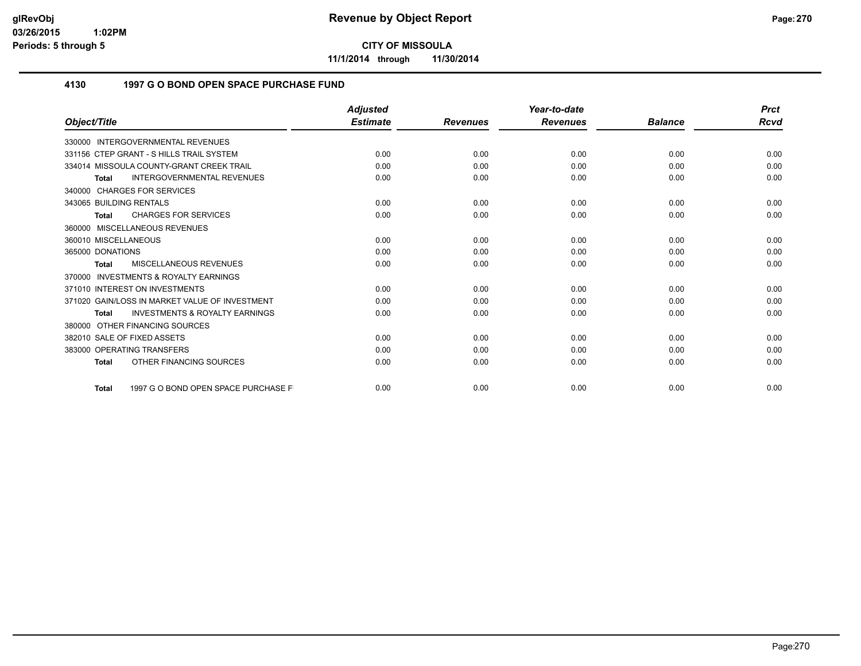**11/1/2014 through 11/30/2014**

## **4130 1997 G O BOND OPEN SPACE PURCHASE FUND**

|                                                           | <b>Adjusted</b> |                 | Year-to-date    |                | <b>Prct</b> |
|-----------------------------------------------------------|-----------------|-----------------|-----------------|----------------|-------------|
| Object/Title                                              | <b>Estimate</b> | <b>Revenues</b> | <b>Revenues</b> | <b>Balance</b> | <b>Rcvd</b> |
| 330000 INTERGOVERNMENTAL REVENUES                         |                 |                 |                 |                |             |
| 331156 CTEP GRANT - S HILLS TRAIL SYSTEM                  | 0.00            | 0.00            | 0.00            | 0.00           | 0.00        |
| 334014 MISSOULA COUNTY-GRANT CREEK TRAIL                  | 0.00            | 0.00            | 0.00            | 0.00           | 0.00        |
| <b>INTERGOVERNMENTAL REVENUES</b><br><b>Total</b>         | 0.00            | 0.00            | 0.00            | 0.00           | 0.00        |
| 340000 CHARGES FOR SERVICES                               |                 |                 |                 |                |             |
| 343065 BUILDING RENTALS                                   | 0.00            | 0.00            | 0.00            | 0.00           | 0.00        |
| <b>CHARGES FOR SERVICES</b><br><b>Total</b>               | 0.00            | 0.00            | 0.00            | 0.00           | 0.00        |
| 360000 MISCELLANEOUS REVENUES                             |                 |                 |                 |                |             |
| 360010 MISCELLANEOUS                                      | 0.00            | 0.00            | 0.00            | 0.00           | 0.00        |
| 365000 DONATIONS                                          | 0.00            | 0.00            | 0.00            | 0.00           | 0.00        |
| <b>MISCELLANEOUS REVENUES</b><br><b>Total</b>             | 0.00            | 0.00            | 0.00            | 0.00           | 0.00        |
| INVESTMENTS & ROYALTY EARNINGS<br>370000                  |                 |                 |                 |                |             |
| 371010 INTEREST ON INVESTMENTS                            | 0.00            | 0.00            | 0.00            | 0.00           | 0.00        |
| 371020 GAIN/LOSS IN MARKET VALUE OF INVESTMENT            | 0.00            | 0.00            | 0.00            | 0.00           | 0.00        |
| <b>INVESTMENTS &amp; ROYALTY EARNINGS</b><br><b>Total</b> | 0.00            | 0.00            | 0.00            | 0.00           | 0.00        |
| 380000 OTHER FINANCING SOURCES                            |                 |                 |                 |                |             |
| 382010 SALE OF FIXED ASSETS                               | 0.00            | 0.00            | 0.00            | 0.00           | 0.00        |
| 383000 OPERATING TRANSFERS                                | 0.00            | 0.00            | 0.00            | 0.00           | 0.00        |
| OTHER FINANCING SOURCES<br><b>Total</b>                   | 0.00            | 0.00            | 0.00            | 0.00           | 0.00        |
| 1997 G O BOND OPEN SPACE PURCHASE F<br><b>Total</b>       | 0.00            | 0.00            | 0.00            | 0.00           | 0.00        |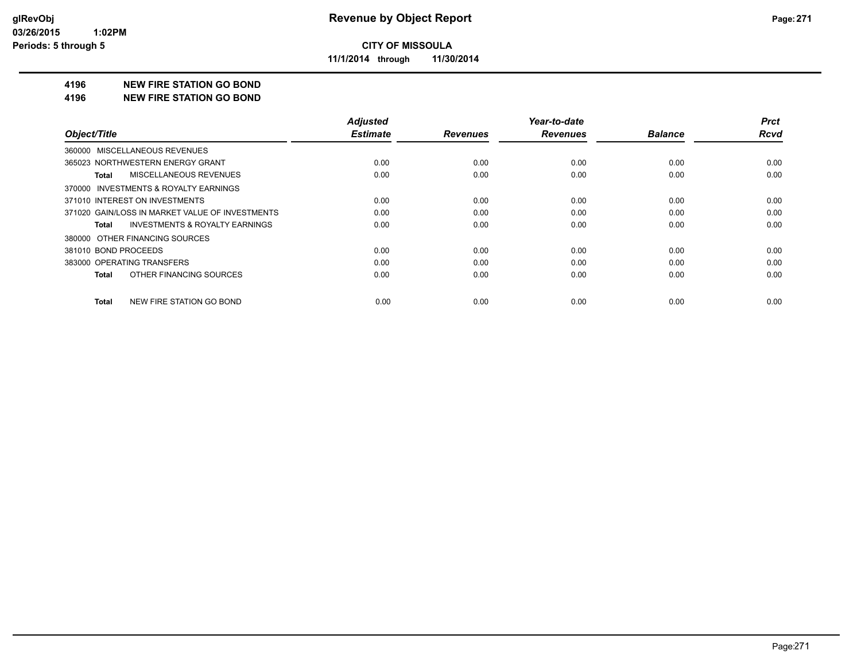**11/1/2014 through 11/30/2014**

#### **4196 NEW FIRE STATION GO BOND**

#### **4196 NEW FIRE STATION GO BOND**

| Object/Title                                       | <b>Adjusted</b><br><b>Estimate</b> | <b>Revenues</b> | Year-to-date<br><b>Revenues</b> | <b>Balance</b> | <b>Prct</b><br><b>Rcvd</b> |
|----------------------------------------------------|------------------------------------|-----------------|---------------------------------|----------------|----------------------------|
|                                                    |                                    |                 |                                 |                |                            |
| 360000 MISCELLANEOUS REVENUES                      |                                    |                 |                                 |                |                            |
| 365023 NORTHWESTERN ENERGY GRANT                   | 0.00                               | 0.00            | 0.00                            | 0.00           | 0.00                       |
| <b>MISCELLANEOUS REVENUES</b><br>Total             | 0.00                               | 0.00            | 0.00                            | 0.00           | 0.00                       |
| 370000 INVESTMENTS & ROYALTY EARNINGS              |                                    |                 |                                 |                |                            |
| 371010 INTEREST ON INVESTMENTS                     | 0.00                               | 0.00            | 0.00                            | 0.00           | 0.00                       |
| 371020 GAIN/LOSS IN MARKET VALUE OF INVESTMENTS    | 0.00                               | 0.00            | 0.00                            | 0.00           | 0.00                       |
| <b>INVESTMENTS &amp; ROYALTY EARNINGS</b><br>Total | 0.00                               | 0.00            | 0.00                            | 0.00           | 0.00                       |
| 380000 OTHER FINANCING SOURCES                     |                                    |                 |                                 |                |                            |
| 381010 BOND PROCEEDS                               | 0.00                               | 0.00            | 0.00                            | 0.00           | 0.00                       |
| 383000 OPERATING TRANSFERS                         | 0.00                               | 0.00            | 0.00                            | 0.00           | 0.00                       |
| OTHER FINANCING SOURCES<br>Total                   | 0.00                               | 0.00            | 0.00                            | 0.00           | 0.00                       |
| NEW FIRE STATION GO BOND<br><b>Total</b>           | 0.00                               | 0.00            | 0.00                            | 0.00           | 0.00                       |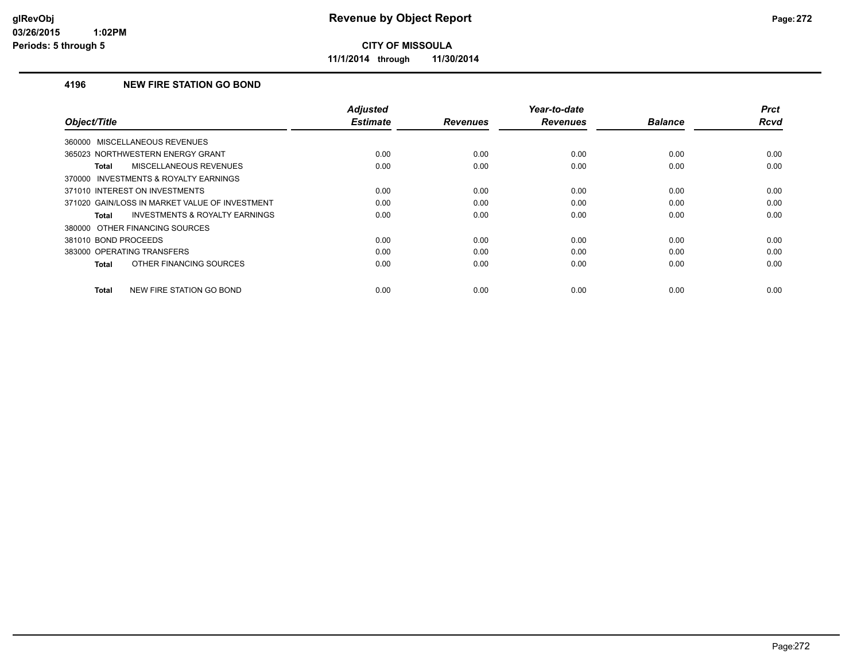**11/1/2014 through 11/30/2014**

#### **4196 NEW FIRE STATION GO BOND**

| Object/Title                                       | <b>Adjusted</b><br><b>Estimate</b> | <b>Revenues</b> | Year-to-date<br><b>Revenues</b> | <b>Balance</b> | <b>Prct</b><br>Rcvd |
|----------------------------------------------------|------------------------------------|-----------------|---------------------------------|----------------|---------------------|
|                                                    |                                    |                 |                                 |                |                     |
| 360000 MISCELLANEOUS REVENUES                      |                                    |                 |                                 |                |                     |
| 365023 NORTHWESTERN ENERGY GRANT                   | 0.00                               | 0.00            | 0.00                            | 0.00           | 0.00                |
| MISCELLANEOUS REVENUES<br>Total                    | 0.00                               | 0.00            | 0.00                            | 0.00           | 0.00                |
| 370000 INVESTMENTS & ROYALTY EARNINGS              |                                    |                 |                                 |                |                     |
| 371010 INTEREST ON INVESTMENTS                     | 0.00                               | 0.00            | 0.00                            | 0.00           | 0.00                |
| 371020 GAIN/LOSS IN MARKET VALUE OF INVESTMENT     | 0.00                               | 0.00            | 0.00                            | 0.00           | 0.00                |
| <b>INVESTMENTS &amp; ROYALTY EARNINGS</b><br>Total | 0.00                               | 0.00            | 0.00                            | 0.00           | 0.00                |
| 380000 OTHER FINANCING SOURCES                     |                                    |                 |                                 |                |                     |
| 381010 BOND PROCEEDS                               | 0.00                               | 0.00            | 0.00                            | 0.00           | 0.00                |
| 383000 OPERATING TRANSFERS                         | 0.00                               | 0.00            | 0.00                            | 0.00           | 0.00                |
| OTHER FINANCING SOURCES<br><b>Total</b>            | 0.00                               | 0.00            | 0.00                            | 0.00           | 0.00                |
| NEW FIRE STATION GO BOND<br><b>Total</b>           | 0.00                               | 0.00            | 0.00                            | 0.00           | 0.00                |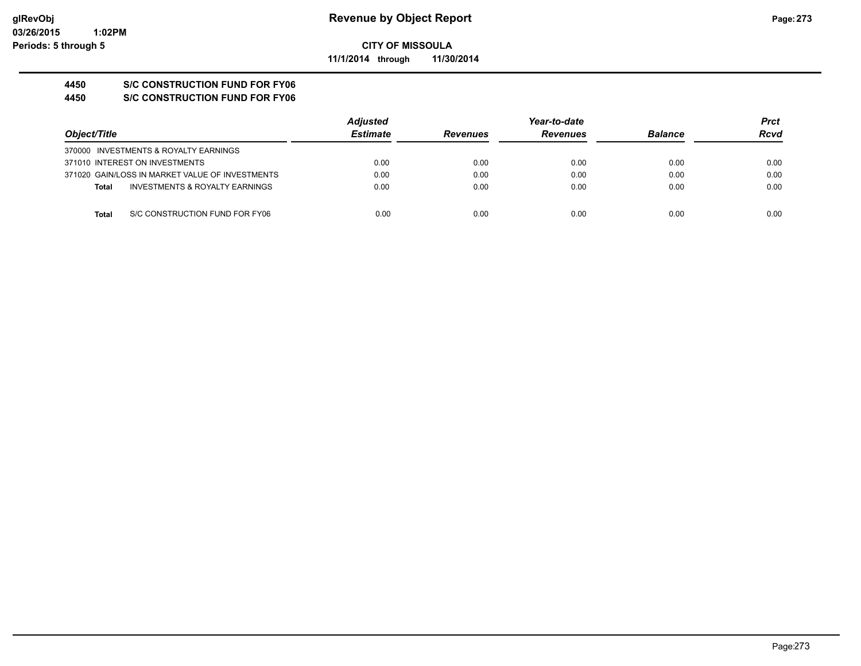**11/1/2014 through 11/30/2014**

# **4450 S/C CONSTRUCTION FUND FOR FY06**

**4450 S/C CONSTRUCTION FUND FOR FY06**

|              |                                                 | <b>Adjusted</b> |                 | Year-to-date    |                |      |
|--------------|-------------------------------------------------|-----------------|-----------------|-----------------|----------------|------|
| Object/Title |                                                 | <b>Estimate</b> | <b>Revenues</b> | <b>Revenues</b> | <b>Balance</b> | Rcvd |
|              | 370000 INVESTMENTS & ROYALTY EARNINGS           |                 |                 |                 |                |      |
|              | 371010 INTEREST ON INVESTMENTS                  | 0.00            | 0.00            | 0.00            | 0.00           | 0.00 |
|              | 371020 GAIN/LOSS IN MARKET VALUE OF INVESTMENTS | 0.00            | 0.00            | 0.00            | 0.00           | 0.00 |
| <b>Total</b> | INVESTMENTS & ROYALTY EARNINGS                  | 0.00            | 0.00            | 0.00            | 0.00           | 0.00 |
| Total        | S/C CONSTRUCTION FUND FOR FY06                  | 0.00            | 0.00            | 0.00            | 0.00           | 0.00 |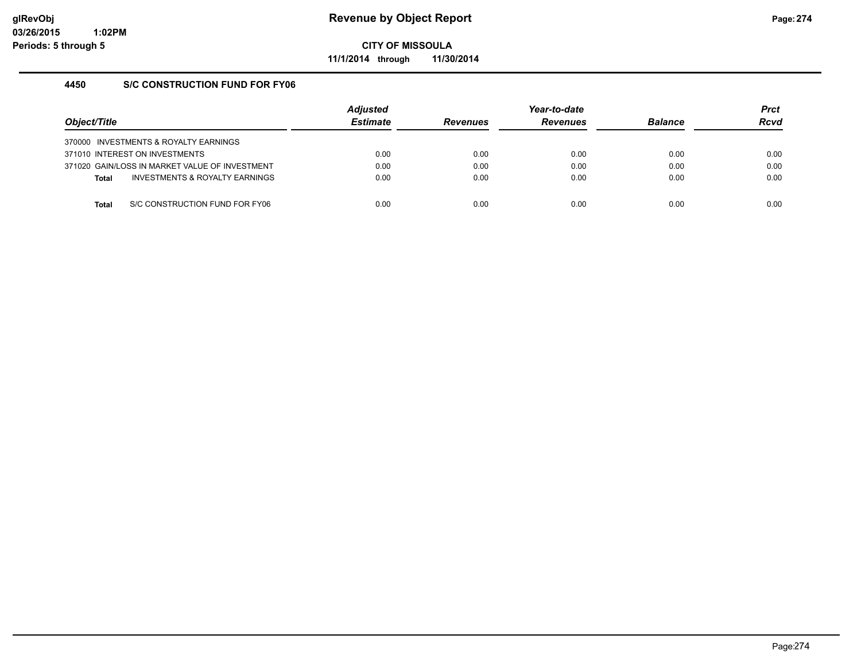**11/1/2014 through 11/30/2014**

## **4450 S/C CONSTRUCTION FUND FOR FY06**

| Object/Title |                                                | <b>Adjusted</b><br><b>Estimate</b> | <b>Revenues</b> | Year-to-date<br><b>Revenues</b> | <b>Balance</b> | <b>Prct</b><br><b>Rcvd</b> |
|--------------|------------------------------------------------|------------------------------------|-----------------|---------------------------------|----------------|----------------------------|
|              | 370000 INVESTMENTS & ROYALTY EARNINGS          |                                    |                 |                                 |                |                            |
|              | 371010 INTEREST ON INVESTMENTS                 | 0.00                               | 0.00            | 0.00                            | 0.00           | 0.00                       |
|              | 371020 GAIN/LOSS IN MARKET VALUE OF INVESTMENT | 0.00                               | 0.00            | 0.00                            | 0.00           | 0.00                       |
| <b>Total</b> | INVESTMENTS & ROYALTY EARNINGS                 | 0.00                               | 0.00            | 0.00                            | 0.00           | 0.00                       |
|              |                                                |                                    |                 |                                 |                |                            |
| Total        | S/C CONSTRUCTION FUND FOR FY06                 | 0.00                               | 0.00            | 0.00                            | 0.00           | 0.00                       |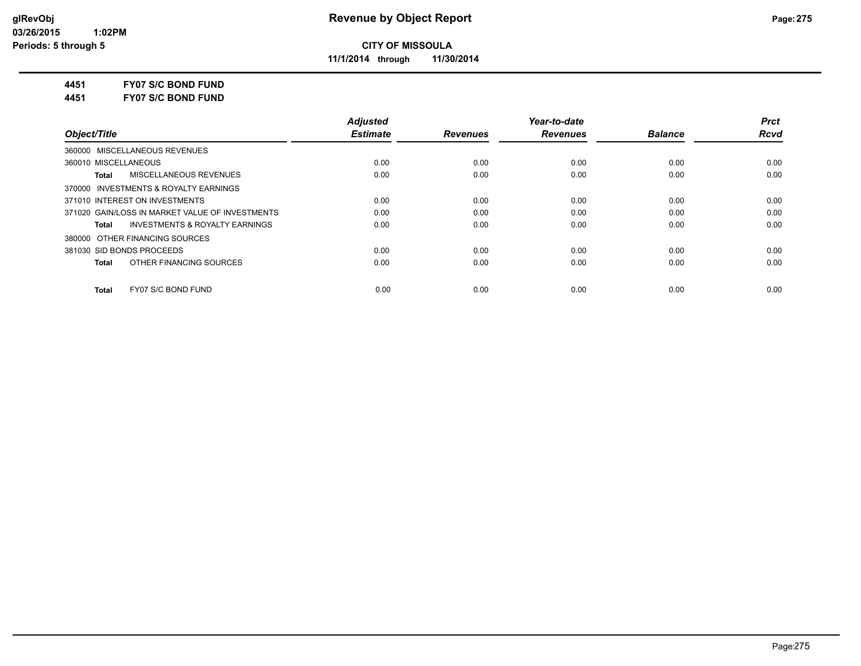**11/1/2014 through 11/30/2014**

**4451 FY07 S/C BOND FUND**

**4451 FY07 S/C BOND FUND**

|                                                    | <b>Adjusted</b> |                 | Year-to-date    |                | <b>Prct</b> |
|----------------------------------------------------|-----------------|-----------------|-----------------|----------------|-------------|
| Object/Title                                       | <b>Estimate</b> | <b>Revenues</b> | <b>Revenues</b> | <b>Balance</b> | <b>Rcvd</b> |
| 360000 MISCELLANEOUS REVENUES                      |                 |                 |                 |                |             |
| 360010 MISCELLANEOUS                               | 0.00            | 0.00            | 0.00            | 0.00           | 0.00        |
| MISCELLANEOUS REVENUES<br>Total                    | 0.00            | 0.00            | 0.00            | 0.00           | 0.00        |
| 370000 INVESTMENTS & ROYALTY EARNINGS              |                 |                 |                 |                |             |
| 371010 INTEREST ON INVESTMENTS                     | 0.00            | 0.00            | 0.00            | 0.00           | 0.00        |
| 371020 GAIN/LOSS IN MARKET VALUE OF INVESTMENTS    | 0.00            | 0.00            | 0.00            | 0.00           | 0.00        |
| <b>INVESTMENTS &amp; ROYALTY EARNINGS</b><br>Total | 0.00            | 0.00            | 0.00            | 0.00           | 0.00        |
| 380000 OTHER FINANCING SOURCES                     |                 |                 |                 |                |             |
| 381030 SID BONDS PROCEEDS                          | 0.00            | 0.00            | 0.00            | 0.00           | 0.00        |
| OTHER FINANCING SOURCES<br>Total                   | 0.00            | 0.00            | 0.00            | 0.00           | 0.00        |
| FY07 S/C BOND FUND<br><b>Total</b>                 | 0.00            | 0.00            | 0.00            | 0.00           | 0.00        |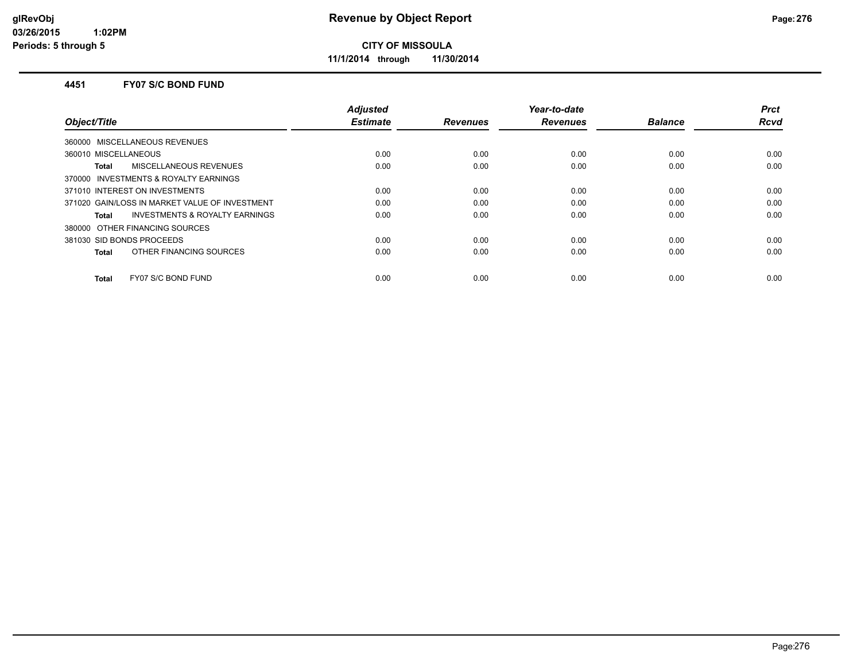**11/1/2014 through 11/30/2014**

#### **4451 FY07 S/C BOND FUND**

|                                                | <b>Adjusted</b> |                 | Year-to-date    |                | <b>Prct</b> |
|------------------------------------------------|-----------------|-----------------|-----------------|----------------|-------------|
| Object/Title                                   | <b>Estimate</b> | <b>Revenues</b> | <b>Revenues</b> | <b>Balance</b> | <b>Rcvd</b> |
| 360000 MISCELLANEOUS REVENUES                  |                 |                 |                 |                |             |
| 360010 MISCELLANEOUS                           | 0.00            | 0.00            | 0.00            | 0.00           | 0.00        |
| MISCELLANEOUS REVENUES<br><b>Total</b>         | 0.00            | 0.00            | 0.00            | 0.00           | 0.00        |
| 370000 INVESTMENTS & ROYALTY EARNINGS          |                 |                 |                 |                |             |
| 371010 INTEREST ON INVESTMENTS                 | 0.00            | 0.00            | 0.00            | 0.00           | 0.00        |
| 371020 GAIN/LOSS IN MARKET VALUE OF INVESTMENT | 0.00            | 0.00            | 0.00            | 0.00           | 0.00        |
| INVESTMENTS & ROYALTY EARNINGS<br>Total        | 0.00            | 0.00            | 0.00            | 0.00           | 0.00        |
| 380000 OTHER FINANCING SOURCES                 |                 |                 |                 |                |             |
| 381030 SID BONDS PROCEEDS                      | 0.00            | 0.00            | 0.00            | 0.00           | 0.00        |
| OTHER FINANCING SOURCES<br>Total               | 0.00            | 0.00            | 0.00            | 0.00           | 0.00        |
|                                                |                 |                 |                 |                |             |
| FY07 S/C BOND FUND<br><b>Total</b>             | 0.00            | 0.00            | 0.00            | 0.00           | 0.00        |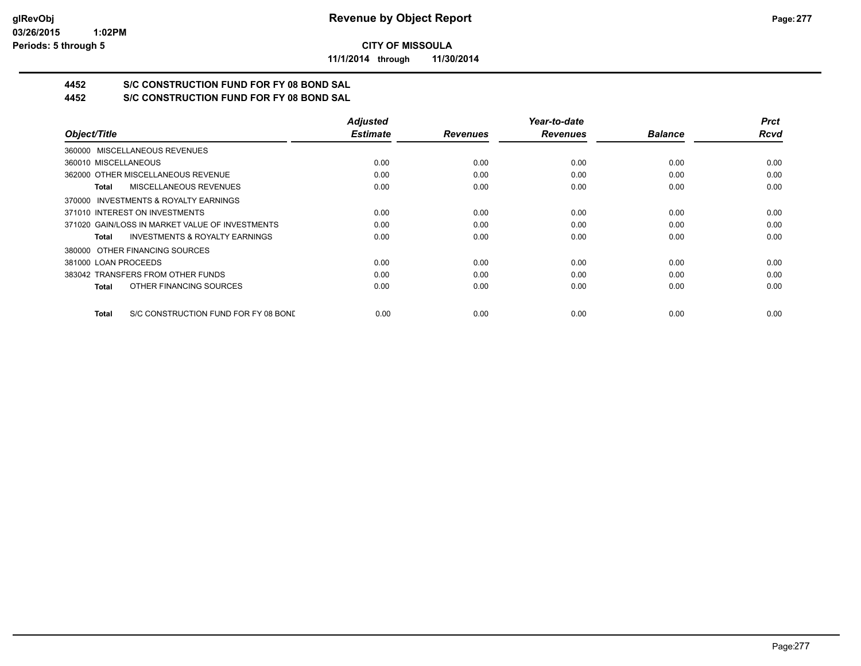**11/1/2014 through 11/30/2014**

# **4452 S/C CONSTRUCTION FUND FOR FY 08 BOND SAL**

**4452 S/C CONSTRUCTION FUND FOR FY 08 BOND SAL**

|                                                      | <b>Adjusted</b> |                 | Year-to-date    |                | <b>Prct</b> |
|------------------------------------------------------|-----------------|-----------------|-----------------|----------------|-------------|
| Object/Title                                         | <b>Estimate</b> | <b>Revenues</b> | <b>Revenues</b> | <b>Balance</b> | <b>Rcvd</b> |
| 360000 MISCELLANEOUS REVENUES                        |                 |                 |                 |                |             |
| 360010 MISCELLANEOUS                                 | 0.00            | 0.00            | 0.00            | 0.00           | 0.00        |
| 362000 OTHER MISCELLANEOUS REVENUE                   | 0.00            | 0.00            | 0.00            | 0.00           | 0.00        |
| <b>MISCELLANEOUS REVENUES</b><br>Total               | 0.00            | 0.00            | 0.00            | 0.00           | 0.00        |
| 370000 INVESTMENTS & ROYALTY EARNINGS                |                 |                 |                 |                |             |
| 371010 INTEREST ON INVESTMENTS                       | 0.00            | 0.00            | 0.00            | 0.00           | 0.00        |
| 371020 GAIN/LOSS IN MARKET VALUE OF INVESTMENTS      | 0.00            | 0.00            | 0.00            | 0.00           | 0.00        |
| <b>INVESTMENTS &amp; ROYALTY EARNINGS</b><br>Total   | 0.00            | 0.00            | 0.00            | 0.00           | 0.00        |
| 380000 OTHER FINANCING SOURCES                       |                 |                 |                 |                |             |
| 381000 LOAN PROCEEDS                                 | 0.00            | 0.00            | 0.00            | 0.00           | 0.00        |
| 383042 TRANSFERS FROM OTHER FUNDS                    | 0.00            | 0.00            | 0.00            | 0.00           | 0.00        |
| OTHER FINANCING SOURCES<br><b>Total</b>              | 0.00            | 0.00            | 0.00            | 0.00           | 0.00        |
| S/C CONSTRUCTION FUND FOR FY 08 BOND<br><b>Total</b> | 0.00            | 0.00            | 0.00            | 0.00           | 0.00        |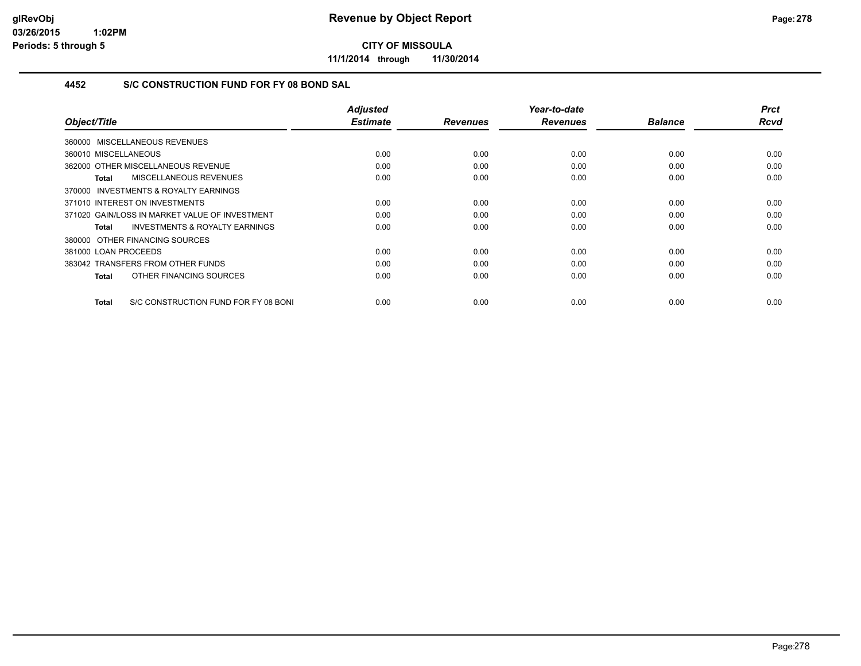**11/1/2014 through 11/30/2014**

## **4452 S/C CONSTRUCTION FUND FOR FY 08 BOND SAL**

| Object/Title                                         | <b>Adjusted</b><br><b>Estimate</b> | <b>Revenues</b> | Year-to-date<br><b>Revenues</b> | <b>Balance</b> | <b>Prct</b><br><b>Rcvd</b> |
|------------------------------------------------------|------------------------------------|-----------------|---------------------------------|----------------|----------------------------|
|                                                      |                                    |                 |                                 |                |                            |
| 360000 MISCELLANEOUS REVENUES                        |                                    |                 |                                 |                |                            |
| 360010 MISCELLANEOUS                                 | 0.00                               | 0.00            | 0.00                            | 0.00           | 0.00                       |
| 362000 OTHER MISCELLANEOUS REVENUE                   | 0.00                               | 0.00            | 0.00                            | 0.00           | 0.00                       |
| MISCELLANEOUS REVENUES<br>Total                      | 0.00                               | 0.00            | 0.00                            | 0.00           | 0.00                       |
| 370000 INVESTMENTS & ROYALTY EARNINGS                |                                    |                 |                                 |                |                            |
| 371010 INTEREST ON INVESTMENTS                       | 0.00                               | 0.00            | 0.00                            | 0.00           | 0.00                       |
| 371020 GAIN/LOSS IN MARKET VALUE OF INVESTMENT       | 0.00                               | 0.00            | 0.00                            | 0.00           | 0.00                       |
| <b>INVESTMENTS &amp; ROYALTY EARNINGS</b><br>Total   | 0.00                               | 0.00            | 0.00                            | 0.00           | 0.00                       |
| 380000 OTHER FINANCING SOURCES                       |                                    |                 |                                 |                |                            |
| 381000 LOAN PROCEEDS                                 | 0.00                               | 0.00            | 0.00                            | 0.00           | 0.00                       |
| 383042 TRANSFERS FROM OTHER FUNDS                    | 0.00                               | 0.00            | 0.00                            | 0.00           | 0.00                       |
| OTHER FINANCING SOURCES<br>Total                     | 0.00                               | 0.00            | 0.00                            | 0.00           | 0.00                       |
|                                                      |                                    |                 |                                 |                |                            |
| S/C CONSTRUCTION FUND FOR FY 08 BONI<br><b>Total</b> | 0.00                               | 0.00            | 0.00                            | 0.00           | 0.00                       |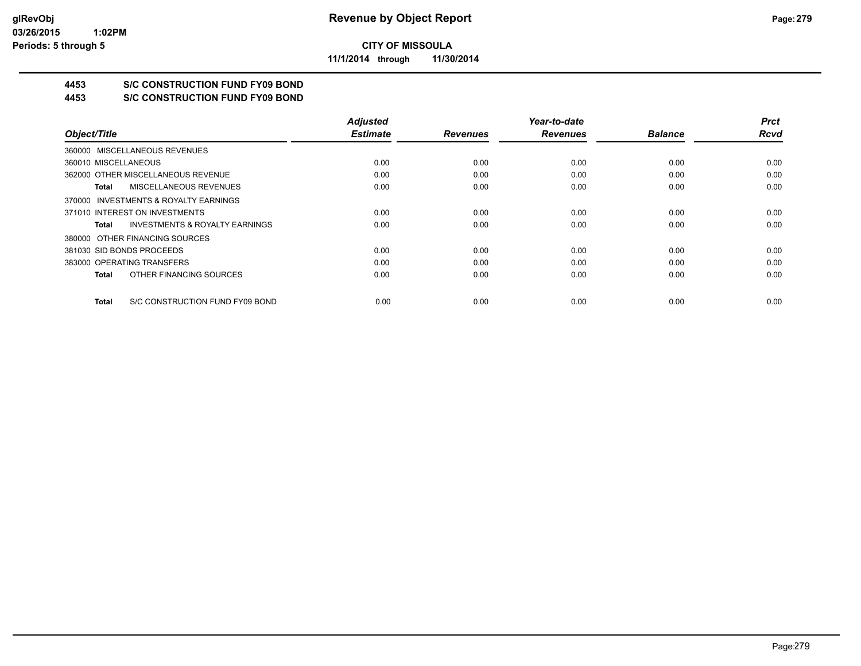**11/1/2014 through 11/30/2014**

# **4453 S/C CONSTRUCTION FUND FY09 BOND**

**4453 S/C CONSTRUCTION FUND FY09 BOND**

|                                                    | <b>Adjusted</b> |                 | Year-to-date    |                | <b>Prct</b> |
|----------------------------------------------------|-----------------|-----------------|-----------------|----------------|-------------|
| Object/Title                                       | <b>Estimate</b> | <b>Revenues</b> | <b>Revenues</b> | <b>Balance</b> | <b>Rcvd</b> |
| 360000 MISCELLANEOUS REVENUES                      |                 |                 |                 |                |             |
| 360010 MISCELLANEOUS                               | 0.00            | 0.00            | 0.00            | 0.00           | 0.00        |
| 362000 OTHER MISCELLANEOUS REVENUE                 | 0.00            | 0.00            | 0.00            | 0.00           | 0.00        |
| MISCELLANEOUS REVENUES<br>Total                    | 0.00            | 0.00            | 0.00            | 0.00           | 0.00        |
| 370000 INVESTMENTS & ROYALTY EARNINGS              |                 |                 |                 |                |             |
| 371010 INTEREST ON INVESTMENTS                     | 0.00            | 0.00            | 0.00            | 0.00           | 0.00        |
| <b>INVESTMENTS &amp; ROYALTY EARNINGS</b><br>Total | 0.00            | 0.00            | 0.00            | 0.00           | 0.00        |
| 380000 OTHER FINANCING SOURCES                     |                 |                 |                 |                |             |
| 381030 SID BONDS PROCEEDS                          | 0.00            | 0.00            | 0.00            | 0.00           | 0.00        |
| 383000 OPERATING TRANSFERS                         | 0.00            | 0.00            | 0.00            | 0.00           | 0.00        |
| OTHER FINANCING SOURCES<br>Total                   | 0.00            | 0.00            | 0.00            | 0.00           | 0.00        |
| S/C CONSTRUCTION FUND FY09 BOND<br><b>Total</b>    | 0.00            | 0.00            | 0.00            | 0.00           | 0.00        |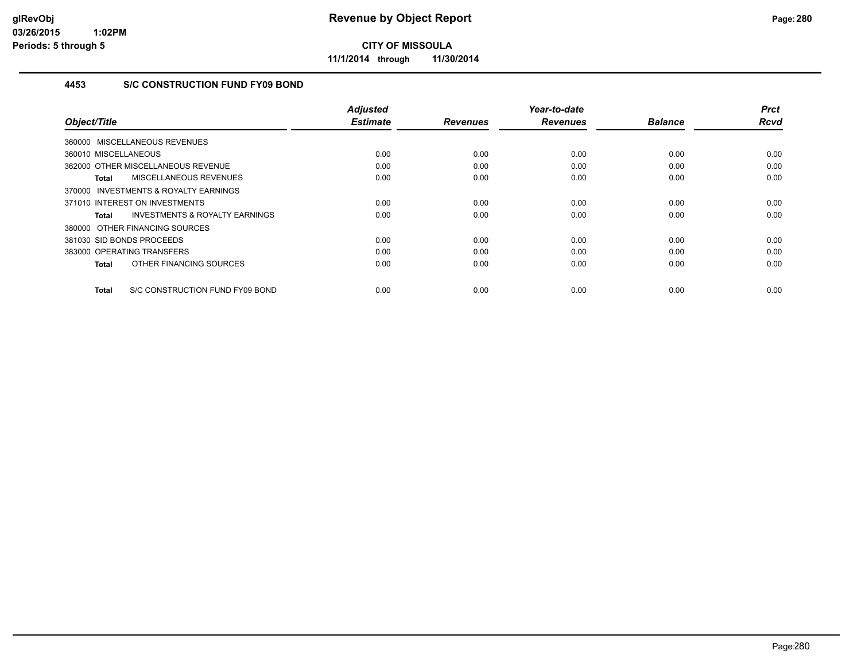**11/1/2014 through 11/30/2014**

## **4453 S/C CONSTRUCTION FUND FY09 BOND**

|                                                    | <b>Adjusted</b><br><b>Estimate</b> |                 | Year-to-date    |                | Prct<br><b>Rcvd</b> |
|----------------------------------------------------|------------------------------------|-----------------|-----------------|----------------|---------------------|
| Object/Title                                       |                                    | <b>Revenues</b> | <b>Revenues</b> | <b>Balance</b> |                     |
| 360000 MISCELLANEOUS REVENUES                      |                                    |                 |                 |                |                     |
| 360010 MISCELLANEOUS                               | 0.00                               | 0.00            | 0.00            | 0.00           | 0.00                |
| 362000 OTHER MISCELLANEOUS REVENUE                 | 0.00                               | 0.00            | 0.00            | 0.00           | 0.00                |
| MISCELLANEOUS REVENUES<br><b>Total</b>             | 0.00                               | 0.00            | 0.00            | 0.00           | 0.00                |
| INVESTMENTS & ROYALTY EARNINGS<br>370000           |                                    |                 |                 |                |                     |
| 371010 INTEREST ON INVESTMENTS                     | 0.00                               | 0.00            | 0.00            | 0.00           | 0.00                |
| <b>INVESTMENTS &amp; ROYALTY EARNINGS</b><br>Total | 0.00                               | 0.00            | 0.00            | 0.00           | 0.00                |
| 380000 OTHER FINANCING SOURCES                     |                                    |                 |                 |                |                     |
| 381030 SID BONDS PROCEEDS                          | 0.00                               | 0.00            | 0.00            | 0.00           | 0.00                |
| 383000 OPERATING TRANSFERS                         | 0.00                               | 0.00            | 0.00            | 0.00           | 0.00                |
| OTHER FINANCING SOURCES<br>Total                   | 0.00                               | 0.00            | 0.00            | 0.00           | 0.00                |
| S/C CONSTRUCTION FUND FY09 BOND<br><b>Total</b>    | 0.00                               | 0.00            | 0.00            | 0.00           | 0.00                |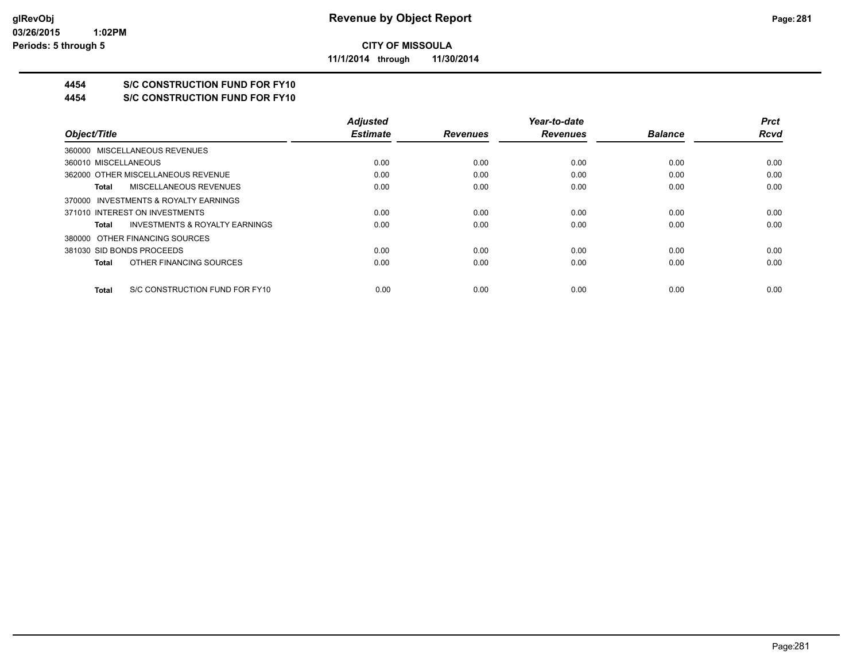**11/1/2014 through 11/30/2014**

# **4454 S/C CONSTRUCTION FUND FOR FY10**

**4454 S/C CONSTRUCTION FUND FOR FY10**

|                                                    | <b>Adjusted</b> |                 | Year-to-date    |                | <b>Prct</b> |
|----------------------------------------------------|-----------------|-----------------|-----------------|----------------|-------------|
| Object/Title                                       | <b>Estimate</b> | <b>Revenues</b> | <b>Revenues</b> | <b>Balance</b> | <b>Rcvd</b> |
| 360000 MISCELLANEOUS REVENUES                      |                 |                 |                 |                |             |
| 360010 MISCELLANEOUS                               | 0.00            | 0.00            | 0.00            | 0.00           | 0.00        |
| 362000 OTHER MISCELLANEOUS REVENUE                 | 0.00            | 0.00            | 0.00            | 0.00           | 0.00        |
| MISCELLANEOUS REVENUES<br>Total                    | 0.00            | 0.00            | 0.00            | 0.00           | 0.00        |
| 370000 INVESTMENTS & ROYALTY EARNINGS              |                 |                 |                 |                |             |
| 371010 INTEREST ON INVESTMENTS                     | 0.00            | 0.00            | 0.00            | 0.00           | 0.00        |
| <b>INVESTMENTS &amp; ROYALTY EARNINGS</b><br>Total | 0.00            | 0.00            | 0.00            | 0.00           | 0.00        |
| 380000 OTHER FINANCING SOURCES                     |                 |                 |                 |                |             |
| 381030 SID BONDS PROCEEDS                          | 0.00            | 0.00            | 0.00            | 0.00           | 0.00        |
| OTHER FINANCING SOURCES<br>Total                   | 0.00            | 0.00            | 0.00            | 0.00           | 0.00        |
| S/C CONSTRUCTION FUND FOR FY10<br>Total            | 0.00            | 0.00            | 0.00            | 0.00           | 0.00        |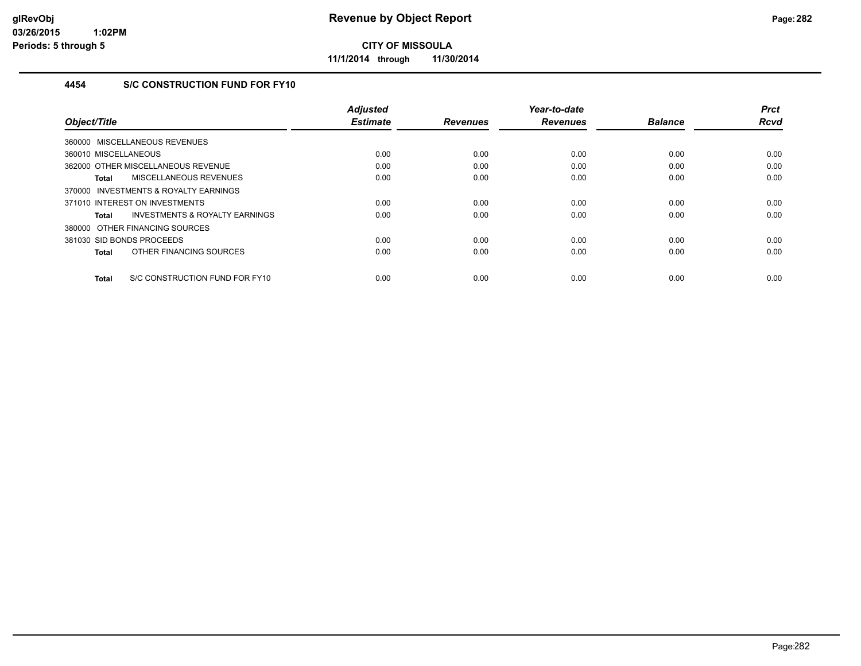**11/1/2014 through 11/30/2014**

## **4454 S/C CONSTRUCTION FUND FOR FY10**

| Object/Title                                   | <b>Adjusted</b><br><b>Estimate</b> | <b>Revenues</b> | Year-to-date<br><b>Revenues</b> | <b>Balance</b> | <b>Prct</b><br><b>Rcvd</b> |
|------------------------------------------------|------------------------------------|-----------------|---------------------------------|----------------|----------------------------|
|                                                |                                    |                 |                                 |                |                            |
| 360000 MISCELLANEOUS REVENUES                  |                                    |                 |                                 |                |                            |
| 360010 MISCELLANEOUS                           | 0.00                               | 0.00            | 0.00                            | 0.00           | 0.00                       |
| 362000 OTHER MISCELLANEOUS REVENUE             | 0.00                               | 0.00            | 0.00                            | 0.00           | 0.00                       |
| MISCELLANEOUS REVENUES<br><b>Total</b>         | 0.00                               | 0.00            | 0.00                            | 0.00           | 0.00                       |
| 370000 INVESTMENTS & ROYALTY EARNINGS          |                                    |                 |                                 |                |                            |
| 371010 INTEREST ON INVESTMENTS                 | 0.00                               | 0.00            | 0.00                            | 0.00           | 0.00                       |
| INVESTMENTS & ROYALTY EARNINGS<br><b>Total</b> | 0.00                               | 0.00            | 0.00                            | 0.00           | 0.00                       |
| 380000 OTHER FINANCING SOURCES                 |                                    |                 |                                 |                |                            |
| 381030 SID BONDS PROCEEDS                      | 0.00                               | 0.00            | 0.00                            | 0.00           | 0.00                       |
| OTHER FINANCING SOURCES<br><b>Total</b>        | 0.00                               | 0.00            | 0.00                            | 0.00           | 0.00                       |
| S/C CONSTRUCTION FUND FOR FY10<br><b>Total</b> | 0.00                               | 0.00            | 0.00                            | 0.00           | 0.00                       |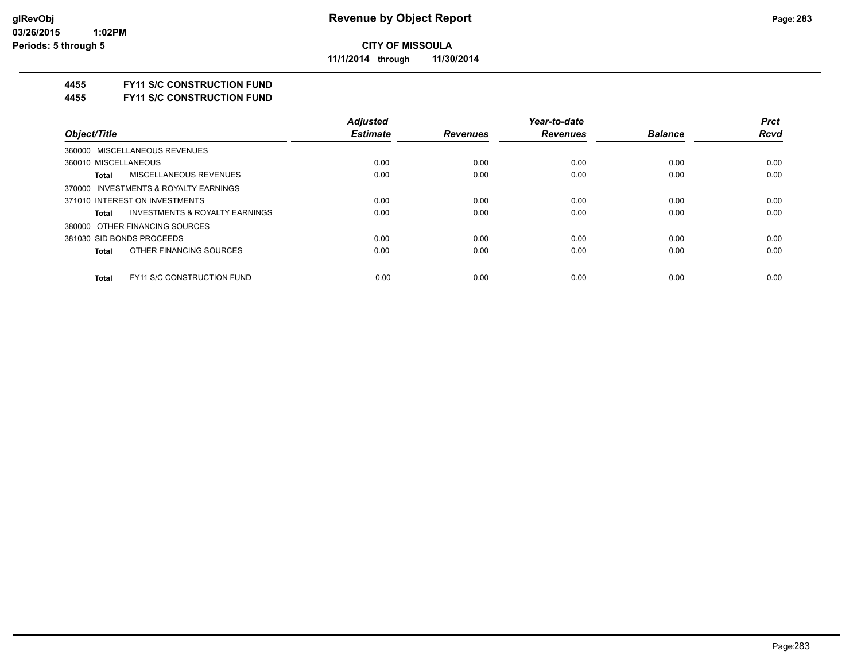**11/1/2014 through 11/30/2014**

#### **4455 FY11 S/C CONSTRUCTION FUND**

#### **4455 FY11 S/C CONSTRUCTION FUND**

|                                            | <b>Adjusted</b> |                 | Year-to-date    |                | <b>Prct</b> |
|--------------------------------------------|-----------------|-----------------|-----------------|----------------|-------------|
| Object/Title                               | <b>Estimate</b> | <b>Revenues</b> | <b>Revenues</b> | <b>Balance</b> | <b>Rcvd</b> |
| 360000 MISCELLANEOUS REVENUES              |                 |                 |                 |                |             |
| 360010 MISCELLANEOUS                       | 0.00            | 0.00            | 0.00            | 0.00           | 0.00        |
| <b>MISCELLANEOUS REVENUES</b><br>Total     | 0.00            | 0.00            | 0.00            | 0.00           | 0.00        |
| 370000 INVESTMENTS & ROYALTY EARNINGS      |                 |                 |                 |                |             |
| 371010 INTEREST ON INVESTMENTS             | 0.00            | 0.00            | 0.00            | 0.00           | 0.00        |
| INVESTMENTS & ROYALTY EARNINGS<br>Total    | 0.00            | 0.00            | 0.00            | 0.00           | 0.00        |
| 380000 OTHER FINANCING SOURCES             |                 |                 |                 |                |             |
| 381030 SID BONDS PROCEEDS                  | 0.00            | 0.00            | 0.00            | 0.00           | 0.00        |
| OTHER FINANCING SOURCES<br>Total           | 0.00            | 0.00            | 0.00            | 0.00           | 0.00        |
|                                            |                 |                 |                 |                |             |
| <b>FY11 S/C CONSTRUCTION FUND</b><br>Total | 0.00            | 0.00            | 0.00            | 0.00           | 0.00        |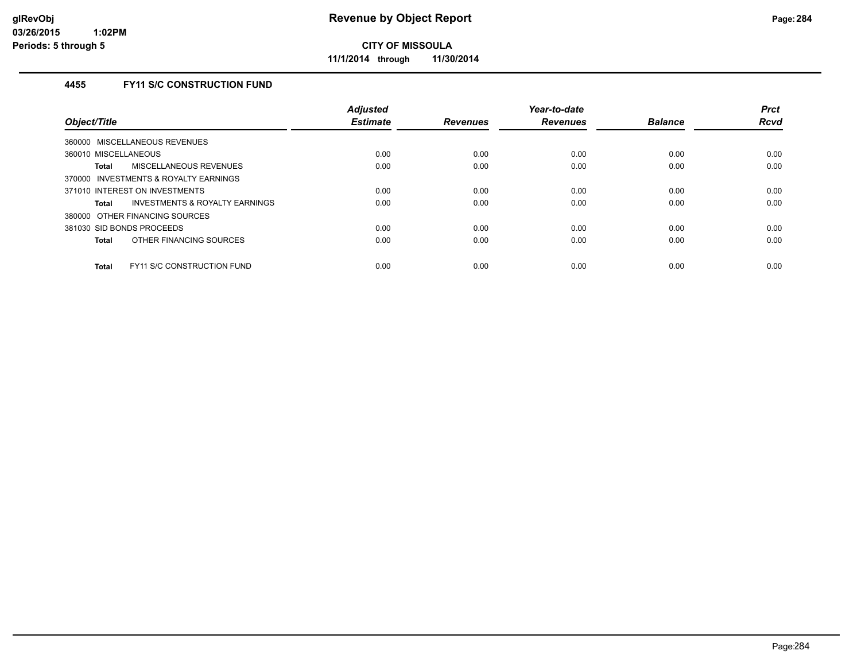**11/1/2014 through 11/30/2014**

## **4455 FY11 S/C CONSTRUCTION FUND**

| Object/Title                                      | <b>Adjusted</b><br><b>Estimate</b> | <b>Revenues</b> | Year-to-date<br><b>Revenues</b> | <b>Balance</b> | <b>Prct</b><br><b>Rcvd</b> |
|---------------------------------------------------|------------------------------------|-----------------|---------------------------------|----------------|----------------------------|
| 360000 MISCELLANEOUS REVENUES                     |                                    |                 |                                 |                |                            |
| 360010 MISCELLANEOUS                              | 0.00                               | 0.00            | 0.00                            | 0.00           | 0.00                       |
| MISCELLANEOUS REVENUES<br>Total                   | 0.00                               | 0.00            | 0.00                            | 0.00           | 0.00                       |
| 370000 INVESTMENTS & ROYALTY EARNINGS             |                                    |                 |                                 |                |                            |
| 371010 INTEREST ON INVESTMENTS                    | 0.00                               | 0.00            | 0.00                            | 0.00           | 0.00                       |
| INVESTMENTS & ROYALTY EARNINGS<br>Total           | 0.00                               | 0.00            | 0.00                            | 0.00           | 0.00                       |
| 380000 OTHER FINANCING SOURCES                    |                                    |                 |                                 |                |                            |
| 381030 SID BONDS PROCEEDS                         | 0.00                               | 0.00            | 0.00                            | 0.00           | 0.00                       |
| OTHER FINANCING SOURCES<br><b>Total</b>           | 0.00                               | 0.00            | 0.00                            | 0.00           | 0.00                       |
| <b>FY11 S/C CONSTRUCTION FUND</b><br><b>Total</b> | 0.00                               | 0.00            | 0.00                            | 0.00           | 0.00                       |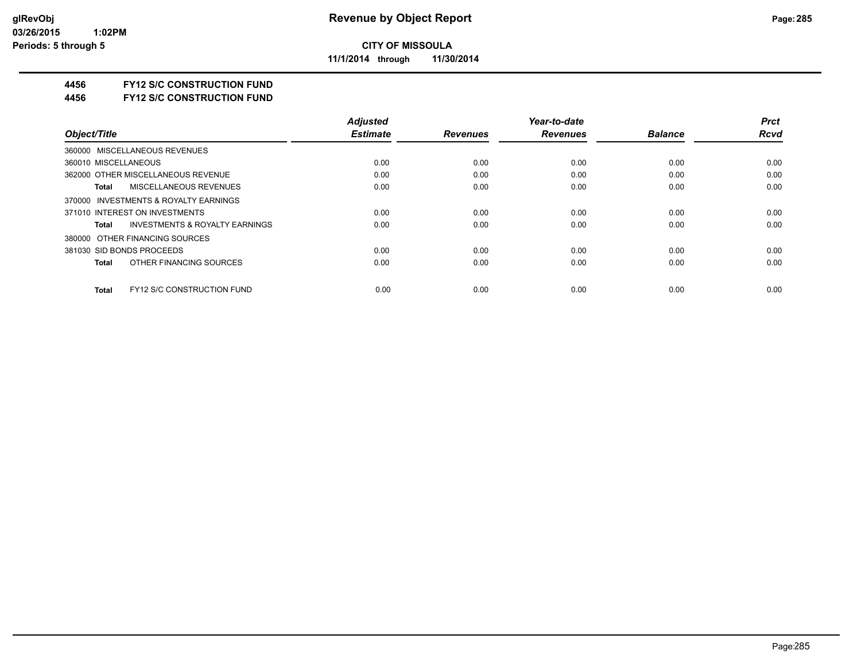**11/1/2014 through 11/30/2014**

## **4456 FY12 S/C CONSTRUCTION FUND**

**4456 FY12 S/C CONSTRUCTION FUND**

|                                                    | <b>Adjusted</b> |                 | Year-to-date    |                | <b>Prct</b> |
|----------------------------------------------------|-----------------|-----------------|-----------------|----------------|-------------|
| Object/Title                                       | <b>Estimate</b> | <b>Revenues</b> | <b>Revenues</b> | <b>Balance</b> | <b>Rcvd</b> |
| 360000 MISCELLANEOUS REVENUES                      |                 |                 |                 |                |             |
| 360010 MISCELLANEOUS                               | 0.00            | 0.00            | 0.00            | 0.00           | 0.00        |
| 362000 OTHER MISCELLANEOUS REVENUE                 | 0.00            | 0.00            | 0.00            | 0.00           | 0.00        |
| MISCELLANEOUS REVENUES<br>Total                    | 0.00            | 0.00            | 0.00            | 0.00           | 0.00        |
| 370000 INVESTMENTS & ROYALTY EARNINGS              |                 |                 |                 |                |             |
| 371010 INTEREST ON INVESTMENTS                     | 0.00            | 0.00            | 0.00            | 0.00           | 0.00        |
| <b>INVESTMENTS &amp; ROYALTY EARNINGS</b><br>Total | 0.00            | 0.00            | 0.00            | 0.00           | 0.00        |
| 380000 OTHER FINANCING SOURCES                     |                 |                 |                 |                |             |
| 381030 SID BONDS PROCEEDS                          | 0.00            | 0.00            | 0.00            | 0.00           | 0.00        |
| OTHER FINANCING SOURCES<br>Total                   | 0.00            | 0.00            | 0.00            | 0.00           | 0.00        |
| <b>FY12 S/C CONSTRUCTION FUND</b><br>Total         | 0.00            | 0.00            | 0.00            | 0.00           | 0.00        |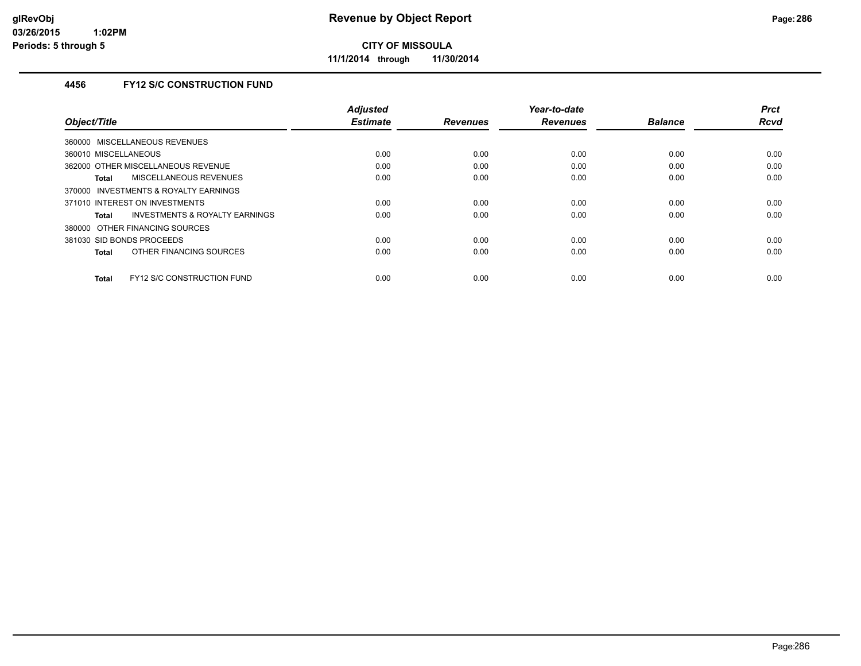**11/1/2014 through 11/30/2014**

## **4456 FY12 S/C CONSTRUCTION FUND**

|                                                    | <b>Adjusted</b> |                 | Year-to-date    |                | <b>Prct</b> |
|----------------------------------------------------|-----------------|-----------------|-----------------|----------------|-------------|
| Object/Title                                       | <b>Estimate</b> | <b>Revenues</b> | <b>Revenues</b> | <b>Balance</b> | <b>Rcvd</b> |
| 360000 MISCELLANEOUS REVENUES                      |                 |                 |                 |                |             |
| 360010 MISCELLANEOUS                               | 0.00            | 0.00            | 0.00            | 0.00           | 0.00        |
| 362000 OTHER MISCELLANEOUS REVENUE                 | 0.00            | 0.00            | 0.00            | 0.00           | 0.00        |
| <b>MISCELLANEOUS REVENUES</b><br>Total             | 0.00            | 0.00            | 0.00            | 0.00           | 0.00        |
| 370000 INVESTMENTS & ROYALTY EARNINGS              |                 |                 |                 |                |             |
| 371010 INTEREST ON INVESTMENTS                     | 0.00            | 0.00            | 0.00            | 0.00           | 0.00        |
| <b>INVESTMENTS &amp; ROYALTY EARNINGS</b><br>Total | 0.00            | 0.00            | 0.00            | 0.00           | 0.00        |
| 380000 OTHER FINANCING SOURCES                     |                 |                 |                 |                |             |
| 381030 SID BONDS PROCEEDS                          | 0.00            | 0.00            | 0.00            | 0.00           | 0.00        |
| OTHER FINANCING SOURCES<br>Total                   | 0.00            | 0.00            | 0.00            | 0.00           | 0.00        |
|                                                    |                 |                 |                 |                |             |
| <b>FY12 S/C CONSTRUCTION FUND</b><br><b>Total</b>  | 0.00            | 0.00            | 0.00            | 0.00           | 0.00        |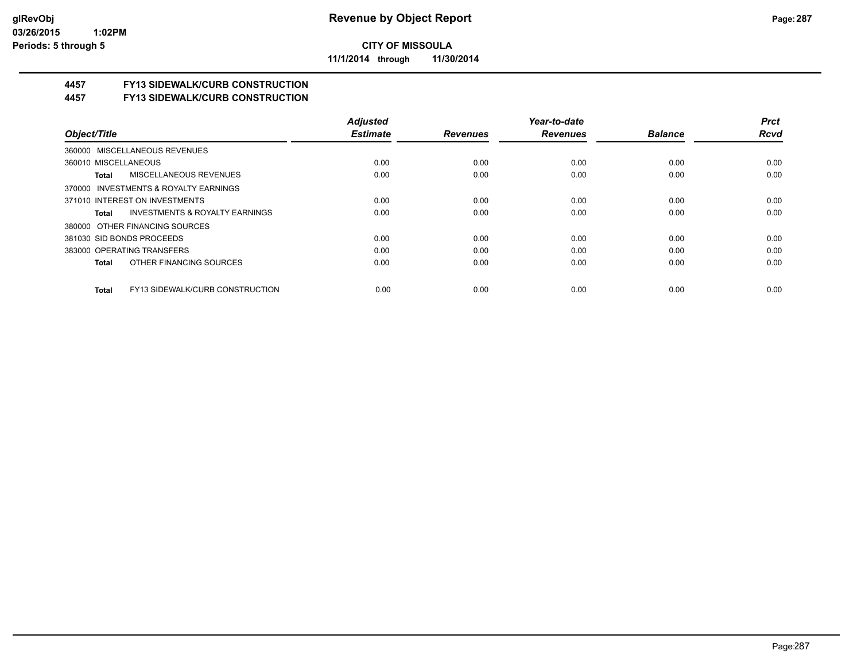**11/1/2014 through 11/30/2014**

## **4457 FY13 SIDEWALK/CURB CONSTRUCTION**

**4457 FY13 SIDEWALK/CURB CONSTRUCTION**

|                                                    | <b>Adjusted</b> |                 | Year-to-date    |                | <b>Prct</b> |
|----------------------------------------------------|-----------------|-----------------|-----------------|----------------|-------------|
| Object/Title                                       | <b>Estimate</b> | <b>Revenues</b> | <b>Revenues</b> | <b>Balance</b> | <b>Rcvd</b> |
| 360000 MISCELLANEOUS REVENUES                      |                 |                 |                 |                |             |
| 360010 MISCELLANEOUS                               | 0.00            | 0.00            | 0.00            | 0.00           | 0.00        |
| MISCELLANEOUS REVENUES<br>Total                    | 0.00            | 0.00            | 0.00            | 0.00           | 0.00        |
| 370000 INVESTMENTS & ROYALTY EARNINGS              |                 |                 |                 |                |             |
| 371010 INTEREST ON INVESTMENTS                     | 0.00            | 0.00            | 0.00            | 0.00           | 0.00        |
| <b>INVESTMENTS &amp; ROYALTY EARNINGS</b><br>Total | 0.00            | 0.00            | 0.00            | 0.00           | 0.00        |
| 380000 OTHER FINANCING SOURCES                     |                 |                 |                 |                |             |
| 381030 SID BONDS PROCEEDS                          | 0.00            | 0.00            | 0.00            | 0.00           | 0.00        |
| 383000 OPERATING TRANSFERS                         | 0.00            | 0.00            | 0.00            | 0.00           | 0.00        |
| OTHER FINANCING SOURCES<br>Total                   | 0.00            | 0.00            | 0.00            | 0.00           | 0.00        |
| FY13 SIDEWALK/CURB CONSTRUCTION<br>Total           | 0.00            | 0.00            | 0.00            | 0.00           | 0.00        |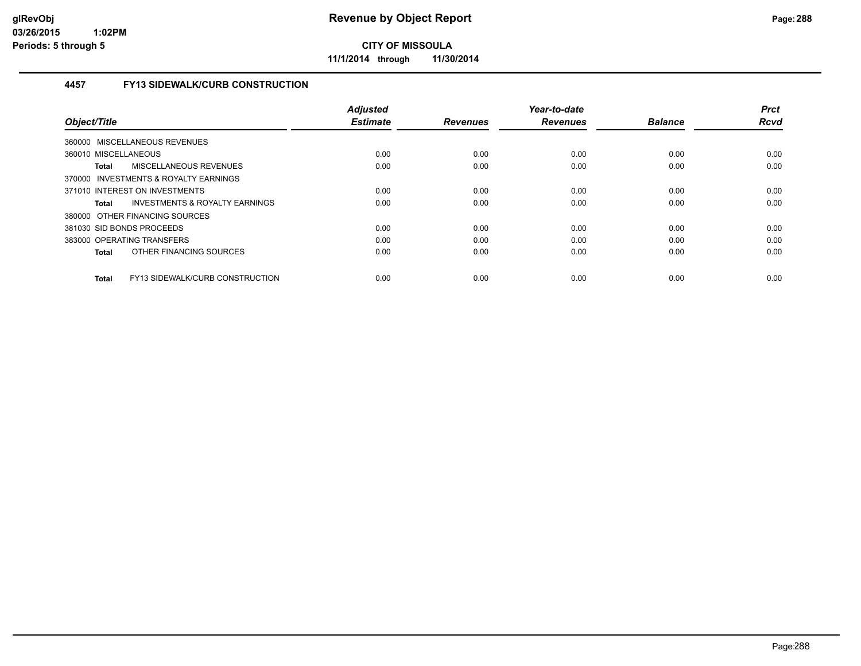**11/1/2014 through 11/30/2014**

## **4457 FY13 SIDEWALK/CURB CONSTRUCTION**

| Object/Title                                       | <b>Adjusted</b><br><b>Estimate</b> | <b>Revenues</b> | Year-to-date<br><b>Revenues</b> | <b>Balance</b> | <b>Prct</b><br><b>Rcvd</b> |
|----------------------------------------------------|------------------------------------|-----------------|---------------------------------|----------------|----------------------------|
|                                                    |                                    |                 |                                 |                |                            |
| 360000 MISCELLANEOUS REVENUES                      |                                    |                 |                                 |                |                            |
| 360010 MISCELLANEOUS                               | 0.00                               | 0.00            | 0.00                            | 0.00           | 0.00                       |
| MISCELLANEOUS REVENUES<br><b>Total</b>             | 0.00                               | 0.00            | 0.00                            | 0.00           | 0.00                       |
| 370000 INVESTMENTS & ROYALTY EARNINGS              |                                    |                 |                                 |                |                            |
| 371010 INTEREST ON INVESTMENTS                     | 0.00                               | 0.00            | 0.00                            | 0.00           | 0.00                       |
| <b>INVESTMENTS &amp; ROYALTY EARNINGS</b><br>Total | 0.00                               | 0.00            | 0.00                            | 0.00           | 0.00                       |
| 380000 OTHER FINANCING SOURCES                     |                                    |                 |                                 |                |                            |
| 381030 SID BONDS PROCEEDS                          | 0.00                               | 0.00            | 0.00                            | 0.00           | 0.00                       |
| 383000 OPERATING TRANSFERS                         | 0.00                               | 0.00            | 0.00                            | 0.00           | 0.00                       |
| OTHER FINANCING SOURCES<br><b>Total</b>            | 0.00                               | 0.00            | 0.00                            | 0.00           | 0.00                       |
|                                                    |                                    |                 |                                 |                |                            |
| FY13 SIDEWALK/CURB CONSTRUCTION<br><b>Total</b>    | 0.00                               | 0.00            | 0.00                            | 0.00           | 0.00                       |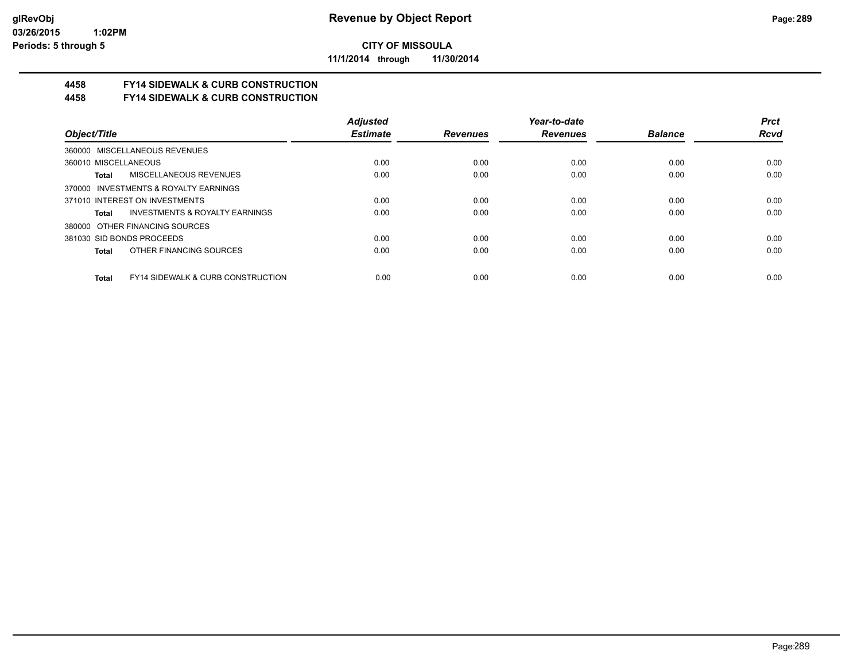**11/1/2014 through 11/30/2014**

# **4458 FY14 SIDEWALK & CURB CONSTRUCTION**

**4458 FY14 SIDEWALK & CURB CONSTRUCTION**

|                                                       | <b>Adjusted</b> |                 | Year-to-date    |                | <b>Prct</b> |
|-------------------------------------------------------|-----------------|-----------------|-----------------|----------------|-------------|
| Object/Title                                          | <b>Estimate</b> | <b>Revenues</b> | <b>Revenues</b> | <b>Balance</b> | <b>Rcvd</b> |
| 360000 MISCELLANEOUS REVENUES                         |                 |                 |                 |                |             |
| 360010 MISCELLANEOUS                                  | 0.00            | 0.00            | 0.00            | 0.00           | 0.00        |
| <b>MISCELLANEOUS REVENUES</b><br>Total                | 0.00            | 0.00            | 0.00            | 0.00           | 0.00        |
| 370000 INVESTMENTS & ROYALTY EARNINGS                 |                 |                 |                 |                |             |
| 371010 INTEREST ON INVESTMENTS                        | 0.00            | 0.00            | 0.00            | 0.00           | 0.00        |
| INVESTMENTS & ROYALTY EARNINGS<br>Total               | 0.00            | 0.00            | 0.00            | 0.00           | 0.00        |
| 380000 OTHER FINANCING SOURCES                        |                 |                 |                 |                |             |
| 381030 SID BONDS PROCEEDS                             | 0.00            | 0.00            | 0.00            | 0.00           | 0.00        |
| OTHER FINANCING SOURCES<br>Total                      | 0.00            | 0.00            | 0.00            | 0.00           | 0.00        |
| <b>FY14 SIDEWALK &amp; CURB CONSTRUCTION</b><br>Total | 0.00            | 0.00            | 0.00            | 0.00           | 0.00        |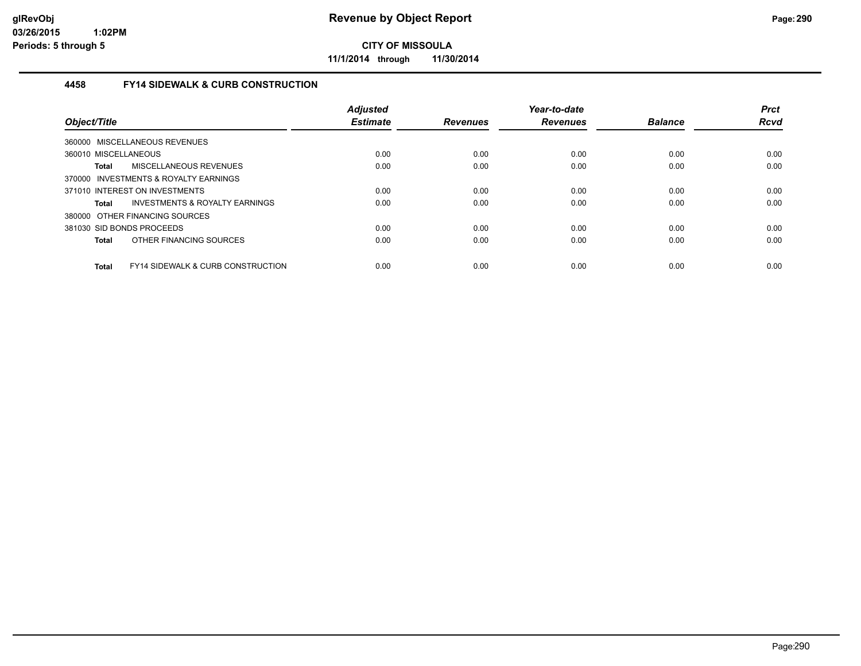**11/1/2014 through 11/30/2014**

### **4458 FY14 SIDEWALK & CURB CONSTRUCTION**

| Object/Title         |                                              | <b>Adjusted</b><br><b>Estimate</b> | <b>Revenues</b> | Year-to-date<br><b>Revenues</b> | <b>Balance</b> | <b>Prct</b><br><b>Rcvd</b> |
|----------------------|----------------------------------------------|------------------------------------|-----------------|---------------------------------|----------------|----------------------------|
|                      | 360000 MISCELLANEOUS REVENUES                |                                    |                 |                                 |                |                            |
| 360010 MISCELLANEOUS |                                              | 0.00                               | 0.00            | 0.00                            | 0.00           | 0.00                       |
| <b>Total</b>         | MISCELLANEOUS REVENUES                       | 0.00                               | 0.00            | 0.00                            | 0.00           | 0.00                       |
|                      | 370000 INVESTMENTS & ROYALTY EARNINGS        |                                    |                 |                                 |                |                            |
|                      | 371010 INTEREST ON INVESTMENTS               | 0.00                               | 0.00            | 0.00                            | 0.00           | 0.00                       |
| <b>Total</b>         | INVESTMENTS & ROYALTY EARNINGS               | 0.00                               | 0.00            | 0.00                            | 0.00           | 0.00                       |
|                      | 380000 OTHER FINANCING SOURCES               |                                    |                 |                                 |                |                            |
|                      | 381030 SID BONDS PROCEEDS                    | 0.00                               | 0.00            | 0.00                            | 0.00           | 0.00                       |
| <b>Total</b>         | OTHER FINANCING SOURCES                      | 0.00                               | 0.00            | 0.00                            | 0.00           | 0.00                       |
| <b>Total</b>         | <b>FY14 SIDEWALK &amp; CURB CONSTRUCTION</b> | 0.00                               | 0.00            | 0.00                            | 0.00           | 0.00                       |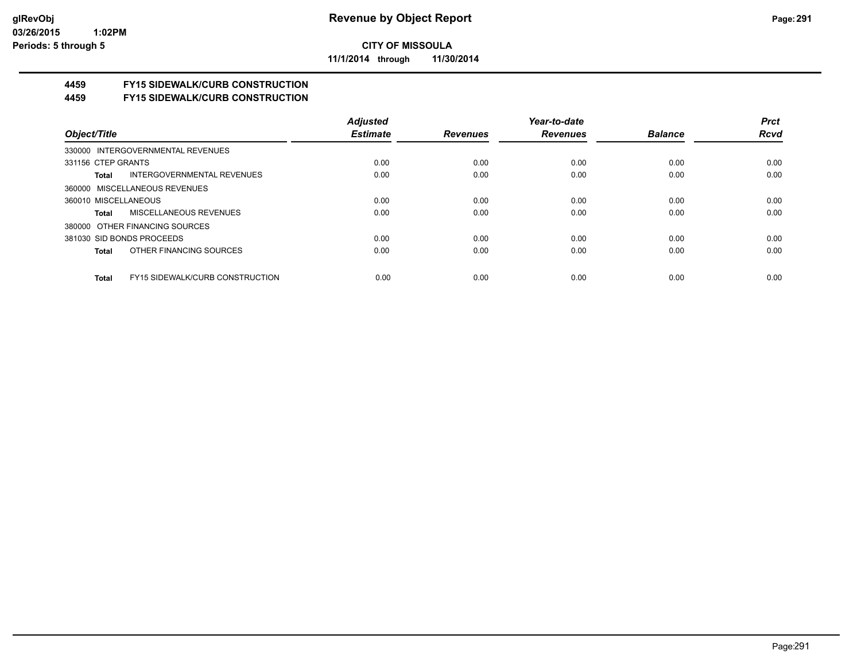**11/1/2014 through 11/30/2014**

# **4459 FY15 SIDEWALK/CURB CONSTRUCTION**

**4459 FY15 SIDEWALK/CURB CONSTRUCTION**

|                                                 | <b>Adjusted</b> |                 | Year-to-date    |                | <b>Prct</b> |
|-------------------------------------------------|-----------------|-----------------|-----------------|----------------|-------------|
| Object/Title                                    | <b>Estimate</b> | <b>Revenues</b> | <b>Revenues</b> | <b>Balance</b> | <b>Rcvd</b> |
| 330000 INTERGOVERNMENTAL REVENUES               |                 |                 |                 |                |             |
| 331156 CTEP GRANTS                              | 0.00            | 0.00            | 0.00            | 0.00           | 0.00        |
| INTERGOVERNMENTAL REVENUES<br>Total             | 0.00            | 0.00            | 0.00            | 0.00           | 0.00        |
| 360000 MISCELLANEOUS REVENUES                   |                 |                 |                 |                |             |
| 360010 MISCELLANEOUS                            | 0.00            | 0.00            | 0.00            | 0.00           | 0.00        |
| MISCELLANEOUS REVENUES<br>Total                 | 0.00            | 0.00            | 0.00            | 0.00           | 0.00        |
| 380000 OTHER FINANCING SOURCES                  |                 |                 |                 |                |             |
| 381030 SID BONDS PROCEEDS                       | 0.00            | 0.00            | 0.00            | 0.00           | 0.00        |
| OTHER FINANCING SOURCES<br>Total                | 0.00            | 0.00            | 0.00            | 0.00           | 0.00        |
|                                                 |                 |                 |                 |                |             |
| <b>FY15 SIDEWALK/CURB CONSTRUCTION</b><br>Total | 0.00            | 0.00            | 0.00            | 0.00           | 0.00        |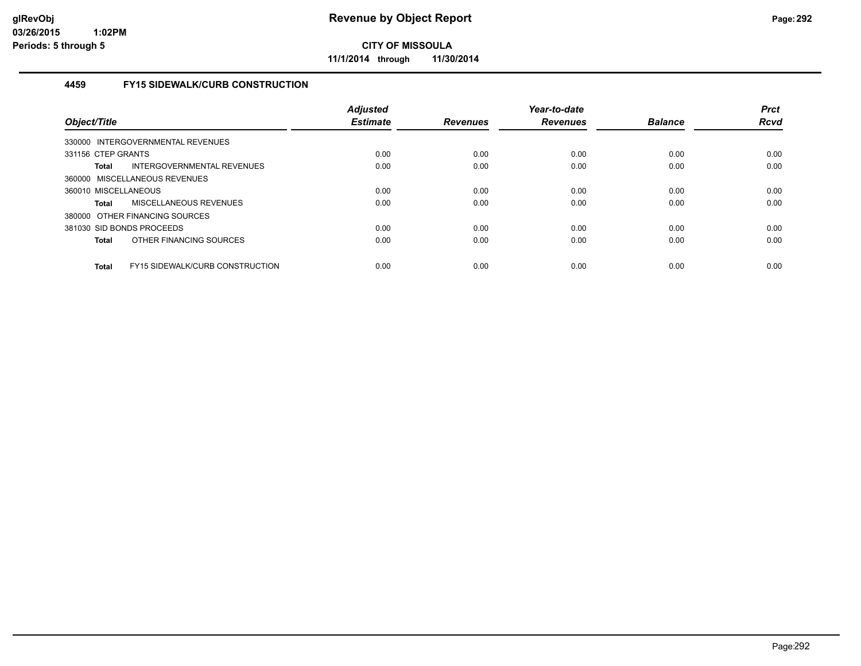**11/1/2014 through 11/30/2014**

### **4459 FY15 SIDEWALK/CURB CONSTRUCTION**

| Object/Title              |                                   | <b>Adjusted</b><br><b>Estimate</b> | <b>Revenues</b> | Year-to-date<br><b>Revenues</b> | <b>Balance</b> | <b>Prct</b><br><b>Rcvd</b> |
|---------------------------|-----------------------------------|------------------------------------|-----------------|---------------------------------|----------------|----------------------------|
|                           | 330000 INTERGOVERNMENTAL REVENUES |                                    |                 |                                 |                |                            |
| 331156 CTEP GRANTS        |                                   | 0.00                               | 0.00            | 0.00                            | 0.00           | 0.00                       |
| <b>Total</b>              | INTERGOVERNMENTAL REVENUES        | 0.00                               | 0.00            | 0.00                            | 0.00           | 0.00                       |
|                           | 360000 MISCELLANEOUS REVENUES     |                                    |                 |                                 |                |                            |
| 360010 MISCELLANEOUS      |                                   | 0.00                               | 0.00            | 0.00                            | 0.00           | 0.00                       |
| <b>Total</b>              | <b>MISCELLANEOUS REVENUES</b>     | 0.00                               | 0.00            | 0.00                            | 0.00           | 0.00                       |
|                           | 380000 OTHER FINANCING SOURCES    |                                    |                 |                                 |                |                            |
| 381030 SID BONDS PROCEEDS |                                   | 0.00                               | 0.00            | 0.00                            | 0.00           | 0.00                       |
| <b>Total</b>              | OTHER FINANCING SOURCES           | 0.00                               | 0.00            | 0.00                            | 0.00           | 0.00                       |
| <b>Total</b>              | FY15 SIDEWALK/CURB CONSTRUCTION   | 0.00                               | 0.00            | 0.00                            | 0.00           | 0.00                       |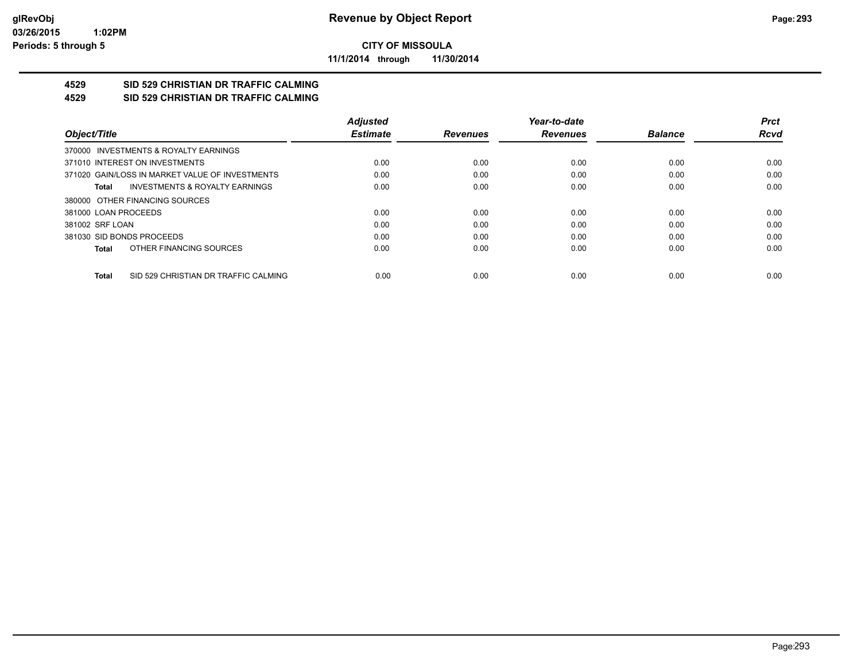**11/1/2014 through 11/30/2014**

#### **4529 SID 529 CHRISTIAN DR TRAFFIC CALMING 4529 SID 529 CHRISTIAN DR TRAFFIC CALMING**

|                                |                                                 | <b>Adjusted</b> |                 | Year-to-date    |                | <b>Prct</b> |
|--------------------------------|-------------------------------------------------|-----------------|-----------------|-----------------|----------------|-------------|
| Object/Title                   |                                                 | <b>Estimate</b> | <b>Revenues</b> | <b>Revenues</b> | <b>Balance</b> | <b>Rcvd</b> |
| 370000                         | INVESTMENTS & ROYALTY EARNINGS                  |                 |                 |                 |                |             |
| 371010 INTEREST ON INVESTMENTS |                                                 | 0.00            | 0.00            | 0.00            | 0.00           | 0.00        |
|                                | 371020 GAIN/LOSS IN MARKET VALUE OF INVESTMENTS | 0.00            | 0.00            | 0.00            | 0.00           | 0.00        |
| Total                          | <b>INVESTMENTS &amp; ROYALTY EARNINGS</b>       | 0.00            | 0.00            | 0.00            | 0.00           | 0.00        |
| 380000 OTHER FINANCING SOURCES |                                                 |                 |                 |                 |                |             |
| 381000 LOAN PROCEEDS           |                                                 | 0.00            | 0.00            | 0.00            | 0.00           | 0.00        |
| 381002 SRF LOAN                |                                                 | 0.00            | 0.00            | 0.00            | 0.00           | 0.00        |
| 381030 SID BONDS PROCEEDS      |                                                 | 0.00            | 0.00            | 0.00            | 0.00           | 0.00        |
| Total                          | OTHER FINANCING SOURCES                         | 0.00            | 0.00            | 0.00            | 0.00           | 0.00        |
| <b>Total</b>                   | SID 529 CHRISTIAN DR TRAFFIC CALMING            | 0.00            | 0.00            | 0.00            | 0.00           | 0.00        |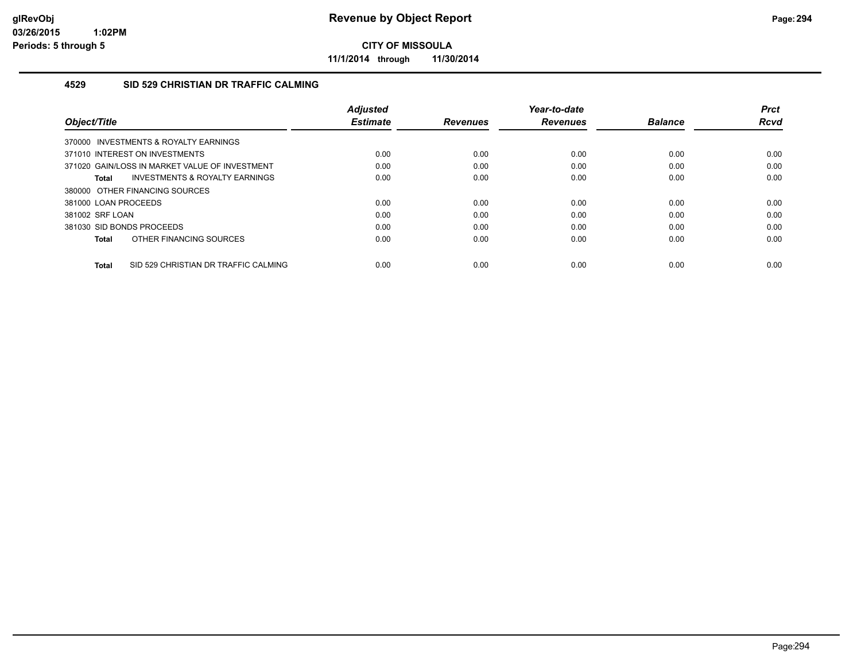**11/1/2014 through 11/30/2014**

#### **4529 SID 529 CHRISTIAN DR TRAFFIC CALMING**

| Object/Title                                       | <b>Adjusted</b><br><b>Estimate</b> | <b>Revenues</b> | Year-to-date<br><b>Revenues</b> | <b>Balance</b> | <b>Prct</b><br>Rcvd |
|----------------------------------------------------|------------------------------------|-----------------|---------------------------------|----------------|---------------------|
| 370000 INVESTMENTS & ROYALTY EARNINGS              |                                    |                 |                                 |                |                     |
| 371010 INTEREST ON INVESTMENTS                     | 0.00                               | 0.00            | 0.00                            | 0.00           | 0.00                |
| 371020 GAIN/LOSS IN MARKET VALUE OF INVESTMENT     | 0.00                               | 0.00            | 0.00                            | 0.00           | 0.00                |
| <b>INVESTMENTS &amp; ROYALTY EARNINGS</b><br>Total | 0.00                               | 0.00            | 0.00                            | 0.00           | 0.00                |
| 380000 OTHER FINANCING SOURCES                     |                                    |                 |                                 |                |                     |
| 381000 LOAN PROCEEDS                               | 0.00                               | 0.00            | 0.00                            | 0.00           | 0.00                |
| 381002 SRF LOAN                                    | 0.00                               | 0.00            | 0.00                            | 0.00           | 0.00                |
| 381030 SID BONDS PROCEEDS                          | 0.00                               | 0.00            | 0.00                            | 0.00           | 0.00                |
| OTHER FINANCING SOURCES<br>Total                   | 0.00                               | 0.00            | 0.00                            | 0.00           | 0.00                |
| SID 529 CHRISTIAN DR TRAFFIC CALMING<br>Total      | 0.00                               | 0.00            | 0.00                            | 0.00           | 0.00                |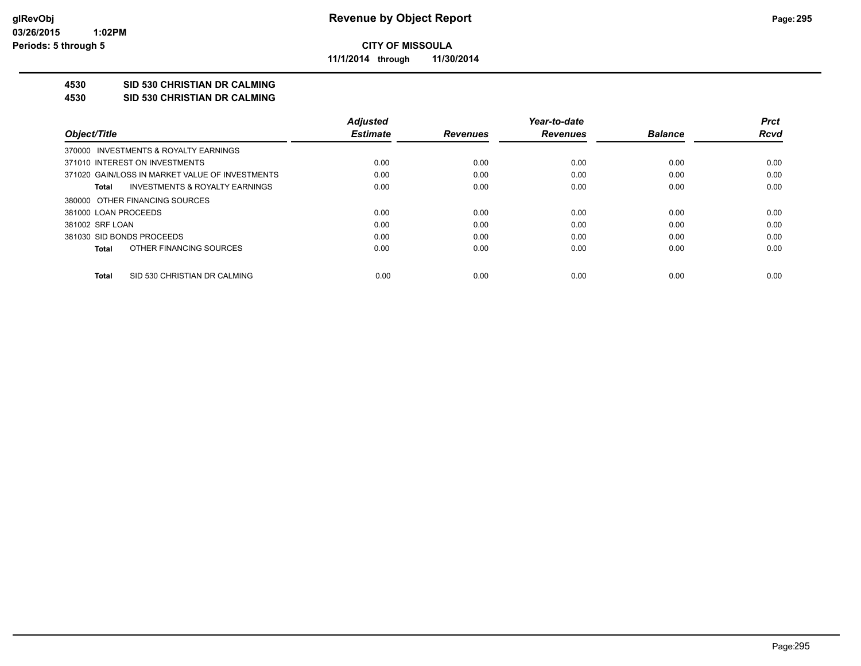**11/1/2014 through 11/30/2014**

### **4530 SID 530 CHRISTIAN DR CALMING**

**4530 SID 530 CHRISTIAN DR CALMING**

|                                                    | <b>Adjusted</b> |                 | Year-to-date    |                | <b>Prct</b> |
|----------------------------------------------------|-----------------|-----------------|-----------------|----------------|-------------|
| Object/Title                                       | <b>Estimate</b> | <b>Revenues</b> | <b>Revenues</b> | <b>Balance</b> | <b>Rcvd</b> |
| 370000 INVESTMENTS & ROYALTY EARNINGS              |                 |                 |                 |                |             |
| 371010 INTEREST ON INVESTMENTS                     | 0.00            | 0.00            | 0.00            | 0.00           | 0.00        |
| 371020 GAIN/LOSS IN MARKET VALUE OF INVESTMENTS    | 0.00            | 0.00            | 0.00            | 0.00           | 0.00        |
| <b>INVESTMENTS &amp; ROYALTY EARNINGS</b><br>Total | 0.00            | 0.00            | 0.00            | 0.00           | 0.00        |
| 380000 OTHER FINANCING SOURCES                     |                 |                 |                 |                |             |
| 381000 LOAN PROCEEDS                               | 0.00            | 0.00            | 0.00            | 0.00           | 0.00        |
| 381002 SRF LOAN                                    | 0.00            | 0.00            | 0.00            | 0.00           | 0.00        |
| 381030 SID BONDS PROCEEDS                          | 0.00            | 0.00            | 0.00            | 0.00           | 0.00        |
| OTHER FINANCING SOURCES<br>Total                   | 0.00            | 0.00            | 0.00            | 0.00           | 0.00        |
| SID 530 CHRISTIAN DR CALMING<br>Total              | 0.00            | 0.00            | 0.00            | 0.00           | 0.00        |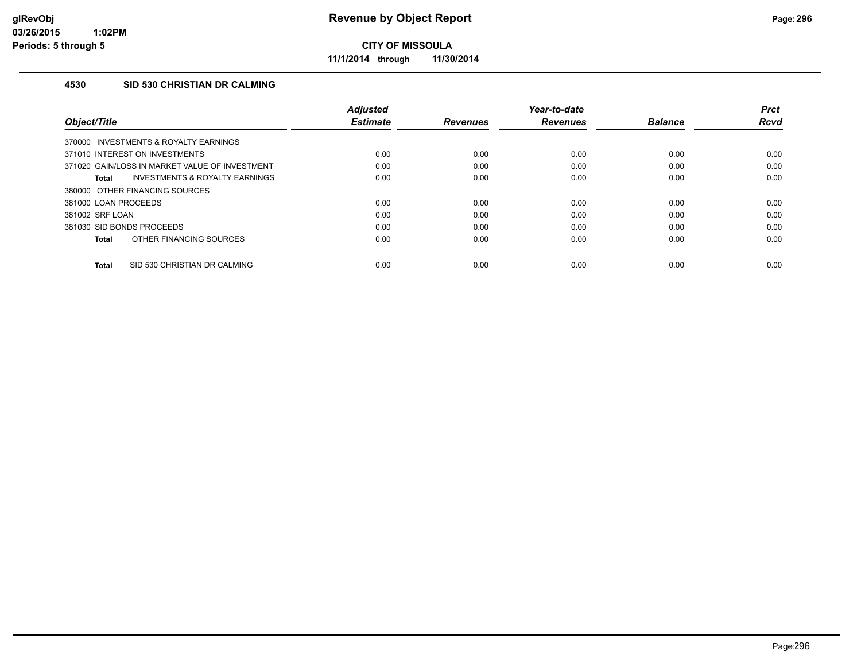**11/1/2014 through 11/30/2014**

### **4530 SID 530 CHRISTIAN DR CALMING**

| Object/Title                                   | <b>Adjusted</b><br><b>Estimate</b> | <b>Revenues</b> | Year-to-date<br><b>Revenues</b> | <b>Balance</b> | <b>Prct</b><br><b>Rcvd</b> |
|------------------------------------------------|------------------------------------|-----------------|---------------------------------|----------------|----------------------------|
| 370000 INVESTMENTS & ROYALTY EARNINGS          |                                    |                 |                                 |                |                            |
| 371010 INTEREST ON INVESTMENTS                 | 0.00                               | 0.00            | 0.00                            | 0.00           | 0.00                       |
| 371020 GAIN/LOSS IN MARKET VALUE OF INVESTMENT | 0.00                               | 0.00            | 0.00                            | 0.00           | 0.00                       |
| INVESTMENTS & ROYALTY EARNINGS<br>Total        | 0.00                               | 0.00            | 0.00                            | 0.00           | 0.00                       |
| 380000 OTHER FINANCING SOURCES                 |                                    |                 |                                 |                |                            |
| 381000 LOAN PROCEEDS                           | 0.00                               | 0.00            | 0.00                            | 0.00           | 0.00                       |
| 381002 SRF LOAN                                | 0.00                               | 0.00            | 0.00                            | 0.00           | 0.00                       |
| 381030 SID BONDS PROCEEDS                      | 0.00                               | 0.00            | 0.00                            | 0.00           | 0.00                       |
| OTHER FINANCING SOURCES<br><b>Total</b>        | 0.00                               | 0.00            | 0.00                            | 0.00           | 0.00                       |
| SID 530 CHRISTIAN DR CALMING<br><b>Total</b>   | 0.00                               | 0.00            | 0.00                            | 0.00           | 0.00                       |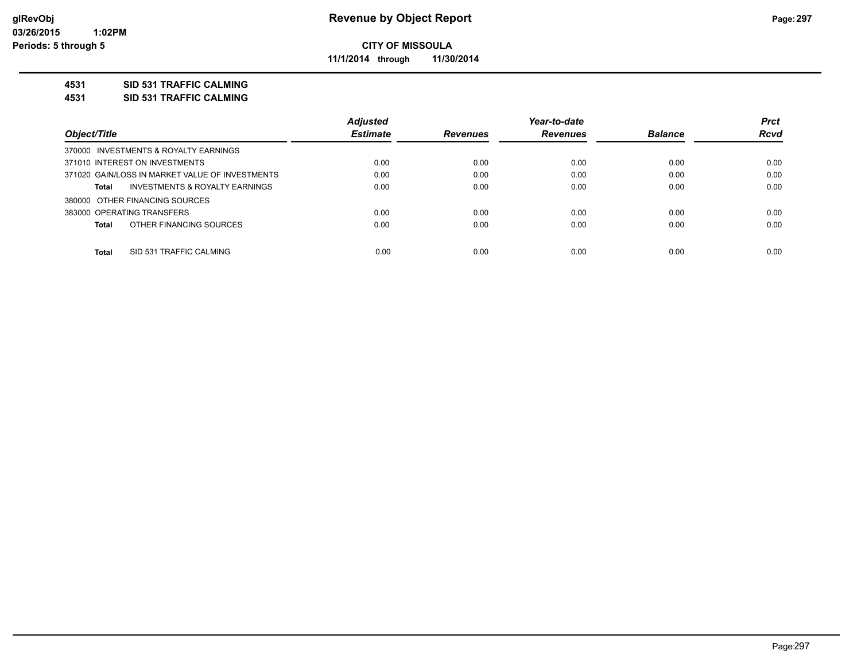**11/1/2014 through 11/30/2014**

#### **4531 SID 531 TRAFFIC CALMING**

**4531 SID 531 TRAFFIC CALMING**

|                                                    | <b>Adjusted</b> |                 | Year-to-date    |                | <b>Prct</b> |
|----------------------------------------------------|-----------------|-----------------|-----------------|----------------|-------------|
| Object/Title                                       | <b>Estimate</b> | <b>Revenues</b> | <b>Revenues</b> | <b>Balance</b> | <b>Rcvd</b> |
| 370000 INVESTMENTS & ROYALTY EARNINGS              |                 |                 |                 |                |             |
| 371010 INTEREST ON INVESTMENTS                     | 0.00            | 0.00            | 0.00            | 0.00           | 0.00        |
| 371020 GAIN/LOSS IN MARKET VALUE OF INVESTMENTS    | 0.00            | 0.00            | 0.00            | 0.00           | 0.00        |
| <b>INVESTMENTS &amp; ROYALTY EARNINGS</b><br>Total | 0.00            | 0.00            | 0.00            | 0.00           | 0.00        |
| 380000 OTHER FINANCING SOURCES                     |                 |                 |                 |                |             |
| 383000 OPERATING TRANSFERS                         | 0.00            | 0.00            | 0.00            | 0.00           | 0.00        |
| OTHER FINANCING SOURCES<br>Total                   | 0.00            | 0.00            | 0.00            | 0.00           | 0.00        |
|                                                    |                 |                 |                 |                |             |
| Total<br>SID 531 TRAFFIC CALMING                   | 0.00            | 0.00            | 0.00            | 0.00           | 0.00        |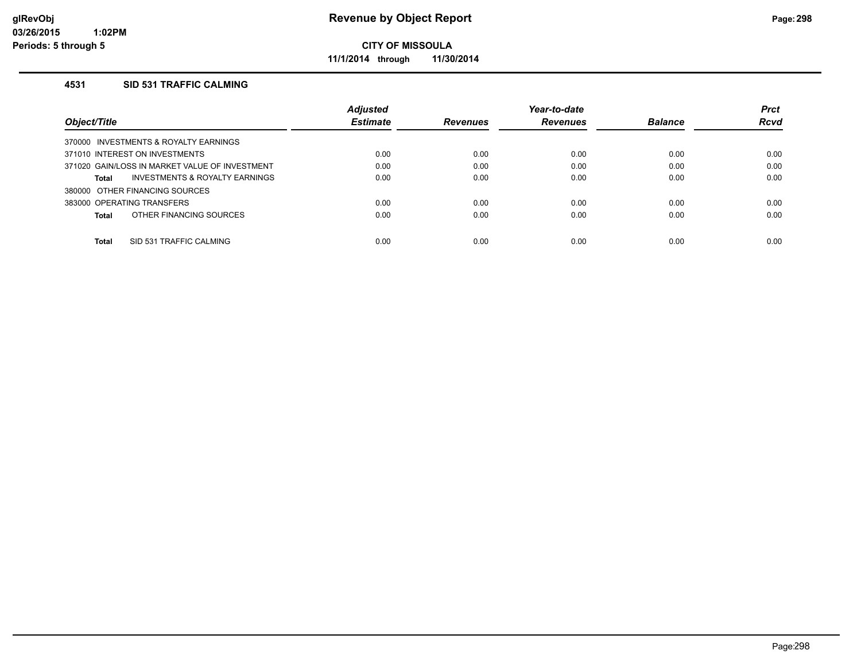**11/1/2014 through 11/30/2014**

#### **4531 SID 531 TRAFFIC CALMING**

|                                                    | <b>Adjusted</b> |                 | Year-to-date    |                | <b>Prct</b> |
|----------------------------------------------------|-----------------|-----------------|-----------------|----------------|-------------|
| Object/Title                                       | <b>Estimate</b> | <b>Revenues</b> | <b>Revenues</b> | <b>Balance</b> | <b>Rcvd</b> |
| INVESTMENTS & ROYALTY EARNINGS<br>370000           |                 |                 |                 |                |             |
| 371010 INTEREST ON INVESTMENTS                     | 0.00            | 0.00            | 0.00            | 0.00           | 0.00        |
| 371020 GAIN/LOSS IN MARKET VALUE OF INVESTMENT     | 0.00            | 0.00            | 0.00            | 0.00           | 0.00        |
| <b>INVESTMENTS &amp; ROYALTY EARNINGS</b><br>Total | 0.00            | 0.00            | 0.00            | 0.00           | 0.00        |
| 380000 OTHER FINANCING SOURCES                     |                 |                 |                 |                |             |
| 383000 OPERATING TRANSFERS                         | 0.00            | 0.00            | 0.00            | 0.00           | 0.00        |
| OTHER FINANCING SOURCES<br>Total                   | 0.00            | 0.00            | 0.00            | 0.00           | 0.00        |
|                                                    |                 |                 |                 |                |             |
| Total<br>SID 531 TRAFFIC CALMING                   | 0.00            | 0.00            | 0.00            | 0.00           | 0.00        |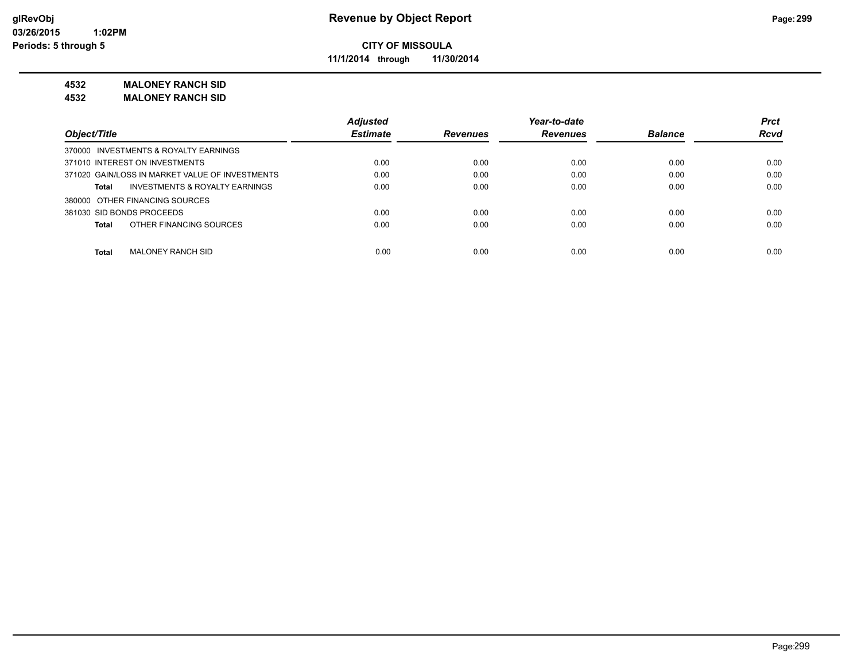**11/1/2014 through 11/30/2014**

#### **4532 MALONEY RANCH SID**

**4532 MALONEY RANCH SID**

|                                                    | <b>Adjusted</b> |                 | Year-to-date    |                | <b>Prct</b> |
|----------------------------------------------------|-----------------|-----------------|-----------------|----------------|-------------|
| Object/Title                                       | <b>Estimate</b> | <b>Revenues</b> | <b>Revenues</b> | <b>Balance</b> | <b>Rcvd</b> |
| 370000 INVESTMENTS & ROYALTY EARNINGS              |                 |                 |                 |                |             |
| 371010 INTEREST ON INVESTMENTS                     | 0.00            | 0.00            | 0.00            | 0.00           | 0.00        |
| 371020 GAIN/LOSS IN MARKET VALUE OF INVESTMENTS    | 0.00            | 0.00            | 0.00            | 0.00           | 0.00        |
| <b>INVESTMENTS &amp; ROYALTY EARNINGS</b><br>Total | 0.00            | 0.00            | 0.00            | 0.00           | 0.00        |
| 380000 OTHER FINANCING SOURCES                     |                 |                 |                 |                |             |
| 381030 SID BONDS PROCEEDS                          | 0.00            | 0.00            | 0.00            | 0.00           | 0.00        |
| OTHER FINANCING SOURCES<br><b>Total</b>            | 0.00            | 0.00            | 0.00            | 0.00           | 0.00        |
| <b>Total</b><br><b>MALONEY RANCH SID</b>           | 0.00            | 0.00            | 0.00            | 0.00           | 0.00        |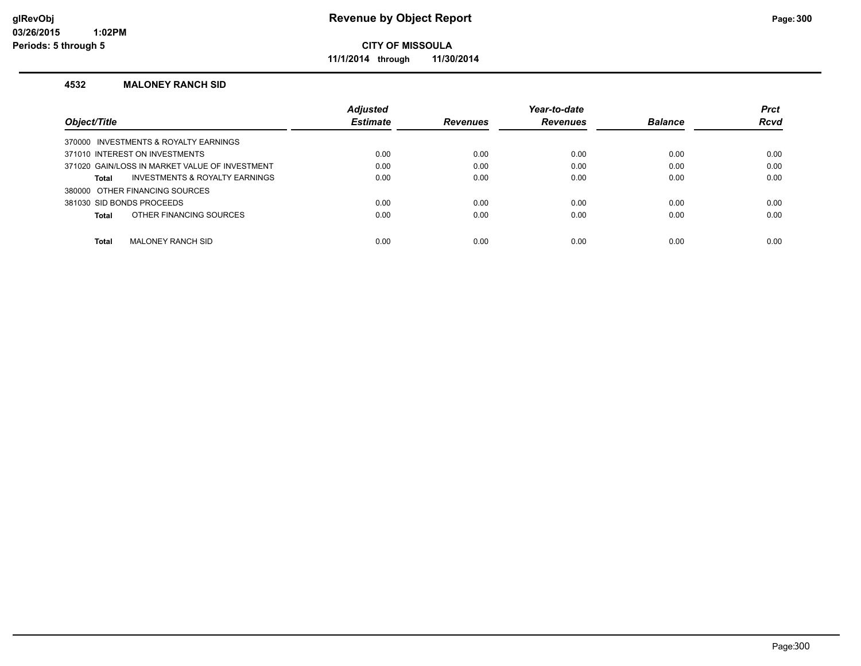**11/1/2014 through 11/30/2014**

#### **4532 MALONEY RANCH SID**

|                                                | <b>Adjusted</b> |                 | Year-to-date    |                | <b>Prct</b> |
|------------------------------------------------|-----------------|-----------------|-----------------|----------------|-------------|
| Object/Title                                   | <b>Estimate</b> | <b>Revenues</b> | <b>Revenues</b> | <b>Balance</b> | <b>Rcvd</b> |
| 370000 INVESTMENTS & ROYALTY EARNINGS          |                 |                 |                 |                |             |
| 371010 INTEREST ON INVESTMENTS                 | 0.00            | 0.00            | 0.00            | 0.00           | 0.00        |
| 371020 GAIN/LOSS IN MARKET VALUE OF INVESTMENT | 0.00            | 0.00            | 0.00            | 0.00           | 0.00        |
| INVESTMENTS & ROYALTY EARNINGS<br>Total        | 0.00            | 0.00            | 0.00            | 0.00           | 0.00        |
| 380000 OTHER FINANCING SOURCES                 |                 |                 |                 |                |             |
| 381030 SID BONDS PROCEEDS                      | 0.00            | 0.00            | 0.00            | 0.00           | 0.00        |
| OTHER FINANCING SOURCES<br>Total               | 0.00            | 0.00            | 0.00            | 0.00           | 0.00        |
|                                                |                 |                 |                 |                |             |
| <b>Total</b><br>MALONEY RANCH SID              | 0.00            | 0.00            | 0.00            | 0.00           | 0.00        |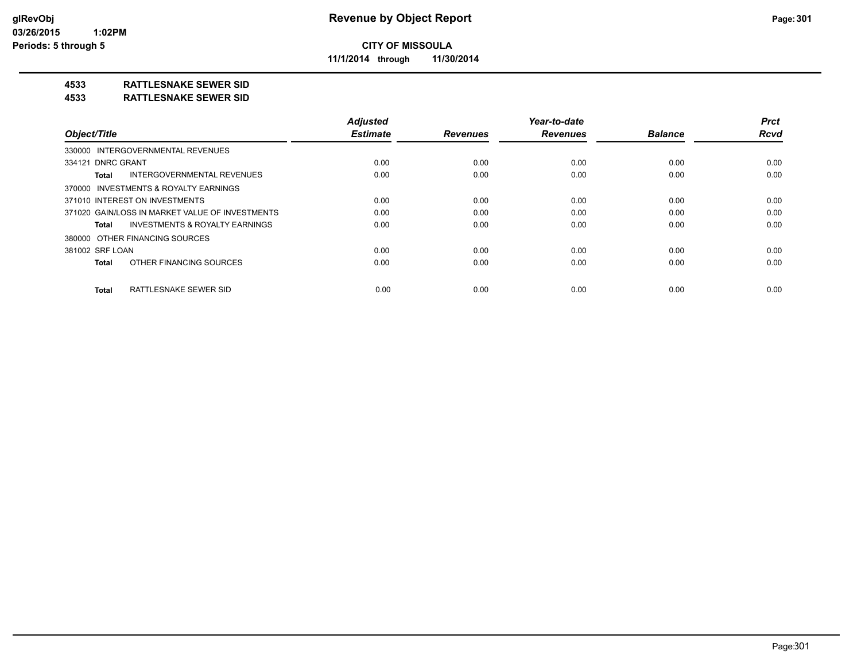**11/1/2014 through 11/30/2014**

### **4533 RATTLESNAKE SEWER SID**

#### **4533 RATTLESNAKE SEWER SID**

|                                                    | <b>Adjusted</b> |                 | Year-to-date    |                | <b>Prct</b> |
|----------------------------------------------------|-----------------|-----------------|-----------------|----------------|-------------|
| Object/Title                                       | <b>Estimate</b> | <b>Revenues</b> | <b>Revenues</b> | <b>Balance</b> | <b>Rcvd</b> |
| 330000 INTERGOVERNMENTAL REVENUES                  |                 |                 |                 |                |             |
| 334121 DNRC GRANT                                  | 0.00            | 0.00            | 0.00            | 0.00           | 0.00        |
| INTERGOVERNMENTAL REVENUES<br>Total                | 0.00            | 0.00            | 0.00            | 0.00           | 0.00        |
| 370000 INVESTMENTS & ROYALTY EARNINGS              |                 |                 |                 |                |             |
| 371010 INTEREST ON INVESTMENTS                     | 0.00            | 0.00            | 0.00            | 0.00           | 0.00        |
| 371020 GAIN/LOSS IN MARKET VALUE OF INVESTMENTS    | 0.00            | 0.00            | 0.00            | 0.00           | 0.00        |
| <b>INVESTMENTS &amp; ROYALTY EARNINGS</b><br>Total | 0.00            | 0.00            | 0.00            | 0.00           | 0.00        |
| 380000 OTHER FINANCING SOURCES                     |                 |                 |                 |                |             |
| 381002 SRF LOAN                                    | 0.00            | 0.00            | 0.00            | 0.00           | 0.00        |
| OTHER FINANCING SOURCES<br>Total                   | 0.00            | 0.00            | 0.00            | 0.00           | 0.00        |
| RATTLESNAKE SEWER SID<br>Total                     | 0.00            | 0.00            | 0.00            | 0.00           | 0.00        |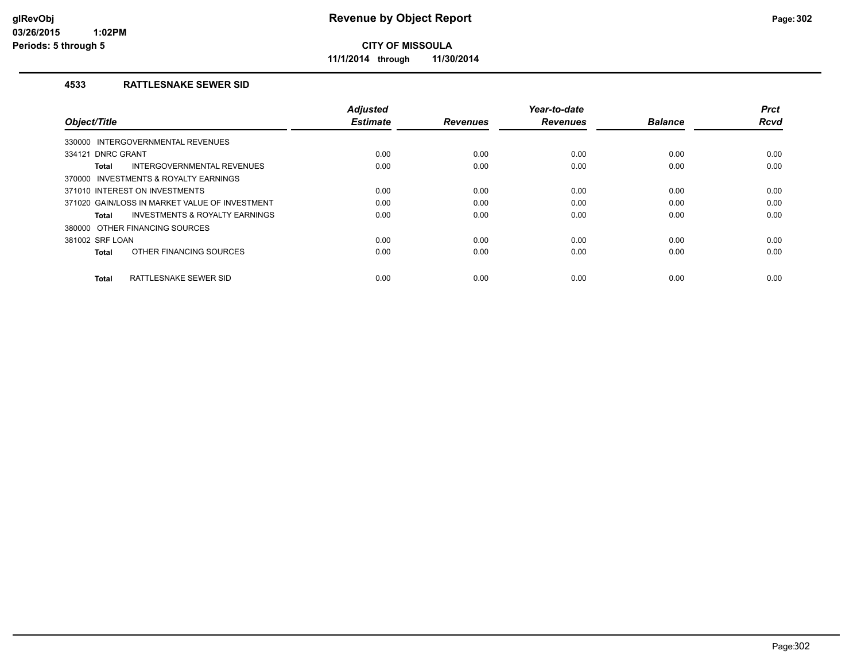**11/1/2014 through 11/30/2014**

### **4533 RATTLESNAKE SEWER SID**

| Object/Title                                   | <b>Adjusted</b><br><b>Estimate</b> | <b>Revenues</b> | Year-to-date<br><b>Revenues</b> | <b>Balance</b> | <b>Prct</b><br><b>Rcvd</b> |
|------------------------------------------------|------------------------------------|-----------------|---------------------------------|----------------|----------------------------|
|                                                |                                    |                 |                                 |                |                            |
| 330000 INTERGOVERNMENTAL REVENUES              |                                    |                 |                                 |                |                            |
| 334121 DNRC GRANT                              | 0.00                               | 0.00            | 0.00                            | 0.00           | 0.00                       |
| INTERGOVERNMENTAL REVENUES<br><b>Total</b>     | 0.00                               | 0.00            | 0.00                            | 0.00           | 0.00                       |
| 370000 INVESTMENTS & ROYALTY EARNINGS          |                                    |                 |                                 |                |                            |
| 371010 INTEREST ON INVESTMENTS                 | 0.00                               | 0.00            | 0.00                            | 0.00           | 0.00                       |
| 371020 GAIN/LOSS IN MARKET VALUE OF INVESTMENT | 0.00                               | 0.00            | 0.00                            | 0.00           | 0.00                       |
| INVESTMENTS & ROYALTY EARNINGS<br><b>Total</b> | 0.00                               | 0.00            | 0.00                            | 0.00           | 0.00                       |
| 380000 OTHER FINANCING SOURCES                 |                                    |                 |                                 |                |                            |
| 381002 SRF LOAN                                | 0.00                               | 0.00            | 0.00                            | 0.00           | 0.00                       |
| OTHER FINANCING SOURCES<br><b>Total</b>        | 0.00                               | 0.00            | 0.00                            | 0.00           | 0.00                       |
| RATTLESNAKE SEWER SID<br><b>Total</b>          | 0.00                               | 0.00            | 0.00                            | 0.00           | 0.00                       |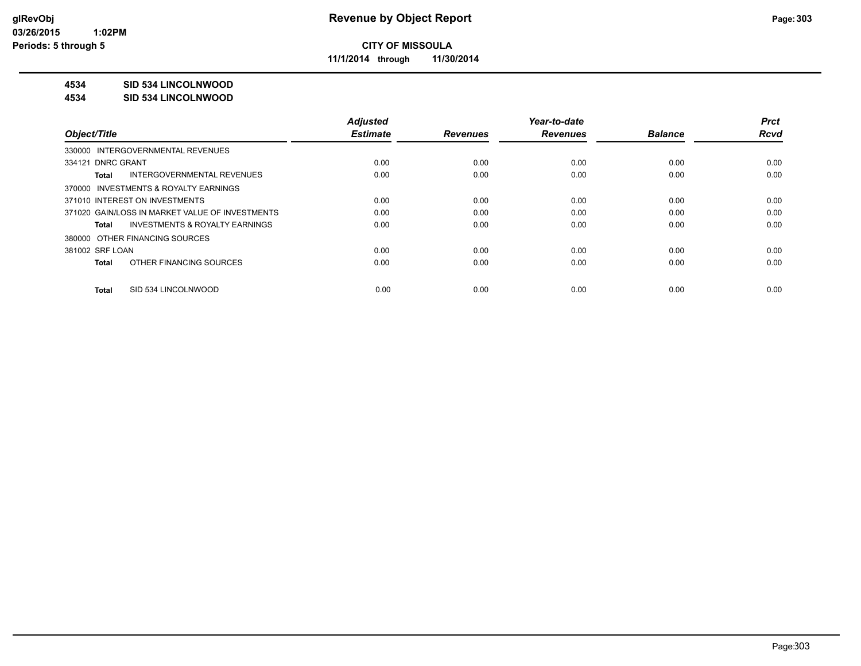**11/1/2014 through 11/30/2014**

### **4534 SID 534 LINCOLNWOOD**

#### **4534 SID 534 LINCOLNWOOD**

|                                                    | <b>Adjusted</b> |                 | Year-to-date    |                | <b>Prct</b> |
|----------------------------------------------------|-----------------|-----------------|-----------------|----------------|-------------|
| Object/Title                                       | <b>Estimate</b> | <b>Revenues</b> | <b>Revenues</b> | <b>Balance</b> | <b>Rcvd</b> |
| 330000 INTERGOVERNMENTAL REVENUES                  |                 |                 |                 |                |             |
| 334121 DNRC GRANT                                  | 0.00            | 0.00            | 0.00            | 0.00           | 0.00        |
| INTERGOVERNMENTAL REVENUES<br>Total                | 0.00            | 0.00            | 0.00            | 0.00           | 0.00        |
| 370000 INVESTMENTS & ROYALTY EARNINGS              |                 |                 |                 |                |             |
| 371010 INTEREST ON INVESTMENTS                     | 0.00            | 0.00            | 0.00            | 0.00           | 0.00        |
| 371020 GAIN/LOSS IN MARKET VALUE OF INVESTMENTS    | 0.00            | 0.00            | 0.00            | 0.00           | 0.00        |
| <b>INVESTMENTS &amp; ROYALTY EARNINGS</b><br>Total | 0.00            | 0.00            | 0.00            | 0.00           | 0.00        |
| 380000 OTHER FINANCING SOURCES                     |                 |                 |                 |                |             |
| 381002 SRF LOAN                                    | 0.00            | 0.00            | 0.00            | 0.00           | 0.00        |
| OTHER FINANCING SOURCES<br>Total                   | 0.00            | 0.00            | 0.00            | 0.00           | 0.00        |
| SID 534 LINCOLNWOOD<br><b>Total</b>                | 0.00            | 0.00            | 0.00            | 0.00           | 0.00        |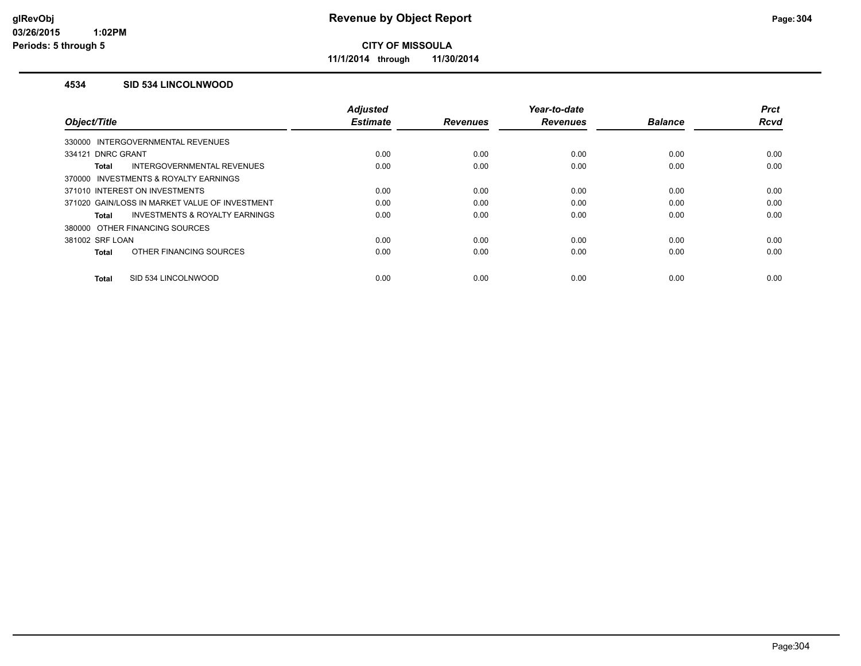**11/1/2014 through 11/30/2014**

#### **4534 SID 534 LINCOLNWOOD**

|                                                | <b>Adjusted</b> |                 | Year-to-date    |                | <b>Prct</b> |
|------------------------------------------------|-----------------|-----------------|-----------------|----------------|-------------|
| Object/Title                                   | <b>Estimate</b> | <b>Revenues</b> | <b>Revenues</b> | <b>Balance</b> | <b>Rcvd</b> |
| 330000 INTERGOVERNMENTAL REVENUES              |                 |                 |                 |                |             |
| 334121 DNRC GRANT                              | 0.00            | 0.00            | 0.00            | 0.00           | 0.00        |
| INTERGOVERNMENTAL REVENUES<br>Total            | 0.00            | 0.00            | 0.00            | 0.00           | 0.00        |
| 370000 INVESTMENTS & ROYALTY EARNINGS          |                 |                 |                 |                |             |
| 371010 INTEREST ON INVESTMENTS                 | 0.00            | 0.00            | 0.00            | 0.00           | 0.00        |
| 371020 GAIN/LOSS IN MARKET VALUE OF INVESTMENT | 0.00            | 0.00            | 0.00            | 0.00           | 0.00        |
| INVESTMENTS & ROYALTY EARNINGS<br>Total        | 0.00            | 0.00            | 0.00            | 0.00           | 0.00        |
| 380000 OTHER FINANCING SOURCES                 |                 |                 |                 |                |             |
| 381002 SRF LOAN                                | 0.00            | 0.00            | 0.00            | 0.00           | 0.00        |
| OTHER FINANCING SOURCES<br><b>Total</b>        | 0.00            | 0.00            | 0.00            | 0.00           | 0.00        |
| SID 534 LINCOLNWOOD<br><b>Total</b>            | 0.00            | 0.00            | 0.00            | 0.00           | 0.00        |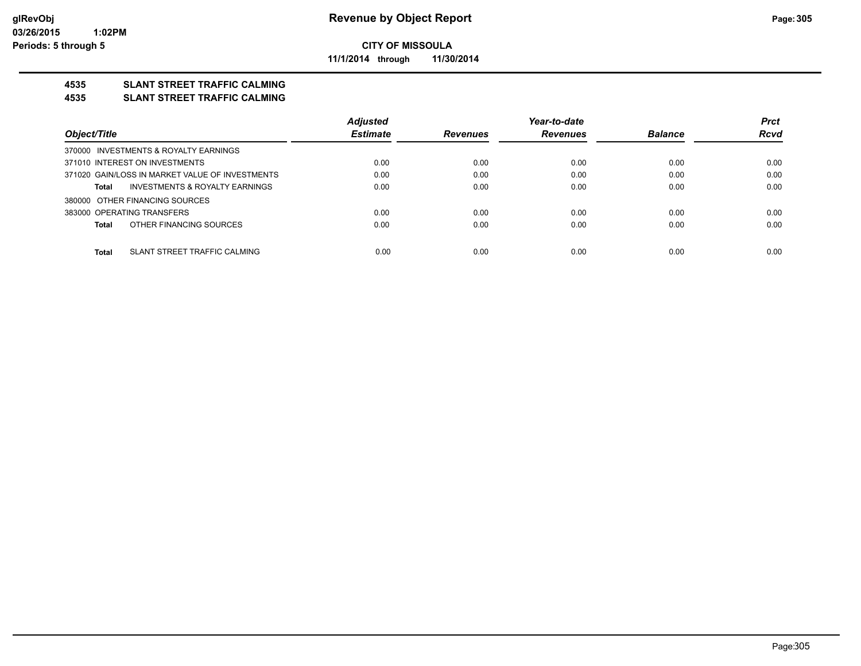**11/1/2014 through 11/30/2014**

### **4535 SLANT STREET TRAFFIC CALMING**

#### **4535 SLANT STREET TRAFFIC CALMING**

|                                                 | <b>Adjusted</b> |                 | Year-to-date    |                | <b>Prct</b> |
|-------------------------------------------------|-----------------|-----------------|-----------------|----------------|-------------|
| Object/Title                                    | <b>Estimate</b> | <b>Revenues</b> | <b>Revenues</b> | <b>Balance</b> | <b>Rcvd</b> |
| 370000 INVESTMENTS & ROYALTY EARNINGS           |                 |                 |                 |                |             |
| 371010 INTEREST ON INVESTMENTS                  | 0.00            | 0.00            | 0.00            | 0.00           | 0.00        |
| 371020 GAIN/LOSS IN MARKET VALUE OF INVESTMENTS | 0.00            | 0.00            | 0.00            | 0.00           | 0.00        |
| INVESTMENTS & ROYALTY EARNINGS<br>Total         | 0.00            | 0.00            | 0.00            | 0.00           | 0.00        |
| 380000 OTHER FINANCING SOURCES                  |                 |                 |                 |                |             |
| 383000 OPERATING TRANSFERS                      | 0.00            | 0.00            | 0.00            | 0.00           | 0.00        |
| OTHER FINANCING SOURCES<br>Total                | 0.00            | 0.00            | 0.00            | 0.00           | 0.00        |
|                                                 |                 |                 |                 |                |             |
| SLANT STREET TRAFFIC CALMING<br>Total           | 0.00            | 0.00            | 0.00            | 0.00           | 0.00        |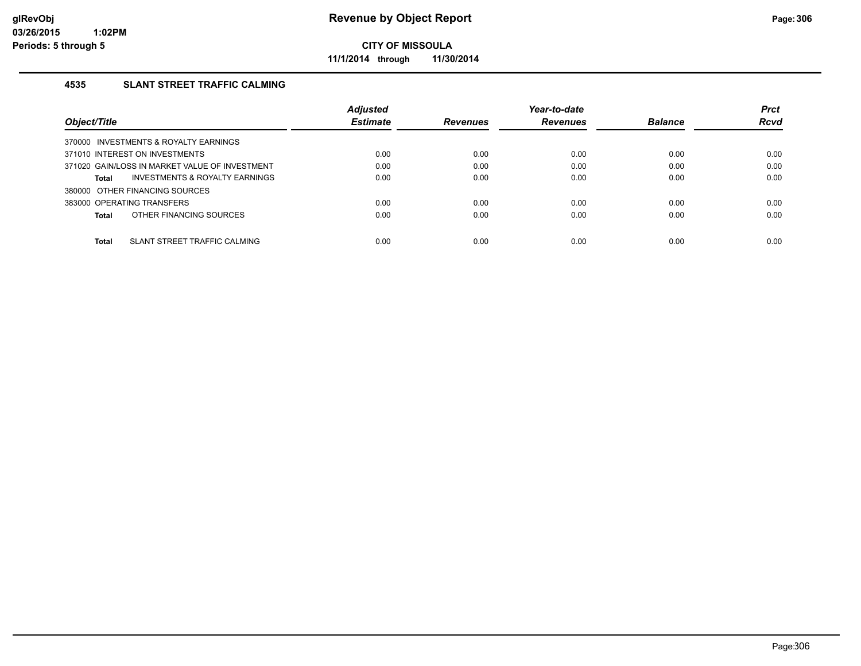**11/1/2014 through 11/30/2014**

### **4535 SLANT STREET TRAFFIC CALMING**

|                                                    | <b>Adjusted</b> |                 | Year-to-date    |                | <b>Prct</b> |
|----------------------------------------------------|-----------------|-----------------|-----------------|----------------|-------------|
| Object/Title                                       | <b>Estimate</b> | <b>Revenues</b> | <b>Revenues</b> | <b>Balance</b> | Rcvd        |
| 370000 INVESTMENTS & ROYALTY EARNINGS              |                 |                 |                 |                |             |
| 371010 INTEREST ON INVESTMENTS                     | 0.00            | 0.00            | 0.00            | 0.00           | 0.00        |
| 371020 GAIN/LOSS IN MARKET VALUE OF INVESTMENT     | 0.00            | 0.00            | 0.00            | 0.00           | 0.00        |
| <b>INVESTMENTS &amp; ROYALTY EARNINGS</b><br>Total | 0.00            | 0.00            | 0.00            | 0.00           | 0.00        |
| 380000 OTHER FINANCING SOURCES                     |                 |                 |                 |                |             |
| 383000 OPERATING TRANSFERS                         | 0.00            | 0.00            | 0.00            | 0.00           | 0.00        |
| OTHER FINANCING SOURCES<br>Total                   | 0.00            | 0.00            | 0.00            | 0.00           | 0.00        |
|                                                    |                 |                 |                 |                |             |
| Total<br>SLANT STREET TRAFFIC CALMING              | 0.00            | 0.00            | 0.00            | 0.00           | 0.00        |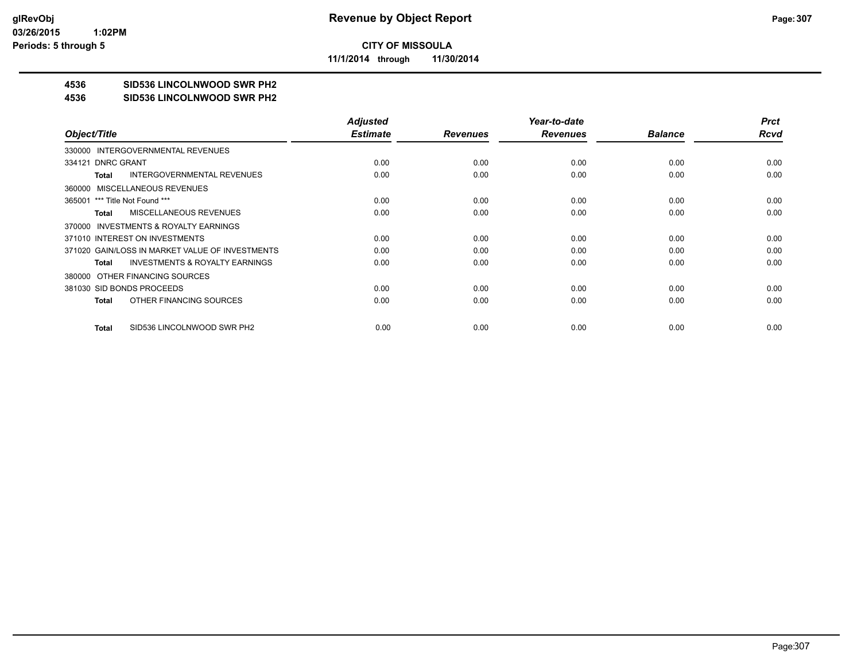**11/1/2014 through 11/30/2014**

## **4536 SID536 LINCOLNWOOD SWR PH2**

#### **4536 SID536 LINCOLNWOOD SWR PH2**

|                                                    | <b>Adjusted</b> |                 | Year-to-date    |                | <b>Prct</b> |
|----------------------------------------------------|-----------------|-----------------|-----------------|----------------|-------------|
| Object/Title                                       | <b>Estimate</b> | <b>Revenues</b> | <b>Revenues</b> | <b>Balance</b> | <b>Rcvd</b> |
| 330000 INTERGOVERNMENTAL REVENUES                  |                 |                 |                 |                |             |
| 334121 DNRC GRANT                                  | 0.00            | 0.00            | 0.00            | 0.00           | 0.00        |
| <b>INTERGOVERNMENTAL REVENUES</b><br>Total         | 0.00            | 0.00            | 0.00            | 0.00           | 0.00        |
| 360000 MISCELLANEOUS REVENUES                      |                 |                 |                 |                |             |
| 365001 *** Title Not Found ***                     | 0.00            | 0.00            | 0.00            | 0.00           | 0.00        |
| <b>MISCELLANEOUS REVENUES</b><br>Total             | 0.00            | 0.00            | 0.00            | 0.00           | 0.00        |
| 370000 INVESTMENTS & ROYALTY EARNINGS              |                 |                 |                 |                |             |
| 371010 INTEREST ON INVESTMENTS                     | 0.00            | 0.00            | 0.00            | 0.00           | 0.00        |
| 371020 GAIN/LOSS IN MARKET VALUE OF INVESTMENTS    | 0.00            | 0.00            | 0.00            | 0.00           | 0.00        |
| <b>INVESTMENTS &amp; ROYALTY EARNINGS</b><br>Total | 0.00            | 0.00            | 0.00            | 0.00           | 0.00        |
| 380000 OTHER FINANCING SOURCES                     |                 |                 |                 |                |             |
| 381030 SID BONDS PROCEEDS                          | 0.00            | 0.00            | 0.00            | 0.00           | 0.00        |
| OTHER FINANCING SOURCES<br>Total                   | 0.00            | 0.00            | 0.00            | 0.00           | 0.00        |
|                                                    |                 |                 |                 |                |             |
| SID536 LINCOLNWOOD SWR PH2<br>Total                | 0.00            | 0.00            | 0.00            | 0.00           | 0.00        |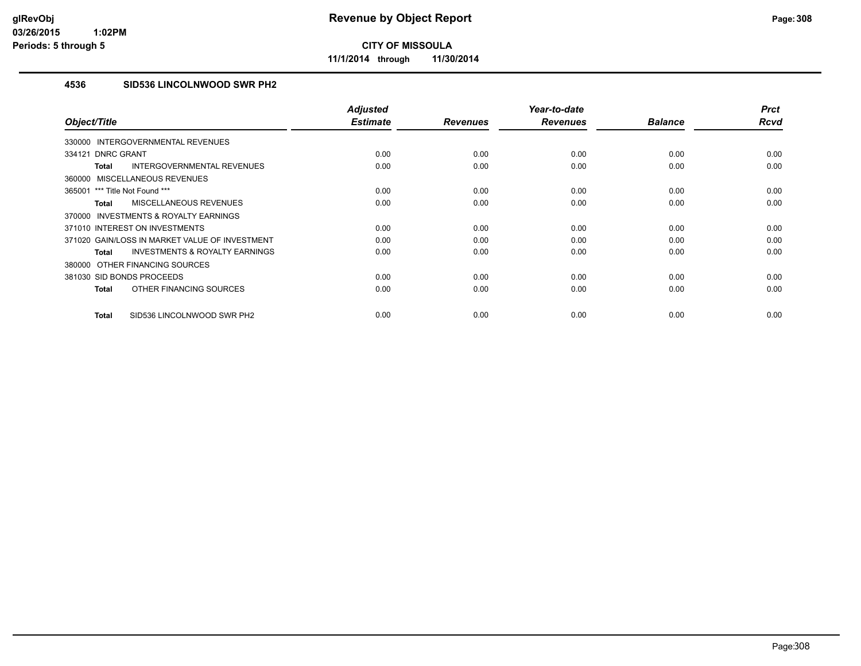**11/1/2014 through 11/30/2014**

### **4536 SID536 LINCOLNWOOD SWR PH2**

| Object/Title                                              | <b>Adjusted</b><br><b>Estimate</b> | <b>Revenues</b> | Year-to-date<br><b>Revenues</b> | <b>Balance</b> | <b>Prct</b><br><b>Rcvd</b> |
|-----------------------------------------------------------|------------------------------------|-----------------|---------------------------------|----------------|----------------------------|
| 330000 INTERGOVERNMENTAL REVENUES                         |                                    |                 |                                 |                |                            |
| 334121 DNRC GRANT                                         | 0.00                               | 0.00            | 0.00                            | 0.00           | 0.00                       |
| INTERGOVERNMENTAL REVENUES<br><b>Total</b>                | 0.00                               | 0.00            | 0.00                            | 0.00           | 0.00                       |
| 360000 MISCELLANEOUS REVENUES                             |                                    |                 |                                 |                |                            |
| 365001 *** Title Not Found ***                            | 0.00                               | 0.00            | 0.00                            | 0.00           | 0.00                       |
| MISCELLANEOUS REVENUES<br><b>Total</b>                    | 0.00                               | 0.00            | 0.00                            | 0.00           | 0.00                       |
| 370000 INVESTMENTS & ROYALTY EARNINGS                     |                                    |                 |                                 |                |                            |
| 371010 INTEREST ON INVESTMENTS                            | 0.00                               | 0.00            | 0.00                            | 0.00           | 0.00                       |
| 371020 GAIN/LOSS IN MARKET VALUE OF INVESTMENT            | 0.00                               | 0.00            | 0.00                            | 0.00           | 0.00                       |
| <b>INVESTMENTS &amp; ROYALTY EARNINGS</b><br><b>Total</b> | 0.00                               | 0.00            | 0.00                            | 0.00           | 0.00                       |
| 380000 OTHER FINANCING SOURCES                            |                                    |                 |                                 |                |                            |
| 381030 SID BONDS PROCEEDS                                 | 0.00                               | 0.00            | 0.00                            | 0.00           | 0.00                       |
| OTHER FINANCING SOURCES<br><b>Total</b>                   | 0.00                               | 0.00            | 0.00                            | 0.00           | 0.00                       |
| SID536 LINCOLNWOOD SWR PH2<br><b>Total</b>                | 0.00                               | 0.00            | 0.00                            | 0.00           | 0.00                       |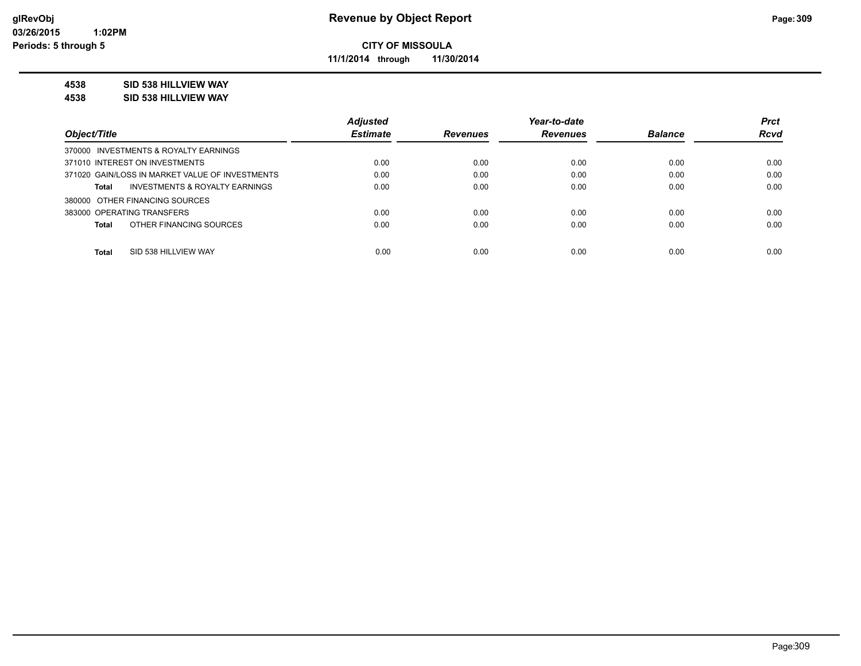**11/1/2014 through 11/30/2014**

#### **4538 SID 538 HILLVIEW WAY**

**4538 SID 538 HILLVIEW WAY**

|                                                    | <b>Adjusted</b> |                 | Year-to-date    |                | <b>Prct</b> |
|----------------------------------------------------|-----------------|-----------------|-----------------|----------------|-------------|
| Object/Title                                       | <b>Estimate</b> | <b>Revenues</b> | <b>Revenues</b> | <b>Balance</b> | <b>Rcvd</b> |
| 370000 INVESTMENTS & ROYALTY EARNINGS              |                 |                 |                 |                |             |
| 371010 INTEREST ON INVESTMENTS                     | 0.00            | 0.00            | 0.00            | 0.00           | 0.00        |
| 371020 GAIN/LOSS IN MARKET VALUE OF INVESTMENTS    | 0.00            | 0.00            | 0.00            | 0.00           | 0.00        |
| <b>INVESTMENTS &amp; ROYALTY EARNINGS</b><br>Total | 0.00            | 0.00            | 0.00            | 0.00           | 0.00        |
| 380000 OTHER FINANCING SOURCES                     |                 |                 |                 |                |             |
| 383000 OPERATING TRANSFERS                         | 0.00            | 0.00            | 0.00            | 0.00           | 0.00        |
| OTHER FINANCING SOURCES<br>Total                   | 0.00            | 0.00            | 0.00            | 0.00           | 0.00        |
|                                                    |                 |                 |                 |                |             |
| <b>Total</b><br>SID 538 HILLVIEW WAY               | 0.00            | 0.00            | 0.00            | 0.00           | 0.00        |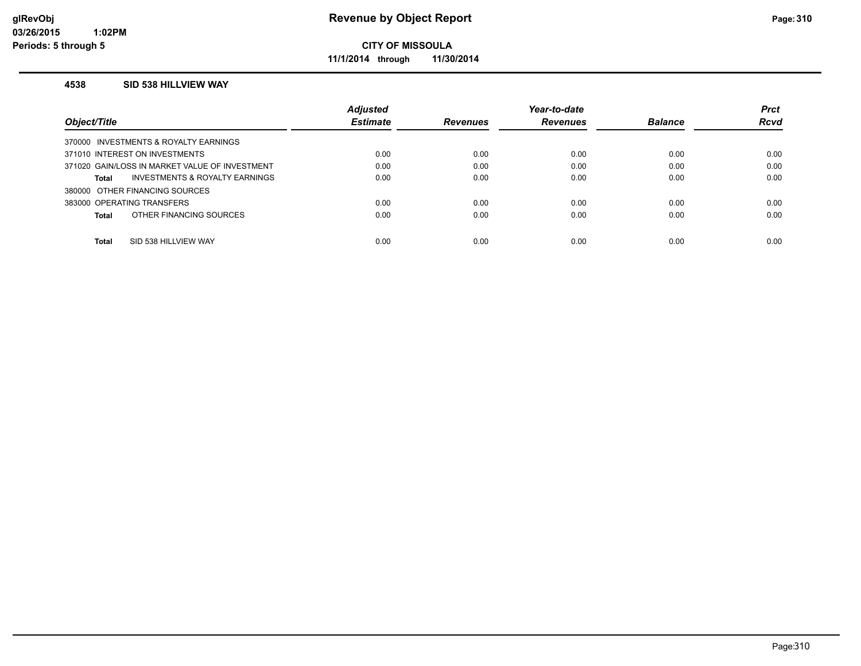**11/1/2014 through 11/30/2014**

#### **4538 SID 538 HILLVIEW WAY**

|                                                | <b>Adjusted</b> |                 | Year-to-date    |                | <b>Prct</b> |
|------------------------------------------------|-----------------|-----------------|-----------------|----------------|-------------|
| Object/Title                                   | <b>Estimate</b> | <b>Revenues</b> | <b>Revenues</b> | <b>Balance</b> | <b>Rcvd</b> |
| 370000 INVESTMENTS & ROYALTY EARNINGS          |                 |                 |                 |                |             |
| 371010 INTEREST ON INVESTMENTS                 | 0.00            | 0.00            | 0.00            | 0.00           | 0.00        |
| 371020 GAIN/LOSS IN MARKET VALUE OF INVESTMENT | 0.00            | 0.00            | 0.00            | 0.00           | 0.00        |
| INVESTMENTS & ROYALTY EARNINGS<br>Total        | 0.00            | 0.00            | 0.00            | 0.00           | 0.00        |
| 380000 OTHER FINANCING SOURCES                 |                 |                 |                 |                |             |
| 383000 OPERATING TRANSFERS                     | 0.00            | 0.00            | 0.00            | 0.00           | 0.00        |
| OTHER FINANCING SOURCES<br>Total               | 0.00            | 0.00            | 0.00            | 0.00           | 0.00        |
|                                                |                 |                 |                 |                |             |
| Total<br>SID 538 HILLVIEW WAY                  | 0.00            | 0.00            | 0.00            | 0.00           | 0.00        |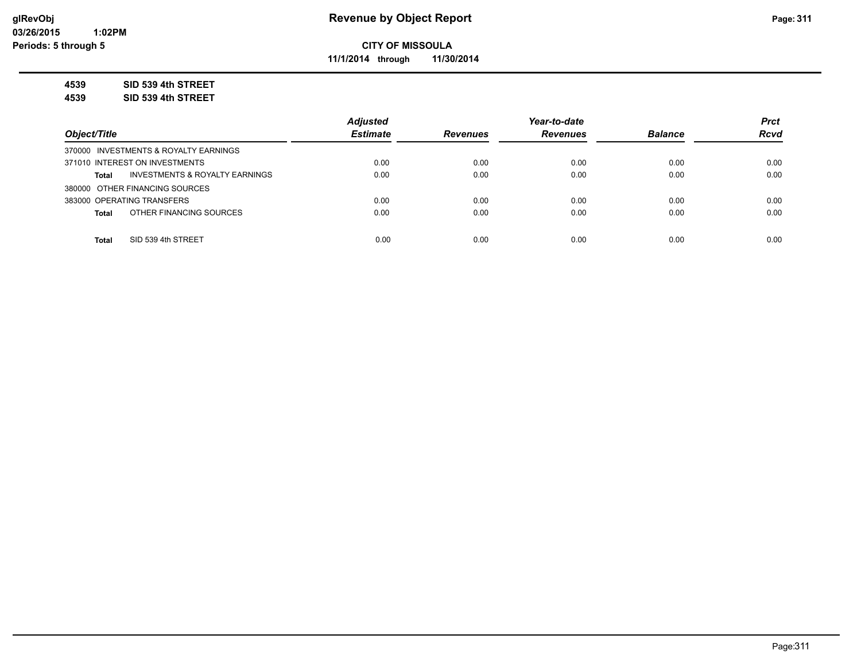**11/1/2014 through 11/30/2014**

**4539 SID 539 4th STREET**

**4539 SID 539 4th STREET**

|                                                | <b>Adiusted</b> |                 | Year-to-date    |                | <b>Prct</b> |
|------------------------------------------------|-----------------|-----------------|-----------------|----------------|-------------|
| Object/Title                                   | <b>Estimate</b> | <b>Revenues</b> | <b>Revenues</b> | <b>Balance</b> | <b>Rcvd</b> |
| 370000 INVESTMENTS & ROYALTY EARNINGS          |                 |                 |                 |                |             |
| 371010 INTEREST ON INVESTMENTS                 | 0.00            | 0.00            | 0.00            | 0.00           | 0.00        |
| INVESTMENTS & ROYALTY EARNINGS<br><b>Total</b> | 0.00            | 0.00            | 0.00            | 0.00           | 0.00        |
| 380000 OTHER FINANCING SOURCES                 |                 |                 |                 |                |             |
| 383000 OPERATING TRANSFERS                     | 0.00            | 0.00            | 0.00            | 0.00           | 0.00        |
| OTHER FINANCING SOURCES<br><b>Total</b>        | 0.00            | 0.00            | 0.00            | 0.00           | 0.00        |
|                                                |                 |                 |                 |                |             |
| SID 539 4th STREET<br><b>Total</b>             | 0.00            | 0.00            | 0.00            | 0.00           | 0.00        |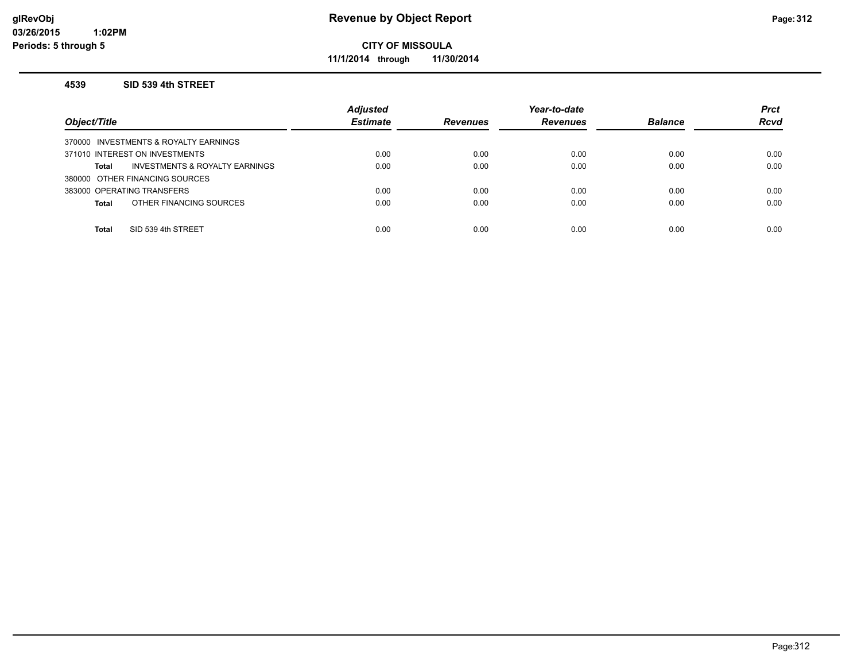**11/1/2014 through 11/30/2014**

#### **4539 SID 539 4th STREET**

| Object/Title                                   | <b>Adjusted</b><br><b>Estimate</b> | <b>Revenues</b> | Year-to-date<br><b>Revenues</b> | <b>Balance</b> | <b>Prct</b><br><b>Rcvd</b> |
|------------------------------------------------|------------------------------------|-----------------|---------------------------------|----------------|----------------------------|
| 370000 INVESTMENTS & ROYALTY EARNINGS          |                                    |                 |                                 |                |                            |
| 371010 INTEREST ON INVESTMENTS                 | 0.00                               | 0.00            | 0.00                            | 0.00           | 0.00                       |
| INVESTMENTS & ROYALTY EARNINGS<br><b>Total</b> | 0.00                               | 0.00            | 0.00                            | 0.00           | 0.00                       |
| 380000 OTHER FINANCING SOURCES                 |                                    |                 |                                 |                |                            |
| 383000 OPERATING TRANSFERS                     | 0.00                               | 0.00            | 0.00                            | 0.00           | 0.00                       |
| OTHER FINANCING SOURCES<br><b>Total</b>        | 0.00                               | 0.00            | 0.00                            | 0.00           | 0.00                       |
|                                                |                                    |                 |                                 |                |                            |
| SID 539 4th STREET<br><b>Total</b>             | 0.00                               | 0.00            | 0.00                            | 0.00           | 0.00                       |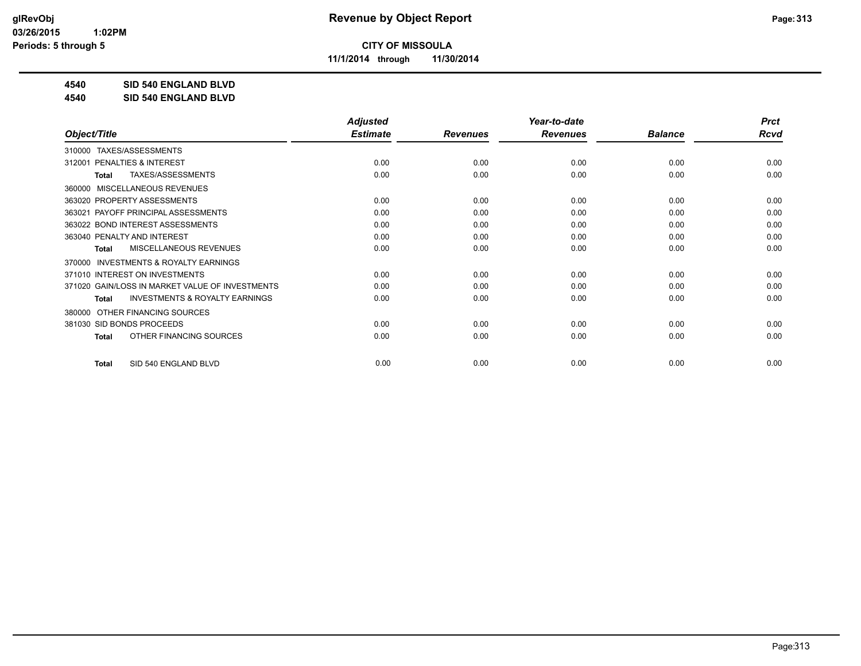**11/1/2014 through 11/30/2014**

**4540 SID 540 ENGLAND BLVD**

**4540 SID 540 ENGLAND BLVD**

|                                                           | <b>Adjusted</b> |                 | Year-to-date    |                | <b>Prct</b> |
|-----------------------------------------------------------|-----------------|-----------------|-----------------|----------------|-------------|
| Object/Title                                              | <b>Estimate</b> | <b>Revenues</b> | <b>Revenues</b> | <b>Balance</b> | <b>Rcvd</b> |
| TAXES/ASSESSMENTS<br>310000                               |                 |                 |                 |                |             |
| <b>PENALTIES &amp; INTEREST</b><br>312001                 | 0.00            | 0.00            | 0.00            | 0.00           | 0.00        |
| TAXES/ASSESSMENTS<br><b>Total</b>                         | 0.00            | 0.00            | 0.00            | 0.00           | 0.00        |
| MISCELLANEOUS REVENUES<br>360000                          |                 |                 |                 |                |             |
| 363020 PROPERTY ASSESSMENTS                               | 0.00            | 0.00            | 0.00            | 0.00           | 0.00        |
| PAYOFF PRINCIPAL ASSESSMENTS<br>363021                    | 0.00            | 0.00            | 0.00            | 0.00           | 0.00        |
| 363022 BOND INTEREST ASSESSMENTS                          | 0.00            | 0.00            | 0.00            | 0.00           | 0.00        |
| 363040 PENALTY AND INTEREST                               | 0.00            | 0.00            | 0.00            | 0.00           | 0.00        |
| <b>MISCELLANEOUS REVENUES</b><br><b>Total</b>             | 0.00            | 0.00            | 0.00            | 0.00           | 0.00        |
| <b>INVESTMENTS &amp; ROYALTY EARNINGS</b><br>370000       |                 |                 |                 |                |             |
| 371010 INTEREST ON INVESTMENTS                            | 0.00            | 0.00            | 0.00            | 0.00           | 0.00        |
| 371020 GAIN/LOSS IN MARKET VALUE OF INVESTMENTS           | 0.00            | 0.00            | 0.00            | 0.00           | 0.00        |
| <b>INVESTMENTS &amp; ROYALTY EARNINGS</b><br><b>Total</b> | 0.00            | 0.00            | 0.00            | 0.00           | 0.00        |
| OTHER FINANCING SOURCES<br>380000                         |                 |                 |                 |                |             |
| 381030 SID BONDS PROCEEDS                                 | 0.00            | 0.00            | 0.00            | 0.00           | 0.00        |
| OTHER FINANCING SOURCES<br><b>Total</b>                   | 0.00            | 0.00            | 0.00            | 0.00           | 0.00        |
|                                                           |                 |                 |                 |                |             |
| SID 540 ENGLAND BLVD<br><b>Total</b>                      | 0.00            | 0.00            | 0.00            | 0.00           | 0.00        |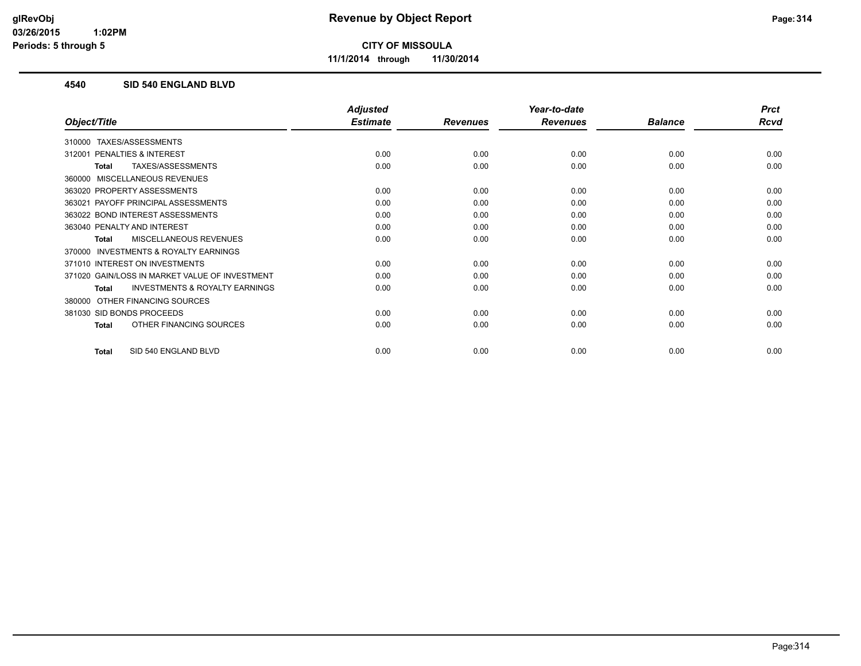**11/1/2014 through 11/30/2014**

#### **4540 SID 540 ENGLAND BLVD**

|                                                    | <b>Adjusted</b> |                 | Year-to-date    |                | <b>Prct</b> |
|----------------------------------------------------|-----------------|-----------------|-----------------|----------------|-------------|
| Object/Title                                       | <b>Estimate</b> | <b>Revenues</b> | <b>Revenues</b> | <b>Balance</b> | <b>Rcvd</b> |
| TAXES/ASSESSMENTS<br>310000                        |                 |                 |                 |                |             |
| <b>PENALTIES &amp; INTEREST</b><br>312001          | 0.00            | 0.00            | 0.00            | 0.00           | 0.00        |
| TAXES/ASSESSMENTS<br>Total                         | 0.00            | 0.00            | 0.00            | 0.00           | 0.00        |
| MISCELLANEOUS REVENUES<br>360000                   |                 |                 |                 |                |             |
| 363020 PROPERTY ASSESSMENTS                        | 0.00            | 0.00            | 0.00            | 0.00           | 0.00        |
| PAYOFF PRINCIPAL ASSESSMENTS<br>363021             | 0.00            | 0.00            | 0.00            | 0.00           | 0.00        |
| 363022 BOND INTEREST ASSESSMENTS                   | 0.00            | 0.00            | 0.00            | 0.00           | 0.00        |
| 363040 PENALTY AND INTEREST                        | 0.00            | 0.00            | 0.00            | 0.00           | 0.00        |
| MISCELLANEOUS REVENUES<br>Total                    | 0.00            | 0.00            | 0.00            | 0.00           | 0.00        |
| INVESTMENTS & ROYALTY EARNINGS<br>370000           |                 |                 |                 |                |             |
| 371010 INTEREST ON INVESTMENTS                     | 0.00            | 0.00            | 0.00            | 0.00           | 0.00        |
| 371020 GAIN/LOSS IN MARKET VALUE OF INVESTMENT     | 0.00            | 0.00            | 0.00            | 0.00           | 0.00        |
| <b>INVESTMENTS &amp; ROYALTY EARNINGS</b><br>Total | 0.00            | 0.00            | 0.00            | 0.00           | 0.00        |
| OTHER FINANCING SOURCES<br>380000                  |                 |                 |                 |                |             |
| 381030 SID BONDS PROCEEDS                          | 0.00            | 0.00            | 0.00            | 0.00           | 0.00        |
| OTHER FINANCING SOURCES<br><b>Total</b>            | 0.00            | 0.00            | 0.00            | 0.00           | 0.00        |
| SID 540 ENGLAND BLVD<br><b>Total</b>               | 0.00            | 0.00            | 0.00            | 0.00           | 0.00        |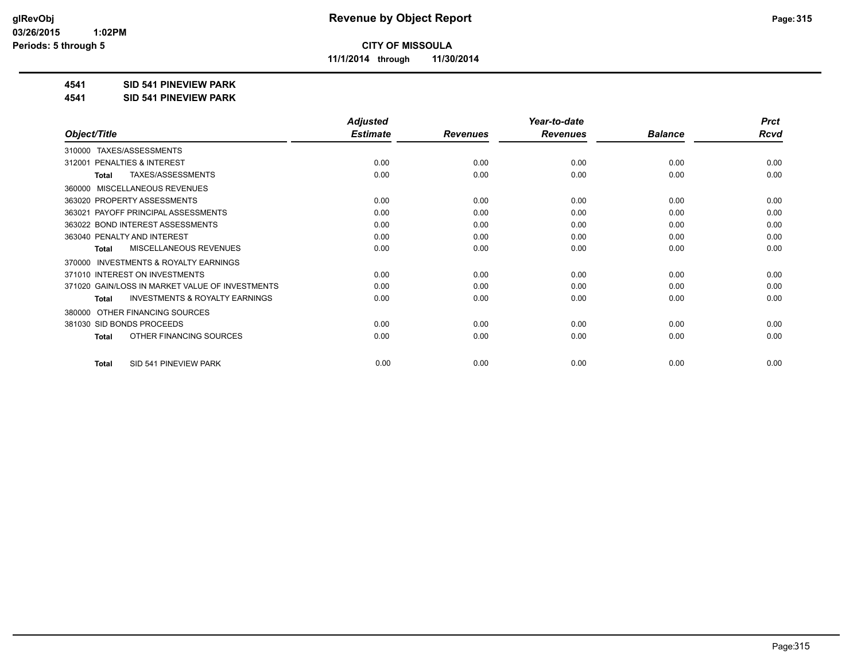**11/1/2014 through 11/30/2014**

#### **4541 SID 541 PINEVIEW PARK**

**4541 SID 541 PINEVIEW PARK**

|                                                           | <b>Adjusted</b> |                 | Year-to-date    |                | <b>Prct</b> |
|-----------------------------------------------------------|-----------------|-----------------|-----------------|----------------|-------------|
| Object/Title                                              | <b>Estimate</b> | <b>Revenues</b> | <b>Revenues</b> | <b>Balance</b> | Rcvd        |
| TAXES/ASSESSMENTS<br>310000                               |                 |                 |                 |                |             |
| <b>PENALTIES &amp; INTEREST</b><br>312001                 | 0.00            | 0.00            | 0.00            | 0.00           | 0.00        |
| TAXES/ASSESSMENTS<br><b>Total</b>                         | 0.00            | 0.00            | 0.00            | 0.00           | 0.00        |
| MISCELLANEOUS REVENUES<br>360000                          |                 |                 |                 |                |             |
| 363020 PROPERTY ASSESSMENTS                               | 0.00            | 0.00            | 0.00            | 0.00           | 0.00        |
| 363021 PAYOFF PRINCIPAL ASSESSMENTS                       | 0.00            | 0.00            | 0.00            | 0.00           | 0.00        |
| 363022 BOND INTEREST ASSESSMENTS                          | 0.00            | 0.00            | 0.00            | 0.00           | 0.00        |
| 363040 PENALTY AND INTEREST                               | 0.00            | 0.00            | 0.00            | 0.00           | 0.00        |
| <b>MISCELLANEOUS REVENUES</b><br><b>Total</b>             | 0.00            | 0.00            | 0.00            | 0.00           | 0.00        |
| <b>INVESTMENTS &amp; ROYALTY EARNINGS</b><br>370000       |                 |                 |                 |                |             |
| 371010 INTEREST ON INVESTMENTS                            | 0.00            | 0.00            | 0.00            | 0.00           | 0.00        |
| 371020 GAIN/LOSS IN MARKET VALUE OF INVESTMENTS           | 0.00            | 0.00            | 0.00            | 0.00           | 0.00        |
| <b>INVESTMENTS &amp; ROYALTY EARNINGS</b><br><b>Total</b> | 0.00            | 0.00            | 0.00            | 0.00           | 0.00        |
| OTHER FINANCING SOURCES<br>380000                         |                 |                 |                 |                |             |
| 381030 SID BONDS PROCEEDS                                 | 0.00            | 0.00            | 0.00            | 0.00           | 0.00        |
| OTHER FINANCING SOURCES<br><b>Total</b>                   | 0.00            | 0.00            | 0.00            | 0.00           | 0.00        |
|                                                           |                 |                 |                 |                |             |
| SID 541 PINEVIEW PARK<br><b>Total</b>                     | 0.00            | 0.00            | 0.00            | 0.00           | 0.00        |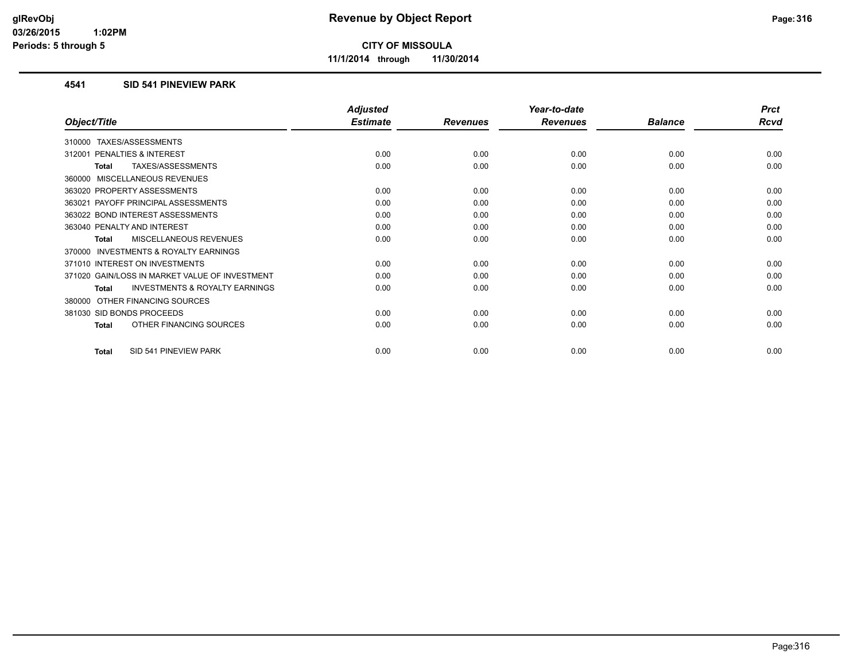**11/1/2014 through 11/30/2014**

#### **4541 SID 541 PINEVIEW PARK**

|                                                           | <b>Adjusted</b> |                 | Year-to-date    |                | <b>Prct</b> |
|-----------------------------------------------------------|-----------------|-----------------|-----------------|----------------|-------------|
| Object/Title                                              | <b>Estimate</b> | <b>Revenues</b> | <b>Revenues</b> | <b>Balance</b> | <b>Rcvd</b> |
| TAXES/ASSESSMENTS<br>310000                               |                 |                 |                 |                |             |
| 312001 PENALTIES & INTEREST                               | 0.00            | 0.00            | 0.00            | 0.00           | 0.00        |
| TAXES/ASSESSMENTS<br><b>Total</b>                         | 0.00            | 0.00            | 0.00            | 0.00           | 0.00        |
| 360000 MISCELLANEOUS REVENUES                             |                 |                 |                 |                |             |
| 363020 PROPERTY ASSESSMENTS                               | 0.00            | 0.00            | 0.00            | 0.00           | 0.00        |
| 363021 PAYOFF PRINCIPAL ASSESSMENTS                       | 0.00            | 0.00            | 0.00            | 0.00           | 0.00        |
| 363022 BOND INTEREST ASSESSMENTS                          | 0.00            | 0.00            | 0.00            | 0.00           | 0.00        |
| 363040 PENALTY AND INTEREST                               | 0.00            | 0.00            | 0.00            | 0.00           | 0.00        |
| <b>MISCELLANEOUS REVENUES</b><br><b>Total</b>             | 0.00            | 0.00            | 0.00            | 0.00           | 0.00        |
| <b>INVESTMENTS &amp; ROYALTY EARNINGS</b><br>370000       |                 |                 |                 |                |             |
| 371010 INTEREST ON INVESTMENTS                            | 0.00            | 0.00            | 0.00            | 0.00           | 0.00        |
| 371020 GAIN/LOSS IN MARKET VALUE OF INVESTMENT            | 0.00            | 0.00            | 0.00            | 0.00           | 0.00        |
| <b>INVESTMENTS &amp; ROYALTY EARNINGS</b><br><b>Total</b> | 0.00            | 0.00            | 0.00            | 0.00           | 0.00        |
| OTHER FINANCING SOURCES<br>380000                         |                 |                 |                 |                |             |
| 381030 SID BONDS PROCEEDS                                 | 0.00            | 0.00            | 0.00            | 0.00           | 0.00        |
| OTHER FINANCING SOURCES<br><b>Total</b>                   | 0.00            | 0.00            | 0.00            | 0.00           | 0.00        |
| SID 541 PINEVIEW PARK<br><b>Total</b>                     | 0.00            | 0.00            | 0.00            | 0.00           | 0.00        |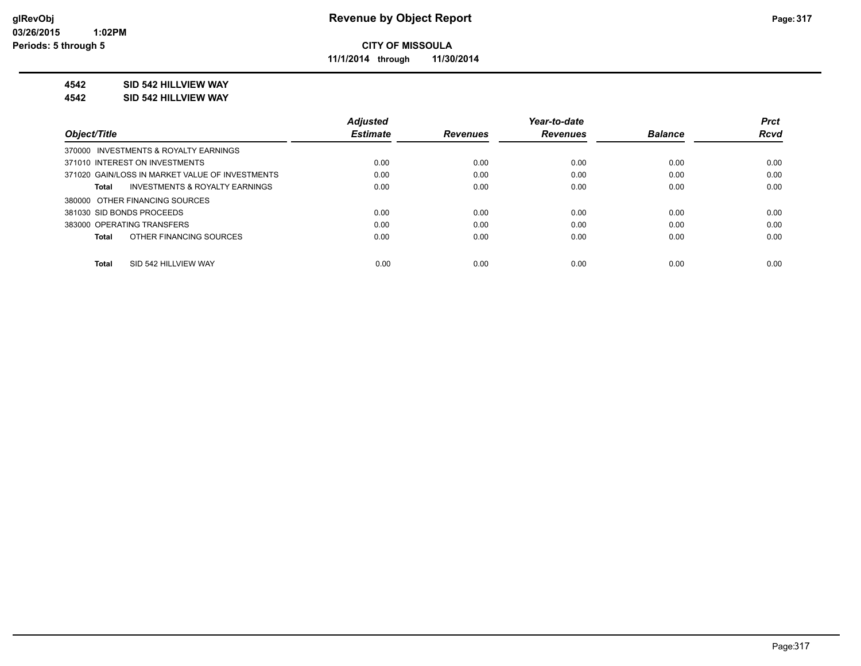**11/1/2014 through 11/30/2014**

#### **4542 SID 542 HILLVIEW WAY**

#### **4542 SID 542 HILLVIEW WAY**

|                                                 | <b>Adjusted</b> |                 | Year-to-date    |                | <b>Prct</b> |
|-------------------------------------------------|-----------------|-----------------|-----------------|----------------|-------------|
| Object/Title                                    | <b>Estimate</b> | <b>Revenues</b> | <b>Revenues</b> | <b>Balance</b> | <b>Rcvd</b> |
| 370000 INVESTMENTS & ROYALTY EARNINGS           |                 |                 |                 |                |             |
| 371010 INTEREST ON INVESTMENTS                  | 0.00            | 0.00            | 0.00            | 0.00           | 0.00        |
| 371020 GAIN/LOSS IN MARKET VALUE OF INVESTMENTS | 0.00            | 0.00            | 0.00            | 0.00           | 0.00        |
| INVESTMENTS & ROYALTY EARNINGS<br>Total         | 0.00            | 0.00            | 0.00            | 0.00           | 0.00        |
| 380000 OTHER FINANCING SOURCES                  |                 |                 |                 |                |             |
| 381030 SID BONDS PROCEEDS                       | 0.00            | 0.00            | 0.00            | 0.00           | 0.00        |
| 383000 OPERATING TRANSFERS                      | 0.00            | 0.00            | 0.00            | 0.00           | 0.00        |
| OTHER FINANCING SOURCES<br>Total                | 0.00            | 0.00            | 0.00            | 0.00           | 0.00        |
|                                                 |                 |                 |                 |                |             |
| SID 542 HILLVIEW WAY<br>Total                   | 0.00            | 0.00            | 0.00            | 0.00           | 0.00        |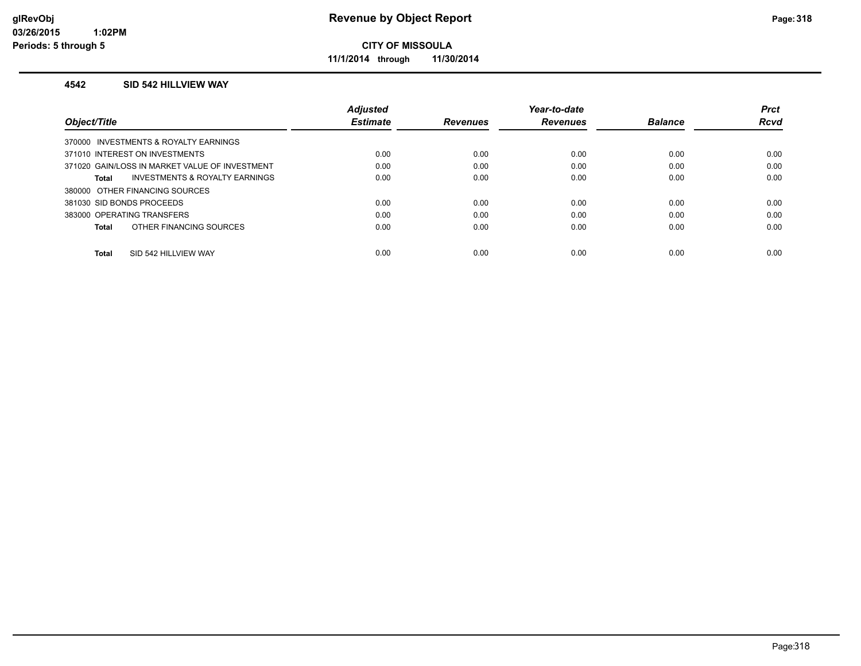**11/1/2014 through 11/30/2014**

#### **4542 SID 542 HILLVIEW WAY**

|                                                           | <b>Adjusted</b> |                 | Year-to-date    |                | <b>Prct</b> |
|-----------------------------------------------------------|-----------------|-----------------|-----------------|----------------|-------------|
| Object/Title                                              | <b>Estimate</b> | <b>Revenues</b> | <b>Revenues</b> | <b>Balance</b> | <b>Rcvd</b> |
| 370000 INVESTMENTS & ROYALTY EARNINGS                     |                 |                 |                 |                |             |
| 371010 INTEREST ON INVESTMENTS                            | 0.00            | 0.00            | 0.00            | 0.00           | 0.00        |
| 371020 GAIN/LOSS IN MARKET VALUE OF INVESTMENT            | 0.00            | 0.00            | 0.00            | 0.00           | 0.00        |
| <b>INVESTMENTS &amp; ROYALTY EARNINGS</b><br><b>Total</b> | 0.00            | 0.00            | 0.00            | 0.00           | 0.00        |
| 380000 OTHER FINANCING SOURCES                            |                 |                 |                 |                |             |
| 381030 SID BONDS PROCEEDS                                 | 0.00            | 0.00            | 0.00            | 0.00           | 0.00        |
| 383000 OPERATING TRANSFERS                                | 0.00            | 0.00            | 0.00            | 0.00           | 0.00        |
| OTHER FINANCING SOURCES<br><b>Total</b>                   | 0.00            | 0.00            | 0.00            | 0.00           | 0.00        |
|                                                           |                 |                 |                 |                |             |
| SID 542 HILLVIEW WAY<br><b>Total</b>                      | 0.00            | 0.00            | 0.00            | 0.00           | 0.00        |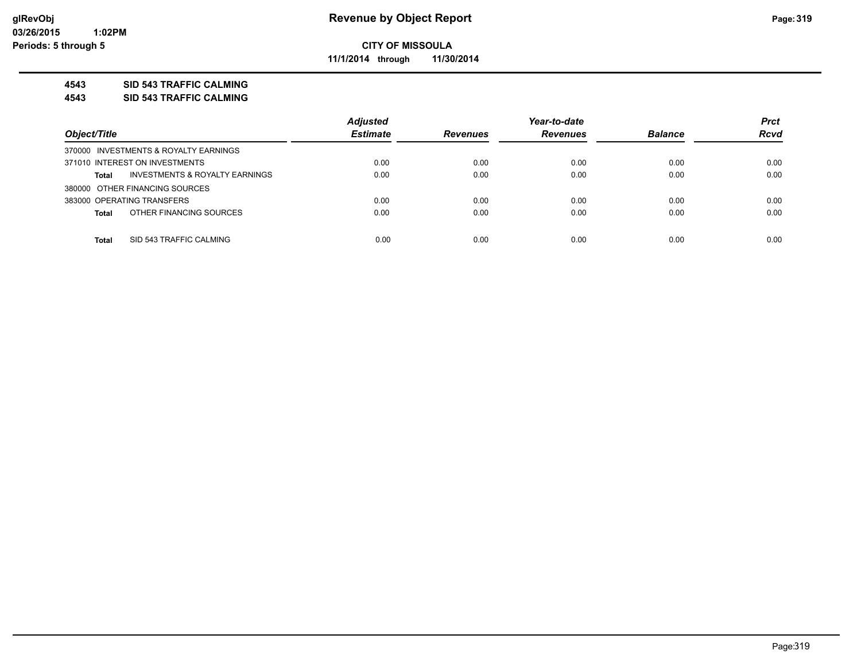**11/1/2014 through 11/30/2014**

#### **4543 SID 543 TRAFFIC CALMING**

**4543 SID 543 TRAFFIC CALMING**

|                                                           | <b>Adjusted</b> |                 | Year-to-date    |                | <b>Prct</b> |
|-----------------------------------------------------------|-----------------|-----------------|-----------------|----------------|-------------|
| Object/Title                                              | <b>Estimate</b> | <b>Revenues</b> | <b>Revenues</b> | <b>Balance</b> | <b>Rcvd</b> |
| 370000 INVESTMENTS & ROYALTY EARNINGS                     |                 |                 |                 |                |             |
| 371010 INTEREST ON INVESTMENTS                            | 0.00            | 0.00            | 0.00            | 0.00           | 0.00        |
| <b>INVESTMENTS &amp; ROYALTY EARNINGS</b><br><b>Total</b> | 0.00            | 0.00            | 0.00            | 0.00           | 0.00        |
| 380000 OTHER FINANCING SOURCES                            |                 |                 |                 |                |             |
| 383000 OPERATING TRANSFERS                                | 0.00            | 0.00            | 0.00            | 0.00           | 0.00        |
| OTHER FINANCING SOURCES<br><b>Total</b>                   | 0.00            | 0.00            | 0.00            | 0.00           | 0.00        |
|                                                           |                 |                 |                 |                |             |
| SID 543 TRAFFIC CALMING<br><b>Total</b>                   | 0.00            | 0.00            | 0.00            | 0.00           | 0.00        |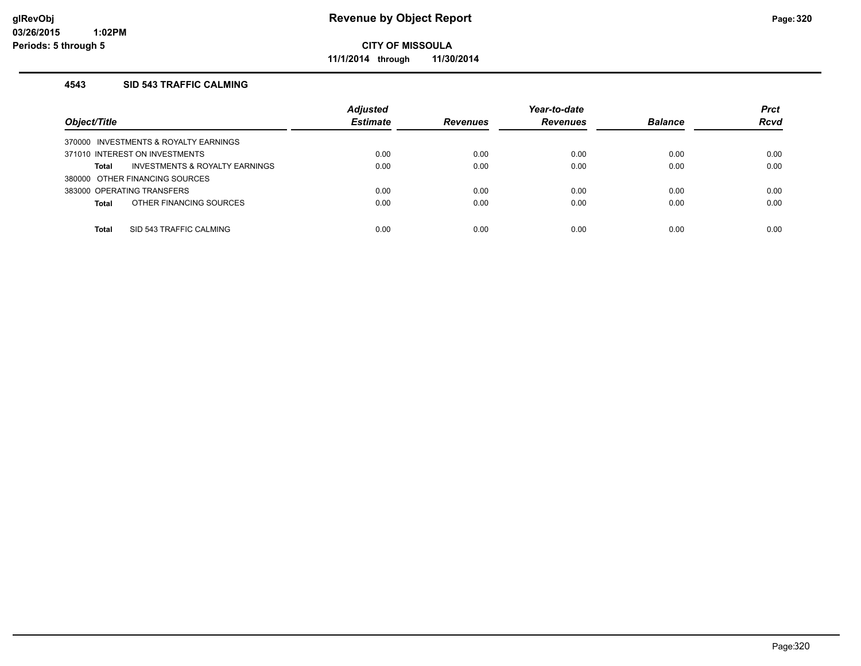**11/1/2014 through 11/30/2014**

#### **4543 SID 543 TRAFFIC CALMING**

| Object/Title                            | <b>Adjusted</b><br><b>Estimate</b> | <b>Revenues</b> | Year-to-date<br><b>Revenues</b> | <b>Balance</b> | <b>Prct</b><br><b>Rcvd</b> |
|-----------------------------------------|------------------------------------|-----------------|---------------------------------|----------------|----------------------------|
| 370000 INVESTMENTS & ROYALTY EARNINGS   |                                    |                 |                                 |                |                            |
| 371010 INTEREST ON INVESTMENTS          | 0.00                               | 0.00            | 0.00                            | 0.00           | 0.00                       |
| INVESTMENTS & ROYALTY EARNINGS<br>Total | 0.00                               | 0.00            | 0.00                            | 0.00           | 0.00                       |
| 380000 OTHER FINANCING SOURCES          |                                    |                 |                                 |                |                            |
| 383000 OPERATING TRANSFERS              | 0.00                               | 0.00            | 0.00                            | 0.00           | 0.00                       |
| OTHER FINANCING SOURCES<br><b>Total</b> | 0.00                               | 0.00            | 0.00                            | 0.00           | 0.00                       |
|                                         |                                    |                 |                                 |                |                            |
| SID 543 TRAFFIC CALMING<br><b>Total</b> | 0.00                               | 0.00            | 0.00                            | 0.00           | 0.00                       |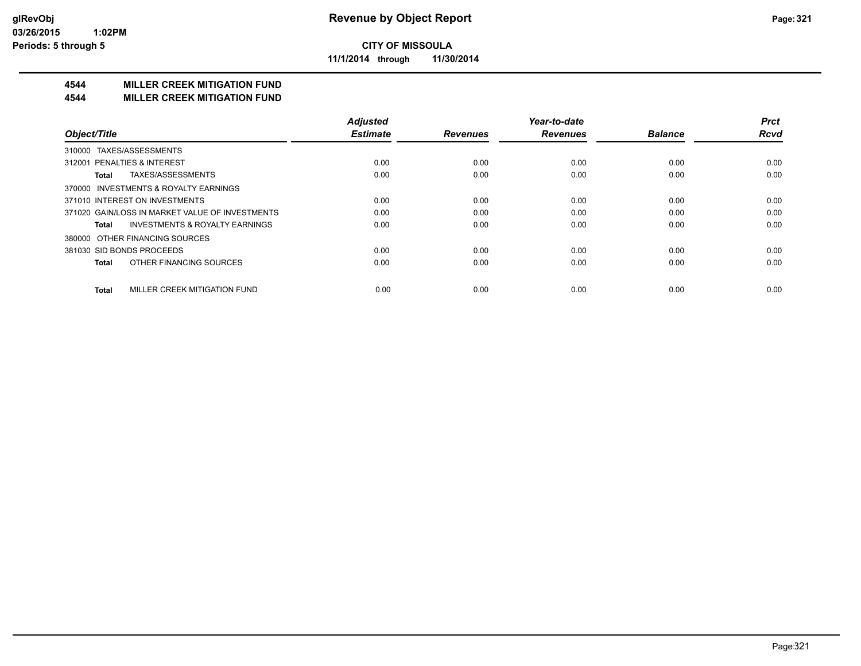**11/1/2014 through 11/30/2014**

### **4544 MILLER CREEK MITIGATION FUND**

#### **4544 MILLER CREEK MITIGATION FUND**

|                                                    | <b>Adjusted</b> |                 | Year-to-date    |                | <b>Prct</b> |
|----------------------------------------------------|-----------------|-----------------|-----------------|----------------|-------------|
| Object/Title                                       | <b>Estimate</b> | <b>Revenues</b> | <b>Revenues</b> | <b>Balance</b> | <b>Rcvd</b> |
| TAXES/ASSESSMENTS<br>310000                        |                 |                 |                 |                |             |
| 312001 PENALTIES & INTEREST                        | 0.00            | 0.00            | 0.00            | 0.00           | 0.00        |
| TAXES/ASSESSMENTS<br>Total                         | 0.00            | 0.00            | 0.00            | 0.00           | 0.00        |
| 370000 INVESTMENTS & ROYALTY EARNINGS              |                 |                 |                 |                |             |
| 371010 INTEREST ON INVESTMENTS                     | 0.00            | 0.00            | 0.00            | 0.00           | 0.00        |
| 371020 GAIN/LOSS IN MARKET VALUE OF INVESTMENTS    | 0.00            | 0.00            | 0.00            | 0.00           | 0.00        |
| <b>INVESTMENTS &amp; ROYALTY EARNINGS</b><br>Total | 0.00            | 0.00            | 0.00            | 0.00           | 0.00        |
| OTHER FINANCING SOURCES<br>380000                  |                 |                 |                 |                |             |
| 381030 SID BONDS PROCEEDS                          | 0.00            | 0.00            | 0.00            | 0.00           | 0.00        |
| OTHER FINANCING SOURCES<br><b>Total</b>            | 0.00            | 0.00            | 0.00            | 0.00           | 0.00        |
| MILLER CREEK MITIGATION FUND<br><b>Total</b>       | 0.00            | 0.00            | 0.00            | 0.00           | 0.00        |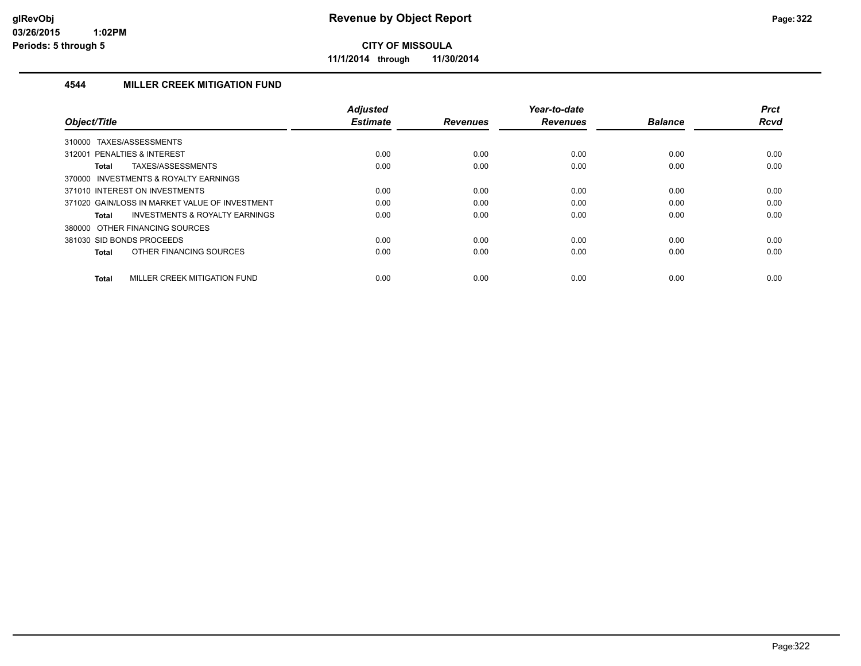**11/1/2014 through 11/30/2014**

### **4544 MILLER CREEK MITIGATION FUND**

| Object/Title                                              | <b>Adjusted</b><br><b>Estimate</b> | <b>Revenues</b> | Year-to-date<br><b>Revenues</b> | <b>Balance</b> | <b>Prct</b><br><b>Rcvd</b> |
|-----------------------------------------------------------|------------------------------------|-----------------|---------------------------------|----------------|----------------------------|
| TAXES/ASSESSMENTS<br>310000                               |                                    |                 |                                 |                |                            |
| 312001 PENALTIES & INTEREST                               | 0.00                               | 0.00            | 0.00                            | 0.00           | 0.00                       |
| TAXES/ASSESSMENTS<br><b>Total</b>                         | 0.00                               | 0.00            | 0.00                            | 0.00           | 0.00                       |
| 370000 INVESTMENTS & ROYALTY EARNINGS                     |                                    |                 |                                 |                |                            |
| 371010 INTEREST ON INVESTMENTS                            | 0.00                               | 0.00            | 0.00                            | 0.00           | 0.00                       |
| 371020 GAIN/LOSS IN MARKET VALUE OF INVESTMENT            | 0.00                               | 0.00            | 0.00                            | 0.00           | 0.00                       |
| <b>INVESTMENTS &amp; ROYALTY EARNINGS</b><br><b>Total</b> | 0.00                               | 0.00            | 0.00                            | 0.00           | 0.00                       |
| 380000 OTHER FINANCING SOURCES                            |                                    |                 |                                 |                |                            |
| 381030 SID BONDS PROCEEDS                                 | 0.00                               | 0.00            | 0.00                            | 0.00           | 0.00                       |
| OTHER FINANCING SOURCES<br><b>Total</b>                   | 0.00                               | 0.00            | 0.00                            | 0.00           | 0.00                       |
| MILLER CREEK MITIGATION FUND<br><b>Total</b>              | 0.00                               | 0.00            | 0.00                            | 0.00           | 0.00                       |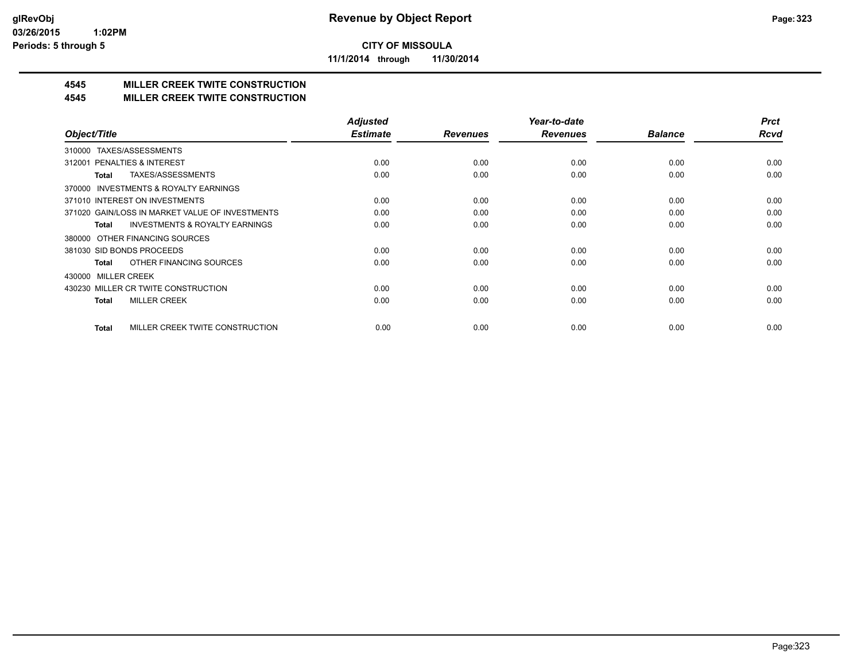**11/1/2014 through 11/30/2014**

# **4545 MILLER CREEK TWITE CONSTRUCTION**

#### **4545 MILLER CREEK TWITE CONSTRUCTION**

|                                                    | <b>Adjusted</b> |                 | Year-to-date    |                | <b>Prct</b> |
|----------------------------------------------------|-----------------|-----------------|-----------------|----------------|-------------|
| Object/Title                                       | <b>Estimate</b> | <b>Revenues</b> | <b>Revenues</b> | <b>Balance</b> | <b>Rcvd</b> |
| TAXES/ASSESSMENTS<br>310000                        |                 |                 |                 |                |             |
| 312001 PENALTIES & INTEREST                        | 0.00            | 0.00            | 0.00            | 0.00           | 0.00        |
| <b>TAXES/ASSESSMENTS</b><br>Total                  | 0.00            | 0.00            | 0.00            | 0.00           | 0.00        |
| 370000 INVESTMENTS & ROYALTY EARNINGS              |                 |                 |                 |                |             |
| 371010 INTEREST ON INVESTMENTS                     | 0.00            | 0.00            | 0.00            | 0.00           | 0.00        |
| 371020 GAIN/LOSS IN MARKET VALUE OF INVESTMENTS    | 0.00            | 0.00            | 0.00            | 0.00           | 0.00        |
| <b>INVESTMENTS &amp; ROYALTY EARNINGS</b><br>Total | 0.00            | 0.00            | 0.00            | 0.00           | 0.00        |
| OTHER FINANCING SOURCES<br>380000                  |                 |                 |                 |                |             |
| 381030 SID BONDS PROCEEDS                          | 0.00            | 0.00            | 0.00            | 0.00           | 0.00        |
| OTHER FINANCING SOURCES<br>Total                   | 0.00            | 0.00            | 0.00            | 0.00           | 0.00        |
| <b>MILLER CREEK</b><br>430000                      |                 |                 |                 |                |             |
| 430230 MILLER CR TWITE CONSTRUCTION                | 0.00            | 0.00            | 0.00            | 0.00           | 0.00        |
| <b>MILLER CREEK</b><br>Total                       | 0.00            | 0.00            | 0.00            | 0.00           | 0.00        |
|                                                    |                 |                 |                 |                |             |
| MILLER CREEK TWITE CONSTRUCTION<br><b>Total</b>    | 0.00            | 0.00            | 0.00            | 0.00           | 0.00        |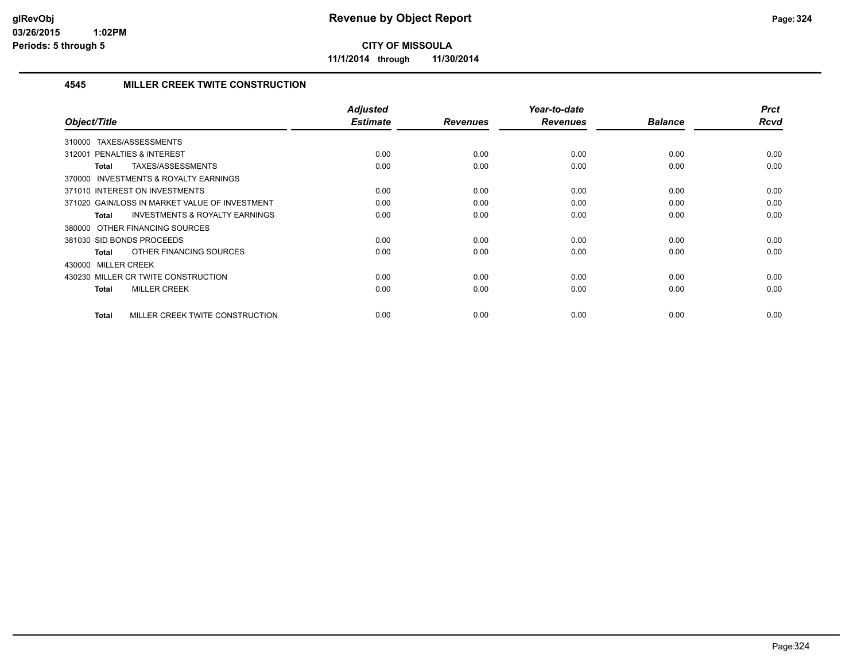**11/1/2014 through 11/30/2014**

### **4545 MILLER CREEK TWITE CONSTRUCTION**

| Object/Title                                              | Adjusted<br><b>Estimate</b> | <b>Revenues</b> | Year-to-date<br><b>Revenues</b> | <b>Balance</b> | <b>Prct</b><br>Rcvd |
|-----------------------------------------------------------|-----------------------------|-----------------|---------------------------------|----------------|---------------------|
|                                                           |                             |                 |                                 |                |                     |
| TAXES/ASSESSMENTS<br>310000                               |                             |                 |                                 |                |                     |
| PENALTIES & INTEREST<br>312001                            | 0.00                        | 0.00            | 0.00                            | 0.00           | 0.00                |
| TAXES/ASSESSMENTS<br>Total                                | 0.00                        | 0.00            | 0.00                            | 0.00           | 0.00                |
| 370000 INVESTMENTS & ROYALTY EARNINGS                     |                             |                 |                                 |                |                     |
| 371010 INTEREST ON INVESTMENTS                            | 0.00                        | 0.00            | 0.00                            | 0.00           | 0.00                |
| 371020 GAIN/LOSS IN MARKET VALUE OF INVESTMENT            | 0.00                        | 0.00            | 0.00                            | 0.00           | 0.00                |
| <b>INVESTMENTS &amp; ROYALTY EARNINGS</b><br><b>Total</b> | 0.00                        | 0.00            | 0.00                            | 0.00           | 0.00                |
| 380000 OTHER FINANCING SOURCES                            |                             |                 |                                 |                |                     |
| 381030 SID BONDS PROCEEDS                                 | 0.00                        | 0.00            | 0.00                            | 0.00           | 0.00                |
| OTHER FINANCING SOURCES<br><b>Total</b>                   | 0.00                        | 0.00            | 0.00                            | 0.00           | 0.00                |
| 430000 MILLER CREEK                                       |                             |                 |                                 |                |                     |
| 430230 MILLER CR TWITE CONSTRUCTION                       | 0.00                        | 0.00            | 0.00                            | 0.00           | 0.00                |
| <b>MILLER CREEK</b><br><b>Total</b>                       | 0.00                        | 0.00            | 0.00                            | 0.00           | 0.00                |
|                                                           |                             |                 |                                 |                |                     |
| MILLER CREEK TWITE CONSTRUCTION<br><b>Total</b>           | 0.00                        | 0.00            | 0.00                            | 0.00           | 0.00                |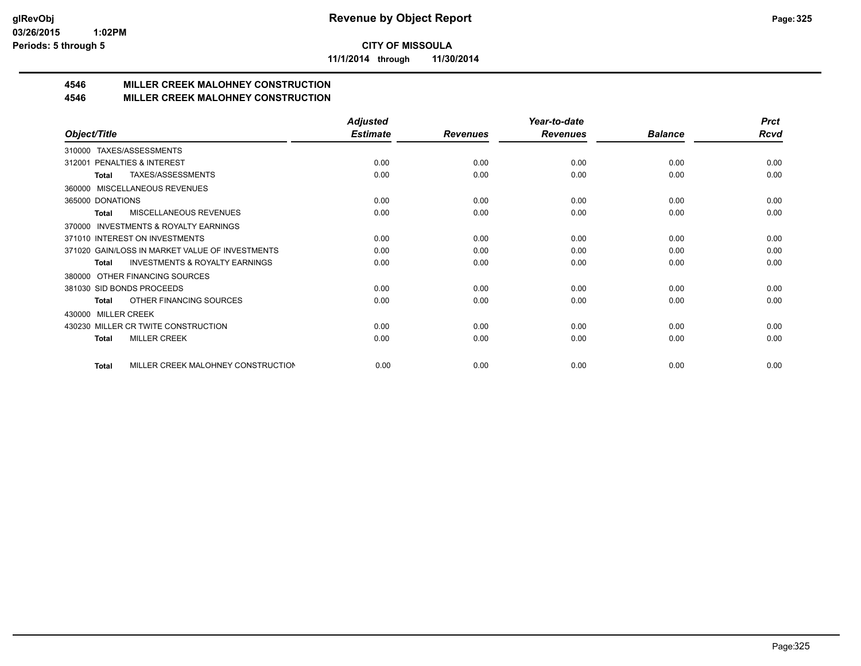**11/1/2014 through 11/30/2014**

# **4546 MILLER CREEK MALOHNEY CONSTRUCTION**

### **4546 MILLER CREEK MALOHNEY CONSTRUCTION**

|                                                           | <b>Adjusted</b> |                 | Year-to-date    |                | <b>Prct</b> |
|-----------------------------------------------------------|-----------------|-----------------|-----------------|----------------|-------------|
| Object/Title                                              | <b>Estimate</b> | <b>Revenues</b> | <b>Revenues</b> | <b>Balance</b> | Rcvd        |
| TAXES/ASSESSMENTS<br>310000                               |                 |                 |                 |                |             |
| PENALTIES & INTEREST<br>312001                            | 0.00            | 0.00            | 0.00            | 0.00           | 0.00        |
| TAXES/ASSESSMENTS<br>Total                                | 0.00            | 0.00            | 0.00            | 0.00           | 0.00        |
| MISCELLANEOUS REVENUES<br>360000                          |                 |                 |                 |                |             |
| 365000 DONATIONS                                          | 0.00            | 0.00            | 0.00            | 0.00           | 0.00        |
| <b>MISCELLANEOUS REVENUES</b><br><b>Total</b>             | 0.00            | 0.00            | 0.00            | 0.00           | 0.00        |
| <b>INVESTMENTS &amp; ROYALTY EARNINGS</b><br>370000       |                 |                 |                 |                |             |
| 371010 INTEREST ON INVESTMENTS                            | 0.00            | 0.00            | 0.00            | 0.00           | 0.00        |
| 371020 GAIN/LOSS IN MARKET VALUE OF INVESTMENTS           | 0.00            | 0.00            | 0.00            | 0.00           | 0.00        |
| <b>INVESTMENTS &amp; ROYALTY EARNINGS</b><br><b>Total</b> | 0.00            | 0.00            | 0.00            | 0.00           | 0.00        |
| OTHER FINANCING SOURCES<br>380000                         |                 |                 |                 |                |             |
| 381030 SID BONDS PROCEEDS                                 | 0.00            | 0.00            | 0.00            | 0.00           | 0.00        |
| OTHER FINANCING SOURCES<br>Total                          | 0.00            | 0.00            | 0.00            | 0.00           | 0.00        |
| <b>MILLER CREEK</b><br>430000                             |                 |                 |                 |                |             |
| 430230 MILLER CR TWITE CONSTRUCTION                       | 0.00            | 0.00            | 0.00            | 0.00           | 0.00        |
| <b>MILLER CREEK</b><br><b>Total</b>                       | 0.00            | 0.00            | 0.00            | 0.00           | 0.00        |
|                                                           |                 |                 |                 |                |             |
| MILLER CREEK MALOHNEY CONSTRUCTION<br>Total               | 0.00            | 0.00            | 0.00            | 0.00           | 0.00        |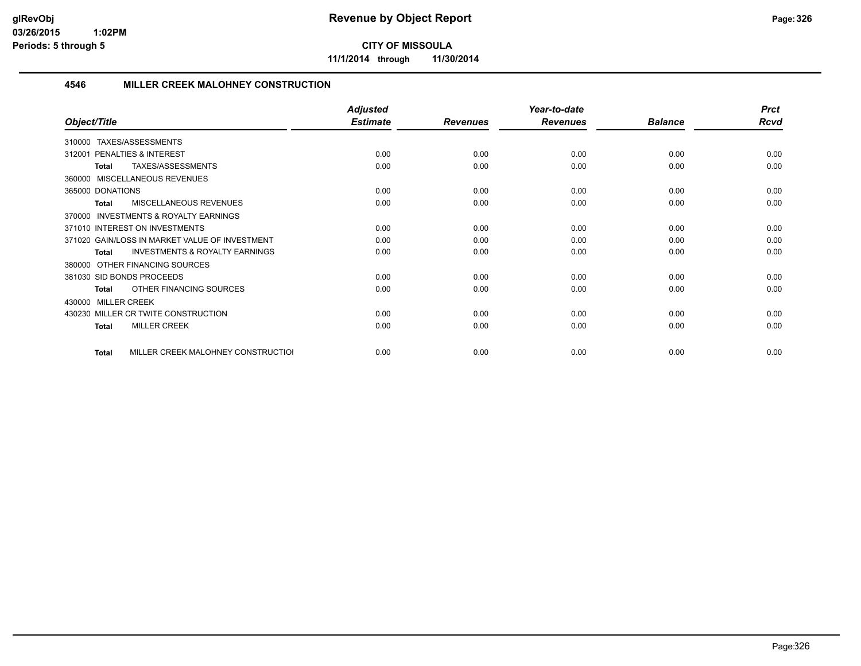**11/1/2014 through 11/30/2014**

#### **4546 MILLER CREEK MALOHNEY CONSTRUCTION**

|                                                           | <b>Adjusted</b> |                 | Year-to-date    |                | <b>Prct</b> |
|-----------------------------------------------------------|-----------------|-----------------|-----------------|----------------|-------------|
| Object/Title                                              | <b>Estimate</b> | <b>Revenues</b> | <b>Revenues</b> | <b>Balance</b> | <b>Rcvd</b> |
| TAXES/ASSESSMENTS<br>310000                               |                 |                 |                 |                |             |
| PENALTIES & INTEREST<br>312001                            | 0.00            | 0.00            | 0.00            | 0.00           | 0.00        |
| TAXES/ASSESSMENTS<br><b>Total</b>                         | 0.00            | 0.00            | 0.00            | 0.00           | 0.00        |
| MISCELLANEOUS REVENUES<br>360000                          |                 |                 |                 |                |             |
| 365000 DONATIONS                                          | 0.00            | 0.00            | 0.00            | 0.00           | 0.00        |
| MISCELLANEOUS REVENUES<br><b>Total</b>                    | 0.00            | 0.00            | 0.00            | 0.00           | 0.00        |
| INVESTMENTS & ROYALTY EARNINGS<br>370000                  |                 |                 |                 |                |             |
| 371010 INTEREST ON INVESTMENTS                            | 0.00            | 0.00            | 0.00            | 0.00           | 0.00        |
| 371020 GAIN/LOSS IN MARKET VALUE OF INVESTMENT            | 0.00            | 0.00            | 0.00            | 0.00           | 0.00        |
| <b>INVESTMENTS &amp; ROYALTY EARNINGS</b><br><b>Total</b> | 0.00            | 0.00            | 0.00            | 0.00           | 0.00        |
| OTHER FINANCING SOURCES<br>380000                         |                 |                 |                 |                |             |
| 381030 SID BONDS PROCEEDS                                 | 0.00            | 0.00            | 0.00            | 0.00           | 0.00        |
| OTHER FINANCING SOURCES<br><b>Total</b>                   | 0.00            | 0.00            | 0.00            | 0.00           | 0.00        |
| <b>MILLER CREEK</b><br>430000                             |                 |                 |                 |                |             |
| MILLER CR TWITE CONSTRUCTION<br>430230                    | 0.00            | 0.00            | 0.00            | 0.00           | 0.00        |
| <b>MILLER CREEK</b><br><b>Total</b>                       | 0.00            | 0.00            | 0.00            | 0.00           | 0.00        |
| MILLER CREEK MALOHNEY CONSTRUCTION<br><b>Total</b>        | 0.00            | 0.00            | 0.00            | 0.00           | 0.00        |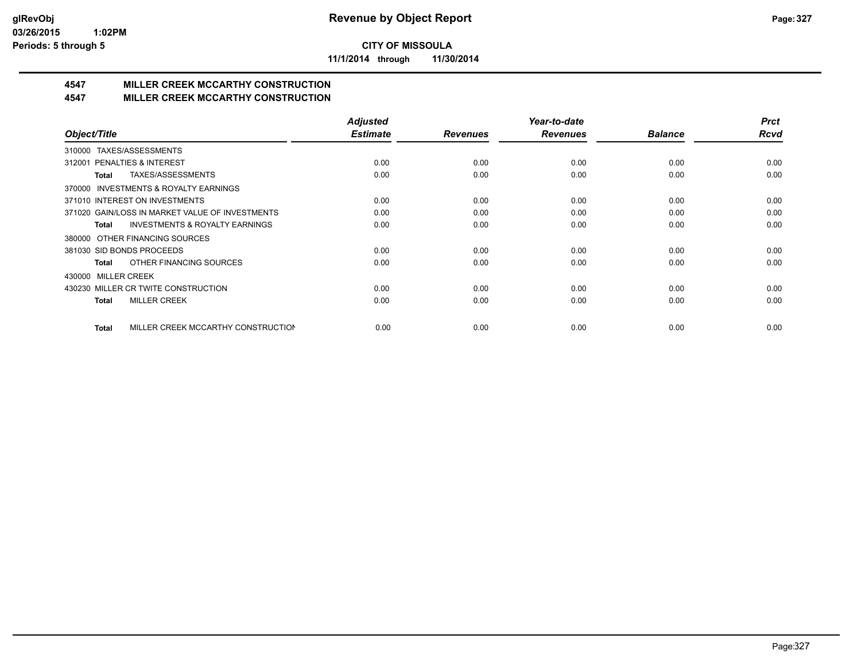**11/1/2014 through 11/30/2014**

# **4547 MILLER CREEK MCCARTHY CONSTRUCTION**

#### **4547 MILLER CREEK MCCARTHY CONSTRUCTION**

|                                                     | <b>Adjusted</b> |                 | Year-to-date    |                | <b>Prct</b> |
|-----------------------------------------------------|-----------------|-----------------|-----------------|----------------|-------------|
| Object/Title                                        | <b>Estimate</b> | <b>Revenues</b> | <b>Revenues</b> | <b>Balance</b> | <b>Rcvd</b> |
| TAXES/ASSESSMENTS<br>310000                         |                 |                 |                 |                |             |
| PENALTIES & INTEREST<br>312001                      | 0.00            | 0.00            | 0.00            | 0.00           | 0.00        |
| <b>TAXES/ASSESSMENTS</b><br><b>Total</b>            | 0.00            | 0.00            | 0.00            | 0.00           | 0.00        |
| <b>INVESTMENTS &amp; ROYALTY EARNINGS</b><br>370000 |                 |                 |                 |                |             |
| 371010 INTEREST ON INVESTMENTS                      | 0.00            | 0.00            | 0.00            | 0.00           | 0.00        |
| 371020 GAIN/LOSS IN MARKET VALUE OF INVESTMENTS     | 0.00            | 0.00            | 0.00            | 0.00           | 0.00        |
| <b>INVESTMENTS &amp; ROYALTY EARNINGS</b><br>Total  | 0.00            | 0.00            | 0.00            | 0.00           | 0.00        |
| OTHER FINANCING SOURCES<br>380000                   |                 |                 |                 |                |             |
| 381030 SID BONDS PROCEEDS                           | 0.00            | 0.00            | 0.00            | 0.00           | 0.00        |
| OTHER FINANCING SOURCES<br><b>Total</b>             | 0.00            | 0.00            | 0.00            | 0.00           | 0.00        |
| <b>MILLER CREEK</b><br>430000                       |                 |                 |                 |                |             |
| 430230 MILLER CR TWITE CONSTRUCTION                 | 0.00            | 0.00            | 0.00            | 0.00           | 0.00        |
| <b>MILLER CREEK</b><br>Total                        | 0.00            | 0.00            | 0.00            | 0.00           | 0.00        |
|                                                     |                 |                 |                 |                |             |
| MILLER CREEK MCCARTHY CONSTRUCTION<br><b>Total</b>  | 0.00            | 0.00            | 0.00            | 0.00           | 0.00        |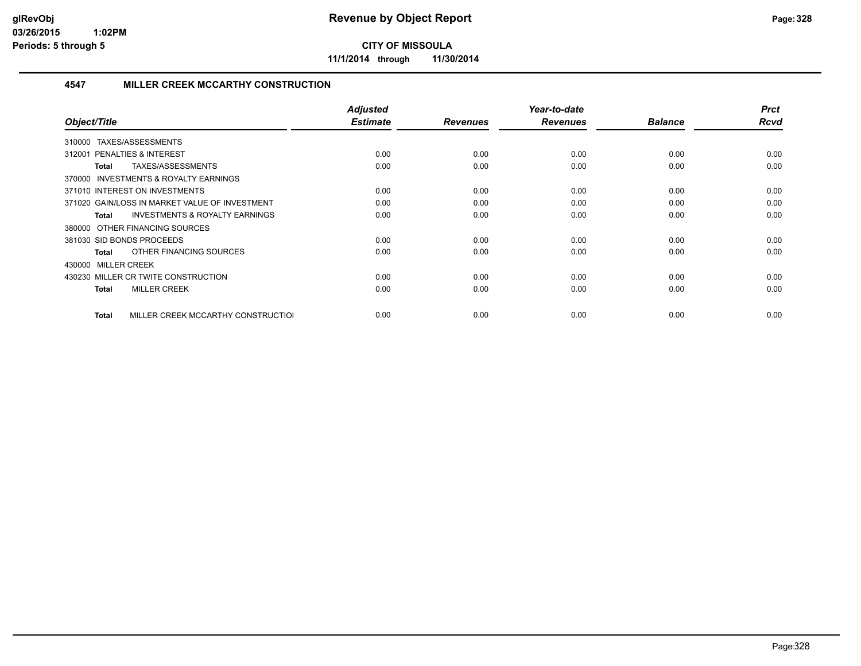**11/1/2014 through 11/30/2014**

#### **4547 MILLER CREEK MCCARTHY CONSTRUCTION**

| Object/Title                                              | <b>Adjusted</b><br><b>Estimate</b> | <b>Revenues</b> | Year-to-date<br><b>Revenues</b> | <b>Balance</b> | <b>Prct</b><br>Rcvd |
|-----------------------------------------------------------|------------------------------------|-----------------|---------------------------------|----------------|---------------------|
| TAXES/ASSESSMENTS<br>310000                               |                                    |                 |                                 |                |                     |
| <b>PENALTIES &amp; INTEREST</b><br>312001                 | 0.00                               | 0.00            | 0.00                            | 0.00           | 0.00                |
| TAXES/ASSESSMENTS<br>Total                                | 0.00                               | 0.00            | 0.00                            | 0.00           | 0.00                |
| <b>INVESTMENTS &amp; ROYALTY EARNINGS</b><br>370000       |                                    |                 |                                 |                |                     |
| 371010 INTEREST ON INVESTMENTS                            | 0.00                               | 0.00            | 0.00                            | 0.00           | 0.00                |
| 371020 GAIN/LOSS IN MARKET VALUE OF INVESTMENT            | 0.00                               | 0.00            | 0.00                            | 0.00           | 0.00                |
| <b>INVESTMENTS &amp; ROYALTY EARNINGS</b><br><b>Total</b> | 0.00                               | 0.00            | 0.00                            | 0.00           | 0.00                |
| 380000 OTHER FINANCING SOURCES                            |                                    |                 |                                 |                |                     |
| 381030 SID BONDS PROCEEDS                                 | 0.00                               | 0.00            | 0.00                            | 0.00           | 0.00                |
| OTHER FINANCING SOURCES<br>Total                          | 0.00                               | 0.00            | 0.00                            | 0.00           | 0.00                |
| 430000 MILLER CREEK                                       |                                    |                 |                                 |                |                     |
| 430230 MILLER CR TWITE CONSTRUCTION                       | 0.00                               | 0.00            | 0.00                            | 0.00           | 0.00                |
| <b>MILLER CREEK</b><br><b>Total</b>                       | 0.00                               | 0.00            | 0.00                            | 0.00           | 0.00                |
| MILLER CREEK MCCARTHY CONSTRUCTIOL<br>Total               | 0.00                               | 0.00            | 0.00                            | 0.00           | 0.00                |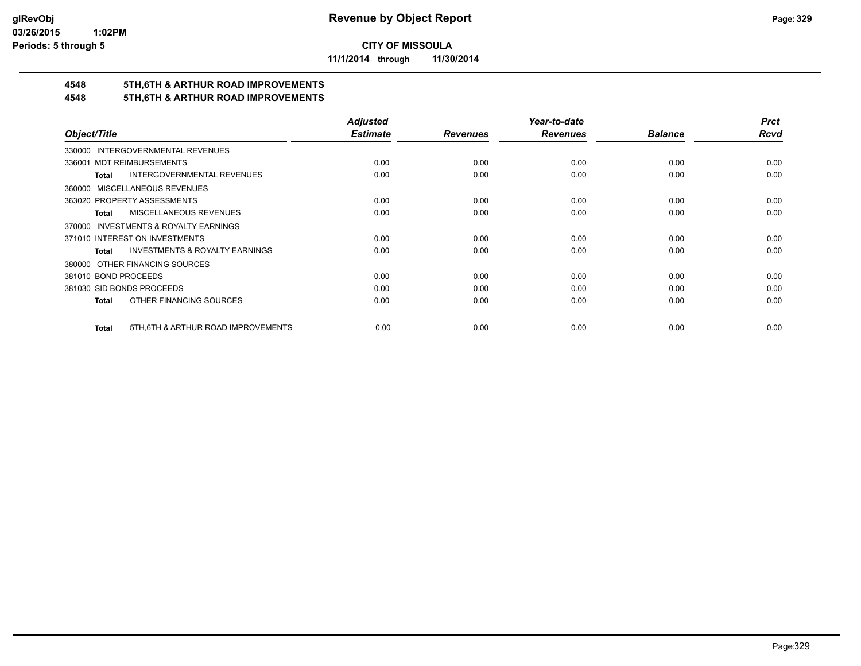**11/1/2014 through 11/30/2014**

# **4548 5TH,6TH & ARTHUR ROAD IMPROVEMENTS**

## **4548 5TH,6TH & ARTHUR ROAD IMPROVEMENTS**

|                                                     | <b>Adjusted</b> |                 | Year-to-date    |                | <b>Prct</b> |
|-----------------------------------------------------|-----------------|-----------------|-----------------|----------------|-------------|
| Object/Title                                        | <b>Estimate</b> | <b>Revenues</b> | <b>Revenues</b> | <b>Balance</b> | <b>Rcvd</b> |
| 330000 INTERGOVERNMENTAL REVENUES                   |                 |                 |                 |                |             |
| <b>MDT REIMBURSEMENTS</b><br>336001                 | 0.00            | 0.00            | 0.00            | 0.00           | 0.00        |
| <b>INTERGOVERNMENTAL REVENUES</b><br>Total          | 0.00            | 0.00            | 0.00            | 0.00           | 0.00        |
| 360000 MISCELLANEOUS REVENUES                       |                 |                 |                 |                |             |
| 363020 PROPERTY ASSESSMENTS                         | 0.00            | 0.00            | 0.00            | 0.00           | 0.00        |
| <b>MISCELLANEOUS REVENUES</b><br>Total              | 0.00            | 0.00            | 0.00            | 0.00           | 0.00        |
| 370000 INVESTMENTS & ROYALTY EARNINGS               |                 |                 |                 |                |             |
| 371010 INTEREST ON INVESTMENTS                      | 0.00            | 0.00            | 0.00            | 0.00           | 0.00        |
| <b>INVESTMENTS &amp; ROYALTY EARNINGS</b><br>Total  | 0.00            | 0.00            | 0.00            | 0.00           | 0.00        |
| 380000 OTHER FINANCING SOURCES                      |                 |                 |                 |                |             |
| 381010 BOND PROCEEDS                                | 0.00            | 0.00            | 0.00            | 0.00           | 0.00        |
| 381030 SID BONDS PROCEEDS                           | 0.00            | 0.00            | 0.00            | 0.00           | 0.00        |
| OTHER FINANCING SOURCES<br>Total                    | 0.00            | 0.00            | 0.00            | 0.00           | 0.00        |
|                                                     |                 |                 |                 |                |             |
| 5TH, 6TH & ARTHUR ROAD IMPROVEMENTS<br><b>Total</b> | 0.00            | 0.00            | 0.00            | 0.00           | 0.00        |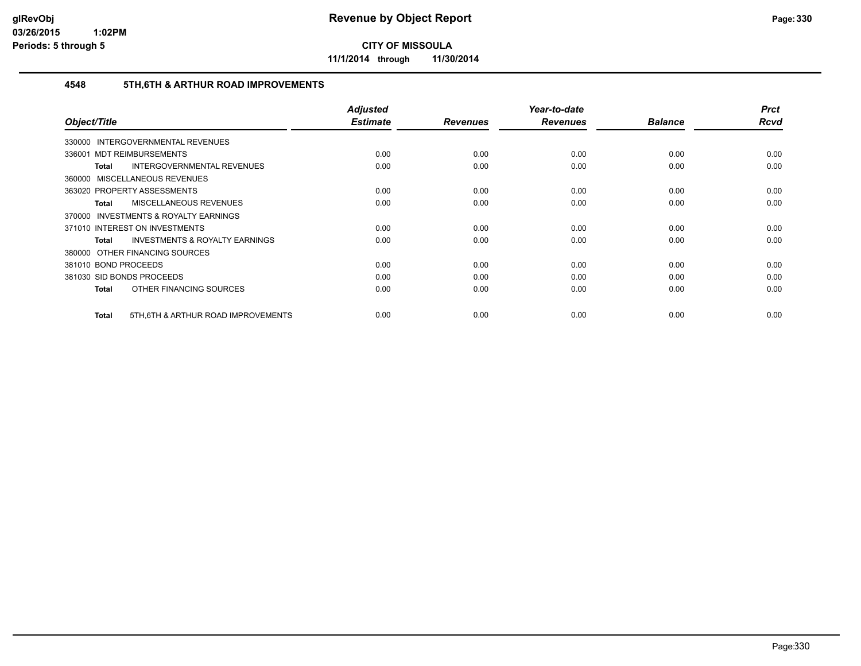**11/1/2014 through 11/30/2014**

#### **4548 5TH,6TH & ARTHUR ROAD IMPROVEMENTS**

| Object/Title                                              | <b>Adjusted</b><br><b>Estimate</b> | <b>Revenues</b> | Year-to-date<br><b>Revenues</b> | <b>Balance</b> | <b>Prct</b><br><b>Rcvd</b> |
|-----------------------------------------------------------|------------------------------------|-----------------|---------------------------------|----------------|----------------------------|
|                                                           |                                    |                 |                                 |                |                            |
| <b>INTERGOVERNMENTAL REVENUES</b><br>330000               |                                    |                 |                                 |                |                            |
| 336001 MDT REIMBURSEMENTS                                 | 0.00                               | 0.00            | 0.00                            | 0.00           | 0.00                       |
| INTERGOVERNMENTAL REVENUES<br><b>Total</b>                | 0.00                               | 0.00            | 0.00                            | 0.00           | 0.00                       |
| 360000 MISCELLANEOUS REVENUES                             |                                    |                 |                                 |                |                            |
| 363020 PROPERTY ASSESSMENTS                               | 0.00                               | 0.00            | 0.00                            | 0.00           | 0.00                       |
| <b>MISCELLANEOUS REVENUES</b><br><b>Total</b>             | 0.00                               | 0.00            | 0.00                            | 0.00           | 0.00                       |
| 370000 INVESTMENTS & ROYALTY EARNINGS                     |                                    |                 |                                 |                |                            |
| 371010 INTEREST ON INVESTMENTS                            | 0.00                               | 0.00            | 0.00                            | 0.00           | 0.00                       |
| <b>INVESTMENTS &amp; ROYALTY EARNINGS</b><br><b>Total</b> | 0.00                               | 0.00            | 0.00                            | 0.00           | 0.00                       |
| 380000 OTHER FINANCING SOURCES                            |                                    |                 |                                 |                |                            |
| 381010 BOND PROCEEDS                                      | 0.00                               | 0.00            | 0.00                            | 0.00           | 0.00                       |
| 381030 SID BONDS PROCEEDS                                 | 0.00                               | 0.00            | 0.00                            | 0.00           | 0.00                       |
| OTHER FINANCING SOURCES<br><b>Total</b>                   | 0.00                               | 0.00            | 0.00                            | 0.00           | 0.00                       |
|                                                           |                                    |                 |                                 |                |                            |
| 5TH, 6TH & ARTHUR ROAD IMPROVEMENTS<br>Total              | 0.00                               | 0.00            | 0.00                            | 0.00           | 0.00                       |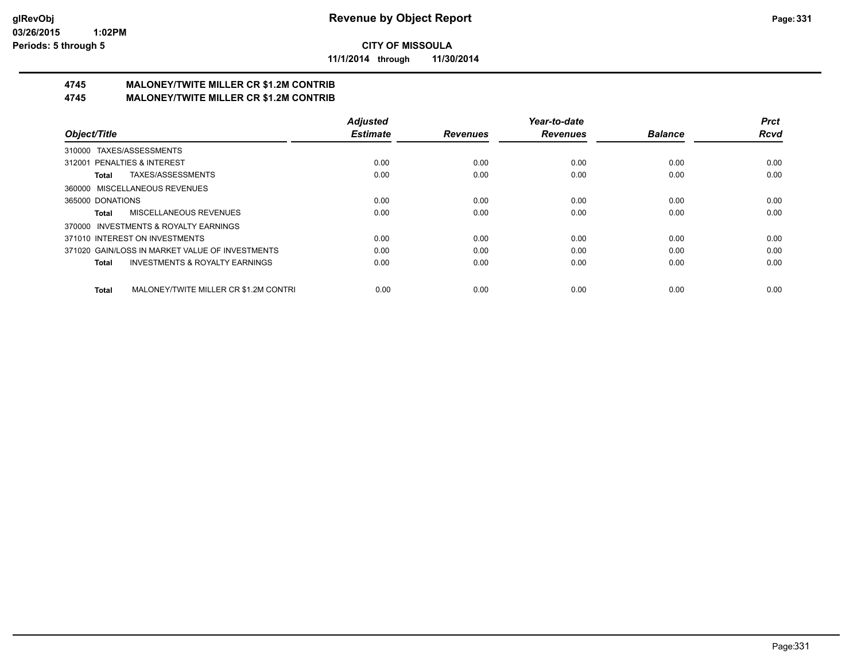*Prct Rcvd*

### **CITY OF MISSOULA**

**11/1/2014 through 11/30/2014**

#### **4745 MALONEY/TWITE MILLER CR \$1.2M CONTRIB 4745 MALONEY/TWITE MILLER CR \$1.2M CONTRIB**

|                                                     | <b>Adjusted</b> |                 | Year-to-date    |                | <b>Prct</b> |
|-----------------------------------------------------|-----------------|-----------------|-----------------|----------------|-------------|
| Object/Title                                        | <b>Estimate</b> | <b>Revenues</b> | <b>Revenues</b> | <b>Balance</b> | Rcva        |
| TAXES/ASSESSMENTS<br>310000                         |                 |                 |                 |                |             |
| <b>PENALTIES &amp; INTEREST</b><br>312001           | 0.00            | 0.00            | 0.00            | 0.00           | 0.00        |
| TAXES/ASSESSMENTS<br>Total                          | 0.00            | 0.00            | 0.00            | 0.00           | 0.00        |
| MISCELLANEOUS REVENUES<br>360000                    |                 |                 |                 |                |             |
| 365000 DONATIONS                                    | 0.00            | 0.00            | 0.00            | 0.00           | 0.00        |
| <b>MISCELLANEOUS REVENUES</b><br>Total              | 0.00            | 0.00            | 0.00            | 0.00           | 0.00        |
| <b>INVESTMENTS &amp; ROYALTY EARNINGS</b><br>370000 |                 |                 |                 |                |             |
| 371010 INTEREST ON INVESTMENTS                      | 0.00            | 0.00            | 0.00            | 0.00           | 0.00        |
| 371020 GAIN/LOSS IN MARKET VALUE OF INVESTMENTS     | 0.00            | 0.00            | 0.00            | 0.00           | 0.00        |
| <b>INVESTMENTS &amp; ROYALTY EARNINGS</b><br>Total  | 0.00            | 0.00            | 0.00            | 0.00           | 0.00        |
|                                                     |                 |                 |                 |                |             |
| MALONEY/TWITE MILLER CR \$1.2M CONTRI<br>Total      | 0.00            | 0.00            | 0.00            | 0.00           | 0.00        |
|                                                     |                 |                 |                 |                |             |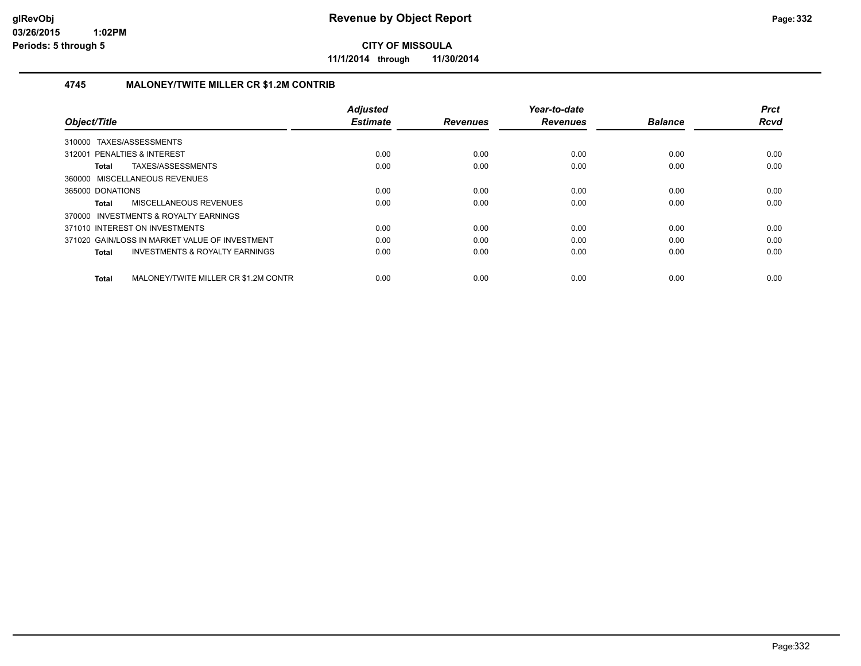**11/1/2014 through 11/30/2014**

#### **4745 MALONEY/TWITE MILLER CR \$1.2M CONTRIB**

| Object/Title                                         | <b>Adjusted</b><br><b>Estimate</b> | <b>Revenues</b> | Year-to-date<br><b>Revenues</b> | <b>Balance</b> | <b>Prct</b><br><b>Rcvd</b> |
|------------------------------------------------------|------------------------------------|-----------------|---------------------------------|----------------|----------------------------|
|                                                      |                                    |                 |                                 |                |                            |
| TAXES/ASSESSMENTS<br>310000                          |                                    |                 |                                 |                |                            |
| 312001 PENALTIES & INTEREST                          | 0.00                               | 0.00            | 0.00                            | 0.00           | 0.00                       |
| TAXES/ASSESSMENTS<br><b>Total</b>                    | 0.00                               | 0.00            | 0.00                            | 0.00           | 0.00                       |
| 360000 MISCELLANEOUS REVENUES                        |                                    |                 |                                 |                |                            |
| 365000 DONATIONS                                     | 0.00                               | 0.00            | 0.00                            | 0.00           | 0.00                       |
| MISCELLANEOUS REVENUES<br>Total                      | 0.00                               | 0.00            | 0.00                            | 0.00           | 0.00                       |
| 370000 INVESTMENTS & ROYALTY EARNINGS                |                                    |                 |                                 |                |                            |
| 371010 INTEREST ON INVESTMENTS                       | 0.00                               | 0.00            | 0.00                            | 0.00           | 0.00                       |
| 371020 GAIN/LOSS IN MARKET VALUE OF INVESTMENT       | 0.00                               | 0.00            | 0.00                            | 0.00           | 0.00                       |
| <b>INVESTMENTS &amp; ROYALTY EARNINGS</b><br>Total   | 0.00                               | 0.00            | 0.00                            | 0.00           | 0.00                       |
|                                                      |                                    |                 |                                 |                |                            |
| MALONEY/TWITE MILLER CR \$1.2M CONTR<br><b>Total</b> | 0.00                               | 0.00            | 0.00                            | 0.00           | 0.00                       |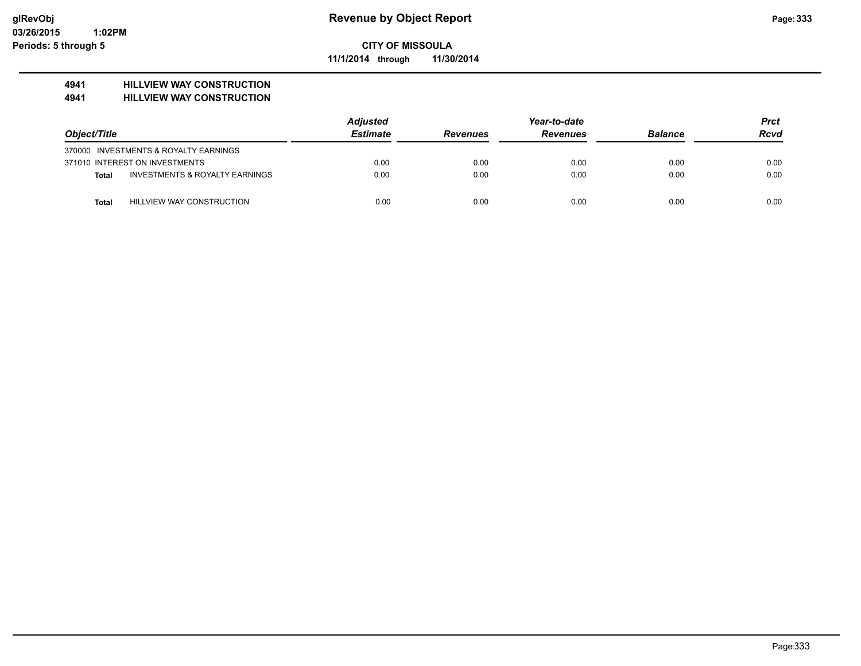**11/1/2014 through 11/30/2014**

## **4941 HILLVIEW WAY CONSTRUCTION**

#### **4941 HILLVIEW WAY CONSTRUCTION**

|              |                                       | <b>Adjusted</b> |                 | <b>Prct</b>     |                |             |
|--------------|---------------------------------------|-----------------|-----------------|-----------------|----------------|-------------|
| Object/Title |                                       | <b>Estimate</b> | <b>Revenues</b> | <b>Revenues</b> | <b>Balance</b> | <b>Rcvd</b> |
|              | 370000 INVESTMENTS & ROYALTY EARNINGS |                 |                 |                 |                |             |
|              | 371010 INTEREST ON INVESTMENTS        | 0.00            | 0.00            | 0.00            | 0.00           | 0.00        |
| Total        | INVESTMENTS & ROYALTY EARNINGS        | 0.00            | 0.00            | 0.00            | 0.00           | 0.00        |
| <b>Total</b> | HILLVIEW WAY CONSTRUCTION             | 0.00            | 0.00            | 0.00            | 0.00           | 0.00        |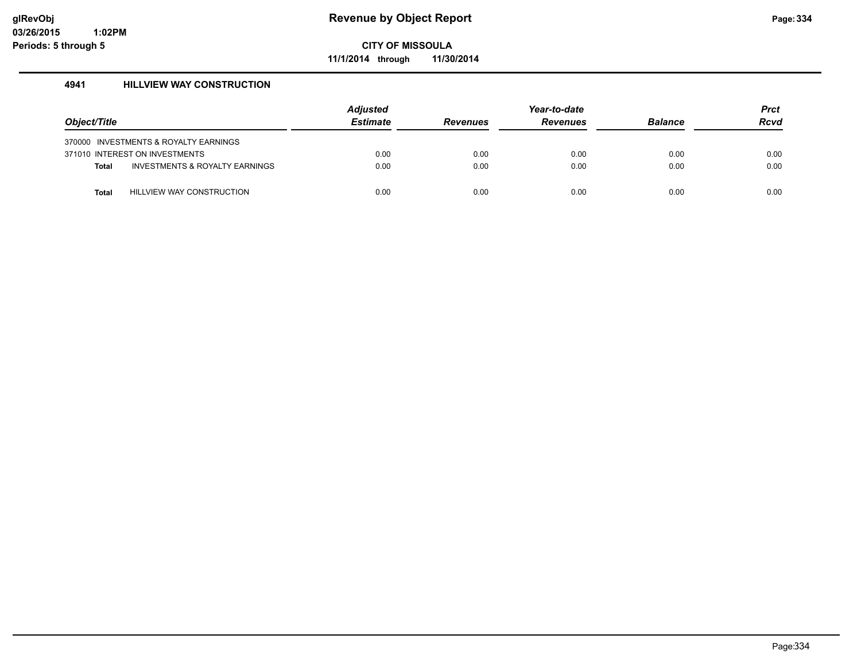**11/1/2014 through 11/30/2014**

#### **4941 HILLVIEW WAY CONSTRUCTION**

|              |                                       | <b>Adjusted</b> |                 | Year-to-date    |                | <b>Prct</b> |
|--------------|---------------------------------------|-----------------|-----------------|-----------------|----------------|-------------|
| Object/Title |                                       | <b>Estimate</b> | <b>Revenues</b> | <b>Revenues</b> | <b>Balance</b> | <b>Rcvd</b> |
|              | 370000 INVESTMENTS & ROYALTY EARNINGS |                 |                 |                 |                |             |
|              | 371010 INTEREST ON INVESTMENTS        | 0.00            | 0.00            | 0.00            | 0.00           | 0.00        |
| <b>Total</b> | INVESTMENTS & ROYALTY EARNINGS        | 0.00            | 0.00            | 0.00            | 0.00           | 0.00        |
|              |                                       |                 |                 |                 |                |             |
| Total        | HILLVIEW WAY CONSTRUCTION             | 0.00            | 0.00            | 0.00            | 0.00           | 0.00        |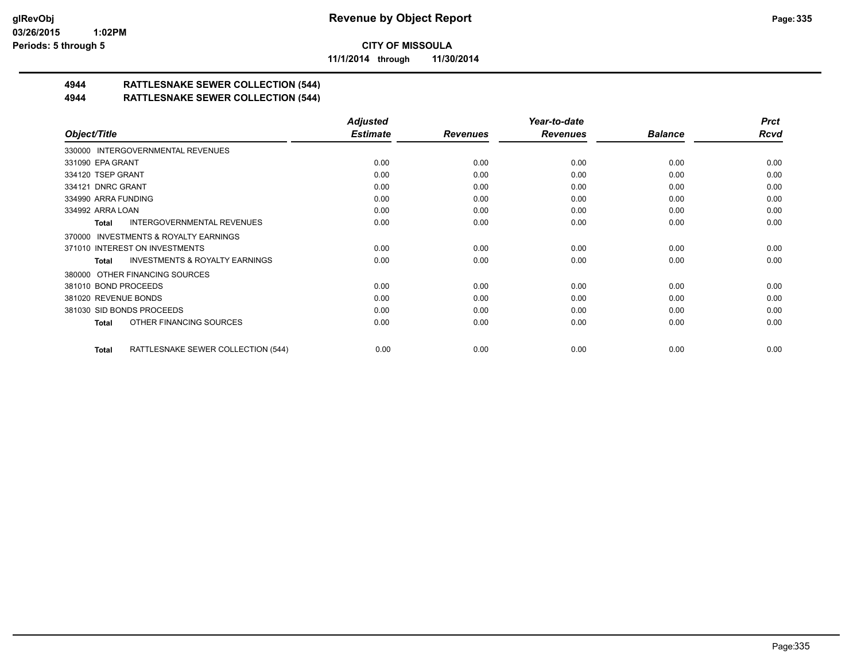**11/1/2014 through 11/30/2014**

# **4944 RATTLESNAKE SEWER COLLECTION (544)**

### **4944 RATTLESNAKE SEWER COLLECTION (544)**

|                                                    | <b>Adjusted</b> |                 | Year-to-date    |                | <b>Prct</b> |
|----------------------------------------------------|-----------------|-----------------|-----------------|----------------|-------------|
| Object/Title                                       | <b>Estimate</b> | <b>Revenues</b> | <b>Revenues</b> | <b>Balance</b> | <b>Rcvd</b> |
| 330000 INTERGOVERNMENTAL REVENUES                  |                 |                 |                 |                |             |
| 331090 EPA GRANT                                   | 0.00            | 0.00            | 0.00            | 0.00           | 0.00        |
| 334120 TSEP GRANT                                  | 0.00            | 0.00            | 0.00            | 0.00           | 0.00        |
| 334121 DNRC GRANT                                  | 0.00            | 0.00            | 0.00            | 0.00           | 0.00        |
| 334990 ARRA FUNDING                                | 0.00            | 0.00            | 0.00            | 0.00           | 0.00        |
| 334992 ARRA LOAN                                   | 0.00            | 0.00            | 0.00            | 0.00           | 0.00        |
| <b>INTERGOVERNMENTAL REVENUES</b><br>Total         | 0.00            | 0.00            | 0.00            | 0.00           | 0.00        |
| 370000 INVESTMENTS & ROYALTY EARNINGS              |                 |                 |                 |                |             |
| 371010 INTEREST ON INVESTMENTS                     | 0.00            | 0.00            | 0.00            | 0.00           | 0.00        |
| <b>INVESTMENTS &amp; ROYALTY EARNINGS</b><br>Total | 0.00            | 0.00            | 0.00            | 0.00           | 0.00        |
| 380000 OTHER FINANCING SOURCES                     |                 |                 |                 |                |             |
| 381010 BOND PROCEEDS                               | 0.00            | 0.00            | 0.00            | 0.00           | 0.00        |
| 381020 REVENUE BONDS                               | 0.00            | 0.00            | 0.00            | 0.00           | 0.00        |
| 381030 SID BONDS PROCEEDS                          | 0.00            | 0.00            | 0.00            | 0.00           | 0.00        |
| OTHER FINANCING SOURCES<br>Total                   | 0.00            | 0.00            | 0.00            | 0.00           | 0.00        |
| RATTLESNAKE SEWER COLLECTION (544)<br>Total        | 0.00            | 0.00            | 0.00            | 0.00           | 0.00        |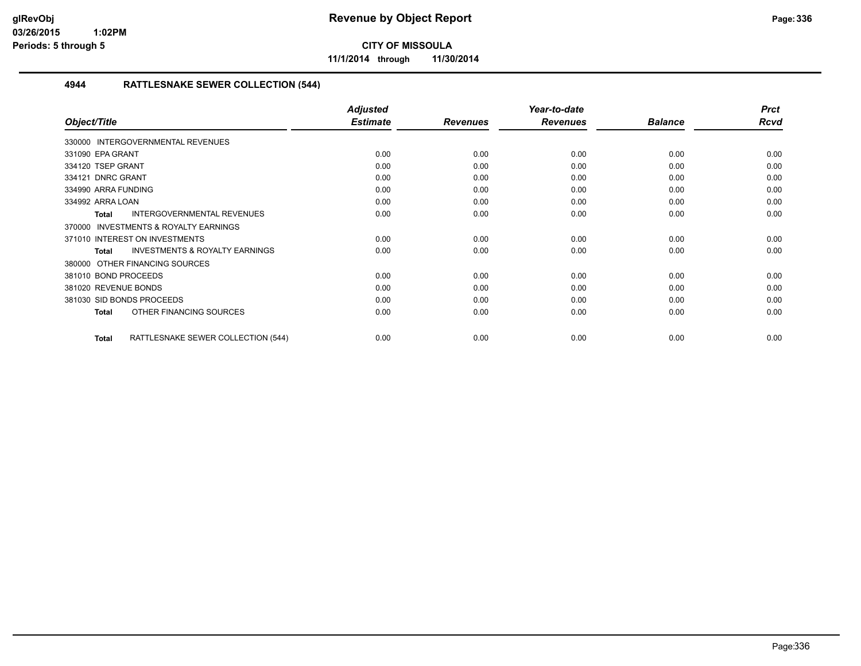**11/1/2014 through 11/30/2014**

#### **4944 RATTLESNAKE SEWER COLLECTION (544)**

|                                                           | <b>Adjusted</b> |                 | Year-to-date    |                | <b>Prct</b> |
|-----------------------------------------------------------|-----------------|-----------------|-----------------|----------------|-------------|
| Object/Title                                              | <b>Estimate</b> | <b>Revenues</b> | <b>Revenues</b> | <b>Balance</b> | <b>Rcvd</b> |
| 330000 INTERGOVERNMENTAL REVENUES                         |                 |                 |                 |                |             |
| 331090 EPA GRANT                                          | 0.00            | 0.00            | 0.00            | 0.00           | 0.00        |
| 334120 TSEP GRANT                                         | 0.00            | 0.00            | 0.00            | 0.00           | 0.00        |
| 334121 DNRC GRANT                                         | 0.00            | 0.00            | 0.00            | 0.00           | 0.00        |
| 334990 ARRA FUNDING                                       | 0.00            | 0.00            | 0.00            | 0.00           | 0.00        |
| 334992 ARRA LOAN                                          | 0.00            | 0.00            | 0.00            | 0.00           | 0.00        |
| <b>INTERGOVERNMENTAL REVENUES</b><br><b>Total</b>         | 0.00            | 0.00            | 0.00            | 0.00           | 0.00        |
| <b>INVESTMENTS &amp; ROYALTY EARNINGS</b><br>370000       |                 |                 |                 |                |             |
| 371010 INTEREST ON INVESTMENTS                            | 0.00            | 0.00            | 0.00            | 0.00           | 0.00        |
| <b>INVESTMENTS &amp; ROYALTY EARNINGS</b><br><b>Total</b> | 0.00            | 0.00            | 0.00            | 0.00           | 0.00        |
| OTHER FINANCING SOURCES<br>380000                         |                 |                 |                 |                |             |
| 381010 BOND PROCEEDS                                      | 0.00            | 0.00            | 0.00            | 0.00           | 0.00        |
| 381020 REVENUE BONDS                                      | 0.00            | 0.00            | 0.00            | 0.00           | 0.00        |
| 381030 SID BONDS PROCEEDS                                 | 0.00            | 0.00            | 0.00            | 0.00           | 0.00        |
| OTHER FINANCING SOURCES<br><b>Total</b>                   | 0.00            | 0.00            | 0.00            | 0.00           | 0.00        |
|                                                           |                 |                 |                 |                |             |
| RATTLESNAKE SEWER COLLECTION (544)<br><b>Total</b>        | 0.00            | 0.00            | 0.00            | 0.00           | 0.00        |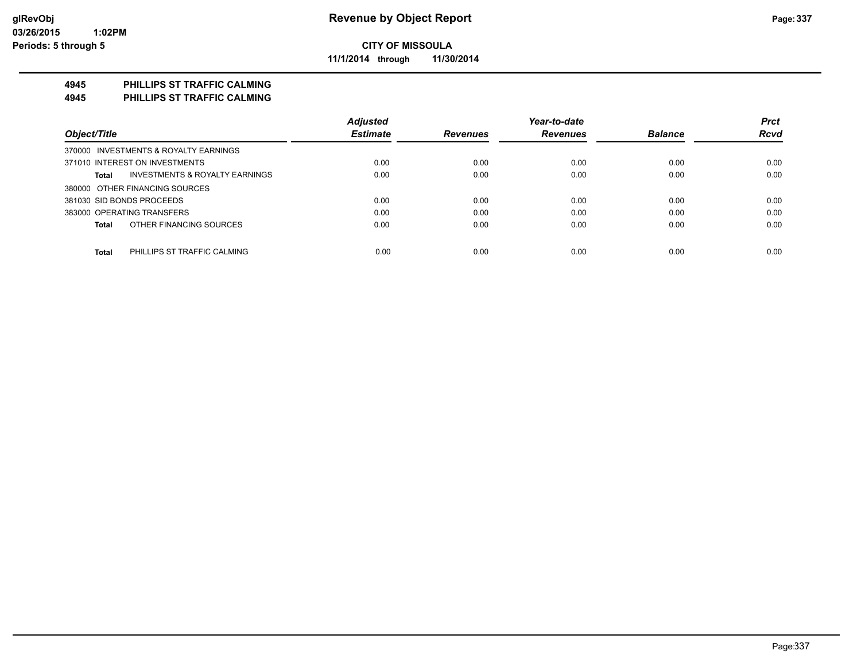**11/1/2014 through 11/30/2014**

#### **4945 PHILLIPS ST TRAFFIC CALMING**

**4945 PHILLIPS ST TRAFFIC CALMING**

|                                                    | <b>Adjusted</b> |                 | Year-to-date    |                | <b>Prct</b> |
|----------------------------------------------------|-----------------|-----------------|-----------------|----------------|-------------|
| Object/Title                                       | <b>Estimate</b> | <b>Revenues</b> | <b>Revenues</b> | <b>Balance</b> | <b>Rcvd</b> |
| 370000 INVESTMENTS & ROYALTY EARNINGS              |                 |                 |                 |                |             |
| 371010 INTEREST ON INVESTMENTS                     | 0.00            | 0.00            | 0.00            | 0.00           | 0.00        |
| <b>INVESTMENTS &amp; ROYALTY EARNINGS</b><br>Total | 0.00            | 0.00            | 0.00            | 0.00           | 0.00        |
| 380000 OTHER FINANCING SOURCES                     |                 |                 |                 |                |             |
| 381030 SID BONDS PROCEEDS                          | 0.00            | 0.00            | 0.00            | 0.00           | 0.00        |
| 383000 OPERATING TRANSFERS                         | 0.00            | 0.00            | 0.00            | 0.00           | 0.00        |
| OTHER FINANCING SOURCES<br>Total                   | 0.00            | 0.00            | 0.00            | 0.00           | 0.00        |
|                                                    |                 |                 |                 |                |             |
| PHILLIPS ST TRAFFIC CALMING<br><b>Total</b>        | 0.00            | 0.00            | 0.00            | 0.00           | 0.00        |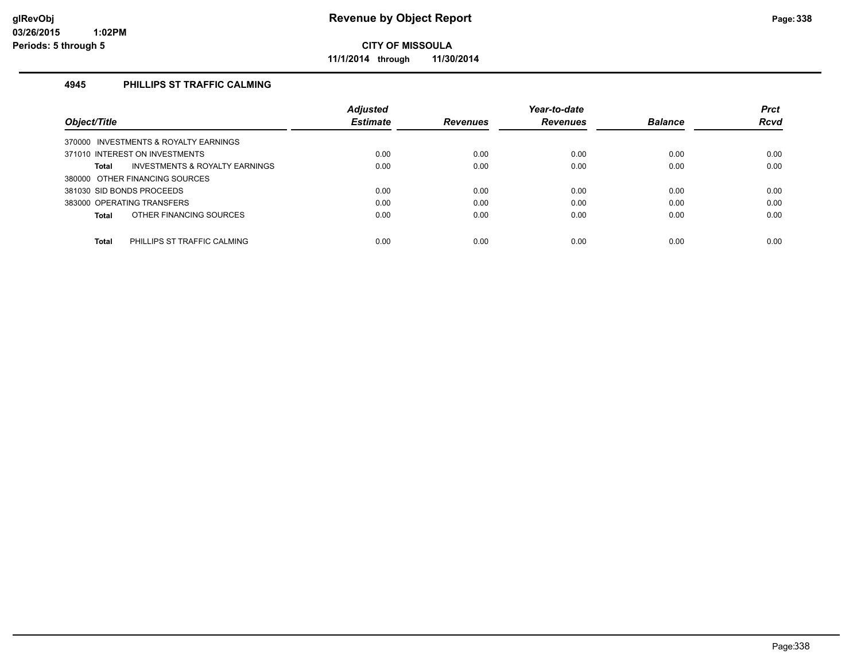**11/1/2014 through 11/30/2014**

#### **4945 PHILLIPS ST TRAFFIC CALMING**

| Object/Title                                | <b>Adjusted</b><br><b>Estimate</b> | <b>Revenues</b> | Year-to-date<br><b>Revenues</b> | <b>Balance</b> | <b>Prct</b><br><b>Rcvd</b> |
|---------------------------------------------|------------------------------------|-----------------|---------------------------------|----------------|----------------------------|
| 370000 INVESTMENTS & ROYALTY EARNINGS       |                                    |                 |                                 |                |                            |
| 371010 INTEREST ON INVESTMENTS              | 0.00                               | 0.00            | 0.00                            | 0.00           | 0.00                       |
| INVESTMENTS & ROYALTY EARNINGS<br>Total     | 0.00                               | 0.00            | 0.00                            | 0.00           | 0.00                       |
| 380000 OTHER FINANCING SOURCES              |                                    |                 |                                 |                |                            |
| 381030 SID BONDS PROCEEDS                   | 0.00                               | 0.00            | 0.00                            | 0.00           | 0.00                       |
| 383000 OPERATING TRANSFERS                  | 0.00                               | 0.00            | 0.00                            | 0.00           | 0.00                       |
| OTHER FINANCING SOURCES<br>Total            | 0.00                               | 0.00            | 0.00                            | 0.00           | 0.00                       |
|                                             |                                    |                 |                                 |                |                            |
| <b>Total</b><br>PHILLIPS ST TRAFFIC CALMING | 0.00                               | 0.00            | 0.00                            | 0.00           | 0.00                       |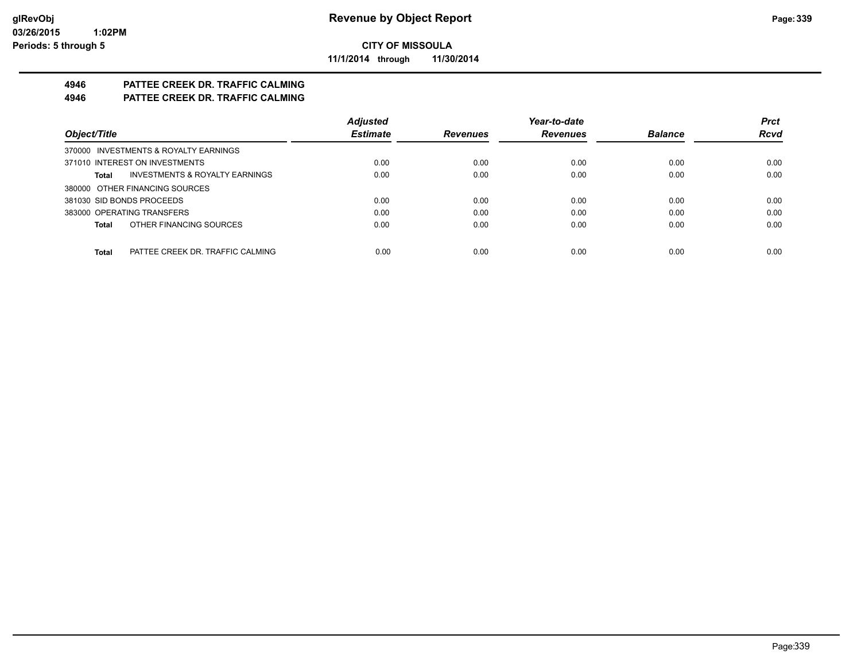**11/1/2014 through 11/30/2014**

# **4946 PATTEE CREEK DR. TRAFFIC CALMING**

**4946 PATTEE CREEK DR. TRAFFIC CALMING**

|                                           | <b>Adjusted</b> |                 | Year-to-date    |                | <b>Prct</b> |
|-------------------------------------------|-----------------|-----------------|-----------------|----------------|-------------|
| Object/Title                              | <b>Estimate</b> | <b>Revenues</b> | <b>Revenues</b> | <b>Balance</b> | <b>Rcvd</b> |
| 370000 INVESTMENTS & ROYALTY EARNINGS     |                 |                 |                 |                |             |
| 371010 INTEREST ON INVESTMENTS            | 0.00            | 0.00            | 0.00            | 0.00           | 0.00        |
| INVESTMENTS & ROYALTY EARNINGS<br>Total   | 0.00            | 0.00            | 0.00            | 0.00           | 0.00        |
| 380000 OTHER FINANCING SOURCES            |                 |                 |                 |                |             |
| 381030 SID BONDS PROCEEDS                 | 0.00            | 0.00            | 0.00            | 0.00           | 0.00        |
| 383000 OPERATING TRANSFERS                | 0.00            | 0.00            | 0.00            | 0.00           | 0.00        |
| OTHER FINANCING SOURCES<br>Total          | 0.00            | 0.00            | 0.00            | 0.00           | 0.00        |
|                                           |                 |                 |                 |                |             |
| PATTEE CREEK DR. TRAFFIC CALMING<br>Total | 0.00            | 0.00            | 0.00            | 0.00           | 0.00        |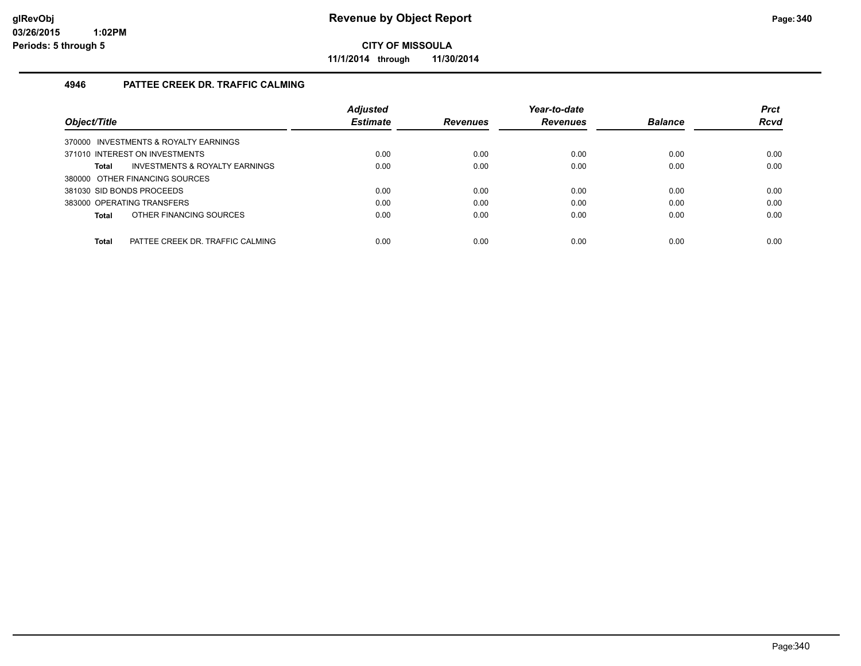**11/1/2014 through 11/30/2014**

#### **4946 PATTEE CREEK DR. TRAFFIC CALMING**

|                                                    | <b>Adjusted</b> |                 | Year-to-date    |                | <b>Prct</b> |
|----------------------------------------------------|-----------------|-----------------|-----------------|----------------|-------------|
| Object/Title                                       | <b>Estimate</b> | <b>Revenues</b> | <b>Revenues</b> | <b>Balance</b> | <b>Rcvd</b> |
| 370000 INVESTMENTS & ROYALTY EARNINGS              |                 |                 |                 |                |             |
| 371010 INTEREST ON INVESTMENTS                     | 0.00            | 0.00            | 0.00            | 0.00           | 0.00        |
| <b>INVESTMENTS &amp; ROYALTY EARNINGS</b><br>Total | 0.00            | 0.00            | 0.00            | 0.00           | 0.00        |
| 380000 OTHER FINANCING SOURCES                     |                 |                 |                 |                |             |
| 381030 SID BONDS PROCEEDS                          | 0.00            | 0.00            | 0.00            | 0.00           | 0.00        |
| 383000 OPERATING TRANSFERS                         | 0.00            | 0.00            | 0.00            | 0.00           | 0.00        |
| OTHER FINANCING SOURCES<br>Total                   | 0.00            | 0.00            | 0.00            | 0.00           | 0.00        |
|                                                    |                 |                 |                 |                |             |
| PATTEE CREEK DR. TRAFFIC CALMING<br>Total          | 0.00            | 0.00            | 0.00            | 0.00           | 0.00        |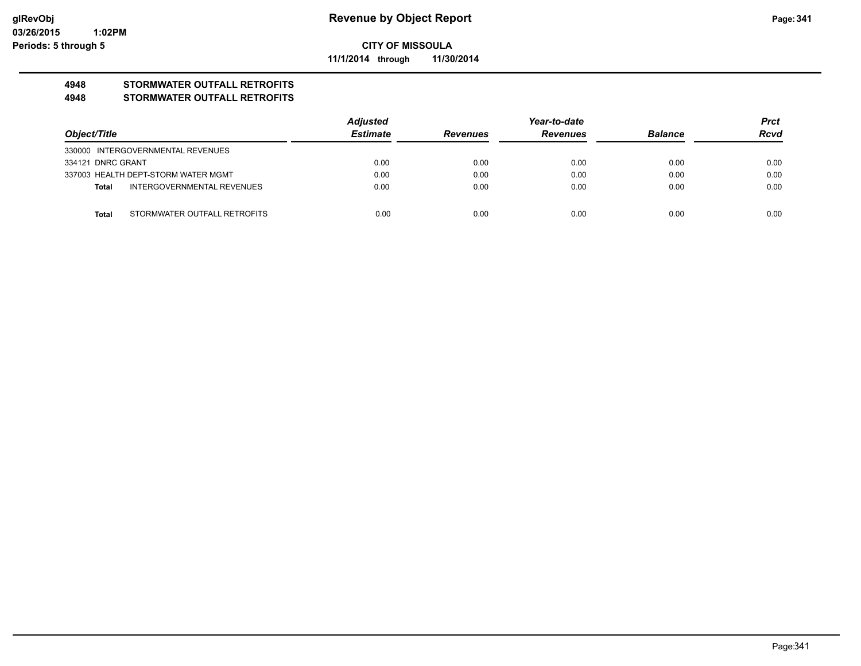**11/1/2014 through 11/30/2014**

# **4948 STORMWATER OUTFALL RETROFITS**

#### **4948 STORMWATER OUTFALL RETROFITS**

|                   |                                     | Adjusted        |                 | Year-to-date    |                |             |
|-------------------|-------------------------------------|-----------------|-----------------|-----------------|----------------|-------------|
| Object/Title      |                                     | <b>Estimate</b> | <b>Revenues</b> | <b>Revenues</b> | <b>Balance</b> | <b>Rcvd</b> |
|                   | 330000 INTERGOVERNMENTAL REVENUES   |                 |                 |                 |                |             |
| 334121 DNRC GRANT |                                     | 0.00            | 0.00            | 0.00            | 0.00           | 0.00        |
|                   | 337003 HEALTH DEPT-STORM WATER MGMT | 0.00            | 0.00            | 0.00            | 0.00           | 0.00        |
| Total             | INTERGOVERNMENTAL REVENUES          | 0.00            | 0.00            | 0.00            | 0.00           | 0.00        |
|                   |                                     |                 |                 |                 |                |             |
| Total             | STORMWATER OUTFALL RETROFITS        | 0.00            | 0.00            | 0.00            | 0.00           | 0.00        |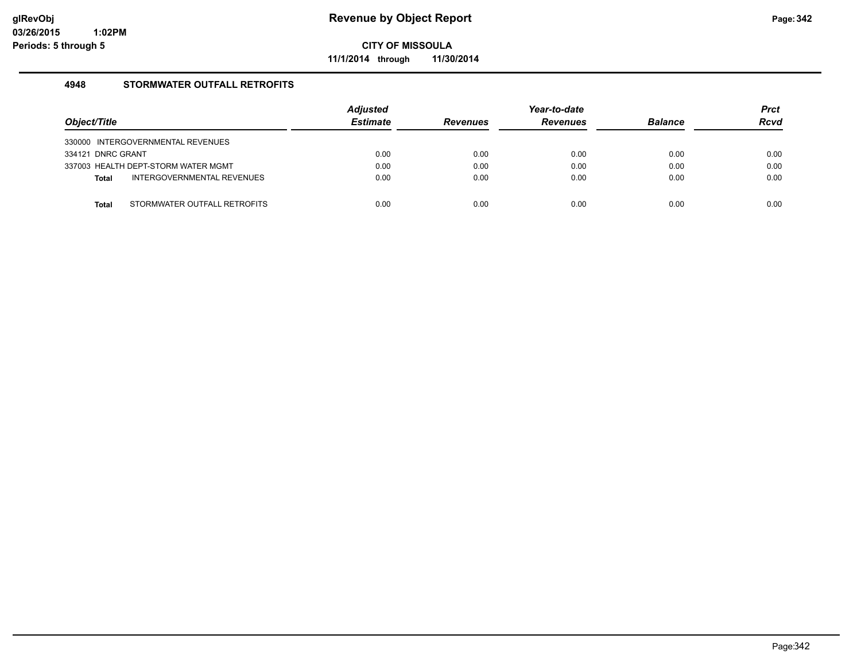**11/1/2014 through 11/30/2014**

#### **4948 STORMWATER OUTFALL RETROFITS**

| Object/Title                               | <b>Adjusted</b><br><b>Estimate</b> | <b>Revenues</b> | Year-to-date<br><b>Revenues</b> | <b>Balance</b> | <b>Prct</b><br><b>Rcvd</b> |
|--------------------------------------------|------------------------------------|-----------------|---------------------------------|----------------|----------------------------|
| 330000 INTERGOVERNMENTAL REVENUES          |                                    |                 |                                 |                |                            |
| 334121 DNRC GRANT                          | 0.00                               | 0.00            | 0.00                            | 0.00           | 0.00                       |
| 337003 HEALTH DEPT-STORM WATER MGMT        | 0.00                               | 0.00            | 0.00                            | 0.00           | 0.00                       |
| INTERGOVERNMENTAL REVENUES<br><b>Total</b> | 0.00                               | 0.00            | 0.00                            | 0.00           | 0.00                       |
|                                            |                                    |                 |                                 |                |                            |
| STORMWATER OUTFALL RETROFITS<br>Total      | 0.00                               | 0.00            | 0.00                            | 0.00           | 0.00                       |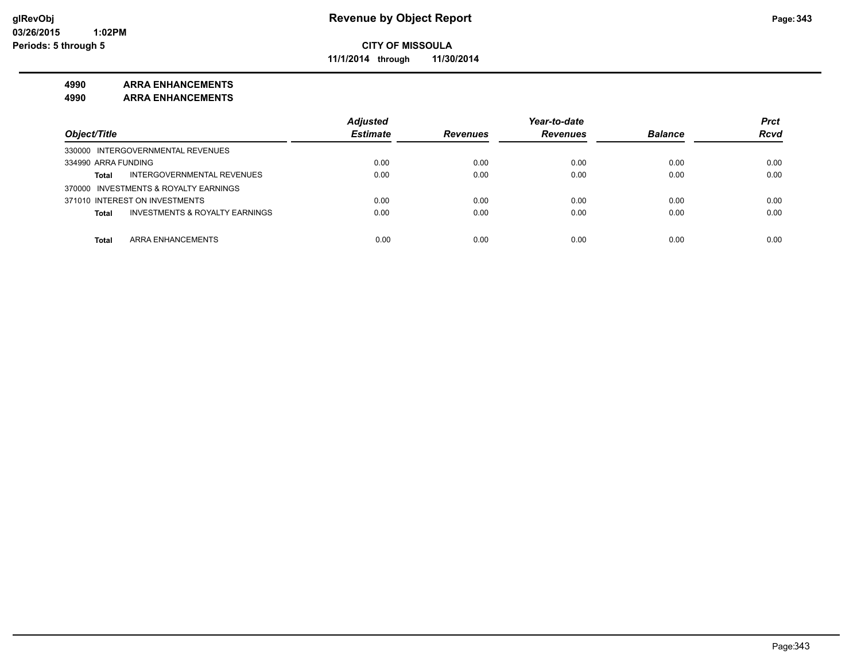**11/1/2014 through 11/30/2014**

#### **4990 ARRA ENHANCEMENTS**

**4990 ARRA ENHANCEMENTS**

|                                                | <b>Adjusted</b> |                 | Year-to-date    |                | <b>Prct</b> |
|------------------------------------------------|-----------------|-----------------|-----------------|----------------|-------------|
| Object/Title                                   | <b>Estimate</b> | <b>Revenues</b> | <b>Revenues</b> | <b>Balance</b> | <b>Rcvd</b> |
| 330000 INTERGOVERNMENTAL REVENUES              |                 |                 |                 |                |             |
| 334990 ARRA FUNDING                            | 0.00            | 0.00            | 0.00            | 0.00           | 0.00        |
| INTERGOVERNMENTAL REVENUES<br><b>Total</b>     | 0.00            | 0.00            | 0.00            | 0.00           | 0.00        |
| 370000 INVESTMENTS & ROYALTY EARNINGS          |                 |                 |                 |                |             |
| 371010 INTEREST ON INVESTMENTS                 | 0.00            | 0.00            | 0.00            | 0.00           | 0.00        |
| INVESTMENTS & ROYALTY EARNINGS<br><b>Total</b> | 0.00            | 0.00            | 0.00            | 0.00           | 0.00        |
|                                                |                 |                 |                 |                |             |
| ARRA ENHANCEMENTS<br><b>Total</b>              | 0.00            | 0.00            | 0.00            | 0.00           | 0.00        |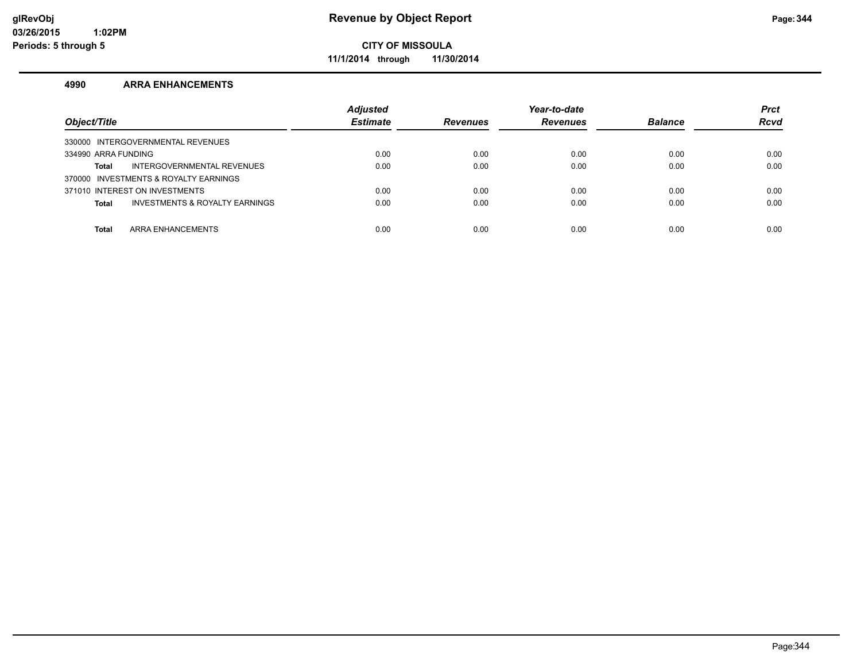**11/1/2014 through 11/30/2014**

#### **4990 ARRA ENHANCEMENTS**

| Object/Title                                   | <b>Adjusted</b><br><b>Estimate</b> | <b>Revenues</b> | Year-to-date<br><b>Revenues</b> | <b>Balance</b> | <b>Prct</b><br><b>Rcvd</b> |
|------------------------------------------------|------------------------------------|-----------------|---------------------------------|----------------|----------------------------|
| 330000 INTERGOVERNMENTAL REVENUES              |                                    |                 |                                 |                |                            |
| 334990 ARRA FUNDING                            | 0.00                               | 0.00            | 0.00                            | 0.00           | 0.00                       |
| INTERGOVERNMENTAL REVENUES<br><b>Total</b>     | 0.00                               | 0.00            | 0.00                            | 0.00           | 0.00                       |
| 370000 INVESTMENTS & ROYALTY EARNINGS          |                                    |                 |                                 |                |                            |
| 371010 INTEREST ON INVESTMENTS                 | 0.00                               | 0.00            | 0.00                            | 0.00           | 0.00                       |
| INVESTMENTS & ROYALTY EARNINGS<br><b>Total</b> | 0.00                               | 0.00            | 0.00                            | 0.00           | 0.00                       |
|                                                |                                    |                 |                                 |                |                            |
| <b>ARRA ENHANCEMENTS</b><br><b>Total</b>       | 0.00                               | 0.00            | 0.00                            | 0.00           | 0.00                       |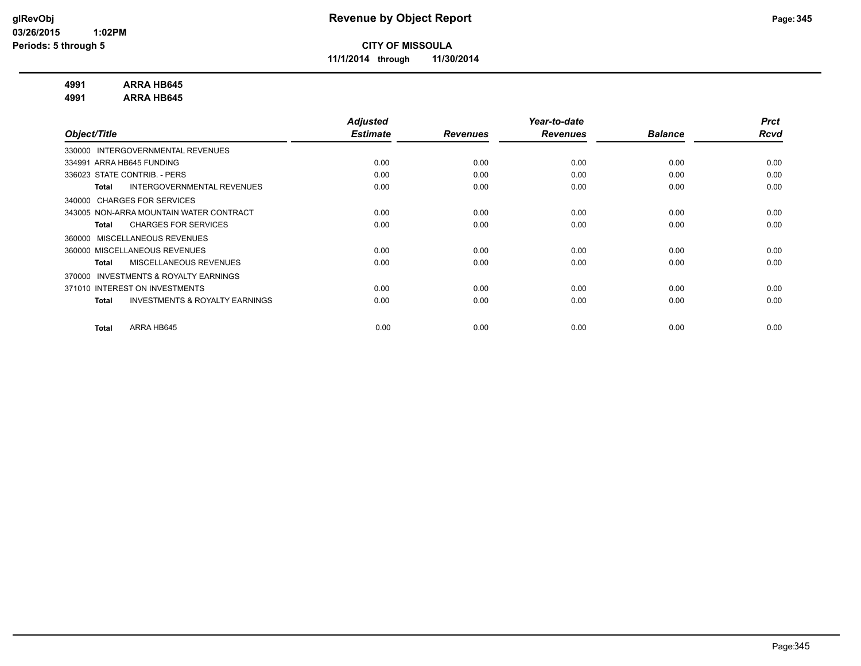**11/1/2014 through 11/30/2014**

#### **4991 ARRA HB645**

**4991 ARRA HB645**

|                                                           | <b>Adjusted</b> |                 | Year-to-date    |                | <b>Prct</b> |
|-----------------------------------------------------------|-----------------|-----------------|-----------------|----------------|-------------|
| Object/Title                                              | <b>Estimate</b> | <b>Revenues</b> | <b>Revenues</b> | <b>Balance</b> | Rcvd        |
| INTERGOVERNMENTAL REVENUES<br>330000                      |                 |                 |                 |                |             |
| 334991 ARRA HB645 FUNDING                                 | 0.00            | 0.00            | 0.00            | 0.00           | 0.00        |
| 336023 STATE CONTRIB. - PERS                              | 0.00            | 0.00            | 0.00            | 0.00           | 0.00        |
| INTERGOVERNMENTAL REVENUES<br><b>Total</b>                | 0.00            | 0.00            | 0.00            | 0.00           | 0.00        |
| 340000 CHARGES FOR SERVICES                               |                 |                 |                 |                |             |
| 343005 NON-ARRA MOUNTAIN WATER CONTRACT                   | 0.00            | 0.00            | 0.00            | 0.00           | 0.00        |
| <b>CHARGES FOR SERVICES</b><br><b>Total</b>               | 0.00            | 0.00            | 0.00            | 0.00           | 0.00        |
| MISCELLANEOUS REVENUES<br>360000                          |                 |                 |                 |                |             |
| 360000 MISCELLANEOUS REVENUES                             | 0.00            | 0.00            | 0.00            | 0.00           | 0.00        |
| MISCELLANEOUS REVENUES<br><b>Total</b>                    | 0.00            | 0.00            | 0.00            | 0.00           | 0.00        |
| <b>INVESTMENTS &amp; ROYALTY EARNINGS</b><br>370000       |                 |                 |                 |                |             |
| 371010 INTEREST ON INVESTMENTS                            | 0.00            | 0.00            | 0.00            | 0.00           | 0.00        |
| <b>INVESTMENTS &amp; ROYALTY EARNINGS</b><br><b>Total</b> | 0.00            | 0.00            | 0.00            | 0.00           | 0.00        |
|                                                           |                 |                 |                 |                |             |
| ARRA HB645<br><b>Total</b>                                | 0.00            | 0.00            | 0.00            | 0.00           | 0.00        |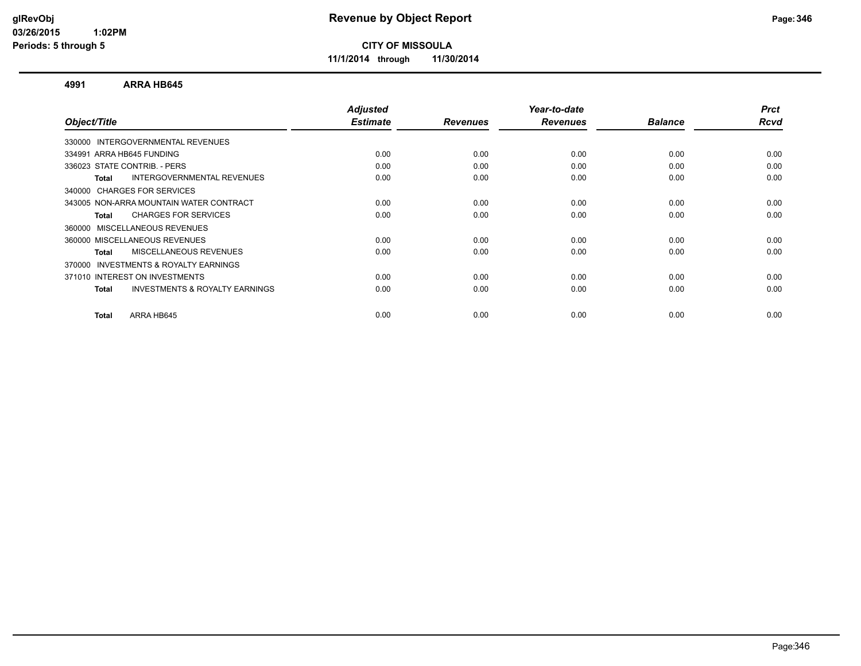**11/1/2014 through 11/30/2014**

#### **4991 ARRA HB645**

|      |                         |                         | <b>Balance</b>          | <b>Prct</b><br>Rcvd |
|------|-------------------------|-------------------------|-------------------------|---------------------|
|      |                         |                         |                         |                     |
|      |                         |                         |                         |                     |
| 0.00 | 0.00                    | 0.00                    | 0.00                    | 0.00                |
| 0.00 | 0.00                    | 0.00                    | 0.00                    | 0.00                |
| 0.00 | 0.00                    | 0.00                    | 0.00                    | 0.00                |
|      |                         |                         |                         |                     |
| 0.00 | 0.00                    | 0.00                    | 0.00                    | 0.00                |
| 0.00 | 0.00                    | 0.00                    | 0.00                    | 0.00                |
|      |                         |                         |                         |                     |
| 0.00 | 0.00                    | 0.00                    | 0.00                    | 0.00                |
| 0.00 | 0.00                    | 0.00                    | 0.00                    | 0.00                |
|      |                         |                         |                         |                     |
| 0.00 | 0.00                    | 0.00                    | 0.00                    | 0.00                |
| 0.00 | 0.00                    | 0.00                    | 0.00                    | 0.00                |
|      |                         |                         |                         | 0.00                |
|      | <b>Estimate</b><br>0.00 | <b>Revenues</b><br>0.00 | <b>Revenues</b><br>0.00 | 0.00                |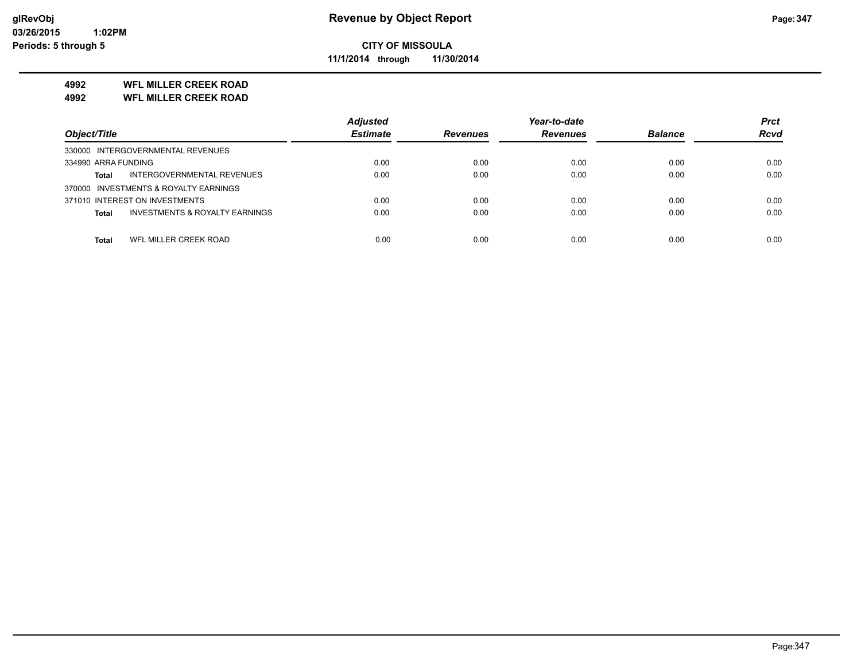**11/1/2014 through 11/30/2014**

#### **4992 WFL MILLER CREEK ROAD**

**4992 WFL MILLER CREEK ROAD**

|                                                           | <b>Adjusted</b> |                 | Year-to-date    |                | <b>Prct</b> |
|-----------------------------------------------------------|-----------------|-----------------|-----------------|----------------|-------------|
| Object/Title                                              | <b>Estimate</b> | <b>Revenues</b> | <b>Revenues</b> | <b>Balance</b> | <b>Rcvd</b> |
| 330000 INTERGOVERNMENTAL REVENUES                         |                 |                 |                 |                |             |
| 334990 ARRA FUNDING                                       | 0.00            | 0.00            | 0.00            | 0.00           | 0.00        |
| INTERGOVERNMENTAL REVENUES<br><b>Total</b>                | 0.00            | 0.00            | 0.00            | 0.00           | 0.00        |
| 370000 INVESTMENTS & ROYALTY EARNINGS                     |                 |                 |                 |                |             |
| 371010 INTEREST ON INVESTMENTS                            | 0.00            | 0.00            | 0.00            | 0.00           | 0.00        |
| <b>INVESTMENTS &amp; ROYALTY EARNINGS</b><br><b>Total</b> | 0.00            | 0.00            | 0.00            | 0.00           | 0.00        |
|                                                           |                 |                 |                 |                |             |
| WFL MILLER CREEK ROAD<br>Total                            | 0.00            | 0.00            | 0.00            | 0.00           | 0.00        |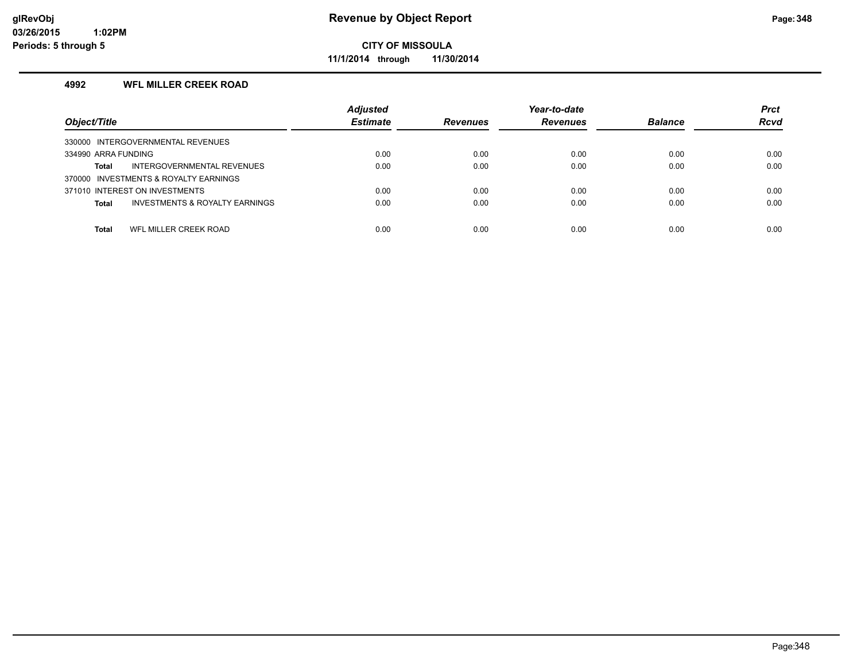**11/1/2014 through 11/30/2014**

#### **4992 WFL MILLER CREEK ROAD**

| Object/Title                                   | <b>Adjusted</b><br><b>Estimate</b> | <b>Revenues</b> | Year-to-date<br><b>Revenues</b> | <b>Balance</b> | <b>Prct</b><br><b>Rcvd</b> |
|------------------------------------------------|------------------------------------|-----------------|---------------------------------|----------------|----------------------------|
| 330000 INTERGOVERNMENTAL REVENUES              |                                    |                 |                                 |                |                            |
| 334990 ARRA FUNDING                            | 0.00                               | 0.00            | 0.00                            | 0.00           | 0.00                       |
| INTERGOVERNMENTAL REVENUES<br>Total            | 0.00                               | 0.00            | 0.00                            | 0.00           | 0.00                       |
| 370000 INVESTMENTS & ROYALTY EARNINGS          |                                    |                 |                                 |                |                            |
| 371010 INTEREST ON INVESTMENTS                 | 0.00                               | 0.00            | 0.00                            | 0.00           | 0.00                       |
| INVESTMENTS & ROYALTY EARNINGS<br><b>Total</b> | 0.00                               | 0.00            | 0.00                            | 0.00           | 0.00                       |
|                                                |                                    |                 |                                 |                |                            |
| WFL MILLER CREEK ROAD<br>Total                 | 0.00                               | 0.00            | 0.00                            | 0.00           | 0.00                       |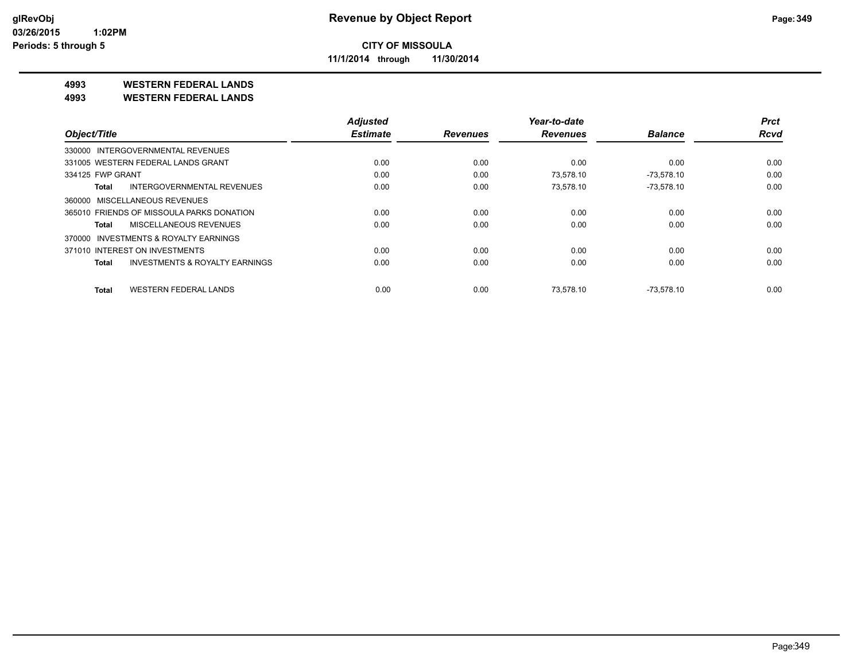**11/1/2014 through 11/30/2014**

### **4993 WESTERN FEDERAL LANDS**

**4993 WESTERN FEDERAL LANDS**

|                                              | <b>Adjusted</b> |                 | Year-to-date    |                | <b>Prct</b> |
|----------------------------------------------|-----------------|-----------------|-----------------|----------------|-------------|
| Object/Title                                 | <b>Estimate</b> | <b>Revenues</b> | <b>Revenues</b> | <b>Balance</b> | <b>Rcvd</b> |
| 330000 INTERGOVERNMENTAL REVENUES            |                 |                 |                 |                |             |
| 331005 WESTERN FEDERAL LANDS GRANT           | 0.00            | 0.00            | 0.00            | 0.00           | 0.00        |
| 334125 FWP GRANT                             | 0.00            | 0.00            | 73.578.10       | $-73.578.10$   | 0.00        |
| <b>INTERGOVERNMENTAL REVENUES</b><br>Total   | 0.00            | 0.00            | 73,578.10       | $-73,578.10$   | 0.00        |
| 360000 MISCELLANEOUS REVENUES                |                 |                 |                 |                |             |
| 365010 FRIENDS OF MISSOULA PARKS DONATION    | 0.00            | 0.00            | 0.00            | 0.00           | 0.00        |
| MISCELLANEOUS REVENUES<br>Total              | 0.00            | 0.00            | 0.00            | 0.00           | 0.00        |
| INVESTMENTS & ROYALTY EARNINGS<br>370000     |                 |                 |                 |                |             |
| 371010 INTEREST ON INVESTMENTS               | 0.00            | 0.00            | 0.00            | 0.00           | 0.00        |
| INVESTMENTS & ROYALTY EARNINGS<br>Total      | 0.00            | 0.00            | 0.00            | 0.00           | 0.00        |
| <b>WESTERN FEDERAL LANDS</b><br><b>Total</b> | 0.00            | 0.00            | 73.578.10       | $-73.578.10$   | 0.00        |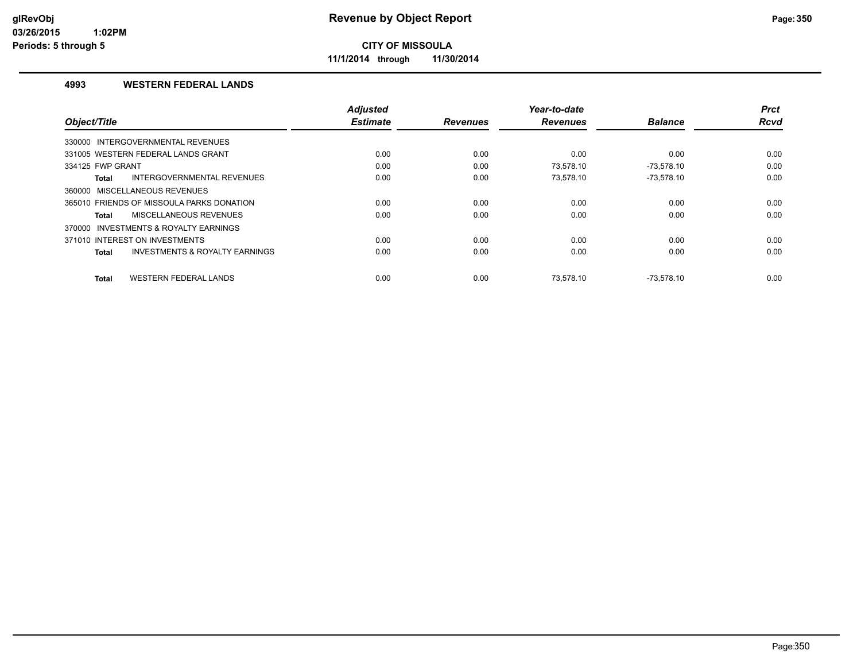**11/1/2014 through 11/30/2014**

#### **4993 WESTERN FEDERAL LANDS**

|                                                    | <b>Adjusted</b> |                 | Year-to-date    |                | <b>Prct</b> |
|----------------------------------------------------|-----------------|-----------------|-----------------|----------------|-------------|
| Object/Title                                       | <b>Estimate</b> | <b>Revenues</b> | <b>Revenues</b> | <b>Balance</b> | <b>Rcvd</b> |
| 330000 INTERGOVERNMENTAL REVENUES                  |                 |                 |                 |                |             |
| 331005 WESTERN FEDERAL LANDS GRANT                 | 0.00            | 0.00            | 0.00            | 0.00           | 0.00        |
| 334125 FWP GRANT                                   | 0.00            | 0.00            | 73.578.10       | $-73,578.10$   | 0.00        |
| INTERGOVERNMENTAL REVENUES<br>Total                | 0.00            | 0.00            | 73,578.10       | $-73,578.10$   | 0.00        |
| 360000 MISCELLANEOUS REVENUES                      |                 |                 |                 |                |             |
| 365010 FRIENDS OF MISSOULA PARKS DONATION          | 0.00            | 0.00            | 0.00            | 0.00           | 0.00        |
| MISCELLANEOUS REVENUES<br>Total                    | 0.00            | 0.00            | 0.00            | 0.00           | 0.00        |
| INVESTMENTS & ROYALTY EARNINGS<br>370000           |                 |                 |                 |                |             |
| 371010 INTEREST ON INVESTMENTS                     | 0.00            | 0.00            | 0.00            | 0.00           | 0.00        |
| <b>INVESTMENTS &amp; ROYALTY EARNINGS</b><br>Total | 0.00            | 0.00            | 0.00            | 0.00           | 0.00        |
|                                                    |                 |                 |                 |                |             |
| <b>WESTERN FEDERAL LANDS</b><br><b>Total</b>       | 0.00            | 0.00            | 73.578.10       | $-73.578.10$   | 0.00        |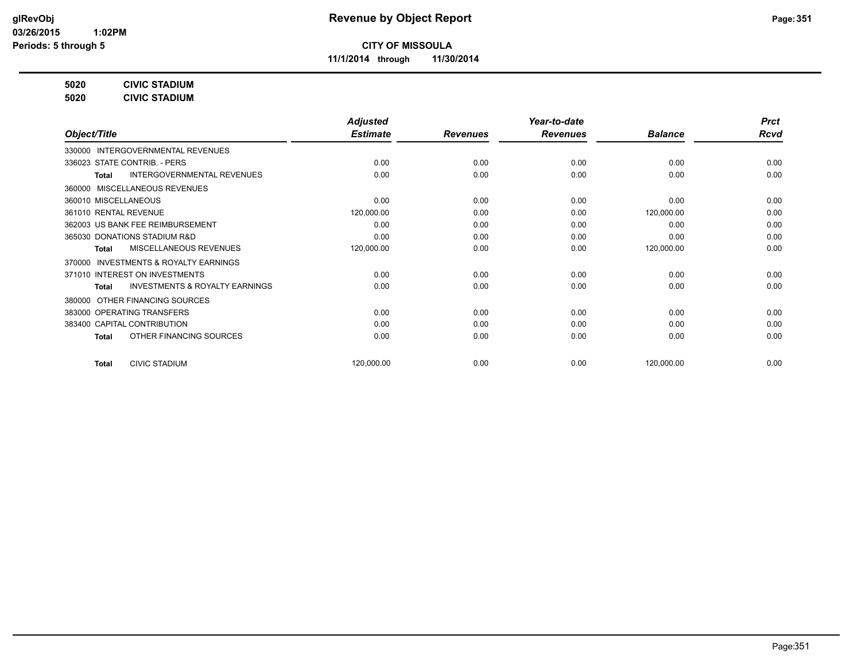**11/1/2014 through 11/30/2014**

**5020 CIVIC STADIUM**

**5020 CIVIC STADIUM**

|                                                           | <b>Adjusted</b> |                 | Year-to-date    |                | <b>Prct</b> |
|-----------------------------------------------------------|-----------------|-----------------|-----------------|----------------|-------------|
| Object/Title                                              | <b>Estimate</b> | <b>Revenues</b> | <b>Revenues</b> | <b>Balance</b> | <b>Rcvd</b> |
| 330000 INTERGOVERNMENTAL REVENUES                         |                 |                 |                 |                |             |
| 336023 STATE CONTRIB. - PERS                              | 0.00            | 0.00            | 0.00            | 0.00           | 0.00        |
| <b>INTERGOVERNMENTAL REVENUES</b><br><b>Total</b>         | 0.00            | 0.00            | 0.00            | 0.00           | 0.00        |
| 360000 MISCELLANEOUS REVENUES                             |                 |                 |                 |                |             |
| 360010 MISCELLANEOUS                                      | 0.00            | 0.00            | 0.00            | 0.00           | 0.00        |
| 361010 RENTAL REVENUE                                     | 120,000.00      | 0.00            | 0.00            | 120,000.00     | 0.00        |
| 362003 US BANK FEE REIMBURSEMENT                          | 0.00            | 0.00            | 0.00            | 0.00           | 0.00        |
| 365030 DONATIONS STADIUM R&D                              | 0.00            | 0.00            | 0.00            | 0.00           | 0.00        |
| MISCELLANEOUS REVENUES<br><b>Total</b>                    | 120,000.00      | 0.00            | 0.00            | 120,000.00     | 0.00        |
| <b>INVESTMENTS &amp; ROYALTY EARNINGS</b><br>370000       |                 |                 |                 |                |             |
| 371010 INTEREST ON INVESTMENTS                            | 0.00            | 0.00            | 0.00            | 0.00           | 0.00        |
| <b>INVESTMENTS &amp; ROYALTY EARNINGS</b><br><b>Total</b> | 0.00            | 0.00            | 0.00            | 0.00           | 0.00        |
| OTHER FINANCING SOURCES<br>380000                         |                 |                 |                 |                |             |
| 383000 OPERATING TRANSFERS                                | 0.00            | 0.00            | 0.00            | 0.00           | 0.00        |
| 383400 CAPITAL CONTRIBUTION                               | 0.00            | 0.00            | 0.00            | 0.00           | 0.00        |
| OTHER FINANCING SOURCES<br><b>Total</b>                   | 0.00            | 0.00            | 0.00            | 0.00           | 0.00        |
|                                                           |                 |                 |                 |                |             |
| <b>CIVIC STADIUM</b><br><b>Total</b>                      | 120,000.00      | 0.00            | 0.00            | 120,000.00     | 0.00        |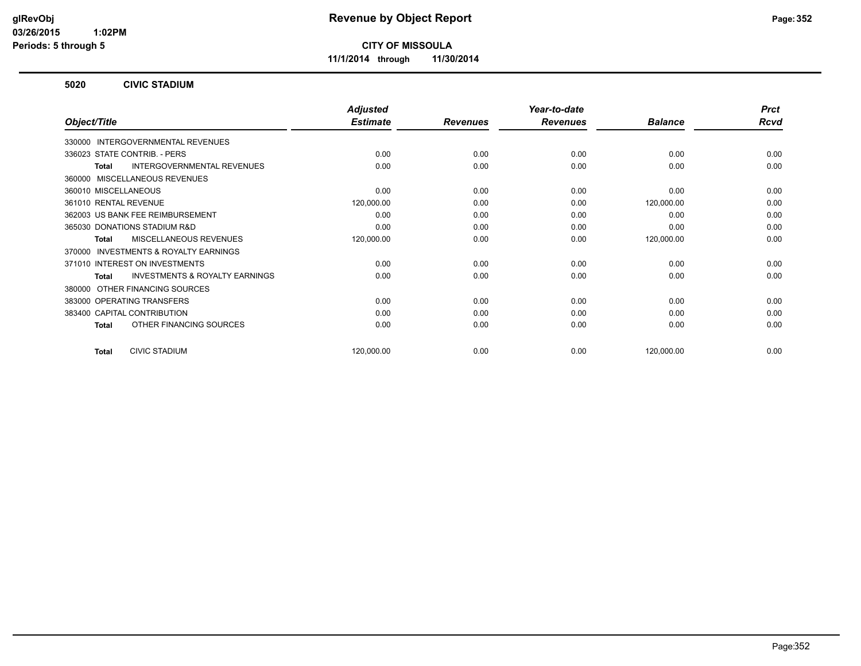**11/1/2014 through 11/30/2014**

#### **5020 CIVIC STADIUM**

|                                                           | <b>Adjusted</b> |                 | Year-to-date    |                | <b>Prct</b> |
|-----------------------------------------------------------|-----------------|-----------------|-----------------|----------------|-------------|
| Object/Title                                              | <b>Estimate</b> | <b>Revenues</b> | <b>Revenues</b> | <b>Balance</b> | <b>Rcvd</b> |
| INTERGOVERNMENTAL REVENUES<br>330000                      |                 |                 |                 |                |             |
| 336023 STATE CONTRIB. - PERS                              | 0.00            | 0.00            | 0.00            | 0.00           | 0.00        |
| <b>INTERGOVERNMENTAL REVENUES</b><br><b>Total</b>         | 0.00            | 0.00            | 0.00            | 0.00           | 0.00        |
| MISCELLANEOUS REVENUES<br>360000                          |                 |                 |                 |                |             |
| 360010 MISCELLANEOUS                                      | 0.00            | 0.00            | 0.00            | 0.00           | 0.00        |
| 361010 RENTAL REVENUE                                     | 120,000.00      | 0.00            | 0.00            | 120,000.00     | 0.00        |
| 362003 US BANK FEE REIMBURSEMENT                          | 0.00            | 0.00            | 0.00            | 0.00           | 0.00        |
| 365030 DONATIONS STADIUM R&D                              | 0.00            | 0.00            | 0.00            | 0.00           | 0.00        |
| MISCELLANEOUS REVENUES<br><b>Total</b>                    | 120,000.00      | 0.00            | 0.00            | 120,000.00     | 0.00        |
| <b>INVESTMENTS &amp; ROYALTY EARNINGS</b><br>370000       |                 |                 |                 |                |             |
| 371010 INTEREST ON INVESTMENTS                            | 0.00            | 0.00            | 0.00            | 0.00           | 0.00        |
| <b>INVESTMENTS &amp; ROYALTY EARNINGS</b><br><b>Total</b> | 0.00            | 0.00            | 0.00            | 0.00           | 0.00        |
| OTHER FINANCING SOURCES<br>380000                         |                 |                 |                 |                |             |
| 383000 OPERATING TRANSFERS                                | 0.00            | 0.00            | 0.00            | 0.00           | 0.00        |
| 383400 CAPITAL CONTRIBUTION                               | 0.00            | 0.00            | 0.00            | 0.00           | 0.00        |
| OTHER FINANCING SOURCES<br><b>Total</b>                   | 0.00            | 0.00            | 0.00            | 0.00           | 0.00        |
| <b>CIVIC STADIUM</b><br><b>Total</b>                      | 120,000.00      | 0.00            | 0.00            | 120,000.00     | 0.00        |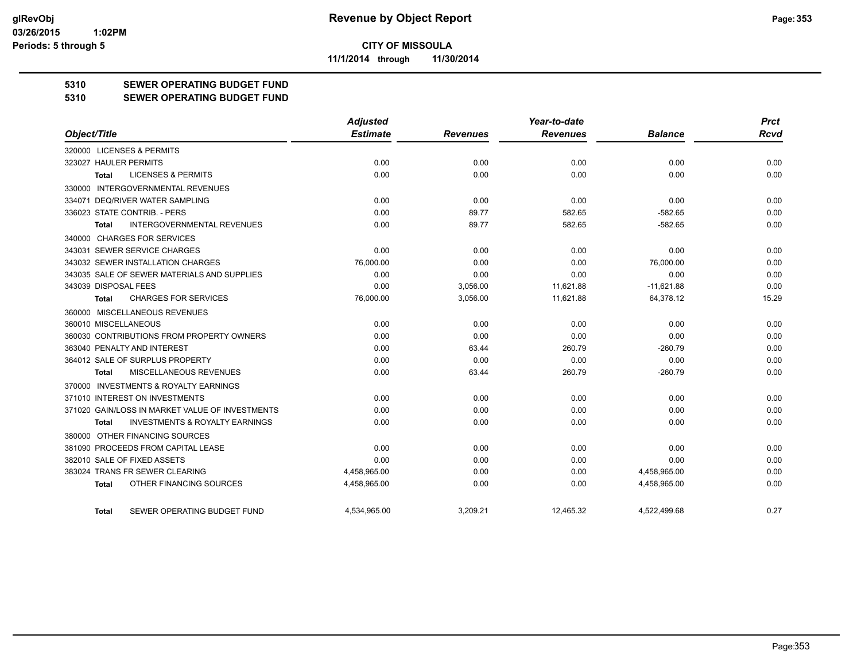**11/1/2014 through 11/30/2014**

### **5310 SEWER OPERATING BUDGET FUND**

#### **5310 SEWER OPERATING BUDGET FUND**

|                                                    | <b>Adjusted</b> |                 | Year-to-date    |                | <b>Prct</b> |
|----------------------------------------------------|-----------------|-----------------|-----------------|----------------|-------------|
| Object/Title                                       | <b>Estimate</b> | <b>Revenues</b> | <b>Revenues</b> | <b>Balance</b> | <b>Rcvd</b> |
| 320000 LICENSES & PERMITS                          |                 |                 |                 |                |             |
| 323027 HAULER PERMITS                              | 0.00            | 0.00            | 0.00            | 0.00           | 0.00        |
| <b>LICENSES &amp; PERMITS</b><br>Total             | 0.00            | 0.00            | 0.00            | 0.00           | 0.00        |
| 330000 INTERGOVERNMENTAL REVENUES                  |                 |                 |                 |                |             |
| 334071 DEQ/RIVER WATER SAMPLING                    | 0.00            | 0.00            | 0.00            | 0.00           | 0.00        |
| 336023 STATE CONTRIB. - PERS                       | 0.00            | 89.77           | 582.65          | $-582.65$      | 0.00        |
| <b>INTERGOVERNMENTAL REVENUES</b><br>Total         | 0.00            | 89.77           | 582.65          | $-582.65$      | 0.00        |
| 340000 CHARGES FOR SERVICES                        |                 |                 |                 |                |             |
| 343031 SEWER SERVICE CHARGES                       | 0.00            | 0.00            | 0.00            | 0.00           | 0.00        |
| 343032 SEWER INSTALLATION CHARGES                  | 76.000.00       | 0.00            | 0.00            | 76.000.00      | 0.00        |
| 343035 SALE OF SEWER MATERIALS AND SUPPLIES        | 0.00            | 0.00            | 0.00            | 0.00           | 0.00        |
| 343039 DISPOSAL FEES                               | 0.00            | 3,056.00        | 11.621.88       | $-11,621.88$   | 0.00        |
| <b>CHARGES FOR SERVICES</b><br>Total               | 76,000.00       | 3,056.00        | 11,621.88       | 64,378.12      | 15.29       |
| 360000 MISCELLANEOUS REVENUES                      |                 |                 |                 |                |             |
| 360010 MISCELLANEOUS                               | 0.00            | 0.00            | 0.00            | 0.00           | 0.00        |
| 360030 CONTRIBUTIONS FROM PROPERTY OWNERS          | 0.00            | 0.00            | 0.00            | 0.00           | 0.00        |
| 363040 PENALTY AND INTEREST                        | 0.00            | 63.44           | 260.79          | $-260.79$      | 0.00        |
| 364012 SALE OF SURPLUS PROPERTY                    | 0.00            | 0.00            | 0.00            | 0.00           | 0.00        |
| <b>MISCELLANEOUS REVENUES</b><br>Total             | 0.00            | 63.44           | 260.79          | $-260.79$      | 0.00        |
| 370000 INVESTMENTS & ROYALTY EARNINGS              |                 |                 |                 |                |             |
| 371010 INTEREST ON INVESTMENTS                     | 0.00            | 0.00            | 0.00            | 0.00           | 0.00        |
| 371020 GAIN/LOSS IN MARKET VALUE OF INVESTMENTS    | 0.00            | 0.00            | 0.00            | 0.00           | 0.00        |
| <b>INVESTMENTS &amp; ROYALTY EARNINGS</b><br>Total | 0.00            | 0.00            | 0.00            | 0.00           | 0.00        |
| 380000 OTHER FINANCING SOURCES                     |                 |                 |                 |                |             |
| 381090 PROCEEDS FROM CAPITAL LEASE                 | 0.00            | 0.00            | 0.00            | 0.00           | 0.00        |
| 382010 SALE OF FIXED ASSETS                        | 0.00            | 0.00            | 0.00            | 0.00           | 0.00        |
| 383024 TRANS FR SEWER CLEARING                     | 4,458,965.00    | 0.00            | 0.00            | 4,458,965.00   | 0.00        |
| OTHER FINANCING SOURCES<br>Total                   | 4,458,965.00    | 0.00            | 0.00            | 4,458,965.00   | 0.00        |
| SEWER OPERATING BUDGET FUND<br><b>Total</b>        | 4.534.965.00    | 3.209.21        | 12.465.32       | 4.522.499.68   | 0.27        |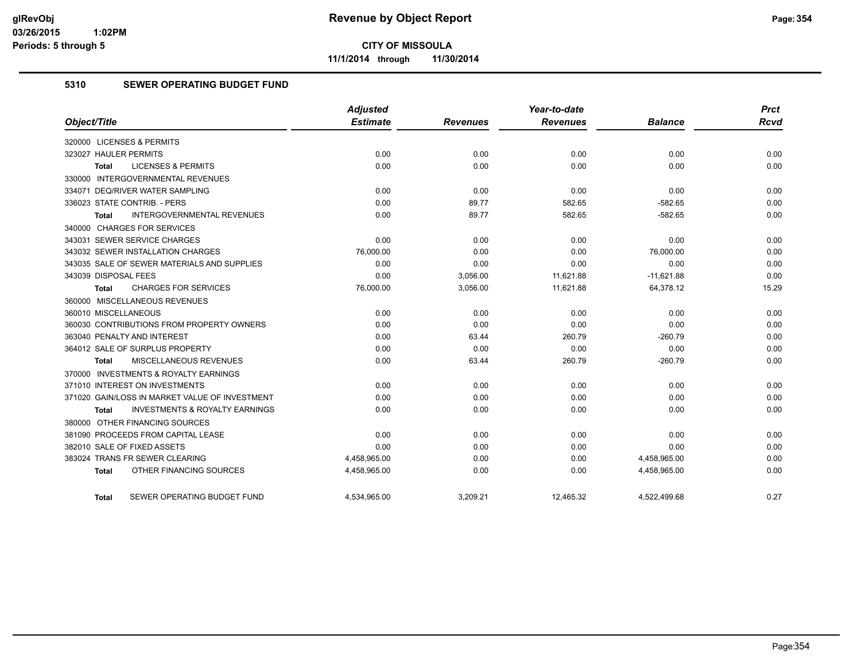**11/1/2014 through 11/30/2014**

#### **5310 SEWER OPERATING BUDGET FUND**

| Object/Title                                       | <b>Adjusted</b><br><b>Estimate</b> | <b>Revenues</b> | Year-to-date<br><b>Revenues</b> | <b>Balance</b> | <b>Prct</b><br><b>Rcvd</b> |
|----------------------------------------------------|------------------------------------|-----------------|---------------------------------|----------------|----------------------------|
|                                                    |                                    |                 |                                 |                |                            |
| 320000 LICENSES & PERMITS                          |                                    |                 |                                 |                |                            |
| 323027 HAULER PERMITS                              | 0.00                               | 0.00            | 0.00                            | 0.00           | 0.00                       |
| <b>LICENSES &amp; PERMITS</b><br><b>Total</b>      | 0.00                               | 0.00            | 0.00                            | 0.00           | 0.00                       |
| 330000 INTERGOVERNMENTAL REVENUES                  |                                    |                 |                                 |                |                            |
| 334071 DEQ/RIVER WATER SAMPLING                    | 0.00                               | 0.00            | 0.00                            | 0.00           | 0.00                       |
| 336023 STATE CONTRIB. - PERS                       | 0.00                               | 89.77           | 582.65                          | $-582.65$      | 0.00                       |
| INTERGOVERNMENTAL REVENUES<br>Total                | 0.00                               | 89.77           | 582.65                          | $-582.65$      | 0.00                       |
| 340000 CHARGES FOR SERVICES                        |                                    |                 |                                 |                |                            |
| 343031 SEWER SERVICE CHARGES                       | 0.00                               | 0.00            | 0.00                            | 0.00           | 0.00                       |
| 343032 SEWER INSTALLATION CHARGES                  | 76,000.00                          | 0.00            | 0.00                            | 76,000.00      | 0.00                       |
| 343035 SALE OF SEWER MATERIALS AND SUPPLIES        | 0.00                               | 0.00            | 0.00                            | 0.00           | 0.00                       |
| 343039 DISPOSAL FEES                               | 0.00                               | 3,056.00        | 11,621.88                       | $-11,621.88$   | 0.00                       |
| <b>CHARGES FOR SERVICES</b><br>Total               | 76,000.00                          | 3,056.00        | 11,621.88                       | 64,378.12      | 15.29                      |
| 360000 MISCELLANEOUS REVENUES                      |                                    |                 |                                 |                |                            |
| 360010 MISCELLANEOUS                               | 0.00                               | 0.00            | 0.00                            | 0.00           | 0.00                       |
| 360030 CONTRIBUTIONS FROM PROPERTY OWNERS          | 0.00                               | 0.00            | 0.00                            | 0.00           | 0.00                       |
| 363040 PENALTY AND INTEREST                        | 0.00                               | 63.44           | 260.79                          | $-260.79$      | 0.00                       |
| 364012 SALE OF SURPLUS PROPERTY                    | 0.00                               | 0.00            | 0.00                            | 0.00           | 0.00                       |
| <b>MISCELLANEOUS REVENUES</b><br><b>Total</b>      | 0.00                               | 63.44           | 260.79                          | $-260.79$      | 0.00                       |
| 370000 INVESTMENTS & ROYALTY EARNINGS              |                                    |                 |                                 |                |                            |
| 371010 INTEREST ON INVESTMENTS                     | 0.00                               | 0.00            | 0.00                            | 0.00           | 0.00                       |
| 371020 GAIN/LOSS IN MARKET VALUE OF INVESTMENT     | 0.00                               | 0.00            | 0.00                            | 0.00           | 0.00                       |
| <b>INVESTMENTS &amp; ROYALTY EARNINGS</b><br>Total | 0.00                               | 0.00            | 0.00                            | 0.00           | 0.00                       |
| 380000 OTHER FINANCING SOURCES                     |                                    |                 |                                 |                |                            |
| 381090 PROCEEDS FROM CAPITAL LEASE                 | 0.00                               | 0.00            | 0.00                            | 0.00           | 0.00                       |
| 382010 SALE OF FIXED ASSETS                        | 0.00                               | 0.00            | 0.00                            | 0.00           | 0.00                       |
| 383024 TRANS FR SEWER CLEARING                     | 4,458,965.00                       | 0.00            | 0.00                            | 4,458,965.00   | 0.00                       |
| OTHER FINANCING SOURCES<br><b>Total</b>            | 4,458,965.00                       | 0.00            | 0.00                            | 4,458,965.00   | 0.00                       |
| SEWER OPERATING BUDGET FUND<br>Total               | 4,534,965.00                       | 3,209.21        | 12,465.32                       | 4,522,499.68   | 0.27                       |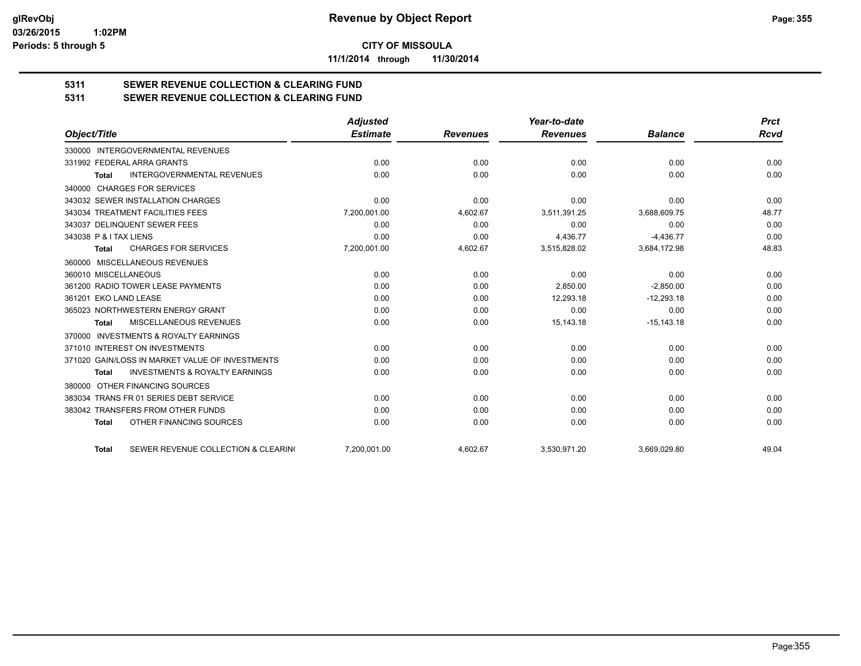**11/1/2014 through 11/30/2014**

# **5311 SEWER REVENUE COLLECTION & CLEARING FUND**

**5311 SEWER REVENUE COLLECTION & CLEARING FUND**

|                                                           | <b>Adjusted</b> |                 | Year-to-date    |                | <b>Prct</b> |
|-----------------------------------------------------------|-----------------|-----------------|-----------------|----------------|-------------|
| Object/Title                                              | <b>Estimate</b> | <b>Revenues</b> | <b>Revenues</b> | <b>Balance</b> | <b>Rcvd</b> |
| 330000 INTERGOVERNMENTAL REVENUES                         |                 |                 |                 |                |             |
| 331992 FEDERAL ARRA GRANTS                                | 0.00            | 0.00            | 0.00            | 0.00           | 0.00        |
| <b>INTERGOVERNMENTAL REVENUES</b><br><b>Total</b>         | 0.00            | 0.00            | 0.00            | 0.00           | 0.00        |
| 340000 CHARGES FOR SERVICES                               |                 |                 |                 |                |             |
| 343032 SEWER INSTALLATION CHARGES                         | 0.00            | 0.00            | 0.00            | 0.00           | 0.00        |
| 343034 TREATMENT FACILITIES FEES                          | 7,200,001.00    | 4,602.67        | 3,511,391.25    | 3,688,609.75   | 48.77       |
| 343037 DELINQUENT SEWER FEES                              | 0.00            | 0.00            | 0.00            | 0.00           | 0.00        |
| 343038 P & I TAX LIENS                                    | 0.00            | 0.00            | 4,436.77        | $-4,436.77$    | 0.00        |
| <b>CHARGES FOR SERVICES</b><br>Total                      | 7,200,001.00    | 4,602.67        | 3,515,828.02    | 3,684,172.98   | 48.83       |
| 360000 MISCELLANEOUS REVENUES                             |                 |                 |                 |                |             |
| 360010 MISCELLANEOUS                                      | 0.00            | 0.00            | 0.00            | 0.00           | 0.00        |
| 361200 RADIO TOWER LEASE PAYMENTS                         | 0.00            | 0.00            | 2,850.00        | $-2,850.00$    | 0.00        |
| 361201 EKO LAND LEASE                                     | 0.00            | 0.00            | 12.293.18       | $-12.293.18$   | 0.00        |
| 365023 NORTHWESTERN ENERGY GRANT                          | 0.00            | 0.00            | 0.00            | 0.00           | 0.00        |
| MISCELLANEOUS REVENUES<br><b>Total</b>                    | 0.00            | 0.00            | 15,143.18       | $-15, 143.18$  | 0.00        |
| <b>INVESTMENTS &amp; ROYALTY EARNINGS</b><br>370000       |                 |                 |                 |                |             |
| 371010 INTEREST ON INVESTMENTS                            | 0.00            | 0.00            | 0.00            | 0.00           | 0.00        |
| 371020 GAIN/LOSS IN MARKET VALUE OF INVESTMENTS           | 0.00            | 0.00            | 0.00            | 0.00           | 0.00        |
| <b>INVESTMENTS &amp; ROYALTY EARNINGS</b><br><b>Total</b> | 0.00            | 0.00            | 0.00            | 0.00           | 0.00        |
| OTHER FINANCING SOURCES<br>380000                         |                 |                 |                 |                |             |
| 383034 TRANS FR 01 SERIES DEBT SERVICE                    | 0.00            | 0.00            | 0.00            | 0.00           | 0.00        |
| 383042 TRANSFERS FROM OTHER FUNDS                         | 0.00            | 0.00            | 0.00            | 0.00           | 0.00        |
| OTHER FINANCING SOURCES<br><b>Total</b>                   | 0.00            | 0.00            | 0.00            | 0.00           | 0.00        |
| SEWER REVENUE COLLECTION & CLEARING<br><b>Total</b>       | 7,200,001.00    | 4,602.67        | 3,530,971.20    | 3,669,029.80   | 49.04       |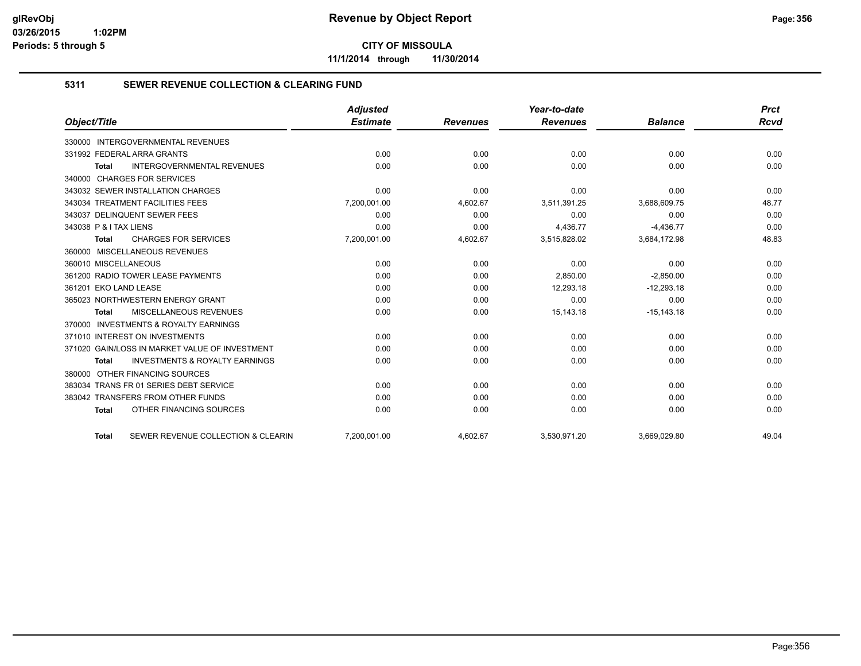**11/1/2014 through 11/30/2014**

#### **5311 SEWER REVENUE COLLECTION & CLEARING FUND**

|                                                    | <b>Adjusted</b> |                 | Year-to-date    |                | <b>Prct</b> |
|----------------------------------------------------|-----------------|-----------------|-----------------|----------------|-------------|
| Object/Title                                       | <b>Estimate</b> | <b>Revenues</b> | <b>Revenues</b> | <b>Balance</b> | Rcvd        |
| 330000 INTERGOVERNMENTAL REVENUES                  |                 |                 |                 |                |             |
| 331992 FEDERAL ARRA GRANTS                         | 0.00            | 0.00            | 0.00            | 0.00           | 0.00        |
| <b>INTERGOVERNMENTAL REVENUES</b><br>Total         | 0.00            | 0.00            | 0.00            | 0.00           | 0.00        |
| 340000 CHARGES FOR SERVICES                        |                 |                 |                 |                |             |
| 343032 SEWER INSTALLATION CHARGES                  | 0.00            | 0.00            | 0.00            | 0.00           | 0.00        |
| 343034 TREATMENT FACILITIES FEES                   | 7,200,001.00    | 4,602.67        | 3,511,391.25    | 3,688,609.75   | 48.77       |
| 343037 DELINQUENT SEWER FEES                       | 0.00            | 0.00            | 0.00            | 0.00           | 0.00        |
| 343038 P & I TAX LIENS                             | 0.00            | 0.00            | 4,436.77        | $-4,436.77$    | 0.00        |
| <b>CHARGES FOR SERVICES</b><br><b>Total</b>        | 7,200,001.00    | 4,602.67        | 3,515,828.02    | 3,684,172.98   | 48.83       |
| 360000 MISCELLANEOUS REVENUES                      |                 |                 |                 |                |             |
| 360010 MISCELLANEOUS                               | 0.00            | 0.00            | 0.00            | 0.00           | 0.00        |
| 361200 RADIO TOWER LEASE PAYMENTS                  | 0.00            | 0.00            | 2.850.00        | $-2.850.00$    | 0.00        |
| 361201 EKO LAND LEASE                              | 0.00            | 0.00            | 12,293.18       | $-12,293.18$   | 0.00        |
| 365023 NORTHWESTERN ENERGY GRANT                   | 0.00            | 0.00            | 0.00            | 0.00           | 0.00        |
| MISCELLANEOUS REVENUES<br>Total                    | 0.00            | 0.00            | 15,143.18       | $-15, 143.18$  | 0.00        |
| 370000 INVESTMENTS & ROYALTY EARNINGS              |                 |                 |                 |                |             |
| 371010 INTEREST ON INVESTMENTS                     | 0.00            | 0.00            | 0.00            | 0.00           | 0.00        |
| 371020 GAIN/LOSS IN MARKET VALUE OF INVESTMENT     | 0.00            | 0.00            | 0.00            | 0.00           | 0.00        |
| <b>INVESTMENTS &amp; ROYALTY EARNINGS</b><br>Total | 0.00            | 0.00            | 0.00            | 0.00           | 0.00        |
| OTHER FINANCING SOURCES<br>380000                  |                 |                 |                 |                |             |
| 383034 TRANS FR 01 SERIES DEBT SERVICE             | 0.00            | 0.00            | 0.00            | 0.00           | 0.00        |
| 383042 TRANSFERS FROM OTHER FUNDS                  | 0.00            | 0.00            | 0.00            | 0.00           | 0.00        |
| OTHER FINANCING SOURCES<br><b>Total</b>            | 0.00            | 0.00            | 0.00            | 0.00           | 0.00        |
| SEWER REVENUE COLLECTION & CLEARIN<br><b>Total</b> | 7,200,001.00    | 4,602.67        | 3,530,971.20    | 3,669,029.80   | 49.04       |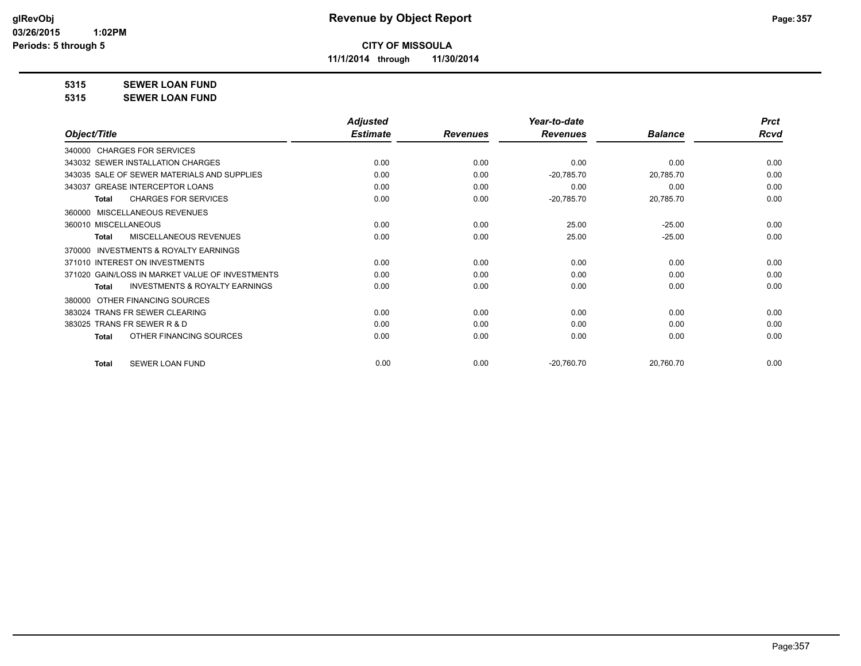**11/1/2014 through 11/30/2014**

**5315 SEWER LOAN FUND**

**5315 SEWER LOAN FUND**

|                                                     | <b>Adjusted</b> |                 | Year-to-date    |                | <b>Prct</b> |
|-----------------------------------------------------|-----------------|-----------------|-----------------|----------------|-------------|
| Object/Title                                        | <b>Estimate</b> | <b>Revenues</b> | <b>Revenues</b> | <b>Balance</b> | Rcvd        |
| 340000 CHARGES FOR SERVICES                         |                 |                 |                 |                |             |
| 343032 SEWER INSTALLATION CHARGES                   | 0.00            | 0.00            | 0.00            | 0.00           | 0.00        |
| 343035 SALE OF SEWER MATERIALS AND SUPPLIES         | 0.00            | 0.00            | $-20,785.70$    | 20,785.70      | 0.00        |
| 343037 GREASE INTERCEPTOR LOANS                     | 0.00            | 0.00            | 0.00            | 0.00           | 0.00        |
| <b>CHARGES FOR SERVICES</b><br><b>Total</b>         | 0.00            | 0.00            | $-20,785.70$    | 20,785.70      | 0.00        |
| MISCELLANEOUS REVENUES<br>360000                    |                 |                 |                 |                |             |
| 360010 MISCELLANEOUS                                | 0.00            | 0.00            | 25.00           | $-25.00$       | 0.00        |
| <b>MISCELLANEOUS REVENUES</b><br><b>Total</b>       | 0.00            | 0.00            | 25.00           | $-25.00$       | 0.00        |
| <b>INVESTMENTS &amp; ROYALTY EARNINGS</b><br>370000 |                 |                 |                 |                |             |
| 371010 INTEREST ON INVESTMENTS                      | 0.00            | 0.00            | 0.00            | 0.00           | 0.00        |
| 371020 GAIN/LOSS IN MARKET VALUE OF INVESTMENTS     | 0.00            | 0.00            | 0.00            | 0.00           | 0.00        |
| <b>INVESTMENTS &amp; ROYALTY EARNINGS</b><br>Total  | 0.00            | 0.00            | 0.00            | 0.00           | 0.00        |
| OTHER FINANCING SOURCES<br>380000                   |                 |                 |                 |                |             |
| 383024 TRANS FR SEWER CLEARING                      | 0.00            | 0.00            | 0.00            | 0.00           | 0.00        |
| 383025 TRANS FR SEWER R & D                         | 0.00            | 0.00            | 0.00            | 0.00           | 0.00        |
| OTHER FINANCING SOURCES<br><b>Total</b>             | 0.00            | 0.00            | 0.00            | 0.00           | 0.00        |
| <b>SEWER LOAN FUND</b><br><b>Total</b>              | 0.00            | 0.00            | $-20,760.70$    | 20,760.70      | 0.00        |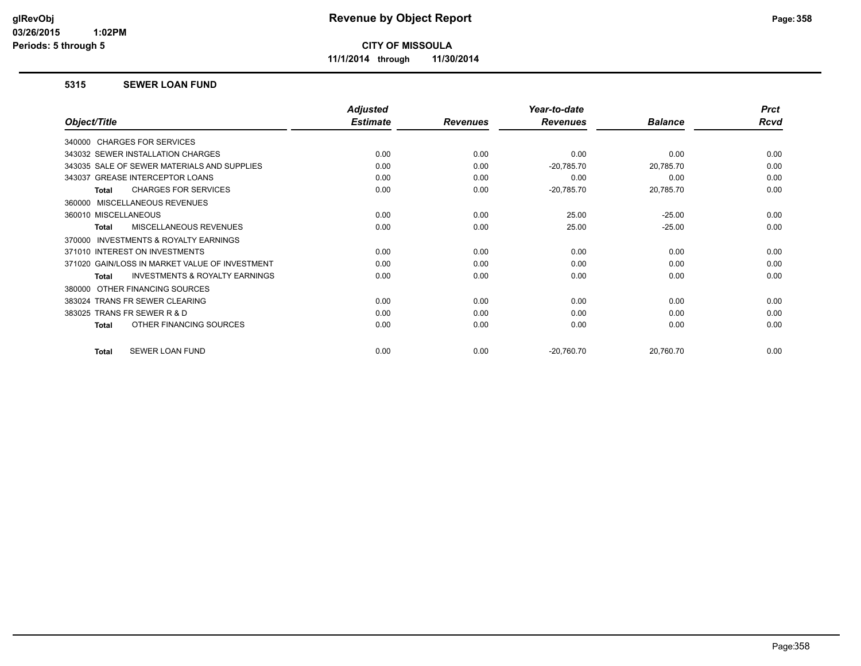**11/1/2014 through 11/30/2014**

#### **5315 SEWER LOAN FUND**

|                                                           | <b>Adjusted</b> |                 | Year-to-date    |                | <b>Prct</b> |
|-----------------------------------------------------------|-----------------|-----------------|-----------------|----------------|-------------|
| Object/Title                                              | <b>Estimate</b> | <b>Revenues</b> | <b>Revenues</b> | <b>Balance</b> | <b>Rcvd</b> |
| 340000 CHARGES FOR SERVICES                               |                 |                 |                 |                |             |
| 343032 SEWER INSTALLATION CHARGES                         | 0.00            | 0.00            | 0.00            | 0.00           | 0.00        |
| 343035 SALE OF SEWER MATERIALS AND SUPPLIES               | 0.00            | 0.00            | $-20,785.70$    | 20,785.70      | 0.00        |
| 343037 GREASE INTERCEPTOR LOANS                           | 0.00            | 0.00            | 0.00            | 0.00           | 0.00        |
| <b>CHARGES FOR SERVICES</b><br><b>Total</b>               | 0.00            | 0.00            | $-20,785.70$    | 20,785.70      | 0.00        |
| 360000 MISCELLANEOUS REVENUES                             |                 |                 |                 |                |             |
| 360010 MISCELLANEOUS                                      | 0.00            | 0.00            | 25.00           | $-25.00$       | 0.00        |
| MISCELLANEOUS REVENUES<br><b>Total</b>                    | 0.00            | 0.00            | 25.00           | $-25.00$       | 0.00        |
| <b>INVESTMENTS &amp; ROYALTY EARNINGS</b><br>370000       |                 |                 |                 |                |             |
| 371010 INTEREST ON INVESTMENTS                            | 0.00            | 0.00            | 0.00            | 0.00           | 0.00        |
| 371020 GAIN/LOSS IN MARKET VALUE OF INVESTMENT            | 0.00            | 0.00            | 0.00            | 0.00           | 0.00        |
| <b>INVESTMENTS &amp; ROYALTY EARNINGS</b><br><b>Total</b> | 0.00            | 0.00            | 0.00            | 0.00           | 0.00        |
| OTHER FINANCING SOURCES<br>380000                         |                 |                 |                 |                |             |
| 383024 TRANS FR SEWER CLEARING                            | 0.00            | 0.00            | 0.00            | 0.00           | 0.00        |
| 383025 TRANS FR SEWER R & D                               | 0.00            | 0.00            | 0.00            | 0.00           | 0.00        |
| OTHER FINANCING SOURCES<br><b>Total</b>                   | 0.00            | 0.00            | 0.00            | 0.00           | 0.00        |
|                                                           |                 |                 |                 |                |             |
| SEWER LOAN FUND<br><b>Total</b>                           | 0.00            | 0.00            | $-20,760.70$    | 20,760.70      | 0.00        |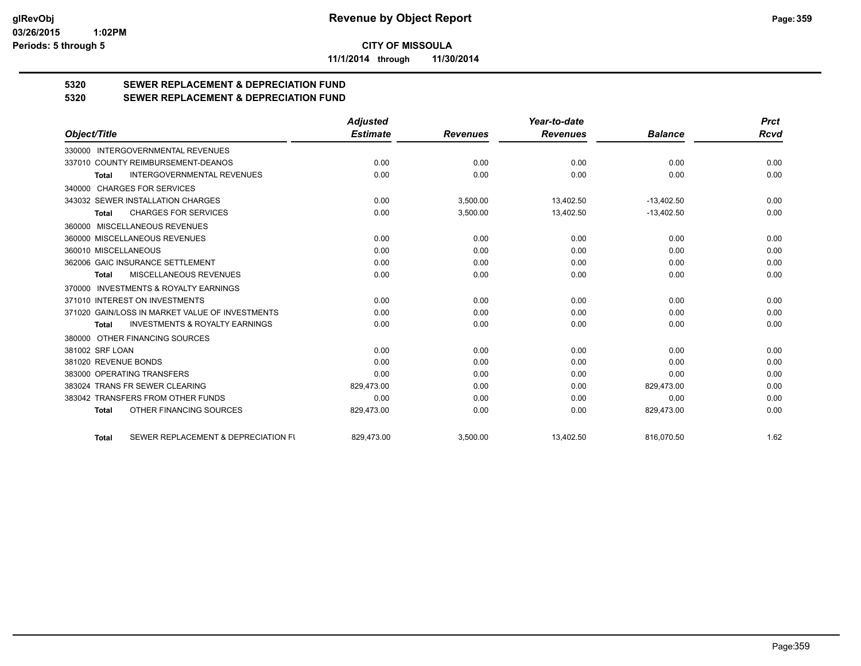**11/1/2014 through 11/30/2014**

# **5320 SEWER REPLACEMENT & DEPRECIATION FUND**

# **5320 SEWER REPLACEMENT & DEPRECIATION FUND**

|                      |                                                 | <b>Adjusted</b> |                 | Year-to-date    |                | <b>Prct</b> |
|----------------------|-------------------------------------------------|-----------------|-----------------|-----------------|----------------|-------------|
| Object/Title         |                                                 | <b>Estimate</b> | <b>Revenues</b> | <b>Revenues</b> | <b>Balance</b> | <b>Rcvd</b> |
| 330000               | INTERGOVERNMENTAL REVENUES                      |                 |                 |                 |                |             |
|                      | 337010 COUNTY REIMBURSEMENT-DEANOS              | 0.00            | 0.00            | 0.00            | 0.00           | 0.00        |
| <b>Total</b>         | <b>INTERGOVERNMENTAL REVENUES</b>               | 0.00            | 0.00            | 0.00            | 0.00           | 0.00        |
|                      | 340000 CHARGES FOR SERVICES                     |                 |                 |                 |                |             |
|                      | 343032 SEWER INSTALLATION CHARGES               | 0.00            | 3,500.00        | 13,402.50       | $-13,402.50$   | 0.00        |
| Total                | <b>CHARGES FOR SERVICES</b>                     | 0.00            | 3,500.00        | 13,402.50       | $-13,402.50$   | 0.00        |
|                      | 360000 MISCELLANEOUS REVENUES                   |                 |                 |                 |                |             |
|                      | 360000 MISCELLANEOUS REVENUES                   | 0.00            | 0.00            | 0.00            | 0.00           | 0.00        |
| 360010 MISCELLANEOUS |                                                 | 0.00            | 0.00            | 0.00            | 0.00           | 0.00        |
|                      | 362006 GAIC INSURANCE SETTLEMENT                | 0.00            | 0.00            | 0.00            | 0.00           | 0.00        |
| <b>Total</b>         | MISCELLANEOUS REVENUES                          | 0.00            | 0.00            | 0.00            | 0.00           | 0.00        |
|                      | 370000 INVESTMENTS & ROYALTY EARNINGS           |                 |                 |                 |                |             |
|                      | 371010 INTEREST ON INVESTMENTS                  | 0.00            | 0.00            | 0.00            | 0.00           | 0.00        |
|                      | 371020 GAIN/LOSS IN MARKET VALUE OF INVESTMENTS | 0.00            | 0.00            | 0.00            | 0.00           | 0.00        |
| <b>Total</b>         | <b>INVESTMENTS &amp; ROYALTY EARNINGS</b>       | 0.00            | 0.00            | 0.00            | 0.00           | 0.00        |
|                      | 380000 OTHER FINANCING SOURCES                  |                 |                 |                 |                |             |
| 381002 SRF LOAN      |                                                 | 0.00            | 0.00            | 0.00            | 0.00           | 0.00        |
| 381020 REVENUE BONDS |                                                 | 0.00            | 0.00            | 0.00            | 0.00           | 0.00        |
|                      | 383000 OPERATING TRANSFERS                      | 0.00            | 0.00            | 0.00            | 0.00           | 0.00        |
|                      | 383024 TRANS FR SEWER CLEARING                  | 829,473.00      | 0.00            | 0.00            | 829,473.00     | 0.00        |
|                      | 383042 TRANSFERS FROM OTHER FUNDS               | 0.00            | 0.00            | 0.00            | 0.00           | 0.00        |
| <b>Total</b>         | OTHER FINANCING SOURCES                         | 829,473.00      | 0.00            | 0.00            | 829,473.00     | 0.00        |
| <b>Total</b>         | SEWER REPLACEMENT & DEPRECIATION FU             | 829,473.00      | 3,500.00        | 13,402.50       | 816,070.50     | 1.62        |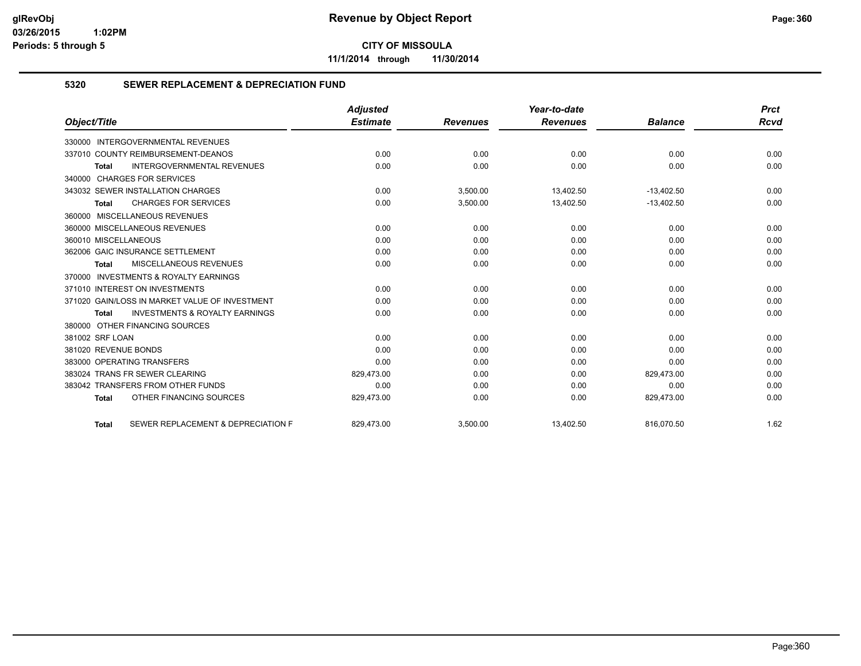**11/1/2014 through 11/30/2014**

#### **5320 SEWER REPLACEMENT & DEPRECIATION FUND**

|                                                           | <b>Adjusted</b> |                 | Year-to-date    |                | <b>Prct</b> |
|-----------------------------------------------------------|-----------------|-----------------|-----------------|----------------|-------------|
| Object/Title                                              | <b>Estimate</b> | <b>Revenues</b> | <b>Revenues</b> | <b>Balance</b> | <b>Rcvd</b> |
| 330000 INTERGOVERNMENTAL REVENUES                         |                 |                 |                 |                |             |
| 337010 COUNTY REIMBURSEMENT-DEANOS                        | 0.00            | 0.00            | 0.00            | 0.00           | 0.00        |
| <b>INTERGOVERNMENTAL REVENUES</b><br><b>Total</b>         | 0.00            | 0.00            | 0.00            | 0.00           | 0.00        |
| 340000 CHARGES FOR SERVICES                               |                 |                 |                 |                |             |
| 343032 SEWER INSTALLATION CHARGES                         | 0.00            | 3,500.00        | 13,402.50       | $-13,402.50$   | 0.00        |
| <b>CHARGES FOR SERVICES</b><br>Total                      | 0.00            | 3,500.00        | 13,402.50       | $-13,402.50$   | 0.00        |
| 360000 MISCELLANEOUS REVENUES                             |                 |                 |                 |                |             |
| 360000 MISCELLANEOUS REVENUES                             | 0.00            | 0.00            | 0.00            | 0.00           | 0.00        |
| 360010 MISCELLANEOUS                                      | 0.00            | 0.00            | 0.00            | 0.00           | 0.00        |
| 362006 GAIC INSURANCE SETTLEMENT                          | 0.00            | 0.00            | 0.00            | 0.00           | 0.00        |
| <b>MISCELLANEOUS REVENUES</b><br><b>Total</b>             | 0.00            | 0.00            | 0.00            | 0.00           | 0.00        |
| 370000 INVESTMENTS & ROYALTY EARNINGS                     |                 |                 |                 |                |             |
| 371010 INTEREST ON INVESTMENTS                            | 0.00            | 0.00            | 0.00            | 0.00           | 0.00        |
| 371020 GAIN/LOSS IN MARKET VALUE OF INVESTMENT            | 0.00            | 0.00            | 0.00            | 0.00           | 0.00        |
| <b>INVESTMENTS &amp; ROYALTY EARNINGS</b><br><b>Total</b> | 0.00            | 0.00            | 0.00            | 0.00           | 0.00        |
| 380000 OTHER FINANCING SOURCES                            |                 |                 |                 |                |             |
| 381002 SRF LOAN                                           | 0.00            | 0.00            | 0.00            | 0.00           | 0.00        |
| 381020 REVENUE BONDS                                      | 0.00            | 0.00            | 0.00            | 0.00           | 0.00        |
| 383000 OPERATING TRANSFERS                                | 0.00            | 0.00            | 0.00            | 0.00           | 0.00        |
| 383024 TRANS FR SEWER CLEARING                            | 829,473.00      | 0.00            | 0.00            | 829,473.00     | 0.00        |
| 383042 TRANSFERS FROM OTHER FUNDS                         | 0.00            | 0.00            | 0.00            | 0.00           | 0.00        |
| OTHER FINANCING SOURCES<br><b>Total</b>                   | 829,473.00      | 0.00            | 0.00            | 829,473.00     | 0.00        |
| SEWER REPLACEMENT & DEPRECIATION F<br><b>Total</b>        | 829.473.00      | 3.500.00        | 13.402.50       | 816.070.50     | 1.62        |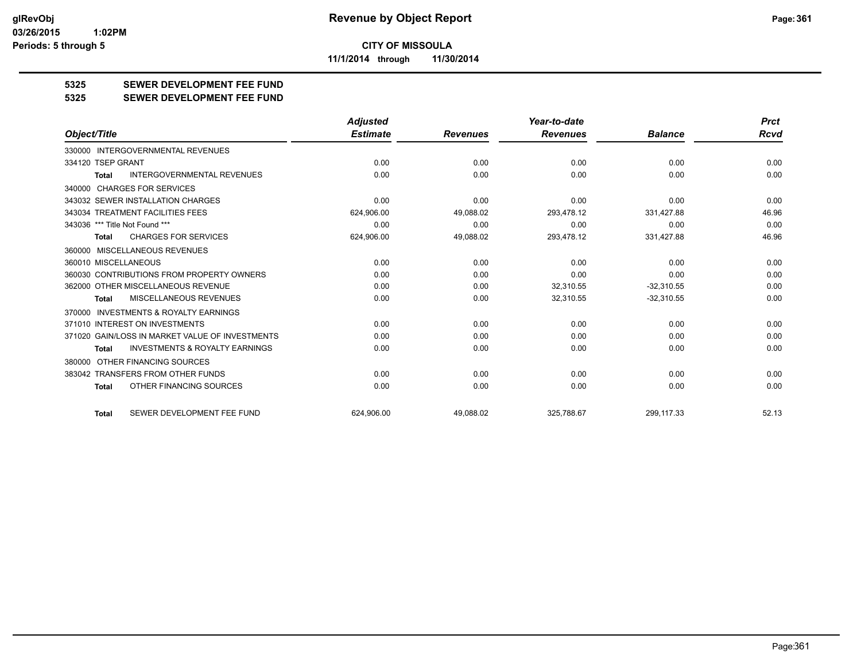**11/1/2014 through 11/30/2014**

## **5325 SEWER DEVELOPMENT FEE FUND**

#### **5325 SEWER DEVELOPMENT FEE FUND**

|                                                           | <b>Adjusted</b> |                 | Year-to-date    |                | <b>Prct</b> |
|-----------------------------------------------------------|-----------------|-----------------|-----------------|----------------|-------------|
| Object/Title                                              | <b>Estimate</b> | <b>Revenues</b> | <b>Revenues</b> | <b>Balance</b> | Rcvd        |
| 330000 INTERGOVERNMENTAL REVENUES                         |                 |                 |                 |                |             |
| 334120 TSEP GRANT                                         | 0.00            | 0.00            | 0.00            | 0.00           | 0.00        |
| <b>INTERGOVERNMENTAL REVENUES</b><br><b>Total</b>         | 0.00            | 0.00            | 0.00            | 0.00           | 0.00        |
| 340000 CHARGES FOR SERVICES                               |                 |                 |                 |                |             |
| 343032 SEWER INSTALLATION CHARGES                         | 0.00            | 0.00            | 0.00            | 0.00           | 0.00        |
| 343034 TREATMENT FACILITIES FEES                          | 624,906.00      | 49,088.02       | 293,478.12      | 331,427.88     | 46.96       |
| 343036 *** Title Not Found ***                            | 0.00            | 0.00            | 0.00            | 0.00           | 0.00        |
| <b>CHARGES FOR SERVICES</b><br><b>Total</b>               | 624,906.00      | 49,088.02       | 293,478.12      | 331,427.88     | 46.96       |
| 360000 MISCELLANEOUS REVENUES                             |                 |                 |                 |                |             |
| 360010 MISCELLANEOUS                                      | 0.00            | 0.00            | 0.00            | 0.00           | 0.00        |
| 360030 CONTRIBUTIONS FROM PROPERTY OWNERS                 | 0.00            | 0.00            | 0.00            | 0.00           | 0.00        |
| 362000 OTHER MISCELLANEOUS REVENUE                        | 0.00            | 0.00            | 32,310.55       | $-32,310.55$   | 0.00        |
| <b>MISCELLANEOUS REVENUES</b><br><b>Total</b>             | 0.00            | 0.00            | 32,310.55       | $-32,310.55$   | 0.00        |
| <b>INVESTMENTS &amp; ROYALTY EARNINGS</b><br>370000       |                 |                 |                 |                |             |
| 371010 INTEREST ON INVESTMENTS                            | 0.00            | 0.00            | 0.00            | 0.00           | 0.00        |
| 371020 GAIN/LOSS IN MARKET VALUE OF INVESTMENTS           | 0.00            | 0.00            | 0.00            | 0.00           | 0.00        |
| <b>INVESTMENTS &amp; ROYALTY EARNINGS</b><br><b>Total</b> | 0.00            | 0.00            | 0.00            | 0.00           | 0.00        |
| 380000 OTHER FINANCING SOURCES                            |                 |                 |                 |                |             |
| 383042 TRANSFERS FROM OTHER FUNDS                         | 0.00            | 0.00            | 0.00            | 0.00           | 0.00        |
| OTHER FINANCING SOURCES<br>Total                          | 0.00            | 0.00            | 0.00            | 0.00           | 0.00        |
| SEWER DEVELOPMENT FEE FUND<br><b>Total</b>                | 624.906.00      | 49.088.02       | 325.788.67      | 299.117.33     | 52.13       |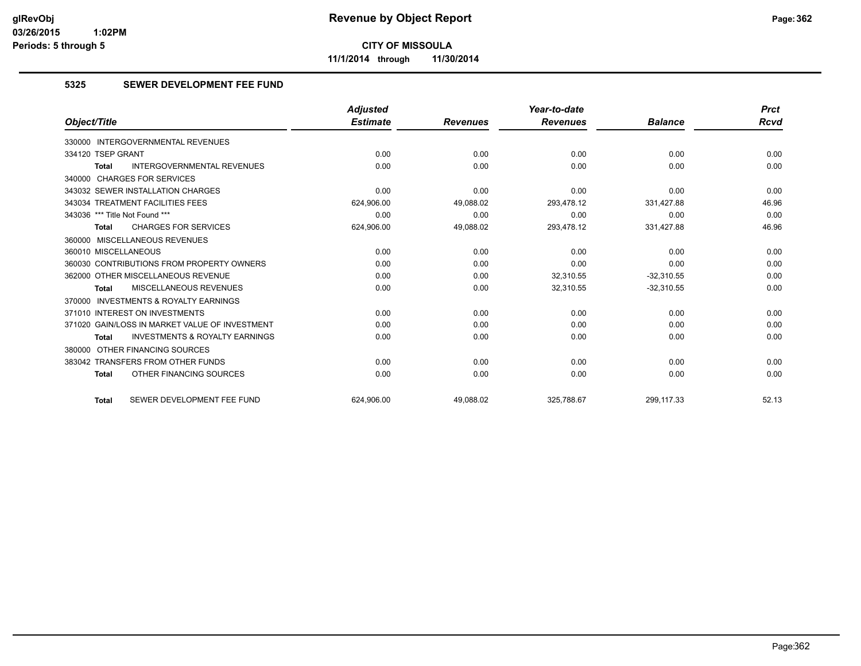**11/1/2014 through 11/30/2014**

## **5325 SEWER DEVELOPMENT FEE FUND**

|                                                           | <b>Adjusted</b> |                 | Year-to-date    |                | <b>Prct</b> |
|-----------------------------------------------------------|-----------------|-----------------|-----------------|----------------|-------------|
| Object/Title                                              | <b>Estimate</b> | <b>Revenues</b> | <b>Revenues</b> | <b>Balance</b> | Rcvd        |
| 330000 INTERGOVERNMENTAL REVENUES                         |                 |                 |                 |                |             |
| 334120 TSEP GRANT                                         | 0.00            | 0.00            | 0.00            | 0.00           | 0.00        |
| <b>INTERGOVERNMENTAL REVENUES</b><br><b>Total</b>         | 0.00            | 0.00            | 0.00            | 0.00           | 0.00        |
| 340000 CHARGES FOR SERVICES                               |                 |                 |                 |                |             |
| 343032 SEWER INSTALLATION CHARGES                         | 0.00            | 0.00            | 0.00            | 0.00           | 0.00        |
| 343034 TREATMENT FACILITIES FEES                          | 624,906.00      | 49,088.02       | 293,478.12      | 331,427.88     | 46.96       |
| 343036 *** Title Not Found ***                            | 0.00            | 0.00            | 0.00            | 0.00           | 0.00        |
| <b>CHARGES FOR SERVICES</b><br><b>Total</b>               | 624,906.00      | 49,088.02       | 293,478.12      | 331,427.88     | 46.96       |
| 360000 MISCELLANEOUS REVENUES                             |                 |                 |                 |                |             |
| 360010 MISCELLANEOUS                                      | 0.00            | 0.00            | 0.00            | 0.00           | 0.00        |
| 360030 CONTRIBUTIONS FROM PROPERTY OWNERS                 | 0.00            | 0.00            | 0.00            | 0.00           | 0.00        |
| 362000 OTHER MISCELLANEOUS REVENUE                        | 0.00            | 0.00            | 32,310.55       | $-32,310.55$   | 0.00        |
| <b>MISCELLANEOUS REVENUES</b><br><b>Total</b>             | 0.00            | 0.00            | 32,310.55       | $-32,310.55$   | 0.00        |
| 370000 INVESTMENTS & ROYALTY EARNINGS                     |                 |                 |                 |                |             |
| 371010 INTEREST ON INVESTMENTS                            | 0.00            | 0.00            | 0.00            | 0.00           | 0.00        |
| 371020 GAIN/LOSS IN MARKET VALUE OF INVESTMENT            | 0.00            | 0.00            | 0.00            | 0.00           | 0.00        |
| <b>INVESTMENTS &amp; ROYALTY EARNINGS</b><br><b>Total</b> | 0.00            | 0.00            | 0.00            | 0.00           | 0.00        |
| 380000 OTHER FINANCING SOURCES                            |                 |                 |                 |                |             |
| 383042 TRANSFERS FROM OTHER FUNDS                         | 0.00            | 0.00            | 0.00            | 0.00           | 0.00        |
| OTHER FINANCING SOURCES<br><b>Total</b>                   | 0.00            | 0.00            | 0.00            | 0.00           | 0.00        |
| SEWER DEVELOPMENT FEE FUND<br><b>Total</b>                | 624.906.00      | 49.088.02       | 325,788.67      | 299.117.33     | 52.13       |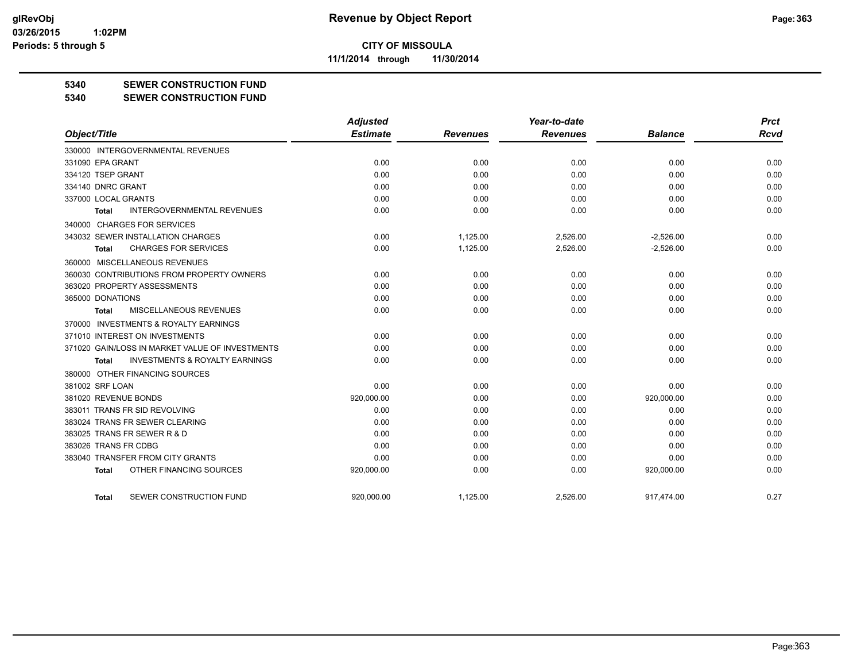**11/1/2014 through 11/30/2014**

## **5340 SEWER CONSTRUCTION FUND**

#### **5340 SEWER CONSTRUCTION FUND**

|                                                     | <b>Adjusted</b> |                 | Year-to-date    |                | <b>Prct</b> |
|-----------------------------------------------------|-----------------|-----------------|-----------------|----------------|-------------|
| Object/Title                                        | <b>Estimate</b> | <b>Revenues</b> | <b>Revenues</b> | <b>Balance</b> | <b>Rcvd</b> |
| 330000 INTERGOVERNMENTAL REVENUES                   |                 |                 |                 |                |             |
| 331090 EPA GRANT                                    | 0.00            | 0.00            | 0.00            | 0.00           | 0.00        |
| 334120 TSEP GRANT                                   | 0.00            | 0.00            | 0.00            | 0.00           | 0.00        |
| 334140 DNRC GRANT                                   | 0.00            | 0.00            | 0.00            | 0.00           | 0.00        |
| 337000 LOCAL GRANTS                                 | 0.00            | 0.00            | 0.00            | 0.00           | 0.00        |
| <b>INTERGOVERNMENTAL REVENUES</b><br>Total          | 0.00            | 0.00            | 0.00            | 0.00           | 0.00        |
| 340000 CHARGES FOR SERVICES                         |                 |                 |                 |                |             |
| 343032 SEWER INSTALLATION CHARGES                   | 0.00            | 1,125.00        | 2,526.00        | $-2,526.00$    | 0.00        |
| <b>CHARGES FOR SERVICES</b><br>Total                | 0.00            | 1,125.00        | 2,526.00        | $-2,526.00$    | 0.00        |
| 360000 MISCELLANEOUS REVENUES                       |                 |                 |                 |                |             |
| 360030 CONTRIBUTIONS FROM PROPERTY OWNERS           | 0.00            | 0.00            | 0.00            | 0.00           | 0.00        |
| 363020 PROPERTY ASSESSMENTS                         | 0.00            | 0.00            | 0.00            | 0.00           | 0.00        |
| 365000 DONATIONS                                    | 0.00            | 0.00            | 0.00            | 0.00           | 0.00        |
| MISCELLANEOUS REVENUES<br><b>Total</b>              | 0.00            | 0.00            | 0.00            | 0.00           | 0.00        |
| <b>INVESTMENTS &amp; ROYALTY EARNINGS</b><br>370000 |                 |                 |                 |                |             |
| 371010 INTEREST ON INVESTMENTS                      | 0.00            | 0.00            | 0.00            | 0.00           | 0.00        |
| 371020 GAIN/LOSS IN MARKET VALUE OF INVESTMENTS     | 0.00            | 0.00            | 0.00            | 0.00           | 0.00        |
| <b>INVESTMENTS &amp; ROYALTY EARNINGS</b><br>Total  | 0.00            | 0.00            | 0.00            | 0.00           | 0.00        |
| 380000 OTHER FINANCING SOURCES                      |                 |                 |                 |                |             |
| 381002 SRF LOAN                                     | 0.00            | 0.00            | 0.00            | 0.00           | 0.00        |
| 381020 REVENUE BONDS                                | 920,000.00      | 0.00            | 0.00            | 920,000.00     | 0.00        |
| 383011 TRANS FR SID REVOLVING                       | 0.00            | 0.00            | 0.00            | 0.00           | 0.00        |
| 383024 TRANS FR SEWER CLEARING                      | 0.00            | 0.00            | 0.00            | 0.00           | 0.00        |
| 383025 TRANS FR SEWER R & D                         | 0.00            | 0.00            | 0.00            | 0.00           | 0.00        |
| 383026 TRANS FR CDBG                                | 0.00            | 0.00            | 0.00            | 0.00           | 0.00        |
| 383040 TRANSFER FROM CITY GRANTS                    | 0.00            | 0.00            | 0.00            | 0.00           | 0.00        |
| OTHER FINANCING SOURCES<br><b>Total</b>             | 920,000.00      | 0.00            | 0.00            | 920,000.00     | 0.00        |
| SEWER CONSTRUCTION FUND<br>Total                    | 920,000.00      | 1,125.00        | 2.526.00        | 917.474.00     | 0.27        |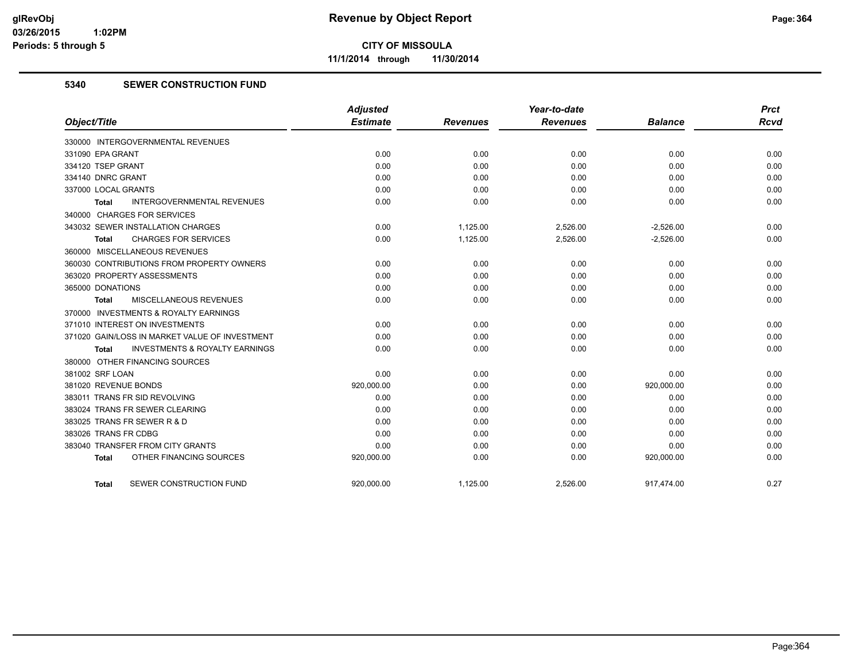**11/1/2014 through 11/30/2014**

## **5340 SEWER CONSTRUCTION FUND**

|                                                           | <b>Adjusted</b> |                 | Year-to-date    |                | <b>Prct</b> |
|-----------------------------------------------------------|-----------------|-----------------|-----------------|----------------|-------------|
| Object/Title                                              | <b>Estimate</b> | <b>Revenues</b> | <b>Revenues</b> | <b>Balance</b> | <b>Rcvd</b> |
| 330000 INTERGOVERNMENTAL REVENUES                         |                 |                 |                 |                |             |
| 331090 EPA GRANT                                          | 0.00            | 0.00            | 0.00            | 0.00           | 0.00        |
| 334120 TSEP GRANT                                         | 0.00            | 0.00            | 0.00            | 0.00           | 0.00        |
| 334140 DNRC GRANT                                         | 0.00            | 0.00            | 0.00            | 0.00           | 0.00        |
| 337000 LOCAL GRANTS                                       | 0.00            | 0.00            | 0.00            | 0.00           | 0.00        |
| <b>INTERGOVERNMENTAL REVENUES</b><br><b>Total</b>         | 0.00            | 0.00            | 0.00            | 0.00           | 0.00        |
| 340000 CHARGES FOR SERVICES                               |                 |                 |                 |                |             |
| 343032 SEWER INSTALLATION CHARGES                         | 0.00            | 1,125.00        | 2,526.00        | $-2,526.00$    | 0.00        |
| <b>CHARGES FOR SERVICES</b><br><b>Total</b>               | 0.00            | 1,125.00        | 2,526.00        | $-2,526.00$    | 0.00        |
| 360000 MISCELLANEOUS REVENUES                             |                 |                 |                 |                |             |
| 360030 CONTRIBUTIONS FROM PROPERTY OWNERS                 | 0.00            | 0.00            | 0.00            | 0.00           | 0.00        |
| 363020 PROPERTY ASSESSMENTS                               | 0.00            | 0.00            | 0.00            | 0.00           | 0.00        |
| 365000 DONATIONS                                          | 0.00            | 0.00            | 0.00            | 0.00           | 0.00        |
| MISCELLANEOUS REVENUES<br>Total                           | 0.00            | 0.00            | 0.00            | 0.00           | 0.00        |
| 370000 INVESTMENTS & ROYALTY EARNINGS                     |                 |                 |                 |                |             |
| 371010 INTEREST ON INVESTMENTS                            | 0.00            | 0.00            | 0.00            | 0.00           | 0.00        |
| 371020 GAIN/LOSS IN MARKET VALUE OF INVESTMENT            | 0.00            | 0.00            | 0.00            | 0.00           | 0.00        |
| <b>INVESTMENTS &amp; ROYALTY EARNINGS</b><br><b>Total</b> | 0.00            | 0.00            | 0.00            | 0.00           | 0.00        |
| 380000 OTHER FINANCING SOURCES                            |                 |                 |                 |                |             |
| 381002 SRF LOAN                                           | 0.00            | 0.00            | 0.00            | 0.00           | 0.00        |
| 381020 REVENUE BONDS                                      | 920,000.00      | 0.00            | 0.00            | 920,000.00     | 0.00        |
| 383011 TRANS FR SID REVOLVING                             | 0.00            | 0.00            | 0.00            | 0.00           | 0.00        |
| 383024 TRANS FR SEWER CLEARING                            | 0.00            | 0.00            | 0.00            | 0.00           | 0.00        |
| 383025 TRANS FR SEWER R & D                               | 0.00            | 0.00            | 0.00            | 0.00           | 0.00        |
| 383026 TRANS FR CDBG                                      | 0.00            | 0.00            | 0.00            | 0.00           | 0.00        |
| 383040 TRANSFER FROM CITY GRANTS                          | 0.00            | 0.00            | 0.00            | 0.00           | 0.00        |
| OTHER FINANCING SOURCES<br><b>Total</b>                   | 920,000.00      | 0.00            | 0.00            | 920,000.00     | 0.00        |
| SEWER CONSTRUCTION FUND<br><b>Total</b>                   | 920,000.00      | 1,125.00        | 2,526.00        | 917,474.00     | 0.27        |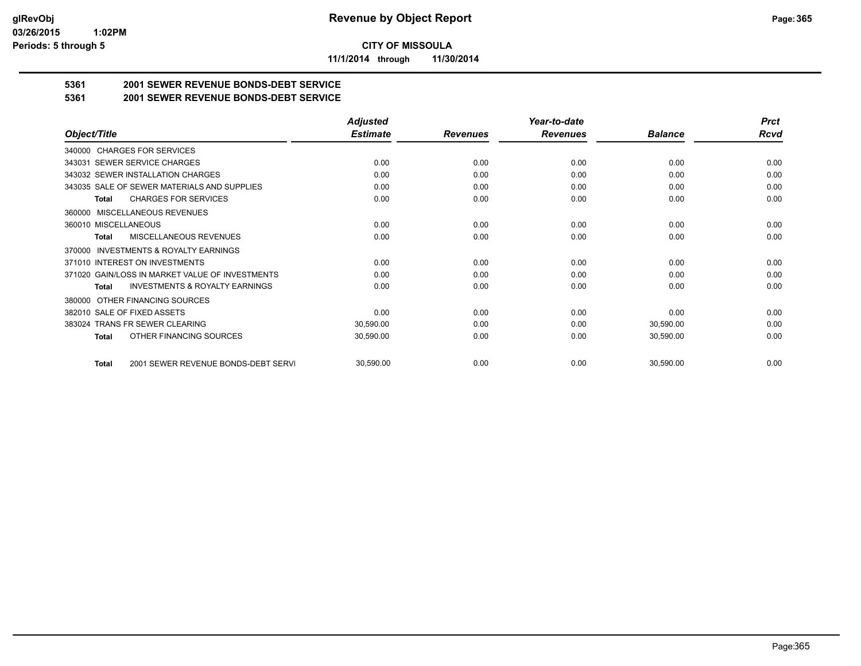**11/1/2014 through 11/30/2014**

## **5361 2001 SEWER REVENUE BONDS-DEBT SERVICE**

**5361 2001 SEWER REVENUE BONDS-DEBT SERVICE**

|                                                           | <b>Adjusted</b> |                 | Year-to-date    |                | <b>Prct</b> |
|-----------------------------------------------------------|-----------------|-----------------|-----------------|----------------|-------------|
| Object/Title                                              | <b>Estimate</b> | <b>Revenues</b> | <b>Revenues</b> | <b>Balance</b> | <b>Rcvd</b> |
| <b>CHARGES FOR SERVICES</b><br>340000                     |                 |                 |                 |                |             |
| SEWER SERVICE CHARGES<br>343031                           | 0.00            | 0.00            | 0.00            | 0.00           | 0.00        |
| 343032 SEWER INSTALLATION CHARGES                         | 0.00            | 0.00            | 0.00            | 0.00           | 0.00        |
| 343035 SALE OF SEWER MATERIALS AND SUPPLIES               | 0.00            | 0.00            | 0.00            | 0.00           | 0.00        |
| <b>CHARGES FOR SERVICES</b><br><b>Total</b>               | 0.00            | 0.00            | 0.00            | 0.00           | 0.00        |
| <b>MISCELLANEOUS REVENUES</b><br>360000                   |                 |                 |                 |                |             |
| 360010 MISCELLANEOUS                                      | 0.00            | 0.00            | 0.00            | 0.00           | 0.00        |
| <b>MISCELLANEOUS REVENUES</b><br><b>Total</b>             | 0.00            | 0.00            | 0.00            | 0.00           | 0.00        |
| <b>INVESTMENTS &amp; ROYALTY EARNINGS</b><br>370000       |                 |                 |                 |                |             |
| 371010 INTEREST ON INVESTMENTS                            | 0.00            | 0.00            | 0.00            | 0.00           | 0.00        |
| 371020 GAIN/LOSS IN MARKET VALUE OF INVESTMENTS           | 0.00            | 0.00            | 0.00            | 0.00           | 0.00        |
| <b>INVESTMENTS &amp; ROYALTY EARNINGS</b><br><b>Total</b> | 0.00            | 0.00            | 0.00            | 0.00           | 0.00        |
| OTHER FINANCING SOURCES<br>380000                         |                 |                 |                 |                |             |
| 382010 SALE OF FIXED ASSETS                               | 0.00            | 0.00            | 0.00            | 0.00           | 0.00        |
| 383024 TRANS FR SEWER CLEARING                            | 30,590.00       | 0.00            | 0.00            | 30,590.00      | 0.00        |
| OTHER FINANCING SOURCES<br><b>Total</b>                   | 30,590.00       | 0.00            | 0.00            | 30,590.00      | 0.00        |
| 2001 SEWER REVENUE BONDS-DEBT SERVI<br><b>Total</b>       | 30,590.00       | 0.00            | 0.00            | 30,590.00      | 0.00        |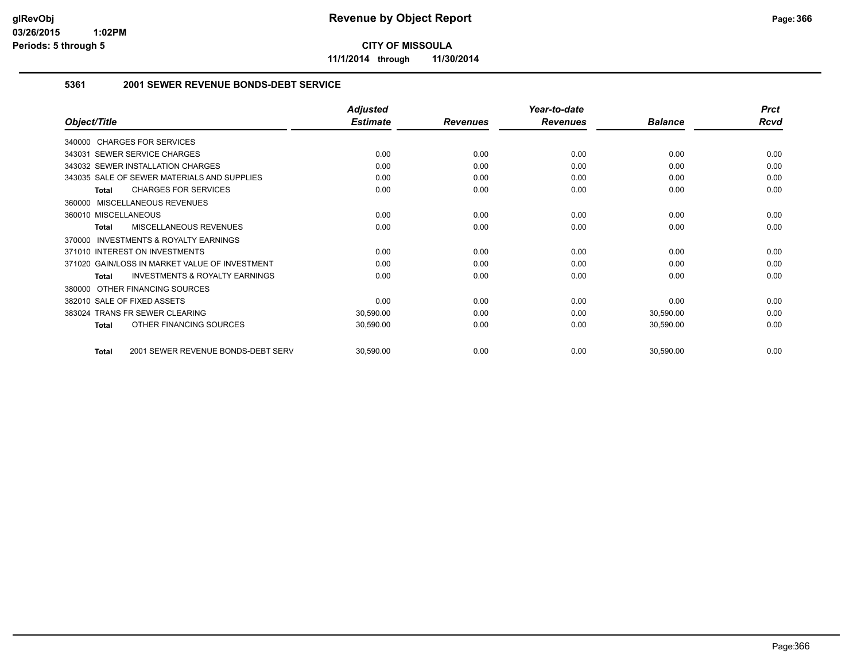**11/1/2014 through 11/30/2014**

### **5361 2001 SEWER REVENUE BONDS-DEBT SERVICE**

|                                                           | <b>Adjusted</b> |                 | Year-to-date    |                | <b>Prct</b> |
|-----------------------------------------------------------|-----------------|-----------------|-----------------|----------------|-------------|
| Object/Title                                              | <b>Estimate</b> | <b>Revenues</b> | <b>Revenues</b> | <b>Balance</b> | <b>Rcvd</b> |
| 340000 CHARGES FOR SERVICES                               |                 |                 |                 |                |             |
| 343031 SEWER SERVICE CHARGES                              | 0.00            | 0.00            | 0.00            | 0.00           | 0.00        |
| 343032 SEWER INSTALLATION CHARGES                         | 0.00            | 0.00            | 0.00            | 0.00           | 0.00        |
| 343035 SALE OF SEWER MATERIALS AND SUPPLIES               | 0.00            | 0.00            | 0.00            | 0.00           | 0.00        |
| <b>CHARGES FOR SERVICES</b><br><b>Total</b>               | 0.00            | 0.00            | 0.00            | 0.00           | 0.00        |
| 360000 MISCELLANEOUS REVENUES                             |                 |                 |                 |                |             |
| 360010 MISCELLANEOUS                                      | 0.00            | 0.00            | 0.00            | 0.00           | 0.00        |
| MISCELLANEOUS REVENUES<br><b>Total</b>                    | 0.00            | 0.00            | 0.00            | 0.00           | 0.00        |
| <b>INVESTMENTS &amp; ROYALTY EARNINGS</b><br>370000       |                 |                 |                 |                |             |
| 371010 INTEREST ON INVESTMENTS                            | 0.00            | 0.00            | 0.00            | 0.00           | 0.00        |
| 371020 GAIN/LOSS IN MARKET VALUE OF INVESTMENT            | 0.00            | 0.00            | 0.00            | 0.00           | 0.00        |
| <b>INVESTMENTS &amp; ROYALTY EARNINGS</b><br><b>Total</b> | 0.00            | 0.00            | 0.00            | 0.00           | 0.00        |
| OTHER FINANCING SOURCES<br>380000                         |                 |                 |                 |                |             |
| 382010 SALE OF FIXED ASSETS                               | 0.00            | 0.00            | 0.00            | 0.00           | 0.00        |
| 383024 TRANS FR SEWER CLEARING                            | 30,590.00       | 0.00            | 0.00            | 30,590.00      | 0.00        |
| OTHER FINANCING SOURCES<br><b>Total</b>                   | 30,590.00       | 0.00            | 0.00            | 30,590.00      | 0.00        |
| 2001 SEWER REVENUE BONDS-DEBT SERV<br><b>Total</b>        | 30,590.00       | 0.00            | 0.00            | 30,590.00      | 0.00        |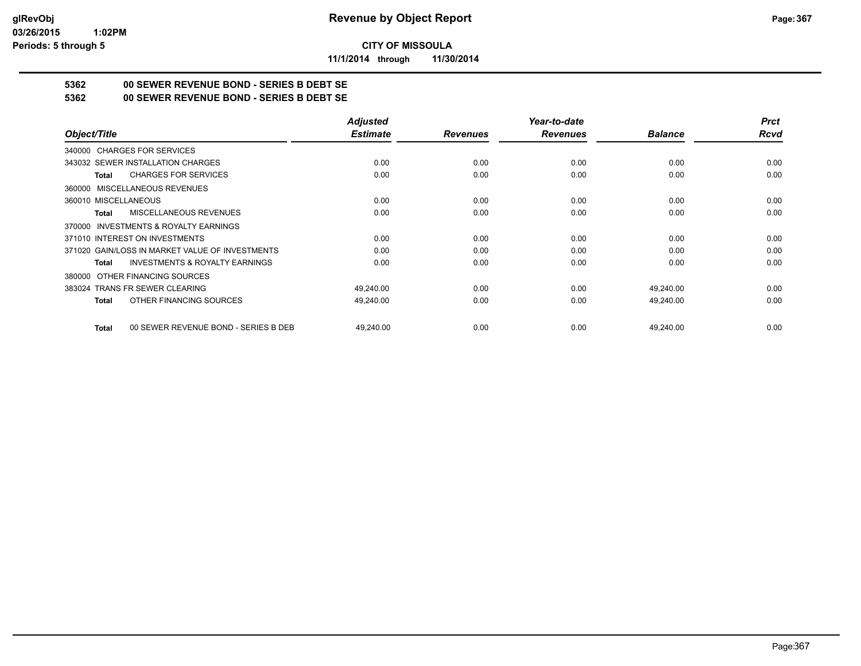**11/1/2014 through 11/30/2014**

# **5362 00 SEWER REVENUE BOND - SERIES B DEBT SE**

**5362 00 SEWER REVENUE BOND - SERIES B DEBT SE**

|                                                      | <b>Adjusted</b> |                 | Year-to-date    |                | <b>Prct</b> |
|------------------------------------------------------|-----------------|-----------------|-----------------|----------------|-------------|
| Object/Title                                         | <b>Estimate</b> | <b>Revenues</b> | <b>Revenues</b> | <b>Balance</b> | <b>Rcvd</b> |
| 340000 CHARGES FOR SERVICES                          |                 |                 |                 |                |             |
| 343032 SEWER INSTALLATION CHARGES                    | 0.00            | 0.00            | 0.00            | 0.00           | 0.00        |
| <b>CHARGES FOR SERVICES</b><br>Total                 | 0.00            | 0.00            | 0.00            | 0.00           | 0.00        |
| 360000 MISCELLANEOUS REVENUES                        |                 |                 |                 |                |             |
| 360010 MISCELLANEOUS                                 | 0.00            | 0.00            | 0.00            | 0.00           | 0.00        |
| <b>MISCELLANEOUS REVENUES</b><br>Total               | 0.00            | 0.00            | 0.00            | 0.00           | 0.00        |
| 370000 INVESTMENTS & ROYALTY EARNINGS                |                 |                 |                 |                |             |
| 371010 INTEREST ON INVESTMENTS                       | 0.00            | 0.00            | 0.00            | 0.00           | 0.00        |
| 371020 GAIN/LOSS IN MARKET VALUE OF INVESTMENTS      | 0.00            | 0.00            | 0.00            | 0.00           | 0.00        |
| <b>INVESTMENTS &amp; ROYALTY EARNINGS</b><br>Total   | 0.00            | 0.00            | 0.00            | 0.00           | 0.00        |
| 380000 OTHER FINANCING SOURCES                       |                 |                 |                 |                |             |
| 383024 TRANS FR SEWER CLEARING                       | 49,240.00       | 0.00            | 0.00            | 49,240.00      | 0.00        |
| OTHER FINANCING SOURCES<br>Total                     | 49,240.00       | 0.00            | 0.00            | 49,240.00      | 0.00        |
| 00 SEWER REVENUE BOND - SERIES B DEB<br><b>Total</b> | 49,240.00       | 0.00            | 0.00            | 49,240.00      | 0.00        |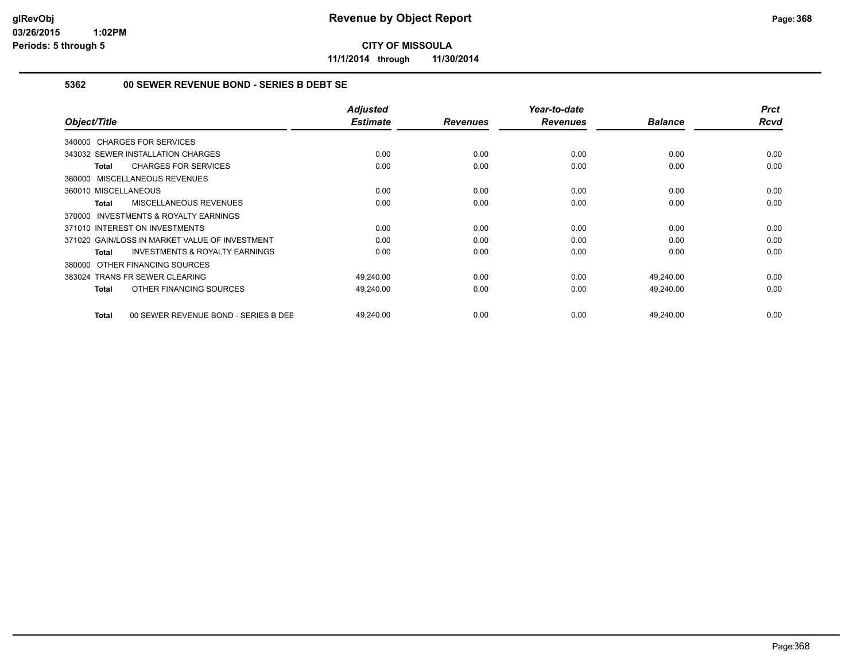**11/1/2014 through 11/30/2014**

## **5362 00 SEWER REVENUE BOND - SERIES B DEBT SE**

| Object/Title                                        | <b>Adjusted</b><br><b>Estimate</b> | <b>Revenues</b> | Year-to-date<br><b>Revenues</b> | <b>Balance</b> | <b>Prct</b><br><b>Rcvd</b> |
|-----------------------------------------------------|------------------------------------|-----------------|---------------------------------|----------------|----------------------------|
| 340000 CHARGES FOR SERVICES                         |                                    |                 |                                 |                |                            |
| 343032 SEWER INSTALLATION CHARGES                   | 0.00                               | 0.00            | 0.00                            | 0.00           | 0.00                       |
|                                                     |                                    |                 |                                 |                |                            |
| <b>CHARGES FOR SERVICES</b><br>Total                | 0.00                               | 0.00            | 0.00                            | 0.00           | 0.00                       |
| 360000 MISCELLANEOUS REVENUES                       |                                    |                 |                                 |                |                            |
| 360010 MISCELLANEOUS                                | 0.00                               | 0.00            | 0.00                            | 0.00           | 0.00                       |
| <b>MISCELLANEOUS REVENUES</b><br>Total              | 0.00                               | 0.00            | 0.00                            | 0.00           | 0.00                       |
| <b>INVESTMENTS &amp; ROYALTY EARNINGS</b><br>370000 |                                    |                 |                                 |                |                            |
| 371010 INTEREST ON INVESTMENTS                      | 0.00                               | 0.00            | 0.00                            | 0.00           | 0.00                       |
| 371020 GAIN/LOSS IN MARKET VALUE OF INVESTMENT      | 0.00                               | 0.00            | 0.00                            | 0.00           | 0.00                       |
| <b>INVESTMENTS &amp; ROYALTY EARNINGS</b><br>Total  | 0.00                               | 0.00            | 0.00                            | 0.00           | 0.00                       |
| 380000 OTHER FINANCING SOURCES                      |                                    |                 |                                 |                |                            |
| 383024 TRANS FR SEWER CLEARING                      | 49,240.00                          | 0.00            | 0.00                            | 49,240.00      | 0.00                       |
| OTHER FINANCING SOURCES<br>Total                    | 49,240.00                          | 0.00            | 0.00                            | 49,240.00      | 0.00                       |
| 00 SEWER REVENUE BOND - SERIES B DEE<br>Total       | 49,240.00                          | 0.00            | 0.00                            | 49,240.00      | 0.00                       |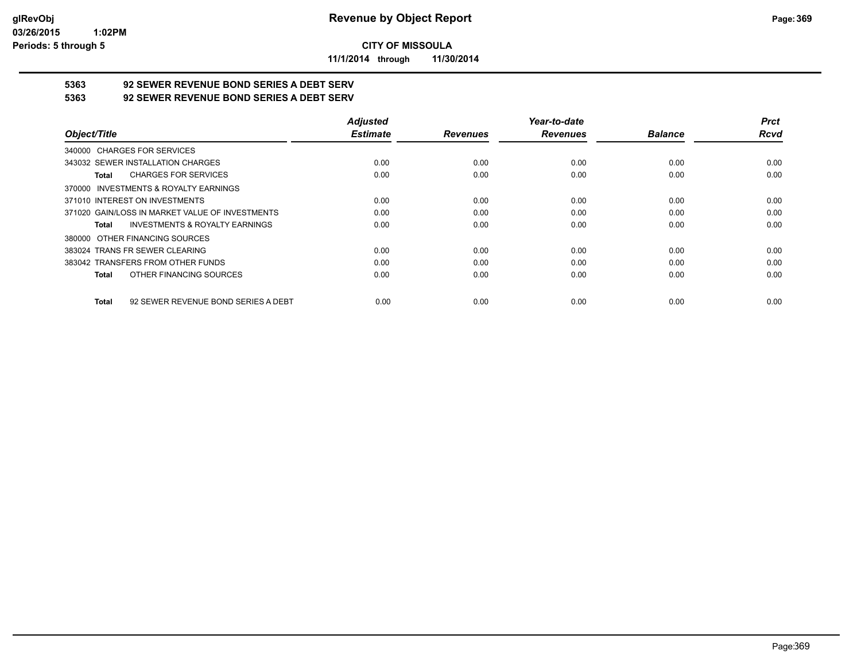**11/1/2014 through 11/30/2014**

# **5363 92 SEWER REVENUE BOND SERIES A DEBT SERV**

**5363 92 SEWER REVENUE BOND SERIES A DEBT SERV**

|                                                     | <b>Adjusted</b> |                 | Year-to-date    |                | <b>Prct</b> |
|-----------------------------------------------------|-----------------|-----------------|-----------------|----------------|-------------|
| Object/Title                                        | <b>Estimate</b> | <b>Revenues</b> | <b>Revenues</b> | <b>Balance</b> | <b>Rcvd</b> |
| 340000 CHARGES FOR SERVICES                         |                 |                 |                 |                |             |
| 343032 SEWER INSTALLATION CHARGES                   | 0.00            | 0.00            | 0.00            | 0.00           | 0.00        |
| <b>CHARGES FOR SERVICES</b><br>Total                | 0.00            | 0.00            | 0.00            | 0.00           | 0.00        |
| 370000 INVESTMENTS & ROYALTY EARNINGS               |                 |                 |                 |                |             |
| 371010 INTEREST ON INVESTMENTS                      | 0.00            | 0.00            | 0.00            | 0.00           | 0.00        |
| 371020 GAIN/LOSS IN MARKET VALUE OF INVESTMENTS     | 0.00            | 0.00            | 0.00            | 0.00           | 0.00        |
| <b>INVESTMENTS &amp; ROYALTY EARNINGS</b><br>Total  | 0.00            | 0.00            | 0.00            | 0.00           | 0.00        |
| 380000 OTHER FINANCING SOURCES                      |                 |                 |                 |                |             |
| 383024 TRANS FR SEWER CLEARING                      | 0.00            | 0.00            | 0.00            | 0.00           | 0.00        |
| 383042 TRANSFERS FROM OTHER FUNDS                   | 0.00            | 0.00            | 0.00            | 0.00           | 0.00        |
| OTHER FINANCING SOURCES<br><b>Total</b>             | 0.00            | 0.00            | 0.00            | 0.00           | 0.00        |
| 92 SEWER REVENUE BOND SERIES A DEBT<br><b>Total</b> | 0.00            | 0.00            | 0.00            | 0.00           | 0.00        |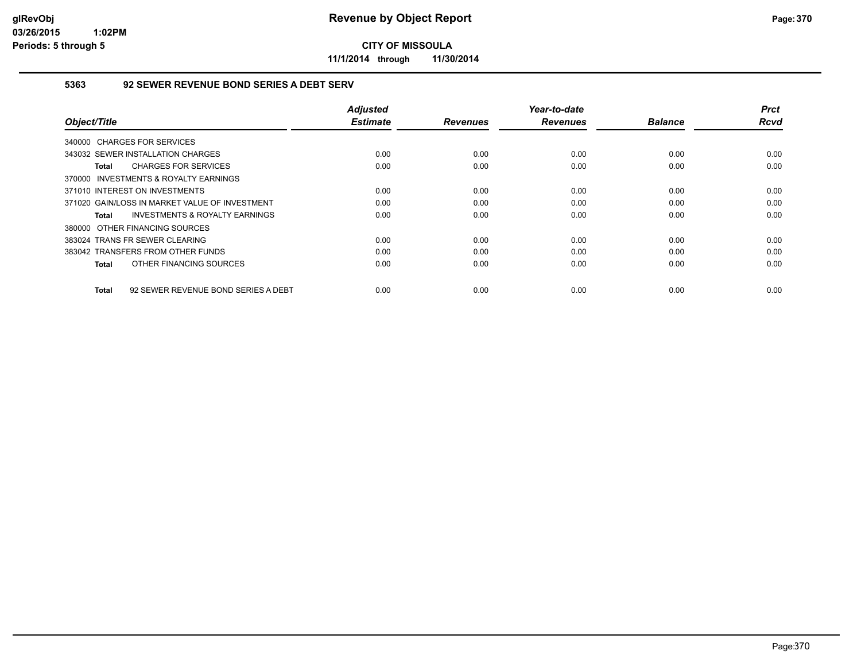**11/1/2014 through 11/30/2014**

## **5363 92 SEWER REVENUE BOND SERIES A DEBT SERV**

| Object/Title                                        | <b>Adjusted</b><br><b>Estimate</b> | <b>Revenues</b> | Year-to-date<br><b>Revenues</b> | <b>Balance</b> | <b>Prct</b><br>Rcvd |
|-----------------------------------------------------|------------------------------------|-----------------|---------------------------------|----------------|---------------------|
| 340000 CHARGES FOR SERVICES                         |                                    |                 |                                 |                |                     |
| 343032 SEWER INSTALLATION CHARGES                   | 0.00                               | 0.00            | 0.00                            | 0.00           | 0.00                |
| <b>CHARGES FOR SERVICES</b><br>Total                | 0.00                               | 0.00            | 0.00                            | 0.00           | 0.00                |
| 370000 INVESTMENTS & ROYALTY EARNINGS               |                                    |                 |                                 |                |                     |
| 371010 INTEREST ON INVESTMENTS                      | 0.00                               | 0.00            | 0.00                            | 0.00           | 0.00                |
| 371020 GAIN/LOSS IN MARKET VALUE OF INVESTMENT      | 0.00                               | 0.00            | 0.00                            | 0.00           | 0.00                |
| <b>INVESTMENTS &amp; ROYALTY EARNINGS</b><br>Total  | 0.00                               | 0.00            | 0.00                            | 0.00           | 0.00                |
| 380000 OTHER FINANCING SOURCES                      |                                    |                 |                                 |                |                     |
| 383024 TRANS FR SEWER CLEARING                      | 0.00                               | 0.00            | 0.00                            | 0.00           | 0.00                |
| 383042 TRANSFERS FROM OTHER FUNDS                   | 0.00                               | 0.00            | 0.00                            | 0.00           | 0.00                |
| OTHER FINANCING SOURCES<br>Total                    | 0.00                               | 0.00            | 0.00                            | 0.00           | 0.00                |
| 92 SEWER REVENUE BOND SERIES A DEBT<br><b>Total</b> | 0.00                               | 0.00            | 0.00                            | 0.00           | 0.00                |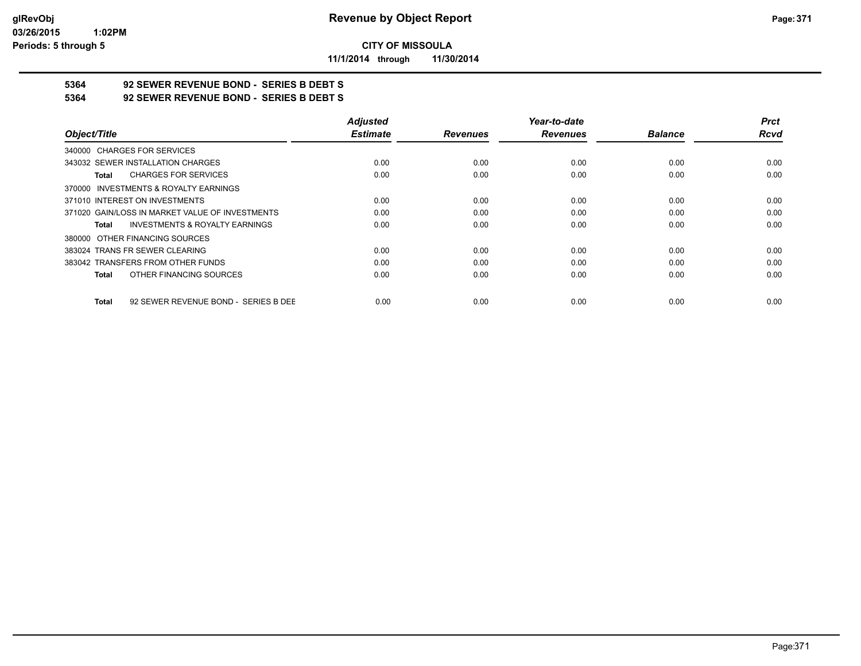**11/1/2014 through 11/30/2014**

# **5364 92 SEWER REVENUE BOND - SERIES B DEBT S**

**5364 92 SEWER REVENUE BOND - SERIES B DEBT S**

|                                                      | <b>Adjusted</b> |                 | Year-to-date    |                | <b>Prct</b> |
|------------------------------------------------------|-----------------|-----------------|-----------------|----------------|-------------|
| Object/Title                                         | <b>Estimate</b> | <b>Revenues</b> | <b>Revenues</b> | <b>Balance</b> | <b>Rcvd</b> |
| 340000 CHARGES FOR SERVICES                          |                 |                 |                 |                |             |
| 343032 SEWER INSTALLATION CHARGES                    | 0.00            | 0.00            | 0.00            | 0.00           | 0.00        |
| <b>CHARGES FOR SERVICES</b><br>Total                 | 0.00            | 0.00            | 0.00            | 0.00           | 0.00        |
| 370000 INVESTMENTS & ROYALTY EARNINGS                |                 |                 |                 |                |             |
| 371010 INTEREST ON INVESTMENTS                       | 0.00            | 0.00            | 0.00            | 0.00           | 0.00        |
| 371020 GAIN/LOSS IN MARKET VALUE OF INVESTMENTS      | 0.00            | 0.00            | 0.00            | 0.00           | 0.00        |
| <b>INVESTMENTS &amp; ROYALTY EARNINGS</b><br>Total   | 0.00            | 0.00            | 0.00            | 0.00           | 0.00        |
| 380000 OTHER FINANCING SOURCES                       |                 |                 |                 |                |             |
| 383024 TRANS FR SEWER CLEARING                       | 0.00            | 0.00            | 0.00            | 0.00           | 0.00        |
| 383042 TRANSFERS FROM OTHER FUNDS                    | 0.00            | 0.00            | 0.00            | 0.00           | 0.00        |
| OTHER FINANCING SOURCES<br><b>Total</b>              | 0.00            | 0.00            | 0.00            | 0.00           | 0.00        |
| 92 SEWER REVENUE BOND - SERIES B DEE<br><b>Total</b> | 0.00            | 0.00            | 0.00            | 0.00           | 0.00        |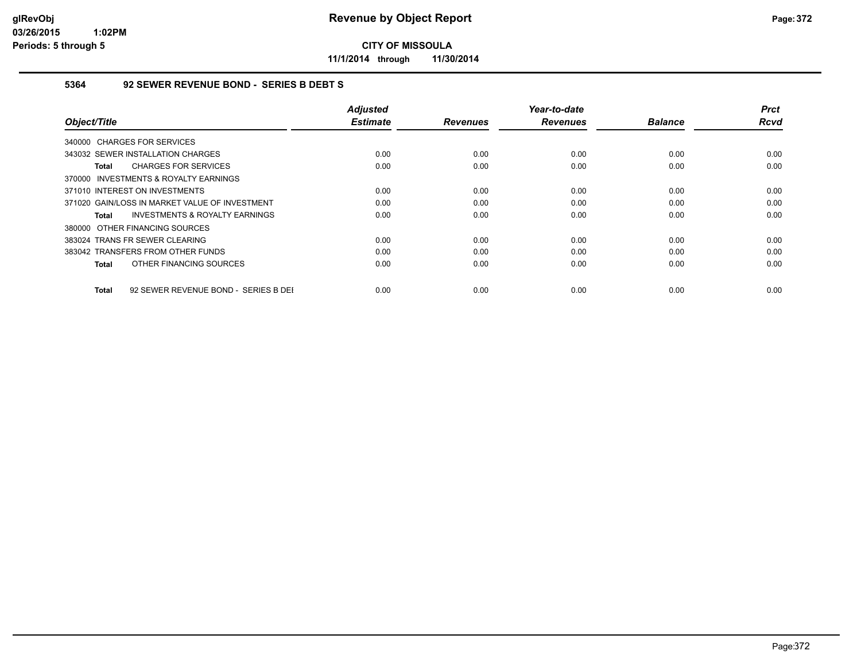**11/1/2014 through 11/30/2014**

## **5364 92 SEWER REVENUE BOND - SERIES B DEBT S**

| Object/Title                                         | <b>Adjusted</b><br><b>Estimate</b> | <b>Revenues</b> | Year-to-date<br><b>Revenues</b> | <b>Balance</b> | <b>Prct</b><br><b>Rcvd</b> |
|------------------------------------------------------|------------------------------------|-----------------|---------------------------------|----------------|----------------------------|
| 340000 CHARGES FOR SERVICES                          |                                    |                 |                                 |                |                            |
| 343032 SEWER INSTALLATION CHARGES                    | 0.00                               | 0.00            | 0.00                            | 0.00           | 0.00                       |
| <b>CHARGES FOR SERVICES</b><br>Total                 | 0.00                               | 0.00            | 0.00                            | 0.00           | 0.00                       |
| 370000 INVESTMENTS & ROYALTY EARNINGS                |                                    |                 |                                 |                |                            |
| 371010 INTEREST ON INVESTMENTS                       | 0.00                               | 0.00            | 0.00                            | 0.00           | 0.00                       |
| 371020 GAIN/LOSS IN MARKET VALUE OF INVESTMENT       | 0.00                               | 0.00            | 0.00                            | 0.00           | 0.00                       |
| <b>INVESTMENTS &amp; ROYALTY EARNINGS</b><br>Total   | 0.00                               | 0.00            | 0.00                            | 0.00           | 0.00                       |
| 380000 OTHER FINANCING SOURCES                       |                                    |                 |                                 |                |                            |
| 383024 TRANS FR SEWER CLEARING                       | 0.00                               | 0.00            | 0.00                            | 0.00           | 0.00                       |
| 383042 TRANSFERS FROM OTHER FUNDS                    | 0.00                               | 0.00            | 0.00                            | 0.00           | 0.00                       |
| OTHER FINANCING SOURCES<br>Total                     | 0.00                               | 0.00            | 0.00                            | 0.00           | 0.00                       |
| 92 SEWER REVENUE BOND - SERIES B DEI<br><b>Total</b> | 0.00                               | 0.00            | 0.00                            | 0.00           | 0.00                       |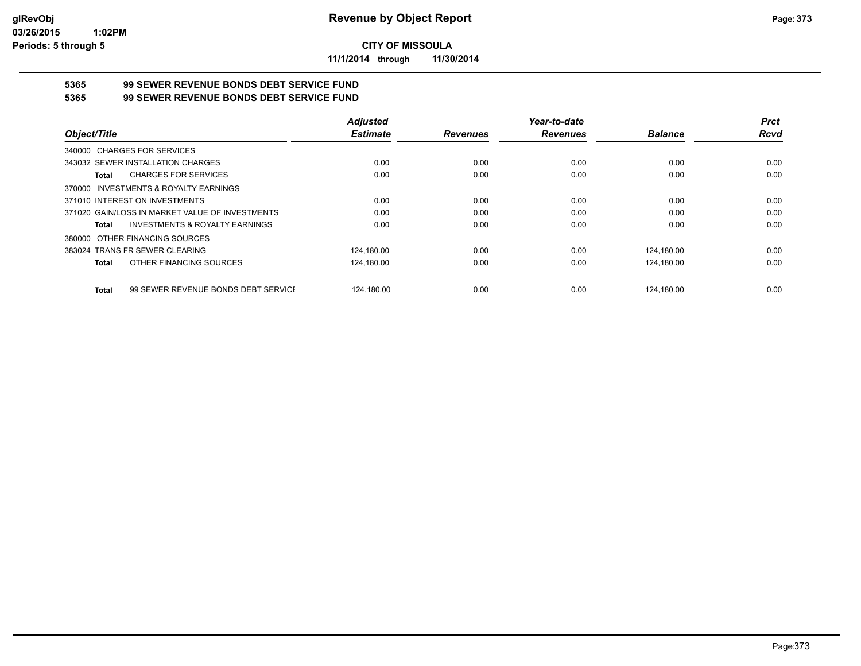*Prct Rcvd*

**CITY OF MISSOULA**

**11/1/2014 through 11/30/2014**

#### **5365 99 SEWER REVENUE BONDS DEBT SERVICE FUND 5365 99 SEWER REVENUE BONDS DEBT SERVICE FUND**

|                                                           | Adjusted        |                 | Year-to-date    |                | <b>Prct</b> |  |
|-----------------------------------------------------------|-----------------|-----------------|-----------------|----------------|-------------|--|
| Object/Title                                              | <b>Estimate</b> | <b>Revenues</b> | <b>Revenues</b> | <b>Balance</b> | Rcva        |  |
| 340000 CHARGES FOR SERVICES                               |                 |                 |                 |                |             |  |
| 343032 SEWER INSTALLATION CHARGES                         | 0.00            | 0.00            | 0.00            | 0.00           | 0.00        |  |
| <b>CHARGES FOR SERVICES</b><br>Total                      | 0.00            | 0.00            | 0.00            | 0.00           | 0.00        |  |
| INVESTMENTS & ROYALTY EARNINGS<br>370000                  |                 |                 |                 |                |             |  |
| 371010 INTEREST ON INVESTMENTS                            | 0.00            | 0.00            | 0.00            | 0.00           | 0.00        |  |
| 371020 GAIN/LOSS IN MARKET VALUE OF INVESTMENTS           | 0.00            | 0.00            | 0.00            | 0.00           | 0.00        |  |
| <b>INVESTMENTS &amp; ROYALTY EARNINGS</b><br><b>Total</b> | 0.00            | 0.00            | 0.00            | 0.00           | 0.00        |  |
| OTHER FINANCING SOURCES<br>380000                         |                 |                 |                 |                |             |  |
| 383024 TRANS FR SEWER CLEARING                            | 124,180.00      | 0.00            | 0.00            | 124,180.00     | 0.00        |  |
| OTHER FINANCING SOURCES<br><b>Total</b>                   | 124,180.00      | 0.00            | 0.00            | 124.180.00     | 0.00        |  |
| 99 SEWER REVENUE BONDS DEBT SERVICE<br><b>Total</b>       | 124.180.00      | 0.00            | 0.00            | 124.180.00     | 0.00        |  |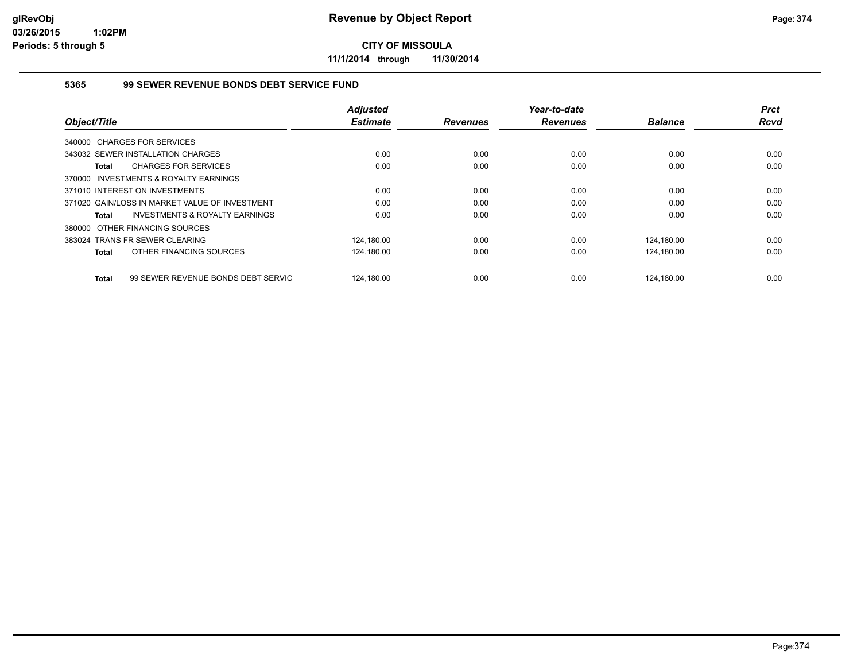**11/1/2014 through 11/30/2014**

## **5365 99 SEWER REVENUE BONDS DEBT SERVICE FUND**

|                                                    | <b>Adjusted</b> |                 | Year-to-date    |                | <b>Prct</b> |
|----------------------------------------------------|-----------------|-----------------|-----------------|----------------|-------------|
| Object/Title                                       | <b>Estimate</b> | <b>Revenues</b> | <b>Revenues</b> | <b>Balance</b> | <b>Rcvd</b> |
| 340000 CHARGES FOR SERVICES                        |                 |                 |                 |                |             |
| 343032 SEWER INSTALLATION CHARGES                  | 0.00            | 0.00            | 0.00            | 0.00           | 0.00        |
| <b>CHARGES FOR SERVICES</b><br>Total               | 0.00            | 0.00            | 0.00            | 0.00           | 0.00        |
| 370000 INVESTMENTS & ROYALTY EARNINGS              |                 |                 |                 |                |             |
| 371010 INTEREST ON INVESTMENTS                     | 0.00            | 0.00            | 0.00            | 0.00           | 0.00        |
| 371020 GAIN/LOSS IN MARKET VALUE OF INVESTMENT     | 0.00            | 0.00            | 0.00            | 0.00           | 0.00        |
| INVESTMENTS & ROYALTY EARNINGS<br>Total            | 0.00            | 0.00            | 0.00            | 0.00           | 0.00        |
| 380000 OTHER FINANCING SOURCES                     |                 |                 |                 |                |             |
| 383024 TRANS FR SEWER CLEARING                     | 124,180.00      | 0.00            | 0.00            | 124,180.00     | 0.00        |
| OTHER FINANCING SOURCES<br>Total                   | 124,180.00      | 0.00            | 0.00            | 124,180.00     | 0.00        |
| 99 SEWER REVENUE BONDS DEBT SERVIC<br><b>Total</b> | 124.180.00      | 0.00            | 0.00            | 124.180.00     | 0.00        |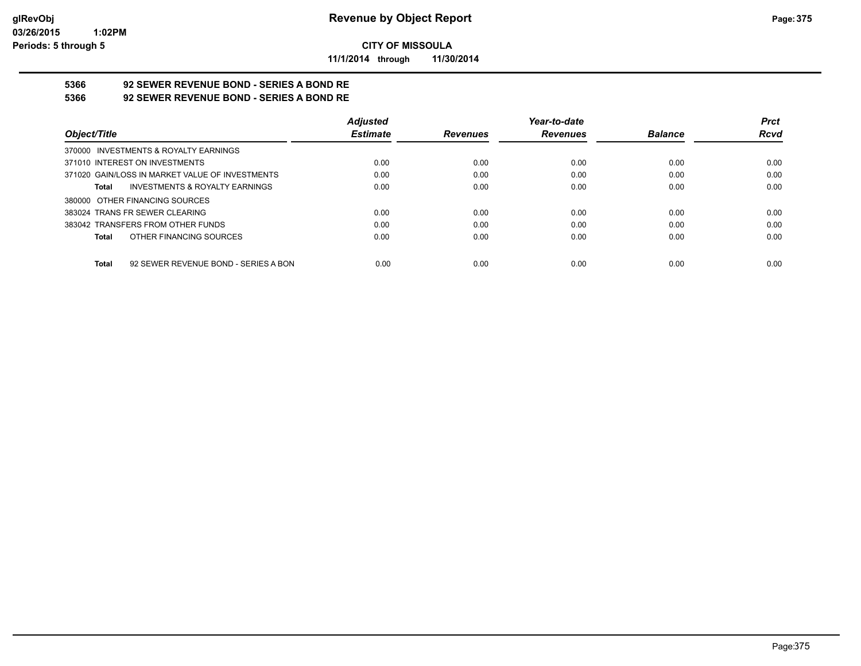**11/1/2014 through 11/30/2014**

# **5366 92 SEWER REVENUE BOND - SERIES A BOND RE**

**5366 92 SEWER REVENUE BOND - SERIES A BOND RE**

|                                                 | <b>Adjusted</b> |                 | Year-to-date    |                | <b>Prct</b> |
|-------------------------------------------------|-----------------|-----------------|-----------------|----------------|-------------|
| Object/Title                                    | <b>Estimate</b> | <b>Revenues</b> | <b>Revenues</b> | <b>Balance</b> | <b>Rcvd</b> |
| 370000 INVESTMENTS & ROYALTY EARNINGS           |                 |                 |                 |                |             |
| 371010 INTEREST ON INVESTMENTS                  | 0.00            | 0.00            | 0.00            | 0.00           | 0.00        |
| 371020 GAIN/LOSS IN MARKET VALUE OF INVESTMENTS | 0.00            | 0.00            | 0.00            | 0.00           | 0.00        |
| INVESTMENTS & ROYALTY EARNINGS<br>Total         | 0.00            | 0.00            | 0.00            | 0.00           | 0.00        |
| 380000 OTHER FINANCING SOURCES                  |                 |                 |                 |                |             |
| 383024 TRANS FR SEWER CLEARING                  | 0.00            | 0.00            | 0.00            | 0.00           | 0.00        |
| 383042 TRANSFERS FROM OTHER FUNDS               | 0.00            | 0.00            | 0.00            | 0.00           | 0.00        |
| OTHER FINANCING SOURCES<br>Total                | 0.00            | 0.00            | 0.00            | 0.00           | 0.00        |
|                                                 |                 |                 |                 |                |             |
| 92 SEWER REVENUE BOND - SERIES A BON<br>Total   | 0.00            | 0.00            | 0.00            | 0.00           | 0.00        |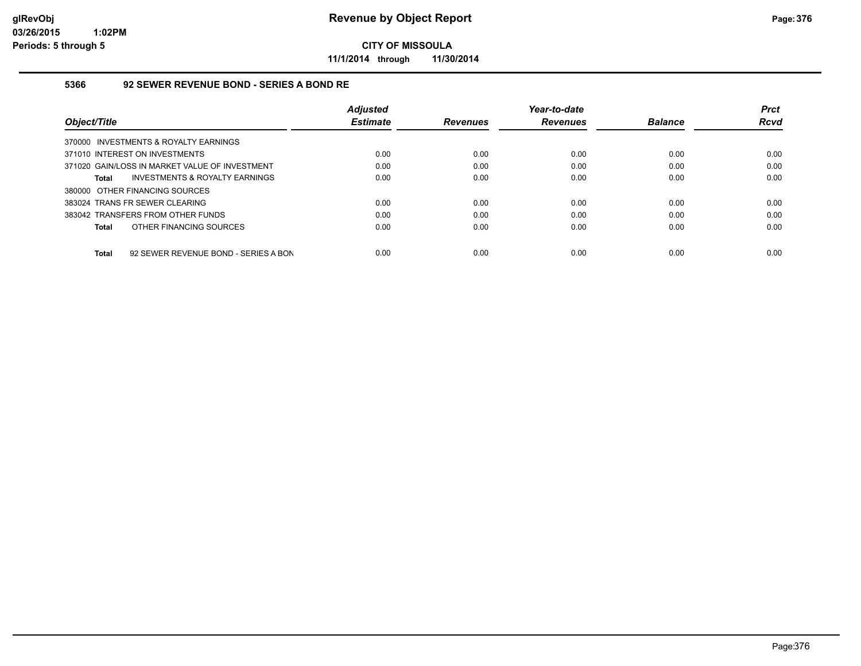**11/1/2014 through 11/30/2014**

## **5366 92 SEWER REVENUE BOND - SERIES A BOND RE**

|                                                      | <b>Adiusted</b> |                 | Year-to-date    |                | <b>Prct</b> |
|------------------------------------------------------|-----------------|-----------------|-----------------|----------------|-------------|
| Object/Title                                         | <b>Estimate</b> | <b>Revenues</b> | <b>Revenues</b> | <b>Balance</b> | Rcvd        |
| 370000 INVESTMENTS & ROYALTY EARNINGS                |                 |                 |                 |                |             |
| 371010 INTEREST ON INVESTMENTS                       | 0.00            | 0.00            | 0.00            | 0.00           | 0.00        |
| 371020 GAIN/LOSS IN MARKET VALUE OF INVESTMENT       | 0.00            | 0.00            | 0.00            | 0.00           | 0.00        |
| INVESTMENTS & ROYALTY EARNINGS<br><b>Total</b>       | 0.00            | 0.00            | 0.00            | 0.00           | 0.00        |
| 380000 OTHER FINANCING SOURCES                       |                 |                 |                 |                |             |
| 383024 TRANS FR SEWER CLEARING                       | 0.00            | 0.00            | 0.00            | 0.00           | 0.00        |
| 383042 TRANSFERS FROM OTHER FUNDS                    | 0.00            | 0.00            | 0.00            | 0.00           | 0.00        |
| OTHER FINANCING SOURCES<br>Total                     | 0.00            | 0.00            | 0.00            | 0.00           | 0.00        |
|                                                      |                 |                 |                 |                |             |
| 92 SEWER REVENUE BOND - SERIES A BON<br><b>Total</b> | 0.00            | 0.00            | 0.00            | 0.00           | 0.00        |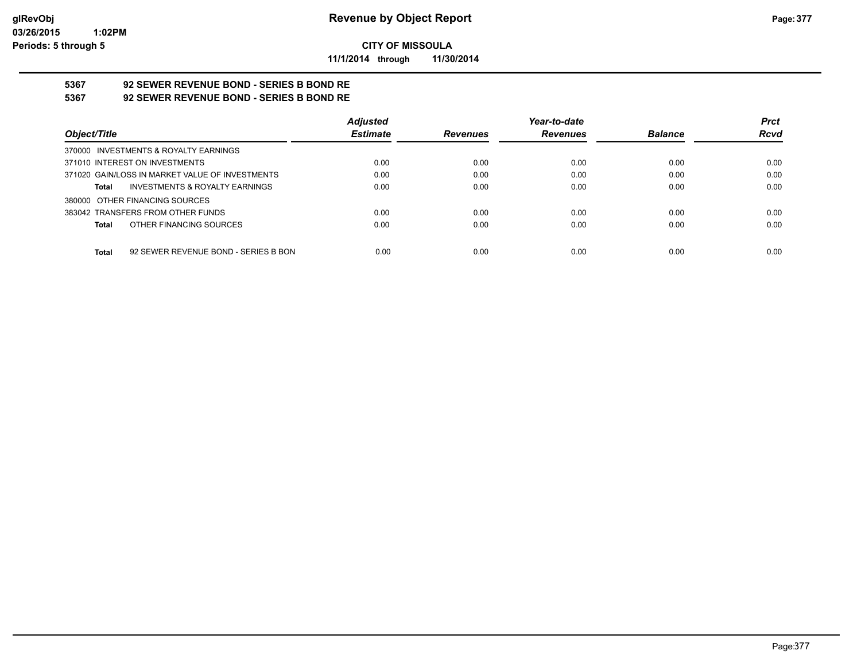**11/1/2014 through 11/30/2014**

# **5367 92 SEWER REVENUE BOND - SERIES B BOND RE**

**5367 92 SEWER REVENUE BOND - SERIES B BOND RE**

|                                                      | <b>Adjusted</b> |                 | Year-to-date    |                | <b>Prct</b> |
|------------------------------------------------------|-----------------|-----------------|-----------------|----------------|-------------|
| Object/Title                                         | <b>Estimate</b> | <b>Revenues</b> | <b>Revenues</b> | <b>Balance</b> | <b>Rcvd</b> |
| 370000 INVESTMENTS & ROYALTY EARNINGS                |                 |                 |                 |                |             |
| 371010 INTEREST ON INVESTMENTS                       | 0.00            | 0.00            | 0.00            | 0.00           | 0.00        |
| 371020 GAIN/LOSS IN MARKET VALUE OF INVESTMENTS      | 0.00            | 0.00            | 0.00            | 0.00           | 0.00        |
| INVESTMENTS & ROYALTY EARNINGS<br>Total              | 0.00            | 0.00            | 0.00            | 0.00           | 0.00        |
| 380000 OTHER FINANCING SOURCES                       |                 |                 |                 |                |             |
| 383042 TRANSFERS FROM OTHER FUNDS                    | 0.00            | 0.00            | 0.00            | 0.00           | 0.00        |
| OTHER FINANCING SOURCES<br>Total                     | 0.00            | 0.00            | 0.00            | 0.00           | 0.00        |
|                                                      |                 |                 |                 |                |             |
| <b>Total</b><br>92 SEWER REVENUE BOND - SERIES B BON | 0.00            | 0.00            | 0.00            | 0.00           | 0.00        |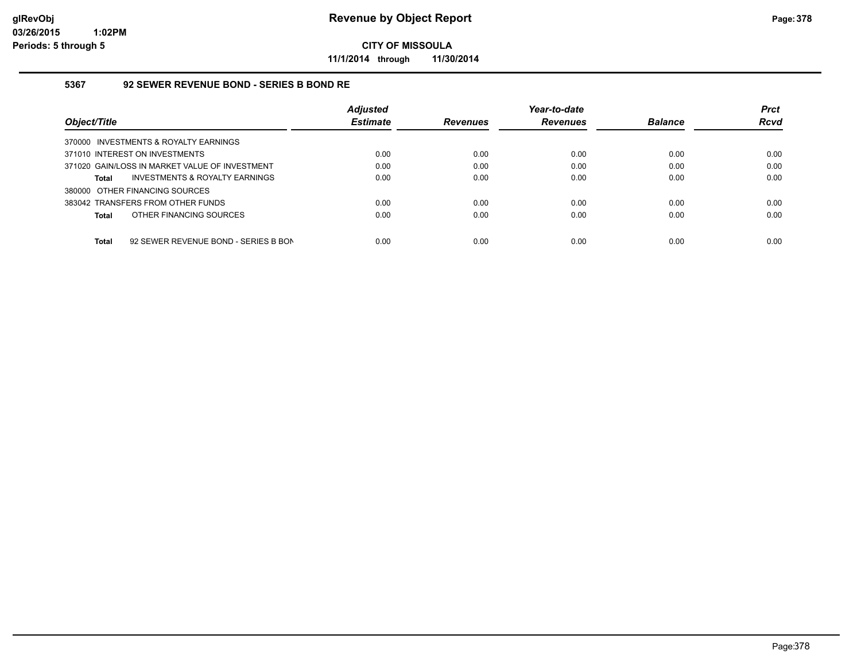**11/1/2014 through 11/30/2014**

#### **5367 92 SEWER REVENUE BOND - SERIES B BOND RE**

|                                                      | <b>Adjusted</b> |                 | Year-to-date    |                | <b>Prct</b> |
|------------------------------------------------------|-----------------|-----------------|-----------------|----------------|-------------|
| Object/Title                                         | <b>Estimate</b> | <b>Revenues</b> | <b>Revenues</b> | <b>Balance</b> | <b>Rcvd</b> |
| 370000 INVESTMENTS & ROYALTY EARNINGS                |                 |                 |                 |                |             |
| 371010 INTEREST ON INVESTMENTS                       | 0.00            | 0.00            | 0.00            | 0.00           | 0.00        |
| 371020 GAIN/LOSS IN MARKET VALUE OF INVESTMENT       | 0.00            | 0.00            | 0.00            | 0.00           | 0.00        |
| INVESTMENTS & ROYALTY EARNINGS<br>Total              | 0.00            | 0.00            | 0.00            | 0.00           | 0.00        |
| 380000 OTHER FINANCING SOURCES                       |                 |                 |                 |                |             |
| 383042 TRANSFERS FROM OTHER FUNDS                    | 0.00            | 0.00            | 0.00            | 0.00           | 0.00        |
| OTHER FINANCING SOURCES<br>Total                     | 0.00            | 0.00            | 0.00            | 0.00           | 0.00        |
|                                                      |                 |                 |                 |                |             |
| <b>Total</b><br>92 SEWER REVENUE BOND - SERIES B BON | 0.00            | 0.00            | 0.00            | 0.00           | 0.00        |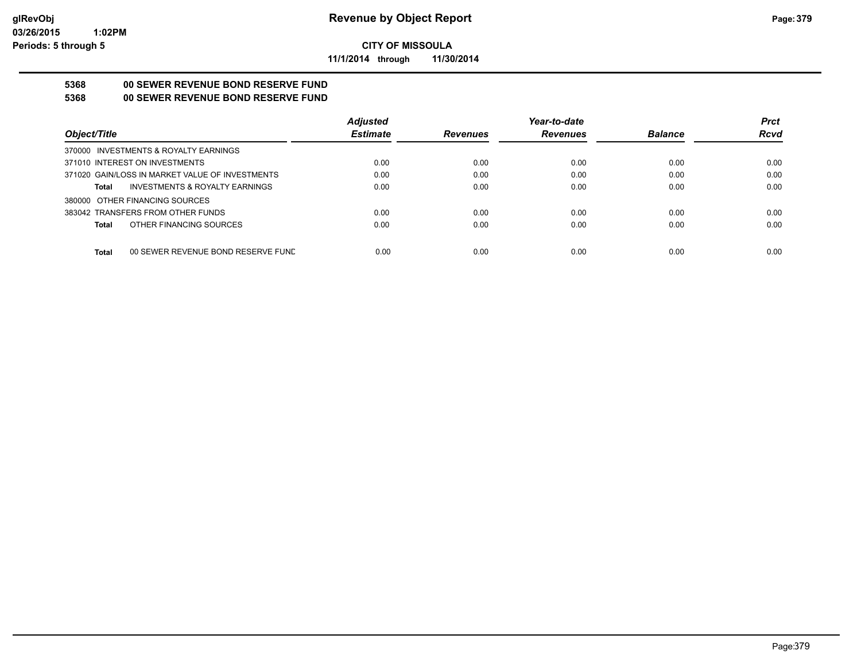**11/1/2014 through 11/30/2014**

# **5368 00 SEWER REVENUE BOND RESERVE FUND**

## **5368 00 SEWER REVENUE BOND RESERVE FUND**

|                                                    | <b>Adjusted</b> |                 | Year-to-date    |                | <b>Prct</b> |
|----------------------------------------------------|-----------------|-----------------|-----------------|----------------|-------------|
| Object/Title                                       | <b>Estimate</b> | <b>Revenues</b> | <b>Revenues</b> | <b>Balance</b> | <b>Rcvd</b> |
| 370000 INVESTMENTS & ROYALTY EARNINGS              |                 |                 |                 |                |             |
| 371010 INTEREST ON INVESTMENTS                     | 0.00            | 0.00            | 0.00            | 0.00           | 0.00        |
| 371020 GAIN/LOSS IN MARKET VALUE OF INVESTMENTS    | 0.00            | 0.00            | 0.00            | 0.00           | 0.00        |
| <b>INVESTMENTS &amp; ROYALTY EARNINGS</b><br>Total | 0.00            | 0.00            | 0.00            | 0.00           | 0.00        |
| 380000 OTHER FINANCING SOURCES                     |                 |                 |                 |                |             |
| 383042 TRANSFERS FROM OTHER FUNDS                  | 0.00            | 0.00            | 0.00            | 0.00           | 0.00        |
| OTHER FINANCING SOURCES<br>Total                   | 0.00            | 0.00            | 0.00            | 0.00           | 0.00        |
|                                                    |                 |                 |                 |                |             |
| <b>Total</b><br>00 SEWER REVENUE BOND RESERVE FUND | 0.00            | 0.00            | 0.00            | 0.00           | 0.00        |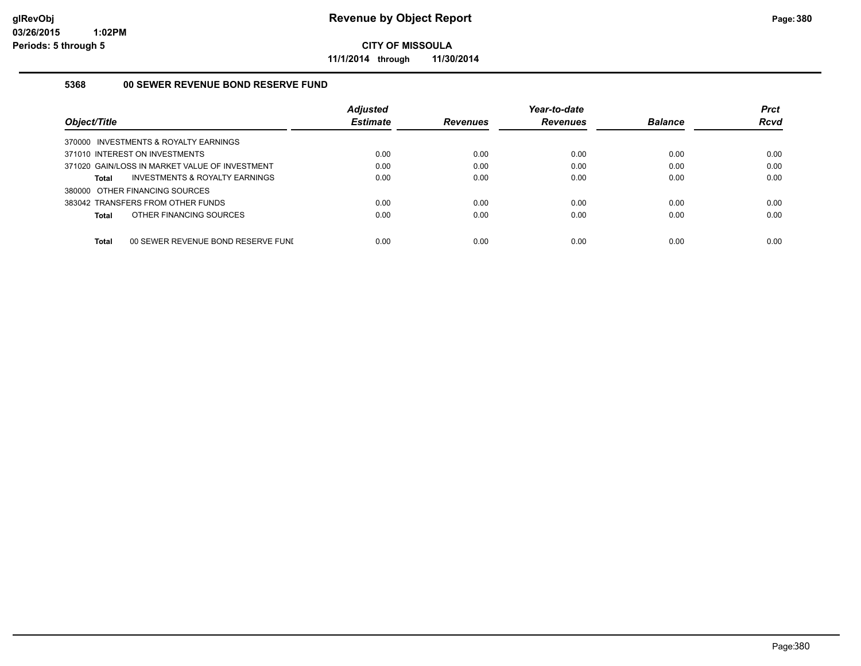**11/1/2014 through 11/30/2014**

## **5368 00 SEWER REVENUE BOND RESERVE FUND**

|                                                | <b>Adjusted</b> |                 | Year-to-date    |                | <b>Prct</b> |
|------------------------------------------------|-----------------|-----------------|-----------------|----------------|-------------|
| Object/Title                                   | <b>Estimate</b> | <b>Revenues</b> | <b>Revenues</b> | <b>Balance</b> | Rcvd        |
| 370000 INVESTMENTS & ROYALTY EARNINGS          |                 |                 |                 |                |             |
| 371010 INTEREST ON INVESTMENTS                 | 0.00            | 0.00            | 0.00            | 0.00           | 0.00        |
| 371020 GAIN/LOSS IN MARKET VALUE OF INVESTMENT | 0.00            | 0.00            | 0.00            | 0.00           | 0.00        |
| INVESTMENTS & ROYALTY EARNINGS<br>Total        | 0.00            | 0.00            | 0.00            | 0.00           | 0.00        |
| 380000 OTHER FINANCING SOURCES                 |                 |                 |                 |                |             |
| 383042 TRANSFERS FROM OTHER FUNDS              | 0.00            | 0.00            | 0.00            | 0.00           | 0.00        |
| OTHER FINANCING SOURCES<br>Total               | 0.00            | 0.00            | 0.00            | 0.00           | 0.00        |
|                                                |                 |                 |                 |                |             |
| Total<br>00 SEWER REVENUE BOND RESERVE FUNI    | 0.00            | 0.00            | 0.00            | 0.00           | 0.00        |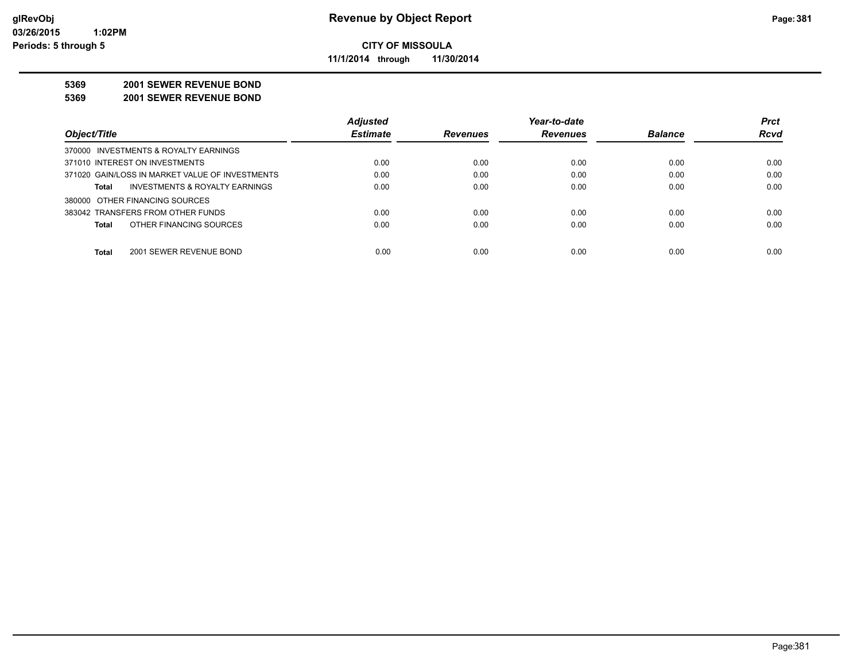**11/1/2014 through 11/30/2014**

#### **5369 2001 SEWER REVENUE BOND**

**5369 2001 SEWER REVENUE BOND**

|                                                 | <b>Adjusted</b> |                 | Year-to-date    |                | <b>Prct</b> |
|-------------------------------------------------|-----------------|-----------------|-----------------|----------------|-------------|
| Object/Title                                    | <b>Estimate</b> | <b>Revenues</b> | <b>Revenues</b> | <b>Balance</b> | <b>Rcvd</b> |
| 370000 INVESTMENTS & ROYALTY EARNINGS           |                 |                 |                 |                |             |
| 371010 INTEREST ON INVESTMENTS                  | 0.00            | 0.00            | 0.00            | 0.00           | 0.00        |
| 371020 GAIN/LOSS IN MARKET VALUE OF INVESTMENTS | 0.00            | 0.00            | 0.00            | 0.00           | 0.00        |
| INVESTMENTS & ROYALTY EARNINGS<br>Total         | 0.00            | 0.00            | 0.00            | 0.00           | 0.00        |
| 380000 OTHER FINANCING SOURCES                  |                 |                 |                 |                |             |
| 383042 TRANSFERS FROM OTHER FUNDS               | 0.00            | 0.00            | 0.00            | 0.00           | 0.00        |
| OTHER FINANCING SOURCES<br><b>Total</b>         | 0.00            | 0.00            | 0.00            | 0.00           | 0.00        |
| <b>Total</b><br>2001 SEWER REVENUE BOND         | 0.00            | 0.00            | 0.00            | 0.00           | 0.00        |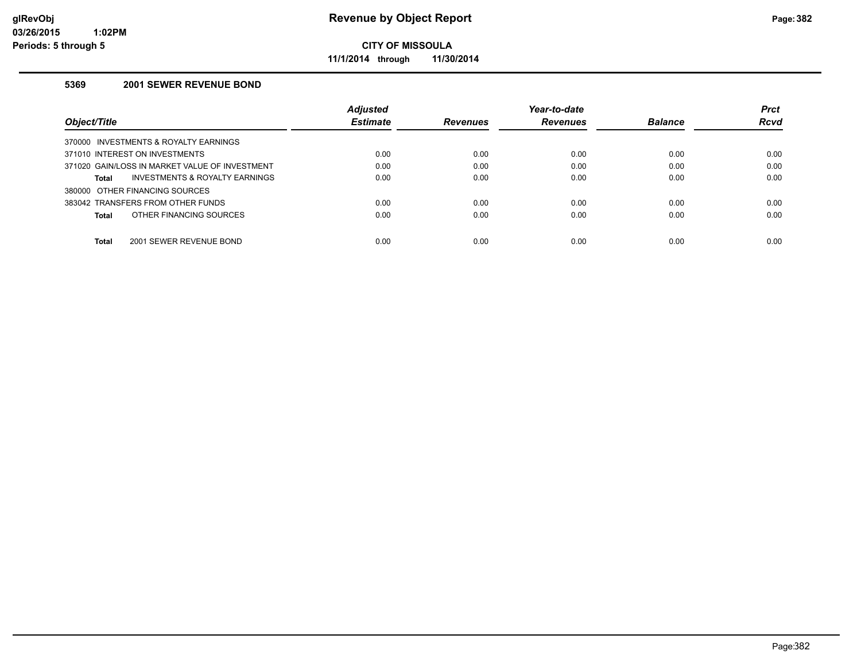**11/1/2014 through 11/30/2014**

## **5369 2001 SEWER REVENUE BOND**

| <b>Adjusted</b> |                 | Year-to-date    |                | <b>Prct</b> |
|-----------------|-----------------|-----------------|----------------|-------------|
| <b>Estimate</b> | <b>Revenues</b> | <b>Revenues</b> | <b>Balance</b> | Rcvd        |
|                 |                 |                 |                |             |
| 0.00            | 0.00            | 0.00            | 0.00           | 0.00        |
| 0.00            | 0.00            | 0.00            | 0.00           | 0.00        |
| 0.00            | 0.00            | 0.00            | 0.00           | 0.00        |
|                 |                 |                 |                |             |
| 0.00            | 0.00            | 0.00            | 0.00           | 0.00        |
| 0.00            | 0.00            | 0.00            | 0.00           | 0.00        |
|                 |                 |                 |                | 0.00        |
|                 | 0.00            | 0.00            | 0.00           | 0.00        |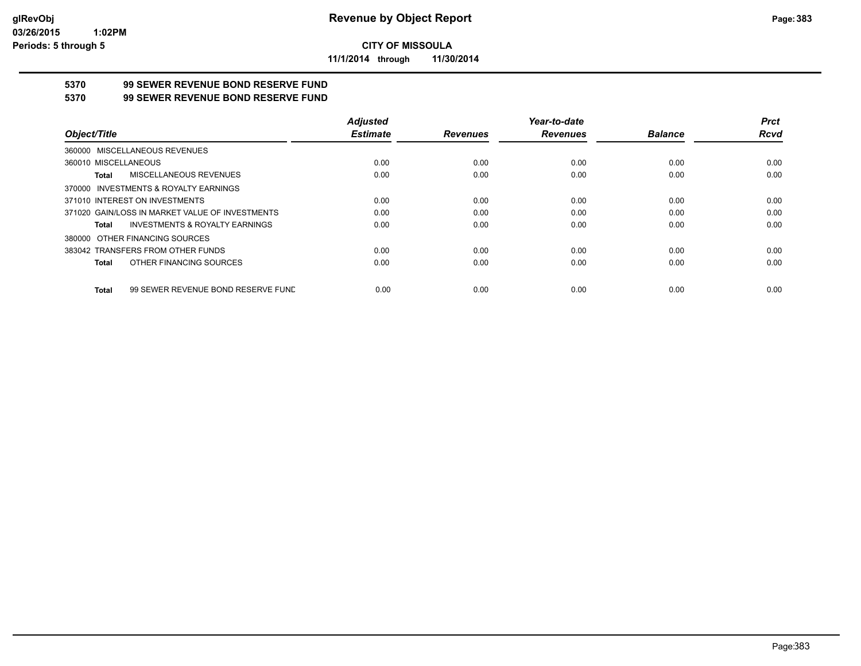**11/1/2014 through 11/30/2014**

## **5370 99 SEWER REVENUE BOND RESERVE FUND**

## **5370 99 SEWER REVENUE BOND RESERVE FUND**

|                                                    | <b>Adjusted</b> |                 | Year-to-date    |                | <b>Prct</b> |
|----------------------------------------------------|-----------------|-----------------|-----------------|----------------|-------------|
| Object/Title                                       | <b>Estimate</b> | <b>Revenues</b> | <b>Revenues</b> | <b>Balance</b> | Rcvd        |
| 360000 MISCELLANEOUS REVENUES                      |                 |                 |                 |                |             |
| 360010 MISCELLANEOUS                               | 0.00            | 0.00            | 0.00            | 0.00           | 0.00        |
| MISCELLANEOUS REVENUES<br>Total                    | 0.00            | 0.00            | 0.00            | 0.00           | 0.00        |
| 370000 INVESTMENTS & ROYALTY EARNINGS              |                 |                 |                 |                |             |
| 371010 INTEREST ON INVESTMENTS                     | 0.00            | 0.00            | 0.00            | 0.00           | 0.00        |
| 371020 GAIN/LOSS IN MARKET VALUE OF INVESTMENTS    | 0.00            | 0.00            | 0.00            | 0.00           | 0.00        |
| <b>INVESTMENTS &amp; ROYALTY EARNINGS</b><br>Total | 0.00            | 0.00            | 0.00            | 0.00           | 0.00        |
| 380000 OTHER FINANCING SOURCES                     |                 |                 |                 |                |             |
| 383042 TRANSFERS FROM OTHER FUNDS                  | 0.00            | 0.00            | 0.00            | 0.00           | 0.00        |
| OTHER FINANCING SOURCES<br>Total                   | 0.00            | 0.00            | 0.00            | 0.00           | 0.00        |
| 99 SEWER REVENUE BOND RESERVE FUND<br>Total        | 0.00            | 0.00            | 0.00            | 0.00           | 0.00        |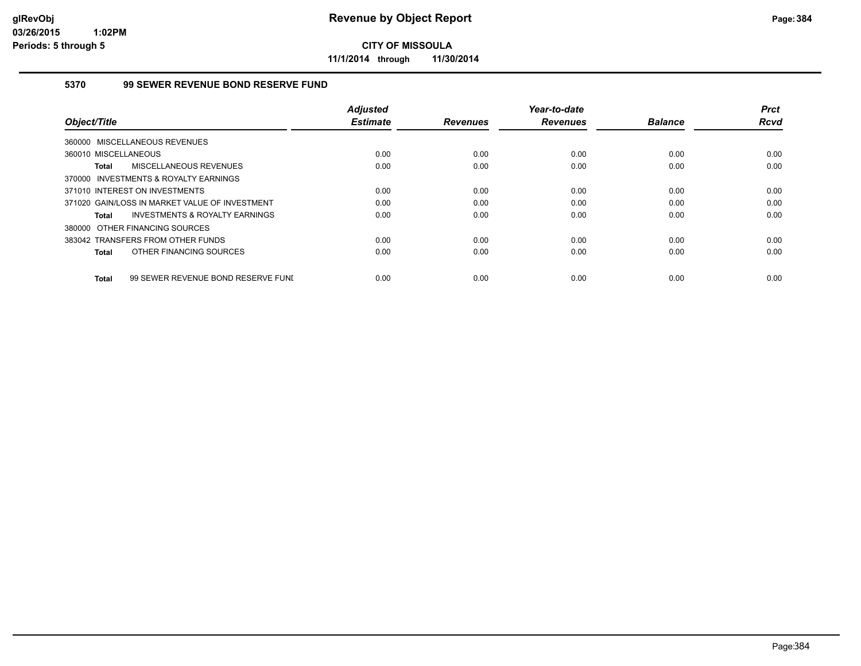**11/1/2014 through 11/30/2014**

## **5370 99 SEWER REVENUE BOND RESERVE FUND**

|                                                    | <b>Adjusted</b> |                 | Year-to-date    |                | <b>Prct</b> |
|----------------------------------------------------|-----------------|-----------------|-----------------|----------------|-------------|
| Object/Title                                       | <b>Estimate</b> | <b>Revenues</b> | <b>Revenues</b> | <b>Balance</b> | <b>Rcvd</b> |
| 360000 MISCELLANEOUS REVENUES                      |                 |                 |                 |                |             |
| 360010 MISCELLANEOUS                               | 0.00            | 0.00            | 0.00            | 0.00           | 0.00        |
| MISCELLANEOUS REVENUES<br>Total                    | 0.00            | 0.00            | 0.00            | 0.00           | 0.00        |
| 370000 INVESTMENTS & ROYALTY EARNINGS              |                 |                 |                 |                |             |
| 371010 INTEREST ON INVESTMENTS                     | 0.00            | 0.00            | 0.00            | 0.00           | 0.00        |
| 371020 GAIN/LOSS IN MARKET VALUE OF INVESTMENT     | 0.00            | 0.00            | 0.00            | 0.00           | 0.00        |
| <b>INVESTMENTS &amp; ROYALTY EARNINGS</b><br>Total | 0.00            | 0.00            | 0.00            | 0.00           | 0.00        |
| 380000 OTHER FINANCING SOURCES                     |                 |                 |                 |                |             |
| 383042 TRANSFERS FROM OTHER FUNDS                  | 0.00            | 0.00            | 0.00            | 0.00           | 0.00        |
| OTHER FINANCING SOURCES<br>Total                   | 0.00            | 0.00            | 0.00            | 0.00           | 0.00        |
|                                                    |                 |                 |                 |                |             |
| 99 SEWER REVENUE BOND RESERVE FUNI<br><b>Total</b> | 0.00            | 0.00            | 0.00            | 0.00           | 0.00        |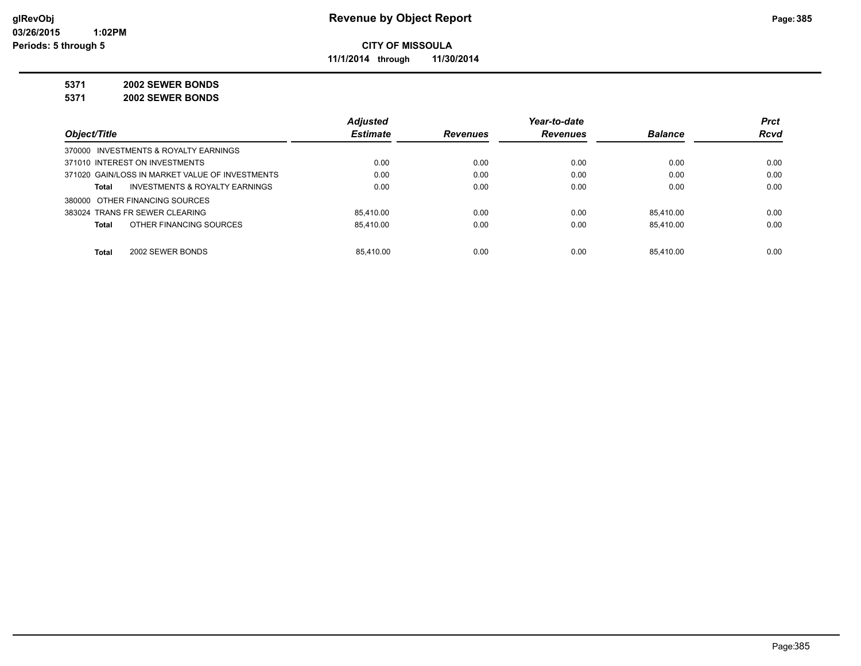**11/1/2014 through 11/30/2014**

#### **5371 2002 SEWER BONDS**

**5371 2002 SEWER BONDS**

|                                                 | <b>Adjusted</b> |                 | Year-to-date    |                | <b>Prct</b> |
|-------------------------------------------------|-----------------|-----------------|-----------------|----------------|-------------|
| Object/Title                                    | <b>Estimate</b> | <b>Revenues</b> | <b>Revenues</b> | <b>Balance</b> | <b>Rcvd</b> |
| 370000 INVESTMENTS & ROYALTY EARNINGS           |                 |                 |                 |                |             |
| 371010 INTEREST ON INVESTMENTS                  | 0.00            | 0.00            | 0.00            | 0.00           | 0.00        |
| 371020 GAIN/LOSS IN MARKET VALUE OF INVESTMENTS | 0.00            | 0.00            | 0.00            | 0.00           | 0.00        |
| INVESTMENTS & ROYALTY EARNINGS<br><b>Total</b>  | 0.00            | 0.00            | 0.00            | 0.00           | 0.00        |
| 380000 OTHER FINANCING SOURCES                  |                 |                 |                 |                |             |
| 383024 TRANS FR SEWER CLEARING                  | 85.410.00       | 0.00            | 0.00            | 85.410.00      | 0.00        |
| OTHER FINANCING SOURCES<br><b>Total</b>         | 85.410.00       | 0.00            | 0.00            | 85.410.00      | 0.00        |
|                                                 |                 |                 |                 |                |             |
| <b>Total</b><br>2002 SEWER BONDS                | 85.410.00       | 0.00            | 0.00            | 85.410.00      | 0.00        |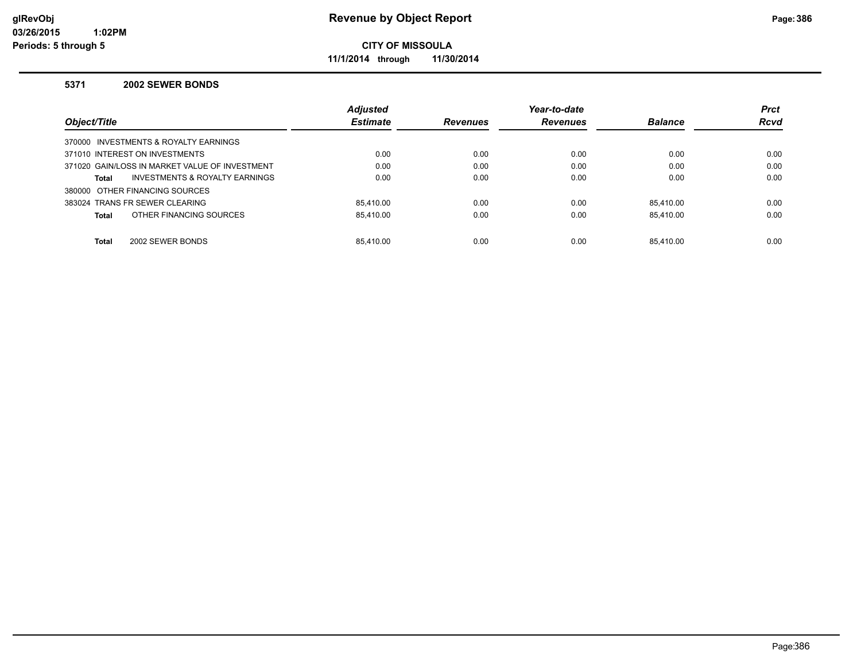**11/1/2014 through 11/30/2014**

#### **5371 2002 SEWER BONDS**

|                                                | <b>Adjusted</b> |                 | Year-to-date    |                | <b>Prct</b> |
|------------------------------------------------|-----------------|-----------------|-----------------|----------------|-------------|
| Object/Title                                   | <b>Estimate</b> | <b>Revenues</b> | <b>Revenues</b> | <b>Balance</b> | <b>Rcvd</b> |
| 370000 INVESTMENTS & ROYALTY EARNINGS          |                 |                 |                 |                |             |
| 371010 INTEREST ON INVESTMENTS                 | 0.00            | 0.00            | 0.00            | 0.00           | 0.00        |
| 371020 GAIN/LOSS IN MARKET VALUE OF INVESTMENT | 0.00            | 0.00            | 0.00            | 0.00           | 0.00        |
| INVESTMENTS & ROYALTY EARNINGS<br>Total        | 0.00            | 0.00            | 0.00            | 0.00           | 0.00        |
| 380000 OTHER FINANCING SOURCES                 |                 |                 |                 |                |             |
| 383024 TRANS FR SEWER CLEARING                 | 85.410.00       | 0.00            | 0.00            | 85.410.00      | 0.00        |
| OTHER FINANCING SOURCES<br><b>Total</b>        | 85.410.00       | 0.00            | 0.00            | 85.410.00      | 0.00        |
|                                                |                 |                 |                 |                |             |
| 2002 SEWER BONDS<br><b>Total</b>               | 85.410.00       | 0.00            | 0.00            | 85.410.00      | 0.00        |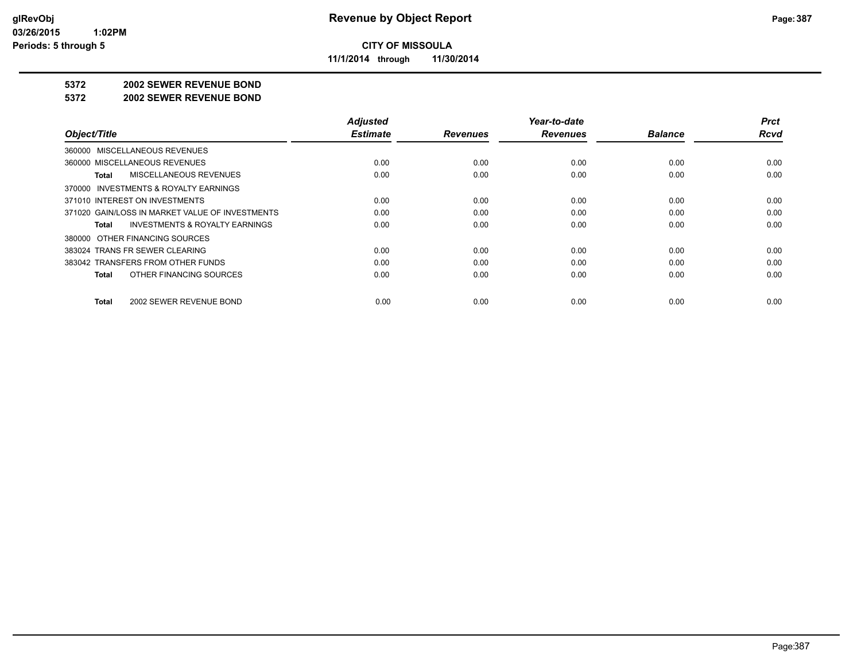**11/1/2014 through 11/30/2014**

#### **5372 2002 SEWER REVENUE BOND**

#### **5372 2002 SEWER REVENUE BOND**

| Object/Title                                       | <b>Adjusted</b><br><b>Estimate</b> | <b>Revenues</b> | Year-to-date<br><b>Revenues</b> | <b>Balance</b> | <b>Prct</b><br><b>Rcvd</b> |
|----------------------------------------------------|------------------------------------|-----------------|---------------------------------|----------------|----------------------------|
|                                                    |                                    |                 |                                 |                |                            |
| 360000 MISCELLANEOUS REVENUES                      |                                    |                 |                                 |                |                            |
| 360000 MISCELLANEOUS REVENUES                      | 0.00                               | 0.00            | 0.00                            | 0.00           | 0.00                       |
| <b>MISCELLANEOUS REVENUES</b><br>Total             | 0.00                               | 0.00            | 0.00                            | 0.00           | 0.00                       |
| 370000 INVESTMENTS & ROYALTY EARNINGS              |                                    |                 |                                 |                |                            |
| 371010 INTEREST ON INVESTMENTS                     | 0.00                               | 0.00            | 0.00                            | 0.00           | 0.00                       |
| 371020 GAIN/LOSS IN MARKET VALUE OF INVESTMENTS    | 0.00                               | 0.00            | 0.00                            | 0.00           | 0.00                       |
| <b>INVESTMENTS &amp; ROYALTY EARNINGS</b><br>Total | 0.00                               | 0.00            | 0.00                            | 0.00           | 0.00                       |
| 380000 OTHER FINANCING SOURCES                     |                                    |                 |                                 |                |                            |
| 383024 TRANS FR SEWER CLEARING                     | 0.00                               | 0.00            | 0.00                            | 0.00           | 0.00                       |
| 383042 TRANSFERS FROM OTHER FUNDS                  | 0.00                               | 0.00            | 0.00                            | 0.00           | 0.00                       |
| OTHER FINANCING SOURCES<br>Total                   | 0.00                               | 0.00            | 0.00                            | 0.00           | 0.00                       |
| 2002 SEWER REVENUE BOND<br>Total                   | 0.00                               | 0.00            | 0.00                            | 0.00           | 0.00                       |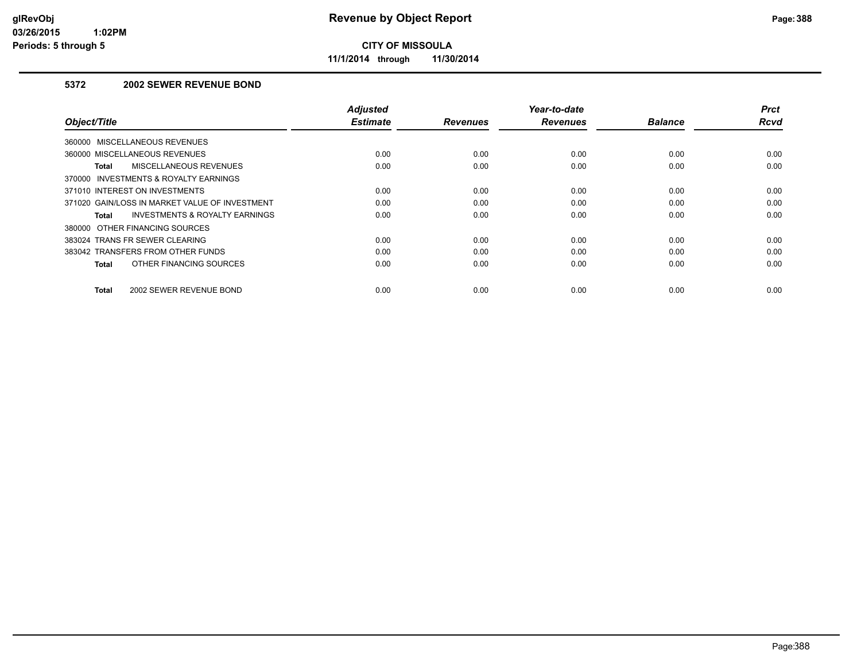**11/1/2014 through 11/30/2014**

## **5372 2002 SEWER REVENUE BOND**

| Object/Title                                       | <b>Adjusted</b><br><b>Estimate</b> | <b>Revenues</b> | Year-to-date<br><b>Revenues</b> | <b>Balance</b> | <b>Prct</b><br>Rcvd |
|----------------------------------------------------|------------------------------------|-----------------|---------------------------------|----------------|---------------------|
| <b>MISCELLANEOUS REVENUES</b><br>360000            |                                    |                 |                                 |                |                     |
| 360000 MISCELLANEOUS REVENUES                      | 0.00                               | 0.00            | 0.00                            | 0.00           | 0.00                |
| MISCELLANEOUS REVENUES<br>Total                    | 0.00                               | 0.00            | 0.00                            | 0.00           | 0.00                |
| INVESTMENTS & ROYALTY EARNINGS<br>370000           |                                    |                 |                                 |                |                     |
| 371010 INTEREST ON INVESTMENTS                     | 0.00                               | 0.00            | 0.00                            | 0.00           | 0.00                |
| 371020 GAIN/LOSS IN MARKET VALUE OF INVESTMENT     | 0.00                               | 0.00            | 0.00                            | 0.00           | 0.00                |
| <b>INVESTMENTS &amp; ROYALTY EARNINGS</b><br>Total | 0.00                               | 0.00            | 0.00                            | 0.00           | 0.00                |
| 380000 OTHER FINANCING SOURCES                     |                                    |                 |                                 |                |                     |
| 383024 TRANS FR SEWER CLEARING                     | 0.00                               | 0.00            | 0.00                            | 0.00           | 0.00                |
| 383042 TRANSFERS FROM OTHER FUNDS                  | 0.00                               | 0.00            | 0.00                            | 0.00           | 0.00                |
| OTHER FINANCING SOURCES<br><b>Total</b>            | 0.00                               | 0.00            | 0.00                            | 0.00           | 0.00                |
| 2002 SEWER REVENUE BOND<br><b>Total</b>            | 0.00                               | 0.00            | 0.00                            | 0.00           | 0.00                |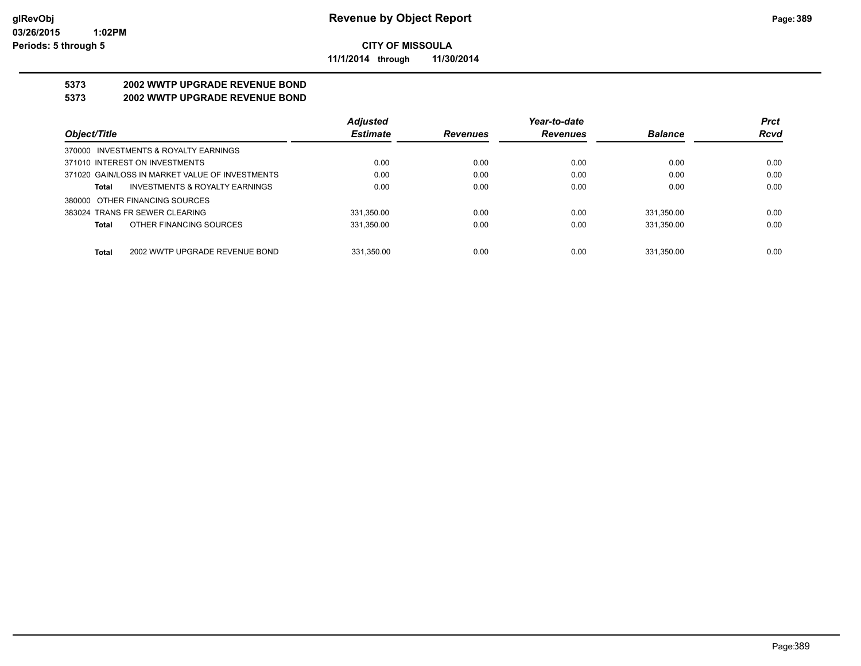**11/1/2014 through 11/30/2014**

# **5373 2002 WWTP UPGRADE REVENUE BOND**

## **5373 2002 WWTP UPGRADE REVENUE BOND**

|                                                 | <b>Adjusted</b> |                 | Year-to-date    |                | <b>Prct</b> |
|-------------------------------------------------|-----------------|-----------------|-----------------|----------------|-------------|
| Object/Title                                    | <b>Estimate</b> | <b>Revenues</b> | <b>Revenues</b> | <b>Balance</b> | <b>Rcvd</b> |
| 370000 INVESTMENTS & ROYALTY EARNINGS           |                 |                 |                 |                |             |
| 371010 INTEREST ON INVESTMENTS                  | 0.00            | 0.00            | 0.00            | 0.00           | 0.00        |
| 371020 GAIN/LOSS IN MARKET VALUE OF INVESTMENTS | 0.00            | 0.00            | 0.00            | 0.00           | 0.00        |
| INVESTMENTS & ROYALTY EARNINGS<br>Total         | 0.00            | 0.00            | 0.00            | 0.00           | 0.00        |
| 380000 OTHER FINANCING SOURCES                  |                 |                 |                 |                |             |
| 383024 TRANS FR SEWER CLEARING                  | 331.350.00      | 0.00            | 0.00            | 331.350.00     | 0.00        |
| OTHER FINANCING SOURCES<br>Total                | 331,350.00      | 0.00            | 0.00            | 331,350.00     | 0.00        |
|                                                 |                 |                 |                 |                |             |
| 2002 WWTP UPGRADE REVENUE BOND<br><b>Total</b>  | 331.350.00      | 0.00            | 0.00            | 331.350.00     | 0.00        |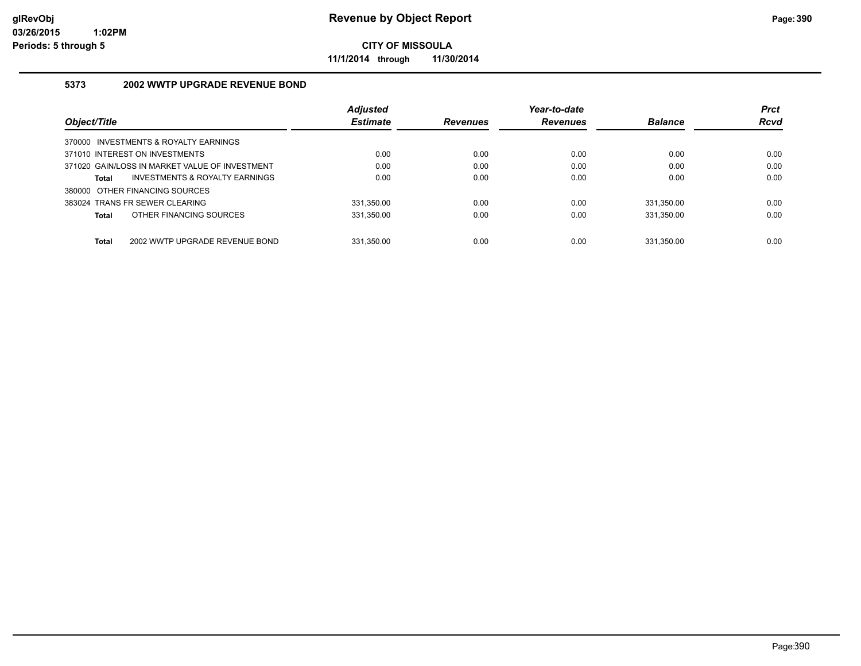**11/1/2014 through 11/30/2014**

## **5373 2002 WWTP UPGRADE REVENUE BOND**

|                                                | <b>Adjusted</b> |                 | Year-to-date    |                | <b>Prct</b> |
|------------------------------------------------|-----------------|-----------------|-----------------|----------------|-------------|
| Object/Title                                   | <b>Estimate</b> | <b>Revenues</b> | <b>Revenues</b> | <b>Balance</b> | <b>Rcvd</b> |
| 370000 INVESTMENTS & ROYALTY EARNINGS          |                 |                 |                 |                |             |
| 371010 INTEREST ON INVESTMENTS                 | 0.00            | 0.00            | 0.00            | 0.00           | 0.00        |
| 371020 GAIN/LOSS IN MARKET VALUE OF INVESTMENT | 0.00            | 0.00            | 0.00            | 0.00           | 0.00        |
| INVESTMENTS & ROYALTY EARNINGS<br><b>Total</b> | 0.00            | 0.00            | 0.00            | 0.00           | 0.00        |
| 380000 OTHER FINANCING SOURCES                 |                 |                 |                 |                |             |
| 383024 TRANS FR SEWER CLEARING                 | 331.350.00      | 0.00            | 0.00            | 331.350.00     | 0.00        |
| OTHER FINANCING SOURCES<br><b>Total</b>        | 331,350.00      | 0.00            | 0.00            | 331,350.00     | 0.00        |
|                                                |                 |                 |                 |                |             |
| 2002 WWTP UPGRADE REVENUE BOND<br><b>Total</b> | 331.350.00      | 0.00            | 0.00            | 331.350.00     | 0.00        |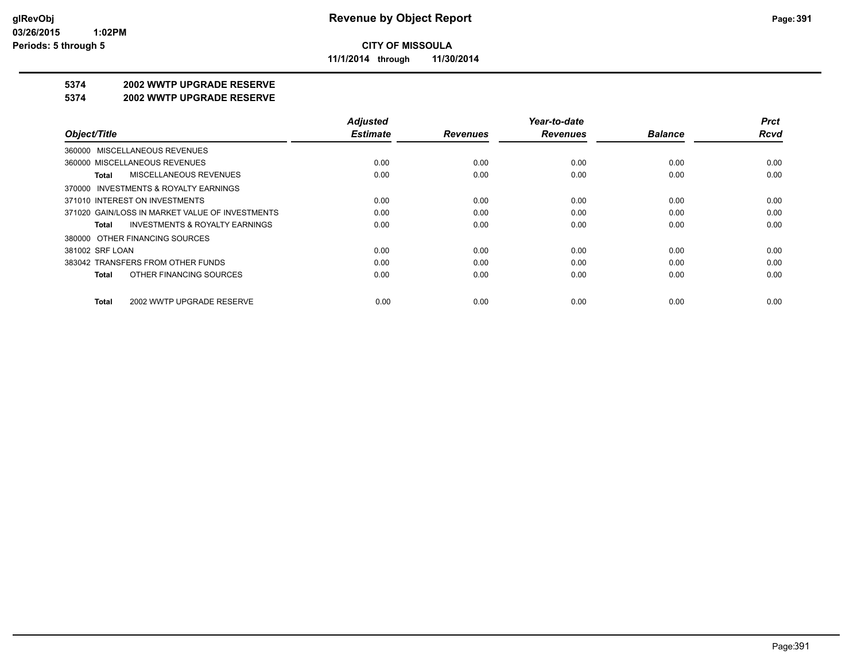**11/1/2014 through 11/30/2014**

### **5374 2002 WWTP UPGRADE RESERVE**

#### **5374 2002 WWTP UPGRADE RESERVE**

|                                                    | <b>Adjusted</b> |                 | Year-to-date    |                | <b>Prct</b> |
|----------------------------------------------------|-----------------|-----------------|-----------------|----------------|-------------|
| Object/Title                                       | <b>Estimate</b> | <b>Revenues</b> | <b>Revenues</b> | <b>Balance</b> | <b>Rcvd</b> |
| 360000 MISCELLANEOUS REVENUES                      |                 |                 |                 |                |             |
| 360000 MISCELLANEOUS REVENUES                      | 0.00            | 0.00            | 0.00            | 0.00           | 0.00        |
| MISCELLANEOUS REVENUES<br>Total                    | 0.00            | 0.00            | 0.00            | 0.00           | 0.00        |
| 370000 INVESTMENTS & ROYALTY EARNINGS              |                 |                 |                 |                |             |
| 371010 INTEREST ON INVESTMENTS                     | 0.00            | 0.00            | 0.00            | 0.00           | 0.00        |
| 371020 GAIN/LOSS IN MARKET VALUE OF INVESTMENTS    | 0.00            | 0.00            | 0.00            | 0.00           | 0.00        |
| <b>INVESTMENTS &amp; ROYALTY EARNINGS</b><br>Total | 0.00            | 0.00            | 0.00            | 0.00           | 0.00        |
| 380000 OTHER FINANCING SOURCES                     |                 |                 |                 |                |             |
| 381002 SRF LOAN                                    | 0.00            | 0.00            | 0.00            | 0.00           | 0.00        |
| 383042 TRANSFERS FROM OTHER FUNDS                  | 0.00            | 0.00            | 0.00            | 0.00           | 0.00        |
| OTHER FINANCING SOURCES<br>Total                   | 0.00            | 0.00            | 0.00            | 0.00           | 0.00        |
| 2002 WWTP UPGRADE RESERVE<br>Total                 | 0.00            | 0.00            | 0.00            | 0.00           | 0.00        |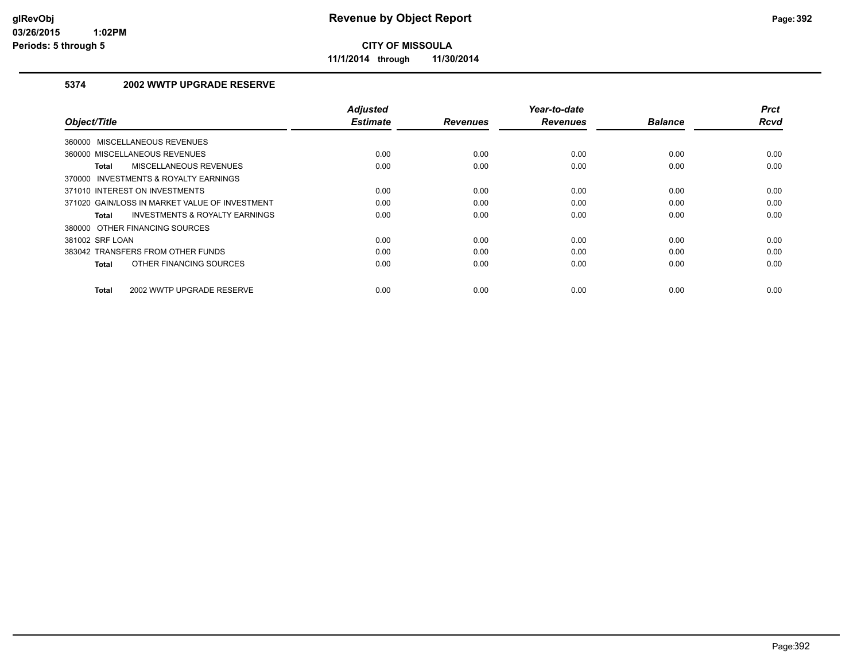**11/1/2014 through 11/30/2014**

## **5374 2002 WWTP UPGRADE RESERVE**

| Object/Title                                   | <b>Adjusted</b><br><b>Estimate</b> | <b>Revenues</b> | Year-to-date<br><b>Revenues</b> | <b>Balance</b> | <b>Prct</b><br><b>Rcvd</b> |
|------------------------------------------------|------------------------------------|-----------------|---------------------------------|----------------|----------------------------|
| 360000 MISCELLANEOUS REVENUES                  |                                    |                 |                                 |                |                            |
| 360000 MISCELLANEOUS REVENUES                  | 0.00                               | 0.00            | 0.00                            | 0.00           | 0.00                       |
| MISCELLANEOUS REVENUES<br><b>Total</b>         | 0.00                               | 0.00            | 0.00                            | 0.00           | 0.00                       |
| 370000 INVESTMENTS & ROYALTY EARNINGS          |                                    |                 |                                 |                |                            |
| 371010 INTEREST ON INVESTMENTS                 | 0.00                               | 0.00            | 0.00                            | 0.00           | 0.00                       |
| 371020 GAIN/LOSS IN MARKET VALUE OF INVESTMENT | 0.00                               | 0.00            | 0.00                            | 0.00           | 0.00                       |
| INVESTMENTS & ROYALTY EARNINGS<br>Total        | 0.00                               | 0.00            | 0.00                            | 0.00           | 0.00                       |
| 380000 OTHER FINANCING SOURCES                 |                                    |                 |                                 |                |                            |
| 381002 SRF LOAN                                | 0.00                               | 0.00            | 0.00                            | 0.00           | 0.00                       |
| 383042 TRANSFERS FROM OTHER FUNDS              | 0.00                               | 0.00            | 0.00                            | 0.00           | 0.00                       |
| OTHER FINANCING SOURCES<br><b>Total</b>        | 0.00                               | 0.00            | 0.00                            | 0.00           | 0.00                       |
| 2002 WWTP UPGRADE RESERVE<br><b>Total</b>      | 0.00                               | 0.00            | 0.00                            | 0.00           | 0.00                       |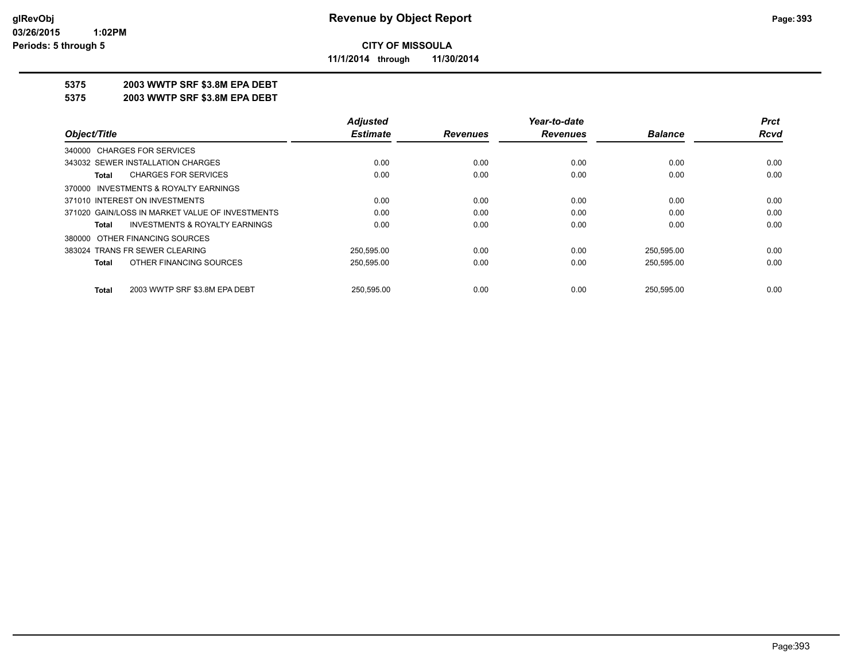**11/1/2014 through 11/30/2014**

## **5375 2003 WWTP SRF \$3.8M EPA DEBT**

**5375 2003 WWTP SRF \$3.8M EPA DEBT**

|                                                    | <b>Adjusted</b> |                 | Year-to-date    |                | <b>Prct</b> |
|----------------------------------------------------|-----------------|-----------------|-----------------|----------------|-------------|
| Object/Title                                       | <b>Estimate</b> | <b>Revenues</b> | <b>Revenues</b> | <b>Balance</b> | Rcvd        |
| 340000 CHARGES FOR SERVICES                        |                 |                 |                 |                |             |
| 343032 SEWER INSTALLATION CHARGES                  | 0.00            | 0.00            | 0.00            | 0.00           | 0.00        |
| <b>CHARGES FOR SERVICES</b><br>Total               | 0.00            | 0.00            | 0.00            | 0.00           | 0.00        |
| 370000 INVESTMENTS & ROYALTY EARNINGS              |                 |                 |                 |                |             |
| 371010 INTEREST ON INVESTMENTS                     | 0.00            | 0.00            | 0.00            | 0.00           | 0.00        |
| 371020 GAIN/LOSS IN MARKET VALUE OF INVESTMENTS    | 0.00            | 0.00            | 0.00            | 0.00           | 0.00        |
| <b>INVESTMENTS &amp; ROYALTY EARNINGS</b><br>Total | 0.00            | 0.00            | 0.00            | 0.00           | 0.00        |
| 380000 OTHER FINANCING SOURCES                     |                 |                 |                 |                |             |
| 383024 TRANS FR SEWER CLEARING                     | 250,595.00      | 0.00            | 0.00            | 250,595.00     | 0.00        |
| OTHER FINANCING SOURCES<br>Total                   | 250,595.00      | 0.00            | 0.00            | 250,595.00     | 0.00        |
| 2003 WWTP SRF \$3.8M EPA DEBT<br>Total             | 250.595.00      | 0.00            | 0.00            | 250.595.00     | 0.00        |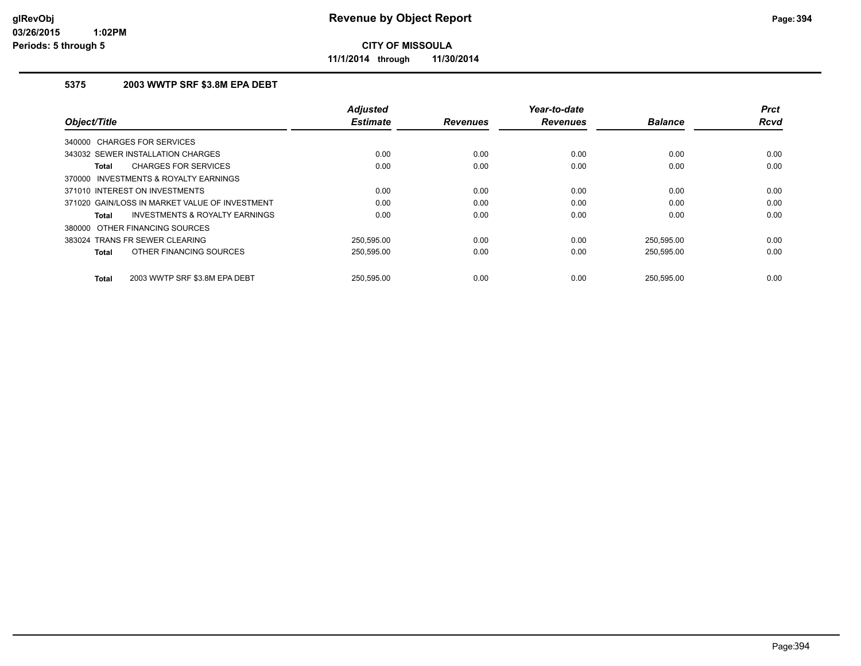**11/1/2014 through 11/30/2014**

## **5375 2003 WWTP SRF \$3.8M EPA DEBT**

| Object/Title                                   | <b>Adjusted</b><br><b>Estimate</b> | <b>Revenues</b> | Year-to-date<br><b>Revenues</b> | <b>Balance</b> | <b>Prct</b><br><b>Rcvd</b> |
|------------------------------------------------|------------------------------------|-----------------|---------------------------------|----------------|----------------------------|
| 340000 CHARGES FOR SERVICES                    |                                    |                 |                                 |                |                            |
| 343032 SEWER INSTALLATION CHARGES              | 0.00                               | 0.00            | 0.00                            | 0.00           | 0.00                       |
| <b>CHARGES FOR SERVICES</b><br>Total           | 0.00                               | 0.00            | 0.00                            | 0.00           | 0.00                       |
| INVESTMENTS & ROYALTY EARNINGS<br>370000       |                                    |                 |                                 |                |                            |
| 371010 INTEREST ON INVESTMENTS                 | 0.00                               | 0.00            | 0.00                            | 0.00           | 0.00                       |
| 371020 GAIN/LOSS IN MARKET VALUE OF INVESTMENT | 0.00                               | 0.00            | 0.00                            | 0.00           | 0.00                       |
| INVESTMENTS & ROYALTY EARNINGS<br>Total        | 0.00                               | 0.00            | 0.00                            | 0.00           | 0.00                       |
| 380000 OTHER FINANCING SOURCES                 |                                    |                 |                                 |                |                            |
| 383024 TRANS FR SEWER CLEARING                 | 250,595.00                         | 0.00            | 0.00                            | 250,595.00     | 0.00                       |
| OTHER FINANCING SOURCES<br><b>Total</b>        | 250,595.00                         | 0.00            | 0.00                            | 250,595.00     | 0.00                       |
| 2003 WWTP SRF \$3.8M EPA DEBT<br><b>Total</b>  | 250,595.00                         | 0.00            | 0.00                            | 250.595.00     | 0.00                       |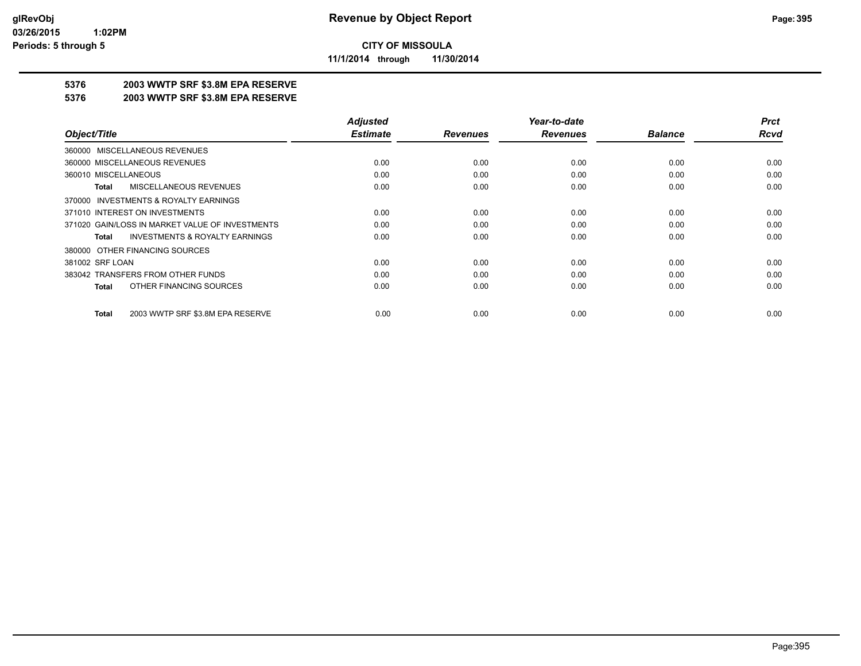**11/1/2014 through 11/30/2014**

## **5376 2003 WWTP SRF \$3.8M EPA RESERVE**

#### **5376 2003 WWTP SRF \$3.8M EPA RESERVE**

|                                                           | <b>Adjusted</b> |                 | Year-to-date    |                | <b>Prct</b> |
|-----------------------------------------------------------|-----------------|-----------------|-----------------|----------------|-------------|
| Object/Title                                              | <b>Estimate</b> | <b>Revenues</b> | <b>Revenues</b> | <b>Balance</b> | <b>Rcvd</b> |
| 360000 MISCELLANEOUS REVENUES                             |                 |                 |                 |                |             |
| 360000 MISCELLANEOUS REVENUES                             | 0.00            | 0.00            | 0.00            | 0.00           | 0.00        |
| 360010 MISCELLANEOUS                                      | 0.00            | 0.00            | 0.00            | 0.00           | 0.00        |
| MISCELLANEOUS REVENUES<br>Total                           | 0.00            | 0.00            | 0.00            | 0.00           | 0.00        |
| INVESTMENTS & ROYALTY EARNINGS<br>370000                  |                 |                 |                 |                |             |
| 371010 INTEREST ON INVESTMENTS                            | 0.00            | 0.00            | 0.00            | 0.00           | 0.00        |
| 371020 GAIN/LOSS IN MARKET VALUE OF INVESTMENTS           | 0.00            | 0.00            | 0.00            | 0.00           | 0.00        |
| <b>INVESTMENTS &amp; ROYALTY EARNINGS</b><br><b>Total</b> | 0.00            | 0.00            | 0.00            | 0.00           | 0.00        |
| OTHER FINANCING SOURCES<br>380000                         |                 |                 |                 |                |             |
| 381002 SRF LOAN                                           | 0.00            | 0.00            | 0.00            | 0.00           | 0.00        |
| 383042 TRANSFERS FROM OTHER FUNDS                         | 0.00            | 0.00            | 0.00            | 0.00           | 0.00        |
| OTHER FINANCING SOURCES<br><b>Total</b>                   | 0.00            | 0.00            | 0.00            | 0.00           | 0.00        |
| 2003 WWTP SRF \$3.8M EPA RESERVE<br><b>Total</b>          | 0.00            | 0.00            | 0.00            | 0.00           | 0.00        |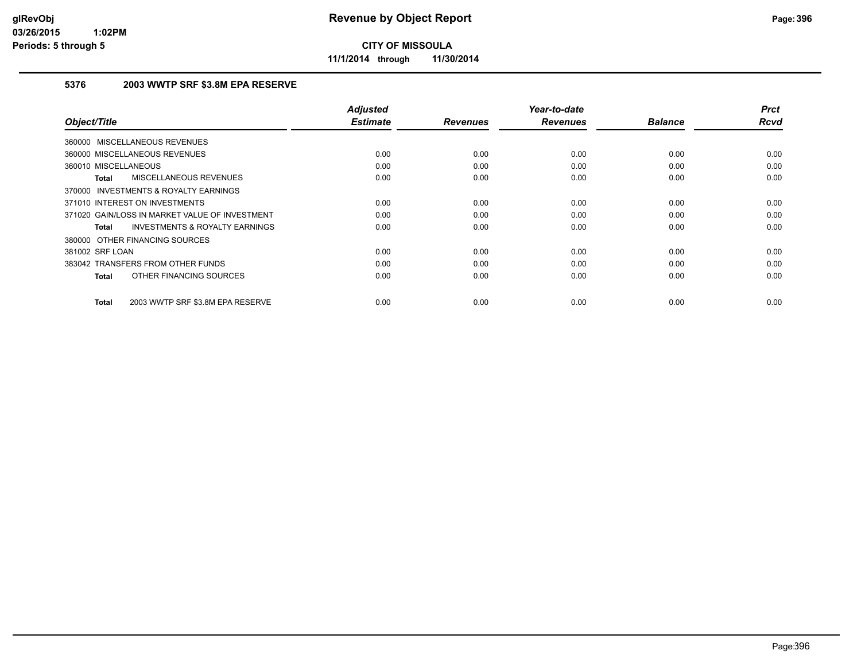**11/1/2014 through 11/30/2014**

## **5376 2003 WWTP SRF \$3.8M EPA RESERVE**

|                                                           | <b>Adjusted</b> |                 | Year-to-date    |                | <b>Prct</b> |
|-----------------------------------------------------------|-----------------|-----------------|-----------------|----------------|-------------|
| Object/Title                                              | <b>Estimate</b> | <b>Revenues</b> | <b>Revenues</b> | <b>Balance</b> | <b>Rcvd</b> |
| 360000 MISCELLANEOUS REVENUES                             |                 |                 |                 |                |             |
| 360000 MISCELLANEOUS REVENUES                             | 0.00            | 0.00            | 0.00            | 0.00           | 0.00        |
| 360010 MISCELLANEOUS                                      | 0.00            | 0.00            | 0.00            | 0.00           | 0.00        |
| <b>MISCELLANEOUS REVENUES</b><br><b>Total</b>             | 0.00            | 0.00            | 0.00            | 0.00           | 0.00        |
| <b>INVESTMENTS &amp; ROYALTY EARNINGS</b><br>370000       |                 |                 |                 |                |             |
| 371010 INTEREST ON INVESTMENTS                            | 0.00            | 0.00            | 0.00            | 0.00           | 0.00        |
| 371020 GAIN/LOSS IN MARKET VALUE OF INVESTMENT            | 0.00            | 0.00            | 0.00            | 0.00           | 0.00        |
| <b>INVESTMENTS &amp; ROYALTY EARNINGS</b><br><b>Total</b> | 0.00            | 0.00            | 0.00            | 0.00           | 0.00        |
| 380000 OTHER FINANCING SOURCES                            |                 |                 |                 |                |             |
| 381002 SRF LOAN                                           | 0.00            | 0.00            | 0.00            | 0.00           | 0.00        |
| 383042 TRANSFERS FROM OTHER FUNDS                         | 0.00            | 0.00            | 0.00            | 0.00           | 0.00        |
| OTHER FINANCING SOURCES<br><b>Total</b>                   | 0.00            | 0.00            | 0.00            | 0.00           | 0.00        |
| 2003 WWTP SRF \$3.8M EPA RESERVE<br><b>Total</b>          | 0.00            | 0.00            | 0.00            | 0.00           | 0.00        |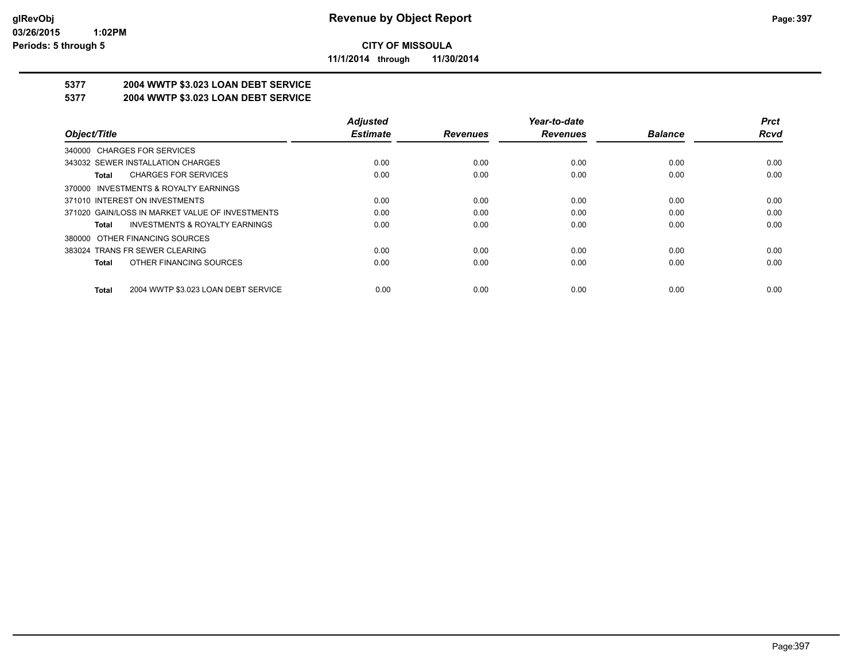**11/1/2014 through 11/30/2014**

# **5377 2004 WWTP \$3.023 LOAN DEBT SERVICE**

### **5377 2004 WWTP \$3.023 LOAN DEBT SERVICE**

|                                                     | <b>Adjusted</b> |                 | Year-to-date    |                | <b>Prct</b> |
|-----------------------------------------------------|-----------------|-----------------|-----------------|----------------|-------------|
| Object/Title                                        | <b>Estimate</b> | <b>Revenues</b> | <b>Revenues</b> | <b>Balance</b> | <b>Rcvd</b> |
| 340000 CHARGES FOR SERVICES                         |                 |                 |                 |                |             |
| 343032 SEWER INSTALLATION CHARGES                   | 0.00            | 0.00            | 0.00            | 0.00           | 0.00        |
| <b>CHARGES FOR SERVICES</b><br>Total                | 0.00            | 0.00            | 0.00            | 0.00           | 0.00        |
| 370000 INVESTMENTS & ROYALTY EARNINGS               |                 |                 |                 |                |             |
| 371010 INTEREST ON INVESTMENTS                      | 0.00            | 0.00            | 0.00            | 0.00           | 0.00        |
| 371020 GAIN/LOSS IN MARKET VALUE OF INVESTMENTS     | 0.00            | 0.00            | 0.00            | 0.00           | 0.00        |
| <b>INVESTMENTS &amp; ROYALTY EARNINGS</b><br>Total  | 0.00            | 0.00            | 0.00            | 0.00           | 0.00        |
| OTHER FINANCING SOURCES<br>380000                   |                 |                 |                 |                |             |
| 383024 TRANS FR SEWER CLEARING                      | 0.00            | 0.00            | 0.00            | 0.00           | 0.00        |
| OTHER FINANCING SOURCES<br><b>Total</b>             | 0.00            | 0.00            | 0.00            | 0.00           | 0.00        |
| 2004 WWTP \$3.023 LOAN DEBT SERVICE<br><b>Total</b> | 0.00            | 0.00            | 0.00            | 0.00           | 0.00        |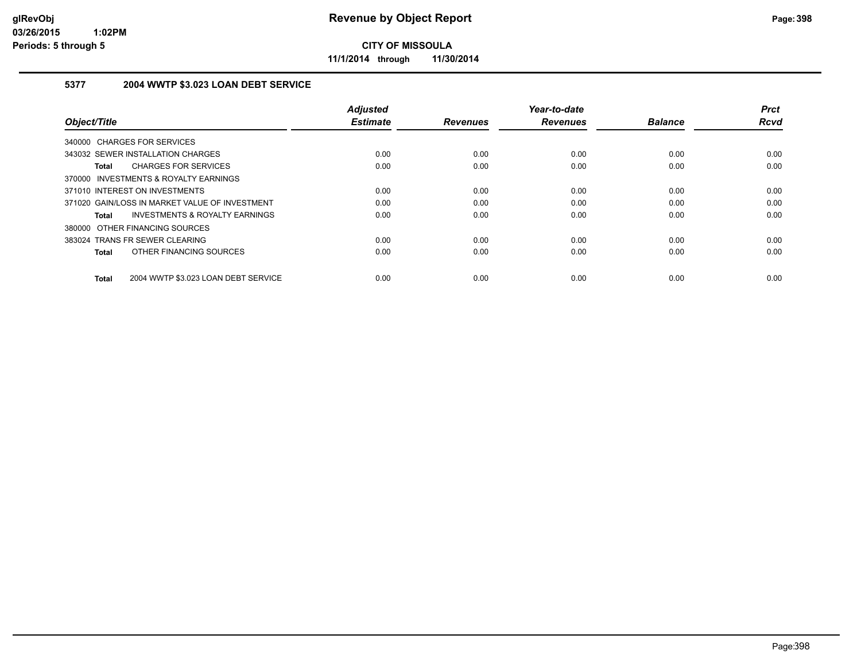**11/1/2014 through 11/30/2014**

#### **5377 2004 WWTP \$3.023 LOAN DEBT SERVICE**

|                                                           | <b>Adjusted</b> |                 | Year-to-date    |                | <b>Prct</b> |
|-----------------------------------------------------------|-----------------|-----------------|-----------------|----------------|-------------|
| Object/Title                                              | <b>Estimate</b> | <b>Revenues</b> | <b>Revenues</b> | <b>Balance</b> | <b>Rcvd</b> |
| 340000 CHARGES FOR SERVICES                               |                 |                 |                 |                |             |
| 343032 SEWER INSTALLATION CHARGES                         | 0.00            | 0.00            | 0.00            | 0.00           | 0.00        |
| <b>CHARGES FOR SERVICES</b><br><b>Total</b>               | 0.00            | 0.00            | 0.00            | 0.00           | 0.00        |
| 370000 INVESTMENTS & ROYALTY EARNINGS                     |                 |                 |                 |                |             |
| 371010 INTEREST ON INVESTMENTS                            | 0.00            | 0.00            | 0.00            | 0.00           | 0.00        |
| 371020 GAIN/LOSS IN MARKET VALUE OF INVESTMENT            | 0.00            | 0.00            | 0.00            | 0.00           | 0.00        |
| <b>INVESTMENTS &amp; ROYALTY EARNINGS</b><br><b>Total</b> | 0.00            | 0.00            | 0.00            | 0.00           | 0.00        |
| 380000 OTHER FINANCING SOURCES                            |                 |                 |                 |                |             |
| 383024 TRANS FR SEWER CLEARING                            | 0.00            | 0.00            | 0.00            | 0.00           | 0.00        |
| OTHER FINANCING SOURCES<br><b>Total</b>                   | 0.00            | 0.00            | 0.00            | 0.00           | 0.00        |
| 2004 WWTP \$3.023 LOAN DEBT SERVICE<br><b>Total</b>       | 0.00            | 0.00            | 0.00            | 0.00           | 0.00        |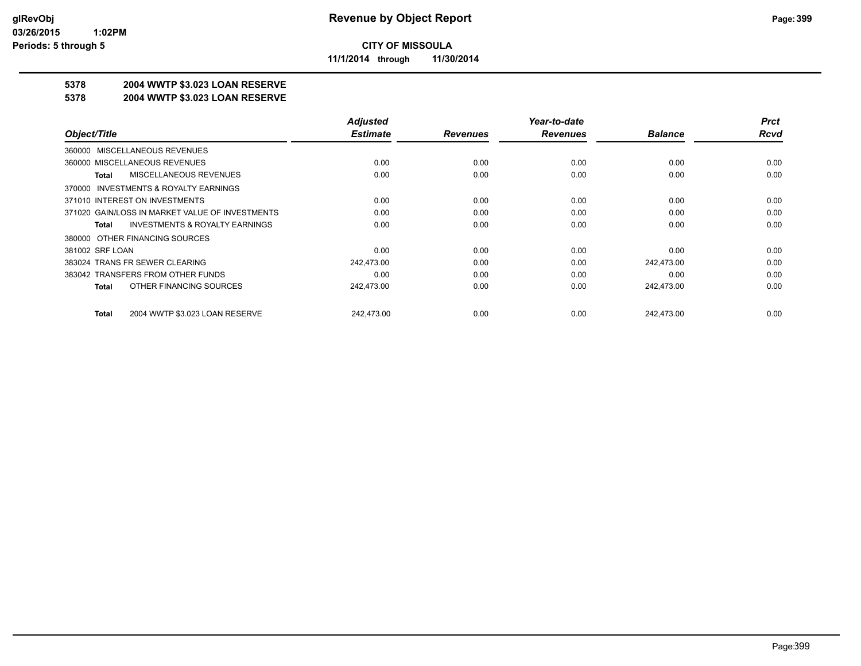**11/1/2014 through 11/30/2014**

### **5378 2004 WWTP \$3.023 LOAN RESERVE**

#### **5378 2004 WWTP \$3.023 LOAN RESERVE**

|                                                    | <b>Adjusted</b> |                 | Year-to-date    |                | <b>Prct</b> |
|----------------------------------------------------|-----------------|-----------------|-----------------|----------------|-------------|
| Object/Title                                       | <b>Estimate</b> | <b>Revenues</b> | <b>Revenues</b> | <b>Balance</b> | <b>Rcvd</b> |
| 360000 MISCELLANEOUS REVENUES                      |                 |                 |                 |                |             |
| 360000 MISCELLANEOUS REVENUES                      | 0.00            | 0.00            | 0.00            | 0.00           | 0.00        |
| MISCELLANEOUS REVENUES<br>Total                    | 0.00            | 0.00            | 0.00            | 0.00           | 0.00        |
| 370000 INVESTMENTS & ROYALTY EARNINGS              |                 |                 |                 |                |             |
| 371010 INTEREST ON INVESTMENTS                     | 0.00            | 0.00            | 0.00            | 0.00           | 0.00        |
| 371020 GAIN/LOSS IN MARKET VALUE OF INVESTMENTS    | 0.00            | 0.00            | 0.00            | 0.00           | 0.00        |
| <b>INVESTMENTS &amp; ROYALTY EARNINGS</b><br>Total | 0.00            | 0.00            | 0.00            | 0.00           | 0.00        |
| 380000 OTHER FINANCING SOURCES                     |                 |                 |                 |                |             |
| 381002 SRF LOAN                                    | 0.00            | 0.00            | 0.00            | 0.00           | 0.00        |
| 383024 TRANS FR SEWER CLEARING                     | 242,473.00      | 0.00            | 0.00            | 242.473.00     | 0.00        |
| 383042 TRANSFERS FROM OTHER FUNDS                  | 0.00            | 0.00            | 0.00            | 0.00           | 0.00        |
| OTHER FINANCING SOURCES<br><b>Total</b>            | 242,473.00      | 0.00            | 0.00            | 242,473.00     | 0.00        |
| 2004 WWTP \$3.023 LOAN RESERVE<br><b>Total</b>     | 242.473.00      | 0.00            | 0.00            | 242.473.00     | 0.00        |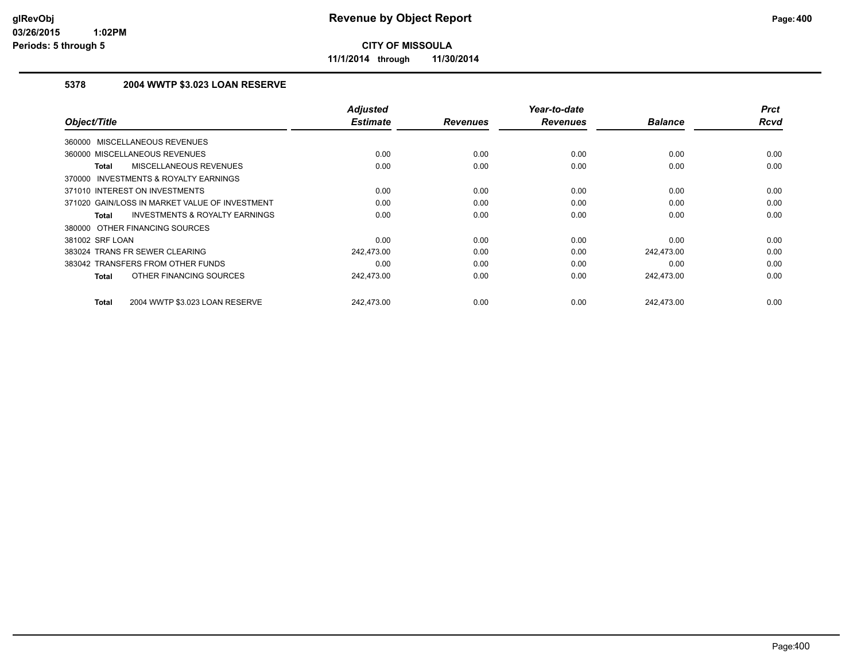**11/1/2014 through 11/30/2014**

### **5378 2004 WWTP \$3.023 LOAN RESERVE**

|                                                    | <b>Adjusted</b> |                 | Year-to-date    |                | <b>Prct</b> |
|----------------------------------------------------|-----------------|-----------------|-----------------|----------------|-------------|
| Object/Title                                       | <b>Estimate</b> | <b>Revenues</b> | <b>Revenues</b> | <b>Balance</b> | Rcvd        |
| 360000 MISCELLANEOUS REVENUES                      |                 |                 |                 |                |             |
| 360000 MISCELLANEOUS REVENUES                      | 0.00            | 0.00            | 0.00            | 0.00           | 0.00        |
| <b>MISCELLANEOUS REVENUES</b><br><b>Total</b>      | 0.00            | 0.00            | 0.00            | 0.00           | 0.00        |
| INVESTMENTS & ROYALTY EARNINGS<br>370000           |                 |                 |                 |                |             |
| 371010 INTEREST ON INVESTMENTS                     | 0.00            | 0.00            | 0.00            | 0.00           | 0.00        |
| 371020 GAIN/LOSS IN MARKET VALUE OF INVESTMENT     | 0.00            | 0.00            | 0.00            | 0.00           | 0.00        |
| <b>INVESTMENTS &amp; ROYALTY EARNINGS</b><br>Total | 0.00            | 0.00            | 0.00            | 0.00           | 0.00        |
| 380000 OTHER FINANCING SOURCES                     |                 |                 |                 |                |             |
| 381002 SRF LOAN                                    | 0.00            | 0.00            | 0.00            | 0.00           | 0.00        |
| 383024 TRANS FR SEWER CLEARING                     | 242.473.00      | 0.00            | 0.00            | 242,473.00     | 0.00        |
| 383042 TRANSFERS FROM OTHER FUNDS                  | 0.00            | 0.00            | 0.00            | 0.00           | 0.00        |
| OTHER FINANCING SOURCES<br><b>Total</b>            | 242.473.00      | 0.00            | 0.00            | 242.473.00     | 0.00        |
| 2004 WWTP \$3.023 LOAN RESERVE<br><b>Total</b>     | 242.473.00      | 0.00            | 0.00            | 242.473.00     | 0.00        |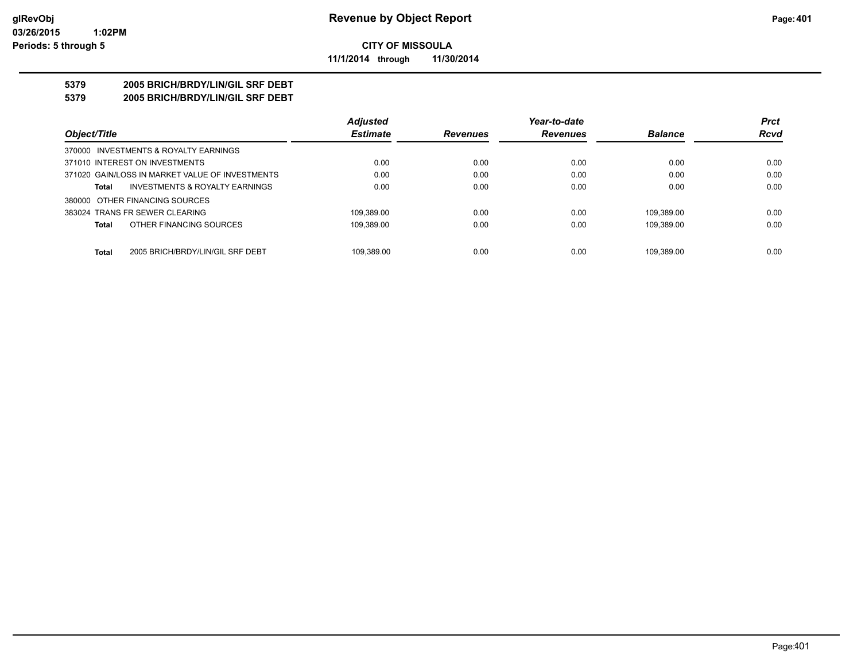**11/1/2014 through 11/30/2014**

### **5379 2005 BRICH/BRDY/LIN/GIL SRF DEBT**

**5379 2005 BRICH/BRDY/LIN/GIL SRF DEBT**

|                                                  | <b>Adjusted</b> |                 | Year-to-date    |                | <b>Prct</b> |
|--------------------------------------------------|-----------------|-----------------|-----------------|----------------|-------------|
| Object/Title                                     | <b>Estimate</b> | <b>Revenues</b> | <b>Revenues</b> | <b>Balance</b> | <b>Rcvd</b> |
| 370000 INVESTMENTS & ROYALTY EARNINGS            |                 |                 |                 |                |             |
| 371010 INTEREST ON INVESTMENTS                   | 0.00            | 0.00            | 0.00            | 0.00           | 0.00        |
| 371020 GAIN/LOSS IN MARKET VALUE OF INVESTMENTS  | 0.00            | 0.00            | 0.00            | 0.00           | 0.00        |
| INVESTMENTS & ROYALTY EARNINGS<br><b>Total</b>   | 0.00            | 0.00            | 0.00            | 0.00           | 0.00        |
| 380000 OTHER FINANCING SOURCES                   |                 |                 |                 |                |             |
| 383024 TRANS FR SEWER CLEARING                   | 109.389.00      | 0.00            | 0.00            | 109.389.00     | 0.00        |
| OTHER FINANCING SOURCES<br><b>Total</b>          | 109.389.00      | 0.00            | 0.00            | 109.389.00     | 0.00        |
| <b>Total</b><br>2005 BRICH/BRDY/LIN/GIL SRF DEBT | 109.389.00      | 0.00            | 0.00            | 109.389.00     | 0.00        |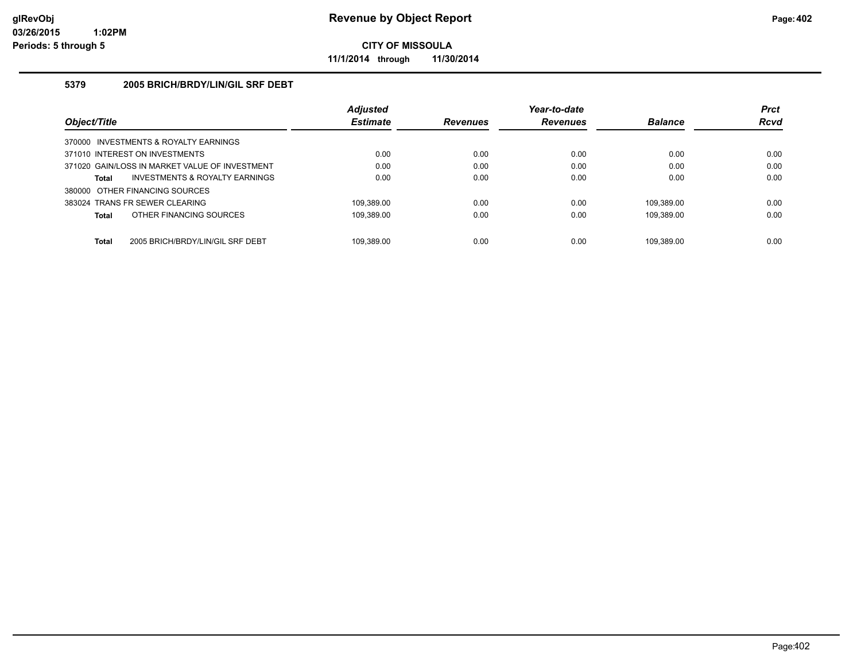**11/1/2014 through 11/30/2014**

### **5379 2005 BRICH/BRDY/LIN/GIL SRF DEBT**

|                                                  | <b>Adjusted</b> |                 | Year-to-date    |                | <b>Prct</b> |
|--------------------------------------------------|-----------------|-----------------|-----------------|----------------|-------------|
| Object/Title                                     | <b>Estimate</b> | <b>Revenues</b> | <b>Revenues</b> | <b>Balance</b> | <b>Rcvd</b> |
| 370000 INVESTMENTS & ROYALTY EARNINGS            |                 |                 |                 |                |             |
| 371010 INTEREST ON INVESTMENTS                   | 0.00            | 0.00            | 0.00            | 0.00           | 0.00        |
| 371020 GAIN/LOSS IN MARKET VALUE OF INVESTMENT   | 0.00            | 0.00            | 0.00            | 0.00           | 0.00        |
| INVESTMENTS & ROYALTY EARNINGS<br>Total          | 0.00            | 0.00            | 0.00            | 0.00           | 0.00        |
| 380000 OTHER FINANCING SOURCES                   |                 |                 |                 |                |             |
| 383024 TRANS FR SEWER CLEARING                   | 109.389.00      | 0.00            | 0.00            | 109.389.00     | 0.00        |
| OTHER FINANCING SOURCES<br>Total                 | 109.389.00      | 0.00            | 0.00            | 109.389.00     | 0.00        |
|                                                  |                 |                 |                 |                |             |
| <b>Total</b><br>2005 BRICH/BRDY/LIN/GIL SRF DEBT | 109.389.00      | 0.00            | 0.00            | 109.389.00     | 0.00        |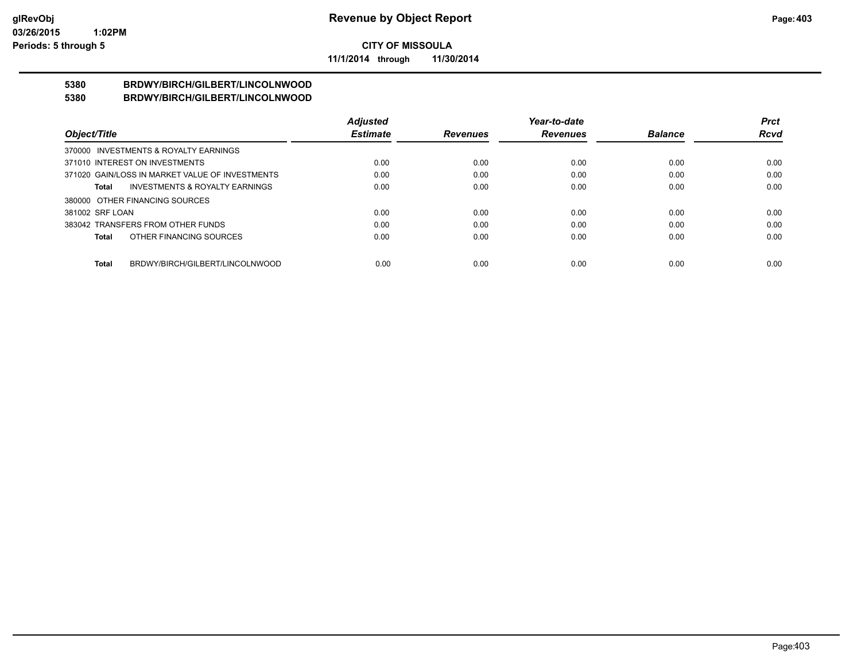**11/1/2014 through 11/30/2014**

#### **5380 BRDWY/BIRCH/GILBERT/LINCOLNWOOD 5380 BRDWY/BIRCH/GILBERT/LINCOLNWOOD**

|                                                    | <b>Adjusted</b> |                 | Year-to-date    |                | <b>Prct</b> |
|----------------------------------------------------|-----------------|-----------------|-----------------|----------------|-------------|
| Object/Title                                       | <b>Estimate</b> | <b>Revenues</b> | <b>Revenues</b> | <b>Balance</b> | <b>Rcvd</b> |
| 370000 INVESTMENTS & ROYALTY EARNINGS              |                 |                 |                 |                |             |
| 371010 INTEREST ON INVESTMENTS                     | 0.00            | 0.00            | 0.00            | 0.00           | 0.00        |
| 371020 GAIN/LOSS IN MARKET VALUE OF INVESTMENTS    | 0.00            | 0.00            | 0.00            | 0.00           | 0.00        |
| <b>INVESTMENTS &amp; ROYALTY EARNINGS</b><br>Total | 0.00            | 0.00            | 0.00            | 0.00           | 0.00        |
| 380000 OTHER FINANCING SOURCES                     |                 |                 |                 |                |             |
| 381002 SRF LOAN                                    | 0.00            | 0.00            | 0.00            | 0.00           | 0.00        |
| 383042 TRANSFERS FROM OTHER FUNDS                  | 0.00            | 0.00            | 0.00            | 0.00           | 0.00        |
| OTHER FINANCING SOURCES<br><b>Total</b>            | 0.00            | 0.00            | 0.00            | 0.00           | 0.00        |
|                                                    |                 |                 |                 |                |             |
| BRDWY/BIRCH/GILBERT/LINCOLNWOOD<br><b>Total</b>    | 0.00            | 0.00            | 0.00            | 0.00           | 0.00        |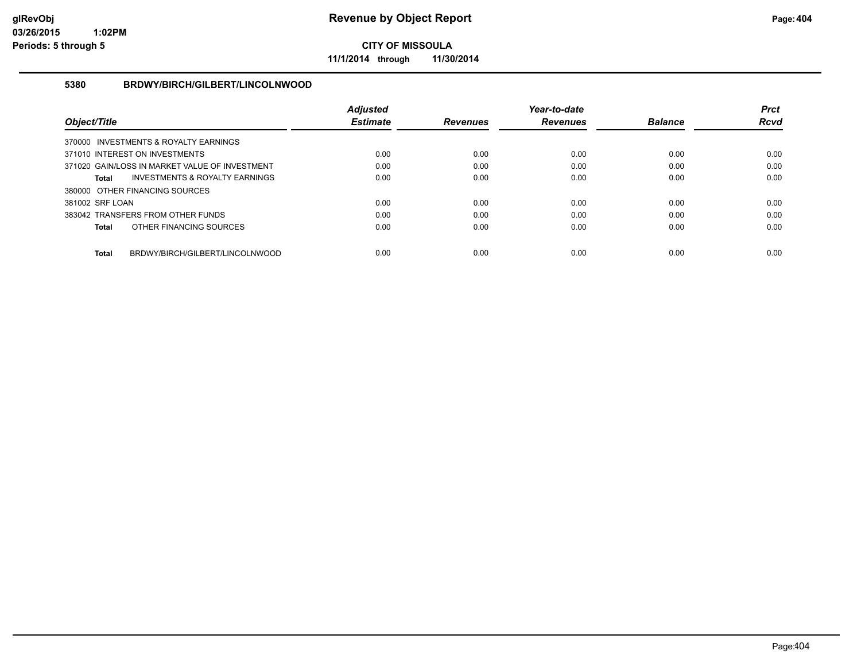**11/1/2014 through 11/30/2014**

### **5380 BRDWY/BIRCH/GILBERT/LINCOLNWOOD**

|                                                 | <b>Adiusted</b> |                 | Year-to-date    |                | <b>Prct</b> |
|-------------------------------------------------|-----------------|-----------------|-----------------|----------------|-------------|
| Object/Title                                    | <b>Estimate</b> | <b>Revenues</b> | <b>Revenues</b> | <b>Balance</b> | Rcvd        |
| 370000 INVESTMENTS & ROYALTY EARNINGS           |                 |                 |                 |                |             |
| 371010 INTEREST ON INVESTMENTS                  | 0.00            | 0.00            | 0.00            | 0.00           | 0.00        |
| 371020 GAIN/LOSS IN MARKET VALUE OF INVESTMENT  | 0.00            | 0.00            | 0.00            | 0.00           | 0.00        |
| INVESTMENTS & ROYALTY EARNINGS<br>Total         | 0.00            | 0.00            | 0.00            | 0.00           | 0.00        |
| 380000 OTHER FINANCING SOURCES                  |                 |                 |                 |                |             |
| 381002 SRF LOAN                                 | 0.00            | 0.00            | 0.00            | 0.00           | 0.00        |
| 383042 TRANSFERS FROM OTHER FUNDS               | 0.00            | 0.00            | 0.00            | 0.00           | 0.00        |
| OTHER FINANCING SOURCES<br><b>Total</b>         | 0.00            | 0.00            | 0.00            | 0.00           | 0.00        |
|                                                 |                 |                 |                 |                |             |
| BRDWY/BIRCH/GILBERT/LINCOLNWOOD<br><b>Total</b> | 0.00            | 0.00            | 0.00            | 0.00           | 0.00        |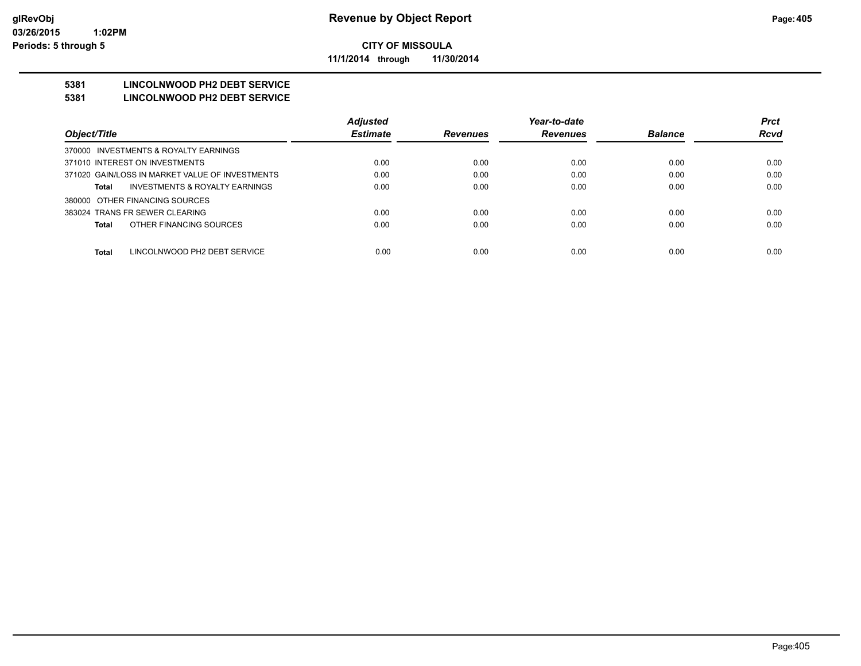**11/1/2014 through 11/30/2014**

# **5381 LINCOLNWOOD PH2 DEBT SERVICE**

#### **5381 LINCOLNWOOD PH2 DEBT SERVICE**

|                                                 | <b>Adjusted</b> |                 | Year-to-date    |                | <b>Prct</b> |
|-------------------------------------------------|-----------------|-----------------|-----------------|----------------|-------------|
| Object/Title                                    | <b>Estimate</b> | <b>Revenues</b> | <b>Revenues</b> | <b>Balance</b> | <b>Rcvd</b> |
| 370000 INVESTMENTS & ROYALTY EARNINGS           |                 |                 |                 |                |             |
| 371010 INTEREST ON INVESTMENTS                  | 0.00            | 0.00            | 0.00            | 0.00           | 0.00        |
| 371020 GAIN/LOSS IN MARKET VALUE OF INVESTMENTS | 0.00            | 0.00            | 0.00            | 0.00           | 0.00        |
| INVESTMENTS & ROYALTY EARNINGS<br>Total         | 0.00            | 0.00            | 0.00            | 0.00           | 0.00        |
| 380000 OTHER FINANCING SOURCES                  |                 |                 |                 |                |             |
| 383024 TRANS FR SEWER CLEARING                  | 0.00            | 0.00            | 0.00            | 0.00           | 0.00        |
| OTHER FINANCING SOURCES<br>Total                | 0.00            | 0.00            | 0.00            | 0.00           | 0.00        |
|                                                 |                 |                 |                 |                |             |
| LINCOLNWOOD PH2 DEBT SERVICE<br><b>Total</b>    | 0.00            | 0.00            | 0.00            | 0.00           | 0.00        |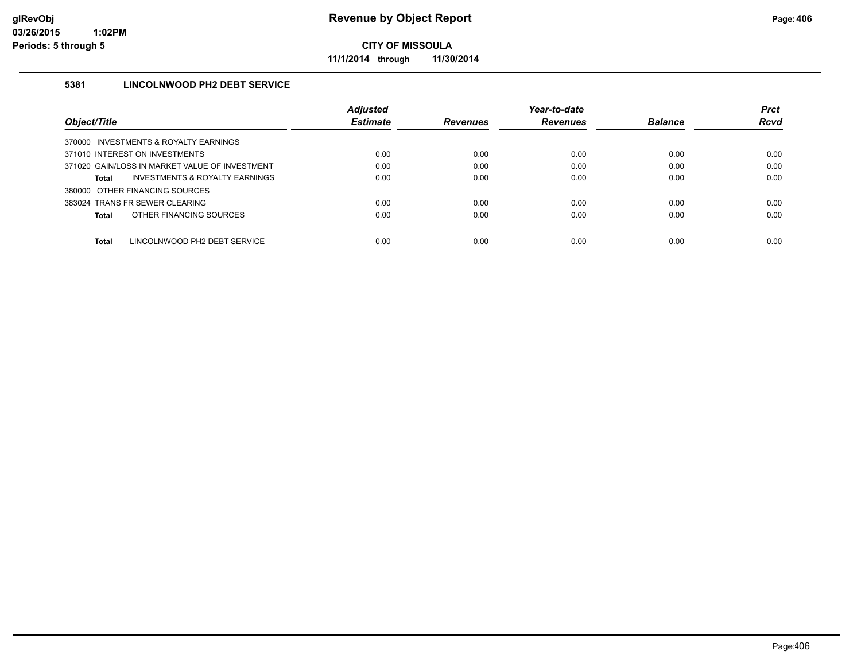**11/1/2014 through 11/30/2014**

### **5381 LINCOLNWOOD PH2 DEBT SERVICE**

|                                                           | <b>Adjusted</b> |                 | Year-to-date    |                | <b>Prct</b> |
|-----------------------------------------------------------|-----------------|-----------------|-----------------|----------------|-------------|
| Object/Title                                              | <b>Estimate</b> | <b>Revenues</b> | <b>Revenues</b> | <b>Balance</b> | Rcvd        |
| 370000 INVESTMENTS & ROYALTY EARNINGS                     |                 |                 |                 |                |             |
| 371010 INTEREST ON INVESTMENTS                            | 0.00            | 0.00            | 0.00            | 0.00           | 0.00        |
| 371020 GAIN/LOSS IN MARKET VALUE OF INVESTMENT            | 0.00            | 0.00            | 0.00            | 0.00           | 0.00        |
| <b>INVESTMENTS &amp; ROYALTY EARNINGS</b><br><b>Total</b> | 0.00            | 0.00            | 0.00            | 0.00           | 0.00        |
| 380000 OTHER FINANCING SOURCES                            |                 |                 |                 |                |             |
| 383024 TRANS FR SEWER CLEARING                            | 0.00            | 0.00            | 0.00            | 0.00           | 0.00        |
| OTHER FINANCING SOURCES<br><b>Total</b>                   | 0.00            | 0.00            | 0.00            | 0.00           | 0.00        |
|                                                           |                 |                 |                 |                |             |
| <b>Total</b><br>LINCOLNWOOD PH2 DEBT SERVICE              | 0.00            | 0.00            | 0.00            | 0.00           | 0.00        |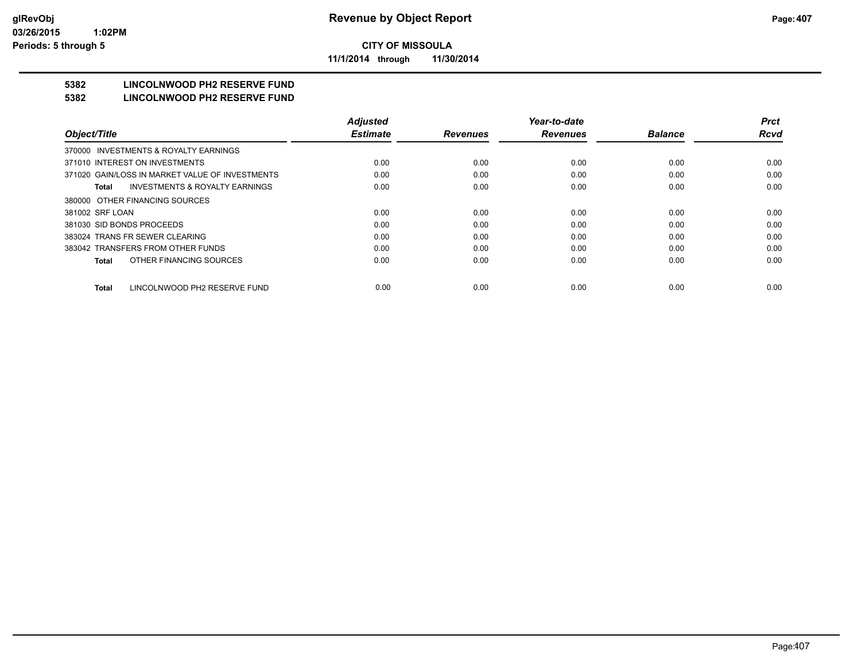**11/1/2014 through 11/30/2014**

# **5382 LINCOLNWOOD PH2 RESERVE FUND**

#### **5382 LINCOLNWOOD PH2 RESERVE FUND**

|                                                    | <b>Adjusted</b> |                 | Year-to-date    |                | <b>Prct</b> |
|----------------------------------------------------|-----------------|-----------------|-----------------|----------------|-------------|
| Object/Title                                       | <b>Estimate</b> | <b>Revenues</b> | <b>Revenues</b> | <b>Balance</b> | <b>Rcvd</b> |
| 370000 INVESTMENTS & ROYALTY EARNINGS              |                 |                 |                 |                |             |
| 371010 INTEREST ON INVESTMENTS                     | 0.00            | 0.00            | 0.00            | 0.00           | 0.00        |
| 371020 GAIN/LOSS IN MARKET VALUE OF INVESTMENTS    | 0.00            | 0.00            | 0.00            | 0.00           | 0.00        |
| <b>INVESTMENTS &amp; ROYALTY EARNINGS</b><br>Total | 0.00            | 0.00            | 0.00            | 0.00           | 0.00        |
| 380000 OTHER FINANCING SOURCES                     |                 |                 |                 |                |             |
| 381002 SRF LOAN                                    | 0.00            | 0.00            | 0.00            | 0.00           | 0.00        |
| 381030 SID BONDS PROCEEDS                          | 0.00            | 0.00            | 0.00            | 0.00           | 0.00        |
| 383024 TRANS FR SEWER CLEARING                     | 0.00            | 0.00            | 0.00            | 0.00           | 0.00        |
| 383042 TRANSFERS FROM OTHER FUNDS                  | 0.00            | 0.00            | 0.00            | 0.00           | 0.00        |
| OTHER FINANCING SOURCES<br><b>Total</b>            | 0.00            | 0.00            | 0.00            | 0.00           | 0.00        |
| LINCOLNWOOD PH2 RESERVE FUND<br><b>Total</b>       | 0.00            | 0.00            | 0.00            | 0.00           | 0.00        |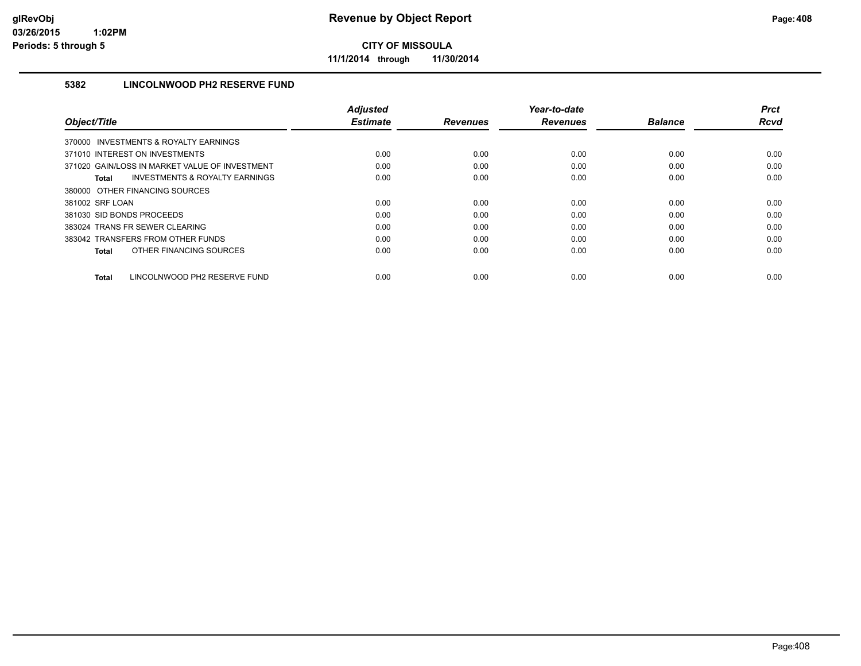**11/1/2014 through 11/30/2014**

### **5382 LINCOLNWOOD PH2 RESERVE FUND**

|                                                           | <b>Adiusted</b> |                 | Year-to-date    |                | <b>Prct</b> |
|-----------------------------------------------------------|-----------------|-----------------|-----------------|----------------|-------------|
| Object/Title                                              | <b>Estimate</b> | <b>Revenues</b> | <b>Revenues</b> | <b>Balance</b> | <b>Rcvd</b> |
| 370000 INVESTMENTS & ROYALTY EARNINGS                     |                 |                 |                 |                |             |
| 371010 INTEREST ON INVESTMENTS                            | 0.00            | 0.00            | 0.00            | 0.00           | 0.00        |
| 371020 GAIN/LOSS IN MARKET VALUE OF INVESTMENT            | 0.00            | 0.00            | 0.00            | 0.00           | 0.00        |
| <b>INVESTMENTS &amp; ROYALTY EARNINGS</b><br><b>Total</b> | 0.00            | 0.00            | 0.00            | 0.00           | 0.00        |
| 380000 OTHER FINANCING SOURCES                            |                 |                 |                 |                |             |
| 381002 SRF LOAN                                           | 0.00            | 0.00            | 0.00            | 0.00           | 0.00        |
| 381030 SID BONDS PROCEEDS                                 | 0.00            | 0.00            | 0.00            | 0.00           | 0.00        |
| 383024 TRANS FR SEWER CLEARING                            | 0.00            | 0.00            | 0.00            | 0.00           | 0.00        |
| 383042 TRANSFERS FROM OTHER FUNDS                         | 0.00            | 0.00            | 0.00            | 0.00           | 0.00        |
| OTHER FINANCING SOURCES<br><b>Total</b>                   | 0.00            | 0.00            | 0.00            | 0.00           | 0.00        |
| LINCOLNWOOD PH2 RESERVE FUND<br><b>Total</b>              | 0.00            | 0.00            | 0.00            | 0.00           | 0.00        |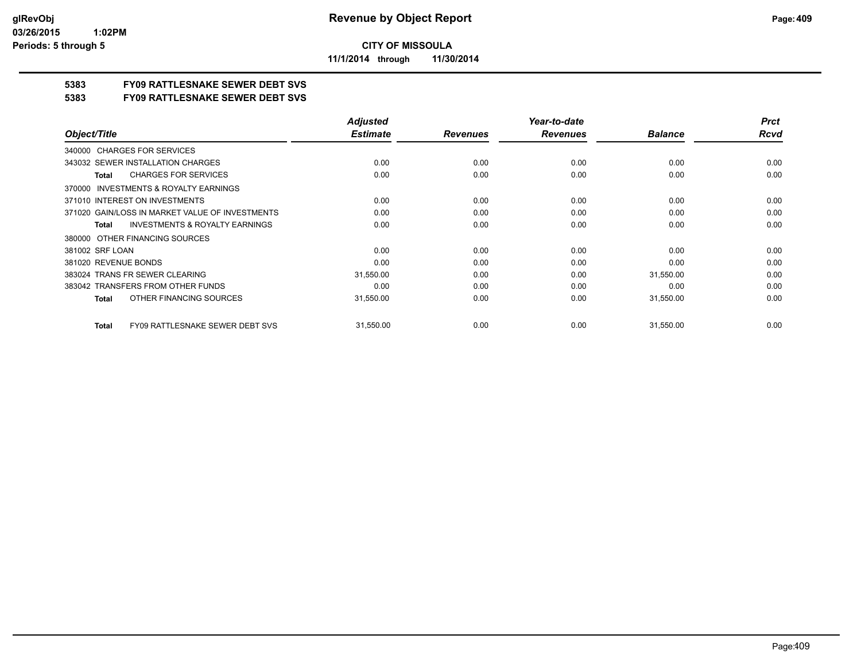**11/1/2014 through 11/30/2014**

# **5383 FY09 RATTLESNAKE SEWER DEBT SVS**

**5383 FY09 RATTLESNAKE SEWER DEBT SVS**

|                                                        | <b>Adjusted</b> |                 | Year-to-date    |                | <b>Prct</b> |
|--------------------------------------------------------|-----------------|-----------------|-----------------|----------------|-------------|
| Object/Title                                           | <b>Estimate</b> | <b>Revenues</b> | <b>Revenues</b> | <b>Balance</b> | <b>Rcvd</b> |
| 340000 CHARGES FOR SERVICES                            |                 |                 |                 |                |             |
| 343032 SEWER INSTALLATION CHARGES                      | 0.00            | 0.00            | 0.00            | 0.00           | 0.00        |
| <b>CHARGES FOR SERVICES</b><br>Total                   | 0.00            | 0.00            | 0.00            | 0.00           | 0.00        |
| <b>INVESTMENTS &amp; ROYALTY EARNINGS</b><br>370000    |                 |                 |                 |                |             |
| 371010 INTEREST ON INVESTMENTS                         | 0.00            | 0.00            | 0.00            | 0.00           | 0.00        |
| 371020 GAIN/LOSS IN MARKET VALUE OF INVESTMENTS        | 0.00            | 0.00            | 0.00            | 0.00           | 0.00        |
| <b>INVESTMENTS &amp; ROYALTY EARNINGS</b><br>Total     | 0.00            | 0.00            | 0.00            | 0.00           | 0.00        |
| OTHER FINANCING SOURCES<br>380000                      |                 |                 |                 |                |             |
| 381002 SRF LOAN                                        | 0.00            | 0.00            | 0.00            | 0.00           | 0.00        |
| 381020 REVENUE BONDS                                   | 0.00            | 0.00            | 0.00            | 0.00           | 0.00        |
| 383024 TRANS FR SEWER CLEARING                         | 31,550.00       | 0.00            | 0.00            | 31,550.00      | 0.00        |
| 383042 TRANSFERS FROM OTHER FUNDS                      | 0.00            | 0.00            | 0.00            | 0.00           | 0.00        |
| OTHER FINANCING SOURCES<br>Total                       | 31,550.00       | 0.00            | 0.00            | 31,550.00      | 0.00        |
| <b>FY09 RATTLESNAKE SEWER DEBT SVS</b><br><b>Total</b> | 31,550.00       | 0.00            | 0.00            | 31,550.00      | 0.00        |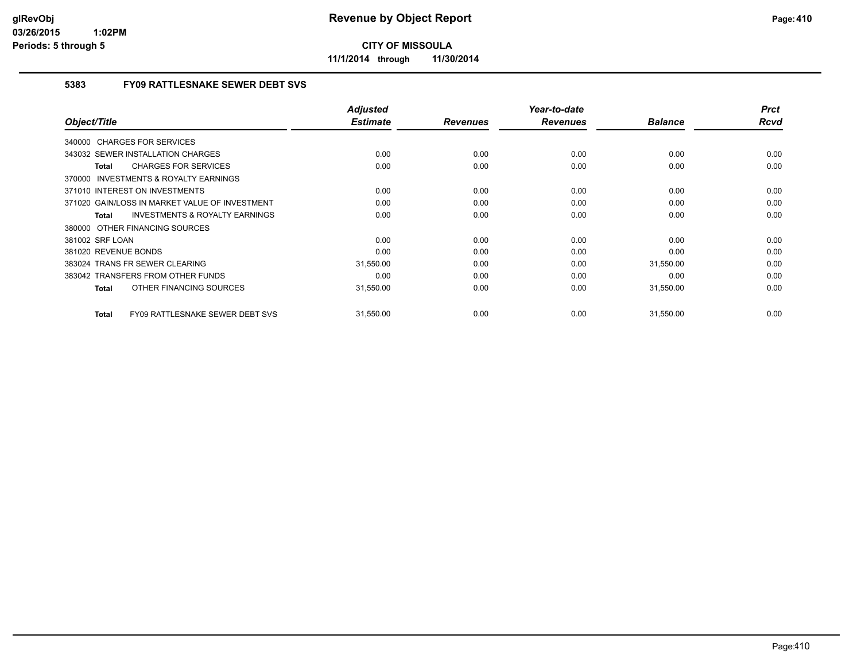**11/1/2014 through 11/30/2014**

### **5383 FY09 RATTLESNAKE SEWER DEBT SVS**

| Object/Title                                              | <b>Adjusted</b><br><b>Estimate</b> | <b>Revenues</b> | Year-to-date<br><b>Revenues</b> | <b>Balance</b> | <b>Prct</b><br>Rcvd |
|-----------------------------------------------------------|------------------------------------|-----------------|---------------------------------|----------------|---------------------|
|                                                           |                                    |                 |                                 |                |                     |
| 340000 CHARGES FOR SERVICES                               |                                    |                 |                                 |                |                     |
| 343032 SEWER INSTALLATION CHARGES                         | 0.00                               | 0.00            | 0.00                            | 0.00           | 0.00                |
| <b>CHARGES FOR SERVICES</b><br>Total                      | 0.00                               | 0.00            | 0.00                            | 0.00           | 0.00                |
| <b>INVESTMENTS &amp; ROYALTY EARNINGS</b><br>370000       |                                    |                 |                                 |                |                     |
| 371010 INTEREST ON INVESTMENTS                            | 0.00                               | 0.00            | 0.00                            | 0.00           | 0.00                |
| 371020 GAIN/LOSS IN MARKET VALUE OF INVESTMENT            | 0.00                               | 0.00            | 0.00                            | 0.00           | 0.00                |
| <b>INVESTMENTS &amp; ROYALTY EARNINGS</b><br><b>Total</b> | 0.00                               | 0.00            | 0.00                            | 0.00           | 0.00                |
| 380000 OTHER FINANCING SOURCES                            |                                    |                 |                                 |                |                     |
| 381002 SRF LOAN                                           | 0.00                               | 0.00            | 0.00                            | 0.00           | 0.00                |
| 381020 REVENUE BONDS                                      | 0.00                               | 0.00            | 0.00                            | 0.00           | 0.00                |
| 383024 TRANS FR SEWER CLEARING                            | 31,550.00                          | 0.00            | 0.00                            | 31,550.00      | 0.00                |
| 383042 TRANSFERS FROM OTHER FUNDS                         | 0.00                               | 0.00            | 0.00                            | 0.00           | 0.00                |
| OTHER FINANCING SOURCES<br><b>Total</b>                   | 31,550.00                          | 0.00            | 0.00                            | 31,550.00      | 0.00                |
| <b>FY09 RATTLESNAKE SEWER DEBT SVS</b><br><b>Total</b>    | 31,550.00                          | 0.00            | 0.00                            | 31,550.00      | 0.00                |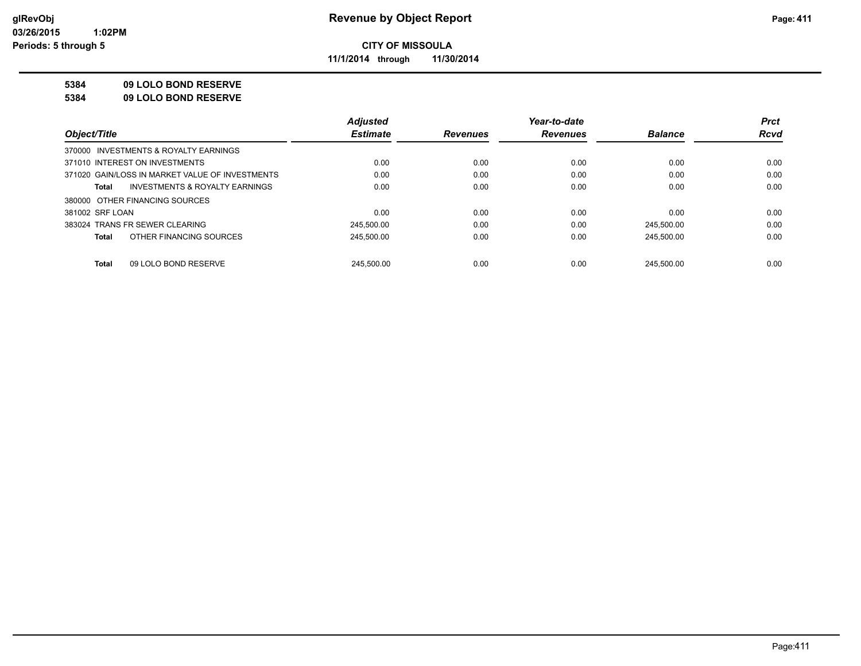**11/1/2014 through 11/30/2014**

#### **5384 09 LOLO BOND RESERVE**

**5384 09 LOLO BOND RESERVE**

|                                                    | <b>Adjusted</b> |                 | Year-to-date    |                | <b>Prct</b> |
|----------------------------------------------------|-----------------|-----------------|-----------------|----------------|-------------|
| Object/Title                                       | <b>Estimate</b> | <b>Revenues</b> | <b>Revenues</b> | <b>Balance</b> | <b>Rcvd</b> |
| 370000 INVESTMENTS & ROYALTY EARNINGS              |                 |                 |                 |                |             |
| 371010 INTEREST ON INVESTMENTS                     | 0.00            | 0.00            | 0.00            | 0.00           | 0.00        |
| 371020 GAIN/LOSS IN MARKET VALUE OF INVESTMENTS    | 0.00            | 0.00            | 0.00            | 0.00           | 0.00        |
| <b>INVESTMENTS &amp; ROYALTY EARNINGS</b><br>Total | 0.00            | 0.00            | 0.00            | 0.00           | 0.00        |
| 380000 OTHER FINANCING SOURCES                     |                 |                 |                 |                |             |
| 381002 SRF LOAN                                    | 0.00            | 0.00            | 0.00            | 0.00           | 0.00        |
| 383024 TRANS FR SEWER CLEARING                     | 245.500.00      | 0.00            | 0.00            | 245.500.00     | 0.00        |
| OTHER FINANCING SOURCES<br>Total                   | 245.500.00      | 0.00            | 0.00            | 245.500.00     | 0.00        |
|                                                    |                 |                 |                 |                |             |
| 09 LOLO BOND RESERVE<br>Total                      | 245.500.00      | 0.00            | 0.00            | 245.500.00     | 0.00        |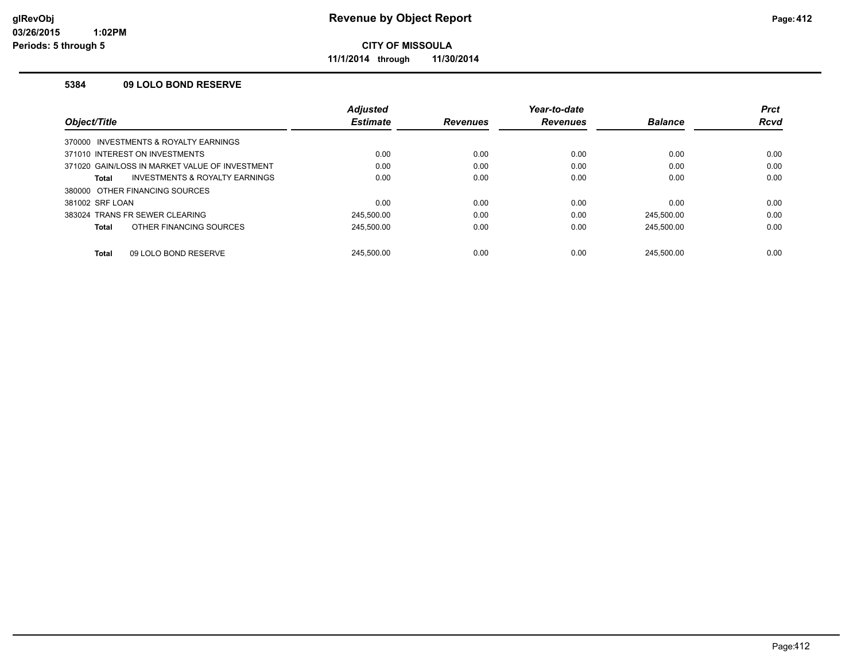**11/1/2014 through 11/30/2014**

### **5384 09 LOLO BOND RESERVE**

|                                                           | <b>Adjusted</b> |                 | Year-to-date    |                | <b>Prct</b> |
|-----------------------------------------------------------|-----------------|-----------------|-----------------|----------------|-------------|
| Object/Title                                              | <b>Estimate</b> | <b>Revenues</b> | <b>Revenues</b> | <b>Balance</b> | <b>Rcvd</b> |
| 370000 INVESTMENTS & ROYALTY EARNINGS                     |                 |                 |                 |                |             |
| 371010 INTEREST ON INVESTMENTS                            | 0.00            | 0.00            | 0.00            | 0.00           | 0.00        |
| 371020 GAIN/LOSS IN MARKET VALUE OF INVESTMENT            | 0.00            | 0.00            | 0.00            | 0.00           | 0.00        |
| <b>INVESTMENTS &amp; ROYALTY EARNINGS</b><br><b>Total</b> | 0.00            | 0.00            | 0.00            | 0.00           | 0.00        |
| 380000 OTHER FINANCING SOURCES                            |                 |                 |                 |                |             |
| 381002 SRF LOAN                                           | 0.00            | 0.00            | 0.00            | 0.00           | 0.00        |
| 383024 TRANS FR SEWER CLEARING                            | 245.500.00      | 0.00            | 0.00            | 245.500.00     | 0.00        |
| OTHER FINANCING SOURCES<br><b>Total</b>                   | 245.500.00      | 0.00            | 0.00            | 245.500.00     | 0.00        |
| 09 LOLO BOND RESERVE<br><b>Total</b>                      | 245.500.00      | 0.00            | 0.00            | 245.500.00     | 0.00        |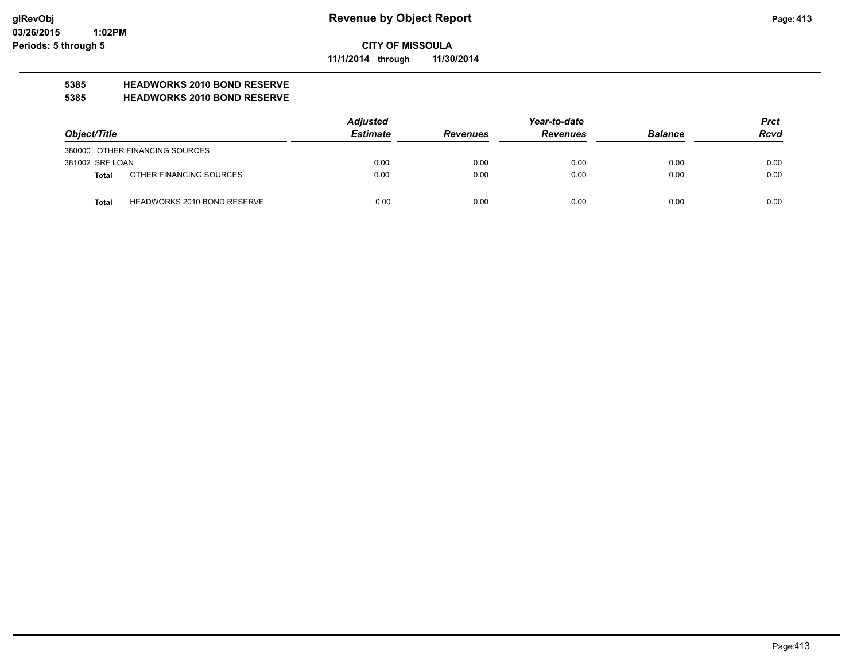**11/1/2014 through 11/30/2014**

# **5385 HEADWORKS 2010 BOND RESERVE**

### **5385 HEADWORKS 2010 BOND RESERVE**

|                 |                                    | <b>Adjusted</b> |                 | <b>Prct</b>     |                |             |
|-----------------|------------------------------------|-----------------|-----------------|-----------------|----------------|-------------|
| Object/Title    |                                    | <b>Estimate</b> | <b>Revenues</b> | <b>Revenues</b> | <b>Balance</b> | <b>Rcvd</b> |
|                 | 380000 OTHER FINANCING SOURCES     |                 |                 |                 |                |             |
| 381002 SRF LOAN |                                    | 0.00            | 0.00            | 0.00            | 0.00           | 0.00        |
| <b>Total</b>    | OTHER FINANCING SOURCES            | 0.00            | 0.00            | 0.00            | 0.00           | 0.00        |
| <b>Total</b>    | <b>HEADWORKS 2010 BOND RESERVE</b> | 0.00            | 0.00            | 0.00            | 0.00           | 0.00        |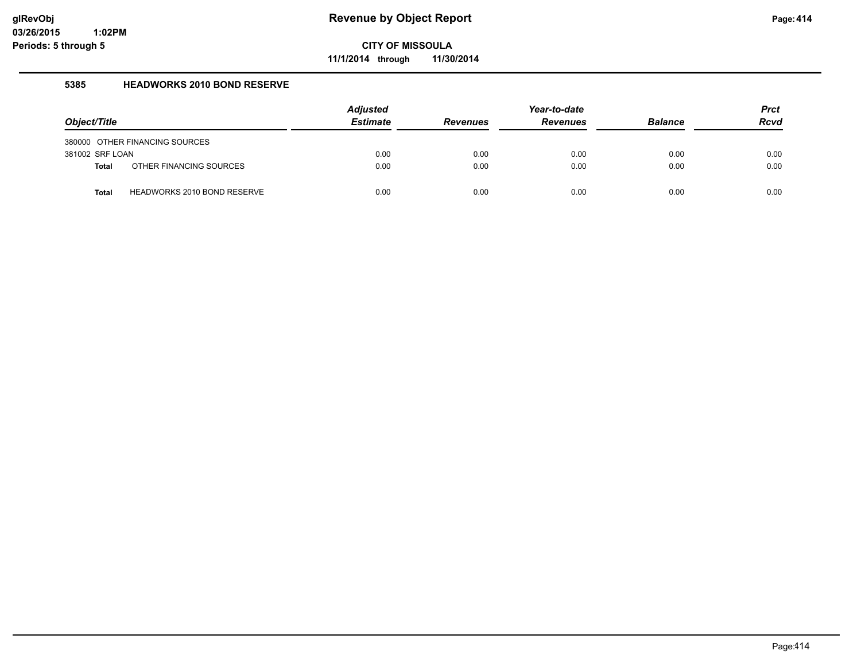**11/1/2014 through 11/30/2014**

### **5385 HEADWORKS 2010 BOND RESERVE**

| Object/Title                    |                                | <b>Adjusted</b><br><b>Estimate</b> | <b>Revenues</b> | Year-to-date<br><b>Revenues</b> | <b>Balance</b> | <b>Prct</b><br><b>Rcvd</b> |
|---------------------------------|--------------------------------|------------------------------------|-----------------|---------------------------------|----------------|----------------------------|
|                                 | 380000 OTHER FINANCING SOURCES |                                    |                 |                                 |                |                            |
| 381002 SRF LOAN<br><b>Total</b> | OTHER FINANCING SOURCES        | 0.00<br>0.00                       | 0.00<br>0.00    | 0.00<br>0.00                    | 0.00<br>0.00   | 0.00<br>0.00               |
| <b>Total</b>                    | HEADWORKS 2010 BOND RESERVE    | 0.00                               | 0.00            | 0.00                            | 0.00           | 0.00                       |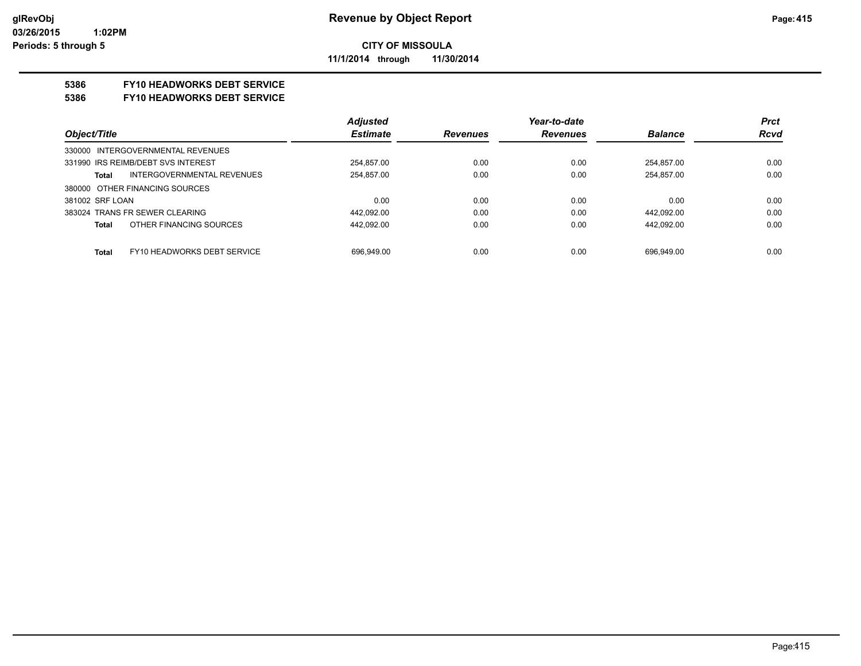**11/1/2014 through 11/30/2014**

### **5386 FY10 HEADWORKS DEBT SERVICE**

#### **5386 FY10 HEADWORKS DEBT SERVICE**

|                                            | <b>Adjusted</b> |                 | Year-to-date    |                | <b>Prct</b> |
|--------------------------------------------|-----------------|-----------------|-----------------|----------------|-------------|
| Object/Title                               | <b>Estimate</b> | <b>Revenues</b> | <b>Revenues</b> | <b>Balance</b> | <b>Rcvd</b> |
| 330000 INTERGOVERNMENTAL REVENUES          |                 |                 |                 |                |             |
| 331990 IRS REIMB/DEBT SVS INTEREST         | 254.857.00      | 0.00            | 0.00            | 254.857.00     | 0.00        |
| <b>INTERGOVERNMENTAL REVENUES</b><br>Total | 254.857.00      | 0.00            | 0.00            | 254.857.00     | 0.00        |
| 380000 OTHER FINANCING SOURCES             |                 |                 |                 |                |             |
| 381002 SRF LOAN                            | 0.00            | 0.00            | 0.00            | 0.00           | 0.00        |
| 383024 TRANS FR SEWER CLEARING             | 442,092.00      | 0.00            | 0.00            | 442,092.00     | 0.00        |
| OTHER FINANCING SOURCES<br>Total           | 442.092.00      | 0.00            | 0.00            | 442.092.00     | 0.00        |
|                                            |                 |                 |                 |                |             |
| FY10 HEADWORKS DEBT SERVICE<br>Total       | 696.949.00      | 0.00            | 0.00            | 696.949.00     | 0.00        |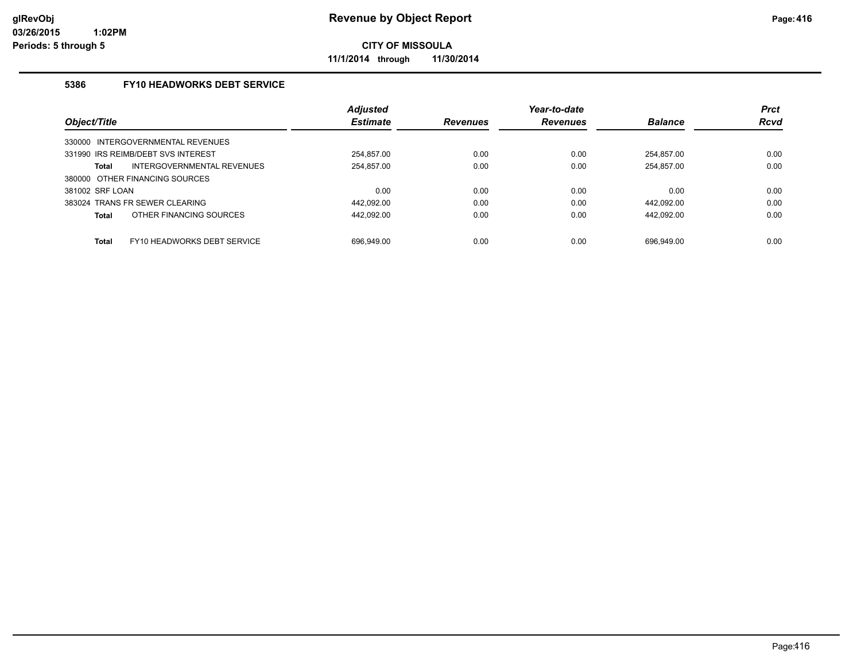**11/1/2014 through 11/30/2014**

### **5386 FY10 HEADWORKS DEBT SERVICE**

|                 |                                    | <b>Adjusted</b> |                 | Year-to-date    |                | <b>Prct</b> |
|-----------------|------------------------------------|-----------------|-----------------|-----------------|----------------|-------------|
| Object/Title    |                                    | <b>Estimate</b> | <b>Revenues</b> | <b>Revenues</b> | <b>Balance</b> | <b>Rcvd</b> |
|                 | 330000 INTERGOVERNMENTAL REVENUES  |                 |                 |                 |                |             |
|                 | 331990 IRS REIMB/DEBT SVS INTEREST | 254.857.00      | 0.00            | 0.00            | 254.857.00     | 0.00        |
| Total           | INTERGOVERNMENTAL REVENUES         | 254,857.00      | 0.00            | 0.00            | 254,857.00     | 0.00        |
|                 | 380000 OTHER FINANCING SOURCES     |                 |                 |                 |                |             |
| 381002 SRF LOAN |                                    | 0.00            | 0.00            | 0.00            | 0.00           | 0.00        |
|                 | 383024 TRANS FR SEWER CLEARING     | 442.092.00      | 0.00            | 0.00            | 442.092.00     | 0.00        |
| <b>Total</b>    | OTHER FINANCING SOURCES            | 442.092.00      | 0.00            | 0.00            | 442.092.00     | 0.00        |
|                 |                                    |                 |                 |                 |                |             |
| <b>Total</b>    | FY10 HEADWORKS DEBT SERVICE        | 696.949.00      | 0.00            | 0.00            | 696.949.00     | 0.00        |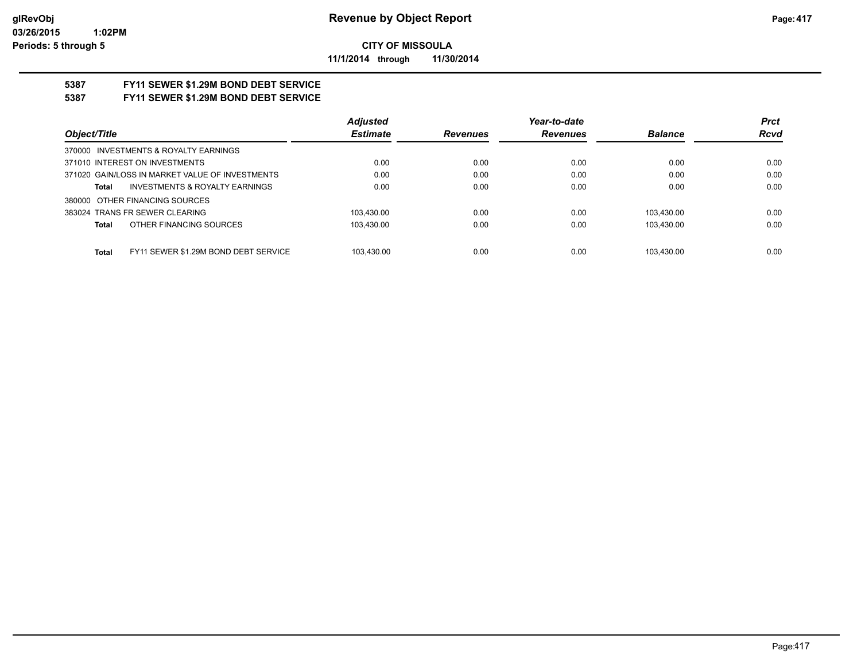**11/1/2014 through 11/30/2014**

# **5387 FY11 SEWER \$1.29M BOND DEBT SERVICE**

## **5387 FY11 SEWER \$1.29M BOND DEBT SERVICE**

|                                                      | <b>Adjusted</b> |                 | Year-to-date    |                | <b>Prct</b> |
|------------------------------------------------------|-----------------|-----------------|-----------------|----------------|-------------|
| Object/Title                                         | <b>Estimate</b> | <b>Revenues</b> | <b>Revenues</b> | <b>Balance</b> | <b>Rcvd</b> |
| 370000 INVESTMENTS & ROYALTY EARNINGS                |                 |                 |                 |                |             |
| 371010 INTEREST ON INVESTMENTS                       | 0.00            | 0.00            | 0.00            | 0.00           | 0.00        |
| 371020 GAIN/LOSS IN MARKET VALUE OF INVESTMENTS      | 0.00            | 0.00            | 0.00            | 0.00           | 0.00        |
| <b>INVESTMENTS &amp; ROYALTY EARNINGS</b><br>Total   | 0.00            | 0.00            | 0.00            | 0.00           | 0.00        |
| 380000 OTHER FINANCING SOURCES                       |                 |                 |                 |                |             |
| 383024 TRANS FR SEWER CLEARING                       | 103.430.00      | 0.00            | 0.00            | 103.430.00     | 0.00        |
| OTHER FINANCING SOURCES<br>Total                     | 103.430.00      | 0.00            | 0.00            | 103.430.00     | 0.00        |
|                                                      |                 |                 |                 |                |             |
| FY11 SEWER \$1.29M BOND DEBT SERVICE<br><b>Total</b> | 103.430.00      | 0.00            | 0.00            | 103.430.00     | 0.00        |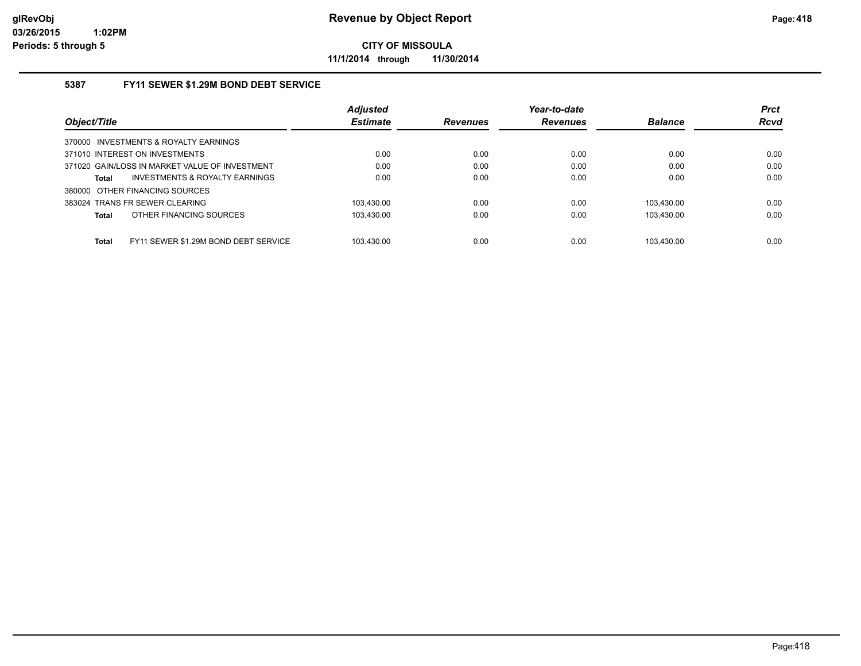**11/1/2014 through 11/30/2014**

### **5387 FY11 SEWER \$1.29M BOND DEBT SERVICE**

|                                                      | <b>Adjusted</b> |                 | Year-to-date    |                | <b>Prct</b> |
|------------------------------------------------------|-----------------|-----------------|-----------------|----------------|-------------|
| Object/Title                                         | <b>Estimate</b> | <b>Revenues</b> | <b>Revenues</b> | <b>Balance</b> | <b>Rcvd</b> |
| 370000 INVESTMENTS & ROYALTY EARNINGS                |                 |                 |                 |                |             |
| 371010 INTEREST ON INVESTMENTS                       | 0.00            | 0.00            | 0.00            | 0.00           | 0.00        |
| 371020 GAIN/LOSS IN MARKET VALUE OF INVESTMENT       | 0.00            | 0.00            | 0.00            | 0.00           | 0.00        |
| INVESTMENTS & ROYALTY EARNINGS<br>Total              | 0.00            | 0.00            | 0.00            | 0.00           | 0.00        |
| 380000 OTHER FINANCING SOURCES                       |                 |                 |                 |                |             |
| 383024 TRANS FR SEWER CLEARING                       | 103.430.00      | 0.00            | 0.00            | 103.430.00     | 0.00        |
| OTHER FINANCING SOURCES<br><b>Total</b>              | 103.430.00      | 0.00            | 0.00            | 103.430.00     | 0.00        |
| <b>Total</b><br>FY11 SEWER \$1.29M BOND DEBT SERVICE | 103.430.00      | 0.00            | 0.00            | 103.430.00     | 0.00        |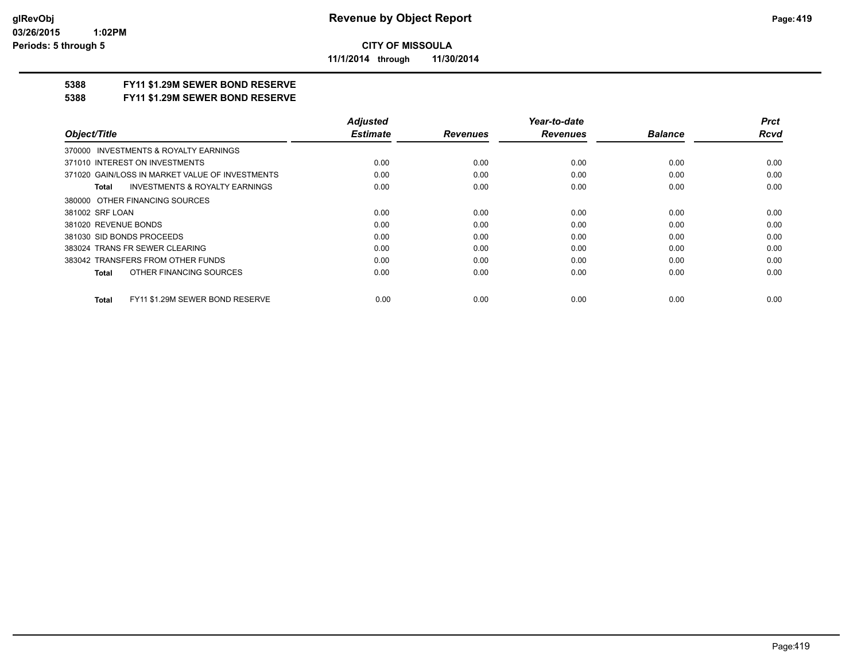**11/1/2014 through 11/30/2014**

### **5388 FY11 \$1.29M SEWER BOND RESERVE**

**5388 FY11 \$1.29M SEWER BOND RESERVE**

|                                                    | <b>Adjusted</b> |                 | Year-to-date    |                | <b>Prct</b> |
|----------------------------------------------------|-----------------|-----------------|-----------------|----------------|-------------|
| Object/Title                                       | <b>Estimate</b> | <b>Revenues</b> | <b>Revenues</b> | <b>Balance</b> | <b>Rcvd</b> |
| 370000 INVESTMENTS & ROYALTY EARNINGS              |                 |                 |                 |                |             |
| 371010 INTEREST ON INVESTMENTS                     | 0.00            | 0.00            | 0.00            | 0.00           | 0.00        |
| 371020 GAIN/LOSS IN MARKET VALUE OF INVESTMENTS    | 0.00            | 0.00            | 0.00            | 0.00           | 0.00        |
| <b>INVESTMENTS &amp; ROYALTY EARNINGS</b><br>Total | 0.00            | 0.00            | 0.00            | 0.00           | 0.00        |
| 380000 OTHER FINANCING SOURCES                     |                 |                 |                 |                |             |
| 381002 SRF LOAN                                    | 0.00            | 0.00            | 0.00            | 0.00           | 0.00        |
| 381020 REVENUE BONDS                               | 0.00            | 0.00            | 0.00            | 0.00           | 0.00        |
| 381030 SID BONDS PROCEEDS                          | 0.00            | 0.00            | 0.00            | 0.00           | 0.00        |
| 383024 TRANS FR SEWER CLEARING                     | 0.00            | 0.00            | 0.00            | 0.00           | 0.00        |
| 383042 TRANSFERS FROM OTHER FUNDS                  | 0.00            | 0.00            | 0.00            | 0.00           | 0.00        |
| OTHER FINANCING SOURCES<br>Total                   | 0.00            | 0.00            | 0.00            | 0.00           | 0.00        |
| FY11 \$1.29M SEWER BOND RESERVE<br>Total           | 0.00            | 0.00            | 0.00            | 0.00           | 0.00        |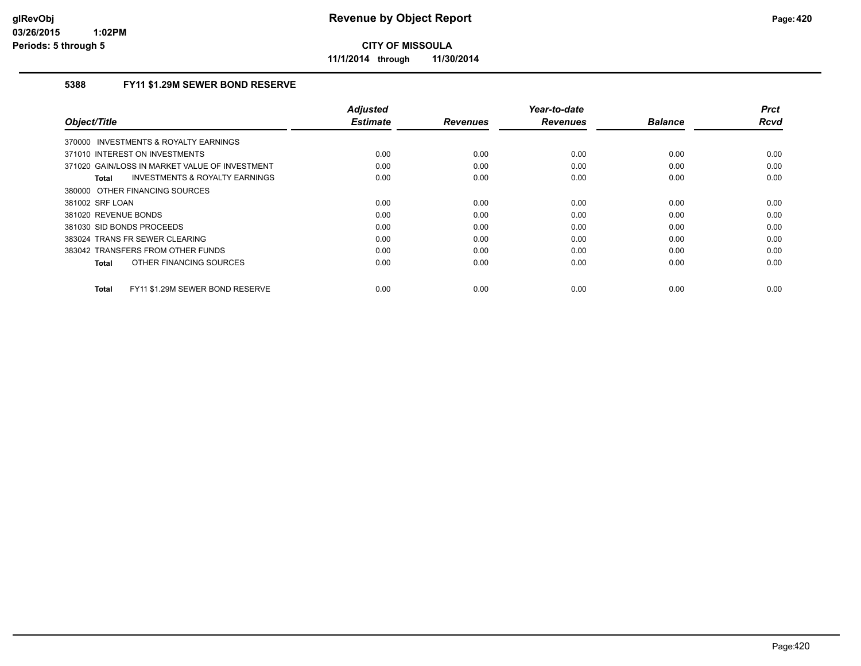**11/1/2014 through 11/30/2014**

### **5388 FY11 \$1.29M SEWER BOND RESERVE**

|                                                           | <b>Adjusted</b> |                 | Year-to-date    |                | <b>Prct</b> |
|-----------------------------------------------------------|-----------------|-----------------|-----------------|----------------|-------------|
| Object/Title                                              | <b>Estimate</b> | <b>Revenues</b> | <b>Revenues</b> | <b>Balance</b> | <b>Rcvd</b> |
| 370000 INVESTMENTS & ROYALTY EARNINGS                     |                 |                 |                 |                |             |
| 371010 INTEREST ON INVESTMENTS                            | 0.00            | 0.00            | 0.00            | 0.00           | 0.00        |
| 371020 GAIN/LOSS IN MARKET VALUE OF INVESTMENT            | 0.00            | 0.00            | 0.00            | 0.00           | 0.00        |
| <b>INVESTMENTS &amp; ROYALTY EARNINGS</b><br><b>Total</b> | 0.00            | 0.00            | 0.00            | 0.00           | 0.00        |
| 380000 OTHER FINANCING SOURCES                            |                 |                 |                 |                |             |
| 381002 SRF LOAN                                           | 0.00            | 0.00            | 0.00            | 0.00           | 0.00        |
| 381020 REVENUE BONDS                                      | 0.00            | 0.00            | 0.00            | 0.00           | 0.00        |
| 381030 SID BONDS PROCEEDS                                 | 0.00            | 0.00            | 0.00            | 0.00           | 0.00        |
| 383024 TRANS FR SEWER CLEARING                            | 0.00            | 0.00            | 0.00            | 0.00           | 0.00        |
| 383042 TRANSFERS FROM OTHER FUNDS                         | 0.00            | 0.00            | 0.00            | 0.00           | 0.00        |
| OTHER FINANCING SOURCES<br><b>Total</b>                   | 0.00            | 0.00            | 0.00            | 0.00           | 0.00        |
| FY11 \$1.29M SEWER BOND RESERVE<br><b>Total</b>           | 0.00            | 0.00            | 0.00            | 0.00           | 0.00        |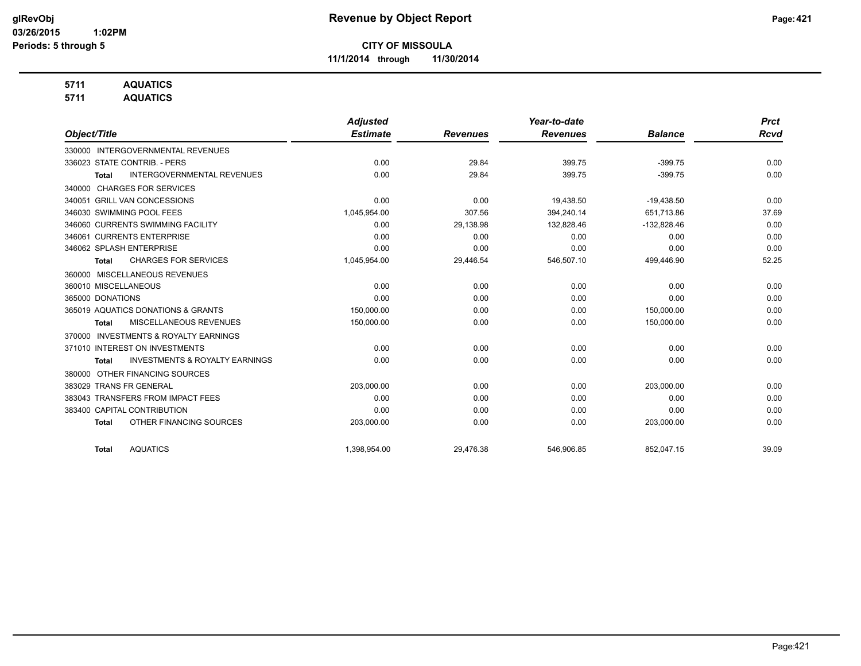**11/1/2014 through 11/30/2014**

### **5711 AQUATICS**

**5711 AQUATICS**

|                                                           | <b>Adjusted</b> |                 | Year-to-date    |                | <b>Prct</b> |
|-----------------------------------------------------------|-----------------|-----------------|-----------------|----------------|-------------|
| Object/Title                                              | <b>Estimate</b> | <b>Revenues</b> | <b>Revenues</b> | <b>Balance</b> | <b>Rcvd</b> |
| <b>INTERGOVERNMENTAL REVENUES</b><br>330000               |                 |                 |                 |                |             |
| 336023 STATE CONTRIB. - PERS                              | 0.00            | 29.84           | 399.75          | $-399.75$      | 0.00        |
| <b>INTERGOVERNMENTAL REVENUES</b><br><b>Total</b>         | 0.00            | 29.84           | 399.75          | $-399.75$      | 0.00        |
| <b>CHARGES FOR SERVICES</b><br>340000                     |                 |                 |                 |                |             |
| 340051 GRILL VAN CONCESSIONS                              | 0.00            | 0.00            | 19,438.50       | $-19,438.50$   | 0.00        |
| 346030 SWIMMING POOL FEES                                 | 1,045,954.00    | 307.56          | 394,240.14      | 651,713.86     | 37.69       |
| 346060 CURRENTS SWIMMING FACILITY                         | 0.00            | 29,138.98       | 132,828.46      | $-132,828.46$  | 0.00        |
| 346061 CURRENTS ENTERPRISE                                | 0.00            | 0.00            | 0.00            | 0.00           | 0.00        |
| 346062 SPLASH ENTERPRISE                                  | 0.00            | 0.00            | 0.00            | 0.00           | 0.00        |
| <b>CHARGES FOR SERVICES</b><br><b>Total</b>               | 1,045,954.00    | 29,446.54       | 546,507.10      | 499,446.90     | 52.25       |
| 360000 MISCELLANEOUS REVENUES                             |                 |                 |                 |                |             |
| 360010 MISCELLANEOUS                                      | 0.00            | 0.00            | 0.00            | 0.00           | 0.00        |
| 365000 DONATIONS                                          | 0.00            | 0.00            | 0.00            | 0.00           | 0.00        |
| 365019 AQUATICS DONATIONS & GRANTS                        | 150,000.00      | 0.00            | 0.00            | 150,000.00     | 0.00        |
| MISCELLANEOUS REVENUES<br><b>Total</b>                    | 150,000.00      | 0.00            | 0.00            | 150,000.00     | 0.00        |
| <b>INVESTMENTS &amp; ROYALTY EARNINGS</b><br>370000       |                 |                 |                 |                |             |
| 371010 INTEREST ON INVESTMENTS                            | 0.00            | 0.00            | 0.00            | 0.00           | 0.00        |
| <b>INVESTMENTS &amp; ROYALTY EARNINGS</b><br><b>Total</b> | 0.00            | 0.00            | 0.00            | 0.00           | 0.00        |
| OTHER FINANCING SOURCES<br>380000                         |                 |                 |                 |                |             |
| 383029 TRANS FR GENERAL                                   | 203.000.00      | 0.00            | 0.00            | 203.000.00     | 0.00        |
| 383043 TRANSFERS FROM IMPACT FEES                         | 0.00            | 0.00            | 0.00            | 0.00           | 0.00        |
| 383400 CAPITAL CONTRIBUTION                               | 0.00            | 0.00            | 0.00            | 0.00           | 0.00        |
| OTHER FINANCING SOURCES<br><b>Total</b>                   | 203,000.00      | 0.00            | 0.00            | 203,000.00     | 0.00        |
|                                                           |                 |                 |                 |                |             |
| <b>AQUATICS</b><br><b>Total</b>                           | 1,398,954.00    | 29,476.38       | 546,906.85      | 852,047.15     | 39.09       |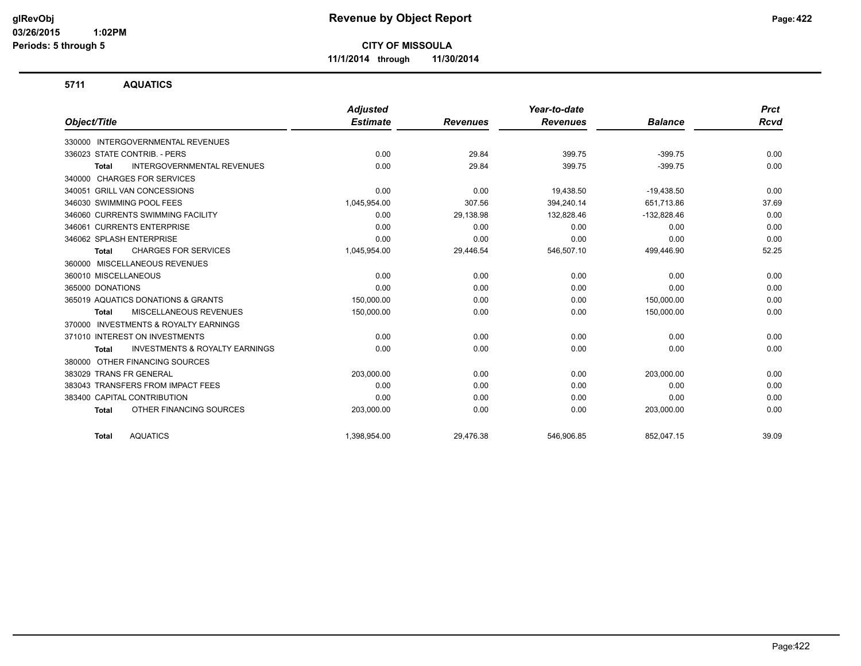**11/1/2014 through 11/30/2014**

#### **5711 AQUATICS**

|                                                           | <b>Adjusted</b> |                 | Year-to-date    |                | <b>Prct</b><br><b>Rcvd</b> |
|-----------------------------------------------------------|-----------------|-----------------|-----------------|----------------|----------------------------|
| Object/Title                                              | <b>Estimate</b> | <b>Revenues</b> | <b>Revenues</b> | <b>Balance</b> |                            |
| <b>INTERGOVERNMENTAL REVENUES</b><br>330000               |                 |                 |                 |                |                            |
| 336023 STATE CONTRIB. - PERS                              | 0.00            | 29.84           | 399.75          | $-399.75$      | 0.00                       |
| <b>INTERGOVERNMENTAL REVENUES</b><br><b>Total</b>         | 0.00            | 29.84           | 399.75          | $-399.75$      | 0.00                       |
| <b>CHARGES FOR SERVICES</b><br>340000                     |                 |                 |                 |                |                            |
| 340051 GRILL VAN CONCESSIONS                              | 0.00            | 0.00            | 19,438.50       | $-19,438.50$   | 0.00                       |
| 346030 SWIMMING POOL FEES                                 | 1,045,954.00    | 307.56          | 394.240.14      | 651,713.86     | 37.69                      |
| 346060 CURRENTS SWIMMING FACILITY                         | 0.00            | 29,138.98       | 132,828.46      | $-132,828.46$  | 0.00                       |
| 346061 CURRENTS ENTERPRISE                                | 0.00            | 0.00            | 0.00            | 0.00           | 0.00                       |
| 346062 SPLASH ENTERPRISE                                  | 0.00            | 0.00            | 0.00            | 0.00           | 0.00                       |
| <b>CHARGES FOR SERVICES</b><br>Total                      | 1,045,954.00    | 29,446.54       | 546,507.10      | 499,446.90     | 52.25                      |
| 360000 MISCELLANEOUS REVENUES                             |                 |                 |                 |                |                            |
| 360010 MISCELLANEOUS                                      | 0.00            | 0.00            | 0.00            | 0.00           | 0.00                       |
| 365000 DONATIONS                                          | 0.00            | 0.00            | 0.00            | 0.00           | 0.00                       |
| 365019 AQUATICS DONATIONS & GRANTS                        | 150,000.00      | 0.00            | 0.00            | 150,000.00     | 0.00                       |
| MISCELLANEOUS REVENUES<br><b>Total</b>                    | 150,000.00      | 0.00            | 0.00            | 150,000.00     | 0.00                       |
| <b>INVESTMENTS &amp; ROYALTY EARNINGS</b><br>370000       |                 |                 |                 |                |                            |
| 371010 INTEREST ON INVESTMENTS                            | 0.00            | 0.00            | 0.00            | 0.00           | 0.00                       |
| <b>INVESTMENTS &amp; ROYALTY EARNINGS</b><br><b>Total</b> | 0.00            | 0.00            | 0.00            | 0.00           | 0.00                       |
| OTHER FINANCING SOURCES<br>380000                         |                 |                 |                 |                |                            |
| 383029 TRANS FR GENERAL                                   | 203,000.00      | 0.00            | 0.00            | 203,000.00     | 0.00                       |
| 383043 TRANSFERS FROM IMPACT FEES                         | 0.00            | 0.00            | 0.00            | 0.00           | 0.00                       |
| 383400 CAPITAL CONTRIBUTION                               | 0.00            | 0.00            | 0.00            | 0.00           | 0.00                       |
| OTHER FINANCING SOURCES<br><b>Total</b>                   | 203,000.00      | 0.00            | 0.00            | 203,000.00     | 0.00                       |
| <b>AQUATICS</b><br><b>Total</b>                           | 1.398.954.00    | 29.476.38       | 546.906.85      | 852,047.15     | 39.09                      |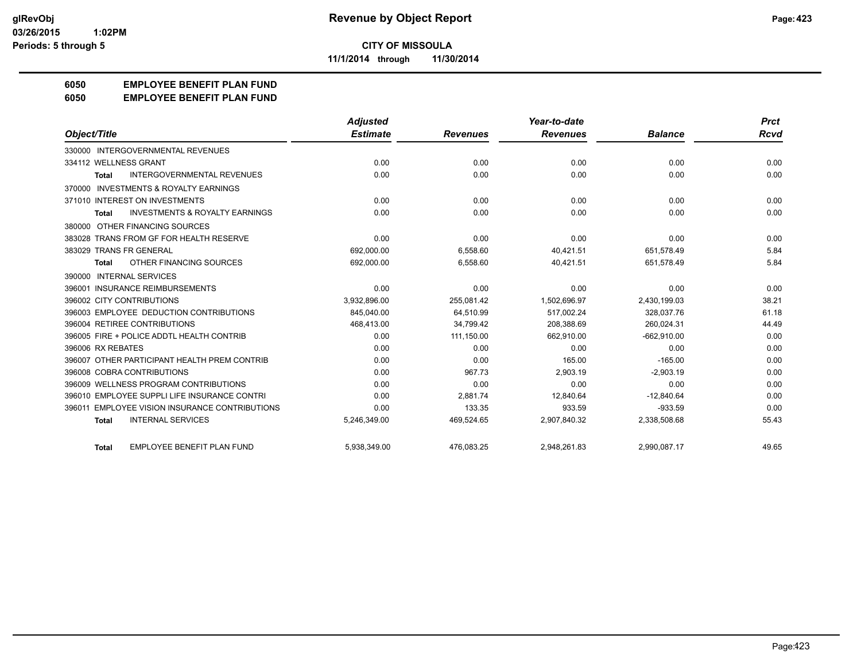**11/1/2014 through 11/30/2014**

### **6050 EMPLOYEE BENEFIT PLAN FUND**

#### **6050 EMPLOYEE BENEFIT PLAN FUND**

|                                                           | <b>Adjusted</b> |                 | Year-to-date    |                | <b>Prct</b> |
|-----------------------------------------------------------|-----------------|-----------------|-----------------|----------------|-------------|
| Object/Title                                              | <b>Estimate</b> | <b>Revenues</b> | <b>Revenues</b> | <b>Balance</b> | Rcvd        |
| 330000 INTERGOVERNMENTAL REVENUES                         |                 |                 |                 |                |             |
| 334112 WELLNESS GRANT                                     | 0.00            | 0.00            | 0.00            | 0.00           | 0.00        |
| <b>INTERGOVERNMENTAL REVENUES</b><br><b>Total</b>         | 0.00            | 0.00            | 0.00            | 0.00           | 0.00        |
| 370000 INVESTMENTS & ROYALTY EARNINGS                     |                 |                 |                 |                |             |
| 371010 INTEREST ON INVESTMENTS                            | 0.00            | 0.00            | 0.00            | 0.00           | 0.00        |
| <b>INVESTMENTS &amp; ROYALTY EARNINGS</b><br><b>Total</b> | 0.00            | 0.00            | 0.00            | 0.00           | 0.00        |
| 380000 OTHER FINANCING SOURCES                            |                 |                 |                 |                |             |
| 383028 TRANS FROM GF FOR HEALTH RESERVE                   | 0.00            | 0.00            | 0.00            | 0.00           | 0.00        |
| 383029 TRANS FR GENERAL                                   | 692,000.00      | 6,558.60        | 40,421.51       | 651,578.49     | 5.84        |
| OTHER FINANCING SOURCES<br><b>Total</b>                   | 692,000.00      | 6,558.60        | 40,421.51       | 651,578.49     | 5.84        |
| 390000 INTERNAL SERVICES                                  |                 |                 |                 |                |             |
| <b>INSURANCE REIMBURSEMENTS</b><br>396001                 | 0.00            | 0.00            | 0.00            | 0.00           | 0.00        |
| 396002 CITY CONTRIBUTIONS                                 | 3,932,896.00    | 255,081.42      | 1,502,696.97    | 2,430,199.03   | 38.21       |
| 396003 EMPLOYEE DEDUCTION CONTRIBUTIONS                   | 845,040.00      | 64,510.99       | 517.002.24      | 328,037.76     | 61.18       |
| 396004 RETIREE CONTRIBUTIONS                              | 468,413.00      | 34,799.42       | 208,388.69      | 260,024.31     | 44.49       |
| 396005 FIRE + POLICE ADDTL HEALTH CONTRIB                 | 0.00            | 111,150.00      | 662,910.00      | $-662,910.00$  | 0.00        |
| 396006 RX REBATES                                         | 0.00            | 0.00            | 0.00            | 0.00           | 0.00        |
| 396007 OTHER PARTICIPANT HEALTH PREM CONTRIB              | 0.00            | 0.00            | 165.00          | $-165.00$      | 0.00        |
| 396008 COBRA CONTRIBUTIONS                                | 0.00            | 967.73          | 2,903.19        | $-2,903.19$    | 0.00        |
| 396009 WELLNESS PROGRAM CONTRIBUTIONS                     | 0.00            | 0.00            | 0.00            | 0.00           | 0.00        |
| 396010 EMPLOYEE SUPPLI LIFE INSURANCE CONTRI              | 0.00            | 2,881.74        | 12,840.64       | $-12,840.64$   | 0.00        |
| <b>EMPLOYEE VISION INSURANCE CONTRIBUTIONS</b><br>396011  | 0.00            | 133.35          | 933.59          | $-933.59$      | 0.00        |
| <b>INTERNAL SERVICES</b><br><b>Total</b>                  | 5,246,349.00    | 469,524.65      | 2,907,840.32    | 2,338,508.68   | 55.43       |
| <b>EMPLOYEE BENEFIT PLAN FUND</b><br><b>Total</b>         | 5,938,349.00    | 476,083.25      | 2,948,261.83    | 2,990,087.17   | 49.65       |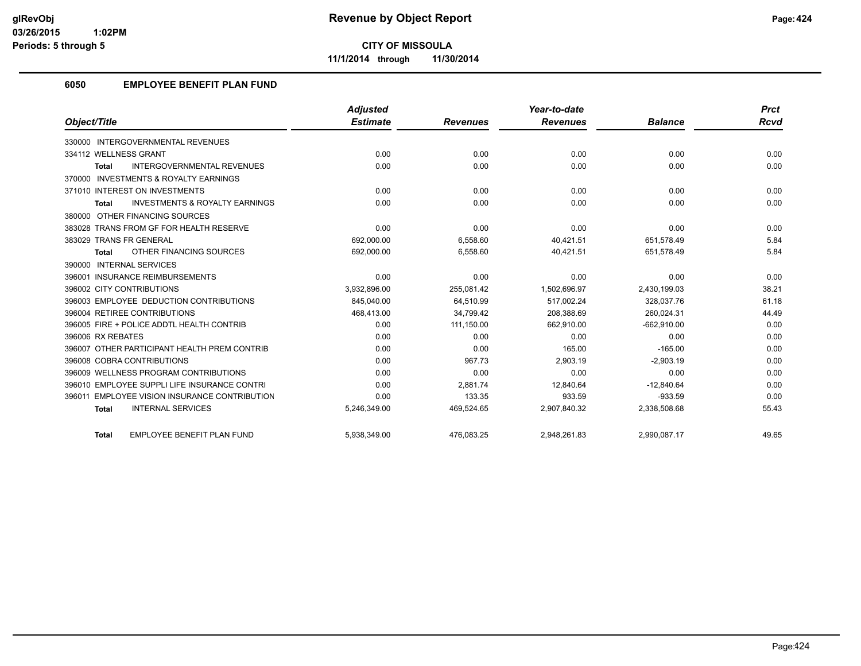**11/1/2014 through 11/30/2014**

### **6050 EMPLOYEE BENEFIT PLAN FUND**

|                                                           | <b>Adjusted</b> |                 | Year-to-date    |                | <b>Prct</b> |
|-----------------------------------------------------------|-----------------|-----------------|-----------------|----------------|-------------|
| Object/Title                                              | <b>Estimate</b> | <b>Revenues</b> | <b>Revenues</b> | <b>Balance</b> | <b>Rcvd</b> |
| 330000 INTERGOVERNMENTAL REVENUES                         |                 |                 |                 |                |             |
| 334112 WELLNESS GRANT                                     | 0.00            | 0.00            | 0.00            | 0.00           | 0.00        |
| <b>INTERGOVERNMENTAL REVENUES</b><br><b>Total</b>         | 0.00            | 0.00            | 0.00            | 0.00           | 0.00        |
| 370000 INVESTMENTS & ROYALTY EARNINGS                     |                 |                 |                 |                |             |
| 371010 INTEREST ON INVESTMENTS                            | 0.00            | 0.00            | 0.00            | 0.00           | 0.00        |
| <b>INVESTMENTS &amp; ROYALTY EARNINGS</b><br><b>Total</b> | 0.00            | 0.00            | 0.00            | 0.00           | 0.00        |
| 380000 OTHER FINANCING SOURCES                            |                 |                 |                 |                |             |
| 383028 TRANS FROM GF FOR HEALTH RESERVE                   | 0.00            | 0.00            | 0.00            | 0.00           | 0.00        |
| 383029 TRANS FR GENERAL                                   | 692,000.00      | 6,558.60        | 40,421.51       | 651,578.49     | 5.84        |
| OTHER FINANCING SOURCES<br><b>Total</b>                   | 692,000.00      | 6,558.60        | 40,421.51       | 651,578.49     | 5.84        |
| 390000 INTERNAL SERVICES                                  |                 |                 |                 |                |             |
| 396001 INSURANCE REIMBURSEMENTS                           | 0.00            | 0.00            | 0.00            | 0.00           | 0.00        |
| 396002 CITY CONTRIBUTIONS                                 | 3,932,896.00    | 255,081.42      | 1,502,696.97    | 2,430,199.03   | 38.21       |
| 396003 EMPLOYEE DEDUCTION CONTRIBUTIONS                   | 845,040.00      | 64,510.99       | 517,002.24      | 328,037.76     | 61.18       |
| 396004 RETIREE CONTRIBUTIONS                              | 468.413.00      | 34.799.42       | 208.388.69      | 260.024.31     | 44.49       |
| 396005 FIRE + POLICE ADDTL HEALTH CONTRIB                 | 0.00            | 111,150.00      | 662.910.00      | $-662.910.00$  | 0.00        |
| 396006 RX REBATES                                         | 0.00            | 0.00            | 0.00            | 0.00           | 0.00        |
| 396007 OTHER PARTICIPANT HEALTH PREM CONTRIB              | 0.00            | 0.00            | 165.00          | $-165.00$      | 0.00        |
| 396008 COBRA CONTRIBUTIONS                                | 0.00            | 967.73          | 2.903.19        | $-2.903.19$    | 0.00        |
| 396009 WELLNESS PROGRAM CONTRIBUTIONS                     | 0.00            | 0.00            | 0.00            | 0.00           | 0.00        |
| 396010 EMPLOYEE SUPPLI LIFE INSURANCE CONTRI              | 0.00            | 2.881.74        | 12,840.64       | $-12,840.64$   | 0.00        |
| 396011 EMPLOYEE VISION INSURANCE CONTRIBUTION             | 0.00            | 133.35          | 933.59          | $-933.59$      | 0.00        |
| <b>INTERNAL SERVICES</b><br><b>Total</b>                  | 5,246,349.00    | 469,524.65      | 2,907,840.32    | 2,338,508.68   | 55.43       |
| <b>EMPLOYEE BENEFIT PLAN FUND</b><br><b>Total</b>         | 5,938,349.00    | 476,083.25      | 2,948,261.83    | 2,990,087.17   | 49.65       |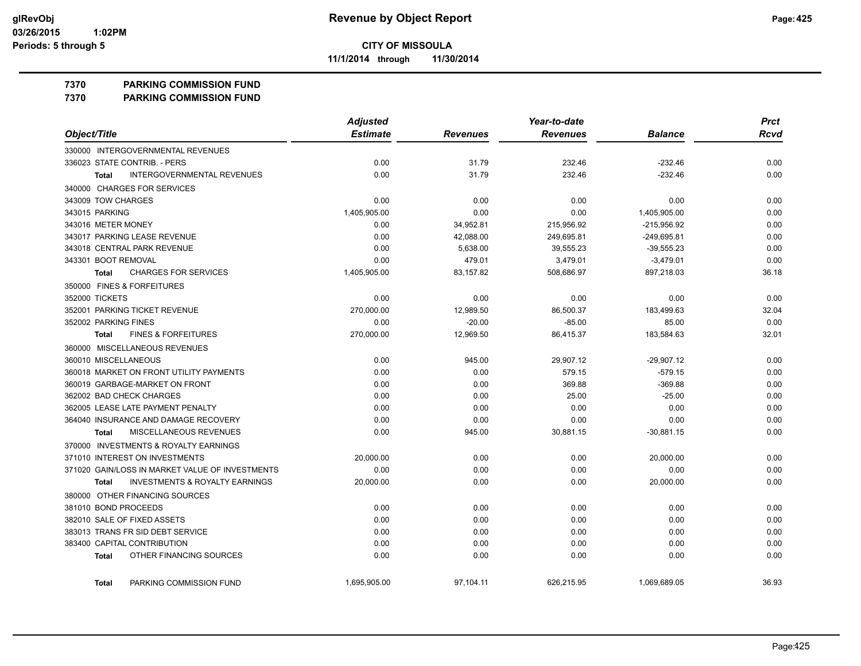**11/1/2014 through 11/30/2014**

#### **7370 PARKING COMMISSION FUND**

**7370 PARKING COMMISSION FUND**

|                                                    | <b>Adjusted</b> |                 | Year-to-date    |                | <b>Prct</b> |
|----------------------------------------------------|-----------------|-----------------|-----------------|----------------|-------------|
| Object/Title                                       | <b>Estimate</b> | <b>Revenues</b> | <b>Revenues</b> | <b>Balance</b> | <b>Rcvd</b> |
| 330000 INTERGOVERNMENTAL REVENUES                  |                 |                 |                 |                |             |
| 336023 STATE CONTRIB. - PERS                       | 0.00            | 31.79           | 232.46          | $-232.46$      | 0.00        |
| <b>INTERGOVERNMENTAL REVENUES</b><br><b>Total</b>  | 0.00            | 31.79           | 232.46          | $-232.46$      | 0.00        |
| 340000 CHARGES FOR SERVICES                        |                 |                 |                 |                |             |
| 343009 TOW CHARGES                                 | 0.00            | 0.00            | 0.00            | 0.00           | 0.00        |
| 343015 PARKING                                     | 1,405,905.00    | 0.00            | 0.00            | 1,405,905.00   | 0.00        |
| 343016 METER MONEY                                 | 0.00            | 34,952.81       | 215,956.92      | $-215,956.92$  | 0.00        |
| 343017 PARKING LEASE REVENUE                       | 0.00            | 42,088.00       | 249,695.81      | $-249,695.81$  | 0.00        |
| 343018 CENTRAL PARK REVENUE                        | 0.00            | 5,638.00        | 39,555.23       | $-39,555.23$   | 0.00        |
| 343301 BOOT REMOVAL                                | 0.00            | 479.01          | 3,479.01        | $-3,479.01$    | 0.00        |
| <b>CHARGES FOR SERVICES</b><br><b>Total</b>        | 1,405,905.00    | 83,157.82       | 508,686.97      | 897,218.03     | 36.18       |
| 350000 FINES & FORFEITURES                         |                 |                 |                 |                |             |
| 352000 TICKETS                                     | 0.00            | 0.00            | 0.00            | 0.00           | 0.00        |
| 352001 PARKING TICKET REVENUE                      | 270,000.00      | 12,989.50       | 86,500.37       | 183,499.63     | 32.04       |
| 352002 PARKING FINES                               | 0.00            | $-20.00$        | $-85.00$        | 85.00          | 0.00        |
| <b>FINES &amp; FORFEITURES</b><br><b>Total</b>     | 270,000.00      | 12,969.50       | 86,415.37       | 183,584.63     | 32.01       |
| 360000 MISCELLANEOUS REVENUES                      |                 |                 |                 |                |             |
| 360010 MISCELLANEOUS                               | 0.00            | 945.00          | 29,907.12       | $-29,907.12$   | 0.00        |
| 360018 MARKET ON FRONT UTILITY PAYMENTS            | 0.00            | 0.00            | 579.15          | $-579.15$      | 0.00        |
| 360019 GARBAGE-MARKET ON FRONT                     | 0.00            | 0.00            | 369.88          | $-369.88$      | 0.00        |
| 362002 BAD CHECK CHARGES                           | 0.00            | 0.00            | 25.00           | $-25.00$       | 0.00        |
| 362005 LEASE LATE PAYMENT PENALTY                  | 0.00            | 0.00            | 0.00            | 0.00           | 0.00        |
| 364040 INSURANCE AND DAMAGE RECOVERY               | 0.00            | 0.00            | 0.00            | 0.00           | 0.00        |
| MISCELLANEOUS REVENUES<br>Total                    | 0.00            | 945.00          | 30,881.15       | $-30,881.15$   | 0.00        |
| 370000 INVESTMENTS & ROYALTY EARNINGS              |                 |                 |                 |                |             |
| 371010 INTEREST ON INVESTMENTS                     | 20,000.00       | 0.00            | 0.00            | 20,000.00      | 0.00        |
| 371020 GAIN/LOSS IN MARKET VALUE OF INVESTMENTS    | 0.00            | 0.00            | 0.00            | 0.00           | 0.00        |
| <b>INVESTMENTS &amp; ROYALTY EARNINGS</b><br>Total | 20,000.00       | 0.00            | 0.00            | 20,000.00      | 0.00        |
| 380000 OTHER FINANCING SOURCES                     |                 |                 |                 |                |             |
| 381010 BOND PROCEEDS                               | 0.00            | 0.00            | 0.00            | 0.00           | 0.00        |
| 382010 SALE OF FIXED ASSETS                        | 0.00            | 0.00            | 0.00            | 0.00           | 0.00        |
| 383013 TRANS FR SID DEBT SERVICE                   | 0.00            | 0.00            | 0.00            | 0.00           | 0.00        |
| 383400 CAPITAL CONTRIBUTION                        | 0.00            | 0.00            | 0.00            | 0.00           | 0.00        |
| OTHER FINANCING SOURCES<br><b>Total</b>            | 0.00            | 0.00            | 0.00            | 0.00           | 0.00        |
| PARKING COMMISSION FUND<br><b>Total</b>            | 1,695,905.00    | 97,104.11       | 626,215.95      | 1,069,689.05   | 36.93       |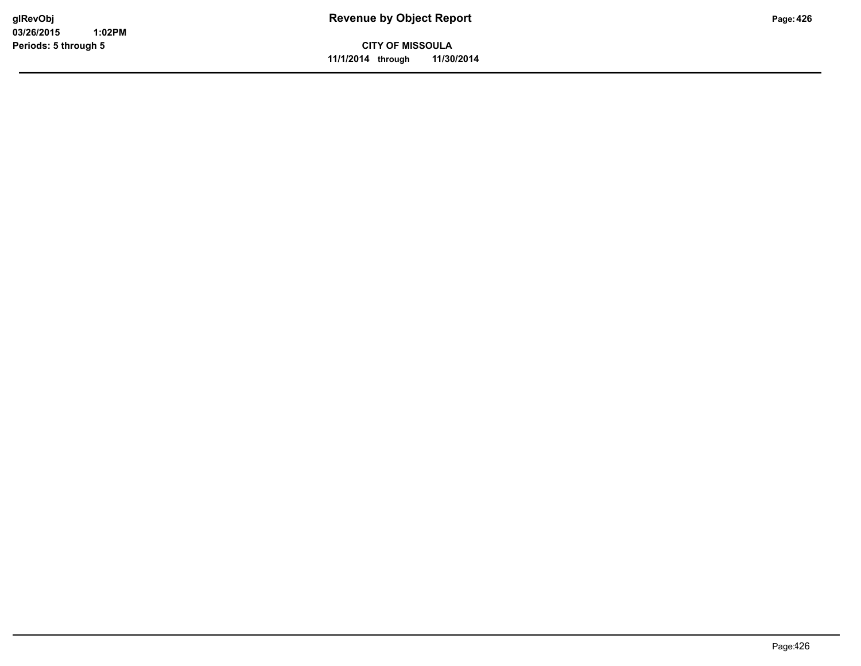**CITY OF MISSOULA 11/1/2014 through 11/30/2014**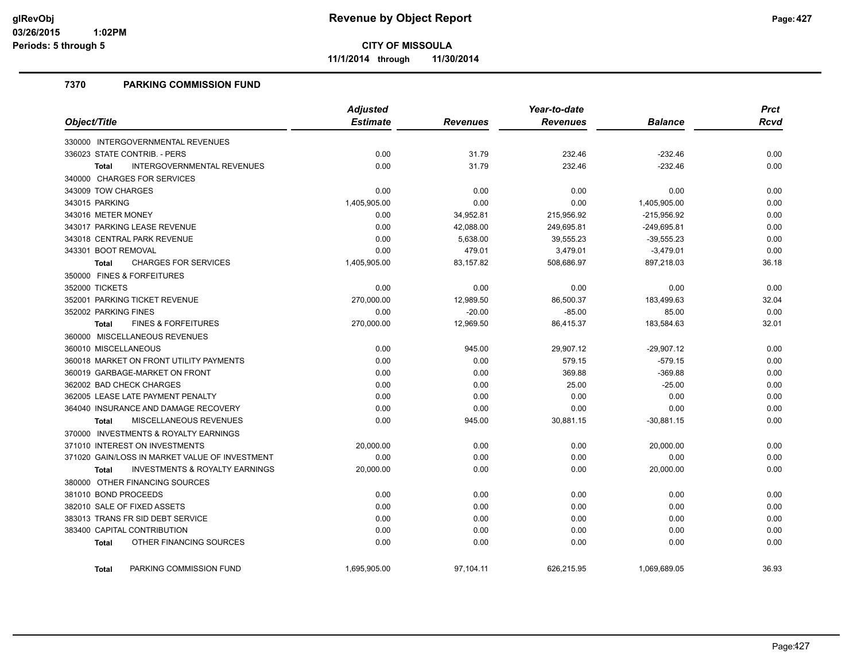**11/1/2014 through 11/30/2014**

### **7370 PARKING COMMISSION FUND**

|                                                           | <b>Adjusted</b> |                 | Year-to-date    |                | <b>Prct</b> |
|-----------------------------------------------------------|-----------------|-----------------|-----------------|----------------|-------------|
| Object/Title                                              | <b>Estimate</b> | <b>Revenues</b> | <b>Revenues</b> | <b>Balance</b> | <b>Rcvd</b> |
| 330000 INTERGOVERNMENTAL REVENUES                         |                 |                 |                 |                |             |
| 336023 STATE CONTRIB. - PERS                              | 0.00            | 31.79           | 232.46          | $-232.46$      | 0.00        |
| <b>INTERGOVERNMENTAL REVENUES</b><br><b>Total</b>         | 0.00            | 31.79           | 232.46          | $-232.46$      | 0.00        |
| 340000 CHARGES FOR SERVICES                               |                 |                 |                 |                |             |
| 343009 TOW CHARGES                                        | 0.00            | 0.00            | 0.00            | 0.00           | 0.00        |
| 343015 PARKING                                            | 1,405,905.00    | 0.00            | 0.00            | 1,405,905.00   | 0.00        |
| 343016 METER MONEY                                        | 0.00            | 34,952.81       | 215,956.92      | $-215,956.92$  | 0.00        |
| 343017 PARKING LEASE REVENUE                              | 0.00            | 42,088.00       | 249,695.81      | -249,695.81    | 0.00        |
| 343018 CENTRAL PARK REVENUE                               | 0.00            | 5,638.00        | 39,555.23       | $-39,555.23$   | 0.00        |
| 343301 BOOT REMOVAL                                       | 0.00            | 479.01          | 3,479.01        | $-3,479.01$    | 0.00        |
| <b>CHARGES FOR SERVICES</b><br><b>Total</b>               | 1,405,905.00    | 83,157.82       | 508,686.97      | 897,218.03     | 36.18       |
| 350000 FINES & FORFEITURES                                |                 |                 |                 |                |             |
| 352000 TICKETS                                            | 0.00            | 0.00            | 0.00            | 0.00           | 0.00        |
| 352001 PARKING TICKET REVENUE                             | 270,000.00      | 12,989.50       | 86,500.37       | 183,499.63     | 32.04       |
| 352002 PARKING FINES                                      | 0.00            | $-20.00$        | $-85.00$        | 85.00          | 0.00        |
| <b>FINES &amp; FORFEITURES</b><br><b>Total</b>            | 270,000.00      | 12,969.50       | 86,415.37       | 183,584.63     | 32.01       |
| 360000 MISCELLANEOUS REVENUES                             |                 |                 |                 |                |             |
| 360010 MISCELLANEOUS                                      | 0.00            | 945.00          | 29,907.12       | $-29,907.12$   | 0.00        |
| 360018 MARKET ON FRONT UTILITY PAYMENTS                   | 0.00            | 0.00            | 579.15          | $-579.15$      | 0.00        |
| 360019 GARBAGE-MARKET ON FRONT                            | 0.00            | 0.00            | 369.88          | $-369.88$      | 0.00        |
| 362002 BAD CHECK CHARGES                                  | 0.00            | 0.00            | 25.00           | $-25.00$       | 0.00        |
| 362005 LEASE LATE PAYMENT PENALTY                         | 0.00            | 0.00            | 0.00            | 0.00           | 0.00        |
| 364040 INSURANCE AND DAMAGE RECOVERY                      | 0.00            | 0.00            | 0.00            | 0.00           | 0.00        |
| <b>MISCELLANEOUS REVENUES</b><br><b>Total</b>             | 0.00            | 945.00          | 30,881.15       | $-30,881.15$   | 0.00        |
| 370000 INVESTMENTS & ROYALTY EARNINGS                     |                 |                 |                 |                |             |
| 371010 INTEREST ON INVESTMENTS                            | 20,000.00       | 0.00            | 0.00            | 20,000.00      | 0.00        |
| 371020 GAIN/LOSS IN MARKET VALUE OF INVESTMENT            | 0.00            | 0.00            | 0.00            | 0.00           | 0.00        |
| <b>INVESTMENTS &amp; ROYALTY EARNINGS</b><br><b>Total</b> | 20,000.00       | 0.00            | 0.00            | 20,000.00      | 0.00        |
| 380000 OTHER FINANCING SOURCES                            |                 |                 |                 |                |             |
| 381010 BOND PROCEEDS                                      | 0.00            | 0.00            | 0.00            | 0.00           | 0.00        |
| 382010 SALE OF FIXED ASSETS                               | 0.00            | 0.00            | 0.00            | 0.00           | 0.00        |
| 383013 TRANS FR SID DEBT SERVICE                          | 0.00            | 0.00            | 0.00            | 0.00           | 0.00        |
| 383400 CAPITAL CONTRIBUTION                               | 0.00            | 0.00            | 0.00            | 0.00           | 0.00        |
| OTHER FINANCING SOURCES<br><b>Total</b>                   | 0.00            | 0.00            | 0.00            | 0.00           | 0.00        |
|                                                           |                 |                 |                 |                |             |
| PARKING COMMISSION FUND<br><b>Total</b>                   | 1,695,905.00    | 97,104.11       | 626,215.95      | 1,069,689.05   | 36.93       |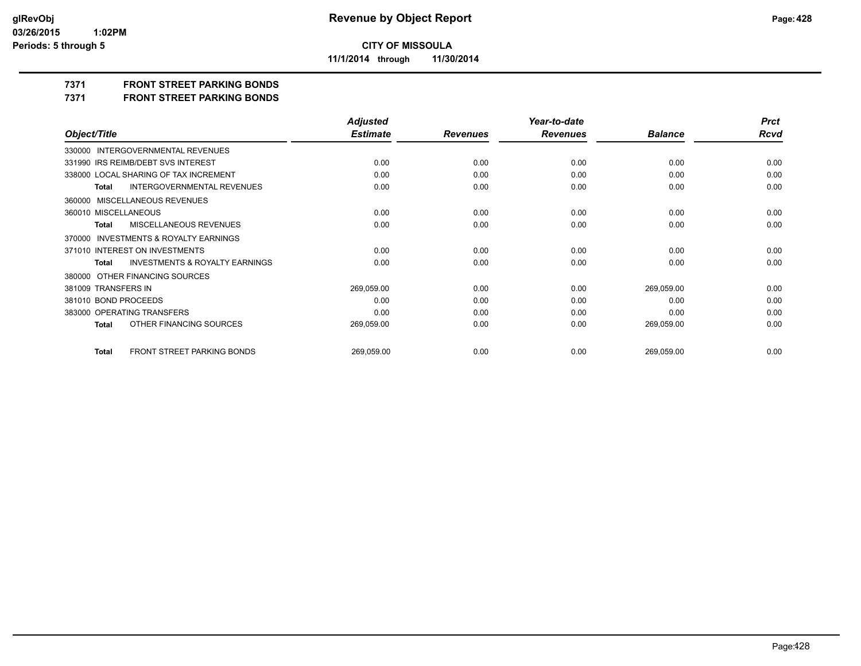**11/1/2014 through 11/30/2014**

### **7371 FRONT STREET PARKING BONDS**

**7371 FRONT STREET PARKING BONDS**

|                                                           | <b>Adjusted</b> |                 | Year-to-date    |                | <b>Prct</b> |
|-----------------------------------------------------------|-----------------|-----------------|-----------------|----------------|-------------|
| Object/Title                                              | <b>Estimate</b> | <b>Revenues</b> | <b>Revenues</b> | <b>Balance</b> | <b>Rcvd</b> |
| 330000 INTERGOVERNMENTAL REVENUES                         |                 |                 |                 |                |             |
| 331990 IRS REIMB/DEBT SVS INTEREST                        | 0.00            | 0.00            | 0.00            | 0.00           | 0.00        |
| 338000 LOCAL SHARING OF TAX INCREMENT                     | 0.00            | 0.00            | 0.00            | 0.00           | 0.00        |
| INTERGOVERNMENTAL REVENUES<br><b>Total</b>                | 0.00            | 0.00            | 0.00            | 0.00           | 0.00        |
| 360000 MISCELLANEOUS REVENUES                             |                 |                 |                 |                |             |
| 360010 MISCELLANEOUS                                      | 0.00            | 0.00            | 0.00            | 0.00           | 0.00        |
| MISCELLANEOUS REVENUES<br><b>Total</b>                    | 0.00            | 0.00            | 0.00            | 0.00           | 0.00        |
| 370000 INVESTMENTS & ROYALTY EARNINGS                     |                 |                 |                 |                |             |
| 371010 INTEREST ON INVESTMENTS                            | 0.00            | 0.00            | 0.00            | 0.00           | 0.00        |
| <b>INVESTMENTS &amp; ROYALTY EARNINGS</b><br><b>Total</b> | 0.00            | 0.00            | 0.00            | 0.00           | 0.00        |
| 380000 OTHER FINANCING SOURCES                            |                 |                 |                 |                |             |
| 381009 TRANSFERS IN                                       | 269,059.00      | 0.00            | 0.00            | 269,059.00     | 0.00        |
| 381010 BOND PROCEEDS                                      | 0.00            | 0.00            | 0.00            | 0.00           | 0.00        |
| 383000 OPERATING TRANSFERS                                | 0.00            | 0.00            | 0.00            | 0.00           | 0.00        |
| OTHER FINANCING SOURCES<br><b>Total</b>                   | 269,059.00      | 0.00            | 0.00            | 269,059.00     | 0.00        |
| FRONT STREET PARKING BONDS<br><b>Total</b>                | 269,059.00      | 0.00            | 0.00            | 269,059.00     | 0.00        |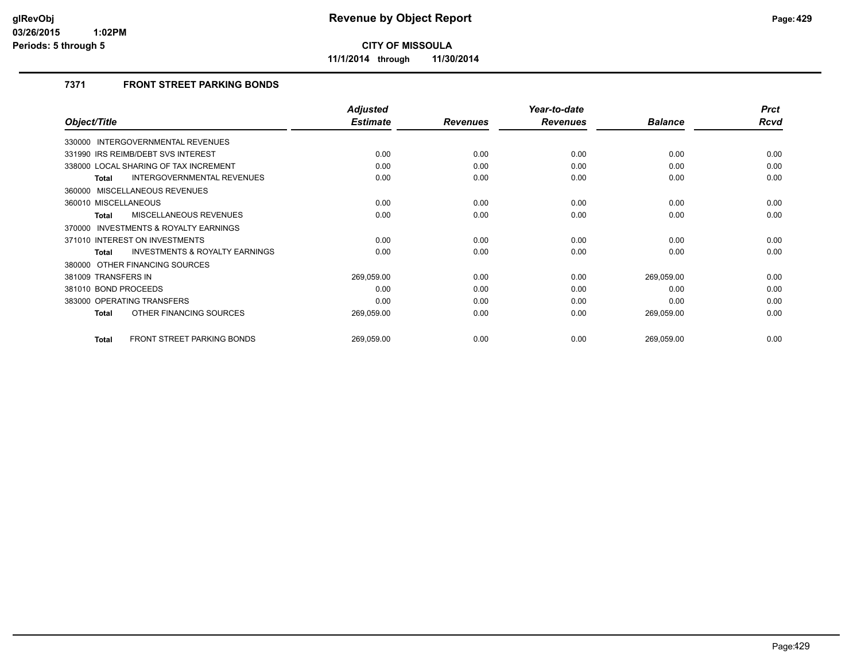**11/1/2014 through 11/30/2014**

### **7371 FRONT STREET PARKING BONDS**

|                                                     | <b>Adjusted</b> |                 | Year-to-date    |                | <b>Prct</b> |
|-----------------------------------------------------|-----------------|-----------------|-----------------|----------------|-------------|
| Object/Title                                        | <b>Estimate</b> | <b>Revenues</b> | <b>Revenues</b> | <b>Balance</b> | Rcvd        |
| <b>INTERGOVERNMENTAL REVENUES</b><br>330000         |                 |                 |                 |                |             |
| 331990 IRS REIMB/DEBT SVS INTEREST                  | 0.00            | 0.00            | 0.00            | 0.00           | 0.00        |
| 338000 LOCAL SHARING OF TAX INCREMENT               | 0.00            | 0.00            | 0.00            | 0.00           | 0.00        |
| <b>INTERGOVERNMENTAL REVENUES</b><br>Total          | 0.00            | 0.00            | 0.00            | 0.00           | 0.00        |
| 360000 MISCELLANEOUS REVENUES                       |                 |                 |                 |                |             |
| 360010 MISCELLANEOUS                                | 0.00            | 0.00            | 0.00            | 0.00           | 0.00        |
| MISCELLANEOUS REVENUES<br><b>Total</b>              | 0.00            | 0.00            | 0.00            | 0.00           | 0.00        |
| <b>INVESTMENTS &amp; ROYALTY EARNINGS</b><br>370000 |                 |                 |                 |                |             |
| 371010 INTEREST ON INVESTMENTS                      | 0.00            | 0.00            | 0.00            | 0.00           | 0.00        |
| <b>INVESTMENTS &amp; ROYALTY EARNINGS</b><br>Total  | 0.00            | 0.00            | 0.00            | 0.00           | 0.00        |
| 380000 OTHER FINANCING SOURCES                      |                 |                 |                 |                |             |
| 381009 TRANSFERS IN                                 | 269,059.00      | 0.00            | 0.00            | 269,059.00     | 0.00        |
| 381010 BOND PROCEEDS                                | 0.00            | 0.00            | 0.00            | 0.00           | 0.00        |
| 383000 OPERATING TRANSFERS                          | 0.00            | 0.00            | 0.00            | 0.00           | 0.00        |
| OTHER FINANCING SOURCES<br><b>Total</b>             | 269,059.00      | 0.00            | 0.00            | 269,059.00     | 0.00        |
| <b>FRONT STREET PARKING BONDS</b><br><b>Total</b>   | 269,059.00      | 0.00            | 0.00            | 269,059.00     | 0.00        |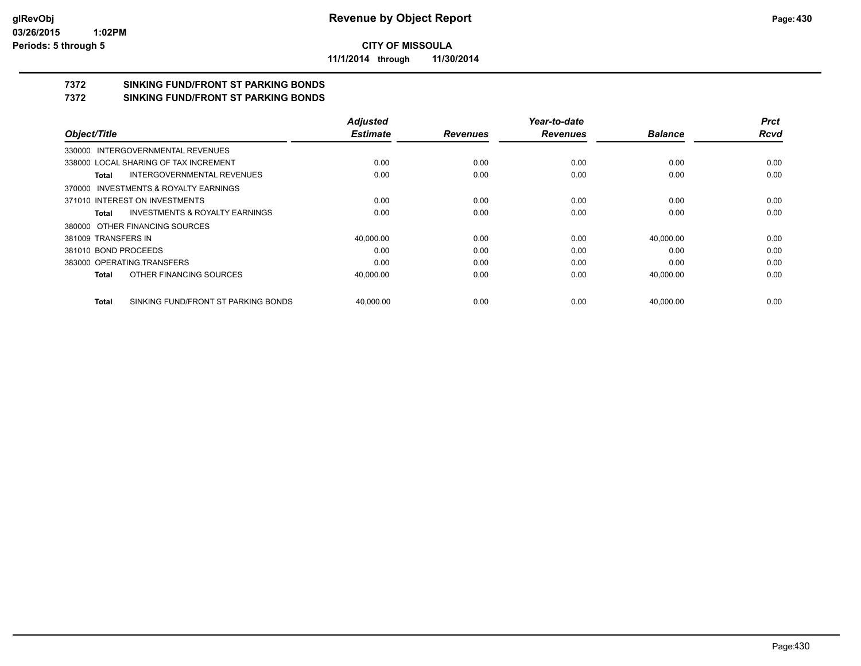**11/1/2014 through 11/30/2014**

# **7372 SINKING FUND/FRONT ST PARKING BONDS**

**7372 SINKING FUND/FRONT ST PARKING BONDS**

|                                              | <b>Adjusted</b> |                 | Year-to-date    |                | <b>Prct</b> |
|----------------------------------------------|-----------------|-----------------|-----------------|----------------|-------------|
| Object/Title                                 | <b>Estimate</b> | <b>Revenues</b> | <b>Revenues</b> | <b>Balance</b> | <b>Rcvd</b> |
| 330000 INTERGOVERNMENTAL REVENUES            |                 |                 |                 |                |             |
| 338000 LOCAL SHARING OF TAX INCREMENT        | 0.00            | 0.00            | 0.00            | 0.00           | 0.00        |
| INTERGOVERNMENTAL REVENUES<br>Total          | 0.00            | 0.00            | 0.00            | 0.00           | 0.00        |
| 370000 INVESTMENTS & ROYALTY EARNINGS        |                 |                 |                 |                |             |
| 371010 INTEREST ON INVESTMENTS               | 0.00            | 0.00            | 0.00            | 0.00           | 0.00        |
| INVESTMENTS & ROYALTY EARNINGS<br>Total      | 0.00            | 0.00            | 0.00            | 0.00           | 0.00        |
| 380000 OTHER FINANCING SOURCES               |                 |                 |                 |                |             |
| 381009 TRANSFERS IN                          | 40,000.00       | 0.00            | 0.00            | 40,000.00      | 0.00        |
| 381010 BOND PROCEEDS                         | 0.00            | 0.00            | 0.00            | 0.00           | 0.00        |
| 383000 OPERATING TRANSFERS                   | 0.00            | 0.00            | 0.00            | 0.00           | 0.00        |
| OTHER FINANCING SOURCES<br>Total             | 40,000.00       | 0.00            | 0.00            | 40,000.00      | 0.00        |
| SINKING FUND/FRONT ST PARKING BONDS<br>Total | 40.000.00       | 0.00            | 0.00            | 40.000.00      | 0.00        |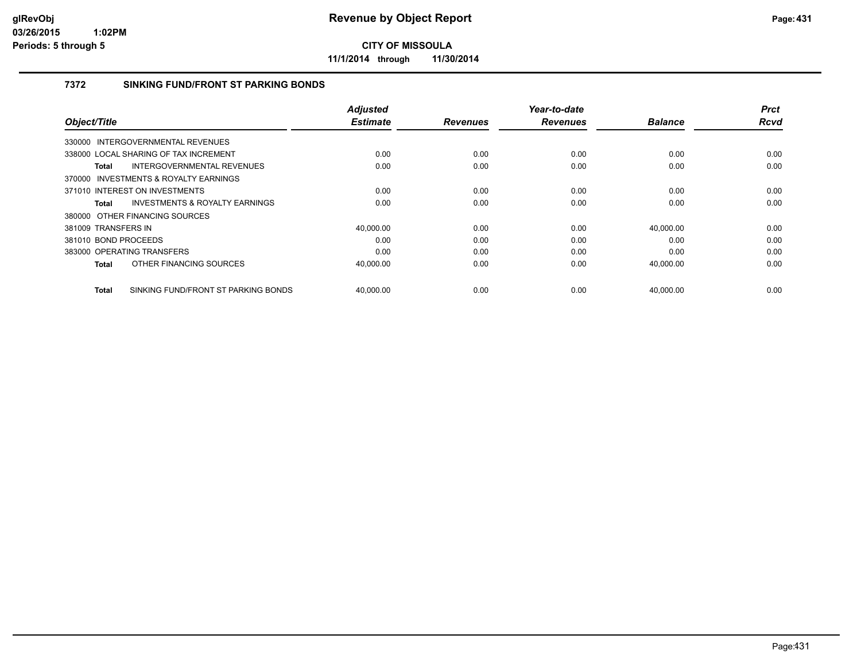**11/1/2014 through 11/30/2014**

### **7372 SINKING FUND/FRONT ST PARKING BONDS**

|                      |                                           | <b>Adjusted</b> |                 | Year-to-date    |                | <b>Prct</b> |
|----------------------|-------------------------------------------|-----------------|-----------------|-----------------|----------------|-------------|
| Object/Title         |                                           | <b>Estimate</b> | <b>Revenues</b> | <b>Revenues</b> | <b>Balance</b> | <b>Rcvd</b> |
|                      | 330000 INTERGOVERNMENTAL REVENUES         |                 |                 |                 |                |             |
|                      | 338000 LOCAL SHARING OF TAX INCREMENT     | 0.00            | 0.00            | 0.00            | 0.00           | 0.00        |
| Total                | <b>INTERGOVERNMENTAL REVENUES</b>         | 0.00            | 0.00            | 0.00            | 0.00           | 0.00        |
|                      | 370000 INVESTMENTS & ROYALTY EARNINGS     |                 |                 |                 |                |             |
|                      | 371010 INTEREST ON INVESTMENTS            | 0.00            | 0.00            | 0.00            | 0.00           | 0.00        |
| Total                | <b>INVESTMENTS &amp; ROYALTY EARNINGS</b> | 0.00            | 0.00            | 0.00            | 0.00           | 0.00        |
|                      | 380000 OTHER FINANCING SOURCES            |                 |                 |                 |                |             |
| 381009 TRANSFERS IN  |                                           | 40,000.00       | 0.00            | 0.00            | 40,000.00      | 0.00        |
| 381010 BOND PROCEEDS |                                           | 0.00            | 0.00            | 0.00            | 0.00           | 0.00        |
|                      | 383000 OPERATING TRANSFERS                | 0.00            | 0.00            | 0.00            | 0.00           | 0.00        |
| <b>Total</b>         | OTHER FINANCING SOURCES                   | 40,000.00       | 0.00            | 0.00            | 40,000.00      | 0.00        |
| <b>Total</b>         | SINKING FUND/FRONT ST PARKING BONDS       | 40,000.00       | 0.00            | 0.00            | 40,000.00      | 0.00        |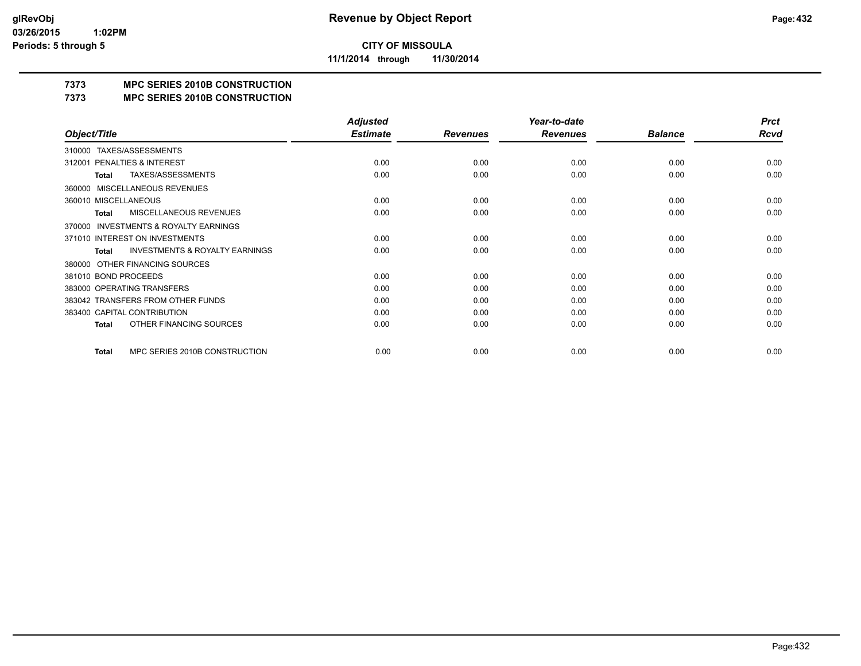**11/1/2014 through 11/30/2014**

### **7373 MPC SERIES 2010B CONSTRUCTION**

#### **7373 MPC SERIES 2010B CONSTRUCTION**

|                                                     | <b>Adjusted</b> |                 | Year-to-date    |                | <b>Prct</b> |
|-----------------------------------------------------|-----------------|-----------------|-----------------|----------------|-------------|
| Object/Title                                        | <b>Estimate</b> | <b>Revenues</b> | <b>Revenues</b> | <b>Balance</b> | <b>Rcvd</b> |
| TAXES/ASSESSMENTS<br>310000                         |                 |                 |                 |                |             |
| <b>PENALTIES &amp; INTEREST</b><br>312001           | 0.00            | 0.00            | 0.00            | 0.00           | 0.00        |
| <b>TAXES/ASSESSMENTS</b><br>Total                   | 0.00            | 0.00            | 0.00            | 0.00           | 0.00        |
| <b>MISCELLANEOUS REVENUES</b><br>360000             |                 |                 |                 |                |             |
| 360010 MISCELLANEOUS                                | 0.00            | 0.00            | 0.00            | 0.00           | 0.00        |
| MISCELLANEOUS REVENUES<br>Total                     | 0.00            | 0.00            | 0.00            | 0.00           | 0.00        |
| <b>INVESTMENTS &amp; ROYALTY EARNINGS</b><br>370000 |                 |                 |                 |                |             |
| 371010 INTEREST ON INVESTMENTS                      | 0.00            | 0.00            | 0.00            | 0.00           | 0.00        |
| <b>INVESTMENTS &amp; ROYALTY EARNINGS</b><br>Total  | 0.00            | 0.00            | 0.00            | 0.00           | 0.00        |
| OTHER FINANCING SOURCES<br>380000                   |                 |                 |                 |                |             |
| 381010 BOND PROCEEDS                                | 0.00            | 0.00            | 0.00            | 0.00           | 0.00        |
| 383000 OPERATING TRANSFERS                          | 0.00            | 0.00            | 0.00            | 0.00           | 0.00        |
| 383042 TRANSFERS FROM OTHER FUNDS                   | 0.00            | 0.00            | 0.00            | 0.00           | 0.00        |
| 383400 CAPITAL CONTRIBUTION                         | 0.00            | 0.00            | 0.00            | 0.00           | 0.00        |
| OTHER FINANCING SOURCES<br>Total                    | 0.00            | 0.00            | 0.00            | 0.00           | 0.00        |
| MPC SERIES 2010B CONSTRUCTION<br>Total              | 0.00            | 0.00            | 0.00            | 0.00           | 0.00        |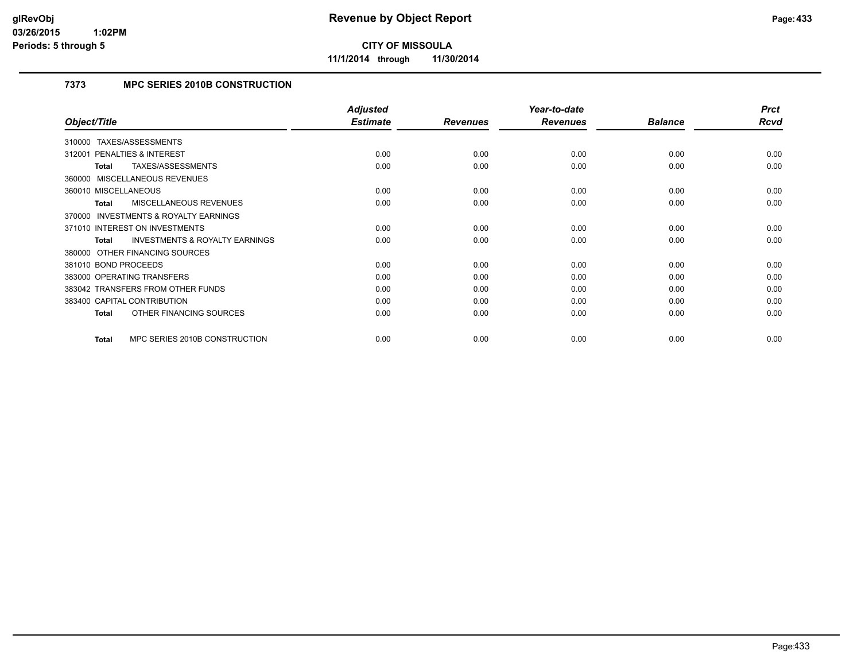**11/1/2014 through 11/30/2014**

#### **7373 MPC SERIES 2010B CONSTRUCTION**

|                                                    | <b>Adjusted</b> |                 | Year-to-date    |                | <b>Prct</b> |
|----------------------------------------------------|-----------------|-----------------|-----------------|----------------|-------------|
| Object/Title                                       | <b>Estimate</b> | <b>Revenues</b> | <b>Revenues</b> | <b>Balance</b> | Rcvd        |
| TAXES/ASSESSMENTS<br>310000                        |                 |                 |                 |                |             |
| <b>PENALTIES &amp; INTEREST</b><br>312001          | 0.00            | 0.00            | 0.00            | 0.00           | 0.00        |
| TAXES/ASSESSMENTS<br>Total                         | 0.00            | 0.00            | 0.00            | 0.00           | 0.00        |
| 360000 MISCELLANEOUS REVENUES                      |                 |                 |                 |                |             |
| 360010 MISCELLANEOUS                               | 0.00            | 0.00            | 0.00            | 0.00           | 0.00        |
| <b>MISCELLANEOUS REVENUES</b><br>Total             | 0.00            | 0.00            | 0.00            | 0.00           | 0.00        |
| 370000 INVESTMENTS & ROYALTY EARNINGS              |                 |                 |                 |                |             |
| 371010 INTEREST ON INVESTMENTS                     | 0.00            | 0.00            | 0.00            | 0.00           | 0.00        |
| <b>INVESTMENTS &amp; ROYALTY EARNINGS</b><br>Total | 0.00            | 0.00            | 0.00            | 0.00           | 0.00        |
| 380000 OTHER FINANCING SOURCES                     |                 |                 |                 |                |             |
| 381010 BOND PROCEEDS                               | 0.00            | 0.00            | 0.00            | 0.00           | 0.00        |
| 383000 OPERATING TRANSFERS                         | 0.00            | 0.00            | 0.00            | 0.00           | 0.00        |
| 383042 TRANSFERS FROM OTHER FUNDS                  | 0.00            | 0.00            | 0.00            | 0.00           | 0.00        |
| 383400 CAPITAL CONTRIBUTION                        | 0.00            | 0.00            | 0.00            | 0.00           | 0.00        |
| OTHER FINANCING SOURCES<br><b>Total</b>            | 0.00            | 0.00            | 0.00            | 0.00           | 0.00        |
| MPC SERIES 2010B CONSTRUCTION<br><b>Total</b>      | 0.00            | 0.00            | 0.00            | 0.00           | 0.00        |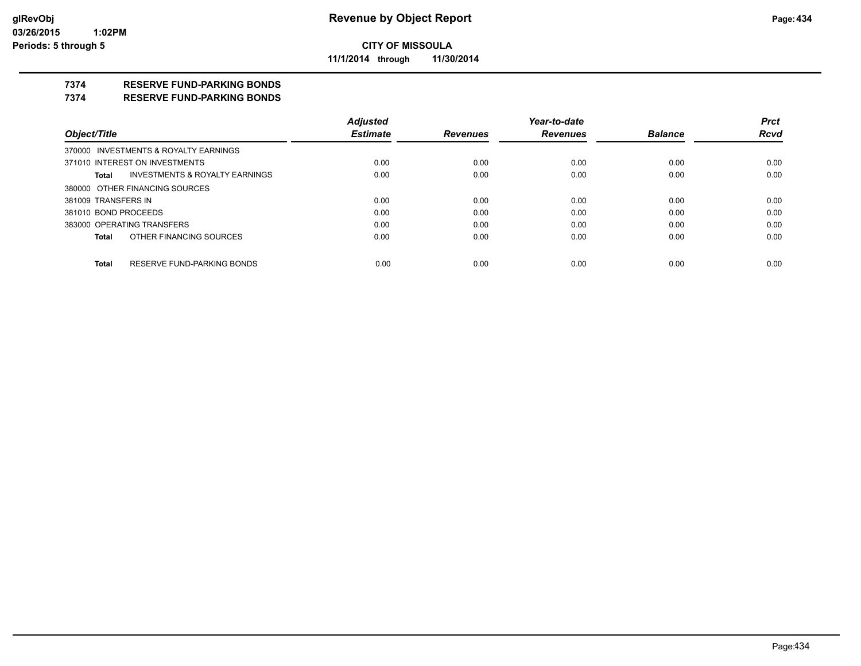**11/1/2014 through 11/30/2014**

#### **7374 RESERVE FUND-PARKING BONDS**

#### **7374 RESERVE FUND-PARKING BONDS**

|                      |                                       | <b>Adjusted</b> |                 | Year-to-date    |                | <b>Prct</b> |
|----------------------|---------------------------------------|-----------------|-----------------|-----------------|----------------|-------------|
| Object/Title         |                                       | <b>Estimate</b> | <b>Revenues</b> | <b>Revenues</b> | <b>Balance</b> | <b>Rcvd</b> |
|                      | 370000 INVESTMENTS & ROYALTY EARNINGS |                 |                 |                 |                |             |
|                      | 371010 INTEREST ON INVESTMENTS        | 0.00            | 0.00            | 0.00            | 0.00           | 0.00        |
| Total                | INVESTMENTS & ROYALTY EARNINGS        | 0.00            | 0.00            | 0.00            | 0.00           | 0.00        |
|                      | 380000 OTHER FINANCING SOURCES        |                 |                 |                 |                |             |
| 381009 TRANSFERS IN  |                                       | 0.00            | 0.00            | 0.00            | 0.00           | 0.00        |
| 381010 BOND PROCEEDS |                                       | 0.00            | 0.00            | 0.00            | 0.00           | 0.00        |
|                      | 383000 OPERATING TRANSFERS            | 0.00            | 0.00            | 0.00            | 0.00           | 0.00        |
| Total                | OTHER FINANCING SOURCES               | 0.00            | 0.00            | 0.00            | 0.00           | 0.00        |
| Total                | RESERVE FUND-PARKING BONDS            | 0.00            | 0.00            | 0.00            | 0.00           | 0.00        |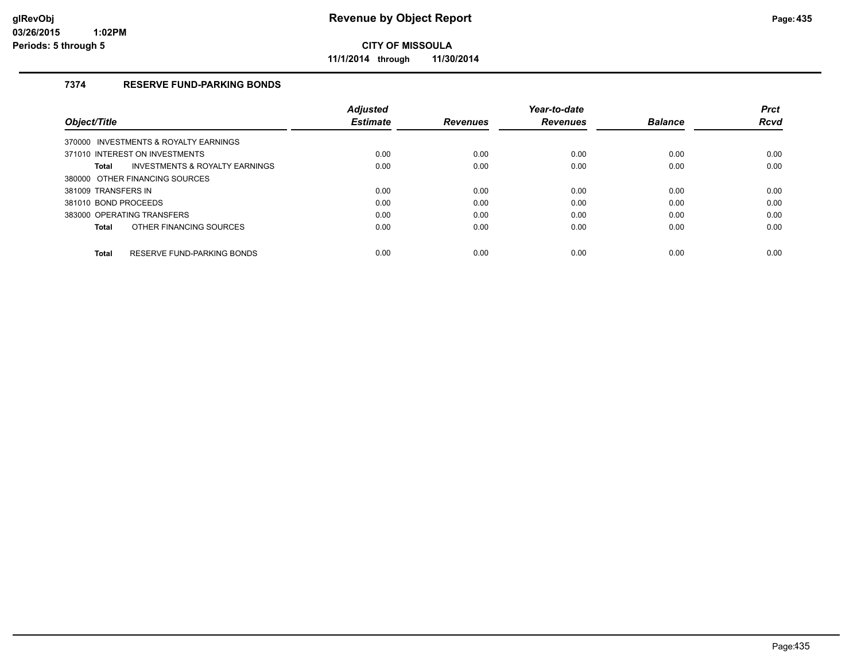**11/1/2014 through 11/30/2014**

#### **7374 RESERVE FUND-PARKING BONDS**

|                                                           | <b>Adiusted</b> |                 | Year-to-date    |                | <b>Prct</b> |
|-----------------------------------------------------------|-----------------|-----------------|-----------------|----------------|-------------|
| Object/Title                                              | <b>Estimate</b> | <b>Revenues</b> | <b>Revenues</b> | <b>Balance</b> | <b>Rcvd</b> |
| 370000 INVESTMENTS & ROYALTY EARNINGS                     |                 |                 |                 |                |             |
| 371010 INTEREST ON INVESTMENTS                            | 0.00            | 0.00            | 0.00            | 0.00           | 0.00        |
| <b>INVESTMENTS &amp; ROYALTY EARNINGS</b><br><b>Total</b> | 0.00            | 0.00            | 0.00            | 0.00           | 0.00        |
| 380000 OTHER FINANCING SOURCES                            |                 |                 |                 |                |             |
| 381009 TRANSFERS IN                                       | 0.00            | 0.00            | 0.00            | 0.00           | 0.00        |
| 381010 BOND PROCEEDS                                      | 0.00            | 0.00            | 0.00            | 0.00           | 0.00        |
| 383000 OPERATING TRANSFERS                                | 0.00            | 0.00            | 0.00            | 0.00           | 0.00        |
| OTHER FINANCING SOURCES<br><b>Total</b>                   | 0.00            | 0.00            | 0.00            | 0.00           | 0.00        |
| RESERVE FUND-PARKING BONDS<br><b>Total</b>                | 0.00            | 0.00            | 0.00            | 0.00           | 0.00        |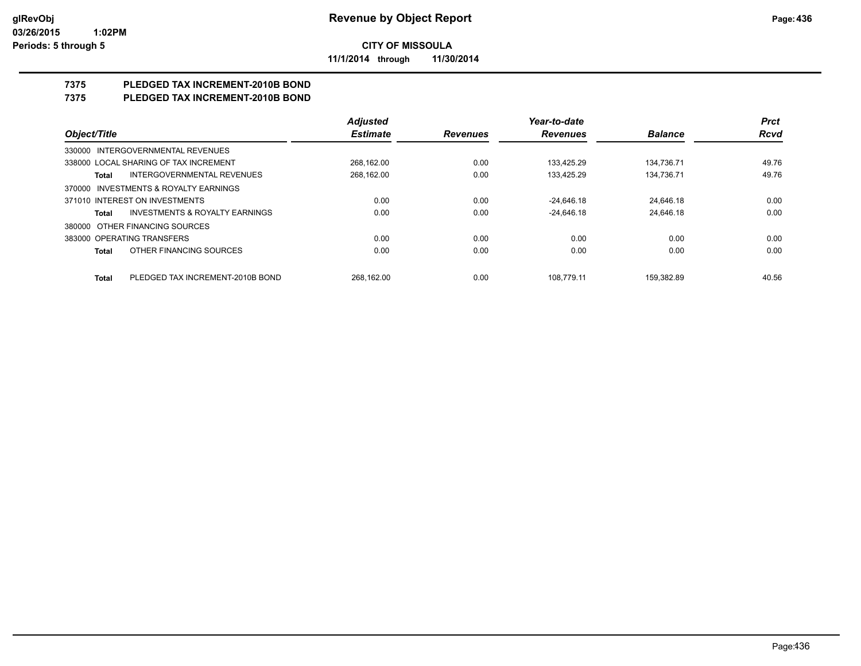**11/1/2014 through 11/30/2014**

# **7375 PLEDGED TAX INCREMENT-2010B BOND**

## **7375 PLEDGED TAX INCREMENT-2010B BOND**

|                                                    | <b>Adjusted</b> |                 | Year-to-date    |                | <b>Prct</b> |
|----------------------------------------------------|-----------------|-----------------|-----------------|----------------|-------------|
| Object/Title                                       | <b>Estimate</b> | <b>Revenues</b> | <b>Revenues</b> | <b>Balance</b> | <b>Rcvd</b> |
| INTERGOVERNMENTAL REVENUES<br>330000               |                 |                 |                 |                |             |
| 338000 LOCAL SHARING OF TAX INCREMENT              | 268,162.00      | 0.00            | 133,425.29      | 134,736.71     | 49.76       |
| <b>INTERGOVERNMENTAL REVENUES</b><br>Total         | 268.162.00      | 0.00            | 133.425.29      | 134.736.71     | 49.76       |
| INVESTMENTS & ROYALTY EARNINGS<br>370000           |                 |                 |                 |                |             |
| 371010 INTEREST ON INVESTMENTS                     | 0.00            | 0.00            | $-24.646.18$    | 24.646.18      | 0.00        |
| <b>INVESTMENTS &amp; ROYALTY EARNINGS</b><br>Total | 0.00            | 0.00            | $-24.646.18$    | 24.646.18      | 0.00        |
| OTHER FINANCING SOURCES<br>380000                  |                 |                 |                 |                |             |
| 383000 OPERATING TRANSFERS                         | 0.00            | 0.00            | 0.00            | 0.00           | 0.00        |
| OTHER FINANCING SOURCES<br>Total                   | 0.00            | 0.00            | 0.00            | 0.00           | 0.00        |
| PLEDGED TAX INCREMENT-2010B BOND<br><b>Total</b>   | 268.162.00      | 0.00            | 108.779.11      | 159.382.89     | 40.56       |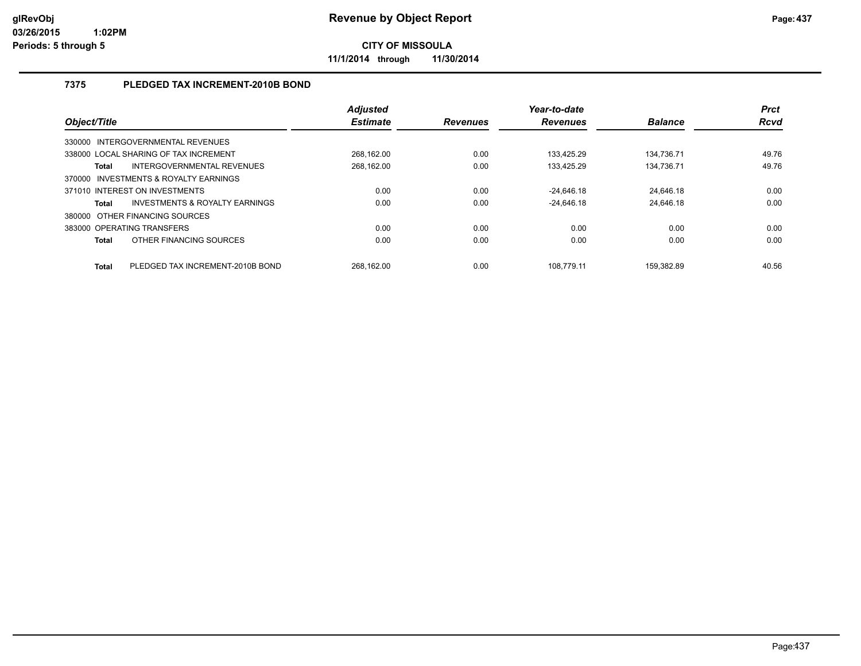**11/1/2014 through 11/30/2014**

#### **7375 PLEDGED TAX INCREMENT-2010B BOND**

| Object/Title |                                       | <b>Adjusted</b><br><b>Estimate</b> | <b>Revenues</b> | Year-to-date<br><b>Revenues</b> | <b>Balance</b> | <b>Prct</b><br><b>Rcvd</b> |
|--------------|---------------------------------------|------------------------------------|-----------------|---------------------------------|----------------|----------------------------|
| 330000       | <b>INTERGOVERNMENTAL REVENUES</b>     |                                    |                 |                                 |                |                            |
|              |                                       |                                    |                 |                                 |                |                            |
|              | 338000 LOCAL SHARING OF TAX INCREMENT | 268,162.00                         | 0.00            | 133.425.29                      | 134.736.71     | 49.76                      |
| Total        | INTERGOVERNMENTAL REVENUES            | 268.162.00                         | 0.00            | 133.425.29                      | 134.736.71     | 49.76                      |
| 370000       | INVESTMENTS & ROYALTY EARNINGS        |                                    |                 |                                 |                |                            |
|              | 371010 INTEREST ON INVESTMENTS        | 0.00                               | 0.00            | $-24.646.18$                    | 24.646.18      | 0.00                       |
| Total        | INVESTMENTS & ROYALTY EARNINGS        | 0.00                               | 0.00            | $-24.646.18$                    | 24.646.18      | 0.00                       |
| 380000       | OTHER FINANCING SOURCES               |                                    |                 |                                 |                |                            |
|              | 383000 OPERATING TRANSFERS            | 0.00                               | 0.00            | 0.00                            | 0.00           | 0.00                       |
| <b>Total</b> | OTHER FINANCING SOURCES               | 0.00                               | 0.00            | 0.00                            | 0.00           | 0.00                       |
| <b>Total</b> | PLEDGED TAX INCREMENT-2010B BOND      | 268.162.00                         | 0.00            | 108.779.11                      | 159.382.89     | 40.56                      |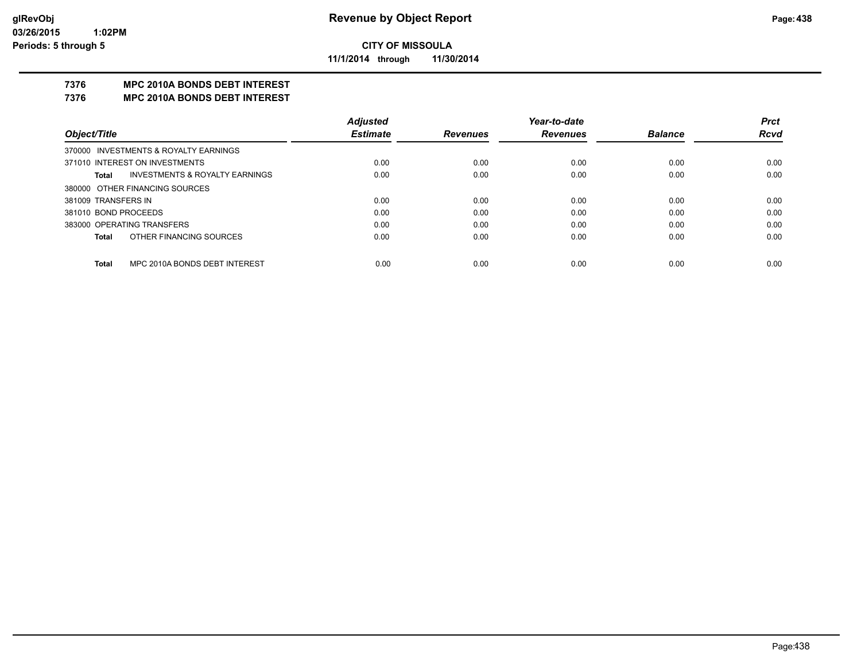**11/1/2014 through 11/30/2014**

#### **7376 MPC 2010A BONDS DEBT INTEREST**

#### **7376 MPC 2010A BONDS DEBT INTEREST**

|                            |                                           | <b>Adjusted</b> |                 | Year-to-date    |                | <b>Prct</b> |
|----------------------------|-------------------------------------------|-----------------|-----------------|-----------------|----------------|-------------|
| Object/Title               |                                           | <b>Estimate</b> | <b>Revenues</b> | <b>Revenues</b> | <b>Balance</b> | <b>Rcvd</b> |
|                            | 370000 INVESTMENTS & ROYALTY EARNINGS     |                 |                 |                 |                |             |
|                            | 371010 INTEREST ON INVESTMENTS            | 0.00            | 0.00            | 0.00            | 0.00           | 0.00        |
| Total                      | <b>INVESTMENTS &amp; ROYALTY EARNINGS</b> | 0.00            | 0.00            | 0.00            | 0.00           | 0.00        |
|                            | 380000 OTHER FINANCING SOURCES            |                 |                 |                 |                |             |
| 381009 TRANSFERS IN        |                                           | 0.00            | 0.00            | 0.00            | 0.00           | 0.00        |
| 381010 BOND PROCEEDS       |                                           | 0.00            | 0.00            | 0.00            | 0.00           | 0.00        |
| 383000 OPERATING TRANSFERS |                                           | 0.00            | 0.00            | 0.00            | 0.00           | 0.00        |
| Total                      | OTHER FINANCING SOURCES                   | 0.00            | 0.00            | 0.00            | 0.00           | 0.00        |
|                            |                                           |                 |                 |                 |                |             |
| Total                      | MPC 2010A BONDS DEBT INTEREST             | 0.00            | 0.00            | 0.00            | 0.00           | 0.00        |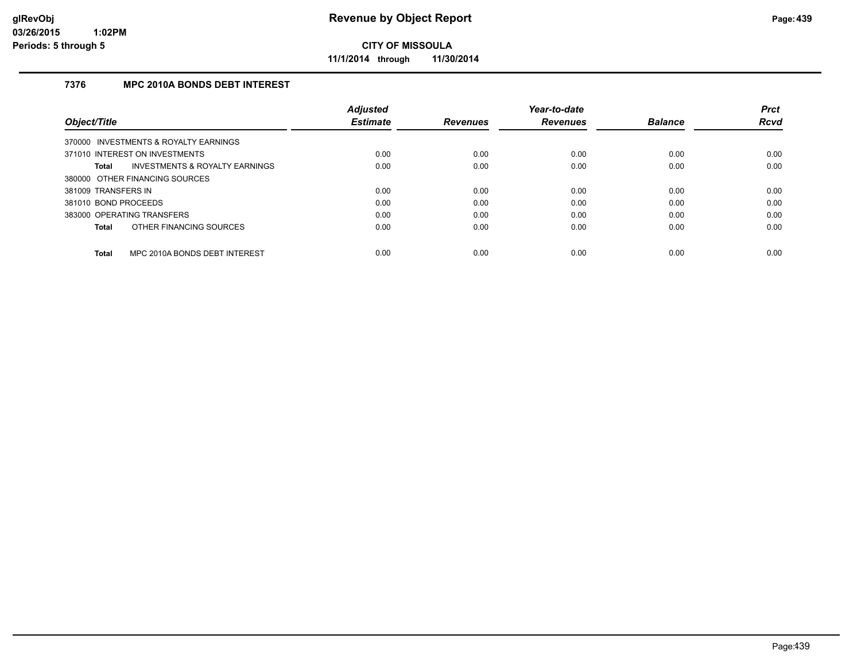**11/1/2014 through 11/30/2014**

#### **7376 MPC 2010A BONDS DEBT INTEREST**

|                                                           | <b>Adjusted</b> |                 | Year-to-date    |                | <b>Prct</b> |
|-----------------------------------------------------------|-----------------|-----------------|-----------------|----------------|-------------|
| Object/Title                                              | <b>Estimate</b> | <b>Revenues</b> | <b>Revenues</b> | <b>Balance</b> | <b>Rcvd</b> |
| 370000 INVESTMENTS & ROYALTY EARNINGS                     |                 |                 |                 |                |             |
| 371010 INTEREST ON INVESTMENTS                            | 0.00            | 0.00            | 0.00            | 0.00           | 0.00        |
| <b>INVESTMENTS &amp; ROYALTY EARNINGS</b><br><b>Total</b> | 0.00            | 0.00            | 0.00            | 0.00           | 0.00        |
| 380000 OTHER FINANCING SOURCES                            |                 |                 |                 |                |             |
| 381009 TRANSFERS IN                                       | 0.00            | 0.00            | 0.00            | 0.00           | 0.00        |
| 381010 BOND PROCEEDS                                      | 0.00            | 0.00            | 0.00            | 0.00           | 0.00        |
| 383000 OPERATING TRANSFERS                                | 0.00            | 0.00            | 0.00            | 0.00           | 0.00        |
| OTHER FINANCING SOURCES<br>Total                          | 0.00            | 0.00            | 0.00            | 0.00           | 0.00        |
|                                                           |                 |                 |                 |                |             |
| MPC 2010A BONDS DEBT INTEREST<br><b>Total</b>             | 0.00            | 0.00            | 0.00            | 0.00           | 0.00        |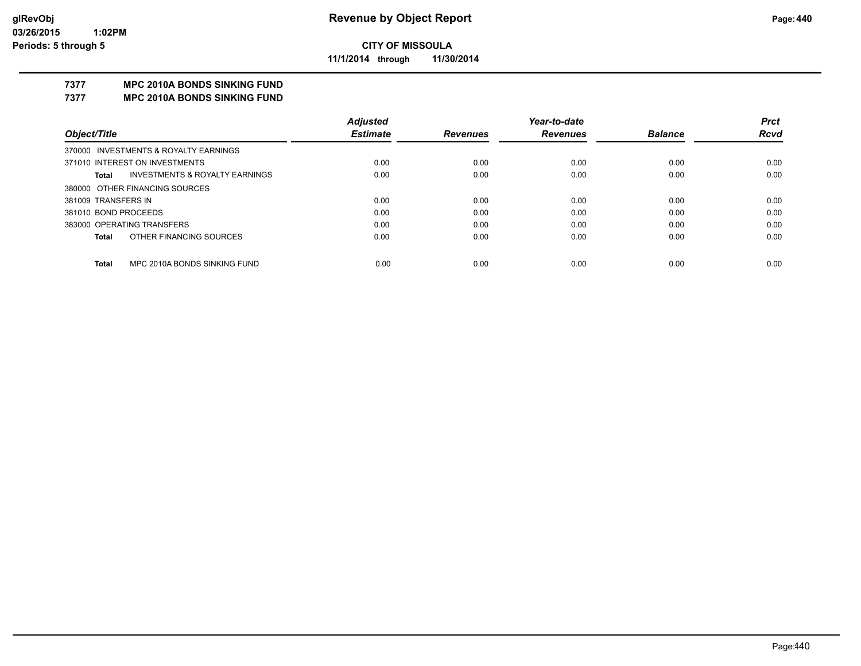**11/1/2014 through 11/30/2014**

#### **7377 MPC 2010A BONDS SINKING FUND**

**7377 MPC 2010A BONDS SINKING FUND**

|                                                    | <b>Adjusted</b> |                 | Year-to-date    |                | <b>Prct</b> |
|----------------------------------------------------|-----------------|-----------------|-----------------|----------------|-------------|
| Object/Title                                       | <b>Estimate</b> | <b>Revenues</b> | <b>Revenues</b> | <b>Balance</b> | Rcvd        |
| 370000 INVESTMENTS & ROYALTY EARNINGS              |                 |                 |                 |                |             |
| 371010 INTEREST ON INVESTMENTS                     | 0.00            | 0.00            | 0.00            | 0.00           | 0.00        |
| <b>INVESTMENTS &amp; ROYALTY EARNINGS</b><br>Total | 0.00            | 0.00            | 0.00            | 0.00           | 0.00        |
| 380000 OTHER FINANCING SOURCES                     |                 |                 |                 |                |             |
| 381009 TRANSFERS IN                                | 0.00            | 0.00            | 0.00            | 0.00           | 0.00        |
| 381010 BOND PROCEEDS                               | 0.00            | 0.00            | 0.00            | 0.00           | 0.00        |
| 383000 OPERATING TRANSFERS                         | 0.00            | 0.00            | 0.00            | 0.00           | 0.00        |
| OTHER FINANCING SOURCES<br>Total                   | 0.00            | 0.00            | 0.00            | 0.00           | 0.00        |
|                                                    |                 |                 |                 |                |             |
| MPC 2010A BONDS SINKING FUND<br><b>Total</b>       | 0.00            | 0.00            | 0.00            | 0.00           | 0.00        |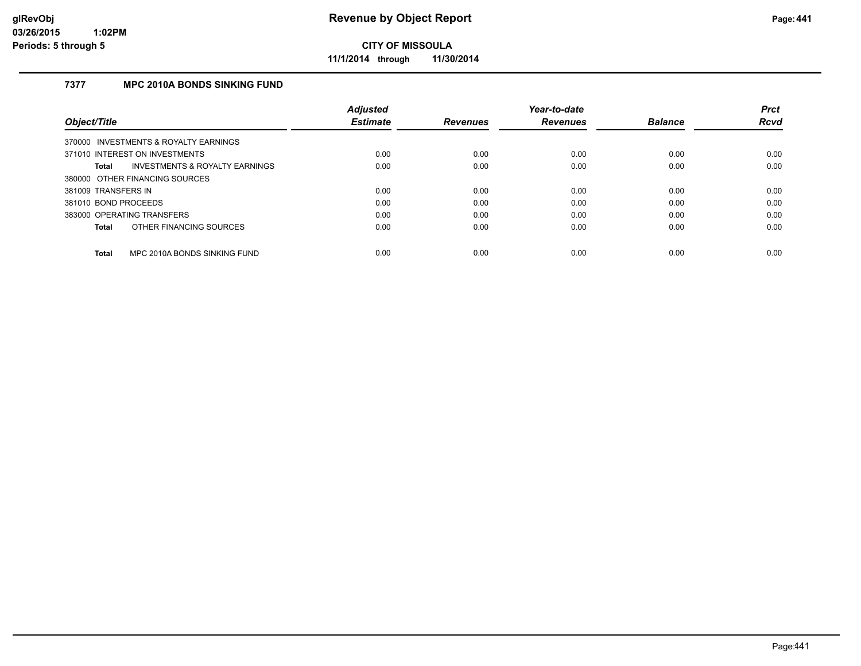**11/1/2014 through 11/30/2014**

#### **7377 MPC 2010A BONDS SINKING FUND**

|                                                | <b>Adjusted</b> |                 | Year-to-date    |                | <b>Prct</b> |
|------------------------------------------------|-----------------|-----------------|-----------------|----------------|-------------|
| Object/Title                                   | <b>Estimate</b> | <b>Revenues</b> | <b>Revenues</b> | <b>Balance</b> | <b>Rcvd</b> |
| 370000 INVESTMENTS & ROYALTY EARNINGS          |                 |                 |                 |                |             |
| 371010 INTEREST ON INVESTMENTS                 | 0.00            | 0.00            | 0.00            | 0.00           | 0.00        |
| INVESTMENTS & ROYALTY EARNINGS<br><b>Total</b> | 0.00            | 0.00            | 0.00            | 0.00           | 0.00        |
| 380000 OTHER FINANCING SOURCES                 |                 |                 |                 |                |             |
| 381009 TRANSFERS IN                            | 0.00            | 0.00            | 0.00            | 0.00           | 0.00        |
| 381010 BOND PROCEEDS                           | 0.00            | 0.00            | 0.00            | 0.00           | 0.00        |
| 383000 OPERATING TRANSFERS                     | 0.00            | 0.00            | 0.00            | 0.00           | 0.00        |
| OTHER FINANCING SOURCES<br><b>Total</b>        | 0.00            | 0.00            | 0.00            | 0.00           | 0.00        |
| MPC 2010A BONDS SINKING FUND<br><b>Total</b>   | 0.00            | 0.00            | 0.00            | 0.00           | 0.00        |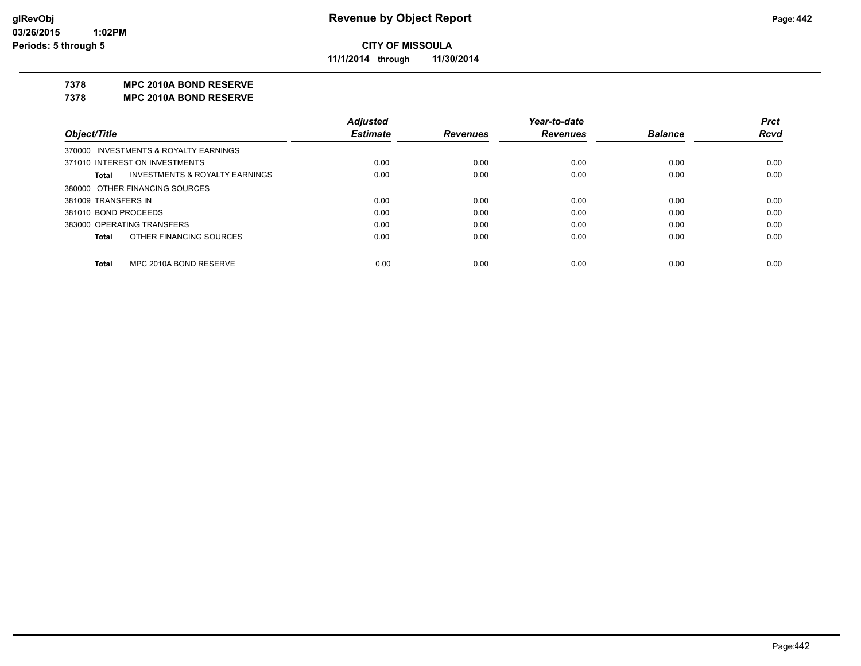**11/1/2014 through 11/30/2014**

#### **7378 MPC 2010A BOND RESERVE**

**7378 MPC 2010A BOND RESERVE**

|                                                    | <b>Adjusted</b> |                 | Year-to-date    |                | <b>Prct</b> |
|----------------------------------------------------|-----------------|-----------------|-----------------|----------------|-------------|
| Object/Title                                       | <b>Estimate</b> | <b>Revenues</b> | <b>Revenues</b> | <b>Balance</b> | <b>Rcvd</b> |
| 370000 INVESTMENTS & ROYALTY EARNINGS              |                 |                 |                 |                |             |
| 371010 INTEREST ON INVESTMENTS                     | 0.00            | 0.00            | 0.00            | 0.00           | 0.00        |
| <b>INVESTMENTS &amp; ROYALTY EARNINGS</b><br>Total | 0.00            | 0.00            | 0.00            | 0.00           | 0.00        |
| 380000 OTHER FINANCING SOURCES                     |                 |                 |                 |                |             |
| 381009 TRANSFERS IN                                | 0.00            | 0.00            | 0.00            | 0.00           | 0.00        |
| 381010 BOND PROCEEDS                               | 0.00            | 0.00            | 0.00            | 0.00           | 0.00        |
| 383000 OPERATING TRANSFERS                         | 0.00            | 0.00            | 0.00            | 0.00           | 0.00        |
| OTHER FINANCING SOURCES<br><b>Total</b>            | 0.00            | 0.00            | 0.00            | 0.00           | 0.00        |
|                                                    |                 |                 |                 |                |             |
| MPC 2010A BOND RESERVE<br>Total                    | 0.00            | 0.00            | 0.00            | 0.00           | 0.00        |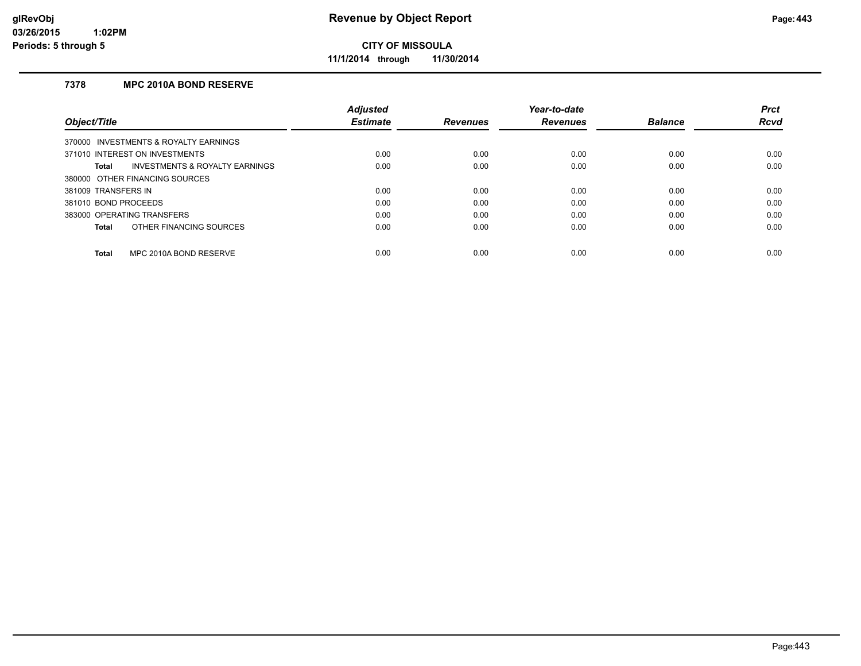**11/1/2014 through 11/30/2014**

#### **7378 MPC 2010A BOND RESERVE**

|                                         | <b>Adjusted</b> |                 | Year-to-date    |                | <b>Prct</b> |
|-----------------------------------------|-----------------|-----------------|-----------------|----------------|-------------|
| Object/Title                            | <b>Estimate</b> | <b>Revenues</b> | <b>Revenues</b> | <b>Balance</b> | <b>Rcvd</b> |
| 370000 INVESTMENTS & ROYALTY EARNINGS   |                 |                 |                 |                |             |
| 371010 INTEREST ON INVESTMENTS          | 0.00            | 0.00            | 0.00            | 0.00           | 0.00        |
| INVESTMENTS & ROYALTY EARNINGS<br>Total | 0.00            | 0.00            | 0.00            | 0.00           | 0.00        |
| 380000 OTHER FINANCING SOURCES          |                 |                 |                 |                |             |
| 381009 TRANSFERS IN                     | 0.00            | 0.00            | 0.00            | 0.00           | 0.00        |
| 381010 BOND PROCEEDS                    | 0.00            | 0.00            | 0.00            | 0.00           | 0.00        |
| 383000 OPERATING TRANSFERS              | 0.00            | 0.00            | 0.00            | 0.00           | 0.00        |
| OTHER FINANCING SOURCES<br>Total        | 0.00            | 0.00            | 0.00            | 0.00           | 0.00        |
| MPC 2010A BOND RESERVE<br><b>Total</b>  | 0.00            | 0.00            | 0.00            | 0.00           | 0.00        |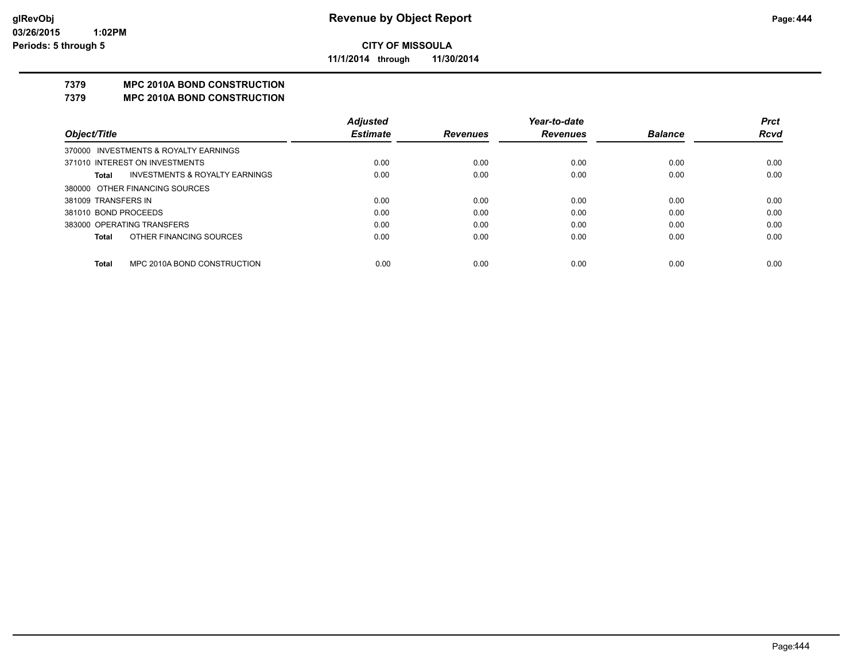**11/1/2014 through 11/30/2014**

#### **7379 MPC 2010A BOND CONSTRUCTION**

#### **7379 MPC 2010A BOND CONSTRUCTION**

|                      |                                           | <b>Adjusted</b> |                 | Year-to-date    |                | <b>Prct</b> |
|----------------------|-------------------------------------------|-----------------|-----------------|-----------------|----------------|-------------|
| Object/Title         |                                           | <b>Estimate</b> | <b>Revenues</b> | <b>Revenues</b> | <b>Balance</b> | <b>Rcvd</b> |
|                      | 370000 INVESTMENTS & ROYALTY EARNINGS     |                 |                 |                 |                |             |
|                      | 371010 INTEREST ON INVESTMENTS            | 0.00            | 0.00            | 0.00            | 0.00           | 0.00        |
| Total                | <b>INVESTMENTS &amp; ROYALTY EARNINGS</b> | 0.00            | 0.00            | 0.00            | 0.00           | 0.00        |
|                      | 380000 OTHER FINANCING SOURCES            |                 |                 |                 |                |             |
| 381009 TRANSFERS IN  |                                           | 0.00            | 0.00            | 0.00            | 0.00           | 0.00        |
| 381010 BOND PROCEEDS |                                           | 0.00            | 0.00            | 0.00            | 0.00           | 0.00        |
|                      | 383000 OPERATING TRANSFERS                | 0.00            | 0.00            | 0.00            | 0.00           | 0.00        |
| Total                | OTHER FINANCING SOURCES                   | 0.00            | 0.00            | 0.00            | 0.00           | 0.00        |
|                      |                                           |                 |                 |                 |                |             |
| Total                | MPC 2010A BOND CONSTRUCTION               | 0.00            | 0.00            | 0.00            | 0.00           | 0.00        |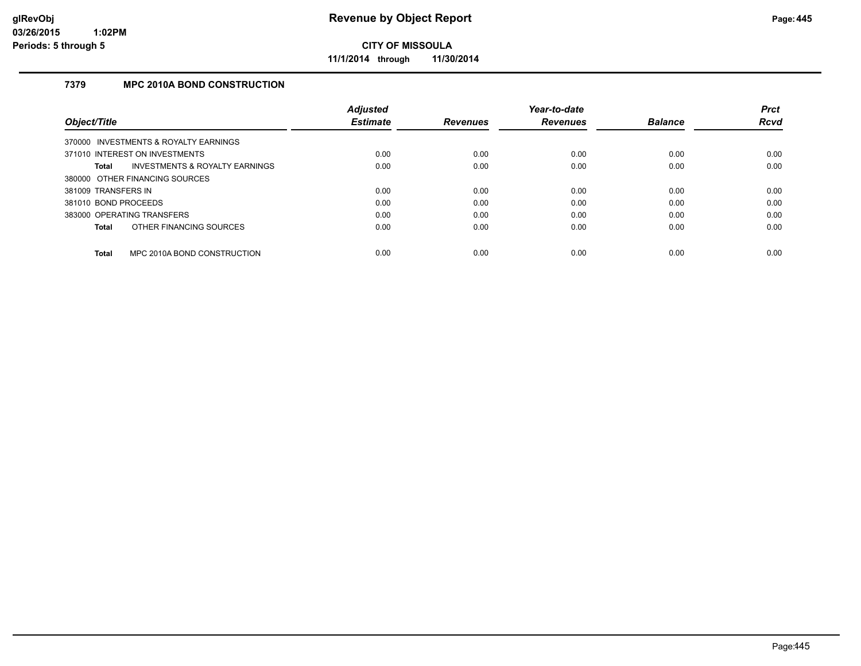**11/1/2014 through 11/30/2014**

#### **7379 MPC 2010A BOND CONSTRUCTION**

|                                                | <b>Adjusted</b> |                 | Year-to-date    |                | <b>Prct</b> |
|------------------------------------------------|-----------------|-----------------|-----------------|----------------|-------------|
| Object/Title                                   | <b>Estimate</b> | <b>Revenues</b> | <b>Revenues</b> | <b>Balance</b> | Rcvd        |
| 370000 INVESTMENTS & ROYALTY EARNINGS          |                 |                 |                 |                |             |
| 371010 INTEREST ON INVESTMENTS                 | 0.00            | 0.00            | 0.00            | 0.00           | 0.00        |
| INVESTMENTS & ROYALTY EARNINGS<br><b>Total</b> | 0.00            | 0.00            | 0.00            | 0.00           | 0.00        |
| 380000 OTHER FINANCING SOURCES                 |                 |                 |                 |                |             |
| 381009 TRANSFERS IN                            | 0.00            | 0.00            | 0.00            | 0.00           | 0.00        |
| 381010 BOND PROCEEDS                           | 0.00            | 0.00            | 0.00            | 0.00           | 0.00        |
| 383000 OPERATING TRANSFERS                     | 0.00            | 0.00            | 0.00            | 0.00           | 0.00        |
| OTHER FINANCING SOURCES<br><b>Total</b>        | 0.00            | 0.00            | 0.00            | 0.00           | 0.00        |
| MPC 2010A BOND CONSTRUCTION<br><b>Total</b>    | 0.00            | 0.00            | 0.00            | 0.00           | 0.00        |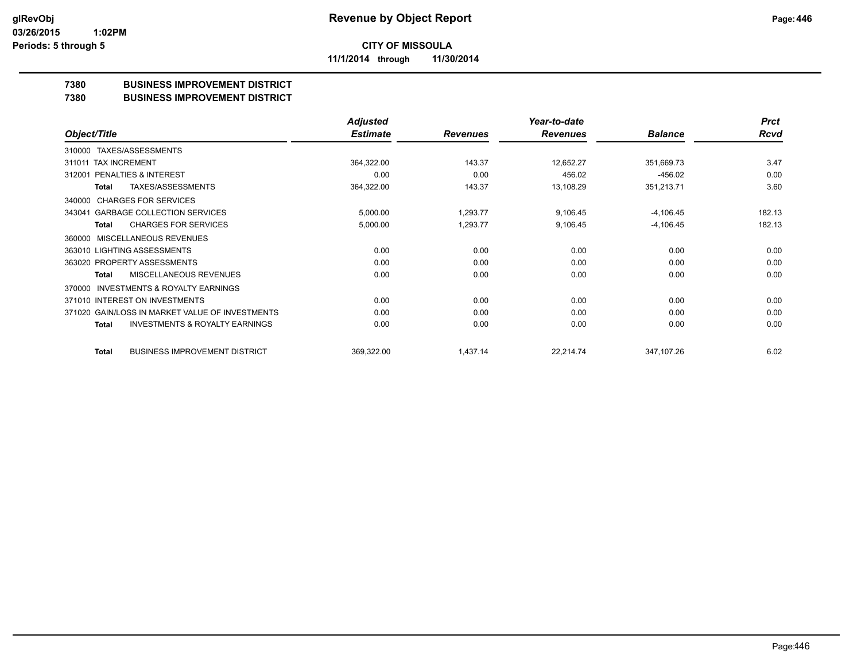**11/1/2014 through 11/30/2014**

#### **7380 BUSINESS IMPROVEMENT DISTRICT**

#### **7380 BUSINESS IMPROVEMENT DISTRICT**

|                                                     | <b>Adjusted</b> |                 | Year-to-date    |                | <b>Prct</b> |
|-----------------------------------------------------|-----------------|-----------------|-----------------|----------------|-------------|
| Object/Title                                        | <b>Estimate</b> | <b>Revenues</b> | <b>Revenues</b> | <b>Balance</b> | <b>Rcvd</b> |
| TAXES/ASSESSMENTS<br>310000                         |                 |                 |                 |                |             |
| 311011 TAX INCREMENT                                | 364,322.00      | 143.37          | 12,652.27       | 351,669.73     | 3.47        |
| 312001 PENALTIES & INTEREST                         | 0.00            | 0.00            | 456.02          | $-456.02$      | 0.00        |
| TAXES/ASSESSMENTS<br>Total                          | 364,322.00      | 143.37          | 13,108.29       | 351,213.71     | 3.60        |
| <b>CHARGES FOR SERVICES</b><br>340000               |                 |                 |                 |                |             |
| <b>GARBAGE COLLECTION SERVICES</b><br>343041        | 5,000.00        | 1,293.77        | 9,106.45        | $-4,106.45$    | 182.13      |
| <b>CHARGES FOR SERVICES</b><br>Total                | 5,000.00        | 1,293.77        | 9,106.45        | $-4,106.45$    | 182.13      |
| MISCELLANEOUS REVENUES<br>360000                    |                 |                 |                 |                |             |
| 363010 LIGHTING ASSESSMENTS                         | 0.00            | 0.00            | 0.00            | 0.00           | 0.00        |
| 363020 PROPERTY ASSESSMENTS                         | 0.00            | 0.00            | 0.00            | 0.00           | 0.00        |
| <b>MISCELLANEOUS REVENUES</b><br><b>Total</b>       | 0.00            | 0.00            | 0.00            | 0.00           | 0.00        |
| <b>INVESTMENTS &amp; ROYALTY EARNINGS</b><br>370000 |                 |                 |                 |                |             |
| 371010 INTEREST ON INVESTMENTS                      | 0.00            | 0.00            | 0.00            | 0.00           | 0.00        |
| 371020 GAIN/LOSS IN MARKET VALUE OF INVESTMENTS     | 0.00            | 0.00            | 0.00            | 0.00           | 0.00        |
| <b>INVESTMENTS &amp; ROYALTY EARNINGS</b><br>Total  | 0.00            | 0.00            | 0.00            | 0.00           | 0.00        |
| <b>BUSINESS IMPROVEMENT DISTRICT</b><br>Total       | 369,322.00      | 1,437.14        | 22,214.74       | 347,107.26     | 6.02        |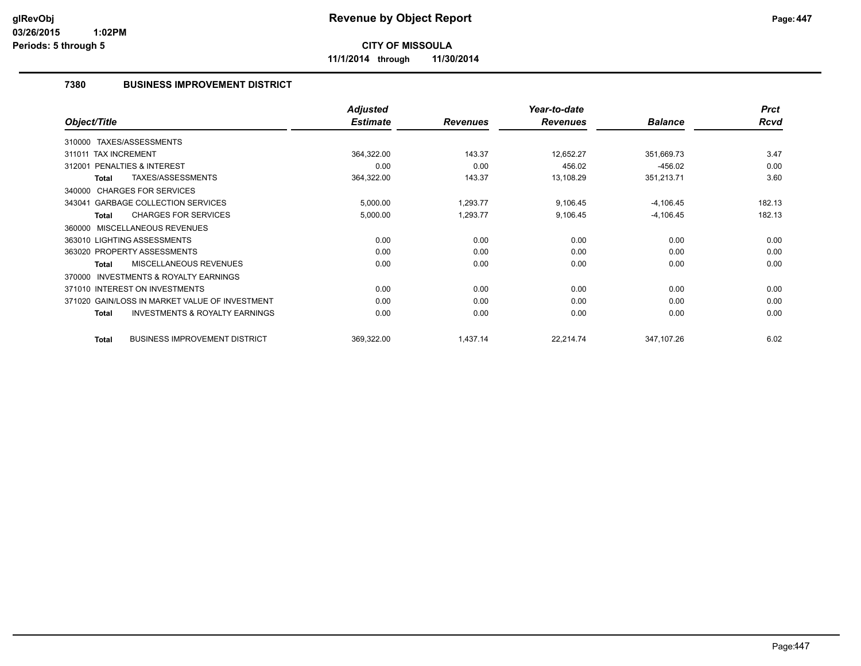**11/1/2014 through 11/30/2014**

#### **7380 BUSINESS IMPROVEMENT DISTRICT**

|                                                           | <b>Adjusted</b> |                 | Year-to-date    |                | <b>Prct</b> |
|-----------------------------------------------------------|-----------------|-----------------|-----------------|----------------|-------------|
| Object/Title                                              | <b>Estimate</b> | <b>Revenues</b> | <b>Revenues</b> | <b>Balance</b> | <b>Rcvd</b> |
| 310000 TAXES/ASSESSMENTS                                  |                 |                 |                 |                |             |
| <b>TAX INCREMENT</b><br>311011                            | 364,322.00      | 143.37          | 12,652.27       | 351,669.73     | 3.47        |
| PENALTIES & INTEREST<br>312001                            | 0.00            | 0.00            | 456.02          | $-456.02$      | 0.00        |
| TAXES/ASSESSMENTS<br>Total                                | 364,322.00      | 143.37          | 13,108.29       | 351,213.71     | 3.60        |
| 340000 CHARGES FOR SERVICES                               |                 |                 |                 |                |             |
| <b>GARBAGE COLLECTION SERVICES</b><br>343041              | 5,000.00        | 1,293.77        | 9,106.45        | $-4,106.45$    | 182.13      |
| <b>CHARGES FOR SERVICES</b><br><b>Total</b>               | 5,000.00        | 1,293.77        | 9,106.45        | $-4,106.45$    | 182.13      |
| MISCELLANEOUS REVENUES<br>360000                          |                 |                 |                 |                |             |
| 363010 LIGHTING ASSESSMENTS                               | 0.00            | 0.00            | 0.00            | 0.00           | 0.00        |
| 363020 PROPERTY ASSESSMENTS                               | 0.00            | 0.00            | 0.00            | 0.00           | 0.00        |
| <b>MISCELLANEOUS REVENUES</b><br><b>Total</b>             | 0.00            | 0.00            | 0.00            | 0.00           | 0.00        |
| <b>INVESTMENTS &amp; ROYALTY EARNINGS</b><br>370000       |                 |                 |                 |                |             |
| 371010 INTEREST ON INVESTMENTS                            | 0.00            | 0.00            | 0.00            | 0.00           | 0.00        |
| 371020 GAIN/LOSS IN MARKET VALUE OF INVESTMENT            | 0.00            | 0.00            | 0.00            | 0.00           | 0.00        |
| <b>INVESTMENTS &amp; ROYALTY EARNINGS</b><br><b>Total</b> | 0.00            | 0.00            | 0.00            | 0.00           | 0.00        |
| <b>BUSINESS IMPROVEMENT DISTRICT</b><br><b>Total</b>      | 369,322.00      | 1,437.14        | 22,214.74       | 347,107.26     | 6.02        |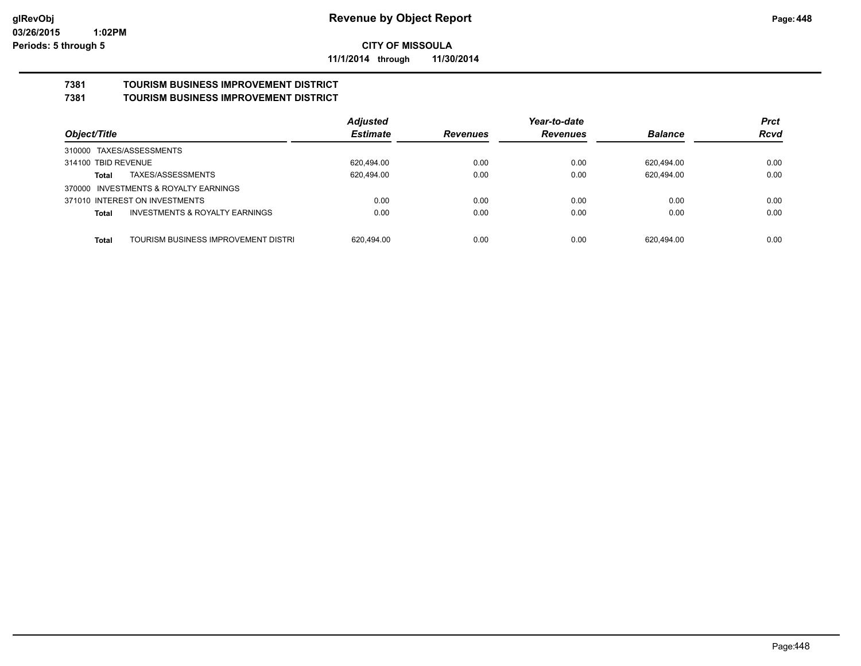**11/1/2014 through 11/30/2014**

#### **7381 TOURISM BUSINESS IMPROVEMENT DISTRICT 7381 TOURISM BUSINESS IMPROVEMENT DISTRICT**

|                                |                                           | <b>Adjusted</b> |                 | Year-to-date    |                | <b>Prct</b> |
|--------------------------------|-------------------------------------------|-----------------|-----------------|-----------------|----------------|-------------|
| Object/Title                   |                                           | <b>Estimate</b> | <b>Revenues</b> | <b>Revenues</b> | <b>Balance</b> | <b>Rcvd</b> |
| 310000 TAXES/ASSESSMENTS       |                                           |                 |                 |                 |                |             |
| 314100 TBID REVENUE            |                                           | 620.494.00      | 0.00            | 0.00            | 620,494.00     | 0.00        |
| Total                          | TAXES/ASSESSMENTS                         | 620,494.00      | 0.00            | 0.00            | 620,494.00     | 0.00        |
|                                | 370000 INVESTMENTS & ROYALTY EARNINGS     |                 |                 |                 |                |             |
| 371010 INTEREST ON INVESTMENTS |                                           | 0.00            | 0.00            | 0.00            | 0.00           | 0.00        |
| <b>Total</b>                   | <b>INVESTMENTS &amp; ROYALTY EARNINGS</b> | 0.00            | 0.00            | 0.00            | 0.00           | 0.00        |
| <b>Total</b>                   | TOURISM BUSINESS IMPROVEMENT DISTRI       | 620.494.00      | 0.00            | 0.00            | 620.494.00     | 0.00        |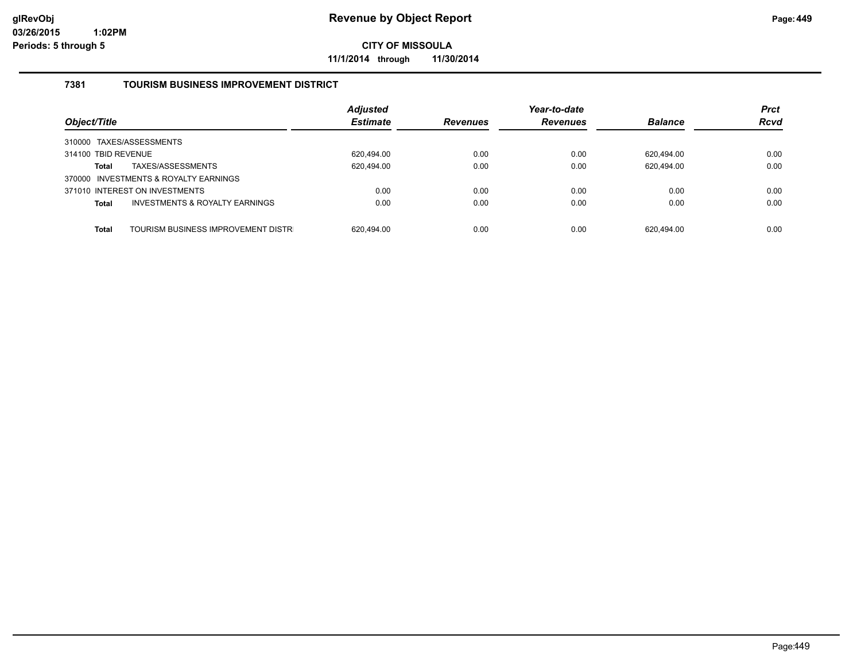**11/1/2014 through 11/30/2014**

#### **7381 TOURISM BUSINESS IMPROVEMENT DISTRICT**

| Object/Title                                              | <b>Adjusted</b><br><b>Estimate</b> | <b>Revenues</b> | Year-to-date<br><b>Revenues</b> | <b>Balance</b> | <b>Prct</b><br><b>Rcvd</b> |
|-----------------------------------------------------------|------------------------------------|-----------------|---------------------------------|----------------|----------------------------|
| 310000 TAXES/ASSESSMENTS                                  |                                    |                 |                                 |                |                            |
| 314100 TBID REVENUE                                       | 620,494.00                         | 0.00            | 0.00                            | 620.494.00     | 0.00                       |
| TAXES/ASSESSMENTS<br><b>Total</b>                         | 620,494.00                         | 0.00            | 0.00                            | 620,494.00     | 0.00                       |
| 370000 INVESTMENTS & ROYALTY EARNINGS                     |                                    |                 |                                 |                |                            |
| 371010 INTEREST ON INVESTMENTS                            | 0.00                               | 0.00            | 0.00                            | 0.00           | 0.00                       |
| <b>INVESTMENTS &amp; ROYALTY EARNINGS</b><br><b>Total</b> | 0.00                               | 0.00            | 0.00                            | 0.00           | 0.00                       |
|                                                           |                                    |                 |                                 |                |                            |
| TOURISM BUSINESS IMPROVEMENT DISTR<br>Total               | 620.494.00                         | 0.00            | 0.00                            | 620.494.00     | 0.00                       |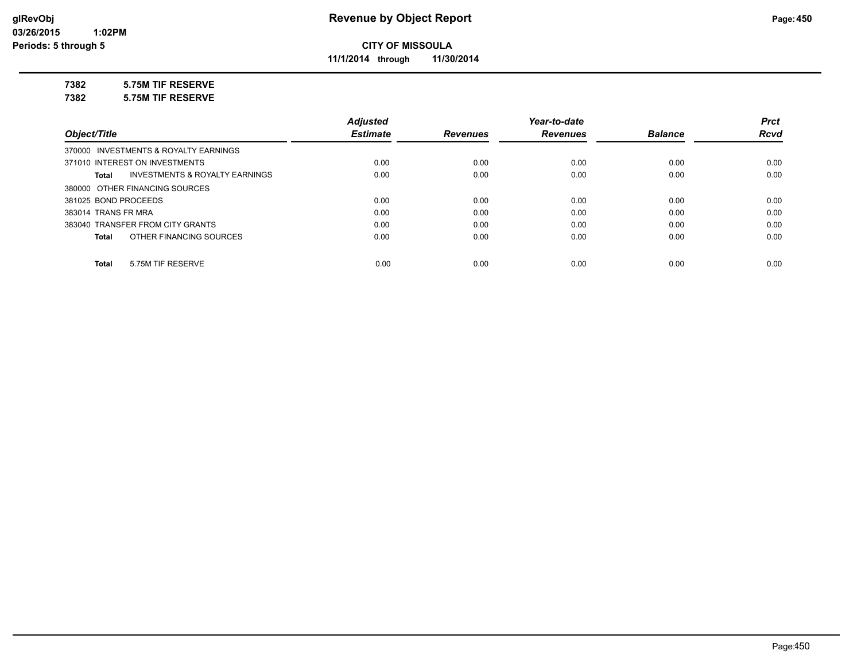**11/1/2014 through 11/30/2014**

#### **7382 5.75M TIF RESERVE**

**7382 5.75M TIF RESERVE**

|                                                    | <b>Adjusted</b> |                 | Year-to-date    |                | <b>Prct</b> |
|----------------------------------------------------|-----------------|-----------------|-----------------|----------------|-------------|
| Object/Title                                       | <b>Estimate</b> | <b>Revenues</b> | <b>Revenues</b> | <b>Balance</b> | <b>Rcvd</b> |
| 370000 INVESTMENTS & ROYALTY EARNINGS              |                 |                 |                 |                |             |
| 371010 INTEREST ON INVESTMENTS                     | 0.00            | 0.00            | 0.00            | 0.00           | 0.00        |
| <b>INVESTMENTS &amp; ROYALTY EARNINGS</b><br>Total | 0.00            | 0.00            | 0.00            | 0.00           | 0.00        |
| 380000 OTHER FINANCING SOURCES                     |                 |                 |                 |                |             |
| 381025 BOND PROCEEDS                               | 0.00            | 0.00            | 0.00            | 0.00           | 0.00        |
| 383014 TRANS FR MRA                                | 0.00            | 0.00            | 0.00            | 0.00           | 0.00        |
| 383040 TRANSFER FROM CITY GRANTS                   | 0.00            | 0.00            | 0.00            | 0.00           | 0.00        |
| OTHER FINANCING SOURCES<br>Total                   | 0.00            | 0.00            | 0.00            | 0.00           | 0.00        |
| 5.75M TIF RESERVE<br>Total                         | 0.00            | 0.00            | 0.00            | 0.00           | 0.00        |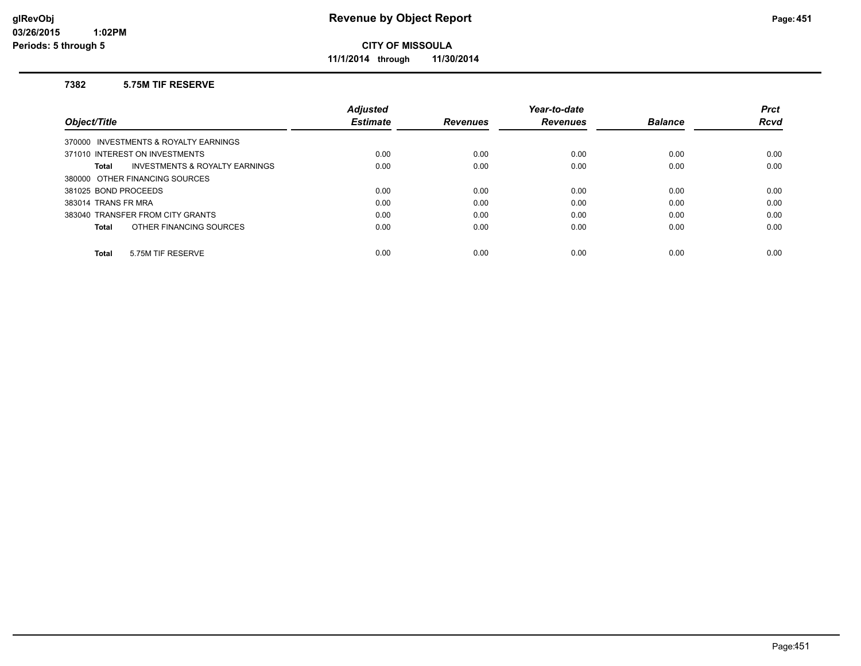**11/1/2014 through 11/30/2014**

#### **7382 5.75M TIF RESERVE**

|                                                    | <b>Adjusted</b> |                 | Year-to-date    |                | <b>Prct</b> |
|----------------------------------------------------|-----------------|-----------------|-----------------|----------------|-------------|
| Object/Title                                       | <b>Estimate</b> | <b>Revenues</b> | <b>Revenues</b> | <b>Balance</b> | <b>Rcvd</b> |
| 370000 INVESTMENTS & ROYALTY EARNINGS              |                 |                 |                 |                |             |
| 371010 INTEREST ON INVESTMENTS                     | 0.00            | 0.00            | 0.00            | 0.00           | 0.00        |
| <b>INVESTMENTS &amp; ROYALTY EARNINGS</b><br>Total | 0.00            | 0.00            | 0.00            | 0.00           | 0.00        |
| 380000 OTHER FINANCING SOURCES                     |                 |                 |                 |                |             |
| 381025 BOND PROCEEDS                               | 0.00            | 0.00            | 0.00            | 0.00           | 0.00        |
| 383014 TRANS FR MRA                                | 0.00            | 0.00            | 0.00            | 0.00           | 0.00        |
| 383040 TRANSFER FROM CITY GRANTS                   | 0.00            | 0.00            | 0.00            | 0.00           | 0.00        |
| OTHER FINANCING SOURCES<br>Total                   | 0.00            | 0.00            | 0.00            | 0.00           | 0.00        |
|                                                    |                 |                 |                 |                |             |
| 5.75M TIF RESERVE<br>Total                         | 0.00            | 0.00            | 0.00            | 0.00           | 0.00        |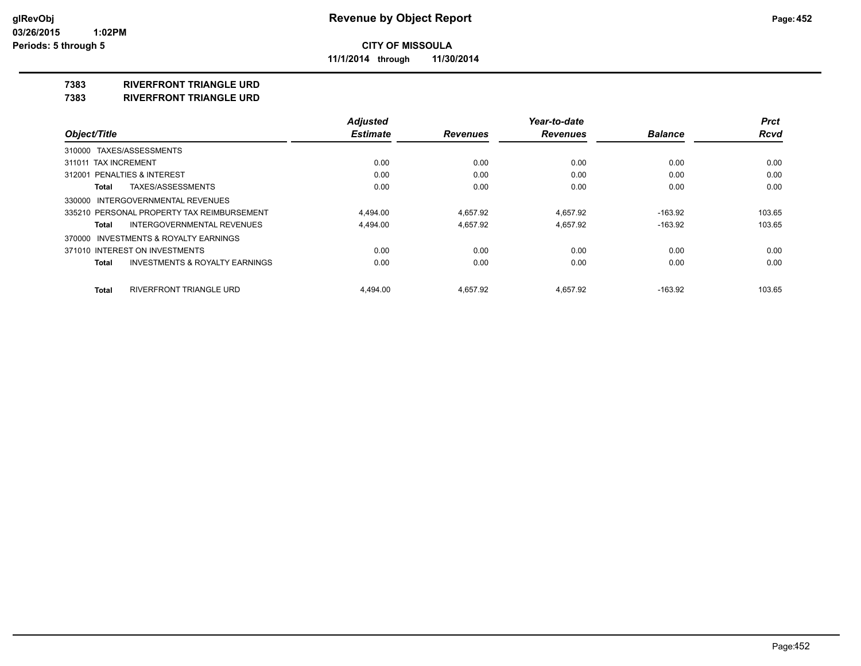**11/1/2014 through 11/30/2014**

#### **7383 RIVERFRONT TRIANGLE URD**

#### **7383 RIVERFRONT TRIANGLE URD**

|                                                    | <b>Adjusted</b> |                 | Year-to-date    |                | <b>Prct</b> |
|----------------------------------------------------|-----------------|-----------------|-----------------|----------------|-------------|
| Object/Title                                       | <b>Estimate</b> | <b>Revenues</b> | <b>Revenues</b> | <b>Balance</b> | <b>Rcvd</b> |
| TAXES/ASSESSMENTS<br>310000                        |                 |                 |                 |                |             |
| <b>TAX INCREMENT</b><br>311011                     | 0.00            | 0.00            | 0.00            | 0.00           | 0.00        |
| PENALTIES & INTEREST<br>312001                     | 0.00            | 0.00            | 0.00            | 0.00           | 0.00        |
| TAXES/ASSESSMENTS<br>Total                         | 0.00            | 0.00            | 0.00            | 0.00           | 0.00        |
| 330000 INTERGOVERNMENTAL REVENUES                  |                 |                 |                 |                |             |
| 335210 PERSONAL PROPERTY TAX REIMBURSEMENT         | 4.494.00        | 4.657.92        | 4.657.92        | $-163.92$      | 103.65      |
| INTERGOVERNMENTAL REVENUES<br>Total                | 4.494.00        | 4.657.92        | 4.657.92        | $-163.92$      | 103.65      |
| 370000 INVESTMENTS & ROYALTY EARNINGS              |                 |                 |                 |                |             |
| 371010 INTEREST ON INVESTMENTS                     | 0.00            | 0.00            | 0.00            | 0.00           | 0.00        |
| <b>INVESTMENTS &amp; ROYALTY EARNINGS</b><br>Total | 0.00            | 0.00            | 0.00            | 0.00           | 0.00        |
| RIVERFRONT TRIANGLE URD<br><b>Total</b>            | 4.494.00        | 4.657.92        | 4.657.92        | $-163.92$      | 103.65      |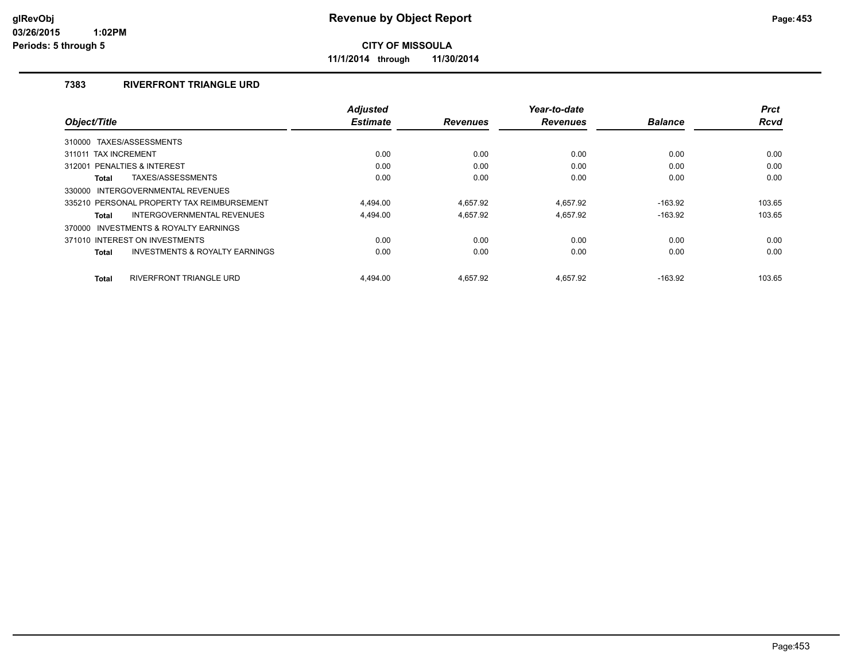**11/1/2014 through 11/30/2014**

#### **7383 RIVERFRONT TRIANGLE URD**

|                                                    | <b>Adjusted</b> |                 | Year-to-date    |                | <b>Prct</b> |
|----------------------------------------------------|-----------------|-----------------|-----------------|----------------|-------------|
| Object/Title                                       | <b>Estimate</b> | <b>Revenues</b> | <b>Revenues</b> | <b>Balance</b> | <b>Rcvd</b> |
| TAXES/ASSESSMENTS<br>310000                        |                 |                 |                 |                |             |
| 311011 TAX INCREMENT                               | 0.00            | 0.00            | 0.00            | 0.00           | 0.00        |
| 312001 PENALTIES & INTEREST                        | 0.00            | 0.00            | 0.00            | 0.00           | 0.00        |
| TAXES/ASSESSMENTS<br><b>Total</b>                  | 0.00            | 0.00            | 0.00            | 0.00           | 0.00        |
| INTERGOVERNMENTAL REVENUES<br>330000               |                 |                 |                 |                |             |
| 335210 PERSONAL PROPERTY TAX REIMBURSEMENT         | 4.494.00        | 4.657.92        | 4.657.92        | $-163.92$      | 103.65      |
| <b>INTERGOVERNMENTAL REVENUES</b><br><b>Total</b>  | 4.494.00        | 4.657.92        | 4.657.92        | $-163.92$      | 103.65      |
| 370000 INVESTMENTS & ROYALTY EARNINGS              |                 |                 |                 |                |             |
| 371010 INTEREST ON INVESTMENTS                     | 0.00            | 0.00            | 0.00            | 0.00           | 0.00        |
| <b>INVESTMENTS &amp; ROYALTY EARNINGS</b><br>Total | 0.00            | 0.00            | 0.00            | 0.00           | 0.00        |
| RIVERFRONT TRIANGLE URD<br><b>Total</b>            | 4.494.00        | 4.657.92        | 4.657.92        | $-163.92$      | 103.65      |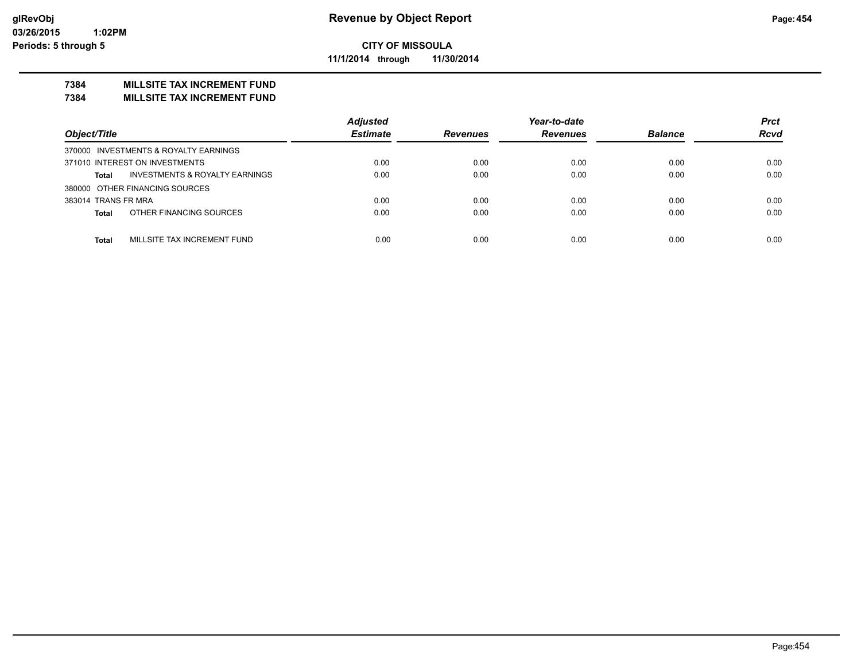**11/1/2014 through 11/30/2014**

#### **7384 MILLSITE TAX INCREMENT FUND**

#### **7384 MILLSITE TAX INCREMENT FUND**

|                                                           | <b>Adjusted</b> |                 | Year-to-date    |                | <b>Prct</b> |
|-----------------------------------------------------------|-----------------|-----------------|-----------------|----------------|-------------|
| Object/Title                                              | <b>Estimate</b> | <b>Revenues</b> | <b>Revenues</b> | <b>Balance</b> | <b>Rcvd</b> |
| 370000 INVESTMENTS & ROYALTY EARNINGS                     |                 |                 |                 |                |             |
| 371010 INTEREST ON INVESTMENTS                            | 0.00            | 0.00            | 0.00            | 0.00           | 0.00        |
| <b>INVESTMENTS &amp; ROYALTY EARNINGS</b><br><b>Total</b> | 0.00            | 0.00            | 0.00            | 0.00           | 0.00        |
| 380000 OTHER FINANCING SOURCES                            |                 |                 |                 |                |             |
| 383014 TRANS FR MRA                                       | 0.00            | 0.00            | 0.00            | 0.00           | 0.00        |
| OTHER FINANCING SOURCES<br><b>Total</b>                   | 0.00            | 0.00            | 0.00            | 0.00           | 0.00        |
|                                                           |                 |                 |                 |                |             |
| MILLSITE TAX INCREMENT FUND<br><b>Total</b>               | 0.00            | 0.00            | 0.00            | 0.00           | 0.00        |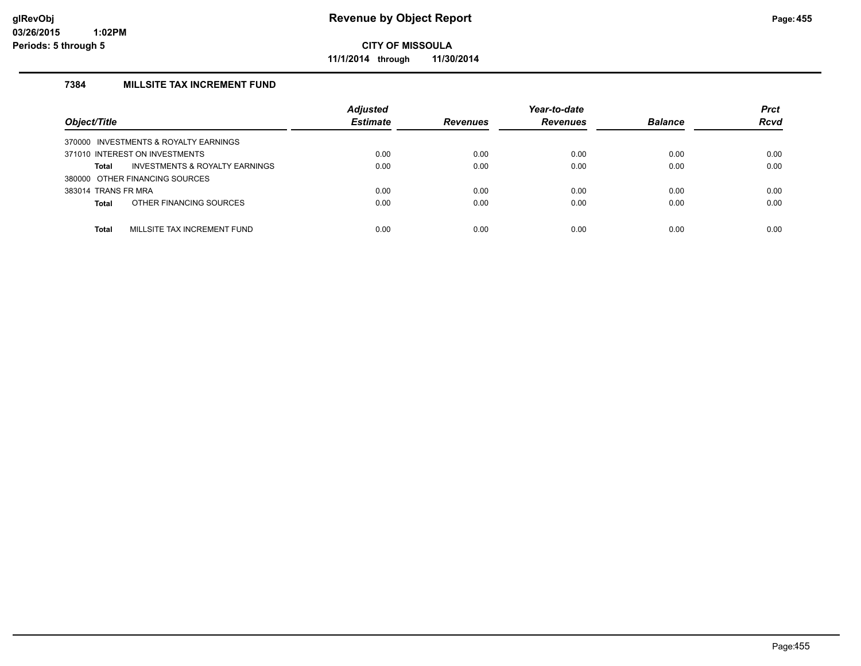**11/1/2014 through 11/30/2014**

#### **7384 MILLSITE TAX INCREMENT FUND**

| Object/Title                             | <b>Adjusted</b><br><b>Estimate</b> | <b>Revenues</b> | Year-to-date<br><b>Revenues</b> | <b>Balance</b> | <b>Prct</b><br><b>Rcvd</b> |
|------------------------------------------|------------------------------------|-----------------|---------------------------------|----------------|----------------------------|
| INVESTMENTS & ROYALTY EARNINGS<br>370000 |                                    |                 |                                 |                |                            |
| 371010 INTEREST ON INVESTMENTS           | 0.00                               | 0.00            | 0.00                            | 0.00           | 0.00                       |
| INVESTMENTS & ROYALTY EARNINGS<br>Total  | 0.00                               | 0.00            | 0.00                            | 0.00           | 0.00                       |
| 380000 OTHER FINANCING SOURCES           |                                    |                 |                                 |                |                            |
| 383014 TRANS FR MRA                      | 0.00                               | 0.00            | 0.00                            | 0.00           | 0.00                       |
| OTHER FINANCING SOURCES<br><b>Total</b>  | 0.00                               | 0.00            | 0.00                            | 0.00           | 0.00                       |
| MILLSITE TAX INCREMENT FUND<br>Total     | 0.00                               | 0.00            | 0.00                            | 0.00           | 0.00                       |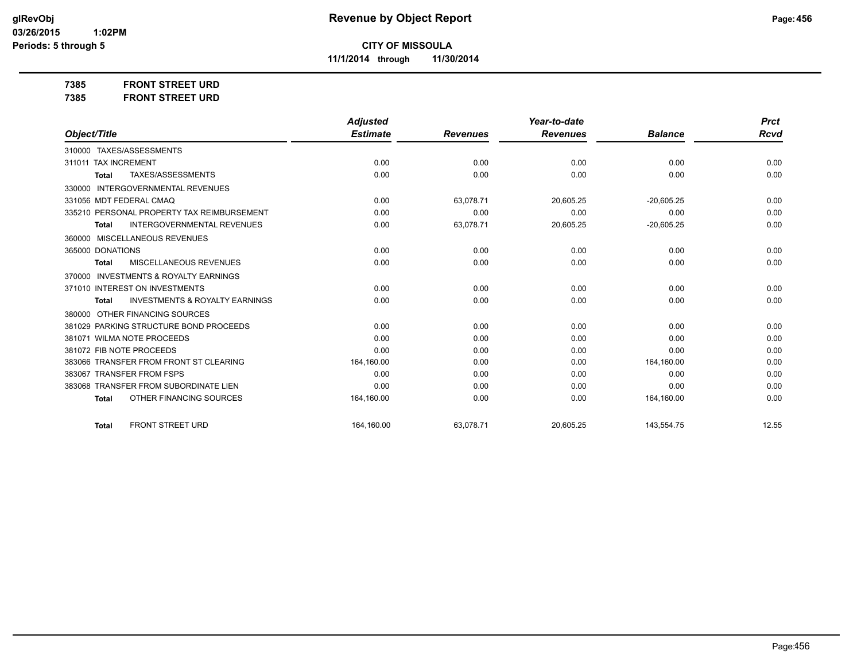**11/1/2014 through 11/30/2014**

**7385 FRONT STREET URD**

| <b>FRONT STREET URD</b> |
|-------------------------|
|                         |

|                                                           | <b>Adjusted</b> |                 | Year-to-date    |                | <b>Prct</b> |
|-----------------------------------------------------------|-----------------|-----------------|-----------------|----------------|-------------|
| Object/Title                                              | <b>Estimate</b> | <b>Revenues</b> | <b>Revenues</b> | <b>Balance</b> | Rcvd        |
| 310000 TAXES/ASSESSMENTS                                  |                 |                 |                 |                |             |
| 311011 TAX INCREMENT                                      | 0.00            | 0.00            | 0.00            | 0.00           | 0.00        |
| TAXES/ASSESSMENTS<br><b>Total</b>                         | 0.00            | 0.00            | 0.00            | 0.00           | 0.00        |
| 330000 INTERGOVERNMENTAL REVENUES                         |                 |                 |                 |                |             |
| 331056 MDT FEDERAL CMAQ                                   | 0.00            | 63,078.71       | 20,605.25       | $-20,605.25$   | 0.00        |
| 335210 PERSONAL PROPERTY TAX REIMBURSEMENT                | 0.00            | 0.00            | 0.00            | 0.00           | 0.00        |
| <b>INTERGOVERNMENTAL REVENUES</b><br><b>Total</b>         | 0.00            | 63,078.71       | 20,605.25       | $-20,605.25$   | 0.00        |
| 360000 MISCELLANEOUS REVENUES                             |                 |                 |                 |                |             |
| 365000 DONATIONS                                          | 0.00            | 0.00            | 0.00            | 0.00           | 0.00        |
| MISCELLANEOUS REVENUES<br><b>Total</b>                    | 0.00            | 0.00            | 0.00            | 0.00           | 0.00        |
| <b>INVESTMENTS &amp; ROYALTY EARNINGS</b><br>370000       |                 |                 |                 |                |             |
| 371010 INTEREST ON INVESTMENTS                            | 0.00            | 0.00            | 0.00            | 0.00           | 0.00        |
| <b>INVESTMENTS &amp; ROYALTY EARNINGS</b><br><b>Total</b> | 0.00            | 0.00            | 0.00            | 0.00           | 0.00        |
| OTHER FINANCING SOURCES<br>380000                         |                 |                 |                 |                |             |
| 381029 PARKING STRUCTURE BOND PROCEEDS                    | 0.00            | 0.00            | 0.00            | 0.00           | 0.00        |
| 381071 WILMA NOTE PROCEEDS                                | 0.00            | 0.00            | 0.00            | 0.00           | 0.00        |
| 381072 FIB NOTE PROCEEDS                                  | 0.00            | 0.00            | 0.00            | 0.00           | 0.00        |
| 383066 TRANSFER FROM FRONT ST CLEARING                    | 164,160.00      | 0.00            | 0.00            | 164,160.00     | 0.00        |
| 383067 TRANSFER FROM FSPS                                 | 0.00            | 0.00            | 0.00            | 0.00           | 0.00        |
| 383068 TRANSFER FROM SUBORDINATE LIEN                     | 0.00            | 0.00            | 0.00            | 0.00           | 0.00        |
| OTHER FINANCING SOURCES<br><b>Total</b>                   | 164,160.00      | 0.00            | 0.00            | 164,160.00     | 0.00        |
| <b>FRONT STREET URD</b><br><b>Total</b>                   | 164,160.00      | 63,078.71       | 20,605.25       | 143,554.75     | 12.55       |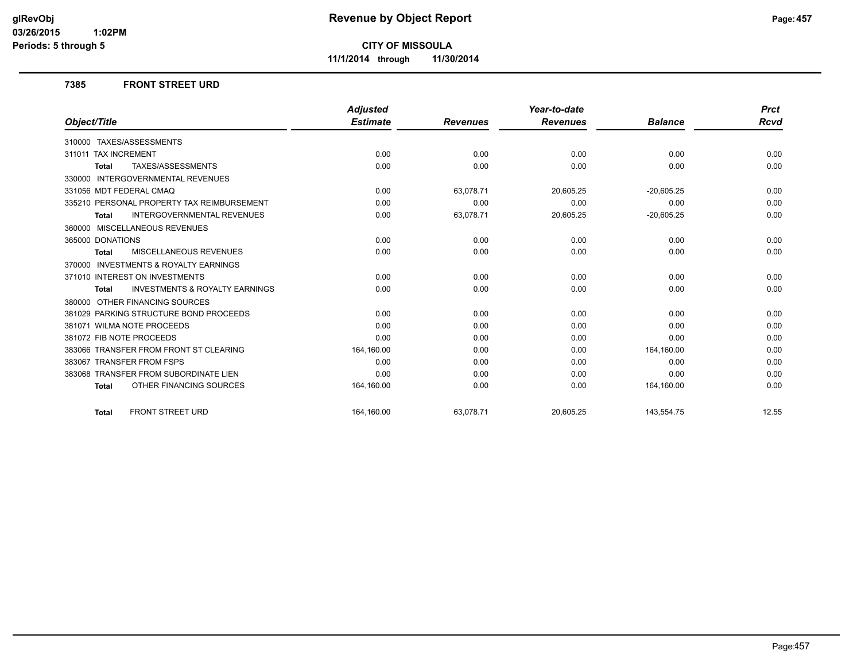**11/1/2014 through 11/30/2014**

#### **7385 FRONT STREET URD**

|                                                           | <b>Adjusted</b> |                 | Year-to-date    |                | <b>Prct</b> |
|-----------------------------------------------------------|-----------------|-----------------|-----------------|----------------|-------------|
| Object/Title                                              | <b>Estimate</b> | <b>Revenues</b> | <b>Revenues</b> | <b>Balance</b> | Rcvd        |
| 310000 TAXES/ASSESSMENTS                                  |                 |                 |                 |                |             |
| 311011 TAX INCREMENT                                      | 0.00            | 0.00            | 0.00            | 0.00           | 0.00        |
| <b>TAXES/ASSESSMENTS</b><br><b>Total</b>                  | 0.00            | 0.00            | 0.00            | 0.00           | 0.00        |
| <b>INTERGOVERNMENTAL REVENUES</b><br>330000               |                 |                 |                 |                |             |
| 331056 MDT FEDERAL CMAQ                                   | 0.00            | 63,078.71       | 20,605.25       | $-20,605.25$   | 0.00        |
| 335210 PERSONAL PROPERTY TAX REIMBURSEMENT                | 0.00            | 0.00            | 0.00            | 0.00           | 0.00        |
| <b>INTERGOVERNMENTAL REVENUES</b><br><b>Total</b>         | 0.00            | 63,078.71       | 20,605.25       | $-20,605.25$   | 0.00        |
| 360000 MISCELLANEOUS REVENUES                             |                 |                 |                 |                |             |
| 365000 DONATIONS                                          | 0.00            | 0.00            | 0.00            | 0.00           | 0.00        |
| MISCELLANEOUS REVENUES<br><b>Total</b>                    | 0.00            | 0.00            | 0.00            | 0.00           | 0.00        |
| <b>INVESTMENTS &amp; ROYALTY EARNINGS</b><br>370000       |                 |                 |                 |                |             |
| 371010 INTEREST ON INVESTMENTS                            | 0.00            | 0.00            | 0.00            | 0.00           | 0.00        |
| <b>INVESTMENTS &amp; ROYALTY EARNINGS</b><br><b>Total</b> | 0.00            | 0.00            | 0.00            | 0.00           | 0.00        |
| 380000 OTHER FINANCING SOURCES                            |                 |                 |                 |                |             |
| 381029 PARKING STRUCTURE BOND PROCEEDS                    | 0.00            | 0.00            | 0.00            | 0.00           | 0.00        |
| 381071 WILMA NOTE PROCEEDS                                | 0.00            | 0.00            | 0.00            | 0.00           | 0.00        |
| 381072 FIB NOTE PROCEEDS                                  | 0.00            | 0.00            | 0.00            | 0.00           | 0.00        |
| 383066 TRANSFER FROM FRONT ST CLEARING                    | 164,160.00      | 0.00            | 0.00            | 164,160.00     | 0.00        |
| 383067 TRANSFER FROM FSPS                                 | 0.00            | 0.00            | 0.00            | 0.00           | 0.00        |
| 383068 TRANSFER FROM SUBORDINATE LIEN                     | 0.00            | 0.00            | 0.00            | 0.00           | 0.00        |
| OTHER FINANCING SOURCES<br><b>Total</b>                   | 164,160.00      | 0.00            | 0.00            | 164,160.00     | 0.00        |
| <b>FRONT STREET URD</b><br><b>Total</b>                   | 164.160.00      | 63.078.71       | 20.605.25       | 143.554.75     | 12.55       |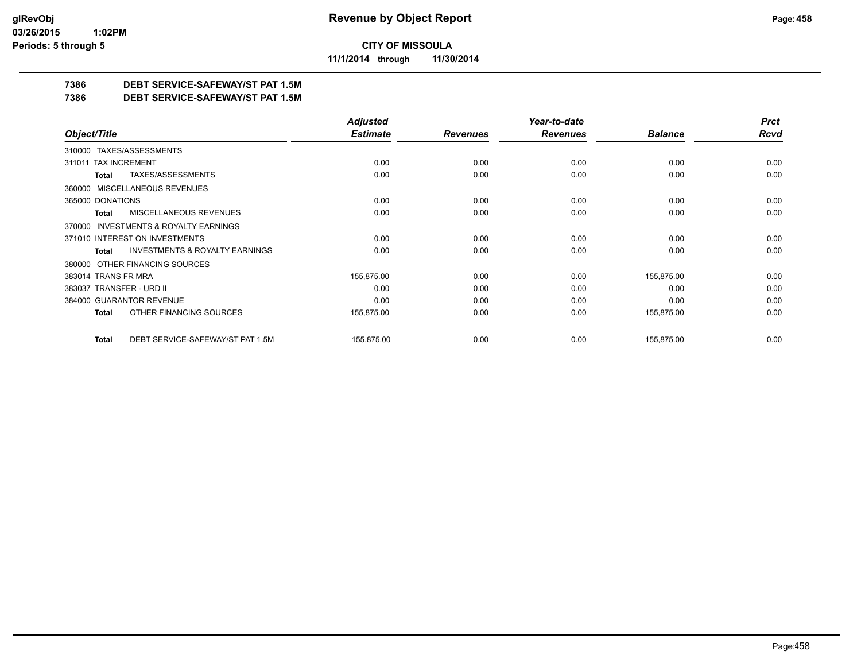**11/1/2014 through 11/30/2014**

#### **7386 DEBT SERVICE-SAFEWAY/ST PAT 1.5M**

**7386 DEBT SERVICE-SAFEWAY/ST PAT 1.5M**

|                                                     | <b>Adjusted</b> |                 | Year-to-date    |                | <b>Prct</b> |
|-----------------------------------------------------|-----------------|-----------------|-----------------|----------------|-------------|
| Object/Title                                        | <b>Estimate</b> | <b>Revenues</b> | <b>Revenues</b> | <b>Balance</b> | <b>Rcvd</b> |
| 310000 TAXES/ASSESSMENTS                            |                 |                 |                 |                |             |
| 311011 TAX INCREMENT                                | 0.00            | 0.00            | 0.00            | 0.00           | 0.00        |
| TAXES/ASSESSMENTS<br>Total                          | 0.00            | 0.00            | 0.00            | 0.00           | 0.00        |
| 360000 MISCELLANEOUS REVENUES                       |                 |                 |                 |                |             |
| 365000 DONATIONS                                    | 0.00            | 0.00            | 0.00            | 0.00           | 0.00        |
| MISCELLANEOUS REVENUES<br>Total                     | 0.00            | 0.00            | 0.00            | 0.00           | 0.00        |
| <b>INVESTMENTS &amp; ROYALTY EARNINGS</b><br>370000 |                 |                 |                 |                |             |
| 371010 INTEREST ON INVESTMENTS                      | 0.00            | 0.00            | 0.00            | 0.00           | 0.00        |
| <b>INVESTMENTS &amp; ROYALTY EARNINGS</b><br>Total  | 0.00            | 0.00            | 0.00            | 0.00           | 0.00        |
| OTHER FINANCING SOURCES<br>380000                   |                 |                 |                 |                |             |
| 383014 TRANS FR MRA                                 | 155,875.00      | 0.00            | 0.00            | 155,875.00     | 0.00        |
| 383037 TRANSFER - URD II                            | 0.00            | 0.00            | 0.00            | 0.00           | 0.00        |
| 384000 GUARANTOR REVENUE                            | 0.00            | 0.00            | 0.00            | 0.00           | 0.00        |
| OTHER FINANCING SOURCES<br>Total                    | 155,875.00      | 0.00            | 0.00            | 155,875.00     | 0.00        |
| DEBT SERVICE-SAFEWAY/ST PAT 1.5M<br>Total           | 155,875.00      | 0.00            | 0.00            | 155,875.00     | 0.00        |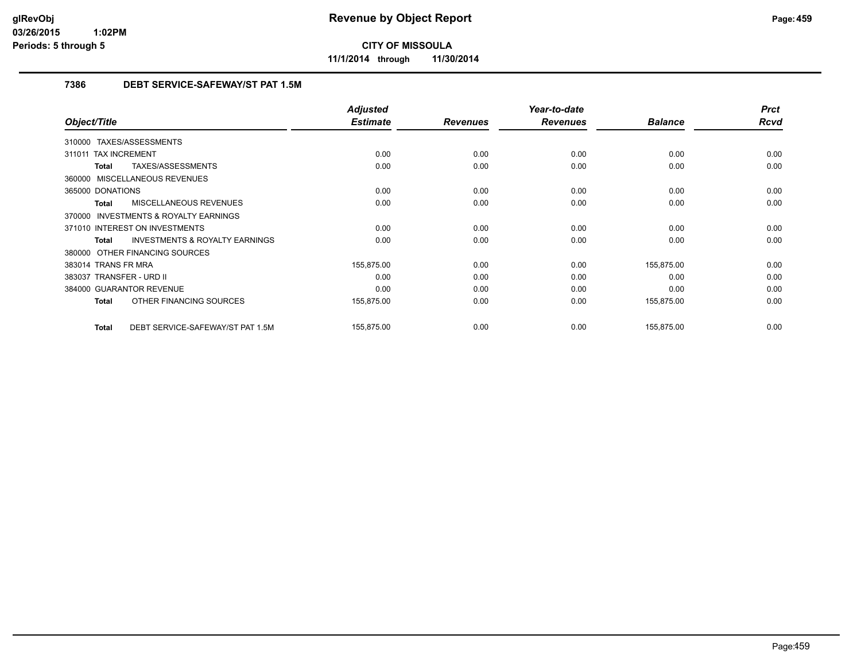**11/1/2014 through 11/30/2014**

#### **7386 DEBT SERVICE-SAFEWAY/ST PAT 1.5M**

|                                                           | <b>Adjusted</b> |                 | Year-to-date    |                | <b>Prct</b> |
|-----------------------------------------------------------|-----------------|-----------------|-----------------|----------------|-------------|
| Object/Title                                              | <b>Estimate</b> | <b>Revenues</b> | <b>Revenues</b> | <b>Balance</b> | <b>Rcvd</b> |
| 310000 TAXES/ASSESSMENTS                                  |                 |                 |                 |                |             |
| 311011 TAX INCREMENT                                      | 0.00            | 0.00            | 0.00            | 0.00           | 0.00        |
| TAXES/ASSESSMENTS<br>Total                                | 0.00            | 0.00            | 0.00            | 0.00           | 0.00        |
| 360000 MISCELLANEOUS REVENUES                             |                 |                 |                 |                |             |
| 365000 DONATIONS                                          | 0.00            | 0.00            | 0.00            | 0.00           | 0.00        |
| MISCELLANEOUS REVENUES<br>Total                           | 0.00            | 0.00            | 0.00            | 0.00           | 0.00        |
| <b>INVESTMENTS &amp; ROYALTY EARNINGS</b><br>370000       |                 |                 |                 |                |             |
| 371010 INTEREST ON INVESTMENTS                            | 0.00            | 0.00            | 0.00            | 0.00           | 0.00        |
| <b>INVESTMENTS &amp; ROYALTY EARNINGS</b><br><b>Total</b> | 0.00            | 0.00            | 0.00            | 0.00           | 0.00        |
| 380000 OTHER FINANCING SOURCES                            |                 |                 |                 |                |             |
| 383014 TRANS FR MRA                                       | 155,875.00      | 0.00            | 0.00            | 155,875.00     | 0.00        |
| 383037 TRANSFER - URD II                                  | 0.00            | 0.00            | 0.00            | 0.00           | 0.00        |
| 384000 GUARANTOR REVENUE                                  | 0.00            | 0.00            | 0.00            | 0.00           | 0.00        |
| OTHER FINANCING SOURCES<br>Total                          | 155,875.00      | 0.00            | 0.00            | 155,875.00     | 0.00        |
| DEBT SERVICE-SAFEWAY/ST PAT 1.5M<br>Total                 | 155,875.00      | 0.00            | 0.00            | 155,875.00     | 0.00        |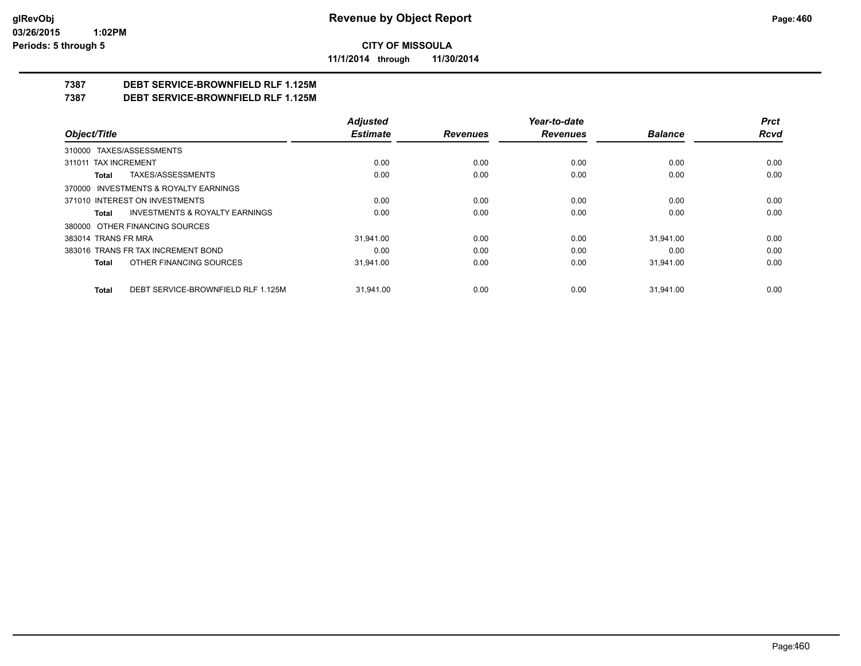**11/1/2014 through 11/30/2014**

## **7387 DEBT SERVICE-BROWNFIELD RLF 1.125M**

**7387 DEBT SERVICE-BROWNFIELD RLF 1.125M**

|                                                    | <b>Adjusted</b> |                 | Year-to-date    |                | <b>Prct</b> |
|----------------------------------------------------|-----------------|-----------------|-----------------|----------------|-------------|
| Object/Title                                       | <b>Estimate</b> | <b>Revenues</b> | <b>Revenues</b> | <b>Balance</b> | <b>Rcvd</b> |
| 310000 TAXES/ASSESSMENTS                           |                 |                 |                 |                |             |
| 311011 TAX INCREMENT                               | 0.00            | 0.00            | 0.00            | 0.00           | 0.00        |
| TAXES/ASSESSMENTS<br>Total                         | 0.00            | 0.00            | 0.00            | 0.00           | 0.00        |
| 370000 INVESTMENTS & ROYALTY EARNINGS              |                 |                 |                 |                |             |
| 371010 INTEREST ON INVESTMENTS                     | 0.00            | 0.00            | 0.00            | 0.00           | 0.00        |
| <b>INVESTMENTS &amp; ROYALTY EARNINGS</b><br>Total | 0.00            | 0.00            | 0.00            | 0.00           | 0.00        |
| 380000 OTHER FINANCING SOURCES                     |                 |                 |                 |                |             |
| 383014 TRANS FR MRA                                | 31.941.00       | 0.00            | 0.00            | 31,941.00      | 0.00        |
| 383016 TRANS FR TAX INCREMENT BOND                 | 0.00            | 0.00            | 0.00            | 0.00           | 0.00        |
| OTHER FINANCING SOURCES<br>Total                   | 31,941.00       | 0.00            | 0.00            | 31,941.00      | 0.00        |
| DEBT SERVICE-BROWNFIELD RLF 1.125M<br>Total        | 31.941.00       | 0.00            | 0.00            | 31,941.00      | 0.00        |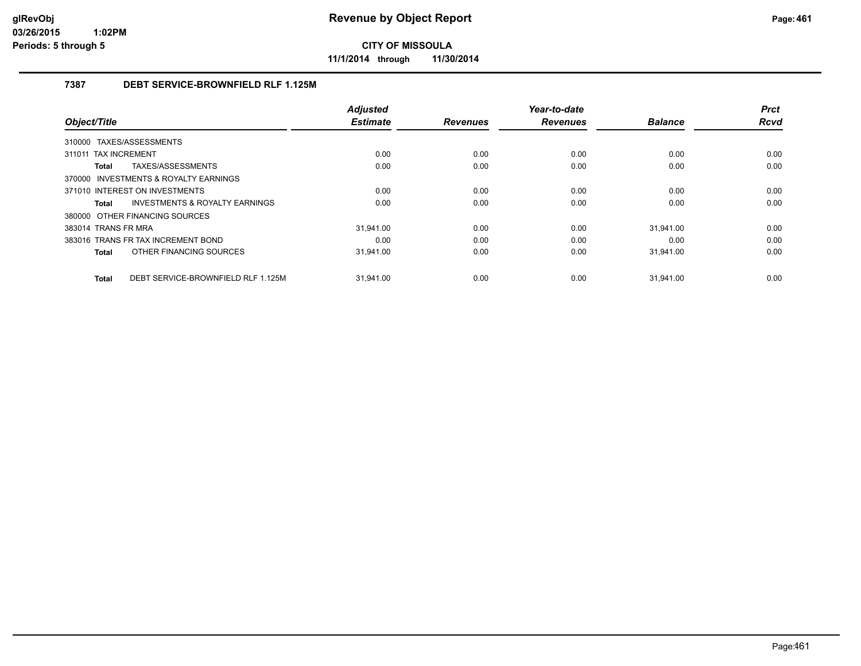**11/1/2014 through 11/30/2014**

#### **7387 DEBT SERVICE-BROWNFIELD RLF 1.125M**

|                                                           | <b>Adjusted</b> |                 | Year-to-date    |                | <b>Prct</b> |
|-----------------------------------------------------------|-----------------|-----------------|-----------------|----------------|-------------|
| Object/Title                                              | <b>Estimate</b> | <b>Revenues</b> | <b>Revenues</b> | <b>Balance</b> | <b>Rcvd</b> |
| TAXES/ASSESSMENTS<br>310000                               |                 |                 |                 |                |             |
| 311011 TAX INCREMENT                                      | 0.00            | 0.00            | 0.00            | 0.00           | 0.00        |
| TAXES/ASSESSMENTS<br><b>Total</b>                         | 0.00            | 0.00            | 0.00            | 0.00           | 0.00        |
| 370000 INVESTMENTS & ROYALTY EARNINGS                     |                 |                 |                 |                |             |
| 371010 INTEREST ON INVESTMENTS                            | 0.00            | 0.00            | 0.00            | 0.00           | 0.00        |
| <b>INVESTMENTS &amp; ROYALTY EARNINGS</b><br><b>Total</b> | 0.00            | 0.00            | 0.00            | 0.00           | 0.00        |
| 380000 OTHER FINANCING SOURCES                            |                 |                 |                 |                |             |
| 383014 TRANS FR MRA                                       | 31.941.00       | 0.00            | 0.00            | 31.941.00      | 0.00        |
| 383016 TRANS FR TAX INCREMENT BOND                        | 0.00            | 0.00            | 0.00            | 0.00           | 0.00        |
| OTHER FINANCING SOURCES<br><b>Total</b>                   | 31.941.00       | 0.00            | 0.00            | 31,941.00      | 0.00        |
| DEBT SERVICE-BROWNFIELD RLF 1.125M<br><b>Total</b>        | 31.941.00       | 0.00            | 0.00            | 31.941.00      | 0.00        |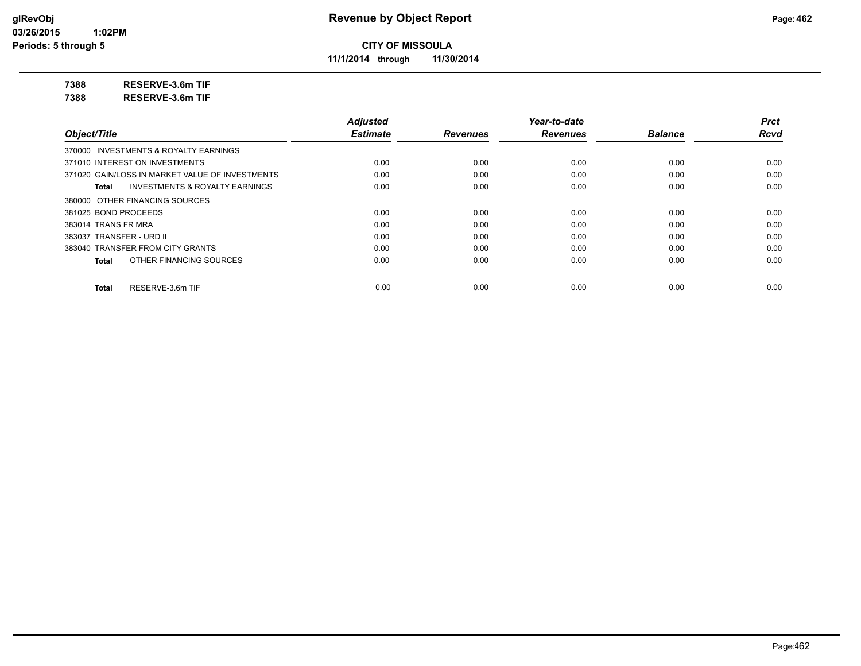**11/1/2014 through 11/30/2014**

**7388 RESERVE-3.6m TIF**

**7388 RESERVE-3.6m TIF**

|                                                    | <b>Adjusted</b> |                 | Year-to-date    |                | <b>Prct</b> |
|----------------------------------------------------|-----------------|-----------------|-----------------|----------------|-------------|
| Object/Title                                       | <b>Estimate</b> | <b>Revenues</b> | <b>Revenues</b> | <b>Balance</b> | <b>Rcvd</b> |
| 370000 INVESTMENTS & ROYALTY EARNINGS              |                 |                 |                 |                |             |
| 371010 INTEREST ON INVESTMENTS                     | 0.00            | 0.00            | 0.00            | 0.00           | 0.00        |
| 371020 GAIN/LOSS IN MARKET VALUE OF INVESTMENTS    | 0.00            | 0.00            | 0.00            | 0.00           | 0.00        |
| <b>INVESTMENTS &amp; ROYALTY EARNINGS</b><br>Total | 0.00            | 0.00            | 0.00            | 0.00           | 0.00        |
| 380000 OTHER FINANCING SOURCES                     |                 |                 |                 |                |             |
| 381025 BOND PROCEEDS                               | 0.00            | 0.00            | 0.00            | 0.00           | 0.00        |
| 383014 TRANS FR MRA                                | 0.00            | 0.00            | 0.00            | 0.00           | 0.00        |
| 383037 TRANSFER - URD II                           | 0.00            | 0.00            | 0.00            | 0.00           | 0.00        |
| 383040 TRANSFER FROM CITY GRANTS                   | 0.00            | 0.00            | 0.00            | 0.00           | 0.00        |
| OTHER FINANCING SOURCES<br>Total                   | 0.00            | 0.00            | 0.00            | 0.00           | 0.00        |
| RESERVE-3.6m TIF<br>Total                          | 0.00            | 0.00            | 0.00            | 0.00           | 0.00        |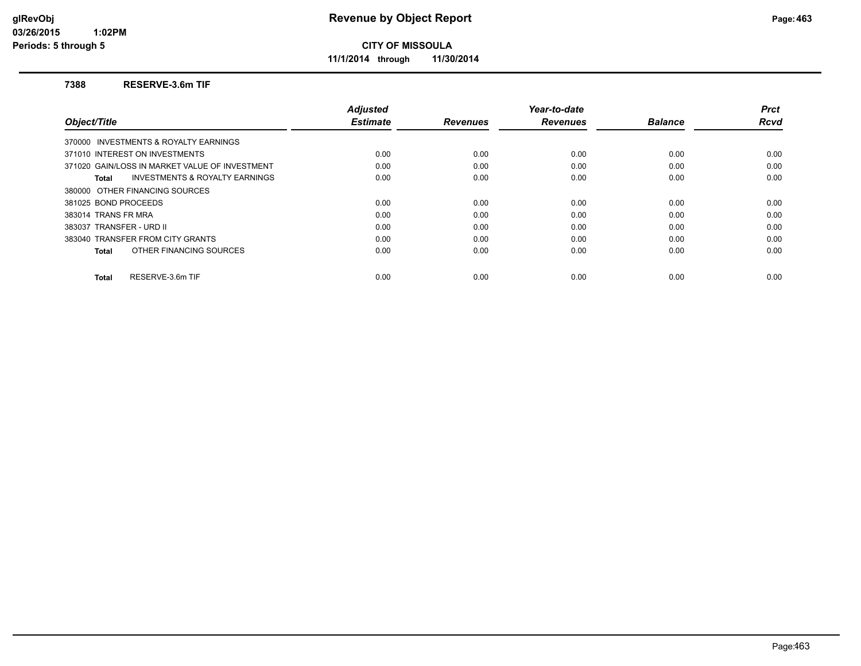**11/1/2014 through 11/30/2014**

#### **7388 RESERVE-3.6m TIF**

|                                                    | <b>Adjusted</b> |                 | Year-to-date    |                | <b>Prct</b> |
|----------------------------------------------------|-----------------|-----------------|-----------------|----------------|-------------|
| Object/Title                                       | <b>Estimate</b> | <b>Revenues</b> | <b>Revenues</b> | <b>Balance</b> | Rcvd        |
| 370000 INVESTMENTS & ROYALTY EARNINGS              |                 |                 |                 |                |             |
| 371010 INTEREST ON INVESTMENTS                     | 0.00            | 0.00            | 0.00            | 0.00           | 0.00        |
| 371020 GAIN/LOSS IN MARKET VALUE OF INVESTMENT     | 0.00            | 0.00            | 0.00            | 0.00           | 0.00        |
| <b>INVESTMENTS &amp; ROYALTY EARNINGS</b><br>Total | 0.00            | 0.00            | 0.00            | 0.00           | 0.00        |
| 380000 OTHER FINANCING SOURCES                     |                 |                 |                 |                |             |
| 381025 BOND PROCEEDS                               | 0.00            | 0.00            | 0.00            | 0.00           | 0.00        |
| 383014 TRANS FR MRA                                | 0.00            | 0.00            | 0.00            | 0.00           | 0.00        |
| 383037 TRANSFER - URD II                           | 0.00            | 0.00            | 0.00            | 0.00           | 0.00        |
| 383040 TRANSFER FROM CITY GRANTS                   | 0.00            | 0.00            | 0.00            | 0.00           | 0.00        |
| OTHER FINANCING SOURCES<br>Total                   | 0.00            | 0.00            | 0.00            | 0.00           | 0.00        |
| RESERVE-3.6m TIF<br><b>Total</b>                   | 0.00            | 0.00            | 0.00            | 0.00           | 0.00        |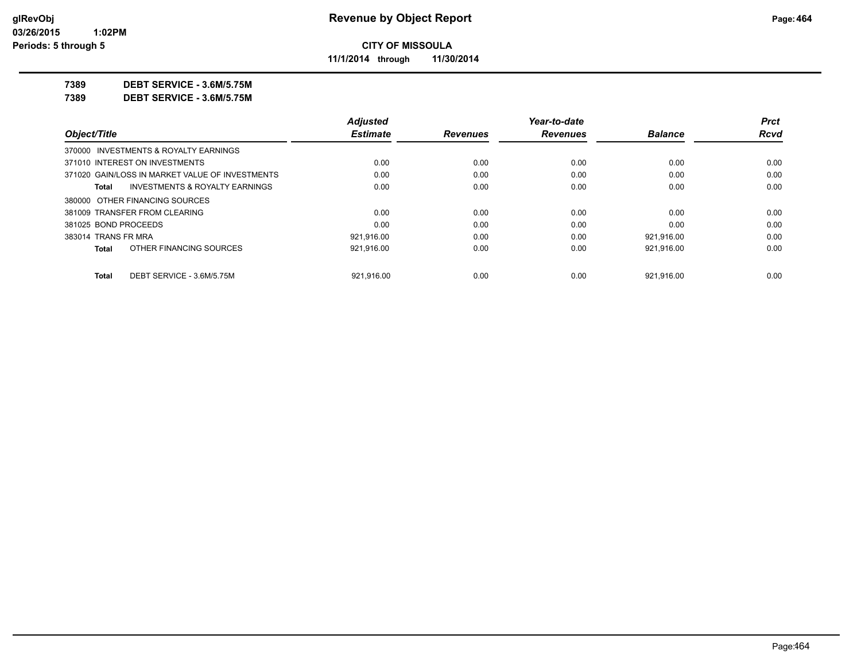**11/1/2014 through 11/30/2014**

**7389 DEBT SERVICE - 3.6M/5.75M**

**7389 DEBT SERVICE - 3.6M/5.75M**

|                               |                                                 | <b>Adjusted</b> |                 | Year-to-date    |                | <b>Prct</b> |
|-------------------------------|-------------------------------------------------|-----------------|-----------------|-----------------|----------------|-------------|
| Object/Title                  |                                                 | <b>Estimate</b> | <b>Revenues</b> | <b>Revenues</b> | <b>Balance</b> | <b>Rcvd</b> |
|                               | 370000 INVESTMENTS & ROYALTY EARNINGS           |                 |                 |                 |                |             |
|                               | 371010 INTEREST ON INVESTMENTS                  | 0.00            | 0.00            | 0.00            | 0.00           | 0.00        |
|                               | 371020 GAIN/LOSS IN MARKET VALUE OF INVESTMENTS | 0.00            | 0.00            | 0.00            | 0.00           | 0.00        |
| Total                         | <b>INVESTMENTS &amp; ROYALTY EARNINGS</b>       | 0.00            | 0.00            | 0.00            | 0.00           | 0.00        |
|                               | 380000 OTHER FINANCING SOURCES                  |                 |                 |                 |                |             |
| 381009 TRANSFER FROM CLEARING |                                                 | 0.00            | 0.00            | 0.00            | 0.00           | 0.00        |
| 381025 BOND PROCEEDS          |                                                 | 0.00            | 0.00            | 0.00            | 0.00           | 0.00        |
| 383014 TRANS FR MRA           |                                                 | 921,916.00      | 0.00            | 0.00            | 921,916.00     | 0.00        |
| Total                         | OTHER FINANCING SOURCES                         | 921,916.00      | 0.00            | 0.00            | 921.916.00     | 0.00        |
| Total                         | DEBT SERVICE - 3.6M/5.75M                       | 921.916.00      | 0.00            | 0.00            | 921.916.00     | 0.00        |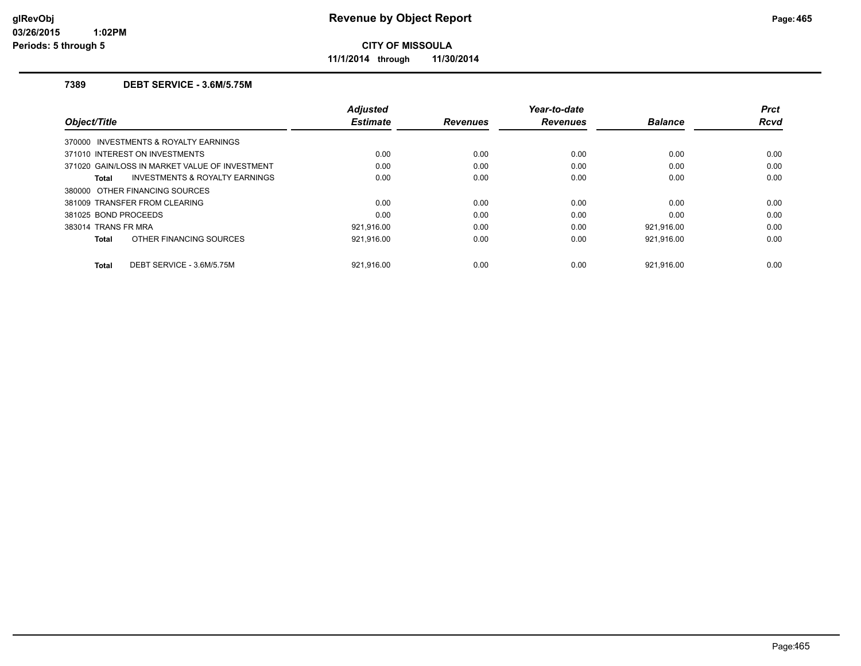**11/1/2014 through 11/30/2014**

#### **7389 DEBT SERVICE - 3.6M/5.75M**

| Object/Title         |                                                | Adjusted<br><b>Estimate</b> | <b>Revenues</b> | Year-to-date<br><b>Revenues</b> | <b>Balance</b> | <b>Prct</b><br><b>Rcvd</b> |
|----------------------|------------------------------------------------|-----------------------------|-----------------|---------------------------------|----------------|----------------------------|
|                      | 370000 INVESTMENTS & ROYALTY EARNINGS          |                             |                 |                                 |                |                            |
|                      | 371010 INTEREST ON INVESTMENTS                 | 0.00                        | 0.00            | 0.00                            | 0.00           | 0.00                       |
|                      | 371020 GAIN/LOSS IN MARKET VALUE OF INVESTMENT | 0.00                        | 0.00            | 0.00                            | 0.00           | 0.00                       |
| Total                | <b>INVESTMENTS &amp; ROYALTY EARNINGS</b>      | 0.00                        | 0.00            | 0.00                            | 0.00           | 0.00                       |
|                      | 380000 OTHER FINANCING SOURCES                 |                             |                 |                                 |                |                            |
|                      | 381009 TRANSFER FROM CLEARING                  | 0.00                        | 0.00            | 0.00                            | 0.00           | 0.00                       |
| 381025 BOND PROCEEDS |                                                | 0.00                        | 0.00            | 0.00                            | 0.00           | 0.00                       |
| 383014 TRANS FR MRA  |                                                | 921.916.00                  | 0.00            | 0.00                            | 921,916.00     | 0.00                       |
| Total                | OTHER FINANCING SOURCES                        | 921,916.00                  | 0.00            | 0.00                            | 921,916.00     | 0.00                       |
| Total                | DEBT SERVICE - 3.6M/5.75M                      | 921.916.00                  | 0.00            | 0.00                            | 921.916.00     | 0.00                       |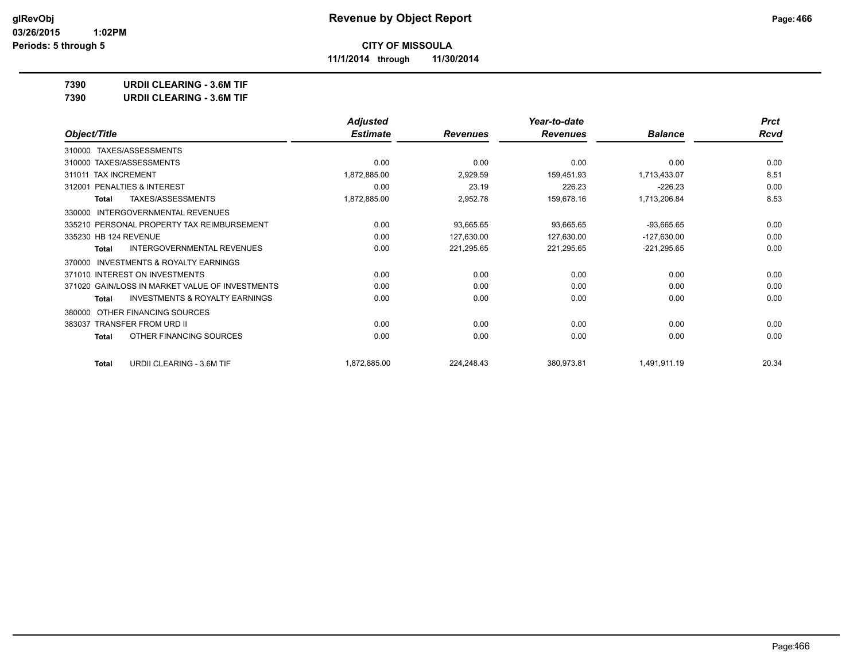**11/1/2014 through 11/30/2014**

**7390 URDII CLEARING - 3.6M TIF**

**7390 URDII CLEARING - 3.6M TIF**

|                                                           | <b>Adjusted</b> |                 | Year-to-date    |                | <b>Prct</b> |
|-----------------------------------------------------------|-----------------|-----------------|-----------------|----------------|-------------|
| Object/Title                                              | <b>Estimate</b> | <b>Revenues</b> | <b>Revenues</b> | <b>Balance</b> | <b>Rcvd</b> |
| 310000 TAXES/ASSESSMENTS                                  |                 |                 |                 |                |             |
| 310000 TAXES/ASSESSMENTS                                  | 0.00            | 0.00            | 0.00            | 0.00           | 0.00        |
| 311011 TAX INCREMENT                                      | 1,872,885.00    | 2,929.59        | 159,451.93      | 1,713,433.07   | 8.51        |
| PENALTIES & INTEREST<br>312001                            | 0.00            | 23.19           | 226.23          | $-226.23$      | 0.00        |
| TAXES/ASSESSMENTS<br><b>Total</b>                         | 1,872,885.00    | 2,952.78        | 159,678.16      | 1,713,206.84   | 8.53        |
| INTERGOVERNMENTAL REVENUES<br>330000                      |                 |                 |                 |                |             |
| 335210 PERSONAL PROPERTY TAX REIMBURSEMENT                | 0.00            | 93,665.65       | 93,665.65       | $-93,665.65$   | 0.00        |
| 335230 HB 124 REVENUE                                     | 0.00            | 127,630.00      | 127,630.00      | $-127,630.00$  | 0.00        |
| INTERGOVERNMENTAL REVENUES<br>Total                       | 0.00            | 221,295.65      | 221,295.65      | $-221, 295.65$ | 0.00        |
| <b>INVESTMENTS &amp; ROYALTY EARNINGS</b><br>370000       |                 |                 |                 |                |             |
| 371010 INTEREST ON INVESTMENTS                            | 0.00            | 0.00            | 0.00            | 0.00           | 0.00        |
| 371020 GAIN/LOSS IN MARKET VALUE OF INVESTMENTS           | 0.00            | 0.00            | 0.00            | 0.00           | 0.00        |
| <b>INVESTMENTS &amp; ROYALTY EARNINGS</b><br><b>Total</b> | 0.00            | 0.00            | 0.00            | 0.00           | 0.00        |
| OTHER FINANCING SOURCES<br>380000                         |                 |                 |                 |                |             |
| 383037 TRANSFER FROM URD II                               | 0.00            | 0.00            | 0.00            | 0.00           | 0.00        |
| OTHER FINANCING SOURCES<br><b>Total</b>                   | 0.00            | 0.00            | 0.00            | 0.00           | 0.00        |
| URDII CLEARING - 3.6M TIF<br>Total                        | 1,872,885.00    | 224,248.43      | 380,973.81      | 1,491,911.19   | 20.34       |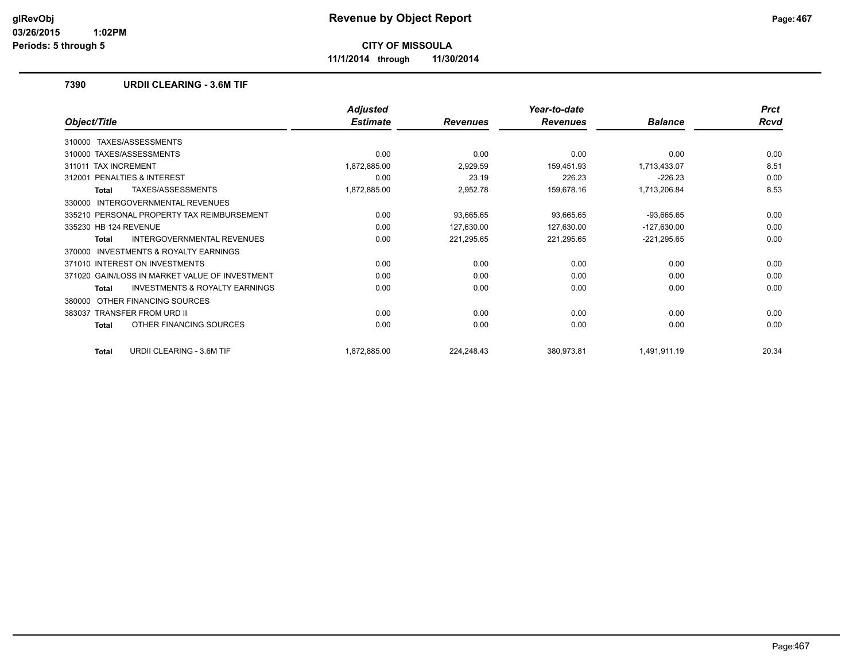**11/1/2014 through 11/30/2014**

#### **7390 URDII CLEARING - 3.6M TIF**

|                                                           | <b>Adjusted</b> |                 | Year-to-date    |                | <b>Prct</b> |
|-----------------------------------------------------------|-----------------|-----------------|-----------------|----------------|-------------|
| Object/Title                                              | <b>Estimate</b> | <b>Revenues</b> | <b>Revenues</b> | <b>Balance</b> | <b>Rcvd</b> |
| TAXES/ASSESSMENTS<br>310000                               |                 |                 |                 |                |             |
| 310000 TAXES/ASSESSMENTS                                  | 0.00            | 0.00            | 0.00            | 0.00           | 0.00        |
| <b>TAX INCREMENT</b><br>311011                            | 1,872,885.00    | 2,929.59        | 159,451.93      | 1,713,433.07   | 8.51        |
| 312001 PENALTIES & INTEREST                               | 0.00            | 23.19           | 226.23          | $-226.23$      | 0.00        |
| <b>TAXES/ASSESSMENTS</b><br><b>Total</b>                  | 1,872,885.00    | 2,952.78        | 159,678.16      | 1,713,206.84   | 8.53        |
| <b>INTERGOVERNMENTAL REVENUES</b><br>330000               |                 |                 |                 |                |             |
| 335210 PERSONAL PROPERTY TAX REIMBURSEMENT                | 0.00            | 93,665.65       | 93,665.65       | $-93,665.65$   | 0.00        |
| 335230 HB 124 REVENUE                                     | 0.00            | 127,630.00      | 127,630.00      | $-127,630.00$  | 0.00        |
| <b>INTERGOVERNMENTAL REVENUES</b><br><b>Total</b>         | 0.00            | 221,295.65      | 221,295.65      | $-221, 295.65$ | 0.00        |
| INVESTMENTS & ROYALTY EARNINGS<br>370000                  |                 |                 |                 |                |             |
| 371010 INTEREST ON INVESTMENTS                            | 0.00            | 0.00            | 0.00            | 0.00           | 0.00        |
| 371020 GAIN/LOSS IN MARKET VALUE OF INVESTMENT            | 0.00            | 0.00            | 0.00            | 0.00           | 0.00        |
| <b>INVESTMENTS &amp; ROYALTY EARNINGS</b><br><b>Total</b> | 0.00            | 0.00            | 0.00            | 0.00           | 0.00        |
| OTHER FINANCING SOURCES<br>380000                         |                 |                 |                 |                |             |
| <b>TRANSFER FROM URD II</b><br>383037                     | 0.00            | 0.00            | 0.00            | 0.00           | 0.00        |
| OTHER FINANCING SOURCES<br><b>Total</b>                   | 0.00            | 0.00            | 0.00            | 0.00           | 0.00        |
| <b>URDII CLEARING - 3.6M TIF</b><br><b>Total</b>          | 1,872,885.00    | 224,248.43      | 380,973.81      | 1,491,911.19   | 20.34       |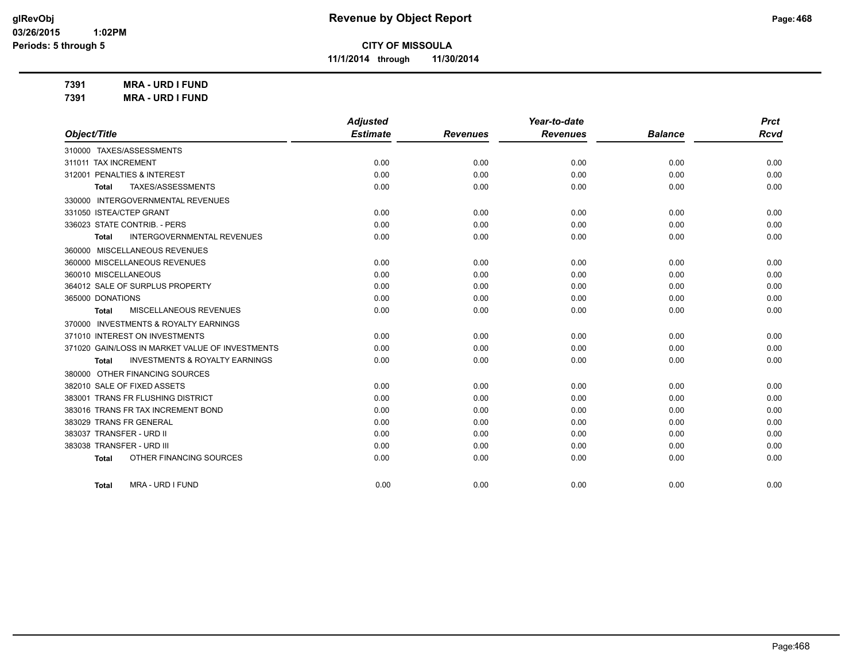*Prct Rcvd*

**CITY OF MISSOULA**

**11/1/2014 through 11/30/2014**

**7391 MRA - URD I FUND 7391 MRA - URD I FUND**

| Object/Title                                | <b>Adjusted</b><br><b>Estimate</b> | <b>Revenues</b> |
|---------------------------------------------|------------------------------------|-----------------|
| 310000 TAXES/ASSESSMENTS                    |                                    |                 |
| 311011 TAX INCREMENT                        | 0.00                               | 0.00            |
| 312001 PENALTIES & INTEREST                 | 0.00                               | 0.00            |
| TAXES/ASSESSMENTS<br>Total                  | 0.00                               | 0.00            |
| INTERGOVERNMENTAL REVENUES<br>330000        |                                    |                 |
| 331050 ISTEA/CTEP GRANT                     | 0.00                               | 0.00            |
| 336023 STATE CONTRIB. - PERS                | 0.00                               | 0.00            |
| INTEDCOVEDNIMENTAL DEVENILES<br>$T - 1 - 1$ | 0.00                               | 0.00            |

|                           | 310000 TAXES/ASSESSMENTS                        |      |      |      |      |      |
|---------------------------|-------------------------------------------------|------|------|------|------|------|
| 311011 TAX INCREMENT      |                                                 | 0.00 | 0.00 | 0.00 | 0.00 | 0.00 |
|                           | 312001 PENALTIES & INTEREST                     | 0.00 | 0.00 | 0.00 | 0.00 | 0.00 |
| <b>Total</b>              | TAXES/ASSESSMENTS                               | 0.00 | 0.00 | 0.00 | 0.00 | 0.00 |
|                           | 330000 INTERGOVERNMENTAL REVENUES               |      |      |      |      |      |
| 331050 ISTEA/CTEP GRANT   |                                                 | 0.00 | 0.00 | 0.00 | 0.00 | 0.00 |
|                           | 336023 STATE CONTRIB. - PERS                    | 0.00 | 0.00 | 0.00 | 0.00 | 0.00 |
| <b>Total</b>              | <b>INTERGOVERNMENTAL REVENUES</b>               | 0.00 | 0.00 | 0.00 | 0.00 | 0.00 |
|                           | 360000 MISCELLANEOUS REVENUES                   |      |      |      |      |      |
|                           | 360000 MISCELLANEOUS REVENUES                   | 0.00 | 0.00 | 0.00 | 0.00 | 0.00 |
| 360010 MISCELLANEOUS      |                                                 | 0.00 | 0.00 | 0.00 | 0.00 | 0.00 |
|                           | 364012 SALE OF SURPLUS PROPERTY                 | 0.00 | 0.00 | 0.00 | 0.00 | 0.00 |
| 365000 DONATIONS          |                                                 | 0.00 | 0.00 | 0.00 | 0.00 | 0.00 |
| <b>Total</b>              | <b>MISCELLANEOUS REVENUES</b>                   | 0.00 | 0.00 | 0.00 | 0.00 | 0.00 |
|                           | 370000 INVESTMENTS & ROYALTY EARNINGS           |      |      |      |      |      |
|                           | 371010 INTEREST ON INVESTMENTS                  | 0.00 | 0.00 | 0.00 | 0.00 | 0.00 |
|                           | 371020 GAIN/LOSS IN MARKET VALUE OF INVESTMENTS | 0.00 | 0.00 | 0.00 | 0.00 | 0.00 |
| <b>Total</b>              | <b>INVESTMENTS &amp; ROYALTY EARNINGS</b>       | 0.00 | 0.00 | 0.00 | 0.00 | 0.00 |
|                           | 380000 OTHER FINANCING SOURCES                  |      |      |      |      |      |
|                           | 382010 SALE OF FIXED ASSETS                     | 0.00 | 0.00 | 0.00 | 0.00 | 0.00 |
|                           | 383001 TRANS FR FLUSHING DISTRICT               | 0.00 | 0.00 | 0.00 | 0.00 | 0.00 |
|                           | 383016 TRANS FR TAX INCREMENT BOND              | 0.00 | 0.00 | 0.00 | 0.00 | 0.00 |
|                           | 383029 TRANS FR GENERAL                         | 0.00 | 0.00 | 0.00 | 0.00 | 0.00 |
|                           | 383037 TRANSFER - URD II                        | 0.00 | 0.00 | 0.00 | 0.00 | 0.00 |
| 383038 TRANSFER - URD III |                                                 | 0.00 | 0.00 | 0.00 | 0.00 | 0.00 |
| <b>Total</b>              | OTHER FINANCING SOURCES                         | 0.00 | 0.00 | 0.00 | 0.00 | 0.00 |
| <b>Total</b>              | <b>MRA - URD I FUND</b>                         | 0.00 | 0.00 | 0.00 | 0.00 | 0.00 |

*Year-to-date Revenues*

*Balance*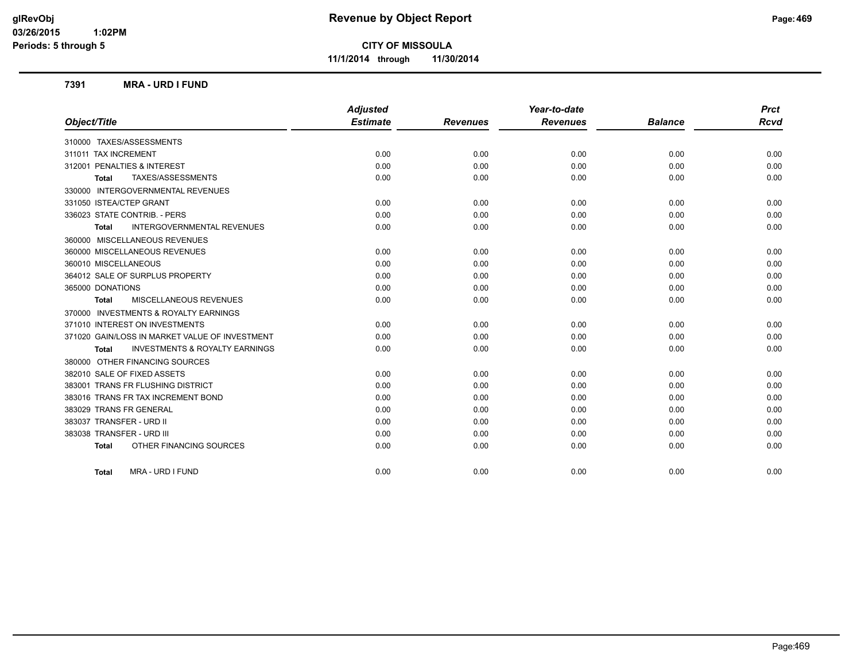**11/1/2014 through 11/30/2014**

#### **7391 MRA - URD I FUND**

|                                                           | <b>Adjusted</b> |                 | Year-to-date    |                | <b>Prct</b> |
|-----------------------------------------------------------|-----------------|-----------------|-----------------|----------------|-------------|
| Object/Title                                              | <b>Estimate</b> | <b>Revenues</b> | <b>Revenues</b> | <b>Balance</b> | <b>Rcvd</b> |
| 310000 TAXES/ASSESSMENTS                                  |                 |                 |                 |                |             |
| 311011 TAX INCREMENT                                      | 0.00            | 0.00            | 0.00            | 0.00           | 0.00        |
| 312001 PENALTIES & INTEREST                               | 0.00            | 0.00            | 0.00            | 0.00           | 0.00        |
| TAXES/ASSESSMENTS<br><b>Total</b>                         | 0.00            | 0.00            | 0.00            | 0.00           | 0.00        |
| 330000 INTERGOVERNMENTAL REVENUES                         |                 |                 |                 |                |             |
| 331050 ISTEA/CTEP GRANT                                   | 0.00            | 0.00            | 0.00            | 0.00           | 0.00        |
| 336023 STATE CONTRIB. - PERS                              | 0.00            | 0.00            | 0.00            | 0.00           | 0.00        |
| <b>INTERGOVERNMENTAL REVENUES</b><br><b>Total</b>         | 0.00            | 0.00            | 0.00            | 0.00           | 0.00        |
| 360000 MISCELLANEOUS REVENUES                             |                 |                 |                 |                |             |
| 360000 MISCELLANEOUS REVENUES                             | 0.00            | 0.00            | 0.00            | 0.00           | 0.00        |
| 360010 MISCELLANEOUS                                      | 0.00            | 0.00            | 0.00            | 0.00           | 0.00        |
| 364012 SALE OF SURPLUS PROPERTY                           | 0.00            | 0.00            | 0.00            | 0.00           | 0.00        |
| 365000 DONATIONS                                          | 0.00            | 0.00            | 0.00            | 0.00           | 0.00        |
| MISCELLANEOUS REVENUES<br>Total                           | 0.00            | 0.00            | 0.00            | 0.00           | 0.00        |
| 370000 INVESTMENTS & ROYALTY EARNINGS                     |                 |                 |                 |                |             |
| 371010 INTEREST ON INVESTMENTS                            | 0.00            | 0.00            | 0.00            | 0.00           | 0.00        |
| 371020 GAIN/LOSS IN MARKET VALUE OF INVESTMENT            | 0.00            | 0.00            | 0.00            | 0.00           | 0.00        |
| <b>INVESTMENTS &amp; ROYALTY EARNINGS</b><br><b>Total</b> | 0.00            | 0.00            | 0.00            | 0.00           | 0.00        |
| 380000 OTHER FINANCING SOURCES                            |                 |                 |                 |                |             |
| 382010 SALE OF FIXED ASSETS                               | 0.00            | 0.00            | 0.00            | 0.00           | 0.00        |
| 383001 TRANS FR FLUSHING DISTRICT                         | 0.00            | 0.00            | 0.00            | 0.00           | 0.00        |
| 383016 TRANS FR TAX INCREMENT BOND                        | 0.00            | 0.00            | 0.00            | 0.00           | 0.00        |
| 383029 TRANS FR GENERAL                                   | 0.00            | 0.00            | 0.00            | 0.00           | 0.00        |
| 383037 TRANSFER - URD II                                  | 0.00            | 0.00            | 0.00            | 0.00           | 0.00        |
| 383038 TRANSFER - URD III                                 | 0.00            | 0.00            | 0.00            | 0.00           | 0.00        |
| OTHER FINANCING SOURCES<br><b>Total</b>                   | 0.00            | 0.00            | 0.00            | 0.00           | 0.00        |
| MRA - URD I FUND<br><b>Total</b>                          | 0.00            | 0.00            | 0.00            | 0.00           | 0.00        |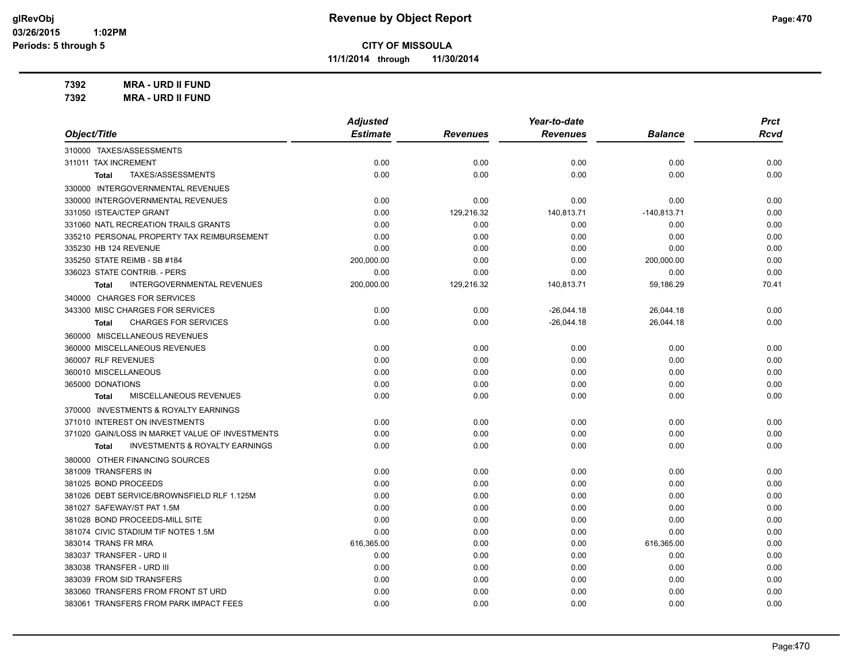**11/1/2014 through 11/30/2014**

**7392 MRA - URD II FUND**

| <b>MRA - URD II FUND</b> | 7392 |  |  |
|--------------------------|------|--|--|
|--------------------------|------|--|--|

|                                                           | <b>Adjusted</b> |                 | Year-to-date    |                | <b>Prct</b> |
|-----------------------------------------------------------|-----------------|-----------------|-----------------|----------------|-------------|
| Object/Title                                              | <b>Estimate</b> | <b>Revenues</b> | <b>Revenues</b> | <b>Balance</b> | <b>Rcvd</b> |
| 310000 TAXES/ASSESSMENTS                                  |                 |                 |                 |                |             |
| 311011 TAX INCREMENT                                      | 0.00            | 0.00            | 0.00            | 0.00           | 0.00        |
| TAXES/ASSESSMENTS<br><b>Total</b>                         | 0.00            | 0.00            | 0.00            | 0.00           | 0.00        |
| 330000 INTERGOVERNMENTAL REVENUES                         |                 |                 |                 |                |             |
| 330000 INTERGOVERNMENTAL REVENUES                         | 0.00            | 0.00            | 0.00            | 0.00           | 0.00        |
| 331050 ISTEA/CTEP GRANT                                   | 0.00            | 129,216.32      | 140,813.71      | $-140,813.71$  | 0.00        |
| 331060 NATL RECREATION TRAILS GRANTS                      | 0.00            | 0.00            | 0.00            | 0.00           | 0.00        |
| 335210 PERSONAL PROPERTY TAX REIMBURSEMENT                | 0.00            | 0.00            | 0.00            | 0.00           | 0.00        |
| 335230 HB 124 REVENUE                                     | 0.00            | 0.00            | 0.00            | 0.00           | 0.00        |
| 335250 STATE REIMB - SB #184                              | 200,000.00      | 0.00            | 0.00            | 200,000.00     | 0.00        |
| 336023 STATE CONTRIB. - PERS                              | 0.00            | 0.00            | 0.00            | 0.00           | 0.00        |
| <b>INTERGOVERNMENTAL REVENUES</b><br>Total                | 200,000.00      | 129,216.32      | 140,813.71      | 59,186.29      | 70.41       |
| 340000 CHARGES FOR SERVICES                               |                 |                 |                 |                |             |
| 343300 MISC CHARGES FOR SERVICES                          | 0.00            | 0.00            | $-26,044.18$    | 26,044.18      | 0.00        |
| <b>CHARGES FOR SERVICES</b><br><b>Total</b>               | 0.00            | 0.00            | $-26,044.18$    | 26,044.18      | 0.00        |
| 360000 MISCELLANEOUS REVENUES                             |                 |                 |                 |                |             |
| 360000 MISCELLANEOUS REVENUES                             | 0.00            | 0.00            | 0.00            | 0.00           | 0.00        |
| 360007 RLF REVENUES                                       | 0.00            | 0.00            | 0.00            | 0.00           | 0.00        |
| 360010 MISCELLANEOUS                                      | 0.00            | 0.00            | 0.00            | 0.00           | 0.00        |
| 365000 DONATIONS                                          | 0.00            | 0.00            | 0.00            | 0.00           | 0.00        |
| MISCELLANEOUS REVENUES<br><b>Total</b>                    | 0.00            | 0.00            | 0.00            | 0.00           | 0.00        |
| 370000 INVESTMENTS & ROYALTY EARNINGS                     |                 |                 |                 |                |             |
| 371010 INTEREST ON INVESTMENTS                            | 0.00            | 0.00            | 0.00            | 0.00           | 0.00        |
| 371020 GAIN/LOSS IN MARKET VALUE OF INVESTMENTS           | 0.00            | 0.00            | 0.00            | 0.00           | 0.00        |
| <b>INVESTMENTS &amp; ROYALTY EARNINGS</b><br><b>Total</b> | 0.00            | 0.00            | 0.00            | 0.00           | 0.00        |
| 380000 OTHER FINANCING SOURCES                            |                 |                 |                 |                |             |
| 381009 TRANSFERS IN                                       | 0.00            | 0.00            | 0.00            | 0.00           | 0.00        |
| 381025 BOND PROCEEDS                                      | 0.00            | 0.00            | 0.00            | 0.00           | 0.00        |
| 381026 DEBT SERVICE/BROWNSFIELD RLF 1.125M                | 0.00            | 0.00            | 0.00            | 0.00           | 0.00        |
| 381027 SAFEWAY/ST PAT 1.5M                                | 0.00            | 0.00            | 0.00            | 0.00           | 0.00        |
| 381028 BOND PROCEEDS-MILL SITE                            | 0.00            | 0.00            | 0.00            | 0.00           | 0.00        |
| 381074 CIVIC STADIUM TIF NOTES 1.5M                       | 0.00            | 0.00            | 0.00            | 0.00           | 0.00        |
| 383014 TRANS FR MRA                                       | 616,365.00      | 0.00            | 0.00            | 616,365.00     | 0.00        |
| 383037 TRANSFER - URD II                                  | 0.00            | 0.00            | 0.00            | 0.00           | 0.00        |
| 383038 TRANSFER - URD III                                 | 0.00            | 0.00            | 0.00            | 0.00           | 0.00        |
| 383039 FROM SID TRANSFERS                                 | 0.00            | 0.00            | 0.00            | 0.00           | 0.00        |
| 383060 TRANSFERS FROM FRONT ST URD                        | 0.00            | 0.00            | 0.00            | 0.00           | 0.00        |
| 383061 TRANSFERS FROM PARK IMPACT FEES                    | 0.00            | 0.00            | 0.00            | 0.00           | 0.00        |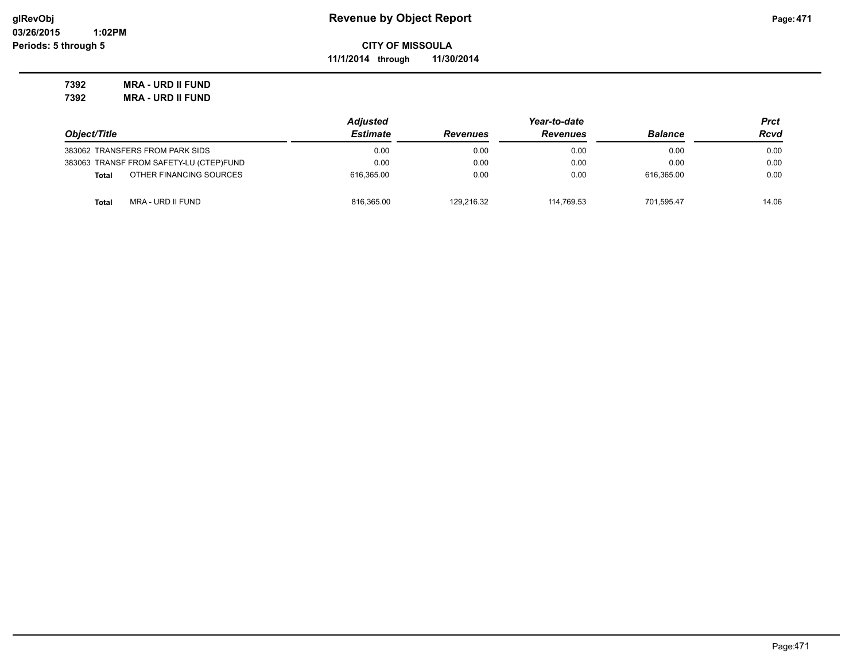**11/1/2014 through 11/30/2014**

**7392 MRA - URD II FUND 7392 MRA - URD II FUND**

|                                         | <b>Adjusted</b> | Year-to-date    |                 |                | Prct  |
|-----------------------------------------|-----------------|-----------------|-----------------|----------------|-------|
| Object/Title                            | <b>Estimate</b> | <b>Revenues</b> | <b>Revenues</b> | <b>Balance</b> | Rcvd  |
| 383062 TRANSFERS FROM PARK SIDS         | 0.00            | 0.00            | 0.00            | 0.00           | 0.00  |
| 383063 TRANSF FROM SAFETY-LU (CTEP)FUND | 0.00            | 0.00            | 0.00            | 0.00           | 0.00  |
| OTHER FINANCING SOURCES<br><b>Total</b> | 616.365.00      | 0.00            | 0.00            | 616.365.00     | 0.00  |
| MRA - URD II FUND<br><b>Total</b>       | 816.365.00      | 129.216.32      | 114.769.53      | 701.595.47     | 14.06 |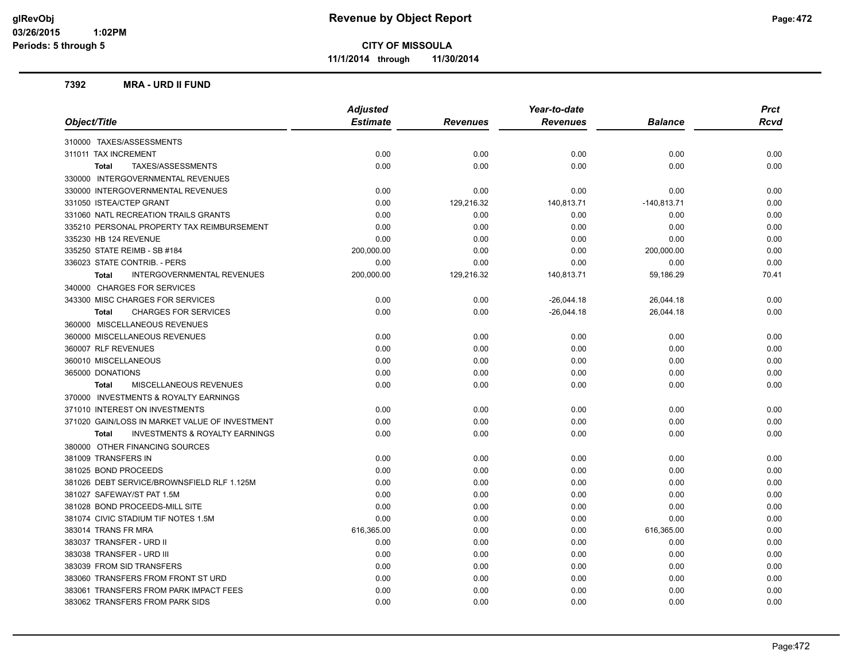**11/1/2014 through 11/30/2014**

#### **7392 MRA - URD II FUND**

|                                                           | <b>Adjusted</b> |                 | Year-to-date    |               | <b>Prct</b> |
|-----------------------------------------------------------|-----------------|-----------------|-----------------|---------------|-------------|
| Object/Title                                              | <b>Estimate</b> | <b>Revenues</b> | <b>Revenues</b> | Balance       | <b>Rcvd</b> |
| 310000 TAXES/ASSESSMENTS                                  |                 |                 |                 |               |             |
| 311011 TAX INCREMENT                                      | 0.00            | 0.00            | 0.00            | 0.00          | 0.00        |
| TAXES/ASSESSMENTS<br><b>Total</b>                         | 0.00            | 0.00            | 0.00            | 0.00          | 0.00        |
| 330000 INTERGOVERNMENTAL REVENUES                         |                 |                 |                 |               |             |
| 330000 INTERGOVERNMENTAL REVENUES                         | 0.00            | 0.00            | 0.00            | 0.00          | 0.00        |
| 331050 ISTEA/CTEP GRANT                                   | 0.00            | 129,216.32      | 140,813.71      | $-140,813.71$ | 0.00        |
| 331060 NATL RECREATION TRAILS GRANTS                      | 0.00            | 0.00            | 0.00            | 0.00          | 0.00        |
| 335210 PERSONAL PROPERTY TAX REIMBURSEMENT                | 0.00            | 0.00            | 0.00            | 0.00          | 0.00        |
| 335230 HB 124 REVENUE                                     | 0.00            | 0.00            | 0.00            | 0.00          | 0.00        |
| 335250 STATE REIMB - SB #184                              | 200,000.00      | 0.00            | 0.00            | 200,000.00    | 0.00        |
| 336023 STATE CONTRIB. - PERS                              | 0.00            | 0.00            | 0.00            | 0.00          | 0.00        |
| INTERGOVERNMENTAL REVENUES<br><b>Total</b>                | 200,000.00      | 129,216.32      | 140,813.71      | 59,186.29     | 70.41       |
| 340000 CHARGES FOR SERVICES                               |                 |                 |                 |               |             |
| 343300 MISC CHARGES FOR SERVICES                          | 0.00            | 0.00            | $-26,044.18$    | 26,044.18     | 0.00        |
| <b>CHARGES FOR SERVICES</b><br><b>Total</b>               | 0.00            | 0.00            | $-26,044.18$    | 26,044.18     | 0.00        |
| 360000 MISCELLANEOUS REVENUES                             |                 |                 |                 |               |             |
| 360000 MISCELLANEOUS REVENUES                             | 0.00            | 0.00            | 0.00            | 0.00          | 0.00        |
| 360007 RLF REVENUES                                       | 0.00            | 0.00            | 0.00            | 0.00          | 0.00        |
| 360010 MISCELLANEOUS                                      | 0.00            | 0.00            | 0.00            | 0.00          | 0.00        |
| 365000 DONATIONS                                          | 0.00            | 0.00            | 0.00            | 0.00          | 0.00        |
| MISCELLANEOUS REVENUES<br><b>Total</b>                    | 0.00            | 0.00            | 0.00            | 0.00          | 0.00        |
| 370000 INVESTMENTS & ROYALTY EARNINGS                     |                 |                 |                 |               |             |
| 371010 INTEREST ON INVESTMENTS                            | 0.00            | 0.00            | 0.00            | 0.00          | 0.00        |
| 371020 GAIN/LOSS IN MARKET VALUE OF INVESTMENT            | 0.00            | 0.00            | 0.00            | 0.00          | 0.00        |
| <b>INVESTMENTS &amp; ROYALTY EARNINGS</b><br><b>Total</b> | 0.00            | 0.00            | 0.00            | 0.00          | 0.00        |
| 380000 OTHER FINANCING SOURCES                            |                 |                 |                 |               |             |
| 381009 TRANSFERS IN                                       | 0.00            | 0.00            | 0.00            | 0.00          | 0.00        |
| 381025 BOND PROCEEDS                                      | 0.00            | 0.00            | 0.00            | 0.00          | 0.00        |
| 381026 DEBT SERVICE/BROWNSFIELD RLF 1.125M                | 0.00            | 0.00            | 0.00            | 0.00          | 0.00        |
| 381027 SAFEWAY/ST PAT 1.5M                                | 0.00            | 0.00            | 0.00            | 0.00          | 0.00        |
| 381028 BOND PROCEEDS-MILL SITE                            | 0.00            | 0.00            | 0.00            | 0.00          | 0.00        |
| 381074 CIVIC STADIUM TIF NOTES 1.5M                       | 0.00            | 0.00            | 0.00            | 0.00          | 0.00        |
| 383014 TRANS FR MRA                                       | 616,365.00      | 0.00            | 0.00            | 616,365.00    | 0.00        |
| 383037 TRANSFER - URD II                                  | 0.00            | 0.00            | 0.00            | 0.00          | 0.00        |
| 383038 TRANSFER - URD III                                 | 0.00            | 0.00            | 0.00            | 0.00          | 0.00        |
| 383039 FROM SID TRANSFERS                                 | 0.00            | 0.00            | 0.00            | 0.00          | 0.00        |
| 383060 TRANSFERS FROM FRONT ST URD                        | 0.00            | 0.00            | 0.00            | 0.00          | 0.00        |
| 383061 TRANSFERS FROM PARK IMPACT FEES                    | 0.00            | 0.00            | 0.00            | 0.00          | 0.00        |
| 383062 TRANSFERS FROM PARK SIDS                           | 0.00            | 0.00            | 0.00            | 0.00          | 0.00        |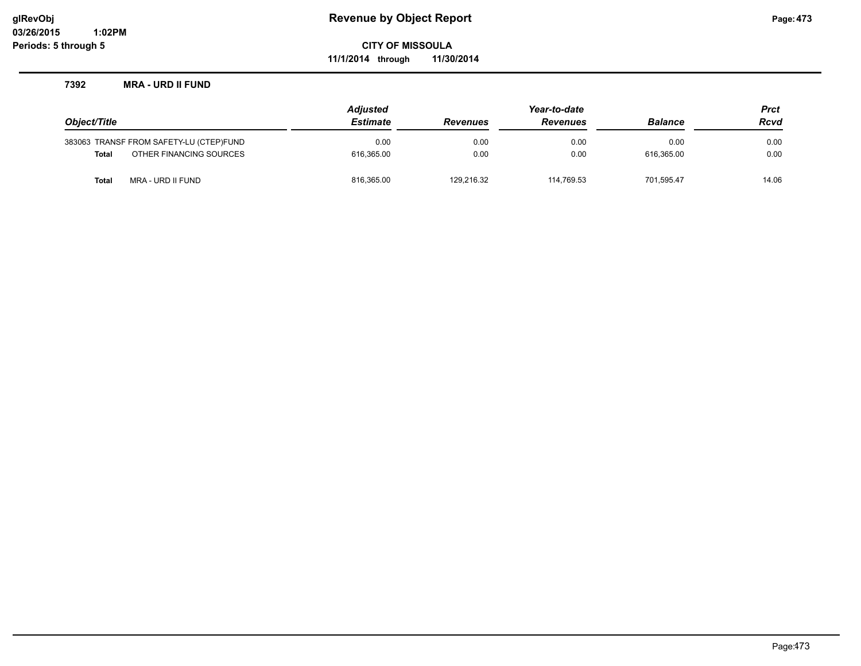## **glRevObj Revenue by Object Report Page:473**

**CITY OF MISSOULA**

**11/1/2014 through 11/30/2014**

#### **7392 MRA - URD II FUND**

|              |                                         | <b>Adjusted</b> | Year-to-date    |                 |                | <b>Prct</b> |
|--------------|-----------------------------------------|-----------------|-----------------|-----------------|----------------|-------------|
| Object/Title |                                         | <b>Estimate</b> | <b>Revenues</b> | <b>Revenues</b> | <b>Balance</b> | <b>Rcvd</b> |
|              | 383063 TRANSF FROM SAFETY-LU (CTEP)FUND | 0.00            | 0.00            | 0.00            | 0.00           | 0.00        |
| <b>Total</b> | OTHER FINANCING SOURCES                 | 616.365.00      | 0.00            | 0.00            | 616.365.00     | 0.00        |
| <b>Total</b> | MRA - URD II FUND                       | 816,365.00      | 129.216.32      | 114.769.53      | 701.595.47     | 14.06       |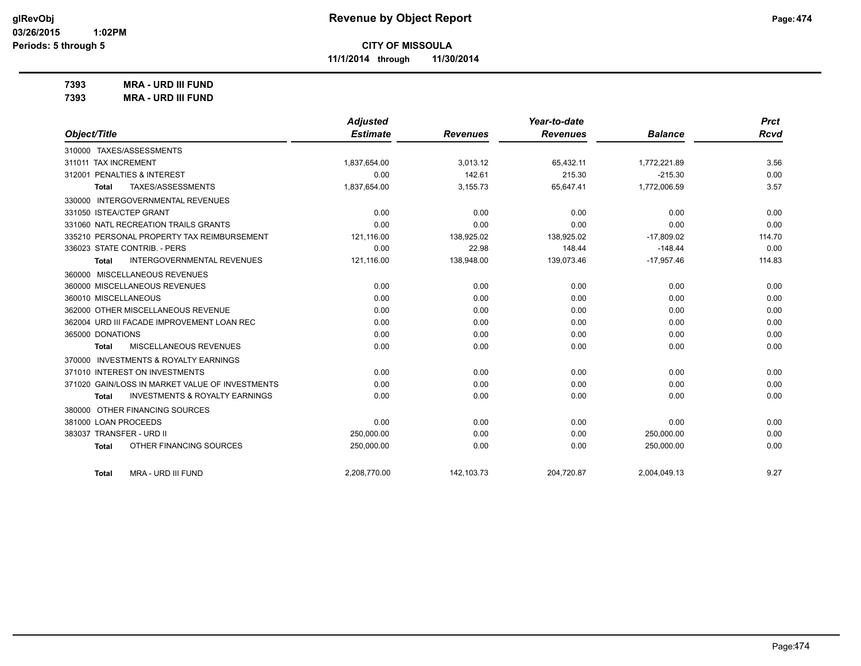**11/1/2014 through 11/30/2014**

**7393 MRA - URD III FUND**

|                                                           | <b>Adjusted</b> |                 | Year-to-date    |                | <b>Prct</b> |
|-----------------------------------------------------------|-----------------|-----------------|-----------------|----------------|-------------|
| Object/Title                                              | <b>Estimate</b> | <b>Revenues</b> | <b>Revenues</b> | <b>Balance</b> | <b>Rcvd</b> |
| 310000 TAXES/ASSESSMENTS                                  |                 |                 |                 |                |             |
| 311011 TAX INCREMENT                                      | 1,837,654.00    | 3,013.12        | 65,432.11       | 1,772,221.89   | 3.56        |
| 312001 PENALTIES & INTEREST                               | 0.00            | 142.61          | 215.30          | $-215.30$      | 0.00        |
| TAXES/ASSESSMENTS<br><b>Total</b>                         | 1,837,654.00    | 3,155.73        | 65,647.41       | 1,772,006.59   | 3.57        |
| 330000 INTERGOVERNMENTAL REVENUES                         |                 |                 |                 |                |             |
| 331050 ISTEA/CTEP GRANT                                   | 0.00            | 0.00            | 0.00            | 0.00           | 0.00        |
| 331060 NATL RECREATION TRAILS GRANTS                      | 0.00            | 0.00            | 0.00            | 0.00           | 0.00        |
| 335210 PERSONAL PROPERTY TAX REIMBURSEMENT                | 121,116.00      | 138,925.02      | 138,925.02      | $-17,809.02$   | 114.70      |
| 336023 STATE CONTRIB. - PERS                              | 0.00            | 22.98           | 148.44          | $-148.44$      | 0.00        |
| <b>INTERGOVERNMENTAL REVENUES</b><br>Total                | 121,116.00      | 138,948.00      | 139,073.46      | $-17,957.46$   | 114.83      |
| 360000 MISCELLANEOUS REVENUES                             |                 |                 |                 |                |             |
| 360000 MISCELLANEOUS REVENUES                             | 0.00            | 0.00            | 0.00            | 0.00           | 0.00        |
| 360010 MISCELLANEOUS                                      | 0.00            | 0.00            | 0.00            | 0.00           | 0.00        |
| 362000 OTHER MISCELLANEOUS REVENUE                        | 0.00            | 0.00            | 0.00            | 0.00           | 0.00        |
| 362004 URD III FACADE IMPROVEMENT LOAN REC                | 0.00            | 0.00            | 0.00            | 0.00           | 0.00        |
| 365000 DONATIONS                                          | 0.00            | 0.00            | 0.00            | 0.00           | 0.00        |
| MISCELLANEOUS REVENUES<br>Total                           | 0.00            | 0.00            | 0.00            | 0.00           | 0.00        |
| <b>INVESTMENTS &amp; ROYALTY EARNINGS</b><br>370000       |                 |                 |                 |                |             |
| 371010 INTEREST ON INVESTMENTS                            | 0.00            | 0.00            | 0.00            | 0.00           | 0.00        |
| 371020 GAIN/LOSS IN MARKET VALUE OF INVESTMENTS           | 0.00            | 0.00            | 0.00            | 0.00           | 0.00        |
| <b>INVESTMENTS &amp; ROYALTY EARNINGS</b><br><b>Total</b> | 0.00            | 0.00            | 0.00            | 0.00           | 0.00        |
| OTHER FINANCING SOURCES<br>380000                         |                 |                 |                 |                |             |
| 381000 LOAN PROCEEDS                                      | 0.00            | 0.00            | 0.00            | 0.00           | 0.00        |
| 383037 TRANSFER - URD II                                  | 250,000.00      | 0.00            | 0.00            | 250,000.00     | 0.00        |
| OTHER FINANCING SOURCES<br><b>Total</b>                   | 250,000.00      | 0.00            | 0.00            | 250,000.00     | 0.00        |
| MRA - URD III FUND<br><b>Total</b>                        | 2,208,770.00    | 142,103.73      | 204,720.87      | 2,004,049.13   | 9.27        |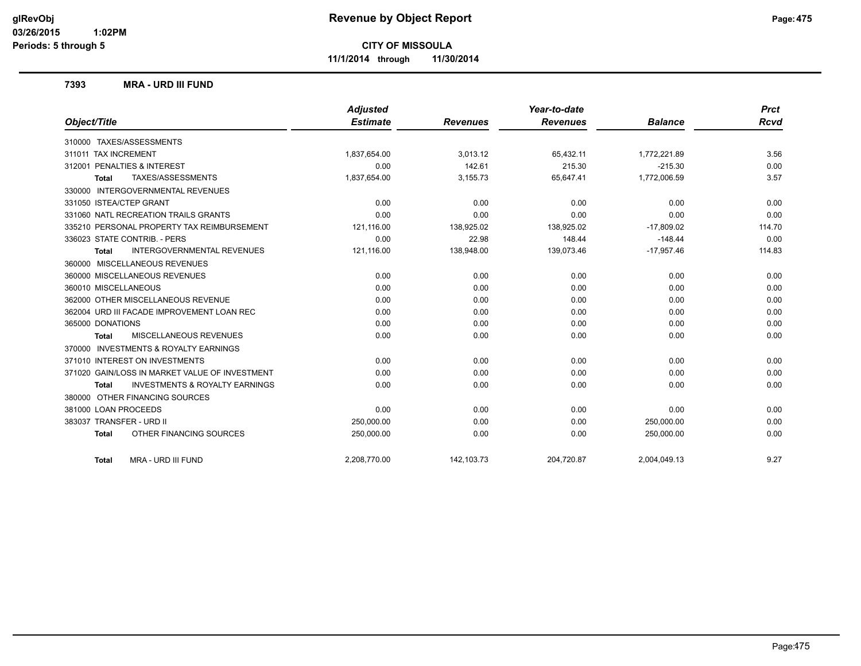**11/1/2014 through 11/30/2014**

#### **7393 MRA - URD III FUND**

|                                                           | <b>Adjusted</b> |                 | Year-to-date    |                | <b>Prct</b> |
|-----------------------------------------------------------|-----------------|-----------------|-----------------|----------------|-------------|
| Object/Title                                              | <b>Estimate</b> | <b>Revenues</b> | <b>Revenues</b> | <b>Balance</b> | <b>Rcvd</b> |
| 310000 TAXES/ASSESSMENTS                                  |                 |                 |                 |                |             |
| 311011 TAX INCREMENT                                      | 1,837,654.00    | 3,013.12        | 65,432.11       | 1,772,221.89   | 3.56        |
| 312001 PENALTIES & INTEREST                               | 0.00            | 142.61          | 215.30          | $-215.30$      | 0.00        |
| TAXES/ASSESSMENTS<br>Total                                | 1,837,654.00    | 3,155.73        | 65,647.41       | 1,772,006.59   | 3.57        |
| 330000 INTERGOVERNMENTAL REVENUES                         |                 |                 |                 |                |             |
| 331050 ISTEA/CTEP GRANT                                   | 0.00            | 0.00            | 0.00            | 0.00           | 0.00        |
| 331060 NATL RECREATION TRAILS GRANTS                      | 0.00            | 0.00            | 0.00            | 0.00           | 0.00        |
| 335210 PERSONAL PROPERTY TAX REIMBURSEMENT                | 121,116.00      | 138,925.02      | 138,925.02      | $-17,809.02$   | 114.70      |
| 336023 STATE CONTRIB. - PERS                              | 0.00            | 22.98           | 148.44          | $-148.44$      | 0.00        |
| <b>INTERGOVERNMENTAL REVENUES</b><br><b>Total</b>         | 121,116.00      | 138,948.00      | 139,073.46      | $-17,957.46$   | 114.83      |
| 360000 MISCELLANEOUS REVENUES                             |                 |                 |                 |                |             |
| 360000 MISCELLANEOUS REVENUES                             | 0.00            | 0.00            | 0.00            | 0.00           | 0.00        |
| 360010 MISCELLANEOUS                                      | 0.00            | 0.00            | 0.00            | 0.00           | 0.00        |
| 362000 OTHER MISCELLANEOUS REVENUE                        | 0.00            | 0.00            | 0.00            | 0.00           | 0.00        |
| 362004 URD III FACADE IMPROVEMENT LOAN REC                | 0.00            | 0.00            | 0.00            | 0.00           | 0.00        |
| 365000 DONATIONS                                          | 0.00            | 0.00            | 0.00            | 0.00           | 0.00        |
| MISCELLANEOUS REVENUES<br><b>Total</b>                    | 0.00            | 0.00            | 0.00            | 0.00           | 0.00        |
| 370000 INVESTMENTS & ROYALTY EARNINGS                     |                 |                 |                 |                |             |
| 371010 INTEREST ON INVESTMENTS                            | 0.00            | 0.00            | 0.00            | 0.00           | 0.00        |
| 371020 GAIN/LOSS IN MARKET VALUE OF INVESTMENT            | 0.00            | 0.00            | 0.00            | 0.00           | 0.00        |
| <b>INVESTMENTS &amp; ROYALTY EARNINGS</b><br><b>Total</b> | 0.00            | 0.00            | 0.00            | 0.00           | 0.00        |
| 380000 OTHER FINANCING SOURCES                            |                 |                 |                 |                |             |
| 381000 LOAN PROCEEDS                                      | 0.00            | 0.00            | 0.00            | 0.00           | 0.00        |
| 383037 TRANSFER - URD II                                  | 250,000.00      | 0.00            | 0.00            | 250,000.00     | 0.00        |
| OTHER FINANCING SOURCES<br><b>Total</b>                   | 250,000.00      | 0.00            | 0.00            | 250,000.00     | 0.00        |
| MRA - URD III FUND<br><b>Total</b>                        | 2,208,770.00    | 142,103.73      | 204,720.87      | 2,004,049.13   | 9.27        |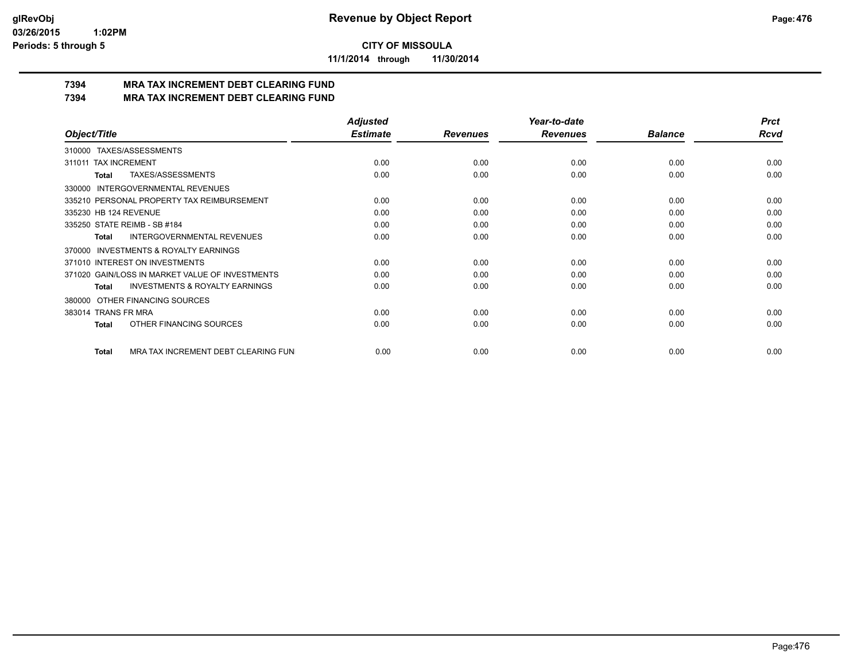**11/1/2014 through 11/30/2014**

# **7394 MRA TAX INCREMENT DEBT CLEARING FUND**

**7394 MRA TAX INCREMENT DEBT CLEARING FUND**

|                                                     | <b>Adjusted</b> |                 | Year-to-date    |                | <b>Prct</b> |
|-----------------------------------------------------|-----------------|-----------------|-----------------|----------------|-------------|
| Object/Title                                        | <b>Estimate</b> | <b>Revenues</b> | <b>Revenues</b> | <b>Balance</b> | <b>Rcvd</b> |
| 310000 TAXES/ASSESSMENTS                            |                 |                 |                 |                |             |
| <b>TAX INCREMENT</b><br>311011                      | 0.00            | 0.00            | 0.00            | 0.00           | 0.00        |
| TAXES/ASSESSMENTS<br>Total                          | 0.00            | 0.00            | 0.00            | 0.00           | 0.00        |
| <b>INTERGOVERNMENTAL REVENUES</b><br>330000         |                 |                 |                 |                |             |
| 335210 PERSONAL PROPERTY TAX REIMBURSEMENT          | 0.00            | 0.00            | 0.00            | 0.00           | 0.00        |
| 335230 HB 124 REVENUE                               | 0.00            | 0.00            | 0.00            | 0.00           | 0.00        |
| 335250 STATE REIMB - SB #184                        | 0.00            | 0.00            | 0.00            | 0.00           | 0.00        |
| INTERGOVERNMENTAL REVENUES<br>Total                 | 0.00            | 0.00            | 0.00            | 0.00           | 0.00        |
| <b>INVESTMENTS &amp; ROYALTY EARNINGS</b><br>370000 |                 |                 |                 |                |             |
| 371010 INTEREST ON INVESTMENTS                      | 0.00            | 0.00            | 0.00            | 0.00           | 0.00        |
| 371020 GAIN/LOSS IN MARKET VALUE OF INVESTMENTS     | 0.00            | 0.00            | 0.00            | 0.00           | 0.00        |
| <b>INVESTMENTS &amp; ROYALTY EARNINGS</b><br>Total  | 0.00            | 0.00            | 0.00            | 0.00           | 0.00        |
| OTHER FINANCING SOURCES<br>380000                   |                 |                 |                 |                |             |
| 383014 TRANS FR MRA                                 | 0.00            | 0.00            | 0.00            | 0.00           | 0.00        |
| OTHER FINANCING SOURCES<br>Total                    | 0.00            | 0.00            | 0.00            | 0.00           | 0.00        |
| MRA TAX INCREMENT DEBT CLEARING FUN<br>Total        | 0.00            | 0.00            | 0.00            | 0.00           | 0.00        |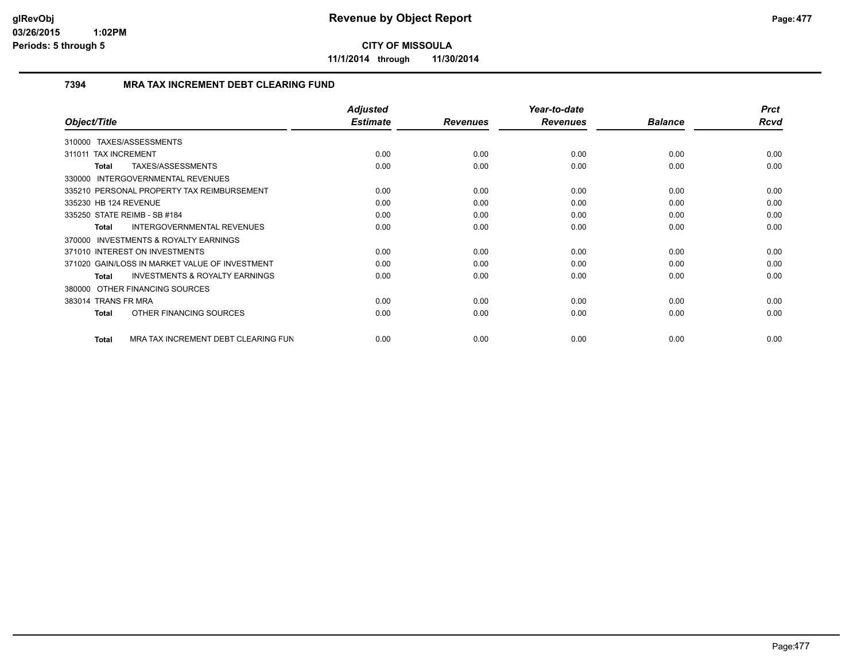**11/1/2014 through 11/30/2014**

### **7394 MRA TAX INCREMENT DEBT CLEARING FUND**

| Object/Title                                        | <b>Adjusted</b><br><b>Estimate</b> | <b>Revenues</b> | Year-to-date<br><b>Revenues</b> | <b>Balance</b> | <b>Prct</b><br>Rcvd |
|-----------------------------------------------------|------------------------------------|-----------------|---------------------------------|----------------|---------------------|
| TAXES/ASSESSMENTS<br>310000                         |                                    |                 |                                 |                |                     |
| 311011 TAX INCREMENT                                | 0.00                               | 0.00            | 0.00                            | 0.00           | 0.00                |
| TAXES/ASSESSMENTS<br><b>Total</b>                   | 0.00                               | 0.00            | 0.00                            | 0.00           | 0.00                |
| 330000 INTERGOVERNMENTAL REVENUES                   |                                    |                 |                                 |                |                     |
| 335210 PERSONAL PROPERTY TAX REIMBURSEMENT          | 0.00                               | 0.00            | 0.00                            | 0.00           | 0.00                |
| 335230 HB 124 REVENUE                               | 0.00                               | 0.00            | 0.00                            | 0.00           | 0.00                |
| 335250 STATE REIMB - SB #184                        | 0.00                               | 0.00            | 0.00                            | 0.00           | 0.00                |
| <b>INTERGOVERNMENTAL REVENUES</b><br><b>Total</b>   | 0.00                               | 0.00            | 0.00                            | 0.00           | 0.00                |
| <b>INVESTMENTS &amp; ROYALTY EARNINGS</b><br>370000 |                                    |                 |                                 |                |                     |
| 371010 INTEREST ON INVESTMENTS                      | 0.00                               | 0.00            | 0.00                            | 0.00           | 0.00                |
| 371020 GAIN/LOSS IN MARKET VALUE OF INVESTMENT      | 0.00                               | 0.00            | 0.00                            | 0.00           | 0.00                |
| <b>INVESTMENTS &amp; ROYALTY EARNINGS</b><br>Total  | 0.00                               | 0.00            | 0.00                            | 0.00           | 0.00                |
| 380000 OTHER FINANCING SOURCES                      |                                    |                 |                                 |                |                     |
| 383014 TRANS FR MRA                                 | 0.00                               | 0.00            | 0.00                            | 0.00           | 0.00                |
| OTHER FINANCING SOURCES<br><b>Total</b>             | 0.00                               | 0.00            | 0.00                            | 0.00           | 0.00                |
| MRA TAX INCREMENT DEBT CLEARING FUN<br><b>Total</b> | 0.00                               | 0.00            | 0.00                            | 0.00           | 0.00                |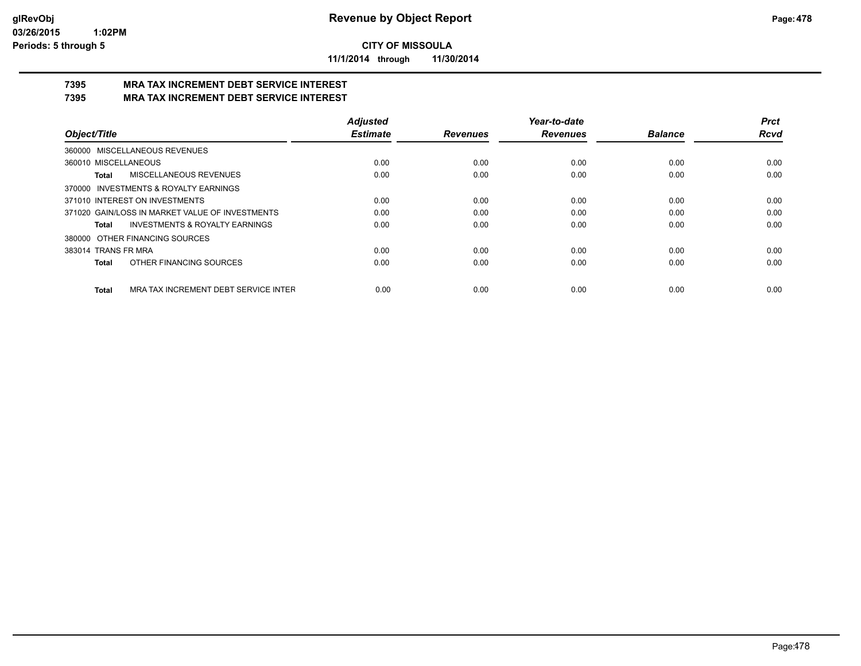**11/1/2014 through 11/30/2014**

#### **7395 MRA TAX INCREMENT DEBT SERVICE INTEREST 7395 MRA TAX INCREMENT DEBT SERVICE INTEREST**

|                                                      | <b>Adjusted</b> |                 | Year-to-date    |                | Prct        |
|------------------------------------------------------|-----------------|-----------------|-----------------|----------------|-------------|
| Object/Title                                         | <b>Estimate</b> | <b>Revenues</b> | <b>Revenues</b> | <b>Balance</b> | <b>Rcvd</b> |
| 360000 MISCELLANEOUS REVENUES                        |                 |                 |                 |                |             |
| 360010 MISCELLANEOUS                                 | 0.00            | 0.00            | 0.00            | 0.00           | 0.00        |
| <b>MISCELLANEOUS REVENUES</b><br>Total               | 0.00            | 0.00            | 0.00            | 0.00           | 0.00        |
| 370000 INVESTMENTS & ROYALTY EARNINGS                |                 |                 |                 |                |             |
| 371010 INTEREST ON INVESTMENTS                       | 0.00            | 0.00            | 0.00            | 0.00           | 0.00        |
| 371020 GAIN/LOSS IN MARKET VALUE OF INVESTMENTS      | 0.00            | 0.00            | 0.00            | 0.00           | 0.00        |
| <b>INVESTMENTS &amp; ROYALTY EARNINGS</b><br>Total   | 0.00            | 0.00            | 0.00            | 0.00           | 0.00        |
| 380000 OTHER FINANCING SOURCES                       |                 |                 |                 |                |             |
| 383014 TRANS FR MRA                                  | 0.00            | 0.00            | 0.00            | 0.00           | 0.00        |
| OTHER FINANCING SOURCES<br>Total                     | 0.00            | 0.00            | 0.00            | 0.00           | 0.00        |
| MRA TAX INCREMENT DEBT SERVICE INTER<br><b>Total</b> | 0.00            | 0.00            | 0.00            | 0.00           | 0.00        |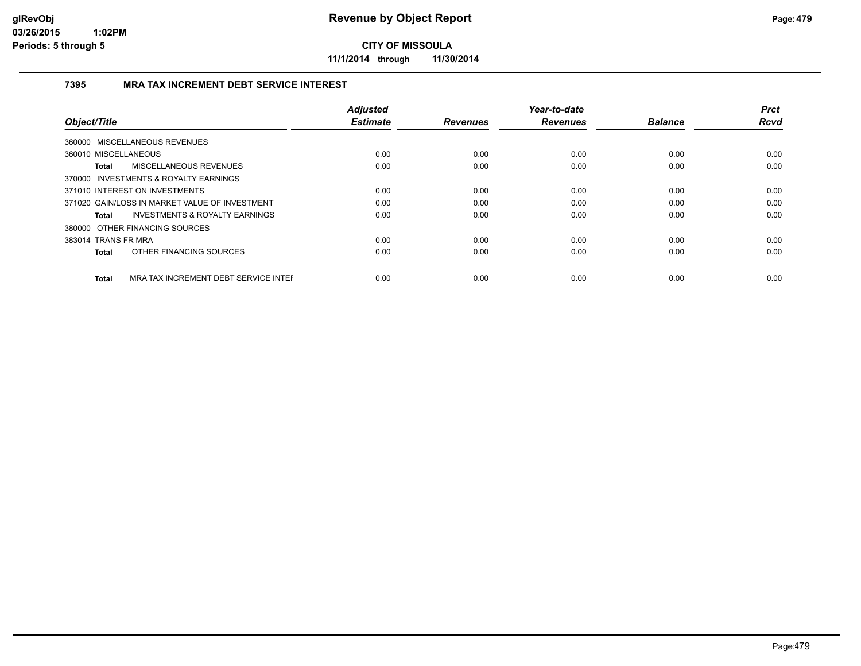**11/1/2014 through 11/30/2014**

### **7395 MRA TAX INCREMENT DEBT SERVICE INTEREST**

|                                                    | <b>Adjusted</b> |                 | Year-to-date    |                | <b>Prct</b> |
|----------------------------------------------------|-----------------|-----------------|-----------------|----------------|-------------|
| Object/Title                                       | <b>Estimate</b> | <b>Revenues</b> | <b>Revenues</b> | <b>Balance</b> | <b>Rcvd</b> |
| 360000 MISCELLANEOUS REVENUES                      |                 |                 |                 |                |             |
| 360010 MISCELLANEOUS                               | 0.00            | 0.00            | 0.00            | 0.00           | 0.00        |
| MISCELLANEOUS REVENUES<br>Total                    | 0.00            | 0.00            | 0.00            | 0.00           | 0.00        |
| 370000 INVESTMENTS & ROYALTY EARNINGS              |                 |                 |                 |                |             |
| 371010 INTEREST ON INVESTMENTS                     | 0.00            | 0.00            | 0.00            | 0.00           | 0.00        |
| 371020 GAIN/LOSS IN MARKET VALUE OF INVESTMENT     | 0.00            | 0.00            | 0.00            | 0.00           | 0.00        |
| <b>INVESTMENTS &amp; ROYALTY EARNINGS</b><br>Total | 0.00            | 0.00            | 0.00            | 0.00           | 0.00        |
| 380000 OTHER FINANCING SOURCES                     |                 |                 |                 |                |             |
| 383014 TRANS FR MRA                                | 0.00            | 0.00            | 0.00            | 0.00           | 0.00        |
| OTHER FINANCING SOURCES<br>Total                   | 0.00            | 0.00            | 0.00            | 0.00           | 0.00        |
| MRA TAX INCREMENT DEBT SERVICE INTEF<br>Total      | 0.00            | 0.00            | 0.00            | 0.00           | 0.00        |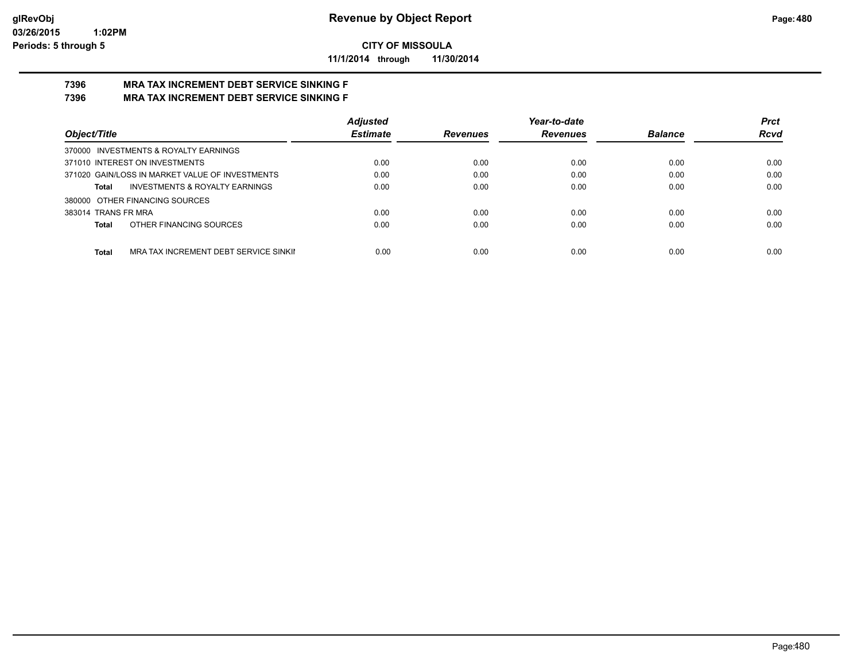**11/1/2014 through 11/30/2014**

#### **7396 MRA TAX INCREMENT DEBT SERVICE SINKING F 7396 MRA TAX INCREMENT DEBT SERVICE SINKING F**

|                                                    | <b>Adiusted</b> |                 | Year-to-date    |                | <b>Prct</b> |
|----------------------------------------------------|-----------------|-----------------|-----------------|----------------|-------------|
| Object/Title                                       | <b>Estimate</b> | <b>Revenues</b> | <b>Revenues</b> | <b>Balance</b> | <b>Rcvd</b> |
| 370000 INVESTMENTS & ROYALTY EARNINGS              |                 |                 |                 |                |             |
| 371010 INTEREST ON INVESTMENTS                     | 0.00            | 0.00            | 0.00            | 0.00           | 0.00        |
| 371020 GAIN/LOSS IN MARKET VALUE OF INVESTMENTS    | 0.00            | 0.00            | 0.00            | 0.00           | 0.00        |
| <b>INVESTMENTS &amp; ROYALTY EARNINGS</b><br>Total | 0.00            | 0.00            | 0.00            | 0.00           | 0.00        |
| 380000 OTHER FINANCING SOURCES                     |                 |                 |                 |                |             |
| 383014 TRANS FR MRA                                | 0.00            | 0.00            | 0.00            | 0.00           | 0.00        |
| OTHER FINANCING SOURCES<br>Total                   | 0.00            | 0.00            | 0.00            | 0.00           | 0.00        |
|                                                    |                 |                 |                 |                |             |
| Total<br>MRA TAX INCREMENT DEBT SERVICE SINKII     | 0.00            | 0.00            | 0.00            | 0.00           | 0.00        |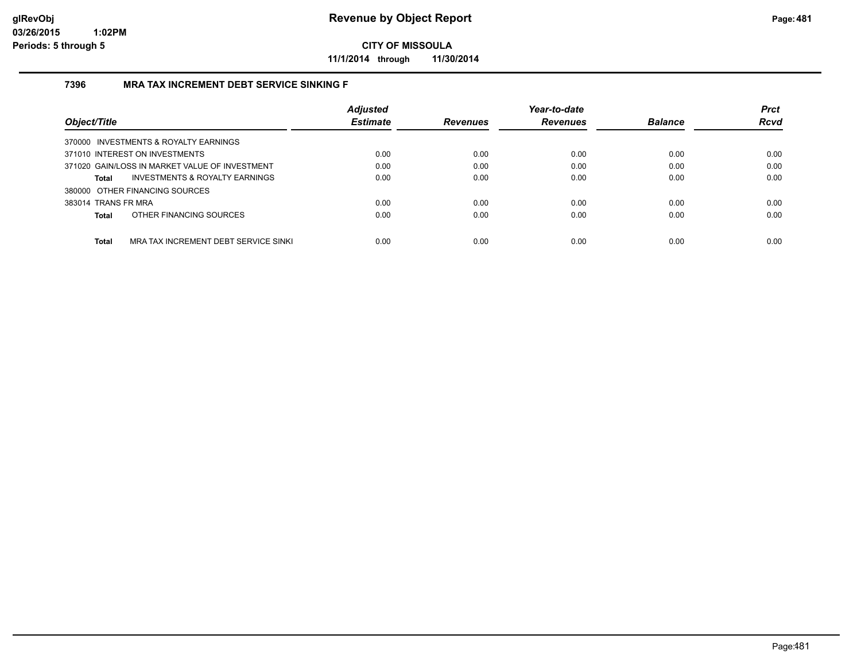**11/1/2014 through 11/30/2014**

#### **7396 MRA TAX INCREMENT DEBT SERVICE SINKING F**

| Object/Title        |                                                | <b>Adjusted</b><br><b>Estimate</b> | <b>Revenues</b> | Year-to-date<br><b>Revenues</b> | <b>Balance</b> | <b>Prct</b><br><b>Rcvd</b> |
|---------------------|------------------------------------------------|------------------------------------|-----------------|---------------------------------|----------------|----------------------------|
|                     | 370000 INVESTMENTS & ROYALTY EARNINGS          |                                    |                 |                                 |                |                            |
|                     | 371010 INTEREST ON INVESTMENTS                 | 0.00                               | 0.00            | 0.00                            | 0.00           | 0.00                       |
|                     | 371020 GAIN/LOSS IN MARKET VALUE OF INVESTMENT | 0.00                               | 0.00            | 0.00                            | 0.00           | 0.00                       |
| Total               | <b>INVESTMENTS &amp; ROYALTY EARNINGS</b>      | 0.00                               | 0.00            | 0.00                            | 0.00           | 0.00                       |
|                     | 380000 OTHER FINANCING SOURCES                 |                                    |                 |                                 |                |                            |
| 383014 TRANS FR MRA |                                                | 0.00                               | 0.00            | 0.00                            | 0.00           | 0.00                       |
| Total               | OTHER FINANCING SOURCES                        | 0.00                               | 0.00            | 0.00                            | 0.00           | 0.00                       |
| <b>Total</b>        | MRA TAX INCREMENT DEBT SERVICE SINKI           | 0.00                               | 0.00            | 0.00                            | 0.00           | 0.00                       |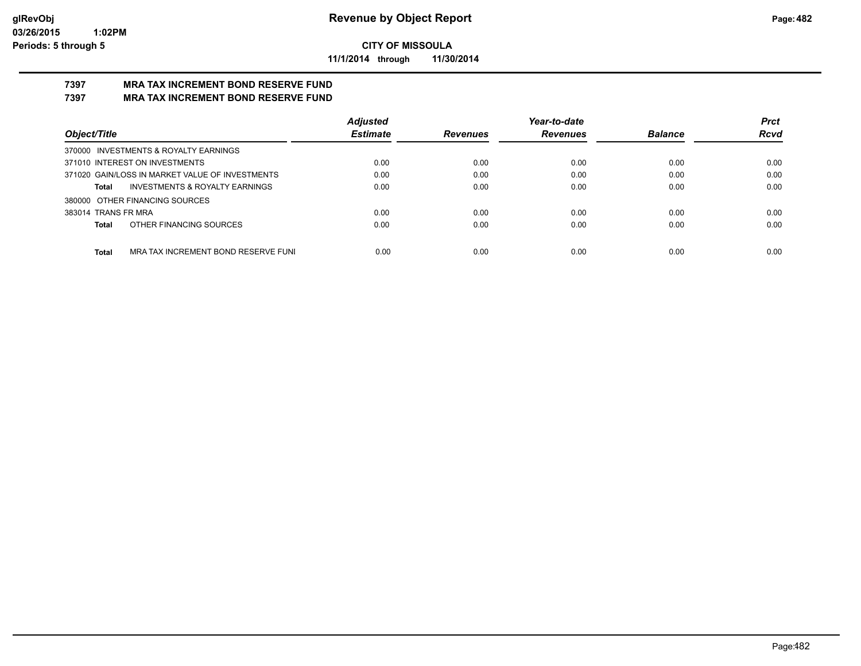**11/1/2014 through 11/30/2014**

#### **7397 MRA TAX INCREMENT BOND RESERVE FUND 7397 MRA TAX INCREMENT BOND RESERVE FUND**

|                                                 | <b>Adjusted</b> |                 | Year-to-date    |                | <b>Prct</b> |
|-------------------------------------------------|-----------------|-----------------|-----------------|----------------|-------------|
| Object/Title                                    | <b>Estimate</b> | <b>Revenues</b> | <b>Revenues</b> | <b>Balance</b> | <b>Rcvd</b> |
| 370000 INVESTMENTS & ROYALTY EARNINGS           |                 |                 |                 |                |             |
| 371010 INTEREST ON INVESTMENTS                  | 0.00            | 0.00            | 0.00            | 0.00           | 0.00        |
| 371020 GAIN/LOSS IN MARKET VALUE OF INVESTMENTS | 0.00            | 0.00            | 0.00            | 0.00           | 0.00        |
| INVESTMENTS & ROYALTY EARNINGS<br>Total         | 0.00            | 0.00            | 0.00            | 0.00           | 0.00        |
| 380000 OTHER FINANCING SOURCES                  |                 |                 |                 |                |             |
| 383014 TRANS FR MRA                             | 0.00            | 0.00            | 0.00            | 0.00           | 0.00        |
| OTHER FINANCING SOURCES<br>Total                | 0.00            | 0.00            | 0.00            | 0.00           | 0.00        |
|                                                 |                 |                 |                 |                |             |
| Total<br>MRA TAX INCREMENT BOND RESERVE FUNI    | 0.00            | 0.00            | 0.00            | 0.00           | 0.00        |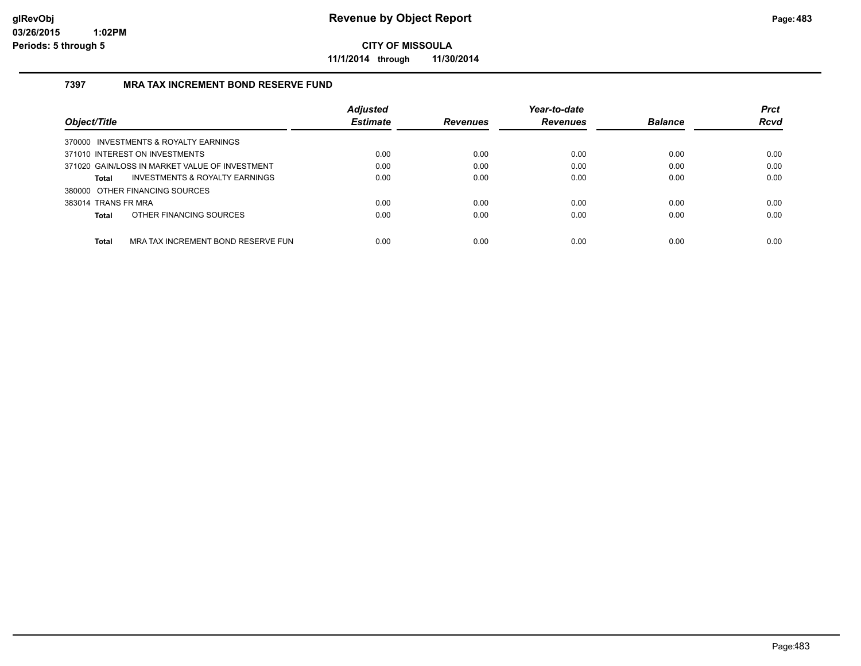**11/1/2014 through 11/30/2014**

### **7397 MRA TAX INCREMENT BOND RESERVE FUND**

| Object/Title        |                                                | <b>Adjusted</b><br><b>Estimate</b> | <b>Revenues</b> | Year-to-date<br><b>Revenues</b> | <b>Balance</b> | <b>Prct</b><br><b>Rcvd</b> |
|---------------------|------------------------------------------------|------------------------------------|-----------------|---------------------------------|----------------|----------------------------|
|                     | 370000 INVESTMENTS & ROYALTY EARNINGS          |                                    |                 |                                 |                |                            |
|                     | 371010 INTEREST ON INVESTMENTS                 | 0.00                               | 0.00            | 0.00                            | 0.00           | 0.00                       |
|                     | 371020 GAIN/LOSS IN MARKET VALUE OF INVESTMENT | 0.00                               | 0.00            | 0.00                            | 0.00           | 0.00                       |
| Total               | <b>INVESTMENTS &amp; ROYALTY EARNINGS</b>      | 0.00                               | 0.00            | 0.00                            | 0.00           | 0.00                       |
|                     | 380000 OTHER FINANCING SOURCES                 |                                    |                 |                                 |                |                            |
| 383014 TRANS FR MRA |                                                | 0.00                               | 0.00            | 0.00                            | 0.00           | 0.00                       |
| Total               | OTHER FINANCING SOURCES                        | 0.00                               | 0.00            | 0.00                            | 0.00           | 0.00                       |
| <b>Total</b>        | MRA TAX INCREMENT BOND RESERVE FUN             | 0.00                               | 0.00            | 0.00                            | 0.00           | 0.00                       |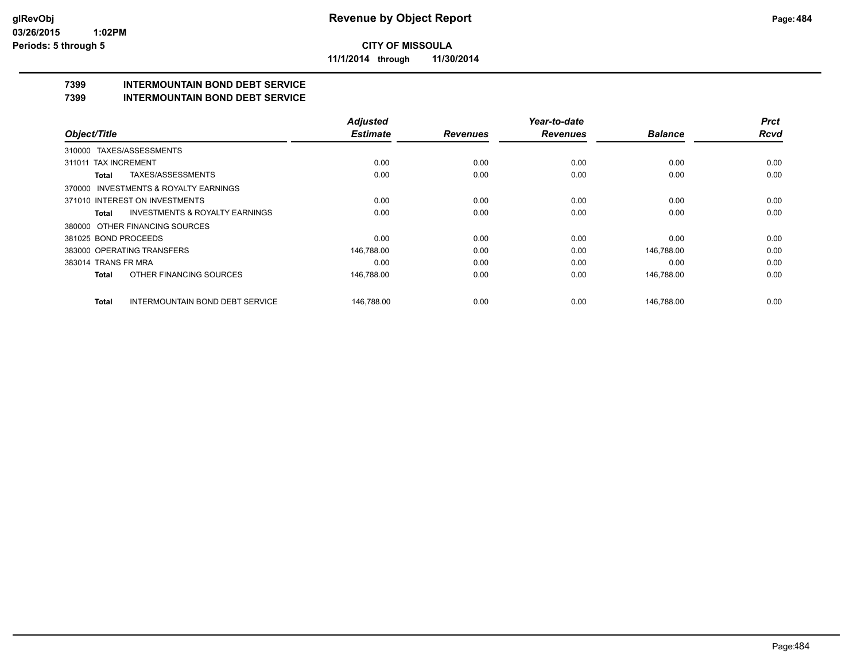**11/1/2014 through 11/30/2014**

# **7399 INTERMOUNTAIN BOND DEBT SERVICE**

**7399 INTERMOUNTAIN BOND DEBT SERVICE**

|                      |                                           | <b>Adjusted</b> |                 | Year-to-date    |                | <b>Prct</b> |
|----------------------|-------------------------------------------|-----------------|-----------------|-----------------|----------------|-------------|
| Object/Title         |                                           | <b>Estimate</b> | <b>Revenues</b> | <b>Revenues</b> | <b>Balance</b> | <b>Rcvd</b> |
|                      | 310000 TAXES/ASSESSMENTS                  |                 |                 |                 |                |             |
| 311011               | <b>TAX INCREMENT</b>                      | 0.00            | 0.00            | 0.00            | 0.00           | 0.00        |
| <b>Total</b>         | TAXES/ASSESSMENTS                         | 0.00            | 0.00            | 0.00            | 0.00           | 0.00        |
|                      | 370000 INVESTMENTS & ROYALTY EARNINGS     |                 |                 |                 |                |             |
|                      | 371010 INTEREST ON INVESTMENTS            | 0.00            | 0.00            | 0.00            | 0.00           | 0.00        |
| Total                | <b>INVESTMENTS &amp; ROYALTY EARNINGS</b> | 0.00            | 0.00            | 0.00            | 0.00           | 0.00        |
|                      | 380000 OTHER FINANCING SOURCES            |                 |                 |                 |                |             |
| 381025 BOND PROCEEDS |                                           | 0.00            | 0.00            | 0.00            | 0.00           | 0.00        |
|                      | 383000 OPERATING TRANSFERS                | 146,788.00      | 0.00            | 0.00            | 146,788.00     | 0.00        |
| 383014 TRANS FR MRA  |                                           | 0.00            | 0.00            | 0.00            | 0.00           | 0.00        |
| <b>Total</b>         | OTHER FINANCING SOURCES                   | 146,788.00      | 0.00            | 0.00            | 146,788.00     | 0.00        |
| Total                | <b>INTERMOUNTAIN BOND DEBT SERVICE</b>    | 146.788.00      | 0.00            | 0.00            | 146.788.00     | 0.00        |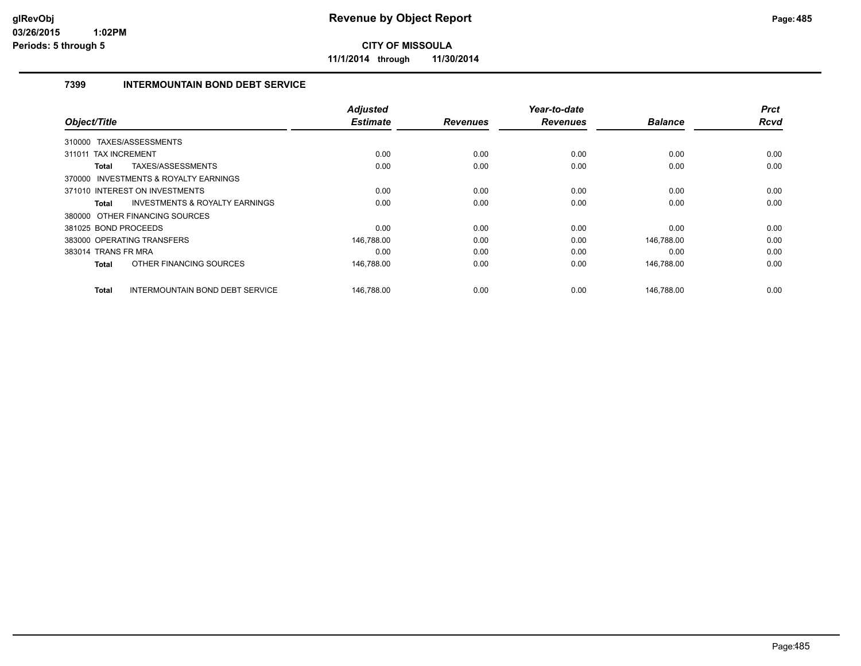**11/1/2014 through 11/30/2014**

## **7399 INTERMOUNTAIN BOND DEBT SERVICE**

| Object/Title                                       | <b>Adjusted</b><br><b>Estimate</b> | <b>Revenues</b> | Year-to-date<br><b>Revenues</b> | <b>Balance</b> | <b>Prct</b><br>Rcvd |
|----------------------------------------------------|------------------------------------|-----------------|---------------------------------|----------------|---------------------|
|                                                    |                                    |                 |                                 |                |                     |
| 310000 TAXES/ASSESSMENTS                           |                                    |                 |                                 |                |                     |
| <b>TAX INCREMENT</b><br>311011                     | 0.00                               | 0.00            | 0.00                            | 0.00           | 0.00                |
| TAXES/ASSESSMENTS<br>Total                         | 0.00                               | 0.00            | 0.00                            | 0.00           | 0.00                |
| 370000 INVESTMENTS & ROYALTY EARNINGS              |                                    |                 |                                 |                |                     |
| 371010 INTEREST ON INVESTMENTS                     | 0.00                               | 0.00            | 0.00                            | 0.00           | 0.00                |
| <b>INVESTMENTS &amp; ROYALTY EARNINGS</b><br>Total | 0.00                               | 0.00            | 0.00                            | 0.00           | 0.00                |
| 380000 OTHER FINANCING SOURCES                     |                                    |                 |                                 |                |                     |
| 381025 BOND PROCEEDS                               | 0.00                               | 0.00            | 0.00                            | 0.00           | 0.00                |
| 383000 OPERATING TRANSFERS                         | 146,788.00                         | 0.00            | 0.00                            | 146,788.00     | 0.00                |
| 383014 TRANS FR MRA                                | 0.00                               | 0.00            | 0.00                            | 0.00           | 0.00                |
| OTHER FINANCING SOURCES<br>Total                   | 146,788.00                         | 0.00            | 0.00                            | 146,788.00     | 0.00                |
| INTERMOUNTAIN BOND DEBT SERVICE<br><b>Total</b>    | 146,788.00                         | 0.00            | 0.00                            | 146,788.00     | 0.00                |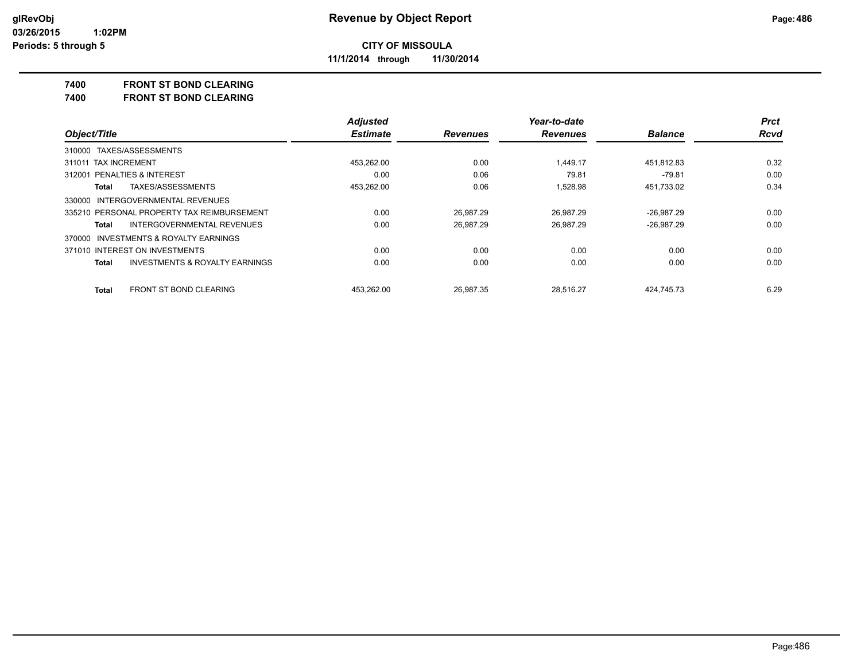**11/1/2014 through 11/30/2014**

#### **7400 FRONT ST BOND CLEARING**

**7400 FRONT ST BOND CLEARING**

|                                                    | <b>Adjusted</b> |                 | Year-to-date    |                | <b>Prct</b> |
|----------------------------------------------------|-----------------|-----------------|-----------------|----------------|-------------|
| Object/Title                                       | <b>Estimate</b> | <b>Revenues</b> | <b>Revenues</b> | <b>Balance</b> | <b>Rcvd</b> |
| 310000 TAXES/ASSESSMENTS                           |                 |                 |                 |                |             |
| 311011 TAX INCREMENT                               | 453.262.00      | 0.00            | 1.449.17        | 451,812.83     | 0.32        |
| <b>PENALTIES &amp; INTEREST</b><br>312001          | 0.00            | 0.06            | 79.81           | $-79.81$       | 0.00        |
| TAXES/ASSESSMENTS<br>Total                         | 453.262.00      | 0.06            | 1.528.98        | 451,733.02     | 0.34        |
| 330000 INTERGOVERNMENTAL REVENUES                  |                 |                 |                 |                |             |
| 335210 PERSONAL PROPERTY TAX REIMBURSEMENT         | 0.00            | 26.987.29       | 26.987.29       | $-26.987.29$   | 0.00        |
| INTERGOVERNMENTAL REVENUES<br>Total                | 0.00            | 26.987.29       | 26.987.29       | $-26.987.29$   | 0.00        |
| 370000 INVESTMENTS & ROYALTY EARNINGS              |                 |                 |                 |                |             |
| 371010 INTEREST ON INVESTMENTS                     | 0.00            | 0.00            | 0.00            | 0.00           | 0.00        |
| <b>INVESTMENTS &amp; ROYALTY EARNINGS</b><br>Total | 0.00            | 0.00            | 0.00            | 0.00           | 0.00        |
| FRONT ST BOND CLEARING<br><b>Total</b>             | 453.262.00      | 26.987.35       | 28.516.27       | 424.745.73     | 6.29        |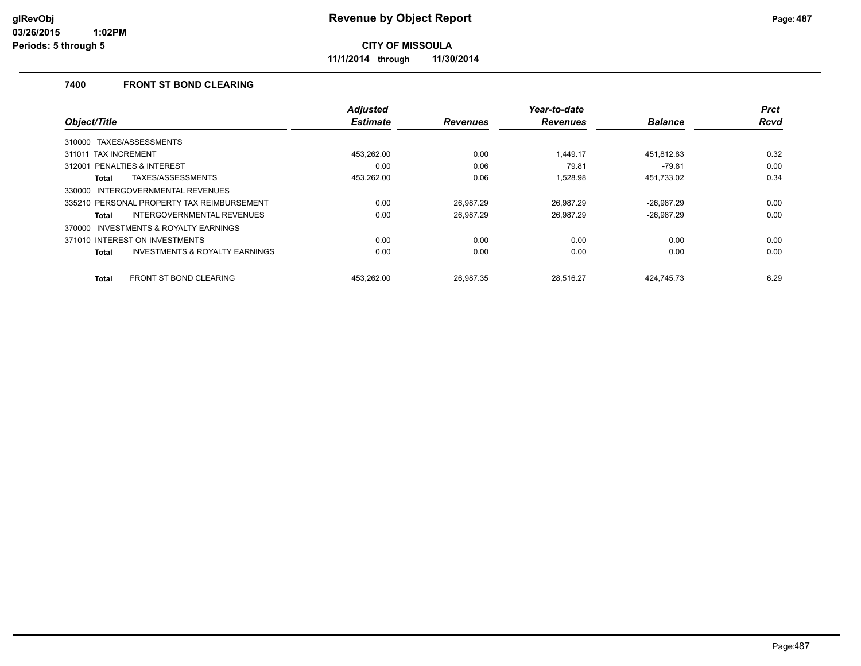**11/1/2014 through 11/30/2014**

## **7400 FRONT ST BOND CLEARING**

|                                                           | <b>Adjusted</b> |                 | Year-to-date    |                | <b>Prct</b> |
|-----------------------------------------------------------|-----------------|-----------------|-----------------|----------------|-------------|
| Object/Title                                              | <b>Estimate</b> | <b>Revenues</b> | <b>Revenues</b> | <b>Balance</b> | <b>Rcvd</b> |
| TAXES/ASSESSMENTS<br>310000                               |                 |                 |                 |                |             |
| 311011 TAX INCREMENT                                      | 453,262.00      | 0.00            | 1.449.17        | 451,812.83     | 0.32        |
| 312001 PENALTIES & INTEREST                               | 0.00            | 0.06            | 79.81           | $-79.81$       | 0.00        |
| TAXES/ASSESSMENTS<br>Total                                | 453,262.00      | 0.06            | 1.528.98        | 451,733.02     | 0.34        |
| INTERGOVERNMENTAL REVENUES<br>330000                      |                 |                 |                 |                |             |
| 335210 PERSONAL PROPERTY TAX REIMBURSEMENT                | 0.00            | 26.987.29       | 26.987.29       | $-26.987.29$   | 0.00        |
| INTERGOVERNMENTAL REVENUES<br>Total                       | 0.00            | 26,987.29       | 26.987.29       | $-26,987.29$   | 0.00        |
| INVESTMENTS & ROYALTY EARNINGS<br>370000                  |                 |                 |                 |                |             |
| 371010 INTEREST ON INVESTMENTS                            | 0.00            | 0.00            | 0.00            | 0.00           | 0.00        |
| <b>INVESTMENTS &amp; ROYALTY EARNINGS</b><br><b>Total</b> | 0.00            | 0.00            | 0.00            | 0.00           | 0.00        |
| <b>FRONT ST BOND CLEARING</b><br><b>Total</b>             | 453.262.00      | 26.987.35       | 28.516.27       | 424.745.73     | 6.29        |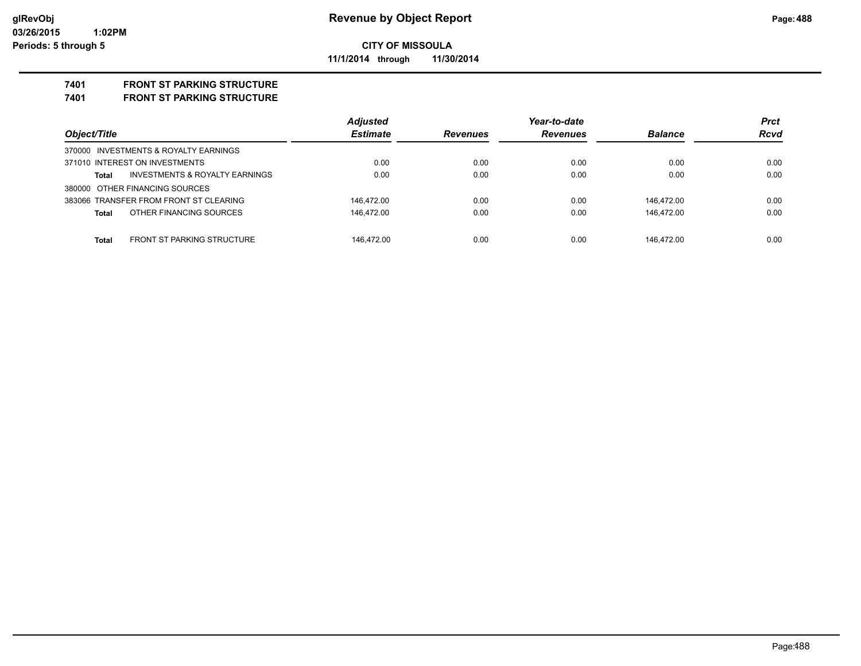**11/1/2014 through 11/30/2014**

## **7401 FRONT ST PARKING STRUCTURE**

#### **7401 FRONT ST PARKING STRUCTURE**

|                                            | <b>Adjusted</b> |                 | Year-to-date    |                | <b>Prct</b> |
|--------------------------------------------|-----------------|-----------------|-----------------|----------------|-------------|
| Object/Title                               | <b>Estimate</b> | <b>Revenues</b> | <b>Revenues</b> | <b>Balance</b> | <b>Rcvd</b> |
| 370000 INVESTMENTS & ROYALTY EARNINGS      |                 |                 |                 |                |             |
| 371010 INTEREST ON INVESTMENTS             | 0.00            | 0.00            | 0.00            | 0.00           | 0.00        |
| INVESTMENTS & ROYALTY EARNINGS<br>Total    | 0.00            | 0.00            | 0.00            | 0.00           | 0.00        |
| 380000 OTHER FINANCING SOURCES             |                 |                 |                 |                |             |
| 383066 TRANSFER FROM FRONT ST CLEARING     | 146.472.00      | 0.00            | 0.00            | 146.472.00     | 0.00        |
| OTHER FINANCING SOURCES<br><b>Total</b>    | 146.472.00      | 0.00            | 0.00            | 146.472.00     | 0.00        |
|                                            |                 |                 |                 |                |             |
| <b>FRONT ST PARKING STRUCTURE</b><br>Total | 146.472.00      | 0.00            | 0.00            | 146.472.00     | 0.00        |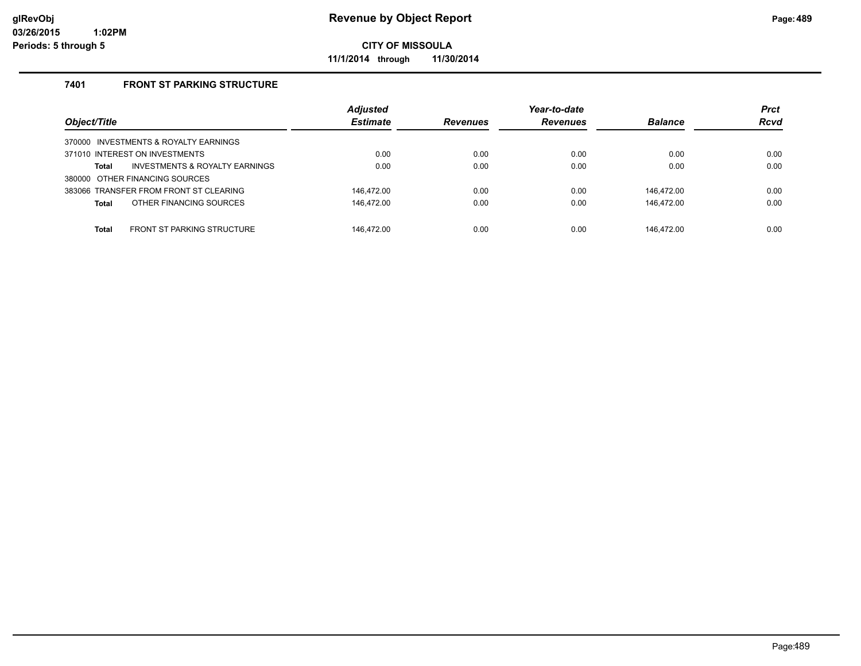**11/1/2014 through 11/30/2014**

## **7401 FRONT ST PARKING STRUCTURE**

| Object/Title                                       | <b>Adjusted</b><br><b>Estimate</b> | <b>Revenues</b> | Year-to-date<br><b>Revenues</b> | <b>Balance</b> | <b>Prct</b><br><b>Rcvd</b> |
|----------------------------------------------------|------------------------------------|-----------------|---------------------------------|----------------|----------------------------|
| 370000 INVESTMENTS & ROYALTY EARNINGS              |                                    |                 |                                 |                |                            |
| 371010 INTEREST ON INVESTMENTS                     | 0.00                               | 0.00            | 0.00                            | 0.00           | 0.00                       |
| <b>INVESTMENTS &amp; ROYALTY EARNINGS</b><br>Total | 0.00                               | 0.00            | 0.00                            | 0.00           | 0.00                       |
| 380000 OTHER FINANCING SOURCES                     |                                    |                 |                                 |                |                            |
| 383066 TRANSFER FROM FRONT ST CLEARING             | 146.472.00                         | 0.00            | 0.00                            | 146.472.00     | 0.00                       |
| OTHER FINANCING SOURCES<br><b>Total</b>            | 146,472.00                         | 0.00            | 0.00                            | 146,472.00     | 0.00                       |
|                                                    |                                    |                 |                                 |                |                            |
| <b>FRONT ST PARKING STRUCTURE</b><br><b>Total</b>  | 146.472.00                         | 0.00            | 0.00                            | 146.472.00     | 0.00                       |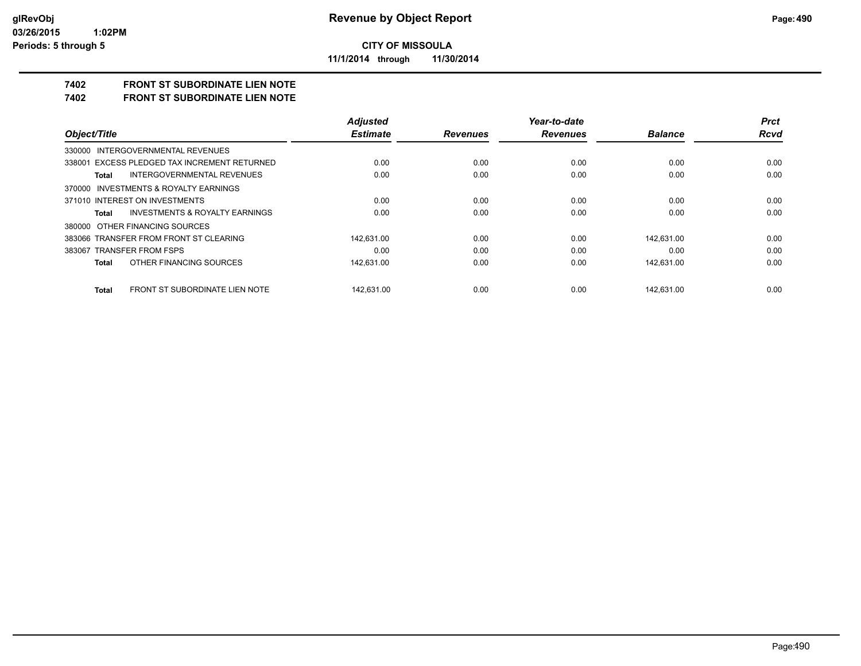**11/1/2014 through 11/30/2014**

# **7402 FRONT ST SUBORDINATE LIEN NOTE**

**7402 FRONT ST SUBORDINATE LIEN NOTE**

|                                              | <b>Adjusted</b> |                 | Year-to-date    |                | <b>Prct</b> |
|----------------------------------------------|-----------------|-----------------|-----------------|----------------|-------------|
| Object/Title                                 | <b>Estimate</b> | <b>Revenues</b> | <b>Revenues</b> | <b>Balance</b> | <b>Rcvd</b> |
| 330000 INTERGOVERNMENTAL REVENUES            |                 |                 |                 |                |             |
| 338001 EXCESS PLEDGED TAX INCREMENT RETURNED | 0.00            | 0.00            | 0.00            | 0.00           | 0.00        |
| INTERGOVERNMENTAL REVENUES<br>Total          | 0.00            | 0.00            | 0.00            | 0.00           | 0.00        |
| 370000 INVESTMENTS & ROYALTY EARNINGS        |                 |                 |                 |                |             |
| 371010 INTEREST ON INVESTMENTS               | 0.00            | 0.00            | 0.00            | 0.00           | 0.00        |
| INVESTMENTS & ROYALTY EARNINGS<br>Total      | 0.00            | 0.00            | 0.00            | 0.00           | 0.00        |
| 380000 OTHER FINANCING SOURCES               |                 |                 |                 |                |             |
| 383066 TRANSFER FROM FRONT ST CLEARING       | 142.631.00      | 0.00            | 0.00            | 142.631.00     | 0.00        |
| 383067 TRANSFER FROM FSPS                    | 0.00            | 0.00            | 0.00            | 0.00           | 0.00        |
| OTHER FINANCING SOURCES<br>Total             | 142.631.00      | 0.00            | 0.00            | 142.631.00     | 0.00        |
| FRONT ST SUBORDINATE LIEN NOTE<br>Total      | 142.631.00      | 0.00            | 0.00            | 142.631.00     | 0.00        |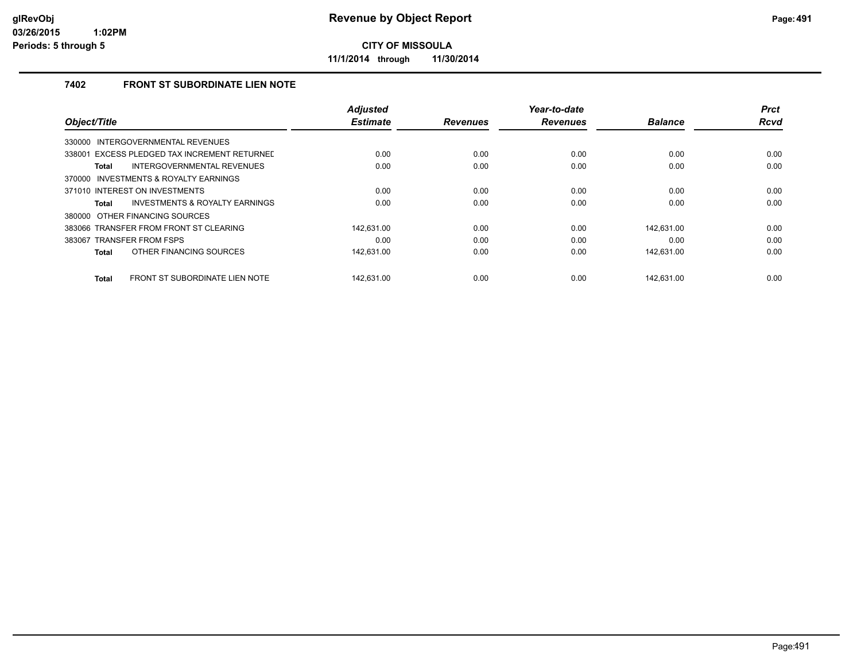**11/1/2014 through 11/30/2014**

## **7402 FRONT ST SUBORDINATE LIEN NOTE**

|                                                    | <b>Adjusted</b> |                 | Year-to-date    |                | <b>Prct</b> |
|----------------------------------------------------|-----------------|-----------------|-----------------|----------------|-------------|
| Object/Title                                       | <b>Estimate</b> | <b>Revenues</b> | <b>Revenues</b> | <b>Balance</b> | <b>Rcvd</b> |
| INTERGOVERNMENTAL REVENUES<br>330000               |                 |                 |                 |                |             |
| 338001 EXCESS PLEDGED TAX INCREMENT RETURNED       | 0.00            | 0.00            | 0.00            | 0.00           | 0.00        |
| INTERGOVERNMENTAL REVENUES<br>Total                | 0.00            | 0.00            | 0.00            | 0.00           | 0.00        |
| INVESTMENTS & ROYALTY EARNINGS<br>370000           |                 |                 |                 |                |             |
| 371010 INTEREST ON INVESTMENTS                     | 0.00            | 0.00            | 0.00            | 0.00           | 0.00        |
| <b>INVESTMENTS &amp; ROYALTY EARNINGS</b><br>Total | 0.00            | 0.00            | 0.00            | 0.00           | 0.00        |
| 380000 OTHER FINANCING SOURCES                     |                 |                 |                 |                |             |
| 383066 TRANSFER FROM FRONT ST CLEARING             | 142.631.00      | 0.00            | 0.00            | 142.631.00     | 0.00        |
| 383067 TRANSFER FROM FSPS                          | 0.00            | 0.00            | 0.00            | 0.00           | 0.00        |
| OTHER FINANCING SOURCES<br>Total                   | 142,631.00      | 0.00            | 0.00            | 142,631.00     | 0.00        |
| FRONT ST SUBORDINATE LIEN NOTE<br><b>Total</b>     | 142.631.00      | 0.00            | 0.00            | 142.631.00     | 0.00        |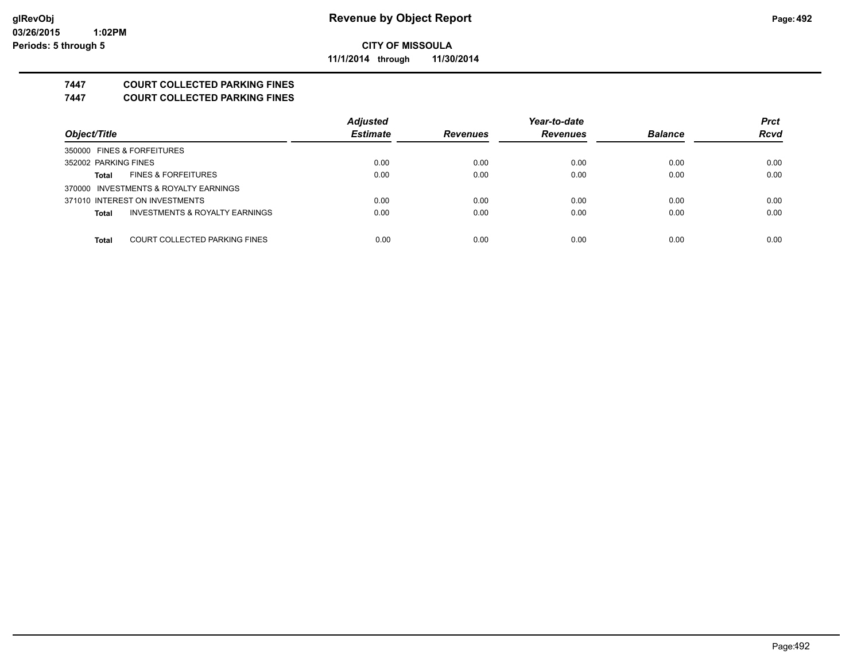**11/1/2014 through 11/30/2014**

## **7447 COURT COLLECTED PARKING FINES**

**7447 COURT COLLECTED PARKING FINES**

|                                                | <b>Adjusted</b> |                 | Year-to-date    |                | <b>Prct</b> |
|------------------------------------------------|-----------------|-----------------|-----------------|----------------|-------------|
| Object/Title                                   | <b>Estimate</b> | <b>Revenues</b> | <b>Revenues</b> | <b>Balance</b> | <b>Rcvd</b> |
| 350000 FINES & FORFEITURES                     |                 |                 |                 |                |             |
| 352002 PARKING FINES                           | 0.00            | 0.00            | 0.00            | 0.00           | 0.00        |
| <b>FINES &amp; FORFEITURES</b><br><b>Total</b> | 0.00            | 0.00            | 0.00            | 0.00           | 0.00        |
| 370000 INVESTMENTS & ROYALTY EARNINGS          |                 |                 |                 |                |             |
| 371010 INTEREST ON INVESTMENTS                 | 0.00            | 0.00            | 0.00            | 0.00           | 0.00        |
| INVESTMENTS & ROYALTY EARNINGS<br><b>Total</b> | 0.00            | 0.00            | 0.00            | 0.00           | 0.00        |
|                                                |                 |                 |                 |                |             |
| COURT COLLECTED PARKING FINES<br><b>Total</b>  | 0.00            | 0.00            | 0.00            | 0.00           | 0.00        |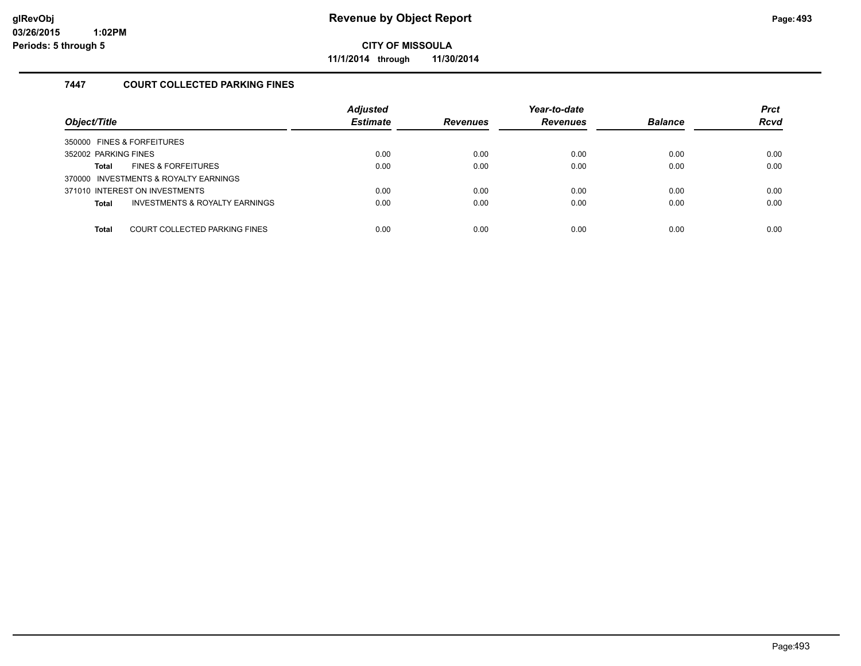**11/1/2014 through 11/30/2014**

## **7447 COURT COLLECTED PARKING FINES**

| Object/Title                                   | <b>Adjusted</b><br><b>Estimate</b> | <b>Revenues</b> | Year-to-date<br><b>Revenues</b> | <b>Balance</b> | <b>Prct</b><br><b>Rcvd</b> |
|------------------------------------------------|------------------------------------|-----------------|---------------------------------|----------------|----------------------------|
| 350000 FINES & FORFEITURES                     |                                    |                 |                                 |                |                            |
| 352002 PARKING FINES                           | 0.00                               | 0.00            | 0.00                            | 0.00           | 0.00                       |
| <b>FINES &amp; FORFEITURES</b><br>Total        | 0.00                               | 0.00            | 0.00                            | 0.00           | 0.00                       |
| 370000 INVESTMENTS & ROYALTY EARNINGS          |                                    |                 |                                 |                |                            |
| 371010 INTEREST ON INVESTMENTS                 | 0.00                               | 0.00            | 0.00                            | 0.00           | 0.00                       |
| INVESTMENTS & ROYALTY EARNINGS<br><b>Total</b> | 0.00                               | 0.00            | 0.00                            | 0.00           | 0.00                       |
|                                                |                                    |                 |                                 |                |                            |
| COURT COLLECTED PARKING FINES<br><b>Total</b>  | 0.00                               | 0.00            | 0.00                            | 0.00           | 0.00                       |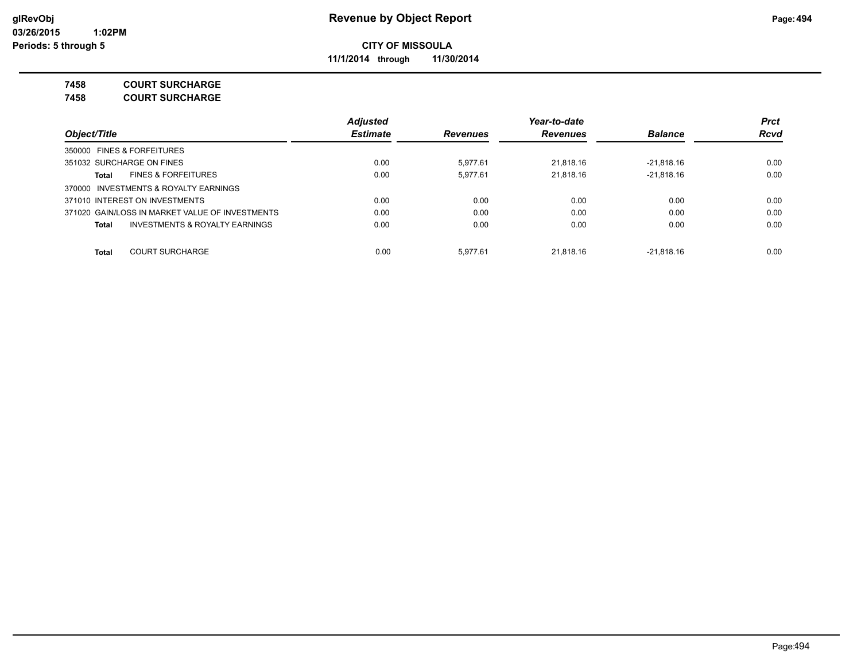**11/1/2014 through 11/30/2014**

**7458 COURT SURCHARGE**

**7458 COURT SURCHARGE**

|                                                           | <b>Adjusted</b> |                 | Year-to-date    |                | <b>Prct</b> |
|-----------------------------------------------------------|-----------------|-----------------|-----------------|----------------|-------------|
| Object/Title                                              | <b>Estimate</b> | <b>Revenues</b> | <b>Revenues</b> | <b>Balance</b> | <b>Rcvd</b> |
| 350000 FINES & FORFEITURES                                |                 |                 |                 |                |             |
| 351032 SURCHARGE ON FINES                                 | 0.00            | 5.977.61        | 21.818.16       | $-21.818.16$   | 0.00        |
| <b>FINES &amp; FORFEITURES</b><br>Total                   | 0.00            | 5.977.61        | 21.818.16       | $-21.818.16$   | 0.00        |
| 370000 INVESTMENTS & ROYALTY EARNINGS                     |                 |                 |                 |                |             |
| 371010 INTEREST ON INVESTMENTS                            | 0.00            | 0.00            | 0.00            | 0.00           | 0.00        |
| 371020 GAIN/LOSS IN MARKET VALUE OF INVESTMENTS           | 0.00            | 0.00            | 0.00            | 0.00           | 0.00        |
| <b>INVESTMENTS &amp; ROYALTY EARNINGS</b><br><b>Total</b> | 0.00            | 0.00            | 0.00            | 0.00           | 0.00        |
| <b>COURT SURCHARGE</b><br><b>Total</b>                    | 0.00            | 5.977.61        | 21.818.16       | $-21.818.16$   | 0.00        |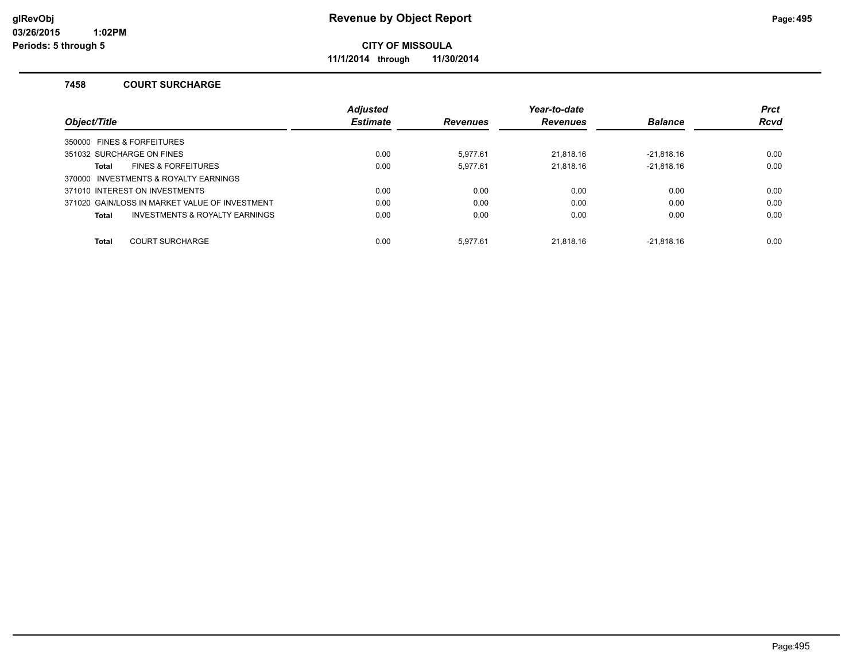**11/1/2014 through 11/30/2014**

#### **7458 COURT SURCHARGE**

|                                                | <b>Adjusted</b> | Year-to-date    |                 |                | <b>Prct</b> |
|------------------------------------------------|-----------------|-----------------|-----------------|----------------|-------------|
| Object/Title                                   | <b>Estimate</b> | <b>Revenues</b> | <b>Revenues</b> | <b>Balance</b> | <b>Rcvd</b> |
| 350000 FINES & FORFEITURES                     |                 |                 |                 |                |             |
| 351032 SURCHARGE ON FINES                      | 0.00            | 5.977.61        | 21.818.16       | $-21.818.16$   | 0.00        |
| <b>FINES &amp; FORFEITURES</b><br>Total        | 0.00            | 5.977.61        | 21.818.16       | $-21.818.16$   | 0.00        |
| 370000 INVESTMENTS & ROYALTY EARNINGS          |                 |                 |                 |                |             |
| 371010 INTEREST ON INVESTMENTS                 | 0.00            | 0.00            | 0.00            | 0.00           | 0.00        |
| 371020 GAIN/LOSS IN MARKET VALUE OF INVESTMENT | 0.00            | 0.00            | 0.00            | 0.00           | 0.00        |
| INVESTMENTS & ROYALTY EARNINGS<br>Total        | 0.00            | 0.00            | 0.00            | 0.00           | 0.00        |
|                                                |                 |                 |                 |                |             |
| <b>COURT SURCHARGE</b><br><b>Total</b>         | 0.00            | 5.977.61        | 21.818.16       | $-21.818.16$   | 0.00        |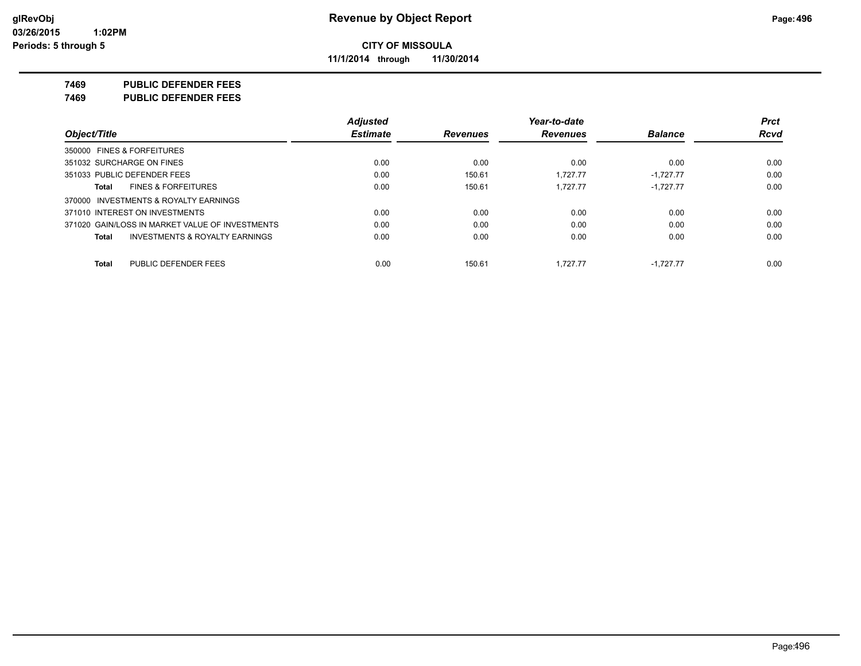**11/1/2014 through 11/30/2014**

#### **7469 PUBLIC DEFENDER FEES**

**7469 PUBLIC DEFENDER FEES**

|                                                    | Adjusted        |                 | Year-to-date    |                | <b>Prct</b> |
|----------------------------------------------------|-----------------|-----------------|-----------------|----------------|-------------|
| Object/Title                                       | <b>Estimate</b> | <b>Revenues</b> | <b>Revenues</b> | <b>Balance</b> | <b>Rcvd</b> |
| 350000 FINES & FORFEITURES                         |                 |                 |                 |                |             |
| 351032 SURCHARGE ON FINES                          | 0.00            | 0.00            | 0.00            | 0.00           | 0.00        |
| 351033 PUBLIC DEFENDER FEES                        | 0.00            | 150.61          | 1.727.77        | $-1.727.77$    | 0.00        |
| <b>FINES &amp; FORFEITURES</b><br>Total            | 0.00            | 150.61          | 1.727.77        | $-1.727.77$    | 0.00        |
| 370000 INVESTMENTS & ROYALTY EARNINGS              |                 |                 |                 |                |             |
| 371010 INTEREST ON INVESTMENTS                     | 0.00            | 0.00            | 0.00            | 0.00           | 0.00        |
| 371020 GAIN/LOSS IN MARKET VALUE OF INVESTMENTS    | 0.00            | 0.00            | 0.00            | 0.00           | 0.00        |
| <b>INVESTMENTS &amp; ROYALTY EARNINGS</b><br>Total | 0.00            | 0.00            | 0.00            | 0.00           | 0.00        |
| PUBLIC DEFENDER FEES<br>Total                      | 0.00            | 150.61          | 1.727.77        | $-1.727.77$    | 0.00        |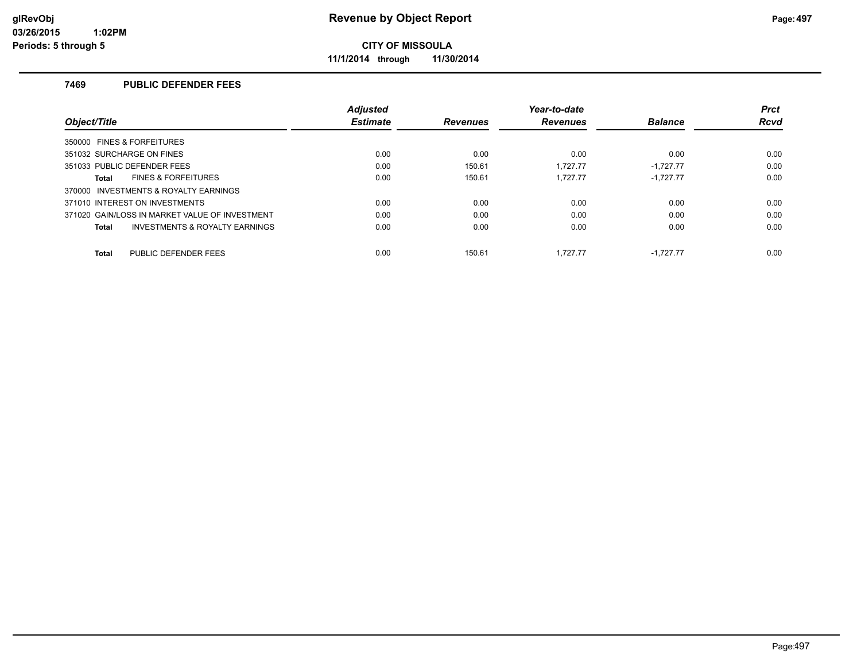**11/1/2014 through 11/30/2014**

#### **7469 PUBLIC DEFENDER FEES**

|                                                | <b>Adiusted</b> |                 | Year-to-date    |                | <b>Prct</b> |
|------------------------------------------------|-----------------|-----------------|-----------------|----------------|-------------|
| Object/Title                                   | <b>Estimate</b> | <b>Revenues</b> | <b>Revenues</b> | <b>Balance</b> | Rcvd        |
| 350000 FINES & FORFEITURES                     |                 |                 |                 |                |             |
| 351032 SURCHARGE ON FINES                      | 0.00            | 0.00            | 0.00            | 0.00           | 0.00        |
| 351033 PUBLIC DEFENDER FEES                    | 0.00            | 150.61          | 1.727.77        | $-1.727.77$    | 0.00        |
| <b>FINES &amp; FORFEITURES</b><br><b>Total</b> | 0.00            | 150.61          | 1.727.77        | $-1.727.77$    | 0.00        |
| 370000 INVESTMENTS & ROYALTY EARNINGS          |                 |                 |                 |                |             |
| 371010 INTEREST ON INVESTMENTS                 | 0.00            | 0.00            | 0.00            | 0.00           | 0.00        |
| 371020 GAIN/LOSS IN MARKET VALUE OF INVESTMENT | 0.00            | 0.00            | 0.00            | 0.00           | 0.00        |
| INVESTMENTS & ROYALTY EARNINGS<br><b>Total</b> | 0.00            | 0.00            | 0.00            | 0.00           | 0.00        |
| PUBLIC DEFENDER FEES<br><b>Total</b>           | 0.00            | 150.61          | 1.727.77        | $-1.727.77$    | 0.00        |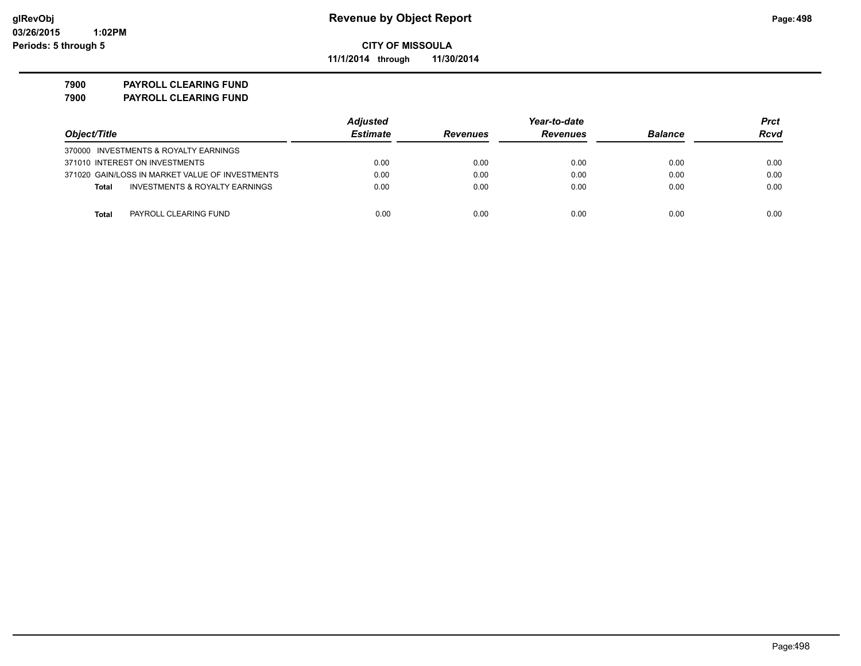**11/1/2014 through 11/30/2014**

**7900 PAYROLL CLEARING FUND**

**7900 PAYROLL CLEARING FUND**

|                                                 | <b>Adjusted</b> |                 | Year-to-date    |                |             |
|-------------------------------------------------|-----------------|-----------------|-----------------|----------------|-------------|
| Object/Title                                    | <b>Estimate</b> | <b>Revenues</b> | <b>Revenues</b> | <b>Balance</b> | <b>Rcvd</b> |
| 370000 INVESTMENTS & ROYALTY EARNINGS           |                 |                 |                 |                |             |
| 371010 INTEREST ON INVESTMENTS                  | 0.00            | 0.00            | 0.00            | 0.00           | 0.00        |
| 371020 GAIN/LOSS IN MARKET VALUE OF INVESTMENTS | 0.00            | 0.00            | 0.00            | 0.00           | 0.00        |
| INVESTMENTS & ROYALTY EARNINGS<br><b>Total</b>  | 0.00            | 0.00            | 0.00            | 0.00           | 0.00        |
| <b>Total</b><br>PAYROLL CLEARING FUND           | 0.00            | 0.00            | 0.00            | 0.00           | 0.00        |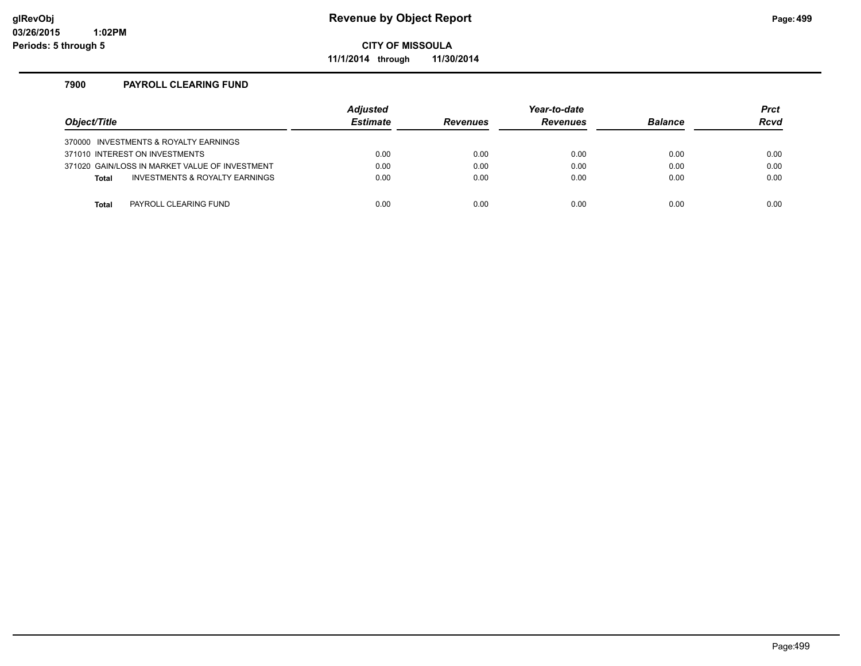## **glRevObj Revenue by Object Report Page:499**

**CITY OF MISSOULA**

**11/1/2014 through 11/30/2014**

### **7900 PAYROLL CLEARING FUND**

| Object/Title |                                                | <b>Adjusted</b><br><b>Estimate</b> | <b>Revenues</b> | Year-to-date<br><b>Revenues</b> | <b>Balance</b> | <b>Prct</b><br>Rcvd |
|--------------|------------------------------------------------|------------------------------------|-----------------|---------------------------------|----------------|---------------------|
|              | 370000 INVESTMENTS & ROYALTY EARNINGS          |                                    |                 |                                 |                |                     |
|              | 371010 INTEREST ON INVESTMENTS                 | 0.00                               | 0.00            | 0.00                            | 0.00           | 0.00                |
|              | 371020 GAIN/LOSS IN MARKET VALUE OF INVESTMENT | 0.00                               | 0.00            | 0.00                            | 0.00           | 0.00                |
| <b>Total</b> | INVESTMENTS & ROYALTY EARNINGS                 | 0.00                               | 0.00            | 0.00                            | 0.00           | 0.00                |
|              |                                                |                                    |                 |                                 |                |                     |
| <b>Total</b> | PAYROLL CLEARING FUND                          | 0.00                               | 0.00            | 0.00                            | 0.00           | 0.00                |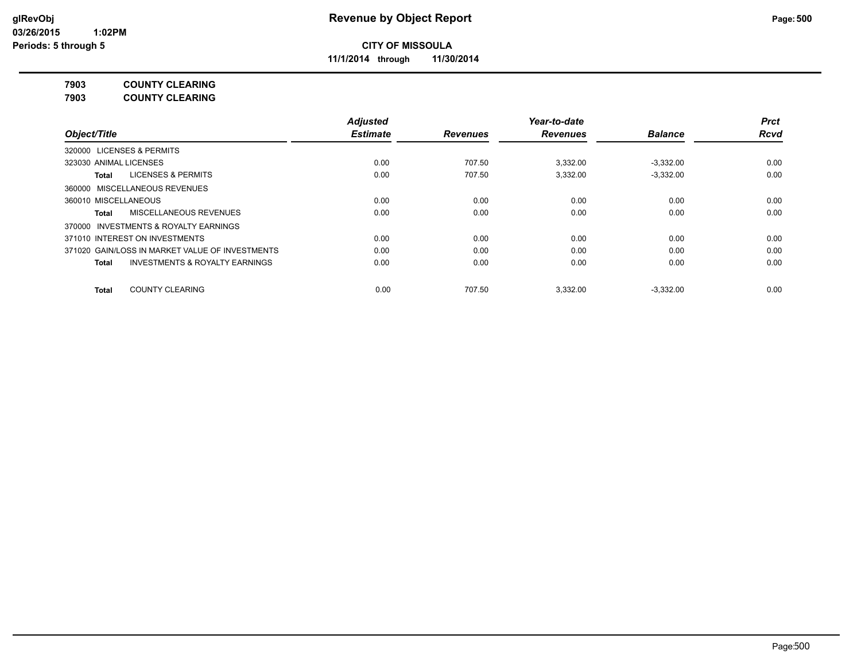**11/1/2014 through 11/30/2014**

**7903 COUNTY CLEARING**

**7903 COUNTY CLEARING**

|                                                    | <b>Adjusted</b> |                 | Year-to-date    |                | <b>Prct</b> |
|----------------------------------------------------|-----------------|-----------------|-----------------|----------------|-------------|
| Object/Title                                       | <b>Estimate</b> | <b>Revenues</b> | <b>Revenues</b> | <b>Balance</b> | <b>Rcvd</b> |
| 320000 LICENSES & PERMITS                          |                 |                 |                 |                |             |
| 323030 ANIMAL LICENSES                             | 0.00            | 707.50          | 3.332.00        | $-3.332.00$    | 0.00        |
| <b>LICENSES &amp; PERMITS</b><br>Total             | 0.00            | 707.50          | 3.332.00        | $-3.332.00$    | 0.00        |
| 360000 MISCELLANEOUS REVENUES                      |                 |                 |                 |                |             |
| 360010 MISCELLANEOUS                               | 0.00            | 0.00            | 0.00            | 0.00           | 0.00        |
| MISCELLANEOUS REVENUES<br>Total                    | 0.00            | 0.00            | 0.00            | 0.00           | 0.00        |
| 370000 INVESTMENTS & ROYALTY EARNINGS              |                 |                 |                 |                |             |
| 371010 INTEREST ON INVESTMENTS                     | 0.00            | 0.00            | 0.00            | 0.00           | 0.00        |
| 371020 GAIN/LOSS IN MARKET VALUE OF INVESTMENTS    | 0.00            | 0.00            | 0.00            | 0.00           | 0.00        |
| <b>INVESTMENTS &amp; ROYALTY EARNINGS</b><br>Total | 0.00            | 0.00            | 0.00            | 0.00           | 0.00        |
| <b>COUNTY CLEARING</b><br><b>Total</b>             | 0.00            | 707.50          | 3,332.00        | $-3,332.00$    | 0.00        |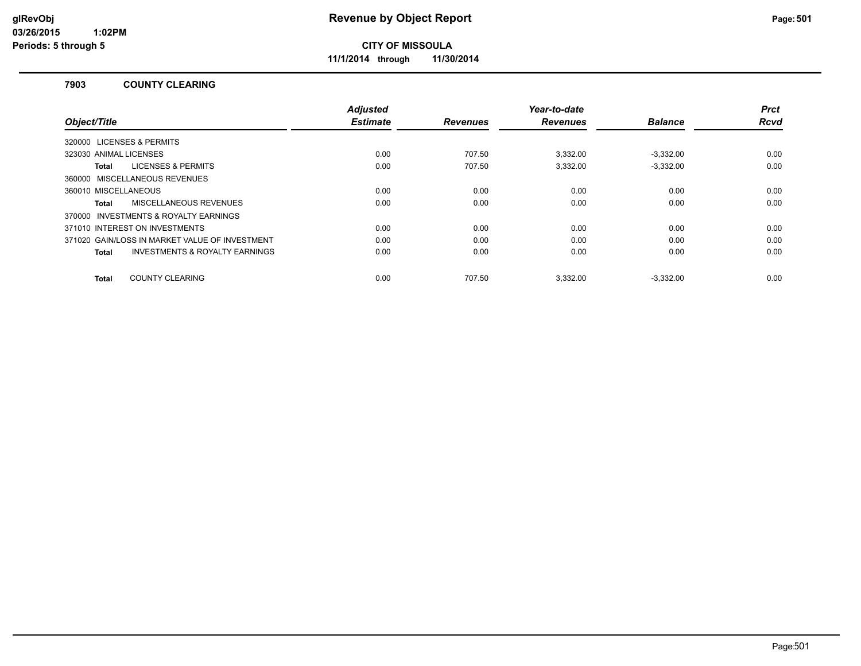**11/1/2014 through 11/30/2014**

#### **7903 COUNTY CLEARING**

|                                                           | <b>Adjusted</b> |                 | Year-to-date    |                | <b>Prct</b> |
|-----------------------------------------------------------|-----------------|-----------------|-----------------|----------------|-------------|
| Object/Title                                              | <b>Estimate</b> | <b>Revenues</b> | <b>Revenues</b> | <b>Balance</b> | <b>Rcvd</b> |
| 320000 LICENSES & PERMITS                                 |                 |                 |                 |                |             |
| 323030 ANIMAL LICENSES                                    | 0.00            | 707.50          | 3.332.00        | $-3.332.00$    | 0.00        |
| LICENSES & PERMITS<br>Total                               | 0.00            | 707.50          | 3,332.00        | $-3,332.00$    | 0.00        |
| 360000 MISCELLANEOUS REVENUES                             |                 |                 |                 |                |             |
| 360010 MISCELLANEOUS                                      | 0.00            | 0.00            | 0.00            | 0.00           | 0.00        |
| MISCELLANEOUS REVENUES<br><b>Total</b>                    | 0.00            | 0.00            | 0.00            | 0.00           | 0.00        |
| <b>INVESTMENTS &amp; ROYALTY EARNINGS</b><br>370000       |                 |                 |                 |                |             |
| 371010 INTEREST ON INVESTMENTS                            | 0.00            | 0.00            | 0.00            | 0.00           | 0.00        |
| 371020 GAIN/LOSS IN MARKET VALUE OF INVESTMENT            | 0.00            | 0.00            | 0.00            | 0.00           | 0.00        |
| <b>INVESTMENTS &amp; ROYALTY EARNINGS</b><br><b>Total</b> | 0.00            | 0.00            | 0.00            | 0.00           | 0.00        |
| <b>COUNTY CLEARING</b><br><b>Total</b>                    | 0.00            | 707.50          | 3.332.00        | $-3.332.00$    | 0.00        |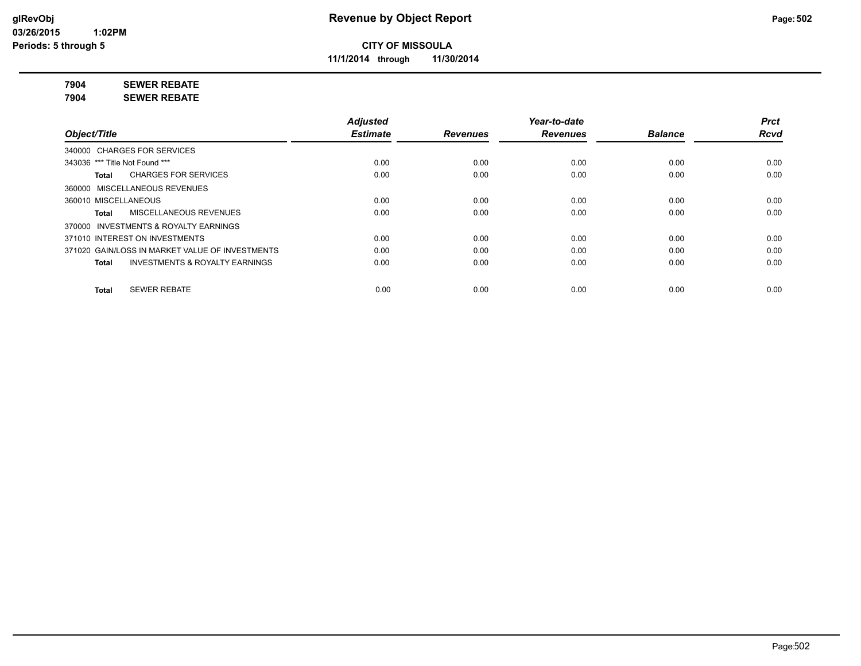**11/1/2014 through 11/30/2014**

**7904 SEWER REBATE**

**7904 SEWER REBATE**

|                                                           | <b>Adjusted</b> |                 | Year-to-date    |                | <b>Prct</b> |
|-----------------------------------------------------------|-----------------|-----------------|-----------------|----------------|-------------|
| Object/Title                                              | <b>Estimate</b> | <b>Revenues</b> | <b>Revenues</b> | <b>Balance</b> | <b>Rcvd</b> |
| 340000 CHARGES FOR SERVICES                               |                 |                 |                 |                |             |
| 343036 *** Title Not Found ***                            | 0.00            | 0.00            | 0.00            | 0.00           | 0.00        |
| <b>CHARGES FOR SERVICES</b><br>Total                      | 0.00            | 0.00            | 0.00            | 0.00           | 0.00        |
| 360000 MISCELLANEOUS REVENUES                             |                 |                 |                 |                |             |
| 360010 MISCELLANEOUS                                      | 0.00            | 0.00            | 0.00            | 0.00           | 0.00        |
| MISCELLANEOUS REVENUES<br>Total                           | 0.00            | 0.00            | 0.00            | 0.00           | 0.00        |
| INVESTMENTS & ROYALTY EARNINGS<br>370000                  |                 |                 |                 |                |             |
| 371010 INTEREST ON INVESTMENTS                            | 0.00            | 0.00            | 0.00            | 0.00           | 0.00        |
| 371020 GAIN/LOSS IN MARKET VALUE OF INVESTMENTS           | 0.00            | 0.00            | 0.00            | 0.00           | 0.00        |
| <b>INVESTMENTS &amp; ROYALTY EARNINGS</b><br><b>Total</b> | 0.00            | 0.00            | 0.00            | 0.00           | 0.00        |
| <b>SEWER REBATE</b><br><b>Total</b>                       | 0.00            | 0.00            | 0.00            | 0.00           | 0.00        |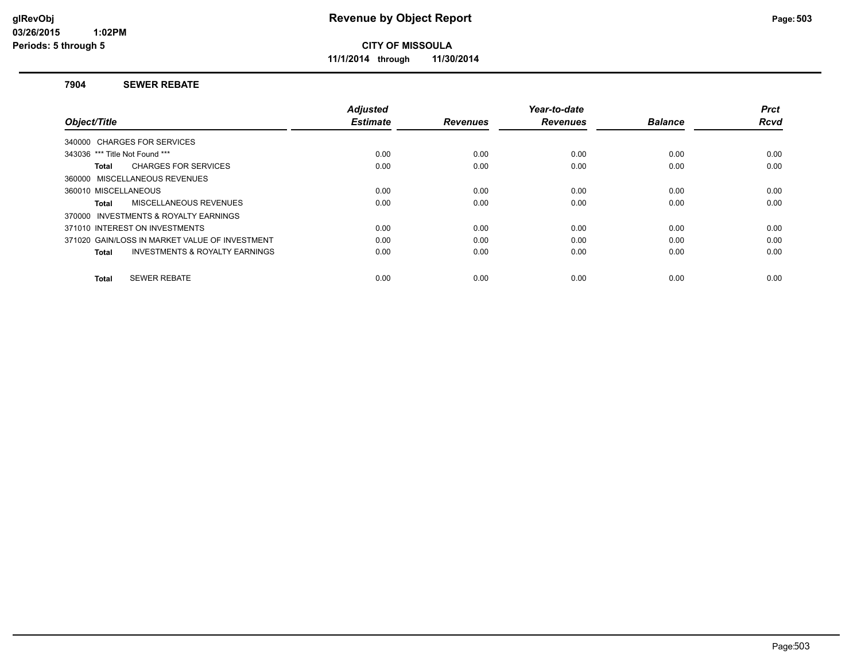**11/1/2014 through 11/30/2014**

#### **7904 SEWER REBATE**

| Object/Title                                       | <b>Adjusted</b><br><b>Estimate</b> | <b>Revenues</b> | Year-to-date<br><b>Revenues</b> | <b>Balance</b> | <b>Prct</b><br><b>Rcvd</b> |
|----------------------------------------------------|------------------------------------|-----------------|---------------------------------|----------------|----------------------------|
|                                                    |                                    |                 |                                 |                |                            |
| 340000 CHARGES FOR SERVICES                        |                                    |                 |                                 |                |                            |
| 343036 *** Title Not Found ***                     | 0.00                               | 0.00            | 0.00                            | 0.00           | 0.00                       |
| <b>CHARGES FOR SERVICES</b><br>Total               | 0.00                               | 0.00            | 0.00                            | 0.00           | 0.00                       |
| 360000 MISCELLANEOUS REVENUES                      |                                    |                 |                                 |                |                            |
| 360010 MISCELLANEOUS                               | 0.00                               | 0.00            | 0.00                            | 0.00           | 0.00                       |
| MISCELLANEOUS REVENUES<br>Total                    | 0.00                               | 0.00            | 0.00                            | 0.00           | 0.00                       |
| 370000 INVESTMENTS & ROYALTY EARNINGS              |                                    |                 |                                 |                |                            |
| 371010 INTEREST ON INVESTMENTS                     | 0.00                               | 0.00            | 0.00                            | 0.00           | 0.00                       |
| 371020 GAIN/LOSS IN MARKET VALUE OF INVESTMENT     | 0.00                               | 0.00            | 0.00                            | 0.00           | 0.00                       |
| <b>INVESTMENTS &amp; ROYALTY EARNINGS</b><br>Total | 0.00                               | 0.00            | 0.00                            | 0.00           | 0.00                       |
|                                                    |                                    |                 |                                 |                |                            |
| <b>SEWER REBATE</b><br>Total                       | 0.00                               | 0.00            | 0.00                            | 0.00           | 0.00                       |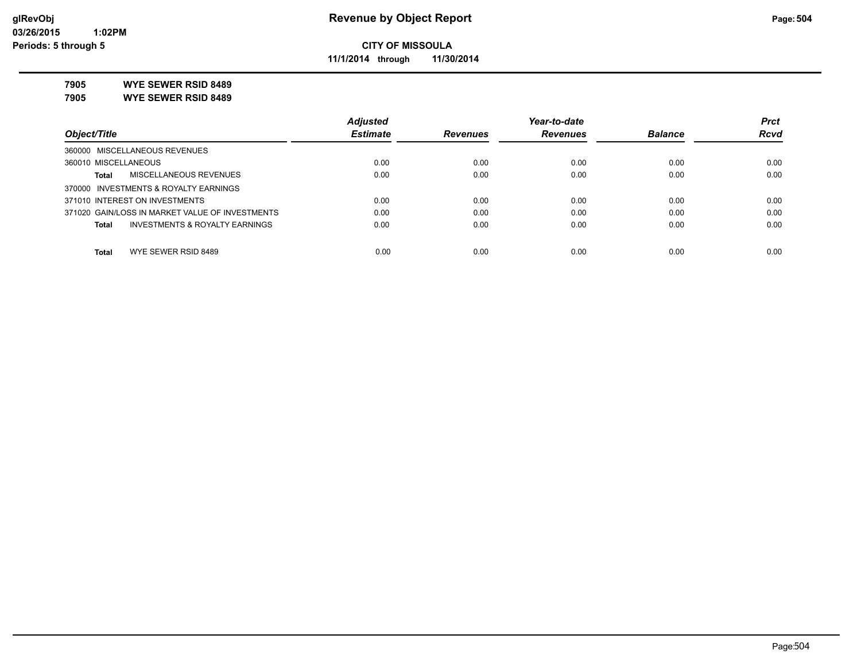**11/1/2014 through 11/30/2014**

**7905 WYE SEWER RSID 8489**

**7905 WYE SEWER RSID 8489**

|                                                 | <b>Adjusted</b> |                 | Year-to-date    |                | <b>Prct</b> |
|-------------------------------------------------|-----------------|-----------------|-----------------|----------------|-------------|
| Object/Title                                    | <b>Estimate</b> | <b>Revenues</b> | <b>Revenues</b> | <b>Balance</b> | <b>Rcvd</b> |
| 360000 MISCELLANEOUS REVENUES                   |                 |                 |                 |                |             |
| 360010 MISCELLANEOUS                            | 0.00            | 0.00            | 0.00            | 0.00           | 0.00        |
| MISCELLANEOUS REVENUES<br>Total                 | 0.00            | 0.00            | 0.00            | 0.00           | 0.00        |
| 370000 INVESTMENTS & ROYALTY EARNINGS           |                 |                 |                 |                |             |
| 371010 INTEREST ON INVESTMENTS                  | 0.00            | 0.00            | 0.00            | 0.00           | 0.00        |
| 371020 GAIN/LOSS IN MARKET VALUE OF INVESTMENTS | 0.00            | 0.00            | 0.00            | 0.00           | 0.00        |
| INVESTMENTS & ROYALTY EARNINGS<br>Total         | 0.00            | 0.00            | 0.00            | 0.00           | 0.00        |
|                                                 |                 |                 |                 |                |             |
| WYE SEWER RSID 8489<br>Total                    | 0.00            | 0.00            | 0.00            | 0.00           | 0.00        |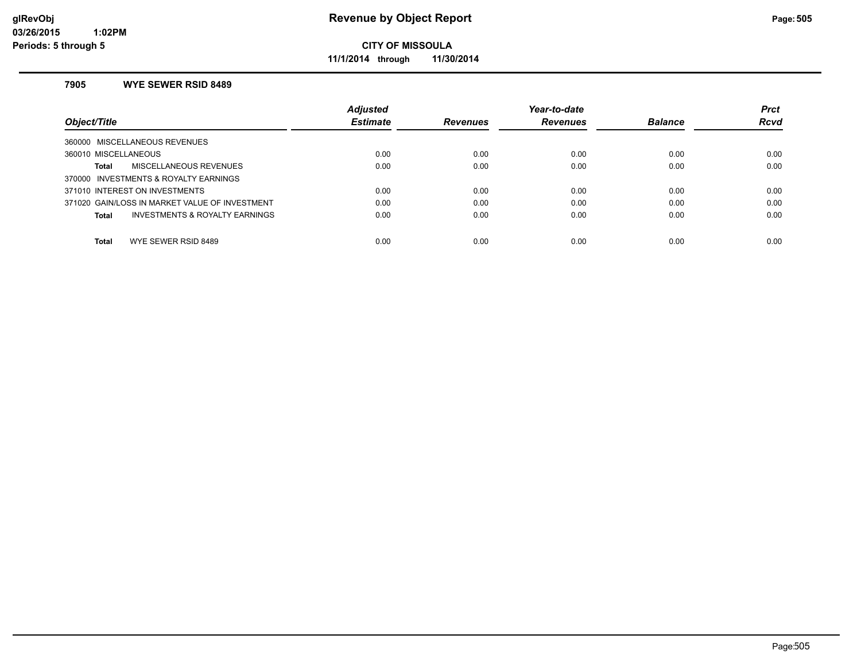**11/1/2014 through 11/30/2014**

### **7905 WYE SEWER RSID 8489**

|                                                | <b>Adjusted</b> |                 | Year-to-date    |                | <b>Prct</b> |
|------------------------------------------------|-----------------|-----------------|-----------------|----------------|-------------|
| Object/Title                                   | <b>Estimate</b> | <b>Revenues</b> | <b>Revenues</b> | <b>Balance</b> | <b>Rcvd</b> |
| 360000 MISCELLANEOUS REVENUES                  |                 |                 |                 |                |             |
| 360010 MISCELLANEOUS                           | 0.00            | 0.00            | 0.00            | 0.00           | 0.00        |
| <b>MISCELLANEOUS REVENUES</b><br>Total         | 0.00            | 0.00            | 0.00            | 0.00           | 0.00        |
| 370000 INVESTMENTS & ROYALTY EARNINGS          |                 |                 |                 |                |             |
| 371010 INTEREST ON INVESTMENTS                 | 0.00            | 0.00            | 0.00            | 0.00           | 0.00        |
| 371020 GAIN/LOSS IN MARKET VALUE OF INVESTMENT | 0.00            | 0.00            | 0.00            | 0.00           | 0.00        |
| INVESTMENTS & ROYALTY EARNINGS<br>Total        | 0.00            | 0.00            | 0.00            | 0.00           | 0.00        |
|                                                |                 |                 |                 |                |             |
| WYE SEWER RSID 8489<br><b>Total</b>            | 0.00            | 0.00            | 0.00            | 0.00           | 0.00        |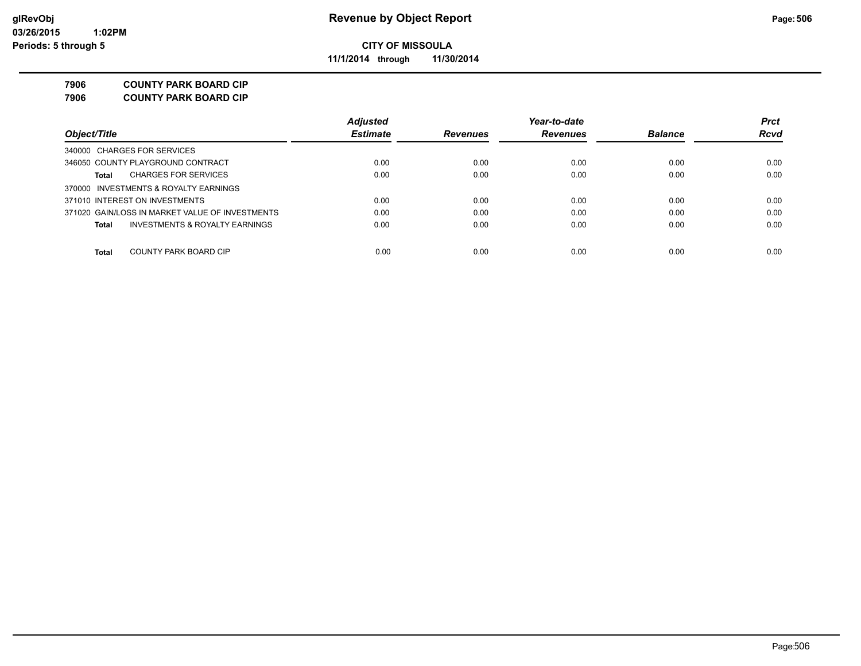**11/1/2014 through 11/30/2014**

### **7906 COUNTY PARK BOARD CIP**

**7906 COUNTY PARK BOARD CIP**

|                                                 | <b>Adjusted</b> |                 | Year-to-date    |                | <b>Prct</b> |
|-------------------------------------------------|-----------------|-----------------|-----------------|----------------|-------------|
| Object/Title                                    | <b>Estimate</b> | <b>Revenues</b> | <b>Revenues</b> | <b>Balance</b> | <b>Rcvd</b> |
| 340000 CHARGES FOR SERVICES                     |                 |                 |                 |                |             |
| 346050 COUNTY PLAYGROUND CONTRACT               | 0.00            | 0.00            | 0.00            | 0.00           | 0.00        |
| <b>CHARGES FOR SERVICES</b><br>Total            | 0.00            | 0.00            | 0.00            | 0.00           | 0.00        |
| 370000 INVESTMENTS & ROYALTY EARNINGS           |                 |                 |                 |                |             |
| 371010 INTEREST ON INVESTMENTS                  | 0.00            | 0.00            | 0.00            | 0.00           | 0.00        |
| 371020 GAIN/LOSS IN MARKET VALUE OF INVESTMENTS | 0.00            | 0.00            | 0.00            | 0.00           | 0.00        |
| INVESTMENTS & ROYALTY EARNINGS<br>Total         | 0.00            | 0.00            | 0.00            | 0.00           | 0.00        |
| COUNTY PARK BOARD CIP<br><b>Total</b>           | 0.00            | 0.00            | 0.00            | 0.00           | 0.00        |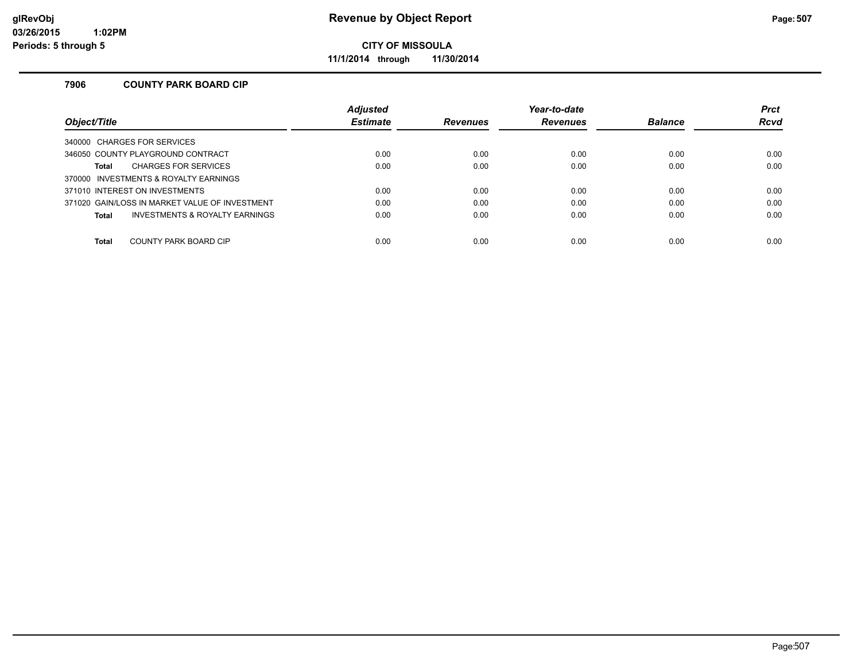**11/1/2014 through 11/30/2014**

### **7906 COUNTY PARK BOARD CIP**

|                                                | <b>Adjusted</b> |                 | Year-to-date    |                | <b>Prct</b> |
|------------------------------------------------|-----------------|-----------------|-----------------|----------------|-------------|
| Object/Title                                   | <b>Estimate</b> | <b>Revenues</b> | <b>Revenues</b> | <b>Balance</b> | <b>Rcvd</b> |
| 340000 CHARGES FOR SERVICES                    |                 |                 |                 |                |             |
| 346050 COUNTY PLAYGROUND CONTRACT              | 0.00            | 0.00            | 0.00            | 0.00           | 0.00        |
| <b>CHARGES FOR SERVICES</b><br><b>Total</b>    | 0.00            | 0.00            | 0.00            | 0.00           | 0.00        |
| 370000 INVESTMENTS & ROYALTY EARNINGS          |                 |                 |                 |                |             |
| 371010 INTEREST ON INVESTMENTS                 | 0.00            | 0.00            | 0.00            | 0.00           | 0.00        |
| 371020 GAIN/LOSS IN MARKET VALUE OF INVESTMENT | 0.00            | 0.00            | 0.00            | 0.00           | 0.00        |
| INVESTMENTS & ROYALTY EARNINGS<br><b>Total</b> | 0.00            | 0.00            | 0.00            | 0.00           | 0.00        |
|                                                |                 |                 |                 |                |             |
| <b>Total</b><br>COUNTY PARK BOARD CIP          | 0.00            | 0.00            | 0.00            | 0.00           | 0.00        |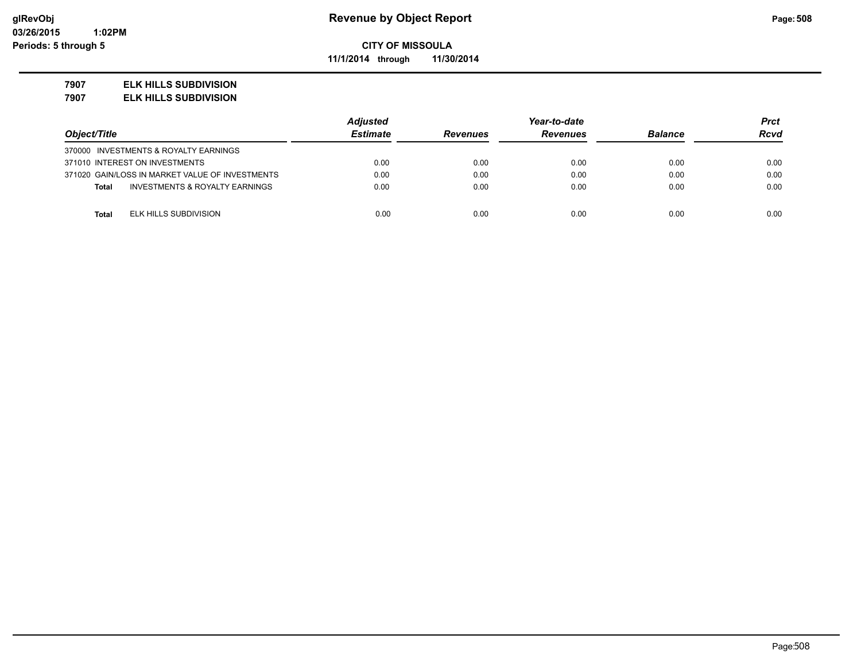**11/1/2014 through 11/30/2014**

#### **7907 ELK HILLS SUBDIVISION**

**7907 ELK HILLS SUBDIVISION**

|                                                 | <b>Adjusted</b> |                 | Year-to-date    |                | Prct |
|-------------------------------------------------|-----------------|-----------------|-----------------|----------------|------|
| Object/Title                                    | <b>Estimate</b> | <b>Revenues</b> | <b>Revenues</b> | <b>Balance</b> | Rcvd |
| 370000 INVESTMENTS & ROYALTY EARNINGS           |                 |                 |                 |                |      |
| 371010 INTEREST ON INVESTMENTS                  | 0.00            | 0.00            | 0.00            | 0.00           | 0.00 |
| 371020 GAIN/LOSS IN MARKET VALUE OF INVESTMENTS | 0.00            | 0.00            | 0.00            | 0.00           | 0.00 |
| INVESTMENTS & ROYALTY EARNINGS<br><b>Total</b>  | 0.00            | 0.00            | 0.00            | 0.00           | 0.00 |
|                                                 |                 |                 |                 |                |      |
| ELK HILLS SUBDIVISION<br><b>Total</b>           | 0.00            | 0.00            | 0.00            | 0.00           | 0.00 |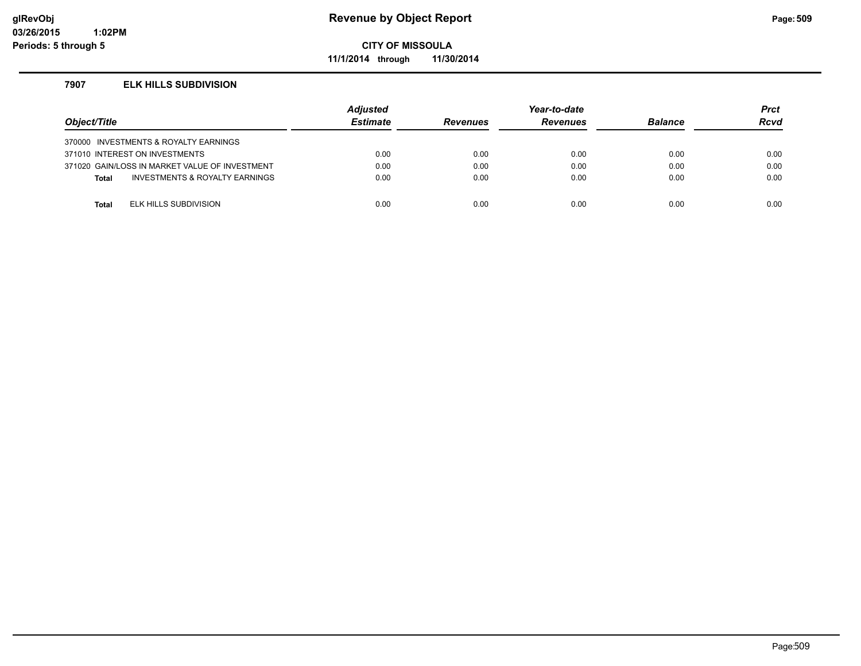### **glRevObj Revenue by Object Report Page:509**

**CITY OF MISSOULA**

**11/1/2014 through 11/30/2014**

### **7907 ELK HILLS SUBDIVISION**

| Object/Title |                                                | <b>Adjusted</b><br><b>Estimate</b> | <b>Revenues</b> | Year-to-date<br><b>Revenues</b> | <b>Balance</b> | <b>Prct</b><br>Rcvd |
|--------------|------------------------------------------------|------------------------------------|-----------------|---------------------------------|----------------|---------------------|
|              | 370000 INVESTMENTS & ROYALTY EARNINGS          |                                    |                 |                                 |                |                     |
|              | 371010 INTEREST ON INVESTMENTS                 | 0.00                               | 0.00            | 0.00                            | 0.00           | 0.00                |
|              | 371020 GAIN/LOSS IN MARKET VALUE OF INVESTMENT | 0.00                               | 0.00            | 0.00                            | 0.00           | 0.00                |
| <b>Total</b> | <b>INVESTMENTS &amp; ROYALTY EARNINGS</b>      | 0.00                               | 0.00            | 0.00                            | 0.00           | 0.00                |
|              |                                                |                                    |                 |                                 |                |                     |
| Total        | ELK HILLS SUBDIVISION                          | 0.00                               | 0.00            | 0.00                            | 0.00           | 0.00                |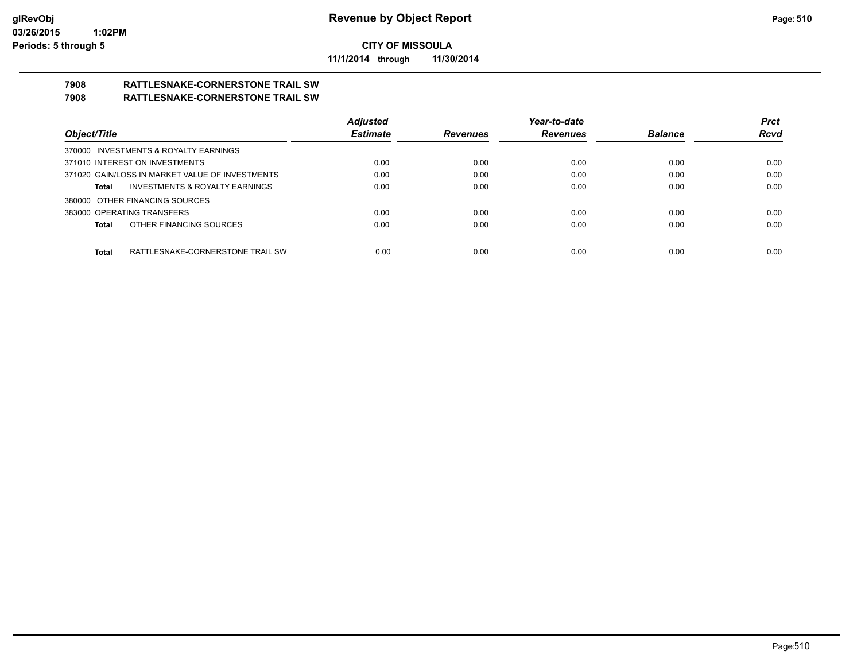**11/1/2014 through 11/30/2014**

# **7908 RATTLESNAKE-CORNERSTONE TRAIL SW**

## **7908 RATTLESNAKE-CORNERSTONE TRAIL SW**

|                                                  | <b>Adjusted</b> |                 | Year-to-date    |                | <b>Prct</b> |
|--------------------------------------------------|-----------------|-----------------|-----------------|----------------|-------------|
| Object/Title                                     | <b>Estimate</b> | <b>Revenues</b> | <b>Revenues</b> | <b>Balance</b> | <b>Rcvd</b> |
| 370000 INVESTMENTS & ROYALTY EARNINGS            |                 |                 |                 |                |             |
| 371010 INTEREST ON INVESTMENTS                   | 0.00            | 0.00            | 0.00            | 0.00           | 0.00        |
| 371020 GAIN/LOSS IN MARKET VALUE OF INVESTMENTS  | 0.00            | 0.00            | 0.00            | 0.00           | 0.00        |
| INVESTMENTS & ROYALTY EARNINGS<br>Total          | 0.00            | 0.00            | 0.00            | 0.00           | 0.00        |
| 380000 OTHER FINANCING SOURCES                   |                 |                 |                 |                |             |
| 383000 OPERATING TRANSFERS                       | 0.00            | 0.00            | 0.00            | 0.00           | 0.00        |
| OTHER FINANCING SOURCES<br>Total                 | 0.00            | 0.00            | 0.00            | 0.00           | 0.00        |
|                                                  |                 |                 |                 |                |             |
| RATTLESNAKE-CORNERSTONE TRAIL SW<br><b>Total</b> | 0.00            | 0.00            | 0.00            | 0.00           | 0.00        |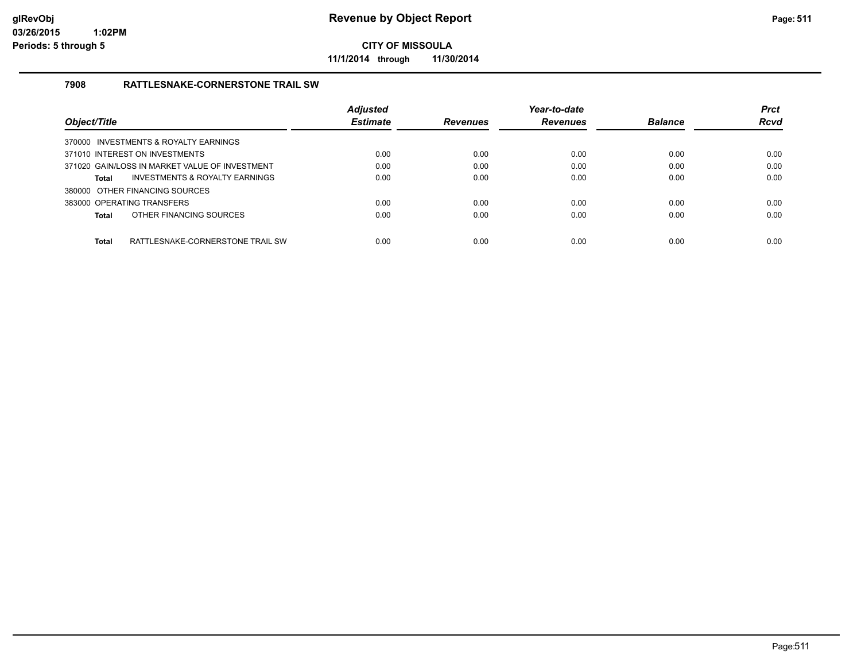**11/1/2014 through 11/30/2014**

### **7908 RATTLESNAKE-CORNERSTONE TRAIL SW**

|                                                  | <b>Adjusted</b> |                 | Year-to-date    |                | <b>Prct</b> |
|--------------------------------------------------|-----------------|-----------------|-----------------|----------------|-------------|
| Object/Title                                     | <b>Estimate</b> | <b>Revenues</b> | <b>Revenues</b> | <b>Balance</b> | Rcvd        |
| 370000 INVESTMENTS & ROYALTY EARNINGS            |                 |                 |                 |                |             |
| 371010 INTEREST ON INVESTMENTS                   | 0.00            | 0.00            | 0.00            | 0.00           | 0.00        |
| 371020 GAIN/LOSS IN MARKET VALUE OF INVESTMENT   | 0.00            | 0.00            | 0.00            | 0.00           | 0.00        |
| INVESTMENTS & ROYALTY EARNINGS<br><b>Total</b>   | 0.00            | 0.00            | 0.00            | 0.00           | 0.00        |
| 380000 OTHER FINANCING SOURCES                   |                 |                 |                 |                |             |
| 383000 OPERATING TRANSFERS                       | 0.00            | 0.00            | 0.00            | 0.00           | 0.00        |
| OTHER FINANCING SOURCES<br><b>Total</b>          | 0.00            | 0.00            | 0.00            | 0.00           | 0.00        |
|                                                  |                 |                 |                 |                |             |
| <b>Total</b><br>RATTLESNAKE-CORNERSTONE TRAIL SW | 0.00            | 0.00            | 0.00            | 0.00           | 0.00        |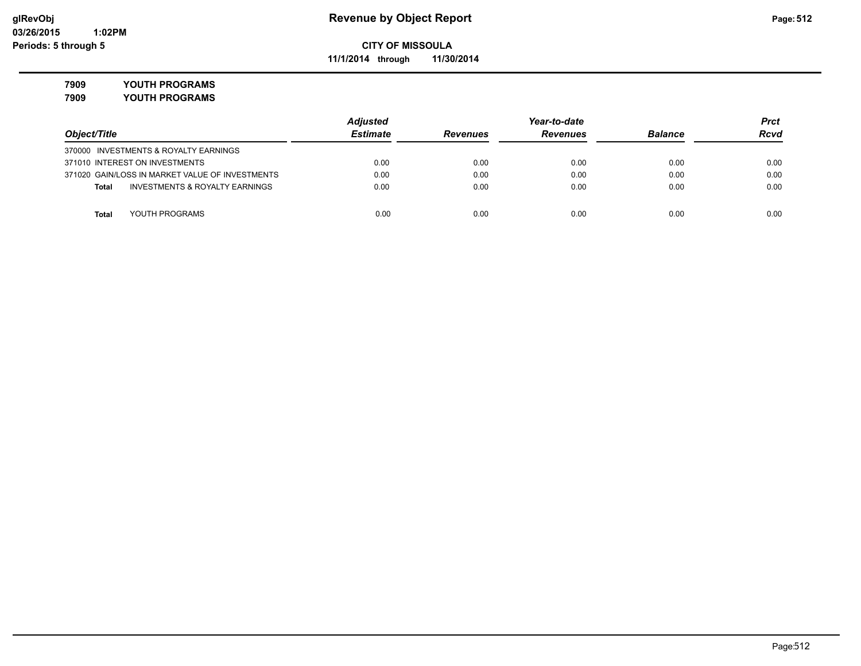**11/1/2014 through 11/30/2014**

**7909 YOUTH PROGRAMS**

**7909 YOUTH PROGRAMS**

|                                                 | <b>Adjusted</b> |                 | Year-to-date    |                | <b>Prct</b> |
|-------------------------------------------------|-----------------|-----------------|-----------------|----------------|-------------|
| Object/Title                                    | <b>Estimate</b> | <b>Revenues</b> | <b>Revenues</b> | <b>Balance</b> | <b>Rcvd</b> |
| 370000 INVESTMENTS & ROYALTY EARNINGS           |                 |                 |                 |                |             |
| 371010 INTEREST ON INVESTMENTS                  | 0.00            | 0.00            | 0.00            | 0.00           | 0.00        |
| 371020 GAIN/LOSS IN MARKET VALUE OF INVESTMENTS | 0.00            | 0.00            | 0.00            | 0.00           | 0.00        |
| INVESTMENTS & ROYALTY EARNINGS<br><b>Total</b>  | 0.00            | 0.00            | 0.00            | 0.00           | 0.00        |
|                                                 |                 |                 |                 |                |             |
| YOUTH PROGRAMS<br>Total                         | 0.00            | 0.00            | 0.00            | 0.00           | 0.00        |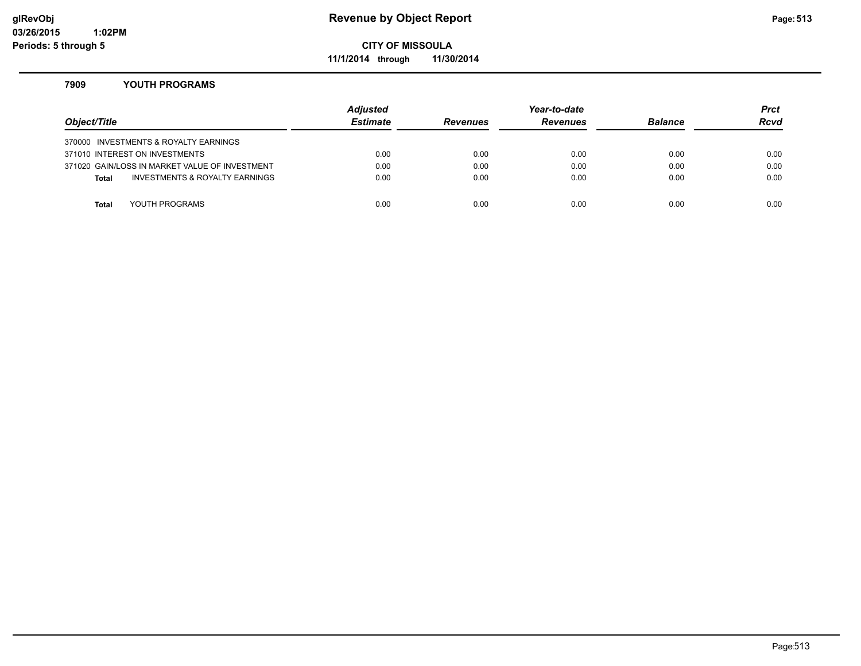### **glRevObj Revenue by Object Report Page:513**

**CITY OF MISSOULA**

**11/1/2014 through 11/30/2014**

#### **7909 YOUTH PROGRAMS**

| Object/Title |                                                | Adjusted<br><b>Estimate</b> | <b>Revenues</b> | Year-to-date<br><b>Revenues</b> | <b>Balance</b> | <b>Prct</b><br><b>Rcvd</b> |
|--------------|------------------------------------------------|-----------------------------|-----------------|---------------------------------|----------------|----------------------------|
|              | 370000 INVESTMENTS & ROYALTY EARNINGS          |                             |                 |                                 |                |                            |
|              | 371010 INTEREST ON INVESTMENTS                 | 0.00                        | 0.00            | 0.00                            | 0.00           | 0.00                       |
|              | 371020 GAIN/LOSS IN MARKET VALUE OF INVESTMENT | 0.00                        | 0.00            | 0.00                            | 0.00           | 0.00                       |
| <b>Total</b> | INVESTMENTS & ROYALTY EARNINGS                 | 0.00                        | 0.00            | 0.00                            | 0.00           | 0.00                       |
|              |                                                |                             |                 |                                 |                |                            |
| Total        | YOUTH PROGRAMS                                 | 0.00                        | 0.00            | 0.00                            | 0.00           | 0.00                       |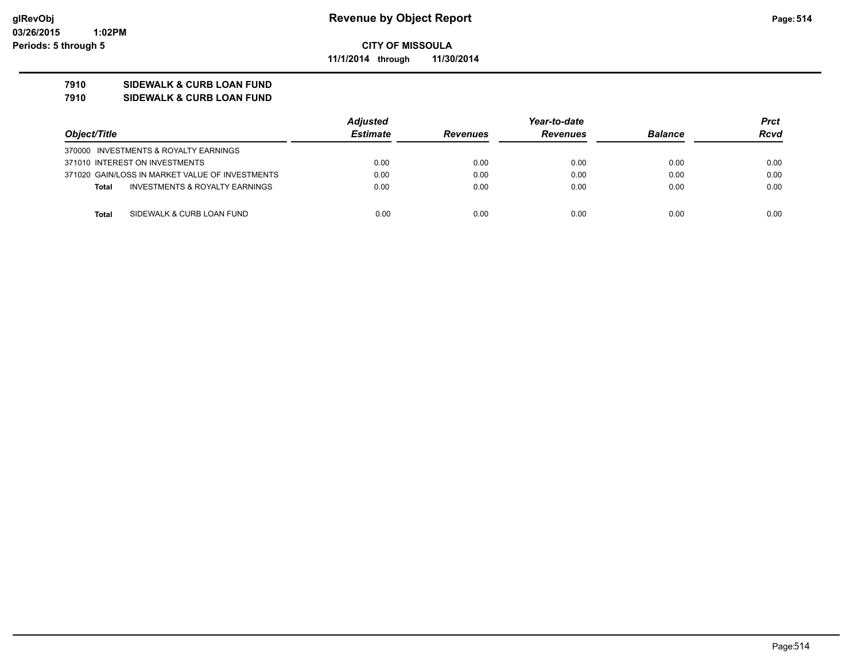**11/1/2014 through 11/30/2014**

### **7910 SIDEWALK & CURB LOAN FUND**

#### **7910 SIDEWALK & CURB LOAN FUND**

|                                                 | <b>Adjusted</b> |                 | Year-to-date    |                |             |
|-------------------------------------------------|-----------------|-----------------|-----------------|----------------|-------------|
| Object/Title                                    | <b>Estimate</b> | <b>Revenues</b> | <b>Revenues</b> | <b>Balance</b> | <b>Rcvd</b> |
| 370000 INVESTMENTS & ROYALTY EARNINGS           |                 |                 |                 |                |             |
| 371010 INTEREST ON INVESTMENTS                  | 0.00            | 0.00            | 0.00            | 0.00           | 0.00        |
| 371020 GAIN/LOSS IN MARKET VALUE OF INVESTMENTS | 0.00            | 0.00            | 0.00            | 0.00           | 0.00        |
| INVESTMENTS & ROYALTY EARNINGS<br><b>Total</b>  | 0.00            | 0.00            | 0.00            | 0.00           | 0.00        |
|                                                 |                 |                 |                 |                |             |
| SIDEWALK & CURB LOAN FUND<br>Total              | 0.00            | 0.00            | 0.00            | 0.00           | 0.00        |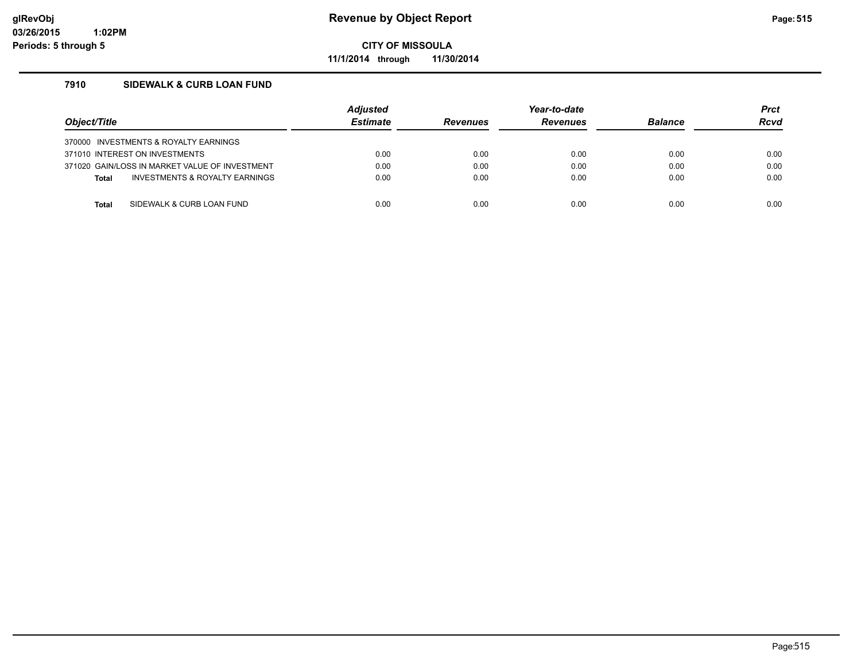**11/1/2014 through 11/30/2014**

### **7910 SIDEWALK & CURB LOAN FUND**

| Object/Title |                                                | <b>Adjusted</b><br><b>Estimate</b> | <b>Revenues</b> | Year-to-date<br><b>Revenues</b> | <b>Balance</b> | <b>Prct</b><br><b>Rcvd</b> |
|--------------|------------------------------------------------|------------------------------------|-----------------|---------------------------------|----------------|----------------------------|
|              | 370000 INVESTMENTS & ROYALTY EARNINGS          |                                    |                 |                                 |                |                            |
|              | 371010 INTEREST ON INVESTMENTS                 | 0.00                               | 0.00            | 0.00                            | 0.00           | 0.00                       |
|              | 371020 GAIN/LOSS IN MARKET VALUE OF INVESTMENT | 0.00                               | 0.00            | 0.00                            | 0.00           | 0.00                       |
| <b>Total</b> | INVESTMENTS & ROYALTY EARNINGS                 | 0.00                               | 0.00            | 0.00                            | 0.00           | 0.00                       |
|              |                                                |                                    |                 |                                 |                |                            |
| Total        | SIDEWALK & CURB LOAN FUND                      | 0.00                               | 0.00            | 0.00                            | 0.00           | 0.00                       |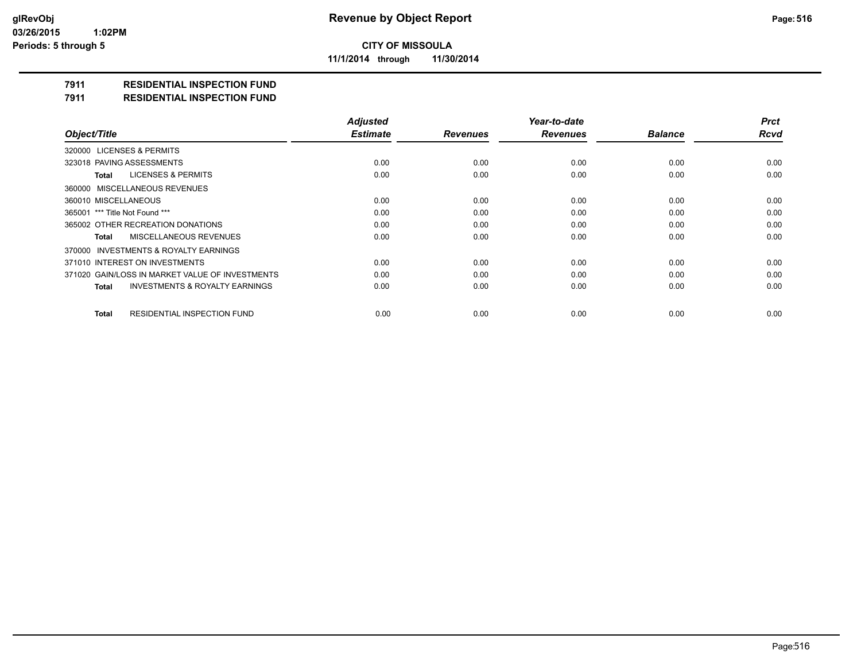**11/1/2014 through 11/30/2014**

### **7911 RESIDENTIAL INSPECTION FUND**

#### **7911 RESIDENTIAL INSPECTION FUND**

|                                                           | <b>Adjusted</b> |                 | Year-to-date    |                | <b>Prct</b> |
|-----------------------------------------------------------|-----------------|-----------------|-----------------|----------------|-------------|
| Object/Title                                              | <b>Estimate</b> | <b>Revenues</b> | <b>Revenues</b> | <b>Balance</b> | <b>Rcvd</b> |
| 320000 LICENSES & PERMITS                                 |                 |                 |                 |                |             |
| 323018 PAVING ASSESSMENTS                                 | 0.00            | 0.00            | 0.00            | 0.00           | 0.00        |
| LICENSES & PERMITS<br>Total                               | 0.00            | 0.00            | 0.00            | 0.00           | 0.00        |
| 360000 MISCELLANEOUS REVENUES                             |                 |                 |                 |                |             |
| 360010 MISCELLANEOUS                                      | 0.00            | 0.00            | 0.00            | 0.00           | 0.00        |
| 365001 *** Title Not Found ***                            | 0.00            | 0.00            | 0.00            | 0.00           | 0.00        |
| 365002 OTHER RECREATION DONATIONS                         | 0.00            | 0.00            | 0.00            | 0.00           | 0.00        |
| MISCELLANEOUS REVENUES<br><b>Total</b>                    | 0.00            | 0.00            | 0.00            | 0.00           | 0.00        |
| 370000 INVESTMENTS & ROYALTY EARNINGS                     |                 |                 |                 |                |             |
| 371010 INTEREST ON INVESTMENTS                            | 0.00            | 0.00            | 0.00            | 0.00           | 0.00        |
| 371020 GAIN/LOSS IN MARKET VALUE OF INVESTMENTS           | 0.00            | 0.00            | 0.00            | 0.00           | 0.00        |
| <b>INVESTMENTS &amp; ROYALTY EARNINGS</b><br><b>Total</b> | 0.00            | 0.00            | 0.00            | 0.00           | 0.00        |
| <b>RESIDENTIAL INSPECTION FUND</b><br><b>Total</b>        | 0.00            | 0.00            | 0.00            | 0.00           | 0.00        |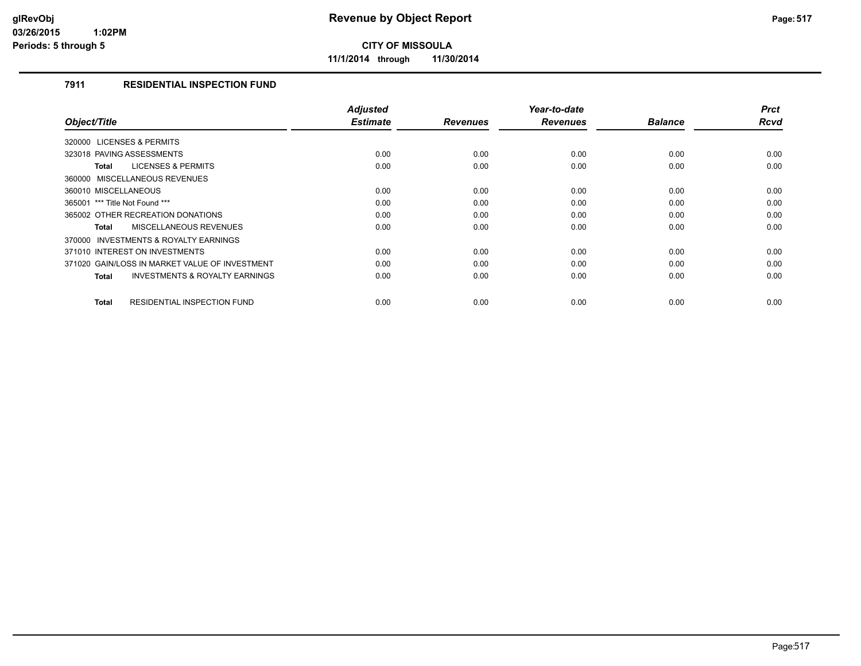**11/1/2014 through 11/30/2014**

### **7911 RESIDENTIAL INSPECTION FUND**

|                                                           | <b>Adjusted</b><br><b>Estimate</b> |                 | Year-to-date    |                | <b>Prct</b> |
|-----------------------------------------------------------|------------------------------------|-----------------|-----------------|----------------|-------------|
| Object/Title                                              |                                    | <b>Revenues</b> | <b>Revenues</b> | <b>Balance</b> | <b>Rcvd</b> |
| 320000 LICENSES & PERMITS                                 |                                    |                 |                 |                |             |
| 323018 PAVING ASSESSMENTS                                 | 0.00                               | 0.00            | 0.00            | 0.00           | 0.00        |
| <b>LICENSES &amp; PERMITS</b><br><b>Total</b>             | 0.00                               | 0.00            | 0.00            | 0.00           | 0.00        |
| 360000 MISCELLANEOUS REVENUES                             |                                    |                 |                 |                |             |
| 360010 MISCELLANEOUS                                      | 0.00                               | 0.00            | 0.00            | 0.00           | 0.00        |
| 365001 *** Title Not Found ***                            | 0.00                               | 0.00            | 0.00            | 0.00           | 0.00        |
| 365002 OTHER RECREATION DONATIONS                         | 0.00                               | 0.00            | 0.00            | 0.00           | 0.00        |
| <b>MISCELLANEOUS REVENUES</b><br><b>Total</b>             | 0.00                               | 0.00            | 0.00            | 0.00           | 0.00        |
| <b>INVESTMENTS &amp; ROYALTY EARNINGS</b><br>370000       |                                    |                 |                 |                |             |
| 371010 INTEREST ON INVESTMENTS                            | 0.00                               | 0.00            | 0.00            | 0.00           | 0.00        |
| 371020 GAIN/LOSS IN MARKET VALUE OF INVESTMENT            | 0.00                               | 0.00            | 0.00            | 0.00           | 0.00        |
| <b>INVESTMENTS &amp; ROYALTY EARNINGS</b><br><b>Total</b> | 0.00                               | 0.00            | 0.00            | 0.00           | 0.00        |
|                                                           |                                    |                 |                 |                |             |
| RESIDENTIAL INSPECTION FUND<br><b>Total</b>               | 0.00                               | 0.00            | 0.00            | 0.00           | 0.00        |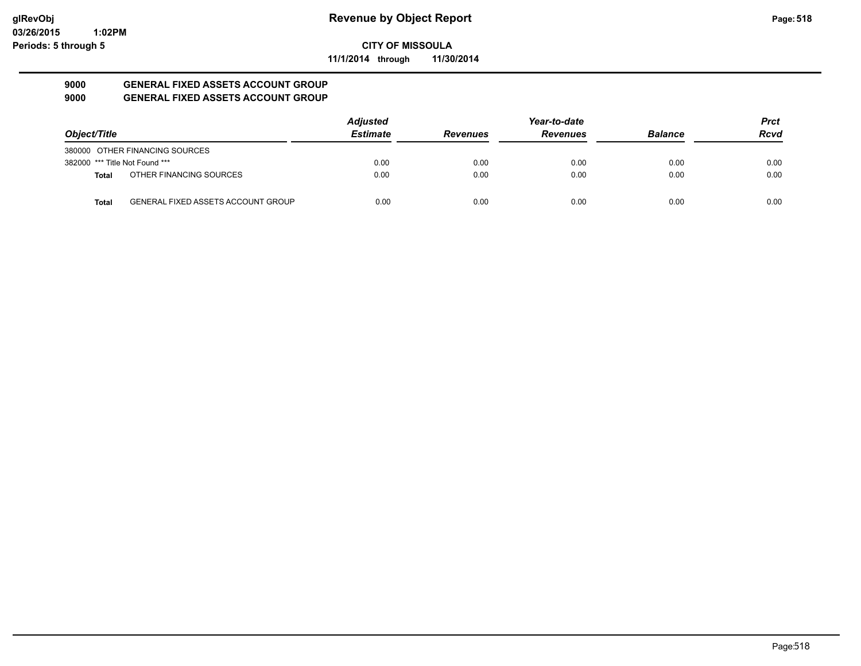**11/1/2014 through 11/30/2014**

#### **9000 GENERAL FIXED ASSETS ACCOUNT GROUP 9000 GENERAL FIXED ASSETS ACCOUNT GROUP**

|                                |                                           | <b>Adjusted</b> |                 | Year-to-date    |                | <b>Prct</b> |
|--------------------------------|-------------------------------------------|-----------------|-----------------|-----------------|----------------|-------------|
| Object/Title                   |                                           | <b>Estimate</b> | <b>Revenues</b> | <b>Revenues</b> | <b>Balance</b> | <b>Rcvd</b> |
|                                | 380000 OTHER FINANCING SOURCES            |                 |                 |                 |                |             |
| 382000 *** Title Not Found *** |                                           | 0.00            | 0.00            | 0.00            | 0.00           | 0.00        |
| <b>Total</b>                   | OTHER FINANCING SOURCES                   | 0.00            | 0.00            | 0.00            | 0.00           | 0.00        |
| <b>Total</b>                   | <b>GENERAL FIXED ASSETS ACCOUNT GROUP</b> | 0.00            | 0.00            | 0.00            | 0.00           | 0.00        |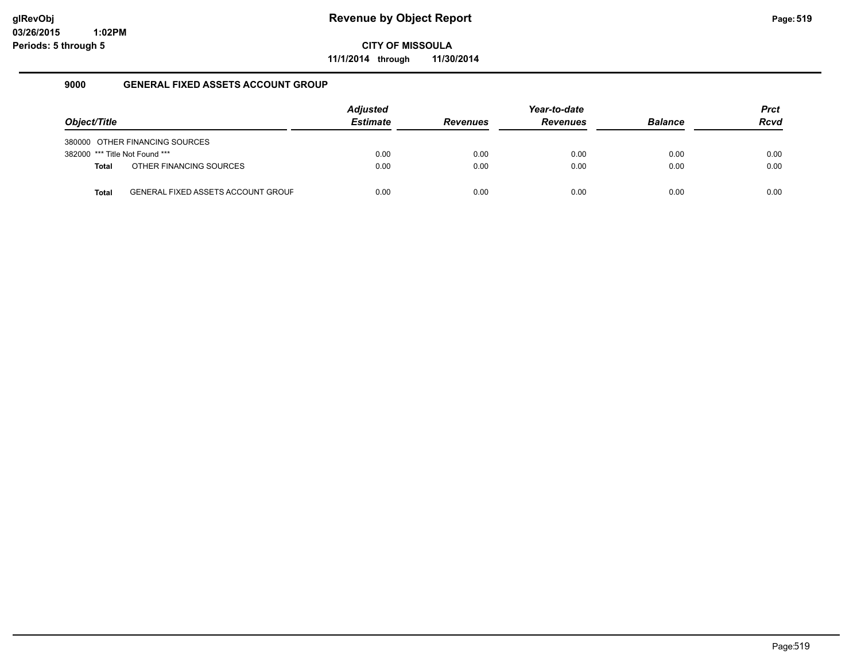**11/1/2014 through 11/30/2014**

### **9000 GENERAL FIXED ASSETS ACCOUNT GROUP**

|                                |                                           | <b>Adjusted</b> |                 | Year-to-date    |                | <b>Prct</b> |
|--------------------------------|-------------------------------------------|-----------------|-----------------|-----------------|----------------|-------------|
| Object/Title                   |                                           | <b>Estimate</b> | <b>Revenues</b> | <b>Revenues</b> | <b>Balance</b> | <b>Rcvd</b> |
|                                | 380000 OTHER FINANCING SOURCES            |                 |                 |                 |                |             |
| 382000 *** Title Not Found *** |                                           | 0.00            | 0.00            | 0.00            | 0.00           | 0.00        |
| <b>Total</b>                   | OTHER FINANCING SOURCES                   | 0.00            | 0.00            | 0.00            | 0.00           | 0.00        |
| <b>Total</b>                   | <b>GENERAL FIXED ASSETS ACCOUNT GROUF</b> | 0.00            | 0.00            | 0.00            | 0.00           | 0.00        |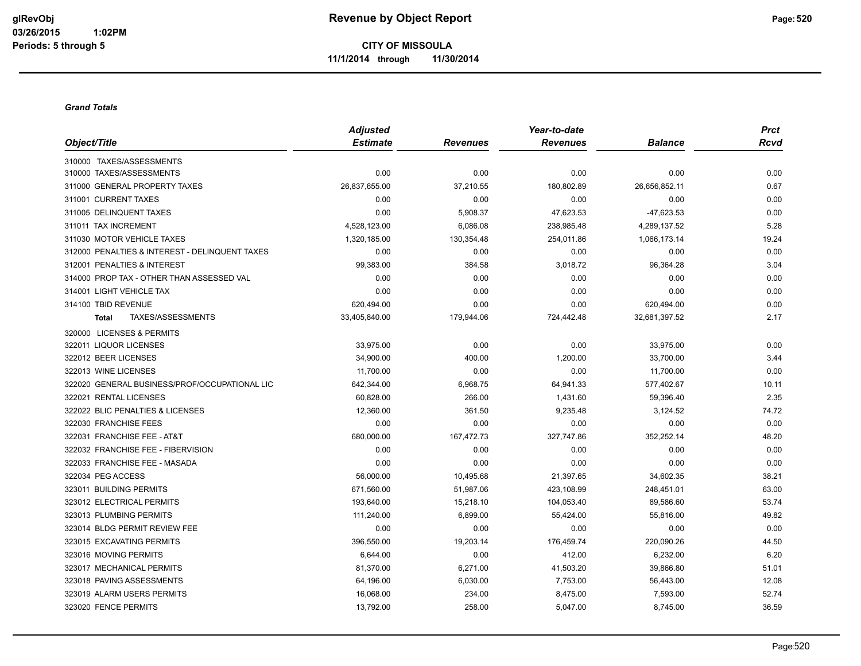**CITY OF MISSOULA 11/1/2014 through 11/30/2014**

#### *Grand Totals*

|                                                | <b>Adjusted</b> |                 | Year-to-date    |                | <b>Prct</b> |
|------------------------------------------------|-----------------|-----------------|-----------------|----------------|-------------|
| Object/Title                                   | <b>Estimate</b> | <b>Revenues</b> | <b>Revenues</b> | <b>Balance</b> | Rcvd        |
| 310000 TAXES/ASSESSMENTS                       |                 |                 |                 |                |             |
| 310000 TAXES/ASSESSMENTS                       | 0.00            | 0.00            | 0.00            | 0.00           | 0.00        |
| 311000 GENERAL PROPERTY TAXES                  | 26,837,655.00   | 37,210.55       | 180,802.89      | 26,656,852.11  | 0.67        |
| 311001 CURRENT TAXES                           | 0.00            | 0.00            | 0.00            | 0.00           | 0.00        |
| 311005 DELINQUENT TAXES                        | 0.00            | 5,908.37        | 47,623.53       | -47,623.53     | 0.00        |
| 311011 TAX INCREMENT                           | 4,528,123.00    | 6,086.08        | 238,985.48      | 4,289,137.52   | 5.28        |
| 311030 MOTOR VEHICLE TAXES                     | 1,320,185.00    | 130,354.48      | 254,011.86      | 1,066,173.14   | 19.24       |
| 312000 PENALTIES & INTEREST - DELINQUENT TAXES | 0.00            | 0.00            | 0.00            | 0.00           | 0.00        |
| 312001 PENALTIES & INTEREST                    | 99,383.00       | 384.58          | 3,018.72        | 96,364.28      | 3.04        |
| 314000 PROP TAX - OTHER THAN ASSESSED VAL      | 0.00            | 0.00            | 0.00            | 0.00           | 0.00        |
| 314001 LIGHT VEHICLE TAX                       | 0.00            | 0.00            | 0.00            | 0.00           | 0.00        |
| 314100 TBID REVENUE                            | 620,494.00      | 0.00            | 0.00            | 620,494.00     | 0.00        |
| TAXES/ASSESSMENTS<br><b>Total</b>              | 33,405,840.00   | 179,944.06      | 724,442.48      | 32,681,397.52  | 2.17        |
| 320000 LICENSES & PERMITS                      |                 |                 |                 |                |             |
| 322011 LIQUOR LICENSES                         | 33,975.00       | 0.00            | 0.00            | 33,975.00      | 0.00        |
| 322012 BEER LICENSES                           | 34,900.00       | 400.00          | 1,200.00        | 33,700.00      | 3.44        |
| 322013 WINE LICENSES                           | 11,700.00       | 0.00            | 0.00            | 11,700.00      | 0.00        |
| 322020 GENERAL BUSINESS/PROF/OCCUPATIONAL LIC  | 642,344.00      | 6,968.75        | 64,941.33       | 577,402.67     | 10.11       |
| 322021 RENTAL LICENSES                         | 60,828.00       | 266.00          | 1,431.60        | 59,396.40      | 2.35        |
| 322022 BLIC PENALTIES & LICENSES               | 12,360.00       | 361.50          | 9,235.48        | 3,124.52       | 74.72       |
| 322030 FRANCHISE FEES                          | 0.00            | 0.00            | 0.00            | 0.00           | 0.00        |
| 322031 FRANCHISE FEE - AT&T                    | 680,000.00      | 167,472.73      | 327,747.86      | 352,252.14     | 48.20       |
| 322032 FRANCHISE FEE - FIBERVISION             | 0.00            | 0.00            | 0.00            | 0.00           | 0.00        |
| 322033 FRANCHISE FEE - MASADA                  | 0.00            | 0.00            | 0.00            | 0.00           | 0.00        |
| 322034 PEG ACCESS                              | 56,000.00       | 10,495.68       | 21,397.65       | 34,602.35      | 38.21       |
| 323011 BUILDING PERMITS                        | 671,560.00      | 51,987.06       | 423,108.99      | 248,451.01     | 63.00       |
| 323012 ELECTRICAL PERMITS                      | 193,640.00      | 15,218.10       | 104,053.40      | 89,586.60      | 53.74       |
| 323013 PLUMBING PERMITS                        | 111,240.00      | 6,899.00        | 55,424.00       | 55,816.00      | 49.82       |
| 323014 BLDG PERMIT REVIEW FEE                  | 0.00            | 0.00            | 0.00            | 0.00           | 0.00        |
| 323015 EXCAVATING PERMITS                      | 396,550.00      | 19,203.14       | 176,459.74      | 220,090.26     | 44.50       |
| 323016 MOVING PERMITS                          | 6,644.00        | 0.00            | 412.00          | 6,232.00       | 6.20        |
| 323017 MECHANICAL PERMITS                      | 81,370.00       | 6,271.00        | 41,503.20       | 39,866.80      | 51.01       |
| 323018 PAVING ASSESSMENTS                      | 64,196.00       | 6,030.00        | 7,753.00        | 56,443.00      | 12.08       |
| 323019 ALARM USERS PERMITS                     | 16,068.00       | 234.00          | 8,475.00        | 7,593.00       | 52.74       |
| 323020 FENCE PERMITS                           | 13,792.00       | 258.00          | 5,047.00        | 8,745.00       | 36.59       |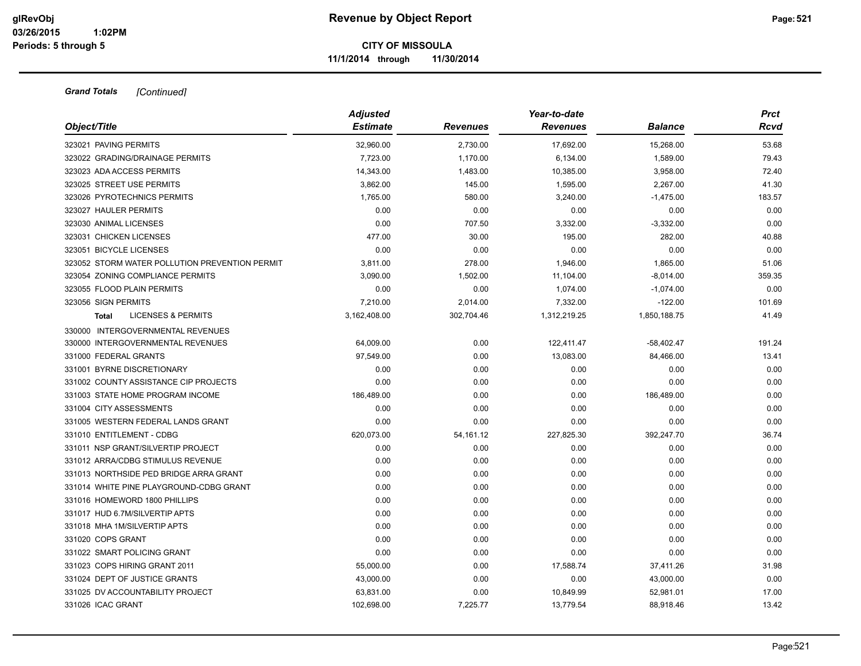**11/1/2014 through 11/30/2014**

| Object/Title                                   | <b>Adjusted</b><br><b>Estimate</b> | <b>Revenues</b> | Year-to-date<br><b>Revenues</b> | <b>Balance</b> | <b>Prct</b><br>Rcvd |
|------------------------------------------------|------------------------------------|-----------------|---------------------------------|----------------|---------------------|
| 323021 PAVING PERMITS                          | 32,960.00                          | 2,730.00        | 17,692.00                       | 15,268.00      | 53.68               |
| 323022 GRADING/DRAINAGE PERMITS                | 7,723.00                           | 1,170.00        | 6,134.00                        | 1,589.00       | 79.43               |
| 323023 ADA ACCESS PERMITS                      | 14,343.00                          | 1,483.00        | 10,385.00                       | 3,958.00       | 72.40               |
| 323025 STREET USE PERMITS                      | 3,862.00                           | 145.00          | 1,595.00                        | 2,267.00       | 41.30               |
| 323026 PYROTECHNICS PERMITS                    | 1,765.00                           | 580.00          | 3,240.00                        | $-1,475.00$    | 183.57              |
| 323027 HAULER PERMITS                          | 0.00                               | 0.00            | 0.00                            | 0.00           | 0.00                |
| 323030 ANIMAL LICENSES                         | 0.00                               | 707.50          | 3,332.00                        | $-3,332.00$    | 0.00                |
| 323031 CHICKEN LICENSES                        | 477.00                             | 30.00           | 195.00                          | 282.00         | 40.88               |
| 323051 BICYCLE LICENSES                        | 0.00                               | 0.00            | 0.00                            | 0.00           | 0.00                |
| 323052 STORM WATER POLLUTION PREVENTION PERMIT | 3,811.00                           | 278.00          | 1,946.00                        | 1,865.00       | 51.06               |
| 323054 ZONING COMPLIANCE PERMITS               | 3,090.00                           | 1,502.00        | 11,104.00                       | $-8,014.00$    | 359.35              |
| 323055 FLOOD PLAIN PERMITS                     | 0.00                               | 0.00            | 1,074.00                        | $-1,074.00$    | 0.00                |
| 323056 SIGN PERMITS                            | 7,210.00                           | 2,014.00        | 7,332.00                        | $-122.00$      | 101.69              |
| <b>LICENSES &amp; PERMITS</b><br><b>Total</b>  | 3,162,408.00                       | 302,704.46      | 1,312,219.25                    | 1,850,188.75   | 41.49               |
| 330000 INTERGOVERNMENTAL REVENUES              |                                    |                 |                                 |                |                     |
| 330000 INTERGOVERNMENTAL REVENUES              | 64,009.00                          | 0.00            | 122,411.47                      | $-58,402.47$   | 191.24              |
| 331000 FEDERAL GRANTS                          | 97,549.00                          | 0.00            | 13,083.00                       | 84,466.00      | 13.41               |
| 331001 BYRNE DISCRETIONARY                     | 0.00                               | 0.00            | 0.00                            | 0.00           | 0.00                |
| 331002 COUNTY ASSISTANCE CIP PROJECTS          | 0.00                               | 0.00            | 0.00                            | 0.00           | 0.00                |
| 331003 STATE HOME PROGRAM INCOME               | 186,489.00                         | 0.00            | 0.00                            | 186,489.00     | 0.00                |
| 331004 CITY ASSESSMENTS                        | 0.00                               | 0.00            | 0.00                            | 0.00           | 0.00                |
| 331005 WESTERN FEDERAL LANDS GRANT             | 0.00                               | 0.00            | 0.00                            | 0.00           | 0.00                |
| 331010 ENTITLEMENT - CDBG                      | 620,073.00                         | 54,161.12       | 227,825.30                      | 392,247.70     | 36.74               |
| 331011 NSP GRANT/SILVERTIP PROJECT             | 0.00                               | 0.00            | 0.00                            | 0.00           | 0.00                |
| 331012 ARRA/CDBG STIMULUS REVENUE              | 0.00                               | 0.00            | 0.00                            | 0.00           | 0.00                |
| 331013 NORTHSIDE PED BRIDGE ARRA GRANT         | 0.00                               | 0.00            | 0.00                            | 0.00           | 0.00                |
| 331014 WHITE PINE PLAYGROUND-CDBG GRANT        | 0.00                               | 0.00            | 0.00                            | 0.00           | 0.00                |
| 331016 HOMEWORD 1800 PHILLIPS                  | 0.00                               | 0.00            | 0.00                            | 0.00           | 0.00                |
| 331017 HUD 6.7M/SILVERTIP APTS                 | 0.00                               | 0.00            | 0.00                            | 0.00           | 0.00                |
| 331018 MHA 1M/SILVERTIP APTS                   | 0.00                               | 0.00            | 0.00                            | 0.00           | 0.00                |
| 331020 COPS GRANT                              | 0.00                               | 0.00            | 0.00                            | 0.00           | 0.00                |
| 331022 SMART POLICING GRANT                    | 0.00                               | 0.00            | 0.00                            | 0.00           | 0.00                |
| 331023 COPS HIRING GRANT 2011                  | 55,000.00                          | 0.00            | 17,588.74                       | 37,411.26      | 31.98               |
| 331024 DEPT OF JUSTICE GRANTS                  | 43,000.00                          | 0.00            | 0.00                            | 43,000.00      | 0.00                |
| 331025 DV ACCOUNTABILITY PROJECT               | 63,831.00                          | 0.00            | 10,849.99                       | 52,981.01      | 17.00               |
| 331026 ICAC GRANT                              | 102,698.00                         | 7.225.77        | 13,779.54                       | 88,918.46      | 13.42               |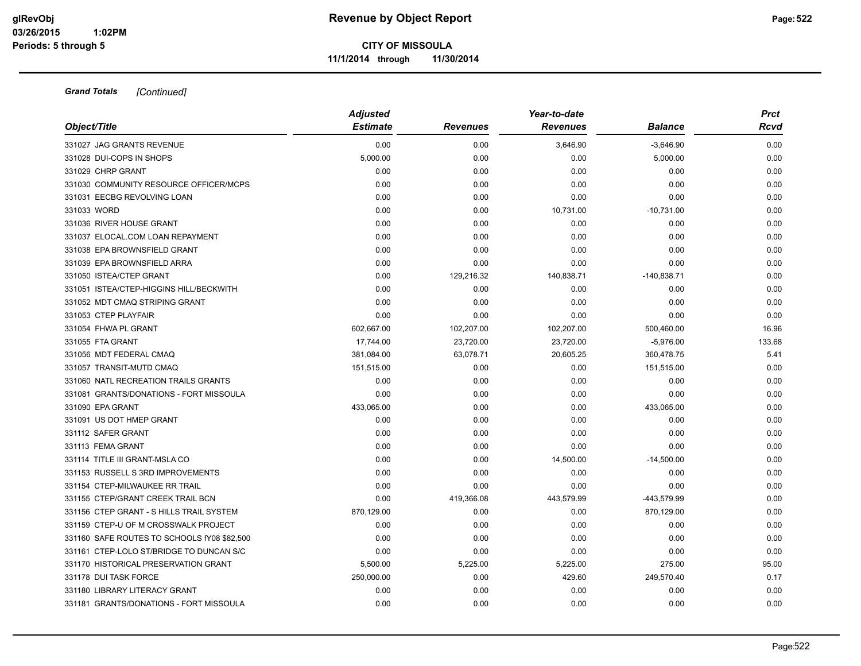**11/1/2014 through 11/30/2014**

|                                             | <b>Adjusted</b> |                 | Year-to-date    |                | <b>Prct</b> |
|---------------------------------------------|-----------------|-----------------|-----------------|----------------|-------------|
| Object/Title                                | <b>Estimate</b> | <b>Revenues</b> | <b>Revenues</b> | <b>Balance</b> | <b>Rcvd</b> |
| 331027 JAG GRANTS REVENUE                   | 0.00            | 0.00            | 3,646.90        | $-3,646.90$    | 0.00        |
| 331028 DUI-COPS IN SHOPS                    | 5,000.00        | 0.00            | 0.00            | 5,000.00       | 0.00        |
| 331029 CHRP GRANT                           | 0.00            | 0.00            | 0.00            | 0.00           | 0.00        |
| 331030 COMMUNITY RESOURCE OFFICER/MCPS      | 0.00            | 0.00            | 0.00            | 0.00           | 0.00        |
| 331031 EECBG REVOLVING LOAN                 | 0.00            | 0.00            | 0.00            | 0.00           | 0.00        |
| 331033 WORD                                 | 0.00            | 0.00            | 10,731.00       | $-10,731.00$   | 0.00        |
| 331036 RIVER HOUSE GRANT                    | 0.00            | 0.00            | 0.00            | 0.00           | 0.00        |
| 331037 ELOCAL.COM LOAN REPAYMENT            | 0.00            | 0.00            | 0.00            | 0.00           | 0.00        |
| 331038 EPA BROWNSFIELD GRANT                | 0.00            | 0.00            | 0.00            | 0.00           | 0.00        |
| 331039 EPA BROWNSFIELD ARRA                 | 0.00            | 0.00            | 0.00            | 0.00           | 0.00        |
| 331050 ISTEA/CTEP GRANT                     | 0.00            | 129,216.32      | 140,838.71      | $-140,838.71$  | 0.00        |
| 331051 ISTEA/CTEP-HIGGINS HILL/BECKWITH     | 0.00            | 0.00            | 0.00            | 0.00           | 0.00        |
| 331052 MDT CMAQ STRIPING GRANT              | 0.00            | 0.00            | 0.00            | 0.00           | 0.00        |
| 331053 CTEP PLAYFAIR                        | 0.00            | 0.00            | 0.00            | 0.00           | 0.00        |
| 331054 FHWA PL GRANT                        | 602,667.00      | 102,207.00      | 102,207.00      | 500,460.00     | 16.96       |
| 331055 FTA GRANT                            | 17,744.00       | 23,720.00       | 23,720.00       | $-5,976.00$    | 133.68      |
| 331056 MDT FEDERAL CMAQ                     | 381,084.00      | 63,078.71       | 20,605.25       | 360,478.75     | 5.41        |
| 331057 TRANSIT-MUTD CMAQ                    | 151,515.00      | 0.00            | 0.00            | 151,515.00     | 0.00        |
| 331060 NATL RECREATION TRAILS GRANTS        | 0.00            | 0.00            | 0.00            | 0.00           | 0.00        |
| 331081 GRANTS/DONATIONS - FORT MISSOULA     | 0.00            | 0.00            | 0.00            | 0.00           | 0.00        |
| 331090 EPA GRANT                            | 433,065.00      | 0.00            | 0.00            | 433,065.00     | 0.00        |
| 331091 US DOT HMEP GRANT                    | 0.00            | 0.00            | 0.00            | 0.00           | 0.00        |
| 331112 SAFER GRANT                          | 0.00            | 0.00            | 0.00            | 0.00           | 0.00        |
| 331113 FEMA GRANT                           | 0.00            | 0.00            | 0.00            | 0.00           | 0.00        |
| 331114 TITLE III GRANT-MSLA CO              | 0.00            | 0.00            | 14,500.00       | $-14,500.00$   | 0.00        |
| 331153 RUSSELL S 3RD IMPROVEMENTS           | 0.00            | 0.00            | 0.00            | 0.00           | 0.00        |
| 331154 CTEP-MILWAUKEE RR TRAIL              | 0.00            | 0.00            | 0.00            | 0.00           | 0.00        |
| 331155 CTEP/GRANT CREEK TRAIL BCN           | 0.00            | 419,366.08      | 443,579.99      | -443,579.99    | 0.00        |
| 331156 CTEP GRANT - S HILLS TRAIL SYSTEM    | 870,129.00      | 0.00            | 0.00            | 870,129.00     | 0.00        |
| 331159 CTEP-U OF M CROSSWALK PROJECT        | 0.00            | 0.00            | 0.00            | 0.00           | 0.00        |
| 331160 SAFE ROUTES TO SCHOOLS fY08 \$82,500 | 0.00            | 0.00            | 0.00            | 0.00           | 0.00        |
| 331161 CTEP-LOLO ST/BRIDGE TO DUNCAN S/C    | 0.00            | 0.00            | 0.00            | 0.00           | 0.00        |
| 331170 HISTORICAL PRESERVATION GRANT        | 5,500.00        | 5,225.00        | 5,225.00        | 275.00         | 95.00       |
| 331178 DUI TASK FORCE                       | 250,000.00      | 0.00            | 429.60          | 249,570.40     | 0.17        |
| 331180 LIBRARY LITERACY GRANT               | 0.00            | 0.00            | 0.00            | 0.00           | 0.00        |
| 331181 GRANTS/DONATIONS - FORT MISSOULA     | 0.00            | 0.00            | 0.00            | 0.00           | 0.00        |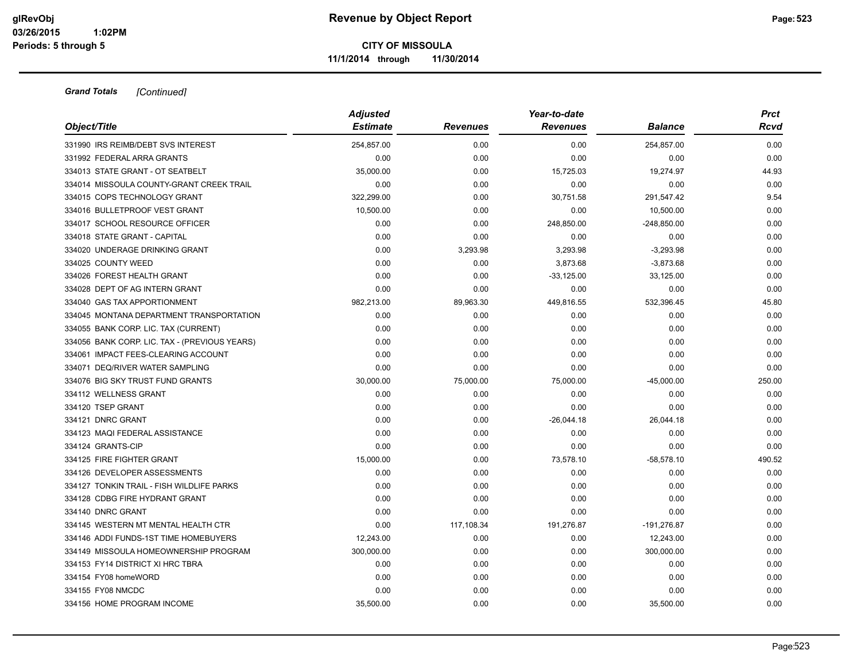**11/1/2014 through 11/30/2014**

|                                               | <b>Adjusted</b> |                 | Year-to-date    |                | <b>Prct</b> |
|-----------------------------------------------|-----------------|-----------------|-----------------|----------------|-------------|
| Object/Title                                  | <b>Estimate</b> | <b>Revenues</b> | <b>Revenues</b> | <b>Balance</b> | Rcvd        |
| 331990 IRS REIMB/DEBT SVS INTEREST            | 254.857.00      | 0.00            | 0.00            | 254,857.00     | 0.00        |
| 331992 FEDERAL ARRA GRANTS                    | 0.00            | 0.00            | 0.00            | 0.00           | 0.00        |
| 334013 STATE GRANT - OT SEATBELT              | 35,000.00       | 0.00            | 15,725.03       | 19,274.97      | 44.93       |
| 334014 MISSOULA COUNTY-GRANT CREEK TRAIL      | 0.00            | 0.00            | 0.00            | 0.00           | 0.00        |
| 334015 COPS TECHNOLOGY GRANT                  | 322,299.00      | 0.00            | 30,751.58       | 291,547.42     | 9.54        |
| 334016 BULLETPROOF VEST GRANT                 | 10,500.00       | 0.00            | 0.00            | 10,500.00      | 0.00        |
| 334017 SCHOOL RESOURCE OFFICER                | 0.00            | 0.00            | 248,850.00      | $-248,850.00$  | 0.00        |
| 334018 STATE GRANT - CAPITAL                  | 0.00            | 0.00            | 0.00            | 0.00           | 0.00        |
| 334020 UNDERAGE DRINKING GRANT                | 0.00            | 3,293.98        | 3,293.98        | $-3,293.98$    | 0.00        |
| 334025 COUNTY WEED                            | 0.00            | 0.00            | 3,873.68        | $-3,873.68$    | 0.00        |
| 334026 FOREST HEALTH GRANT                    | 0.00            | 0.00            | $-33,125.00$    | 33,125.00      | 0.00        |
| 334028 DEPT OF AG INTERN GRANT                | 0.00            | 0.00            | 0.00            | 0.00           | 0.00        |
| 334040 GAS TAX APPORTIONMENT                  | 982,213.00      | 89,963.30       | 449,816.55      | 532,396.45     | 45.80       |
| 334045 MONTANA DEPARTMENT TRANSPORTATION      | 0.00            | 0.00            | 0.00            | 0.00           | 0.00        |
| 334055 BANK CORP. LIC. TAX (CURRENT)          | 0.00            | 0.00            | 0.00            | 0.00           | 0.00        |
| 334056 BANK CORP. LIC. TAX - (PREVIOUS YEARS) | 0.00            | 0.00            | 0.00            | 0.00           | 0.00        |
| 334061 IMPACT FEES-CLEARING ACCOUNT           | 0.00            | 0.00            | 0.00            | 0.00           | 0.00        |
| 334071 DEQ/RIVER WATER SAMPLING               | 0.00            | 0.00            | 0.00            | 0.00           | 0.00        |
| 334076 BIG SKY TRUST FUND GRANTS              | 30,000.00       | 75,000.00       | 75,000.00       | $-45,000.00$   | 250.00      |
| 334112 WELLNESS GRANT                         | 0.00            | 0.00            | 0.00            | 0.00           | 0.00        |
| 334120 TSEP GRANT                             | 0.00            | 0.00            | 0.00            | 0.00           | 0.00        |
| 334121 DNRC GRANT                             | 0.00            | 0.00            | $-26,044.18$    | 26,044.18      | 0.00        |
| 334123 MAQI FEDERAL ASSISTANCE                | 0.00            | 0.00            | 0.00            | 0.00           | 0.00        |
| 334124 GRANTS-CIP                             | 0.00            | 0.00            | 0.00            | 0.00           | 0.00        |
| 334125 FIRE FIGHTER GRANT                     | 15,000.00       | 0.00            | 73,578.10       | $-58,578.10$   | 490.52      |
| 334126 DEVELOPER ASSESSMENTS                  | 0.00            | 0.00            | 0.00            | 0.00           | 0.00        |
| 334127 TONKIN TRAIL - FISH WILDLIFE PARKS     | 0.00            | 0.00            | 0.00            | 0.00           | 0.00        |
| 334128 CDBG FIRE HYDRANT GRANT                | 0.00            | 0.00            | 0.00            | 0.00           | 0.00        |
| 334140 DNRC GRANT                             | 0.00            | 0.00            | 0.00            | 0.00           | 0.00        |
| 334145 WESTERN MT MENTAL HEALTH CTR           | 0.00            | 117,108.34      | 191,276.87      | -191,276.87    | 0.00        |
| 334146 ADDI FUNDS-1ST TIME HOMEBUYERS         | 12,243.00       | 0.00            | 0.00            | 12,243.00      | 0.00        |
| 334149 MISSOULA HOMEOWNERSHIP PROGRAM         | 300,000.00      | 0.00            | 0.00            | 300,000.00     | 0.00        |
| 334153 FY14 DISTRICT XI HRC TBRA              | 0.00            | 0.00            | 0.00            | 0.00           | 0.00        |
| 334154 FY08 homeWORD                          | 0.00            | 0.00            | 0.00            | 0.00           | 0.00        |
| 334155 FY08 NMCDC                             | 0.00            | 0.00            | 0.00            | 0.00           | 0.00        |
| 334156 HOME PROGRAM INCOME                    | 35.500.00       | 0.00            | 0.00            | 35,500.00      | 0.00        |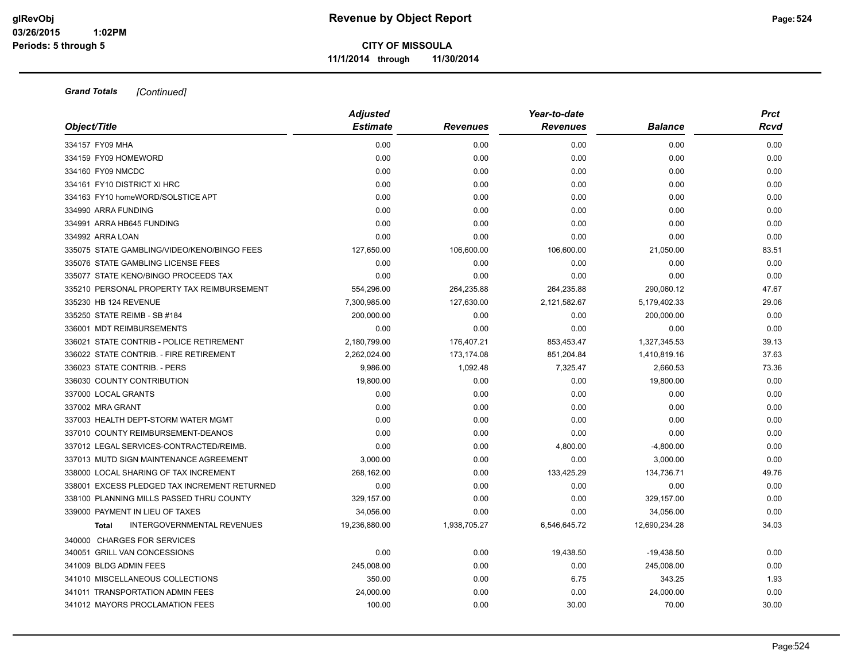**11/1/2014 through 11/30/2014**

|                                                   | <b>Adjusted</b> |                 | Year-to-date    |                | <b>Prct</b> |
|---------------------------------------------------|-----------------|-----------------|-----------------|----------------|-------------|
| Object/Title                                      | <b>Estimate</b> | <b>Revenues</b> | <b>Revenues</b> | <b>Balance</b> | Rcvd        |
| 334157 FY09 MHA                                   | 0.00            | 0.00            | 0.00            | 0.00           | 0.00        |
| 334159 FY09 HOMEWORD                              | 0.00            | 0.00            | 0.00            | 0.00           | 0.00        |
| 334160 FY09 NMCDC                                 | 0.00            | 0.00            | 0.00            | 0.00           | 0.00        |
| 334161 FY10 DISTRICT XI HRC                       | 0.00            | 0.00            | 0.00            | 0.00           | 0.00        |
| 334163 FY10 homeWORD/SOLSTICE APT                 | 0.00            | 0.00            | 0.00            | 0.00           | 0.00        |
| 334990 ARRA FUNDING                               | 0.00            | 0.00            | 0.00            | 0.00           | 0.00        |
| 334991 ARRA HB645 FUNDING                         | 0.00            | 0.00            | 0.00            | 0.00           | 0.00        |
| 334992 ARRA LOAN                                  | 0.00            | 0.00            | 0.00            | 0.00           | 0.00        |
| 335075 STATE GAMBLING/VIDEO/KENO/BINGO FEES       | 127,650.00      | 106,600.00      | 106,600.00      | 21,050.00      | 83.51       |
| 335076 STATE GAMBLING LICENSE FEES                | 0.00            | 0.00            | 0.00            | 0.00           | 0.00        |
| 335077 STATE KENO/BINGO PROCEEDS TAX              | 0.00            | 0.00            | 0.00            | 0.00           | 0.00        |
| 335210 PERSONAL PROPERTY TAX REIMBURSEMENT        | 554,296.00      | 264,235.88      | 264,235.88      | 290,060.12     | 47.67       |
| 335230 HB 124 REVENUE                             | 7,300,985.00    | 127,630.00      | 2,121,582.67    | 5,179,402.33   | 29.06       |
| 335250 STATE REIMB - SB #184                      | 200,000.00      | 0.00            | 0.00            | 200,000.00     | 0.00        |
| 336001 MDT REIMBURSEMENTS                         | 0.00            | 0.00            | 0.00            | 0.00           | 0.00        |
| 336021 STATE CONTRIB - POLICE RETIREMENT          | 2,180,799.00    | 176,407.21      | 853,453.47      | 1,327,345.53   | 39.13       |
| 336022 STATE CONTRIB. - FIRE RETIREMENT           | 2,262,024.00    | 173,174.08      | 851,204.84      | 1,410,819.16   | 37.63       |
| 336023 STATE CONTRIB. - PERS                      | 9,986.00        | 1,092.48        | 7,325.47        | 2,660.53       | 73.36       |
| 336030 COUNTY CONTRIBUTION                        | 19,800.00       | 0.00            | 0.00            | 19,800.00      | 0.00        |
| 337000 LOCAL GRANTS                               | 0.00            | 0.00            | 0.00            | 0.00           | 0.00        |
| 337002 MRA GRANT                                  | 0.00            | 0.00            | 0.00            | 0.00           | 0.00        |
| 337003 HEALTH DEPT-STORM WATER MGMT               | 0.00            | 0.00            | 0.00            | 0.00           | 0.00        |
| 337010 COUNTY REIMBURSEMENT-DEANOS                | 0.00            | 0.00            | 0.00            | 0.00           | 0.00        |
| 337012 LEGAL SERVICES-CONTRACTED/REIMB.           | 0.00            | 0.00            | 4,800.00        | $-4,800.00$    | 0.00        |
| 337013 MUTD SIGN MAINTENANCE AGREEMENT            | 3,000.00        | 0.00            | 0.00            | 3,000.00       | 0.00        |
| 338000 LOCAL SHARING OF TAX INCREMENT             | 268,162.00      | 0.00            | 133,425.29      | 134,736.71     | 49.76       |
| 338001 EXCESS PLEDGED TAX INCREMENT RETURNED      | 0.00            | 0.00            | 0.00            | 0.00           | 0.00        |
| 338100 PLANNING MILLS PASSED THRU COUNTY          | 329,157.00      | 0.00            | 0.00            | 329,157.00     | 0.00        |
| 339000 PAYMENT IN LIEU OF TAXES                   | 34,056.00       | 0.00            | 0.00            | 34,056.00      | 0.00        |
| <b>INTERGOVERNMENTAL REVENUES</b><br><b>Total</b> | 19,236,880.00   | 1,938,705.27    | 6,546,645.72    | 12,690,234.28  | 34.03       |
| 340000 CHARGES FOR SERVICES                       |                 |                 |                 |                |             |
| 340051 GRILL VAN CONCESSIONS                      | 0.00            | 0.00            | 19,438.50       | $-19,438.50$   | 0.00        |
| 341009 BLDG ADMIN FEES                            | 245,008.00      | 0.00            | 0.00            | 245,008.00     | 0.00        |
| 341010 MISCELLANEOUS COLLECTIONS                  | 350.00          | 0.00            | 6.75            | 343.25         | 1.93        |
| 341011 TRANSPORTATION ADMIN FEES                  | 24,000.00       | 0.00            | 0.00            | 24,000.00      | 0.00        |
| 341012 MAYORS PROCLAMATION FEES                   | 100.00          | 0.00            | 30.00           | 70.00          | 30.00       |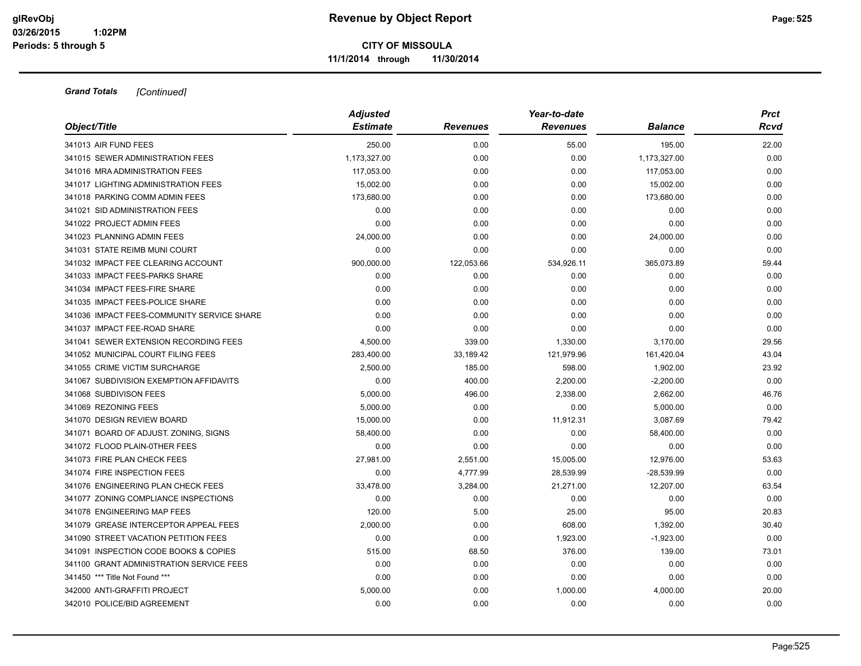**11/1/2014 through 11/30/2014**

| Object/Title                               | <b>Adjusted</b> |                 | Year-to-date    |                | <b>Prct</b> |
|--------------------------------------------|-----------------|-----------------|-----------------|----------------|-------------|
|                                            | <b>Estimate</b> | <b>Revenues</b> | <b>Revenues</b> | <b>Balance</b> | Rcvd        |
| 341013 AIR FUND FEES                       | 250.00          | 0.00            | 55.00           | 195.00         | 22.00       |
| 341015 SEWER ADMINISTRATION FEES           | 1,173,327.00    | 0.00            | 0.00            | 1,173,327.00   | 0.00        |
| 341016 MRA ADMINISTRATION FEES             | 117,053.00      | 0.00            | 0.00            | 117,053.00     | 0.00        |
| 341017 LIGHTING ADMINISTRATION FEES        | 15,002.00       | 0.00            | 0.00            | 15,002.00      | 0.00        |
| 341018 PARKING COMM ADMIN FEES             | 173,680.00      | 0.00            | 0.00            | 173,680.00     | 0.00        |
| 341021 SID ADMINISTRATION FEES             | 0.00            | 0.00            | 0.00            | 0.00           | 0.00        |
| 341022 PROJECT ADMIN FEES                  | 0.00            | 0.00            | 0.00            | 0.00           | 0.00        |
| 341023 PLANNING ADMIN FEES                 | 24,000.00       | 0.00            | 0.00            | 24,000.00      | 0.00        |
| 341031 STATE REIMB MUNI COURT              | 0.00            | 0.00            | 0.00            | 0.00           | 0.00        |
| 341032 IMPACT FEE CLEARING ACCOUNT         | 900,000.00      | 122,053.66      | 534,926.11      | 365,073.89     | 59.44       |
| 341033 IMPACT FEES-PARKS SHARE             | 0.00            | 0.00            | 0.00            | 0.00           | 0.00        |
| 341034 IMPACT FEES-FIRE SHARE              | 0.00            | 0.00            | 0.00            | 0.00           | 0.00        |
| 341035 IMPACT FEES-POLICE SHARE            | 0.00            | 0.00            | 0.00            | 0.00           | 0.00        |
| 341036 IMPACT FEES-COMMUNITY SERVICE SHARE | 0.00            | 0.00            | 0.00            | 0.00           | 0.00        |
| 341037 IMPACT FEE-ROAD SHARE               | 0.00            | 0.00            | 0.00            | 0.00           | 0.00        |
| 341041 SEWER EXTENSION RECORDING FEES      | 4,500.00        | 339.00          | 1,330.00        | 3,170.00       | 29.56       |
| 341052 MUNICIPAL COURT FILING FEES         | 283,400.00      | 33,189.42       | 121,979.96      | 161,420.04     | 43.04       |
| 341055 CRIME VICTIM SURCHARGE              | 2,500.00        | 185.00          | 598.00          | 1,902.00       | 23.92       |
| 341067 SUBDIVISION EXEMPTION AFFIDAVITS    | 0.00            | 400.00          | 2,200.00        | $-2,200.00$    | 0.00        |
| 341068 SUBDIVISON FEES                     | 5,000.00        | 496.00          | 2,338.00        | 2,662.00       | 46.76       |
| 341069 REZONING FEES                       | 5.000.00        | 0.00            | 0.00            | 5,000.00       | 0.00        |
| 341070 DESIGN REVIEW BOARD                 | 15,000.00       | 0.00            | 11,912.31       | 3,087.69       | 79.42       |
| 341071 BOARD OF ADJUST. ZONING, SIGNS      | 58,400.00       | 0.00            | 0.00            | 58,400.00      | 0.00        |
| 341072 FLOOD PLAIN-0THER FEES              | 0.00            | 0.00            | 0.00            | 0.00           | 0.00        |
| 341073 FIRE PLAN CHECK FEES                | 27,981.00       | 2,551.00        | 15,005.00       | 12,976.00      | 53.63       |
| 341074 FIRE INSPECTION FEES                | 0.00            | 4,777.99        | 28,539.99       | $-28,539.99$   | 0.00        |
| 341076 ENGINEERING PLAN CHECK FEES         | 33,478.00       | 3,284.00        | 21,271.00       | 12,207.00      | 63.54       |
| 341077 ZONING COMPLIANCE INSPECTIONS       | 0.00            | 0.00            | 0.00            | 0.00           | 0.00        |
| 341078 ENGINEERING MAP FEES                | 120.00          | 5.00            | 25.00           | 95.00          | 20.83       |
| 341079 GREASE INTERCEPTOR APPEAL FEES      | 2,000.00        | 0.00            | 608.00          | 1,392.00       | 30.40       |
| 341090 STREET VACATION PETITION FEES       | 0.00            | 0.00            | 1,923.00        | $-1,923.00$    | 0.00        |
| 341091 INSPECTION CODE BOOKS & COPIES      | 515.00          | 68.50           | 376.00          | 139.00         | 73.01       |
| 341100 GRANT ADMINISTRATION SERVICE FEES   | 0.00            | 0.00            | 0.00            | 0.00           | 0.00        |
| 341450 *** Title Not Found ***             | 0.00            | 0.00            | 0.00            | 0.00           | 0.00        |
| 342000 ANTI-GRAFFITI PROJECT               | 5,000.00        | 0.00            | 1,000.00        | 4,000.00       | 20.00       |
| 342010 POLICE/BID AGREEMENT                | 0.00            | 0.00            | 0.00            | 0.00           | 0.00        |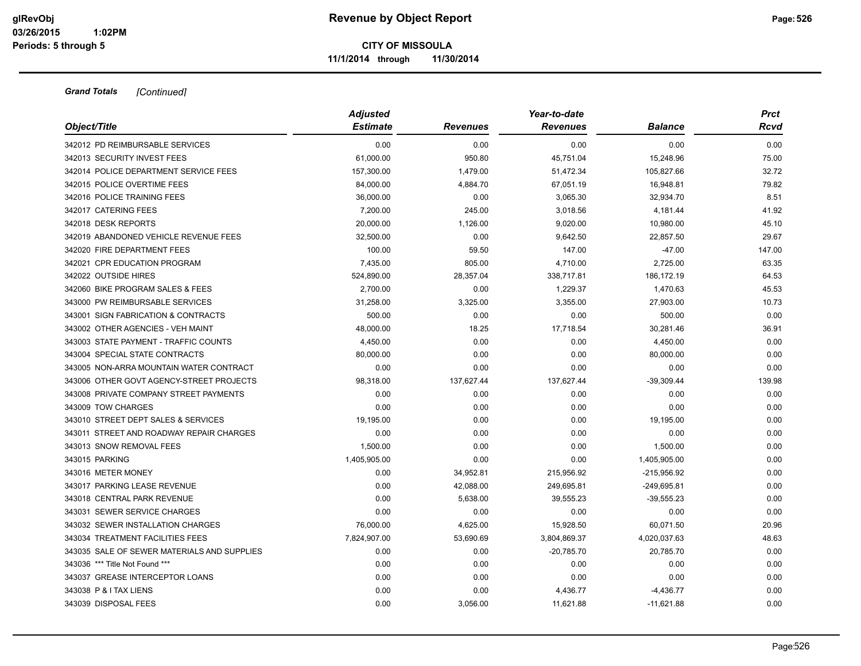**11/1/2014 through 11/30/2014**

|                                             | <b>Adjusted</b> |                 | Year-to-date    |                | <b>Prct</b> |  |
|---------------------------------------------|-----------------|-----------------|-----------------|----------------|-------------|--|
| Object/Title                                | <b>Estimate</b> | <b>Revenues</b> | <b>Revenues</b> | <b>Balance</b> | Rcvd        |  |
| 342012 PD REIMBURSABLE SERVICES             | 0.00            | 0.00            | 0.00            | 0.00           | 0.00        |  |
| 342013 SECURITY INVEST FEES                 | 61,000.00       | 950.80          | 45,751.04       | 15,248.96      | 75.00       |  |
| 342014 POLICE DEPARTMENT SERVICE FEES       | 157,300.00      | 1,479.00        | 51,472.34       | 105,827.66     | 32.72       |  |
| 342015 POLICE OVERTIME FEES                 | 84,000.00       | 4,884.70        | 67,051.19       | 16,948.81      | 79.82       |  |
| 342016 POLICE TRAINING FEES                 | 36,000.00       | 0.00            | 3,065.30        | 32,934.70      | 8.51        |  |
| 342017 CATERING FEES                        | 7,200.00        | 245.00          | 3,018.56        | 4,181.44       | 41.92       |  |
| 342018 DESK REPORTS                         | 20,000.00       | 1,126.00        | 9,020.00        | 10,980.00      | 45.10       |  |
| 342019 ABANDONED VEHICLE REVENUE FEES       | 32,500.00       | 0.00            | 9,642.50        | 22,857.50      | 29.67       |  |
| 342020 FIRE DEPARTMENT FEES                 | 100.00          | 59.50           | 147.00          | $-47.00$       | 147.00      |  |
| 342021 CPR EDUCATION PROGRAM                | 7,435.00        | 805.00          | 4,710.00        | 2,725.00       | 63.35       |  |
| 342022 OUTSIDE HIRES                        | 524,890.00      | 28,357.04       | 338,717.81      | 186,172.19     | 64.53       |  |
| 342060 BIKE PROGRAM SALES & FEES            | 2,700.00        | 0.00            | 1,229.37        | 1,470.63       | 45.53       |  |
| 343000 PW REIMBURSABLE SERVICES             | 31,258.00       | 3,325.00        | 3,355.00        | 27,903.00      | 10.73       |  |
| 343001 SIGN FABRICATION & CONTRACTS         | 500.00          | 0.00            | 0.00            | 500.00         | 0.00        |  |
| 343002 OTHER AGENCIES - VEH MAINT           | 48,000.00       | 18.25           | 17,718.54       | 30,281.46      | 36.91       |  |
| 343003 STATE PAYMENT - TRAFFIC COUNTS       | 4,450.00        | 0.00            | 0.00            | 4,450.00       | 0.00        |  |
| 343004 SPECIAL STATE CONTRACTS              | 80,000.00       | 0.00            | 0.00            | 80,000.00      | 0.00        |  |
| 343005 NON-ARRA MOUNTAIN WATER CONTRACT     | 0.00            | 0.00            | 0.00            | 0.00           | 0.00        |  |
| 343006 OTHER GOVT AGENCY-STREET PROJECTS    | 98,318.00       | 137,627.44      | 137,627.44      | $-39,309.44$   | 139.98      |  |
| 343008 PRIVATE COMPANY STREET PAYMENTS      | 0.00            | 0.00            | 0.00            | 0.00           | 0.00        |  |
| 343009 TOW CHARGES                          | 0.00            | 0.00            | 0.00            | 0.00           | 0.00        |  |
| 343010 STREET DEPT SALES & SERVICES         | 19,195.00       | 0.00            | 0.00            | 19,195.00      | 0.00        |  |
| 343011 STREET AND ROADWAY REPAIR CHARGES    | 0.00            | 0.00            | 0.00            | 0.00           | 0.00        |  |
| 343013 SNOW REMOVAL FEES                    | 1,500.00        | 0.00            | 0.00            | 1,500.00       | 0.00        |  |
| 343015 PARKING                              | 1,405,905.00    | 0.00            | 0.00            | 1,405,905.00   | 0.00        |  |
| 343016 METER MONEY                          | 0.00            | 34,952.81       | 215,956.92      | $-215,956.92$  | 0.00        |  |
| 343017 PARKING LEASE REVENUE                | 0.00            | 42,088.00       | 249,695.81      | $-249,695.81$  | 0.00        |  |
| 343018 CENTRAL PARK REVENUE                 | 0.00            | 5,638.00        | 39,555.23       | $-39,555.23$   | 0.00        |  |
| 343031 SEWER SERVICE CHARGES                | 0.00            | 0.00            | 0.00            | 0.00           | 0.00        |  |
| 343032 SEWER INSTALLATION CHARGES           | 76,000.00       | 4,625.00        | 15,928.50       | 60,071.50      | 20.96       |  |
| 343034 TREATMENT FACILITIES FEES            | 7,824,907.00    | 53,690.69       | 3,804,869.37    | 4,020,037.63   | 48.63       |  |
| 343035 SALE OF SEWER MATERIALS AND SUPPLIES | 0.00            | 0.00            | $-20,785.70$    | 20,785.70      | 0.00        |  |
| 343036 *** Title Not Found ***              | 0.00            | 0.00            | 0.00            | 0.00           | 0.00        |  |
| 343037 GREASE INTERCEPTOR LOANS             | 0.00            | 0.00            | 0.00            | 0.00           | 0.00        |  |
| 343038 P & I TAX LIENS                      | 0.00            | 0.00            | 4,436.77        | $-4,436.77$    | 0.00        |  |
| 343039 DISPOSAL FEES                        | 0.00            | 3,056.00        | 11,621.88       | $-11,621.88$   | 0.00        |  |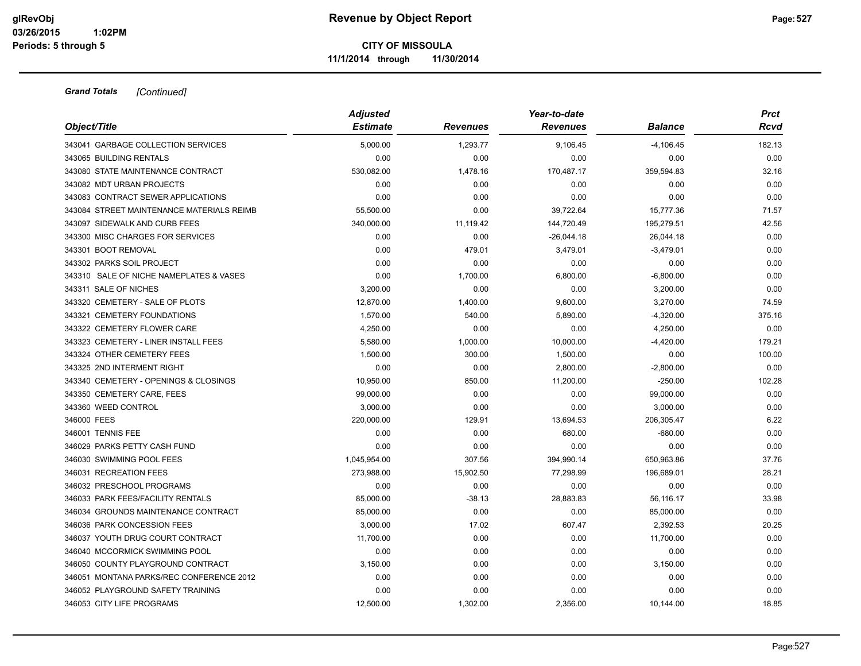**11/1/2014 through 11/30/2014**

| Object/Title                              | <b>Adjusted</b> |                 | Year-to-date    |                | <b>Prct</b> |
|-------------------------------------------|-----------------|-----------------|-----------------|----------------|-------------|
|                                           | <b>Estimate</b> | <b>Revenues</b> | <b>Revenues</b> | <b>Balance</b> | Rcvd        |
| 343041 GARBAGE COLLECTION SERVICES        | 5,000.00        | 1,293.77        | 9,106.45        | $-4,106.45$    | 182.13      |
| 343065 BUILDING RENTALS                   | 0.00            | 0.00            | 0.00            | 0.00           | 0.00        |
| 343080 STATE MAINTENANCE CONTRACT         | 530,082.00      | 1,478.16        | 170,487.17      | 359,594.83     | 32.16       |
| 343082 MDT URBAN PROJECTS                 | 0.00            | 0.00            | 0.00            | 0.00           | 0.00        |
| 343083 CONTRACT SEWER APPLICATIONS        | 0.00            | 0.00            | 0.00            | 0.00           | 0.00        |
| 343084 STREET MAINTENANCE MATERIALS REIMB | 55,500.00       | 0.00            | 39,722.64       | 15,777.36      | 71.57       |
| 343097 SIDEWALK AND CURB FEES             | 340,000.00      | 11,119.42       | 144,720.49      | 195,279.51     | 42.56       |
| 343300 MISC CHARGES FOR SERVICES          | 0.00            | 0.00            | $-26,044.18$    | 26,044.18      | 0.00        |
| 343301 BOOT REMOVAL                       | 0.00            | 479.01          | 3,479.01        | $-3,479.01$    | 0.00        |
| 343302 PARKS SOIL PROJECT                 | 0.00            | 0.00            | 0.00            | 0.00           | 0.00        |
| 343310 SALE OF NICHE NAMEPLATES & VASES   | 0.00            | 1,700.00        | 6,800.00        | $-6,800.00$    | 0.00        |
| 343311 SALE OF NICHES                     | 3,200.00        | 0.00            | 0.00            | 3,200.00       | 0.00        |
| 343320 CEMETERY - SALE OF PLOTS           | 12,870.00       | 1,400.00        | 9,600.00        | 3,270.00       | 74.59       |
| 343321 CEMETERY FOUNDATIONS               | 1,570.00        | 540.00          | 5,890.00        | $-4,320.00$    | 375.16      |
| 343322 CEMETERY FLOWER CARE               | 4,250.00        | 0.00            | 0.00            | 4,250.00       | 0.00        |
| 343323 CEMETERY - LINER INSTALL FEES      | 5,580.00        | 1,000.00        | 10,000.00       | $-4,420.00$    | 179.21      |
| 343324 OTHER CEMETERY FEES                | 1,500.00        | 300.00          | 1,500.00        | 0.00           | 100.00      |
| 343325 2ND INTERMENT RIGHT                | 0.00            | 0.00            | 2,800.00        | $-2,800.00$    | 0.00        |
| 343340 CEMETERY - OPENINGS & CLOSINGS     | 10,950.00       | 850.00          | 11,200.00       | $-250.00$      | 102.28      |
| 343350 CEMETERY CARE, FEES                | 99,000.00       | 0.00            | 0.00            | 99,000.00      | 0.00        |
| 343360 WEED CONTROL                       | 3,000.00        | 0.00            | 0.00            | 3,000.00       | 0.00        |
| 346000 FEES                               | 220,000.00      | 129.91          | 13,694.53       | 206,305.47     | 6.22        |
| 346001 TENNIS FEE                         | 0.00            | 0.00            | 680.00          | $-680.00$      | 0.00        |
| 346029 PARKS PETTY CASH FUND              | 0.00            | 0.00            | 0.00            | 0.00           | 0.00        |
| 346030 SWIMMING POOL FEES                 | 1,045,954.00    | 307.56          | 394,990.14      | 650,963.86     | 37.76       |
| 346031 RECREATION FEES                    | 273,988.00      | 15,902.50       | 77,298.99       | 196,689.01     | 28.21       |
| 346032 PRESCHOOL PROGRAMS                 | 0.00            | 0.00            | 0.00            | 0.00           | 0.00        |
| 346033 PARK FEES/FACILITY RENTALS         | 85,000.00       | $-38.13$        | 28,883.83       | 56,116.17      | 33.98       |
| 346034 GROUNDS MAINTENANCE CONTRACT       | 85,000.00       | 0.00            | 0.00            | 85,000.00      | 0.00        |
| 346036 PARK CONCESSION FEES               | 3,000.00        | 17.02           | 607.47          | 2,392.53       | 20.25       |
| 346037 YOUTH DRUG COURT CONTRACT          | 11,700.00       | 0.00            | 0.00            | 11,700.00      | 0.00        |
| 346040 MCCORMICK SWIMMING POOL            | 0.00            | 0.00            | 0.00            | 0.00           | 0.00        |
| 346050 COUNTY PLAYGROUND CONTRACT         | 3,150.00        | 0.00            | 0.00            | 3,150.00       | 0.00        |
| 346051 MONTANA PARKS/REC CONFERENCE 2012  | 0.00            | 0.00            | 0.00            | 0.00           | 0.00        |
| 346052 PLAYGROUND SAFETY TRAINING         | 0.00            | 0.00            | 0.00            | 0.00           | 0.00        |
| 346053 CITY LIFE PROGRAMS                 | 12.500.00       | 1,302.00        | 2,356.00        | 10,144.00      | 18.85       |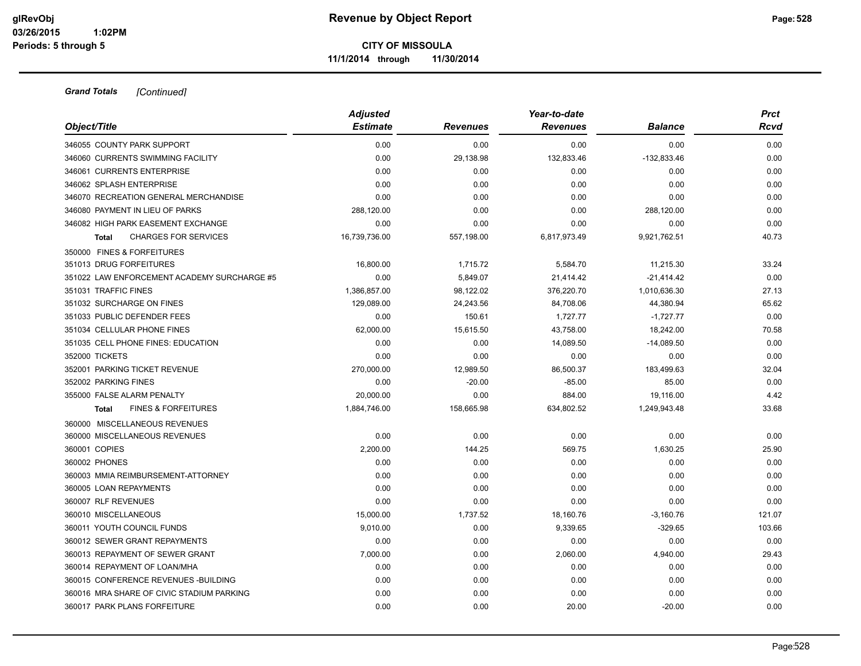**11/1/2014 through 11/30/2014**

| Object/Title                                                             | <b>Adjusted</b><br><b>Estimate</b> | <b>Revenues</b>   | Year-to-date<br><b>Revenues</b> | <b>Balance</b>        | <b>Prct</b><br>Rcvd |
|--------------------------------------------------------------------------|------------------------------------|-------------------|---------------------------------|-----------------------|---------------------|
|                                                                          |                                    |                   |                                 |                       |                     |
| 346055 COUNTY PARK SUPPORT<br>346060 CURRENTS SWIMMING FACILITY          | 0.00<br>0.00                       | 0.00              | 0.00                            | 0.00                  | 0.00<br>0.00        |
| 346061 CURRENTS ENTERPRISE                                               | 0.00                               | 29,138.98<br>0.00 | 132,833.46<br>0.00              | $-132,833.46$<br>0.00 | 0.00                |
| 346062 SPLASH ENTERPRISE                                                 | 0.00                               | 0.00              | 0.00                            | 0.00                  | 0.00                |
|                                                                          |                                    |                   |                                 |                       |                     |
| 346070 RECREATION GENERAL MERCHANDISE<br>346080 PAYMENT IN LIEU OF PARKS | 0.00                               | 0.00              | 0.00                            | 0.00                  | 0.00                |
|                                                                          | 288,120.00                         | 0.00              | 0.00                            | 288,120.00            | 0.00                |
| 346082 HIGH PARK EASEMENT EXCHANGE                                       | 0.00                               | 0.00              | 0.00                            | 0.00                  | 0.00                |
| <b>CHARGES FOR SERVICES</b><br><b>Total</b>                              | 16,739,736.00                      | 557,198.00        | 6,817,973.49                    | 9,921,762.51          | 40.73               |
| 350000 FINES & FORFEITURES                                               |                                    |                   |                                 |                       |                     |
| 351013 DRUG FORFEITURES                                                  | 16,800.00                          | 1,715.72          | 5,584.70                        | 11,215.30             | 33.24               |
| 351022 LAW ENFORCEMENT ACADEMY SURCHARGE #5                              | 0.00                               | 5,849.07          | 21,414.42                       | $-21,414.42$          | 0.00                |
| 351031 TRAFFIC FINES                                                     | 1,386,857.00                       | 98,122.02         | 376,220.70                      | 1,010,636.30          | 27.13               |
| 351032 SURCHARGE ON FINES                                                | 129,089.00                         | 24,243.56         | 84,708.06                       | 44,380.94             | 65.62               |
| 351033 PUBLIC DEFENDER FEES                                              | 0.00                               | 150.61            | 1,727.77                        | $-1,727.77$           | 0.00                |
| 351034 CELLULAR PHONE FINES                                              | 62,000.00                          | 15,615.50         | 43,758.00                       | 18,242.00             | 70.58               |
| 351035 CELL PHONE FINES: EDUCATION                                       | 0.00                               | 0.00              | 14,089.50                       | $-14,089.50$          | 0.00                |
| 352000 TICKETS                                                           | 0.00                               | 0.00              | 0.00                            | 0.00                  | 0.00                |
| 352001 PARKING TICKET REVENUE                                            | 270,000.00                         | 12,989.50         | 86,500.37                       | 183,499.63            | 32.04               |
| 352002 PARKING FINES                                                     | 0.00                               | $-20.00$          | $-85.00$                        | 85.00                 | 0.00                |
| 355000 FALSE ALARM PENALTY                                               | 20,000.00                          | 0.00              | 884.00                          | 19,116.00             | 4.42                |
| <b>FINES &amp; FORFEITURES</b><br><b>Total</b>                           | 1,884,746.00                       | 158,665.98        | 634,802.52                      | 1,249,943.48          | 33.68               |
| 360000 MISCELLANEOUS REVENUES                                            |                                    |                   |                                 |                       |                     |
| 360000 MISCELLANEOUS REVENUES                                            | 0.00                               | 0.00              | 0.00                            | 0.00                  | 0.00                |
| 360001 COPIES                                                            | 2,200.00                           | 144.25            | 569.75                          | 1,630.25              | 25.90               |
| 360002 PHONES                                                            | 0.00                               | 0.00              | 0.00                            | 0.00                  | 0.00                |
| 360003 MMIA REIMBURSEMENT-ATTORNEY                                       | 0.00                               | 0.00              | 0.00                            | 0.00                  | 0.00                |
| 360005 LOAN REPAYMENTS                                                   | 0.00                               | 0.00              | 0.00                            | 0.00                  | 0.00                |
| 360007 RLF REVENUES                                                      | 0.00                               | 0.00              | 0.00                            | 0.00                  | 0.00                |
| 360010 MISCELLANEOUS                                                     | 15,000.00                          | 1,737.52          | 18,160.76                       | $-3,160.76$           | 121.07              |
| 360011 YOUTH COUNCIL FUNDS                                               | 9,010.00                           | 0.00              | 9,339.65                        | $-329.65$             | 103.66              |
| 360012 SEWER GRANT REPAYMENTS                                            | 0.00                               | 0.00              | 0.00                            | 0.00                  | 0.00                |
| 360013 REPAYMENT OF SEWER GRANT                                          | 7,000.00                           | 0.00              | 2,060.00                        | 4,940.00              | 29.43               |
| 360014 REPAYMENT OF LOAN/MHA                                             | 0.00                               | 0.00              | 0.00                            | 0.00                  | 0.00                |
| 360015 CONFERENCE REVENUES - BUILDING                                    | 0.00                               | 0.00              | 0.00                            | 0.00                  | 0.00                |
| 360016 MRA SHARE OF CIVIC STADIUM PARKING                                | 0.00                               | 0.00              | 0.00                            | 0.00                  | 0.00                |
| 360017 PARK PLANS FORFEITURE                                             | 0.00                               | 0.00              | 20.00                           | $-20.00$              | 0.00                |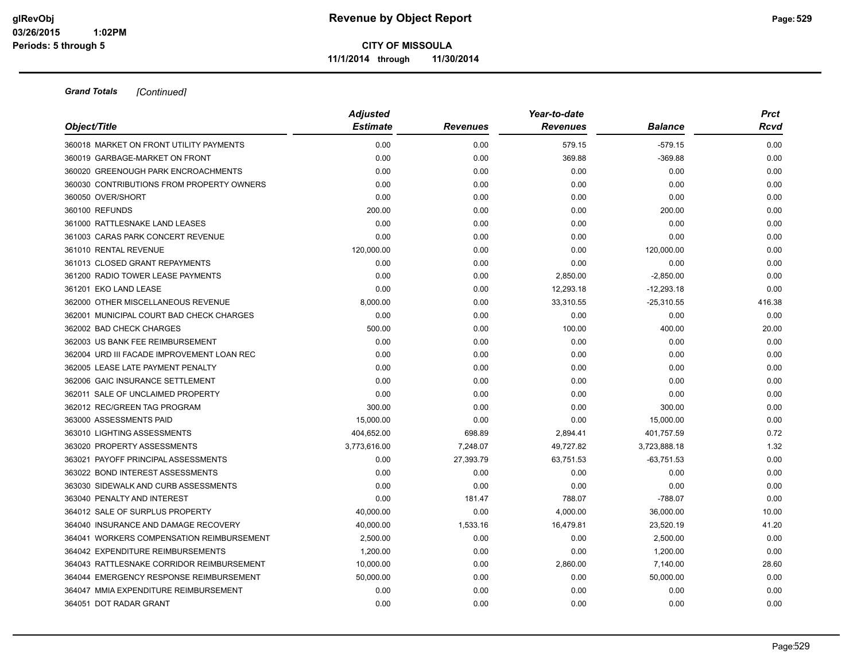**11/1/2014 through 11/30/2014**

| Object/Title                               | <b>Adjusted</b> |                 | Year-to-date    |                | <b>Prct</b> |
|--------------------------------------------|-----------------|-----------------|-----------------|----------------|-------------|
|                                            | <b>Estimate</b> | <b>Revenues</b> | <b>Revenues</b> | <b>Balance</b> | Rcvd        |
| 360018 MARKET ON FRONT UTILITY PAYMENTS    | 0.00            | 0.00            | 579.15          | $-579.15$      | 0.00        |
| 360019 GARBAGE-MARKET ON FRONT             | 0.00            | 0.00            | 369.88          | $-369.88$      | 0.00        |
| 360020 GREENOUGH PARK ENCROACHMENTS        | 0.00            | 0.00            | 0.00            | 0.00           | 0.00        |
| 360030 CONTRIBUTIONS FROM PROPERTY OWNERS  | 0.00            | 0.00            | 0.00            | 0.00           | 0.00        |
| 360050 OVER/SHORT                          | 0.00            | 0.00            | 0.00            | 0.00           | 0.00        |
| 360100 REFUNDS                             | 200.00          | 0.00            | 0.00            | 200.00         | 0.00        |
| 361000 RATTLESNAKE LAND LEASES             | 0.00            | 0.00            | 0.00            | 0.00           | 0.00        |
| 361003 CARAS PARK CONCERT REVENUE          | 0.00            | 0.00            | 0.00            | 0.00           | 0.00        |
| 361010 RENTAL REVENUE                      | 120,000.00      | 0.00            | 0.00            | 120,000.00     | 0.00        |
| 361013 CLOSED GRANT REPAYMENTS             | 0.00            | 0.00            | 0.00            | 0.00           | 0.00        |
| 361200 RADIO TOWER LEASE PAYMENTS          | 0.00            | 0.00            | 2,850.00        | $-2,850.00$    | 0.00        |
| 361201 EKO LAND LEASE                      | 0.00            | 0.00            | 12,293.18       | $-12,293.18$   | 0.00        |
| 362000 OTHER MISCELLANEOUS REVENUE         | 8,000.00        | 0.00            | 33,310.55       | $-25,310.55$   | 416.38      |
| 362001 MUNICIPAL COURT BAD CHECK CHARGES   | 0.00            | 0.00            | 0.00            | 0.00           | 0.00        |
| 362002 BAD CHECK CHARGES                   | 500.00          | 0.00            | 100.00          | 400.00         | 20.00       |
| 362003 US BANK FEE REIMBURSEMENT           | 0.00            | 0.00            | 0.00            | 0.00           | 0.00        |
| 362004 URD III FACADE IMPROVEMENT LOAN REC | 0.00            | 0.00            | 0.00            | 0.00           | 0.00        |
| 362005 LEASE LATE PAYMENT PENALTY          | 0.00            | 0.00            | 0.00            | 0.00           | 0.00        |
| 362006 GAIC INSURANCE SETTLEMENT           | 0.00            | 0.00            | 0.00            | 0.00           | 0.00        |
| 362011 SALE OF UNCLAIMED PROPERTY          | 0.00            | 0.00            | 0.00            | 0.00           | 0.00        |
| 362012 REC/GREEN TAG PROGRAM               | 300.00          | 0.00            | 0.00            | 300.00         | 0.00        |
| 363000 ASSESSMENTS PAID                    | 15,000.00       | 0.00            | 0.00            | 15,000.00      | 0.00        |
| 363010 LIGHTING ASSESSMENTS                | 404,652.00      | 698.89          | 2,894.41        | 401,757.59     | 0.72        |
| 363020 PROPERTY ASSESSMENTS                | 3,773,616.00    | 7,248.07        | 49,727.82       | 3,723,888.18   | 1.32        |
| 363021 PAYOFF PRINCIPAL ASSESSMENTS        | 0.00            | 27,393.79       | 63,751.53       | $-63,751.53$   | 0.00        |
| 363022 BOND INTEREST ASSESSMENTS           | 0.00            | 0.00            | 0.00            | 0.00           | 0.00        |
| 363030 SIDEWALK AND CURB ASSESSMENTS       | 0.00            | 0.00            | 0.00            | 0.00           | 0.00        |
| 363040 PENALTY AND INTEREST                | 0.00            | 181.47          | 788.07          | $-788.07$      | 0.00        |
| 364012 SALE OF SURPLUS PROPERTY            | 40,000.00       | 0.00            | 4,000.00        | 36,000.00      | 10.00       |
| 364040 INSURANCE AND DAMAGE RECOVERY       | 40,000.00       | 1,533.16        | 16,479.81       | 23,520.19      | 41.20       |
| 364041 WORKERS COMPENSATION REIMBURSEMENT  | 2,500.00        | 0.00            | 0.00            | 2,500.00       | 0.00        |
| 364042 EXPENDITURE REIMBURSEMENTS          | 1,200.00        | 0.00            | 0.00            | 1,200.00       | 0.00        |
| 364043 RATTLESNAKE CORRIDOR REIMBURSEMENT  | 10,000.00       | 0.00            | 2,860.00        | 7,140.00       | 28.60       |
| 364044 EMERGENCY RESPONSE REIMBURSEMENT    | 50,000.00       | 0.00            | 0.00            | 50,000.00      | 0.00        |
| 364047 MMIA EXPENDITURE REIMBURSEMENT      | 0.00            | 0.00            | 0.00            | 0.00           | 0.00        |
| 364051 DOT RADAR GRANT                     | 0.00            | 0.00            | 0.00            | 0.00           | 0.00        |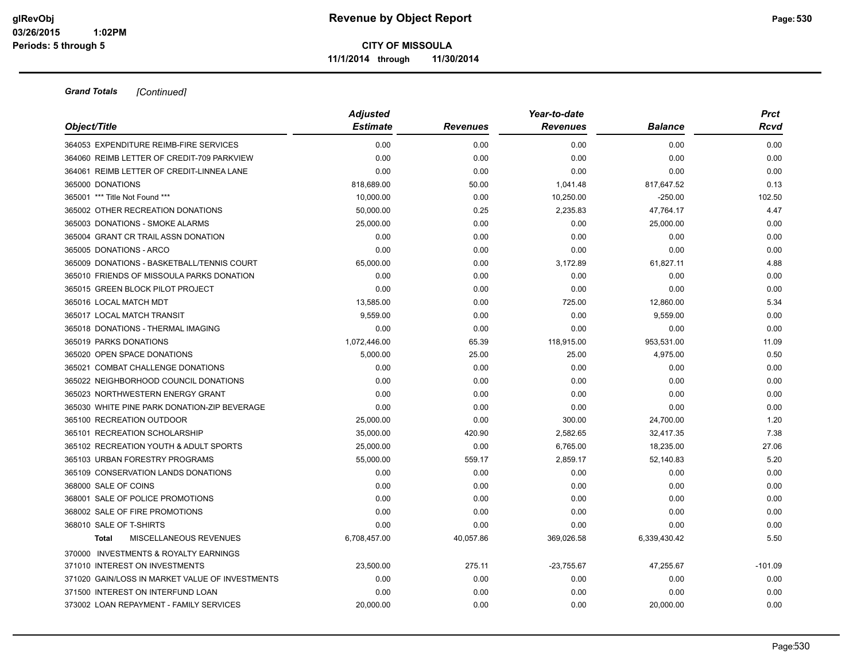**11/1/2014 through 11/30/2014**

| Object/Title                                    | <b>Adjusted</b> |                 | Year-to-date    |                | <b>Prct</b> |
|-------------------------------------------------|-----------------|-----------------|-----------------|----------------|-------------|
|                                                 | <b>Estimate</b> | <b>Revenues</b> | <b>Revenues</b> | <b>Balance</b> | Rcvd        |
| 364053 EXPENDITURE REIMB-FIRE SERVICES          | 0.00            | 0.00            | 0.00            | 0.00           | 0.00        |
| 364060 REIMB LETTER OF CREDIT-709 PARKVIEW      | 0.00            | 0.00            | 0.00            | 0.00           | 0.00        |
| 364061 REIMB LETTER OF CREDIT-LINNEA LANE       | 0.00            | 0.00            | 0.00            | 0.00           | 0.00        |
| 365000 DONATIONS                                | 818,689.00      | 50.00           | 1,041.48        | 817,647.52     | 0.13        |
| 365001 *** Title Not Found ***                  | 10,000.00       | 0.00            | 10,250.00       | $-250.00$      | 102.50      |
| 365002 OTHER RECREATION DONATIONS               | 50,000.00       | 0.25            | 2,235.83        | 47,764.17      | 4.47        |
| 365003 DONATIONS - SMOKE ALARMS                 | 25,000.00       | 0.00            | 0.00            | 25,000.00      | 0.00        |
| 365004 GRANT CR TRAIL ASSN DONATION             | 0.00            | 0.00            | 0.00            | 0.00           | 0.00        |
| 365005 DONATIONS - ARCO                         | 0.00            | 0.00            | 0.00            | 0.00           | 0.00        |
| 365009 DONATIONS - BASKETBALL/TENNIS COURT      | 65,000.00       | 0.00            | 3,172.89        | 61,827.11      | 4.88        |
| 365010 FRIENDS OF MISSOULA PARKS DONATION       | 0.00            | 0.00            | 0.00            | 0.00           | 0.00        |
| 365015 GREEN BLOCK PILOT PROJECT                | 0.00            | 0.00            | 0.00            | 0.00           | 0.00        |
| 365016 LOCAL MATCH MDT                          | 13,585.00       | 0.00            | 725.00          | 12,860.00      | 5.34        |
| 365017 LOCAL MATCH TRANSIT                      | 9,559.00        | 0.00            | 0.00            | 9,559.00       | 0.00        |
| 365018 DONATIONS - THERMAL IMAGING              | 0.00            | 0.00            | 0.00            | 0.00           | 0.00        |
| 365019 PARKS DONATIONS                          | 1,072,446.00    | 65.39           | 118,915.00      | 953,531.00     | 11.09       |
| 365020 OPEN SPACE DONATIONS                     | 5,000.00        | 25.00           | 25.00           | 4,975.00       | 0.50        |
| 365021 COMBAT CHALLENGE DONATIONS               | 0.00            | 0.00            | 0.00            | 0.00           | 0.00        |
| 365022 NEIGHBORHOOD COUNCIL DONATIONS           | 0.00            | 0.00            | 0.00            | 0.00           | 0.00        |
| 365023 NORTHWESTERN ENERGY GRANT                | 0.00            | 0.00            | 0.00            | 0.00           | 0.00        |
| 365030 WHITE PINE PARK DONATION-ZIP BEVERAGE    | 0.00            | 0.00            | 0.00            | 0.00           | 0.00        |
| 365100 RECREATION OUTDOOR                       | 25,000.00       | 0.00            | 300.00          | 24,700.00      | 1.20        |
| 365101 RECREATION SCHOLARSHIP                   | 35,000.00       | 420.90          | 2,582.65        | 32,417.35      | 7.38        |
| 365102 RECREATION YOUTH & ADULT SPORTS          | 25,000.00       | 0.00            | 6,765.00        | 18,235.00      | 27.06       |
| 365103 URBAN FORESTRY PROGRAMS                  | 55,000.00       | 559.17          | 2,859.17        | 52,140.83      | 5.20        |
| 365109 CONSERVATION LANDS DONATIONS             | 0.00            | 0.00            | 0.00            | 0.00           | 0.00        |
| 368000 SALE OF COINS                            | 0.00            | 0.00            | 0.00            | 0.00           | 0.00        |
| 368001 SALE OF POLICE PROMOTIONS                | 0.00            | 0.00            | 0.00            | 0.00           | 0.00        |
| 368002 SALE OF FIRE PROMOTIONS                  | 0.00            | 0.00            | 0.00            | 0.00           | 0.00        |
| 368010 SALE OF T-SHIRTS                         | 0.00            | 0.00            | 0.00            | 0.00           | 0.00        |
| MISCELLANEOUS REVENUES<br><b>Total</b>          | 6,708,457.00    | 40,057.86       | 369,026.58      | 6,339,430.42   | 5.50        |
| 370000 INVESTMENTS & ROYALTY EARNINGS           |                 |                 |                 |                |             |
| 371010 INTEREST ON INVESTMENTS                  | 23,500.00       | 275.11          | $-23,755.67$    | 47,255.67      | $-101.09$   |
| 371020 GAIN/LOSS IN MARKET VALUE OF INVESTMENTS | 0.00            | 0.00            | 0.00            | 0.00           | 0.00        |
| 371500 INTEREST ON INTERFUND LOAN               | 0.00            | 0.00            | 0.00            | 0.00           | 0.00        |
| 373002 LOAN REPAYMENT - FAMILY SERVICES         | 20.000.00       | 0.00            | 0.00            | 20,000.00      | 0.00        |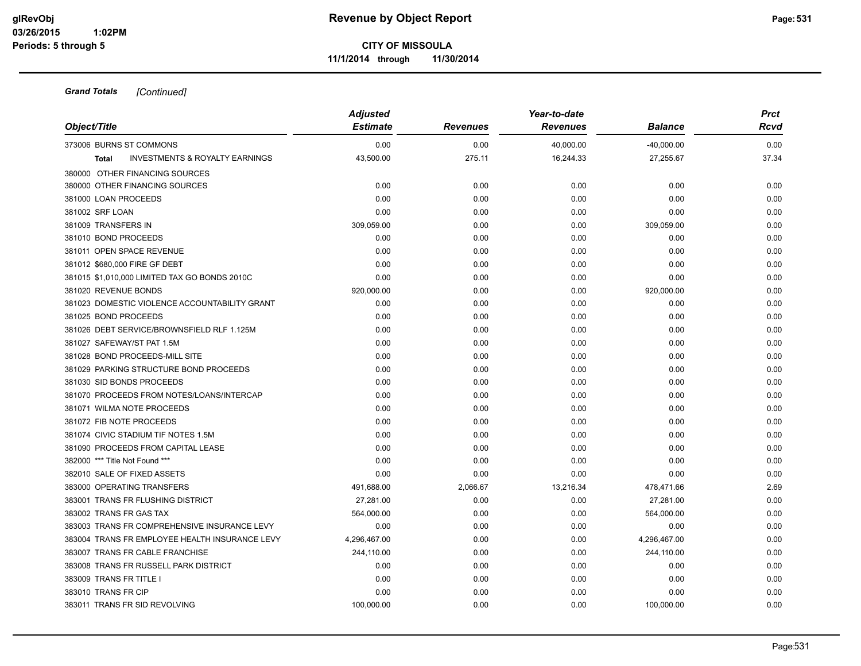**11/1/2014 through 11/30/2014**

| Object/Title                                              | <b>Adjusted</b><br><b>Estimate</b> | <b>Revenues</b> | Year-to-date<br><b>Revenues</b> | Balance      | <b>Prct</b><br>Rcvd |
|-----------------------------------------------------------|------------------------------------|-----------------|---------------------------------|--------------|---------------------|
| 373006 BURNS ST COMMONS                                   | 0.00                               | 0.00            | 40,000.00                       | $-40,000.00$ | 0.00                |
| <b>INVESTMENTS &amp; ROYALTY EARNINGS</b><br><b>Total</b> | 43,500.00                          | 275.11          | 16,244.33                       | 27,255.67    | 37.34               |
| 380000 OTHER FINANCING SOURCES                            |                                    |                 |                                 |              |                     |
| 380000 OTHER FINANCING SOURCES                            | 0.00                               | 0.00            | 0.00                            | 0.00         | 0.00                |
| 381000 LOAN PROCEEDS                                      | 0.00                               | 0.00            | 0.00                            | 0.00         | 0.00                |
| 381002 SRF LOAN                                           | 0.00                               | 0.00            | 0.00                            | 0.00         | 0.00                |
| 381009 TRANSFERS IN                                       | 309,059.00                         | 0.00            | 0.00                            | 309,059.00   | 0.00                |
| 381010 BOND PROCEEDS                                      | 0.00                               | 0.00            | 0.00                            | 0.00         | 0.00                |
| 381011 OPEN SPACE REVENUE                                 | 0.00                               | 0.00            | 0.00                            | 0.00         | 0.00                |
| 381012 \$680,000 FIRE GF DEBT                             | 0.00                               | 0.00            | 0.00                            | 0.00         | 0.00                |
| 381015 \$1,010,000 LIMITED TAX GO BONDS 2010C             | 0.00                               | 0.00            | 0.00                            | 0.00         | 0.00                |
| 381020 REVENUE BONDS                                      | 920,000.00                         | 0.00            | 0.00                            | 920,000.00   | 0.00                |
| 381023 DOMESTIC VIOLENCE ACCOUNTABILITY GRANT             | 0.00                               | 0.00            | 0.00                            | 0.00         | 0.00                |
| 381025 BOND PROCEEDS                                      | 0.00                               | 0.00            | 0.00                            | 0.00         | 0.00                |
| 381026 DEBT SERVICE/BROWNSFIELD RLF 1.125M                | 0.00                               | 0.00            | 0.00                            | 0.00         | 0.00                |
| 381027 SAFEWAY/ST PAT 1.5M                                | 0.00                               | 0.00            | 0.00                            | 0.00         | 0.00                |
| 381028 BOND PROCEEDS-MILL SITE                            | 0.00                               | 0.00            | 0.00                            | 0.00         | 0.00                |
| 381029 PARKING STRUCTURE BOND PROCEEDS                    | 0.00                               | 0.00            | 0.00                            | 0.00         | 0.00                |
| 381030 SID BONDS PROCEEDS                                 | 0.00                               | 0.00            | 0.00                            | 0.00         | 0.00                |
| 381070 PROCEEDS FROM NOTES/LOANS/INTERCAP                 | 0.00                               | 0.00            | 0.00                            | 0.00         | 0.00                |
| 381071 WILMA NOTE PROCEEDS                                | 0.00                               | 0.00            | 0.00                            | 0.00         | 0.00                |
| 381072 FIB NOTE PROCEEDS                                  | 0.00                               | 0.00            | 0.00                            | 0.00         | 0.00                |
| 381074 CIVIC STADIUM TIF NOTES 1.5M                       | 0.00                               | 0.00            | 0.00                            | 0.00         | 0.00                |
| 381090 PROCEEDS FROM CAPITAL LEASE                        | 0.00                               | 0.00            | 0.00                            | 0.00         | 0.00                |
| 382000 *** Title Not Found ***                            | 0.00                               | 0.00            | 0.00                            | 0.00         | 0.00                |
| 382010 SALE OF FIXED ASSETS                               | 0.00                               | 0.00            | 0.00                            | 0.00         | 0.00                |
| 383000 OPERATING TRANSFERS                                | 491,688.00                         | 2,066.67        | 13,216.34                       | 478,471.66   | 2.69                |
| 383001 TRANS FR FLUSHING DISTRICT                         | 27,281.00                          | 0.00            | 0.00                            | 27,281.00    | 0.00                |
| 383002 TRANS FR GAS TAX                                   | 564,000.00                         | 0.00            | 0.00                            | 564,000.00   | 0.00                |
| 383003 TRANS FR COMPREHENSIVE INSURANCE LEVY              | 0.00                               | 0.00            | 0.00                            | 0.00         | 0.00                |
| 383004 TRANS FR EMPLOYEE HEALTH INSURANCE LEVY            | 4,296,467.00                       | 0.00            | 0.00                            | 4,296,467.00 | 0.00                |
| 383007 TRANS FR CABLE FRANCHISE                           | 244,110.00                         | 0.00            | 0.00                            | 244,110.00   | 0.00                |
| 383008 TRANS FR RUSSELL PARK DISTRICT                     | 0.00                               | 0.00            | 0.00                            | 0.00         | 0.00                |
| 383009 TRANS FR TITLE I                                   | 0.00                               | 0.00            | 0.00                            | 0.00         | 0.00                |
| 383010 TRANS FR CIP                                       | 0.00                               | 0.00            | 0.00                            | 0.00         | 0.00                |
| 383011 TRANS FR SID REVOLVING                             | 100.000.00                         | 0.00            | 0.00                            | 100,000.00   | 0.00                |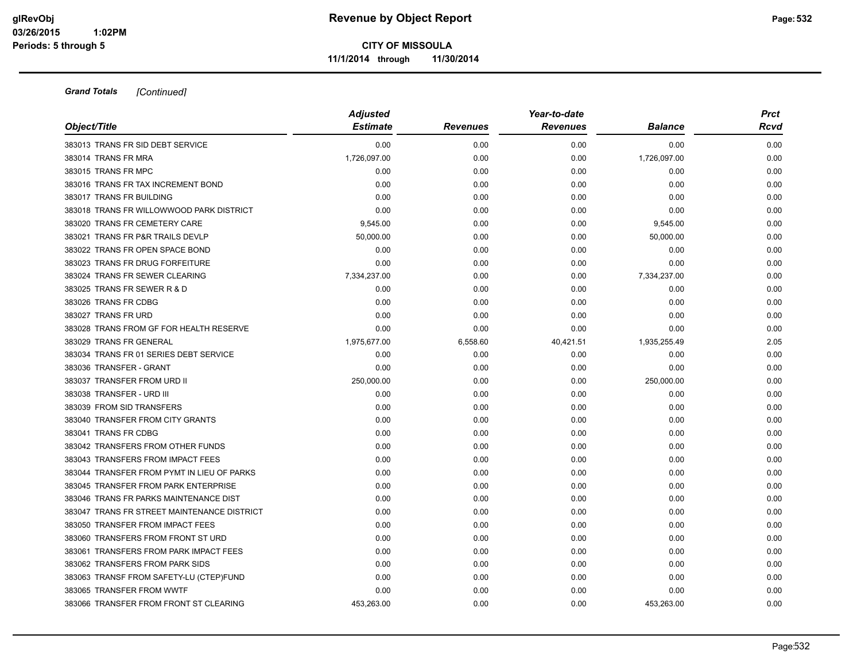**11/1/2014 through 11/30/2014**

| Object/Title                                | <b>Adjusted</b> |                 | Year-to-date    |                | <b>Prct</b> |
|---------------------------------------------|-----------------|-----------------|-----------------|----------------|-------------|
|                                             | <b>Estimate</b> | <b>Revenues</b> | <b>Revenues</b> | <b>Balance</b> | <b>Rcvd</b> |
| 383013 TRANS FR SID DEBT SERVICE            | 0.00            | 0.00            | 0.00            | 0.00           | 0.00        |
| 383014 TRANS FR MRA                         | 1,726,097.00    | 0.00            | 0.00            | 1,726,097.00   | 0.00        |
| 383015 TRANS FR MPC                         | 0.00            | 0.00            | 0.00            | 0.00           | 0.00        |
| 383016 TRANS FR TAX INCREMENT BOND          | 0.00            | 0.00            | 0.00            | 0.00           | 0.00        |
| 383017 TRANS FR BUILDING                    | 0.00            | 0.00            | 0.00            | 0.00           | 0.00        |
| 383018 TRANS FR WILLOWWOOD PARK DISTRICT    | 0.00            | 0.00            | 0.00            | 0.00           | 0.00        |
| 383020 TRANS FR CEMETERY CARE               | 9,545.00        | 0.00            | 0.00            | 9,545.00       | 0.00        |
| 383021 TRANS FR P&R TRAILS DEVLP            | 50,000.00       | 0.00            | 0.00            | 50,000.00      | 0.00        |
| 383022 TRANS FR OPEN SPACE BOND             | 0.00            | 0.00            | 0.00            | 0.00           | 0.00        |
| 383023 TRANS FR DRUG FORFEITURE             | 0.00            | 0.00            | 0.00            | 0.00           | 0.00        |
| 383024 TRANS FR SEWER CLEARING              | 7,334,237.00    | 0.00            | 0.00            | 7,334,237.00   | 0.00        |
| 383025 TRANS FR SEWER R & D                 | 0.00            | 0.00            | 0.00            | 0.00           | 0.00        |
| 383026 TRANS FR CDBG                        | 0.00            | 0.00            | 0.00            | 0.00           | 0.00        |
| 383027 TRANS FR URD                         | 0.00            | 0.00            | 0.00            | 0.00           | 0.00        |
| 383028 TRANS FROM GF FOR HEALTH RESERVE     | 0.00            | 0.00            | 0.00            | 0.00           | 0.00        |
| 383029 TRANS FR GENERAL                     | 1,975,677.00    | 6,558.60        | 40,421.51       | 1,935,255.49   | 2.05        |
| 383034 TRANS FR 01 SERIES DEBT SERVICE      | 0.00            | 0.00            | 0.00            | 0.00           | 0.00        |
| 383036 TRANSFER - GRANT                     | 0.00            | 0.00            | 0.00            | 0.00           | 0.00        |
| 383037 TRANSFER FROM URD II                 | 250,000.00      | 0.00            | 0.00            | 250,000.00     | 0.00        |
| 383038 TRANSFER - URD III                   | 0.00            | 0.00            | 0.00            | 0.00           | 0.00        |
| 383039 FROM SID TRANSFERS                   | 0.00            | 0.00            | 0.00            | 0.00           | 0.00        |
| 383040 TRANSFER FROM CITY GRANTS            | 0.00            | 0.00            | 0.00            | 0.00           | 0.00        |
| 383041 TRANS FR CDBG                        | 0.00            | 0.00            | 0.00            | 0.00           | 0.00        |
| 383042 TRANSFERS FROM OTHER FUNDS           | 0.00            | 0.00            | 0.00            | 0.00           | 0.00        |
| 383043 TRANSFERS FROM IMPACT FEES           | 0.00            | 0.00            | 0.00            | 0.00           | 0.00        |
| 383044 TRANSFER FROM PYMT IN LIEU OF PARKS  | 0.00            | 0.00            | 0.00            | 0.00           | 0.00        |
| 383045 TRANSFER FROM PARK ENTERPRISE        | 0.00            | 0.00            | 0.00            | 0.00           | 0.00        |
| 383046 TRANS FR PARKS MAINTENANCE DIST      | 0.00            | 0.00            | 0.00            | 0.00           | 0.00        |
| 383047 TRANS FR STREET MAINTENANCE DISTRICT | 0.00            | 0.00            | 0.00            | 0.00           | 0.00        |
| 383050 TRANSFER FROM IMPACT FEES            | 0.00            | 0.00            | 0.00            | 0.00           | 0.00        |
| 383060 TRANSFERS FROM FRONT ST URD          | 0.00            | 0.00            | 0.00            | 0.00           | 0.00        |
| 383061 TRANSFERS FROM PARK IMPACT FEES      | 0.00            | 0.00            | 0.00            | 0.00           | 0.00        |
| 383062 TRANSFERS FROM PARK SIDS             | 0.00            | 0.00            | 0.00            | 0.00           | 0.00        |
| 383063 TRANSF FROM SAFETY-LU (CTEP)FUND     | 0.00            | 0.00            | 0.00            | 0.00           | 0.00        |
| 383065 TRANSFER FROM WWTF                   | 0.00            | 0.00            | 0.00            | 0.00           | 0.00        |
| 383066 TRANSFER FROM FRONT ST CLEARING      | 453.263.00      | 0.00            | 0.00            | 453,263.00     | 0.00        |